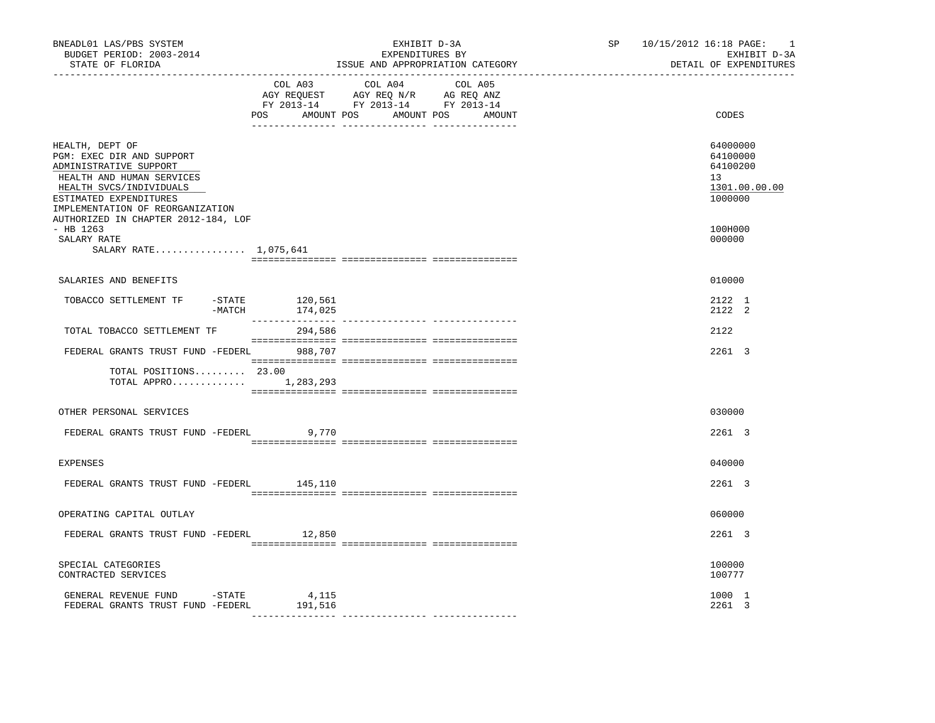| BNEADL01 LAS/PBS SYSTEM<br>BUDGET PERIOD: 2003-2014<br>STATE OF FLORIDA                                                                                                                                                             |                    | EXHIBIT D-3A<br>EXPENDITURES BY<br>ISSUE AND APPROPRIATION CATEGORY                                                                   | SP 10/15/2012 16:18 PAGE:<br>$\overline{\phantom{0}}$<br>EXHIBIT D-3A<br>DETAIL OF EXPENDITURES |
|-------------------------------------------------------------------------------------------------------------------------------------------------------------------------------------------------------------------------------------|--------------------|---------------------------------------------------------------------------------------------------------------------------------------|-------------------------------------------------------------------------------------------------|
|                                                                                                                                                                                                                                     |                    | COL A03 COL A04 COL A05<br>AGY REQUEST AGY REQ N/R AG REQ ANZ<br>FY 2013-14 FY 2013-14 FY 2013-14<br>POS AMOUNT POS AMOUNT POS AMOUNT | CODES                                                                                           |
| HEALTH, DEPT OF<br>PGM: EXEC DIR AND SUPPORT<br>ADMINISTRATIVE SUPPORT<br>HEALTH AND HUMAN SERVICES<br>HEALTH SVCS/INDIVIDUALS<br>ESTIMATED EXPENDITURES<br>IMPLEMENTATION OF REORGANIZATION<br>AUTHORIZED IN CHAPTER 2012-184, LOF |                    |                                                                                                                                       | 64000000<br>64100000<br>64100200<br>13<br>1301.00.00.00<br>1000000                              |
| $-$ HB 1263<br>SALARY RATE<br>SALARY RATE 1,075,641                                                                                                                                                                                 |                    |                                                                                                                                       | 100H000<br>000000                                                                               |
| SALARIES AND BENEFITS                                                                                                                                                                                                               |                    |                                                                                                                                       | 010000                                                                                          |
| TOBACCO SETTLEMENT TF<br>$-$ STATE<br>$-MATCH$                                                                                                                                                                                      | 120,561<br>174,025 |                                                                                                                                       | 2122 1<br>2122 2                                                                                |
| TOTAL TOBACCO SETTLEMENT TF                                                                                                                                                                                                         | 294,586            |                                                                                                                                       | 2122                                                                                            |
| FEDERAL GRANTS TRUST FUND -FEDERL 988,707                                                                                                                                                                                           |                    |                                                                                                                                       | 2261 3                                                                                          |
| TOTAL POSITIONS 23.00<br>TOTAL APPRO $1,283,293$                                                                                                                                                                                    |                    |                                                                                                                                       |                                                                                                 |
| OTHER PERSONAL SERVICES                                                                                                                                                                                                             |                    |                                                                                                                                       | 030000                                                                                          |
| FEDERAL GRANTS TRUST FUND -FEDERL                                                                                                                                                                                                   | 9,770              |                                                                                                                                       | 2261 3                                                                                          |
| <b>EXPENSES</b>                                                                                                                                                                                                                     |                    |                                                                                                                                       | 040000                                                                                          |
| FEDERAL GRANTS TRUST FUND -FEDERL                                                                                                                                                                                                   | 145,110            |                                                                                                                                       | 2261 3                                                                                          |
| OPERATING CAPITAL OUTLAY                                                                                                                                                                                                            |                    |                                                                                                                                       | 060000                                                                                          |
| FEDERAL GRANTS TRUST FUND -FEDERL 12,850                                                                                                                                                                                            |                    |                                                                                                                                       | 2261 3                                                                                          |
| SPECIAL CATEGORIES<br>CONTRACTED SERVICES                                                                                                                                                                                           |                    |                                                                                                                                       | 100000<br>100777                                                                                |
| GENERAL REVENUE FUND - STATE<br>FEDERAL GRANTS TRUST FUND -FEDERL                                                                                                                                                                   | 4,115<br>191,516   |                                                                                                                                       | 1000 1<br>2261 3                                                                                |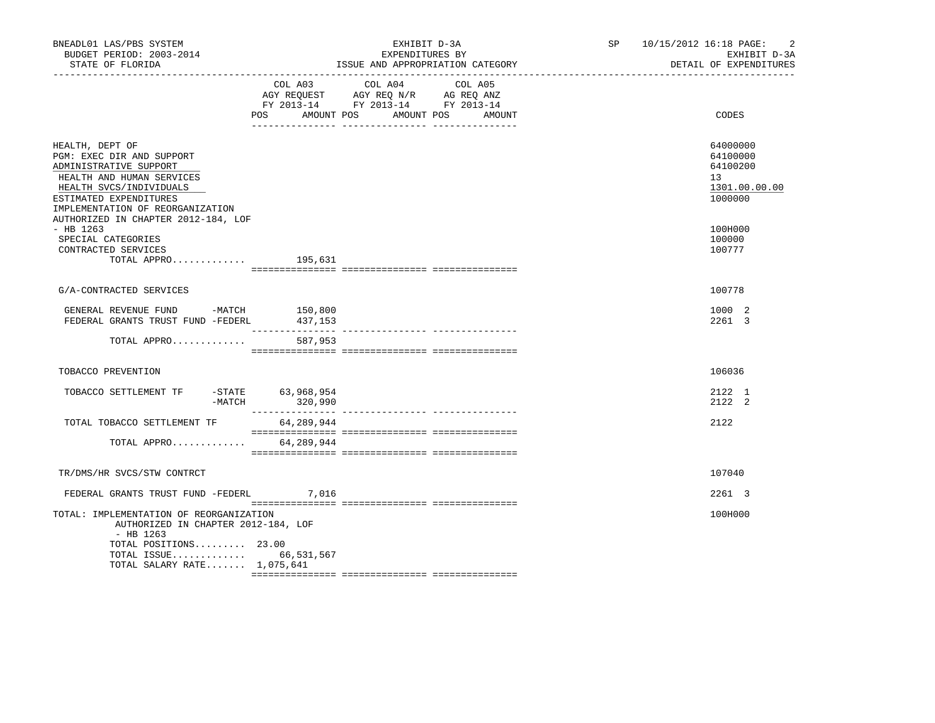| BNEADL01 LAS/PBS SYSTEM<br>BUDGET PERIOD: 2003-2014<br>STATE OF FLORIDA                                                                                                                      | EXHIBIT D-3A<br>EXPENDITURES BY<br>ISSUE AND APPROPRIATION CATEGORY |                                                                                                   |                      | SP <sub>2</sub> | 10/15/2012 16:18 PAGE:<br>$\overline{2}$<br>EXHIBIT D-3A<br>DETAIL OF EXPENDITURES |
|----------------------------------------------------------------------------------------------------------------------------------------------------------------------------------------------|---------------------------------------------------------------------|---------------------------------------------------------------------------------------------------|----------------------|-----------------|------------------------------------------------------------------------------------|
|                                                                                                                                                                                              | POS FOR<br>AMOUNT POS                                               | COL A03 COL A04 COL A05<br>AGY REQUEST AGY REQ N/R AG REQ ANZ<br>FY 2013-14 FY 2013-14 FY 2013-14 | AMOUNT POS<br>AMOUNT |                 | CODES                                                                              |
| HEALTH, DEPT OF<br>PGM: EXEC DIR AND SUPPORT<br>ADMINISTRATIVE SUPPORT<br>HEALTH AND HUMAN SERVICES<br>HEALTH SVCS/INDIVIDUALS<br>ESTIMATED EXPENDITURES<br>IMPLEMENTATION OF REORGANIZATION |                                                                     |                                                                                                   |                      |                 | 64000000<br>64100000<br>64100200<br>13<br>1301.00.00.00<br>1000000                 |
| AUTHORIZED IN CHAPTER 2012-184, LOF<br>$-$ HB 1263<br>SPECIAL CATEGORIES<br>CONTRACTED SERVICES<br>TOTAL APPRO $195,631$                                                                     |                                                                     |                                                                                                   |                      |                 | 100H000<br>100000<br>100777                                                        |
| G/A-CONTRACTED SERVICES                                                                                                                                                                      |                                                                     |                                                                                                   |                      |                 | 100778                                                                             |
| GENERAL REVENUE FUND -MATCH 150,800<br>FEDERAL GRANTS TRUST FUND -FEDERL                                                                                                                     | 437,153                                                             |                                                                                                   |                      |                 | 1000 2<br>2261 3                                                                   |
| TOTAL APPRO                                                                                                                                                                                  | 587,953                                                             |                                                                                                   |                      |                 |                                                                                    |
| TOBACCO PREVENTION                                                                                                                                                                           |                                                                     |                                                                                                   |                      |                 | 106036                                                                             |
| TOBACCO SETTLEMENT TF -STATE 63,968,954<br>$-MATCH$                                                                                                                                          | 320,990                                                             |                                                                                                   |                      |                 | 2122 1<br>2122 2                                                                   |
| TOTAL TOBACCO SETTLEMENT TF                                                                                                                                                                  | 64,289,944                                                          |                                                                                                   |                      |                 | 2122                                                                               |
| TOTAL APPRO                                                                                                                                                                                  | 64,289,944                                                          |                                                                                                   |                      |                 |                                                                                    |
| TR/DMS/HR SVCS/STW CONTRCT                                                                                                                                                                   |                                                                     |                                                                                                   |                      |                 | 107040                                                                             |
| FEDERAL GRANTS TRUST FUND -FEDERL 7,016                                                                                                                                                      |                                                                     |                                                                                                   |                      |                 | 2261 3                                                                             |
| TOTAL: IMPLEMENTATION OF REORGANIZATION<br>AUTHORIZED IN CHAPTER 2012-184, LOF<br>$-$ HB 1263<br>TOTAL POSITIONS 23.00<br>TOTAL ISSUE 66,531,567<br>TOTAL SALARY RATE 1,075,641              |                                                                     |                                                                                                   |                      |                 | 100H000                                                                            |
|                                                                                                                                                                                              |                                                                     |                                                                                                   |                      |                 |                                                                                    |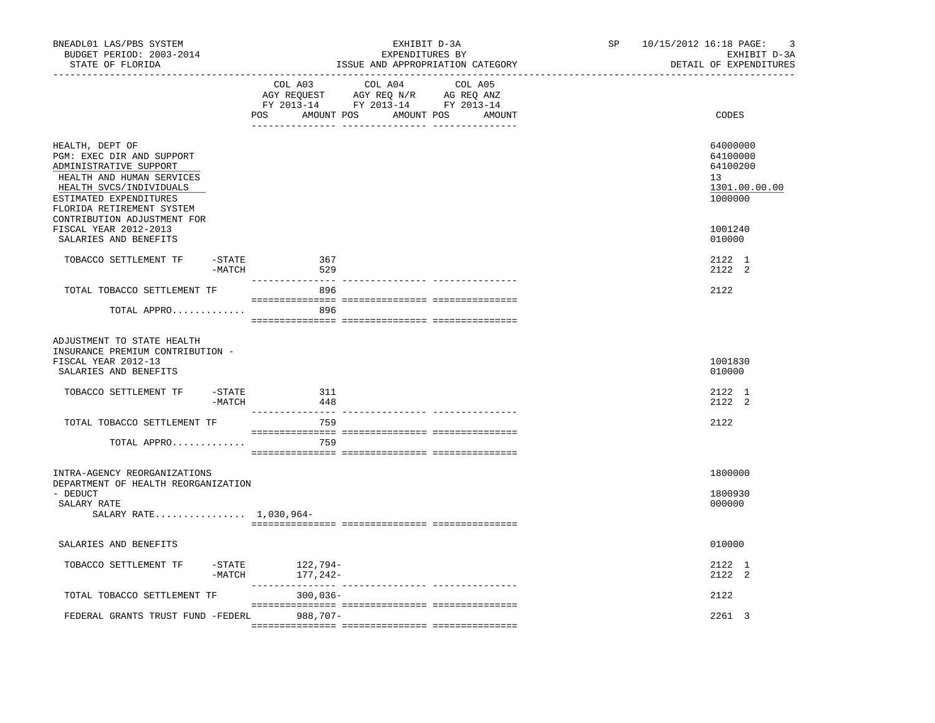| BNEADL01 LAS/PBS SYSTEM<br>BUDGET PERIOD: 2003-2014<br>STATE OF FLORIDA<br>----------------                                                                                           |                       |                          | EXHIBIT D-3A<br>EXPENDITURES BY<br>ISSUE AND APPROPRIATION CATEGORY                                            |         |        | SP <sub>2</sub><br>10/15/2012 16:18 PAGE:<br>EXHIBIT D-3A<br>DETAIL OF EXPENDITURES<br>_____________________________ |  |                                                                    |
|---------------------------------------------------------------------------------------------------------------------------------------------------------------------------------------|-----------------------|--------------------------|----------------------------------------------------------------------------------------------------------------|---------|--------|----------------------------------------------------------------------------------------------------------------------|--|--------------------------------------------------------------------|
|                                                                                                                                                                                       |                       | COL A03                  | COL A04<br>AGY REQUEST AGY REQ N/R AG REQ ANZ<br>FY 2013-14 FY 2013-14 FY 2013-14<br>POS AMOUNT POS AMOUNT POS | COL A05 | AMOUNT |                                                                                                                      |  | CODES                                                              |
| HEALTH, DEPT OF<br>PGM: EXEC DIR AND SUPPORT<br>ADMINISTRATIVE SUPPORT<br>HEALTH AND HUMAN SERVICES<br>HEALTH SVCS/INDIVIDUALS<br>ESTIMATED EXPENDITURES<br>FLORIDA RETIREMENT SYSTEM |                       |                          |                                                                                                                |         |        |                                                                                                                      |  | 64000000<br>64100000<br>64100200<br>13<br>1301.00.00.00<br>1000000 |
| CONTRIBUTION ADJUSTMENT FOR<br>FISCAL YEAR 2012-2013<br>SALARIES AND BENEFITS                                                                                                         |                       |                          |                                                                                                                |         |        |                                                                                                                      |  | 1001240<br>010000                                                  |
| TOBACCO SETTLEMENT TF                                                                                                                                                                 | -STATE<br>-MATCH      | 367<br>529               |                                                                                                                |         |        |                                                                                                                      |  | 2122 1<br>2122 2                                                   |
| TOTAL TOBACCO SETTLEMENT TF                                                                                                                                                           |                       | 896                      |                                                                                                                |         |        |                                                                                                                      |  | 2122                                                               |
| TOTAL APPRO                                                                                                                                                                           |                       | 896                      |                                                                                                                |         |        |                                                                                                                      |  |                                                                    |
| ADJUSTMENT TO STATE HEALTH<br>INSURANCE PREMIUM CONTRIBUTION -<br>FISCAL YEAR 2012-13<br>SALARIES AND BENEFITS                                                                        |                       |                          |                                                                                                                |         |        |                                                                                                                      |  | 1001830<br>010000                                                  |
| TOBACCO SETTLEMENT TF                                                                                                                                                                 | $-STATE$<br>$-MATCH$  | 311<br>448               |                                                                                                                |         |        |                                                                                                                      |  | 2122 1<br>2122 2                                                   |
| TOTAL TOBACCO SETTLEMENT TF                                                                                                                                                           |                       | 759                      |                                                                                                                |         |        |                                                                                                                      |  | 2122                                                               |
| TOTAL APPRO                                                                                                                                                                           |                       | 759                      |                                                                                                                |         |        |                                                                                                                      |  |                                                                    |
| INTRA-AGENCY REORGANIZATIONS<br>DEPARTMENT OF HEALTH REORGANIZATION<br>- DEDUCT                                                                                                       |                       |                          |                                                                                                                |         |        |                                                                                                                      |  | 1800000<br>1800930                                                 |
| SALARY RATE<br>SALARY RATE 1,030,964-                                                                                                                                                 |                       |                          |                                                                                                                |         |        |                                                                                                                      |  | 000000                                                             |
| SALARIES AND BENEFITS                                                                                                                                                                 |                       |                          |                                                                                                                |         |        |                                                                                                                      |  | 010000                                                             |
| TOBACCO SETTLEMENT TF                                                                                                                                                                 | $-$ STATE<br>$-MATCH$ | 122,794-<br>$177, 242 -$ |                                                                                                                |         |        |                                                                                                                      |  | 2122 1<br>2122 2                                                   |
| TOTAL TOBACCO SETTLEMENT TF                                                                                                                                                           |                       | $300,036-$               |                                                                                                                |         |        |                                                                                                                      |  | 2122                                                               |
| FEDERAL GRANTS TRUST FUND -FEDERL                                                                                                                                                     |                       | 988,707-                 |                                                                                                                |         |        |                                                                                                                      |  | 2261 3                                                             |
|                                                                                                                                                                                       |                       |                          |                                                                                                                |         |        |                                                                                                                      |  |                                                                    |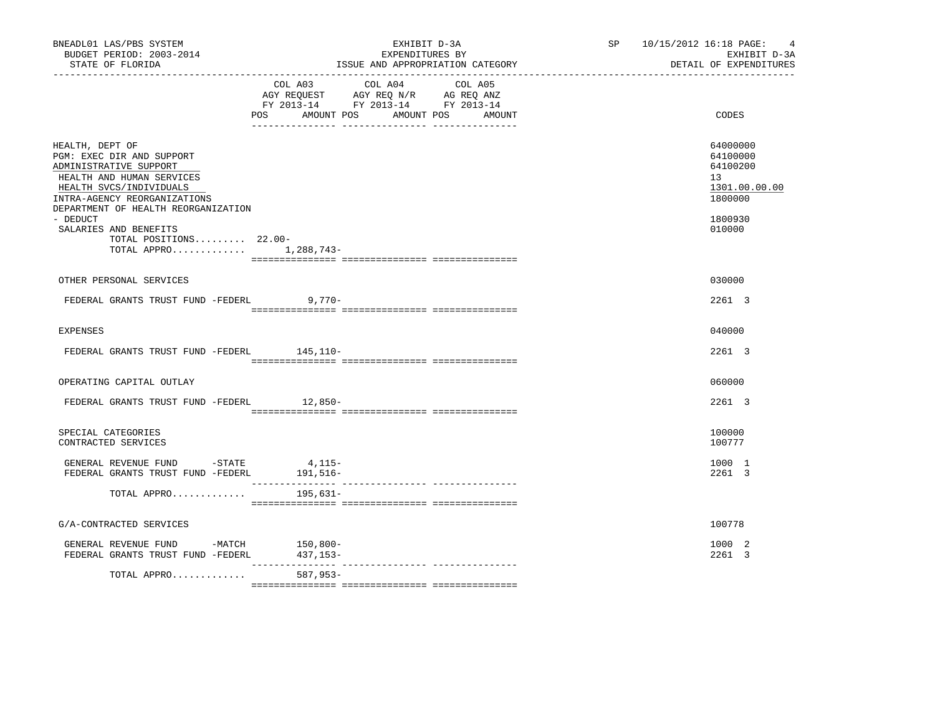| BNEADL01 LAS/PBS SYSTEM<br>BUDGET PERIOD: 2003-2014<br>STATE OF FLORIDA                                                                                                                               | EXHIBIT D-3A<br>EXPENDITURES BY<br>ISSUE AND APPROPRIATION CATEGORY                                                                                                                                                                                               | SP 10/15/2012 16:18 PAGE: 4<br>EXHIBIT D-3A<br>DETAIL OF EXPENDITURES |
|-------------------------------------------------------------------------------------------------------------------------------------------------------------------------------------------------------|-------------------------------------------------------------------------------------------------------------------------------------------------------------------------------------------------------------------------------------------------------------------|-----------------------------------------------------------------------|
|                                                                                                                                                                                                       | COL A03 COL A04 COL A05<br>$\begin{tabular}{lllllll} AGY & \texttt{REQUEST} & \texttt{AGY} & \texttt{REG} & \texttt{N/R} & \texttt{AG} & \texttt{REQ} & \texttt{ANZ} \end{tabular}$<br>FY 2013-14 FY 2013-14 FY 2013-14<br>POS AMOUNT POS<br>AMOUNT POS<br>AMOUNT | CODES                                                                 |
| HEALTH, DEPT OF<br>PGM: EXEC DIR AND SUPPORT<br>ADMINISTRATIVE SUPPORT<br>HEALTH AND HUMAN SERVICES<br>HEALTH SVCS/INDIVIDUALS<br>INTRA-AGENCY REORGANIZATIONS<br>DEPARTMENT OF HEALTH REORGANIZATION |                                                                                                                                                                                                                                                                   | 64000000<br>64100000<br>64100200<br>13<br>1301.00.00.00<br>1800000    |
| - DEDUCT<br>SALARIES AND BENEFITS<br>TOTAL POSITIONS 22.00-<br>TOTAL APPRO 1,288,743-                                                                                                                 |                                                                                                                                                                                                                                                                   | 1800930<br>010000                                                     |
| OTHER PERSONAL SERVICES                                                                                                                                                                               |                                                                                                                                                                                                                                                                   | 030000                                                                |
| FEDERAL GRANTS TRUST FUND -FEDERL                                                                                                                                                                     | $9.770 -$                                                                                                                                                                                                                                                         | 2261 3                                                                |
| <b>EXPENSES</b>                                                                                                                                                                                       |                                                                                                                                                                                                                                                                   | 040000                                                                |
| FEDERAL GRANTS TRUST FUND -FEDERL 145,110-                                                                                                                                                            |                                                                                                                                                                                                                                                                   | 2261 3                                                                |
| OPERATING CAPITAL OUTLAY                                                                                                                                                                              |                                                                                                                                                                                                                                                                   | 060000                                                                |
| FEDERAL GRANTS TRUST FUND -FEDERL 12,850-                                                                                                                                                             |                                                                                                                                                                                                                                                                   | 2261 3                                                                |
| SPECIAL CATEGORIES<br>CONTRACTED SERVICES                                                                                                                                                             |                                                                                                                                                                                                                                                                   | 100000<br>100777                                                      |
| GENERAL REVENUE FUND -STATE<br>FEDERAL GRANTS TRUST FUND -FEDERL 191,516-                                                                                                                             | 4,115-                                                                                                                                                                                                                                                            | 1000 1<br>2261 3                                                      |
| TOTAL APPRO                                                                                                                                                                                           | 195,631–                                                                                                                                                                                                                                                          |                                                                       |
| G/A-CONTRACTED SERVICES                                                                                                                                                                               |                                                                                                                                                                                                                                                                   | 100778                                                                |
| GENERAL REVENUE FUND -MATCH 150,800-<br>FEDERAL GRANTS TRUST FUND -FEDERL                                                                                                                             | 437,153-                                                                                                                                                                                                                                                          | 1000 2<br>2261 3                                                      |
| TOTAL APPRO                                                                                                                                                                                           | 587,953-                                                                                                                                                                                                                                                          |                                                                       |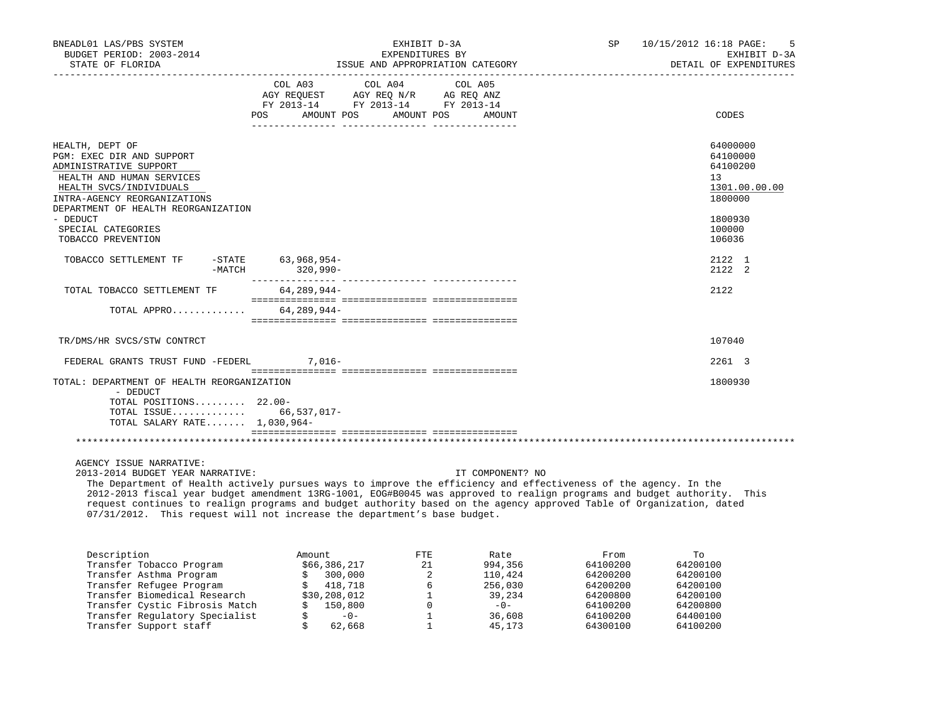| BNEADL01 LAS/PBS SYSTEM<br>BUDGET PERIOD: 2003-2014<br>STATE OF FLORIDA                                                                                                                                                                                       |          |             | EXHIBIT D-3A<br>EXPENDITURES BY                                                                                                | ISSUE AND APPROPRIATION CATEGORY | SP 10/15/2012 16:18 PAGE:<br>EXHIBIT D-3A<br>DETAIL OF EXPENDITURES<br>CODES<br>64000000<br>64100000<br>64100200<br>13<br>1800000<br>1800930 |                                   |  |  |
|---------------------------------------------------------------------------------------------------------------------------------------------------------------------------------------------------------------------------------------------------------------|----------|-------------|--------------------------------------------------------------------------------------------------------------------------------|----------------------------------|----------------------------------------------------------------------------------------------------------------------------------------------|-----------------------------------|--|--|
|                                                                                                                                                                                                                                                               |          |             | COL A03 COL A04 COL A05<br>AGY REQUEST AGY REQ N/R AG REQ ANZ<br>FY 2013-14 FY 2013-14 FY 2013-14<br>POS AMOUNT POS AMOUNT POS | AMOUNT                           |                                                                                                                                              |                                   |  |  |
| HEALTH, DEPT OF<br>PGM: EXEC DIR AND SUPPORT<br>ADMINISTRATIVE SUPPORT<br>HEALTH AND HUMAN SERVICES<br>HEALTH SVCS/INDIVIDUALS<br>INTRA-AGENCY REORGANIZATIONS<br>DEPARTMENT OF HEALTH REORGANIZATION<br>- DEDUCT<br>SPECIAL CATEGORIES<br>TOBACCO PREVENTION |          |             |                                                                                                                                |                                  |                                                                                                                                              | 1301.00.00.00<br>100000<br>106036 |  |  |
| TOBACCO SETTLEMENT TF -STATE 63,968,954-                                                                                                                                                                                                                      | $-MATCH$ | $320.990 -$ |                                                                                                                                |                                  |                                                                                                                                              | 2122 1<br>2122 2                  |  |  |
| TOTAL TOBACCO SETTLEMENT TF                                                                                                                                                                                                                                   |          | 64,289,944- |                                                                                                                                |                                  |                                                                                                                                              | 2122                              |  |  |
| TOTAL APPRO 64, 289, 944-                                                                                                                                                                                                                                     |          |             |                                                                                                                                |                                  |                                                                                                                                              |                                   |  |  |
| TR/DMS/HR SVCS/STW CONTRCT                                                                                                                                                                                                                                    |          |             |                                                                                                                                |                                  |                                                                                                                                              | 107040                            |  |  |
| FEDERAL GRANTS TRUST FUND -FEDERL 7,016-                                                                                                                                                                                                                      |          |             |                                                                                                                                |                                  |                                                                                                                                              | 2261 3                            |  |  |
| TOTAL: DEPARTMENT OF HEALTH REORGANIZATION<br>- DEDUCT<br>TOTAL POSITIONS 22.00-<br>TOTAL ISSUE 66,537,017-<br>TOTAL SALARY RATE 1,030,964-                                                                                                                   |          |             |                                                                                                                                |                                  |                                                                                                                                              | 1800930                           |  |  |
|                                                                                                                                                                                                                                                               |          |             |                                                                                                                                |                                  |                                                                                                                                              |                                   |  |  |

## AGENCY ISSUE NARRATIVE:

2013-2014 BUDGET YEAR NARRATIVE: IT COMPONENT? NO

 The Department of Health actively pursues ways to improve the efficiency and effectiveness of the agency. In the 2012-2013 fiscal year budget amendment 13RG-1001, EOG#B0045 was approved to realign programs and budget authority. This request continues to realign programs and budget authority based on the agency approved Table of Organization, dated 07/31/2012. This request will not increase the department's base budget.

| Description |                                | Amount |              | FTE. | Rate    | From     | Tо       |
|-------------|--------------------------------|--------|--------------|------|---------|----------|----------|
|             | Transfer Tobacco Program       |        | \$66,386,217 | 21   | 994,356 | 64100200 | 64200100 |
|             | Transfer Asthma Program        |        | 300,000      |      | 110,424 | 64200200 | 64200100 |
|             | Transfer Refugee Program       |        | 418,718      |      | 256,030 | 64200200 | 64200100 |
|             | Transfer Biomedical Research   |        | \$30,208,012 |      | 39,234  | 64200800 | 64200100 |
|             | Transfer Cystic Fibrosis Match |        | 150,800      |      | $-0-$   | 64100200 | 64200800 |
|             | Transfer Regulatory Specialist |        | $-0-$        |      | 36,608  | 64100200 | 64400100 |
|             | Transfer Support staff         |        | 62,668       |      | 45,173  | 64300100 | 64100200 |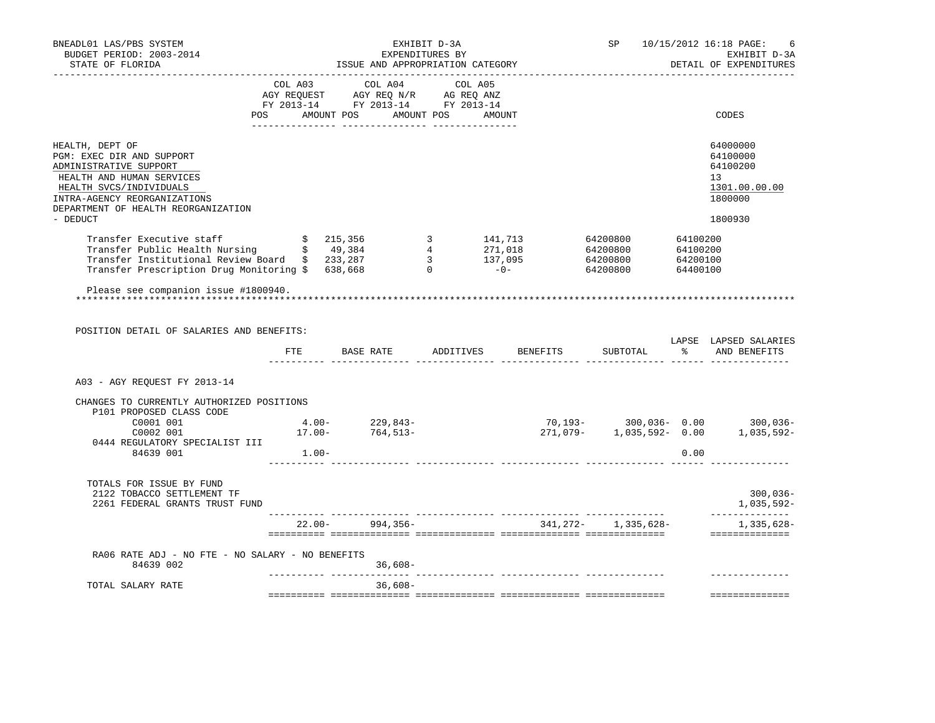| BNEADL01 LAS/PBS SYSTEM<br>BUDGET PERIOD: 2003-2014<br>STATE OF FLORIDA                                                                                                                                                                                                                                                                                                                                                                                     |              | ISSUE AND APPROPRIATION CATEGORY                                                                                                                                                    | EXHIBIT D-3A | EXPENDITURES BY              | <b>SP</b>             |      | 10/15/2012 16:18 PAGE:<br>6<br>EXHIBIT D-3A<br>DETAIL OF EXPENDITURES         |
|-------------------------------------------------------------------------------------------------------------------------------------------------------------------------------------------------------------------------------------------------------------------------------------------------------------------------------------------------------------------------------------------------------------------------------------------------------------|--------------|-------------------------------------------------------------------------------------------------------------------------------------------------------------------------------------|--------------|------------------------------|-----------------------|------|-------------------------------------------------------------------------------|
|                                                                                                                                                                                                                                                                                                                                                                                                                                                             | <b>POS</b>   | $\begin{tabular}{lcccc} COL A03 & COL A04 & COL A05 \\ AGY REQUEST & AGY REQ N/R & AG REQ ANZ \\ FY & 2013-14 & FY & 2013-14 & FY & 2013-14 \end{tabular}$<br>AMOUNT POS AMOUNT POS |              | AMOUNT                       |                       |      | CODES                                                                         |
| HEALTH, DEPT OF<br>PGM: EXEC DIR AND SUPPORT<br>ADMINISTRATIVE SUPPORT<br>HEALTH AND HUMAN SERVICES<br>HEALTH SVCS/INDIVIDUALS<br>INTRA-AGENCY REORGANIZATIONS<br>DEPARTMENT OF HEALTH REORGANIZATION<br>- DEDUCT<br>19 Transfer Executive staff (1992)<br>Transfer Public Health Nursing (1993)<br>Transfer Institutional Review Board (1993), 287 (1994)<br>Transfer Prescription Drug Monitoring (1993), 287 (1995)<br>Transfer Prescription Drug Monito |              |                                                                                                                                                                                     |              |                              |                       |      | 64000000<br>64100000<br>64100200<br>13<br>1301.00.00.00<br>1800000<br>1800930 |
|                                                                                                                                                                                                                                                                                                                                                                                                                                                             |              |                                                                                                                                                                                     |              |                              |                       |      |                                                                               |
| Please see companion issue #1800940.<br>POSITION DETAIL OF SALARIES AND BENEFITS:                                                                                                                                                                                                                                                                                                                                                                           | FTE <b>F</b> |                                                                                                                                                                                     |              | BASE RATE ADDITIVES BENEFITS |                       |      | LAPSE LAPSED SALARIES<br>SUBTOTAL % AND BENEFITS                              |
| A03 - AGY REQUEST FY 2013-14                                                                                                                                                                                                                                                                                                                                                                                                                                |              |                                                                                                                                                                                     |              |                              |                       |      |                                                                               |
| CHANGES TO CURRENTLY AUTHORIZED POSITIONS<br>P101 PROPOSED CLASS CODE<br>$\begin{array}{cccc} \tt 00001 & 001 & & & & 4.00-- & 229,843-- \\ \tt 0002 & 001 & & & 17.00-- & 764,513-- \\ \end{array}$<br>C0001 001<br>0444 REGULATORY SPECIALIST III<br>84639 001                                                                                                                                                                                            | $1.00-$      |                                                                                                                                                                                     |              |                              |                       | 0.00 | 70,193- 300,036- 0.00 300,036-<br>271,079- 1,035,592- 0.00 1,035,592-         |
| TOTALS FOR ISSUE BY FUND<br>2122 TOBACCO SETTLEMENT TF<br>2261 FEDERAL GRANTS TRUST FUND                                                                                                                                                                                                                                                                                                                                                                    |              |                                                                                                                                                                                     |              |                              |                       |      | $300,036-$<br>1,035,592-                                                      |
|                                                                                                                                                                                                                                                                                                                                                                                                                                                             |              |                                                                                                                                                                                     |              | $22.00 - 994,356 -$          | 341, 272-1, 335, 628- |      | --------------<br>1,335,628–<br>==============                                |
| RA06 RATE ADJ - NO FTE - NO SALARY - NO BENEFITS<br>84639 002                                                                                                                                                                                                                                                                                                                                                                                               |              | $36,608-$                                                                                                                                                                           |              |                              |                       |      |                                                                               |
| TOTAL SALARY RATE                                                                                                                                                                                                                                                                                                                                                                                                                                           |              | . <u>.</u> .<br>$36,608-$                                                                                                                                                           |              |                              |                       |      | <b>BEEREESEREESE</b>                                                          |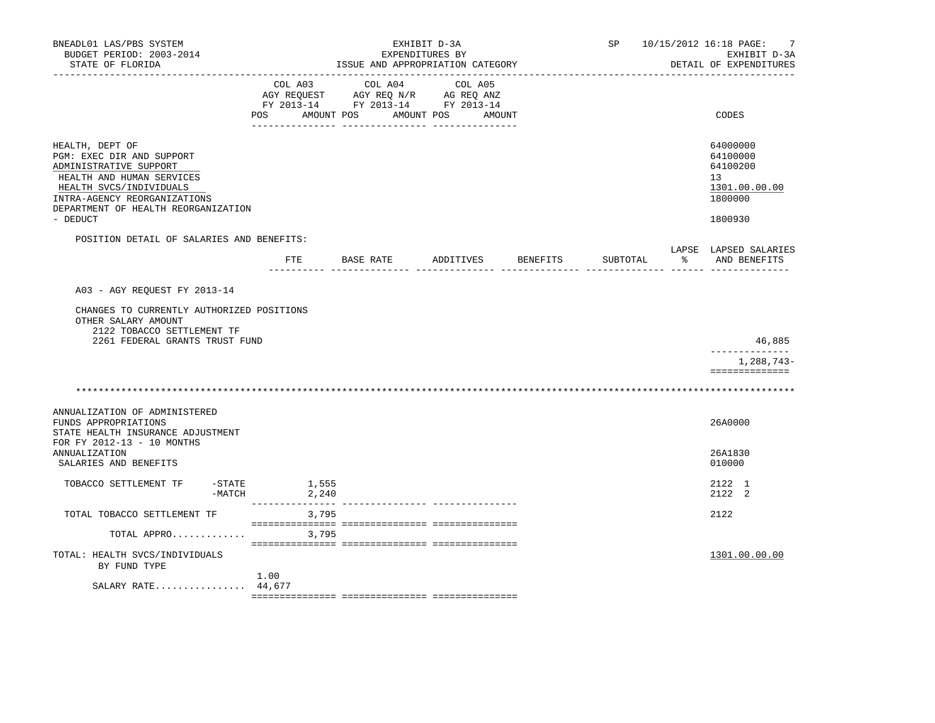| BNEADL01 LAS/PBS SYSTEM<br>BUDGET PERIOD: 2003-2014<br>STATE OF FLORIDA                                                                                                                                           |                | EXHIBIT D-3A<br>EXPENDITURES BY<br>ISSUE AND APPROPRIATION CATEGORY                                                                                                                                                                                                                                                                                                                                                    |                   | SP       |                      | 10/15/2012 16:18 PAGE:<br>7<br>EXHIBIT D-3A<br>DETAIL OF EXPENDITURES         |
|-------------------------------------------------------------------------------------------------------------------------------------------------------------------------------------------------------------------|----------------|------------------------------------------------------------------------------------------------------------------------------------------------------------------------------------------------------------------------------------------------------------------------------------------------------------------------------------------------------------------------------------------------------------------------|-------------------|----------|----------------------|-------------------------------------------------------------------------------|
|                                                                                                                                                                                                                   | POS AMOUNT POS | $\begin{tabular}{lcccc} CDL A03 & CDL A04 & CDL A05 \\ AGY REQUEST & AGY REQ N/R & AG REQ ANZ \\ FY & 2013-14 & FY & 2013-14 & FY & 2013-14 \end{tabular}$                                                                                                                                                                                                                                                             | AMOUNT POS AMOUNT |          |                      | CODES                                                                         |
| HEALTH, DEPT OF<br>PGM: EXEC DIR AND SUPPORT<br>ADMINISTRATIVE SUPPORT<br>HEALTH AND HUMAN SERVICES<br>HEALTH SVCS/INDIVIDUALS<br>INTRA-AGENCY REORGANIZATIONS<br>DEPARTMENT OF HEALTH REORGANIZATION<br>- DEDUCT |                |                                                                                                                                                                                                                                                                                                                                                                                                                        |                   |          |                      | 64000000<br>64100000<br>64100200<br>13<br>1301.00.00.00<br>1800000<br>1800930 |
| POSITION DETAIL OF SALARIES AND BENEFITS:                                                                                                                                                                         |                | FTE BASE RATE ADDITIVES BENEFITS                                                                                                                                                                                                                                                                                                                                                                                       |                   | SUBTOTAL | $\sim$ $\sim$ $\sim$ | LAPSE LAPSED SALARIES<br>AND BENEFITS                                         |
| A03 - AGY REQUEST FY 2013-14<br>CHANGES TO CURRENTLY AUTHORIZED POSITIONS<br>OTHER SALARY AMOUNT<br>2122 TOBACCO SETTLEMENT TF<br>2261 FEDERAL GRANTS TRUST FUND                                                  |                |                                                                                                                                                                                                                                                                                                                                                                                                                        |                   |          |                      | 46,885<br>--------------                                                      |
|                                                                                                                                                                                                                   |                |                                                                                                                                                                                                                                                                                                                                                                                                                        |                   |          |                      | 1,288,743-<br>==============                                                  |
| ANNUALIZATION OF ADMINISTERED<br>FUNDS APPROPRIATIONS<br>STATE HEALTH INSURANCE ADJUSTMENT                                                                                                                        |                |                                                                                                                                                                                                                                                                                                                                                                                                                        |                   |          |                      | 26A0000                                                                       |
| FOR FY 2012-13 - 10 MONTHS<br><b>ANNUALIZATION</b><br>SALARIES AND BENEFITS                                                                                                                                       |                |                                                                                                                                                                                                                                                                                                                                                                                                                        |                   |          |                      | 26A1830<br>010000                                                             |
| TOBACCO SETTLEMENT TF<br>$-$ STATE<br>-MATCH                                                                                                                                                                      | 1,555<br>2,240 |                                                                                                                                                                                                                                                                                                                                                                                                                        |                   |          |                      | 2122 1<br>2122 2                                                              |
| TOTAL TOBACCO SETTLEMENT TF                                                                                                                                                                                       | 3,795          | $\verb {{ }}\verb {{ }}\verb {{ }}\verb {{ }}\verb {{ }}\verb {{ }}\verb {{ }}\verb {{ }}\verb {{ }}\verb {{ }}\verb {{ }}\verb {{ }}\verb {{ }}\verb {{ }}\verb {{ }}\verb {{ }}\verb {{ }}\verb {{ }}\verb {{ }}\verb {{ }}\verb {{ }}\verb {{ }}\verb {{ }}\verb {{ }}\verb {{ }}\verb {{ }}\verb {{ }}\verb {{ }}\verb {{ }}\verb {{ }}\verb {{ }}\verb {{ }}\verb {{ }}\verb {{ }}\verb {{ }}\verb {{ }}\verb {{$ |                   |          |                      | 2122                                                                          |
| TOTAL APPRO<br>TOTAL: HEALTH SVCS/INDIVIDUALS<br>BY FUND TYPE                                                                                                                                                     | 3,795<br>1.00  |                                                                                                                                                                                                                                                                                                                                                                                                                        |                   |          |                      | 1301.00.00.00                                                                 |
| SALARY RATE 44,677                                                                                                                                                                                                |                |                                                                                                                                                                                                                                                                                                                                                                                                                        |                   |          |                      |                                                                               |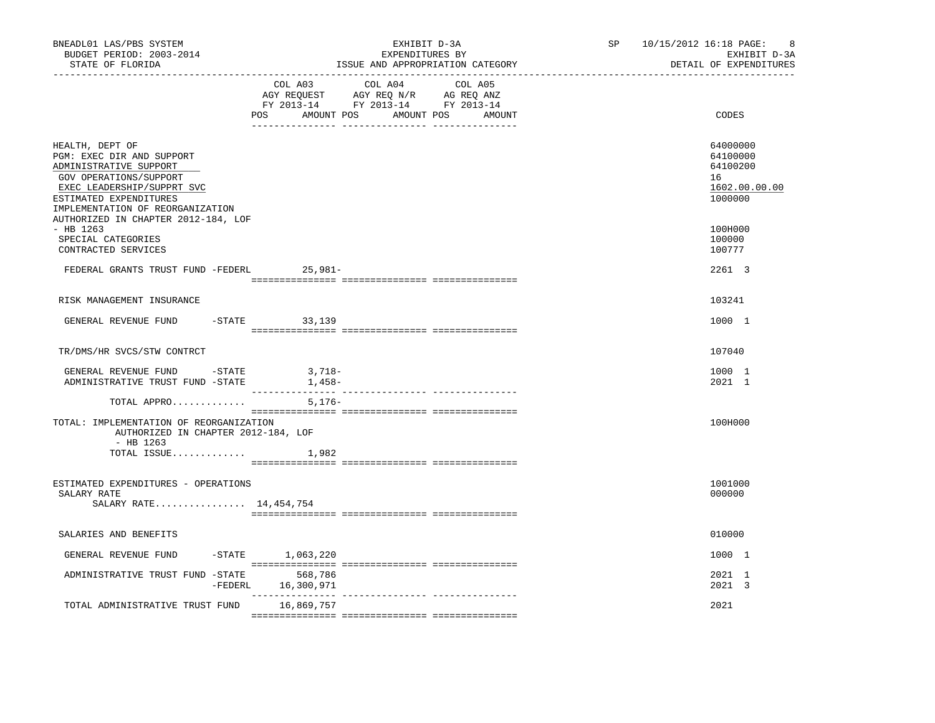| BNEADL01 LAS/PBS SYSTEM<br>BUDGET PERIOD: 2003-2014<br>STATE OF FLORIDA                                                                                                                                                             | ______________________________ | EXHIBIT D-3A<br>EXPENDITURES BY<br>ISSUE AND APPROPRIATION CATEGORY                                                          | SP | 10/15/2012 16:18 PAGE:<br>8<br>EXHIBIT D-3A<br>DETAIL OF EXPENDITURES |
|-------------------------------------------------------------------------------------------------------------------------------------------------------------------------------------------------------------------------------------|--------------------------------|------------------------------------------------------------------------------------------------------------------------------|----|-----------------------------------------------------------------------|
|                                                                                                                                                                                                                                     | COL A03<br>POS                 | COL A04<br>COL A05<br>AGY REQUEST AGY REQ N/R AG REQ ANZ<br>FY 2013-14 FY 2013-14 FY 2013-14<br>AMOUNT POS AMOUNT POS AMOUNT |    | CODES                                                                 |
|                                                                                                                                                                                                                                     |                                |                                                                                                                              |    |                                                                       |
| HEALTH, DEPT OF<br>PGM: EXEC DIR AND SUPPORT<br>ADMINISTRATIVE SUPPORT<br>GOV OPERATIONS/SUPPORT<br>EXEC LEADERSHIP/SUPPRT SVC<br>ESTIMATED EXPENDITURES<br>IMPLEMENTATION OF REORGANIZATION<br>AUTHORIZED IN CHAPTER 2012-184, LOF |                                |                                                                                                                              |    | 64000000<br>64100000<br>64100200<br>16<br>1602.00.00.00<br>1000000    |
| $-$ HB 1263<br>SPECIAL CATEGORIES<br>CONTRACTED SERVICES                                                                                                                                                                            |                                |                                                                                                                              |    | 100H000<br>100000<br>100777                                           |
| FEDERAL GRANTS TRUST FUND -FEDERL 25,981-                                                                                                                                                                                           |                                |                                                                                                                              |    | 2261 3                                                                |
| RISK MANAGEMENT INSURANCE                                                                                                                                                                                                           |                                |                                                                                                                              |    | 103241                                                                |
| GENERAL REVENUE FUND                                                                                                                                                                                                                | $-STATE$ 33, 139               |                                                                                                                              |    | 1000 1                                                                |
| TR/DMS/HR SVCS/STW CONTRCT                                                                                                                                                                                                          |                                |                                                                                                                              |    | 107040                                                                |
| GENERAL REVENUE FUND -STATE<br>ADMINISTRATIVE TRUST FUND -STATE                                                                                                                                                                     | 3,718-<br>1,458–               |                                                                                                                              |    | 1000 1<br>2021 1                                                      |
| TOTAL APPRO                                                                                                                                                                                                                         | $5,176-$                       |                                                                                                                              |    |                                                                       |
| TOTAL: IMPLEMENTATION OF REORGANIZATION<br>AUTHORIZED IN CHAPTER 2012-184, LOF<br>$-$ HB 1263                                                                                                                                       |                                |                                                                                                                              |    | 100H000                                                               |
| TOTAL ISSUE $1,982$                                                                                                                                                                                                                 |                                |                                                                                                                              |    |                                                                       |
| ESTIMATED EXPENDITURES - OPERATIONS<br>SALARY RATE<br>SALARY RATE 14,454,754                                                                                                                                                        |                                |                                                                                                                              |    | 1001000<br>000000                                                     |
| SALARIES AND BENEFITS                                                                                                                                                                                                               |                                |                                                                                                                              |    | 010000                                                                |
| GENERAL REVENUE FUND                                                                                                                                                                                                                | $-$ STATE $1,063,220$          |                                                                                                                              |    | 1000 1                                                                |
| ADMINISTRATIVE TRUST FUND -STATE 568,786                                                                                                                                                                                            | -FEDERL 16,300,971             |                                                                                                                              |    | 2021 1<br>2021 3                                                      |
| TOTAL ADMINISTRATIVE TRUST FUND                                                                                                                                                                                                     | 16,869,757                     |                                                                                                                              |    | 2021                                                                  |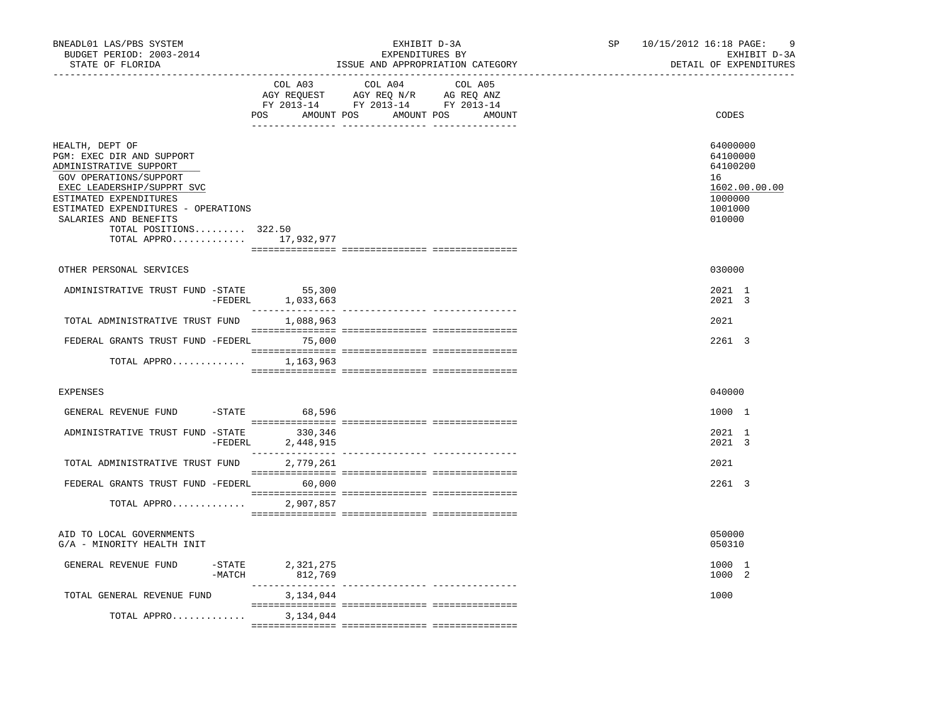| BNEADL01 LAS/PBS SYSTEM<br>BUDGET PERIOD: 2003-2014<br>STATE OF FLORIDA                                                                                                                                                                                                      | _________________________________           | EXHIBIT D-3A<br>EXPENDITURES BY<br>ISSUE AND APPROPRIATION CATEGORY                                                              | SP | 10/15/2012 16:18 PAGE:<br>-9<br>EXHIBIT D-3A<br>DETAIL OF EXPENDITURES                  |
|------------------------------------------------------------------------------------------------------------------------------------------------------------------------------------------------------------------------------------------------------------------------------|---------------------------------------------|----------------------------------------------------------------------------------------------------------------------------------|----|-----------------------------------------------------------------------------------------|
|                                                                                                                                                                                                                                                                              | COL A03                                     | COL A04<br>COL A05<br>AGY REQUEST AGY REQ N/R AG REQ ANZ<br>FY 2013-14 FY 2013-14 FY 2013-14<br>POS AMOUNT POS AMOUNT POS AMOUNT |    | CODES                                                                                   |
| HEALTH, DEPT OF<br>PGM: EXEC DIR AND SUPPORT<br>ADMINISTRATIVE SUPPORT<br>GOV OPERATIONS/SUPPORT<br>EXEC LEADERSHIP/SUPPRT SVC<br>ESTIMATED EXPENDITURES<br>ESTIMATED EXPENDITURES - OPERATIONS<br>SALARIES AND BENEFITS<br>TOTAL POSITIONS 322.50<br>TOTAL APPRO 17,932,977 |                                             |                                                                                                                                  |    | 64000000<br>64100000<br>64100200<br>16<br>1602.00.00.00<br>1000000<br>1001000<br>010000 |
| OTHER PERSONAL SERVICES                                                                                                                                                                                                                                                      |                                             |                                                                                                                                  |    | 030000                                                                                  |
| ADMINISTRATIVE TRUST FUND -STATE 55,300                                                                                                                                                                                                                                      | -FEDERL 1,033,663                           |                                                                                                                                  |    | 2021 1<br>2021 3                                                                        |
| TOTAL ADMINISTRATIVE TRUST FUND 1,088,963                                                                                                                                                                                                                                    |                                             |                                                                                                                                  |    | 2021                                                                                    |
| FEDERAL GRANTS TRUST FUND -FEDERL 75,000                                                                                                                                                                                                                                     |                                             |                                                                                                                                  |    | 2261 3                                                                                  |
| TOTAL APPRO 1,163,963                                                                                                                                                                                                                                                        |                                             |                                                                                                                                  |    |                                                                                         |
| <b>EXPENSES</b>                                                                                                                                                                                                                                                              |                                             |                                                                                                                                  |    | 040000                                                                                  |
| GENERAL REVENUE FUND -STATE 68,596                                                                                                                                                                                                                                           |                                             |                                                                                                                                  |    | 1000 1                                                                                  |
| ADMINISTRATIVE TRUST FUND -STATE                                                                                                                                                                                                                                             | 330,346<br>-FEDERL 2,448,915                |                                                                                                                                  |    | 2021 1<br>2021 3                                                                        |
| TOTAL ADMINISTRATIVE TRUST FUND 2,779,261                                                                                                                                                                                                                                    |                                             |                                                                                                                                  |    | 2021                                                                                    |
| FEDERAL GRANTS TRUST FUND -FEDERL 60,000<br>TOTAL APPRO                                                                                                                                                                                                                      | 2,907,857                                   |                                                                                                                                  |    | 2261 3                                                                                  |
| AID TO LOCAL GOVERNMENTS<br>G/A - MINORITY HEALTH INIT                                                                                                                                                                                                                       |                                             |                                                                                                                                  |    | 050000<br>050310                                                                        |
| GENERAL REVENUE FUND                                                                                                                                                                                                                                                         | $-STATE$ 2, 321, 275<br>$-MATCH$<br>812,769 |                                                                                                                                  |    | 1000 1<br>1000 2                                                                        |
| TOTAL GENERAL REVENUE FUND                                                                                                                                                                                                                                                   | 3,134,044                                   |                                                                                                                                  |    | 1000                                                                                    |
| TOTAL APPRO                                                                                                                                                                                                                                                                  | 3,134,044                                   |                                                                                                                                  |    |                                                                                         |
|                                                                                                                                                                                                                                                                              |                                             |                                                                                                                                  |    |                                                                                         |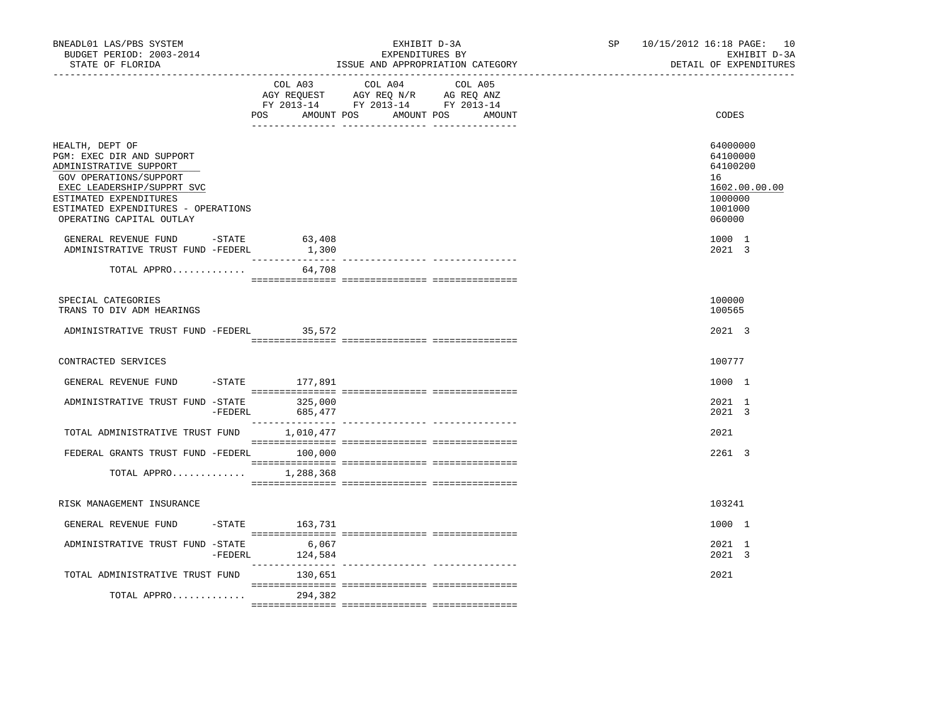| BNEADL01 LAS/PBS SYSTEM<br>BUDGET PERIOD: 2003-2014<br>STATE OF FLORIDA                                                                                                                                                     |                          | EXHIBIT D-3A<br>EXPENDITURES BY<br>ISSUE AND APPROPRIATION CATEGORY                                                                   | SP and the set of the set of the set of the set of the set of the set of the set of the set of the set of the set of the set of the set of the set of the set of the set of the set of the set of the set of the set of the se | 10/15/2012 16:18 PAGE: 10<br>EXHIBIT D-3A<br>DETAIL OF EXPENDITURES                     |
|-----------------------------------------------------------------------------------------------------------------------------------------------------------------------------------------------------------------------------|--------------------------|---------------------------------------------------------------------------------------------------------------------------------------|--------------------------------------------------------------------------------------------------------------------------------------------------------------------------------------------------------------------------------|-----------------------------------------------------------------------------------------|
|                                                                                                                                                                                                                             |                          | COL A03 COL A04 COL A05<br>AGY REQUEST AGY REQ N/R AG REQ ANZ<br>FY 2013-14 FY 2013-14 FY 2013-14<br>POS AMOUNT POS AMOUNT POS AMOUNT |                                                                                                                                                                                                                                | CODES                                                                                   |
| HEALTH, DEPT OF<br>PGM: EXEC DIR AND SUPPORT<br>ADMINISTRATIVE SUPPORT<br>GOV OPERATIONS/SUPPORT<br>EXEC LEADERSHIP/SUPPRT SVC<br>ESTIMATED EXPENDITURES<br>ESTIMATED EXPENDITURES - OPERATIONS<br>OPERATING CAPITAL OUTLAY |                          |                                                                                                                                       |                                                                                                                                                                                                                                | 64000000<br>64100000<br>64100200<br>16<br>1602.00.00.00<br>1000000<br>1001000<br>060000 |
| GENERAL REVENUE FUND -STATE<br>ADMINISTRATIVE TRUST FUND -FEDERL                                                                                                                                                            | 63,408<br>1,300          |                                                                                                                                       |                                                                                                                                                                                                                                | 1000 1<br>2021 3                                                                        |
| TOTAL APPRO                                                                                                                                                                                                                 | 64,708                   |                                                                                                                                       |                                                                                                                                                                                                                                |                                                                                         |
| SPECIAL CATEGORIES<br>TRANS TO DIV ADM HEARINGS                                                                                                                                                                             |                          |                                                                                                                                       |                                                                                                                                                                                                                                | 100000<br>100565                                                                        |
| ADMINISTRATIVE TRUST FUND -FEDERL 35,572                                                                                                                                                                                    |                          |                                                                                                                                       |                                                                                                                                                                                                                                | 2021 3                                                                                  |
| CONTRACTED SERVICES                                                                                                                                                                                                         |                          |                                                                                                                                       |                                                                                                                                                                                                                                | 100777                                                                                  |
| GENERAL REVENUE FUND -STATE 177,891                                                                                                                                                                                         |                          |                                                                                                                                       |                                                                                                                                                                                                                                | 1000 1                                                                                  |
| ADMINISTRATIVE TRUST FUND -STATE<br>-FEDERL                                                                                                                                                                                 | 325,000<br>685,477       |                                                                                                                                       |                                                                                                                                                                                                                                | 2021 1<br>2021 3                                                                        |
| TOTAL ADMINISTRATIVE TRUST FUND                                                                                                                                                                                             | 1,010,477                |                                                                                                                                       |                                                                                                                                                                                                                                | 2021                                                                                    |
| FEDERAL GRANTS TRUST FUND -FEDERL 100,000                                                                                                                                                                                   |                          |                                                                                                                                       |                                                                                                                                                                                                                                | 2261 3                                                                                  |
| TOTAL APPRO                                                                                                                                                                                                                 | 1,288,368                |                                                                                                                                       |                                                                                                                                                                                                                                |                                                                                         |
| RISK MANAGEMENT INSURANCE                                                                                                                                                                                                   |                          |                                                                                                                                       |                                                                                                                                                                                                                                | 103241                                                                                  |
| GENERAL REVENUE FUND                                                                                                                                                                                                        | -STATE 163,731           |                                                                                                                                       |                                                                                                                                                                                                                                | 1000 1                                                                                  |
| ADMINISTRATIVE TRUST FUND -STATE                                                                                                                                                                                            | 6,067<br>-FEDERL 124,584 |                                                                                                                                       |                                                                                                                                                                                                                                | 2021 1<br>2021 3                                                                        |
| TOTAL ADMINISTRATIVE TRUST FUND                                                                                                                                                                                             | 130,651                  |                                                                                                                                       |                                                                                                                                                                                                                                | 2021                                                                                    |
| TOTAL APPRO                                                                                                                                                                                                                 | 294,382                  |                                                                                                                                       |                                                                                                                                                                                                                                |                                                                                         |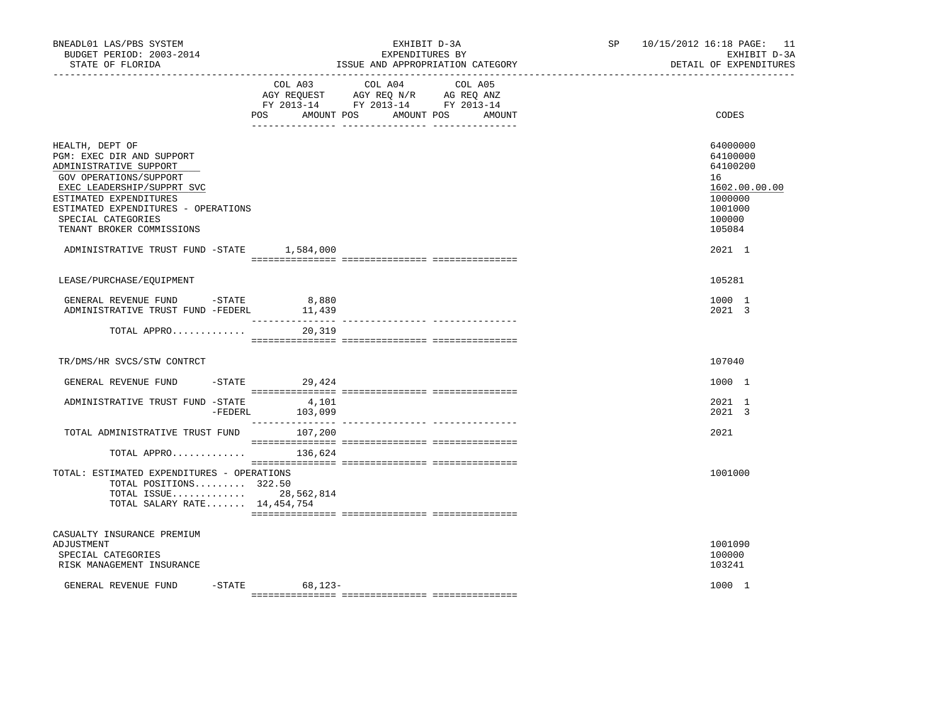| BNEADL01 LAS/PBS SYSTEM<br>BUDGET PERIOD: 2003-2014<br>STATE OF FLORIDA                                                                                                                                                                                                                          |                          | EXHIBIT D-3A<br>EXPENDITURES BY<br>ISSUE AND APPROPRIATION CATEGORY                                                                     | SP | 10/15/2012 16:18 PAGE: 11<br>EXHIBIT D-3A<br>DETAIL OF EXPENDITURES                                         |
|--------------------------------------------------------------------------------------------------------------------------------------------------------------------------------------------------------------------------------------------------------------------------------------------------|--------------------------|-----------------------------------------------------------------------------------------------------------------------------------------|----|-------------------------------------------------------------------------------------------------------------|
|                                                                                                                                                                                                                                                                                                  | <b>POS</b>               | COL A03 COL A04<br>COL A05<br>AGY REQUEST AGY REQ N/R AG REQ ANZ<br>FY 2013-14 FY 2013-14 FY 2013-14<br>AMOUNT POS AMOUNT POS<br>AMOUNT |    | CODES                                                                                                       |
| HEALTH, DEPT OF<br>PGM: EXEC DIR AND SUPPORT<br>ADMINISTRATIVE SUPPORT<br>GOV OPERATIONS/SUPPORT<br>EXEC LEADERSHIP/SUPPRT SVC<br>ESTIMATED EXPENDITURES<br>ESTIMATED EXPENDITURES - OPERATIONS<br>SPECIAL CATEGORIES<br>TENANT BROKER COMMISSIONS<br>ADMINISTRATIVE TRUST FUND -STATE 1,584,000 |                          |                                                                                                                                         |    | 64000000<br>64100000<br>64100200<br>16<br>1602.00.00.00<br>1000000<br>1001000<br>100000<br>105084<br>2021 1 |
|                                                                                                                                                                                                                                                                                                  |                          |                                                                                                                                         |    |                                                                                                             |
| LEASE/PURCHASE/EQUIPMENT                                                                                                                                                                                                                                                                         |                          |                                                                                                                                         |    | 105281                                                                                                      |
| GENERAL REVENUE FUND -STATE<br>ADMINISTRATIVE TRUST FUND -FEDERL                                                                                                                                                                                                                                 | 8,880<br>11,439          |                                                                                                                                         |    | 1000 1<br>2021 3                                                                                            |
| TOTAL APPRO                                                                                                                                                                                                                                                                                      | 20,319                   |                                                                                                                                         |    |                                                                                                             |
| TR/DMS/HR SVCS/STW CONTRCT                                                                                                                                                                                                                                                                       |                          |                                                                                                                                         |    | 107040                                                                                                      |
| GENERAL REVENUE FUND                                                                                                                                                                                                                                                                             | $-$ STATE 29,424         |                                                                                                                                         |    | 1000 1                                                                                                      |
| ADMINISTRATIVE TRUST FUND -STATE                                                                                                                                                                                                                                                                 | 4,101<br>-FEDERL 103,099 |                                                                                                                                         |    | 2021 1<br>2021 3                                                                                            |
| TOTAL ADMINISTRATIVE TRUST FUND                                                                                                                                                                                                                                                                  | 107,200                  |                                                                                                                                         |    | 2021                                                                                                        |
| TOTAL APPRO $136,624$                                                                                                                                                                                                                                                                            |                          |                                                                                                                                         |    |                                                                                                             |
| TOTAL: ESTIMATED EXPENDITURES - OPERATIONS<br>TOTAL POSITIONS 322.50<br>TOTAL ISSUE 28,562,814<br>TOTAL SALARY RATE 14,454,754                                                                                                                                                                   |                          |                                                                                                                                         |    | 1001000                                                                                                     |
| CASUALTY INSURANCE PREMIUM<br>ADJUSTMENT<br>SPECIAL CATEGORIES<br>RISK MANAGEMENT INSURANCE                                                                                                                                                                                                      |                          |                                                                                                                                         |    | 1001090<br>100000<br>103241                                                                                 |
| GENERAL REVENUE FUND                                                                                                                                                                                                                                                                             | -STATE 68,123-           |                                                                                                                                         |    | 1000 1                                                                                                      |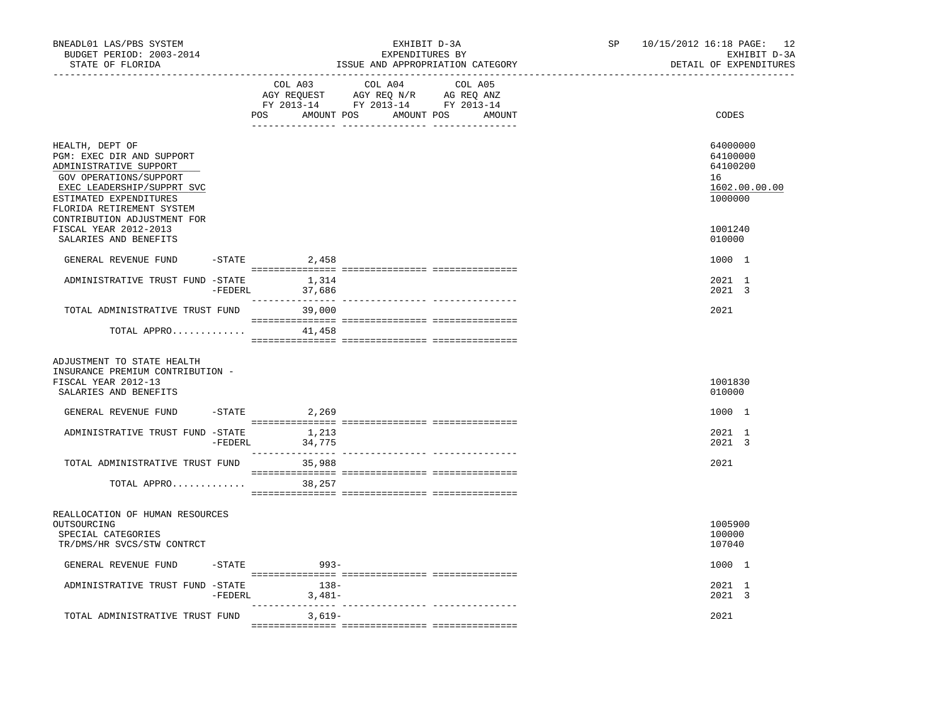| BNEADL01 LAS/PBS SYSTEM<br>BUDGET PERIOD: 2003-2014<br>STATE OF FLORIDA                                                                                                               |           | ________________________________ | EXHIBIT D-3A<br>EXPENDITURES BY<br>ISSUE AND APPROPRIATION CATEGORY                                                                 | SP<br>----------------------------- | 10/15/2012 16:18 PAGE: 12<br>EXHIBIT D-3A<br>DETAIL OF EXPENDITURES |
|---------------------------------------------------------------------------------------------------------------------------------------------------------------------------------------|-----------|----------------------------------|-------------------------------------------------------------------------------------------------------------------------------------|-------------------------------------|---------------------------------------------------------------------|
|                                                                                                                                                                                       |           | COL A03                          | COL A04<br>COL A05<br>AGY REQUEST AGY REQ N/R AG REQ ANZ<br>FY 2013-14 FY 2013-14 FY 2013-14<br>POS AMOUNT POS AMOUNT POS<br>AMOUNT |                                     | CODES                                                               |
| HEALTH, DEPT OF<br>PGM: EXEC DIR AND SUPPORT<br>ADMINISTRATIVE SUPPORT<br>GOV OPERATIONS/SUPPORT<br>EXEC LEADERSHIP/SUPPRT SVC<br>ESTIMATED EXPENDITURES<br>FLORIDA RETIREMENT SYSTEM |           |                                  |                                                                                                                                     |                                     | 64000000<br>64100000<br>64100200<br>16<br>1602.00.00.00<br>1000000  |
| CONTRIBUTION ADJUSTMENT FOR<br>FISCAL YEAR 2012-2013<br>SALARIES AND BENEFITS                                                                                                         |           |                                  |                                                                                                                                     |                                     | 1001240<br>010000                                                   |
| GENERAL REVENUE FUND                                                                                                                                                                  | $-$ STATE | 2,458                            |                                                                                                                                     |                                     | 1000 1                                                              |
| ADMINISTRATIVE TRUST FUND -STATE                                                                                                                                                      | -FEDERL   | 1,314<br>37,686                  |                                                                                                                                     |                                     | 2021 1<br>2021 3                                                    |
| TOTAL ADMINISTRATIVE TRUST FUND                                                                                                                                                       |           | 39,000                           |                                                                                                                                     |                                     | 2021                                                                |
| TOTAL APPRO                                                                                                                                                                           |           | 41,458                           |                                                                                                                                     |                                     |                                                                     |
| ADJUSTMENT TO STATE HEALTH<br>INSURANCE PREMIUM CONTRIBUTION -<br>FISCAL YEAR 2012-13<br>SALARIES AND BENEFITS                                                                        |           |                                  |                                                                                                                                     |                                     | 1001830<br>010000                                                   |
| GENERAL REVENUE FUND                                                                                                                                                                  |           | $-$ STATE 2, 269                 |                                                                                                                                     |                                     | 1000 1                                                              |
| ADMINISTRATIVE TRUST FUND -STATE                                                                                                                                                      | -FEDERL   | 1,213<br>34,775                  |                                                                                                                                     |                                     | 2021 1<br>2021 3                                                    |
| TOTAL ADMINISTRATIVE TRUST FUND<br>TOTAL APPRO                                                                                                                                        |           | 35,988<br>38,257                 |                                                                                                                                     |                                     | 2021                                                                |
| REALLOCATION OF HUMAN RESOURCES<br>OUTSOURCING<br>SPECIAL CATEGORIES<br>TR/DMS/HR SVCS/STW CONTRCT                                                                                    |           |                                  |                                                                                                                                     |                                     | 1005900<br>100000<br>107040                                         |
| GENERAL REVENUE FUND                                                                                                                                                                  | $-$ STATE | $993-$                           |                                                                                                                                     |                                     | 1000 1                                                              |
| ADMINISTRATIVE TRUST FUND -STATE                                                                                                                                                      |           | $138-$<br>$-FEDERL$ 3,481-       |                                                                                                                                     |                                     | 2021 1<br>2021 3                                                    |
| TOTAL ADMINISTRATIVE TRUST FUND                                                                                                                                                       |           | 3,619-                           |                                                                                                                                     |                                     | 2021                                                                |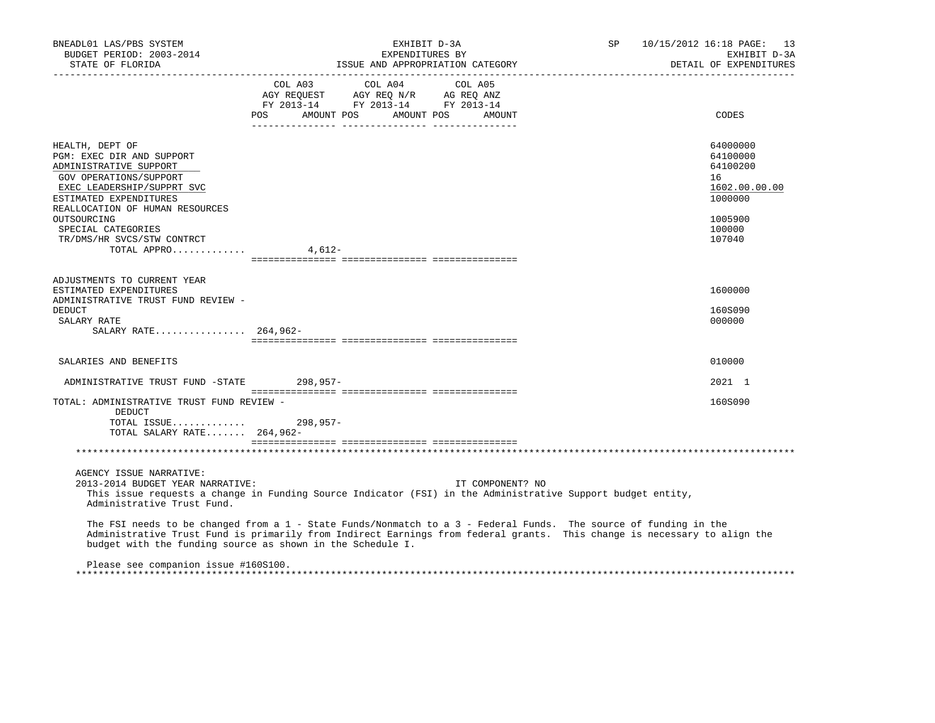| BNEADL01 LAS/PBS SYSTEM<br>BUDGET PERIOD: 2003-2014<br>STATE OF FLORIDA                                                                                                                     | EXHIBIT D-3A<br>EXPENDITURES BY<br>ISSUE AND APPROPRIATION CATEGORY                                                                                                                                                                          |                  | SP 10/15/2012 16:18 PAGE: 13<br>EXHIBIT D-3A<br>DETAIL OF EXPENDITURES |
|---------------------------------------------------------------------------------------------------------------------------------------------------------------------------------------------|----------------------------------------------------------------------------------------------------------------------------------------------------------------------------------------------------------------------------------------------|------------------|------------------------------------------------------------------------|
|                                                                                                                                                                                             | $\begin{tabular}{lcccc} COL A03 & COL A04 & COL A05 \\ AGY REQUEST & AGY REQ N/R & AG REQ ANZ \\ FY & 2013-14 & FY & 2013-14 & FY & 2013-14 \end{tabular}$<br>POS AMOUNT POS AMOUNT POS                                                      | AMOUNT           | CODES                                                                  |
| HEALTH, DEPT OF<br>PGM: EXEC DIR AND SUPPORT<br>ADMINISTRATIVE SUPPORT<br>GOV OPERATIONS/SUPPORT<br>EXEC LEADERSHIP/SUPPRT SVC<br>ESTIMATED EXPENDITURES<br>REALLOCATION OF HUMAN RESOURCES |                                                                                                                                                                                                                                              |                  | 64000000<br>64100000<br>64100200<br>16<br>1602.00.00.00<br>1000000     |
| OUTSOURCING<br>SPECIAL CATEGORIES<br>TR/DMS/HR SVCS/STW CONTRCT<br>TOTAL APPRO $4,612-$                                                                                                     |                                                                                                                                                                                                                                              |                  | 1005900<br>100000<br>107040                                            |
| ADJUSTMENTS TO CURRENT YEAR<br>ESTIMATED EXPENDITURES<br>ADMINISTRATIVE TRUST FUND REVIEW -<br><b>DEDUCT</b><br>SALARY RATE                                                                 |                                                                                                                                                                                                                                              |                  | 1600000<br>160S090<br>000000                                           |
| SALARY RATE 264,962-                                                                                                                                                                        |                                                                                                                                                                                                                                              |                  |                                                                        |
| SALARIES AND BENEFITS                                                                                                                                                                       |                                                                                                                                                                                                                                              |                  | 010000                                                                 |
| ADMINISTRATIVE TRUST FUND -STATE 298,957-                                                                                                                                                   |                                                                                                                                                                                                                                              |                  | 2021 1                                                                 |
| TOTAL: ADMINISTRATIVE TRUST FUND REVIEW -<br>DEDUCT<br>TOTAL ISSUE 298,957-<br>TOTAL SALARY RATE 264,962-                                                                                   |                                                                                                                                                                                                                                              |                  | 160S090                                                                |
|                                                                                                                                                                                             |                                                                                                                                                                                                                                              |                  |                                                                        |
| AGENCY ISSUE NARRATIVE:<br>2013-2014 BUDGET YEAR NARRATIVE:<br>Administrative Trust Fund.                                                                                                   | This issue requests a change in Funding Source Indicator (FSI) in the Administrative Support budget entity,                                                                                                                                  | IT COMPONENT? NO |                                                                        |
| budget with the funding source as shown in the Schedule I.                                                                                                                                  | The FSI needs to be changed from a 1 - State Funds/Nonmatch to a 3 - Federal Funds. The source of funding in the<br>Administrative Trust Fund is primarily from Indirect Earnings from federal grants. This change is necessary to align the |                  |                                                                        |
| Please see companion issue #160S100.                                                                                                                                                        |                                                                                                                                                                                                                                              |                  |                                                                        |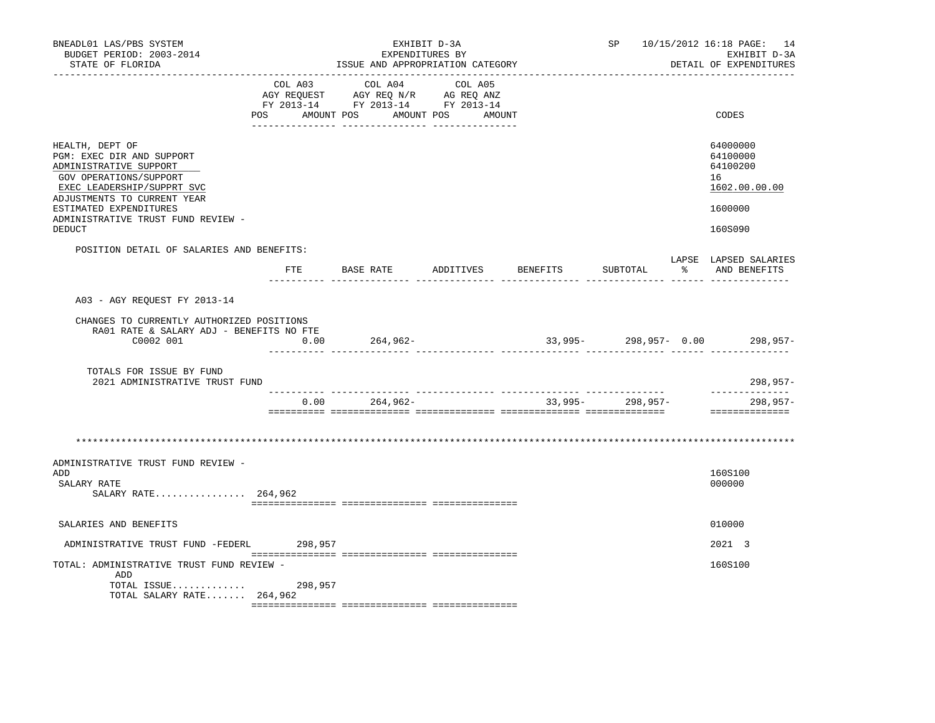| BNEADL01 LAS/PBS SYSTEM<br>BUDGET PERIOD: 2003-2014<br>STATE OF FLORIDA                                                                                                                                                                        |                |               | EXHIBIT D-3A<br>EXPENDITURES BY<br>ISSUE AND APPROPRIATION CATEGORY                                               |           | SP                        |     | 10/15/2012 16:18 PAGE: 14<br>EXHIBIT D-3A<br>DETAIL OF EXPENDITURES           |
|------------------------------------------------------------------------------------------------------------------------------------------------------------------------------------------------------------------------------------------------|----------------|---------------|-------------------------------------------------------------------------------------------------------------------|-----------|---------------------------|-----|-------------------------------------------------------------------------------|
|                                                                                                                                                                                                                                                | COL A03<br>POS | COL A04       | COL A05<br>AGY REQUEST AGY REQ N/R AG REQ ANZ<br>FY 2013-14 FY 2013-14 FY 2013-14<br>AMOUNT POS AMOUNT POS AMOUNT |           |                           |     | CODES                                                                         |
| HEALTH, DEPT OF<br>PGM: EXEC DIR AND SUPPORT<br>ADMINISTRATIVE SUPPORT<br>GOV OPERATIONS/SUPPORT<br>EXEC LEADERSHIP/SUPPRT SVC<br>ADJUSTMENTS TO CURRENT YEAR<br>ESTIMATED EXPENDITURES<br>ADMINISTRATIVE TRUST FUND REVIEW -<br><b>DEDUCT</b> |                |               |                                                                                                                   |           |                           |     | 64000000<br>64100000<br>64100200<br>16<br>1602.00.00.00<br>1600000<br>160S090 |
| POSITION DETAIL OF SALARIES AND BENEFITS:                                                                                                                                                                                                      |                | FTE BASE RATE | ADDITIVES                                                                                                         | BENEFITS  | SUBTOTAL                  | - 옹 | LAPSE LAPSED SALARIES<br>AND BENEFITS                                         |
| A03 - AGY REQUEST FY 2013-14                                                                                                                                                                                                                   |                |               |                                                                                                                   |           |                           |     |                                                                               |
| CHANGES TO CURRENTLY AUTHORIZED POSITIONS<br>RA01 RATE & SALARY ADJ - BENEFITS NO FTE<br>C0002 001                                                                                                                                             | 0.00           | 264,962-      |                                                                                                                   |           | $33,995 - 298,957 - 0.00$ |     | 298,957-                                                                      |
| TOTALS FOR ISSUE BY FUND<br>2021 ADMINISTRATIVE TRUST FUND                                                                                                                                                                                     |                |               |                                                                                                                   |           |                           |     | $298,957-$                                                                    |
|                                                                                                                                                                                                                                                | 0.00           | $264,962-$    |                                                                                                                   | $33,995-$ | 298,957-                  |     | --------------<br>$298,957-$<br>==============                                |
|                                                                                                                                                                                                                                                |                |               |                                                                                                                   |           |                           |     |                                                                               |
| ADMINISTRATIVE TRUST FUND REVIEW -<br>ADD<br>SALARY RATE<br>SALARY RATE 264,962                                                                                                                                                                |                |               |                                                                                                                   |           |                           |     | 160S100<br>000000                                                             |
| SALARIES AND BENEFITS                                                                                                                                                                                                                          |                |               |                                                                                                                   |           |                           |     | 010000                                                                        |
| ADMINISTRATIVE TRUST FUND -FEDERL                                                                                                                                                                                                              | 298,957        |               |                                                                                                                   |           |                           |     | 2021 3                                                                        |
| TOTAL: ADMINISTRATIVE TRUST FUND REVIEW -<br>ADD<br>TOTAL ISSUE<br>TOTAL SALARY RATE $264,962$                                                                                                                                                 | 298,957        |               |                                                                                                                   |           |                           |     | 160S100                                                                       |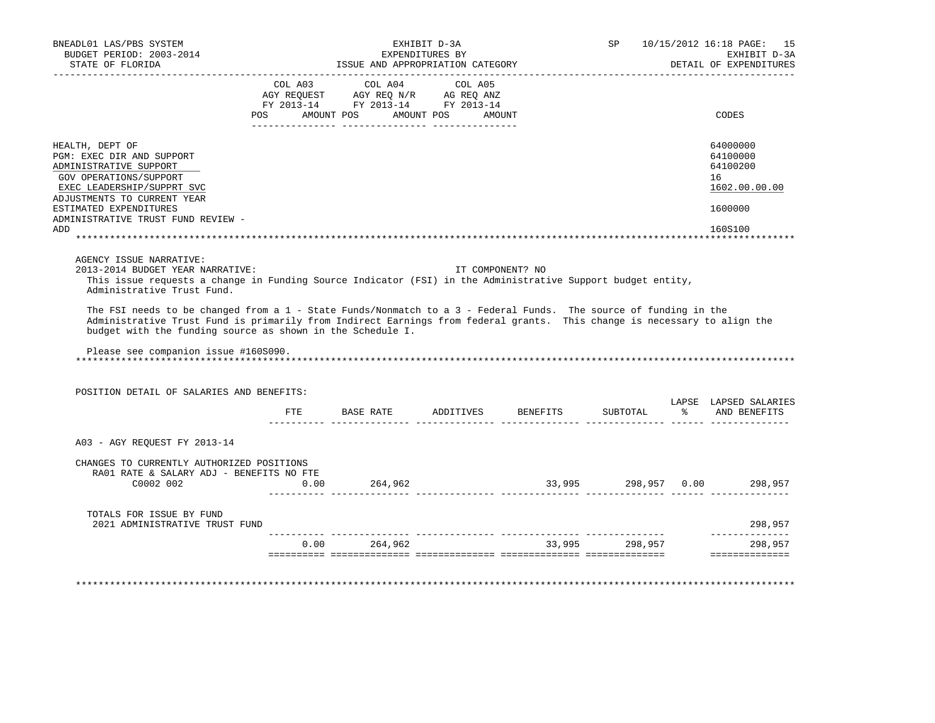| BNEADL01 LAS/PBS SYSTEM<br>BUDGET PERIOD: 2003-2014<br>STATE OF FLORIDA                                                                                                                                                                                                                                                                                                                                                                                                                                                             |      | ISSUE AND APPROPRIATION CATEGORY                                                                           | EXHIBIT D-3A<br>EXPENDITURES BY |                                  |                | SP 10/15/2012 16:18 PAGE: 15<br>EXHIBIT D-3A<br>DETAIL OF EXPENDITURES |
|-------------------------------------------------------------------------------------------------------------------------------------------------------------------------------------------------------------------------------------------------------------------------------------------------------------------------------------------------------------------------------------------------------------------------------------------------------------------------------------------------------------------------------------|------|------------------------------------------------------------------------------------------------------------|---------------------------------|----------------------------------|----------------|------------------------------------------------------------------------|
|                                                                                                                                                                                                                                                                                                                                                                                                                                                                                                                                     |      | --------------------------------------<br>COL A03 COL A04 COL A05                                          |                                 |                                  |                |                                                                        |
|                                                                                                                                                                                                                                                                                                                                                                                                                                                                                                                                     |      | AGY REQUEST AGY REQ N/R AG REQ ANZ<br>FY 2013-14 FY 2013-14 FY 2013-14<br>POS AMOUNT POS AMOUNT POS AMOUNT |                                 |                                  |                | CODES                                                                  |
|                                                                                                                                                                                                                                                                                                                                                                                                                                                                                                                                     |      |                                                                                                            |                                 |                                  |                |                                                                        |
| HEALTH, DEPT OF                                                                                                                                                                                                                                                                                                                                                                                                                                                                                                                     |      |                                                                                                            |                                 |                                  |                | 64000000                                                               |
| PGM: EXEC DIR AND SUPPORT<br>ADMINISTRATIVE SUPPORT                                                                                                                                                                                                                                                                                                                                                                                                                                                                                 |      |                                                                                                            |                                 |                                  |                | 64100000<br>64100200                                                   |
| GOV OPERATIONS/SUPPORT                                                                                                                                                                                                                                                                                                                                                                                                                                                                                                              |      |                                                                                                            |                                 |                                  |                | 16                                                                     |
| EXEC LEADERSHIP/SUPPRT SVC                                                                                                                                                                                                                                                                                                                                                                                                                                                                                                          |      |                                                                                                            |                                 |                                  |                | 1602.00.00.00                                                          |
| ADJUSTMENTS TO CURRENT YEAR                                                                                                                                                                                                                                                                                                                                                                                                                                                                                                         |      |                                                                                                            |                                 |                                  |                |                                                                        |
| ESTIMATED EXPENDITURES<br>ADMINISTRATIVE TRUST FUND REVIEW -                                                                                                                                                                                                                                                                                                                                                                                                                                                                        |      |                                                                                                            |                                 |                                  |                | 1600000                                                                |
| ADD                                                                                                                                                                                                                                                                                                                                                                                                                                                                                                                                 |      |                                                                                                            |                                 |                                  |                | 160S100                                                                |
| AGENCY ISSUE NARRATIVE:                                                                                                                                                                                                                                                                                                                                                                                                                                                                                                             |      |                                                                                                            |                                 |                                  |                |                                                                        |
| 2013-2014 BUDGET YEAR NARRATIVE:<br>This issue requests a change in Funding Source Indicator (FSI) in the Administrative Support budget entity,<br>Administrative Trust Fund.<br>The FSI needs to be changed from a 1 - State Funds/Nonmatch to a 3 - Federal Funds. The source of funding in the<br>Administrative Trust Fund is primarily from Indirect Earnings from federal grants. This change is necessary to align the<br>budget with the funding source as shown in the Schedule I.<br>Please see companion issue #160S090. |      |                                                                                                            | IT COMPONENT? NO                |                                  |                |                                                                        |
| POSITION DETAIL OF SALARIES AND BENEFITS:                                                                                                                                                                                                                                                                                                                                                                                                                                                                                           |      |                                                                                                            |                                 |                                  |                |                                                                        |
|                                                                                                                                                                                                                                                                                                                                                                                                                                                                                                                                     |      |                                                                                                            |                                 | FTE BASE RATE ADDITIVES BENEFITS | SUBTOTAL       | % AND BENEFITS                                                         |
| A03 - AGY REOUEST FY 2013-14                                                                                                                                                                                                                                                                                                                                                                                                                                                                                                        |      |                                                                                                            |                                 |                                  |                |                                                                        |
| CHANGES TO CURRENTLY AUTHORIZED POSITIONS                                                                                                                                                                                                                                                                                                                                                                                                                                                                                           |      |                                                                                                            |                                 |                                  |                |                                                                        |
| RA01 RATE & SALARY ADJ - BENEFITS NO FTE                                                                                                                                                                                                                                                                                                                                                                                                                                                                                            |      |                                                                                                            |                                 |                                  |                | LAPSE LAPSED SALARIES                                                  |
| C0002 002                                                                                                                                                                                                                                                                                                                                                                                                                                                                                                                           | 0.00 | 264,962                                                                                                    |                                 |                                  |                | 33,995 298,957 0.00 298,957                                            |
| TOTALS FOR ISSUE BY FUND<br>2021 ADMINISTRATIVE TRUST FUND                                                                                                                                                                                                                                                                                                                                                                                                                                                                          |      |                                                                                                            |                                 |                                  |                | 298,957                                                                |
|                                                                                                                                                                                                                                                                                                                                                                                                                                                                                                                                     |      | $0.00$ 264,962                                                                                             |                                 |                                  | 33,995 298,957 | --------------<br>298,957                                              |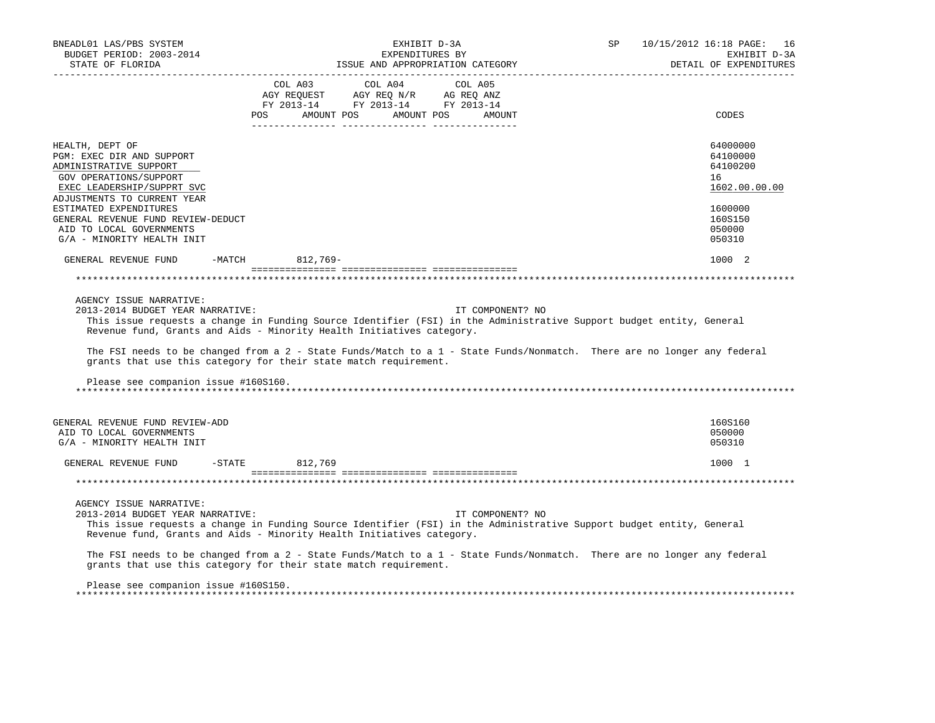| BNEADL01 LAS/PBS SYSTEM<br>BUDGET PERIOD: 2003-2014<br>STATE OF FLORIDA<br>___________________                                                                                                                                                                                                                                                                                                                                                                                                      |                | ISSUE AND APPROPRIATION CATEGORY                                                                                                                                                               | EXHIBIT D-3A<br>EXPENDITURES BY |                  |  | SP 10/15/2012 16:18 PAGE: 16<br>EXHIBIT D-3A<br>DETAIL OF EXPENDITURES |
|-----------------------------------------------------------------------------------------------------------------------------------------------------------------------------------------------------------------------------------------------------------------------------------------------------------------------------------------------------------------------------------------------------------------------------------------------------------------------------------------------------|----------------|------------------------------------------------------------------------------------------------------------------------------------------------------------------------------------------------|---------------------------------|------------------|--|------------------------------------------------------------------------|
|                                                                                                                                                                                                                                                                                                                                                                                                                                                                                                     |                | $\begin{tabular}{lcccc} CDL A03 & CDL A04 & CDL A05 \\ AGY REQUEST & AGY REQ N/R & AG REQ ANZ \\ FY & 2013-14 & FY & 2013-14 & FY & 2013-14 \end{tabular}$<br>POS AMOUNT POS AMOUNT POS AMOUNT |                                 |                  |  | CODES                                                                  |
| HEALTH, DEPT OF<br>PGM: EXEC DIR AND SUPPORT<br>ADMINISTRATIVE SUPPORT<br>GOV OPERATIONS/SUPPORT<br>EXEC LEADERSHIP/SUPPRT SVC                                                                                                                                                                                                                                                                                                                                                                      |                |                                                                                                                                                                                                |                                 |                  |  | 64000000<br>64100000<br>64100200<br>16<br>1602.00.00.00                |
| ADJUSTMENTS TO CURRENT YEAR<br>ESTIMATED EXPENDITURES<br>GENERAL REVENUE FUND REVIEW-DEDUCT<br>AID TO LOCAL GOVERNMENTS<br>G/A - MINORITY HEALTH INIT                                                                                                                                                                                                                                                                                                                                               |                |                                                                                                                                                                                                |                                 |                  |  | 1600000<br>160S150<br>050000<br>050310                                 |
| GENERAL REVENUE FUND -MATCH 812,769-                                                                                                                                                                                                                                                                                                                                                                                                                                                                |                |                                                                                                                                                                                                |                                 |                  |  | 1000 2                                                                 |
|                                                                                                                                                                                                                                                                                                                                                                                                                                                                                                     |                |                                                                                                                                                                                                |                                 |                  |  |                                                                        |
| AGENCY ISSUE NARRATIVE:<br>2013-2014 BUDGET YEAR NARRATIVE:<br>This issue requests a change in Funding Source Identifier (FSI) in the Administrative Support budget entity, General<br>Revenue fund, Grants and Aids - Minority Health Initiatives category.<br>The FSI needs to be changed from a 2 - State Funds/Match to a 1 - State Funds/Nonmatch. There are no longer any federal<br>grants that use this category for their state match requirement.<br>Please see companion issue #160S160. |                |                                                                                                                                                                                                |                                 | IT COMPONENT? NO |  |                                                                        |
| GENERAL REVENUE FUND REVIEW-ADD<br>AID TO LOCAL GOVERNMENTS<br>G/A - MINORITY HEALTH INIT                                                                                                                                                                                                                                                                                                                                                                                                           |                |                                                                                                                                                                                                |                                 |                  |  | 160S160<br>050000<br>050310                                            |
| GENERAL REVENUE FUND                                                                                                                                                                                                                                                                                                                                                                                                                                                                                | -STATE 812,769 |                                                                                                                                                                                                |                                 |                  |  | 1000 1                                                                 |
|                                                                                                                                                                                                                                                                                                                                                                                                                                                                                                     |                |                                                                                                                                                                                                |                                 |                  |  |                                                                        |
| AGENCY ISSUE NARRATIVE:<br>2013-2014 BUDGET YEAR NARRATIVE:<br>This issue requests a change in Funding Source Identifier (FSI) in the Administrative Support budget entity, General<br>Revenue fund, Grants and Aids - Minority Health Initiatives category.                                                                                                                                                                                                                                        |                |                                                                                                                                                                                                |                                 | IT COMPONENT? NO |  |                                                                        |
| The FSI needs to be changed from a 2 - State Funds/Match to a 1 - State Funds/Nonmatch. There are no longer any federal<br>grants that use this category for their state match requirement.                                                                                                                                                                                                                                                                                                         |                |                                                                                                                                                                                                |                                 |                  |  |                                                                        |
| Please see companion issue #160S150.                                                                                                                                                                                                                                                                                                                                                                                                                                                                |                |                                                                                                                                                                                                |                                 |                  |  |                                                                        |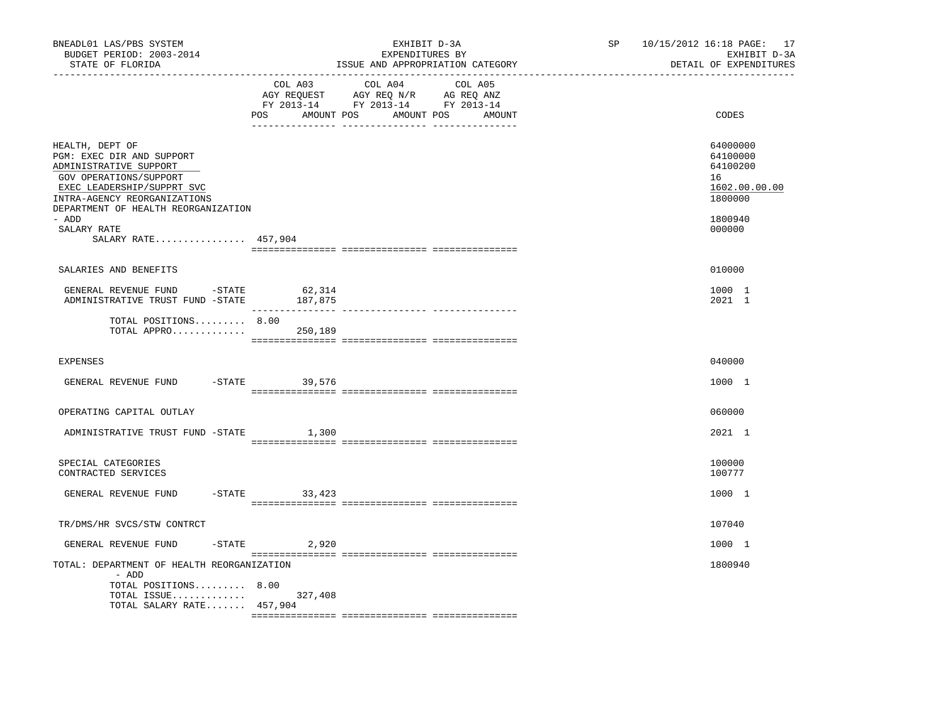| BNEADL01 LAS/PBS SYSTEM<br>BUDGET PERIOD: 2003-2014<br>STATE OF FLORIDA                                                                                                                               | --------------------------------- | EXHIBIT D-3A<br>EXPENDITURES BY<br>ISSUE AND APPROPRIATION CATEGORY                                                                 | SP 10/15/2012 16:18 PAGE: 17<br>EXHIBIT D-3A<br>DETAIL OF EXPENDITURES<br>________________________ |
|-------------------------------------------------------------------------------------------------------------------------------------------------------------------------------------------------------|-----------------------------------|-------------------------------------------------------------------------------------------------------------------------------------|----------------------------------------------------------------------------------------------------|
|                                                                                                                                                                                                       | COL A03                           | COL A04<br>COL A05<br>AGY REQUEST AGY REQ N/R AG REQ ANZ<br>FY 2013-14 FY 2013-14 FY 2013-14<br>POS AMOUNT POS AMOUNT POS<br>AMOUNT | CODES                                                                                              |
| HEALTH, DEPT OF<br>PGM: EXEC DIR AND SUPPORT<br>ADMINISTRATIVE SUPPORT<br>GOV OPERATIONS/SUPPORT<br>EXEC LEADERSHIP/SUPPRT SVC<br>INTRA-AGENCY REORGANIZATIONS<br>DEPARTMENT OF HEALTH REORGANIZATION |                                   |                                                                                                                                     | 64000000<br>64100000<br>64100200<br>16<br>1602.00.00.00<br>1800000                                 |
| - ADD<br>SALARY RATE<br>SALARY RATE 457,904                                                                                                                                                           |                                   |                                                                                                                                     | 1800940<br>000000                                                                                  |
| SALARIES AND BENEFITS                                                                                                                                                                                 |                                   |                                                                                                                                     | 010000                                                                                             |
| GENERAL REVENUE FUND -STATE 62,314<br>ADMINISTRATIVE TRUST FUND -STATE                                                                                                                                | 187,875                           |                                                                                                                                     | 1000 1<br>2021 1                                                                                   |
| TOTAL POSITIONS 8.00<br>TOTAL APPRO $250,189$                                                                                                                                                         |                                   |                                                                                                                                     |                                                                                                    |
| <b>EXPENSES</b>                                                                                                                                                                                       |                                   |                                                                                                                                     | 040000                                                                                             |
| GENERAL REVENUE FUND                                                                                                                                                                                  | $-$ STATE 39,576                  |                                                                                                                                     | 1000 1                                                                                             |
| OPERATING CAPITAL OUTLAY                                                                                                                                                                              |                                   |                                                                                                                                     | 060000                                                                                             |
| ADMINISTRATIVE TRUST FUND -STATE                                                                                                                                                                      | 1,300                             |                                                                                                                                     | 2021 1                                                                                             |
| SPECIAL CATEGORIES<br>CONTRACTED SERVICES                                                                                                                                                             |                                   |                                                                                                                                     | 100000<br>100777                                                                                   |
| GENERAL REVENUE FUND                                                                                                                                                                                  | $-STATE$ 33,423                   |                                                                                                                                     | 1000 1                                                                                             |
| TR/DMS/HR SVCS/STW CONTRCT                                                                                                                                                                            |                                   |                                                                                                                                     | 107040                                                                                             |
| $-$ STATE<br>GENERAL REVENUE FUND                                                                                                                                                                     | 2,920                             |                                                                                                                                     | 1000 1                                                                                             |
| TOTAL: DEPARTMENT OF HEALTH REORGANIZATION<br>- ADD<br>TOTAL POSITIONS 8.00                                                                                                                           |                                   |                                                                                                                                     | 1800940                                                                                            |
| TOTAL ISSUE<br>TOTAL SALARY RATE 457,904                                                                                                                                                              | 327,408                           |                                                                                                                                     |                                                                                                    |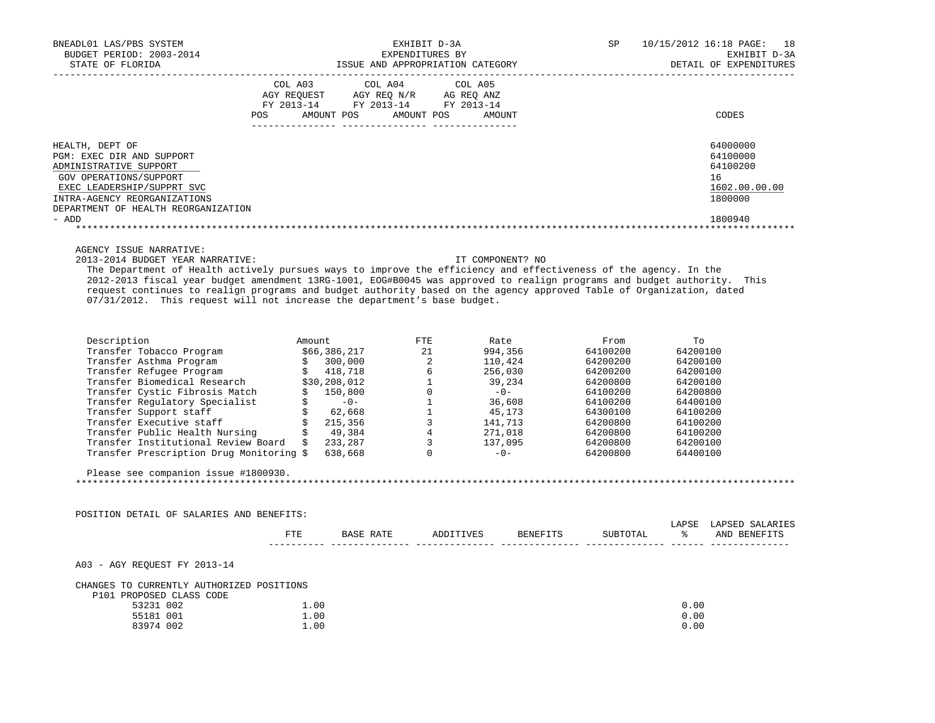| BNEADL01 LAS/PBS SYSTEM<br>BUDGET PERIOD: 2003-2014<br>STATE OF FLORIDA                                                                                                                                                                                                                                                                                                                                   |      | EXPENDITURES BY<br>ISSUE AND APPROPRIATION CATEGORY                                                                                                                                                                                                                                                                                                                                                                                                                    | EXHIBIT D-3A<br>EXPENDITURES BY | SP       |               | 10/15/2012 16:18 PAGE: 18<br>EXHIBIT D-3A<br>DETAIL OF EXPENDITURES |
|-----------------------------------------------------------------------------------------------------------------------------------------------------------------------------------------------------------------------------------------------------------------------------------------------------------------------------------------------------------------------------------------------------------|------|------------------------------------------------------------------------------------------------------------------------------------------------------------------------------------------------------------------------------------------------------------------------------------------------------------------------------------------------------------------------------------------------------------------------------------------------------------------------|---------------------------------|----------|---------------|---------------------------------------------------------------------|
|                                                                                                                                                                                                                                                                                                                                                                                                           |      | $\begin{tabular}{lllllllllll} &\multicolumn{4}{c}{\text{COL A03}} &\multicolumn{4}{c}{\text{COL A04}} &\multicolumn{4}{c}{\text{COL A05}}\\ \multicolumn{4}{c}{\text{AGY REQUEST}} &\multicolumn{4}{c}{\text{AGY REQ N/R}} &\multicolumn{4}{c}{\text{AG REQ ANZ}}\\ \multicolumn{4}{c}{\text{FY 2013--14}} &\multicolumn{4}{c}{\text{FY 2013--14}} &\multicolumn{4}{c}{\text{FY 2013--14}}\\ \multicolumn{4}{c}{\text{FY 2013--14$<br>POS AMOUNT POS AMOUNT POS AMOUNT |                                 |          |               | CODES                                                               |
| HEALTH, DEPT OF                                                                                                                                                                                                                                                                                                                                                                                           |      |                                                                                                                                                                                                                                                                                                                                                                                                                                                                        |                                 |          |               | 64000000                                                            |
| PGM: EXEC DIR AND SUPPORT                                                                                                                                                                                                                                                                                                                                                                                 |      |                                                                                                                                                                                                                                                                                                                                                                                                                                                                        |                                 |          |               | 64100000                                                            |
| ADMINISTRATIVE SUPPORT                                                                                                                                                                                                                                                                                                                                                                                    |      |                                                                                                                                                                                                                                                                                                                                                                                                                                                                        |                                 |          |               | 64100200                                                            |
| GOV OPERATIONS/SUPPORT<br>EXEC LEADERSHIP/SUPPRT SVC                                                                                                                                                                                                                                                                                                                                                      |      |                                                                                                                                                                                                                                                                                                                                                                                                                                                                        |                                 |          |               | 16<br>1602.00.00.00                                                 |
| INTRA-AGENCY REORGANIZATIONS                                                                                                                                                                                                                                                                                                                                                                              |      |                                                                                                                                                                                                                                                                                                                                                                                                                                                                        |                                 |          |               | 1800000                                                             |
| DEPARTMENT OF HEALTH REORGANIZATION                                                                                                                                                                                                                                                                                                                                                                       |      |                                                                                                                                                                                                                                                                                                                                                                                                                                                                        |                                 |          |               |                                                                     |
| - ADD                                                                                                                                                                                                                                                                                                                                                                                                     |      |                                                                                                                                                                                                                                                                                                                                                                                                                                                                        |                                 |          |               | 1800940                                                             |
|                                                                                                                                                                                                                                                                                                                                                                                                           |      |                                                                                                                                                                                                                                                                                                                                                                                                                                                                        |                                 |          |               |                                                                     |
| AGENCY ISSUE NARRATIVE:                                                                                                                                                                                                                                                                                                                                                                                   |      |                                                                                                                                                                                                                                                                                                                                                                                                                                                                        |                                 |          |               |                                                                     |
| 2013-2014 BUDGET YEAR NARRATIVE:                                                                                                                                                                                                                                                                                                                                                                          |      |                                                                                                                                                                                                                                                                                                                                                                                                                                                                        | IT COMPONENT? NO                |          |               |                                                                     |
| The Department of Health actively pursues ways to improve the efficiency and effectiveness of the agency. In the                                                                                                                                                                                                                                                                                          |      |                                                                                                                                                                                                                                                                                                                                                                                                                                                                        |                                 |          |               |                                                                     |
| 2012-2013 fiscal year budget amendment 13RG-1001, EOG#B0045 was approved to realign programs and budget authority. This<br>request continues to realign programs and budget authority based on the agency approved Table of Organization, dated                                                                                                                                                           |      |                                                                                                                                                                                                                                                                                                                                                                                                                                                                        |                                 |          |               |                                                                     |
| 07/31/2012. This request will not increase the department's base budget.                                                                                                                                                                                                                                                                                                                                  |      |                                                                                                                                                                                                                                                                                                                                                                                                                                                                        |                                 |          |               |                                                                     |
|                                                                                                                                                                                                                                                                                                                                                                                                           |      |                                                                                                                                                                                                                                                                                                                                                                                                                                                                        |                                 |          |               |                                                                     |
|                                                                                                                                                                                                                                                                                                                                                                                                           |      |                                                                                                                                                                                                                                                                                                                                                                                                                                                                        |                                 |          |               |                                                                     |
| $\begin{tabular}{l c c c c c} \multic{1.5} \texttt{Description} & \multic{1.5} \multic{1.5} \texttt{Amount} & \multic{1.5} \end{tabular} \begin{tabular}{l c c c c c c} \multic{1.5} \multic{1.5} \texttt{Rate} & \multic{1.5} \multic{1.5} \end{tabular} \begin{tabular}{l c c c c c} \multic{1.5} \multic{1.5} \multic{1.5} \multic{1.5} \multic{1.5} \multic{1.5} \end{tabular} \begin{tabular}{l c c$ |      |                                                                                                                                                                                                                                                                                                                                                                                                                                                                        |                                 |          |               |                                                                     |
|                                                                                                                                                                                                                                                                                                                                                                                                           |      |                                                                                                                                                                                                                                                                                                                                                                                                                                                                        |                                 |          |               |                                                                     |
|                                                                                                                                                                                                                                                                                                                                                                                                           |      |                                                                                                                                                                                                                                                                                                                                                                                                                                                                        |                                 |          |               |                                                                     |
|                                                                                                                                                                                                                                                                                                                                                                                                           |      |                                                                                                                                                                                                                                                                                                                                                                                                                                                                        |                                 |          |               |                                                                     |
|                                                                                                                                                                                                                                                                                                                                                                                                           |      |                                                                                                                                                                                                                                                                                                                                                                                                                                                                        |                                 |          |               |                                                                     |
|                                                                                                                                                                                                                                                                                                                                                                                                           |      |                                                                                                                                                                                                                                                                                                                                                                                                                                                                        |                                 |          |               |                                                                     |
|                                                                                                                                                                                                                                                                                                                                                                                                           |      |                                                                                                                                                                                                                                                                                                                                                                                                                                                                        |                                 |          |               |                                                                     |
|                                                                                                                                                                                                                                                                                                                                                                                                           |      |                                                                                                                                                                                                                                                                                                                                                                                                                                                                        |                                 |          |               |                                                                     |
|                                                                                                                                                                                                                                                                                                                                                                                                           |      |                                                                                                                                                                                                                                                                                                                                                                                                                                                                        |                                 |          |               |                                                                     |
|                                                                                                                                                                                                                                                                                                                                                                                                           |      |                                                                                                                                                                                                                                                                                                                                                                                                                                                                        |                                 |          |               |                                                                     |
|                                                                                                                                                                                                                                                                                                                                                                                                           |      |                                                                                                                                                                                                                                                                                                                                                                                                                                                                        |                                 |          |               |                                                                     |
| Please see companion issue #1800930.                                                                                                                                                                                                                                                                                                                                                                      |      |                                                                                                                                                                                                                                                                                                                                                                                                                                                                        |                                 |          |               |                                                                     |
|                                                                                                                                                                                                                                                                                                                                                                                                           |      |                                                                                                                                                                                                                                                                                                                                                                                                                                                                        |                                 |          |               |                                                                     |
|                                                                                                                                                                                                                                                                                                                                                                                                           |      |                                                                                                                                                                                                                                                                                                                                                                                                                                                                        |                                 |          |               |                                                                     |
|                                                                                                                                                                                                                                                                                                                                                                                                           |      |                                                                                                                                                                                                                                                                                                                                                                                                                                                                        |                                 |          |               |                                                                     |
| POSITION DETAIL OF SALARIES AND BENEFITS:                                                                                                                                                                                                                                                                                                                                                                 |      |                                                                                                                                                                                                                                                                                                                                                                                                                                                                        |                                 |          |               | LAPSE LAPSED SALARIES                                               |
|                                                                                                                                                                                                                                                                                                                                                                                                           | FTE  | BASE RATE ADDITIVES                                                                                                                                                                                                                                                                                                                                                                                                                                                    | <b>BENEFITS</b>                 | SUBTOTAL | $\frac{1}{6}$ | AND BENEFITS                                                        |
|                                                                                                                                                                                                                                                                                                                                                                                                           |      |                                                                                                                                                                                                                                                                                                                                                                                                                                                                        |                                 |          |               |                                                                     |
|                                                                                                                                                                                                                                                                                                                                                                                                           |      |                                                                                                                                                                                                                                                                                                                                                                                                                                                                        |                                 |          |               |                                                                     |
| A03 - AGY REQUEST FY 2013-14                                                                                                                                                                                                                                                                                                                                                                              |      |                                                                                                                                                                                                                                                                                                                                                                                                                                                                        |                                 |          |               |                                                                     |
| CHANGES TO CURRENTLY AUTHORIZED POSITIONS                                                                                                                                                                                                                                                                                                                                                                 |      |                                                                                                                                                                                                                                                                                                                                                                                                                                                                        |                                 |          |               |                                                                     |
| P101 PROPOSED CLASS CODE                                                                                                                                                                                                                                                                                                                                                                                  |      |                                                                                                                                                                                                                                                                                                                                                                                                                                                                        |                                 |          |               |                                                                     |
| 53231 002                                                                                                                                                                                                                                                                                                                                                                                                 | 1.00 |                                                                                                                                                                                                                                                                                                                                                                                                                                                                        |                                 |          | 0.00          |                                                                     |
| 55181 001                                                                                                                                                                                                                                                                                                                                                                                                 | 1.00 |                                                                                                                                                                                                                                                                                                                                                                                                                                                                        |                                 |          | 0.00          |                                                                     |
| 83974 002                                                                                                                                                                                                                                                                                                                                                                                                 | 1.00 |                                                                                                                                                                                                                                                                                                                                                                                                                                                                        |                                 |          | 0.00          |                                                                     |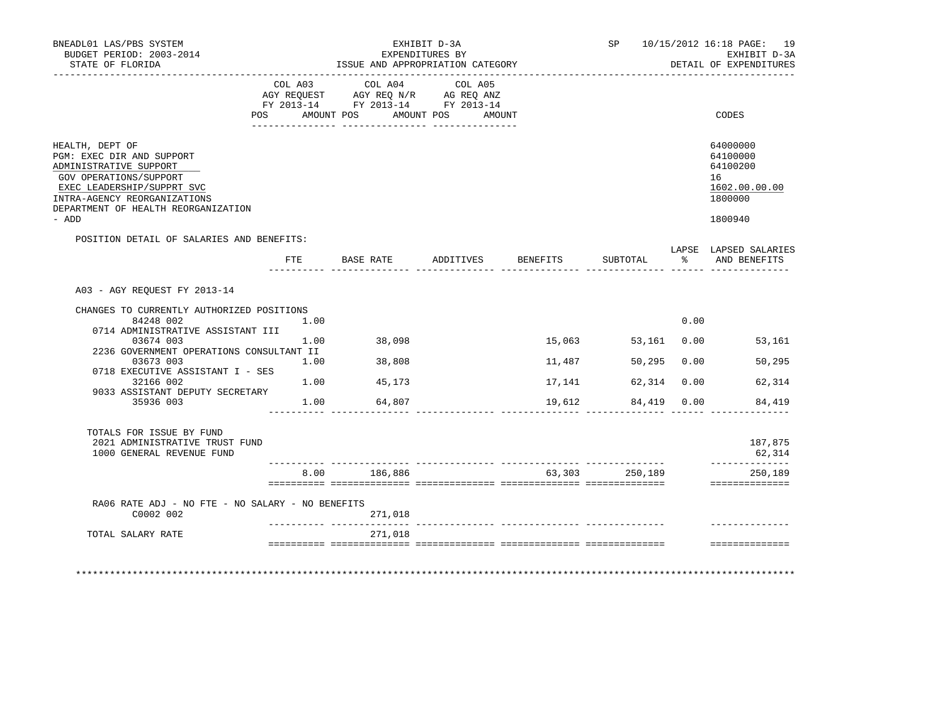| BNEADL01 LAS/PBS SYSTEM<br>BUDGET PERIOD: 2003-2014<br>STATE OF FLORIDA                                                                                                                               |                | ISSUE AND APPROPRIATION CATEGORY                                                          | EXHIBIT D-3A<br>EXPENDITURES BY |          |                |                      | SP 10/15/2012 16:18 PAGE: 19<br>EXHIBIT D-3A<br>DETAIL OF EXPENDITURES |
|-------------------------------------------------------------------------------------------------------------------------------------------------------------------------------------------------------|----------------|-------------------------------------------------------------------------------------------|---------------------------------|----------|----------------|----------------------|------------------------------------------------------------------------|
|                                                                                                                                                                                                       | POS AMOUNT POS | COL A03 COL A04<br>AGY REQUEST AGY REQ N/R AG REQ ANZ<br>FY 2013-14 FY 2013-14 FY 2013-14 | COL A05<br>AMOUNT POS<br>AMOUNT |          |                |                      | CODES                                                                  |
|                                                                                                                                                                                                       |                |                                                                                           |                                 |          |                |                      |                                                                        |
| HEALTH, DEPT OF<br>PGM: EXEC DIR AND SUPPORT<br>ADMINISTRATIVE SUPPORT<br>GOV OPERATIONS/SUPPORT<br>EXEC LEADERSHIP/SUPPRT SVC<br>INTRA-AGENCY REORGANIZATIONS<br>DEPARTMENT OF HEALTH REORGANIZATION |                |                                                                                           |                                 |          |                |                      | 64000000<br>64100000<br>64100200<br>16<br>1602.00.00.00<br>1800000     |
| - ADD                                                                                                                                                                                                 |                |                                                                                           |                                 |          |                |                      | 1800940                                                                |
| POSITION DETAIL OF SALARIES AND BENEFITS:                                                                                                                                                             |                |                                                                                           |                                 |          |                |                      |                                                                        |
|                                                                                                                                                                                                       |                | FTE BASE RATE ADDITIVES                                                                   |                                 | BENEFITS | SUBTOTAL       | $\sim$ $\sim$ $\sim$ | LAPSE LAPSED SALARIES<br>AND BENEFITS                                  |
| A03 - AGY REOUEST FY 2013-14                                                                                                                                                                          |                |                                                                                           |                                 |          |                |                      |                                                                        |
| CHANGES TO CURRENTLY AUTHORIZED POSITIONS                                                                                                                                                             |                |                                                                                           |                                 |          |                |                      |                                                                        |
| 84248 002                                                                                                                                                                                             | 1.00           |                                                                                           |                                 |          |                | 0.00                 |                                                                        |
| 0714 ADMINISTRATIVE ASSISTANT III<br>03674 003                                                                                                                                                        | 1.00           | 38,098                                                                                    |                                 | 15,063   | 53,161 0.00    |                      | 53,161                                                                 |
| 2236 GOVERNMENT OPERATIONS CONSULTANT II                                                                                                                                                              |                |                                                                                           |                                 |          |                |                      |                                                                        |
| 03673 003<br>0718 EXECUTIVE ASSISTANT I - SES                                                                                                                                                         | 1.00           | 38,808                                                                                    |                                 | 11,487   | 50,295         | 0.00                 | 50, 295                                                                |
| 32166 002<br>9033 ASSISTANT DEPUTY SECRETARY                                                                                                                                                          | 1.00           | 45,173                                                                                    |                                 | 17,141   | 62,314         | 0.00                 | 62,314                                                                 |
| 35936 003                                                                                                                                                                                             | 1.00           | 64,807                                                                                    |                                 | 19,612   | 84,419 0.00    |                      | 84,419                                                                 |
| TOTALS FOR ISSUE BY FUND<br>2021 ADMINISTRATIVE TRUST FUND<br>1000 GENERAL REVENUE FUND                                                                                                               |                |                                                                                           |                                 |          |                |                      | 187,875<br>62,314                                                      |
|                                                                                                                                                                                                       |                | 8.00 186,886                                                                              |                                 |          | 63,303 250,189 |                      | ______________<br>250,189<br>_______________                           |
|                                                                                                                                                                                                       |                |                                                                                           |                                 |          |                |                      |                                                                        |
| RA06 RATE ADJ - NO FTE - NO SALARY - NO BENEFITS<br>C0002 002                                                                                                                                         |                | 271,018                                                                                   |                                 |          |                |                      |                                                                        |
| TOTAL SALARY RATE                                                                                                                                                                                     |                | 271,018                                                                                   |                                 |          |                |                      |                                                                        |
|                                                                                                                                                                                                       |                |                                                                                           |                                 |          |                |                      | ==============                                                         |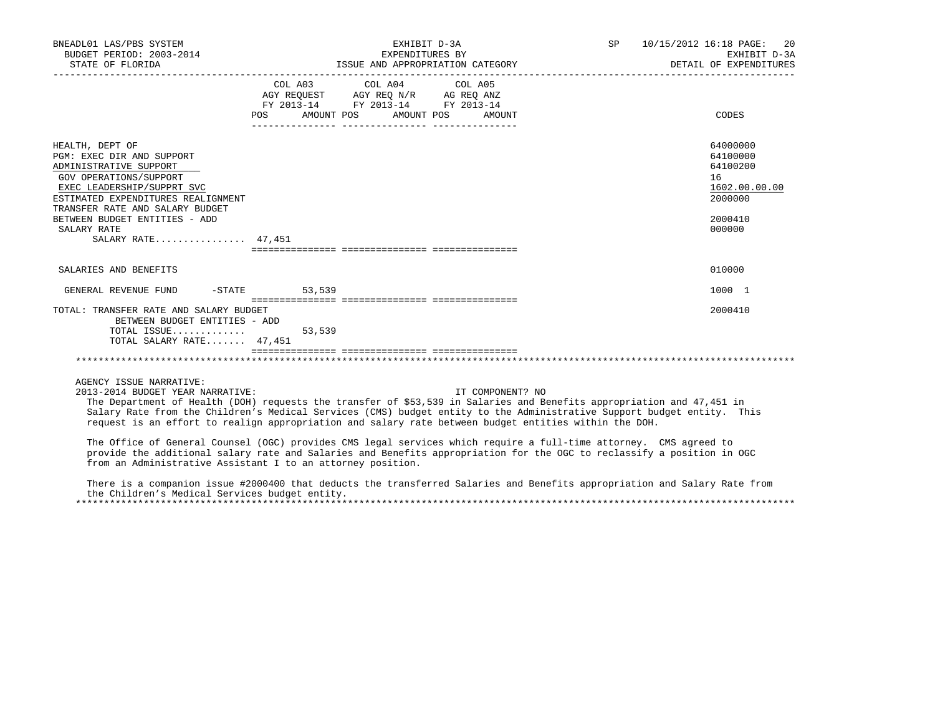| BNEADL01 LAS/PBS SYSTEM<br>BUDGET PERIOD: 2003-2014<br>STATE OF FLORIDA                                                                                                                                                                                                       |                                                                                                            | EXHIBIT D-3A<br>EXPENDITURES BY<br>ISSUE AND APPROPRIATION CATEGORY |  | SP 10/15/2012 16:18 PAGE: 20<br>EXHIBIT D-3A<br>DETAIL OF EXPENDITURES                  |
|-------------------------------------------------------------------------------------------------------------------------------------------------------------------------------------------------------------------------------------------------------------------------------|------------------------------------------------------------------------------------------------------------|---------------------------------------------------------------------|--|-----------------------------------------------------------------------------------------|
|                                                                                                                                                                                                                                                                               | AGY REQUEST AGY REQ N/R AG REQ ANZ<br>FY 2013-14 FY 2013-14 FY 2013-14<br>POS AMOUNT POS AMOUNT POS AMOUNT | COL A03 COL A04 COL A05                                             |  | CODES                                                                                   |
| HEALTH, DEPT OF<br>PGM: EXEC DIR AND SUPPORT<br>ADMINISTRATIVE SUPPORT<br>GOV OPERATIONS/SUPPORT<br>EXEC LEADERSHIP/SUPPRT SVC<br>ESTIMATED EXPENDITURES REALIGNMENT<br>TRANSFER RATE AND SALARY BUDGET<br>BETWEEN BUDGET ENTITIES - ADD<br>SALARY RATE<br>SALARY RATE 47,451 |                                                                                                            |                                                                     |  | 64000000<br>64100000<br>64100200<br>16<br>1602.00.00.00<br>2000000<br>2000410<br>000000 |
| SALARIES AND BENEFITS                                                                                                                                                                                                                                                         |                                                                                                            |                                                                     |  | 010000                                                                                  |
| GENERAL REVENUE FUND -STATE 53,539                                                                                                                                                                                                                                            |                                                                                                            |                                                                     |  | 1000 1                                                                                  |
| TOTAL: TRANSFER RATE AND SALARY BUDGET<br>BETWEEN BUDGET ENTITIES - ADD<br>TOTAL SALARY RATE 47,451                                                                                                                                                                           |                                                                                                            |                                                                     |  | 2000410                                                                                 |
|                                                                                                                                                                                                                                                                               |                                                                                                            |                                                                     |  |                                                                                         |
| AGENCY ISSUE NARRATIVE:                                                                                                                                                                                                                                                       |                                                                                                            |                                                                     |  |                                                                                         |

2013-2014 BUDGET YEAR NARRATIVE: IT COMPONENT? NO

 The Department of Health (DOH) requests the transfer of \$53,539 in Salaries and Benefits appropriation and 47,451 in Salary Rate from the Children's Medical Services (CMS) budget entity to the Administrative Support budget entity. This request is an effort to realign appropriation and salary rate between budget entities within the DOH.

 The Office of General Counsel (OGC) provides CMS legal services which require a full-time attorney. CMS agreed to provide the additional salary rate and Salaries and Benefits appropriation for the OGC to reclassify a position in OGC from an Administrative Assistant I to an attorney position.

 There is a companion issue #2000400 that deducts the transferred Salaries and Benefits appropriation and Salary Rate from the Children's Medical Services budget entity. \*\*\*\*\*\*\*\*\*\*\*\*\*\*\*\*\*\*\*\*\*\*\*\*\*\*\*\*\*\*\*\*\*\*\*\*\*\*\*\*\*\*\*\*\*\*\*\*\*\*\*\*\*\*\*\*\*\*\*\*\*\*\*\*\*\*\*\*\*\*\*\*\*\*\*\*\*\*\*\*\*\*\*\*\*\*\*\*\*\*\*\*\*\*\*\*\*\*\*\*\*\*\*\*\*\*\*\*\*\*\*\*\*\*\*\*\*\*\*\*\*\*\*\*\*\*\*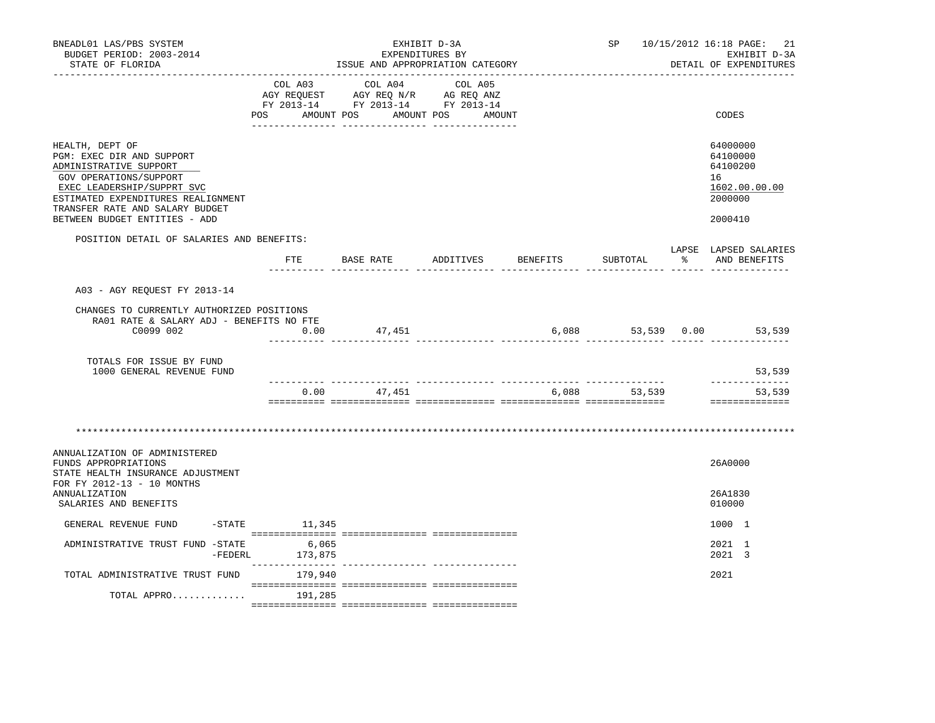| BNEADL01 LAS/PBS SYSTEM<br>BUDGET PERIOD: 2003-2014<br>STATE OF FLORIDA                                                                                                                                                                  |                            |                                                                                  | EXHIBIT D-3A<br>EXPENDITURES BY<br>ISSUE AND APPROPRIATION CATEGORY |              | SP 10/15/2012 16:18 PAGE: 21<br>EXHIBIT D-3A<br>DETAIL OF EXPENDITURES        |
|------------------------------------------------------------------------------------------------------------------------------------------------------------------------------------------------------------------------------------------|----------------------------|----------------------------------------------------------------------------------|---------------------------------------------------------------------|--------------|-------------------------------------------------------------------------------|
|                                                                                                                                                                                                                                          | COL A03                    | COL A04<br>NG REQUEST AGY REQ N/R AG REQ ANZ<br>FY 2013-14 FY 2013-14 FY 2013-14 | COL A05<br>POS AMOUNT POS AMOUNT POS AMOUNT                         |              | CODES                                                                         |
| HEALTH, DEPT OF<br>PGM: EXEC DIR AND SUPPORT<br>ADMINISTRATIVE SUPPORT<br>GOV OPERATIONS/SUPPORT<br>EXEC LEADERSHIP/SUPPRT SVC<br>ESTIMATED EXPENDITURES REALIGNMENT<br>TRANSFER RATE AND SALARY BUDGET<br>BETWEEN BUDGET ENTITIES - ADD |                            |                                                                                  |                                                                     |              | 64000000<br>64100000<br>64100200<br>16<br>1602.00.00.00<br>2000000<br>2000410 |
| POSITION DETAIL OF SALARIES AND BENEFITS:                                                                                                                                                                                                |                            |                                                                                  |                                                                     |              | LAPSE LAPSED SALARIES                                                         |
|                                                                                                                                                                                                                                          | FTE                        | ----- -----                                                                      | BASE RATE ADDITIVES BENEFITS                                        | SUBTOTAL     | % AND BENEFITS                                                                |
| A03 - AGY REQUEST FY 2013-14                                                                                                                                                                                                             |                            |                                                                                  |                                                                     |              |                                                                               |
| CHANGES TO CURRENTLY AUTHORIZED POSITIONS<br>RA01 RATE & SALARY ADJ - BENEFITS NO FTE<br>C0099 002                                                                                                                                       | 0.00                       | 47,451                                                                           |                                                                     |              | 6,088 53,539 0.00 53,539                                                      |
| TOTALS FOR ISSUE BY FUND<br>1000 GENERAL REVENUE FUND                                                                                                                                                                                    |                            |                                                                                  |                                                                     |              | 53,539                                                                        |
|                                                                                                                                                                                                                                          |                            | $0.00$ 47,451                                                                    |                                                                     | 6,088 53,539 | <u> - - - - - - - - - - - - - -</u><br>53,539<br>==============               |
| ANNUALIZATION OF ADMINISTERED<br>FUNDS APPROPRIATIONS<br>STATE HEALTH INSURANCE ADJUSTMENT<br>FOR FY 2012-13 - 10 MONTHS<br>ANNUALIZATION<br>SALARIES AND BENEFITS                                                                       |                            |                                                                                  |                                                                     |              | 26A0000<br>26A1830<br>010000                                                  |
| GENERAL REVENUE FUND                                                                                                                                                                                                                     | $-$ STATE 11, 345          |                                                                                  |                                                                     |              | 1000 1                                                                        |
| ADMINISTRATIVE TRUST FUND -STATE 6,065<br>$-FEDERL$                                                                                                                                                                                      | 173,875                    |                                                                                  |                                                                     |              | 2021 1<br>2021 3                                                              |
| TOTAL ADMINISTRATIVE TRUST FUND                                                                                                                                                                                                          | ---------------<br>179,940 |                                                                                  |                                                                     |              | 2021                                                                          |
| TOTAL APPRO                                                                                                                                                                                                                              | 191,285                    |                                                                                  |                                                                     |              |                                                                               |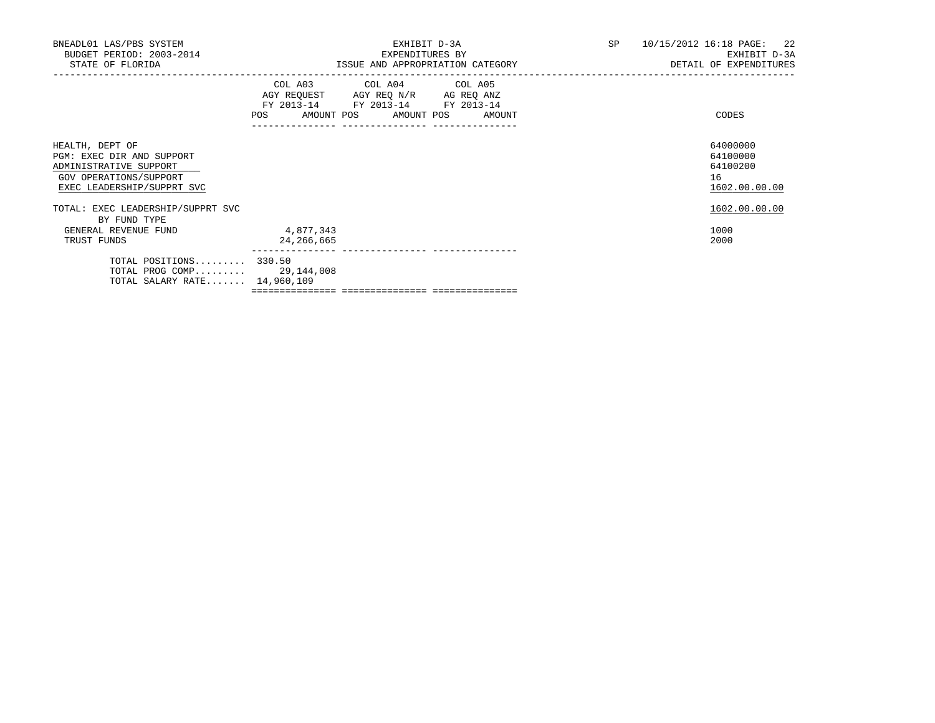| BNEADL01 LAS/PBS SYSTEM<br>BUDGET PERIOD: 2003-2014<br>STATE OF FLORIDA                                                        | EXHIBIT D-3A<br>EXPENDITURES BY<br>ISSUE AND APPROPRIATION CATEGORY                                                                   | SP 10/15/2012 16:18 PAGE: 22<br>EXHIBIT D-3A<br>DETAIL OF EXPENDITURES |
|--------------------------------------------------------------------------------------------------------------------------------|---------------------------------------------------------------------------------------------------------------------------------------|------------------------------------------------------------------------|
|                                                                                                                                | COL A03 COL A04 COL A05<br>AGY REQUEST AGY REQ N/R AG REQ ANZ<br>FY 2013-14 FY 2013-14 FY 2013-14<br>POS AMOUNT POS AMOUNT POS AMOUNT | CODES                                                                  |
| HEALTH, DEPT OF<br>PGM: EXEC DIR AND SUPPORT<br>ADMINISTRATIVE SUPPORT<br>GOV OPERATIONS/SUPPORT<br>EXEC LEADERSHIP/SUPPRT SVC |                                                                                                                                       | 64000000<br>64100000<br>64100200<br>16<br>1602.00.00.00                |
| TOTAL: EXEC LEADERSHIP/SUPPRT SVC<br>BY FUND TYPE<br>GENERAL REVENUE FUND<br>TRUST FUNDS                                       | 4,877,343<br>24,266,665                                                                                                               | 1602.00.00.00<br>1000<br>2000                                          |
| TOTAL POSITIONS 330.50<br>TOTAL PROG COMP 29,144,008<br>TOTAL SALARY RATE 14,960,109                                           |                                                                                                                                       |                                                                        |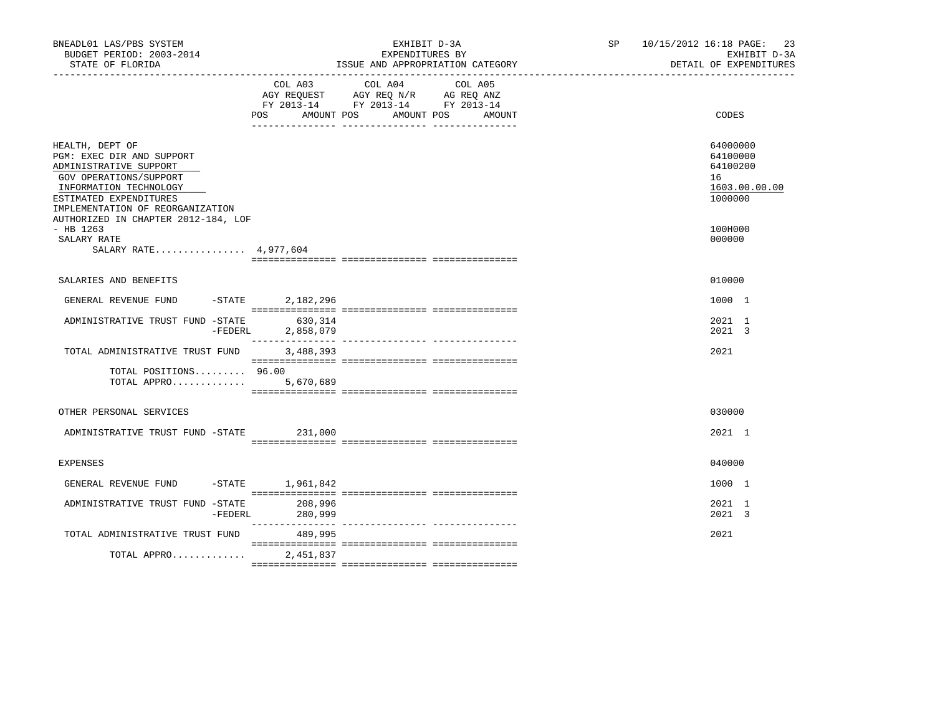| BNEADL01 LAS/PBS SYSTEM<br>BUDGET PERIOD: 2003-2014<br>STATE OF FLORIDA                                                                                                                                                         |           |                      | EXPENDITURES BY                                                                           | EXHIBIT D-3A<br>ISSUE AND APPROPRIATION CATEGORY | SP and the set of the set of the set of the set of the set of the set of the set of the set of the set of the set of the set of the set of the set of the set of the set of the set of the set of the set of the set of the se | 10/15/2012 16:18 PAGE:<br>23<br>EXHIBIT D-3A<br>DETAIL OF EXPENDITURES |
|---------------------------------------------------------------------------------------------------------------------------------------------------------------------------------------------------------------------------------|-----------|----------------------|-------------------------------------------------------------------------------------------|--------------------------------------------------|--------------------------------------------------------------------------------------------------------------------------------------------------------------------------------------------------------------------------------|------------------------------------------------------------------------|
|                                                                                                                                                                                                                                 |           |                      | COL A03 COL A04<br>AGY REQUEST AGY REQ N/R AG REQ ANZ<br>FY 2013-14 FY 2013-14 FY 2013-14 | COL A05<br>POS AMOUNT POS AMOUNT POS AMOUNT      |                                                                                                                                                                                                                                | CODES                                                                  |
| HEALTH, DEPT OF<br>PGM: EXEC DIR AND SUPPORT<br>ADMINISTRATIVE SUPPORT<br>GOV OPERATIONS/SUPPORT<br>INFORMATION TECHNOLOGY<br>ESTIMATED EXPENDITURES<br>IMPLEMENTATION OF REORGANIZATION<br>AUTHORIZED IN CHAPTER 2012-184, LOF |           |                      |                                                                                           |                                                  |                                                                                                                                                                                                                                | 64000000<br>64100000<br>64100200<br>16<br>1603.00.00.00<br>1000000     |
| $-$ HB 1263<br>SALARY RATE<br>SALARY RATE 4,977,604                                                                                                                                                                             |           |                      |                                                                                           |                                                  |                                                                                                                                                                                                                                | 100H000<br>000000                                                      |
| SALARIES AND BENEFITS                                                                                                                                                                                                           |           |                      |                                                                                           |                                                  |                                                                                                                                                                                                                                | 010000                                                                 |
| GENERAL REVENUE FUND -STATE 2,182,296                                                                                                                                                                                           |           |                      |                                                                                           |                                                  |                                                                                                                                                                                                                                | 1000 1                                                                 |
| ADMINISTRATIVE TRUST FUND -STATE                                                                                                                                                                                                | $-FEDERL$ | 630,314<br>2,858,079 |                                                                                           |                                                  |                                                                                                                                                                                                                                | 2021 1<br>2021 3                                                       |
| TOTAL ADMINISTRATIVE TRUST FUND                                                                                                                                                                                                 |           | 3,488,393            |                                                                                           |                                                  |                                                                                                                                                                                                                                | 2021                                                                   |
| TOTAL POSITIONS 96.00<br>TOTAL APPRO                                                                                                                                                                                            |           | 5,670,689            |                                                                                           |                                                  |                                                                                                                                                                                                                                |                                                                        |
| OTHER PERSONAL SERVICES                                                                                                                                                                                                         |           |                      |                                                                                           |                                                  |                                                                                                                                                                                                                                | 030000                                                                 |
| ADMINISTRATIVE TRUST FUND -STATE                                                                                                                                                                                                |           | 231,000              |                                                                                           |                                                  |                                                                                                                                                                                                                                | 2021 1                                                                 |
| EXPENSES                                                                                                                                                                                                                        |           |                      |                                                                                           |                                                  |                                                                                                                                                                                                                                | 040000                                                                 |
| GENERAL REVENUE FUND -STATE 1,961,842                                                                                                                                                                                           |           |                      |                                                                                           |                                                  |                                                                                                                                                                                                                                | 1000 1                                                                 |
| ADMINISTRATIVE TRUST FUND -STATE                                                                                                                                                                                                | -FEDERL   | 208,996<br>280,999   |                                                                                           |                                                  |                                                                                                                                                                                                                                | 2021 1<br>2021 3                                                       |
| TOTAL ADMINISTRATIVE TRUST FUND                                                                                                                                                                                                 |           | 489,995              |                                                                                           |                                                  |                                                                                                                                                                                                                                | 2021                                                                   |
| TOTAL APPRO                                                                                                                                                                                                                     |           | 2,451,837            |                                                                                           |                                                  |                                                                                                                                                                                                                                |                                                                        |
|                                                                                                                                                                                                                                 |           |                      |                                                                                           |                                                  |                                                                                                                                                                                                                                |                                                                        |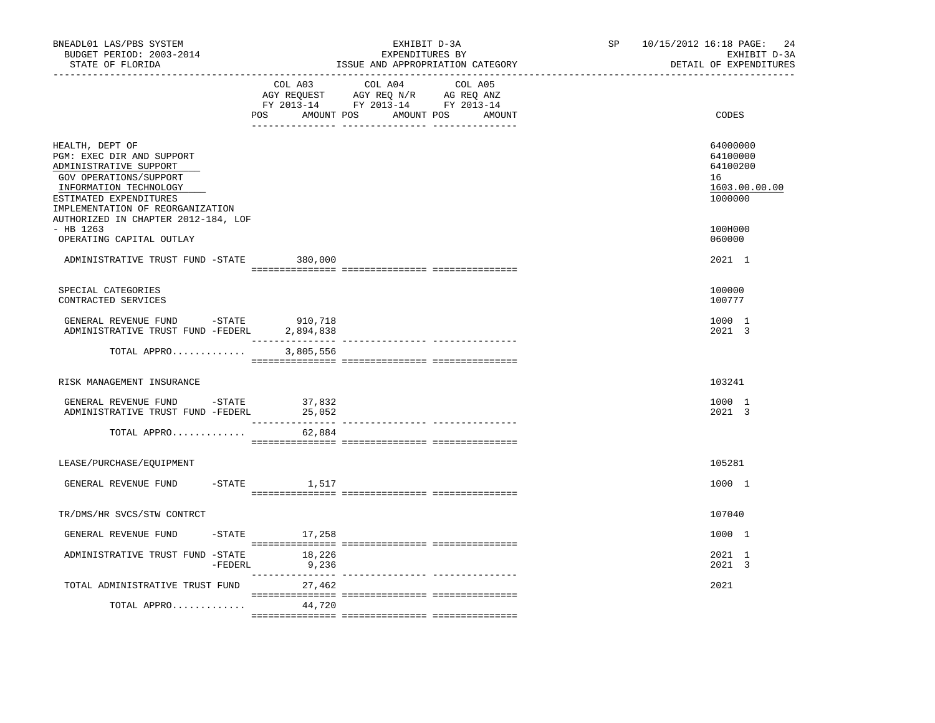| BNEADL01 LAS/PBS SYSTEM<br>BUDGET PERIOD: 2003-2014<br>STATE OF FLORIDA                                                                                                                  | ---------------------------- | EXHIBIT D-3A<br>EXPENDITURES BY<br>ISSUE AND APPROPRIATION CATEGORY<br>----------------------                                       | 10/15/2012 16:18 PAGE:<br>SP<br>EXHIBIT D-3A<br>DETAIL OF EXPENDITURES | 24 |
|------------------------------------------------------------------------------------------------------------------------------------------------------------------------------------------|------------------------------|-------------------------------------------------------------------------------------------------------------------------------------|------------------------------------------------------------------------|----|
|                                                                                                                                                                                          | COL A03                      | COL A04<br>COL A05<br>AGY REQUEST AGY REQ N/R AG REQ ANZ<br>FY 2013-14 FY 2013-14 FY 2013-14<br>POS AMOUNT POS AMOUNT POS<br>AMOUNT | CODES                                                                  |    |
| HEALTH, DEPT OF<br>PGM: EXEC DIR AND SUPPORT<br>ADMINISTRATIVE SUPPORT<br>GOV OPERATIONS/SUPPORT<br>INFORMATION TECHNOLOGY<br>ESTIMATED EXPENDITURES<br>IMPLEMENTATION OF REORGANIZATION |                              |                                                                                                                                     | 64000000<br>64100000<br>64100200<br>16<br>1603.00.00.00<br>1000000     |    |
| AUTHORIZED IN CHAPTER 2012-184, LOF<br>$-$ HB 1263<br>OPERATING CAPITAL OUTLAY                                                                                                           |                              |                                                                                                                                     | 100H000<br>060000                                                      |    |
| ADMINISTRATIVE TRUST FUND -STATE                                                                                                                                                         | 380,000                      |                                                                                                                                     | 2021 1                                                                 |    |
| SPECIAL CATEGORIES<br>CONTRACTED SERVICES                                                                                                                                                |                              |                                                                                                                                     | 100000<br>100777                                                       |    |
| GENERAL REVENUE FUND -STATE<br>ADMINISTRATIVE TRUST FUND -FEDERL                                                                                                                         | 910,718<br>2,894,838         |                                                                                                                                     | 1000 1<br>2021 3                                                       |    |
| TOTAL APPRO                                                                                                                                                                              | 3,805,556                    |                                                                                                                                     |                                                                        |    |
| RISK MANAGEMENT INSURANCE                                                                                                                                                                |                              |                                                                                                                                     | 103241                                                                 |    |
| GENERAL REVENUE FUND -STATE 37,832<br>ADMINISTRATIVE TRUST FUND -FEDERL                                                                                                                  | 25,052                       |                                                                                                                                     | 1000 1<br>2021 3                                                       |    |
| TOTAL APPRO                                                                                                                                                                              | 62,884                       |                                                                                                                                     |                                                                        |    |
| LEASE/PURCHASE/EQUIPMENT                                                                                                                                                                 |                              |                                                                                                                                     | 105281                                                                 |    |
| GENERAL REVENUE FUND                                                                                                                                                                     | $-$ STATE<br>1,517           |                                                                                                                                     | 1000 1                                                                 |    |
| TR/DMS/HR SVCS/STW CONTRCT                                                                                                                                                               |                              |                                                                                                                                     | 107040                                                                 |    |
| GENERAL REVENUE FUND                                                                                                                                                                     | $-STATE$ 17,258              |                                                                                                                                     | 1000 1                                                                 |    |
| ADMINISTRATIVE TRUST FUND -STATE<br>-FEDERL                                                                                                                                              | 18,226<br>9,236              |                                                                                                                                     | 2021 1<br>2021 3                                                       |    |
| TOTAL ADMINISTRATIVE TRUST FUND                                                                                                                                                          | 27,462                       |                                                                                                                                     | 2021                                                                   |    |
| TOTAL APPRO                                                                                                                                                                              | 44,720                       |                                                                                                                                     |                                                                        |    |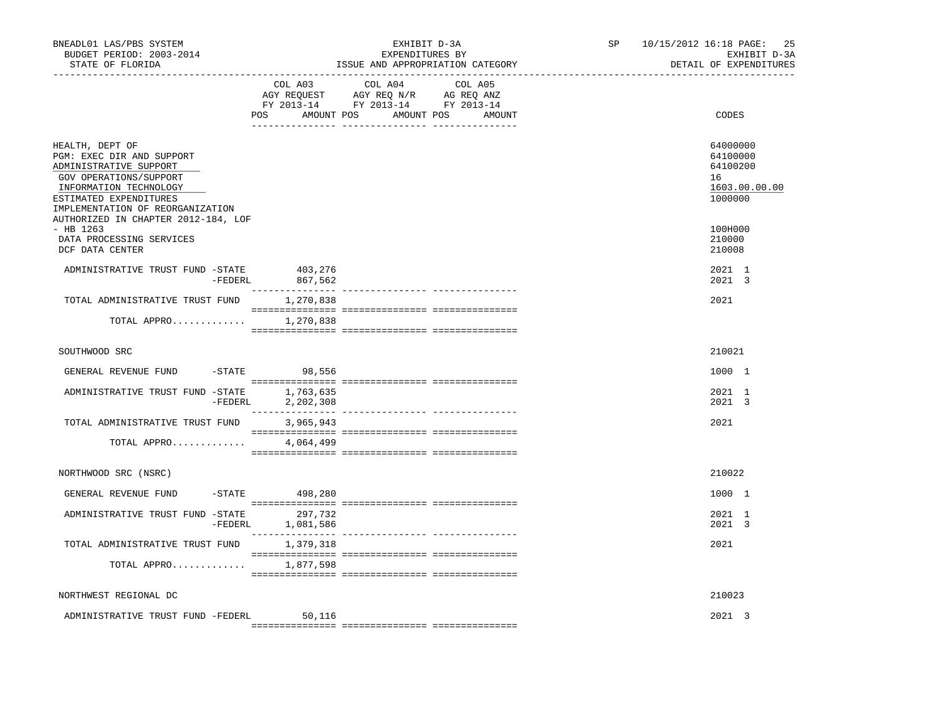| BNEADL01 LAS/PBS SYSTEM<br>BUDGET PERIOD: 2003-2014<br>STATE OF FLORIDA<br>-----------------------------------                                                                           |           |                                      | EXHIBIT D-3A<br>EXPENDITURES BY<br>ISSUE AND APPROPRIATION CATEGORY | SP | 25<br>10/15/2012 16:18 PAGE:<br>EXHIBIT D-3A<br>DETAIL OF EXPENDITURES |                                                                    |
|------------------------------------------------------------------------------------------------------------------------------------------------------------------------------------------|-----------|--------------------------------------|---------------------------------------------------------------------|----|------------------------------------------------------------------------|--------------------------------------------------------------------|
|                                                                                                                                                                                          | COL A03   | COL A04<br>POS AMOUNT POS AMOUNT POS | COL A05<br>AMOUNT                                                   |    | CODES                                                                  |                                                                    |
| HEALTH, DEPT OF<br>PGM: EXEC DIR AND SUPPORT<br>ADMINISTRATIVE SUPPORT<br>GOV OPERATIONS/SUPPORT<br>INFORMATION TECHNOLOGY<br>ESTIMATED EXPENDITURES<br>IMPLEMENTATION OF REORGANIZATION |           |                                      |                                                                     |    |                                                                        | 64000000<br>64100000<br>64100200<br>16<br>1603.00.00.00<br>1000000 |
| AUTHORIZED IN CHAPTER 2012-184, LOF<br>$-$ HB 1263<br>DATA PROCESSING SERVICES<br>DCF DATA CENTER                                                                                        |           |                                      |                                                                     |    |                                                                        | 100H000<br>210000<br>210008                                        |
| ADMINISTRATIVE TRUST FUND -STATE 403,276                                                                                                                                                 | $-FEDERL$ | 867,562                              |                                                                     |    |                                                                        | 2021 1<br>2021 3                                                   |
| TOTAL ADMINISTRATIVE TRUST FUND                                                                                                                                                          |           | 1,270,838                            |                                                                     |    |                                                                        | 2021                                                               |
| TOTAL APPRO                                                                                                                                                                              |           | 1,270,838                            |                                                                     |    |                                                                        |                                                                    |
| SOUTHWOOD SRC                                                                                                                                                                            |           |                                      |                                                                     |    |                                                                        | 210021                                                             |
| GENERAL REVENUE FUND                                                                                                                                                                     |           | -STATE 98,556                        |                                                                     |    |                                                                        | 1000 1                                                             |
| ADMINISTRATIVE TRUST FUND -STATE 1,763,635                                                                                                                                               |           | -FEDERL 2,202,308                    |                                                                     |    |                                                                        | 2021 1<br>2021 3                                                   |
| TOTAL ADMINISTRATIVE TRUST FUND                                                                                                                                                          |           | 3,965,943                            |                                                                     |    |                                                                        | 2021                                                               |
| TOTAL APPRO                                                                                                                                                                              |           | 4,064,499                            |                                                                     |    |                                                                        |                                                                    |
| NORTHWOOD SRC (NSRC)                                                                                                                                                                     |           |                                      |                                                                     |    |                                                                        | 210022                                                             |
| GENERAL REVENUE FUND                                                                                                                                                                     |           | $-STATE$ 498,280                     |                                                                     |    |                                                                        | 1000 1                                                             |
| ADMINISTRATIVE TRUST FUND -STATE 297,732                                                                                                                                                 |           | -FEDERL 1,081,586                    |                                                                     |    |                                                                        | 2021 1<br>2021 3                                                   |
| TOTAL ADMINISTRATIVE TRUST FUND                                                                                                                                                          |           | 1,379,318                            |                                                                     |    |                                                                        | 2021                                                               |
| TOTAL APPRO                                                                                                                                                                              |           | 1,877,598                            |                                                                     |    |                                                                        |                                                                    |
| NORTHWEST REGIONAL DC                                                                                                                                                                    |           |                                      |                                                                     |    |                                                                        | 210023                                                             |
| ADMINISTRATIVE TRUST FUND -FEDERL                                                                                                                                                        |           | 50,116                               |                                                                     |    |                                                                        | 2021 3                                                             |
|                                                                                                                                                                                          |           |                                      |                                                                     |    |                                                                        |                                                                    |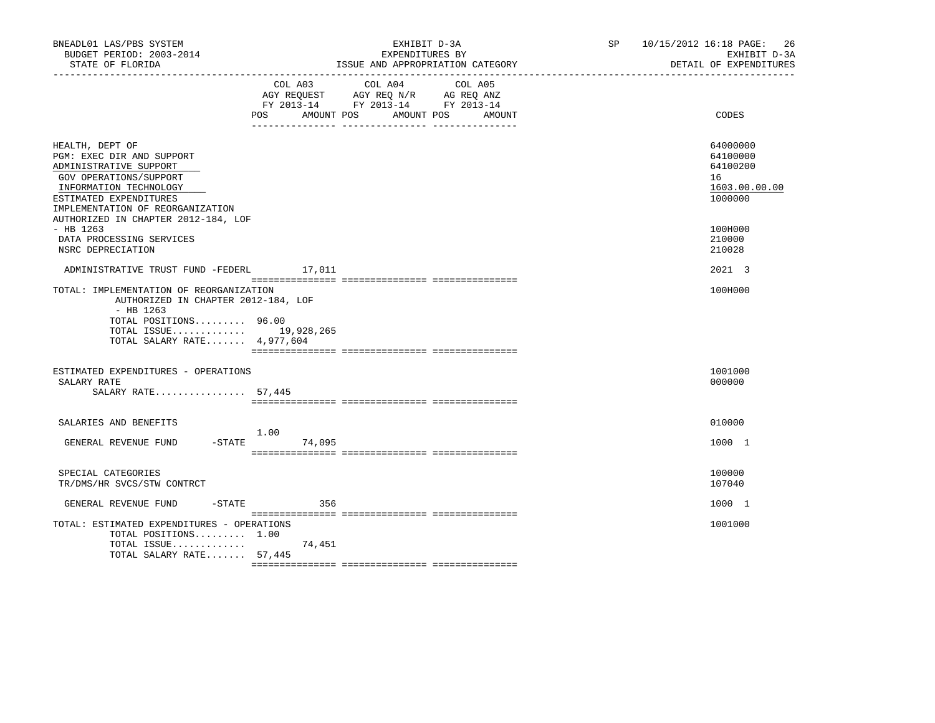| BNEADL01 LAS/PBS SYSTEM<br>BUDGET PERIOD: 2003-2014<br>STATE OF FLORIDA                                                                                                                                                         |                          | EXHIBIT D-3A<br>EXPENDITURES BY<br>ISSUE AND APPROPRIATION CATEGORY                                                       | SP 10/15/2012 16:18 PAGE:<br>26<br>EXHIBIT D-3A<br>DETAIL OF EXPENDITURES |
|---------------------------------------------------------------------------------------------------------------------------------------------------------------------------------------------------------------------------------|--------------------------|---------------------------------------------------------------------------------------------------------------------------|---------------------------------------------------------------------------|
|                                                                                                                                                                                                                                 | <b>POS</b><br>AMOUNT POS | COL A03 COL A04 COL A05<br>AGY REQUEST AGY REQ N/R AG REQ ANZ<br>FY 2013-14 FY 2013-14 FY 2013-14<br>AMOUNT POS<br>AMOUNT | CODES                                                                     |
| HEALTH, DEPT OF<br>PGM: EXEC DIR AND SUPPORT<br>ADMINISTRATIVE SUPPORT<br>GOV OPERATIONS/SUPPORT<br>INFORMATION TECHNOLOGY<br>ESTIMATED EXPENDITURES<br>IMPLEMENTATION OF REORGANIZATION<br>AUTHORIZED IN CHAPTER 2012-184, LOF |                          |                                                                                                                           | 64000000<br>64100000<br>64100200<br>16<br>1603.00.00.00<br>1000000        |
| $-$ HB 1263<br>DATA PROCESSING SERVICES<br>NSRC DEPRECIATION                                                                                                                                                                    |                          |                                                                                                                           | 100H000<br>210000<br>210028                                               |
| ADMINISTRATIVE TRUST FUND -FEDERL 17,011                                                                                                                                                                                        |                          |                                                                                                                           | 2021 3                                                                    |
| TOTAL: IMPLEMENTATION OF REORGANIZATION<br>AUTHORIZED IN CHAPTER 2012-184, LOF<br>$-$ HB 1263<br>TOTAL POSITIONS 96.00<br>TOTAL ISSUE 19,928,265<br>TOTAL SALARY RATE 4,977,604                                                 |                          |                                                                                                                           | 100H000                                                                   |
| ESTIMATED EXPENDITURES - OPERATIONS<br>SALARY RATE<br>SALARY RATE 57,445                                                                                                                                                        |                          |                                                                                                                           | 1001000<br>000000                                                         |
| SALARIES AND BENEFITS<br>$-STATE$<br>GENERAL REVENUE FUND                                                                                                                                                                       | 1.00<br>74,095           |                                                                                                                           | 010000<br>1000 1                                                          |
| SPECIAL CATEGORIES<br>TR/DMS/HR SVCS/STW CONTRCT                                                                                                                                                                                |                          |                                                                                                                           | 100000<br>107040                                                          |
| $-$ STATE<br>GENERAL REVENUE FUND                                                                                                                                                                                               | 356                      |                                                                                                                           | 1000 1                                                                    |
| TOTAL: ESTIMATED EXPENDITURES - OPERATIONS<br>TOTAL POSITIONS 1.00<br>TOTAL ISSUE<br>TOTAL SALARY RATE 57,445                                                                                                                   | 74,451                   |                                                                                                                           | 1001000                                                                   |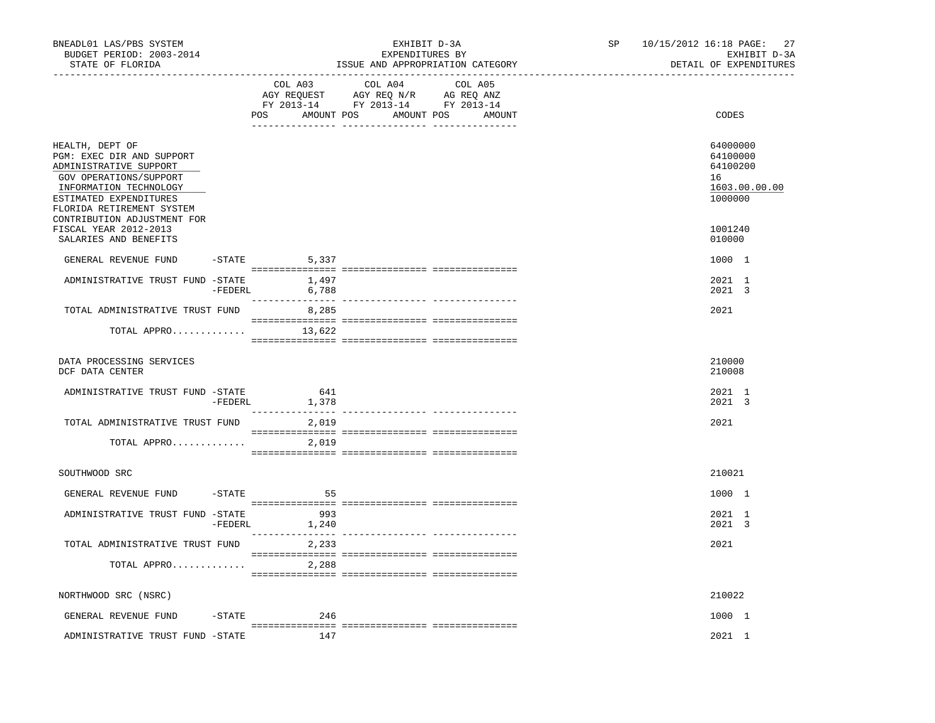| BNEADL01 LAS/PBS SYSTEM<br>BUDGET PERIOD: 2003-2014<br>STATE OF FLORIDA                                                                                                                                                                   |           | --------------------------------- | EXHIBIT D-3A<br>EXPENDITURES BY<br>ISSUE AND APPROPRIATION CATEGORY<br>------------------------------                            | SP | 27<br>10/15/2012 16:18 PAGE:<br>EXHIBIT D-3A<br>DETAIL OF EXPENDITURES        |
|-------------------------------------------------------------------------------------------------------------------------------------------------------------------------------------------------------------------------------------------|-----------|-----------------------------------|----------------------------------------------------------------------------------------------------------------------------------|----|-------------------------------------------------------------------------------|
|                                                                                                                                                                                                                                           |           | COL A03                           | COL A04<br>COL A05<br>AGY REQUEST AGY REQ N/R AG REQ ANZ<br>FY 2013-14 FY 2013-14 FY 2013-14<br>POS AMOUNT POS AMOUNT POS AMOUNT |    | CODES                                                                         |
| HEALTH, DEPT OF<br>PGM: EXEC DIR AND SUPPORT<br>ADMINISTRATIVE SUPPORT<br>GOV OPERATIONS/SUPPORT<br>INFORMATION TECHNOLOGY<br>ESTIMATED EXPENDITURES<br>FLORIDA RETIREMENT SYSTEM<br>CONTRIBUTION ADJUSTMENT FOR<br>FISCAL YEAR 2012-2013 |           |                                   |                                                                                                                                  |    | 64000000<br>64100000<br>64100200<br>16<br>1603.00.00.00<br>1000000<br>1001240 |
| SALARIES AND BENEFITS                                                                                                                                                                                                                     |           |                                   |                                                                                                                                  |    | 010000                                                                        |
| GENERAL REVENUE FUND<br>ADMINISTRATIVE TRUST FUND -STATE 1,497                                                                                                                                                                            |           | $-STATE$ 5,337<br>-FEDERL 6,788   |                                                                                                                                  |    | 1000 1<br>2021 1<br>2021 3                                                    |
| TOTAL ADMINISTRATIVE TRUST FUND 8,285<br>TOTAL APPRO $13,622$                                                                                                                                                                             |           |                                   |                                                                                                                                  |    | 2021                                                                          |
|                                                                                                                                                                                                                                           |           |                                   |                                                                                                                                  |    |                                                                               |
| DATA PROCESSING SERVICES<br>DCF DATA CENTER                                                                                                                                                                                               |           |                                   |                                                                                                                                  |    | 210000<br>210008                                                              |
| ADMINISTRATIVE TRUST FUND -STATE                                                                                                                                                                                                          | -FEDERL   | 641<br>1,378                      |                                                                                                                                  |    | 2021 1<br>2021 3                                                              |
| TOTAL ADMINISTRATIVE TRUST FUND 2,019                                                                                                                                                                                                     |           |                                   |                                                                                                                                  |    | 2021                                                                          |
| TOTAL APPRO                                                                                                                                                                                                                               |           | 2,019                             |                                                                                                                                  |    |                                                                               |
| SOUTHWOOD SRC                                                                                                                                                                                                                             |           |                                   |                                                                                                                                  |    | 210021                                                                        |
| GENERAL REVENUE FUND                                                                                                                                                                                                                      | -STATE    | 55                                |                                                                                                                                  |    | 1000 1                                                                        |
| ADMINISTRATIVE TRUST FUND -STATE                                                                                                                                                                                                          | -FEDERL   | 993<br>1,240                      |                                                                                                                                  |    | 2021 1<br>2021 3                                                              |
| TOTAL ADMINISTRATIVE TRUST FUND 2,233                                                                                                                                                                                                     |           |                                   |                                                                                                                                  |    | 2021                                                                          |
| TOTAL APPRO                                                                                                                                                                                                                               |           | 2,288                             |                                                                                                                                  |    |                                                                               |
| NORTHWOOD SRC (NSRC)                                                                                                                                                                                                                      |           |                                   |                                                                                                                                  |    | 210022                                                                        |
| GENERAL REVENUE FUND                                                                                                                                                                                                                      | $-$ STATE | 246                               |                                                                                                                                  |    | 1000 1                                                                        |
| ADMINISTRATIVE TRUST FUND -STATE                                                                                                                                                                                                          |           | 147                               |                                                                                                                                  |    | 2021 1                                                                        |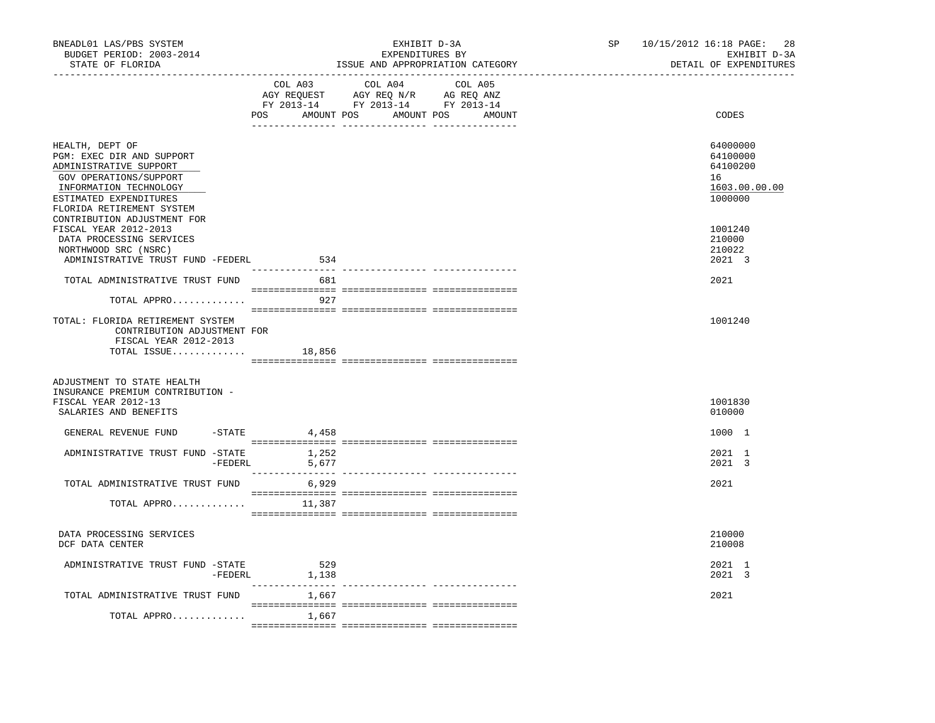| BNEADL01 LAS/PBS SYSTEM<br>BUDGET PERIOD: 2003-2014<br>STATE OF FLORIDA                                                                                                           |                 | EXHIBIT D-3A<br>EXPENDITURES BY<br>ISSUE AND APPROPRIATION CATEGORY                                                              | SP | 10/15/2012 16:18 PAGE: 28<br>EXHIBIT D-3A<br>DETAIL OF EXPENDITURES |
|-----------------------------------------------------------------------------------------------------------------------------------------------------------------------------------|-----------------|----------------------------------------------------------------------------------------------------------------------------------|----|---------------------------------------------------------------------|
|                                                                                                                                                                                   | COL A03         | COL A04<br>COL A05<br>AGY REQUEST AGY REQ N/R AG REQ ANZ<br>FY 2013-14 FY 2013-14 FY 2013-14<br>POS AMOUNT POS AMOUNT POS AMOUNT |    | CODES                                                               |
| HEALTH, DEPT OF<br>PGM: EXEC DIR AND SUPPORT<br>ADMINISTRATIVE SUPPORT<br>GOV OPERATIONS/SUPPORT<br>INFORMATION TECHNOLOGY<br>ESTIMATED EXPENDITURES<br>FLORIDA RETIREMENT SYSTEM |                 |                                                                                                                                  |    | 64000000<br>64100000<br>64100200<br>16<br>1603.00.00.00<br>1000000  |
| CONTRIBUTION ADJUSTMENT FOR<br>FISCAL YEAR 2012-2013<br>DATA PROCESSING SERVICES<br>NORTHWOOD SRC (NSRC)<br>ADMINISTRATIVE TRUST FUND -FEDERL                                     | 534             |                                                                                                                                  |    | 1001240<br>210000<br>210022<br>2021 3                               |
| TOTAL ADMINISTRATIVE TRUST FUND                                                                                                                                                   | 681             |                                                                                                                                  |    | 2021                                                                |
| TOTAL APPRO                                                                                                                                                                       | 927             |                                                                                                                                  |    |                                                                     |
| TOTAL: FLORIDA RETIREMENT SYSTEM<br>CONTRIBUTION ADJUSTMENT FOR<br>FISCAL YEAR 2012-2013<br>TOTAL ISSUE                                                                           | 18,856          |                                                                                                                                  |    | 1001240                                                             |
| ADJUSTMENT TO STATE HEALTH<br>INSURANCE PREMIUM CONTRIBUTION -<br>FISCAL YEAR 2012-13<br>SALARIES AND BENEFITS                                                                    |                 |                                                                                                                                  |    | 1001830<br>010000                                                   |
| GENERAL REVENUE FUND                                                                                                                                                              | $-$ STATE 4,458 |                                                                                                                                  |    | 1000 1                                                              |
| ADMINISTRATIVE TRUST FUND -STATE<br>-FEDERL                                                                                                                                       | 1,252<br>5,677  |                                                                                                                                  |    | 2021 1<br>2021 3                                                    |
| TOTAL ADMINISTRATIVE TRUST FUND                                                                                                                                                   | 6,929           |                                                                                                                                  |    | 2021                                                                |
| TOTAL APPRO                                                                                                                                                                       | 11,387          |                                                                                                                                  |    |                                                                     |
| DATA PROCESSING SERVICES<br>DCF DATA CENTER                                                                                                                                       |                 |                                                                                                                                  |    | 210000<br>210008                                                    |
| ADMINISTRATIVE TRUST FUND -STATE<br>-FEDERL                                                                                                                                       | 529<br>1,138    |                                                                                                                                  |    | 2021 1<br>2021 3                                                    |
| TOTAL ADMINISTRATIVE TRUST FUND                                                                                                                                                   | 1,667           |                                                                                                                                  |    | 2021                                                                |
| TOTAL APPRO                                                                                                                                                                       | 1,667           |                                                                                                                                  |    |                                                                     |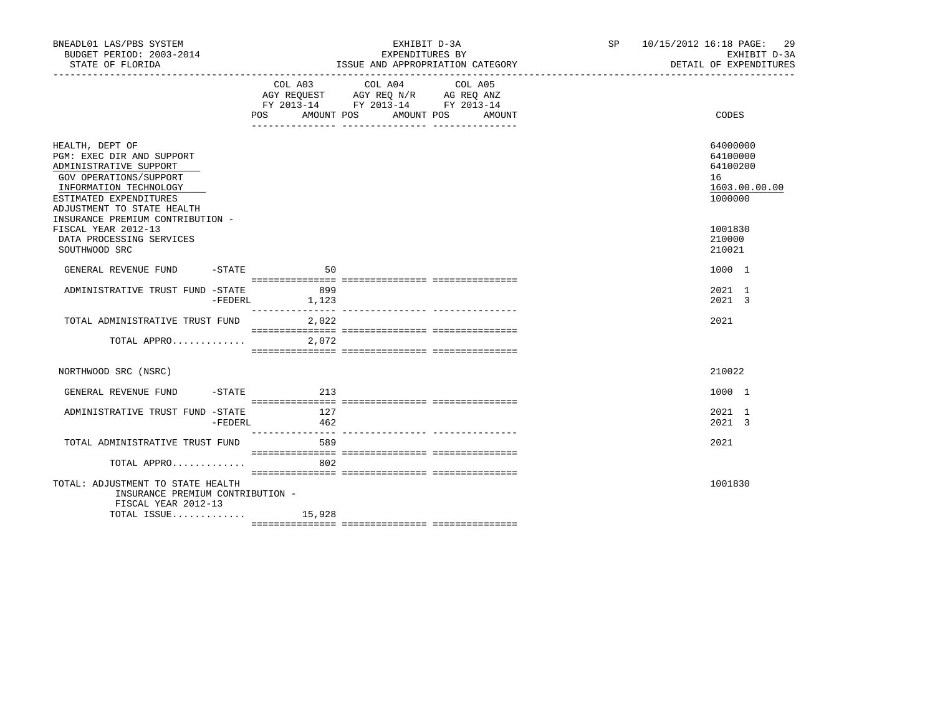| BNEADL01 LAS/PBS SYSTEM<br>BUDGET PERIOD: 2003-2014<br>STATE OF FLORIDA                                                                                                            |         |                                                                                                                                       | EXHIBIT D-3A<br>EXPENDITURES BY<br>ISSUE AND APPROPRIATION CATEGORY | SP 10/15/2012 16:18 PAGE: 29 | EXHIBIT D-3A<br>DETAIL OF EXPENDITURES                             |
|------------------------------------------------------------------------------------------------------------------------------------------------------------------------------------|---------|---------------------------------------------------------------------------------------------------------------------------------------|---------------------------------------------------------------------|------------------------------|--------------------------------------------------------------------|
|                                                                                                                                                                                    |         | COL A03 COL A04 COL A05<br>AGY REQUEST AGY REQ N/R AG REQ ANZ<br>FY 2013-14 FY 2013-14 FY 2013-14<br>POS AMOUNT POS AMOUNT POS AMOUNT |                                                                     | CODES                        |                                                                    |
| HEALTH, DEPT OF<br>PGM: EXEC DIR AND SUPPORT<br>ADMINISTRATIVE SUPPORT<br>GOV OPERATIONS/SUPPORT<br>INFORMATION TECHNOLOGY<br>ESTIMATED EXPENDITURES<br>ADJUSTMENT TO STATE HEALTH |         |                                                                                                                                       |                                                                     |                              | 64000000<br>64100000<br>64100200<br>16<br>1603.00.00.00<br>1000000 |
| INSURANCE PREMIUM CONTRIBUTION -<br>FISCAL YEAR 2012-13<br>DATA PROCESSING SERVICES<br>SOUTHWOOD SRC                                                                               |         |                                                                                                                                       |                                                                     |                              | 1001830<br>210000<br>210021                                        |
| GENERAL REVENUE FUND                                                                                                                                                               |         | $-STATE$<br>50                                                                                                                        |                                                                     |                              | 1000 1                                                             |
| ADMINISTRATIVE TRUST FUND -STATE                                                                                                                                                   |         | 899 899<br>-FEDERL 1,123                                                                                                              |                                                                     |                              | 2021 1<br>2021 3                                                   |
| TOTAL ADMINISTRATIVE TRUST FUND                                                                                                                                                    |         | 2,022                                                                                                                                 |                                                                     |                              | 2021                                                               |
| TOTAL APPRO $2,072$                                                                                                                                                                |         |                                                                                                                                       |                                                                     |                              |                                                                    |
| NORTHWOOD SRC (NSRC)                                                                                                                                                               |         |                                                                                                                                       |                                                                     |                              | 210022                                                             |
| GENERAL REVENUE FUND -STATE 6213                                                                                                                                                   |         |                                                                                                                                       |                                                                     |                              | 1000 1                                                             |
| ADMINISTRATIVE TRUST FUND -STATE                                                                                                                                                   | -FEDERL | 127<br>462                                                                                                                            |                                                                     |                              | 2021 1<br>2021 3                                                   |
| TOTAL ADMINISTRATIVE TRUST FUND 589                                                                                                                                                |         |                                                                                                                                       |                                                                     |                              | 2021                                                               |
| TOTAL APPRO                                                                                                                                                                        |         | 802                                                                                                                                   |                                                                     |                              |                                                                    |
| TOTAL: ADJUSTMENT TO STATE HEALTH<br>INSURANCE PREMIUM CONTRIBUTION -<br>FISCAL YEAR 2012-13                                                                                       |         |                                                                                                                                       |                                                                     |                              | 1001830                                                            |
| TOTAL ISSUE 15,928                                                                                                                                                                 |         |                                                                                                                                       |                                                                     |                              |                                                                    |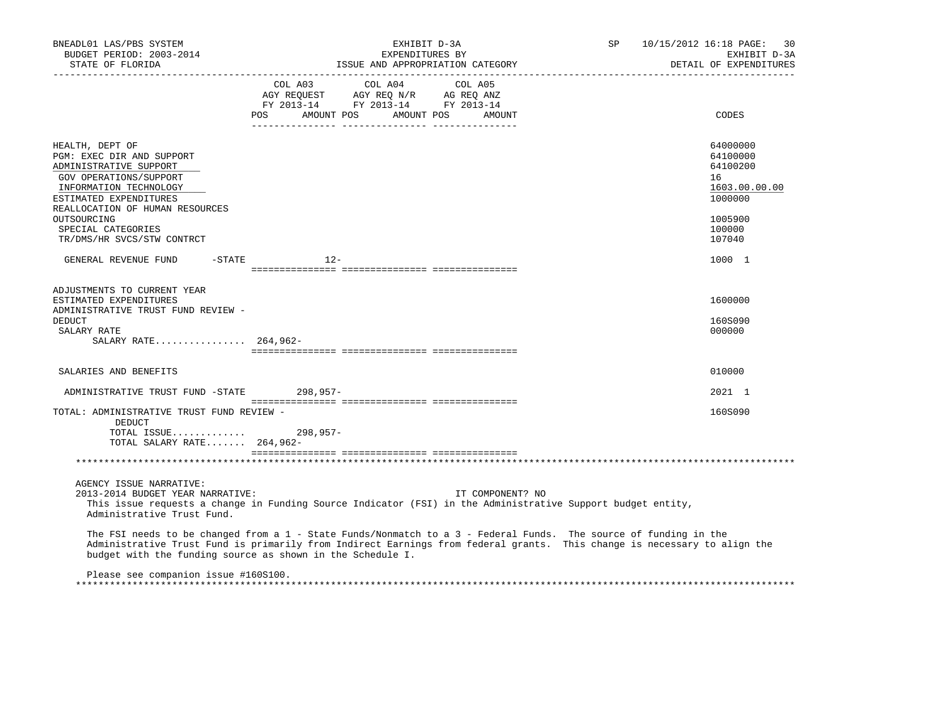| BNEADL01 LAS/PBS SYSTEM<br>BUDGET PERIOD: 2003-2014<br>STATE OF FLORIDA                                                                              | EXHIBIT D-3A<br>EXPENDITURES BY<br>ISSUE AND APPROPRIATION CATEGORY                                                                                                                                                                                                                                        | 10/15/2012 16:18 PAGE: 30<br>SP<br>EXHIBIT D-3A<br>DETAIL OF EXPENDITURES |
|------------------------------------------------------------------------------------------------------------------------------------------------------|------------------------------------------------------------------------------------------------------------------------------------------------------------------------------------------------------------------------------------------------------------------------------------------------------------|---------------------------------------------------------------------------|
|                                                                                                                                                      | COL A03 COL A04 COL A05<br>AGY REQUEST AGY REQ N/R AG REQ ANZ<br>FY 2013-14 FY 2013-14 FY 2013-14<br>AMOUNT POS<br>AMOUNT POS<br>POS<br>AMOUNT                                                                                                                                                             | CODES                                                                     |
|                                                                                                                                                      |                                                                                                                                                                                                                                                                                                            |                                                                           |
| HEALTH, DEPT OF<br>PGM: EXEC DIR AND SUPPORT<br>ADMINISTRATIVE SUPPORT<br>GOV OPERATIONS/SUPPORT<br>INFORMATION TECHNOLOGY<br>ESTIMATED EXPENDITURES |                                                                                                                                                                                                                                                                                                            | 64000000<br>64100000<br>64100200<br>16<br>1603.00.00.00<br>1000000        |
| REALLOCATION OF HUMAN RESOURCES<br>OUTSOURCING<br>SPECIAL CATEGORIES<br>TR/DMS/HR SVCS/STW CONTRCT                                                   |                                                                                                                                                                                                                                                                                                            | 1005900<br>100000<br>107040                                               |
| GENERAL REVENUE FUND<br>$-$ STATE                                                                                                                    | $12 -$                                                                                                                                                                                                                                                                                                     | 1000 1                                                                    |
| ADJUSTMENTS TO CURRENT YEAR<br>ESTIMATED EXPENDITURES<br>ADMINISTRATIVE TRUST FUND REVIEW -<br><b>DEDUCT</b><br>SALARY RATE<br>SALARY RATE 264,962-  |                                                                                                                                                                                                                                                                                                            | 1600000<br>160S090<br>000000                                              |
| SALARIES AND BENEFITS                                                                                                                                |                                                                                                                                                                                                                                                                                                            | 010000                                                                    |
| ADMINISTRATIVE TRUST FUND -STATE 298,957-                                                                                                            |                                                                                                                                                                                                                                                                                                            | 2021 1                                                                    |
| TOTAL: ADMINISTRATIVE TRUST FUND REVIEW -<br>DEDUCT<br>TOTAL SALARY RATE 264,962-                                                                    |                                                                                                                                                                                                                                                                                                            | 160S090                                                                   |
|                                                                                                                                                      |                                                                                                                                                                                                                                                                                                            |                                                                           |
| AGENCY ISSUE NARRATIVE:<br>2013-2014 BUDGET YEAR NARRATIVE:<br>Administrative Trust Fund.                                                            | IT COMPONENT? NO<br>This issue requests a change in Funding Source Indicator (FSI) in the Administrative Support budget entity,                                                                                                                                                                            |                                                                           |
|                                                                                                                                                      | The FSI needs to be changed from a 1 - State Funds/Nonmatch to a 3 - Federal Funds. The source of funding in the<br>Administrative Trust Fund is primarily from Indirect Earnings from federal grants. This change is necessary to align the<br>budget with the funding source as shown in the Schedule I. |                                                                           |
| Please see companion issue #160S100.                                                                                                                 |                                                                                                                                                                                                                                                                                                            |                                                                           |

\*\*\*\*\*\*\*\*\*\*\*\*\*\*\*\*\*\*\*\*\*\*\*\*\*\*\*\*\*\*\*\*\*\*\*\*\*\*\*\*\*\*\*\*\*\*\*\*\*\*\*\*\*\*\*\*\*\*\*\*\*\*\*\*\*\*\*\*\*\*\*\*\*\*\*\*\*\*\*\*\*\*\*\*\*\*\*\*\*\*\*\*\*\*\*\*\*\*\*\*\*\*\*\*\*\*\*\*\*\*\*\*\*\*\*\*\*\*\*\*\*\*\*\*\*\*\*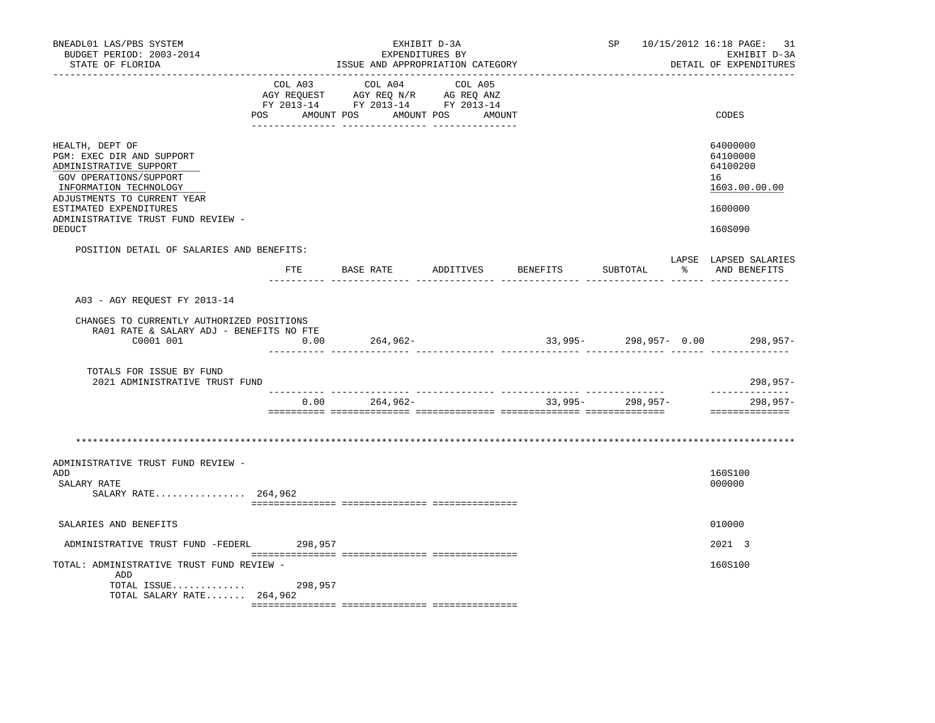| BNEADL01 LAS/PBS SYSTEM<br>BUDGET PERIOD: 2003-2014<br>STATE OF FLORIDA                                                                                                                                                                                                          |                |            | EXHIBIT D-3A<br>EXPENDITURES BY<br>ISSUE AND APPROPRIATION CATEGORY                                                                                                                                                                                                                                                                                                  |           | SP                        |      | 10/15/2012 16:18 PAGE: 31<br>EXHIBIT D-3A<br>DETAIL OF EXPENDITURES           |
|----------------------------------------------------------------------------------------------------------------------------------------------------------------------------------------------------------------------------------------------------------------------------------|----------------|------------|----------------------------------------------------------------------------------------------------------------------------------------------------------------------------------------------------------------------------------------------------------------------------------------------------------------------------------------------------------------------|-----------|---------------------------|------|-------------------------------------------------------------------------------|
|                                                                                                                                                                                                                                                                                  | COL A03<br>POS | COL A04    | COL A05<br>$\begin{array}{ccccccccc} \text{COL} & \text{AUI} & \text{CUL} & \text{AUI} & \text{CUL} & \text{AUI} \\ \text{AGY} & \text{REQUEST} & \text{AGY} & \text{REQ} & \text{N/R} & \text{AG} & \text{REQ} & \text{ANZ} \\ \text{FY} & 2013\text{--}14 & \text{FY} & 2013\text{--}14 & \text{FY} & 2013\text{--}14 \end{array}$<br>AMOUNT POS AMOUNT POS AMOUNT |           |                           |      | CODES                                                                         |
| HEALTH, DEPT OF<br>PGM: EXEC DIR AND SUPPORT<br>ADMINISTRATIVE SUPPORT<br>GOV OPERATIONS/SUPPORT<br>INFORMATION TECHNOLOGY<br>ADJUSTMENTS TO CURRENT YEAR<br>ESTIMATED EXPENDITURES<br>ADMINISTRATIVE TRUST FUND REVIEW -<br>DEDUCT<br>POSITION DETAIL OF SALARIES AND BENEFITS: |                |            | __ ________________ ___________                                                                                                                                                                                                                                                                                                                                      |           |                           |      | 64000000<br>64100000<br>64100200<br>16<br>1603.00.00.00<br>1600000<br>160S090 |
|                                                                                                                                                                                                                                                                                  | FTE            | BASE RATE  | ADDITIVES                                                                                                                                                                                                                                                                                                                                                            | BENEFITS  | SUBTOTAL                  | ာ အေ | LAPSE LAPSED SALARIES<br>AND BENEFITS                                         |
| A03 - AGY REOUEST FY 2013-14                                                                                                                                                                                                                                                     |                |            |                                                                                                                                                                                                                                                                                                                                                                      |           |                           |      |                                                                               |
| CHANGES TO CURRENTLY AUTHORIZED POSITIONS<br>RA01 RATE & SALARY ADJ - BENEFITS NO FTE<br>C0001 001                                                                                                                                                                               | 0.00           | 264,962-   |                                                                                                                                                                                                                                                                                                                                                                      |           | $33,995 - 298,957 - 0.00$ |      | $298.957-$                                                                    |
| TOTALS FOR ISSUE BY FUND<br>2021 ADMINISTRATIVE TRUST FUND                                                                                                                                                                                                                       |                |            |                                                                                                                                                                                                                                                                                                                                                                      |           |                           |      | 298,957-                                                                      |
|                                                                                                                                                                                                                                                                                  | 0.00           | $264,962-$ |                                                                                                                                                                                                                                                                                                                                                                      | $33,995-$ | 298,957-                  |      | --------------<br>$298, 957 -$<br>==============                              |
|                                                                                                                                                                                                                                                                                  |                |            |                                                                                                                                                                                                                                                                                                                                                                      |           |                           |      |                                                                               |
| ADMINISTRATIVE TRUST FUND REVIEW -<br>ADD<br>SALARY RATE<br>SALARY RATE 264,962                                                                                                                                                                                                  |                |            |                                                                                                                                                                                                                                                                                                                                                                      |           |                           |      | 160S100<br>000000                                                             |
| SALARIES AND BENEFITS                                                                                                                                                                                                                                                            |                |            |                                                                                                                                                                                                                                                                                                                                                                      |           |                           |      | 010000                                                                        |
| ADMINISTRATIVE TRUST FUND -FEDERL                                                                                                                                                                                                                                                | 298,957        |            |                                                                                                                                                                                                                                                                                                                                                                      |           |                           |      | 2021 3                                                                        |
| TOTAL: ADMINISTRATIVE TRUST FUND REVIEW -<br>ADD<br>TOTAL ISSUE<br>TOTAL SALARY RATE 264,962                                                                                                                                                                                     | 298,957        |            |                                                                                                                                                                                                                                                                                                                                                                      |           |                           |      | 160S100                                                                       |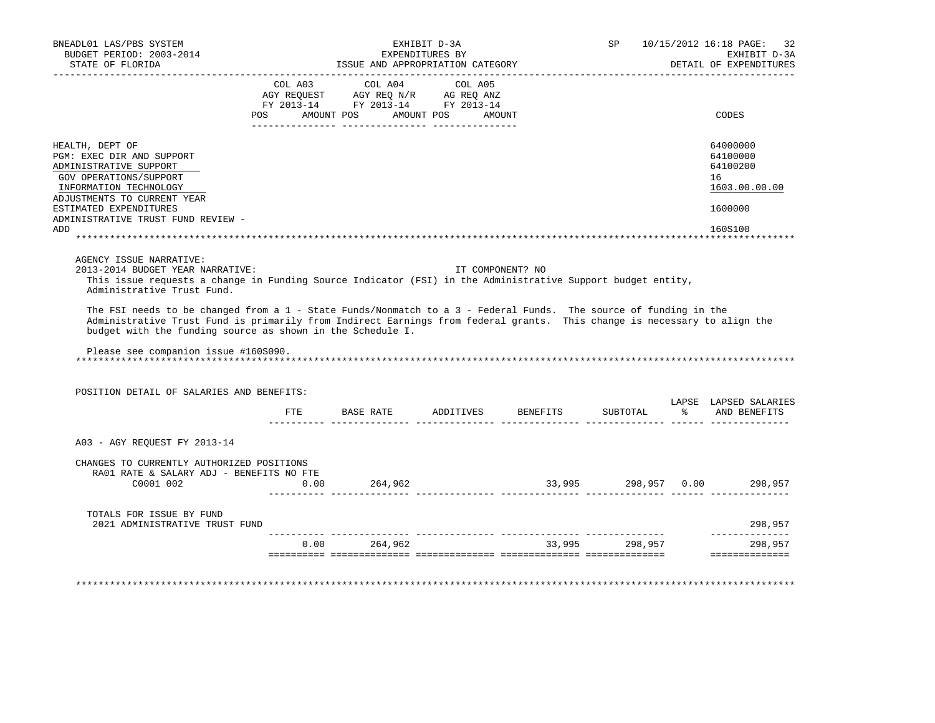| BNEADL01 LAS/PBS SYSTEM<br>BUDGET PERIOD: 2003-2014<br>STATE OF FLORIDA                                                                                                                                                                                                                                                                                                                                                                                                                                                                                                          |         | EXHIBIT D-3A<br>ISSUE AND APPROPRIATION CATEGORY                       | EXPENDITURES BY   |                | SP 10/15/2012 16:18 PAGE: 32<br>EXHIBIT D-3A<br>DETAIL OF EXPENDITURES |
|----------------------------------------------------------------------------------------------------------------------------------------------------------------------------------------------------------------------------------------------------------------------------------------------------------------------------------------------------------------------------------------------------------------------------------------------------------------------------------------------------------------------------------------------------------------------------------|---------|------------------------------------------------------------------------|-------------------|----------------|------------------------------------------------------------------------|
|                                                                                                                                                                                                                                                                                                                                                                                                                                                                                                                                                                                  |         |                                                                        |                   |                |                                                                        |
|                                                                                                                                                                                                                                                                                                                                                                                                                                                                                                                                                                                  |         | COL A03 COL A04 COL A05                                                |                   |                |                                                                        |
|                                                                                                                                                                                                                                                                                                                                                                                                                                                                                                                                                                                  |         | AGY REQUEST AGY REQ N/R AG REQ ANZ<br>FY 2013-14 FY 2013-14 FY 2013-14 |                   |                |                                                                        |
|                                                                                                                                                                                                                                                                                                                                                                                                                                                                                                                                                                                  | POS FOR | AMOUNT POS                                                             | AMOUNT POS AMOUNT |                | CODES                                                                  |
| HEALTH, DEPT OF                                                                                                                                                                                                                                                                                                                                                                                                                                                                                                                                                                  |         |                                                                        |                   |                | 64000000                                                               |
| PGM: EXEC DIR AND SUPPORT                                                                                                                                                                                                                                                                                                                                                                                                                                                                                                                                                        |         |                                                                        |                   |                | 64100000                                                               |
| ADMINISTRATIVE SUPPORT                                                                                                                                                                                                                                                                                                                                                                                                                                                                                                                                                           |         |                                                                        |                   |                | 64100200                                                               |
| GOV OPERATIONS/SUPPORT                                                                                                                                                                                                                                                                                                                                                                                                                                                                                                                                                           |         |                                                                        |                   |                | 16                                                                     |
| INFORMATION TECHNOLOGY                                                                                                                                                                                                                                                                                                                                                                                                                                                                                                                                                           |         |                                                                        |                   |                | 1603.00.00.00                                                          |
| ADJUSTMENTS TO CURRENT YEAR<br>ESTIMATED EXPENDITURES                                                                                                                                                                                                                                                                                                                                                                                                                                                                                                                            |         |                                                                        |                   |                | 1600000                                                                |
| ADMINISTRATIVE TRUST FUND REVIEW -                                                                                                                                                                                                                                                                                                                                                                                                                                                                                                                                               |         |                                                                        |                   |                |                                                                        |
| ADD                                                                                                                                                                                                                                                                                                                                                                                                                                                                                                                                                                              |         |                                                                        |                   |                | 160S100                                                                |
|                                                                                                                                                                                                                                                                                                                                                                                                                                                                                                                                                                                  |         |                                                                        |                   |                |                                                                        |
|                                                                                                                                                                                                                                                                                                                                                                                                                                                                                                                                                                                  |         |                                                                        | IT COMPONENT? NO  |                |                                                                        |
| 2013-2014 BUDGET YEAR NARRATIVE:<br>This issue requests a change in Funding Source Indicator (FSI) in the Administrative Support budget entity,<br>Administrative Trust Fund.<br>The FSI needs to be changed from a 1 - State Funds/Nonmatch to a 3 - Federal Funds. The source of funding in the<br>Administrative Trust Fund is primarily from Indirect Earnings from federal grants. This change is necessary to align the<br>budget with the funding source as shown in the Schedule I.<br>Please see companion issue #160S090.<br>POSITION DETAIL OF SALARIES AND BENEFITS: | ETE     |                                                                        |                   |                | LAPSE LAPSED SALARIES<br>% AND BENEFITS                                |
| A03 - AGY REOUEST FY 2013-14                                                                                                                                                                                                                                                                                                                                                                                                                                                                                                                                                     |         |                                                                        |                   |                |                                                                        |
|                                                                                                                                                                                                                                                                                                                                                                                                                                                                                                                                                                                  |         |                                                                        |                   |                |                                                                        |
| CHANGES TO CURRENTLY AUTHORIZED POSITIONS<br>RA01 RATE & SALARY ADJ - BENEFITS NO FTE                                                                                                                                                                                                                                                                                                                                                                                                                                                                                            |         |                                                                        |                   |                |                                                                        |
| C0001 002                                                                                                                                                                                                                                                                                                                                                                                                                                                                                                                                                                        | 0.00    | 264,962                                                                |                   |                |                                                                        |
| TOTALS FOR ISSUE BY FUND<br>2021 ADMINISTRATIVE TRUST FUND                                                                                                                                                                                                                                                                                                                                                                                                                                                                                                                       |         |                                                                        |                   |                | 33,995 298,957 0.00 298,957<br>298,957                                 |
|                                                                                                                                                                                                                                                                                                                                                                                                                                                                                                                                                                                  |         | $0.00$ 264,962                                                         |                   | 33,995 298,957 | ______________<br>298,957                                              |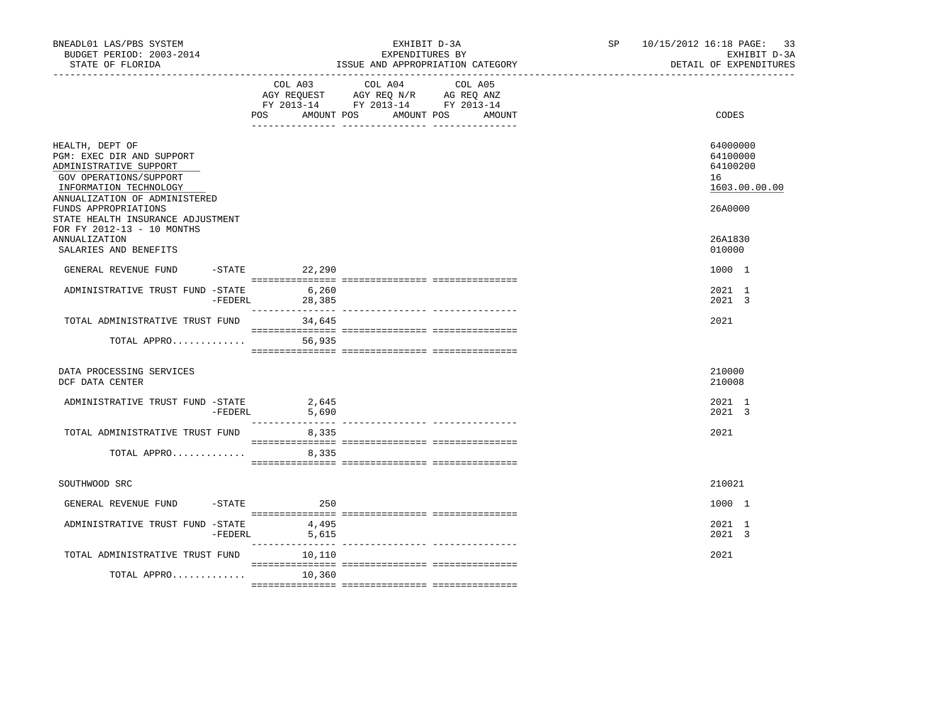| BNEADL01 LAS/PBS SYSTEM<br>BUDGET PERIOD: 2003-2014<br>STATE OF FLORIDA                                                                                                             |                              | EXHIBIT D-3A<br>EXPENDITURES BY<br>ISSUE AND APPROPRIATION CATEGORY                                                                  | SP <sub>2</sub> | 10/15/2012 16:18 PAGE: 33<br>EXHIBIT D-3A<br>DETAIL OF EXPENDITURES |
|-------------------------------------------------------------------------------------------------------------------------------------------------------------------------------------|------------------------------|--------------------------------------------------------------------------------------------------------------------------------------|-----------------|---------------------------------------------------------------------|
|                                                                                                                                                                                     | POS                          | COL A03 COL A04 COL A05<br>AGY REQUEST AGY REQ N/R AG REQ ANZ<br>FY 2013-14 FY 2013-14 FY 2013-14<br>AMOUNT POS AMOUNT POS<br>AMOUNT |                 | CODES                                                               |
| HEALTH, DEPT OF<br>PGM: EXEC DIR AND SUPPORT<br>ADMINISTRATIVE SUPPORT<br>GOV OPERATIONS/SUPPORT<br>INFORMATION TECHNOLOGY<br>ANNUALIZATION OF ADMINISTERED<br>FUNDS APPROPRIATIONS |                              |                                                                                                                                      |                 | 64000000<br>64100000<br>64100200<br>16<br>1603.00.00.00<br>26A0000  |
| STATE HEALTH INSURANCE ADJUSTMENT<br>FOR FY 2012-13 - 10 MONTHS<br>ANNUALIZATION<br>SALARIES AND BENEFITS                                                                           |                              |                                                                                                                                      |                 | 26A1830<br>010000                                                   |
| GENERAL REVENUE FUND                                                                                                                                                                | -STATE 22,290                |                                                                                                                                      |                 | 1000 1                                                              |
| ADMINISTRATIVE TRUST FUND -STATE                                                                                                                                                    | 6,260<br>$-FEDERL$<br>28,385 |                                                                                                                                      |                 | 2021 1<br>$2021 \quad 3$                                            |
| TOTAL ADMINISTRATIVE TRUST FUND                                                                                                                                                     | 34,645                       |                                                                                                                                      |                 | 2021                                                                |
| TOTAL APPRO                                                                                                                                                                         | 56,935                       |                                                                                                                                      |                 |                                                                     |
| DATA PROCESSING SERVICES<br>DCF DATA CENTER                                                                                                                                         |                              |                                                                                                                                      |                 | 210000<br>210008                                                    |
| ADMINISTRATIVE TRUST FUND -STATE<br>-FEDERL                                                                                                                                         | 2,645<br>5,690               |                                                                                                                                      |                 | 2021 1<br>2021 3                                                    |
| TOTAL ADMINISTRATIVE TRUST FUND                                                                                                                                                     | 8,335                        |                                                                                                                                      |                 | 2021                                                                |
| TOTAL APPRO                                                                                                                                                                         | 8,335                        |                                                                                                                                      |                 |                                                                     |
| SOUTHWOOD SRC                                                                                                                                                                       |                              |                                                                                                                                      |                 | 210021                                                              |
| GENERAL REVENUE FUND<br>$-$ STATE                                                                                                                                                   | 250                          |                                                                                                                                      |                 | 1000 1                                                              |
| ADMINISTRATIVE TRUST FUND -STATE                                                                                                                                                    | 4,495<br>$-FEDERL$ 5,615     |                                                                                                                                      |                 | 2021 1<br>2021 3                                                    |
| TOTAL ADMINISTRATIVE TRUST FUND                                                                                                                                                     | 10,110                       |                                                                                                                                      |                 | 2021                                                                |
| TOTAL APPRO                                                                                                                                                                         | 10,360                       |                                                                                                                                      |                 |                                                                     |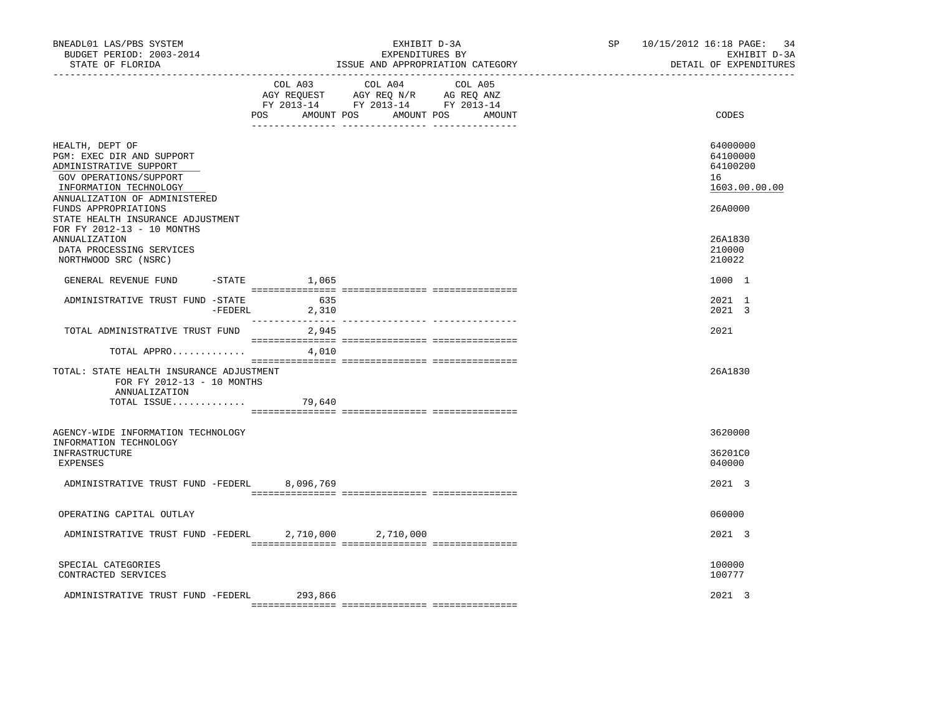| BNEADL01 LAS/PBS SYSTEM<br>BUDGET PERIOD: 2003-2014<br>STATE OF FLORIDA                                                                                     |                        | EXHIBIT D-3A<br>EXPENDITURES BY<br>ISSUE AND APPROPRIATION CATEGORY                                                           | SP 10/15/2012 16:18 PAGE:<br>34<br>EXHIBIT D-3A<br>DETAIL OF EXPENDITURES |
|-------------------------------------------------------------------------------------------------------------------------------------------------------------|------------------------|-------------------------------------------------------------------------------------------------------------------------------|---------------------------------------------------------------------------|
|                                                                                                                                                             | COL A03                | COL A04 COL A05<br>AGY REQUEST AGY REQ N/R AG REQ ANZ<br>FY 2013-14 FY 2013-14 FY 2013-14<br>POS AMOUNT POS AMOUNT POS AMOUNT | CODES                                                                     |
|                                                                                                                                                             |                        |                                                                                                                               |                                                                           |
| HEALTH, DEPT OF<br>PGM: EXEC DIR AND SUPPORT<br>ADMINISTRATIVE SUPPORT<br>GOV OPERATIONS/SUPPORT<br>INFORMATION TECHNOLOGY<br>ANNUALIZATION OF ADMINISTERED |                        |                                                                                                                               | 64000000<br>64100000<br>64100200<br>16<br>1603.00.00.00                   |
| FUNDS APPROPRIATIONS<br>STATE HEALTH INSURANCE ADJUSTMENT<br>FOR FY 2012-13 - 10 MONTHS                                                                     |                        |                                                                                                                               | 26A0000                                                                   |
| ANNUALIZATION<br>DATA PROCESSING SERVICES<br>NORTHWOOD SRC (NSRC)                                                                                           |                        |                                                                                                                               | 26A1830<br>210000<br>210022                                               |
| GENERAL REVENUE FUND                                                                                                                                        | $-$ STATE $1,065$      |                                                                                                                               | 1000 1                                                                    |
| ADMINISTRATIVE TRUST FUND -STATE                                                                                                                            | 635<br>$-FEDERL$ 2,310 |                                                                                                                               | 2021 1<br>2021 3                                                          |
| TOTAL ADMINISTRATIVE TRUST FUND                                                                                                                             | 2,945                  |                                                                                                                               | 2021                                                                      |
| TOTAL APPRO $4,010$                                                                                                                                         |                        |                                                                                                                               |                                                                           |
| TOTAL: STATE HEALTH INSURANCE ADJUSTMENT<br>FOR FY 2012-13 - 10 MONTHS<br>ANNUALIZATION                                                                     |                        |                                                                                                                               | 26A1830                                                                   |
| TOTAL ISSUE $79,640$                                                                                                                                        |                        |                                                                                                                               |                                                                           |
| AGENCY-WIDE INFORMATION TECHNOLOGY<br>INFORMATION TECHNOLOGY                                                                                                |                        |                                                                                                                               | 3620000                                                                   |
| INFRASTRUCTURE<br>EXPENSES                                                                                                                                  |                        |                                                                                                                               | 36201C0<br>040000                                                         |
| ADMINISTRATIVE TRUST FUND -FEDERL 8,096,769                                                                                                                 |                        |                                                                                                                               | 2021 3                                                                    |
| OPERATING CAPITAL OUTLAY                                                                                                                                    |                        |                                                                                                                               | 060000                                                                    |
| ADMINISTRATIVE TRUST FUND -FEDERL                                                                                                                           |                        | 2,710,000 2,710,000                                                                                                           | 2021 3                                                                    |
| SPECIAL CATEGORIES<br>CONTRACTED SERVICES                                                                                                                   |                        |                                                                                                                               | 100000<br>100777                                                          |
| ADMINISTRATIVE TRUST FUND -FEDERL 293,866                                                                                                                   |                        |                                                                                                                               | 2021 3                                                                    |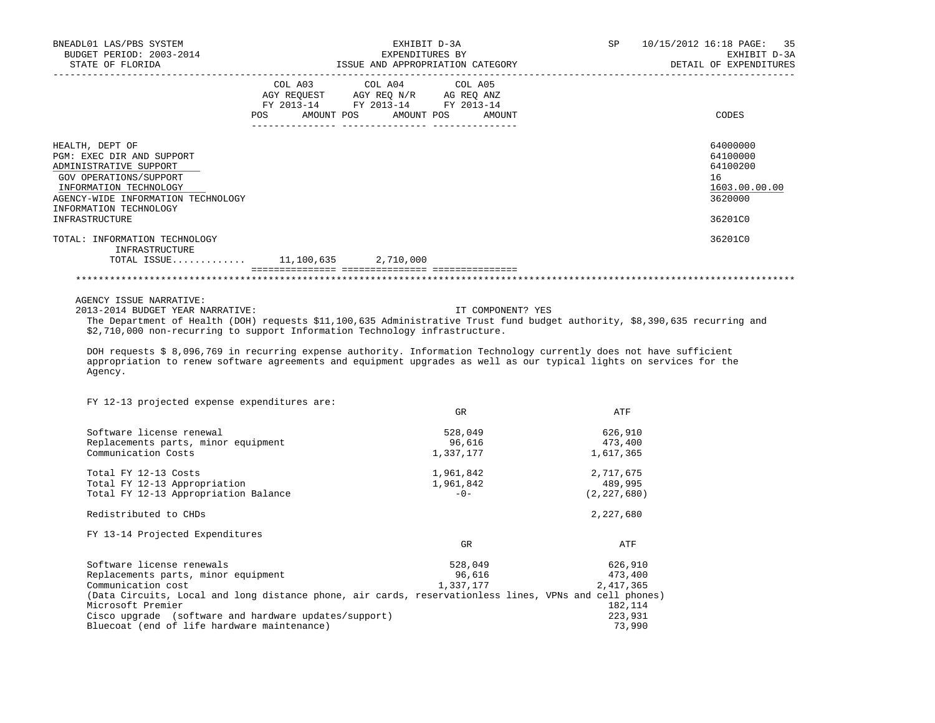| BNEADL01 LAS/PBS SYSTEM<br>BUDGET PERIOD: 2003-2014<br>STATE OF FLORIDA                                                                                                                                      | EXHIBIT D-3A<br>EXPENDITURES BY<br>ISSUE AND APPROPRIATION CATEGORY                                                                   | SP 10/15/2012 16:18 PAGE: 35<br>EXHIBIT D-3A<br>DETAIL OF EXPENDITURES |                                                                               |  |
|--------------------------------------------------------------------------------------------------------------------------------------------------------------------------------------------------------------|---------------------------------------------------------------------------------------------------------------------------------------|------------------------------------------------------------------------|-------------------------------------------------------------------------------|--|
|                                                                                                                                                                                                              | COL A03 COL A04 COL A05<br>AGY REQUEST AGY REQ N/R AG REQ ANZ<br>FY 2013-14 FY 2013-14 FY 2013-14<br>POS AMOUNT POS AMOUNT POS AMOUNT |                                                                        | CODES                                                                         |  |
| HEALTH, DEPT OF<br>PGM: EXEC DIR AND SUPPORT<br>ADMINISTRATIVE SUPPORT<br>GOV OPERATIONS/SUPPORT<br>INFORMATION TECHNOLOGY<br>AGENCY-WIDE INFORMATION TECHNOLOGY<br>INFORMATION TECHNOLOGY<br>INFRASTRUCTURE |                                                                                                                                       |                                                                        | 64000000<br>64100000<br>64100200<br>16<br>1603.00.00.00<br>3620000<br>36201C0 |  |
| TOTAL: INFORMATION TECHNOLOGY<br>INFRASTRUCTURE<br>TOTAL ISSUE 11,100,635 2,710,000                                                                                                                          |                                                                                                                                       |                                                                        | 36201C0                                                                       |  |
|                                                                                                                                                                                                              |                                                                                                                                       |                                                                        |                                                                               |  |

AGENCY ISSUE NARRATIVE:

 2013-2014 BUDGET YEAR NARRATIVE: IT COMPONENT? YES The Department of Health (DOH) requests \$11,100,635 Administrative Trust fund budget authority, \$8,390,635 recurring and \$2,710,000 non-recurring to support Information Technology infrastructure.

 DOH requests \$ 8,096,769 in recurring expense authority. Information Technology currently does not have sufficient appropriation to renew software agreements and equipment upgrades as well as our typical lights on services for the Agency.

FY 12-13 projected expense expenditures are:

|                                                                                                        | GR        | ATF           |
|--------------------------------------------------------------------------------------------------------|-----------|---------------|
| Software license renewal                                                                               | 528,049   | 626,910       |
| Replacements parts, minor equipment                                                                    | 96,616    | 473,400       |
| Communication Costs                                                                                    | 1,337,177 | 1,617,365     |
| Total FY 12-13 Costs                                                                                   | 1,961,842 | 2,717,675     |
| Total FY 12-13 Appropriation                                                                           | 1,961,842 | 489,995       |
| Total FY 12-13 Appropriation Balance                                                                   | $-0-$     | (2, 227, 680) |
| Redistributed to CHDs                                                                                  |           | 2,227,680     |
| FY 13-14 Projected Expenditures                                                                        |           |               |
|                                                                                                        | GR        | ATF           |
| Software license renewals                                                                              | 528,049   | 626,910       |
| Replacements parts, minor equipment                                                                    | 96,616    | 473,400       |
| Communication cost                                                                                     | 1,337,177 | 2,417,365     |
| (Data Circuits, Local and long distance phone, air cards, reservationless lines, VPNs and cell phones) |           |               |
| Microsoft Premier                                                                                      |           | 182,114       |
| Cisco upgrade (software and hardware updates/support)                                                  |           | 223,931       |
| Bluecoat (end of life hardware maintenance)                                                            |           | 73,990        |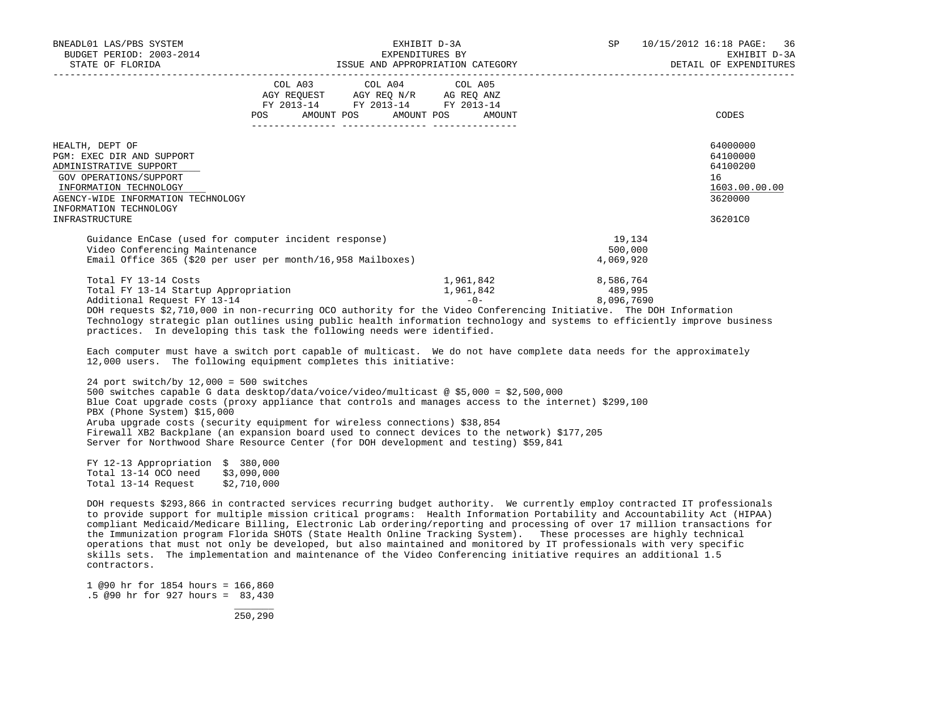| BNEADL01 LAS/PBS SYSTEM<br>BUDGET PERIOD: 2003-2014<br>STATE OF FLORIDA                                                                                                                    | EXHIBIT D-3A<br>EXPENDITURES BY<br>ISSUE AND APPROPRIATION CATEGORY THE SERVICE OF EXPENDITURES                                       |                                    | 10/15/2012 16:18 PAGE: 36<br>EXHIBIT D-3A                          |
|--------------------------------------------------------------------------------------------------------------------------------------------------------------------------------------------|---------------------------------------------------------------------------------------------------------------------------------------|------------------------------------|--------------------------------------------------------------------|
|                                                                                                                                                                                            | COL A03 COL A04 COL A05<br>AGY REQUEST AGY REQ N/R AG REQ ANZ<br>FY 2013-14 FY 2013-14 FY 2013-14<br>POS AMOUNT POS AMOUNT POS AMOUNT |                                    | CODES                                                              |
| HEALTH, DEPT OF<br>PGM: EXEC DIR AND SUPPORT<br>ADMINISTRATIVE SUPPORT<br>GOV OPERATIONS/SUPPORT<br>INFORMATION TECHNOLOGY<br>AGENCY-WIDE INFORMATION TECHNOLOGY<br>INFORMATION TECHNOLOGY |                                                                                                                                       |                                    | 64000000<br>64100000<br>64100200<br>16<br>1603.00.00.00<br>3620000 |
| INFRASTRUCTURE                                                                                                                                                                             |                                                                                                                                       |                                    | 36201C0                                                            |
| Guidance EnCase (used for computer incident response)<br>Video Conferencing Maintenance<br>Email Office 365 (\$20 per user per month/16,958 Mailboxes)                                     |                                                                                                                                       | 19,134<br>500,000<br>4,069,920     |                                                                    |
| Total FY 13-14 Costs<br>Total FY 13-14 Startup Appropriation<br>Additional Request FY 13-14                                                                                                | 1,961,842<br>1,961,842<br>$-0-$                                                                                                       | 8,586,764<br>489,995<br>8,096,7690 |                                                                    |

 DOH requests \$2,710,000 in non-recurring OCO authority for the Video Conferencing Initiative. The DOH Information Technology strategic plan outlines using public health information technology and systems to efficiently improve business practices. In developing this task the following needs were identified.

 Each computer must have a switch port capable of multicast. We do not have complete data needs for the approximately 12,000 users. The following equipment completes this initiative:

 24 port switch/by 12,000 = 500 switches 500 switches capable G data desktop/data/voice/video/multicast @ \$5,000 = \$2,500,000 Blue Coat upgrade costs (proxy appliance that controls and manages access to the internet) \$299,100 PBX (Phone System) \$15,000 Aruba upgrade costs (security equipment for wireless connections) \$38,854 Firewall XB2 Backplane (an expansion board used to connect devices to the network) \$177,205 Server for Northwood Share Resource Center (for DOH development and testing) \$59,841

 FY 12-13 Appropriation \$ 380,000 Total 13-14 OCO need \$3,090,000<br>Total 13-14 Request \$2,710,000 Total 13-14 Request

 DOH requests \$293,866 in contracted services recurring budget authority. We currently employ contracted IT professionals to provide support for multiple mission critical programs: Health Information Portability and Accountability Act (HIPAA) compliant Medicaid/Medicare Billing, Electronic Lab ordering/reporting and processing of over 17 million transactions for the Immunization program Florida SHOTS (State Health Online Tracking System). These processes are highly technical operations that must not only be developed, but also maintained and monitored by IT professionals with very specific skills sets. The implementation and maintenance of the Video Conferencing initiative requires an additional 1.5 contractors.

 1 @90 hr for 1854 hours = 166,860 .5 @90 hr for 927 hours = 83,430

\_\_\_\_\_\_\_

250,290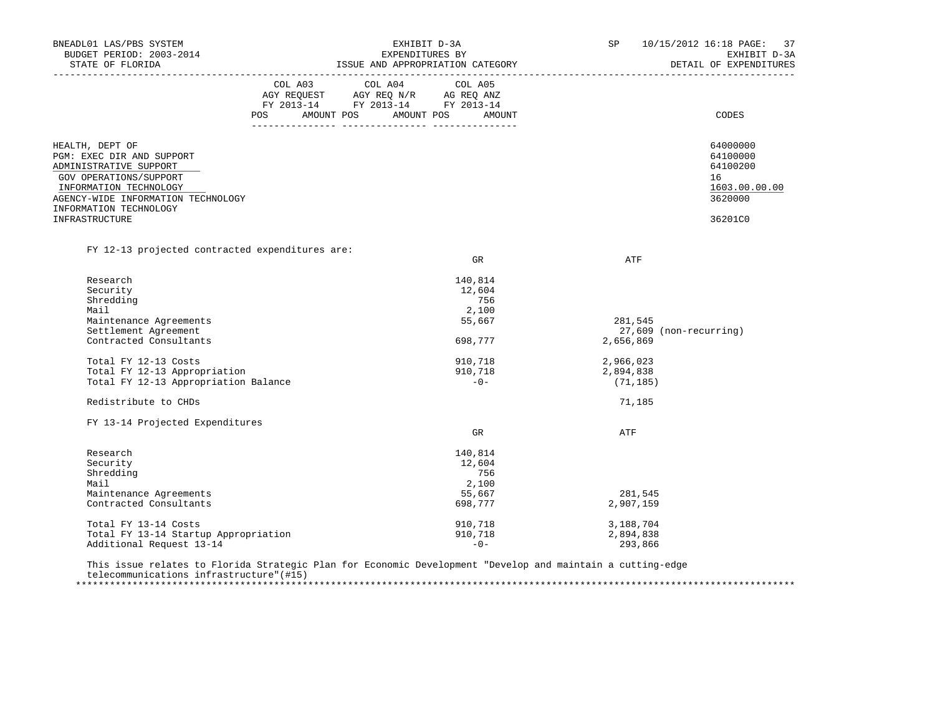| BNEADL01 LAS/PBS SYSTEM<br>BUDGET PERIOD: 2003-2014 |         | EXHIBIT D-3A<br>EXPENDITURES BY                                                                                                                                                             | 10/15/2012 16:18 PAGE: 37<br>SP<br>EXHIBIT D-3A |                        |                        |
|-----------------------------------------------------|---------|---------------------------------------------------------------------------------------------------------------------------------------------------------------------------------------------|-------------------------------------------------|------------------------|------------------------|
| STATE OF FLORIDA<br>______________________          |         |                                                                                                                                                                                             | ISSUE AND APPROPRIATION CATEGORY                |                        | DETAIL OF EXPENDITURES |
|                                                     |         | COL A03 COL A04 COL A05                                                                                                                                                                     |                                                 |                        |                        |
|                                                     |         | $\begin{tabular}{lllllll} \bf AGY \,\, REQUEST \,\, &\bf AGY \,\, REQ \,\, N/R &\bf AG \,\, REQ \,\, ANZ \\ \bf FY \,\, 2013-14 &\bf FY \,\, 2013-14 &\bf FY \,\, 2013-14 \\ \end{tabular}$ |                                                 |                        |                        |
|                                                     |         |                                                                                                                                                                                             |                                                 |                        |                        |
|                                                     | POS FOR |                                                                                                                                                                                             | AMOUNT POS AMOUNT POS AMOUNT                    |                        | CODES                  |
| HEALTH, DEPT OF                                     |         |                                                                                                                                                                                             |                                                 |                        | 64000000               |
| PGM: EXEC DIR AND SUPPORT                           |         |                                                                                                                                                                                             |                                                 |                        | 64100000               |
| ADMINISTRATIVE SUPPORT                              |         |                                                                                                                                                                                             |                                                 |                        | 64100200               |
| GOV OPERATIONS/SUPPORT                              |         |                                                                                                                                                                                             |                                                 |                        | 16                     |
| INFORMATION TECHNOLOGY                              |         |                                                                                                                                                                                             |                                                 |                        | 1603.00.00.00          |
| AGENCY-WIDE INFORMATION TECHNOLOGY                  |         |                                                                                                                                                                                             |                                                 |                        | 3620000                |
| INFORMATION TECHNOLOGY                              |         |                                                                                                                                                                                             |                                                 |                        |                        |
| INFRASTRUCTURE                                      |         |                                                                                                                                                                                             |                                                 |                        | 36201C0                |
| FY 12-13 projected contracted expenditures are:     |         |                                                                                                                                                                                             |                                                 |                        |                        |
|                                                     |         |                                                                                                                                                                                             | GR                                              | ATF                    |                        |
|                                                     |         |                                                                                                                                                                                             |                                                 |                        |                        |
| Research                                            |         |                                                                                                                                                                                             | 140,814                                         |                        |                        |
| Security                                            |         |                                                                                                                                                                                             | 12,604                                          |                        |                        |
| Shredding                                           |         |                                                                                                                                                                                             | 756                                             |                        |                        |
| Mail                                                |         |                                                                                                                                                                                             | 2,100                                           |                        |                        |
| Maintenance Agreements                              |         |                                                                                                                                                                                             | 55,667                                          | 281,545                |                        |
| Settlement Agreement                                |         |                                                                                                                                                                                             |                                                 | 27,609 (non-recurring) |                        |
| Contracted Consultants                              |         |                                                                                                                                                                                             | 698,777                                         | 2,656,869              |                        |
| Total FY 12-13 Costs                                |         |                                                                                                                                                                                             | 910,718                                         | 2,966,023              |                        |
| Total FY 12-13 Appropriation                        |         |                                                                                                                                                                                             | 910,718                                         | 2,894,838              |                        |
| Total FY 12-13 Appropriation Balance                |         |                                                                                                                                                                                             | $-0-$                                           | (71, 185)              |                        |
| Redistribute to CHDs                                |         |                                                                                                                                                                                             |                                                 | 71,185                 |                        |
| FY 13-14 Projected Expenditures                     |         |                                                                                                                                                                                             |                                                 |                        |                        |
|                                                     |         |                                                                                                                                                                                             | GR                                              | ATF                    |                        |
| Research                                            |         |                                                                                                                                                                                             | 140,814                                         |                        |                        |
| Security                                            |         |                                                                                                                                                                                             | 12,604                                          |                        |                        |
| Shredding                                           |         |                                                                                                                                                                                             | 756                                             |                        |                        |
| Mail                                                |         |                                                                                                                                                                                             | 2,100                                           |                        |                        |
| Maintenance Agreements                              |         |                                                                                                                                                                                             | 55,667                                          | 281,545                |                        |
| Contracted Consultants                              |         |                                                                                                                                                                                             | 698,777                                         | 2,907,159              |                        |
| Total FY 13-14 Costs                                |         |                                                                                                                                                                                             | 910,718                                         | 3,188,704              |                        |
| Total FY 13-14 Startup Appropriation                |         |                                                                                                                                                                                             | 910,718                                         | 2,894,838              |                        |
| Additional Request 13-14                            |         |                                                                                                                                                                                             | $-0-$                                           | 293,866                |                        |

 This issue relates to Florida Strategic Plan for Economic Development "Develop and maintain a cutting-edge telecommunications infrastructure"(#15) \*\*\*\*\*\*\*\*\*\*\*\*\*\*\*\*\*\*\*\*\*\*\*\*\*\*\*\*\*\*\*\*\*\*\*\*\*\*\*\*\*\*\*\*\*\*\*\*\*\*\*\*\*\*\*\*\*\*\*\*\*\*\*\*\*\*\*\*\*\*\*\*\*\*\*\*\*\*\*\*\*\*\*\*\*\*\*\*\*\*\*\*\*\*\*\*\*\*\*\*\*\*\*\*\*\*\*\*\*\*\*\*\*\*\*\*\*\*\*\*\*\*\*\*\*\*\*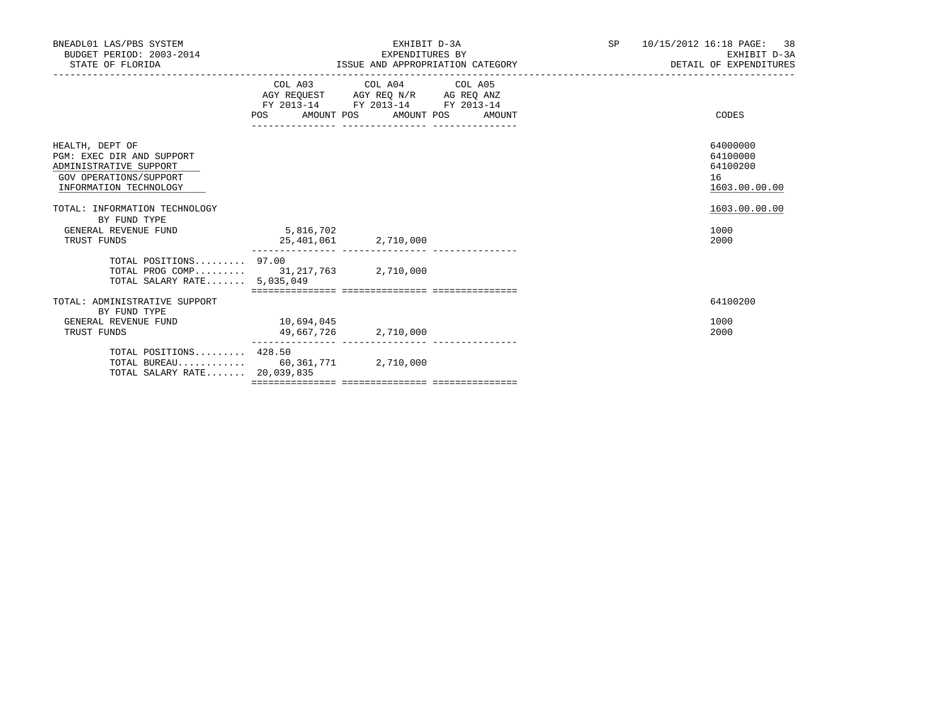| BNEADL01 LAS/PBS SYSTEM<br>BUDGET PERIOD: 2003-2014<br>STATE OF FLORIDA                                                    |                                    | EXHIBIT D-3A<br>EXPENDITURES BY                                                                   | ISSUE AND APPROPRIATION CATEGORY | SP <sub>2</sub><br>_________________________________ | 10/15/2012 16:18 PAGE: 38<br>EXHIBIT D-3A<br>DETAIL OF EXPENDITURES |
|----------------------------------------------------------------------------------------------------------------------------|------------------------------------|---------------------------------------------------------------------------------------------------|----------------------------------|------------------------------------------------------|---------------------------------------------------------------------|
|                                                                                                                            | POS AMOUNT POS AMOUNT POS          | COL A03 COL A04 COL A05<br>AGY REQUEST AGY REQ N/R AG REQ ANZ<br>FY 2013-14 FY 2013-14 FY 2013-14 | AMOUNT                           |                                                      | CODES                                                               |
| HEALTH, DEPT OF<br>PGM: EXEC DIR AND SUPPORT<br>ADMINISTRATIVE SUPPORT<br>GOV OPERATIONS/SUPPORT<br>INFORMATION TECHNOLOGY |                                    |                                                                                                   |                                  |                                                      | 64000000<br>64100000<br>64100200<br>16<br>1603.00.00.00             |
| TOTAL: INFORMATION TECHNOLOGY<br>BY FUND TYPE<br>GENERAL REVENUE FUND<br>TRUST FUNDS                                       | 5,816,702<br>25,401,061 2,710,000  |                                                                                                   |                                  |                                                      | 1603.00.00.00<br>1000<br>2000                                       |
| TOTAL POSITIONS 97.00<br>TOTAL PROG COMP 31, 217, 763 2, 710, 000<br>TOTAL SALARY RATE $5.035.049$                         |                                    |                                                                                                   |                                  |                                                      |                                                                     |
| TOTAL: ADMINISTRATIVE SUPPORT                                                                                              |                                    |                                                                                                   |                                  |                                                      | 64100200                                                            |
| BY FUND TYPE<br>GENERAL REVENUE FUND<br>TRUST FUNDS                                                                        | 10,694,045<br>49,667,726 2,710,000 |                                                                                                   |                                  |                                                      | 1000<br>2000                                                        |
| TOTAL POSITIONS 428.50<br>TOTAL BUREAU 60,361,771 2,710,000<br>TOTAL SALARY RATE 20,039,835                                |                                    |                                                                                                   |                                  |                                                      |                                                                     |
|                                                                                                                            |                                    |                                                                                                   |                                  |                                                      |                                                                     |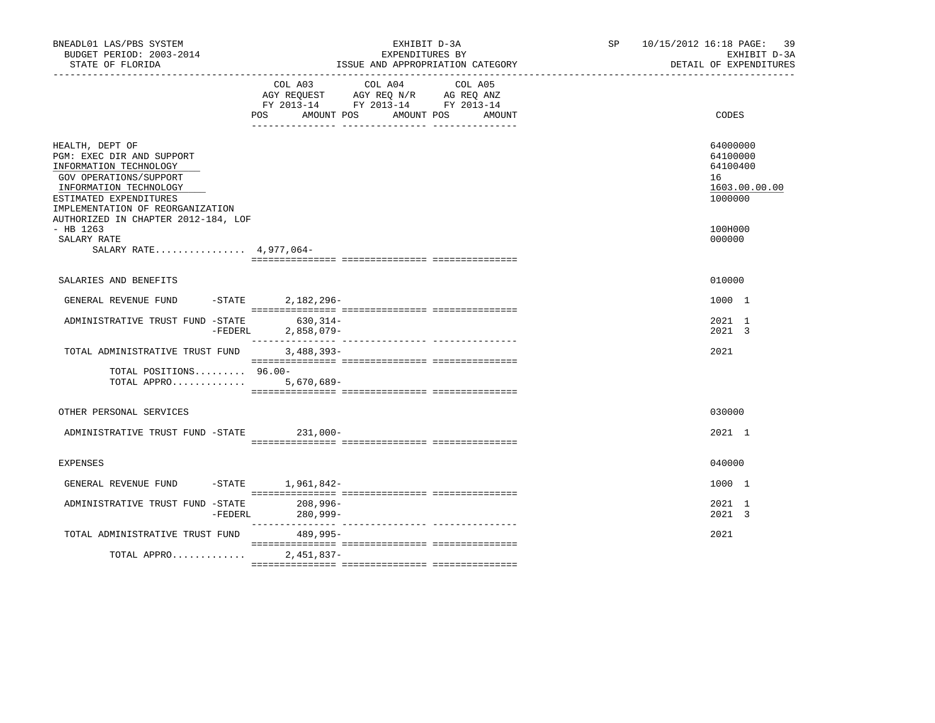| BNEADL01 LAS/PBS SYSTEM<br>BUDGET PERIOD: 2003-2014<br>STATE OF FLORIDA                                                                                                                                                         |           | EXHIBIT D-3A<br>EXPENDITURES BY<br>ISSUE AND APPROPRIATION CATEGORY                                                 |            |        | SP and the set of the set of the set of the set of the set of the set of the set of the set of the set of the set of the set of the set of the set of the set of the set of the set of the set of the set of the set of the se | 10/15/2012 16:18 PAGE:<br>39<br>EXHIBIT D-3A<br>DETAIL OF EXPENDITURES |
|---------------------------------------------------------------------------------------------------------------------------------------------------------------------------------------------------------------------------------|-----------|---------------------------------------------------------------------------------------------------------------------|------------|--------|--------------------------------------------------------------------------------------------------------------------------------------------------------------------------------------------------------------------------------|------------------------------------------------------------------------|
|                                                                                                                                                                                                                                 |           | COL A03 COL A04 COL A05<br>AGY REQUEST AGY REQ N/R AG REQ ANZ<br>FY 2013-14 FY 2013-14 FY 2013-14<br>POS AMOUNT POS | AMOUNT POS | AMOUNT |                                                                                                                                                                                                                                | CODES                                                                  |
| HEALTH, DEPT OF<br>PGM: EXEC DIR AND SUPPORT<br>INFORMATION TECHNOLOGY<br>GOV OPERATIONS/SUPPORT<br>INFORMATION TECHNOLOGY<br>ESTIMATED EXPENDITURES<br>IMPLEMENTATION OF REORGANIZATION<br>AUTHORIZED IN CHAPTER 2012-184, LOF |           |                                                                                                                     |            |        |                                                                                                                                                                                                                                | 64000000<br>64100000<br>64100400<br>16<br>1603.00.00.00<br>1000000     |
| $-$ HB 1263<br>SALARY RATE<br>SALARY RATE 4,977,064-                                                                                                                                                                            |           |                                                                                                                     |            |        |                                                                                                                                                                                                                                | 100H000<br>000000                                                      |
| SALARIES AND BENEFITS                                                                                                                                                                                                           |           |                                                                                                                     |            |        |                                                                                                                                                                                                                                | 010000                                                                 |
| GENERAL REVENUE FUND -STATE 2,182,296-                                                                                                                                                                                          |           |                                                                                                                     |            |        |                                                                                                                                                                                                                                | 1000 1                                                                 |
| ADMINISTRATIVE TRUST FUND -STATE                                                                                                                                                                                                | $-FEDERL$ | 630,314-<br>$2,858,079-$                                                                                            |            |        |                                                                                                                                                                                                                                | 2021 1<br>2021 3                                                       |
| TOTAL ADMINISTRATIVE TRUST FUND                                                                                                                                                                                                 |           | $3,488,393-$                                                                                                        |            |        |                                                                                                                                                                                                                                | 2021                                                                   |
| TOTAL POSITIONS 96.00-<br>TOTAL APPRO 5,670,689-                                                                                                                                                                                |           |                                                                                                                     |            |        |                                                                                                                                                                                                                                |                                                                        |
| OTHER PERSONAL SERVICES                                                                                                                                                                                                         |           |                                                                                                                     |            |        |                                                                                                                                                                                                                                | 030000                                                                 |
| ADMINISTRATIVE TRUST FUND -STATE 231,000-                                                                                                                                                                                       |           |                                                                                                                     |            |        |                                                                                                                                                                                                                                | $2021$ 1                                                               |
| <b>EXPENSES</b>                                                                                                                                                                                                                 |           |                                                                                                                     |            |        |                                                                                                                                                                                                                                | 040000                                                                 |
| GENERAL REVENUE FUND -STATE 1,961,842-                                                                                                                                                                                          |           |                                                                                                                     |            |        |                                                                                                                                                                                                                                | 1000 1                                                                 |
| ADMINISTRATIVE TRUST FUND -STATE                                                                                                                                                                                                | -FEDERL   | 208,996-<br>280,999-                                                                                                |            |        |                                                                                                                                                                                                                                | 2021 1<br>2021 3                                                       |
| TOTAL ADMINISTRATIVE TRUST FUND                                                                                                                                                                                                 |           | 489,995-                                                                                                            |            |        |                                                                                                                                                                                                                                | 2021                                                                   |
| TOTAL APPRO                                                                                                                                                                                                                     |           | $2.451.837 -$                                                                                                       |            |        |                                                                                                                                                                                                                                |                                                                        |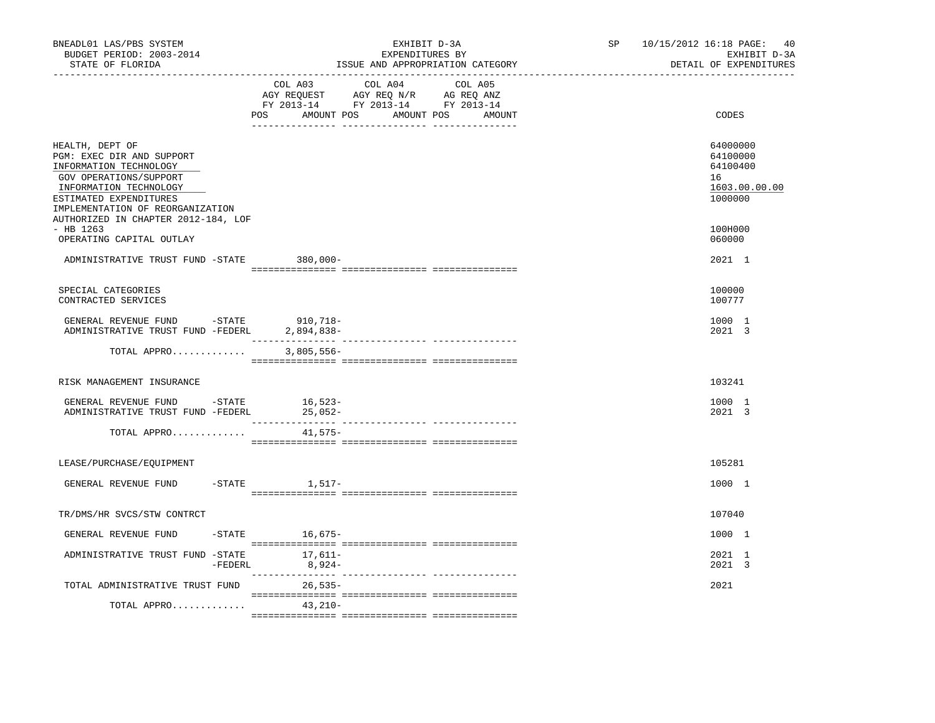| BNEADL01 LAS/PBS SYSTEM<br>BUDGET PERIOD: 2003-2014<br>STATE OF FLORIDA                                                                                                                  | EXHIBIT D-3A<br>EXPENDITURES BY<br>ISSUE AND APPROPRIATION CATEGORY<br>________________________________                                        | 10/15/2012 16:18 PAGE:<br>40<br>SP<br>EXHIBIT D-3A<br>DETAIL OF EXPENDITURES<br>---------------------- |
|------------------------------------------------------------------------------------------------------------------------------------------------------------------------------------------|------------------------------------------------------------------------------------------------------------------------------------------------|--------------------------------------------------------------------------------------------------------|
|                                                                                                                                                                                          | COL A03<br>COL A04<br>COL A05<br>AGY REQUEST AGY REQ N/R AG REQ ANZ<br>FY 2013-14 FY 2013-14 FY 2013-14<br>POS AMOUNT POS AMOUNT POS<br>AMOUNT | CODES                                                                                                  |
| HEALTH, DEPT OF<br>PGM: EXEC DIR AND SUPPORT<br>INFORMATION TECHNOLOGY<br>GOV OPERATIONS/SUPPORT<br>INFORMATION TECHNOLOGY<br>ESTIMATED EXPENDITURES<br>IMPLEMENTATION OF REORGANIZATION |                                                                                                                                                | 64000000<br>64100000<br>64100400<br>16<br>1603.00.00.00<br>1000000                                     |
| AUTHORIZED IN CHAPTER 2012-184, LOF<br>$-$ HB 1263<br>OPERATING CAPITAL OUTLAY                                                                                                           |                                                                                                                                                | 100H000<br>060000                                                                                      |
| ADMINISTRATIVE TRUST FUND -STATE 380,000-                                                                                                                                                |                                                                                                                                                | 2021 1                                                                                                 |
| SPECIAL CATEGORIES<br>CONTRACTED SERVICES                                                                                                                                                |                                                                                                                                                | 100000<br>100777                                                                                       |
| GENERAL REVENUE FUND -STATE<br>ADMINISTRATIVE TRUST FUND -FEDERL                                                                                                                         | 910,718–<br>2,894,838-                                                                                                                         | 1000 1<br>2021 3                                                                                       |
| TOTAL APPRO                                                                                                                                                                              | $3,805,556-$                                                                                                                                   |                                                                                                        |
| RISK MANAGEMENT INSURANCE                                                                                                                                                                |                                                                                                                                                | 103241                                                                                                 |
| GENERAL REVENUE FUND -STATE 16,523-<br>ADMINISTRATIVE TRUST FUND -FEDERL                                                                                                                 | $25,052-$                                                                                                                                      | 1000 1<br>2021 3                                                                                       |
| TOTAL APPRO                                                                                                                                                                              | 41,575–                                                                                                                                        |                                                                                                        |
| LEASE/PURCHASE/EOUIPMENT                                                                                                                                                                 |                                                                                                                                                | 105281                                                                                                 |
| GENERAL REVENUE FUND                                                                                                                                                                     | $-$ STATE<br>1,517-                                                                                                                            | 1000 1                                                                                                 |
| TR/DMS/HR SVCS/STW CONTRCT                                                                                                                                                               |                                                                                                                                                | 107040                                                                                                 |
| GENERAL REVENUE FUND                                                                                                                                                                     | -STATE 16,675-                                                                                                                                 | 1000 1                                                                                                 |
| ADMINISTRATIVE TRUST FUND -STATE                                                                                                                                                         | 17,611–<br>$-FEDERL$ 8,924-                                                                                                                    | 2021 1<br>2021 3                                                                                       |
| TOTAL ADMINISTRATIVE TRUST FUND                                                                                                                                                          | $26.535-$                                                                                                                                      | 2021                                                                                                   |
| TOTAL APPRO                                                                                                                                                                              | 43,210-                                                                                                                                        |                                                                                                        |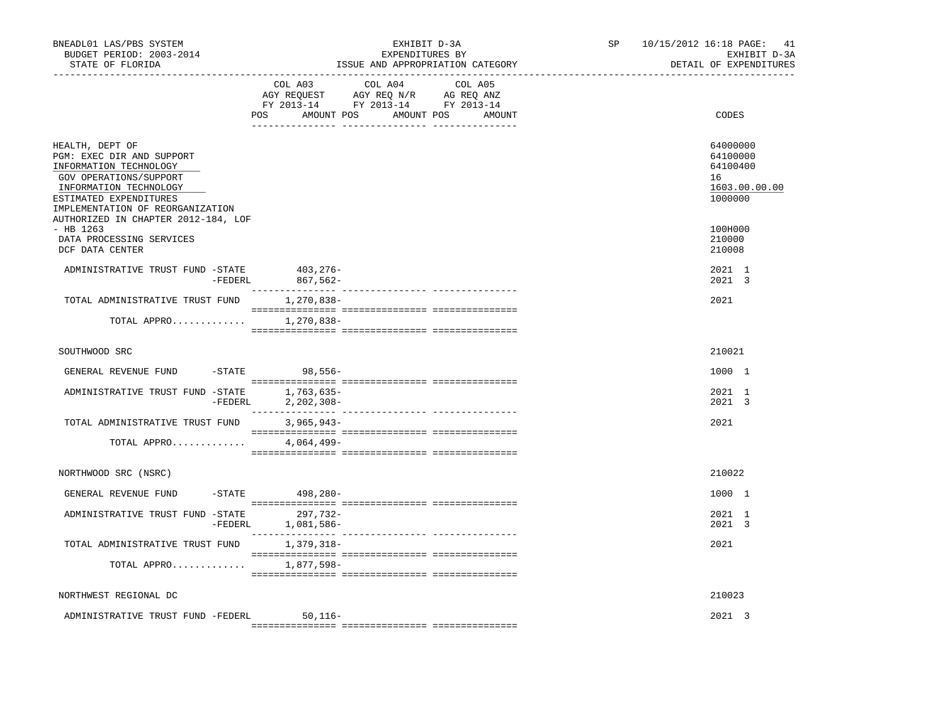| BNEADL01 LAS/PBS SYSTEM<br>BUDGET PERIOD: 2003-2014<br>STATE OF FLORIDA                                                                                                                  |                                      | EXHIBIT D-3A<br>EXPENDITURES BY | ISSUE AND APPROPRIATION CATEGORY | SP | 10/15/2012 16:18 PAGE:<br>41<br>EXHIBIT D-3A<br>DETAIL OF EXPENDITURES |
|------------------------------------------------------------------------------------------------------------------------------------------------------------------------------------------|--------------------------------------|---------------------------------|----------------------------------|----|------------------------------------------------------------------------|
| ------------------------------------                                                                                                                                                     | COL A03<br>POS AMOUNT POS AMOUNT POS | COL A04                         | COL A05<br>AMOUNT                |    | CODES                                                                  |
| HEALTH, DEPT OF<br>PGM: EXEC DIR AND SUPPORT<br>INFORMATION TECHNOLOGY<br>GOV OPERATIONS/SUPPORT<br>INFORMATION TECHNOLOGY<br>ESTIMATED EXPENDITURES<br>IMPLEMENTATION OF REORGANIZATION |                                      |                                 |                                  |    | 64000000<br>64100000<br>64100400<br>16<br>1603.00.00.00<br>1000000     |
| AUTHORIZED IN CHAPTER 2012-184, LOF<br>- HB 1263<br>DATA PROCESSING SERVICES<br>DCF DATA CENTER                                                                                          |                                      |                                 |                                  |    | 100H000<br>210000<br>210008                                            |
| ADMINISTRATIVE TRUST FUND -STATE 403,276-<br>$-FEDERL$                                                                                                                                   | 867,562-                             |                                 |                                  |    | 2021 1<br>2021 3                                                       |
| TOTAL ADMINISTRATIVE TRUST FUND                                                                                                                                                          | 1,270,838-                           |                                 |                                  |    | 2021                                                                   |
| TOTAL APPRO                                                                                                                                                                              | 1,270,838-                           |                                 |                                  |    |                                                                        |
| SOUTHWOOD SRC                                                                                                                                                                            |                                      |                                 |                                  |    | 210021                                                                 |
| GENERAL REVENUE FUND                                                                                                                                                                     | -STATE 98,556-                       |                                 |                                  |    | 1000 1                                                                 |
| ADMINISTRATIVE TRUST FUND -STATE 1,763,635-                                                                                                                                              | -FEDERL 2, 202, 308-                 |                                 |                                  |    | 2021 1<br>2021 3                                                       |
| TOTAL ADMINISTRATIVE TRUST FUND                                                                                                                                                          | $3,965,943-$                         |                                 |                                  |    | 2021                                                                   |
| TOTAL APPRO                                                                                                                                                                              | 4,064,499–                           |                                 |                                  |    |                                                                        |
| NORTHWOOD SRC (NSRC)                                                                                                                                                                     |                                      |                                 |                                  |    | 210022                                                                 |
| GENERAL REVENUE FUND                                                                                                                                                                     | $-$ STATE 498, 280 -                 |                                 |                                  |    | 1000 1                                                                 |
| ADMINISTRATIVE TRUST FUND -STATE 297,732-                                                                                                                                                | -FEDERL 1,081,586-                   |                                 |                                  |    | 2021 1<br>2021 3                                                       |
| TOTAL ADMINISTRATIVE TRUST FUND                                                                                                                                                          | 1,379,318-                           |                                 |                                  |    | 2021                                                                   |
| TOTAL APPRO                                                                                                                                                                              | 1,877,598-                           |                                 |                                  |    |                                                                        |
| NORTHWEST REGIONAL DC                                                                                                                                                                    |                                      |                                 |                                  |    | 210023                                                                 |
| ADMINISTRATIVE TRUST FUND -FEDERL                                                                                                                                                        | $50.116 -$                           |                                 |                                  |    | $2021 \quad 3$                                                         |
|                                                                                                                                                                                          |                                      |                                 |                                  |    |                                                                        |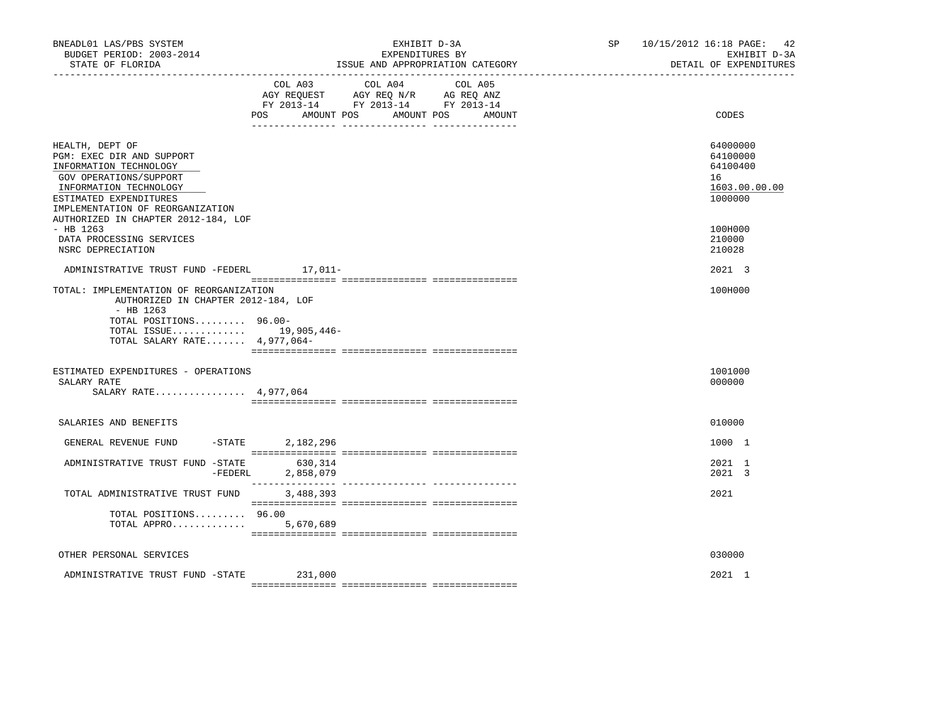| BNEADL01 LAS/PBS SYSTEM<br>BUDGET PERIOD: 2003-2014<br>STATE OF FLORIDA                                                                                                                                                                                                    |                      | EXHIBIT D-3A<br>EXPENDITURES BY<br>ISSUE AND APPROPRIATION CATEGORY                                        |                   | SP 10/15/2012 16:18 PAGE:<br>42<br>EXHIBIT D-3A<br>DETAIL OF EXPENDITURES               |
|----------------------------------------------------------------------------------------------------------------------------------------------------------------------------------------------------------------------------------------------------------------------------|----------------------|------------------------------------------------------------------------------------------------------------|-------------------|-----------------------------------------------------------------------------------------|
|                                                                                                                                                                                                                                                                            | COL A03<br>POS       | COL A04<br>AGY REQUEST AGY REQ N/R AG REQ ANZ<br>FY 2013-14 FY 2013-14 FY 2013-14<br>AMOUNT POS AMOUNT POS | COL A05<br>AMOUNT | CODES                                                                                   |
| HEALTH, DEPT OF<br>PGM: EXEC DIR AND SUPPORT<br>INFORMATION TECHNOLOGY<br>GOV OPERATIONS/SUPPORT<br>INFORMATION TECHNOLOGY<br>ESTIMATED EXPENDITURES<br>IMPLEMENTATION OF REORGANIZATION<br>AUTHORIZED IN CHAPTER 2012-184, LOF<br>$-$ HB 1263<br>DATA PROCESSING SERVICES |                      |                                                                                                            |                   | 64000000<br>64100000<br>64100400<br>16<br>1603.00.00.00<br>1000000<br>100H000<br>210000 |
| NSRC DEPRECIATION<br>ADMINISTRATIVE TRUST FUND -FEDERL                                                                                                                                                                                                                     | $17,011-$            |                                                                                                            |                   | 210028<br>2021 3                                                                        |
| TOTAL: IMPLEMENTATION OF REORGANIZATION<br>AUTHORIZED IN CHAPTER 2012-184, LOF<br>$-$ HB 1263<br>TOTAL POSITIONS 96.00-<br>TOTAL ISSUE 19,905,446-<br>TOTAL SALARY RATE 4,977,064-                                                                                         |                      |                                                                                                            |                   | 100H000                                                                                 |
| ESTIMATED EXPENDITURES - OPERATIONS<br>SALARY RATE<br>SALARY RATE 4,977,064                                                                                                                                                                                                |                      |                                                                                                            |                   | 1001000<br>000000                                                                       |
| SALARIES AND BENEFITS                                                                                                                                                                                                                                                      |                      |                                                                                                            |                   | 010000                                                                                  |
| $-STATE$<br>GENERAL REVENUE FUND                                                                                                                                                                                                                                           | 2,182,296            |                                                                                                            |                   | 1000 1                                                                                  |
| ADMINISTRATIVE TRUST FUND -STATE<br>-FEDERL                                                                                                                                                                                                                                | 630,314<br>2,858,079 |                                                                                                            |                   | 2021 1<br>2021 3                                                                        |
| TOTAL ADMINISTRATIVE TRUST FUND                                                                                                                                                                                                                                            | 3,488,393            |                                                                                                            |                   | 2021                                                                                    |
| TOTAL POSITIONS 96.00<br>TOTAL APPRO                                                                                                                                                                                                                                       | 5,670,689            |                                                                                                            |                   |                                                                                         |
| OTHER PERSONAL SERVICES                                                                                                                                                                                                                                                    |                      |                                                                                                            |                   | 030000                                                                                  |
| ADMINISTRATIVE TRUST FUND -STATE                                                                                                                                                                                                                                           | 231,000              |                                                                                                            |                   | 2021 1                                                                                  |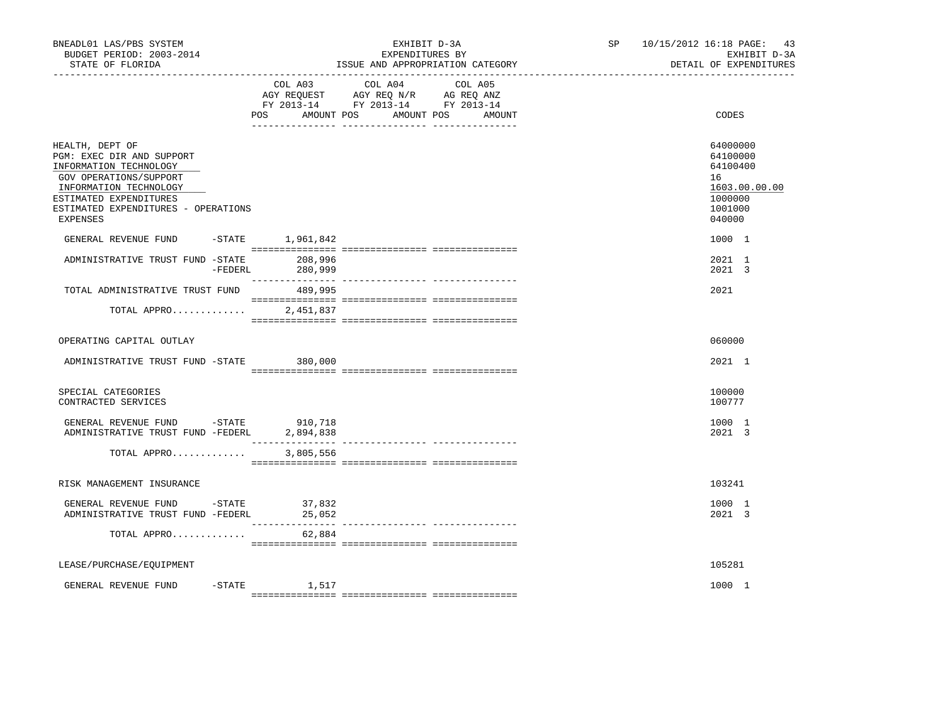| BNEADL01 LAS/PBS SYSTEM<br>BUDGET PERIOD: 2003-2014<br>STATE OF FLORIDA                                                                                                                                 |                            | EXPENDITURES BY<br>ISSUE AND APPROPRIATION CATEGORY                                                                   | EXHIBIT D-3A | SP<br>---------------------- | 10/15/2012 16:18 PAGE:<br>43<br>EXHIBIT D-3A<br>DETAIL OF EXPENDITURES                  |
|---------------------------------------------------------------------------------------------------------------------------------------------------------------------------------------------------------|----------------------------|-----------------------------------------------------------------------------------------------------------------------|--------------|------------------------------|-----------------------------------------------------------------------------------------|
|                                                                                                                                                                                                         | COL A03                    | COL A04<br>AGY REQUEST AGY REQ N/R AG REQ ANZ<br>FY 2013-14 FY 2013-14 FY 2013-14<br>POS AMOUNT POS AMOUNT POS AMOUNT | COL A05      |                              | CODES                                                                                   |
| HEALTH, DEPT OF<br>PGM: EXEC DIR AND SUPPORT<br>INFORMATION TECHNOLOGY<br>GOV OPERATIONS/SUPPORT<br>INFORMATION TECHNOLOGY<br>ESTIMATED EXPENDITURES<br>ESTIMATED EXPENDITURES - OPERATIONS<br>EXPENSES |                            |                                                                                                                       |              |                              | 64000000<br>64100000<br>64100400<br>16<br>1603.00.00.00<br>1000000<br>1001000<br>040000 |
| GENERAL REVENUE FUND                                                                                                                                                                                    | $-$ STATE $1,961,842$      |                                                                                                                       |              |                              | 1000 1                                                                                  |
| ADMINISTRATIVE TRUST FUND -STATE                                                                                                                                                                        | 208,996<br>-FEDERL 280,999 |                                                                                                                       |              |                              | 2021 1<br>2021 3                                                                        |
| TOTAL ADMINISTRATIVE TRUST FUND                                                                                                                                                                         | 489,995                    |                                                                                                                       |              |                              | 2021                                                                                    |
| TOTAL APPRO                                                                                                                                                                                             | 2,451,837                  |                                                                                                                       |              |                              |                                                                                         |
| OPERATING CAPITAL OUTLAY                                                                                                                                                                                |                            |                                                                                                                       |              |                              | 060000                                                                                  |
| ADMINISTRATIVE TRUST FUND -STATE 380,000                                                                                                                                                                |                            |                                                                                                                       |              |                              | 2021 1                                                                                  |
| SPECIAL CATEGORIES<br>CONTRACTED SERVICES                                                                                                                                                               |                            |                                                                                                                       |              |                              | 100000<br>100777                                                                        |
| GENERAL REVENUE FUND -STATE 910,718<br>ADMINISTRATIVE TRUST FUND -FEDERL                                                                                                                                | 2,894,838                  |                                                                                                                       |              |                              | 1000 1<br>2021 3                                                                        |
| TOTAL APPRO                                                                                                                                                                                             | 3,805,556                  |                                                                                                                       |              |                              |                                                                                         |
| RISK MANAGEMENT INSURANCE                                                                                                                                                                               |                            |                                                                                                                       |              |                              | 103241                                                                                  |
| GENERAL REVENUE FUND -STATE<br>ADMINISTRATIVE TRUST FUND -FEDERL                                                                                                                                        | 37,832<br>25,052           |                                                                                                                       |              |                              | 1000 1<br>2021 3                                                                        |
| TOTAL APPRO                                                                                                                                                                                             | 62,884                     |                                                                                                                       |              |                              |                                                                                         |
| LEASE/PURCHASE/EQUIPMENT                                                                                                                                                                                |                            |                                                                                                                       |              |                              | 105281                                                                                  |
| GENERAL REVENUE FUND                                                                                                                                                                                    | $-STATE$<br>1,517          |                                                                                                                       |              |                              | 1000 1                                                                                  |
|                                                                                                                                                                                                         |                            |                                                                                                                       |              |                              |                                                                                         |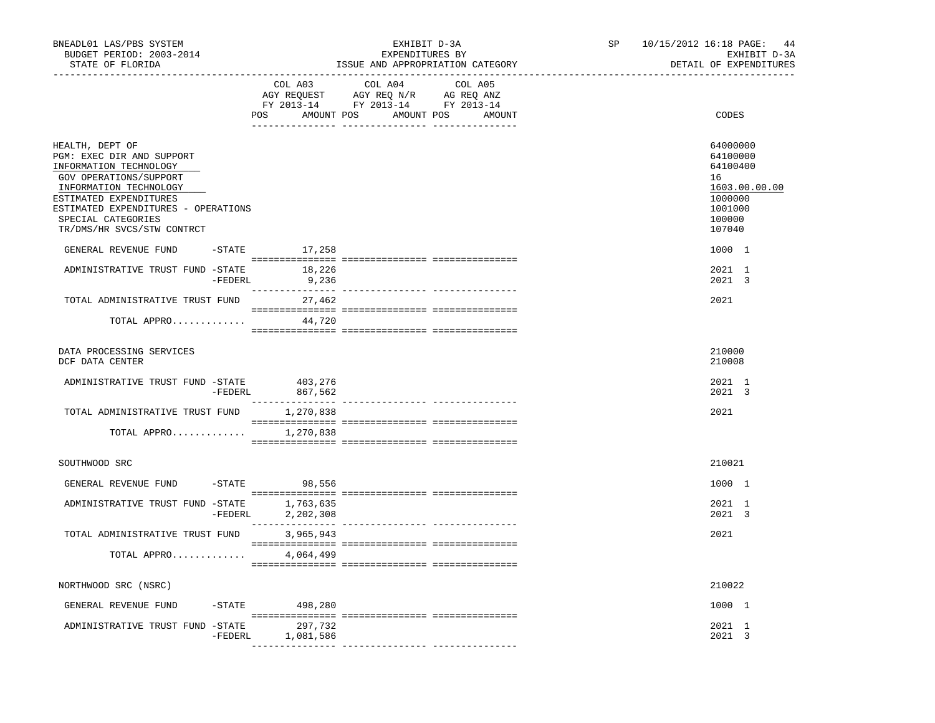| BNEADL01 LAS/PBS SYSTEM<br>BUDGET PERIOD: 2003-2014<br>STATE OF FLORIDA                                                                                                                                                                         |           |                            | EXHIBIT D-3A<br>EXPENDITURES BY                                                                                                                                                                                                                                                          | ISSUE AND APPROPRIATION CATEGORY | SP 10/15/2012 16:18 PAGE: 44<br>EXHIBIT D-3A<br>DETAIL OF EXPENDITURES                            |
|-------------------------------------------------------------------------------------------------------------------------------------------------------------------------------------------------------------------------------------------------|-----------|----------------------------|------------------------------------------------------------------------------------------------------------------------------------------------------------------------------------------------------------------------------------------------------------------------------------------|----------------------------------|---------------------------------------------------------------------------------------------------|
|                                                                                                                                                                                                                                                 |           | COL A03<br>POS             | COL A04<br>$\begin{tabular}{lllllll} \bf AGY \,\, &\bf REQUEST \,\, &\bf AGY \,\, &\bf REQ \,\, &\bf N/R \,\, &\bf AG \,\, &\bf REQ \,\, &\bf ANZ \,\, \\ \bf FY \,\, &\bf 2013-14 \,\, &\bf FY \,\, &\bf 2013-14 \,\, &\bf FY \,\, &\bf 2013-14 \end{tabular}$<br>AMOUNT POS AMOUNT POS | COL A05<br>AMOUNT                | CODES                                                                                             |
| HEALTH, DEPT OF<br>PGM: EXEC DIR AND SUPPORT<br>INFORMATION TECHNOLOGY<br>GOV OPERATIONS/SUPPORT<br>INFORMATION TECHNOLOGY<br>ESTIMATED EXPENDITURES<br>ESTIMATED EXPENDITURES - OPERATIONS<br>SPECIAL CATEGORIES<br>TR/DMS/HR SVCS/STW CONTRCT |           |                            |                                                                                                                                                                                                                                                                                          |                                  | 64000000<br>64100000<br>64100400<br>16<br>1603.00.00.00<br>1000000<br>1001000<br>100000<br>107040 |
| GENERAL REVENUE FUND                                                                                                                                                                                                                            |           | $-STATE$ 17,258            |                                                                                                                                                                                                                                                                                          |                                  | 1000 1                                                                                            |
| ADMINISTRATIVE TRUST FUND -STATE 18,226                                                                                                                                                                                                         |           | $-FEDERL$ 9,236            |                                                                                                                                                                                                                                                                                          |                                  | 2021 1<br>2021 3                                                                                  |
| TOTAL ADMINISTRATIVE TRUST FUND                                                                                                                                                                                                                 |           | 27,462                     |                                                                                                                                                                                                                                                                                          |                                  | 2021                                                                                              |
| TOTAL APPRO                                                                                                                                                                                                                                     |           | 44,720                     |                                                                                                                                                                                                                                                                                          |                                  |                                                                                                   |
| DATA PROCESSING SERVICES<br>DCF DATA CENTER                                                                                                                                                                                                     |           |                            |                                                                                                                                                                                                                                                                                          |                                  | 210000<br>210008                                                                                  |
| ADMINISTRATIVE TRUST FUND -STATE 403,276                                                                                                                                                                                                        | -FEDERL   | 867,562<br>--------------- | ---------------- ---------------                                                                                                                                                                                                                                                         |                                  | 2021 1<br>2021 3                                                                                  |
| TOTAL ADMINISTRATIVE TRUST FUND 1,270,838                                                                                                                                                                                                       |           |                            |                                                                                                                                                                                                                                                                                          |                                  | 2021                                                                                              |
| TOTAL APPRO                                                                                                                                                                                                                                     |           | 1,270,838                  |                                                                                                                                                                                                                                                                                          |                                  |                                                                                                   |
| SOUTHWOOD SRC                                                                                                                                                                                                                                   |           |                            |                                                                                                                                                                                                                                                                                          |                                  | 210021                                                                                            |
| GENERAL REVENUE FUND -STATE                                                                                                                                                                                                                     |           | 98,556                     |                                                                                                                                                                                                                                                                                          |                                  | 1000 1                                                                                            |
| ADMINISTRATIVE TRUST FUND -STATE                                                                                                                                                                                                                | -FEDERL   | 1,763,635<br>2,202,308     |                                                                                                                                                                                                                                                                                          |                                  | 2021 1<br>$2021 \quad 3$                                                                          |
| TOTAL ADMINISTRATIVE TRUST FUND                                                                                                                                                                                                                 |           | 3,965,943                  |                                                                                                                                                                                                                                                                                          |                                  | 2021                                                                                              |
| TOTAL APPRO                                                                                                                                                                                                                                     |           | 4,064,499                  |                                                                                                                                                                                                                                                                                          |                                  |                                                                                                   |
| NORTHWOOD SRC (NSRC)                                                                                                                                                                                                                            |           |                            |                                                                                                                                                                                                                                                                                          |                                  | 210022                                                                                            |
| GENERAL REVENUE FUND                                                                                                                                                                                                                            | $-$ STATE | 498,280                    |                                                                                                                                                                                                                                                                                          |                                  | 1000 1                                                                                            |
| ADMINISTRATIVE TRUST FUND -STATE                                                                                                                                                                                                                | -FEDERL   | 297,732<br>1,081,586       |                                                                                                                                                                                                                                                                                          |                                  | 2021 1<br>2021 3                                                                                  |
|                                                                                                                                                                                                                                                 |           |                            |                                                                                                                                                                                                                                                                                          |                                  |                                                                                                   |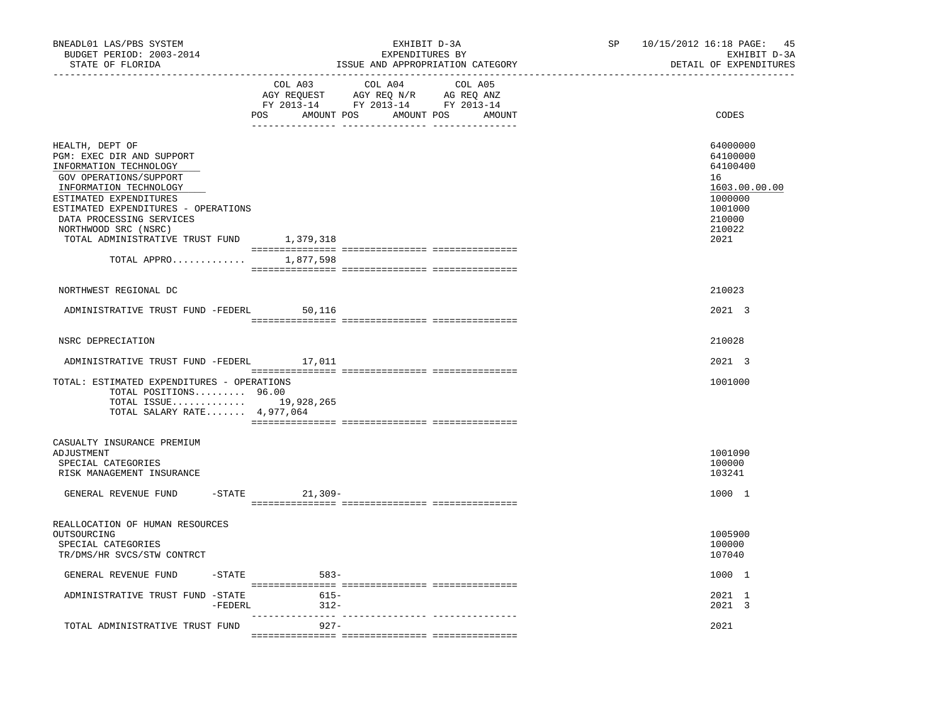| BNEADL01 LAS/PBS SYSTEM<br>BUDGET PERIOD: 2003-2014<br>STATE OF FLORIDA                                                                                                                                                                                                                                     |                     | EXHIBIT D-3A<br>EXPENDITURES BY                                                                                | ISSUE AND APPROPRIATION CATEGORY | SP | 10/15/2012 16:18 PAGE:<br>45<br>EXHIBIT D-3A<br>DETAIL OF EXPENDITURES                                    |
|-------------------------------------------------------------------------------------------------------------------------------------------------------------------------------------------------------------------------------------------------------------------------------------------------------------|---------------------|----------------------------------------------------------------------------------------------------------------|----------------------------------|----|-----------------------------------------------------------------------------------------------------------|
|                                                                                                                                                                                                                                                                                                             | COL A03             | COL A04<br>AGY REQUEST AGY REQ N/R AG REQ ANZ<br>FY 2013-14 FY 2013-14 FY 2013-14<br>POS AMOUNT POS AMOUNT POS | COL A05<br>AMOUNT                |    | CODES                                                                                                     |
| HEALTH, DEPT OF<br>PGM: EXEC DIR AND SUPPORT<br>INFORMATION TECHNOLOGY<br>GOV OPERATIONS/SUPPORT<br>INFORMATION TECHNOLOGY<br>ESTIMATED EXPENDITURES<br>ESTIMATED EXPENDITURES - OPERATIONS<br>DATA PROCESSING SERVICES<br>NORTHWOOD SRC (NSRC)<br>TOTAL ADMINISTRATIVE TRUST FUND 1,379,318<br>TOTAL APPRO | 1,877,598           |                                                                                                                |                                  |    | 64000000<br>64100000<br>64100400<br>16<br>1603.00.00.00<br>1000000<br>1001000<br>210000<br>210022<br>2021 |
| NORTHWEST REGIONAL DC                                                                                                                                                                                                                                                                                       |                     |                                                                                                                |                                  |    | 210023                                                                                                    |
| ADMINISTRATIVE TRUST FUND -FEDERL                                                                                                                                                                                                                                                                           | 50,116              |                                                                                                                |                                  |    | 2021 3                                                                                                    |
| NSRC DEPRECIATION                                                                                                                                                                                                                                                                                           |                     |                                                                                                                |                                  |    | 210028                                                                                                    |
| ADMINISTRATIVE TRUST FUND -FEDERL 17,011                                                                                                                                                                                                                                                                    |                     |                                                                                                                |                                  |    | 2021 3                                                                                                    |
| TOTAL: ESTIMATED EXPENDITURES - OPERATIONS<br>TOTAL POSITIONS 96.00<br>TOTAL ISSUE 19,928,265<br>TOTAL SALARY RATE 4,977,064                                                                                                                                                                                |                     |                                                                                                                |                                  |    | 1001000                                                                                                   |
| CASUALTY INSURANCE PREMIUM                                                                                                                                                                                                                                                                                  |                     |                                                                                                                |                                  |    |                                                                                                           |
| ADJUSTMENT<br>SPECIAL CATEGORIES<br>RISK MANAGEMENT INSURANCE                                                                                                                                                                                                                                               |                     |                                                                                                                |                                  |    | 1001090<br>100000<br>103241                                                                               |
| GENERAL REVENUE FUND                                                                                                                                                                                                                                                                                        | $-$ STATE 21, 309 - |                                                                                                                |                                  |    | 1000 1                                                                                                    |
| REALLOCATION OF HUMAN RESOURCES<br>OUTSOURCING<br>SPECIAL CATEGORIES<br>TR/DMS/HR SVCS/STW CONTRCT                                                                                                                                                                                                          |                     |                                                                                                                |                                  |    | 1005900<br>100000<br>107040                                                                               |
| GENERAL REVENUE FUND<br>$-$ STATE                                                                                                                                                                                                                                                                           | $583-$              |                                                                                                                |                                  |    | 1000 1                                                                                                    |
| ADMINISTRATIVE TRUST FUND -STATE<br>$-FEDERL$                                                                                                                                                                                                                                                               | $615-$<br>$312-$    |                                                                                                                |                                  |    | 2021 1<br>2021 3                                                                                          |
| TOTAL ADMINISTRATIVE TRUST FUND                                                                                                                                                                                                                                                                             | $927 -$             |                                                                                                                |                                  |    | 2021                                                                                                      |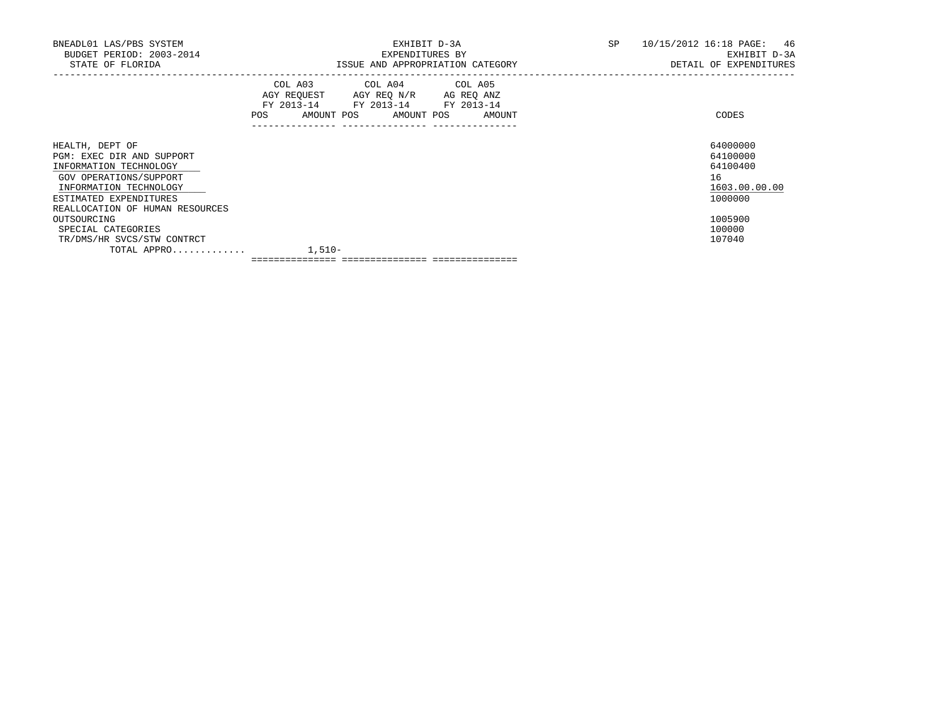| BNEADL01 LAS/PBS SYSTEM<br>BUDGET PERIOD: 2003-2014<br>STATE OF FLORIDA                                                                              |        |                                                                                                   | EXHIBIT D-3A<br>EXPENDITURES BY<br>ISSUE AND APPROPRIATION CATEGORY | SP | 10/15/2012 16:18 PAGE: 46<br>EXHIBIT D-3A<br>DETAIL OF EXPENDITURES |
|------------------------------------------------------------------------------------------------------------------------------------------------------|--------|---------------------------------------------------------------------------------------------------|---------------------------------------------------------------------|----|---------------------------------------------------------------------|
|                                                                                                                                                      | POS    | COL A03 COL A04 COL A05<br>AGY REQUEST AGY REQ N/R AG REQ ANZ<br>FY 2013-14 FY 2013-14 FY 2013-14 | AMOUNT POS AMOUNT POS AMOUNT                                        |    | CODES                                                               |
| HEALTH, DEPT OF<br>PGM: EXEC DIR AND SUPPORT<br>INFORMATION TECHNOLOGY<br>GOV OPERATIONS/SUPPORT<br>INFORMATION TECHNOLOGY<br>ESTIMATED EXPENDITURES |        |                                                                                                   |                                                                     |    | 64000000<br>64100000<br>64100400<br>16<br>1603.00.00.00<br>1000000  |
| REALLOCATION OF HUMAN RESOURCES<br>OUTSOURCING<br>SPECIAL CATEGORIES<br>TR/DMS/HR SVCS/STW CONTRCT<br>TOTAL APPRO                                    | 1,510- |                                                                                                   |                                                                     |    | 1005900<br>100000<br>107040                                         |

=============== =============== ===============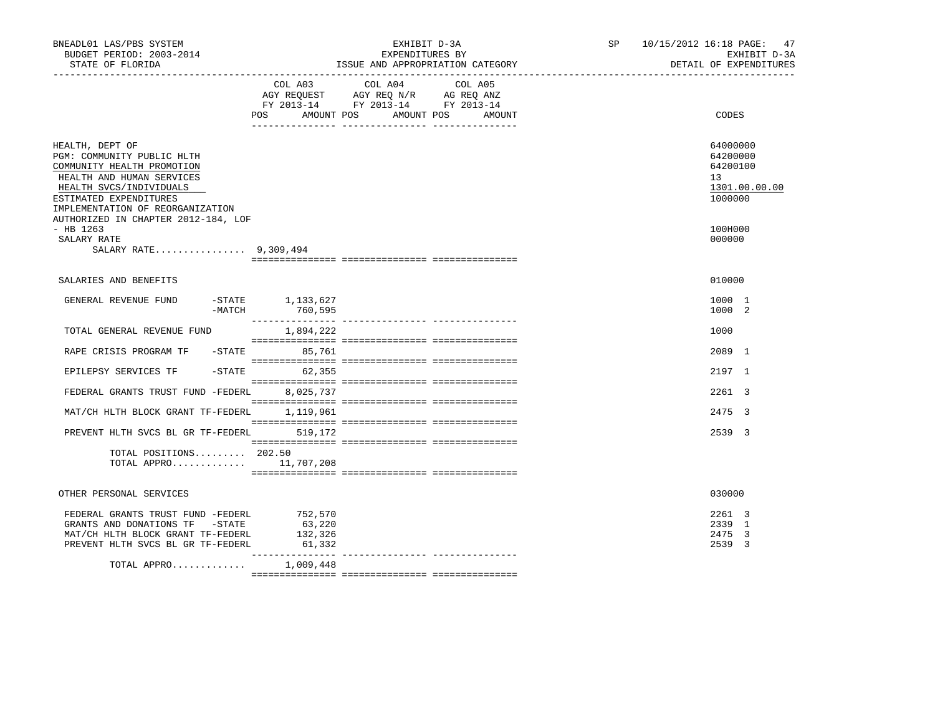| BNEADL01 LAS/PBS SYSTEM<br>BUDGET PERIOD: 2003-2014<br>STATE OF FLORIDA                                                                                                                                                                  |                                        | EXHIBIT D-3A<br>EXPENDITURES BY<br>ISSUE AND APPROPRIATION CATEGORY                                                                     | SP<br>_________________________________ | 10/15/2012 16:18 PAGE:<br>47<br>EXHIBIT D-3A<br>DETAIL OF EXPENDITURES |
|------------------------------------------------------------------------------------------------------------------------------------------------------------------------------------------------------------------------------------------|----------------------------------------|-----------------------------------------------------------------------------------------------------------------------------------------|-----------------------------------------|------------------------------------------------------------------------|
|                                                                                                                                                                                                                                          | POS                                    | COL A03 COL A04<br>COL A05<br>AGY REQUEST AGY REQ N/R AG REQ ANZ<br>FY 2013-14 FY 2013-14 FY 2013-14<br>AMOUNT POS AMOUNT POS<br>AMOUNT |                                         | CODES                                                                  |
| HEALTH, DEPT OF<br>PGM: COMMUNITY PUBLIC HLTH<br>COMMUNITY HEALTH PROMOTION<br>HEALTH AND HUMAN SERVICES<br>HEALTH SVCS/INDIVIDUALS<br>ESTIMATED EXPENDITURES<br>IMPLEMENTATION OF REORGANIZATION<br>AUTHORIZED IN CHAPTER 2012-184, LOF |                                        |                                                                                                                                         |                                         | 64000000<br>64200000<br>64200100<br>13<br>1301.00.00.00<br>1000000     |
| $-$ HB 1263<br>SALARY RATE<br>SALARY RATE 9,309,494                                                                                                                                                                                      |                                        |                                                                                                                                         |                                         | 100H000<br>000000                                                      |
| SALARIES AND BENEFITS                                                                                                                                                                                                                    |                                        |                                                                                                                                         |                                         | 010000                                                                 |
| GENERAL REVENUE FUND<br>-MATCH                                                                                                                                                                                                           | $-STATE$ 1, 133, 627<br>760,595        |                                                                                                                                         |                                         | 1000 1<br>1000 2                                                       |
| TOTAL GENERAL REVENUE FUND                                                                                                                                                                                                               | 1,894,222                              |                                                                                                                                         |                                         | 1000                                                                   |
| RAPE CRISIS PROGRAM TF - STATE 85,761                                                                                                                                                                                                    |                                        |                                                                                                                                         |                                         | 2089 1                                                                 |
| EPILEPSY SERVICES TF                                                                                                                                                                                                                     | $-STATE$ 62,355                        |                                                                                                                                         |                                         | 2197 1                                                                 |
| FEDERAL GRANTS TRUST FUND -FEDERL                                                                                                                                                                                                        | 8,025,737                              |                                                                                                                                         |                                         | 2261 3                                                                 |
| MAT/CH HLTH BLOCK GRANT TF-FEDERL 1,119,961                                                                                                                                                                                              |                                        |                                                                                                                                         |                                         | 2475 3                                                                 |
| PREVENT HLTH SVCS BL GR TF-FEDERL 519,172<br>TOTAL POSITIONS 202.50<br>TOTAL APPRO 11,707,208                                                                                                                                            |                                        |                                                                                                                                         |                                         | 2539 3                                                                 |
| OTHER PERSONAL SERVICES                                                                                                                                                                                                                  |                                        |                                                                                                                                         |                                         | 030000                                                                 |
| FEDERAL GRANTS TRUST FUND -FEDERL<br>GRANTS AND DONATIONS TF -STATE<br>MAT/CH HLTH BLOCK GRANT TF-FEDERL<br>PREVENT HLTH SVCS BL GR TF-FEDERL                                                                                            | 752,570<br>63,220<br>132,326<br>61,332 |                                                                                                                                         |                                         | 2261 3<br>2339 1<br>2475 3<br>2539 3                                   |
| TOTAL APPRO $1,009,448$                                                                                                                                                                                                                  |                                        |                                                                                                                                         |                                         |                                                                        |
|                                                                                                                                                                                                                                          |                                        |                                                                                                                                         |                                         |                                                                        |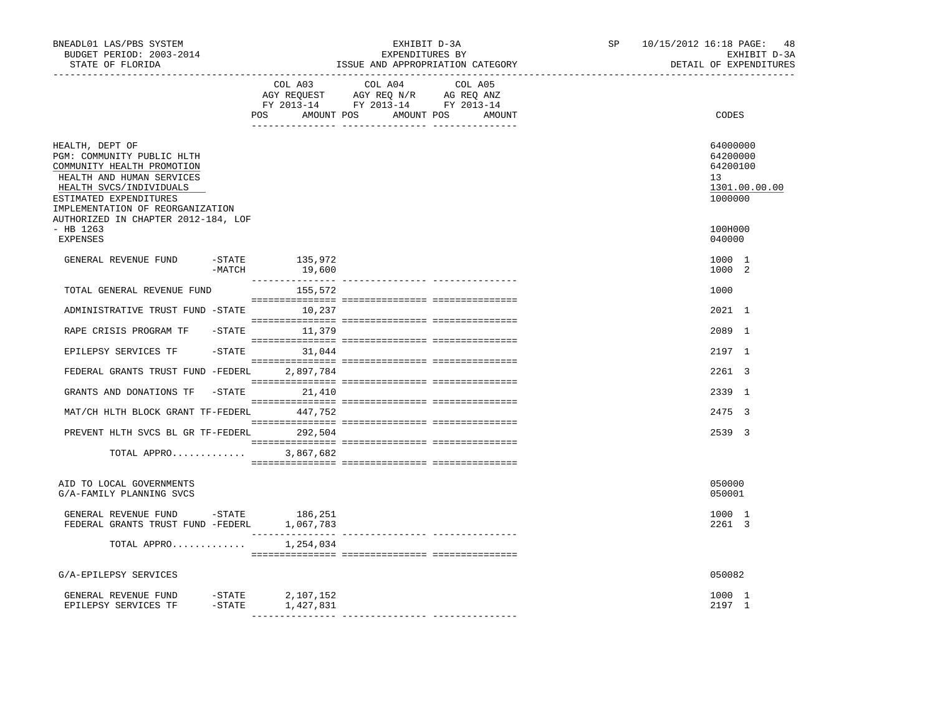| BNEADL01 LAS/PBS SYSTEM<br>BUDGET PERIOD: 2003-2014<br>STATE OF FLORIDA                                                                                                                                                                  |                            | EXHIBIT D-3A<br>EXPENDITURES BY<br>ISSUE AND APPROPRIATION CATEGORY                                                              | SP | 10/15/2012 16:18 PAGE:<br>48<br>EXHIBIT D-3A<br>DETAIL OF EXPENDITURES |  |
|------------------------------------------------------------------------------------------------------------------------------------------------------------------------------------------------------------------------------------------|----------------------------|----------------------------------------------------------------------------------------------------------------------------------|----|------------------------------------------------------------------------|--|
|                                                                                                                                                                                                                                          | COL A03                    | COL A04<br>COL A05<br>AGY REQUEST AGY REQ N/R AG REQ ANZ<br>FY 2013-14 FY 2013-14 FY 2013-14<br>POS AMOUNT POS AMOUNT POS AMOUNT |    | CODES                                                                  |  |
| HEALTH, DEPT OF<br>PGM: COMMUNITY PUBLIC HLTH<br>COMMUNITY HEALTH PROMOTION<br>HEALTH AND HUMAN SERVICES<br>HEALTH SVCS/INDIVIDUALS<br>ESTIMATED EXPENDITURES<br>IMPLEMENTATION OF REORGANIZATION<br>AUTHORIZED IN CHAPTER 2012-184, LOF |                            |                                                                                                                                  |    | 64000000<br>64200000<br>64200100<br>13<br>1301.00.00.00<br>1000000     |  |
| $-$ HB 1263<br><b>EXPENSES</b>                                                                                                                                                                                                           |                            |                                                                                                                                  |    | 100H000<br>040000                                                      |  |
| GENERAL REVENUE FUND<br>$-MATCH$                                                                                                                                                                                                         | $-STATE$ 135,972<br>19,600 |                                                                                                                                  |    | 1000 1<br>1000 2                                                       |  |
| TOTAL GENERAL REVENUE FUND                                                                                                                                                                                                               | 155,572                    |                                                                                                                                  |    | 1000                                                                   |  |
| ADMINISTRATIVE TRUST FUND -STATE 10,237                                                                                                                                                                                                  |                            |                                                                                                                                  |    | 2021 1                                                                 |  |
| RAPE CRISIS PROGRAM TF                                                                                                                                                                                                                   | $-STATE$ 11,379            |                                                                                                                                  |    | 2089 1                                                                 |  |
| EPILEPSY SERVICES TF                                                                                                                                                                                                                     | $-STATE$<br>31,044         |                                                                                                                                  |    | 2197 1                                                                 |  |
| FEDERAL GRANTS TRUST FUND -FEDERL 2,897,784                                                                                                                                                                                              |                            |                                                                                                                                  |    | 2261 3                                                                 |  |
| GRANTS AND DONATIONS TF                                                                                                                                                                                                                  | $-STATE$ 21, 410           |                                                                                                                                  |    | 2339 1                                                                 |  |
| MAT/CH HLTH BLOCK GRANT TF-FEDERL                                                                                                                                                                                                        | 447,752                    |                                                                                                                                  |    | 2475 3                                                                 |  |
| PREVENT HLTH SVCS BL GR TF-FEDERL 292,504                                                                                                                                                                                                |                            |                                                                                                                                  |    | 2539 3                                                                 |  |
| TOTAL APPRO                                                                                                                                                                                                                              | 3,867,682                  |                                                                                                                                  |    |                                                                        |  |
| AID TO LOCAL GOVERNMENTS<br>G/A-FAMILY PLANNING SVCS                                                                                                                                                                                     |                            |                                                                                                                                  |    | 050000<br>050001                                                       |  |
| GENERAL REVENUE FUND -STATE<br>FEDERAL GRANTS TRUST FUND -FEDERL 1,067,783                                                                                                                                                               | 186,251                    |                                                                                                                                  |    | 1000 1<br>2261 3                                                       |  |
| TOTAL APPRO                                                                                                                                                                                                                              | 1,254,034                  |                                                                                                                                  |    |                                                                        |  |
| G/A-EPILEPSY SERVICES                                                                                                                                                                                                                    |                            |                                                                                                                                  |    | 050082                                                                 |  |
| GENERAL REVENUE FUND -STATE 2,107,152<br>$-$ STATE<br>EPILEPSY SERVICES TF                                                                                                                                                               | 1,427,831                  |                                                                                                                                  |    | 1000 1<br>2197 1                                                       |  |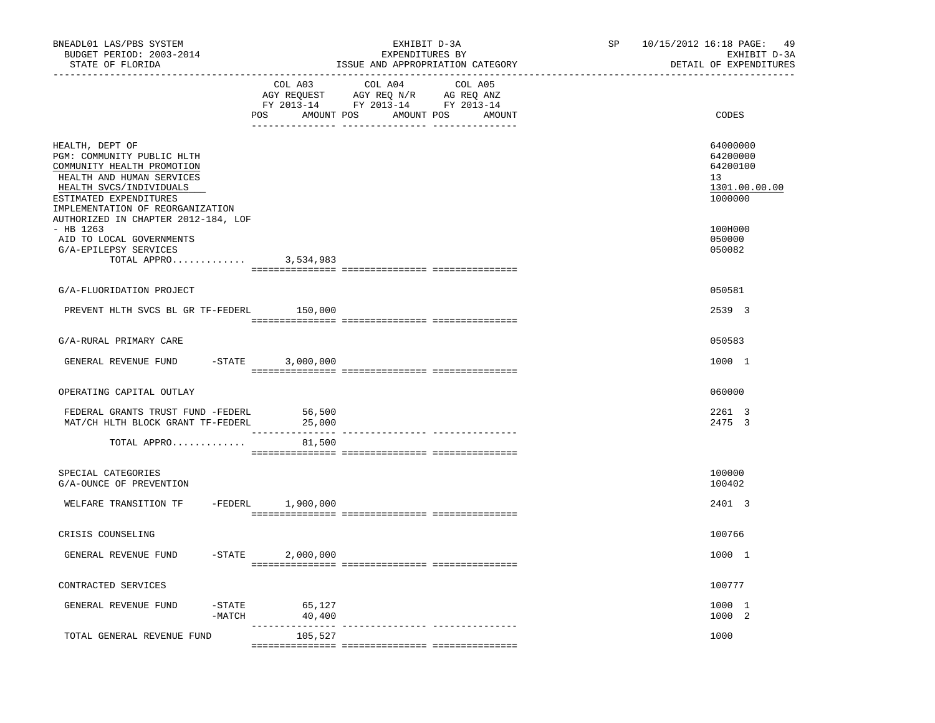| BNEADL01 LAS/PBS SYSTEM<br>BUDGET PERIOD: 2003-2014<br>STATE OF FLORIDA                                                                                                                                                                  |                                                                                                                                                                                                            | EXHIBIT D-3A<br>EXPENDITURES BY<br>ISSUE AND APPROPRIATION CATEGORY | SP | 10/15/2012 16:18 PAGE:<br>49<br>EXHIBIT D-3A<br>DETAIL OF EXPENDITURES |
|------------------------------------------------------------------------------------------------------------------------------------------------------------------------------------------------------------------------------------------|------------------------------------------------------------------------------------------------------------------------------------------------------------------------------------------------------------|---------------------------------------------------------------------|----|------------------------------------------------------------------------|
|                                                                                                                                                                                                                                          | COL A03<br>$\begin{tabular}{lllllll} \bf AGY \,\, REQUEST \,\, & \bf AGY \,\, REQ \,\, N/R & \bf AG \,\, REQ \,\, ANZ \\ \bf FY \,\, 2013-14 & \bf FY \,\, 2013-14 & \bf FY \,\, 2013-14 \\ \end{tabular}$ | COL A04<br>COL A05<br>POS AMOUNT POS AMOUNT POS AMOUNT              |    | CODES                                                                  |
| HEALTH, DEPT OF<br>PGM: COMMUNITY PUBLIC HLTH<br>COMMUNITY HEALTH PROMOTION<br>HEALTH AND HUMAN SERVICES<br>HEALTH SVCS/INDIVIDUALS<br>ESTIMATED EXPENDITURES<br>IMPLEMENTATION OF REORGANIZATION<br>AUTHORIZED IN CHAPTER 2012-184, LOF |                                                                                                                                                                                                            |                                                                     |    | 64000000<br>64200000<br>64200100<br>13<br>1301.00.00.00<br>1000000     |
| $-$ HB 1263<br>AID TO LOCAL GOVERNMENTS<br>G/A-EPILEPSY SERVICES<br>TOTAL APPRO                                                                                                                                                          | 3,534,983                                                                                                                                                                                                  |                                                                     |    | 100H000<br>050000<br>050082                                            |
| G/A-FLUORIDATION PROJECT                                                                                                                                                                                                                 |                                                                                                                                                                                                            |                                                                     |    | 050581                                                                 |
| PREVENT HLTH SVCS BL GR TF-FEDERL                                                                                                                                                                                                        | 150,000                                                                                                                                                                                                    |                                                                     |    | 2539 3                                                                 |
| G/A-RURAL PRIMARY CARE                                                                                                                                                                                                                   |                                                                                                                                                                                                            |                                                                     |    | 050583                                                                 |
| GENERAL REVENUE FUND                                                                                                                                                                                                                     | $-$ STATE<br>3,000,000                                                                                                                                                                                     |                                                                     |    | 1000 1                                                                 |
| OPERATING CAPITAL OUTLAY                                                                                                                                                                                                                 |                                                                                                                                                                                                            |                                                                     |    | 060000                                                                 |
| FEDERAL GRANTS TRUST FUND -FEDERL<br>MAT/CH HLTH BLOCK GRANT TF-FEDERL                                                                                                                                                                   | 56,500<br>25,000                                                                                                                                                                                           |                                                                     |    | 2261 3<br>2475 3                                                       |
| TOTAL APPRO                                                                                                                                                                                                                              | 81,500                                                                                                                                                                                                     |                                                                     |    |                                                                        |
| SPECIAL CATEGORIES<br>G/A-OUNCE OF PREVENTION                                                                                                                                                                                            |                                                                                                                                                                                                            |                                                                     |    | 100000<br>100402                                                       |
| WELFARE TRANSITION TF                                                                                                                                                                                                                    | -FEDERL 1,900,000                                                                                                                                                                                          |                                                                     |    | 2401 3                                                                 |
| CRISIS COUNSELING                                                                                                                                                                                                                        |                                                                                                                                                                                                            |                                                                     |    | 100766                                                                 |
| GENERAL REVENUE FUND                                                                                                                                                                                                                     | $-STATE$<br>2,000,000                                                                                                                                                                                      |                                                                     |    | 1000 1                                                                 |
| CONTRACTED SERVICES                                                                                                                                                                                                                      |                                                                                                                                                                                                            |                                                                     |    | 100777                                                                 |
| GENERAL REVENUE FUND<br>$-$ STATE<br>$-MATCH$                                                                                                                                                                                            | 65,127<br>40,400                                                                                                                                                                                           |                                                                     |    | 1000 1<br>1000 2                                                       |
| TOTAL GENERAL REVENUE FUND                                                                                                                                                                                                               | ----------------<br>105,527                                                                                                                                                                                | --------------- ---------------                                     |    | 1000                                                                   |
|                                                                                                                                                                                                                                          |                                                                                                                                                                                                            |                                                                     |    |                                                                        |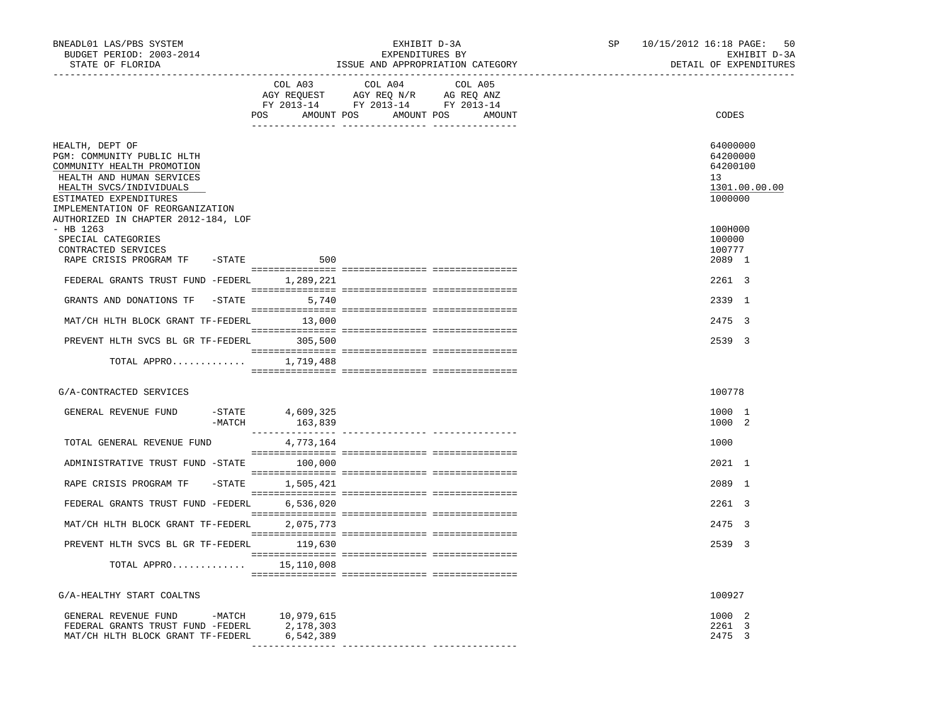| BNEADL01 LAS/PBS SYSTEM<br>BUDGET PERIOD: 2003-2014<br>STATE OF FLORIDA                                                                                                                                                                  |                             | EXHIBIT D-3A<br>EXPENDITURES BY<br>ISSUE AND APPROPRIATION CATEGORY                                                                                                                                                                                     | SP                                          | 10/15/2012 16:18 PAGE:<br>50<br>EXHIBIT D-3A<br>DETAIL OF EXPENDITURES |                                                                    |
|------------------------------------------------------------------------------------------------------------------------------------------------------------------------------------------------------------------------------------------|-----------------------------|---------------------------------------------------------------------------------------------------------------------------------------------------------------------------------------------------------------------------------------------------------|---------------------------------------------|------------------------------------------------------------------------|--------------------------------------------------------------------|
|                                                                                                                                                                                                                                          |                             | COL A03 COL A04<br>$\begin{tabular}{lllllll} \bf AGY \;\; RegUEST \hspace{1cm} AGY \;\; REG \;\; N/R \hspace{1cm} \bf AG \;\; REG \;\; ANZ \end{tabular}$ $\begin{tabular}{lllllllllll} \bf FY \;\; 2013-14 \hspace{1cm} FY \;\; 2013-14 \end{tabular}$ | COL A05<br>POS AMOUNT POS AMOUNT POS AMOUNT |                                                                        | CODES                                                              |
| HEALTH, DEPT OF<br>PGM: COMMUNITY PUBLIC HLTH<br>COMMUNITY HEALTH PROMOTION<br>HEALTH AND HUMAN SERVICES<br>HEALTH SVCS/INDIVIDUALS<br>ESTIMATED EXPENDITURES<br>IMPLEMENTATION OF REORGANIZATION<br>AUTHORIZED IN CHAPTER 2012-184, LOF |                             |                                                                                                                                                                                                                                                         |                                             |                                                                        | 64000000<br>64200000<br>64200100<br>13<br>1301.00.00.00<br>1000000 |
| $-$ HB 1263<br>SPECIAL CATEGORIES<br>CONTRACTED SERVICES                                                                                                                                                                                 |                             |                                                                                                                                                                                                                                                         |                                             |                                                                        | 100H000<br>100000<br>100777                                        |
| RAPE CRISIS PROGRAM TF - STATE 500                                                                                                                                                                                                       |                             |                                                                                                                                                                                                                                                         |                                             |                                                                        | 2089 1                                                             |
| FEDERAL GRANTS TRUST FUND -FEDERL 1,289,221                                                                                                                                                                                              |                             |                                                                                                                                                                                                                                                         |                                             |                                                                        | 2261 3                                                             |
| GRANTS AND DONATIONS TF                                                                                                                                                                                                                  | $-$ STATE 5,740             |                                                                                                                                                                                                                                                         |                                             |                                                                        | 2339 1                                                             |
| MAT/CH HLTH BLOCK GRANT TF-FEDERL 13,000                                                                                                                                                                                                 |                             |                                                                                                                                                                                                                                                         |                                             |                                                                        | 2475 3                                                             |
| PREVENT HLTH SVCS BL GR TF-FEDERL 305,500                                                                                                                                                                                                |                             |                                                                                                                                                                                                                                                         |                                             |                                                                        | 2539 3                                                             |
|                                                                                                                                                                                                                                          |                             |                                                                                                                                                                                                                                                         |                                             |                                                                        |                                                                    |
| TOTAL APPRO $1,719,488$                                                                                                                                                                                                                  |                             |                                                                                                                                                                                                                                                         |                                             |                                                                        |                                                                    |
| G/A-CONTRACTED SERVICES                                                                                                                                                                                                                  |                             |                                                                                                                                                                                                                                                         |                                             |                                                                        | 100778                                                             |
| GENERAL REVENUE FUND<br>$-MATCH$                                                                                                                                                                                                         | -STATE 4,609,325<br>163,839 |                                                                                                                                                                                                                                                         |                                             |                                                                        | 1000 1<br>1000 2                                                   |
| TOTAL GENERAL REVENUE FUND                                                                                                                                                                                                               | 4,773,164                   |                                                                                                                                                                                                                                                         |                                             |                                                                        | 1000                                                               |
| ADMINISTRATIVE TRUST FUND -STATE 100,000                                                                                                                                                                                                 |                             |                                                                                                                                                                                                                                                         |                                             |                                                                        | 2021 1                                                             |
|                                                                                                                                                                                                                                          |                             |                                                                                                                                                                                                                                                         |                                             |                                                                        |                                                                    |
| RAPE CRISIS PROGRAM TF                                                                                                                                                                                                                   | $-$ STATE $1,505,421$       |                                                                                                                                                                                                                                                         |                                             |                                                                        | 2089 1                                                             |
| FEDERAL GRANTS TRUST FUND -FEDERL 6,536,020                                                                                                                                                                                              |                             |                                                                                                                                                                                                                                                         |                                             |                                                                        | 2261 3                                                             |
| MAT/CH HLTH BLOCK GRANT TF-FEDERL 2,075,773                                                                                                                                                                                              |                             |                                                                                                                                                                                                                                                         |                                             |                                                                        | 2475 3                                                             |
| PREVENT HLTH SVCS BL GR TF-FEDERL 119,630                                                                                                                                                                                                |                             |                                                                                                                                                                                                                                                         |                                             |                                                                        | 2539 3                                                             |
| TOTAL APPRO $15,110,008$                                                                                                                                                                                                                 |                             |                                                                                                                                                                                                                                                         |                                             |                                                                        |                                                                    |
| G/A-HEALTHY START COALTNS                                                                                                                                                                                                                |                             |                                                                                                                                                                                                                                                         |                                             |                                                                        | 100927                                                             |
| GENERAL REVENUE FUND -MATCH 10,979,615<br>FEDERAL GRANTS TRUST FUND -FEDERL<br>MAT/CH HLTH BLOCK GRANT TF-FEDERL                                                                                                                         | 2,178,303<br>6,542,389      |                                                                                                                                                                                                                                                         |                                             |                                                                        | 1000 2<br>2261 3<br>2475 3                                         |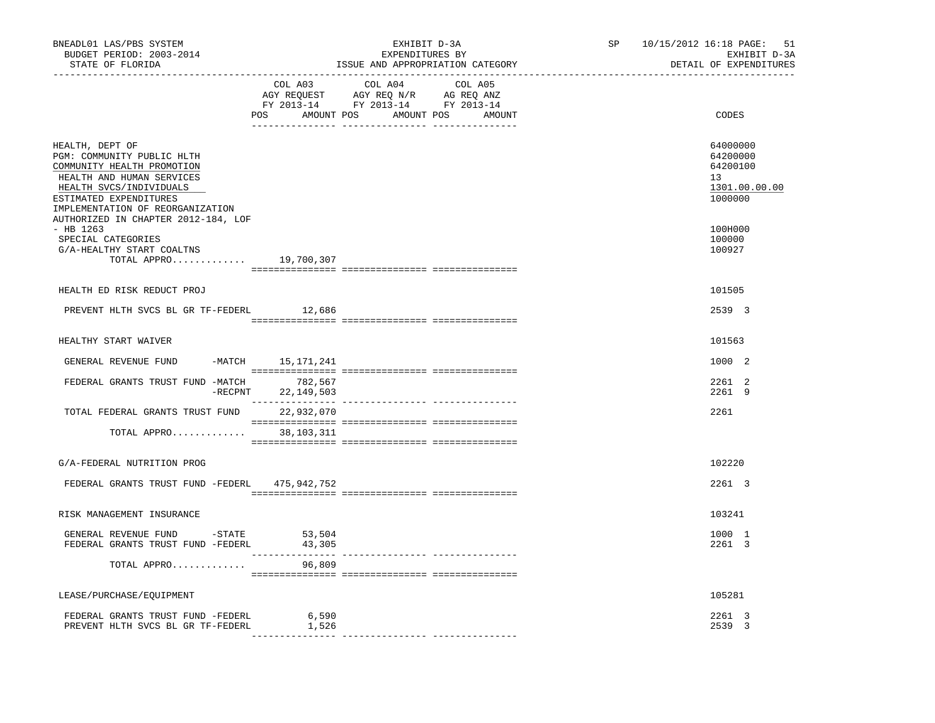| BNEADL01 LAS/PBS SYSTEM<br>BUDGET PERIOD: 2003-2014<br>STATE OF FLORIDA                                                                                                                                                                  |                               | EXHIBIT D-3A<br>EXPENDITURES BY<br>ISSUE AND APPROPRIATION CATEGORY                                                                                                                                                                                                                                                                                         | SP<br>---------------------- | 10/15/2012 16:18 PAGE:<br>51<br>EXHIBIT D-3A<br>DETAIL OF EXPENDITURES |  |  |
|------------------------------------------------------------------------------------------------------------------------------------------------------------------------------------------------------------------------------------------|-------------------------------|-------------------------------------------------------------------------------------------------------------------------------------------------------------------------------------------------------------------------------------------------------------------------------------------------------------------------------------------------------------|------------------------------|------------------------------------------------------------------------|--|--|
|                                                                                                                                                                                                                                          | COL A03                       | COL A04<br>COL A05<br>$\begin{array}{ccccccccc}\n\text{AGY REQUEST} & & \text{GUT} & \text{AGY REQ} & \text{N/R} & & \text{GCEQ} & \text{ANZ} \\ \text{AGY REQUEST} & & \text{AGY REQ} & \text{N/R} & & \text{AG REQ} & \text{ANZ} \\ \text{FY} & 2013-14 & & \text{FY} & 2013-14 & & \text{FY} & 2013-14\n\end{array}$<br>POS AMOUNT POS AMOUNT POS AMOUNT |                              | CODES                                                                  |  |  |
| HEALTH, DEPT OF<br>PGM: COMMUNITY PUBLIC HLTH<br>COMMUNITY HEALTH PROMOTION<br>HEALTH AND HUMAN SERVICES<br>HEALTH SVCS/INDIVIDUALS<br>ESTIMATED EXPENDITURES<br>IMPLEMENTATION OF REORGANIZATION<br>AUTHORIZED IN CHAPTER 2012-184, LOF |                               |                                                                                                                                                                                                                                                                                                                                                             |                              | 64000000<br>64200000<br>64200100<br>13<br>1301.00.00.00<br>1000000     |  |  |
| $-$ HB 1263<br>SPECIAL CATEGORIES<br>G/A-HEALTHY START COALTNS<br>TOTAL APPRO 19,700,307                                                                                                                                                 |                               |                                                                                                                                                                                                                                                                                                                                                             |                              | 100H000<br>100000<br>100927                                            |  |  |
|                                                                                                                                                                                                                                          |                               |                                                                                                                                                                                                                                                                                                                                                             |                              |                                                                        |  |  |
| HEALTH ED RISK REDUCT PROJ                                                                                                                                                                                                               |                               |                                                                                                                                                                                                                                                                                                                                                             |                              | 101505                                                                 |  |  |
| PREVENT HLTH SVCS BL GR TF-FEDERL                                                                                                                                                                                                        | 12,686                        |                                                                                                                                                                                                                                                                                                                                                             |                              | 2539 3                                                                 |  |  |
| HEALTHY START WAIVER                                                                                                                                                                                                                     |                               |                                                                                                                                                                                                                                                                                                                                                             |                              | 101563                                                                 |  |  |
| GENERAL REVENUE FUND                                                                                                                                                                                                                     | -MATCH 15,171,241             |                                                                                                                                                                                                                                                                                                                                                             |                              | 1000 2                                                                 |  |  |
| FEDERAL GRANTS TRUST FUND -MATCH                                                                                                                                                                                                         | 782,567<br>-RECPNT 22,149,503 |                                                                                                                                                                                                                                                                                                                                                             |                              | 2261 2<br>2261 9                                                       |  |  |
| TOTAL FEDERAL GRANTS TRUST FUND 22,932,070                                                                                                                                                                                               |                               |                                                                                                                                                                                                                                                                                                                                                             |                              | 2261                                                                   |  |  |
| TOTAL APPRO 38,103,311                                                                                                                                                                                                                   |                               |                                                                                                                                                                                                                                                                                                                                                             |                              |                                                                        |  |  |
| G/A-FEDERAL NUTRITION PROG                                                                                                                                                                                                               |                               |                                                                                                                                                                                                                                                                                                                                                             |                              | 102220                                                                 |  |  |
| FEDERAL GRANTS TRUST FUND -FEDERL 475,942,752                                                                                                                                                                                            |                               |                                                                                                                                                                                                                                                                                                                                                             |                              | 2261 3                                                                 |  |  |
| RISK MANAGEMENT INSURANCE                                                                                                                                                                                                                |                               |                                                                                                                                                                                                                                                                                                                                                             |                              | 103241                                                                 |  |  |
| GENERAL REVENUE FUND -STATE<br>FEDERAL GRANTS TRUST FUND -FEDERL                                                                                                                                                                         | 53,504<br>43,305              |                                                                                                                                                                                                                                                                                                                                                             |                              | 1000 1<br>2261 3                                                       |  |  |
| TOTAL APPRO                                                                                                                                                                                                                              | 96,809                        |                                                                                                                                                                                                                                                                                                                                                             |                              |                                                                        |  |  |
|                                                                                                                                                                                                                                          |                               |                                                                                                                                                                                                                                                                                                                                                             |                              |                                                                        |  |  |
| LEASE/PURCHASE/EQUIPMENT                                                                                                                                                                                                                 |                               |                                                                                                                                                                                                                                                                                                                                                             |                              | 105281                                                                 |  |  |
| FEDERAL GRANTS TRUST FUND -FEDERL<br>PREVENT HLTH SVCS BL GR TF-FEDERL                                                                                                                                                                   | 6,590<br>1,526                |                                                                                                                                                                                                                                                                                                                                                             |                              | 2261 3<br>2539 3                                                       |  |  |
|                                                                                                                                                                                                                                          |                               |                                                                                                                                                                                                                                                                                                                                                             |                              |                                                                        |  |  |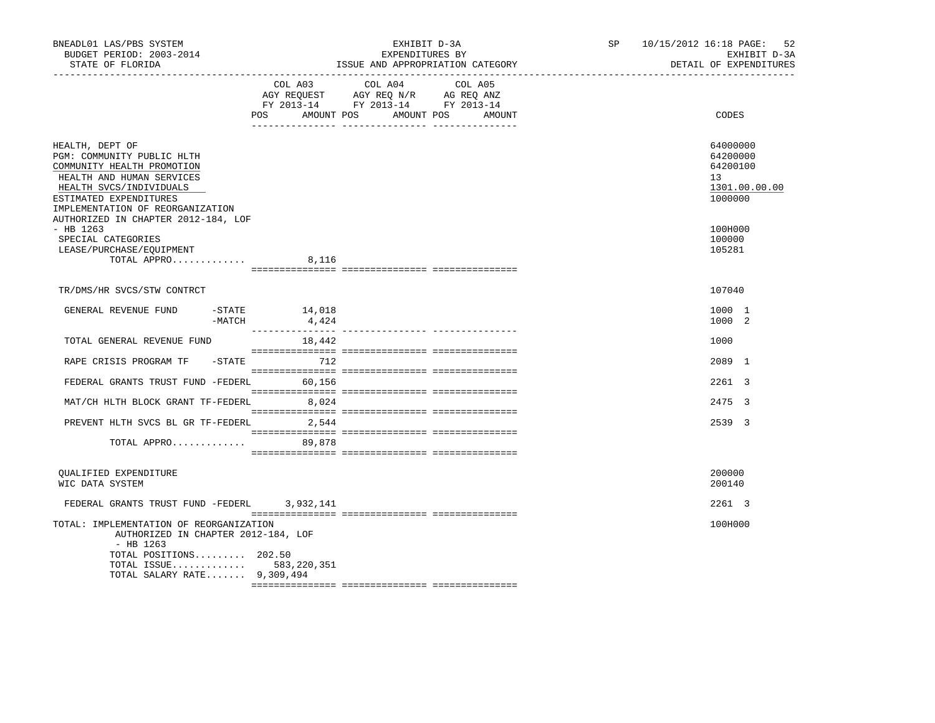| BNEADL01 LAS/PBS SYSTEM<br>BUDGET PERIOD: 2003-2014<br>STATE OF FLORIDA                                                                                                                                                                  |                                                                                                                               | EXHIBIT D-3A<br>EXPENDITURES BY | ISSUE AND APPROPRIATION CATEGORY | SP | 10/15/2012 16:18 PAGE: 52<br>EXHIBIT D-3A<br>DETAIL OF EXPENDITURES |
|------------------------------------------------------------------------------------------------------------------------------------------------------------------------------------------------------------------------------------------|-------------------------------------------------------------------------------------------------------------------------------|---------------------------------|----------------------------------|----|---------------------------------------------------------------------|
|                                                                                                                                                                                                                                          | COL A03 COL A04 COL A05<br>AGY REQUEST AGY REQ N/R AG REQ ANZ<br>FY 2013-14 FY 2013-14 FY 2013-14<br><b>POS</b><br>AMOUNT POS | AMOUNT POS                      | AMOUNT                           |    | CODES                                                               |
| HEALTH, DEPT OF<br>PGM: COMMUNITY PUBLIC HLTH<br>COMMUNITY HEALTH PROMOTION<br>HEALTH AND HUMAN SERVICES<br>HEALTH SVCS/INDIVIDUALS<br>ESTIMATED EXPENDITURES<br>IMPLEMENTATION OF REORGANIZATION<br>AUTHORIZED IN CHAPTER 2012-184, LOF |                                                                                                                               |                                 |                                  |    | 64000000<br>64200000<br>64200100<br>13<br>1301.00.00.00<br>1000000  |
| $-$ HB 1263<br>SPECIAL CATEGORIES<br>LEASE/PURCHASE/EQUIPMENT<br>TOTAL APPRO                                                                                                                                                             | 8,116                                                                                                                         |                                 |                                  |    | 100H000<br>100000<br>105281                                         |
| TR/DMS/HR SVCS/STW CONTRCT                                                                                                                                                                                                               |                                                                                                                               |                                 |                                  |    | 107040                                                              |
| GENERAL REVENUE FUND<br>-MATCH                                                                                                                                                                                                           | $-$ STATE $14,018$<br>4,424                                                                                                   |                                 |                                  |    | 1000 1<br>1000 2                                                    |
| TOTAL GENERAL REVENUE FUND                                                                                                                                                                                                               | 18,442                                                                                                                        |                                 |                                  |    | 1000                                                                |
| RAPE CRISIS PROGRAM TF - STATE                                                                                                                                                                                                           | 712                                                                                                                           |                                 |                                  |    | 2089 1                                                              |
| FEDERAL GRANTS TRUST FUND -FEDERL 60,156                                                                                                                                                                                                 |                                                                                                                               |                                 |                                  |    | 2261 3                                                              |
| MAT/CH HLTH BLOCK GRANT TF-FEDERL 8,024                                                                                                                                                                                                  |                                                                                                                               |                                 |                                  |    | 2475 3                                                              |
| PREVENT HLTH SVCS BL GR TF-FEDERL 2,544                                                                                                                                                                                                  |                                                                                                                               |                                 |                                  |    | 2539 3                                                              |
| TOTAL APPRO 89,878                                                                                                                                                                                                                       |                                                                                                                               |                                 |                                  |    |                                                                     |
| OUALIFIED EXPENDITURE<br>WIC DATA SYSTEM                                                                                                                                                                                                 |                                                                                                                               |                                 |                                  |    | 200000<br>200140                                                    |
| FEDERAL GRANTS TRUST FUND -FEDERL 3,932,141                                                                                                                                                                                              |                                                                                                                               |                                 |                                  |    | 2261 3                                                              |
| TOTAL: IMPLEMENTATION OF REORGANIZATION<br>AUTHORIZED IN CHAPTER 2012-184, LOF<br>$-$ HB 1263<br>TOTAL POSITIONS 202.50<br>TOTAL ISSUE 583,220,351<br>TOTAL SALARY RATE 9,309,494                                                        |                                                                                                                               |                                 |                                  |    | 100H000                                                             |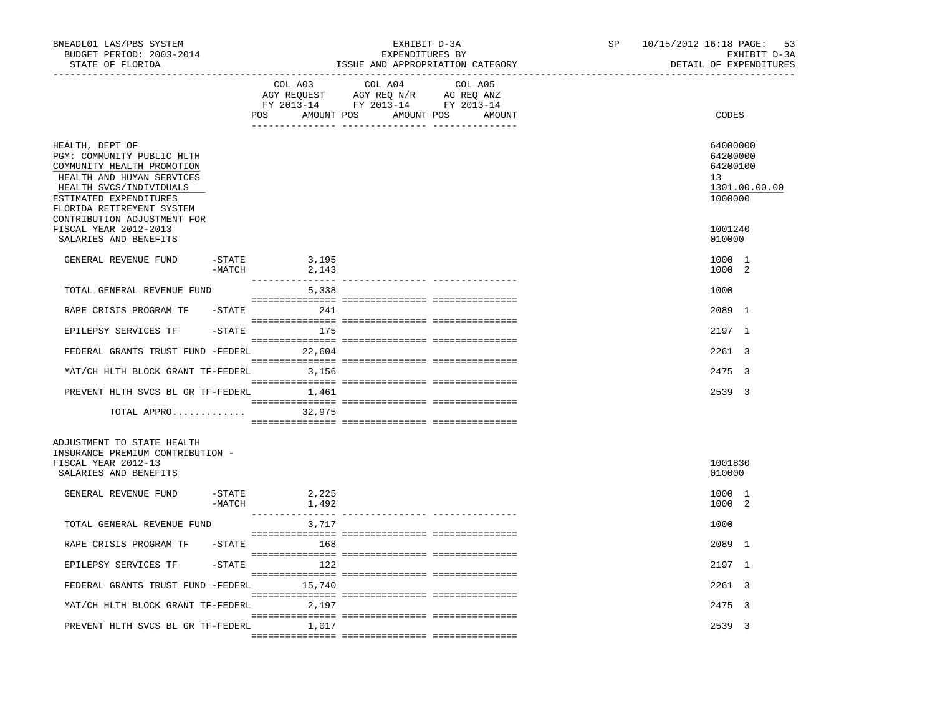| BNEADL01 LAS/PBS SYSTEM<br>BUDGET PERIOD: 2003-2014<br>STATE OF FLORIDA                                                                                                                                                                            |                                      | EXHIBIT D-3A<br>EXPENDITURES BY<br>ISSUE AND APPROPRIATION CATEGORY                                                                 | SP | 10/15/2012 16:18 PAGE: 53<br>EXHIBIT D-3A<br>DETAIL OF EXPENDITURES           |
|----------------------------------------------------------------------------------------------------------------------------------------------------------------------------------------------------------------------------------------------------|--------------------------------------|-------------------------------------------------------------------------------------------------------------------------------------|----|-------------------------------------------------------------------------------|
|                                                                                                                                                                                                                                                    | COL A03                              | COL A04<br>COL A05<br>AGY REQUEST AGY REQ N/R AG REQ ANZ<br>FY 2013-14 FY 2013-14 FY 2013-14<br>POS AMOUNT POS AMOUNT POS<br>AMOUNT |    | CODES                                                                         |
| HEALTH, DEPT OF<br>PGM: COMMUNITY PUBLIC HLTH<br>COMMUNITY HEALTH PROMOTION<br>HEALTH AND HUMAN SERVICES<br>HEALTH SVCS/INDIVIDUALS<br>ESTIMATED EXPENDITURES<br>FLORIDA RETIREMENT SYSTEM<br>CONTRIBUTION ADJUSTMENT FOR<br>FISCAL YEAR 2012-2013 |                                      |                                                                                                                                     |    | 64000000<br>64200000<br>64200100<br>13<br>1301.00.00.00<br>1000000<br>1001240 |
| SALARIES AND BENEFITS                                                                                                                                                                                                                              |                                      |                                                                                                                                     |    | 010000                                                                        |
| GENERAL REVENUE FUND<br>-STATE                                                                                                                                                                                                                     | 3,195<br>-MATCH<br>2,143             |                                                                                                                                     |    | 1000 1<br>1000 2                                                              |
| TOTAL GENERAL REVENUE FUND                                                                                                                                                                                                                         | 5,338                                |                                                                                                                                     |    | 1000                                                                          |
| RAPE CRISIS PROGRAM TF                                                                                                                                                                                                                             | $-$ STATE 241                        |                                                                                                                                     |    | 2089 1                                                                        |
| EPILEPSY SERVICES TF                                                                                                                                                                                                                               | 175<br>$-$ STATE                     |                                                                                                                                     |    | 2197 1                                                                        |
| FEDERAL GRANTS TRUST FUND -FEDERL 22,604                                                                                                                                                                                                           |                                      |                                                                                                                                     |    | 2261 3                                                                        |
| MAT/CH HLTH BLOCK GRANT TF-FEDERL 3,156                                                                                                                                                                                                            |                                      |                                                                                                                                     |    | 2475 3                                                                        |
| PREVENT HLTH SVCS BL GR TF-FEDERL 1,461                                                                                                                                                                                                            |                                      |                                                                                                                                     |    | 2539 3                                                                        |
| TOTAL APPRO 32,975                                                                                                                                                                                                                                 |                                      |                                                                                                                                     |    |                                                                               |
| ADJUSTMENT TO STATE HEALTH<br>INSURANCE PREMIUM CONTRIBUTION -<br>FISCAL YEAR 2012-13<br>SALARIES AND BENEFITS                                                                                                                                     |                                      |                                                                                                                                     |    | 1001830<br>010000                                                             |
| GENERAL REVENUE FUND                                                                                                                                                                                                                               | $-$ STATE<br>2,225<br>$-MATCH$ 1,492 |                                                                                                                                     |    | 1000 1<br>1000 2                                                              |
| TOTAL GENERAL REVENUE FUND                                                                                                                                                                                                                         | 3,717                                |                                                                                                                                     |    | 1000                                                                          |
| RAPE CRISIS PROGRAM TF - STATE                                                                                                                                                                                                                     | 168                                  |                                                                                                                                     |    | 2089 1                                                                        |
| EPILEPSY SERVICES TF                                                                                                                                                                                                                               | 122<br>$-$ STATE                     |                                                                                                                                     |    | 2197 1                                                                        |
| FEDERAL GRANTS TRUST FUND -FEDERL 15,740                                                                                                                                                                                                           |                                      |                                                                                                                                     |    | 2261 3                                                                        |
| MAT/CH HLTH BLOCK GRANT TF-FEDERL 2,197                                                                                                                                                                                                            |                                      |                                                                                                                                     |    | 2475 3                                                                        |
| PREVENT HLTH SVCS BL GR TF-FEDERL                                                                                                                                                                                                                  | 1,017                                |                                                                                                                                     |    | 2539 3                                                                        |
|                                                                                                                                                                                                                                                    |                                      |                                                                                                                                     |    |                                                                               |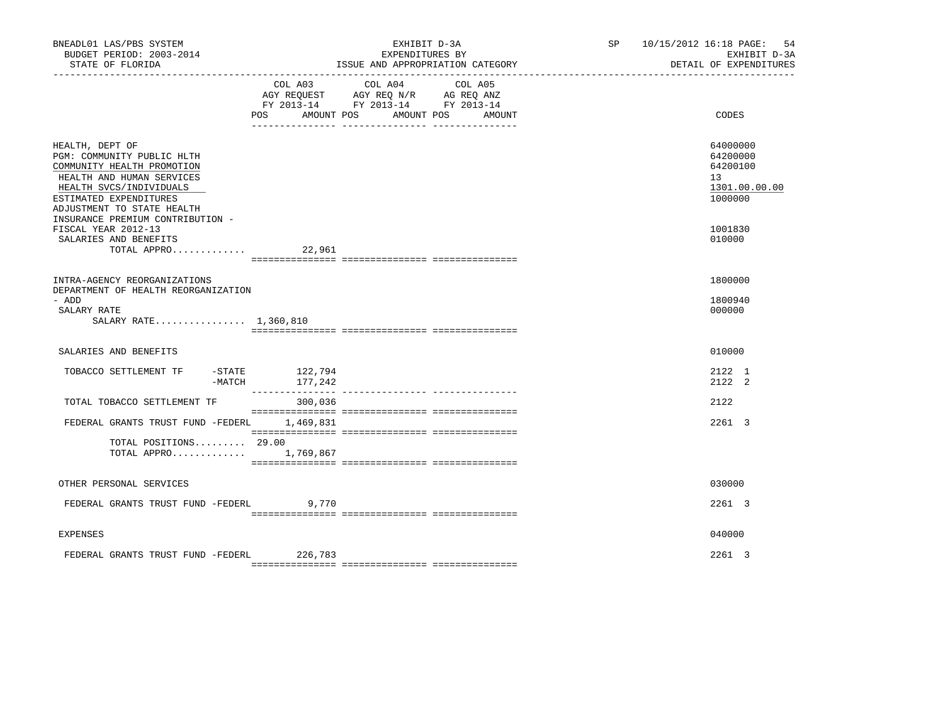| BNEADL01 LAS/PBS SYSTEM<br>BUDGET PERIOD: 2003-2014<br>STATE OF FLORIDA                                                                                                                                                         | EXHIBIT D-3A<br>EXPENDITURES BY<br>ISSUE AND APPROPRIATION CATEGORY                                                                                                                | SP and the set of the set of the set of the set of the set of the set of the set of the set of the set of the set of the set of the set of the set of the set of the set of the set of the set of the set of the set of the se | 10/15/2012 16:18 PAGE:<br>-54<br>EXHIBIT D-3A<br>DETAIL OF EXPENDITURES |
|---------------------------------------------------------------------------------------------------------------------------------------------------------------------------------------------------------------------------------|------------------------------------------------------------------------------------------------------------------------------------------------------------------------------------|--------------------------------------------------------------------------------------------------------------------------------------------------------------------------------------------------------------------------------|-------------------------------------------------------------------------|
|                                                                                                                                                                                                                                 | COL A04<br>COL A03<br>COL A05<br>AGY REQUEST AGY REQ N/R AG REQ ANZ<br>FY 2013-14 FY 2013-14 FY 2013-14<br><b>POS</b><br>AMOUNT POS<br>AMOUNT POS<br>__ ________________ _________ | AMOUNT                                                                                                                                                                                                                         | CODES                                                                   |
| HEALTH, DEPT OF<br>PGM: COMMUNITY PUBLIC HLTH<br>COMMUNITY HEALTH PROMOTION<br>HEALTH AND HUMAN SERVICES<br>HEALTH SVCS/INDIVIDUALS<br>ESTIMATED EXPENDITURES<br>ADJUSTMENT TO STATE HEALTH<br>INSURANCE PREMIUM CONTRIBUTION - |                                                                                                                                                                                    |                                                                                                                                                                                                                                | 64000000<br>64200000<br>64200100<br>13<br>1301.00.00.00<br>1000000      |
| FISCAL YEAR 2012-13<br>SALARIES AND BENEFITS<br>TOTAL APPRO                                                                                                                                                                     | 22,961                                                                                                                                                                             |                                                                                                                                                                                                                                | 1001830<br>010000                                                       |
| INTRA-AGENCY REORGANIZATIONS<br>DEPARTMENT OF HEALTH REORGANIZATION<br>- ADD<br>SALARY RATE<br>SALARY RATE 1,360,810                                                                                                            |                                                                                                                                                                                    |                                                                                                                                                                                                                                | 1800000<br>1800940<br>000000                                            |
| SALARIES AND BENEFITS                                                                                                                                                                                                           |                                                                                                                                                                                    |                                                                                                                                                                                                                                | 010000                                                                  |
| TOBACCO SETTLEMENT TF<br>$-$ STATE<br>$-MATCH$                                                                                                                                                                                  | 122,794<br>177,242                                                                                                                                                                 |                                                                                                                                                                                                                                | 2122 1<br>2122 2                                                        |
| TOTAL TOBACCO SETTLEMENT TF                                                                                                                                                                                                     | 300,036                                                                                                                                                                            |                                                                                                                                                                                                                                | 2122                                                                    |
| FEDERAL GRANTS TRUST FUND -FEDERL 1,469,831                                                                                                                                                                                     |                                                                                                                                                                                    |                                                                                                                                                                                                                                | 2261 3                                                                  |
| TOTAL POSITIONS 29.00<br>TOTAL APPRO 1,769,867                                                                                                                                                                                  |                                                                                                                                                                                    |                                                                                                                                                                                                                                |                                                                         |
| OTHER PERSONAL SERVICES                                                                                                                                                                                                         |                                                                                                                                                                                    |                                                                                                                                                                                                                                | 030000                                                                  |
| FEDERAL GRANTS TRUST FUND -FEDERL                                                                                                                                                                                               | 9,770                                                                                                                                                                              |                                                                                                                                                                                                                                | 2261 3                                                                  |
| <b>EXPENSES</b>                                                                                                                                                                                                                 |                                                                                                                                                                                    |                                                                                                                                                                                                                                | 040000                                                                  |
| FEDERAL GRANTS TRUST FUND -FEDERL 226,783                                                                                                                                                                                       |                                                                                                                                                                                    |                                                                                                                                                                                                                                | $2261$ 3                                                                |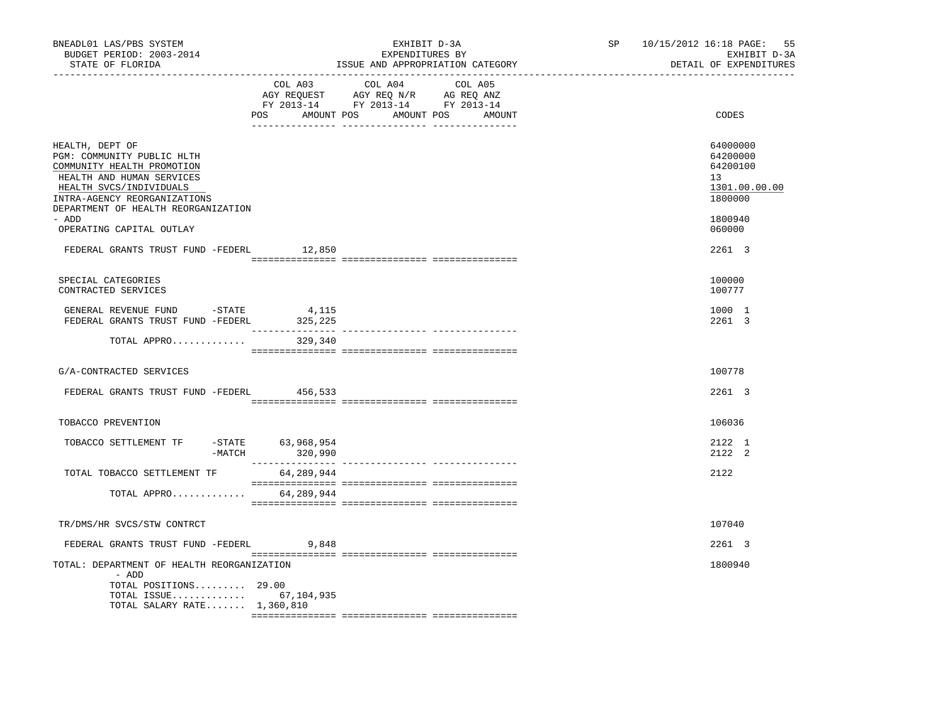| BNEADL01 LAS/PBS SYSTEM<br>BUDGET PERIOD: 2003-2014<br>STATE OF FLORIDA                                                                                                                                             | _____________________________ | EXHIBIT D-3A<br>EXPENDITURES BY<br>ISSUE AND APPROPRIATION CATEGORY                                                                                                                                                                                                                                                                                                                                                                 | SP | 10/15/2012 16:18 PAGE: 55<br>EXHIBIT D-3A<br>DETAIL OF EXPENDITURES           |
|---------------------------------------------------------------------------------------------------------------------------------------------------------------------------------------------------------------------|-------------------------------|-------------------------------------------------------------------------------------------------------------------------------------------------------------------------------------------------------------------------------------------------------------------------------------------------------------------------------------------------------------------------------------------------------------------------------------|----|-------------------------------------------------------------------------------|
|                                                                                                                                                                                                                     | COL A03<br>POS                | COL A04 COL A05<br>AGY REQUEST AGY REQ N/R AG REQ ANZ<br>FY 2013-14 FY 2013-14 FY 2013-14<br>AMOUNT POS AMOUNT POS AMOUNT                                                                                                                                                                                                                                                                                                           |    | CODES                                                                         |
| HEALTH, DEPT OF<br>PGM: COMMUNITY PUBLIC HLTH<br>COMMUNITY HEALTH PROMOTION<br>HEALTH AND HUMAN SERVICES<br>HEALTH SVCS/INDIVIDUALS<br>INTRA-AGENCY REORGANIZATIONS<br>DEPARTMENT OF HEALTH REORGANIZATION<br>- ADD |                               |                                                                                                                                                                                                                                                                                                                                                                                                                                     |    | 64000000<br>64200000<br>64200100<br>13<br>1301.00.00.00<br>1800000<br>1800940 |
| OPERATING CAPITAL OUTLAY                                                                                                                                                                                            |                               |                                                                                                                                                                                                                                                                                                                                                                                                                                     |    | 060000                                                                        |
| FEDERAL GRANTS TRUST FUND -FEDERL                                                                                                                                                                                   | 12,850                        |                                                                                                                                                                                                                                                                                                                                                                                                                                     |    | 2261 3                                                                        |
| SPECIAL CATEGORIES<br>CONTRACTED SERVICES                                                                                                                                                                           |                               |                                                                                                                                                                                                                                                                                                                                                                                                                                     |    | 100000<br>100777                                                              |
| GENERAL REVENUE FUND -STATE<br>FEDERAL GRANTS TRUST FUND -FEDERL 325,225                                                                                                                                            | 4,115                         |                                                                                                                                                                                                                                                                                                                                                                                                                                     |    | 1000 1<br>2261 3                                                              |
| TOTAL APPRO                                                                                                                                                                                                         | 329,340                       |                                                                                                                                                                                                                                                                                                                                                                                                                                     |    |                                                                               |
| G/A-CONTRACTED SERVICES                                                                                                                                                                                             |                               |                                                                                                                                                                                                                                                                                                                                                                                                                                     |    | 100778                                                                        |
| FEDERAL GRANTS TRUST FUND -FEDERL                                                                                                                                                                                   | 456,533                       |                                                                                                                                                                                                                                                                                                                                                                                                                                     |    | 2261 3                                                                        |
| TOBACCO PREVENTION                                                                                                                                                                                                  |                               |                                                                                                                                                                                                                                                                                                                                                                                                                                     |    | 106036                                                                        |
| TOBACCO SETTLEMENT TF<br>$-MATCH$                                                                                                                                                                                   | -STATE 63,968,954<br>320,990  |                                                                                                                                                                                                                                                                                                                                                                                                                                     |    | 2122 1<br>2122 2                                                              |
| TOTAL TOBACCO SETTLEMENT TF                                                                                                                                                                                         | 64,289,944                    |                                                                                                                                                                                                                                                                                                                                                                                                                                     |    | 2122                                                                          |
| TOTAL APPRO                                                                                                                                                                                                         | 64,289,944                    | $\begin{minipage}{0.03\textwidth} \begin{tabular}{l} \textbf{1} & \textbf{2} & \textbf{3} & \textbf{5} & \textbf{5} & \textbf{6} & \textbf{6} & \textbf{7} & \textbf{8} & \textbf{8} & \textbf{9} & \textbf{9} & \textbf{9} & \textbf{9} & \textbf{9} & \textbf{9} & \textbf{9} & \textbf{9} & \textbf{9} & \textbf{9} & \textbf{9} & \textbf{9} & \textbf{9} & \textbf{9} & \textbf{9} & \textbf{9} & \textbf{9} & \textbf{9} & \$ |    |                                                                               |
| TR/DMS/HR SVCS/STW CONTRCT                                                                                                                                                                                          |                               |                                                                                                                                                                                                                                                                                                                                                                                                                                     |    | 107040                                                                        |
|                                                                                                                                                                                                                     |                               |                                                                                                                                                                                                                                                                                                                                                                                                                                     |    |                                                                               |
| FEDERAL GRANTS TRUST FUND -FEDERL                                                                                                                                                                                   | 9,848                         |                                                                                                                                                                                                                                                                                                                                                                                                                                     |    | 2261 3                                                                        |
| TOTAL: DEPARTMENT OF HEALTH REORGANIZATION<br>- ADD<br>TOTAL POSITIONS 29.00<br>TOTAL ISSUE 67,104,935<br>TOTAL SALARY RATE $1,360,810$                                                                             |                               |                                                                                                                                                                                                                                                                                                                                                                                                                                     |    | 1800940                                                                       |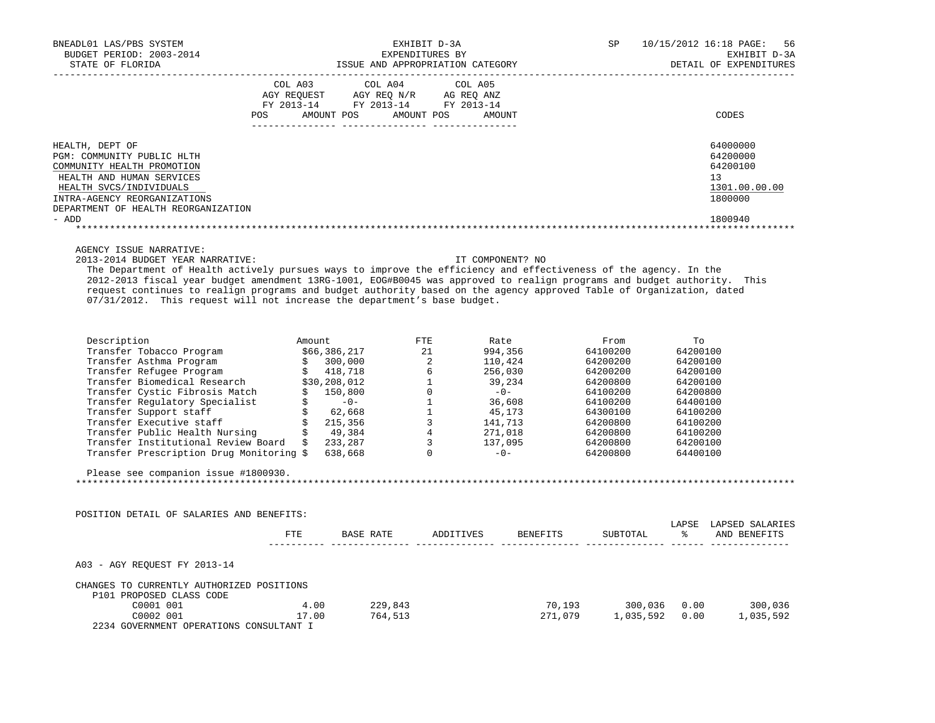| NEADL01 LAS/PBS SYSTEM $\texttt{EXHIBIT D-3A} \hspace{1.5in} \texttt{EXHIBIT D-3A} \hspace{1.5in} \texttt{EXPENDITURES BY} \hspace{1.5in} \texttt{EXHIBIT D-3A} \hspace{1.5in} \texttt{EXHIBIT D-3A} \hspace{1.5in} \texttt{EXHIBIT D-3A} \hspace{1.5in} \texttt{EXHIBIT D-3A} \hspace{1.5in} \texttt{EXHIBIT D-3A} \hspace{1.5in} \texttt{EXHIBIT D-3A} \hspace{1.5in} \texttt$<br>BNEADL01 LAS/PBS SYSTEM                                                                                                    |                                                                                                                                                                                                                                                                                                                                                                                                                                                                               |                  |          |                                                                               |
|----------------------------------------------------------------------------------------------------------------------------------------------------------------------------------------------------------------------------------------------------------------------------------------------------------------------------------------------------------------------------------------------------------------------------------------------------------------------------------------------------------------|-------------------------------------------------------------------------------------------------------------------------------------------------------------------------------------------------------------------------------------------------------------------------------------------------------------------------------------------------------------------------------------------------------------------------------------------------------------------------------|------------------|----------|-------------------------------------------------------------------------------|
|                                                                                                                                                                                                                                                                                                                                                                                                                                                                                                                | $\begin{tabular}{lllllllllll} &\multicolumn{4}{c}{\text{COL A03}} &\multicolumn{4}{c}{\text{COL A04}} &\multicolumn{4}{c}{\text{COL A05}} \\ \multicolumn{4}{c}{\text{AGY REQUEST}} &\multicolumn{4}{c}{\text{AGY REQ}} &\multicolumn{4}{c}{\text{N/T}} &\multicolumn{4}{c}{\text{AG X REQ ANZ}} \\ \multicolumn{4}{c}{\text{FY 2013--14}} &\multicolumn{4}{c}{\text{FY 2013--14}} &\multicolumn{4}{c}{\text{FY 2013--14}} \end{tabular}$<br>POS AMOUNT POS AMOUNT POS AMOUNT |                  |          | CODES                                                                         |
| HEALTH, DEPT OF<br>PGM: COMMUNITY PUBLIC HLTH<br>COMMUNITY HEALTH PROMOTION<br>HEALTH AND HUMAN SERVICES<br>HEALTH SVCS/INDIVIDUALS<br>INTRA-AGENCY REORGANIZATIONS<br>DEPARTMENT OF HEALTH REORGANIZATION<br>- ADD                                                                                                                                                                                                                                                                                            |                                                                                                                                                                                                                                                                                                                                                                                                                                                                               |                  |          | 64000000<br>64200000<br>64200100<br>13<br>1301.00.00.00<br>1800000<br>1800940 |
| AGENCY ISSUE NARRATIVE:<br>2013-2014 BUDGET YEAR NARRATIVE:<br>The Department of Health actively pursues ways to improve the efficiency and effectiveness of the agency. In the<br>2012-2013 fiscal year budget amendment 13RG-1001, EOG#B0045 was approved to realign programs and budget authority. This<br>request continues to realign programs and budget authority based on the agency approved Table of Organization, dated<br>07/31/2012. This request will not increase the department's base budget. |                                                                                                                                                                                                                                                                                                                                                                                                                                                                               | IT COMPONENT? NO |          |                                                                               |
| $\begin{tabular}{l c c c c c c} \hline \texttt{Description} & \texttt{Amount} & \texttt{FTE} & \texttt{Rate} & \texttt{From} & \texttt{To} \\ \hline \texttt{Transfer} & \texttt{Tobacco Program} & \$66,386,217 & 21 & 994,356 & 64100200 & 64200100 \\ \texttt{Transfer} & \texttt{setname Program} & \$& 300,000 & 2 & 110,424 & 64200200 & 64200100 \\ \texttt{Transfer Biomedical Research} & \$30,208,012 & 6 & 256,$<br>Please see companion issue #1800930.                                            |                                                                                                                                                                                                                                                                                                                                                                                                                                                                               |                  |          |                                                                               |
| POSITION DETAIL OF SALARIES AND BENEFITS:                                                                                                                                                                                                                                                                                                                                                                                                                                                                      | FTE BASE RATE ADDITIVES BENEFITS                                                                                                                                                                                                                                                                                                                                                                                                                                              |                  |          | LAPSE LAPSED SALARIES                                                         |
| A03 - AGY REQUEST FY 2013-14<br>CHANGES TO CURRENTLY AUTHORIZED POSITIONS<br>P101 PROPOSED CLASS CODE<br>ROPOSED CLASS CODE<br>C0001 001 001 4.00 229,843<br>C0002 001 17.00 764,513<br>2234 GOVERNMENT OPERATIONS CONSULTANT I                                                                                                                                                                                                                                                                                |                                                                                                                                                                                                                                                                                                                                                                                                                                                                               |                  | SUBTOTAL | % AND BENEFITS                                                                |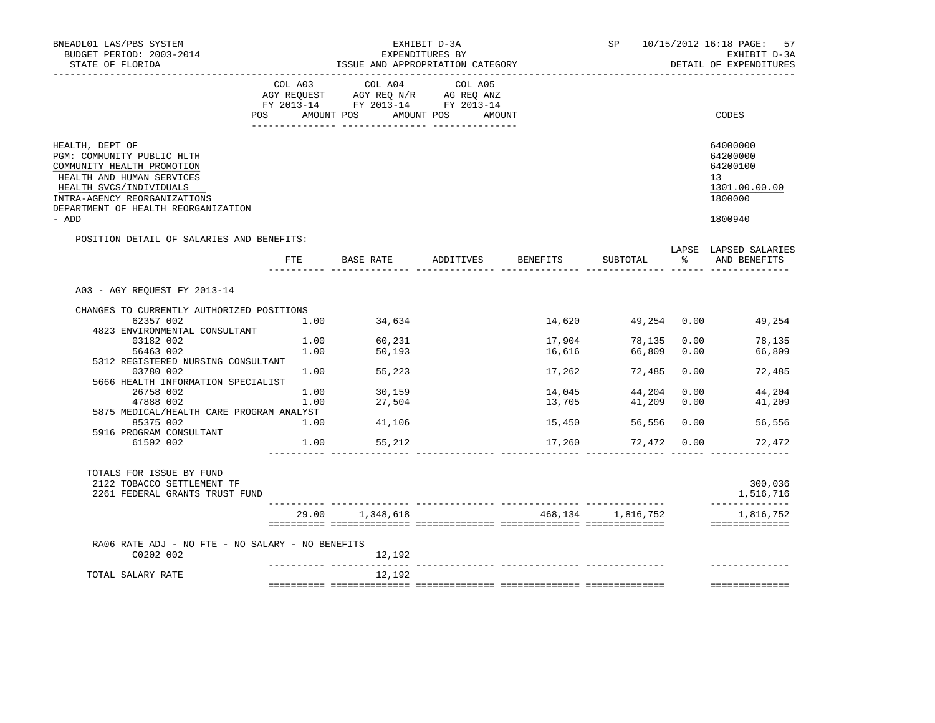| BNEADL01 LAS/PBS SYSTEM<br>BUDGET PERIOD: 2003-2014<br>STATE OF FLORIDA                                                                                                                                                                                                                                                                                               |                      | EXHIBIT D-3A<br>EXPENDITURES BY<br>ISSUE AND APPROPRIATION CATEGORY                                                                                                                                                                                                                                                                            |  |                                                                    |                      |               | SP 10/15/2012 16:18 PAGE: 57<br>EXHIBIT D-3A<br>DETAIL OF EXPENDITURES                                                                                                           |  |  |
|-----------------------------------------------------------------------------------------------------------------------------------------------------------------------------------------------------------------------------------------------------------------------------------------------------------------------------------------------------------------------|----------------------|------------------------------------------------------------------------------------------------------------------------------------------------------------------------------------------------------------------------------------------------------------------------------------------------------------------------------------------------|--|--------------------------------------------------------------------|----------------------|---------------|----------------------------------------------------------------------------------------------------------------------------------------------------------------------------------|--|--|
|                                                                                                                                                                                                                                                                                                                                                                       |                      | COL A03 COL A04 COL A05<br>$\begin{array}{ccccccccc}\n\text{AGY} & \text{REQUEST} & \text{AGY} & \text{REQ} & \text{N/R} & \text{AG} & \text{REQ} & \text{ANZ} \\ \text{AGY} & \text{REQUEST} & \text{AGY} & \text{REQ} & \text{ANZ} & \text{PG} & \text{ANZ} \\ \text{FY} & 2013-14 & \text{FY} & 2013-14 & \text{FY} & 2013-14\n\end{array}$ |  |                                                                    |                      |               |                                                                                                                                                                                  |  |  |
|                                                                                                                                                                                                                                                                                                                                                                       | POS                  | AMOUNT POS AMOUNT POS AMOUNT                                                                                                                                                                                                                                                                                                                   |  |                                                                    |                      |               | CODES                                                                                                                                                                            |  |  |
| HEALTH, DEPT OF<br>PGM: COMMUNITY PUBLIC HLTH<br>COMMUNITY HEALTH PROMOTION<br>HEALTH AND HUMAN SERVICES<br>HEALTH SVCS/INDIVIDUALS<br>INTRA-AGENCY REORGANIZATIONS<br>DEPARTMENT OF HEALTH REORGANIZATION<br>- ADD                                                                                                                                                   |                      |                                                                                                                                                                                                                                                                                                                                                |  |                                                                    |                      |               | 64000000<br>64200000<br>64200100<br>13<br>1301.00.00.00<br>1800000<br>1800940                                                                                                    |  |  |
| POSITION DETAIL OF SALARIES AND BENEFITS:                                                                                                                                                                                                                                                                                                                             |                      |                                                                                                                                                                                                                                                                                                                                                |  |                                                                    |                      |               | LAPSE LAPSED SALARIES                                                                                                                                                            |  |  |
|                                                                                                                                                                                                                                                                                                                                                                       | FTE                  | BASE RATE                                                                                                                                                                                                                                                                                                                                      |  | ADDITIVES BENEFITS                                                 | SUBTOTAL             | $\frac{1}{6}$ | AND BENEFITS                                                                                                                                                                     |  |  |
| A03 - AGY REQUEST FY 2013-14<br>CHANGES TO CURRENTLY AUTHORIZED POSITIONS<br>62357 002<br>4823 ENVIRONMENTAL CONSULTANT<br>03182 002<br>56463 002<br>5312 REGISTERED NURSING CONSULTANT<br>03780 002<br>5666 HEALTH INFORMATION SPECIALIST<br>26758 002<br>47888 002<br>5875 MEDICAL/HEALTH CARE PROGRAM ANALYST<br>85375 002<br>5916 PROGRAM CONSULTANT<br>61502 002 | 1.00<br>1.00<br>1.00 | 1.00 34,634<br>$1.00$ 60,231<br>50,193<br>$1.00$ 55,223<br>$1.00$ 30,159<br>27,504<br>41,106<br>1.00 55,212                                                                                                                                                                                                                                    |  | 17,904<br>16,616<br>17,262<br>14,045<br>13,705<br>15,450<br>17,260 | 66,809<br>72,485     | 0.00          | 14,620 49,254 0.00 49,254<br>78,135<br>78,135 0.00<br>66,809<br>72,485<br>0.00<br>$44,204$ 0.00<br>$41,209$ 0.00<br>44,204<br>41,209<br>56,556 0.00 56,556<br>72,472 0.00 72,472 |  |  |
| TOTALS FOR ISSUE BY FUND<br>2122 TOBACCO SETTLEMENT TF<br>2261 FEDERAL GRANTS TRUST FUND                                                                                                                                                                                                                                                                              |                      |                                                                                                                                                                                                                                                                                                                                                |  |                                                                    |                      |               | 300,036<br>1,516,716<br>--------------                                                                                                                                           |  |  |
|                                                                                                                                                                                                                                                                                                                                                                       |                      | 29.00 1,348,618                                                                                                                                                                                                                                                                                                                                |  |                                                                    | 468, 134 1, 816, 752 |               | 1,816,752<br>===============                                                                                                                                                     |  |  |
| RA06 RATE ADJ - NO FTE - NO SALARY - NO BENEFITS<br>C0202 002                                                                                                                                                                                                                                                                                                         |                      | 12,192                                                                                                                                                                                                                                                                                                                                         |  |                                                                    |                      |               |                                                                                                                                                                                  |  |  |
| TOTAL SALARY RATE                                                                                                                                                                                                                                                                                                                                                     |                      | 12,192                                                                                                                                                                                                                                                                                                                                         |  |                                                                    |                      |               | ==============                                                                                                                                                                   |  |  |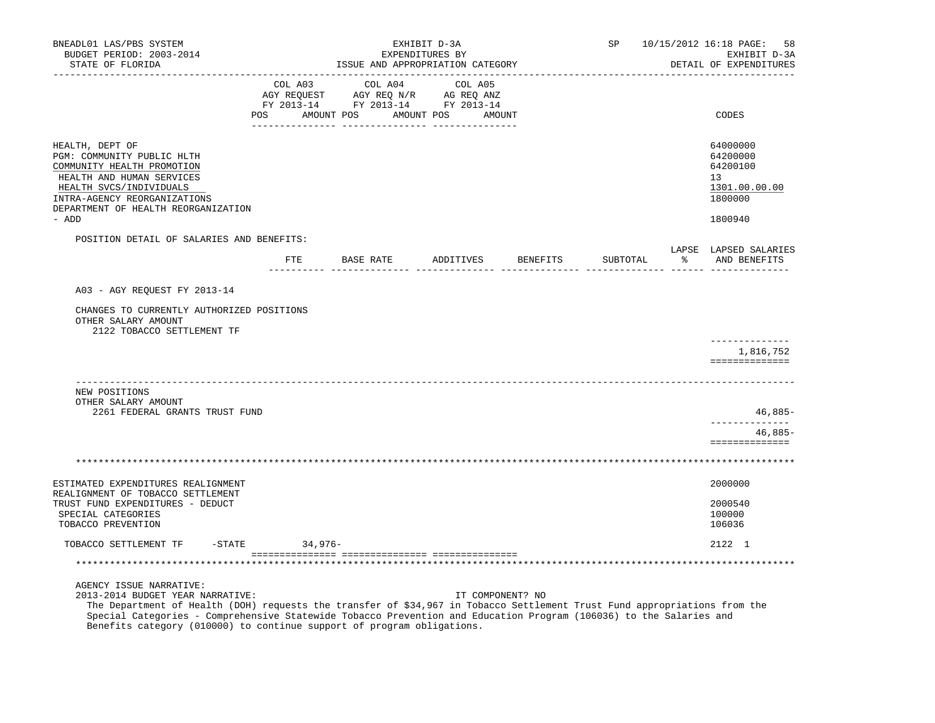| BNEADL01 LAS/PBS SYSTEM<br>BUDGET PERIOD: 2003-2014<br>STATE OF FLORIDA                                                                                             | EXHIBIT D-3A<br>EXPENDITURES BY<br>ISSUE AND APPROPRIATION CATEGORY                                                                                                                            | SP 10/15/2012 16:18 PAGE:<br>58<br>EXHIBIT D-3A<br>DETAIL OF EXPENDITURES |          |                                                                                                                                                                                                                                |
|---------------------------------------------------------------------------------------------------------------------------------------------------------------------|------------------------------------------------------------------------------------------------------------------------------------------------------------------------------------------------|---------------------------------------------------------------------------|----------|--------------------------------------------------------------------------------------------------------------------------------------------------------------------------------------------------------------------------------|
|                                                                                                                                                                     | $\begin{tabular}{lcccc} COL A03 & COL A04 & COL A05 \\ AGY REQUEST & AGY REQ N/R & AG REQ ANZ \\ FY & 2013-14 & FY & 2013-14 & FY & 2013-14 \end{tabular}$<br>POS AMOUNT POS AMOUNT POS AMOUNT |                                                                           |          | CODES                                                                                                                                                                                                                          |
|                                                                                                                                                                     |                                                                                                                                                                                                |                                                                           |          |                                                                                                                                                                                                                                |
| HEALTH, DEPT OF<br>PGM: COMMUNITY PUBLIC HLTH<br>COMMUNITY HEALTH PROMOTION<br>HEALTH AND HUMAN SERVICES<br>HEALTH SVCS/INDIVIDUALS<br>INTRA-AGENCY REORGANIZATIONS |                                                                                                                                                                                                |                                                                           |          | 64000000<br>64200000<br>64200100<br>13<br>1301.00.00.00<br>1800000                                                                                                                                                             |
| DEPARTMENT OF HEALTH REORGANIZATION<br>- ADD                                                                                                                        |                                                                                                                                                                                                |                                                                           |          | 1800940                                                                                                                                                                                                                        |
| POSITION DETAIL OF SALARIES AND BENEFITS:                                                                                                                           |                                                                                                                                                                                                |                                                                           |          |                                                                                                                                                                                                                                |
|                                                                                                                                                                     | FTE BASE RATE ADDITIVES BENEFITS                                                                                                                                                               |                                                                           | SUBTOTAL | LAPSE LAPSED SALARIES<br>% AND BENEFITS                                                                                                                                                                                        |
|                                                                                                                                                                     |                                                                                                                                                                                                |                                                                           |          | <u>------ ------ ----------</u>                                                                                                                                                                                                |
| A03 - AGY REQUEST FY 2013-14                                                                                                                                        |                                                                                                                                                                                                |                                                                           |          |                                                                                                                                                                                                                                |
| CHANGES TO CURRENTLY AUTHORIZED POSITIONS<br>OTHER SALARY AMOUNT<br>2122 TOBACCO SETTLEMENT TF                                                                      |                                                                                                                                                                                                |                                                                           |          |                                                                                                                                                                                                                                |
|                                                                                                                                                                     |                                                                                                                                                                                                |                                                                           |          | 1,816,752<br>==============                                                                                                                                                                                                    |
| NEW POSITIONS<br>OTHER SALARY AMOUNT                                                                                                                                |                                                                                                                                                                                                |                                                                           |          |                                                                                                                                                                                                                                |
| 2261 FEDERAL GRANTS TRUST FUND                                                                                                                                      |                                                                                                                                                                                                |                                                                           |          | $46,885-$<br>------------                                                                                                                                                                                                      |
|                                                                                                                                                                     |                                                                                                                                                                                                |                                                                           |          | 46,885-<br>==============                                                                                                                                                                                                      |
|                                                                                                                                                                     |                                                                                                                                                                                                |                                                                           |          |                                                                                                                                                                                                                                |
| ESTIMATED EXPENDITURES REALIGNMENT                                                                                                                                  |                                                                                                                                                                                                |                                                                           |          | 2000000                                                                                                                                                                                                                        |
| REALIGNMENT OF TOBACCO SETTLEMENT<br>TRUST FUND EXPENDITURES - DEDUCT<br>SPECIAL CATEGORIES<br>TOBACCO PREVENTION                                                   |                                                                                                                                                                                                |                                                                           |          | 2000540<br>100000<br>106036                                                                                                                                                                                                    |
| TOBACCO SETTLEMENT TF -STATE                                                                                                                                        | 34,976-                                                                                                                                                                                        |                                                                           |          | 2122 1                                                                                                                                                                                                                         |
|                                                                                                                                                                     |                                                                                                                                                                                                |                                                                           |          |                                                                                                                                                                                                                                |
| AGENCY ISSUE NARRATIVE:<br>2013-2014 BUDGET YEAR NARRATIVE:<br>$\mathcal{L}$ as $\mathcal{L}$ is $\mathcal{L}$ and $\mathcal{L}$                                    |                                                                                                                                                                                                | IT COMPONENT? NO                                                          |          | $\sim$ . Hence the contract of the contract of the contract of the contract of the contract of the contract of the contract of the contract of the contract of the contract of the contract of the contract of the contract of |

 The Department of Health (DOH) requests the transfer of \$34,967 in Tobacco Settlement Trust Fund appropriations from the Special Categories - Comprehensive Statewide Tobacco Prevention and Education Program (106036) to the Salaries and Benefits category (010000) to continue support of program obligations.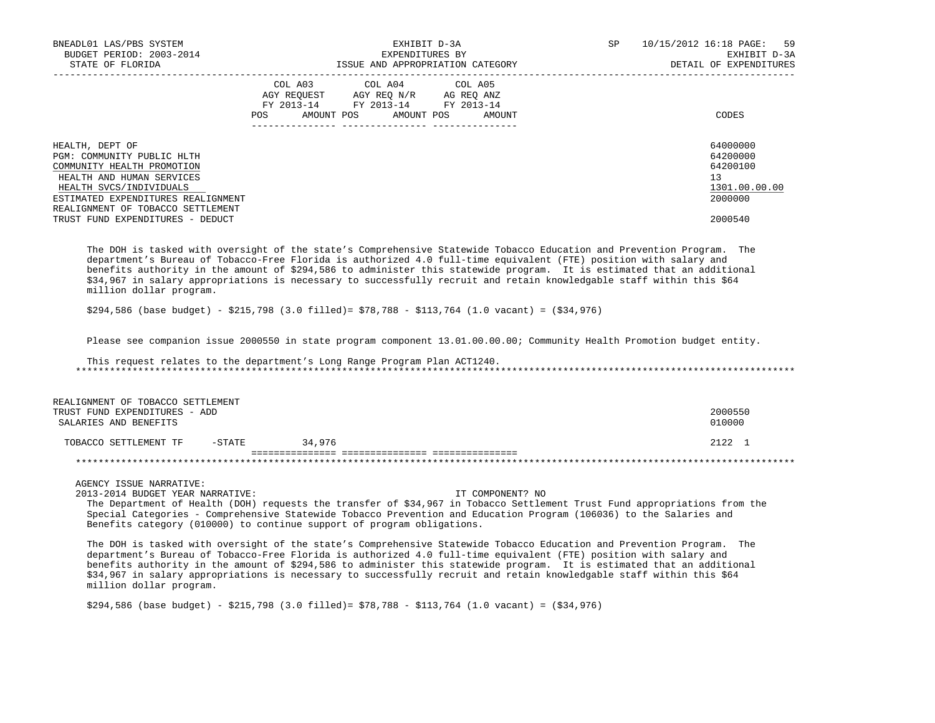| BNEADL01 LAS/PBS SYSTEM<br>BUDGET PERIOD: 2003-2014                                                                                                                                                                                                                                                                                                                                                                                                                                                                                                                                                                                                                                                                                                                                                                                                                                                                                                                                                                             |                 | EXPENDITURES BY                                                                                   | EXHIBIT D-3A                     | SP | 10/15/2012 16:18 PAGE:<br>59<br>EXHIBIT D-3A                                  |
|---------------------------------------------------------------------------------------------------------------------------------------------------------------------------------------------------------------------------------------------------------------------------------------------------------------------------------------------------------------------------------------------------------------------------------------------------------------------------------------------------------------------------------------------------------------------------------------------------------------------------------------------------------------------------------------------------------------------------------------------------------------------------------------------------------------------------------------------------------------------------------------------------------------------------------------------------------------------------------------------------------------------------------|-----------------|---------------------------------------------------------------------------------------------------|----------------------------------|----|-------------------------------------------------------------------------------|
| STATE OF FLORIDA                                                                                                                                                                                                                                                                                                                                                                                                                                                                                                                                                                                                                                                                                                                                                                                                                                                                                                                                                                                                                |                 |                                                                                                   | ISSUE AND APPROPRIATION CATEGORY |    | DETAIL OF EXPENDITURES                                                        |
|                                                                                                                                                                                                                                                                                                                                                                                                                                                                                                                                                                                                                                                                                                                                                                                                                                                                                                                                                                                                                                 |                 | COL A03 COL A04 COL A05<br>AGY REQUEST AGY REQ N/R AG REQ ANZ<br>FY 2013-14 FY 2013-14 FY 2013-14 | POS AMOUNT POS AMOUNT POS AMOUNT |    | CODES                                                                         |
| HEALTH, DEPT OF<br>PGM: COMMUNITY PUBLIC HLTH<br>COMMUNITY HEALTH PROMOTION<br>HEALTH AND HUMAN SERVICES<br>HEALTH SVCS/INDIVIDUALS<br>ESTIMATED EXPENDITURES REALIGNMENT<br>REALIGNMENT OF TOBACCO SETTLEMENT<br>TRUST FUND EXPENDITURES - DEDUCT                                                                                                                                                                                                                                                                                                                                                                                                                                                                                                                                                                                                                                                                                                                                                                              |                 |                                                                                                   |                                  |    | 64000000<br>64200000<br>64200100<br>13<br>1301.00.00.00<br>2000000<br>2000540 |
| The DOH is tasked with oversight of the state's Comprehensive Statewide Tobacco Education and Prevention Program. The<br>department's Bureau of Tobacco-Free Florida is authorized 4.0 full-time equivalent (FTE) position with salary and<br>benefits authority in the amount of \$294,586 to administer this statewide program. It is estimated that an additional<br>\$34,967 in salary appropriations is necessary to successfully recruit and retain knowledgable staff within this \$64<br>million dollar program.<br>$$294,586$ (base budget) - $$215,798$ (3.0 filled)= $$78,788$ - $$113,764$ (1.0 vacant) = ( $$34,976$ )                                                                                                                                                                                                                                                                                                                                                                                             |                 |                                                                                                   |                                  |    |                                                                               |
|                                                                                                                                                                                                                                                                                                                                                                                                                                                                                                                                                                                                                                                                                                                                                                                                                                                                                                                                                                                                                                 |                 |                                                                                                   |                                  |    |                                                                               |
| Please see companion issue 2000550 in state program component 13.01.00.00.00; Community Health Promotion budget entity.                                                                                                                                                                                                                                                                                                                                                                                                                                                                                                                                                                                                                                                                                                                                                                                                                                                                                                         |                 |                                                                                                   |                                  |    |                                                                               |
| This request relates to the department's Long Range Program Plan ACT1240.                                                                                                                                                                                                                                                                                                                                                                                                                                                                                                                                                                                                                                                                                                                                                                                                                                                                                                                                                       |                 |                                                                                                   |                                  |    |                                                                               |
|                                                                                                                                                                                                                                                                                                                                                                                                                                                                                                                                                                                                                                                                                                                                                                                                                                                                                                                                                                                                                                 |                 |                                                                                                   |                                  |    |                                                                               |
| REALIGNMENT OF TOBACCO SETTLEMENT<br>TRUST FUND EXPENDITURES - ADD<br>SALARIES AND BENEFITS                                                                                                                                                                                                                                                                                                                                                                                                                                                                                                                                                                                                                                                                                                                                                                                                                                                                                                                                     |                 |                                                                                                   |                                  |    | 2000550<br>010000                                                             |
| TOBACCO SETTLEMENT TF                                                                                                                                                                                                                                                                                                                                                                                                                                                                                                                                                                                                                                                                                                                                                                                                                                                                                                                                                                                                           | $-STATE$ 34,976 |                                                                                                   |                                  |    | 2122 1                                                                        |
|                                                                                                                                                                                                                                                                                                                                                                                                                                                                                                                                                                                                                                                                                                                                                                                                                                                                                                                                                                                                                                 |                 |                                                                                                   |                                  |    |                                                                               |
| AGENCY ISSUE NARRATIVE:<br>2013-2014 BUDGET YEAR NARRATIVE:<br>The Department of Health (DOH) requests the transfer of \$34,967 in Tobacco Settlement Trust Fund appropriations from the<br>Special Categories - Comprehensive Statewide Tobacco Prevention and Education Program (106036) to the Salaries and<br>Benefits category (010000) to continue support of program obligations.<br>The DOH is tasked with oversight of the state's Comprehensive Statewide Tobacco Education and Prevention Program. The<br>department's Bureau of Tobacco-Free Florida is authorized 4.0 full-time equivalent (FTE) position with salary and<br>benefits authority in the amount of \$294,586 to administer this statewide program. It is estimated that an additional<br>\$34,967 in salary appropriations is necessary to successfully recruit and retain knowledgable staff within this \$64<br>million dollar program.<br>$$294,586$ (base budget) - $$215,798$ (3.0 filled)= $$78,788$ - $$113,764$ (1.0 vacant) = ( $$34,976$ ) |                 |                                                                                                   | IT COMPONENT? NO                 |    |                                                                               |
|                                                                                                                                                                                                                                                                                                                                                                                                                                                                                                                                                                                                                                                                                                                                                                                                                                                                                                                                                                                                                                 |                 |                                                                                                   |                                  |    |                                                                               |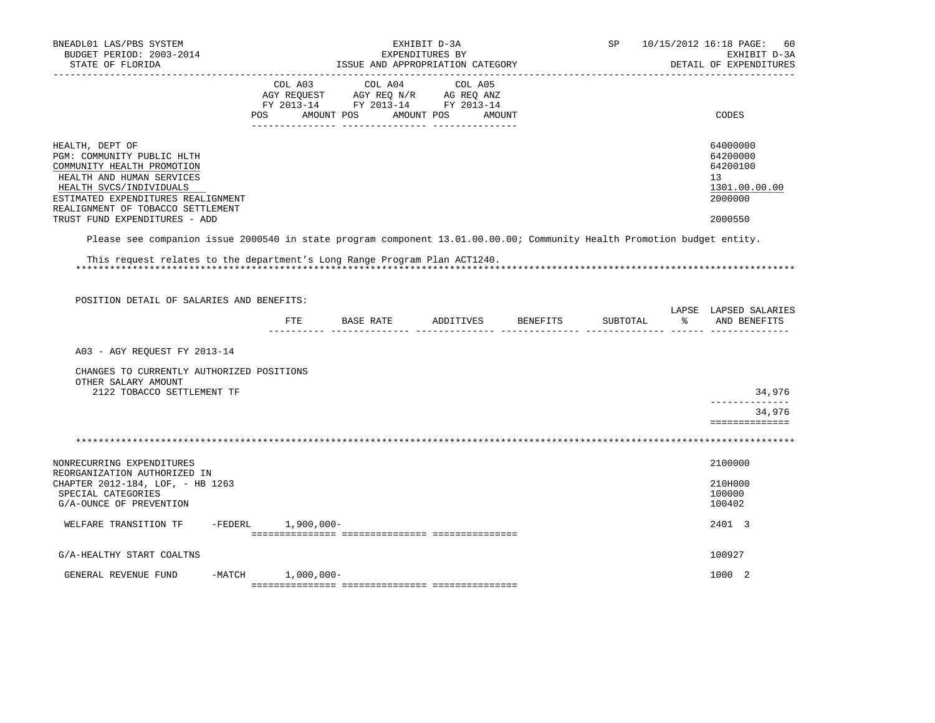| BNEADL01 LAS/PBS SYSTEM<br>BUDGET PERIOD: 2003-2014<br>STATE OF FLORIDA                                                                                                                                        |                    | EXHIBIT D-3A<br>EXPENDITURES BY<br>ISSUE AND APPROPRIATION CATEGORY                  |                       |         |        |                    | 10/15/2012 16:18 PAGE:<br>SP<br>EXHIBIT D-3A<br>DETAIL OF EXPENDITURES |  |                                                                    |  |
|----------------------------------------------------------------------------------------------------------------------------------------------------------------------------------------------------------------|--------------------|--------------------------------------------------------------------------------------|-----------------------|---------|--------|--------------------|------------------------------------------------------------------------|--|--------------------------------------------------------------------|--|
|                                                                                                                                                                                                                | COL A03<br>POS     | AGY REQUEST AGY REQ N/R AG REQ ANZ<br>FY 2013-14 FY 2013-14 FY 2013-14<br>AMOUNT POS | COL A04<br>AMOUNT POS | COL A05 | AMOUNT |                    |                                                                        |  | CODES                                                              |  |
|                                                                                                                                                                                                                |                    |                                                                                      |                       |         |        |                    |                                                                        |  |                                                                    |  |
| HEALTH, DEPT OF<br>PGM: COMMUNITY PUBLIC HLTH<br>COMMUNITY HEALTH PROMOTION<br>HEALTH AND HUMAN SERVICES<br>HEALTH SVCS/INDIVIDUALS<br>ESTIMATED EXPENDITURES REALIGNMENT<br>REALIGNMENT OF TOBACCO SETTLEMENT |                    |                                                                                      |                       |         |        |                    |                                                                        |  | 64000000<br>64200000<br>64200100<br>13<br>1301.00.00.00<br>2000000 |  |
| TRUST FUND EXPENDITURES - ADD                                                                                                                                                                                  |                    |                                                                                      |                       |         |        |                    |                                                                        |  | 2000550                                                            |  |
| Please see companion issue 2000540 in state program component 13.01.00.00.00; Community Health Promotion budget entity.                                                                                        |                    |                                                                                      |                       |         |        |                    |                                                                        |  |                                                                    |  |
| This request relates to the department's Long Range Program Plan ACT1240.                                                                                                                                      |                    |                                                                                      |                       |         |        |                    |                                                                        |  |                                                                    |  |
| POSITION DETAIL OF SALARIES AND BENEFITS:                                                                                                                                                                      |                    |                                                                                      |                       |         |        |                    |                                                                        |  |                                                                    |  |
|                                                                                                                                                                                                                | FTE                | BASE RATE                                                                            |                       |         |        | ADDITIVES BENEFITS | SUBTOTAL                                                               |  | LAPSE LAPSED SALARIES<br>% AND BENEFITS                            |  |
| A03 - AGY REOUEST FY 2013-14                                                                                                                                                                                   |                    |                                                                                      |                       |         |        |                    |                                                                        |  |                                                                    |  |
| CHANGES TO CURRENTLY AUTHORIZED POSITIONS<br>OTHER SALARY AMOUNT<br>2122 TOBACCO SETTLEMENT TF                                                                                                                 |                    |                                                                                      |                       |         |        |                    |                                                                        |  | 34,976                                                             |  |
|                                                                                                                                                                                                                |                    |                                                                                      |                       |         |        |                    |                                                                        |  | --------------                                                     |  |
|                                                                                                                                                                                                                |                    |                                                                                      |                       |         |        |                    |                                                                        |  | 34,976<br>==============                                           |  |
|                                                                                                                                                                                                                |                    |                                                                                      |                       |         |        |                    |                                                                        |  |                                                                    |  |
| NONRECURRING EXPENDITURES<br>REORGANIZATION AUTHORIZED IN                                                                                                                                                      |                    |                                                                                      |                       |         |        |                    |                                                                        |  | 2100000                                                            |  |
| CHAPTER 2012-184, LOF, - HB 1263<br>SPECIAL CATEGORIES<br>G/A-OUNCE OF PREVENTION                                                                                                                              |                    |                                                                                      |                       |         |        |                    |                                                                        |  | 210H000<br>100000<br>100402                                        |  |
| WELFARE TRANSITION TF                                                                                                                                                                                          | -FEDERL 1,900,000- |                                                                                      |                       |         |        |                    |                                                                        |  | 2401 3                                                             |  |
| G/A-HEALTHY START COALTNS                                                                                                                                                                                      |                    |                                                                                      |                       |         |        |                    |                                                                        |  | 100927                                                             |  |
| GENERAL REVENUE FUND<br>-MATCH                                                                                                                                                                                 | $1,000,000-$       |                                                                                      |                       |         |        |                    |                                                                        |  | 1000 2                                                             |  |
|                                                                                                                                                                                                                |                    |                                                                                      |                       |         |        |                    |                                                                        |  |                                                                    |  |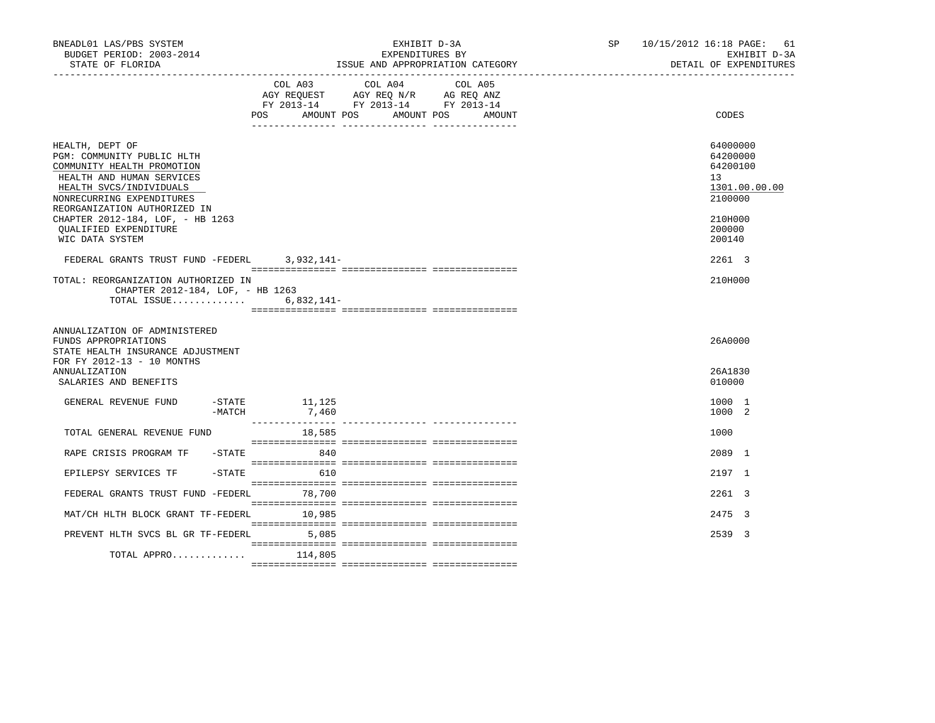| BNEADL01 LAS/PBS SYSTEM<br>BUDGET PERIOD: 2003-2014<br>STATE OF FLORIDA                                                                                                                                                                                                          |            |                              | EXHIBIT D-3A<br>EXPENDITURES BY<br>ISSUE AND APPROPRIATION CATEGORY                                                                       | SP and the set of the set of the set of the set of the set of the set of the set of the set of the set of the set of the set of the set of the set of the set of the set of the set of the set of the set of the set of the se | 10/15/2012 16:18 PAGE: 61<br>EXHIBIT D-3A<br>DETAIL OF EXPENDITURES                               |
|----------------------------------------------------------------------------------------------------------------------------------------------------------------------------------------------------------------------------------------------------------------------------------|------------|------------------------------|-------------------------------------------------------------------------------------------------------------------------------------------|--------------------------------------------------------------------------------------------------------------------------------------------------------------------------------------------------------------------------------|---------------------------------------------------------------------------------------------------|
|                                                                                                                                                                                                                                                                                  | <b>POS</b> | COL A03<br>AMOUNT POS        | COL A04<br>COL A05<br>AGY REQUEST AGY REQ N/R AG REQ ANZ<br>FY 2013-14 FY 2013-14 FY 2013-14<br>AMOUNT POS<br>AMOUNT<br>__ ______________ |                                                                                                                                                                                                                                | CODES                                                                                             |
| HEALTH, DEPT OF<br>PGM: COMMUNITY PUBLIC HLTH<br>COMMUNITY HEALTH PROMOTION<br>HEALTH AND HUMAN SERVICES<br>HEALTH SVCS/INDIVIDUALS<br>NONRECURRING EXPENDITURES<br>REORGANIZATION AUTHORIZED IN<br>CHAPTER 2012-184, LOF, - HB 1263<br>QUALIFIED EXPENDITURE<br>WIC DATA SYSTEM |            |                              |                                                                                                                                           |                                                                                                                                                                                                                                | 64000000<br>64200000<br>64200100<br>13<br>1301.00.00.00<br>2100000<br>210H000<br>200000<br>200140 |
| FEDERAL GRANTS TRUST FUND -FEDERL                                                                                                                                                                                                                                                |            | 3,932,141-                   |                                                                                                                                           |                                                                                                                                                                                                                                | 2261 3                                                                                            |
| TOTAL: REORGANIZATION AUTHORIZED IN<br>CHAPTER 2012-184, LOF, - HB 1263<br>TOTAL ISSUE                                                                                                                                                                                           |            | 6,832,141-                   |                                                                                                                                           |                                                                                                                                                                                                                                | 210H000                                                                                           |
| ANNUALIZATION OF ADMINISTERED<br>FUNDS APPROPRIATIONS<br>STATE HEALTH INSURANCE ADJUSTMENT<br>FOR FY 2012-13 - 10 MONTHS                                                                                                                                                         |            |                              |                                                                                                                                           |                                                                                                                                                                                                                                | 26A0000                                                                                           |
| ANNUALIZATION<br>SALARIES AND BENEFITS                                                                                                                                                                                                                                           |            |                              |                                                                                                                                           |                                                                                                                                                                                                                                | 26A1830<br>010000                                                                                 |
| GENERAL REVENUE FUND                                                                                                                                                                                                                                                             | -MATCH     | $-$ STATE $11, 125$<br>7,460 |                                                                                                                                           |                                                                                                                                                                                                                                | 1000 1<br>1000 2                                                                                  |
| TOTAL GENERAL REVENUE FUND                                                                                                                                                                                                                                                       |            | 18,585                       |                                                                                                                                           |                                                                                                                                                                                                                                | 1000                                                                                              |
| RAPE CRISIS PROGRAM TF -STATE                                                                                                                                                                                                                                                    |            | 840                          |                                                                                                                                           |                                                                                                                                                                                                                                | 2089 1                                                                                            |
| EPILEPSY SERVICES TF                                                                                                                                                                                                                                                             | $-$ STATE  | 610                          |                                                                                                                                           |                                                                                                                                                                                                                                | 2197 1                                                                                            |
| FEDERAL GRANTS TRUST FUND -FEDERL 78,700                                                                                                                                                                                                                                         |            |                              |                                                                                                                                           |                                                                                                                                                                                                                                | 2261 3                                                                                            |
| MAT/CH HLTH BLOCK GRANT TF-FEDERL                                                                                                                                                                                                                                                |            | 10,985                       |                                                                                                                                           |                                                                                                                                                                                                                                | 2475 3                                                                                            |
| PREVENT HLTH SVCS BL GR TF-FEDERL                                                                                                                                                                                                                                                |            | 5.085                        |                                                                                                                                           |                                                                                                                                                                                                                                | 2539 3                                                                                            |
| TOTAL APPRO $114,805$                                                                                                                                                                                                                                                            |            |                              |                                                                                                                                           |                                                                                                                                                                                                                                |                                                                                                   |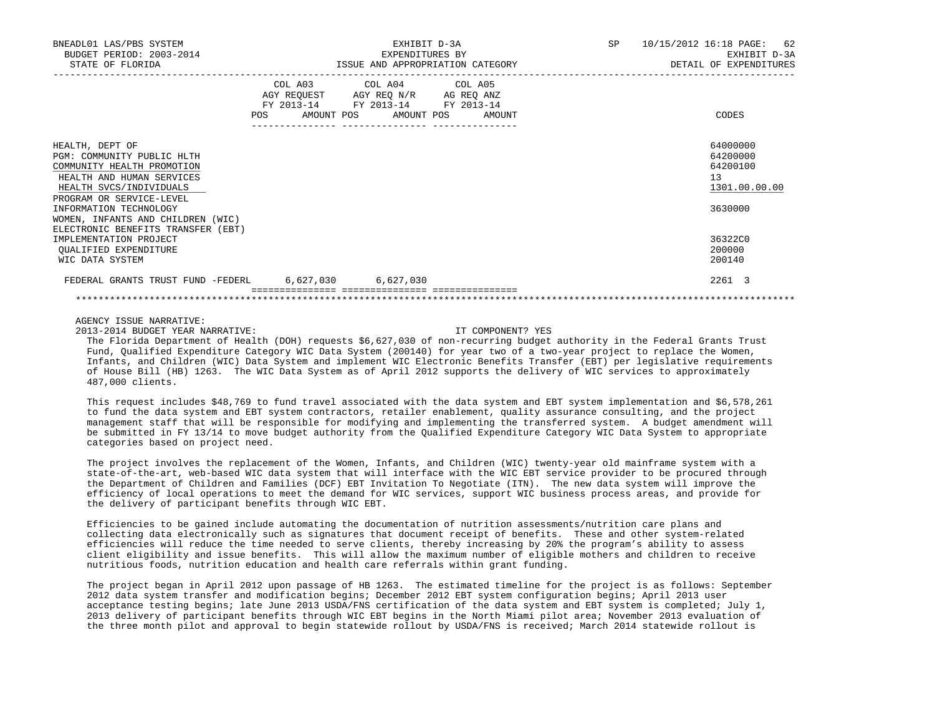| BNEADL01 LAS/PBS SYSTEM<br>BUDGET PERIOD: 2003-2014<br>STATE OF FLORIDA                                                                                         | EXHIBIT D-3A<br>EXPENDITURES BY<br>ISSUE AND APPROPRIATION CATEGORY                                                                   | SP 10/15/2012 16:18 PAGE: 62<br>EXHIBIT D-3A<br>DETAIL OF EXPENDITURES |
|-----------------------------------------------------------------------------------------------------------------------------------------------------------------|---------------------------------------------------------------------------------------------------------------------------------------|------------------------------------------------------------------------|
|                                                                                                                                                                 | COL A03 COL A04 COL A05<br>AGY REQUEST AGY REQ N/R AG REQ ANZ<br>FY 2013-14 FY 2013-14 FY 2013-14<br>POS AMOUNT POS AMOUNT POS AMOUNT | CODES                                                                  |
| HEALTH, DEPT OF<br>PGM: COMMUNITY PUBLIC HLTH<br>COMMUNITY HEALTH PROMOTION<br>HEALTH AND HUMAN SERVICES<br>HEALTH SVCS/INDIVIDUALS<br>PROGRAM OR SERVICE-LEVEL |                                                                                                                                       | 64000000<br>64200000<br>64200100<br>13<br>1301.00.00.00                |
| INFORMATION TECHNOLOGY<br>WOMEN, INFANTS AND CHILDREN (WIC)<br>ELECTRONIC BENEFITS TRANSFER (EBT)                                                               |                                                                                                                                       | 3630000                                                                |
| IMPLEMENTATION PROJECT<br>OUALIFIED EXPENDITURE<br>WIC DATA SYSTEM                                                                                              |                                                                                                                                       | 36322C0<br>200000<br>200140                                            |
| FEDERAL GRANTS TRUST FUND -FEDERL 6,627,030 6,627,030                                                                                                           |                                                                                                                                       | 2261 3                                                                 |
|                                                                                                                                                                 |                                                                                                                                       |                                                                        |

AGENCY ISSUE NARRATIVE:

2013-2014 BUDGET YEAR NARRATIVE: IT COMPONENT? YES

 The Florida Department of Health (DOH) requests \$6,627,030 of non-recurring budget authority in the Federal Grants Trust Fund, Qualified Expenditure Category WIC Data System (200140) for year two of a two-year project to replace the Women, Infants, and Children (WIC) Data System and implement WIC Electronic Benefits Transfer (EBT) per legislative requirements of House Bill (HB) 1263. The WIC Data System as of April 2012 supports the delivery of WIC services to approximately 487,000 clients.

 This request includes \$48,769 to fund travel associated with the data system and EBT system implementation and \$6,578,261 to fund the data system and EBT system contractors, retailer enablement, quality assurance consulting, and the project management staff that will be responsible for modifying and implementing the transferred system. A budget amendment will be submitted in FY 13/14 to move budget authority from the Qualified Expenditure Category WIC Data System to appropriate categories based on project need.

 The project involves the replacement of the Women, Infants, and Children (WIC) twenty-year old mainframe system with a state-of-the-art, web-based WIC data system that will interface with the WIC EBT service provider to be procured through the Department of Children and Families (DCF) EBT Invitation To Negotiate (ITN). The new data system will improve the efficiency of local operations to meet the demand for WIC services, support WIC business process areas, and provide for the delivery of participant benefits through WIC EBT.

 Efficiencies to be gained include automating the documentation of nutrition assessments/nutrition care plans and collecting data electronically such as signatures that document receipt of benefits. These and other system-related efficiencies will reduce the time needed to serve clients, thereby increasing by 20% the program's ability to assess client eligibility and issue benefits. This will allow the maximum number of eligible mothers and children to receive nutritious foods, nutrition education and health care referrals within grant funding.

 The project began in April 2012 upon passage of HB 1263. The estimated timeline for the project is as follows: September 2012 data system transfer and modification begins; December 2012 EBT system configuration begins; April 2013 user acceptance testing begins; late June 2013 USDA/FNS certification of the data system and EBT system is completed; July 1, 2013 delivery of participant benefits through WIC EBT begins in the North Miami pilot area; November 2013 evaluation of the three month pilot and approval to begin statewide rollout by USDA/FNS is received; March 2014 statewide rollout is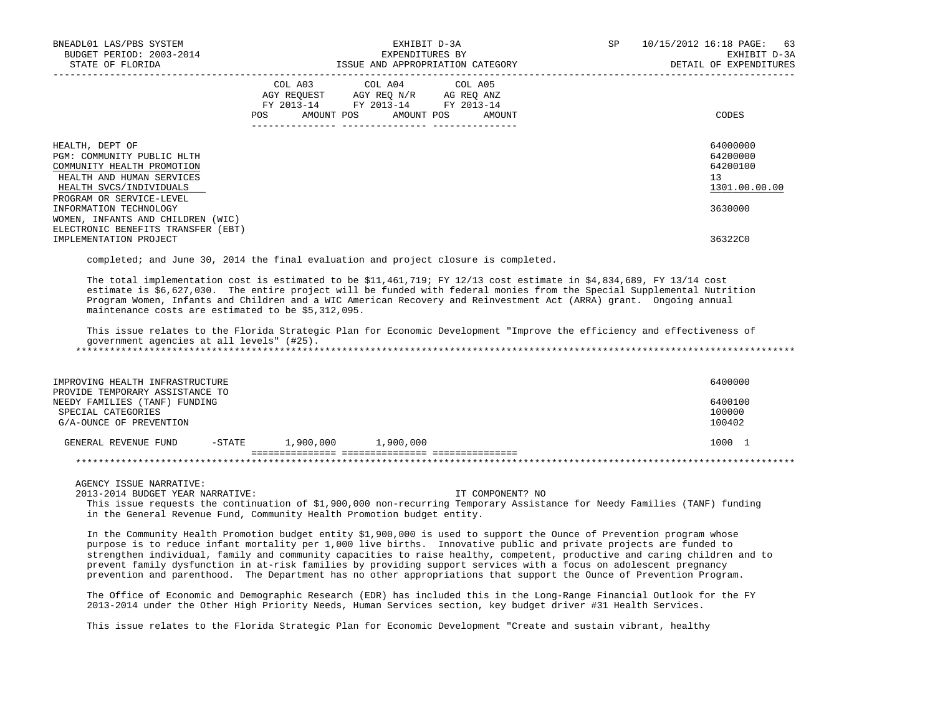| BNEADL01 LAS/PBS SYSTEM<br>BUDGET PERIOD: 2003-2014<br>STATE OF FLORIDA                                                                                         |     | EXHIBIT D-3A<br>EXPENDITURES BY                                                                                                   | ISSUE AND APPROPRIATION CATEGORY | SP<br>10/15/2012 16:18 PAGE: 63<br>EXHIBIT D-3A<br>DETAIL OF EXPENDITURES |
|-----------------------------------------------------------------------------------------------------------------------------------------------------------------|-----|-----------------------------------------------------------------------------------------------------------------------------------|----------------------------------|---------------------------------------------------------------------------|
|                                                                                                                                                                 | POS | COL A03 COL A04 COL A05<br>AGY REOUEST AGY REO N/R AG REO ANZ<br>FY 2013-14 FY 2013-14 FY 2013-14<br>AMOUNT POS AMOUNT POS AMOUNT |                                  | CODES                                                                     |
| HEALTH, DEPT OF<br>PGM: COMMUNITY PUBLIC HLTH<br>COMMUNITY HEALTH PROMOTION<br>HEALTH AND HUMAN SERVICES<br>HEALTH SVCS/INDIVIDUALS<br>PROGRAM OR SERVICE-LEVEL |     |                                                                                                                                   |                                  | 64000000<br>64200000<br>64200100<br>13<br>1301.00.00.00                   |
| INFORMATION TECHNOLOGY<br>WOMEN, INFANTS AND CHILDREN (WIC)<br>ELECTRONIC BENEFITS TRANSFER (EBT)<br>IMPLEMENTATION PROJECT                                     |     |                                                                                                                                   |                                  | 3630000<br>36322C0                                                        |

completed; and June 30, 2014 the final evaluation and project closure is completed.

 The total implementation cost is estimated to be \$11,461,719; FY 12/13 cost estimate in \$4,834,689, FY 13/14 cost estimate is \$6,627,030. The entire project will be funded with federal monies from the Special Supplemental Nutrition Program Women, Infants and Children and a WIC American Recovery and Reinvestment Act (ARRA) grant. Ongoing annual maintenance costs are estimated to be \$5,312,095.

 This issue relates to the Florida Strategic Plan for Economic Development "Improve the efficiency and effectiveness of government agencies at all levels" (#25). \*\*\*\*\*\*\*\*\*\*\*\*\*\*\*\*\*\*\*\*\*\*\*\*\*\*\*\*\*\*\*\*\*\*\*\*\*\*\*\*\*\*\*\*\*\*\*\*\*\*\*\*\*\*\*\*\*\*\*\*\*\*\*\*\*\*\*\*\*\*\*\*\*\*\*\*\*\*\*\*\*\*\*\*\*\*\*\*\*\*\*\*\*\*\*\*\*\*\*\*\*\*\*\*\*\*\*\*\*\*\*\*\*\*\*\*\*\*\*\*\*\*\*\*\*\*\*

| IMPROVING HEALTH INFRASTRUCTURE<br>PROVIDE TEMPORARY ASSISTANCE TO             |           |           |           | 6400000                     |
|--------------------------------------------------------------------------------|-----------|-----------|-----------|-----------------------------|
| NEEDY FAMILIES (TANF) FUNDING<br>SPECIAL CATEGORIES<br>G/A-OUNCE OF PREVENTION |           |           |           | 6400100<br>100000<br>100402 |
| GENERAL REVENUE FUND                                                           | $-$ STATE | 1,900,000 | 1,900,000 | 1000 1                      |
|                                                                                |           |           |           |                             |

AGENCY ISSUE NARRATIVE:

2013-2014 BUDGET YEAR NARRATIVE: IT COMPONENT? NO

 This issue requests the continuation of \$1,900,000 non-recurring Temporary Assistance for Needy Families (TANF) funding in the General Revenue Fund, Community Health Promotion budget entity.

 In the Community Health Promotion budget entity \$1,900,000 is used to support the Ounce of Prevention program whose purpose is to reduce infant mortality per 1,000 live births. Innovative public and private projects are funded to strengthen individual, family and community capacities to raise healthy, competent, productive and caring children and to prevent family dysfunction in at-risk families by providing support services with a focus on adolescent pregnancy prevention and parenthood. The Department has no other appropriations that support the Ounce of Prevention Program.

 The Office of Economic and Demographic Research (EDR) has included this in the Long-Range Financial Outlook for the FY 2013-2014 under the Other High Priority Needs, Human Services section, key budget driver #31 Health Services.

This issue relates to the Florida Strategic Plan for Economic Development "Create and sustain vibrant, healthy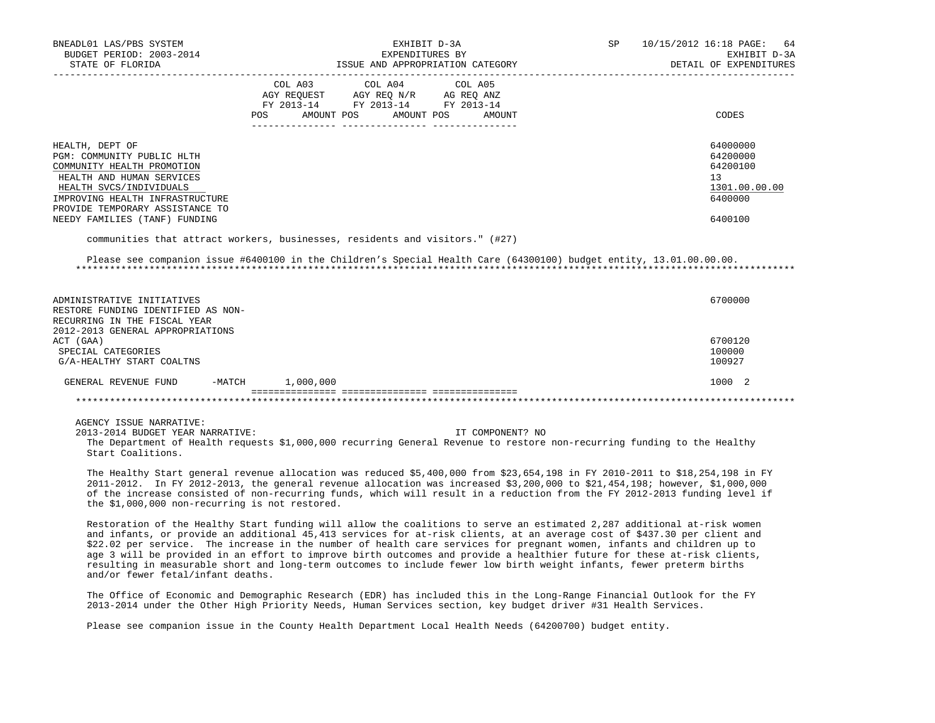| BNEADL01 LAS/PBS SYSTEM<br>BUDGET PERIOD: 2003-2014<br>STATE OF FLORIDA                                                                                                                                   | EXHIBIT D-3A<br>EXPENDITURES BY<br>ISSUE AND APPROPRIATION CATEGORY                                                                         | SP<br>10/15/2012 16:18 PAGE: 64<br>EXHIBIT D-3A<br>DETAIL OF EXPENDITURES       |
|-----------------------------------------------------------------------------------------------------------------------------------------------------------------------------------------------------------|---------------------------------------------------------------------------------------------------------------------------------------------|---------------------------------------------------------------------------------|
|                                                                                                                                                                                                           | COL A03 COL A04 COL A05<br>AGY REOUEST AGY REO N/R AG REO ANZ<br>FY 2013-14 FY 2013-14 FY 2013-14<br>AMOUNT POS AMOUNT POS<br>AMOUNT<br>POS | CODES                                                                           |
| HEALTH, DEPT OF<br>PGM: COMMUNITY PUBLIC HLTH<br>COMMUNITY HEALTH PROMOTION<br>HEALTH AND HUMAN SERVICES<br>HEALTH SVCS/INDIVIDUALS<br>IMPROVING HEALTH INFRASTRUCTURE<br>PROVIDE TEMPORARY ASSISTANCE TO |                                                                                                                                             | 64000000<br>64200000<br>64200100<br>13 <sup>°</sup><br>1301.00.00.00<br>6400000 |
| NEEDY FAMILIES (TANF) FUNDING                                                                                                                                                                             |                                                                                                                                             | 6400100                                                                         |

communities that attract workers, businesses, residents and visitors." (#27)

 Please see companion issue #6400100 in the Children's Special Health Care (64300100) budget entity, 13.01.00.00.00. \*\*\*\*\*\*\*\*\*\*\*\*\*\*\*\*\*\*\*\*\*\*\*\*\*\*\*\*\*\*\*\*\*\*\*\*\*\*\*\*\*\*\*\*\*\*\*\*\*\*\*\*\*\*\*\*\*\*\*\*\*\*\*\*\*\*\*\*\*\*\*\*\*\*\*\*\*\*\*\*\*\*\*\*\*\*\*\*\*\*\*\*\*\*\*\*\*\*\*\*\*\*\*\*\*\*\*\*\*\*\*\*\*\*\*\*\*\*\*\*\*\*\*\*\*\*\*

| ADMINISTRATIVE INITIATIVES         |        |           | 6700000 |
|------------------------------------|--------|-----------|---------|
| RESTORE FUNDING IDENTIFIED AS NON- |        |           |         |
| RECURRING IN THE FISCAL YEAR       |        |           |         |
| 2012-2013 GENERAL APPROPRIATIONS   |        |           |         |
| ACT (GAA)                          |        |           | 6700120 |
| SPECIAL CATEGORIES                 |        |           | 100000  |
| G/A-HEALTHY START COALTNS          |        |           | 100927  |
| GENERAL REVENUE FUND               | -MATCH | 1,000,000 | 1000 2  |
|                                    |        |           |         |

AGENCY ISSUE NARRATIVE:

 2013-2014 BUDGET YEAR NARRATIVE: IT COMPONENT? NO The Department of Health requests \$1,000,000 recurring General Revenue to restore non-recurring funding to the Healthy Start Coalitions.

 The Healthy Start general revenue allocation was reduced \$5,400,000 from \$23,654,198 in FY 2010-2011 to \$18,254,198 in FY 2011-2012. In FY 2012-2013, the general revenue allocation was increased \$3,200,000 to \$21,454,198; however, \$1,000,000 of the increase consisted of non-recurring funds, which will result in a reduction from the FY 2012-2013 funding level if the \$1,000,000 non-recurring is not restored.

 Restoration of the Healthy Start funding will allow the coalitions to serve an estimated 2,287 additional at-risk women and infants, or provide an additional 45,413 services for at-risk clients, at an average cost of \$437.30 per client and \$22.02 per service. The increase in the number of health care services for pregnant women, infants and children up to age 3 will be provided in an effort to improve birth outcomes and provide a healthier future for these at-risk clients, resulting in measurable short and long-term outcomes to include fewer low birth weight infants, fewer preterm births and/or fewer fetal/infant deaths.

 The Office of Economic and Demographic Research (EDR) has included this in the Long-Range Financial Outlook for the FY 2013-2014 under the Other High Priority Needs, Human Services section, key budget driver #31 Health Services.

Please see companion issue in the County Health Department Local Health Needs (64200700) budget entity.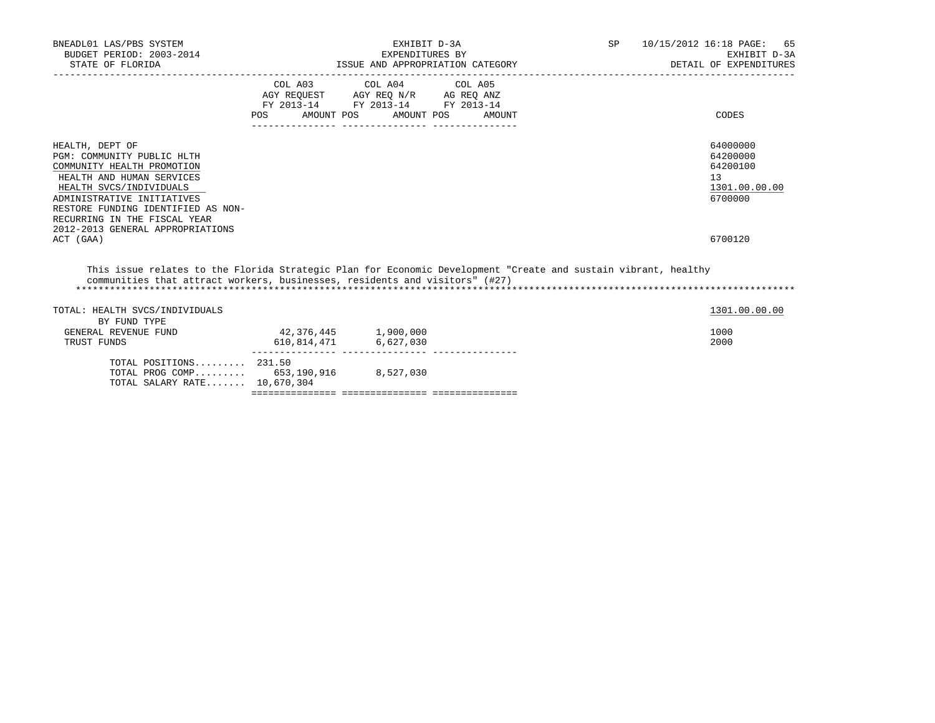| BNEADL01 LAS/PBS SYSTEM<br>BUDGET PERIOD: 2003-2014<br>STATE OF FLORIDA                                                                                                                                                                                                                  | EXHIBIT D-3A<br>EXPENDITURES BY<br>ISSUE AND APPROPRIATION CATEGORY                                                                                                                                                          |                         |        | SP <sub>2</sub> | 10/15/2012 16:18 PAGE: 65<br>EXHIBIT D-3A<br>DETAIL OF EXPENDITURES           |
|------------------------------------------------------------------------------------------------------------------------------------------------------------------------------------------------------------------------------------------------------------------------------------------|------------------------------------------------------------------------------------------------------------------------------------------------------------------------------------------------------------------------------|-------------------------|--------|-----------------|-------------------------------------------------------------------------------|
|                                                                                                                                                                                                                                                                                          | $\begin{tabular}{lllllll} \bf AGY \,\, REQUEST \,\, & \bf AGY \,\, REQ \,\, N/R & \bf AG \,\, REQ \,\, ANZ \\ \bf FY \,\, 2013-14 & \bf FY \,\, 2013-14 & \bf FY \,\, 2013-14 \\ \end{tabular}$<br>POS AMOUNT POS AMOUNT POS | COL A03 COL A04 COL A05 | AMOUNT |                 | CODES                                                                         |
| HEALTH, DEPT OF<br>PGM: COMMUNITY PUBLIC HLTH<br>COMMUNITY HEALTH PROMOTION<br>HEALTH AND HUMAN SERVICES<br>HEALTH SVCS/INDIVIDUALS<br>ADMINISTRATIVE INITIATIVES<br>RESTORE FUNDING IDENTIFIED AS NON-<br>RECURRING IN THE FISCAL YEAR<br>2012-2013 GENERAL APPROPRIATIONS<br>ACT (GAA) |                                                                                                                                                                                                                              |                         |        |                 | 64000000<br>64200000<br>64200100<br>13<br>1301.00.00.00<br>6700000<br>6700120 |
| This issue relates to the Florida Strategic Plan for Economic Development "Create and sustain vibrant, healthy<br>communities that attract workers, businesses, residents and visitors" (#27)                                                                                            |                                                                                                                                                                                                                              |                         |        |                 |                                                                               |
| TOTAL: HEALTH SVCS/INDIVIDUALS                                                                                                                                                                                                                                                           |                                                                                                                                                                                                                              |                         |        |                 | 1301.00.00.00                                                                 |
| BY FUND TYPE<br>GENERAL REVENUE FUND<br>TRUST FUNDS                                                                                                                                                                                                                                      | 42,376,445 1,900,000<br>610,814,471 6,627,030                                                                                                                                                                                |                         |        |                 | 1000<br>2000                                                                  |
| TOTAL POSITIONS $231.50$<br>TOTAL PROG COMP 653,190,916 8,527,030<br>TOTAL SALARY RATE 10,670,304                                                                                                                                                                                        |                                                                                                                                                                                                                              |                         |        |                 |                                                                               |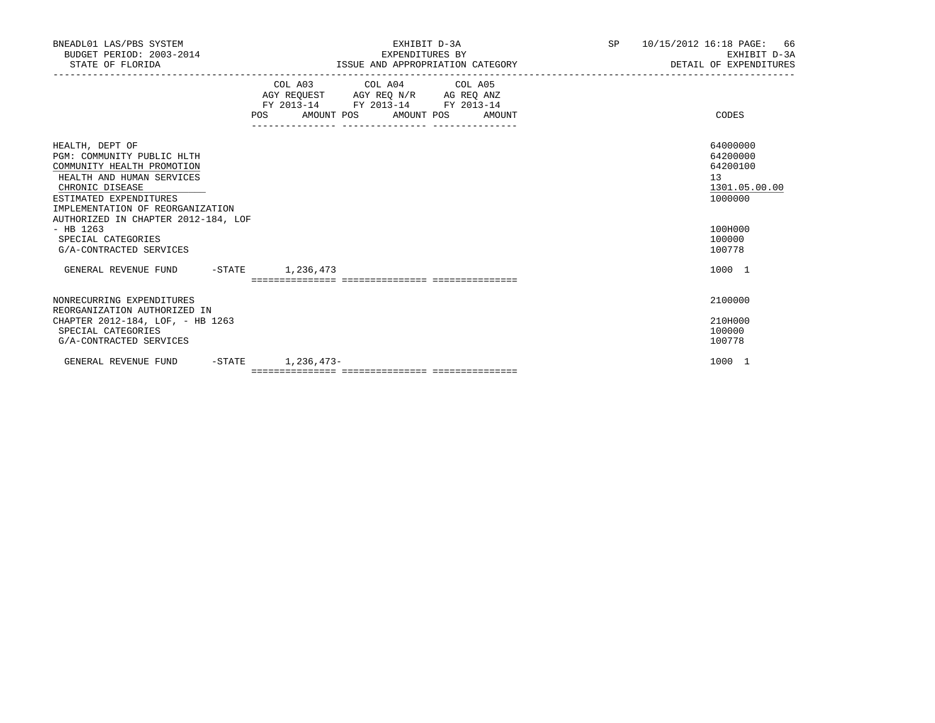| BNEADL01 LAS/PBS SYSTEM<br>BUDGET PERIOD: 2003-2014<br>STATE OF FLORIDA                                                                                                                                                                                                                          | EXHIBIT D-3A<br>EXPENDITURES BY<br>ISSUE AND APPROPRIATION CATEGORY                                                                   | SP 10/15/2012 16:18 PAGE: 66<br>EXHIBIT D-3A<br>DETAIL OF EXPENDITURES                            |
|--------------------------------------------------------------------------------------------------------------------------------------------------------------------------------------------------------------------------------------------------------------------------------------------------|---------------------------------------------------------------------------------------------------------------------------------------|---------------------------------------------------------------------------------------------------|
|                                                                                                                                                                                                                                                                                                  | COL A03 COL A04 COL A05<br>AGY REQUEST AGY REQ N/R AG REQ ANZ<br>FY 2013-14 FY 2013-14 FY 2013-14<br>POS AMOUNT POS AMOUNT POS AMOUNT | CODES                                                                                             |
| HEALTH, DEPT OF<br>PGM: COMMUNITY PUBLIC HLTH<br>COMMUNITY HEALTH PROMOTION<br>HEALTH AND HUMAN SERVICES<br>CHRONIC DISEASE<br>ESTIMATED EXPENDITURES<br>IMPLEMENTATION OF REORGANIZATION<br>AUTHORIZED IN CHAPTER 2012-184, LOF<br>$-$ HB 1263<br>SPECIAL CATEGORIES<br>G/A-CONTRACTED SERVICES |                                                                                                                                       | 64000000<br>64200000<br>64200100<br>13<br>1301.05.00.00<br>1000000<br>100H000<br>100000<br>100778 |
| GENERAL REVENUE FUND -STATE 1,236,473                                                                                                                                                                                                                                                            |                                                                                                                                       | 1000 1                                                                                            |
| NONRECURRING EXPENDITURES<br>REORGANIZATION AUTHORIZED IN<br>CHAPTER 2012-184, LOF, - HB 1263<br>SPECIAL CATEGORIES<br>G/A-CONTRACTED SERVICES                                                                                                                                                   |                                                                                                                                       | 2100000<br>210H000<br>100000<br>100778                                                            |
| GENERAL REVENUE FUND<br>$-$ STATE                                                                                                                                                                                                                                                                | 1,236,473-                                                                                                                            | 1000 1                                                                                            |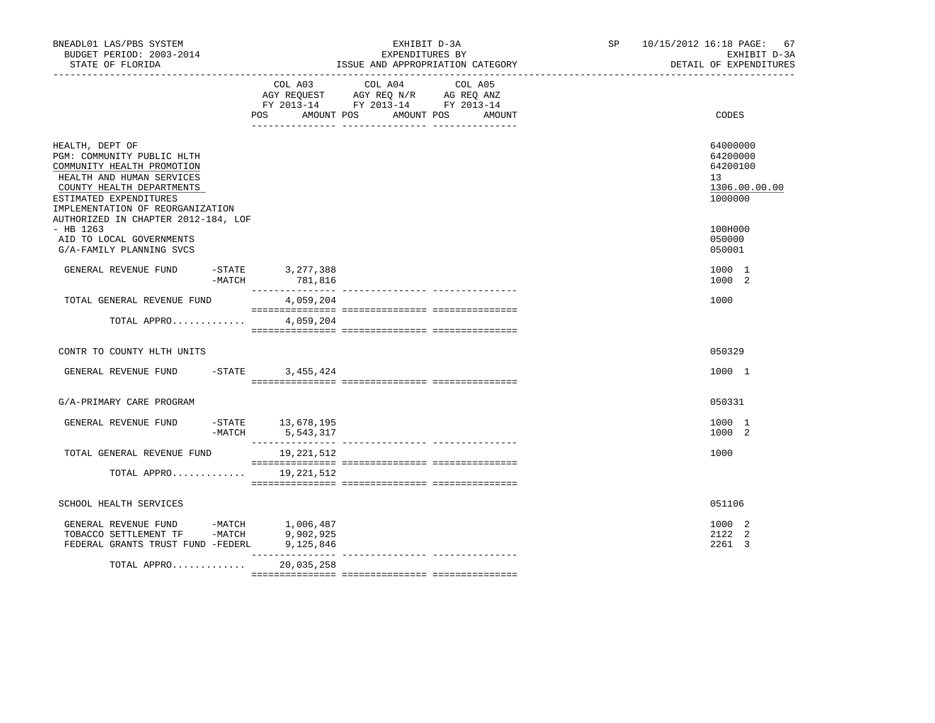|                                                                                                                                                                                                     |                                    |                                                                                                                                                                                                                                                                                                                                                                                                                                     | DETAIL OF EXPENDITURES                                             |
|-----------------------------------------------------------------------------------------------------------------------------------------------------------------------------------------------------|------------------------------------|-------------------------------------------------------------------------------------------------------------------------------------------------------------------------------------------------------------------------------------------------------------------------------------------------------------------------------------------------------------------------------------------------------------------------------------|--------------------------------------------------------------------|
|                                                                                                                                                                                                     | POS AMOUNT POS                     | COL A03 COL A04 COL A05<br>AGY REQUEST AGY REQ N/R AG REQ ANZ<br>FY 2013-14 FY 2013-14 FY 2013-14<br>AMOUNT POS<br>AMOUNT                                                                                                                                                                                                                                                                                                           | CODES                                                              |
| HEALTH, DEPT OF<br>PGM: COMMUNITY PUBLIC HLTH<br>COMMUNITY HEALTH PROMOTION<br>HEALTH AND HUMAN SERVICES<br>COUNTY HEALTH DEPARTMENTS<br>ESTIMATED EXPENDITURES<br>IMPLEMENTATION OF REORGANIZATION |                                    |                                                                                                                                                                                                                                                                                                                                                                                                                                     | 64000000<br>64200000<br>64200100<br>13<br>1306.00.00.00<br>1000000 |
| AUTHORIZED IN CHAPTER 2012-184, LOF<br>$-$ HB 1263<br>AID TO LOCAL GOVERNMENTS<br>G/A-FAMILY PLANNING SVCS                                                                                          |                                    |                                                                                                                                                                                                                                                                                                                                                                                                                                     | 100H000<br>050000<br>050001                                        |
| GENERAL REVENUE FUND<br>$-$ STATE<br>-MATCH                                                                                                                                                         | 3, 277, 388<br>781,816             |                                                                                                                                                                                                                                                                                                                                                                                                                                     | 1000 1<br>1000 2                                                   |
| TOTAL GENERAL REVENUE FUND                                                                                                                                                                          | 4,059,204                          |                                                                                                                                                                                                                                                                                                                                                                                                                                     | 1000                                                               |
| TOTAL APPRO                                                                                                                                                                                         | 4,059,204                          |                                                                                                                                                                                                                                                                                                                                                                                                                                     |                                                                    |
| CONTR TO COUNTY HLTH UNITS                                                                                                                                                                          |                                    |                                                                                                                                                                                                                                                                                                                                                                                                                                     | 050329                                                             |
| GENERAL REVENUE FUND                                                                                                                                                                                | $-STATE$<br>3,455,424              |                                                                                                                                                                                                                                                                                                                                                                                                                                     | 1000 1                                                             |
| G/A-PRIMARY CARE PROGRAM                                                                                                                                                                            |                                    |                                                                                                                                                                                                                                                                                                                                                                                                                                     | 050331                                                             |
| GENERAL REVENUE FUND<br>$-MATCH$                                                                                                                                                                    | $-STATE$ 13, 678, 195<br>5,543,317 |                                                                                                                                                                                                                                                                                                                                                                                                                                     | 1000 1<br>1000 2                                                   |
| TOTAL GENERAL REVENUE FUND                                                                                                                                                                          | 19,221,512                         | $\begin{minipage}{0.03\textwidth} \begin{tabular}{l} \textbf{1} & \textbf{2} & \textbf{3} & \textbf{5} & \textbf{5} & \textbf{6} & \textbf{6} & \textbf{7} & \textbf{8} & \textbf{9} & \textbf{9} & \textbf{9} & \textbf{1} & \textbf{1} & \textbf{1} & \textbf{1} & \textbf{1} & \textbf{1} & \textbf{1} & \textbf{1} & \textbf{1} & \textbf{1} & \textbf{1} & \textbf{1} & \textbf{1} & \textbf{1} & \textbf{1} & \textbf{1} & \$ | 1000                                                               |
| TOTAL APPRO 19, 221, 512                                                                                                                                                                            |                                    |                                                                                                                                                                                                                                                                                                                                                                                                                                     |                                                                    |
| SCHOOL HEALTH SERVICES                                                                                                                                                                              |                                    |                                                                                                                                                                                                                                                                                                                                                                                                                                     | 051106                                                             |
| GENERAL REVENUE FUND -MATCH $1,006,487$<br>TOBACCO SETTLEMENT TF -MATCH 9,902,925<br>FEDERAL GRANTS TRUST FUND -FEDERL                                                                              | 9,125,846                          |                                                                                                                                                                                                                                                                                                                                                                                                                                     | 1000 2<br>2122 2<br>2261 3                                         |
| TOTAL APPRO                                                                                                                                                                                         | ________________<br>20,035,258     | --------------- ---------------                                                                                                                                                                                                                                                                                                                                                                                                     |                                                                    |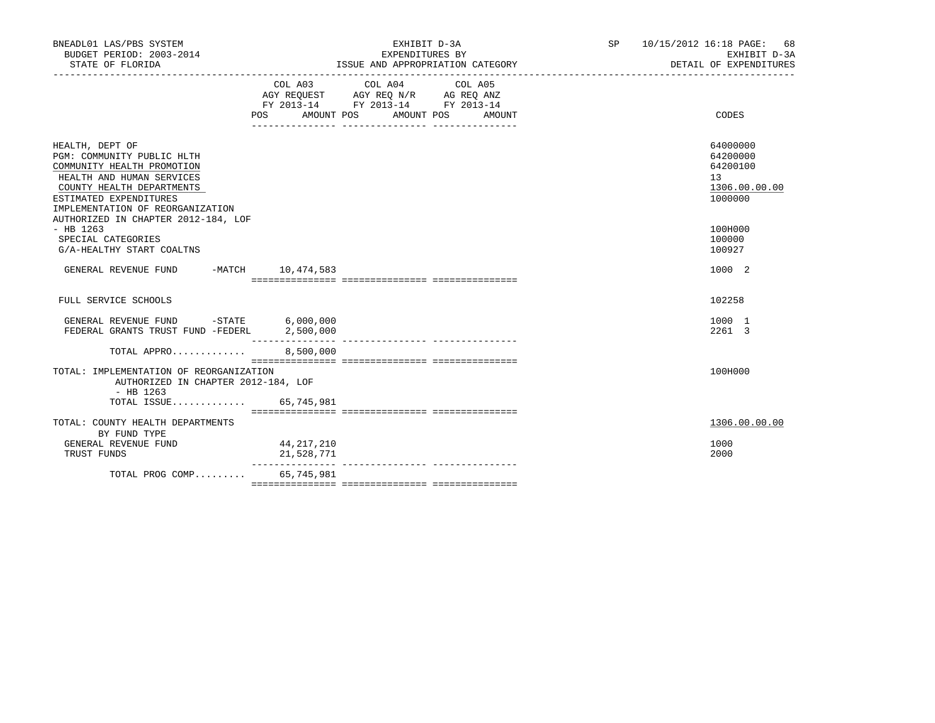| BNEADL01 LAS/PBS SYSTEM<br>BUDGET PERIOD: 2003-2014<br>STATE OF FLORIDA                                                                                                                             | EXHIBIT D-3A<br>EXPENDITURES BY<br>ISSUE AND APPROPRIATION CATEGORY                                                                                   | 68<br>SP<br>10/15/2012 16:18 PAGE:<br>EXHIBIT D-3A<br>DETAIL OF EXPENDITURES    |
|-----------------------------------------------------------------------------------------------------------------------------------------------------------------------------------------------------|-------------------------------------------------------------------------------------------------------------------------------------------------------|---------------------------------------------------------------------------------|
|                                                                                                                                                                                                     | COL A04<br>COL A03<br>COL A05<br>AGY REQUEST AGY REQ N/R AG REQ ANZ<br>FY 2013-14 FY 2013-14 FY 2013-14<br>POS FOR<br>AMOUNT POS AMOUNT POS<br>AMOUNT | CODES                                                                           |
| HEALTH, DEPT OF<br>PGM: COMMUNITY PUBLIC HLTH<br>COMMUNITY HEALTH PROMOTION<br>HEALTH AND HUMAN SERVICES<br>COUNTY HEALTH DEPARTMENTS<br>ESTIMATED EXPENDITURES<br>IMPLEMENTATION OF REORGANIZATION |                                                                                                                                                       | 64000000<br>64200000<br>64200100<br>13 <sup>°</sup><br>1306.00.00.00<br>1000000 |
| AUTHORIZED IN CHAPTER 2012-184, LOF<br>$-$ HB 1263<br>SPECIAL CATEGORIES<br>G/A-HEALTHY START COALTNS                                                                                               |                                                                                                                                                       | 100H000<br>100000<br>100927                                                     |
| GENERAL REVENUE FUND<br>-MATCH 10,474,583                                                                                                                                                           |                                                                                                                                                       | 1000 2                                                                          |
| FULL SERVICE SCHOOLS                                                                                                                                                                                |                                                                                                                                                       | 102258                                                                          |
| GENERAL REVENUE FUND -STATE 6,000,000<br>FEDERAL GRANTS TRUST FUND -FEDERL                                                                                                                          | 2,500,000<br>---------------- ----------------                                                                                                        | 1000 1<br>2261 3                                                                |
| TOTAL APPRO                                                                                                                                                                                         | 8,500,000                                                                                                                                             |                                                                                 |
| TOTAL: IMPLEMENTATION OF REORGANIZATION<br>AUTHORIZED IN CHAPTER 2012-184, LOF<br>$-$ HB 1263                                                                                                       |                                                                                                                                                       | 100H000                                                                         |
| TOTAL ISSUE 65,745,981                                                                                                                                                                              |                                                                                                                                                       |                                                                                 |
| TOTAL: COUNTY HEALTH DEPARTMENTS<br>BY FUND TYPE                                                                                                                                                    |                                                                                                                                                       | 1306.00.00.00                                                                   |
| GENERAL REVENUE FUND<br>TRUST FUNDS                                                                                                                                                                 | 44,217,210<br>21,528,771<br>--------------- ---------------                                                                                           | 1000<br>2000                                                                    |
| TOTAL PROG COMP                                                                                                                                                                                     | 65,745,981                                                                                                                                            |                                                                                 |
|                                                                                                                                                                                                     |                                                                                                                                                       |                                                                                 |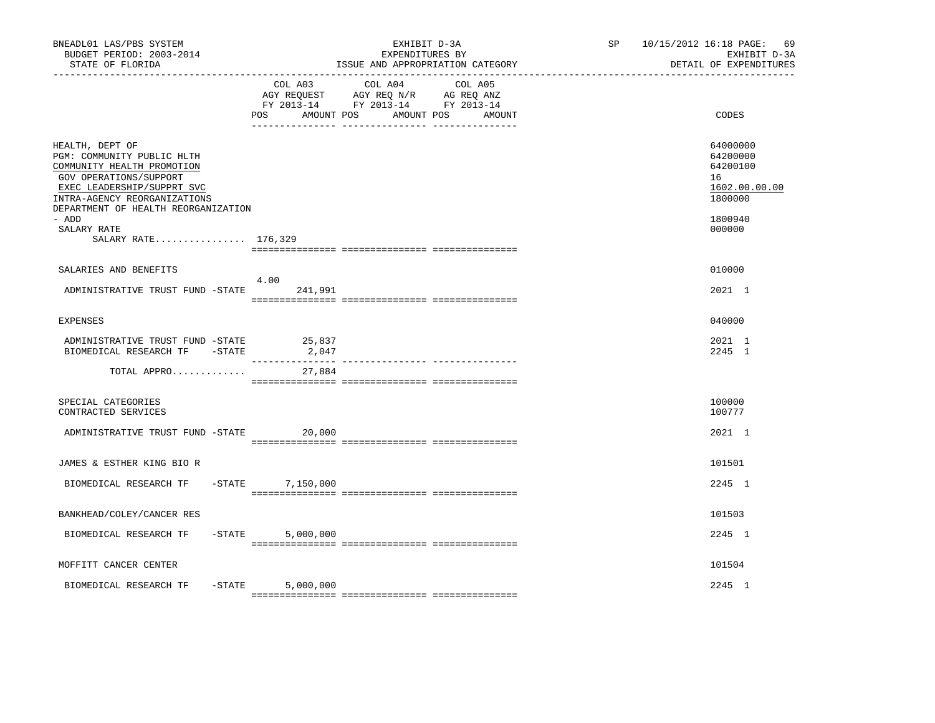| BNEADL01 LAS/PBS SYSTEM<br>BUDGET PERIOD: 2003-2014<br>STATE OF FLORIDA            |                              | EXHIBIT D-3A<br>EXPENDITURES BY<br>ISSUE AND APPROPRIATION CATEGORY                                                  | SP 10/15/2012 16:18 PAGE:<br>69<br>EXHIBIT D-3A<br>DETAIL OF EXPENDITURES |
|------------------------------------------------------------------------------------|------------------------------|----------------------------------------------------------------------------------------------------------------------|---------------------------------------------------------------------------|
|                                                                                    | COL A03<br>POS<br>AMOUNT POS | COL A04<br>COL A05<br>AGY REQUEST AGY REQ N/R AG REQ ANZ<br>FY 2013-14 FY 2013-14 FY 2013-14<br>AMOUNT POS<br>AMOUNT | CODES                                                                     |
| HEALTH, DEPT OF                                                                    |                              |                                                                                                                      | 64000000                                                                  |
| PGM: COMMUNITY PUBLIC HLTH<br>COMMUNITY HEALTH PROMOTION<br>GOV OPERATIONS/SUPPORT |                              |                                                                                                                      | 64200000<br>64200100<br>16                                                |
| EXEC LEADERSHIP/SUPPRT SVC<br>INTRA-AGENCY REORGANIZATIONS                         |                              |                                                                                                                      | 1602.00.00.00<br>1800000                                                  |
| DEPARTMENT OF HEALTH REORGANIZATION<br>- ADD<br>SALARY RATE                        |                              |                                                                                                                      | 1800940<br>000000                                                         |
| SALARY RATE 176,329                                                                |                              |                                                                                                                      |                                                                           |
| SALARIES AND BENEFITS                                                              | 4.00                         |                                                                                                                      | 010000                                                                    |
| ADMINISTRATIVE TRUST FUND -STATE                                                   | 241,991                      |                                                                                                                      | 2021 1                                                                    |
| <b>EXPENSES</b>                                                                    |                              |                                                                                                                      | 040000                                                                    |
| ADMINISTRATIVE TRUST FUND -STATE 25,837<br>BIOMEDICAL RESEARCH TF<br>$-$ STATE     | 2,047                        |                                                                                                                      | 2021 1<br>2245 1                                                          |
| TOTAL APPRO                                                                        | 27,884                       |                                                                                                                      |                                                                           |
| SPECIAL CATEGORIES<br>CONTRACTED SERVICES                                          |                              |                                                                                                                      | 100000<br>100777                                                          |
| ADMINISTRATIVE TRUST FUND -STATE                                                   | 20,000                       |                                                                                                                      | 2021 1                                                                    |
| JAMES & ESTHER KING BIO R                                                          |                              |                                                                                                                      | 101501                                                                    |
| $-$ STATE<br>BIOMEDICAL RESEARCH TF                                                | 7,150,000                    |                                                                                                                      | 2245 1                                                                    |
| BANKHEAD/COLEY/CANCER RES                                                          |                              |                                                                                                                      | 101503                                                                    |
| $-$ STATE<br>BIOMEDICAL RESEARCH TF                                                | 5,000,000                    |                                                                                                                      | 2245 1                                                                    |
| MOFFITT CANCER CENTER                                                              |                              |                                                                                                                      | 101504                                                                    |
| $-STATE$<br>BIOMEDICAL RESEARCH TF                                                 | 5,000,000                    |                                                                                                                      | 2245 1                                                                    |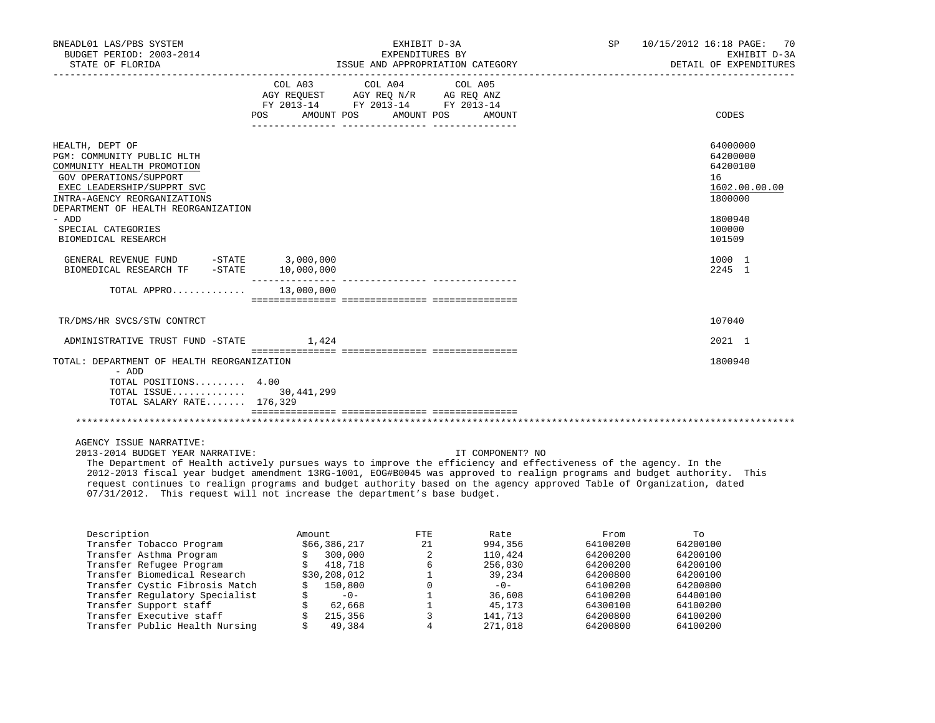| BNEADL01 LAS/PBS SYSTEM<br>BUDGET PERIOD: 2003-2014<br>STATE OF FLORIDA                                                                                                                                                                                          |                           | SP<br>EXHIBIT D-3A<br>EXPENDITURES BY<br>ISSUE AND APPROPRIATION CATEGORY                         |        |  | 10/15/2012 16:18 PAGE: 70<br>EXHIBIT D-3A<br>DETAIL OF EXPENDITURES                               |
|------------------------------------------------------------------------------------------------------------------------------------------------------------------------------------------------------------------------------------------------------------------|---------------------------|---------------------------------------------------------------------------------------------------|--------|--|---------------------------------------------------------------------------------------------------|
|                                                                                                                                                                                                                                                                  | POS AMOUNT POS AMOUNT POS | COL A03 COL A04 COL A05<br>AGY REQUEST AGY REQ N/R AG REQ ANZ<br>FY 2013-14 FY 2013-14 FY 2013-14 | AMOUNT |  | CODES                                                                                             |
| HEALTH, DEPT OF<br>PGM: COMMUNITY PUBLIC HLTH<br>COMMUNITY HEALTH PROMOTION<br>GOV OPERATIONS/SUPPORT<br>EXEC LEADERSHIP/SUPPRT SVC<br>INTRA-AGENCY REORGANIZATIONS<br>DEPARTMENT OF HEALTH REORGANIZATION<br>- ADD<br>SPECIAL CATEGORIES<br>BIOMEDICAL RESEARCH |                           |                                                                                                   |        |  | 64000000<br>64200000<br>64200100<br>16<br>1602.00.00.00<br>1800000<br>1800940<br>100000<br>101509 |
| GENERAL REVENUE FUND -STATE 3,000,000<br>BIOMEDICAL RESEARCH TF -STATE                                                                                                                                                                                           | 10,000,000                |                                                                                                   |        |  | 1000 1<br>2245 1                                                                                  |
| TOTAL APPRO 13,000,000                                                                                                                                                                                                                                           |                           |                                                                                                   |        |  |                                                                                                   |
| TR/DMS/HR SVCS/STW CONTRCT                                                                                                                                                                                                                                       |                           |                                                                                                   |        |  | 107040                                                                                            |
| ADMINISTRATIVE TRUST FUND -STATE                                                                                                                                                                                                                                 | 1,424                     |                                                                                                   |        |  | 2021 1                                                                                            |
| TOTAL: DEPARTMENT OF HEALTH REORGANIZATION<br>- ADD<br>TOTAL POSITIONS 4.00<br>TOTAL ISSUE 30,441,299<br>TOTAL SALARY RATE 176,329                                                                                                                               |                           |                                                                                                   |        |  | 1800940                                                                                           |
|                                                                                                                                                                                                                                                                  |                           |                                                                                                   |        |  |                                                                                                   |
| AGENCY ISSUE NARRATIVE:                                                                                                                                                                                                                                          |                           |                                                                                                   |        |  |                                                                                                   |

 2013-2014 BUDGET YEAR NARRATIVE: IT COMPONENT? NO The Department of Health actively pursues ways to improve the efficiency and effectiveness of the agency. In the 2012-2013 fiscal year budget amendment 13RG-1001, EOG#B0045 was approved to realign programs and budget authority. This request continues to realign programs and budget authority based on the agency approved Table of Organization, dated 07/31/2012. This request will not increase the department's base budget.

| Description                    |       | FTE                                                                                                    | Rate    | From     | To       |
|--------------------------------|-------|--------------------------------------------------------------------------------------------------------|---------|----------|----------|
| Transfer Tobacco Program       |       | 21                                                                                                     | 994,356 | 64100200 | 64200100 |
| Transfer Asthma Program        |       |                                                                                                        | 110,424 | 64200200 | 64200100 |
| Transfer Refugee Program       |       |                                                                                                        | 256,030 | 64200200 | 64200100 |
| Transfer Biomedical Research   |       |                                                                                                        | 39,234  | 64200800 | 64200100 |
| Transfer Cystic Fibrosis Match |       |                                                                                                        | $-0-$   | 64100200 | 64200800 |
| Transfer Regulatory Specialist | $-0-$ |                                                                                                        | 36,608  | 64100200 | 64400100 |
| Transfer Support staff         |       |                                                                                                        | 45,173  | 64300100 | 64100200 |
| Transfer Executive staff       |       |                                                                                                        | 141,713 | 64200800 | 64100200 |
| Transfer Public Health Nursing |       |                                                                                                        | 271,018 | 64200800 | 64100200 |
|                                |       | Amount<br>\$66,386,217<br>300,000<br>418,718<br>\$30,208,012<br>150,800<br>62,668<br>215,356<br>49,384 |         |          |          |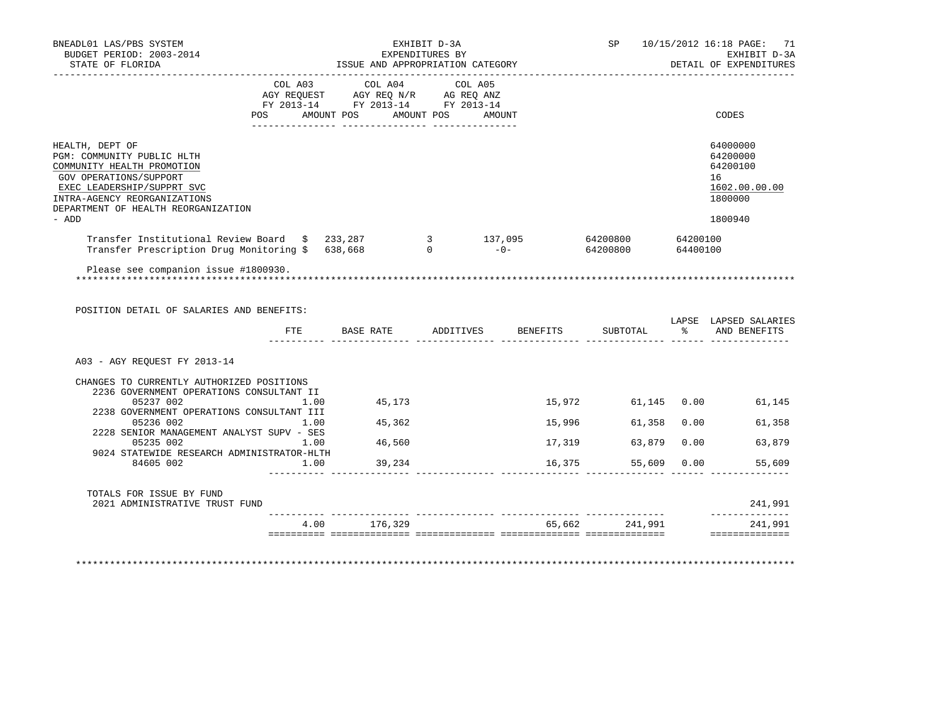| BNEADL01 LAS/PBS SYSTEM<br>BUDGET PERIOD: 2003-2014<br>STATE OF FLORIDA                                                                                                                                             | EXHIBIT D-3A<br>EXPENDITURES BY<br>ISSUE AND APPROPRIATION CATEGORY |  |         |                                                                                                   |  |        |                  |      | SP 10/15/2012 16:18 PAGE: 71<br>EXHIBIT D-3A<br>DETAIL OF EXPENDITURES        |
|---------------------------------------------------------------------------------------------------------------------------------------------------------------------------------------------------------------------|---------------------------------------------------------------------|--|---------|---------------------------------------------------------------------------------------------------|--|--------|------------------|------|-------------------------------------------------------------------------------|
|                                                                                                                                                                                                                     |                                                                     |  |         | COL A03 COL A04 COL A05<br>AGY REQUEST AGY REQ N/R AG REQ ANZ<br>FY 2013-14 FY 2013-14 FY 2013-14 |  |        |                  |      |                                                                               |
|                                                                                                                                                                                                                     |                                                                     |  |         | POS AMOUNT POS AMOUNT POS AMOUNT                                                                  |  |        |                  |      | CODES                                                                         |
| HEALTH, DEPT OF<br>PGM: COMMUNITY PUBLIC HLTH<br>COMMUNITY HEALTH PROMOTION<br>GOV OPERATIONS/SUPPORT<br>EXEC LEADERSHIP/SUPPRT SVC<br>INTRA-AGENCY REORGANIZATIONS<br>DEPARTMENT OF HEALTH REORGANIZATION<br>- ADD |                                                                     |  |         |                                                                                                   |  |        |                  |      | 64000000<br>64200000<br>64200100<br>16<br>1602.00.00.00<br>1800000<br>1800940 |
| Transfer Institutional Review Board \$ 233,287 3 137,095 64200800 64200100<br>Transfer Prescription Drug Monitoring \$ 638,668 0 0 -0- 64200800 64400100                                                            |                                                                     |  |         |                                                                                                   |  |        |                  |      |                                                                               |
|                                                                                                                                                                                                                     |                                                                     |  |         |                                                                                                   |  |        |                  |      |                                                                               |
| POSITION DETAIL OF SALARIES AND BENEFITS:                                                                                                                                                                           |                                                                     |  |         | FTE BASE RATE ADDITIVES BENEFITS                                                                  |  |        |                  |      | LAPSE LAPSED SALARIES<br>SUBTOTAL % AND BENEFITS                              |
| A03 - AGY REOUEST FY 2013-14                                                                                                                                                                                        |                                                                     |  |         |                                                                                                   |  |        |                  |      |                                                                               |
| CHANGES TO CURRENTLY AUTHORIZED POSITIONS<br>2236 GOVERNMENT OPERATIONS CONSULTANT II                                                                                                                               |                                                                     |  |         |                                                                                                   |  |        |                  |      |                                                                               |
| 05237 002<br>1.00<br>2238 GOVERNMENT OPERATIONS CONSULTANT III                                                                                                                                                      |                                                                     |  | 45,173  |                                                                                                   |  |        |                  |      | 15,972 61,145 0.00 61,145                                                     |
| 05236 002<br>1.00<br>2228 SENIOR MANAGEMENT ANALYST SUPV - SES                                                                                                                                                      |                                                                     |  | 45,362  |                                                                                                   |  |        | 15,996<br>61,358 |      | $0.00$ 61,358                                                                 |
| 05235 002<br>1.00<br>9024 STATEWIDE RESEARCH ADMINISTRATOR-HLTH                                                                                                                                                     |                                                                     |  | 46,560  |                                                                                                   |  |        | 17,319<br>63,879 | 0.00 | 63,879                                                                        |
| 84605 002<br>1.00                                                                                                                                                                                                   |                                                                     |  | 39,234  |                                                                                                   |  | 16,375 | 55,609           | 0.00 | 55,609                                                                        |
| TOTALS FOR ISSUE BY FUND<br>2021 ADMINISTRATIVE TRUST FUND                                                                                                                                                          |                                                                     |  |         |                                                                                                   |  |        |                  |      | 241,991                                                                       |
|                                                                                                                                                                                                                     | 4.00                                                                |  | 176,329 |                                                                                                   |  |        | 65,662 241,991   |      | _____________<br>241,991                                                      |
|                                                                                                                                                                                                                     |                                                                     |  |         |                                                                                                   |  |        |                  |      | ==============                                                                |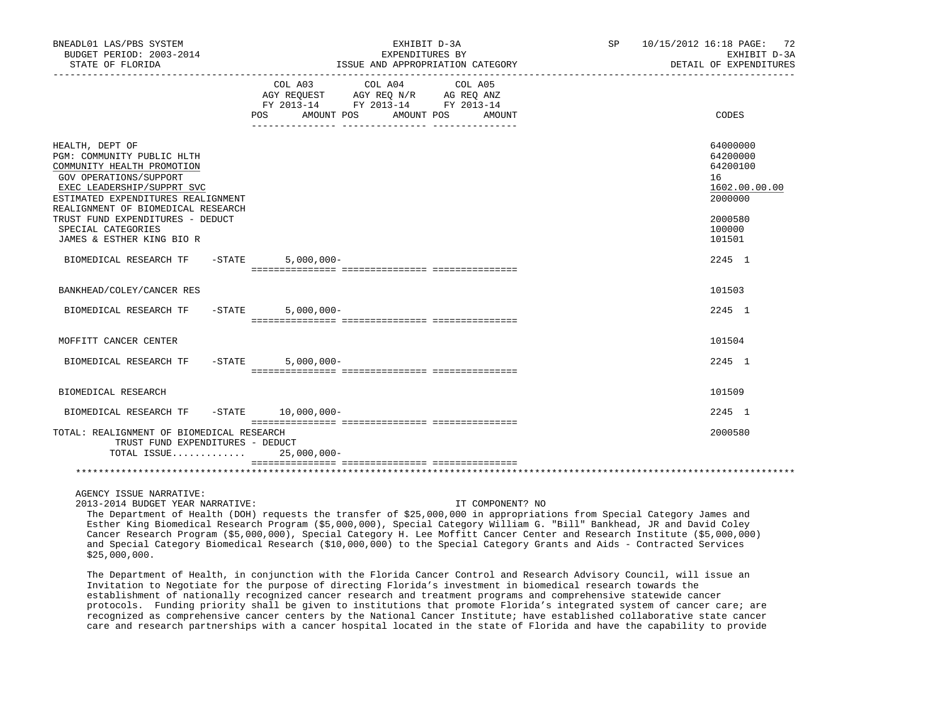| BNEADL01 LAS/PBS SYSTEM<br>BUDGET PERIOD: 2003-2014<br>STATE OF FLORIDA                                                                                                                                                                                                                                | EXHIBIT D-3A<br>EXPENDITURES BY<br>ISSUE AND APPROPRIATION CATEGORY                                                                                  | SP 10/15/2012 16:18 PAGE: 72<br>EXHIBIT D-3A<br>DETAIL OF EXPENDITURES                            |
|--------------------------------------------------------------------------------------------------------------------------------------------------------------------------------------------------------------------------------------------------------------------------------------------------------|------------------------------------------------------------------------------------------------------------------------------------------------------|---------------------------------------------------------------------------------------------------|
|                                                                                                                                                                                                                                                                                                        | COL A03<br>COL A04<br>COL A05<br>AGY REQUEST AGY REQ N/R AG REQ ANZ<br>FY 2013-14 FY 2013-14 FY 2013-14<br>AMOUNT POS<br>AMOUNT POS<br>POS<br>AMOUNT | CODES                                                                                             |
| HEALTH, DEPT OF<br>PGM: COMMUNITY PUBLIC HLTH<br>COMMUNITY HEALTH PROMOTION<br>GOV OPERATIONS/SUPPORT<br>EXEC LEADERSHIP/SUPPRT SVC<br>ESTIMATED EXPENDITURES REALIGNMENT<br>REALIGNMENT OF BIOMEDICAL RESEARCH<br>TRUST FUND EXPENDITURES - DEDUCT<br>SPECIAL CATEGORIES<br>JAMES & ESTHER KING BIO R |                                                                                                                                                      | 64000000<br>64200000<br>64200100<br>16<br>1602.00.00.00<br>2000000<br>2000580<br>100000<br>101501 |
| BIOMEDICAL RESEARCH TF<br>$-$ STATE                                                                                                                                                                                                                                                                    | $5,000,000 -$                                                                                                                                        | $2245 \quad 1$                                                                                    |
| BANKHEAD/COLEY/CANCER RES                                                                                                                                                                                                                                                                              |                                                                                                                                                      | 101503                                                                                            |
| BIOMEDICAL RESEARCH TF -STATE                                                                                                                                                                                                                                                                          | $5,000,000 -$                                                                                                                                        | 2245 1                                                                                            |
| MOFFITT CANCER CENTER                                                                                                                                                                                                                                                                                  |                                                                                                                                                      | 101504                                                                                            |
| $-STATE$<br>BIOMEDICAL RESEARCH TF                                                                                                                                                                                                                                                                     | $5,000,000 -$                                                                                                                                        | 2245 1                                                                                            |
| BIOMEDICAL RESEARCH                                                                                                                                                                                                                                                                                    |                                                                                                                                                      | 101509                                                                                            |
| BIOMEDICAL RESEARCH TF                                                                                                                                                                                                                                                                                 | $-STATE$ 10,000,000-                                                                                                                                 | 2245 1                                                                                            |
| TOTAL: REALIGNMENT OF BIOMEDICAL RESEARCH<br>TRUST FUND EXPENDITURES - DEDUCT<br>TOTAL ISSUE 25,000,000-                                                                                                                                                                                               |                                                                                                                                                      | 2000580                                                                                           |
|                                                                                                                                                                                                                                                                                                        |                                                                                                                                                      |                                                                                                   |
| AGENCY ISSUE NARRATIVE:                                                                                                                                                                                                                                                                                |                                                                                                                                                      |                                                                                                   |

2013-2014 BUDGET YEAR NARRATIVE: IT COMPONENT? NO

 The Department of Health (DOH) requests the transfer of \$25,000,000 in appropriations from Special Category James and Esther King Biomedical Research Program (\$5,000,000), Special Category William G. "Bill" Bankhead, JR and David Coley Cancer Research Program (\$5,000,000), Special Category H. Lee Moffitt Cancer Center and Research Institute (\$5,000,000) and Special Category Biomedical Research (\$10,000,000) to the Special Category Grants and Aids - Contracted Services \$25,000,000.

 The Department of Health, in conjunction with the Florida Cancer Control and Research Advisory Council, will issue an Invitation to Negotiate for the purpose of directing Florida's investment in biomedical research towards the establishment of nationally recognized cancer research and treatment programs and comprehensive statewide cancer protocols. Funding priority shall be given to institutions that promote Florida's integrated system of cancer care; are recognized as comprehensive cancer centers by the National Cancer Institute; have established collaborative state cancer care and research partnerships with a cancer hospital located in the state of Florida and have the capability to provide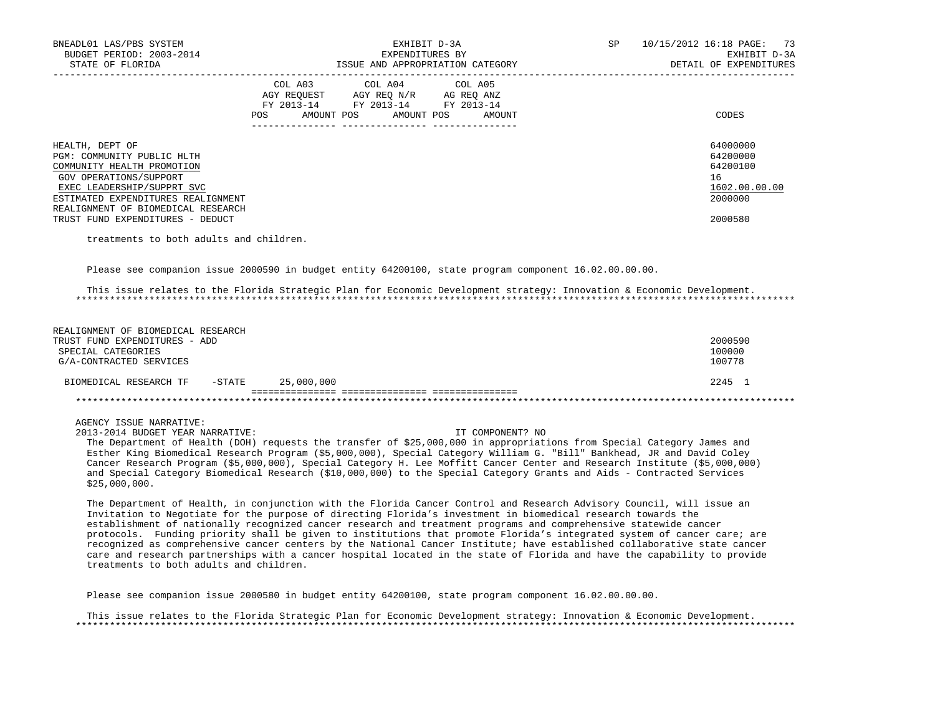| BNEADL01 LAS/PBS SYSTEM<br>BUDGET PERIOD: 2003-2014<br>STATE OF FLORIDA                                                                                                                                                                             | EXHIBIT D-3A<br>EXPENDITURES BY<br>ISSUE AND APPROPRIATION CATEGORY                                                                         | 10/15/2012 16:18 PAGE: 73<br>SP<br>EXHIBIT D-3A<br>DETAIL OF EXPENDITURES     |
|-----------------------------------------------------------------------------------------------------------------------------------------------------------------------------------------------------------------------------------------------------|---------------------------------------------------------------------------------------------------------------------------------------------|-------------------------------------------------------------------------------|
|                                                                                                                                                                                                                                                     | COL A03 COL A04 COL A05<br>AGY REQUEST AGY REO N/R AG REO ANZ<br>FY 2013-14 FY 2013-14 FY 2013-14<br>AMOUNT POS AMOUNT POS<br>POS<br>AMOUNT | CODES                                                                         |
| HEALTH, DEPT OF<br>PGM: COMMUNITY PUBLIC HLTH<br>COMMUNITY HEALTH PROMOTION<br>GOV OPERATIONS/SUPPORT<br>EXEC LEADERSHIP/SUPPRT SVC<br>ESTIMATED EXPENDITURES REALIGNMENT<br>REALIGNMENT OF BIOMEDICAL RESEARCH<br>TRUST FUND EXPENDITURES - DEDUCT |                                                                                                                                             | 64000000<br>64200000<br>64200100<br>16<br>1602.00.00.00<br>2000000<br>2000580 |

treatments to both adults and children.

Please see companion issue 2000590 in budget entity 64200100, state program component 16.02.00.00.00.

 This issue relates to the Florida Strategic Plan for Economic Development strategy: Innovation & Economic Development. \*\*\*\*\*\*\*\*\*\*\*\*\*\*\*\*\*\*\*\*\*\*\*\*\*\*\*\*\*\*\*\*\*\*\*\*\*\*\*\*\*\*\*\*\*\*\*\*\*\*\*\*\*\*\*\*\*\*\*\*\*\*\*\*\*\*\*\*\*\*\*\*\*\*\*\*\*\*\*\*\*\*\*\*\*\*\*\*\*\*\*\*\*\*\*\*\*\*\*\*\*\*\*\*\*\*\*\*\*\*\*\*\*\*\*\*\*\*\*\*\*\*\*\*\*\*\*

| REALIGNMENT OF BIOMEDICAL RESEARCH             |         |
|------------------------------------------------|---------|
| TRUST FUND EXPENDITURES - ADD                  | 2000590 |
| SPECIAL CATEGORIES                             | 100000  |
| G/A-CONTRACTED SERVICES                        | 100778  |
| 25,000,000<br>-STATE<br>BIOMEDICAL RESEARCH TF | 2245 1  |
|                                                |         |
|                                                |         |

## AGENCY ISSUE NARRATIVE:

2013-2014 BUDGET YEAR NARRATIVE: IT COMPONENT? NO

 The Department of Health (DOH) requests the transfer of \$25,000,000 in appropriations from Special Category James and Esther King Biomedical Research Program (\$5,000,000), Special Category William G. "Bill" Bankhead, JR and David Coley Cancer Research Program (\$5,000,000), Special Category H. Lee Moffitt Cancer Center and Research Institute (\$5,000,000) and Special Category Biomedical Research (\$10,000,000) to the Special Category Grants and Aids - Contracted Services \$25,000,000.

 The Department of Health, in conjunction with the Florida Cancer Control and Research Advisory Council, will issue an Invitation to Negotiate for the purpose of directing Florida's investment in biomedical research towards the establishment of nationally recognized cancer research and treatment programs and comprehensive statewide cancer protocols. Funding priority shall be given to institutions that promote Florida's integrated system of cancer care; are recognized as comprehensive cancer centers by the National Cancer Institute; have established collaborative state cancer care and research partnerships with a cancer hospital located in the state of Florida and have the capability to provide treatments to both adults and children.

Please see companion issue 2000580 in budget entity 64200100, state program component 16.02.00.00.00.

 This issue relates to the Florida Strategic Plan for Economic Development strategy: Innovation & Economic Development. \*\*\*\*\*\*\*\*\*\*\*\*\*\*\*\*\*\*\*\*\*\*\*\*\*\*\*\*\*\*\*\*\*\*\*\*\*\*\*\*\*\*\*\*\*\*\*\*\*\*\*\*\*\*\*\*\*\*\*\*\*\*\*\*\*\*\*\*\*\*\*\*\*\*\*\*\*\*\*\*\*\*\*\*\*\*\*\*\*\*\*\*\*\*\*\*\*\*\*\*\*\*\*\*\*\*\*\*\*\*\*\*\*\*\*\*\*\*\*\*\*\*\*\*\*\*\*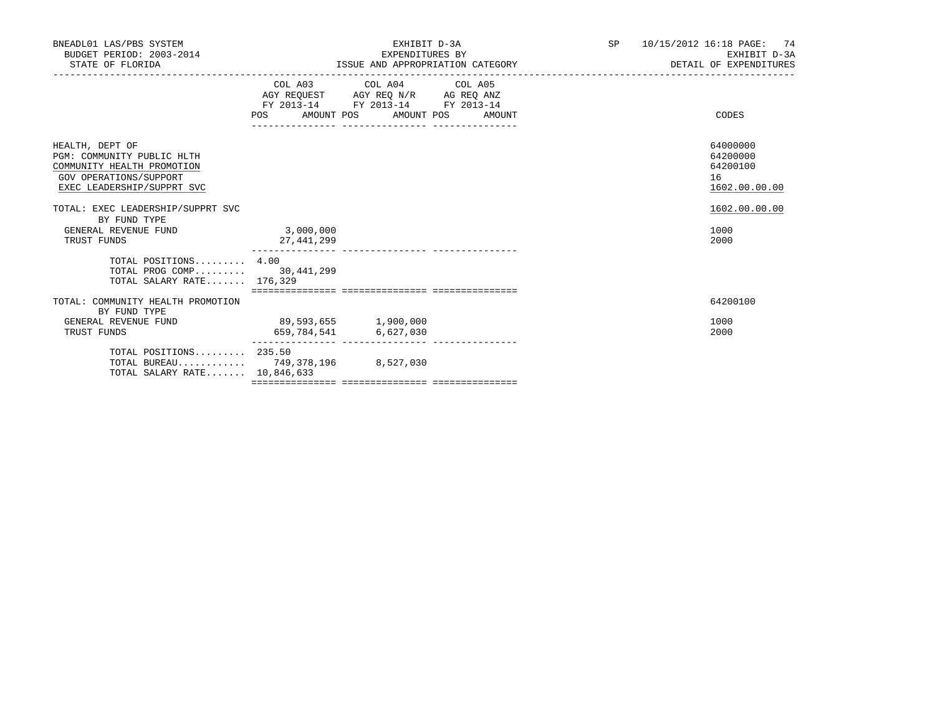| BNEADL01 LAS/PBS SYSTEM<br>BUDGET PERIOD: 2003-2014<br>STATE OF FLORIDA                                                             |                                               | EXHIBIT D-3A<br>EXPENDITURES BY<br>ISSUE AND APPROPRIATION CATEGORY                                                                  | SP | 10/15/2012 16:18 PAGE: 74<br>EXHIBIT D-3A<br>DETAIL OF EXPENDITURES |
|-------------------------------------------------------------------------------------------------------------------------------------|-----------------------------------------------|--------------------------------------------------------------------------------------------------------------------------------------|----|---------------------------------------------------------------------|
|                                                                                                                                     | POS DO                                        | COL A03 COL A04 COL A05<br>AGY REQUEST AGY REQ N/R AG REQ ANZ<br>FY 2013-14 FY 2013-14 FY 2013-14<br>AMOUNT POS AMOUNT POS<br>AMOUNT |    | CODES                                                               |
| HEALTH, DEPT OF<br>PGM: COMMUNITY PUBLIC HLTH<br>COMMUNITY HEALTH PROMOTION<br>GOV OPERATIONS/SUPPORT<br>EXEC LEADERSHIP/SUPPRT SVC |                                               |                                                                                                                                      |    | 64000000<br>64200000<br>64200100<br>16<br>1602.00.00.00             |
| TOTAL: EXEC LEADERSHIP/SUPPRT SVC<br>BY FUND TYPE<br>GENERAL REVENUE FUND<br>TRUST FUNDS                                            | 3,000,000<br>27,441,299                       |                                                                                                                                      |    | 1602.00.00.00<br>1000<br>2000                                       |
| TOTAL POSITIONS 4.00<br>TOTAL PROG COMP 30,441,299<br>TOTAL SALARY RATE 176,329                                                     |                                               |                                                                                                                                      |    |                                                                     |
| TOTAL: COMMUNITY HEALTH PROMOTION<br>BY FUND TYPE<br>GENERAL REVENUE FUND<br>TRUST FUNDS                                            | 89,593,655 1,900,000<br>659,784,541 6,627,030 |                                                                                                                                      |    | 64200100<br>1000<br>2000                                            |
| TOTAL POSITIONS 235.50<br>TOTAL BUREAU 749,378,196 8,527,030<br>TOTAL SALARY RATE 10,846,633                                        |                                               |                                                                                                                                      |    |                                                                     |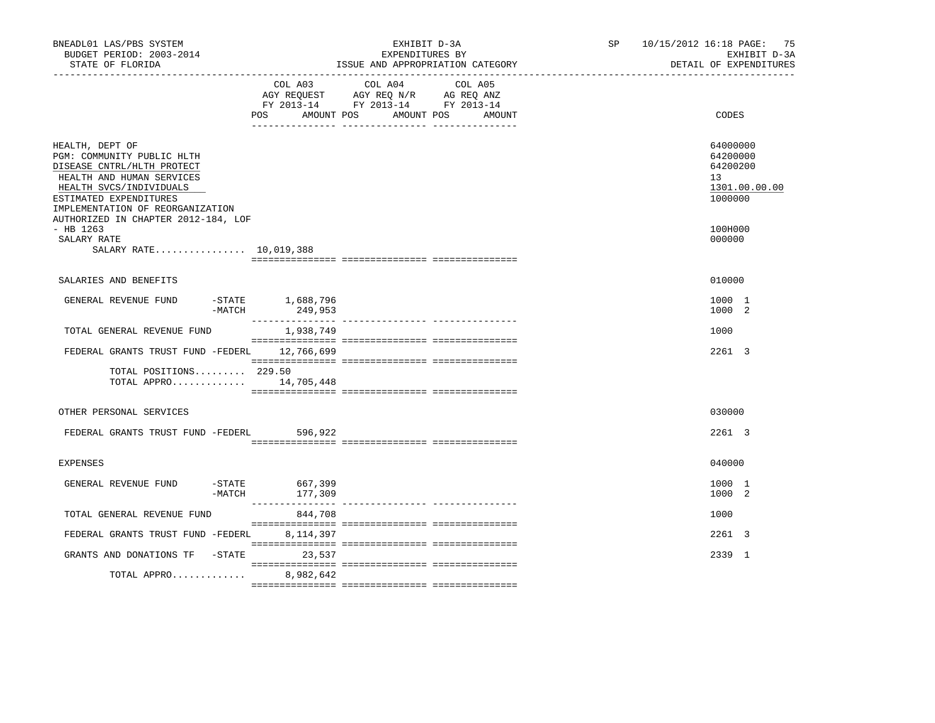| BNEADL01 LAS/PBS SYSTEM<br>BUDGET PERIOD: 2003-2014<br>STATE OF FLORIDA                                                                                                                           |                              | EXHIBIT D-3A<br>EXPENDITURES BY<br>ISSUE AND APPROPRIATION CATEGORY                                                  | SP and the set of the set of the set of the set of the set of the set of the set of the set of the set of the set of the set of the set of the set of the set of the set of the set of the set of the set of the set of the se | 10/15/2012 16:18 PAGE: 75<br>EXHIBIT D-3A<br>DETAIL OF EXPENDITURES             |
|---------------------------------------------------------------------------------------------------------------------------------------------------------------------------------------------------|------------------------------|----------------------------------------------------------------------------------------------------------------------|--------------------------------------------------------------------------------------------------------------------------------------------------------------------------------------------------------------------------------|---------------------------------------------------------------------------------|
|                                                                                                                                                                                                   | COL A03<br>POS<br>AMOUNT POS | COL A04<br>COL A05<br>AGY REQUEST AGY REQ N/R AG REQ ANZ<br>FY 2013-14 FY 2013-14 FY 2013-14<br>AMOUNT POS<br>AMOUNT |                                                                                                                                                                                                                                | CODES                                                                           |
| HEALTH, DEPT OF<br>PGM: COMMUNITY PUBLIC HLTH<br>DISEASE CNTRL/HLTH PROTECT<br>HEALTH AND HUMAN SERVICES<br>HEALTH SVCS/INDIVIDUALS<br>ESTIMATED EXPENDITURES<br>IMPLEMENTATION OF REORGANIZATION |                              |                                                                                                                      |                                                                                                                                                                                                                                | 64000000<br>64200000<br>64200200<br>13 <sup>°</sup><br>1301.00.00.00<br>1000000 |
| AUTHORIZED IN CHAPTER 2012-184, LOF<br>$-$ HB 1263<br>SALARY RATE<br>SALARY RATE 10,019,388                                                                                                       |                              |                                                                                                                      |                                                                                                                                                                                                                                | 100H000<br>000000                                                               |
| SALARIES AND BENEFITS                                                                                                                                                                             |                              |                                                                                                                      |                                                                                                                                                                                                                                | 010000                                                                          |
| GENERAL REVENUE FUND<br>$-MATCH$                                                                                                                                                                  | -STATE 1,688,796<br>249,953  |                                                                                                                      |                                                                                                                                                                                                                                | 1000 1<br>1000 2                                                                |
| TOTAL GENERAL REVENUE FUND                                                                                                                                                                        | 1,938,749                    |                                                                                                                      |                                                                                                                                                                                                                                | 1000                                                                            |
| FEDERAL GRANTS TRUST FUND -FEDERL 12,766,699                                                                                                                                                      |                              |                                                                                                                      |                                                                                                                                                                                                                                | 2261 3                                                                          |
| TOTAL POSITIONS 229.50<br>TOTAL APPRO 14,705,448                                                                                                                                                  |                              |                                                                                                                      |                                                                                                                                                                                                                                |                                                                                 |
| OTHER PERSONAL SERVICES                                                                                                                                                                           |                              |                                                                                                                      |                                                                                                                                                                                                                                | 030000                                                                          |
| FEDERAL GRANTS TRUST FUND -FEDERL                                                                                                                                                                 | 596,922                      |                                                                                                                      |                                                                                                                                                                                                                                | 2261 3                                                                          |
| <b>EXPENSES</b>                                                                                                                                                                                   |                              |                                                                                                                      |                                                                                                                                                                                                                                | 040000                                                                          |
| GENERAL REVENUE FUND<br>$-$ STATE<br>-MATCH                                                                                                                                                       | 667,399<br>177,309           |                                                                                                                      |                                                                                                                                                                                                                                | 1000 1<br>1000 2                                                                |
| TOTAL GENERAL REVENUE FUND                                                                                                                                                                        | 844,708                      |                                                                                                                      |                                                                                                                                                                                                                                | 1000                                                                            |
| FEDERAL GRANTS TRUST FUND -FEDERL                                                                                                                                                                 | 8,114,397                    |                                                                                                                      |                                                                                                                                                                                                                                | 2261 3                                                                          |
| GRANTS AND DONATIONS TF -STATE                                                                                                                                                                    | 23,537                       |                                                                                                                      |                                                                                                                                                                                                                                | 2339 1                                                                          |
| TOTAL APPRO                                                                                                                                                                                       | 8,982,642                    |                                                                                                                      |                                                                                                                                                                                                                                |                                                                                 |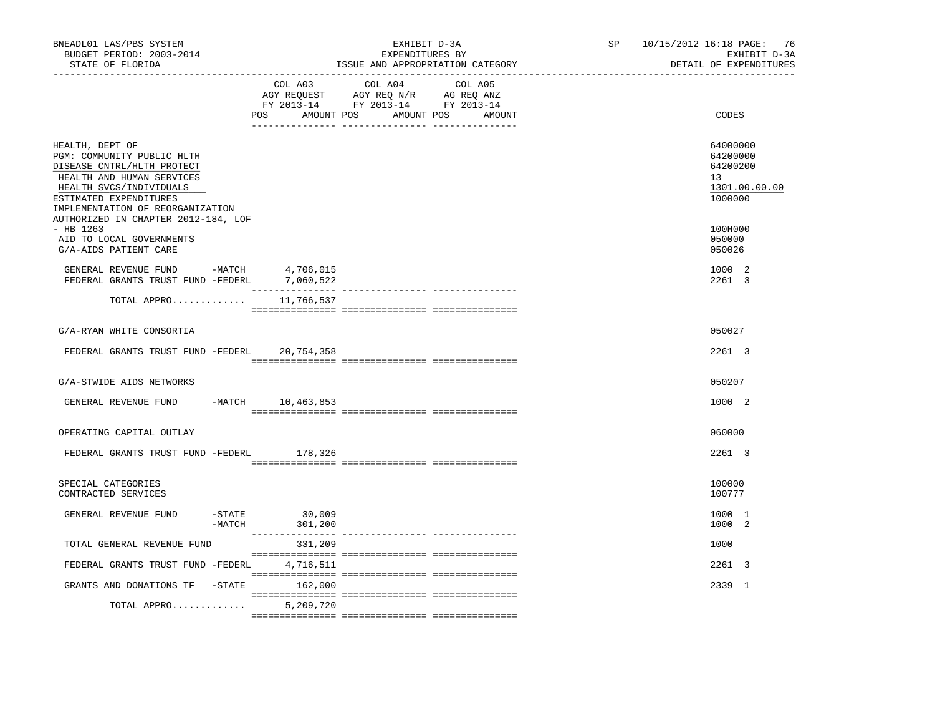| BNEADL01 LAS/PBS SYSTEM<br>BUDGET PERIOD: 2003-2014<br>STATE OF FLORIDA                                                                                                                           |                                       | EXHIBIT D-3A<br>EXPENDITURES BY<br>ISSUE AND APPROPRIATION CATEGORY                                                              | SP 10/15/2012 16:18 PAGE: 76<br>EXHIBIT D-3A<br>DETAIL OF EXPENDITURES |
|---------------------------------------------------------------------------------------------------------------------------------------------------------------------------------------------------|---------------------------------------|----------------------------------------------------------------------------------------------------------------------------------|------------------------------------------------------------------------|
|                                                                                                                                                                                                   | COL A03                               | COL A04<br>COL A05<br>AGY REQUEST AGY REQ N/R AG REQ ANZ<br>FY 2013-14 FY 2013-14 FY 2013-14<br>POS AMOUNT POS AMOUNT POS AMOUNT | CODES                                                                  |
| HEALTH, DEPT OF<br>PGM: COMMUNITY PUBLIC HLTH<br>DISEASE CNTRL/HLTH PROTECT<br>HEALTH AND HUMAN SERVICES<br>HEALTH SVCS/INDIVIDUALS<br>ESTIMATED EXPENDITURES<br>IMPLEMENTATION OF REORGANIZATION |                                       |                                                                                                                                  | 64000000<br>64200000<br>64200200<br>13<br>1301.00.00.00<br>1000000     |
| AUTHORIZED IN CHAPTER 2012-184, LOF<br>$-$ HB 1263<br>AID TO LOCAL GOVERNMENTS<br>G/A-AIDS PATIENT CARE                                                                                           |                                       |                                                                                                                                  | 100H000<br>050000<br>050026                                            |
| GENERAL REVENUE FUND -MATCH<br>FEDERAL GRANTS TRUST FUND -FEDERL 7,060,522                                                                                                                        | 4,706,015                             |                                                                                                                                  | 1000 2<br>2261 3                                                       |
| TOTAL APPRO                                                                                                                                                                                       | 11,766,537                            |                                                                                                                                  |                                                                        |
| G/A-RYAN WHITE CONSORTIA                                                                                                                                                                          |                                       |                                                                                                                                  | 050027                                                                 |
| FEDERAL GRANTS TRUST FUND -FEDERL 20,754,358                                                                                                                                                      |                                       |                                                                                                                                  | 2261 3                                                                 |
| G/A-STWIDE AIDS NETWORKS                                                                                                                                                                          |                                       |                                                                                                                                  | 050207                                                                 |
| GENERAL REVENUE FUND -MATCH 10,463,853                                                                                                                                                            |                                       |                                                                                                                                  | 1000 2                                                                 |
| OPERATING CAPITAL OUTLAY                                                                                                                                                                          |                                       |                                                                                                                                  | 060000                                                                 |
| FEDERAL GRANTS TRUST FUND -FEDERL                                                                                                                                                                 | 178,326                               |                                                                                                                                  | 2261 3                                                                 |
| SPECIAL CATEGORIES<br>CONTRACTED SERVICES                                                                                                                                                         |                                       |                                                                                                                                  | 100000<br>100777                                                       |
| GENERAL REVENUE FUND                                                                                                                                                                              | 30,009<br>$-$ STATE<br>-MATCH 301,200 |                                                                                                                                  | 1000 1<br>1000 2                                                       |
| TOTAL GENERAL REVENUE FUND                                                                                                                                                                        | 331,209                               |                                                                                                                                  | 1000                                                                   |
| FEDERAL GRANTS TRUST FUND -FEDERL                                                                                                                                                                 | 4,716,511                             |                                                                                                                                  | 2261 3                                                                 |
| GRANTS AND DONATIONS TF -STATE                                                                                                                                                                    | 162,000                               |                                                                                                                                  | 2339 1                                                                 |
| TOTAL APPRO                                                                                                                                                                                       | 5,209,720                             |                                                                                                                                  |                                                                        |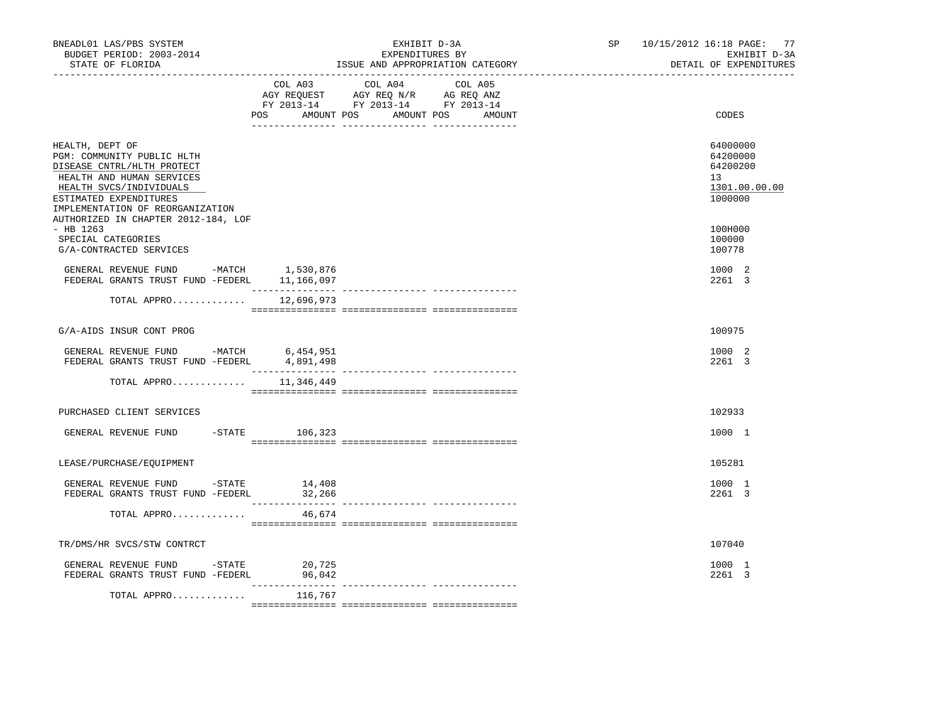| BNEADL01 LAS/PBS SYSTEM<br>BUDGET PERIOD: 2003-2014<br>STATE OF FLORIDA<br>------------------                                                                                                     |                                | EXHIBIT D-3A<br>EXPENDITURES BY<br>ISSUE AND APPROPRIATION CATEGORY                                                                      | SP 10/15/2012 16:18 PAGE: 77<br>EXHIBIT D-3A<br>DETAIL OF EXPENDITURES |
|---------------------------------------------------------------------------------------------------------------------------------------------------------------------------------------------------|--------------------------------|------------------------------------------------------------------------------------------------------------------------------------------|------------------------------------------------------------------------|
|                                                                                                                                                                                                   |                                | COL A03 COL A04<br>COL A05<br>AGY REQUEST AGY REQ N/R AG REQ ANZ<br>FY 2013-14 FY 2013-14 FY 2013-14<br>POS AMOUNT POS AMOUNT POS AMOUNT | CODES                                                                  |
| HEALTH, DEPT OF<br>PGM: COMMUNITY PUBLIC HLTH<br>DISEASE CNTRL/HLTH PROTECT<br>HEALTH AND HUMAN SERVICES<br>HEALTH SVCS/INDIVIDUALS<br>ESTIMATED EXPENDITURES<br>IMPLEMENTATION OF REORGANIZATION |                                |                                                                                                                                          | 64000000<br>64200000<br>64200200<br>13<br>1301.00.00.00<br>1000000     |
| AUTHORIZED IN CHAPTER 2012-184, LOF<br>$-$ HB 1263<br>SPECIAL CATEGORIES<br>G/A-CONTRACTED SERVICES                                                                                               |                                |                                                                                                                                          | 100H000<br>100000<br>100778                                            |
| GENERAL REVENUE FUND -MATCH 1,530,876<br>FEDERAL GRANTS TRUST FUND -FEDERL 11,166,097                                                                                                             |                                |                                                                                                                                          | 1000 2<br>2261 3                                                       |
| TOTAL APPRO $12,696,973$                                                                                                                                                                          |                                |                                                                                                                                          |                                                                        |
| G/A-AIDS INSUR CONT PROG                                                                                                                                                                          |                                |                                                                                                                                          | 100975                                                                 |
| GENERAL REVENUE FUND -MATCH 6,454,951<br>FEDERAL GRANTS TRUST FUND -FEDERL                                                                                                                        | 4,891,498<br>_________________ |                                                                                                                                          | 1000 2<br>2261 3                                                       |
| TOTAL APPRO                                                                                                                                                                                       | 11,346,449                     |                                                                                                                                          |                                                                        |
| PURCHASED CLIENT SERVICES                                                                                                                                                                         |                                |                                                                                                                                          | 102933                                                                 |
| GENERAL REVENUE FUND -STATE 106,323                                                                                                                                                               |                                |                                                                                                                                          | 1000 1                                                                 |
| LEASE/PURCHASE/EQUIPMENT                                                                                                                                                                          |                                |                                                                                                                                          | 105281                                                                 |
| GENERAL REVENUE FUND -STATE<br>FEDERAL GRANTS TRUST FUND -FEDERL                                                                                                                                  | 14,408<br>32,266               |                                                                                                                                          | 1000 1<br>2261 3                                                       |
| TOTAL APPRO                                                                                                                                                                                       | 46,674                         |                                                                                                                                          |                                                                        |
| TR/DMS/HR SVCS/STW CONTRCT                                                                                                                                                                        |                                |                                                                                                                                          | 107040                                                                 |
| GENERAL REVENUE FUND -STATE 20,725<br>FEDERAL GRANTS TRUST FUND -FEDERL                                                                                                                           | 96,042                         |                                                                                                                                          | 1000 1<br>2261 3                                                       |
| TOTAL APPRO                                                                                                                                                                                       | 116,767                        |                                                                                                                                          |                                                                        |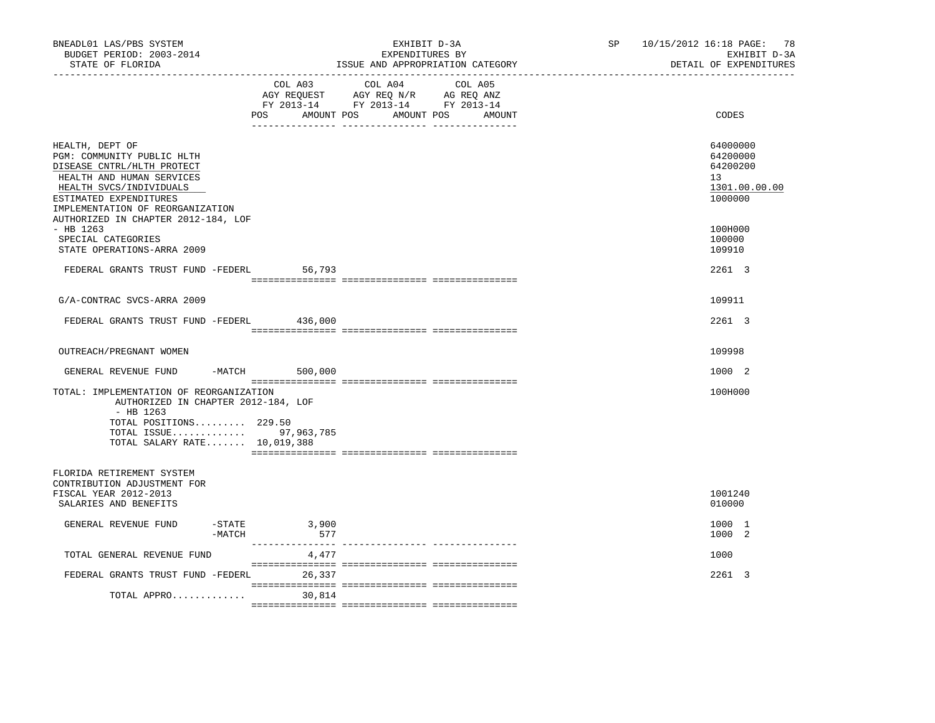| COL A03<br>COL A04<br>COL A05<br>AGY REQUEST AGY REQ N/R AG REQ ANZ<br>FY 2013-14 FY 2013-14 FY 2013-14<br>AMOUNT POS AMOUNT POS AMOUNT<br>CODES<br>POS<br>64000000<br>HEALTH, DEPT OF<br>PGM: COMMUNITY PUBLIC HLTH<br>64200000<br>DISEASE CNTRL/HLTH PROTECT<br>64200200<br>HEALTH AND HUMAN SERVICES<br>13<br>HEALTH SVCS/INDIVIDUALS<br>1301.00.00.00<br>ESTIMATED EXPENDITURES<br>1000000<br>IMPLEMENTATION OF REORGANIZATION<br>AUTHORIZED IN CHAPTER 2012-184, LOF<br>$-$ HB 1263<br>100H000<br>SPECIAL CATEGORIES<br>100000<br>STATE OPERATIONS-ARRA 2009<br>109910<br>2261 3<br>FEDERAL GRANTS TRUST FUND -FEDERL<br>56,793<br>G/A-CONTRAC SVCS-ARRA 2009<br>109911<br>FEDERAL GRANTS TRUST FUND -FEDERL 436,000<br>2261 3<br>OUTREACH/PREGNANT WOMEN<br>109998<br>GENERAL REVENUE FUND -MATCH 500,000<br>1000 2<br>TOTAL: IMPLEMENTATION OF REORGANIZATION<br>100H000<br>AUTHORIZED IN CHAPTER 2012-184, LOF<br>$-$ HB 1263<br>TOTAL POSITIONS 229.50<br>TOTAL ISSUE 97,963,785<br>TOTAL SALARY RATE 10,019,388<br>FLORIDA RETIREMENT SYSTEM<br>CONTRIBUTION ADJUSTMENT FOR<br>FISCAL YEAR 2012-2013<br>1001240<br>SALARIES AND BENEFITS<br>010000<br>GENERAL REVENUE FUND<br>-STATE<br>3,900<br>1000 1<br>577<br>1000 2<br>-MATCH<br>TOTAL GENERAL REVENUE FUND<br>4,477<br>1000<br>FEDERAL GRANTS TRUST FUND -FEDERL 26,337<br>2261 3 | BNEADL01 LAS/PBS SYSTEM<br>BUDGET PERIOD: 2003-2014<br>STATE OF FLORIDA<br>----------------- <i>-</i> |        | EXHIBIT D-3A<br>EXPENDITURES BY<br>ISSUE AND APPROPRIATION CATEGORY | SP 10/15/2012 16:18 PAGE: 78<br>EXHIBIT D-3A<br>DETAIL OF EXPENDITURES |
|---------------------------------------------------------------------------------------------------------------------------------------------------------------------------------------------------------------------------------------------------------------------------------------------------------------------------------------------------------------------------------------------------------------------------------------------------------------------------------------------------------------------------------------------------------------------------------------------------------------------------------------------------------------------------------------------------------------------------------------------------------------------------------------------------------------------------------------------------------------------------------------------------------------------------------------------------------------------------------------------------------------------------------------------------------------------------------------------------------------------------------------------------------------------------------------------------------------------------------------------------------------------------------------------------------------------------------------------------|-------------------------------------------------------------------------------------------------------|--------|---------------------------------------------------------------------|------------------------------------------------------------------------|
|                                                                                                                                                                                                                                                                                                                                                                                                                                                                                                                                                                                                                                                                                                                                                                                                                                                                                                                                                                                                                                                                                                                                                                                                                                                                                                                                                   |                                                                                                       |        |                                                                     |                                                                        |
|                                                                                                                                                                                                                                                                                                                                                                                                                                                                                                                                                                                                                                                                                                                                                                                                                                                                                                                                                                                                                                                                                                                                                                                                                                                                                                                                                   |                                                                                                       |        |                                                                     |                                                                        |
|                                                                                                                                                                                                                                                                                                                                                                                                                                                                                                                                                                                                                                                                                                                                                                                                                                                                                                                                                                                                                                                                                                                                                                                                                                                                                                                                                   |                                                                                                       |        |                                                                     |                                                                        |
|                                                                                                                                                                                                                                                                                                                                                                                                                                                                                                                                                                                                                                                                                                                                                                                                                                                                                                                                                                                                                                                                                                                                                                                                                                                                                                                                                   |                                                                                                       |        |                                                                     |                                                                        |
|                                                                                                                                                                                                                                                                                                                                                                                                                                                                                                                                                                                                                                                                                                                                                                                                                                                                                                                                                                                                                                                                                                                                                                                                                                                                                                                                                   |                                                                                                       |        |                                                                     |                                                                        |
|                                                                                                                                                                                                                                                                                                                                                                                                                                                                                                                                                                                                                                                                                                                                                                                                                                                                                                                                                                                                                                                                                                                                                                                                                                                                                                                                                   |                                                                                                       |        |                                                                     |                                                                        |
|                                                                                                                                                                                                                                                                                                                                                                                                                                                                                                                                                                                                                                                                                                                                                                                                                                                                                                                                                                                                                                                                                                                                                                                                                                                                                                                                                   |                                                                                                       |        |                                                                     |                                                                        |
|                                                                                                                                                                                                                                                                                                                                                                                                                                                                                                                                                                                                                                                                                                                                                                                                                                                                                                                                                                                                                                                                                                                                                                                                                                                                                                                                                   |                                                                                                       |        |                                                                     |                                                                        |
|                                                                                                                                                                                                                                                                                                                                                                                                                                                                                                                                                                                                                                                                                                                                                                                                                                                                                                                                                                                                                                                                                                                                                                                                                                                                                                                                                   |                                                                                                       |        |                                                                     |                                                                        |
|                                                                                                                                                                                                                                                                                                                                                                                                                                                                                                                                                                                                                                                                                                                                                                                                                                                                                                                                                                                                                                                                                                                                                                                                                                                                                                                                                   |                                                                                                       |        |                                                                     |                                                                        |
|                                                                                                                                                                                                                                                                                                                                                                                                                                                                                                                                                                                                                                                                                                                                                                                                                                                                                                                                                                                                                                                                                                                                                                                                                                                                                                                                                   |                                                                                                       |        |                                                                     |                                                                        |
|                                                                                                                                                                                                                                                                                                                                                                                                                                                                                                                                                                                                                                                                                                                                                                                                                                                                                                                                                                                                                                                                                                                                                                                                                                                                                                                                                   |                                                                                                       |        |                                                                     |                                                                        |
|                                                                                                                                                                                                                                                                                                                                                                                                                                                                                                                                                                                                                                                                                                                                                                                                                                                                                                                                                                                                                                                                                                                                                                                                                                                                                                                                                   |                                                                                                       |        |                                                                     |                                                                        |
|                                                                                                                                                                                                                                                                                                                                                                                                                                                                                                                                                                                                                                                                                                                                                                                                                                                                                                                                                                                                                                                                                                                                                                                                                                                                                                                                                   | TOTAL APPRO                                                                                           | 30,814 |                                                                     |                                                                        |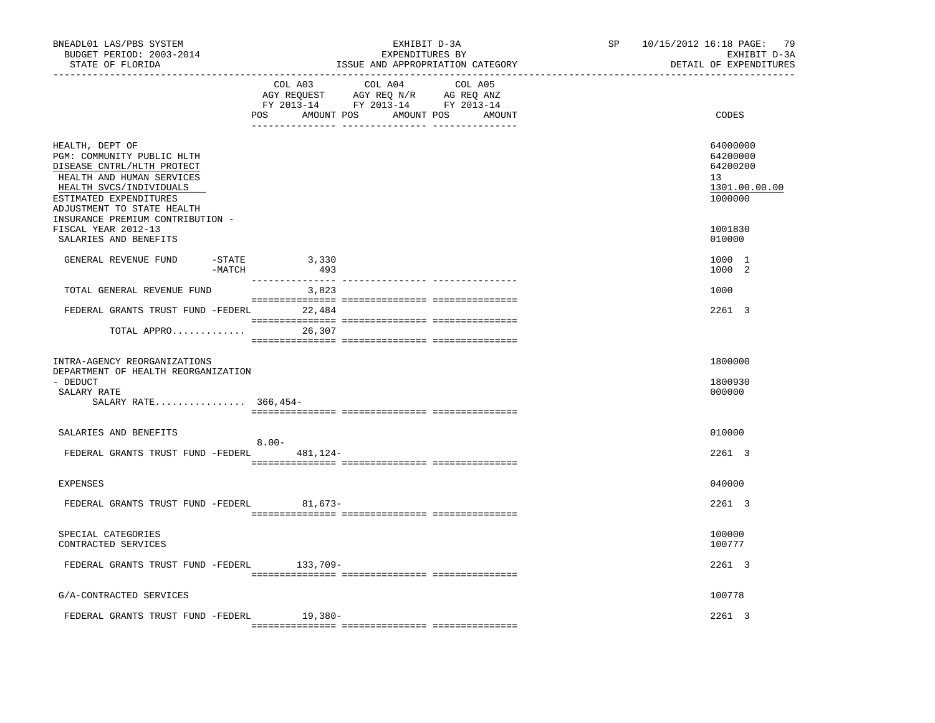| BNEADL01 LAS/PBS SYSTEM<br>BUDGET PERIOD: 2003-2014<br>STATE OF FLORIDA<br>-----------------                                                                                                                                    |                                  | EXHIBIT D-3A<br>EXPENDITURES BY<br>ISSUE AND APPROPRIATION CATEGORY | SP and the set of the set of the set of the set of the set of the set of the set of the set of the set of the set of the set of the set of the set of the set of the set of the set of the set of the set of the set of the se | 10/15/2012 16:18 PAGE: 79<br>EXHIBIT D-3A<br>DETAIL OF EXPENDITURES |
|---------------------------------------------------------------------------------------------------------------------------------------------------------------------------------------------------------------------------------|----------------------------------|---------------------------------------------------------------------|--------------------------------------------------------------------------------------------------------------------------------------------------------------------------------------------------------------------------------|---------------------------------------------------------------------|
|                                                                                                                                                                                                                                 | COL A03                          | COL A04 COL A05<br>POS AMOUNT POS AMOUNT POS AMOUNT                 |                                                                                                                                                                                                                                | CODES                                                               |
| HEALTH, DEPT OF<br>PGM: COMMUNITY PUBLIC HLTH<br>DISEASE CNTRL/HLTH PROTECT<br>HEALTH AND HUMAN SERVICES<br>HEALTH SVCS/INDIVIDUALS<br>ESTIMATED EXPENDITURES<br>ADJUSTMENT TO STATE HEALTH<br>INSURANCE PREMIUM CONTRIBUTION - |                                  |                                                                     |                                                                                                                                                                                                                                | 64000000<br>64200000<br>64200200<br>13<br>1301.00.00.00<br>1000000  |
| FISCAL YEAR 2012-13<br>SALARIES AND BENEFITS                                                                                                                                                                                    |                                  |                                                                     |                                                                                                                                                                                                                                | 1001830<br>010000                                                   |
| GENERAL REVENUE FUND                                                                                                                                                                                                            | -STATE<br>3,330<br>-MATCH<br>493 |                                                                     |                                                                                                                                                                                                                                | 1000 1<br>1000 2                                                    |
| TOTAL GENERAL REVENUE FUND                                                                                                                                                                                                      | 3,823                            |                                                                     |                                                                                                                                                                                                                                | 1000                                                                |
| FEDERAL GRANTS TRUST FUND -FEDERL 22,484                                                                                                                                                                                        |                                  |                                                                     |                                                                                                                                                                                                                                | 2261 3                                                              |
| TOTAL APPRO                                                                                                                                                                                                                     | 26,307                           |                                                                     |                                                                                                                                                                                                                                |                                                                     |
| INTRA-AGENCY REORGANIZATIONS<br>DEPARTMENT OF HEALTH REORGANIZATION<br>- DEDUCT<br>SALARY RATE<br>SALARY RATE 366,454-                                                                                                          |                                  |                                                                     |                                                                                                                                                                                                                                | 1800000<br>1800930<br>000000                                        |
| SALARIES AND BENEFITS                                                                                                                                                                                                           |                                  |                                                                     |                                                                                                                                                                                                                                | 010000                                                              |
| FEDERAL GRANTS TRUST FUND -FEDERL 481,124-                                                                                                                                                                                      | $8.00 -$                         |                                                                     |                                                                                                                                                                                                                                | $2261 \quad 3$                                                      |
| <b>EXPENSES</b>                                                                                                                                                                                                                 |                                  |                                                                     |                                                                                                                                                                                                                                | 040000                                                              |
| FEDERAL GRANTS TRUST FUND -FEDERL 81,673-                                                                                                                                                                                       |                                  |                                                                     |                                                                                                                                                                                                                                | 2261 3                                                              |
| SPECIAL CATEGORIES<br>CONTRACTED SERVICES                                                                                                                                                                                       |                                  |                                                                     |                                                                                                                                                                                                                                | 100000<br>100777                                                    |
| FEDERAL GRANTS TRUST FUND -FEDERL 133,709-                                                                                                                                                                                      |                                  |                                                                     |                                                                                                                                                                                                                                | 2261 3                                                              |
| G/A-CONTRACTED SERVICES                                                                                                                                                                                                         |                                  |                                                                     |                                                                                                                                                                                                                                | 100778                                                              |
| FEDERAL GRANTS TRUST FUND -FEDERL 19,380-                                                                                                                                                                                       |                                  |                                                                     |                                                                                                                                                                                                                                | 2261 3                                                              |
|                                                                                                                                                                                                                                 |                                  |                                                                     |                                                                                                                                                                                                                                |                                                                     |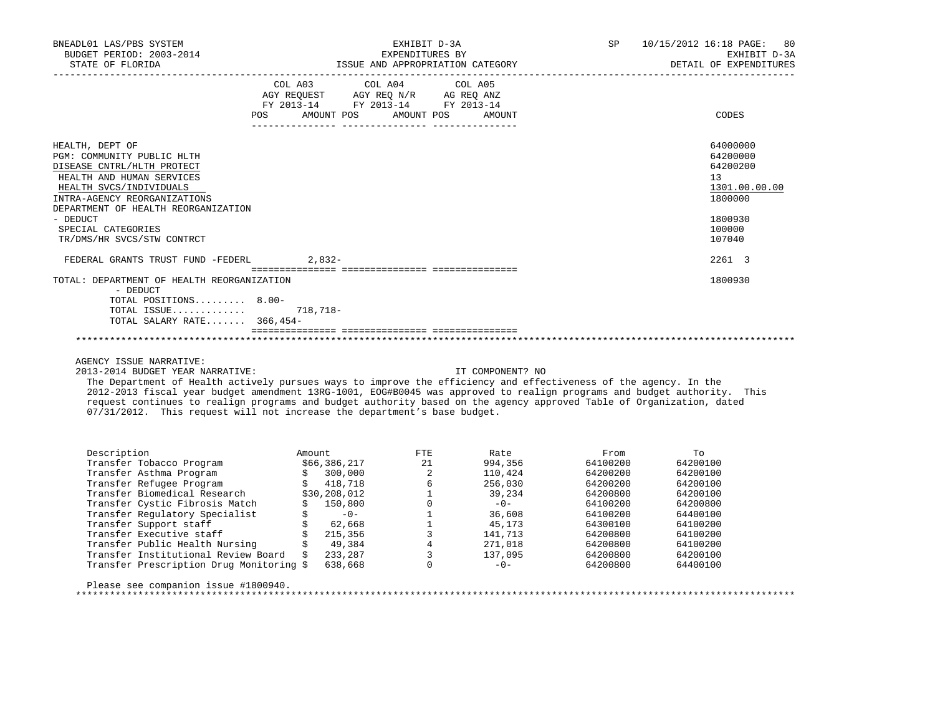| BNEADL01 LAS/PBS SYSTEM<br>BUDGET PERIOD: 2003-2014<br>STATE OF FLORIDA                                                                                                                                                                                                    | EXHIBIT D-3A<br>EXPENDITURES BY<br>ISSUE AND APPROPRIATION CATEGORY                                                                                | <b>SP</b><br>10/15/2012 16:18 PAGE:<br>80<br>EXHIBIT D-3A<br>DETAIL OF EXPENDITURES               |
|----------------------------------------------------------------------------------------------------------------------------------------------------------------------------------------------------------------------------------------------------------------------------|----------------------------------------------------------------------------------------------------------------------------------------------------|---------------------------------------------------------------------------------------------------|
|                                                                                                                                                                                                                                                                            | COL A03 COL A04 COL A05<br>AGY REQUEST AGY REQ N/R AG REQ ANZ<br>FY 2013-14 FY 2013-14 FY 2013-14<br><b>POS</b><br>AMOUNT POS AMOUNT POS<br>AMOUNT | CODES                                                                                             |
| HEALTH, DEPT OF<br>PGM: COMMUNITY PUBLIC HLTH<br>DISEASE CNTRL/HLTH PROTECT<br>HEALTH AND HUMAN SERVICES<br>HEALTH SVCS/INDIVIDUALS<br>INTRA-AGENCY REORGANIZATIONS<br>DEPARTMENT OF HEALTH REORGANIZATION<br>- DEDUCT<br>SPECIAL CATEGORIES<br>TR/DMS/HR SVCS/STW CONTRCT |                                                                                                                                                    | 64000000<br>64200000<br>64200200<br>13<br>1301.00.00.00<br>1800000<br>1800930<br>100000<br>107040 |
| FEDERAL GRANTS TRUST FUND -FEDERL 2,832-                                                                                                                                                                                                                                   |                                                                                                                                                    | 2261 3                                                                                            |
| TOTAL: DEPARTMENT OF HEALTH REORGANIZATION<br>- DEDUCT<br>TOTAL POSITIONS 8.00-<br>TOTAL ISSUE 718,718-<br>TOTAL SALARY RATE 366,454-                                                                                                                                      |                                                                                                                                                    | 1800930                                                                                           |
|                                                                                                                                                                                                                                                                            |                                                                                                                                                    |                                                                                                   |

AGENCY ISSUE NARRATIVE:

2013-2014 BUDGET YEAR NARRATIVE: IT COMPONENT? NO

 The Department of Health actively pursues ways to improve the efficiency and effectiveness of the agency. In the 2012-2013 fiscal year budget amendment 13RG-1001, EOG#B0045 was approved to realign programs and budget authority. This request continues to realign programs and budget authority based on the agency approved Table of Organization, dated 07/31/2012. This request will not increase the department's base budget.

| Description                              | Amount |              | FTE. | Rate    | From     | Tο       |
|------------------------------------------|--------|--------------|------|---------|----------|----------|
| Transfer Tobacco Program                 |        | \$66,386,217 | 21   | 994,356 | 64100200 | 64200100 |
| Transfer Asthma Program                  |        | 300,000      | 2    | 110,424 | 64200200 | 64200100 |
| Transfer Refugee Program                 |        | 418,718      |      | 256,030 | 64200200 | 64200100 |
| Transfer Biomedical Research             |        | \$30,208,012 |      | 39,234  | 64200800 | 64200100 |
| Transfer Cystic Fibrosis Match           |        | 150,800      |      | $-0-$   | 64100200 | 64200800 |
| Transfer Regulatory Specialist           |        | $-0-$        |      | 36,608  | 64100200 | 64400100 |
| Transfer Support staff                   |        | 62,668       |      | 45,173  | 64300100 | 64100200 |
| Transfer Executive staff                 |        | 215,356      |      | 141,713 | 64200800 | 64100200 |
| Transfer Public Health Nursing           |        | 49,384       |      | 271,018 | 64200800 | 64100200 |
| Transfer Institutional Review Board      | Ŝ      | 233,287      |      | 137,095 | 64200800 | 64200100 |
| Transfer Prescription Drug Monitoring \$ |        | 638,668      |      | $-0-$   | 64200800 | 64400100 |
|                                          |        |              |      |         |          |          |

Please see companion issue #1800940.

\*\*\*\*\*\*\*\*\*\*\*\*\*\*\*\*\*\*\*\*\*\*\*\*\*\*\*\*\*\*\*\*\*\*\*\*\*\*\*\*\*\*\*\*\*\*\*\*\*\*\*\*\*\*\*\*\*\*\*\*\*\*\*\*\*\*\*\*\*\*\*\*\*\*\*\*\*\*\*\*\*\*\*\*\*\*\*\*\*\*\*\*\*\*\*\*\*\*\*\*\*\*\*\*\*\*\*\*\*\*\*\*\*\*\*\*\*\*\*\*\*\*\*\*\*\*\*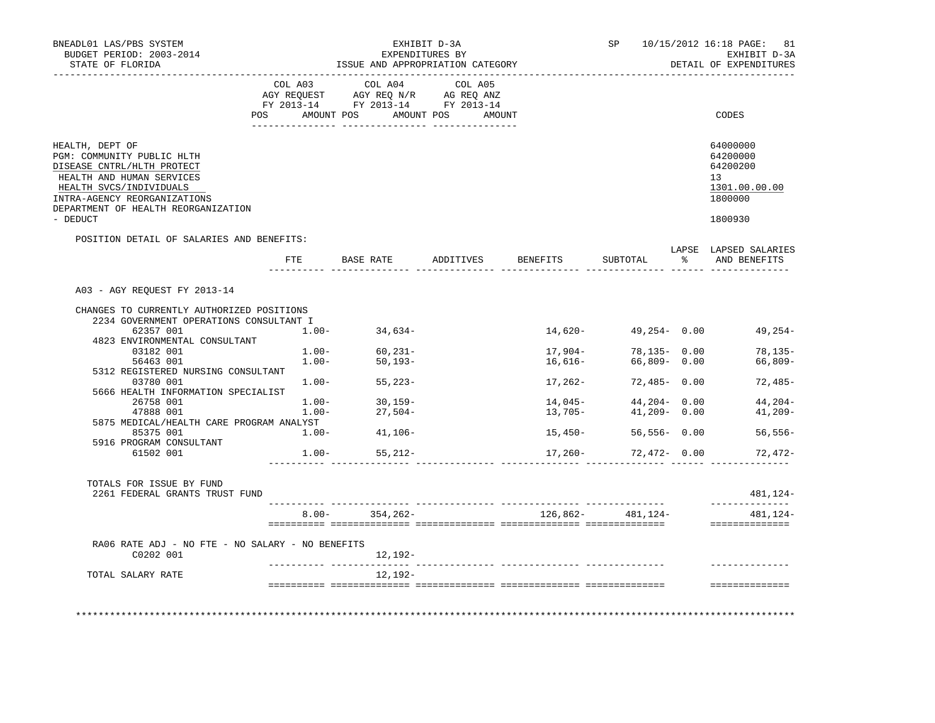| BNEADL01 LAS/PBS SYSTEM<br>BUDGET PERIOD: 2003-2014<br>STATE OF FLORIDA                                                                                                                                    |          | ISSUE AND APPROPRIATION CATEGORY                                                                                                                   | EXHIBIT D-3A<br>EXPENDITURES BY |           |                              |            | SP 10/15/2012 16:18 PAGE: 81<br>EXHIBIT D-3A<br>DETAIL OF EXPENDITURES |
|------------------------------------------------------------------------------------------------------------------------------------------------------------------------------------------------------------|----------|----------------------------------------------------------------------------------------------------------------------------------------------------|---------------------------------|-----------|------------------------------|------------|------------------------------------------------------------------------|
|                                                                                                                                                                                                            |          |                                                                                                                                                    |                                 |           |                              |            |                                                                        |
|                                                                                                                                                                                                            | COL A03  | COL A04<br>CO AND THE MATE ON AGREGANZ<br>AGY REQUEST AGY REQ N/R AGREGANZ<br>FY 2013-14 FY 2013-14 FY 2013-14<br>POS AMOUNT POS AMOUNT POS AMOUNT | COL A05                         |           |                              |            | CODES                                                                  |
|                                                                                                                                                                                                            |          |                                                                                                                                                    |                                 |           |                              |            |                                                                        |
| HEALTH, DEPT OF<br>PGM: COMMUNITY PUBLIC HLTH<br>DISEASE CNTRL/HLTH PROTECT<br>HEALTH AND HUMAN SERVICES<br>HEALTH SVCS/INDIVIDUALS<br>INTRA-AGENCY REORGANIZATIONS<br>DEPARTMENT OF HEALTH REORGANIZATION |          |                                                                                                                                                    |                                 |           |                              |            | 64000000<br>64200000<br>64200200<br>13<br>1301.00.00.00<br>1800000     |
| - DEDUCT                                                                                                                                                                                                   |          |                                                                                                                                                    |                                 |           |                              |            | 1800930                                                                |
| POSITION DETAIL OF SALARIES AND BENEFITS:                                                                                                                                                                  |          |                                                                                                                                                    |                                 |           |                              |            |                                                                        |
|                                                                                                                                                                                                            |          | FTE BASE RATE ADDITIVES BENEFITS                                                                                                                   |                                 |           | SUBTOTAL                     | ႜ <u>ိ</u> | LAPSE LAPSED SALARIES<br>AND BENEFITS                                  |
| A03 - AGY REOUEST FY 2013-14                                                                                                                                                                               |          |                                                                                                                                                    |                                 |           |                              |            |                                                                        |
| CHANGES TO CURRENTLY AUTHORIZED POSITIONS                                                                                                                                                                  |          |                                                                                                                                                    |                                 |           |                              |            |                                                                        |
| 2234 GOVERNMENT OPERATIONS CONSULTANT I                                                                                                                                                                    |          |                                                                                                                                                    |                                 |           |                              |            |                                                                        |
| 62357 001                                                                                                                                                                                                  | $1.00 -$ | $34,634-$                                                                                                                                          |                                 | $14,620-$ |                              |            | $49,254 - 0.00$ $49,254 -$                                             |
| 4823 ENVIRONMENTAL CONSULTANT                                                                                                                                                                              |          |                                                                                                                                                    |                                 |           |                              |            |                                                                        |
| 03182 001                                                                                                                                                                                                  |          | $1.00-$ 60, $231-$<br>$1.00-$ 50, $193-$                                                                                                           |                                 | 17,904-   | 78,135- 0.00<br>66 809- 0.00 |            | 78,135-                                                                |
| 56463 001                                                                                                                                                                                                  |          |                                                                                                                                                    |                                 | $16,616-$ |                              |            | $66,809-$                                                              |
| 5312 REGISTERED NURSING CONSULTANT                                                                                                                                                                         |          |                                                                                                                                                    |                                 |           |                              |            |                                                                        |
| $1.00 - 55,223 -$<br>03780 001                                                                                                                                                                             |          |                                                                                                                                                    |                                 | 17,262-   | 72,485-0.00                  |            | 72,485-                                                                |
| 5666 HEALTH INFORMATION SPECIALIST                                                                                                                                                                         |          |                                                                                                                                                    |                                 |           |                              |            |                                                                        |
| 26758 001                                                                                                                                                                                                  | $1.00 -$ | $30,159-$                                                                                                                                          |                                 | 14,045-   | $44,204 - 0.00$              |            | 44,204-                                                                |
| 47888 001                                                                                                                                                                                                  | $1.00-$  | 27,504-                                                                                                                                            |                                 | 13,705-   | $41,209 - 0.00$              |            | 41,209-                                                                |
| 5875 MEDICAL/HEALTH CARE PROGRAM ANALYST<br>$1.00 -$<br>85375 001                                                                                                                                          |          | 41,106-                                                                                                                                            |                                 |           |                              |            | 56,556 - 0.00 56,556 -                                                 |
| 5916 PROGRAM CONSULTANT                                                                                                                                                                                    |          |                                                                                                                                                    |                                 | 15,450-   |                              |            |                                                                        |
| 61502 001                                                                                                                                                                                                  |          | $1.00 - 55,212 -$                                                                                                                                  |                                 | 17,260-   | 72,472-0.00                  |            | $72,472-$                                                              |
| TOTALS FOR ISSUE BY FUND<br>2261 FEDERAL GRANTS TRUST FUND                                                                                                                                                 |          |                                                                                                                                                    |                                 |           |                              |            | 481,124-                                                               |
|                                                                                                                                                                                                            |          | $8.00 - 354,262 -$                                                                                                                                 |                                 |           | 126,862- 481,124-            |            | --------------<br>481,124                                              |
|                                                                                                                                                                                                            |          |                                                                                                                                                    |                                 |           |                              |            | ==============                                                         |
| RA06 RATE ADJ - NO FTE - NO SALARY - NO BENEFITS                                                                                                                                                           |          |                                                                                                                                                    |                                 |           |                              |            |                                                                        |
| C0202 001                                                                                                                                                                                                  |          | 12,192-                                                                                                                                            |                                 |           |                              |            |                                                                        |
| TOTAL SALARY RATE                                                                                                                                                                                          |          | $12.192 -$                                                                                                                                         |                                 |           |                              |            | ==============                                                         |
|                                                                                                                                                                                                            |          |                                                                                                                                                    |                                 |           |                              |            |                                                                        |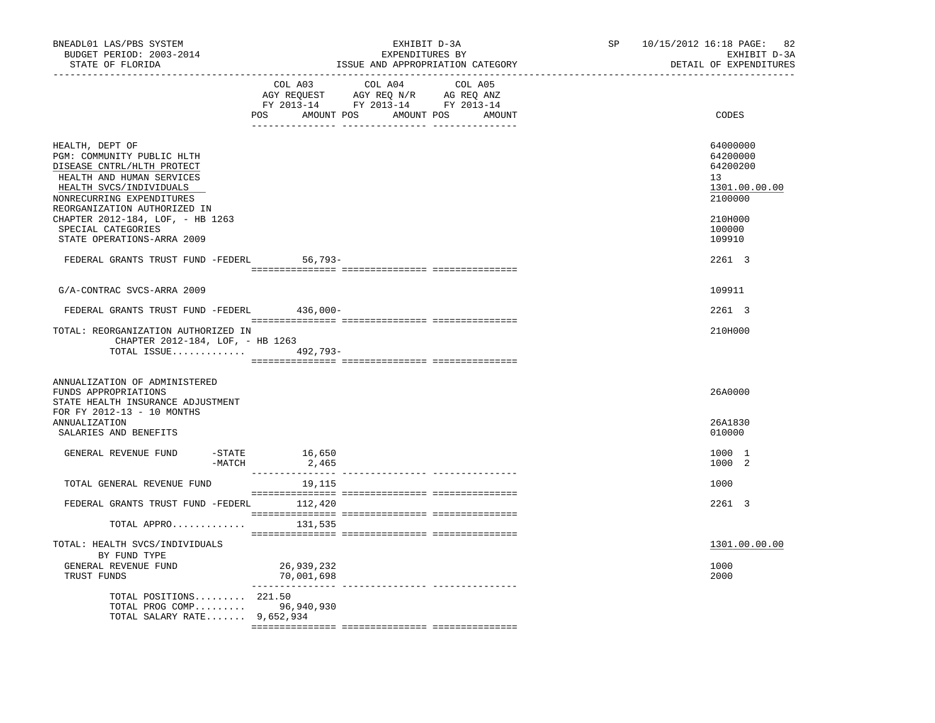| BNEADL01 LAS/PBS SYSTEM<br>BUDGET PERIOD: 2003-2014<br>STATE OF FLORIDA<br><u>_______________</u> __                                                                                             | EXHIBIT D-3A<br>EXPENDITURES BY<br>ISSUE AND APPROPRIATION CATEGORY                                                                                                                                                                                                                                                                                                                                                                                             | 10/15/2012 16:18 PAGE: 82<br>SP and the set of the set of the set of the set of the set of the set of the set of the set of the set of the set of the set of the set of the set of the set of the set of the set of the set of the set of the set of the se<br>EXHIBIT D-3A<br>DETAIL OF EXPENDITURES |  |
|--------------------------------------------------------------------------------------------------------------------------------------------------------------------------------------------------|-----------------------------------------------------------------------------------------------------------------------------------------------------------------------------------------------------------------------------------------------------------------------------------------------------------------------------------------------------------------------------------------------------------------------------------------------------------------|-------------------------------------------------------------------------------------------------------------------------------------------------------------------------------------------------------------------------------------------------------------------------------------------------------|--|
|                                                                                                                                                                                                  | COL A03 COL A04 COL A05<br>POS AMOUNT POS AMOUNT POS AMOUNT                                                                                                                                                                                                                                                                                                                                                                                                     | CODES                                                                                                                                                                                                                                                                                                 |  |
| HEALTH, DEPT OF<br>PGM: COMMUNITY PUBLIC HLTH<br>DISEASE CNTRL/HLTH PROTECT<br>HEALTH AND HUMAN SERVICES<br>HEALTH SVCS/INDIVIDUALS<br>NONRECURRING EXPENDITURES<br>REORGANIZATION AUTHORIZED IN |                                                                                                                                                                                                                                                                                                                                                                                                                                                                 | 64000000<br>64200000<br>64200200<br>13<br>1301.00.00.00<br>2100000                                                                                                                                                                                                                                    |  |
| CHAPTER 2012-184, LOF, - HB 1263<br>SPECIAL CATEGORIES<br>STATE OPERATIONS-ARRA 2009                                                                                                             |                                                                                                                                                                                                                                                                                                                                                                                                                                                                 | 210H000<br>100000<br>109910                                                                                                                                                                                                                                                                           |  |
| FEDERAL GRANTS TRUST FUND -FEDERL                                                                                                                                                                | $56,793-$                                                                                                                                                                                                                                                                                                                                                                                                                                                       | 2261 3                                                                                                                                                                                                                                                                                                |  |
| G/A-CONTRAC SVCS-ARRA 2009                                                                                                                                                                       |                                                                                                                                                                                                                                                                                                                                                                                                                                                                 | 109911                                                                                                                                                                                                                                                                                                |  |
| FEDERAL GRANTS TRUST FUND -FEDERL 436,000-                                                                                                                                                       |                                                                                                                                                                                                                                                                                                                                                                                                                                                                 | 2261 3                                                                                                                                                                                                                                                                                                |  |
| TOTAL: REORGANIZATION AUTHORIZED IN<br>CHAPTER 2012-184, LOF, - HB 1263<br>TOTAL ISSUE 492,793-                                                                                                  |                                                                                                                                                                                                                                                                                                                                                                                                                                                                 | 210H000                                                                                                                                                                                                                                                                                               |  |
| ANNUALIZATION OF ADMINISTERED<br>FUNDS APPROPRIATIONS<br>STATE HEALTH INSURANCE ADJUSTMENT<br>FOR FY 2012-13 - 10 MONTHS<br>ANNUALIZATION<br>SALARIES AND BENEFITS                               |                                                                                                                                                                                                                                                                                                                                                                                                                                                                 | 26A0000<br>26A1830<br>010000                                                                                                                                                                                                                                                                          |  |
| GENERAL REVENUE FUND<br>-MATCH                                                                                                                                                                   | $-$ STATE $16, 650$<br>2,465                                                                                                                                                                                                                                                                                                                                                                                                                                    | 1000 1<br>1000 2                                                                                                                                                                                                                                                                                      |  |
| TOTAL GENERAL REVENUE FUND                                                                                                                                                                       | 19,115                                                                                                                                                                                                                                                                                                                                                                                                                                                          | 1000                                                                                                                                                                                                                                                                                                  |  |
| FEDERAL GRANTS TRUST FUND -FEDERL 112,420                                                                                                                                                        | $\begin{minipage}{0.03\textwidth} \begin{tabular}{l} \textbf{0.04\textwidth} \textbf{0.04\textwidth} \textbf{0.04\textwidth} \textbf{0.04\textwidth} \textbf{0.04\textwidth} \textbf{0.04\textwidth} \textbf{0.04\textwidth} \textbf{0.04\textwidth} \textbf{0.04\textwidth} \textbf{0.04\textwidth} \textbf{0.04\textwidth} \textbf{0.04\textwidth} \textbf{0.04\textwidth} \textbf{0.04\textwidth} \textbf{0.04\textwidth} \textbf{0.04\textwidth} \textbf{0$ | 2261 3                                                                                                                                                                                                                                                                                                |  |
| TOTAL APPRO                                                                                                                                                                                      | 131,535                                                                                                                                                                                                                                                                                                                                                                                                                                                         |                                                                                                                                                                                                                                                                                                       |  |
| TOTAL: HEALTH SVCS/INDIVIDUALS<br>BY FUND TYPE<br>GENERAL REVENUE FUND<br>TRUST FUNDS                                                                                                            | 26,939,232<br>70,001,698                                                                                                                                                                                                                                                                                                                                                                                                                                        | 1301.00.00.00<br>1000<br>2000                                                                                                                                                                                                                                                                         |  |
| TOTAL POSITIONS 221.50<br>TOTAL PROG COMP 96,940,930<br>TOTAL SALARY RATE 9,652,934                                                                                                              | _______________<br>---------------- ----------------                                                                                                                                                                                                                                                                                                                                                                                                            |                                                                                                                                                                                                                                                                                                       |  |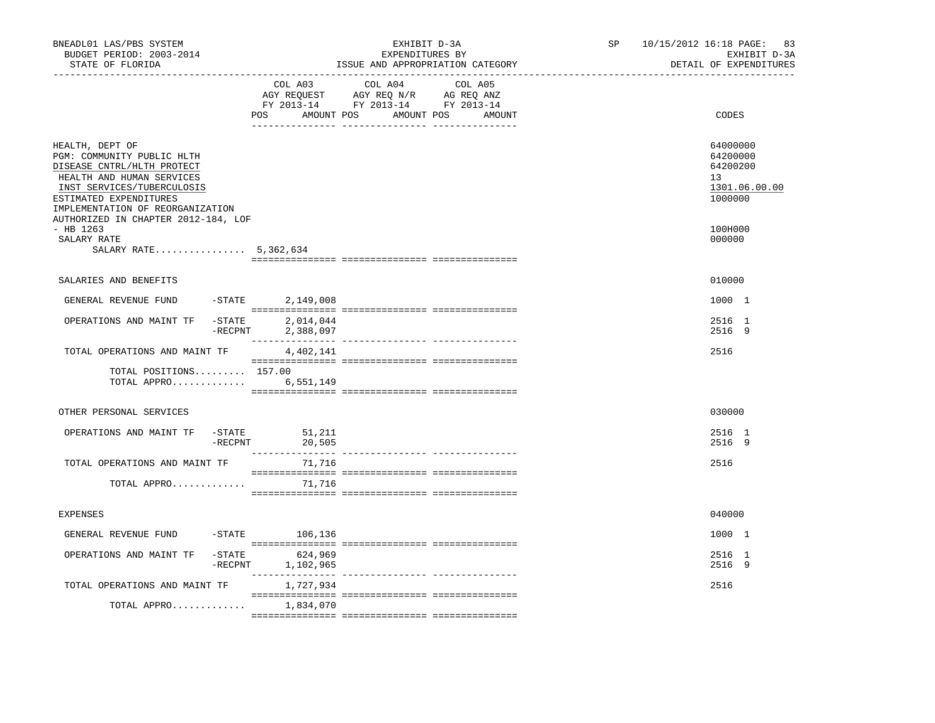| BNEADL01 LAS/PBS SYSTEM<br>BUDGET PERIOD: 2003-2014<br>STATE OF FLORIDA                                                                                                                                                                     |                         |                                       | EXHIBIT D-3A<br>EXPENDITURES BY<br>ISSUE AND APPROPRIATION CATEGORY                                                                                                                                                                                                                                                                                                                                                                 |                   | 10/15/2012 16:18 PAGE: 83<br>SP<br>EXHIBIT D-3A<br>DETAIL OF EXPENDITURES |                                                                    |  |
|---------------------------------------------------------------------------------------------------------------------------------------------------------------------------------------------------------------------------------------------|-------------------------|---------------------------------------|-------------------------------------------------------------------------------------------------------------------------------------------------------------------------------------------------------------------------------------------------------------------------------------------------------------------------------------------------------------------------------------------------------------------------------------|-------------------|---------------------------------------------------------------------------|--------------------------------------------------------------------|--|
|                                                                                                                                                                                                                                             |                         | COL A03                               | COL A04<br>AGY REQUEST AGY REQ N/R AG REQ ANZ<br>FY 2013-14 FY 2013-14 FY 2013-14<br>POS AMOUNT POS AMOUNT POS                                                                                                                                                                                                                                                                                                                      | COL A05<br>AMOUNT |                                                                           | CODES                                                              |  |
| HEALTH, DEPT OF<br>PGM: COMMUNITY PUBLIC HLTH<br>DISEASE CNTRL/HLTH PROTECT<br>HEALTH AND HUMAN SERVICES<br>INST SERVICES/TUBERCULOSIS<br>ESTIMATED EXPENDITURES<br>IMPLEMENTATION OF REORGANIZATION<br>AUTHORIZED IN CHAPTER 2012-184, LOF |                         |                                       |                                                                                                                                                                                                                                                                                                                                                                                                                                     |                   |                                                                           | 64000000<br>64200000<br>64200200<br>13<br>1301.06.00.00<br>1000000 |  |
| $-$ HB 1263<br>SALARY RATE<br>SALARY RATE 5,362,634                                                                                                                                                                                         |                         |                                       |                                                                                                                                                                                                                                                                                                                                                                                                                                     |                   |                                                                           | 100H000<br>000000                                                  |  |
| SALARIES AND BENEFITS                                                                                                                                                                                                                       |                         |                                       |                                                                                                                                                                                                                                                                                                                                                                                                                                     |                   |                                                                           | 010000                                                             |  |
| GENERAL REVENUE FUND                                                                                                                                                                                                                        | $-STATE$                | 2,149,008                             |                                                                                                                                                                                                                                                                                                                                                                                                                                     |                   |                                                                           | 1000 1                                                             |  |
| OPERATIONS AND MAINT TF                                                                                                                                                                                                                     | $-$ STATE<br>$-$ RECPNT | 2,014,044                             |                                                                                                                                                                                                                                                                                                                                                                                                                                     |                   |                                                                           | 2516 1<br>2516 9                                                   |  |
| TOTAL OPERATIONS AND MAINT TF                                                                                                                                                                                                               |                         | 2,388,097<br>4,402,141                |                                                                                                                                                                                                                                                                                                                                                                                                                                     |                   |                                                                           | 2516                                                               |  |
| TOTAL POSITIONS 157.00<br>TOTAL APPRO                                                                                                                                                                                                       |                         | 6,551,149                             | $\begin{minipage}{0.03\textwidth} \begin{tabular}{l} \textbf{1} & \textbf{2} & \textbf{3} & \textbf{5} & \textbf{5} & \textbf{6} & \textbf{6} & \textbf{7} & \textbf{8} & \textbf{8} & \textbf{9} & \textbf{9} & \textbf{9} & \textbf{9} & \textbf{9} & \textbf{9} & \textbf{9} & \textbf{9} & \textbf{9} & \textbf{9} & \textbf{9} & \textbf{9} & \textbf{9} & \textbf{9} & \textbf{9} & \textbf{9} & \textbf{9} & \textbf{9} & \$ |                   |                                                                           |                                                                    |  |
| OTHER PERSONAL SERVICES                                                                                                                                                                                                                     |                         |                                       |                                                                                                                                                                                                                                                                                                                                                                                                                                     |                   |                                                                           | 030000                                                             |  |
| OPERATIONS AND MAINT TF                                                                                                                                                                                                                     | $-$ STATE               | 51,211<br>$-RECPNT$ 20,505            |                                                                                                                                                                                                                                                                                                                                                                                                                                     |                   |                                                                           | 2516 1<br>2516 9                                                   |  |
| TOTAL OPERATIONS AND MAINT TF                                                                                                                                                                                                               |                         | 71,716                                |                                                                                                                                                                                                                                                                                                                                                                                                                                     |                   |                                                                           | 2516                                                               |  |
| TOTAL APPRO                                                                                                                                                                                                                                 |                         | 71,716                                |                                                                                                                                                                                                                                                                                                                                                                                                                                     |                   |                                                                           |                                                                    |  |
| <b>EXPENSES</b>                                                                                                                                                                                                                             |                         |                                       |                                                                                                                                                                                                                                                                                                                                                                                                                                     |                   |                                                                           | 040000                                                             |  |
| GENERAL REVENUE FUND -STATE 106,136                                                                                                                                                                                                         |                         |                                       |                                                                                                                                                                                                                                                                                                                                                                                                                                     |                   |                                                                           | 1000 1                                                             |  |
| OPERATIONS AND MAINT TF                                                                                                                                                                                                                     |                         | -STATE 624,969<br>-RECPNT 1, 102, 965 | $\begin{minipage}{0.03\textwidth} \begin{tabular}{l} \textbf{1} & \textbf{2} & \textbf{3} & \textbf{5} & \textbf{5} & \textbf{6} & \textbf{6} & \textbf{7} & \textbf{8} & \textbf{9} & \textbf{9} & \textbf{9} & \textbf{9} & \textbf{9} & \textbf{9} & \textbf{9} & \textbf{9} & \textbf{9} & \textbf{9} & \textbf{9} & \textbf{9} & \textbf{9} & \textbf{9} & \textbf{9} & \textbf{9} & \textbf{9} & \textbf{9} & \textbf{9} & \$ |                   |                                                                           | 2516 1<br>2516 9                                                   |  |
| TOTAL OPERATIONS AND MAINT TF                                                                                                                                                                                                               |                         | 1,727,934                             |                                                                                                                                                                                                                                                                                                                                                                                                                                     |                   |                                                                           | 2516                                                               |  |
| TOTAL APPRO $1,834,070$                                                                                                                                                                                                                     |                         |                                       |                                                                                                                                                                                                                                                                                                                                                                                                                                     |                   |                                                                           |                                                                    |  |
|                                                                                                                                                                                                                                             |                         |                                       |                                                                                                                                                                                                                                                                                                                                                                                                                                     |                   |                                                                           |                                                                    |  |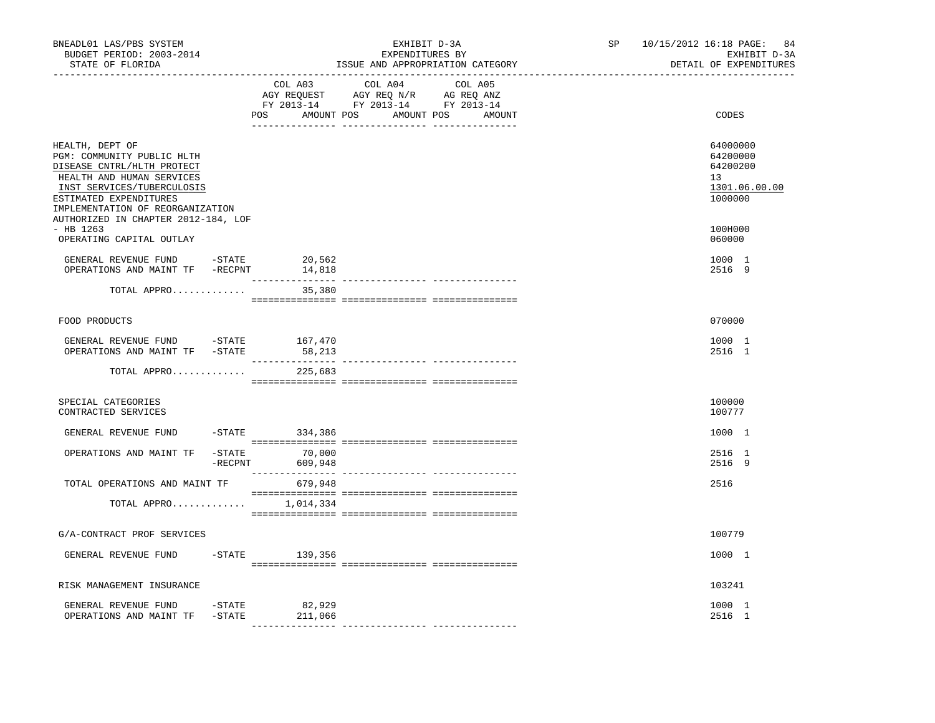| BNEADL01 LAS/PBS SYSTEM<br>BUDGET PERIOD: 2003-2014<br>STATE OF FLORIDA<br>---------------                                                                                                           |                 | _________________________________           | EXHIBIT D-3A<br>EXPENDITURES BY<br>ISSUE AND APPROPRIATION CATEGORY               | SP<br>_____________________________ | 10/15/2012 16:18 PAGE: 84<br>EXHIBIT D-3A<br>DETAIL OF EXPENDITURES |                                                                                 |
|------------------------------------------------------------------------------------------------------------------------------------------------------------------------------------------------------|-----------------|---------------------------------------------|-----------------------------------------------------------------------------------|-------------------------------------|---------------------------------------------------------------------|---------------------------------------------------------------------------------|
|                                                                                                                                                                                                      |                 | COL A03<br>POS AMOUNT POS AMOUNT POS AMOUNT | COL A04<br>AGY REQUEST AGY REQ N/R AG REQ ANZ<br>FY 2013-14 FY 2013-14 FY 2013-14 | COL A05                             |                                                                     | CODES                                                                           |
| HEALTH, DEPT OF<br>PGM: COMMUNITY PUBLIC HLTH<br>DISEASE CNTRL/HLTH PROTECT<br>HEALTH AND HUMAN SERVICES<br>INST SERVICES/TUBERCULOSIS<br>ESTIMATED EXPENDITURES<br>IMPLEMENTATION OF REORGANIZATION |                 |                                             |                                                                                   |                                     |                                                                     | 64000000<br>64200000<br>64200200<br>13 <sup>1</sup><br>1301.06.00.00<br>1000000 |
| AUTHORIZED IN CHAPTER 2012-184, LOF<br>$-$ HB 1263<br>OPERATING CAPITAL OUTLAY                                                                                                                       |                 |                                             |                                                                                   |                                     |                                                                     | 100H000<br>060000                                                               |
| GENERAL REVENUE FUND -STATE<br>OPERATIONS AND MAINT TF -RECPNT 14,818                                                                                                                                |                 | 20,562                                      |                                                                                   |                                     |                                                                     | 1000 1<br>2516 9                                                                |
| TOTAL APPRO                                                                                                                                                                                          |                 | 35,380                                      |                                                                                   |                                     |                                                                     |                                                                                 |
| FOOD PRODUCTS                                                                                                                                                                                        |                 |                                             |                                                                                   |                                     |                                                                     | 070000                                                                          |
| GENERAL REVENUE FUND -STATE 167,470<br>OPERATIONS AND MAINT TF -STATE                                                                                                                                |                 | 58,213                                      |                                                                                   |                                     |                                                                     | 1000 1<br>2516 1                                                                |
| TOTAL APPRO                                                                                                                                                                                          |                 | 225,683                                     |                                                                                   |                                     |                                                                     |                                                                                 |
| SPECIAL CATEGORIES<br>CONTRACTED SERVICES                                                                                                                                                            |                 |                                             |                                                                                   |                                     |                                                                     | 100000<br>100777                                                                |
| GENERAL REVENUE FUND                                                                                                                                                                                 |                 | $-STATE$ 334,386                            |                                                                                   |                                     |                                                                     | 1000 1                                                                          |
| OPERATIONS AND MAINT TF                                                                                                                                                                              | $-{\rm RECPNT}$ | $-STATE$ 70,000<br>609,948                  |                                                                                   |                                     |                                                                     | 2516 1<br>2516 9                                                                |
| TOTAL OPERATIONS AND MAINT TF                                                                                                                                                                        |                 | 679,948                                     |                                                                                   |                                     |                                                                     | 2516                                                                            |
| TOTAL APPRO $1,014,334$                                                                                                                                                                              |                 |                                             |                                                                                   |                                     |                                                                     |                                                                                 |
| G/A-CONTRACT PROF SERVICES                                                                                                                                                                           |                 |                                             |                                                                                   |                                     |                                                                     | 100779                                                                          |
| GENERAL REVENUE FUND                                                                                                                                                                                 |                 | $-$ STATE 139, 356                          |                                                                                   |                                     |                                                                     | 1000 1                                                                          |
| RISK MANAGEMENT INSURANCE                                                                                                                                                                            |                 |                                             |                                                                                   |                                     |                                                                     | 103241                                                                          |
| GENERAL REVENUE FUND -STATE<br>OPERATIONS AND MAINT TF                                                                                                                                               | $-$ STATE       | 82,929<br>211,066                           |                                                                                   |                                     |                                                                     | 1000 1<br>2516 1                                                                |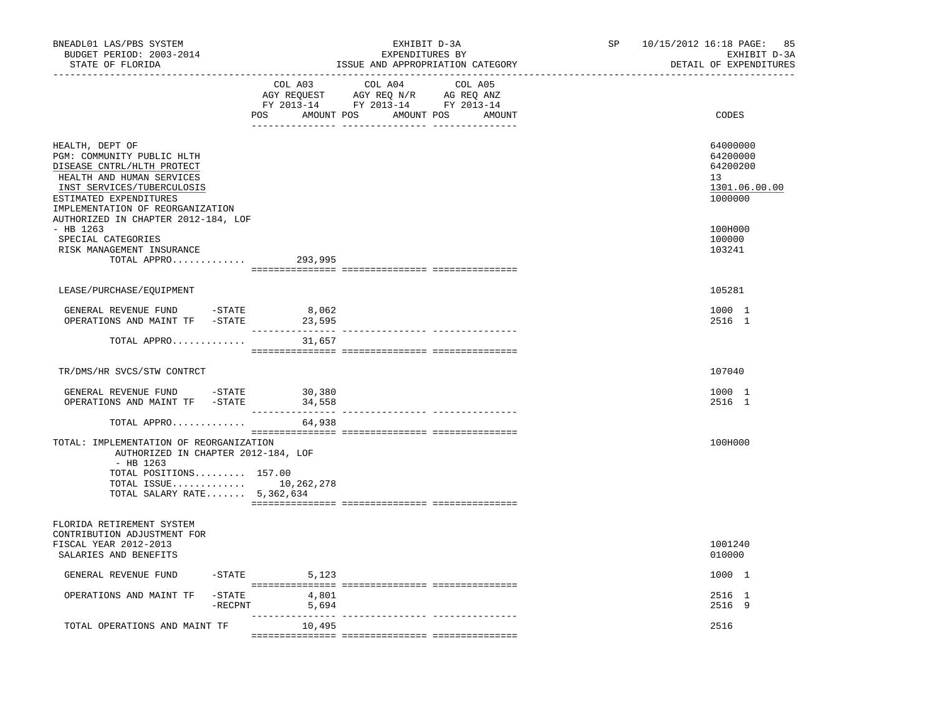| BNEADL01 LAS/PBS SYSTEM<br>BUDGET PERIOD: 2003-2014<br>STATE OF FLORIDA                                                                                                                                                                     | ------------------------------ | EXHIBIT D-3A<br>EXPENDITURES BY<br>ISSUE AND APPROPRIATION CATEGORY                                                              | SP | 10/15/2012 16:18 PAGE: 85<br>EXHIBIT D-3A<br>DETAIL OF EXPENDITURES |
|---------------------------------------------------------------------------------------------------------------------------------------------------------------------------------------------------------------------------------------------|--------------------------------|----------------------------------------------------------------------------------------------------------------------------------|----|---------------------------------------------------------------------|
|                                                                                                                                                                                                                                             | COL A03                        | COL A04<br>COL A05<br>AGY REQUEST AGY REQ N/R AG REQ ANZ<br>FY 2013-14 FY 2013-14 FY 2013-14<br>POS AMOUNT POS AMOUNT POS AMOUNT |    | CODES                                                               |
| HEALTH, DEPT OF<br>PGM: COMMUNITY PUBLIC HLTH<br>DISEASE CNTRL/HLTH PROTECT<br>HEALTH AND HUMAN SERVICES<br>INST SERVICES/TUBERCULOSIS<br>ESTIMATED EXPENDITURES<br>IMPLEMENTATION OF REORGANIZATION<br>AUTHORIZED IN CHAPTER 2012-184, LOF |                                |                                                                                                                                  |    | 64000000<br>64200000<br>64200200<br>13<br>1301.06.00.00<br>1000000  |
| $-$ HB 1263<br>SPECIAL CATEGORIES<br>RISK MANAGEMENT INSURANCE<br>$TOTAL$ APPRO 293,995                                                                                                                                                     |                                |                                                                                                                                  |    | 100H000<br>100000<br>103241                                         |
| LEASE/PURCHASE/EQUIPMENT                                                                                                                                                                                                                    |                                |                                                                                                                                  |    | 105281                                                              |
|                                                                                                                                                                                                                                             |                                |                                                                                                                                  |    |                                                                     |
| GENERAL REVENUE FUND<br>-STATE<br>OPERATIONS AND MAINT TF -STATE                                                                                                                                                                            | 8,062<br>23,595                |                                                                                                                                  |    | 1000 1<br>2516 1                                                    |
| TOTAL APPRO                                                                                                                                                                                                                                 | 31,657                         |                                                                                                                                  |    |                                                                     |
| TR/DMS/HR SVCS/STW CONTRCT                                                                                                                                                                                                                  |                                |                                                                                                                                  |    | 107040                                                              |
| GENERAL REVENUE FUND -STATE 30,380<br>OPERATIONS AND MAINT TF -STATE                                                                                                                                                                        | 34,558                         |                                                                                                                                  |    | 1000 1<br>2516 1                                                    |
| TOTAL APPRO                                                                                                                                                                                                                                 | 64,938                         |                                                                                                                                  |    |                                                                     |
| TOTAL: IMPLEMENTATION OF REORGANIZATION<br>AUTHORIZED IN CHAPTER 2012-184, LOF<br>$-$ HB 1263<br>TOTAL POSITIONS 157.00<br>TOTAL ISSUE 10,262,278<br>TOTAL SALARY RATE $5,362,634$                                                          |                                |                                                                                                                                  |    | 100H000                                                             |
| FLORIDA RETIREMENT SYSTEM<br>CONTRIBUTION ADJUSTMENT FOR<br>FISCAL YEAR 2012-2013<br>SALARIES AND BENEFITS                                                                                                                                  |                                |                                                                                                                                  |    | 1001240<br>010000                                                   |
| GENERAL REVENUE FUND                                                                                                                                                                                                                        | $-$ STATE 5, 123               |                                                                                                                                  |    | 1000 1                                                              |
| OPERATIONS AND MAINT TF<br>-STATE<br>$-$ RECPNT                                                                                                                                                                                             | 4,801<br>5,694                 |                                                                                                                                  |    | 2516 1<br>2516 9                                                    |
| TOTAL OPERATIONS AND MAINT TF                                                                                                                                                                                                               | 10,495                         |                                                                                                                                  |    | 2516                                                                |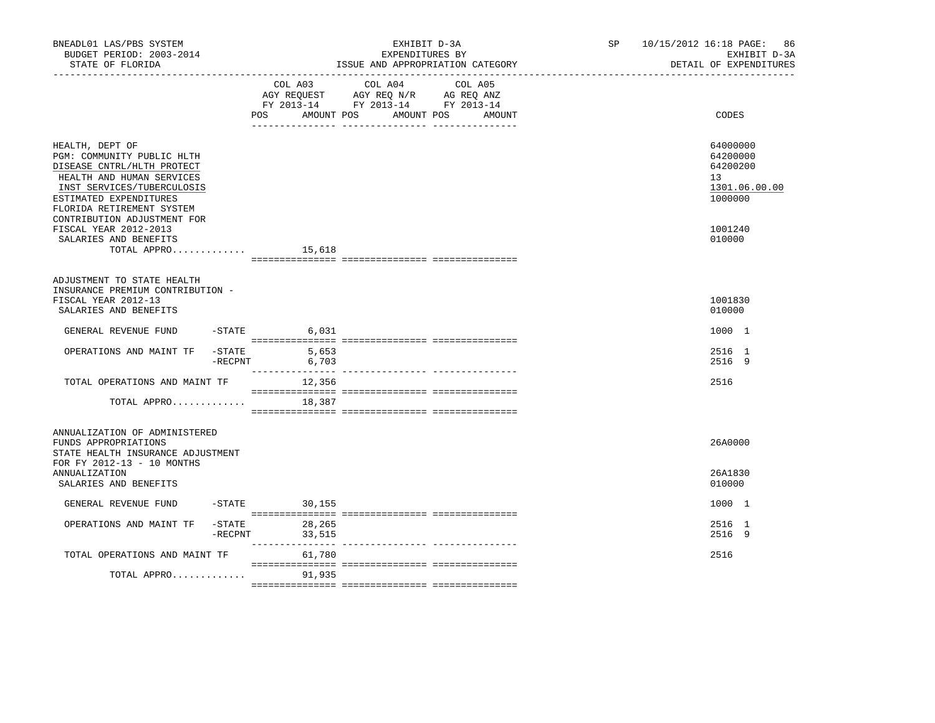| BNEADL01 LAS/PBS SYSTEM<br>BUDGET PERIOD: 2003-2014<br>STATE OF FLORIDA                                                                                                                       |                     | EXHIBIT D-3A<br>EXPENDITURES BY<br>ISSUE AND APPROPRIATION CATEGORY                                                                | SP and the set of the set of the set of the set of the set of the set of the set of the set of the set of the set of the set of the set of the set of the set of the set of the set of the set of the set of the set of the se | 10/15/2012 16:18 PAGE: 86<br>EXHIBIT D-3A<br>DETAIL OF EXPENDITURES |
|-----------------------------------------------------------------------------------------------------------------------------------------------------------------------------------------------|---------------------|------------------------------------------------------------------------------------------------------------------------------------|--------------------------------------------------------------------------------------------------------------------------------------------------------------------------------------------------------------------------------|---------------------------------------------------------------------|
|                                                                                                                                                                                               | COL A03<br>POS      | COL A04<br>COL A05<br>AGY REQUEST AGY REQ N/R AG REQ ANZ<br>FY 2013-14 FY 2013-14 FY 2013-14<br>AMOUNT POS<br>AMOUNT POS<br>AMOUNT |                                                                                                                                                                                                                                | CODES                                                               |
| HEALTH, DEPT OF<br>PGM: COMMUNITY PUBLIC HLTH<br>DISEASE CNTRL/HLTH PROTECT<br>HEALTH AND HUMAN SERVICES<br>INST SERVICES/TUBERCULOSIS<br>ESTIMATED EXPENDITURES<br>FLORIDA RETIREMENT SYSTEM |                     |                                                                                                                                    |                                                                                                                                                                                                                                | 64000000<br>64200000<br>64200200<br>13<br>1301.06.00.00<br>1000000  |
| CONTRIBUTION ADJUSTMENT FOR<br>FISCAL YEAR 2012-2013<br>SALARIES AND BENEFITS<br>TOTAL APPRO $15,618$                                                                                         |                     |                                                                                                                                    |                                                                                                                                                                                                                                | 1001240<br>010000                                                   |
| ADJUSTMENT TO STATE HEALTH<br>INSURANCE PREMIUM CONTRIBUTION -<br>FISCAL YEAR 2012-13<br>SALARIES AND BENEFITS                                                                                |                     |                                                                                                                                    |                                                                                                                                                                                                                                | 1001830<br>010000                                                   |
| GENERAL REVENUE FUND<br>$-$ STATE                                                                                                                                                             | 6,031               |                                                                                                                                    |                                                                                                                                                                                                                                | 1000 1                                                              |
| OPERATIONS AND MAINT TF<br>$-$ STATE<br>$-$ RECPNT                                                                                                                                            | 5,653<br>6,703      |                                                                                                                                    |                                                                                                                                                                                                                                | 2516 1<br>2516 9                                                    |
| TOTAL OPERATIONS AND MAINT TF                                                                                                                                                                 | 12,356              |                                                                                                                                    |                                                                                                                                                                                                                                | 2516                                                                |
| TOTAL APPRO                                                                                                                                                                                   | 18,387              |                                                                                                                                    |                                                                                                                                                                                                                                |                                                                     |
| ANNUALIZATION OF ADMINISTERED<br>FUNDS APPROPRIATIONS<br>STATE HEALTH INSURANCE ADJUSTMENT<br>FOR FY 2012-13 - 10 MONTHS                                                                      |                     |                                                                                                                                    |                                                                                                                                                                                                                                | 26A0000                                                             |
| ANNUALIZATION<br>SALARIES AND BENEFITS                                                                                                                                                        |                     |                                                                                                                                    |                                                                                                                                                                                                                                | 26A1830<br>010000                                                   |
| GENERAL REVENUE FUND                                                                                                                                                                          | $-$ STATE<br>30,155 |                                                                                                                                    |                                                                                                                                                                                                                                | 1000 1                                                              |
| $-$ STATE<br>OPERATIONS AND MAINT TF<br>$-$ RECPNT                                                                                                                                            | 28,265<br>33,515    |                                                                                                                                    |                                                                                                                                                                                                                                | 2516 1<br>2516 9                                                    |
| TOTAL OPERATIONS AND MAINT TF                                                                                                                                                                 | 61,780              |                                                                                                                                    |                                                                                                                                                                                                                                | 2516                                                                |
| TOTAL APPRO                                                                                                                                                                                   | 91,935              |                                                                                                                                    |                                                                                                                                                                                                                                |                                                                     |
|                                                                                                                                                                                               |                     |                                                                                                                                    |                                                                                                                                                                                                                                |                                                                     |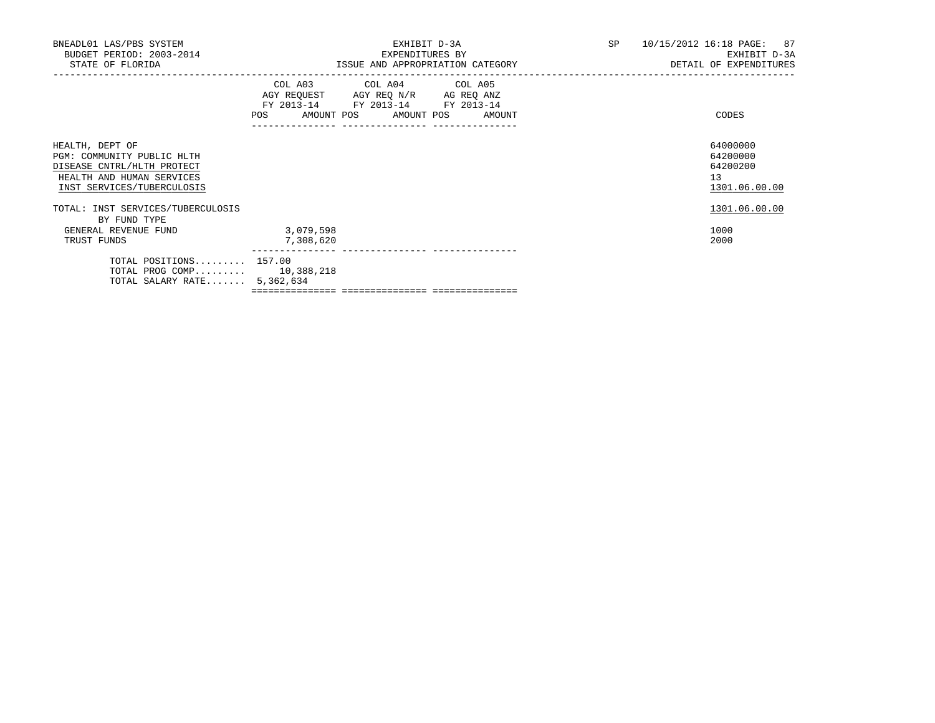| BNEADL01 LAS/PBS SYSTEM<br>BUDGET PERIOD: 2003-2014<br>STATE OF FLORIDA                                                                |                                                                                                                                       | EXHIBIT D-3A<br>EXPENDITURES BY<br>ISSUE AND APPROPRIATION CATEGORY | SP 10/15/2012 16:18 PAGE: 87<br>EXHIBIT D-3A<br>DETAIL OF EXPENDITURES |  |  |
|----------------------------------------------------------------------------------------------------------------------------------------|---------------------------------------------------------------------------------------------------------------------------------------|---------------------------------------------------------------------|------------------------------------------------------------------------|--|--|
|                                                                                                                                        | COL A03 COL A04 COL A05<br>AGY REQUEST AGY REQ N/R AG REQ ANZ<br>FY 2013-14 FY 2013-14 FY 2013-14<br>POS AMOUNT POS AMOUNT POS AMOUNT |                                                                     | CODES                                                                  |  |  |
| HEALTH, DEPT OF<br>PGM: COMMUNITY PUBLIC HLTH<br>DISEASE CNTRL/HLTH PROTECT<br>HEALTH AND HUMAN SERVICES<br>INST SERVICES/TUBERCULOSIS |                                                                                                                                       |                                                                     | 64000000<br>64200000<br>64200200<br>13<br>1301.06.00.00                |  |  |
| TOTAL: INST SERVICES/TUBERCULOSIS<br>BY FUND TYPE<br>GENERAL REVENUE FUND<br>TRUST FUNDS                                               | 3,079,598<br>7,308,620                                                                                                                |                                                                     | 1301.06.00.00<br>1000<br>2000                                          |  |  |
| TOTAL POSITIONS 157.00<br>TOTAL PROG COMP 10,388,218<br>TOTAL SALARY RATE $5,362,634$                                                  |                                                                                                                                       |                                                                     |                                                                        |  |  |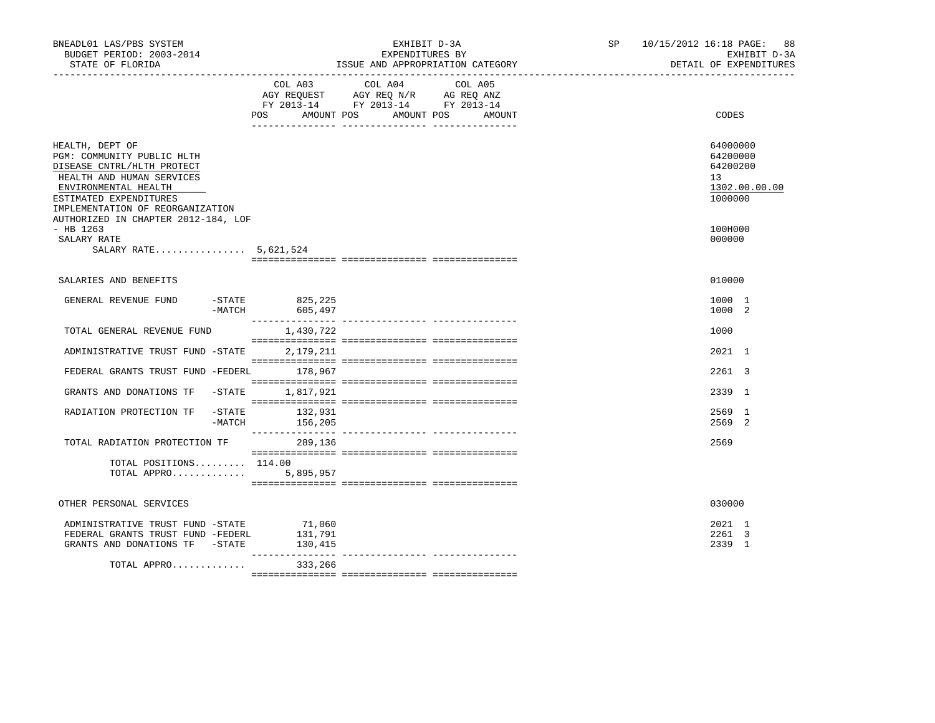| BNEADL01 LAS/PBS SYSTEM<br>BUDGET PERIOD: 2003-2014<br>STATE OF FLORIDA                                                                                                                        |                              | EXHIBIT D-3A<br>EXPENDITURES BY<br>ISSUE AND APPROPRIATION CATEGORY                                                                        | SP 10/15/2012 16:18 PAGE: | 88<br>EXHIBIT D-3A<br>DETAIL OF EXPENDITURES                       |
|------------------------------------------------------------------------------------------------------------------------------------------------------------------------------------------------|------------------------------|--------------------------------------------------------------------------------------------------------------------------------------------|---------------------------|--------------------------------------------------------------------|
|                                                                                                                                                                                                | POS                          | COL A03 COL A04<br>COL A05<br>AGY REQUEST AGY REQ N/R AG REQ ANZ<br>FY 2013-14 FY 2013-14 FY 2013-14<br>AMOUNT POS<br>AMOUNT POS<br>AMOUNT |                           | CODES                                                              |
| HEALTH, DEPT OF<br>PGM: COMMUNITY PUBLIC HLTH<br>DISEASE CNTRL/HLTH PROTECT<br>HEALTH AND HUMAN SERVICES<br>ENVIRONMENTAL HEALTH<br>ESTIMATED EXPENDITURES<br>IMPLEMENTATION OF REORGANIZATION |                              |                                                                                                                                            |                           | 64000000<br>64200000<br>64200200<br>13<br>1302.00.00.00<br>1000000 |
| AUTHORIZED IN CHAPTER 2012-184, LOF<br>$-$ HB 1263<br>SALARY RATE<br>SALARY RATE 5,621,524                                                                                                     |                              |                                                                                                                                            |                           | 100H000<br>000000                                                  |
| SALARIES AND BENEFITS                                                                                                                                                                          |                              |                                                                                                                                            |                           | 010000                                                             |
| GENERAL REVENUE FUND<br>$-MATCH$                                                                                                                                                               | -STATE 825,225<br>605,497    |                                                                                                                                            |                           | 1000 1<br>1000 2                                                   |
| TOTAL GENERAL REVENUE FUND                                                                                                                                                                     | 1,430,722                    |                                                                                                                                            |                           | 1000                                                               |
| ADMINISTRATIVE TRUST FUND -STATE                                                                                                                                                               | 2,179,211                    |                                                                                                                                            |                           | 2021 1                                                             |
| FEDERAL GRANTS TRUST FUND -FEDERL                                                                                                                                                              | 178,967                      |                                                                                                                                            |                           | 2261 3                                                             |
| GRANTS AND DONATIONS TF -STATE                                                                                                                                                                 | 1,817,921                    |                                                                                                                                            |                           | 2339 1                                                             |
| $-$ STATE<br>RADIATION PROTECTION TF                                                                                                                                                           | 132,931<br>-MATCH 156,205    |                                                                                                                                            |                           | 2569 1<br>2569 2                                                   |
| TOTAL RADIATION PROTECTION TF                                                                                                                                                                  | 289,136                      |                                                                                                                                            |                           | 2569                                                               |
| TOTAL POSITIONS 114.00<br>TOTAL APPRO                                                                                                                                                          | 5,895,957                    |                                                                                                                                            |                           |                                                                    |
| OTHER PERSONAL SERVICES                                                                                                                                                                        |                              |                                                                                                                                            |                           | 030000                                                             |
| ADMINISTRATIVE TRUST FUND -STATE<br>FEDERAL GRANTS TRUST FUND -FEDERL<br>GRANTS AND DONATIONS TF -STATE                                                                                        | 71,060<br>131,791<br>130,415 |                                                                                                                                            |                           | 2021 1<br>2261 3<br>2339 1                                         |
| TOTAL APPRO                                                                                                                                                                                    | 333,266                      |                                                                                                                                            |                           |                                                                    |
|                                                                                                                                                                                                |                              |                                                                                                                                            |                           |                                                                    |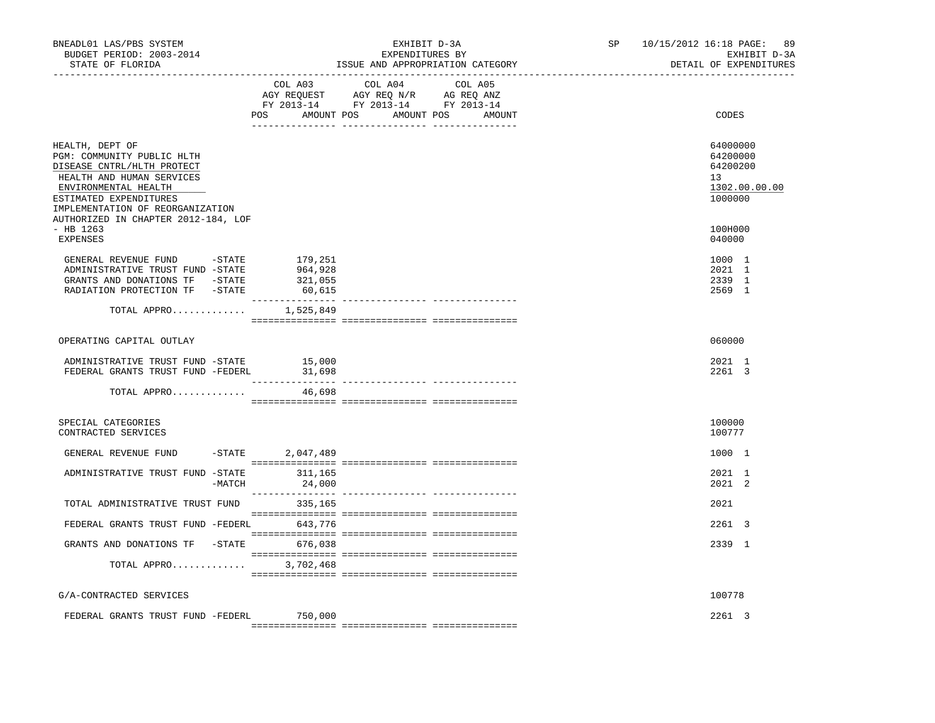| BNEADL01 LAS/PBS SYSTEM<br>BUDGET PERIOD: 2003-2014<br>STATE OF FLORIDA                                                                                                                                                               | -----------------------------           | EXHIBIT D-3A<br>EXPENDITURES BY<br>ISSUE AND APPROPRIATION CATEGORY                                                              | SP | 10/15/2012 16:18 PAGE:<br>89<br>EXHIBIT D-3A<br>DETAIL OF EXPENDITURES |
|---------------------------------------------------------------------------------------------------------------------------------------------------------------------------------------------------------------------------------------|-----------------------------------------|----------------------------------------------------------------------------------------------------------------------------------|----|------------------------------------------------------------------------|
|                                                                                                                                                                                                                                       | COL A03                                 | COL A04<br>COL A05<br>AGY REQUEST AGY REQ N/R AG REQ ANZ<br>FY 2013-14 FY 2013-14 FY 2013-14<br>POS AMOUNT POS AMOUNT POS AMOUNT |    | CODES                                                                  |
| HEALTH, DEPT OF<br>PGM: COMMUNITY PUBLIC HLTH<br>DISEASE CNTRL/HLTH PROTECT<br>HEALTH AND HUMAN SERVICES<br>ENVIRONMENTAL HEALTH<br>ESTIMATED EXPENDITURES<br>IMPLEMENTATION OF REORGANIZATION<br>AUTHORIZED IN CHAPTER 2012-184, LOF |                                         |                                                                                                                                  |    | 64000000<br>64200000<br>64200200<br>13<br>1302.00.00.00<br>1000000     |
| $-$ HB 1263<br>EXPENSES                                                                                                                                                                                                               |                                         |                                                                                                                                  |    | 100H000<br>040000                                                      |
| GENERAL REVENUE FUND -STATE<br>ADMINISTRATIVE TRUST FUND -STATE<br>GRANTS AND DONATIONS TF -STATE<br>RADIATION PROTECTION TF -STATE                                                                                                   | 179,251<br>964,928<br>321,055<br>60,615 |                                                                                                                                  |    | 1000 1<br>2021 1<br>2339 1<br>2569 1                                   |
|                                                                                                                                                                                                                                       | TOTAL APPRO $1,525,849$                 |                                                                                                                                  |    |                                                                        |
| OPERATING CAPITAL OUTLAY                                                                                                                                                                                                              |                                         |                                                                                                                                  |    | 060000                                                                 |
| ADMINISTRATIVE TRUST FUND -STATE 15,000<br>FEDERAL GRANTS TRUST FUND -FEDERL                                                                                                                                                          | 31,698                                  |                                                                                                                                  |    | 2021 1<br>2261 3                                                       |
| TOTAL APPRO                                                                                                                                                                                                                           | 46,698                                  |                                                                                                                                  |    |                                                                        |
| SPECIAL CATEGORIES<br>CONTRACTED SERVICES                                                                                                                                                                                             |                                         |                                                                                                                                  |    | 100000<br>100777                                                       |
| GENERAL REVENUE FUND                                                                                                                                                                                                                  | $-$ STATE 2,047,489                     |                                                                                                                                  |    | 1000 1                                                                 |
| ADMINISTRATIVE TRUST FUND -STATE 311,165                                                                                                                                                                                              | 24,000<br>-MATCH                        |                                                                                                                                  |    | 2021 1<br>2021 2                                                       |
| TOTAL ADMINISTRATIVE TRUST FUND                                                                                                                                                                                                       | 335,165                                 |                                                                                                                                  |    | 2021                                                                   |
| FEDERAL GRANTS TRUST FUND -FEDERL 643,776                                                                                                                                                                                             |                                         |                                                                                                                                  |    | $2261 \quad 3$                                                         |
| GRANTS AND DONATIONS TF -STATE 676,038                                                                                                                                                                                                |                                         |                                                                                                                                  |    | 2339 1                                                                 |
|                                                                                                                                                                                                                                       | TOTAL APPRO 3,702,468                   |                                                                                                                                  |    |                                                                        |
| G/A-CONTRACTED SERVICES                                                                                                                                                                                                               |                                         |                                                                                                                                  |    | 100778                                                                 |
| FEDERAL GRANTS TRUST FUND -FEDERL                                                                                                                                                                                                     | 750,000                                 |                                                                                                                                  |    | 2261 3                                                                 |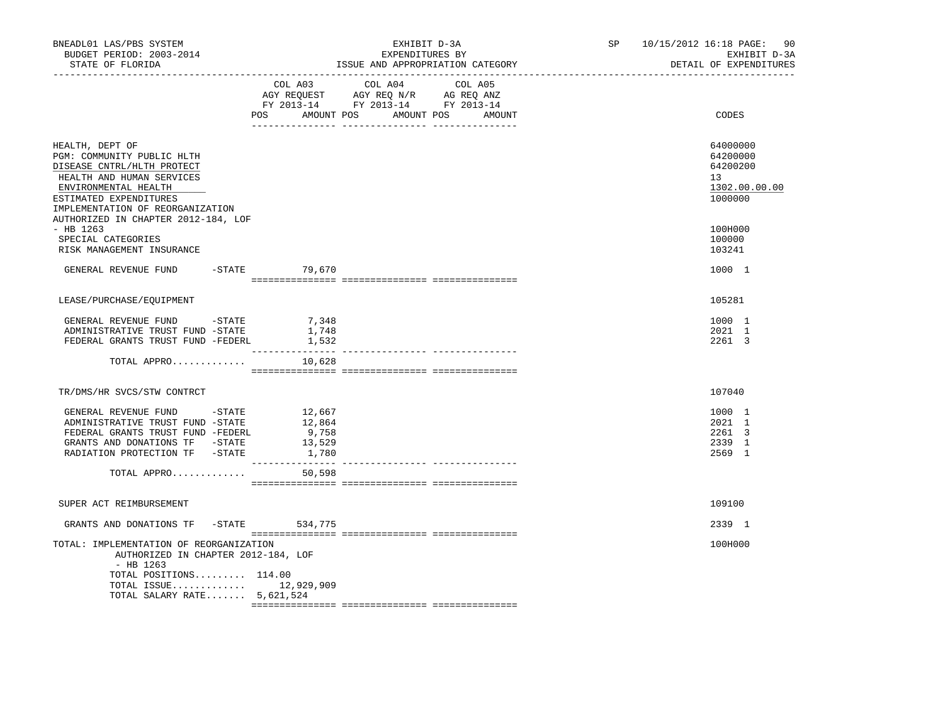| BNEADL01 LAS/PBS SYSTEM<br>BUDGET PERIOD: 2003-2014<br>STATE OF FLORIDA                                                                                                                        |                 | EXHIBIT D-3A<br>EXPENDITURES BY<br>ISSUE AND APPROPRIATION CATEGORY                                                                   | SP 10/15/2012 16:18 PAGE:<br>90<br>EXHIBIT D-3A<br>DETAIL OF EXPENDITURES |
|------------------------------------------------------------------------------------------------------------------------------------------------------------------------------------------------|-----------------|---------------------------------------------------------------------------------------------------------------------------------------|---------------------------------------------------------------------------|
|                                                                                                                                                                                                |                 | COL A03 COL A04 COL A05<br>AGY REQUEST AGY REQ N/R AG REQ ANZ<br>FY 2013-14 FY 2013-14 FY 2013-14<br>POS AMOUNT POS AMOUNT POS AMOUNT | CODES                                                                     |
|                                                                                                                                                                                                |                 |                                                                                                                                       |                                                                           |
| HEALTH, DEPT OF<br>PGM: COMMUNITY PUBLIC HLTH<br>DISEASE CNTRL/HLTH PROTECT<br>HEALTH AND HUMAN SERVICES<br>ENVIRONMENTAL HEALTH<br>ESTIMATED EXPENDITURES<br>IMPLEMENTATION OF REORGANIZATION |                 |                                                                                                                                       | 64000000<br>64200000<br>64200200<br>13<br>1302.00.00.00<br>1000000        |
| AUTHORIZED IN CHAPTER 2012-184, LOF<br>$-$ HB 1263<br>SPECIAL CATEGORIES                                                                                                                       |                 |                                                                                                                                       | 100H000<br>100000                                                         |
| RISK MANAGEMENT INSURANCE                                                                                                                                                                      |                 |                                                                                                                                       | 103241                                                                    |
| GENERAL REVENUE FUND                                                                                                                                                                           | -STATE 79,670   |                                                                                                                                       | 1000 1                                                                    |
| LEASE/PURCHASE/EOUIPMENT                                                                                                                                                                       |                 |                                                                                                                                       | 105281                                                                    |
|                                                                                                                                                                                                |                 |                                                                                                                                       |                                                                           |
| GENERAL REVENUE FUND - STATE<br>ADMINISTRATIVE TRUST FUND -STATE                                                                                                                               | 7,348<br>1,748  |                                                                                                                                       | 1000 1<br>2021 1                                                          |
| FEDERAL GRANTS TRUST FUND -FEDERL                                                                                                                                                              | 1,532           |                                                                                                                                       | 2261 3                                                                    |
| TOTAL APPRO                                                                                                                                                                                    | 10,628          |                                                                                                                                       |                                                                           |
| TR/DMS/HR SVCS/STW CONTRCT                                                                                                                                                                     |                 |                                                                                                                                       | 107040                                                                    |
|                                                                                                                                                                                                |                 |                                                                                                                                       |                                                                           |
| GENERAL REVENUE FUND -STATE 12,667                                                                                                                                                             |                 |                                                                                                                                       | 1000 1                                                                    |
| ADMINISTRATIVE TRUST FUND -STATE<br>FEDERAL GRANTS TRUST FUND -FEDERL                                                                                                                          | 12,864<br>9,758 |                                                                                                                                       | 2021 1<br>2261 3                                                          |
| GRANTS AND DONATIONS TF -STATE                                                                                                                                                                 | 13,529          |                                                                                                                                       | 2339 1                                                                    |
| RADIATION PROTECTION TF -STATE                                                                                                                                                                 | 1,780           |                                                                                                                                       | 2569 1                                                                    |
| TOTAL APPRO                                                                                                                                                                                    | 50,598          |                                                                                                                                       |                                                                           |
|                                                                                                                                                                                                |                 |                                                                                                                                       |                                                                           |
| SUPER ACT REIMBURSEMENT                                                                                                                                                                        |                 |                                                                                                                                       | 109100                                                                    |
| GRANTS AND DONATIONS TF - STATE 534,775                                                                                                                                                        |                 |                                                                                                                                       | 2339 1                                                                    |
| TOTAL: IMPLEMENTATION OF REORGANIZATION<br>AUTHORIZED IN CHAPTER 2012-184, LOF<br>- HB 1263                                                                                                    |                 |                                                                                                                                       | 100H000                                                                   |
| TOTAL POSITIONS 114.00<br>TOTAL ISSUE 12,929,909<br>TOTAL SALARY RATE 5,621,524                                                                                                                |                 |                                                                                                                                       |                                                                           |
|                                                                                                                                                                                                |                 |                                                                                                                                       |                                                                           |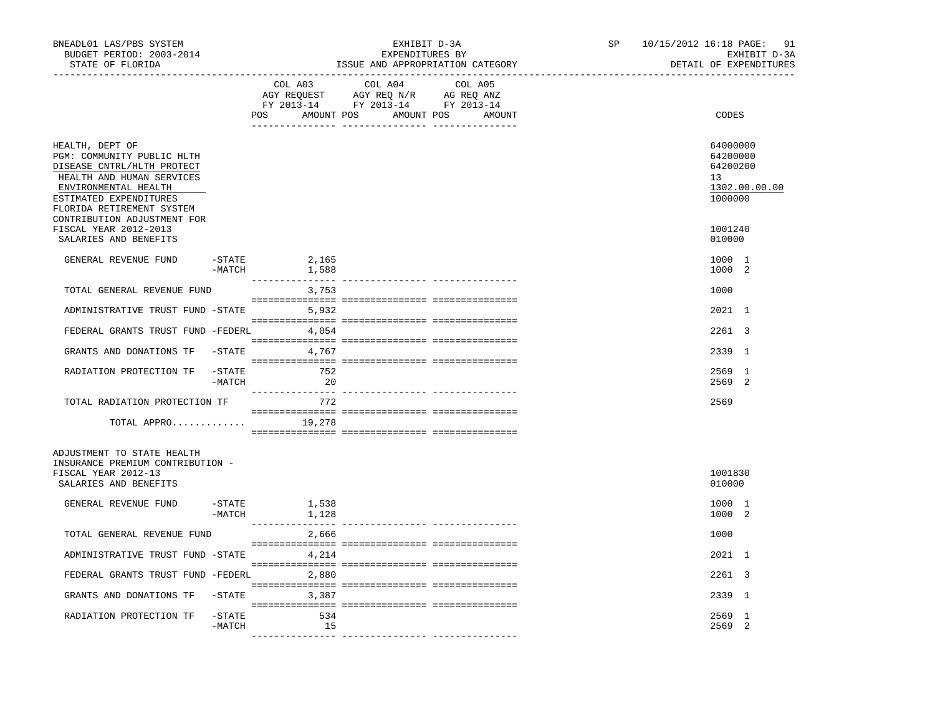| BNEADL01 LAS/PBS SYSTEM<br>BUDGET PERIOD: 2003-2014<br>STATE OF FLORIDA                                                                                                                 |                     | --------------------------------- | EXHIBIT D-3A<br>EXPENDITURES BY<br>ISSUE AND APPROPRIATION CATEGORY                                                   | SP<br>------------------------------- | 10/15/2012 16:18 PAGE: 91<br>EXHIBIT D-3A<br>DETAIL OF EXPENDITURES |                                                                    |
|-----------------------------------------------------------------------------------------------------------------------------------------------------------------------------------------|---------------------|-----------------------------------|-----------------------------------------------------------------------------------------------------------------------|---------------------------------------|---------------------------------------------------------------------|--------------------------------------------------------------------|
|                                                                                                                                                                                         |                     | COL A03                           | COL A04<br>AGY REQUEST AGY REQ N/R AG REQ ANZ<br>FY 2013-14 FY 2013-14 FY 2013-14<br>POS AMOUNT POS AMOUNT POS AMOUNT | COL A05                               |                                                                     | CODES                                                              |
| HEALTH, DEPT OF<br>PGM: COMMUNITY PUBLIC HLTH<br>DISEASE CNTRL/HLTH PROTECT<br>HEALTH AND HUMAN SERVICES<br>ENVIRONMENTAL HEALTH<br>ESTIMATED EXPENDITURES<br>FLORIDA RETIREMENT SYSTEM |                     |                                   |                                                                                                                       |                                       |                                                                     | 64000000<br>64200000<br>64200200<br>13<br>1302.00.00.00<br>1000000 |
| CONTRIBUTION ADJUSTMENT FOR<br>FISCAL YEAR 2012-2013<br>SALARIES AND BENEFITS                                                                                                           |                     |                                   |                                                                                                                       |                                       |                                                                     | 1001240<br>010000                                                  |
| GENERAL REVENUE FUND                                                                                                                                                                    | -STATE<br>$-MATCH$  | 2,165<br>1,588                    |                                                                                                                       |                                       |                                                                     | 1000 1<br>1000 2                                                   |
| TOTAL GENERAL REVENUE FUND                                                                                                                                                              |                     | 3,753                             |                                                                                                                       |                                       |                                                                     | 1000                                                               |
| ADMINISTRATIVE TRUST FUND -STATE 5,932                                                                                                                                                  |                     |                                   |                                                                                                                       |                                       |                                                                     | 2021 1                                                             |
| FEDERAL GRANTS TRUST FUND -FEDERL 4,054                                                                                                                                                 |                     |                                   |                                                                                                                       |                                       |                                                                     | 2261 3                                                             |
| GRANTS AND DONATIONS TF -STATE 4,767                                                                                                                                                    |                     |                                   |                                                                                                                       |                                       |                                                                     | 2339 1                                                             |
| RADIATION PROTECTION TF                                                                                                                                                                 | -STATE<br>-MATCH    | 752<br>20                         |                                                                                                                       |                                       |                                                                     | 2569 1<br>2569<br>-2                                               |
| TOTAL RADIATION PROTECTION TF                                                                                                                                                           |                     | 772                               |                                                                                                                       |                                       |                                                                     | 2569                                                               |
| TOTAL APPRO                                                                                                                                                                             |                     | 19,278                            |                                                                                                                       |                                       |                                                                     |                                                                    |
| ADJUSTMENT TO STATE HEALTH<br>INSURANCE PREMIUM CONTRIBUTION -<br>FISCAL YEAR 2012-13<br>SALARIES AND BENEFITS                                                                          |                     |                                   |                                                                                                                       |                                       |                                                                     | 1001830<br>010000                                                  |
| GENERAL REVENUE FUND                                                                                                                                                                    | -STATE<br>$-MATCH$  | 1,538<br>1,128                    |                                                                                                                       |                                       |                                                                     | 1000 1<br>1000 2                                                   |
| TOTAL GENERAL REVENUE FUND                                                                                                                                                              |                     | 2,666                             |                                                                                                                       |                                       |                                                                     | 1000                                                               |
| ADMINISTRATIVE TRUST FUND -STATE                                                                                                                                                        |                     | 4,214                             |                                                                                                                       |                                       |                                                                     | 2021 1                                                             |
| FEDERAL GRANTS TRUST FUND -FEDERL 2,880                                                                                                                                                 |                     |                                   |                                                                                                                       |                                       |                                                                     | 2261 3                                                             |
| GRANTS AND DONATIONS TF                                                                                                                                                                 | -STATE              | 3,387                             |                                                                                                                       |                                       |                                                                     | 2339 1                                                             |
| RADIATION PROTECTION TF                                                                                                                                                                 | $-$ STATE<br>-MATCH | 534<br>15                         |                                                                                                                       |                                       |                                                                     | 2569 1<br>2569<br>-2                                               |
|                                                                                                                                                                                         |                     |                                   |                                                                                                                       |                                       |                                                                     |                                                                    |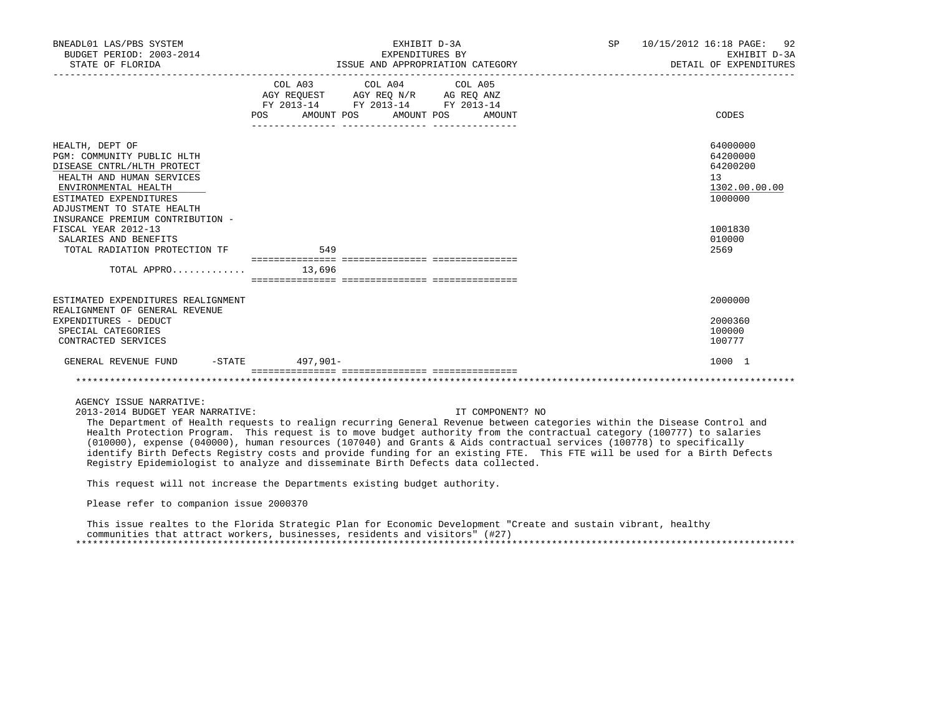| BNEADL01 LAS/PBS SYSTEM<br>BUDGET PERIOD: 2003-2014<br>STATE OF FLORIDA                                                                                                                                                                                                                                       |                     | EXHIBIT D-3A<br>EXPENDITURES BY<br>ISSUE AND APPROPRIATION CATEGORY                                                                                                                                                                                                                                             | SP | 10/15/2012 16:18 PAGE: 92<br>EXHIBIT D-3A<br>DETAIL OF EXPENDITURES                             |
|---------------------------------------------------------------------------------------------------------------------------------------------------------------------------------------------------------------------------------------------------------------------------------------------------------------|---------------------|-----------------------------------------------------------------------------------------------------------------------------------------------------------------------------------------------------------------------------------------------------------------------------------------------------------------|----|-------------------------------------------------------------------------------------------------|
|                                                                                                                                                                                                                                                                                                               | <b>POS</b>          | COL A03 COL A04 COL A05<br>$\begin{tabular}{lllllll} \bf AGY \,\, &\bf REQUEST \,\, &\bf AGY \,\, &\bf REQ \,\, &\bf N/R \,\, &\bf AG \,\, &\bf REQ \,\, &\bf ANZ \,\, \\ \bf FY \,\, &\bf 2013-14 \,\, &\bf FY \,\, &\bf 2013-14 \,\, &\bf FY \,\, &\bf 2013-14 \end{tabular}$<br>AMOUNT POS AMOUNT POS AMOUNT |    | CODES                                                                                           |
| HEALTH, DEPT OF<br>PGM: COMMUNITY PUBLIC HLTH<br>DISEASE CNTRL/HLTH PROTECT<br>HEALTH AND HUMAN SERVICES<br>ENVIRONMENTAL HEALTH<br>ESTIMATED EXPENDITURES<br>ADJUSTMENT TO STATE HEALTH<br>INSURANCE PREMIUM CONTRIBUTION -<br>FISCAL YEAR 2012-13<br>SALARIES AND BENEFITS<br>TOTAL RADIATION PROTECTION TF | 549                 |                                                                                                                                                                                                                                                                                                                 |    | 64000000<br>64200000<br>64200200<br>13<br>1302.00.00.00<br>1000000<br>1001830<br>010000<br>2569 |
| TOTAL APPRO                                                                                                                                                                                                                                                                                                   | 13,696              |                                                                                                                                                                                                                                                                                                                 |    |                                                                                                 |
| ESTIMATED EXPENDITURES REALIGNMENT<br>REALIGNMENT OF GENERAL REVENUE<br>EXPENDITURES - DEDUCT<br>SPECIAL CATEGORIES<br>CONTRACTED SERVICES                                                                                                                                                                    |                     |                                                                                                                                                                                                                                                                                                                 |    | 2000000<br>2000360<br>100000<br>100777                                                          |
| GENERAL REVENUE FUND                                                                                                                                                                                                                                                                                          | $-$ STATE 497, 901- |                                                                                                                                                                                                                                                                                                                 |    | 1000 1                                                                                          |
|                                                                                                                                                                                                                                                                                                               |                     |                                                                                                                                                                                                                                                                                                                 |    |                                                                                                 |

AGENCY ISSUE NARRATIVE:

2013-2014 BUDGET YEAR NARRATIVE: IT COMPONENT? NO

 The Department of Health requests to realign recurring General Revenue between categories within the Disease Control and Health Protection Program. This request is to move budget authority from the contractual category (100777) to salaries (010000), expense (040000), human resources (107040) and Grants & Aids contractual services (100778) to specifically identify Birth Defects Registry costs and provide funding for an existing FTE. This FTE will be used for a Birth Defects Registry Epidemiologist to analyze and disseminate Birth Defects data collected.

This request will not increase the Departments existing budget authority.

Please refer to companion issue 2000370

 This issue realtes to the Florida Strategic Plan for Economic Development "Create and sustain vibrant, healthy communities that attract workers, businesses, residents and visitors" (#27) \*\*\*\*\*\*\*\*\*\*\*\*\*\*\*\*\*\*\*\*\*\*\*\*\*\*\*\*\*\*\*\*\*\*\*\*\*\*\*\*\*\*\*\*\*\*\*\*\*\*\*\*\*\*\*\*\*\*\*\*\*\*\*\*\*\*\*\*\*\*\*\*\*\*\*\*\*\*\*\*\*\*\*\*\*\*\*\*\*\*\*\*\*\*\*\*\*\*\*\*\*\*\*\*\*\*\*\*\*\*\*\*\*\*\*\*\*\*\*\*\*\*\*\*\*\*\*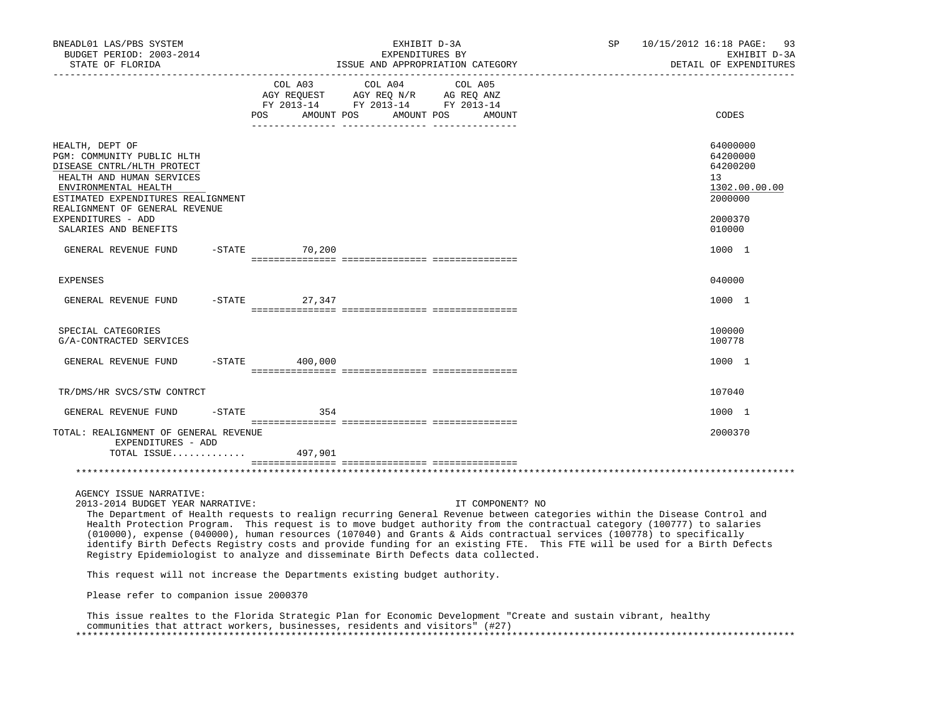| BNEADL01 LAS/PBS SYSTEM<br>BUDGET PERIOD: 2003-2014<br>STATE OF FLORIDA                                                                                                                                  |           |                     |         | EXHIBIT D-3A<br>EXPENDITURES BY<br>ISSUE AND APPROPRIATION CATEGORY                                                                                                                                                                                                                                                                                                                                                                                                                                                                                                                                            | SP | 10/15/2012 16:18 PAGE: 93<br>EXHIBIT D-3A<br>DETAIL OF EXPENDITURES |
|----------------------------------------------------------------------------------------------------------------------------------------------------------------------------------------------------------|-----------|---------------------|---------|----------------------------------------------------------------------------------------------------------------------------------------------------------------------------------------------------------------------------------------------------------------------------------------------------------------------------------------------------------------------------------------------------------------------------------------------------------------------------------------------------------------------------------------------------------------------------------------------------------------|----|---------------------------------------------------------------------|
|                                                                                                                                                                                                          |           | COL A03<br>POS      | COL A04 | COL A05<br>AGY REQUEST AGY REQ N/R AG REQ ANZ<br>FY 2013-14 FY 2013-14 FY 2013-14<br>AMOUNT POS AMOUNT POS AMOUNT                                                                                                                                                                                                                                                                                                                                                                                                                                                                                              |    | CODES                                                               |
| HEALTH, DEPT OF<br>PGM: COMMUNITY PUBLIC HLTH<br>DISEASE CNTRL/HLTH PROTECT<br>HEALTH AND HUMAN SERVICES<br>ENVIRONMENTAL HEALTH<br>ESTIMATED EXPENDITURES REALIGNMENT<br>REALIGNMENT OF GENERAL REVENUE |           |                     |         |                                                                                                                                                                                                                                                                                                                                                                                                                                                                                                                                                                                                                |    | 64000000<br>64200000<br>64200200<br>13<br>1302.00.00.00<br>2000000  |
| EXPENDITURES - ADD<br>SALARIES AND BENEFITS                                                                                                                                                              |           |                     |         |                                                                                                                                                                                                                                                                                                                                                                                                                                                                                                                                                                                                                |    | 2000370<br>010000                                                   |
| GENERAL REVENUE FUND                                                                                                                                                                                     |           | $-STATE$ 70,200     |         |                                                                                                                                                                                                                                                                                                                                                                                                                                                                                                                                                                                                                |    | 1000 1                                                              |
| <b>EXPENSES</b>                                                                                                                                                                                          |           |                     |         |                                                                                                                                                                                                                                                                                                                                                                                                                                                                                                                                                                                                                |    | 040000                                                              |
| GENERAL REVENUE FUND                                                                                                                                                                                     |           | $-$ STATE<br>27,347 |         |                                                                                                                                                                                                                                                                                                                                                                                                                                                                                                                                                                                                                |    | 1000 1                                                              |
| SPECIAL CATEGORIES<br>G/A-CONTRACTED SERVICES                                                                                                                                                            |           |                     |         |                                                                                                                                                                                                                                                                                                                                                                                                                                                                                                                                                                                                                |    | 100000<br>100778                                                    |
| GENERAL REVENUE FUND                                                                                                                                                                                     | $-$ STATE | 400,000             |         |                                                                                                                                                                                                                                                                                                                                                                                                                                                                                                                                                                                                                |    | 1000 1                                                              |
| TR/DMS/HR SVCS/STW CONTRCT                                                                                                                                                                               |           |                     |         |                                                                                                                                                                                                                                                                                                                                                                                                                                                                                                                                                                                                                |    | 107040                                                              |
| GENERAL REVENUE FUND                                                                                                                                                                                     | -STATE    | 354                 |         |                                                                                                                                                                                                                                                                                                                                                                                                                                                                                                                                                                                                                |    | 1000 1                                                              |
| TOTAL: REALIGNMENT OF GENERAL REVENUE<br>EXPENDITURES - ADD<br>TOTAL ISSUE                                                                                                                               |           | 497,901             |         |                                                                                                                                                                                                                                                                                                                                                                                                                                                                                                                                                                                                                |    | 2000370                                                             |
|                                                                                                                                                                                                          |           |                     |         |                                                                                                                                                                                                                                                                                                                                                                                                                                                                                                                                                                                                                |    |                                                                     |
| AGENCY ISSUE NARRATIVE:<br>2013-2014 BUDGET YEAR NARRATIVE:                                                                                                                                              |           |                     |         | IT COMPONENT? NO<br>The Department of Health requests to realign recurring General Revenue between categories within the Disease Control and<br>Health Protection Program. This request is to move budget authority from the contractual category (100777) to salaries<br>(010000), expense (040000), human resources (107040) and Grants & Aids contractual services (100778) to specifically<br>identify Birth Defects Registry costs and provide funding for an existing FTE. This FTE will be used for a Birth Defects<br>Registry Epidemiologist to analyze and disseminate Birth Defects data collected. |    |                                                                     |
| This request will not increase the Departments existing budget authority.                                                                                                                                |           |                     |         |                                                                                                                                                                                                                                                                                                                                                                                                                                                                                                                                                                                                                |    |                                                                     |
| Please refer to companion issue 2000370                                                                                                                                                                  |           |                     |         |                                                                                                                                                                                                                                                                                                                                                                                                                                                                                                                                                                                                                |    |                                                                     |
|                                                                                                                                                                                                          |           |                     |         | Mbia iaano meelkaa ka kha Mlanida Aknekaala Blag fan Magaamia Banelamaanka Amarka ama angkalu nihoomka baalkho                                                                                                                                                                                                                                                                                                                                                                                                                                                                                                 |    |                                                                     |

 This issue realtes to the Florida Strategic Plan for Economic Development "Create and sustain vibrant, healthy communities that attract workers, businesses, residents and visitors" (#27) \*\*\*\*\*\*\*\*\*\*\*\*\*\*\*\*\*\*\*\*\*\*\*\*\*\*\*\*\*\*\*\*\*\*\*\*\*\*\*\*\*\*\*\*\*\*\*\*\*\*\*\*\*\*\*\*\*\*\*\*\*\*\*\*\*\*\*\*\*\*\*\*\*\*\*\*\*\*\*\*\*\*\*\*\*\*\*\*\*\*\*\*\*\*\*\*\*\*\*\*\*\*\*\*\*\*\*\*\*\*\*\*\*\*\*\*\*\*\*\*\*\*\*\*\*\*\*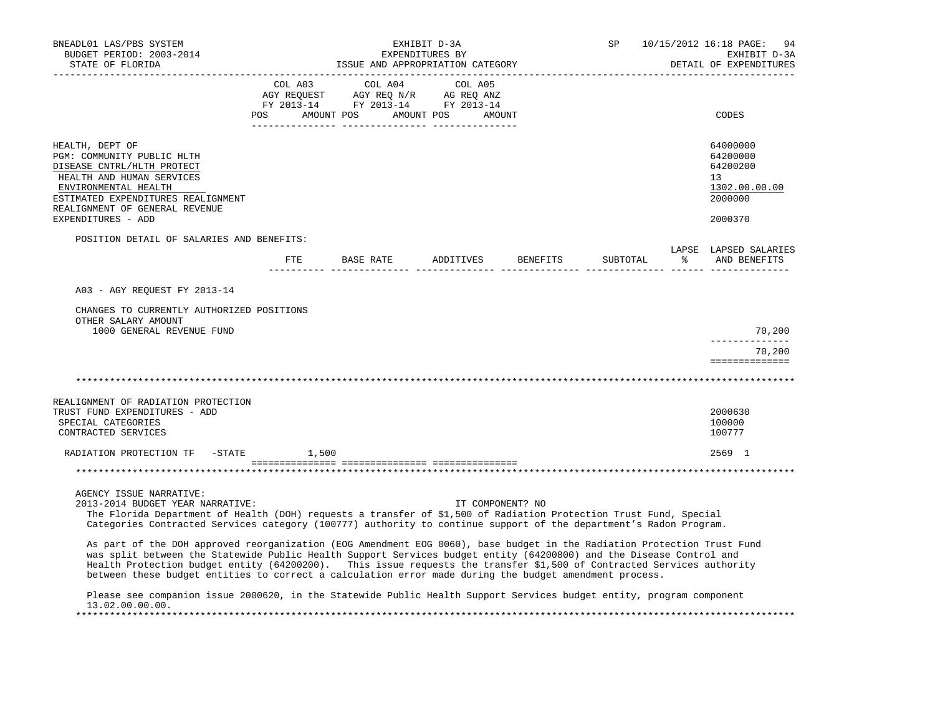| BNEADL01 LAS/PBS SYSTEM<br>BUDGET PERIOD: 2003-2014<br>STATE OF FLORIDA                                                                                                                                                                                                                                                                                                                                                                                                                                                                                                                                                                                                                                                                                                                    |                                                                                                                | EXHIBIT D-3A<br>EXPENDITURES BY | ISSUE AND APPROPRIATION CATEGORY |        |                  | SP       |   | 10/15/2012 16:18 PAGE:<br>94<br>EXHIBIT D-3A<br>DETAIL OF EXPENDITURES |
|--------------------------------------------------------------------------------------------------------------------------------------------------------------------------------------------------------------------------------------------------------------------------------------------------------------------------------------------------------------------------------------------------------------------------------------------------------------------------------------------------------------------------------------------------------------------------------------------------------------------------------------------------------------------------------------------------------------------------------------------------------------------------------------------|----------------------------------------------------------------------------------------------------------------|---------------------------------|----------------------------------|--------|------------------|----------|---|------------------------------------------------------------------------|
|                                                                                                                                                                                                                                                                                                                                                                                                                                                                                                                                                                                                                                                                                                                                                                                            | COL A03<br>AGY REQUEST AGY REQ N/R AG REQ ANZ<br>FY 2013-14 FY 2013-14 FY 2013-14<br>POS AMOUNT POS AMOUNT POS | COL A04                         | COL A05                          | AMOUNT |                  |          |   | CODES                                                                  |
| HEALTH, DEPT OF<br>PGM: COMMUNITY PUBLIC HLTH<br>DISEASE CNTRL/HLTH PROTECT<br>HEALTH AND HUMAN SERVICES<br>ENVIRONMENTAL HEALTH<br>ESTIMATED EXPENDITURES REALIGNMENT<br>REALIGNMENT OF GENERAL REVENUE                                                                                                                                                                                                                                                                                                                                                                                                                                                                                                                                                                                   |                                                                                                                |                                 |                                  |        |                  |          |   | 64000000<br>64200000<br>64200200<br>13<br>1302.00.00.00<br>2000000     |
| EXPENDITURES - ADD                                                                                                                                                                                                                                                                                                                                                                                                                                                                                                                                                                                                                                                                                                                                                                         |                                                                                                                |                                 |                                  |        |                  |          |   | 2000370                                                                |
| POSITION DETAIL OF SALARIES AND BENEFITS:                                                                                                                                                                                                                                                                                                                                                                                                                                                                                                                                                                                                                                                                                                                                                  |                                                                                                                |                                 |                                  |        |                  |          |   | LAPSE LAPSED SALARIES                                                  |
|                                                                                                                                                                                                                                                                                                                                                                                                                                                                                                                                                                                                                                                                                                                                                                                            | ETE                                                                                                            | BASE RATE                       | ADDITIVES                        |        | BENEFITS         | SUBTOTAL | ៖ | AND BENEFITS                                                           |
| A03 - AGY REOUEST FY 2013-14<br>CHANGES TO CURRENTLY AUTHORIZED POSITIONS<br>OTHER SALARY AMOUNT<br>1000 GENERAL REVENUE FUND                                                                                                                                                                                                                                                                                                                                                                                                                                                                                                                                                                                                                                                              |                                                                                                                |                                 |                                  |        |                  |          |   | 70,200                                                                 |
|                                                                                                                                                                                                                                                                                                                                                                                                                                                                                                                                                                                                                                                                                                                                                                                            |                                                                                                                |                                 |                                  |        |                  |          |   | -------------                                                          |
|                                                                                                                                                                                                                                                                                                                                                                                                                                                                                                                                                                                                                                                                                                                                                                                            |                                                                                                                |                                 |                                  |        |                  |          |   | 70,200<br>==============                                               |
|                                                                                                                                                                                                                                                                                                                                                                                                                                                                                                                                                                                                                                                                                                                                                                                            |                                                                                                                |                                 |                                  |        |                  |          |   |                                                                        |
| REALIGNMENT OF RADIATION PROTECTION<br>TRUST FUND EXPENDITURES - ADD<br>SPECIAL CATEGORIES<br>CONTRACTED SERVICES                                                                                                                                                                                                                                                                                                                                                                                                                                                                                                                                                                                                                                                                          |                                                                                                                |                                 |                                  |        |                  |          |   | 2000630<br>100000<br>100777                                            |
| RADIATION PROTECTION TF -STATE                                                                                                                                                                                                                                                                                                                                                                                                                                                                                                                                                                                                                                                                                                                                                             | 1,500                                                                                                          |                                 |                                  |        |                  |          |   | 2569 1                                                                 |
|                                                                                                                                                                                                                                                                                                                                                                                                                                                                                                                                                                                                                                                                                                                                                                                            |                                                                                                                |                                 |                                  |        |                  |          |   |                                                                        |
| AGENCY ISSUE NARRATIVE:<br>2013-2014 BUDGET YEAR NARRATIVE:<br>The Florida Department of Health (DOH) requests a transfer of \$1,500 of Radiation Protection Trust Fund, Special<br>Categories Contracted Services category (100777) authority to continue support of the department's Radon Program.<br>As part of the DOH approved reorganization (EOG Amendment EOG 0060), base budget in the Radiation Protection Trust Fund<br>was split between the Statewide Public Health Support Services budget entity (64200800) and the Disease Control and<br>Health Protection budget entity (64200200). This issue requests the transfer \$1,500 of Contracted Services authority<br>between these budget entities to correct a calculation error made during the budget amendment process. |                                                                                                                |                                 |                                  |        | IT COMPONENT? NO |          |   |                                                                        |
| Please see companion issue 2000620, in the Statewide Public Health Support Services budget entity, program component<br>13.02.00.00.00.                                                                                                                                                                                                                                                                                                                                                                                                                                                                                                                                                                                                                                                    |                                                                                                                |                                 |                                  |        |                  |          |   |                                                                        |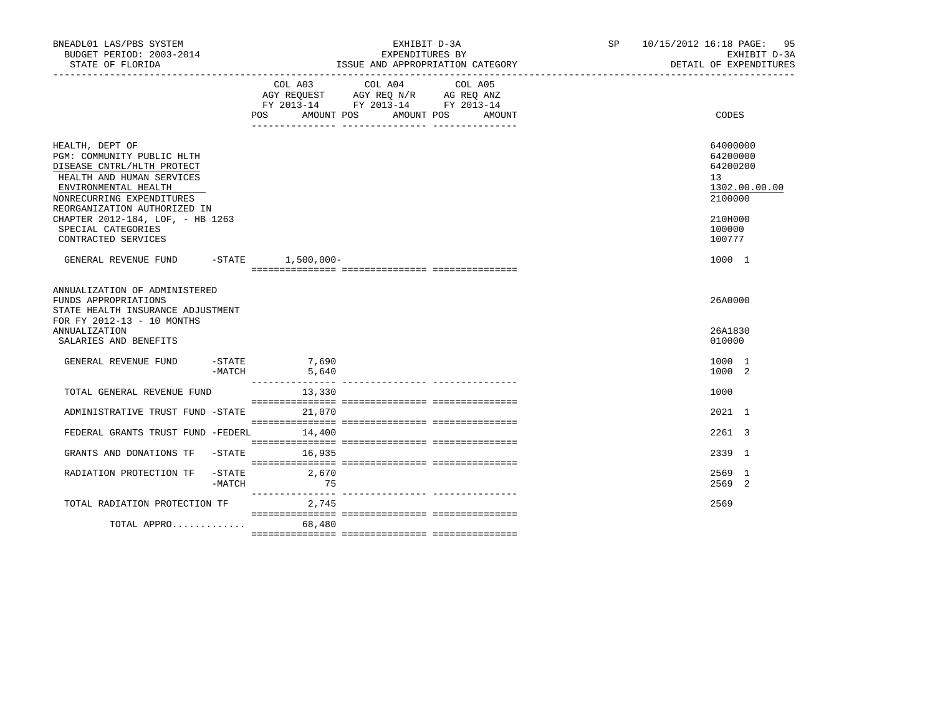| BNEADL01 LAS/PBS SYSTEM<br>BUDGET PERIOD: 2003-2014<br>STATE OF FLORIDA                                                                                                                       |                                                          | EXHIBIT D-3A<br>EXPENDITURES BY<br>ISSUE AND APPROPRIATION CATEGORY<br>_____________________________________                                                                                                                       | SP 10/15/2012 16:18 PAGE: 95<br>EXHIBIT D-3A<br>DETAIL OF EXPENDITURES |
|-----------------------------------------------------------------------------------------------------------------------------------------------------------------------------------------------|----------------------------------------------------------|------------------------------------------------------------------------------------------------------------------------------------------------------------------------------------------------------------------------------------|------------------------------------------------------------------------|
|                                                                                                                                                                                               |                                                          | COL A03 COL A04 COL A05<br>$\begin{tabular}{lllllll} \bf AGY & \bf REQUEST & \bf AGY & \bf REQ & \bf N/R & \bf AG & \bf REQ & \bf ANZ \\ \end{tabular}$<br>FY 2013-14 FY 2013-14 FY 2013-14<br>POS AMOUNT POS AMOUNT POS<br>AMOUNT | <b>CODES</b>                                                           |
| HEALTH, DEPT OF<br>PGM: COMMUNITY PUBLIC HLTH<br>DISEASE CNTRL/HLTH PROTECT<br>HEALTH AND HUMAN SERVICES<br>ENVIRONMENTAL HEALTH<br>NONRECURRING EXPENDITURES<br>REORGANIZATION AUTHORIZED IN |                                                          |                                                                                                                                                                                                                                    | 64000000<br>64200000<br>64200200<br>13<br>1302.00.00.00<br>2100000     |
| CHAPTER 2012-184, LOF, - HB 1263<br>SPECIAL CATEGORIES<br>CONTRACTED SERVICES                                                                                                                 |                                                          |                                                                                                                                                                                                                                    | 210H000<br>100000<br>100777                                            |
| GENERAL REVENUE FUND -STATE 1,500,000-                                                                                                                                                        |                                                          |                                                                                                                                                                                                                                    | 1000 1                                                                 |
| ANNUALIZATION OF ADMINISTERED<br>FUNDS APPROPRIATIONS<br>STATE HEALTH INSURANCE ADJUSTMENT<br>FOR FY 2012-13 - 10 MONTHS<br><b>ANNUALIZATION</b><br>SALARIES AND BENEFITS                     |                                                          |                                                                                                                                                                                                                                    | 26A0000<br>26A1830<br>010000                                           |
| GENERAL REVENUE FUND                                                                                                                                                                          | $-STATE$ 7,690<br>$-MATCH$<br>5,640<br>_________________ |                                                                                                                                                                                                                                    | 1000 1<br>1000 2                                                       |
| TOTAL GENERAL REVENUE FUND                                                                                                                                                                    | 13,330                                                   |                                                                                                                                                                                                                                    | 1000                                                                   |
| ADMINISTRATIVE TRUST FUND -STATE                                                                                                                                                              | 21,070                                                   |                                                                                                                                                                                                                                    | 2021 1                                                                 |
| FEDERAL GRANTS TRUST FUND -FEDERL                                                                                                                                                             | 14,400                                                   |                                                                                                                                                                                                                                    | 2261 3                                                                 |
| GRANTS AND DONATIONS TF<br>$-$ STATE                                                                                                                                                          | 16,935                                                   |                                                                                                                                                                                                                                    | 2339 1                                                                 |
| RADIATION PROTECTION TF<br>$-$ STATE<br>-MATCH                                                                                                                                                | 2,670<br>75                                              |                                                                                                                                                                                                                                    | 2569 1<br>2569 2                                                       |
| TOTAL RADIATION PROTECTION TF                                                                                                                                                                 | 2,745                                                    |                                                                                                                                                                                                                                    | 2569                                                                   |
| TOTAL APPRO                                                                                                                                                                                   | 68,480                                                   |                                                                                                                                                                                                                                    |                                                                        |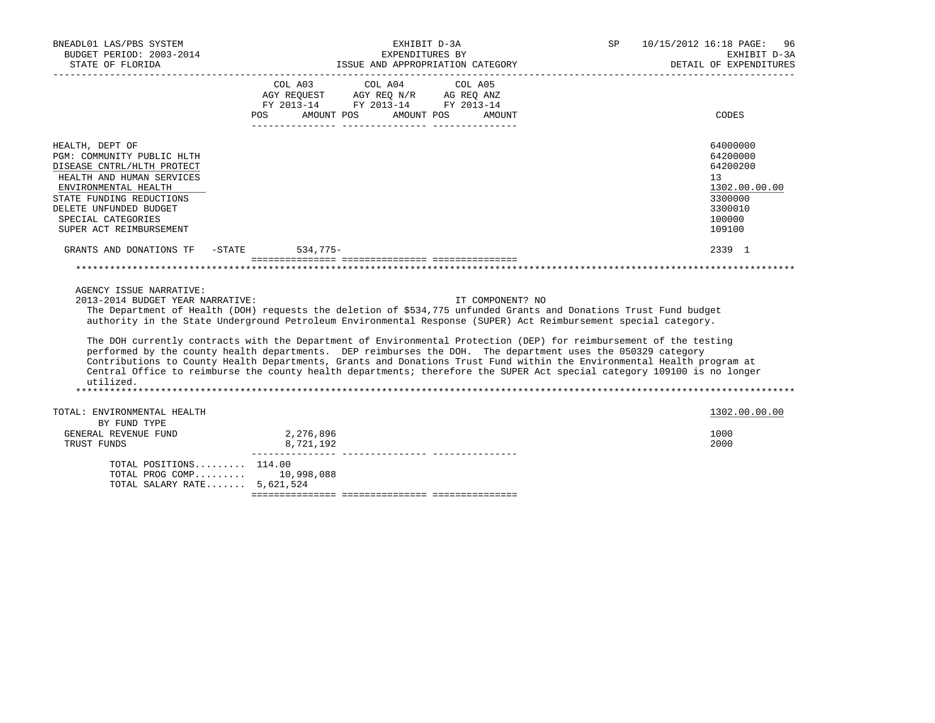| BNEADL01 LAS/PBS SYSTEM<br>BUDGET PERIOD: 2003-2014 | EXHIBIT D-3A<br>EXPENDITURES BY                                                                                                          | 10/15/2012 16:18 PAGE:<br>SP<br>96<br>EXHIBIT D-3A<br>DETAIL OF EXPENDITURES |
|-----------------------------------------------------|------------------------------------------------------------------------------------------------------------------------------------------|------------------------------------------------------------------------------|
|                                                     | STATE OF FLORIDA 1SSUE AND APPROPRIATION CATEGORY DETAIL OF EXPENDENTION CONTECTS OF THE SERIES OF THE SERIES<br>COL A03 COL A04 COL A05 |                                                                              |
|                                                     | AGY REQUEST AGY REQ N/R AG REQ ANZ<br>FY 2013-14 FY 2013-14 FY 2013-14                                                                   |                                                                              |
|                                                     | AMOUNT POS<br>AMOUNT POS<br>POS<br>AMOUNT                                                                                                | CODES                                                                        |
|                                                     |                                                                                                                                          |                                                                              |
| HEALTH, DEPT OF                                     |                                                                                                                                          | 64000000                                                                     |
| PGM: COMMUNITY PUBLIC HLTH                          |                                                                                                                                          | 64200000                                                                     |
| DISEASE CNTRL/HLTH PROTECT                          |                                                                                                                                          | 64200200                                                                     |
| HEALTH AND HUMAN SERVICES                           |                                                                                                                                          | 13                                                                           |
| ENVIRONMENTAL HEALTH                                |                                                                                                                                          | 1302.00.00.00                                                                |
| STATE FUNDING REDUCTIONS                            |                                                                                                                                          | 3300000                                                                      |
| DELETE UNFUNDED BUDGET                              |                                                                                                                                          | 3300010                                                                      |
| SPECIAL CATEGORIES                                  |                                                                                                                                          | 100000                                                                       |
| SUPER ACT REIMBURSEMENT                             |                                                                                                                                          | 109100                                                                       |
| GRANTS AND DONATIONS TF -STATE 534,775-             |                                                                                                                                          | 2339 1                                                                       |
|                                                     |                                                                                                                                          |                                                                              |
| AGENCY ISSUE NARRATIVE:                             |                                                                                                                                          |                                                                              |
| 2013-2014 BUDGET YEAR NARRATIVE:                    | IT COMPONENT? NO                                                                                                                         |                                                                              |
|                                                     | The Department of Health (DOH) requests the deletion of \$534,775 unfunded Grants and Donations Trust Fund budget                        |                                                                              |
|                                                     | authority in the State Underground Petroleum Environmental Response (SUPER) Act Reimbursement special category.                          |                                                                              |
|                                                     | The DOH currently contracts with the Department of Environmental Protection (DEP) for reimbursement of the testing                       |                                                                              |
|                                                     | performed by the county health departments. DEP reimburses the DOH. The department uses the 050329 category                              |                                                                              |
|                                                     | Contributions to County Health Departments, Grants and Donations Trust Fund within the Environmental Health program at                   |                                                                              |
|                                                     | Central Office to reimburse the county health departments; therefore the SUPER Act special category 109100 is no longer                  |                                                                              |
| utilized.                                           |                                                                                                                                          |                                                                              |
|                                                     |                                                                                                                                          |                                                                              |
| TOTAL: ENVIRONMENTAL HEALTH                         |                                                                                                                                          | 1302.00.00.00                                                                |
| BY FUND TYPE                                        |                                                                                                                                          |                                                                              |
| GENERAL REVENUE FUND                                | 2,276,896                                                                                                                                | 1000                                                                         |
| TRUST FUNDS                                         | 8,721,192                                                                                                                                | 2000                                                                         |
| TOTAL POSITIONS $114.00$                            |                                                                                                                                          |                                                                              |
| TOTAL PROG COMP 10,998,088                          |                                                                                                                                          |                                                                              |
| TOTAL SALARY RATE 5,621,524                         |                                                                                                                                          |                                                                              |

=============== =============== ===============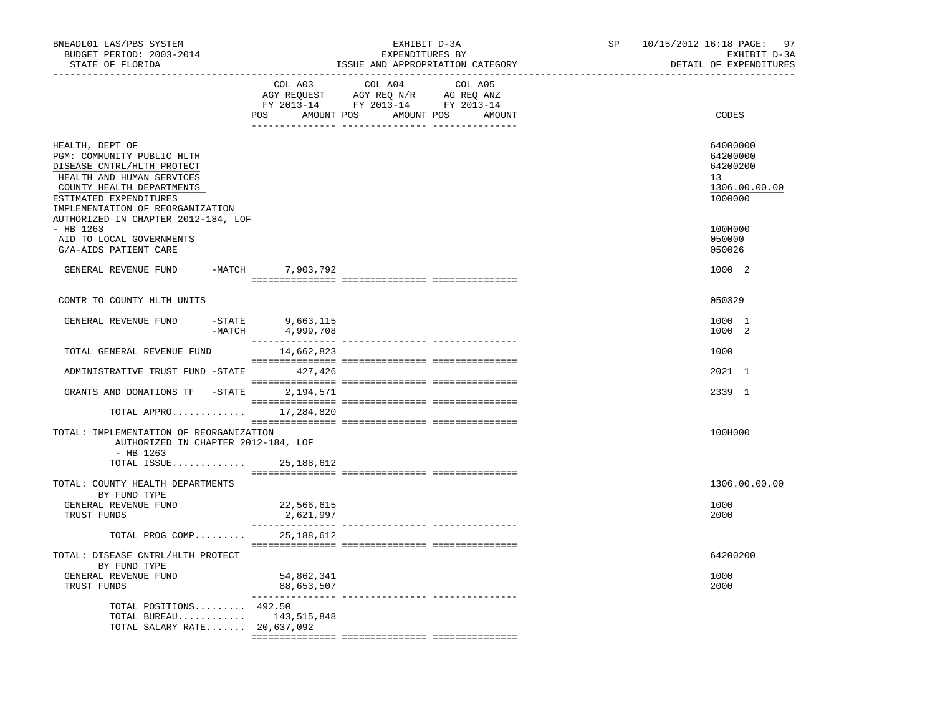| BNEADL01 LAS/PBS SYSTEM<br>BUDGET PERIOD: 2003-2014<br>STATE OF FLORIDA                                                                                                                                                                    |                               | EXHIBIT D-3A<br>EXPENDITURES BY<br>ISSUE AND APPROPRIATION CATEGORY                                                                                                                                                                                                   | SP | 10/15/2012 16:18 PAGE: 97<br>EXHIBIT D-3A<br>DETAIL OF EXPENDITURES |
|--------------------------------------------------------------------------------------------------------------------------------------------------------------------------------------------------------------------------------------------|-------------------------------|-----------------------------------------------------------------------------------------------------------------------------------------------------------------------------------------------------------------------------------------------------------------------|----|---------------------------------------------------------------------|
|                                                                                                                                                                                                                                            |                               | COL A03 COL A04 COL A05<br>$\begin{tabular}{lllllllll} \bf AGY \,\,\, REQUEST \,\,\, & \bf AGY \,\, REQ \,\, N/R & \,\, AC \,\, REQ \,\, ANZ \\ \bf FY \,\, 2013-14 & \bf FY \,\, 2013-14 & \bf FY \,\, 2013-14 \\ \end{tabular}$<br>POS AMOUNT POS AMOUNT POS AMOUNT |    | CODES                                                               |
| HEALTH, DEPT OF<br>PGM: COMMUNITY PUBLIC HLTH<br>DISEASE CNTRL/HLTH PROTECT<br>HEALTH AND HUMAN SERVICES<br>COUNTY HEALTH DEPARTMENTS<br>ESTIMATED EXPENDITURES<br>IMPLEMENTATION OF REORGANIZATION<br>AUTHORIZED IN CHAPTER 2012-184, LOF |                               |                                                                                                                                                                                                                                                                       |    | 64000000<br>64200000<br>64200200<br>13<br>1306.00.00.00<br>1000000  |
| $-$ HB 1263<br>AID TO LOCAL GOVERNMENTS<br>G/A-AIDS PATIENT CARE                                                                                                                                                                           |                               |                                                                                                                                                                                                                                                                       |    | 100H000<br>050000<br>050026                                         |
| GENERAL REVENUE FUND                                                                                                                                                                                                                       | -MATCH 7,903,792              |                                                                                                                                                                                                                                                                       |    | 1000 2                                                              |
| CONTR TO COUNTY HLTH UNITS                                                                                                                                                                                                                 |                               |                                                                                                                                                                                                                                                                       |    | 050329                                                              |
| $-STATE$<br>GENERAL REVENUE FUND                                                                                                                                                                                                           | 9,663,115<br>-MATCH 4,999,708 |                                                                                                                                                                                                                                                                       |    | 1000 1<br>1000 2                                                    |
| TOTAL GENERAL REVENUE FUND                                                                                                                                                                                                                 | 14,662,823                    |                                                                                                                                                                                                                                                                       |    | 1000                                                                |
| ADMINISTRATIVE TRUST FUND -STATE 427,426                                                                                                                                                                                                   |                               |                                                                                                                                                                                                                                                                       |    | 2021 1                                                              |
| GRANTS AND DONATIONS TF -STATE 2,194,571                                                                                                                                                                                                   |                               |                                                                                                                                                                                                                                                                       |    | 2339 1                                                              |
| TOTAL APPRO 17,284,820                                                                                                                                                                                                                     |                               |                                                                                                                                                                                                                                                                       |    |                                                                     |
| TOTAL: IMPLEMENTATION OF REORGANIZATION<br>AUTHORIZED IN CHAPTER 2012-184, LOF<br>- HB 1263                                                                                                                                                |                               |                                                                                                                                                                                                                                                                       |    | 100H000                                                             |
| TOTAL ISSUE 25, 188, 612                                                                                                                                                                                                                   |                               |                                                                                                                                                                                                                                                                       |    |                                                                     |
| TOTAL: COUNTY HEALTH DEPARTMENTS<br>BY FUND TYPE                                                                                                                                                                                           |                               |                                                                                                                                                                                                                                                                       |    | 1306.00.00.00                                                       |
| GENERAL REVENUE FUND<br>TRUST FUNDS                                                                                                                                                                                                        | 22,566,615<br>2,621,997       |                                                                                                                                                                                                                                                                       |    | 1000<br>2000                                                        |
| TOTAL PROG COMP                                                                                                                                                                                                                            | 25,188,612                    |                                                                                                                                                                                                                                                                       |    |                                                                     |
| TOTAL: DISEASE CNTRL/HLTH PROTECT<br>BY FUND TYPE                                                                                                                                                                                          |                               |                                                                                                                                                                                                                                                                       |    | 64200200                                                            |
| GENERAL REVENUE FUND<br>TRUST FUNDS                                                                                                                                                                                                        | 54,862,341<br>88,653,507      |                                                                                                                                                                                                                                                                       |    | 1000<br>2000                                                        |
| TOTAL POSITIONS $492.50$<br>TOTAL BUREAU 143,515,848<br>TOTAL SALARY RATE 20,637,092                                                                                                                                                       |                               |                                                                                                                                                                                                                                                                       |    |                                                                     |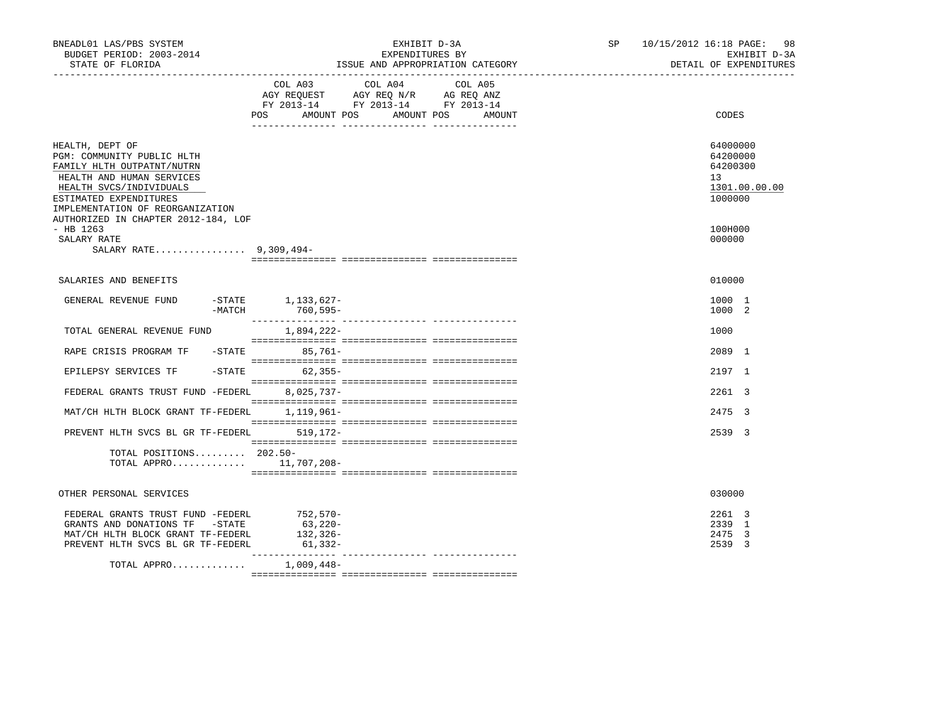| BNEADL01 LAS/PBS SYSTEM<br>BUDGET PERIOD: 2003-2014<br>STATE OF FLORIDA<br>------------------                                                                                                     | EXHIBIT D-3A<br>EXPENDITURES BY<br>ISSUE AND APPROPRIATION CATEGORY                                                                                                                                                                                                                                                                                                                                                                 | 10/15/2012 16:18 PAGE:<br>98<br>SP<br>EXHIBIT D-3A<br>DETAIL OF EXPENDITURES |
|---------------------------------------------------------------------------------------------------------------------------------------------------------------------------------------------------|-------------------------------------------------------------------------------------------------------------------------------------------------------------------------------------------------------------------------------------------------------------------------------------------------------------------------------------------------------------------------------------------------------------------------------------|------------------------------------------------------------------------------|
|                                                                                                                                                                                                   | COL A03 COL A04<br>COL A05<br>AGY REQUEST AGY REQ N/R AG REQ ANZ<br>FY 2013-14 FY 2013-14 FY 2013-14<br>POS<br>AMOUNT POS AMOUNT POS<br>AMOUNT                                                                                                                                                                                                                                                                                      | CODES                                                                        |
| HEALTH, DEPT OF<br>PGM: COMMUNITY PUBLIC HLTH<br>FAMILY HLTH OUTPATNT/NUTRN<br>HEALTH AND HUMAN SERVICES<br>HEALTH SVCS/INDIVIDUALS<br>ESTIMATED EXPENDITURES<br>IMPLEMENTATION OF REORGANIZATION |                                                                                                                                                                                                                                                                                                                                                                                                                                     | 64000000<br>64200000<br>64200300<br>13<br>1301.00.00.00<br>1000000           |
| AUTHORIZED IN CHAPTER 2012-184, LOF<br>$-$ HB 1263<br>SALARY RATE<br>SALARY RATE 9,309,494-                                                                                                       |                                                                                                                                                                                                                                                                                                                                                                                                                                     | 100H000<br>000000                                                            |
| SALARIES AND BENEFITS                                                                                                                                                                             |                                                                                                                                                                                                                                                                                                                                                                                                                                     | 010000                                                                       |
| GENERAL REVENUE FUND<br>$-MATCH$                                                                                                                                                                  | $-STATE$ 1, 133, 627-<br>760,595-                                                                                                                                                                                                                                                                                                                                                                                                   | 1000 1<br>1000 2                                                             |
| TOTAL GENERAL REVENUE FUND                                                                                                                                                                        | 1,894,222-                                                                                                                                                                                                                                                                                                                                                                                                                          | 1000                                                                         |
| RAPE CRISIS PROGRAM TF - STATE                                                                                                                                                                    | $85.761 -$                                                                                                                                                                                                                                                                                                                                                                                                                          | 2089 1                                                                       |
| EPILEPSY SERVICES TF                                                                                                                                                                              | $-STATE$<br>$62, 355 -$                                                                                                                                                                                                                                                                                                                                                                                                             | 2197 1                                                                       |
| FEDERAL GRANTS TRUST FUND -FEDERL                                                                                                                                                                 | $8,025,737-$                                                                                                                                                                                                                                                                                                                                                                                                                        | 2261 3                                                                       |
| MAT/CH HLTH BLOCK GRANT TF-FEDERL 1,119,961-                                                                                                                                                      |                                                                                                                                                                                                                                                                                                                                                                                                                                     | 2475 3                                                                       |
| PREVENT HLTH SVCS BL GR TF-FEDERL 519, 172-                                                                                                                                                       |                                                                                                                                                                                                                                                                                                                                                                                                                                     | 2539 3                                                                       |
| TOTAL POSITIONS 202.50-<br>TOTAL APPRO $11,707,208-$                                                                                                                                              | $\begin{minipage}{0.03\textwidth} \begin{tabular}{l} \textbf{1} & \textbf{2} & \textbf{3} & \textbf{4} & \textbf{5} & \textbf{5} & \textbf{6} & \textbf{6} & \textbf{7} & \textbf{8} & \textbf{9} & \textbf{9} & \textbf{1} & \textbf{1} & \textbf{1} & \textbf{1} & \textbf{1} & \textbf{1} & \textbf{1} & \textbf{1} & \textbf{1} & \textbf{1} & \textbf{1} & \textbf{1} & \textbf{1} & \textbf{1} & \textbf{1} & \textbf{1} & \$ |                                                                              |
| OTHER PERSONAL SERVICES                                                                                                                                                                           |                                                                                                                                                                                                                                                                                                                                                                                                                                     | 030000                                                                       |
| FEDERAL GRANTS TRUST FUND -FEDERL<br>GRANTS AND DONATIONS TF -STATE<br>MAT/CH HLTH BLOCK GRANT TF-FEDERL<br>PREVENT HLTH SVCS BL GR TF-FEDERL                                                     | $752,570-$<br>63,220-<br>132,326-<br>$61, 332-$                                                                                                                                                                                                                                                                                                                                                                                     | 2261 3<br>2339 1<br>2475 3<br>2539 3                                         |
| TOTAL APPRO                                                                                                                                                                                       | 1,009,448-                                                                                                                                                                                                                                                                                                                                                                                                                          |                                                                              |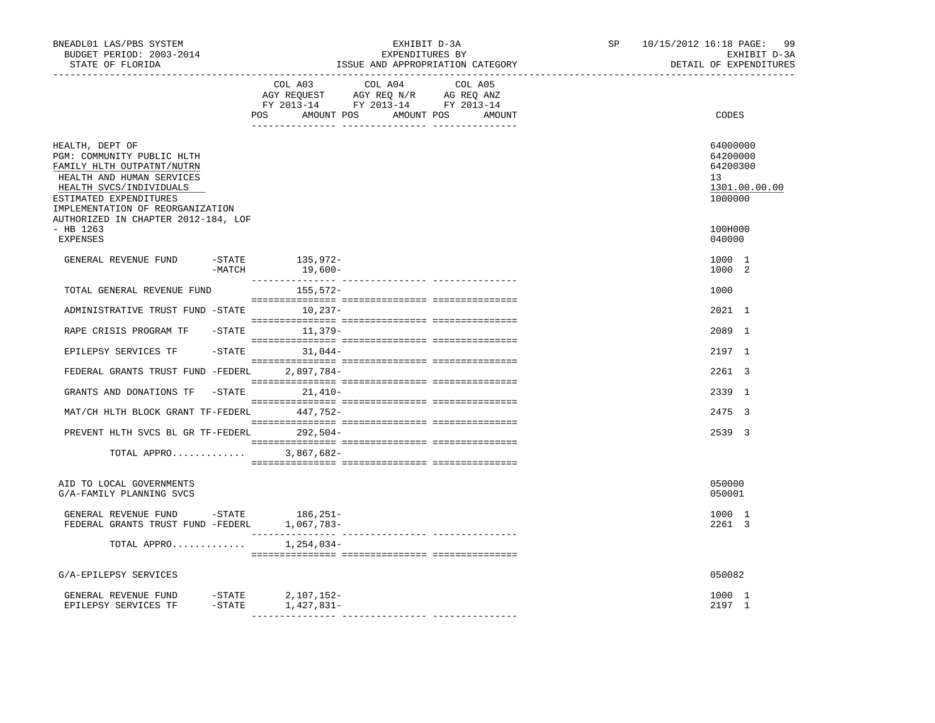| BNEADL01 LAS/PBS SYSTEM<br>BUDGET PERIOD: 2003-2014<br>STATE OF FLORIDA                                                                                                                                                                  |           |                                                                                                                       | EXHIBIT D-3A<br>EXPENDITURES BY | ISSUE AND APPROPRIATION CATEGORY | SP 10/15/2012 16:18 PAGE:<br>99<br>EXHIBIT D-3A<br>DETAIL OF EXPENDITURES |
|------------------------------------------------------------------------------------------------------------------------------------------------------------------------------------------------------------------------------------------|-----------|-----------------------------------------------------------------------------------------------------------------------|---------------------------------|----------------------------------|---------------------------------------------------------------------------|
|                                                                                                                                                                                                                                          |           | COL A03<br>AGY REQUEST AGY REQ N/R AG REQ ANZ<br>FY 2013-14 FY 2013-14 FY 2013-14<br>POS AMOUNT POS AMOUNT POS AMOUNT | COL A04                         | COL A05                          | CODES                                                                     |
| HEALTH, DEPT OF<br>PGM: COMMUNITY PUBLIC HLTH<br>FAMILY HLTH OUTPATNT/NUTRN<br>HEALTH AND HUMAN SERVICES<br>HEALTH SVCS/INDIVIDUALS<br>ESTIMATED EXPENDITURES<br>IMPLEMENTATION OF REORGANIZATION<br>AUTHORIZED IN CHAPTER 2012-184, LOF |           |                                                                                                                       |                                 |                                  | 64000000<br>64200000<br>64200300<br>13<br>1301.00.00.00<br>1000000        |
| $-$ HB 1263<br><b>EXPENSES</b>                                                                                                                                                                                                           |           |                                                                                                                       |                                 |                                  | 100H000<br>040000                                                         |
| GENERAL REVENUE FUND                                                                                                                                                                                                                     | $-MATCH$  | -STATE 135,972-<br>19,600-                                                                                            |                                 |                                  | 1000 1<br>1000 2                                                          |
| TOTAL GENERAL REVENUE FUND                                                                                                                                                                                                               |           | 155,572-                                                                                                              |                                 |                                  | 1000                                                                      |
| ADMINISTRATIVE TRUST FUND -STATE 10,237-                                                                                                                                                                                                 |           |                                                                                                                       |                                 |                                  | 2021 1                                                                    |
| RAPE CRISIS PROGRAM TF                                                                                                                                                                                                                   |           | $-$ STATE $11.379-$                                                                                                   |                                 |                                  | 2089 1                                                                    |
| EPILEPSY SERVICES TF                                                                                                                                                                                                                     |           | $-STATE$ 31,044-                                                                                                      |                                 |                                  | 2197 1                                                                    |
| FEDERAL GRANTS TRUST FUND -FEDERL 2,897,784-                                                                                                                                                                                             |           |                                                                                                                       |                                 |                                  | 2261 3                                                                    |
| GRANTS AND DONATIONS TF                                                                                                                                                                                                                  |           | $-STATE$ 21,410-                                                                                                      |                                 |                                  | 2339 1                                                                    |
| MAT/CH HLTH BLOCK GRANT TF-FEDERL                                                                                                                                                                                                        |           | 447,752-                                                                                                              |                                 |                                  | 2475 3                                                                    |
| PREVENT HLTH SVCS BL GR TF-FEDERL 292,504-                                                                                                                                                                                               |           |                                                                                                                       |                                 |                                  | 2539 3                                                                    |
| TOTAL APPRO                                                                                                                                                                                                                              |           | 3,867,682-                                                                                                            |                                 |                                  |                                                                           |
| AID TO LOCAL GOVERNMENTS<br>G/A-FAMILY PLANNING SVCS                                                                                                                                                                                     |           |                                                                                                                       |                                 |                                  | 050000<br>050001                                                          |
| GENERAL REVENUE FUND -STATE<br>FEDERAL GRANTS TRUST FUND -FEDERL 1,067,783-                                                                                                                                                              |           | 186,251-                                                                                                              |                                 |                                  | 1000 1<br>2261 3                                                          |
| TOTAL APPRO                                                                                                                                                                                                                              |           | 1,254,034-                                                                                                            |                                 |                                  |                                                                           |
| G/A-EPILEPSY SERVICES                                                                                                                                                                                                                    |           |                                                                                                                       |                                 |                                  | 050082                                                                    |
| GENERAL REVENUE FUND -STATE 2,107,152-<br>EPILEPSY SERVICES TF                                                                                                                                                                           | $-$ STATE | 1,427,831-                                                                                                            |                                 |                                  | 1000 1<br>2197 1                                                          |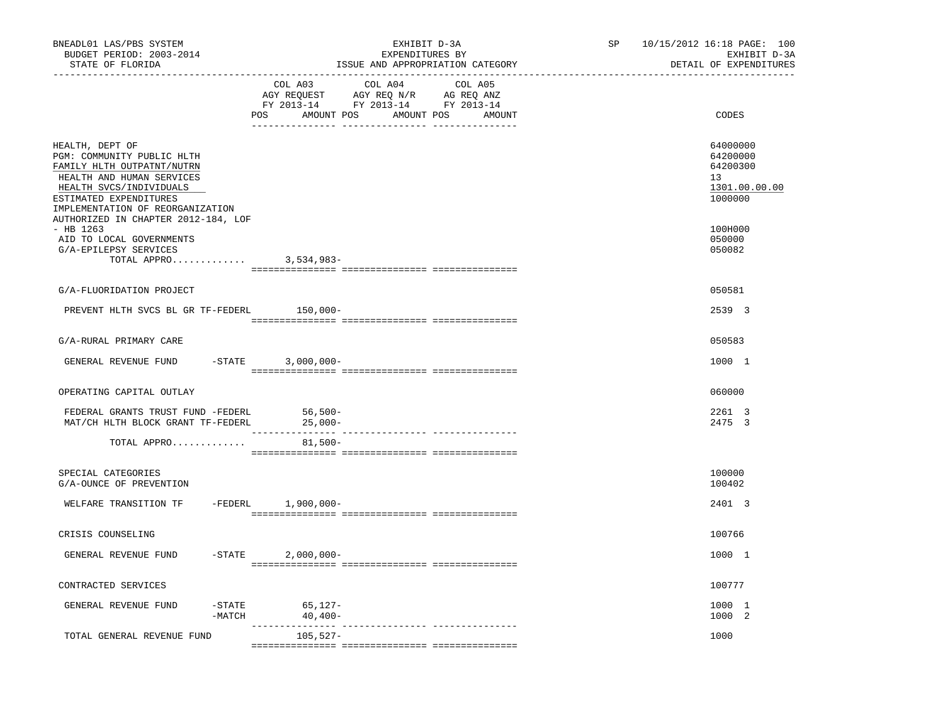| BNEADL01 LAS/PBS SYSTEM<br>BUDGET PERIOD: 2003-2014<br>STATE OF FLORIDA                                                                                                                           | EXHIBIT D-3A<br>EXPENDITURES BY<br>ISSUE AND APPROPRIATION CATEGORY                                                                                                                                                                                                  | 10/15/2012 16:18 PAGE: 100<br>SP<br>EXHIBIT D-3A<br>DETAIL OF EXPENDITURES |
|---------------------------------------------------------------------------------------------------------------------------------------------------------------------------------------------------|----------------------------------------------------------------------------------------------------------------------------------------------------------------------------------------------------------------------------------------------------------------------|----------------------------------------------------------------------------|
|                                                                                                                                                                                                   | COL A03<br>COL A04<br>COL A05<br>$\begin{tabular}{lllllll} \bf AGY \,\, REQUEST \,\, & \bf AGY \,\, REQ \,\, N/R & \bf AG \,\, REQ \,\, ANZ \\ \bf FY \,\, 2013-14 & \bf FY \,\, 2013-14 & \bf FY \,\, 2013-14 \\ \end{tabular}$<br>POS AMOUNT POS AMOUNT POS AMOUNT | CODES                                                                      |
| HEALTH, DEPT OF<br>PGM: COMMUNITY PUBLIC HLTH<br>FAMILY HLTH OUTPATNT/NUTRN<br>HEALTH AND HUMAN SERVICES<br>HEALTH SVCS/INDIVIDUALS<br>ESTIMATED EXPENDITURES<br>IMPLEMENTATION OF REORGANIZATION |                                                                                                                                                                                                                                                                      | 64000000<br>64200000<br>64200300<br>13<br>1301.00.00.00<br>1000000         |
| AUTHORIZED IN CHAPTER 2012-184, LOF<br>$-$ HB 1263<br>AID TO LOCAL GOVERNMENTS<br>G/A-EPILEPSY SERVICES<br>TOTAL APPRO 3,534,983-                                                                 |                                                                                                                                                                                                                                                                      | 100H000<br>050000<br>050082                                                |
| G/A-FLUORIDATION PROJECT                                                                                                                                                                          |                                                                                                                                                                                                                                                                      | 050581                                                                     |
| PREVENT HLTH SVCS BL GR TF-FEDERL                                                                                                                                                                 | $150,000-$                                                                                                                                                                                                                                                           | 2539 3                                                                     |
| G/A-RURAL PRIMARY CARE                                                                                                                                                                            |                                                                                                                                                                                                                                                                      | 050583                                                                     |
| GENERAL REVENUE FUND                                                                                                                                                                              | $-$ STATE<br>$3,000,000-$                                                                                                                                                                                                                                            | 1000 1                                                                     |
| OPERATING CAPITAL OUTLAY                                                                                                                                                                          |                                                                                                                                                                                                                                                                      | 060000                                                                     |
| FEDERAL GRANTS TRUST FUND -FEDERL<br>MAT/CH HLTH BLOCK GRANT TF-FEDERL                                                                                                                            | $56,500-$<br>$25,000-$                                                                                                                                                                                                                                               | 2261 3<br>2475 3                                                           |
| TOTAL APPRO                                                                                                                                                                                       | $81,500-$                                                                                                                                                                                                                                                            |                                                                            |
| SPECIAL CATEGORIES<br>G/A-OUNCE OF PREVENTION                                                                                                                                                     |                                                                                                                                                                                                                                                                      | 100000<br>100402                                                           |
| WELFARE TRANSITION TF                                                                                                                                                                             | -FEDERL 1,900,000-                                                                                                                                                                                                                                                   | 2401 3                                                                     |
| CRISIS COUNSELING                                                                                                                                                                                 |                                                                                                                                                                                                                                                                      | 100766                                                                     |
| GENERAL REVENUE FUND                                                                                                                                                                              | $-$ STATE<br>$2,000,000-$                                                                                                                                                                                                                                            | 1000 1                                                                     |
| CONTRACTED SERVICES                                                                                                                                                                               |                                                                                                                                                                                                                                                                      | 100777                                                                     |
| GENERAL REVENUE FUND<br>$-$ STATE<br>$-MATCH$                                                                                                                                                     | $65, 127-$<br>$40,400-$                                                                                                                                                                                                                                              | 1000 1<br>1000 2                                                           |
| TOTAL GENERAL REVENUE FUND                                                                                                                                                                        | 105,527-                                                                                                                                                                                                                                                             | 1000                                                                       |
|                                                                                                                                                                                                   |                                                                                                                                                                                                                                                                      |                                                                            |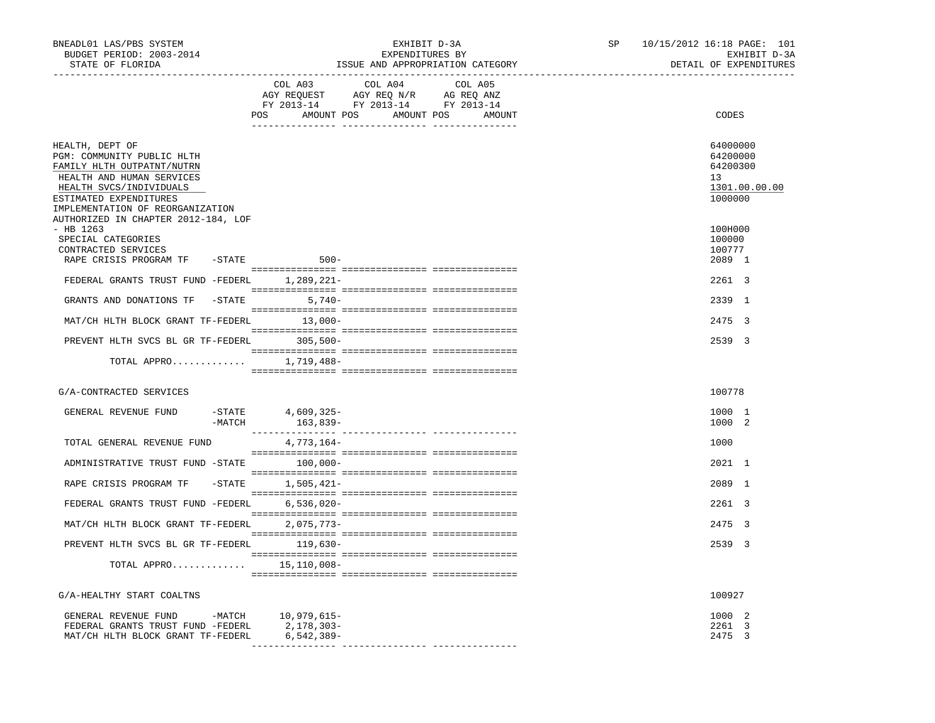| BNEADL01 LAS/PBS SYSTEM<br>BUDGET PERIOD: 2003-2014<br>STATE OF FLORIDA                                                                                                                           |                                           | EXPENDITURES BY | EXHIBIT D-3A<br>ISSUE AND APPROPRIATION CATEGORY | SP | 10/15/2012 16:18 PAGE: 101<br>EXHIBIT D-3A<br>DETAIL OF EXPENDITURES |
|---------------------------------------------------------------------------------------------------------------------------------------------------------------------------------------------------|-------------------------------------------|-----------------|--------------------------------------------------|----|----------------------------------------------------------------------|
|                                                                                                                                                                                                   | COL A03                                   | COL A04         | COL A05<br>POS AMOUNT POS AMOUNT POS AMOUNT      |    | CODES                                                                |
| HEALTH, DEPT OF<br>PGM: COMMUNITY PUBLIC HLTH<br>FAMILY HLTH OUTPATNT/NUTRN<br>HEALTH AND HUMAN SERVICES<br>HEALTH SVCS/INDIVIDUALS<br>ESTIMATED EXPENDITURES<br>IMPLEMENTATION OF REORGANIZATION |                                           |                 |                                                  |    | 64000000<br>64200000<br>64200300<br>13<br>1301.00.00.00<br>1000000   |
| AUTHORIZED IN CHAPTER 2012-184, LOF<br>$-$ HB 1263<br>SPECIAL CATEGORIES<br>CONTRACTED SERVICES                                                                                                   |                                           |                 |                                                  |    | 100H000<br>100000<br>100777                                          |
| RAPE CRISIS PROGRAM TF - STATE<br>FEDERAL GRANTS TRUST FUND -FEDERL 1,289,221-                                                                                                                    | $500 -$                                   |                 |                                                  |    | 2089 1<br>2261 3                                                     |
| GRANTS AND DONATIONS TF -STATE 5,740-                                                                                                                                                             |                                           |                 |                                                  |    | 2339 1                                                               |
| MAT/CH HLTH BLOCK GRANT TF-FEDERL 13,000-                                                                                                                                                         |                                           |                 |                                                  |    | 2475 3                                                               |
| PREVENT HLTH SVCS BL GR TF-FEDERL 305,500-                                                                                                                                                        |                                           |                 |                                                  |    | 2539 3                                                               |
| TOTAL APPRO $1,719,488-$                                                                                                                                                                          |                                           |                 |                                                  |    |                                                                      |
| G/A-CONTRACTED SERVICES                                                                                                                                                                           |                                           |                 |                                                  |    | 100778                                                               |
| GENERAL REVENUE FUND                                                                                                                                                                              | -STATE 4,609,325-<br>$-MATCH$<br>163,839- |                 |                                                  |    | 1000 1<br>1000 2                                                     |
| TOTAL GENERAL REVENUE FUND                                                                                                                                                                        | 4,773,164-                                |                 |                                                  |    | 1000                                                                 |
| ADMINISTRATIVE TRUST FUND -STATE 100,000-                                                                                                                                                         |                                           |                 |                                                  |    | 2021 1                                                               |
| RAPE CRISIS PROGRAM TF                                                                                                                                                                            | $-STATE$ 1,505,421-                       |                 |                                                  |    | 2089 1                                                               |
| FEDERAL GRANTS TRUST FUND -FEDERL 6,536,020-                                                                                                                                                      |                                           |                 |                                                  |    | 2261 3                                                               |
| MAT/CH HLTH BLOCK GRANT TF-FEDERL 2,075,773-                                                                                                                                                      |                                           |                 |                                                  |    | 2475 3                                                               |
| PREVENT HLTH SVCS BL GR TF-FEDERL 119,630-                                                                                                                                                        |                                           |                 |                                                  |    | 2539 3                                                               |
| TOTAL APPRO $15,110,008-$                                                                                                                                                                         |                                           |                 |                                                  |    |                                                                      |
| G/A-HEALTHY START COALTNS                                                                                                                                                                         |                                           |                 |                                                  |    | 100927                                                               |
| GENERAL REVENUE FUND -MATCH 10,979,615-<br>FEDERAL GRANTS TRUST FUND -FEDERL<br>MAT/CH HLTH BLOCK GRANT TF-FEDERL                                                                                 | 2,178,303-<br>6,542,389-                  |                 |                                                  |    | 1000 2<br>2261 3<br>2475 3                                           |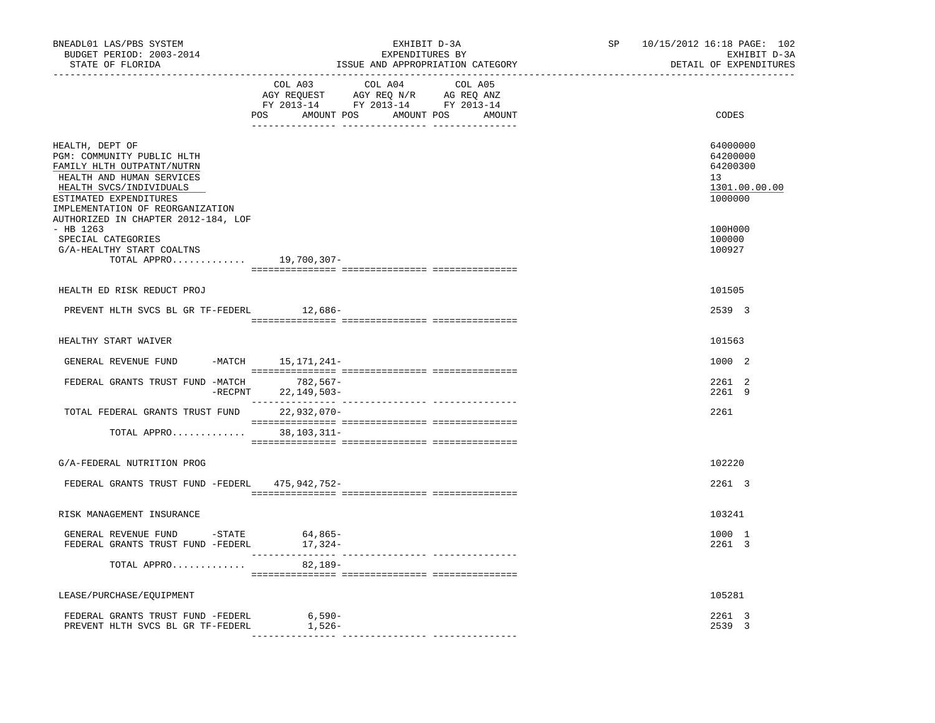| BNEADL01 LAS/PBS SYSTEM<br>BUDGET PERIOD: 2003-2014<br>STATE OF FLORIDA<br>________________________________                                                                                                                              | EXHIBIT D-3A<br>EXPENDITURES BY<br>ISSUE AND APPROPRIATION CATEGORY                                                                         | SP 10/15/2012 16:18 PAGE: 102 | EXHIBIT D-3A<br>DETAIL OF EXPENDITURES                             |
|------------------------------------------------------------------------------------------------------------------------------------------------------------------------------------------------------------------------------------------|---------------------------------------------------------------------------------------------------------------------------------------------|-------------------------------|--------------------------------------------------------------------|
|                                                                                                                                                                                                                                          | COL A03<br>COL A04<br>COL A05<br>AGY REQUEST AGY REQ N/R AG REQ ANZ<br>FY 2013-14 FY 2013-14 FY 2013-14<br>POS AMOUNT POS AMOUNT POS AMOUNT |                               | CODES                                                              |
| HEALTH, DEPT OF<br>PGM: COMMUNITY PUBLIC HLTH<br>FAMILY HLTH OUTPATNT/NUTRN<br>HEALTH AND HUMAN SERVICES<br>HEALTH SVCS/INDIVIDUALS<br>ESTIMATED EXPENDITURES<br>IMPLEMENTATION OF REORGANIZATION<br>AUTHORIZED IN CHAPTER 2012-184, LOF |                                                                                                                                             |                               | 64000000<br>64200000<br>64200300<br>13<br>1301.00.00.00<br>1000000 |
| - HB 1263<br>SPECIAL CATEGORIES<br>G/A-HEALTHY START COALTNS<br>TOTAL APPRO 19,700,307-                                                                                                                                                  |                                                                                                                                             |                               | 100H000<br>100000<br>100927                                        |
| HEALTH ED RISK REDUCT PROJ                                                                                                                                                                                                               |                                                                                                                                             |                               | 101505                                                             |
| PREVENT HLTH SVCS BL GR TF-FEDERL                                                                                                                                                                                                        | $12,686-$                                                                                                                                   |                               | 2539 3                                                             |
| HEALTHY START WAIVER                                                                                                                                                                                                                     |                                                                                                                                             |                               | 101563                                                             |
| GENERAL REVENUE FUND                                                                                                                                                                                                                     | -MATCH 15,171,241-                                                                                                                          |                               | 1000 2                                                             |
| FEDERAL GRANTS TRUST FUND -MATCH                                                                                                                                                                                                         | 782,567-<br>-RECPNT 22, 149, 503-                                                                                                           |                               | 2261 2<br>2261 9                                                   |
| TOTAL FEDERAL GRANTS TRUST FUND 22,932,070-                                                                                                                                                                                              |                                                                                                                                             |                               | 2261                                                               |
| TOTAL APPRO                                                                                                                                                                                                                              | 38,103,311-                                                                                                                                 |                               |                                                                    |
| G/A-FEDERAL NUTRITION PROG                                                                                                                                                                                                               |                                                                                                                                             |                               | 102220                                                             |
| FEDERAL GRANTS TRUST FUND -FEDERL 475,942,752-                                                                                                                                                                                           |                                                                                                                                             |                               | 2261 3                                                             |
| RISK MANAGEMENT INSURANCE                                                                                                                                                                                                                |                                                                                                                                             |                               | 103241                                                             |
| GENERAL REVENUE FUND -STATE<br>FEDERAL GRANTS TRUST FUND -FEDERL                                                                                                                                                                         | 64,865-<br>17,324-                                                                                                                          |                               | 1000 1<br>2261 3                                                   |
| TOTAL APPRO                                                                                                                                                                                                                              | 82,189-                                                                                                                                     |                               |                                                                    |
| LEASE/PURCHASE/EQUIPMENT                                                                                                                                                                                                                 |                                                                                                                                             |                               | 105281                                                             |
| FEDERAL GRANTS TRUST FUND -FEDERL<br>PREVENT HLTH SVCS BL GR TF-FEDERL                                                                                                                                                                   | 6,590-<br>1,526-                                                                                                                            |                               | 2261 3<br>2539 3                                                   |
|                                                                                                                                                                                                                                          |                                                                                                                                             |                               |                                                                    |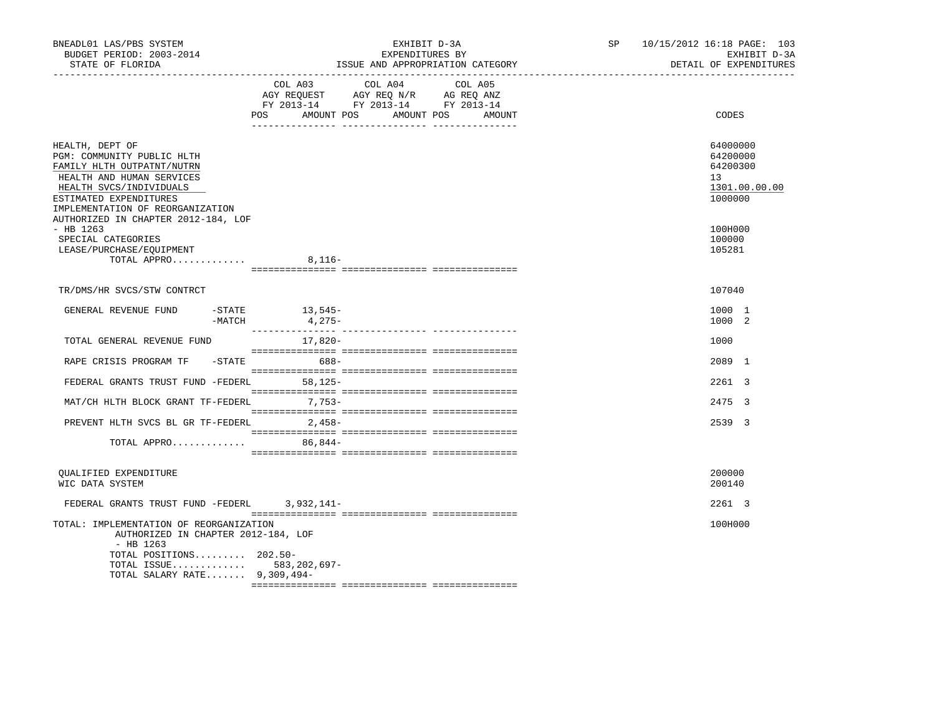| BNEADL01 LAS/PBS SYSTEM<br>BUDGET PERIOD: 2003-2014<br>STATE OF FLORIDA<br>____________________________________                                                                                   | EXHIBIT D-3A<br>EXPENDITURES BY<br>ISSUE AND APPROPRIATION CATEGORY<br>____________________________________                                    | 10/15/2012 16:18 PAGE: 103<br>SP<br>EXHIBIT D-3A<br>DETAIL OF EXPENDITURES      |
|---------------------------------------------------------------------------------------------------------------------------------------------------------------------------------------------------|------------------------------------------------------------------------------------------------------------------------------------------------|---------------------------------------------------------------------------------|
|                                                                                                                                                                                                   | COL A03 COL A04<br>COL A05<br>AGY REQUEST AGY REQ N/R AG REQ ANZ<br>FY 2013-14 FY 2013-14 FY 2013-14<br>POS AMOUNT POS<br>AMOUNT POS<br>AMOUNT | CODES                                                                           |
| HEALTH, DEPT OF<br>PGM: COMMUNITY PUBLIC HLTH<br>FAMILY HLTH OUTPATNT/NUTRN<br>HEALTH AND HUMAN SERVICES<br>HEALTH SVCS/INDIVIDUALS<br>ESTIMATED EXPENDITURES<br>IMPLEMENTATION OF REORGANIZATION |                                                                                                                                                | 64000000<br>64200000<br>64200300<br>13 <sup>°</sup><br>1301.00.00.00<br>1000000 |
| AUTHORIZED IN CHAPTER 2012-184, LOF<br>$-$ HB 1263<br>SPECIAL CATEGORIES<br>LEASE/PURCHASE/EQUIPMENT<br>TOTAL APPRO                                                                               | $8,116-$                                                                                                                                       | 100H000<br>100000<br>105281                                                     |
| TR/DMS/HR SVCS/STW CONTRCT                                                                                                                                                                        |                                                                                                                                                | 107040                                                                          |
| GENERAL REVENUE FUND                                                                                                                                                                              | -STATE 13,545-<br>-MATCH<br>4,275-                                                                                                             | 1000 1<br>1000 2                                                                |
| TOTAL GENERAL REVENUE FUND                                                                                                                                                                        | 17,820-                                                                                                                                        | 1000                                                                            |
| RAPE CRISIS PROGRAM TF -STATE 688-                                                                                                                                                                |                                                                                                                                                | 2089 1                                                                          |
| FEDERAL GRANTS TRUST FUND -FEDERL 58,125-                                                                                                                                                         |                                                                                                                                                | 2261 3                                                                          |
| MAT/CH HLTH BLOCK GRANT TF-FEDERL 7,753-                                                                                                                                                          |                                                                                                                                                | 2475 3                                                                          |
| PREVENT HLTH SVCS BL GR TF-FEDERL 2,458-                                                                                                                                                          |                                                                                                                                                | 2539 3                                                                          |
| TOTAL APPRO 86,844-                                                                                                                                                                               |                                                                                                                                                |                                                                                 |
| <b>OUALIFIED EXPENDITURE</b><br>WIC DATA SYSTEM                                                                                                                                                   |                                                                                                                                                | 200000<br>200140                                                                |
| FEDERAL GRANTS TRUST FUND -FEDERL 3,932,141-                                                                                                                                                      |                                                                                                                                                | 2261 3                                                                          |
| TOTAL: IMPLEMENTATION OF REORGANIZATION<br>AUTHORIZED IN CHAPTER 2012-184, LOF<br>$-$ HB 1263<br>TOTAL POSITIONS 202.50-<br>TOTAL ISSUE 583,202,697-<br>TOTAL SALARY RATE 9,309,494-              |                                                                                                                                                | 100H000                                                                         |
|                                                                                                                                                                                                   |                                                                                                                                                |                                                                                 |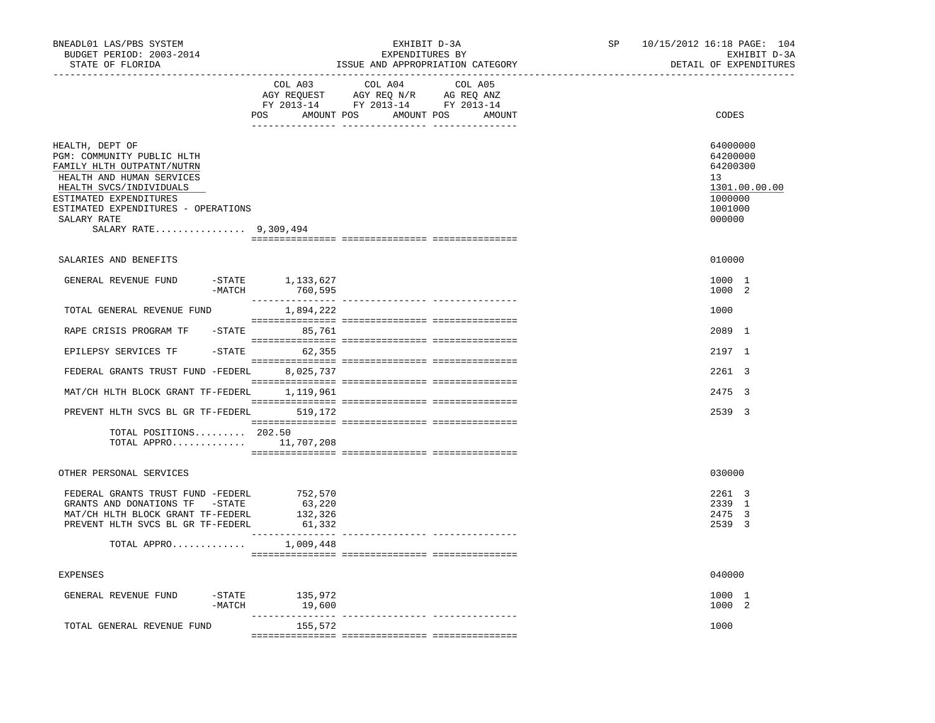| BNEADL01 LAS/PBS SYSTEM<br>BUDGET PERIOD: 2003-2014                                                                                                                                                                                          |                                                                                                                                                                                                                                                                                                             | EXHIBIT D-3A<br>EXPENDITURES BY  | SP | 10/15/2012 16:18 PAGE: 104<br>EXHIBIT D-3A                                              |
|----------------------------------------------------------------------------------------------------------------------------------------------------------------------------------------------------------------------------------------------|-------------------------------------------------------------------------------------------------------------------------------------------------------------------------------------------------------------------------------------------------------------------------------------------------------------|----------------------------------|----|-----------------------------------------------------------------------------------------|
| STATE OF FLORIDA<br>____________________________                                                                                                                                                                                             | ----------------------                                                                                                                                                                                                                                                                                      | ISSUE AND APPROPRIATION CATEGORY |    | DETAIL OF EXPENDITURES                                                                  |
|                                                                                                                                                                                                                                              | COL A04<br>COL A03<br>$\begin{tabular}{lllllll} \bf AGY \;\; RegUEST\hspace{1cm}AGY \;\; REG\;\; N/R\hspace{1cm}AG \;\; REG \;\; ANZ \\ \hline \texttt{FY} \;\; 2013\text{--}14 & \texttt{FY} \;\; 2013\text{--}14 & \texttt{FY} \;\; 2013\text{--}14 \\ \end{tabular}$<br>POS AMOUNT POS AMOUNT POS AMOUNT | COL A05                          |    | CODES                                                                                   |
| HEALTH, DEPT OF<br>PGM: COMMUNITY PUBLIC HLTH<br>FAMILY HLTH OUTPATNT/NUTRN<br>HEALTH AND HUMAN SERVICES<br>HEALTH SVCS/INDIVIDUALS<br>ESTIMATED EXPENDITURES<br>ESTIMATED EXPENDITURES - OPERATIONS<br>SALARY RATE<br>SALARY RATE 9,309,494 |                                                                                                                                                                                                                                                                                                             |                                  |    | 64000000<br>64200000<br>64200300<br>13<br>1301.00.00.00<br>1000000<br>1001000<br>000000 |
| SALARIES AND BENEFITS                                                                                                                                                                                                                        |                                                                                                                                                                                                                                                                                                             |                                  |    | 010000                                                                                  |
| GENERAL REVENUE FUND<br>$-MATCH$                                                                                                                                                                                                             | $-$ STATE $1, 133, 627$<br>760,595                                                                                                                                                                                                                                                                          |                                  |    | 1000 1<br>1000 2                                                                        |
| TOTAL GENERAL REVENUE FUND                                                                                                                                                                                                                   | 1,894,222                                                                                                                                                                                                                                                                                                   |                                  |    | 1000                                                                                    |
| RAPE CRISIS PROGRAM TF                                                                                                                                                                                                                       | $-$ STATE 85,761                                                                                                                                                                                                                                                                                            |                                  |    | 2089 1                                                                                  |
| EPILEPSY SERVICES TF                                                                                                                                                                                                                         | $-$ STATE 62,355                                                                                                                                                                                                                                                                                            |                                  |    | 2197 1                                                                                  |
| FEDERAL GRANTS TRUST FUND -FEDERL 8,025,737                                                                                                                                                                                                  |                                                                                                                                                                                                                                                                                                             |                                  |    | 2261 3                                                                                  |
| MAT/CH HLTH BLOCK GRANT TF-FEDERL                                                                                                                                                                                                            | 1,119,961                                                                                                                                                                                                                                                                                                   |                                  |    | 2475 3                                                                                  |
| PREVENT HLTH SVCS BL GR TF-FEDERL 519,172                                                                                                                                                                                                    |                                                                                                                                                                                                                                                                                                             |                                  |    | 2539 3                                                                                  |
| TOTAL POSITIONS 202.50<br>TOTAL APPRO 11,707,208                                                                                                                                                                                             |                                                                                                                                                                                                                                                                                                             |                                  |    |                                                                                         |
| OTHER PERSONAL SERVICES                                                                                                                                                                                                                      |                                                                                                                                                                                                                                                                                                             |                                  |    | 030000                                                                                  |
| FEDERAL GRANTS TRUST FUND -FEDERL<br>GRANTS AND DONATIONS TF -STATE<br>MAT/CH HLTH BLOCK GRANT TF-FEDERL<br>PREVENT HLTH SVCS BL GR TF-FEDERL<br>TOTAL APPRO                                                                                 | 752,570<br>63,220<br>132,326<br>61,332<br>1,009,448                                                                                                                                                                                                                                                         |                                  |    | 2261 3<br>2339 1<br>2475 3<br>2539 3                                                    |
|                                                                                                                                                                                                                                              |                                                                                                                                                                                                                                                                                                             |                                  |    |                                                                                         |
| <b>EXPENSES</b>                                                                                                                                                                                                                              |                                                                                                                                                                                                                                                                                                             |                                  |    | 040000                                                                                  |
| $-$ STATE<br>GENERAL REVENUE FUND<br>$-MATCH$                                                                                                                                                                                                | 135,972<br>19,600                                                                                                                                                                                                                                                                                           |                                  |    | 1000 1<br>1000 2                                                                        |
| TOTAL GENERAL REVENUE FUND                                                                                                                                                                                                                   | 155,572                                                                                                                                                                                                                                                                                                     |                                  |    | 1000                                                                                    |
|                                                                                                                                                                                                                                              |                                                                                                                                                                                                                                                                                                             |                                  |    |                                                                                         |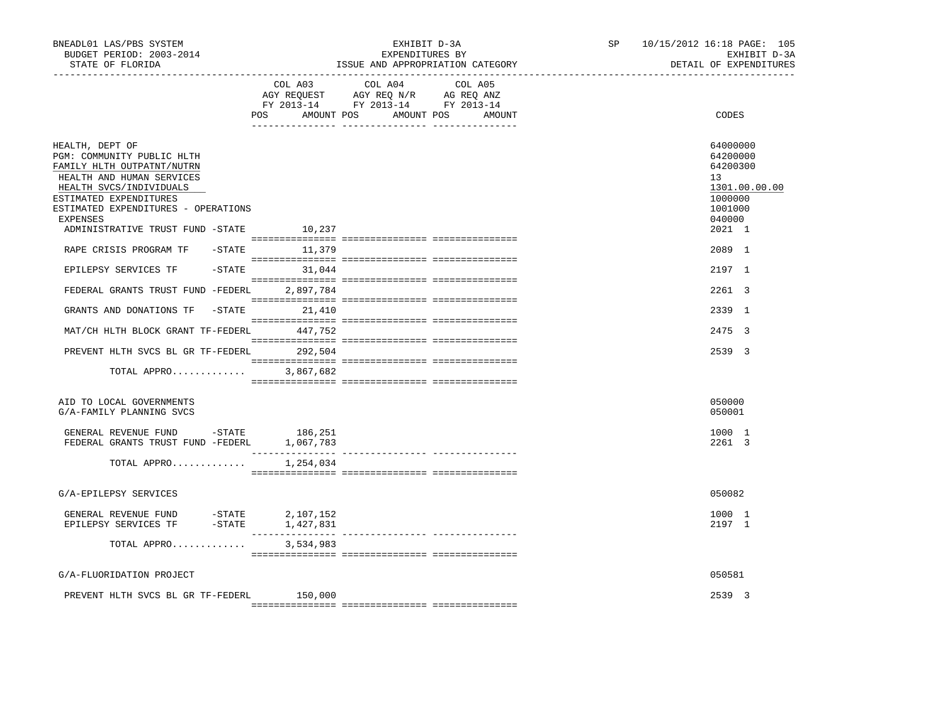| BNEADL01 LAS/PBS SYSTEM<br>BUDGET PERIOD: 2003-2014<br>STATE OF FLORIDA                                                                                                                                                                                     | ---------------------------------- | EXHIBIT D-3A<br>EXPENDITURES BY<br>ISSUE AND APPROPRIATION CATEGORY                                                              | SP<br>10/15/2012 16:18 PAGE: 105<br>EXHIBIT D-3A<br>DETAIL OF EXPENDITURES                        |
|-------------------------------------------------------------------------------------------------------------------------------------------------------------------------------------------------------------------------------------------------------------|------------------------------------|----------------------------------------------------------------------------------------------------------------------------------|---------------------------------------------------------------------------------------------------|
|                                                                                                                                                                                                                                                             | COL A03                            | COL A04<br>COL A05<br>AGY REQUEST AGY REQ N/R AG REQ ANZ<br>FY 2013-14 FY 2013-14 FY 2013-14<br>POS AMOUNT POS AMOUNT POS AMOUNT | CODES                                                                                             |
| HEALTH, DEPT OF<br>PGM: COMMUNITY PUBLIC HLTH<br>FAMILY HLTH OUTPATNT/NUTRN<br>HEALTH AND HUMAN SERVICES<br>HEALTH SVCS/INDIVIDUALS<br>ESTIMATED EXPENDITURES<br>ESTIMATED EXPENDITURES - OPERATIONS<br>EXPENSES<br>ADMINISTRATIVE TRUST FUND -STATE 10,237 |                                    |                                                                                                                                  | 64000000<br>64200000<br>64200300<br>13<br>1301.00.00.00<br>1000000<br>1001000<br>040000<br>2021 1 |
| RAPE CRISIS PROGRAM TF                                                                                                                                                                                                                                      | $-$ STATE 11,379                   |                                                                                                                                  | 2089 1                                                                                            |
| EPILEPSY SERVICES TF                                                                                                                                                                                                                                        | $-STATE$ 31,044                    |                                                                                                                                  | 2197 1                                                                                            |
| FEDERAL GRANTS TRUST FUND -FEDERL 2,897,784                                                                                                                                                                                                                 |                                    |                                                                                                                                  | 2261 3                                                                                            |
| GRANTS AND DONATIONS TF                                                                                                                                                                                                                                     | $-$ STATE 21,410                   |                                                                                                                                  | 2339 1                                                                                            |
| MAT/CH HLTH BLOCK GRANT TF-FEDERL 447,752                                                                                                                                                                                                                   |                                    |                                                                                                                                  | 2475 3                                                                                            |
| PREVENT HLTH SVCS BL GR TF-FEDERL 292,504                                                                                                                                                                                                                   |                                    |                                                                                                                                  | 2539 3                                                                                            |
| TOTAL APPRO                                                                                                                                                                                                                                                 | 3,867,682                          |                                                                                                                                  |                                                                                                   |
| AID TO LOCAL GOVERNMENTS<br>G/A-FAMILY PLANNING SVCS                                                                                                                                                                                                        |                                    |                                                                                                                                  | 050000<br>050001                                                                                  |
| GENERAL REVENUE FUND -STATE 186,251<br>FEDERAL GRANTS TRUST FUND -FEDERL 1,067,783                                                                                                                                                                          |                                    |                                                                                                                                  | 1000 1<br>2261 3                                                                                  |
| TOTAL APPRO $1,254,034$                                                                                                                                                                                                                                     |                                    |                                                                                                                                  |                                                                                                   |
| G/A-EPILEPSY SERVICES                                                                                                                                                                                                                                       |                                    |                                                                                                                                  | 050082                                                                                            |
| GENERAL REVENUE FUND - STATE<br>EPILEPSY SERVICES TF -STATE                                                                                                                                                                                                 | 2,107,152<br>1,427,831             |                                                                                                                                  | 1000 1<br>2197 1                                                                                  |
| TOTAL APPRO                                                                                                                                                                                                                                                 | 3,534,983                          |                                                                                                                                  |                                                                                                   |
| G/A-FLUORIDATION PROJECT                                                                                                                                                                                                                                    |                                    |                                                                                                                                  | 050581                                                                                            |
| PREVENT HLTH SVCS BL GR TF-FEDERL                                                                                                                                                                                                                           | 150,000                            |                                                                                                                                  | 2539 3                                                                                            |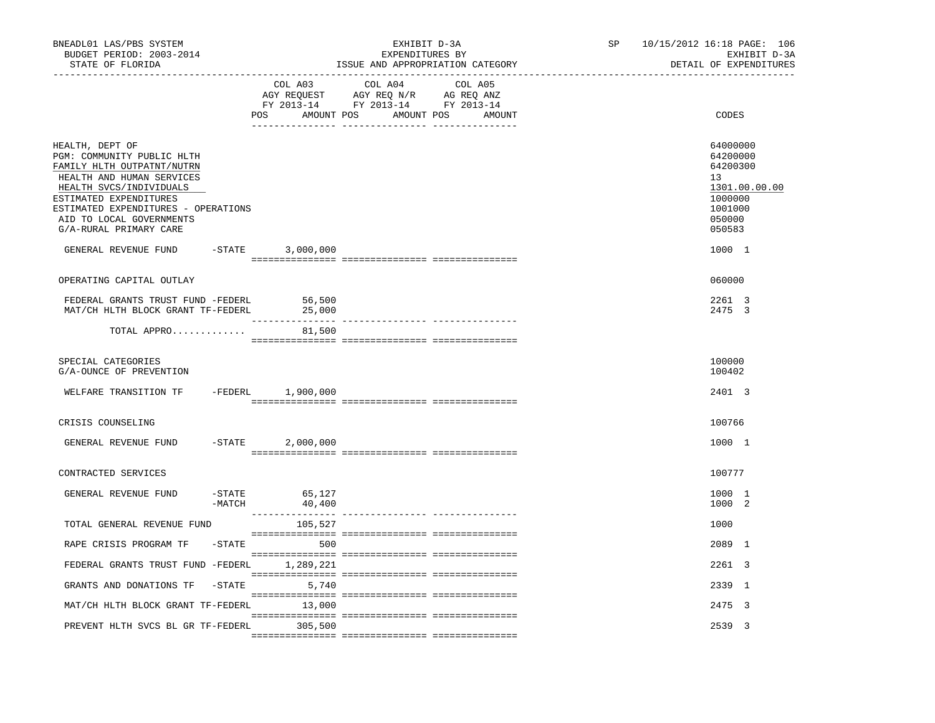| BNEADL01 LAS/PBS SYSTEM<br>BUDGET PERIOD: 2003-2014<br>STATE OF FLORIDA                                                                                                                                                                                                            |           |                            | EXHIBIT D-3A<br>EXPENDITURES BY<br>ISSUE AND APPROPRIATION CATEGORY | SP | 10/15/2012 16:18 PAGE: 106<br>EXHIBIT D-3A<br>DETAIL OF EXPENDITURES                                                     |
|------------------------------------------------------------------------------------------------------------------------------------------------------------------------------------------------------------------------------------------------------------------------------------|-----------|----------------------------|---------------------------------------------------------------------|----|--------------------------------------------------------------------------------------------------------------------------|
|                                                                                                                                                                                                                                                                                    |           | COL A03                    | COL A04 COL A05<br>POS AMOUNT POS AMOUNT POS<br>AMOUNT              |    | CODES                                                                                                                    |
| HEALTH, DEPT OF<br>PGM: COMMUNITY PUBLIC HLTH<br>FAMILY HLTH OUTPATNT/NUTRN<br>HEALTH AND HUMAN SERVICES<br>HEALTH SVCS/INDIVIDUALS<br>ESTIMATED EXPENDITURES<br>ESTIMATED EXPENDITURES - OPERATIONS<br>AID TO LOCAL GOVERNMENTS<br>G/A-RURAL PRIMARY CARE<br>GENERAL REVENUE FUND |           | $-STATE$ 3,000,000         |                                                                     |    | 64000000<br>64200000<br>64200300<br>13 <sup>°</sup><br>1301.00.00.00<br>1000000<br>1001000<br>050000<br>050583<br>1000 1 |
|                                                                                                                                                                                                                                                                                    |           |                            |                                                                     |    |                                                                                                                          |
| OPERATING CAPITAL OUTLAY                                                                                                                                                                                                                                                           |           |                            |                                                                     |    | 060000                                                                                                                   |
| FEDERAL GRANTS TRUST FUND -FEDERL<br>MAT/CH HLTH BLOCK GRANT TF-FEDERL                                                                                                                                                                                                             |           | 56,500<br>25,000           |                                                                     |    | 2261 3<br>2475 3                                                                                                         |
| TOTAL APPRO                                                                                                                                                                                                                                                                        |           | 81,500                     |                                                                     |    |                                                                                                                          |
| SPECIAL CATEGORIES<br>G/A-OUNCE OF PREVENTION                                                                                                                                                                                                                                      |           |                            |                                                                     |    | 100000<br>100402                                                                                                         |
| WELFARE TRANSITION TF                                                                                                                                                                                                                                                              |           | -FEDERL 1,900,000          |                                                                     |    | 2401 3                                                                                                                   |
| CRISIS COUNSELING                                                                                                                                                                                                                                                                  |           |                            |                                                                     |    | 100766                                                                                                                   |
| GENERAL REVENUE FUND                                                                                                                                                                                                                                                               | $-$ STATE | 2,000,000                  |                                                                     |    | 1000 1                                                                                                                   |
| CONTRACTED SERVICES                                                                                                                                                                                                                                                                |           |                            |                                                                     |    | 100777                                                                                                                   |
| GENERAL REVENUE FUND                                                                                                                                                                                                                                                               | -MATCH    | $-$ STATE 65,127<br>40,400 |                                                                     |    | 1000 1<br>1000 2                                                                                                         |
| TOTAL GENERAL REVENUE FUND                                                                                                                                                                                                                                                         |           | 105,527                    |                                                                     |    | 1000                                                                                                                     |
| RAPE CRISIS PROGRAM TF                                                                                                                                                                                                                                                             | $-$ STATE | 500                        |                                                                     |    | 2089 1                                                                                                                   |
| FEDERAL GRANTS TRUST FUND -FEDERL                                                                                                                                                                                                                                                  |           | 1,289,221                  |                                                                     |    | 2261 3                                                                                                                   |
| GRANTS AND DONATIONS TF                                                                                                                                                                                                                                                            | $-$ STATE | 5,740                      |                                                                     |    | 2339 1                                                                                                                   |
| MAT/CH HLTH BLOCK GRANT TF-FEDERL                                                                                                                                                                                                                                                  |           | 13,000                     |                                                                     |    | 2475 3                                                                                                                   |
| PREVENT HLTH SVCS BL GR TF-FEDERL                                                                                                                                                                                                                                                  |           | 305,500                    |                                                                     |    | 2539 3                                                                                                                   |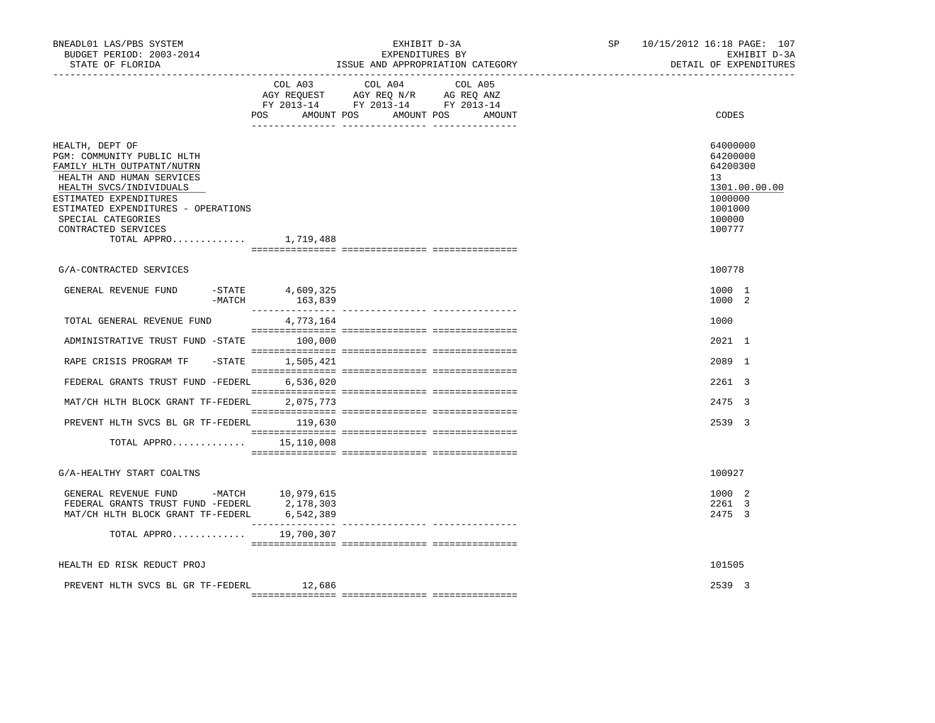| BNEADL01 LAS/PBS SYSTEM<br>BUDGET PERIOD: 2003-2014<br>STATE OF FLORIDA                                                                                                                                                                                                      | EXHIBIT D-3A<br>EXPENDITURES BY<br>ISSUE AND APPROPRIATION CATEGORY                                                                         | 10/15/2012 16:18 PAGE: 107<br>SP and the set of the set of the set of the set of the set of the set of the set of the set of the set of the s<br>EXHIBIT D-3A<br>DETAIL OF EXPENDITURES |
|------------------------------------------------------------------------------------------------------------------------------------------------------------------------------------------------------------------------------------------------------------------------------|---------------------------------------------------------------------------------------------------------------------------------------------|-----------------------------------------------------------------------------------------------------------------------------------------------------------------------------------------|
|                                                                                                                                                                                                                                                                              | COL A03<br>COL A04<br>COL A05<br>AGY REQUEST AGY REQ N/R AG REQ ANZ<br>FY 2013-14 FY 2013-14 FY 2013-14<br>POS AMOUNT POS AMOUNT POS AMOUNT | CODES                                                                                                                                                                                   |
| HEALTH, DEPT OF<br>PGM: COMMUNITY PUBLIC HLTH<br>FAMILY HLTH OUTPATNT/NUTRN<br>HEALTH AND HUMAN SERVICES<br>HEALTH SVCS/INDIVIDUALS<br>ESTIMATED EXPENDITURES<br>ESTIMATED EXPENDITURES - OPERATIONS<br>SPECIAL CATEGORIES<br>CONTRACTED SERVICES<br>TOTAL APPRO $1,719,488$ |                                                                                                                                             | 64000000<br>64200000<br>64200300<br>13<br>1301.00.00.00<br>1000000<br>1001000<br>100000<br>100777                                                                                       |
| G/A-CONTRACTED SERVICES                                                                                                                                                                                                                                                      |                                                                                                                                             | 100778                                                                                                                                                                                  |
| GENERAL REVENUE FUND<br>$-MATCH$                                                                                                                                                                                                                                             | -STATE 4,609,325<br>163,839                                                                                                                 | 1000 1<br>1000 2                                                                                                                                                                        |
| TOTAL GENERAL REVENUE FUND                                                                                                                                                                                                                                                   | 4,773,164                                                                                                                                   | 1000                                                                                                                                                                                    |
| ADMINISTRATIVE TRUST FUND -STATE 100,000                                                                                                                                                                                                                                     |                                                                                                                                             | 2021 1                                                                                                                                                                                  |
| RAPE CRISIS PROGRAM TF                                                                                                                                                                                                                                                       | -STATE 1,505,421                                                                                                                            | 2089 1                                                                                                                                                                                  |
| FEDERAL GRANTS TRUST FUND -FEDERL 6,536,020                                                                                                                                                                                                                                  |                                                                                                                                             | 2261 3                                                                                                                                                                                  |
| MAT/CH HLTH BLOCK GRANT TF-FEDERL                                                                                                                                                                                                                                            | 2,075,773                                                                                                                                   | 2475 3                                                                                                                                                                                  |
| PREVENT HLTH SVCS BL GR TF-FEDERL 119,630                                                                                                                                                                                                                                    |                                                                                                                                             | 2539 3                                                                                                                                                                                  |
| TOTAL APPRO                                                                                                                                                                                                                                                                  | 15,110,008                                                                                                                                  |                                                                                                                                                                                         |
| G/A-HEALTHY START COALTNS                                                                                                                                                                                                                                                    |                                                                                                                                             | 100927                                                                                                                                                                                  |
| GENERAL REVENUE FUND -MATCH 10,979,615<br>FEDERAL GRANTS TRUST FUND -FEDERL 2, 178, 303<br>MAT/CH HLTH BLOCK GRANT TF-FEDERL 6,542,389                                                                                                                                       |                                                                                                                                             | 1000 2<br>2261 3<br>2475 3                                                                                                                                                              |
| TOTAL APPRO                                                                                                                                                                                                                                                                  | 19,700,307                                                                                                                                  |                                                                                                                                                                                         |
| HEALTH ED RISK REDUCT PROJ                                                                                                                                                                                                                                                   |                                                                                                                                             | 101505                                                                                                                                                                                  |
| PREVENT HLTH SVCS BL GR TF-FEDERL                                                                                                                                                                                                                                            | 12,686                                                                                                                                      | 2539 3                                                                                                                                                                                  |
|                                                                                                                                                                                                                                                                              |                                                                                                                                             |                                                                                                                                                                                         |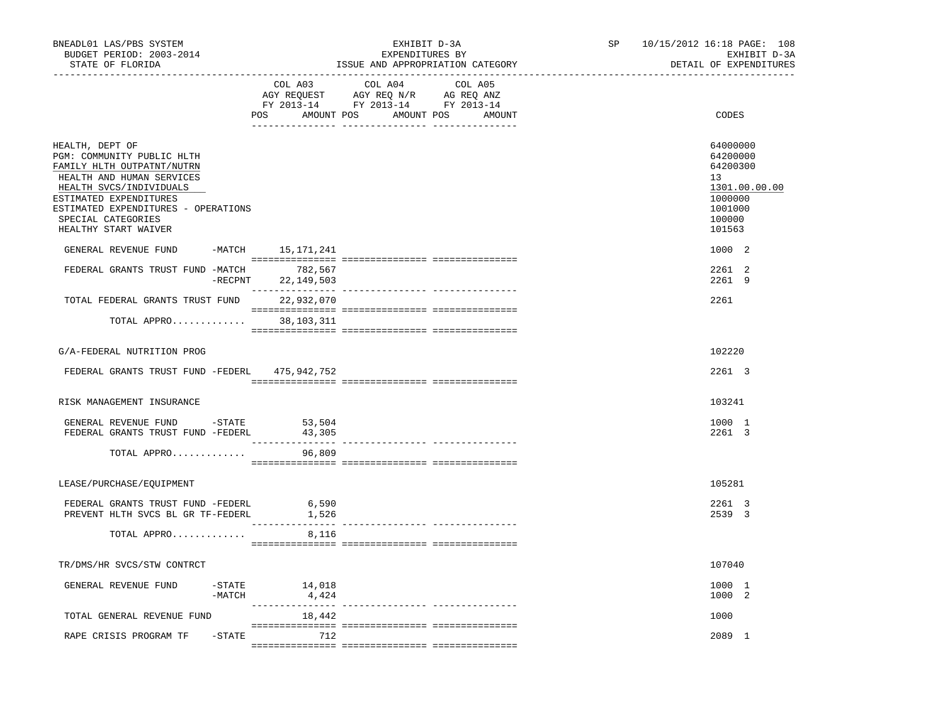| BNEADL01 LAS/PBS SYSTEM<br>BUDGET PERIOD: 2003-2014<br>STATE OF FLORIDA                                                                                                                                                                            |                                               | EXHIBIT D-3A<br>EXPENDITURES BY<br>ISSUE AND APPROPRIATION CATEGORY                        |  | SP 10/15/2012 16:18 PAGE: 108<br>EXHIBIT D-3A<br>DETAIL OF EXPENDITURES                           |
|----------------------------------------------------------------------------------------------------------------------------------------------------------------------------------------------------------------------------------------------------|-----------------------------------------------|--------------------------------------------------------------------------------------------|--|---------------------------------------------------------------------------------------------------|
|                                                                                                                                                                                                                                                    | COL A03                                       | COL A04<br>COL A05<br>FY 2013-14 FY 2013-14 FY 2013-14<br>POS AMOUNT POS AMOUNT POS AMOUNT |  | CODES                                                                                             |
| HEALTH, DEPT OF<br>PGM: COMMUNITY PUBLIC HLTH<br>FAMILY HLTH OUTPATNT/NUTRN<br>HEALTH AND HUMAN SERVICES<br>HEALTH SVCS/INDIVIDUALS<br>ESTIMATED EXPENDITURES<br>ESTIMATED EXPENDITURES - OPERATIONS<br>SPECIAL CATEGORIES<br>HEALTHY START WAIVER |                                               |                                                                                            |  | 64000000<br>64200000<br>64200300<br>13<br>1301.00.00.00<br>1000000<br>1001000<br>100000<br>101563 |
| GENERAL REVENUE FUND<br>FEDERAL GRANTS TRUST FUND -MATCH 782,567                                                                                                                                                                                   | -MATCH 15,171,241<br>$-$ RECPNT<br>22,149,503 |                                                                                            |  | 1000 2<br>2261 2<br>2261 9                                                                        |
| TOTAL FEDERAL GRANTS TRUST FUND                                                                                                                                                                                                                    | 22,932,070                                    |                                                                                            |  | 2261                                                                                              |
| TOTAL APPRO 38,103,311                                                                                                                                                                                                                             |                                               |                                                                                            |  |                                                                                                   |
| G/A-FEDERAL NUTRITION PROG                                                                                                                                                                                                                         |                                               |                                                                                            |  | 102220                                                                                            |
| FEDERAL GRANTS TRUST FUND -FEDERL 475,942,752                                                                                                                                                                                                      |                                               |                                                                                            |  | 2261 3                                                                                            |
| RISK MANAGEMENT INSURANCE                                                                                                                                                                                                                          |                                               |                                                                                            |  | 103241                                                                                            |
| GENERAL REVENUE FUND -STATE 53,504<br>FEDERAL GRANTS TRUST FUND -FEDERL                                                                                                                                                                            | 43,305                                        |                                                                                            |  | 1000 1<br>2261 3                                                                                  |
| TOTAL APPRO                                                                                                                                                                                                                                        | 96,809                                        |                                                                                            |  |                                                                                                   |
| LEASE/PURCHASE/EQUIPMENT                                                                                                                                                                                                                           |                                               |                                                                                            |  | 105281                                                                                            |
| FEDERAL GRANTS TRUST FUND -FEDERL<br>PREVENT HLTH SVCS BL GR TF-FEDERL                                                                                                                                                                             | 6,590<br>1,526                                |                                                                                            |  | 2261 3<br>2539 3                                                                                  |
| TOTAL APPRO                                                                                                                                                                                                                                        | 8,116                                         |                                                                                            |  |                                                                                                   |
| TR/DMS/HR SVCS/STW CONTRCT                                                                                                                                                                                                                         |                                               |                                                                                            |  | 107040                                                                                            |
| GENERAL REVENUE FUND<br>-MATCH                                                                                                                                                                                                                     | $-$ STATE<br>14,018<br>4,424                  |                                                                                            |  | 1000 1<br>1000 2                                                                                  |
| TOTAL GENERAL REVENUE FUND                                                                                                                                                                                                                         | 18,442                                        |                                                                                            |  | 1000                                                                                              |
| RAPE CRISIS PROGRAM TF<br>$-$ STATE                                                                                                                                                                                                                | 712                                           |                                                                                            |  | 2089 1                                                                                            |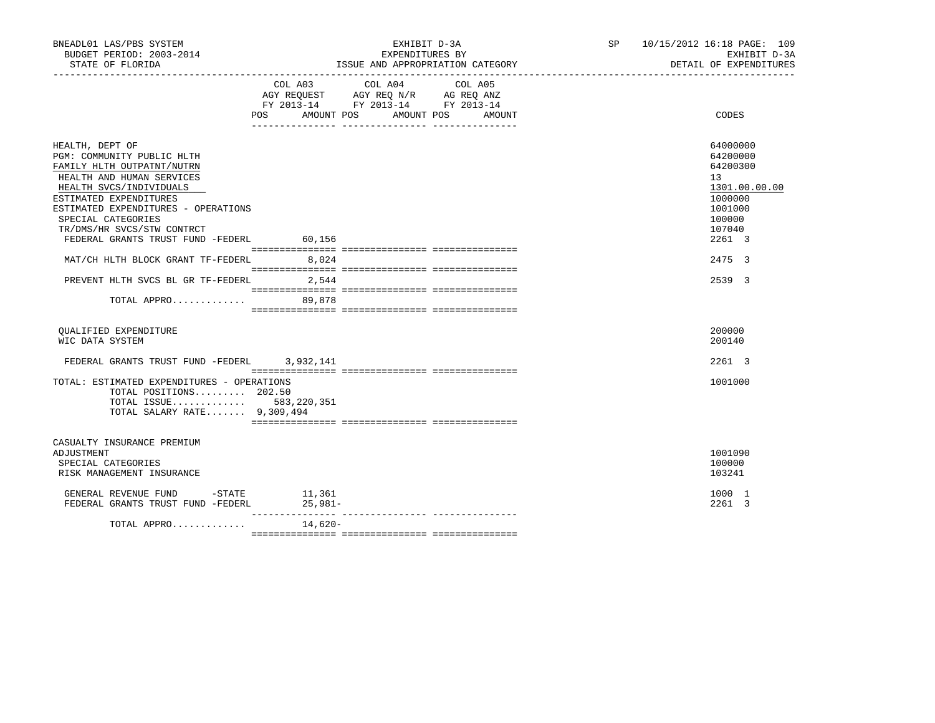| BNEADL01 LAS/PBS SYSTEM<br>BUDGET PERIOD: 2003-2014<br>STATE OF FLORIDA                                                                                                                                                                                                                                                                         |                           | EXHIBIT D-3A<br>EXPENDITURES BY<br>ISSUE AND APPROPRIATION CATEGORY<br>_____________________________________         | SP 10/15/2012 16:18 PAGE: 109<br>EXHIBIT D-3A<br>DETAIL OF EXPENDITURES                                               |
|-------------------------------------------------------------------------------------------------------------------------------------------------------------------------------------------------------------------------------------------------------------------------------------------------------------------------------------------------|---------------------------|----------------------------------------------------------------------------------------------------------------------|-----------------------------------------------------------------------------------------------------------------------|
|                                                                                                                                                                                                                                                                                                                                                 | COL A03<br>POS AMOUNT POS | COL A04<br>COL A05<br>AGY REQUEST AGY REQ N/R AG REQ ANZ<br>FY 2013-14 FY 2013-14 FY 2013-14<br>AMOUNT POS<br>AMOUNT | CODES                                                                                                                 |
| HEALTH, DEPT OF<br>PGM: COMMUNITY PUBLIC HLTH<br>FAMILY HLTH OUTPATNT/NUTRN<br>HEALTH AND HUMAN SERVICES<br>HEALTH SVCS/INDIVIDUALS<br>ESTIMATED EXPENDITURES<br>ESTIMATED EXPENDITURES - OPERATIONS<br>SPECIAL CATEGORIES<br>TR/DMS/HR SVCS/STW CONTRCT<br>FEDERAL GRANTS TRUST FUND -FEDERL 60,156<br>MAT/CH HLTH BLOCK GRANT TF-FEDERL 8,024 |                           |                                                                                                                      | 64000000<br>64200000<br>64200300<br>13<br>1301.00.00.00<br>1000000<br>1001000<br>100000<br>107040<br>2261 3<br>2475 3 |
| PREVENT HLTH SVCS BL GR TF-FEDERL 2,544                                                                                                                                                                                                                                                                                                         |                           |                                                                                                                      | 2539 3                                                                                                                |
| TOTAL APPRO 89,878                                                                                                                                                                                                                                                                                                                              |                           |                                                                                                                      |                                                                                                                       |
| <b>OUALIFIED EXPENDITURE</b><br>WIC DATA SYSTEM                                                                                                                                                                                                                                                                                                 |                           |                                                                                                                      | 200000<br>200140                                                                                                      |
| FEDERAL GRANTS TRUST FUND -FEDERL 3,932,141                                                                                                                                                                                                                                                                                                     |                           |                                                                                                                      | 2261 3                                                                                                                |
| TOTAL: ESTIMATED EXPENDITURES - OPERATIONS<br>TOTAL POSITIONS 202.50<br>TOTAL ISSUE 583,220,351<br>TOTAL SALARY RATE 9,309,494                                                                                                                                                                                                                  |                           |                                                                                                                      | 1001000                                                                                                               |
| CASUALTY INSURANCE PREMIUM<br>ADJUSTMENT<br>SPECIAL CATEGORIES<br>RISK MANAGEMENT INSURANCE                                                                                                                                                                                                                                                     |                           |                                                                                                                      | 1001090<br>100000<br>103241                                                                                           |
| GENERAL REVENUE FUND -STATE 11,361<br>FEDERAL GRANTS TRUST FUND -FEDERL 25,981-                                                                                                                                                                                                                                                                 |                           |                                                                                                                      | 1000 1<br>2261 3                                                                                                      |
| TOTAL APPRO                                                                                                                                                                                                                                                                                                                                     | 14,620-                   |                                                                                                                      |                                                                                                                       |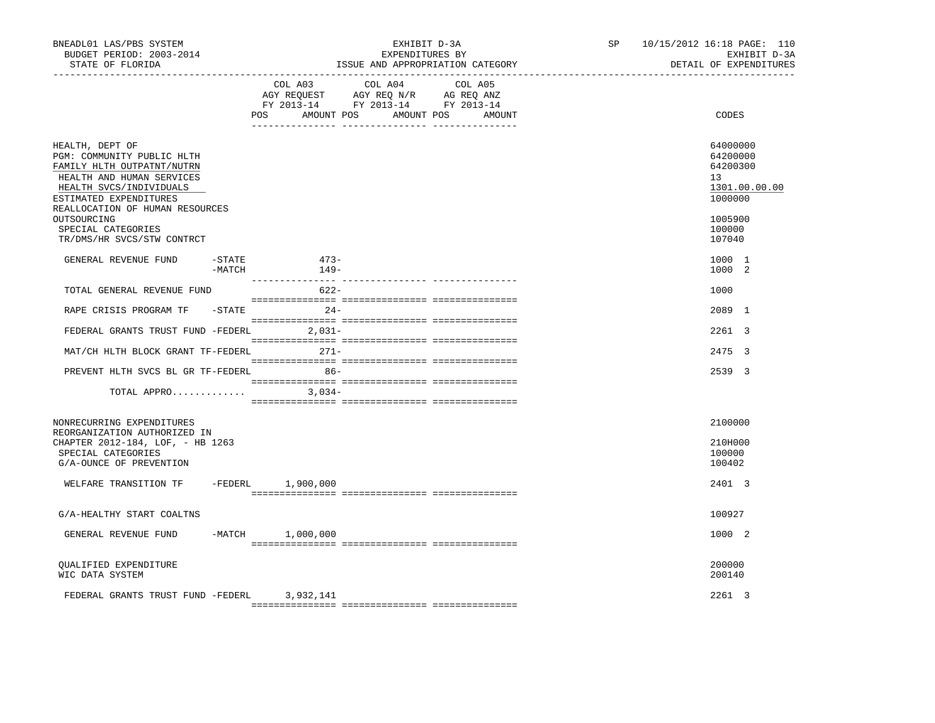| BNEADL01 LAS/PBS SYSTEM<br>BUDGET PERIOD: 2003-2014<br>STATE OF FLORIDA<br>-------------------                                                                                                                                                                      |                  | EXHIBIT D-3A<br>EXPENDITURES BY<br>ISSUE AND APPROPRIATION CATEGORY                                                                   | SP and the set of the set of the set of the set of the set of the set of the set of the set of the set of the set of the set of the set of the set of the set of the set of the set of the set of the set of the set of the se | 10/15/2012 16:18 PAGE: 110<br>EXHIBIT D-3A<br>DETAIL OF EXPENDITURES                              |
|---------------------------------------------------------------------------------------------------------------------------------------------------------------------------------------------------------------------------------------------------------------------|------------------|---------------------------------------------------------------------------------------------------------------------------------------|--------------------------------------------------------------------------------------------------------------------------------------------------------------------------------------------------------------------------------|---------------------------------------------------------------------------------------------------|
|                                                                                                                                                                                                                                                                     |                  | COL A03 COL A04 COL A05<br>AGY REQUEST AGY REQ N/R AG REQ ANZ<br>FY 2013-14 FY 2013-14 FY 2013-14<br>POS AMOUNT POS AMOUNT POS AMOUNT |                                                                                                                                                                                                                                | CODES                                                                                             |
| HEALTH, DEPT OF<br>PGM: COMMUNITY PUBLIC HLTH<br>FAMILY HLTH OUTPATNT/NUTRN<br>HEALTH AND HUMAN SERVICES<br>HEALTH SVCS/INDIVIDUALS<br>ESTIMATED EXPENDITURES<br>REALLOCATION OF HUMAN RESOURCES<br>OUTSOURCING<br>SPECIAL CATEGORIES<br>TR/DMS/HR SVCS/STW CONTRCT |                  |                                                                                                                                       |                                                                                                                                                                                                                                | 64000000<br>64200000<br>64200300<br>13<br>1301.00.00.00<br>1000000<br>1005900<br>100000<br>107040 |
| $-$ STATE<br>GENERAL REVENUE FUND<br>-MATCH                                                                                                                                                                                                                         | $473-$<br>$149-$ |                                                                                                                                       |                                                                                                                                                                                                                                | 1000 1<br>1000 2                                                                                  |
| TOTAL GENERAL REVENUE FUND                                                                                                                                                                                                                                          | $622-$           |                                                                                                                                       |                                                                                                                                                                                                                                | 1000                                                                                              |
| RAPE CRISIS PROGRAM TF -STATE                                                                                                                                                                                                                                       | $24-$            |                                                                                                                                       |                                                                                                                                                                                                                                | 2089 1                                                                                            |
| FEDERAL GRANTS TRUST FUND -FEDERL 2,031-                                                                                                                                                                                                                            |                  |                                                                                                                                       |                                                                                                                                                                                                                                | 2261 3                                                                                            |
| MAT/CH HLTH BLOCK GRANT TF-FEDERL 271-                                                                                                                                                                                                                              |                  |                                                                                                                                       |                                                                                                                                                                                                                                | 2475 3                                                                                            |
| PREVENT HLTH SVCS BL GR TF-FEDERL 86-                                                                                                                                                                                                                               |                  |                                                                                                                                       |                                                                                                                                                                                                                                | 2539 3                                                                                            |
| TOTAL APPRO $3,034-$                                                                                                                                                                                                                                                |                  |                                                                                                                                       |                                                                                                                                                                                                                                |                                                                                                   |
| NONRECURRING EXPENDITURES<br>REORGANIZATION AUTHORIZED IN<br>CHAPTER 2012-184, LOF, - HB 1263<br>SPECIAL CATEGORIES<br>G/A-OUNCE OF PREVENTION                                                                                                                      |                  |                                                                                                                                       |                                                                                                                                                                                                                                | 2100000<br>210H000<br>100000<br>100402                                                            |
| WELFARE TRANSITION TF -FEDERL 1,900,000                                                                                                                                                                                                                             |                  |                                                                                                                                       |                                                                                                                                                                                                                                | 2401 3                                                                                            |
| G/A-HEALTHY START COALTNS                                                                                                                                                                                                                                           |                  |                                                                                                                                       |                                                                                                                                                                                                                                | 100927                                                                                            |
| GENERAL REVENUE FUND -MATCH 1,000,000                                                                                                                                                                                                                               |                  |                                                                                                                                       |                                                                                                                                                                                                                                | 1000 2                                                                                            |
| OUALIFIED EXPENDITURE<br>WIC DATA SYSTEM                                                                                                                                                                                                                            |                  |                                                                                                                                       |                                                                                                                                                                                                                                | 200000<br>200140                                                                                  |
| FEDERAL GRANTS TRUST FUND -FEDERL 3,932,141                                                                                                                                                                                                                         |                  |                                                                                                                                       |                                                                                                                                                                                                                                | 2261 3                                                                                            |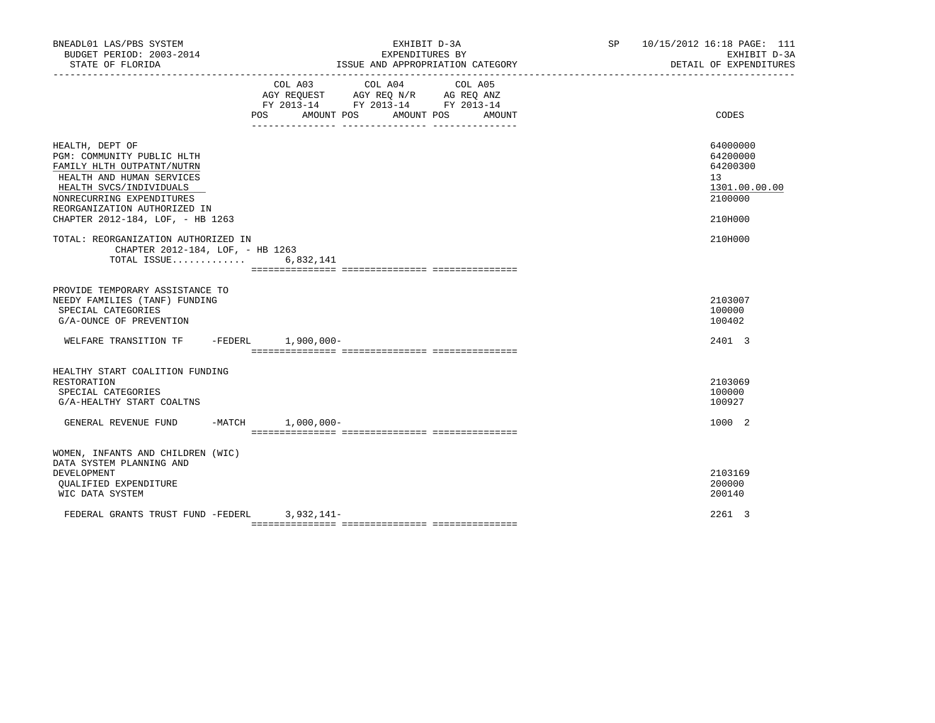| BNEADL01 LAS/PBS SYSTEM<br>BUDGET PERIOD: 2003-2014<br>STATE OF FLORIDA                                                                                                                                                              | EXHIBIT D-3A<br>EXPENDITURES BY<br>ISSUE AND APPROPRIATION CATEGORY |                                                                                                                |         |        |  | SP 10/15/2012 16:18 PAGE: 111<br>EXHIBIT D-3A<br>DETAIL OF EXPENDITURES       |
|--------------------------------------------------------------------------------------------------------------------------------------------------------------------------------------------------------------------------------------|---------------------------------------------------------------------|----------------------------------------------------------------------------------------------------------------|---------|--------|--|-------------------------------------------------------------------------------|
|                                                                                                                                                                                                                                      | COL A03                                                             | COL A04<br>AGY REQUEST AGY REQ N/R AG REQ ANZ<br>FY 2013-14 FY 2013-14 FY 2013-14<br>POS AMOUNT POS AMOUNT POS | COL A05 | AMOUNT |  | CODES                                                                         |
| HEALTH, DEPT OF<br>PGM: COMMUNITY PUBLIC HLTH<br>FAMILY HLTH OUTPATNT/NUTRN<br>HEALTH AND HUMAN SERVICES<br>HEALTH SVCS/INDIVIDUALS<br>NONRECURRING EXPENDITURES<br>REORGANIZATION AUTHORIZED IN<br>CHAPTER 2012-184, LOF, - HB 1263 |                                                                     |                                                                                                                |         |        |  | 64000000<br>64200000<br>64200300<br>13<br>1301.00.00.00<br>2100000<br>210H000 |
| TOTAL: REORGANIZATION AUTHORIZED IN<br>CHAPTER 2012-184, LOF, - HB 1263<br>TOTAL ISSUE                                                                                                                                               | 6,832,141                                                           |                                                                                                                |         |        |  | 210H000                                                                       |
| PROVIDE TEMPORARY ASSISTANCE TO<br>NEEDY FAMILIES (TANF) FUNDING<br>SPECIAL CATEGORIES<br>G/A-OUNCE OF PREVENTION                                                                                                                    |                                                                     |                                                                                                                |         |        |  | 2103007<br>100000<br>100402                                                   |
| WELFARE TRANSITION TF -FEDERL 1,900,000-                                                                                                                                                                                             |                                                                     |                                                                                                                |         |        |  | 2401 3                                                                        |
| HEALTHY START COALITION FUNDING<br>RESTORATION<br>SPECIAL CATEGORIES<br>G/A-HEALTHY START COALTNS                                                                                                                                    |                                                                     |                                                                                                                |         |        |  | 2103069<br>100000<br>100927                                                   |
| GENERAL REVENUE FUND -MATCH 1,000,000-                                                                                                                                                                                               |                                                                     |                                                                                                                |         |        |  | 1000 2                                                                        |
| WOMEN, INFANTS AND CHILDREN (WIC)<br>DATA SYSTEM PLANNING AND<br>DEVELOPMENT<br>OUALIFIED EXPENDITURE<br>WIC DATA SYSTEM<br>FEDERAL GRANTS TRUST FUND -FEDERL 3,932,141-                                                             |                                                                     |                                                                                                                |         |        |  | 2103169<br>200000<br>200140<br>2261 3                                         |
|                                                                                                                                                                                                                                      |                                                                     |                                                                                                                |         |        |  |                                                                               |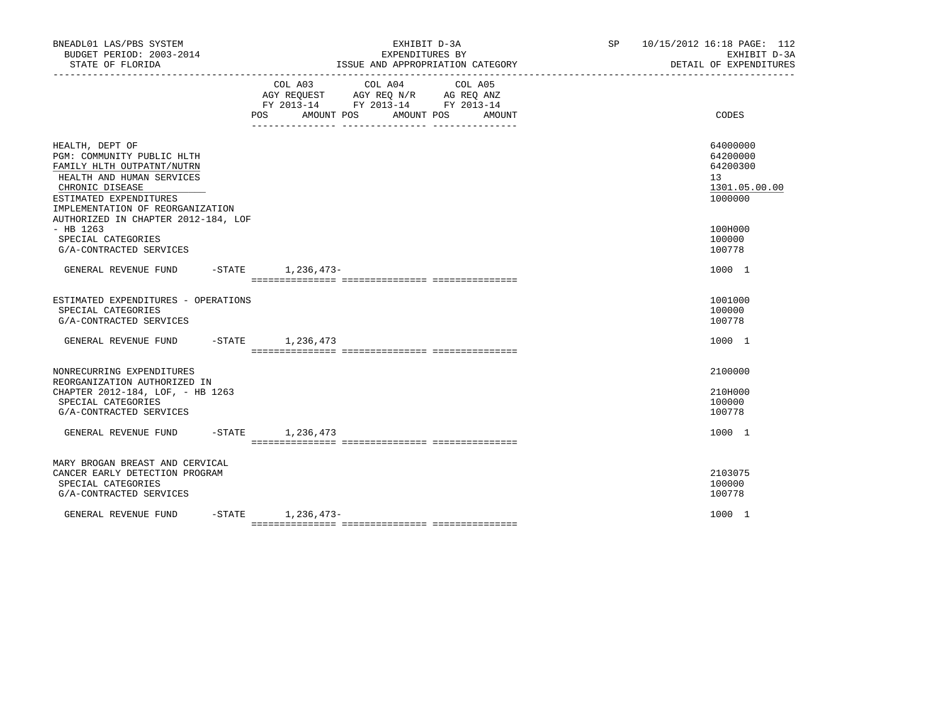| BNEADL01 LAS/PBS SYSTEM<br>BUDGET PERIOD: 2003-2014<br>STATE OF FLORIDA                                                                                                                                                          | EXHIBIT D-3A<br>EXPENDITURES BY<br>ISSUE AND APPROPRIATION CATEGORY                                        |                 |         |  |  | SP 10/15/2012 16:18 PAGE: 112<br>EXHIBIT D-3A<br>DETAIL OF EXPENDITURES |                                                                                 |
|----------------------------------------------------------------------------------------------------------------------------------------------------------------------------------------------------------------------------------|------------------------------------------------------------------------------------------------------------|-----------------|---------|--|--|-------------------------------------------------------------------------|---------------------------------------------------------------------------------|
|                                                                                                                                                                                                                                  | AGY REQUEST AGY REQ N/R AG REQ ANZ<br>FY 2013-14 FY 2013-14 FY 2013-14<br>POS AMOUNT POS AMOUNT POS AMOUNT | COL A03 COL A04 | COL A05 |  |  |                                                                         | <b>CODES</b>                                                                    |
| HEALTH, DEPT OF<br>PGM: COMMUNITY PUBLIC HLTH<br>FAMILY HLTH OUTPATNT/NUTRN<br>HEALTH AND HUMAN SERVICES<br>CHRONIC DISEASE<br>ESTIMATED EXPENDITURES<br>IMPLEMENTATION OF REORGANIZATION<br>AUTHORIZED IN CHAPTER 2012-184, LOF |                                                                                                            |                 |         |  |  |                                                                         | 64000000<br>64200000<br>64200300<br>13 <sup>7</sup><br>1301.05.00.00<br>1000000 |
| $-$ HB 1263<br>SPECIAL CATEGORIES<br>G/A-CONTRACTED SERVICES                                                                                                                                                                     |                                                                                                            |                 |         |  |  |                                                                         | 100H000<br>100000<br>100778                                                     |
| GENERAL REVENUE FUND -STATE 1,236,473-                                                                                                                                                                                           |                                                                                                            |                 |         |  |  |                                                                         | 1000 1                                                                          |
| ESTIMATED EXPENDITURES - OPERATIONS<br>SPECIAL CATEGORIES<br>G/A-CONTRACTED SERVICES                                                                                                                                             |                                                                                                            |                 |         |  |  |                                                                         | 1001000<br>100000<br>100778                                                     |
| GENERAL REVENUE FUND -STATE 1,236,473                                                                                                                                                                                            |                                                                                                            |                 |         |  |  |                                                                         | 1000 1                                                                          |
| NONRECURRING EXPENDITURES<br>REORGANIZATION AUTHORIZED IN<br>CHAPTER 2012-184, LOF, - HB 1263<br>SPECIAL CATEGORIES<br>G/A-CONTRACTED SERVICES                                                                                   |                                                                                                            |                 |         |  |  |                                                                         | 2100000<br>210H000<br>100000<br>100778                                          |
| GENERAL REVENUE FUND -STATE 1,236,473                                                                                                                                                                                            |                                                                                                            |                 |         |  |  |                                                                         | 1000 1                                                                          |
| MARY BROGAN BREAST AND CERVICAL<br>CANCER EARLY DETECTION PROGRAM<br>SPECIAL CATEGORIES<br>G/A-CONTRACTED SERVICES                                                                                                               |                                                                                                            |                 |         |  |  |                                                                         | 2103075<br>100000<br>100778                                                     |
| GENERAL REVENUE FUND                                                                                                                                                                                                             | $-STATE$ 1, 236, 473-                                                                                      |                 |         |  |  |                                                                         | 1000 1                                                                          |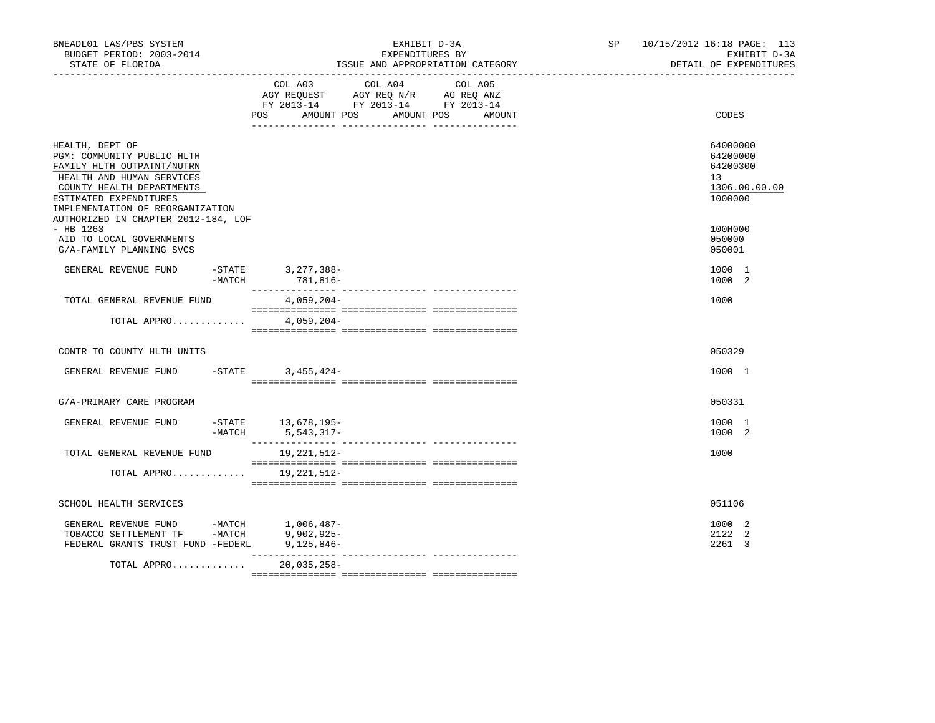| BNEADL01 LAS/PBS SYSTEM<br>BUDGET PERIOD: 2003-2014<br>STATE OF FLORIDA                                                                                                                                                                                                                                                                       | EXHIBIT D-3A<br>EXPENDITURES BY<br>ISSUE AND APPROPRIATION CATEGORY                                                                                                                                                                                                                                                                                                                                                                                  | 10/15/2012 16:18 PAGE: 113<br>SP <sub>2</sub><br>EXHIBIT D-3A<br>DETAIL OF EXPENDITURES |
|-----------------------------------------------------------------------------------------------------------------------------------------------------------------------------------------------------------------------------------------------------------------------------------------------------------------------------------------------|------------------------------------------------------------------------------------------------------------------------------------------------------------------------------------------------------------------------------------------------------------------------------------------------------------------------------------------------------------------------------------------------------------------------------------------------------|-----------------------------------------------------------------------------------------|
|                                                                                                                                                                                                                                                                                                                                               | COL A03 COL A04 COL A05<br>AGY REQUEST AGY REQ N/R AG REQ ANZ<br>FY 2013-14 FY 2013-14 FY 2013-14<br>POS AMOUNT POS<br>AMOUNT POS<br>AMOUNT                                                                                                                                                                                                                                                                                                          | CODES                                                                                   |
| HEALTH, DEPT OF<br>PGM: COMMUNITY PUBLIC HLTH<br>FAMILY HLTH OUTPATNT/NUTRN<br>HEALTH AND HUMAN SERVICES<br>COUNTY HEALTH DEPARTMENTS<br>ESTIMATED EXPENDITURES<br>IMPLEMENTATION OF REORGANIZATION                                                                                                                                           |                                                                                                                                                                                                                                                                                                                                                                                                                                                      | 64000000<br>64200000<br>64200300<br>13<br>1306.00.00.00<br>1000000                      |
| AUTHORIZED IN CHAPTER 2012-184, LOF<br>$-$ HB 1263<br>AID TO LOCAL GOVERNMENTS<br>G/A-FAMILY PLANNING SVCS                                                                                                                                                                                                                                    |                                                                                                                                                                                                                                                                                                                                                                                                                                                      | 100H000<br>050000<br>050001                                                             |
| GENERAL REVENUE FUND<br>$-$ STATE<br>-MATCH                                                                                                                                                                                                                                                                                                   | 3, 277, 388-<br>781,816-                                                                                                                                                                                                                                                                                                                                                                                                                             | 1000 1<br>1000 2                                                                        |
| TOTAL GENERAL REVENUE FUND                                                                                                                                                                                                                                                                                                                    | 4,059,204-                                                                                                                                                                                                                                                                                                                                                                                                                                           | 1000                                                                                    |
| TOTAL APPRO                                                                                                                                                                                                                                                                                                                                   | $4,059,204-$                                                                                                                                                                                                                                                                                                                                                                                                                                         |                                                                                         |
| CONTR TO COUNTY HLTH UNITS                                                                                                                                                                                                                                                                                                                    |                                                                                                                                                                                                                                                                                                                                                                                                                                                      | 050329                                                                                  |
| GENERAL REVENUE FUND<br>$-$ STATE                                                                                                                                                                                                                                                                                                             | $3,455,424-$                                                                                                                                                                                                                                                                                                                                                                                                                                         | 1000 1                                                                                  |
| G/A-PRIMARY CARE PROGRAM                                                                                                                                                                                                                                                                                                                      |                                                                                                                                                                                                                                                                                                                                                                                                                                                      | 050331                                                                                  |
| GENERAL REVENUE FUND<br>$-MATCH$                                                                                                                                                                                                                                                                                                              | $-STATE$ 13, 678, 195-<br>5, 543, 317-                                                                                                                                                                                                                                                                                                                                                                                                               | 1000 1<br>1000 2                                                                        |
| TOTAL GENERAL REVENUE FUND                                                                                                                                                                                                                                                                                                                    | 19, 221, 512-<br>$\begin{minipage}{0.03\textwidth} \begin{tabular}{l} \textbf{1} & \textbf{2} & \textbf{3} & \textbf{5} & \textbf{5} & \textbf{6} & \textbf{6} & \textbf{7} & \textbf{8} & \textbf{9} & \textbf{9} & \textbf{9} & \textbf{1} & \textbf{1} & \textbf{1} & \textbf{1} & \textbf{1} & \textbf{1} & \textbf{1} & \textbf{1} & \textbf{1} & \textbf{1} & \textbf{1} & \textbf{1} & \textbf{1} & \textbf{1} & \textbf{1} & \textbf{1} & \$ | 1000                                                                                    |
| TOTAL APPRO 19, 221, 512-                                                                                                                                                                                                                                                                                                                     |                                                                                                                                                                                                                                                                                                                                                                                                                                                      |                                                                                         |
| SCHOOL HEALTH SERVICES                                                                                                                                                                                                                                                                                                                        |                                                                                                                                                                                                                                                                                                                                                                                                                                                      | 051106                                                                                  |
| $\begin{tabular}{lllllllllllll} \multicolumn{4}{c}{\textbf{GENERAL}} &\textbf{REVENUE} & \textbf{FUND} & & \multicolumn{4}{c}{\textbf{-MATCH}} & & 1,006,487-\text{TOBACCO} & \textbf{SETTLEMENT} & \textbf{TF} & & \multicolumn{4}{c}{\textbf{-MATCH}} & & 9,902,925-\text{.} \end{tabular}$<br>FEDERAL GRANTS TRUST FUND -FEDERL 9,125,846- |                                                                                                                                                                                                                                                                                                                                                                                                                                                      | 1000 2<br>2122 2<br>2261 3                                                              |
| TOTAL APPRO                                                                                                                                                                                                                                                                                                                                   | $20,035,258-$                                                                                                                                                                                                                                                                                                                                                                                                                                        |                                                                                         |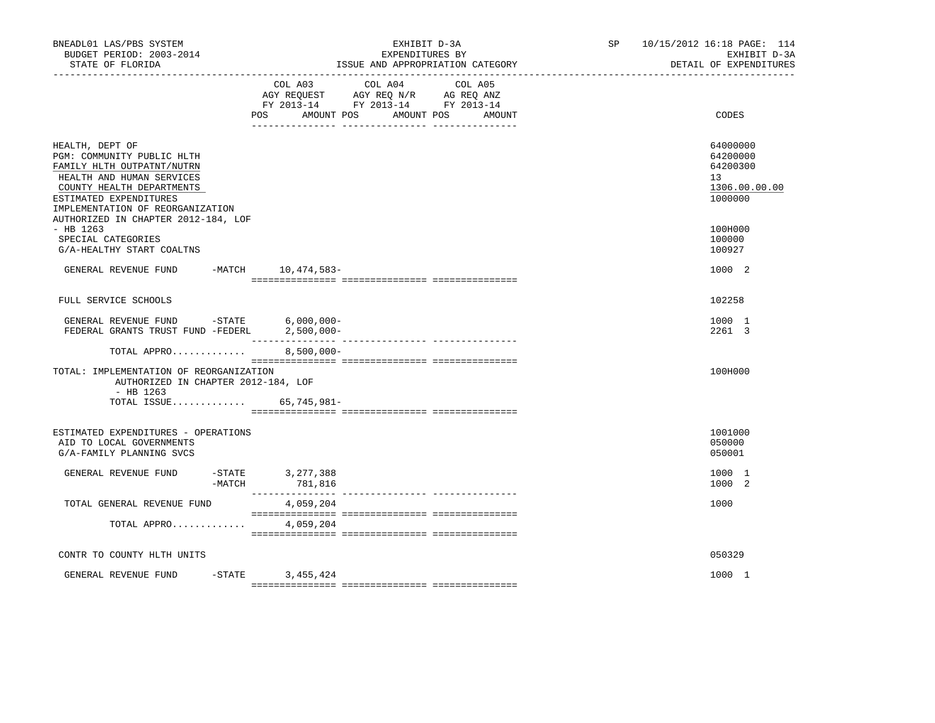| BNEADL01 LAS/PBS SYSTEM<br>BUDGET PERIOD: 2003-2014<br>STATE OF FLORIDA                                                        | EXHIBIT D-3A<br>EXPENDITURES BY<br>ISSUE AND APPROPRIATION CATEGORY                                                                     | 10/15/2012 16:18 PAGE: 114<br>SP<br>EXHIBIT D-3A<br>DETAIL OF EXPENDITURES<br>------------------------------- |
|--------------------------------------------------------------------------------------------------------------------------------|-----------------------------------------------------------------------------------------------------------------------------------------|---------------------------------------------------------------------------------------------------------------|
|                                                                                                                                | COL A03<br>COL A04<br>COL A05<br>AGY REQUEST AGY REQ N/R AG REQ ANZ<br>FY 2013-14 FY 2013-14 FY 2013-14<br>POS<br>AMOUNT POS AMOUNT POS | CODES<br>AMOUNT                                                                                               |
|                                                                                                                                |                                                                                                                                         |                                                                                                               |
| HEALTH, DEPT OF<br>PGM: COMMUNITY PUBLIC HLTH<br>FAMILY HLTH OUTPATNT/NUTRN<br>HEALTH AND HUMAN SERVICES                       |                                                                                                                                         | 64000000<br>64200000<br>64200300<br>13                                                                        |
| COUNTY HEALTH DEPARTMENTS<br>ESTIMATED EXPENDITURES<br>IMPLEMENTATION OF REORGANIZATION<br>AUTHORIZED IN CHAPTER 2012-184, LOF |                                                                                                                                         | 1306.00.00.00<br>1000000                                                                                      |
| $-$ HB 1263<br>SPECIAL CATEGORIES<br>G/A-HEALTHY START COALTNS                                                                 |                                                                                                                                         | 100H000<br>100000<br>100927                                                                                   |
| GENERAL REVENUE FUND                                                                                                           | -MATCH 10,474,583-                                                                                                                      | 1000 2                                                                                                        |
| FULL SERVICE SCHOOLS                                                                                                           |                                                                                                                                         | 102258                                                                                                        |
| GENERAL REVENUE FUND $-$ STATE 6,000,000-<br>FEDERAL GRANTS TRUST FUND -FEDERL 2,500,000-                                      |                                                                                                                                         | 1000 1<br>2261 3                                                                                              |
| TOTAL APPRO                                                                                                                    | $8,500,000 -$                                                                                                                           |                                                                                                               |
| TOTAL: IMPLEMENTATION OF REORGANIZATION<br>AUTHORIZED IN CHAPTER 2012-184, LOF<br>$-$ HB 1263                                  |                                                                                                                                         | 100H000                                                                                                       |
| TOTAL ISSUE                                                                                                                    | 65,745,981-                                                                                                                             |                                                                                                               |
| ESTIMATED EXPENDITURES - OPERATIONS<br>AID TO LOCAL GOVERNMENTS<br>G/A-FAMILY PLANNING SVCS                                    |                                                                                                                                         | 1001000<br>050000<br>050001                                                                                   |
| GENERAL REVENUE FUND<br>-MATCH                                                                                                 | -STATE 3,277,388<br>781,816                                                                                                             | 1000 1<br>1000 2                                                                                              |
| TOTAL GENERAL REVENUE FUND                                                                                                     | 4,059,204                                                                                                                               | 1000                                                                                                          |
| TOTAL APPRO                                                                                                                    | 4,059,204                                                                                                                               |                                                                                                               |
| CONTR TO COUNTY HLTH UNITS                                                                                                     |                                                                                                                                         | 050329                                                                                                        |
| GENERAL REVENUE FUND                                                                                                           | $-$ STATE<br>3,455,424                                                                                                                  | 1000 1                                                                                                        |
|                                                                                                                                |                                                                                                                                         |                                                                                                               |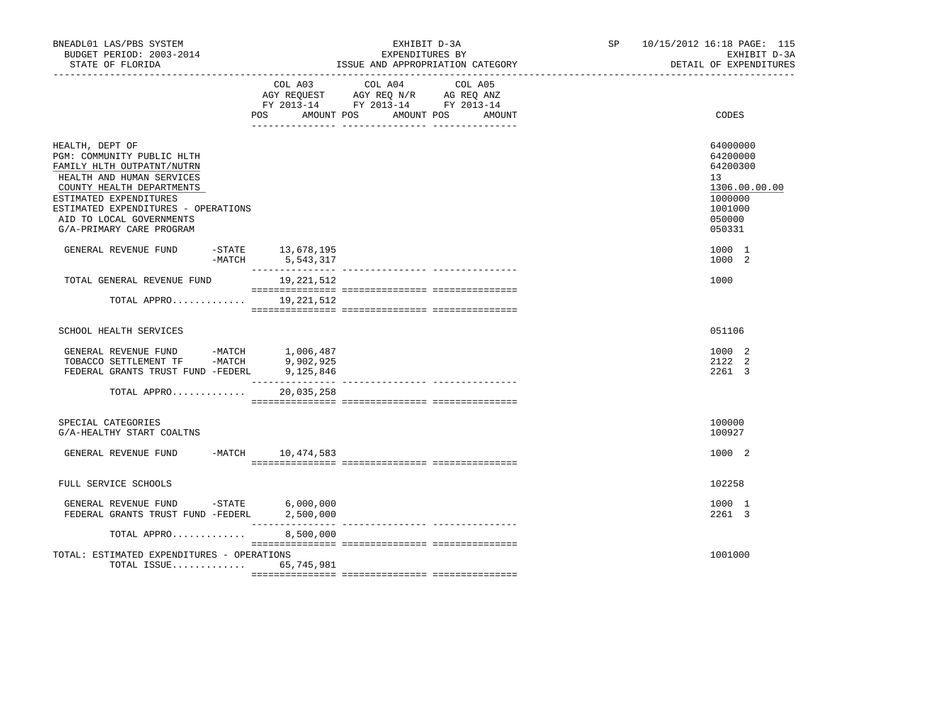| BNEADL01 LAS/PBS SYSTEM<br>BUDGET PERIOD: 2003-2014<br>STATE OF FLORIDA                                                                                                                                                                                        |                                       | EXHIBIT D-3A<br>EXPENDITURES BY<br>ISSUE AND APPROPRIATION CATEGORY                                                                                                                                             | SP and the set of the set of the set of the set of the set of the set of the set of the set of the set of the set of the set of the set of the set of the set of the set of the set of the set of the set of the set of the se | 10/15/2012 16:18 PAGE: 115<br>EXHIBIT D-3A<br>DETAIL OF EXPENDITURES |                                                                                                   |
|----------------------------------------------------------------------------------------------------------------------------------------------------------------------------------------------------------------------------------------------------------------|---------------------------------------|-----------------------------------------------------------------------------------------------------------------------------------------------------------------------------------------------------------------|--------------------------------------------------------------------------------------------------------------------------------------------------------------------------------------------------------------------------------|----------------------------------------------------------------------|---------------------------------------------------------------------------------------------------|
|                                                                                                                                                                                                                                                                | <b>POS</b><br>AMOUNT POS              | COL A03 COL A04<br>$\begin{tabular}{lllllll} AGY & \texttt{REQUEST} & \texttt{AGY} & \texttt{REG} & \texttt{N/R} & \texttt{AG} & \texttt{REQ} & \texttt{ANZ} \end{tabular}$<br>FY 2013-14 FY 2013-14 FY 2013-14 | COL A05<br>AMOUNT POS<br>AMOUNT                                                                                                                                                                                                |                                                                      | CODES                                                                                             |
| HEALTH, DEPT OF<br>PGM: COMMUNITY PUBLIC HLTH<br>FAMILY HLTH OUTPATNT/NUTRN<br>HEALTH AND HUMAN SERVICES<br>COUNTY HEALTH DEPARTMENTS<br>ESTIMATED EXPENDITURES<br>ESTIMATED EXPENDITURES - OPERATIONS<br>AID TO LOCAL GOVERNMENTS<br>G/A-PRIMARY CARE PROGRAM |                                       |                                                                                                                                                                                                                 |                                                                                                                                                                                                                                |                                                                      | 64000000<br>64200000<br>64200300<br>13<br>1306.00.00.00<br>1000000<br>1001000<br>050000<br>050331 |
| GENERAL REVENUE FUND                                                                                                                                                                                                                                           | -STATE 13,678,195<br>-MATCH 5,543,317 |                                                                                                                                                                                                                 |                                                                                                                                                                                                                                |                                                                      | 1000 1<br>1000 2                                                                                  |
| TOTAL GENERAL REVENUE FUND                                                                                                                                                                                                                                     | 19,221,512                            |                                                                                                                                                                                                                 |                                                                                                                                                                                                                                |                                                                      | 1000                                                                                              |
|                                                                                                                                                                                                                                                                | TOTAL APPRO 19,221,512                |                                                                                                                                                                                                                 |                                                                                                                                                                                                                                |                                                                      |                                                                                                   |
| SCHOOL HEALTH SERVICES                                                                                                                                                                                                                                         |                                       |                                                                                                                                                                                                                 |                                                                                                                                                                                                                                |                                                                      | 051106                                                                                            |
| GENERAL REVENUE FUND -MATCH 1,006,487<br>TOBACCO SETTLEMENT TF -MATCH<br>FEDERAL GRANTS TRUST FUND -FEDERL                                                                                                                                                     | 9,902,925<br>9,125,846                |                                                                                                                                                                                                                 |                                                                                                                                                                                                                                |                                                                      | 1000 2<br>2122 2<br>2261 3                                                                        |
| TOTAL APPRO 20,035,258                                                                                                                                                                                                                                         |                                       |                                                                                                                                                                                                                 |                                                                                                                                                                                                                                |                                                                      |                                                                                                   |
| SPECIAL CATEGORIES<br>G/A-HEALTHY START COALTNS                                                                                                                                                                                                                |                                       |                                                                                                                                                                                                                 |                                                                                                                                                                                                                                |                                                                      | 100000<br>100927                                                                                  |
| GENERAL REVENUE FUND                                                                                                                                                                                                                                           | -MATCH 10,474,583                     |                                                                                                                                                                                                                 |                                                                                                                                                                                                                                |                                                                      | 1000 2                                                                                            |
| FULL SERVICE SCHOOLS                                                                                                                                                                                                                                           |                                       |                                                                                                                                                                                                                 |                                                                                                                                                                                                                                |                                                                      | 102258                                                                                            |
| GENERAL REVENUE FUND -STATE<br>FEDERAL GRANTS TRUST FUND -FEDERL                                                                                                                                                                                               | 6,000,000<br>2,500,000                |                                                                                                                                                                                                                 |                                                                                                                                                                                                                                |                                                                      | 1000 1<br>2261 3                                                                                  |
| TOTAL APPRO                                                                                                                                                                                                                                                    | 8,500,000                             |                                                                                                                                                                                                                 |                                                                                                                                                                                                                                |                                                                      |                                                                                                   |
| TOTAL: ESTIMATED EXPENDITURES - OPERATIONS<br>TOTAL ISSUE                                                                                                                                                                                                      | 65,745,981                            |                                                                                                                                                                                                                 |                                                                                                                                                                                                                                |                                                                      | 1001000                                                                                           |
|                                                                                                                                                                                                                                                                |                                       |                                                                                                                                                                                                                 |                                                                                                                                                                                                                                |                                                                      |                                                                                                   |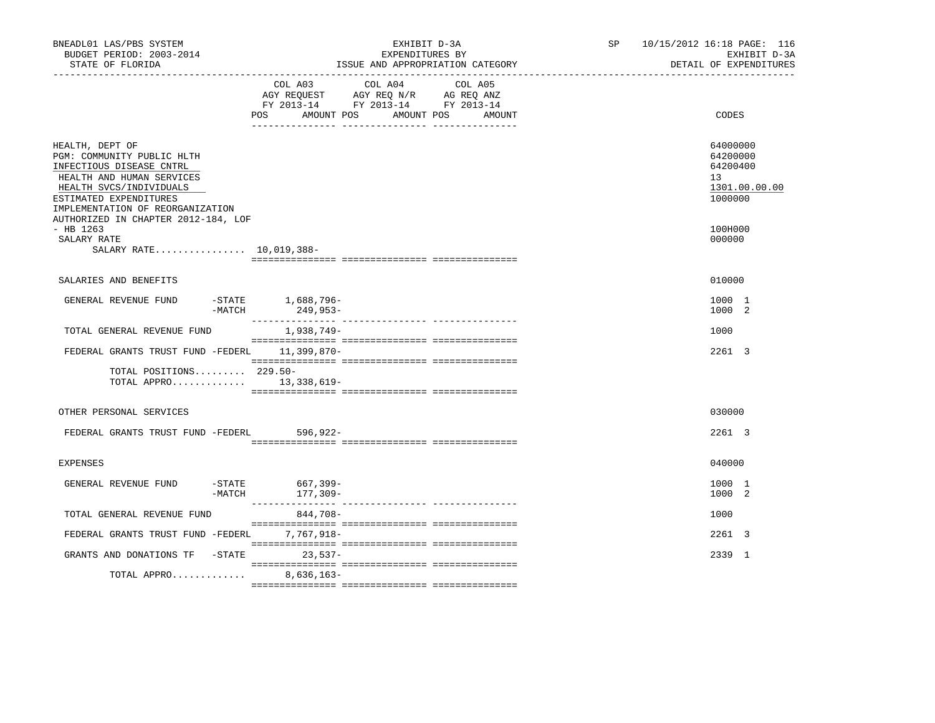| BNEADL01 LAS/PBS SYSTEM<br>BUDGET PERIOD: 2003-2014<br>STATE OF FLORIDA                                                                                                                         |                               | EXHIBIT D-3A<br>EXPENDITURES BY<br>ISSUE AND APPROPRIATION CATEGORY |                                                                                   |                                 |  | SP | 10/15/2012 16:18 PAGE: 116<br>EXHIBIT D-3A<br>DETAIL OF EXPENDITURES |
|-------------------------------------------------------------------------------------------------------------------------------------------------------------------------------------------------|-------------------------------|---------------------------------------------------------------------|-----------------------------------------------------------------------------------|---------------------------------|--|----|----------------------------------------------------------------------|
|                                                                                                                                                                                                 | POS                           | COL A03<br>AMOUNT POS                                               | COL A04<br>AGY REQUEST AGY REQ N/R AG REQ ANZ<br>FY 2013-14 FY 2013-14 FY 2013-14 | COL A05<br>AMOUNT POS<br>AMOUNT |  |    | CODES                                                                |
| HEALTH, DEPT OF<br>PGM: COMMUNITY PUBLIC HLTH<br>INFECTIOUS DISEASE CNTRL<br>HEALTH AND HUMAN SERVICES<br>HEALTH SVCS/INDIVIDUALS<br>ESTIMATED EXPENDITURES<br>IMPLEMENTATION OF REORGANIZATION |                               |                                                                     |                                                                                   |                                 |  |    | 64000000<br>64200000<br>64200400<br>13<br>1301.00.00.00<br>1000000   |
| AUTHORIZED IN CHAPTER 2012-184, LOF<br>$-$ HB 1263<br>SALARY RATE<br>SALARY RATE 10,019,388-                                                                                                    |                               |                                                                     |                                                                                   |                                 |  |    | 100H000<br>000000                                                    |
| SALARIES AND BENEFITS                                                                                                                                                                           |                               |                                                                     |                                                                                   |                                 |  |    | 010000                                                               |
| GENERAL REVENUE FUND                                                                                                                                                                            | -STATE 1,688,796-<br>$-MATCH$ | 249,953-                                                            |                                                                                   |                                 |  |    | 1000 1<br>1000 2                                                     |
| TOTAL GENERAL REVENUE FUND                                                                                                                                                                      |                               | 1,938,749-                                                          |                                                                                   |                                 |  |    | 1000                                                                 |
| FEDERAL GRANTS TRUST FUND -FEDERL 11,399,870-                                                                                                                                                   |                               |                                                                     |                                                                                   |                                 |  |    | 2261 3                                                               |
| TOTAL POSITIONS 229.50-<br>TOTAL APPRO $13,338,619-$                                                                                                                                            |                               |                                                                     |                                                                                   |                                 |  |    |                                                                      |
| OTHER PERSONAL SERVICES                                                                                                                                                                         |                               |                                                                     |                                                                                   |                                 |  |    | 030000                                                               |
| FEDERAL GRANTS TRUST FUND -FEDERL                                                                                                                                                               |                               | 596,922-                                                            |                                                                                   |                                 |  |    | 2261 3                                                               |
| <b>EXPENSES</b>                                                                                                                                                                                 |                               |                                                                     |                                                                                   |                                 |  |    | 040000                                                               |
| GENERAL REVENUE FUND                                                                                                                                                                            | -STATE<br>$-MATCH$            | 667,399-<br>177,309-                                                |                                                                                   |                                 |  |    | 1000 1<br>1000 2                                                     |
| TOTAL GENERAL REVENUE FUND                                                                                                                                                                      |                               | 844,708-                                                            |                                                                                   |                                 |  |    | 1000                                                                 |
| FEDERAL GRANTS TRUST FUND -FEDERL                                                                                                                                                               |                               | 7,767,918-                                                          |                                                                                   |                                 |  |    | 2261 3                                                               |
| GRANTS AND DONATIONS TF -STATE                                                                                                                                                                  |                               | $23,537-$                                                           |                                                                                   |                                 |  |    | 2339 1                                                               |
| TOTAL APPRO                                                                                                                                                                                     |                               | $8,636,163-$                                                        |                                                                                   |                                 |  |    |                                                                      |
|                                                                                                                                                                                                 |                               |                                                                     |                                                                                   |                                 |  |    |                                                                      |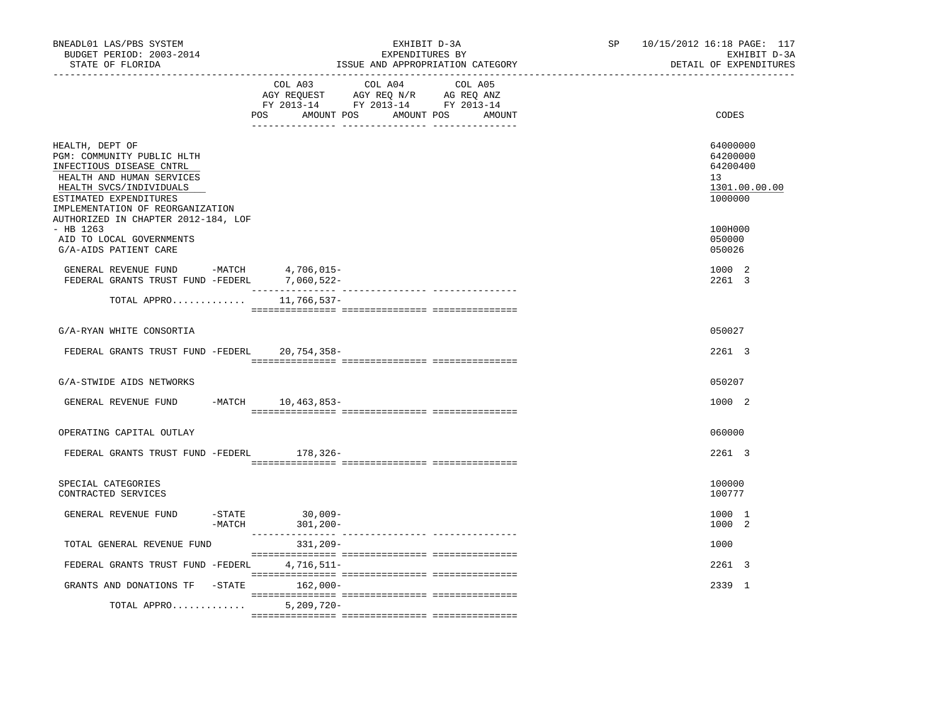| BNEADL01 LAS/PBS SYSTEM<br>BUDGET PERIOD: 2003-2014<br>STATE OF FLORIDA                                                                                                                         | EXHIBIT D-3A<br>EXPENDITURES BY<br>ISSUE AND APPROPRIATION CATEGORY                                                                                                                                                                                                                                                                                                                                                                                                              | 10/15/2012 16:18 PAGE: 117<br>SP<br>EXHIBIT D-3A<br>DETAIL OF EXPENDITURES |
|-------------------------------------------------------------------------------------------------------------------------------------------------------------------------------------------------|----------------------------------------------------------------------------------------------------------------------------------------------------------------------------------------------------------------------------------------------------------------------------------------------------------------------------------------------------------------------------------------------------------------------------------------------------------------------------------|----------------------------------------------------------------------------|
|                                                                                                                                                                                                 | COL A03<br>COL A04<br>COL A05<br>AGY REQUEST AGY REQ N/R AG REQ ANZ<br>FY 2013-14 FY 2013-14 FY 2013-14<br>POS AMOUNT POS AMOUNT POS AMOUNT                                                                                                                                                                                                                                                                                                                                      | CODES                                                                      |
| HEALTH, DEPT OF<br>PGM: COMMUNITY PUBLIC HLTH<br>INFECTIOUS DISEASE CNTRL<br>HEALTH AND HUMAN SERVICES<br>HEALTH SVCS/INDIVIDUALS<br>ESTIMATED EXPENDITURES<br>IMPLEMENTATION OF REORGANIZATION |                                                                                                                                                                                                                                                                                                                                                                                                                                                                                  | 64000000<br>64200000<br>64200400<br>13<br>1301.00.00.00<br>1000000         |
| AUTHORIZED IN CHAPTER 2012-184, LOF<br>$-$ HB 1263<br>AID TO LOCAL GOVERNMENTS<br>G/A-AIDS PATIENT CARE                                                                                         |                                                                                                                                                                                                                                                                                                                                                                                                                                                                                  | 100H000<br>050000<br>050026                                                |
| GENERAL REVENUE FUND -MATCH<br>FEDERAL GRANTS TRUST FUND -FEDERL 7,060,522-                                                                                                                     | 4,706,015-                                                                                                                                                                                                                                                                                                                                                                                                                                                                       | 1000 2<br>2261 3                                                           |
| TOTAL APPRO                                                                                                                                                                                     | 11,766,537–                                                                                                                                                                                                                                                                                                                                                                                                                                                                      |                                                                            |
| G/A-RYAN WHITE CONSORTIA                                                                                                                                                                        |                                                                                                                                                                                                                                                                                                                                                                                                                                                                                  | 050027                                                                     |
| FEDERAL GRANTS TRUST FUND -FEDERL 20,754,358-                                                                                                                                                   |                                                                                                                                                                                                                                                                                                                                                                                                                                                                                  | 2261 3                                                                     |
| G/A-STWIDE AIDS NETWORKS                                                                                                                                                                        |                                                                                                                                                                                                                                                                                                                                                                                                                                                                                  | 050207                                                                     |
| GENERAL REVENUE FUND -MATCH 10,463,853-                                                                                                                                                         |                                                                                                                                                                                                                                                                                                                                                                                                                                                                                  | 1000 2                                                                     |
| OPERATING CAPITAL OUTLAY                                                                                                                                                                        |                                                                                                                                                                                                                                                                                                                                                                                                                                                                                  | 060000                                                                     |
| FEDERAL GRANTS TRUST FUND -FEDERL 178,326-                                                                                                                                                      |                                                                                                                                                                                                                                                                                                                                                                                                                                                                                  | 2261 3                                                                     |
| SPECIAL CATEGORIES<br>CONTRACTED SERVICES                                                                                                                                                       |                                                                                                                                                                                                                                                                                                                                                                                                                                                                                  | 100000<br>100777                                                           |
| GENERAL REVENUE FUND                                                                                                                                                                            | $30,009-$<br>$-$ STATE<br>-MATCH 301,200-                                                                                                                                                                                                                                                                                                                                                                                                                                        | 1000 1<br>1000 2                                                           |
| TOTAL GENERAL REVENUE FUND                                                                                                                                                                      | 331,209-                                                                                                                                                                                                                                                                                                                                                                                                                                                                         | 1000                                                                       |
| FEDERAL GRANTS TRUST FUND -FEDERL                                                                                                                                                               | 4,716,511-                                                                                                                                                                                                                                                                                                                                                                                                                                                                       | 2261 3                                                                     |
| GRANTS AND DONATIONS TF -STATE                                                                                                                                                                  | 162,000-                                                                                                                                                                                                                                                                                                                                                                                                                                                                         | 2339 1                                                                     |
| TOTAL APPRO                                                                                                                                                                                     | $\begin{minipage}{0.03\textwidth} \begin{tabular}{l} \textbf{0.04\textwidth} \textbf{0.04\textwidth} \textbf{0.04\textwidth} \textbf{0.04\textwidth} \textbf{0.04\textwidth} \textbf{0.04\textwidth} \textbf{0.04\textwidth} \textbf{0.04\textwidth} \textbf{0.04\textwidth} \textbf{0.04\textwidth} \textbf{0.04\textwidth} \textbf{0.04\textwidth} \textbf{0.04\textwidth} \textbf{0.04\textwidth} \textbf{0.04\textwidth} \textbf{0.04\textwidth} \textbf{0$<br>$5,209,720 -$ |                                                                            |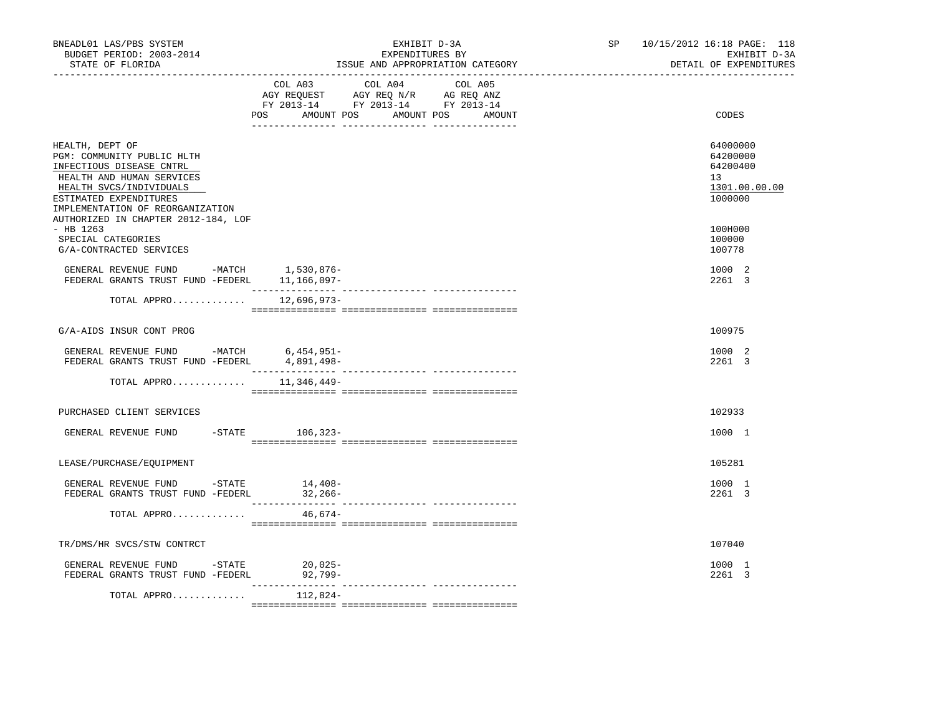| BNEADL01 LAS/PBS SYSTEM<br>BUDGET PERIOD: 2003-2014<br>STATE OF FLORIDA<br>___________________                                                                                                  | EXHIBIT D-3A<br>EXPENDITURES BY<br>ISSUE AND APPROPRIATION CATEGORY                                                                      | SP 10/15/2012 16:18 PAGE: 118<br>EXHIBIT D-3A<br>DETAIL OF EXPENDITURES |
|-------------------------------------------------------------------------------------------------------------------------------------------------------------------------------------------------|------------------------------------------------------------------------------------------------------------------------------------------|-------------------------------------------------------------------------|
|                                                                                                                                                                                                 | COL A03 COL A04<br>COL A05<br>AGY REQUEST AGY REQ N/R AG REQ ANZ<br>FY 2013-14 FY 2013-14 FY 2013-14<br>POS AMOUNT POS AMOUNT POS AMOUNT | CODES                                                                   |
| HEALTH, DEPT OF<br>PGM: COMMUNITY PUBLIC HLTH<br>INFECTIOUS DISEASE CNTRL<br>HEALTH AND HUMAN SERVICES<br>HEALTH SVCS/INDIVIDUALS<br>ESTIMATED EXPENDITURES<br>IMPLEMENTATION OF REORGANIZATION |                                                                                                                                          | 64000000<br>64200000<br>64200400<br>13<br>1301.00.00.00<br>1000000      |
| AUTHORIZED IN CHAPTER 2012-184, LOF<br>$-$ HB 1263<br>SPECIAL CATEGORIES<br>G/A-CONTRACTED SERVICES                                                                                             |                                                                                                                                          | 100H000<br>100000<br>100778                                             |
| GENERAL REVENUE FUND -MATCH 1,530,876-<br>FEDERAL GRANTS TRUST FUND -FEDERL 11,166,097-                                                                                                         |                                                                                                                                          | 1000 2<br>2261 3                                                        |
| TOTAL APPRO 12,696,973-                                                                                                                                                                         |                                                                                                                                          |                                                                         |
| G/A-AIDS INSUR CONT PROG                                                                                                                                                                        |                                                                                                                                          | 100975                                                                  |
| GENERAL REVENUE FUND -MATCH 6,454,951-<br>FEDERAL GRANTS TRUST FUND -FEDERL                                                                                                                     | 4,891,498-                                                                                                                               | 1000 2<br>2261 3                                                        |
| TOTAL APPRO                                                                                                                                                                                     | 11,346,449–                                                                                                                              |                                                                         |
| PURCHASED CLIENT SERVICES                                                                                                                                                                       |                                                                                                                                          | 102933                                                                  |
| GENERAL REVENUE FUND                                                                                                                                                                            | -STATE 106,323-                                                                                                                          | 1000 1                                                                  |
| LEASE/PURCHASE/EQUIPMENT                                                                                                                                                                        |                                                                                                                                          | 105281                                                                  |
| GENERAL REVENUE FUND - STATE<br>FEDERAL GRANTS TRUST FUND -FEDERL 32,266-                                                                                                                       | $14,408-$                                                                                                                                | 1000 1<br>2261 3                                                        |
| TOTAL APPRO                                                                                                                                                                                     | $46,674-$                                                                                                                                |                                                                         |
| TR/DMS/HR SVCS/STW CONTRCT                                                                                                                                                                      |                                                                                                                                          | 107040                                                                  |
| GENERAL REVENUE FUND $-$ STATE 20,025-<br>FEDERAL GRANTS TRUST FUND -FEDERL                                                                                                                     | 92,799-                                                                                                                                  | 1000 1<br>2261 3                                                        |
| TOTAL APPRO                                                                                                                                                                                     | 112,824-                                                                                                                                 |                                                                         |
|                                                                                                                                                                                                 |                                                                                                                                          |                                                                         |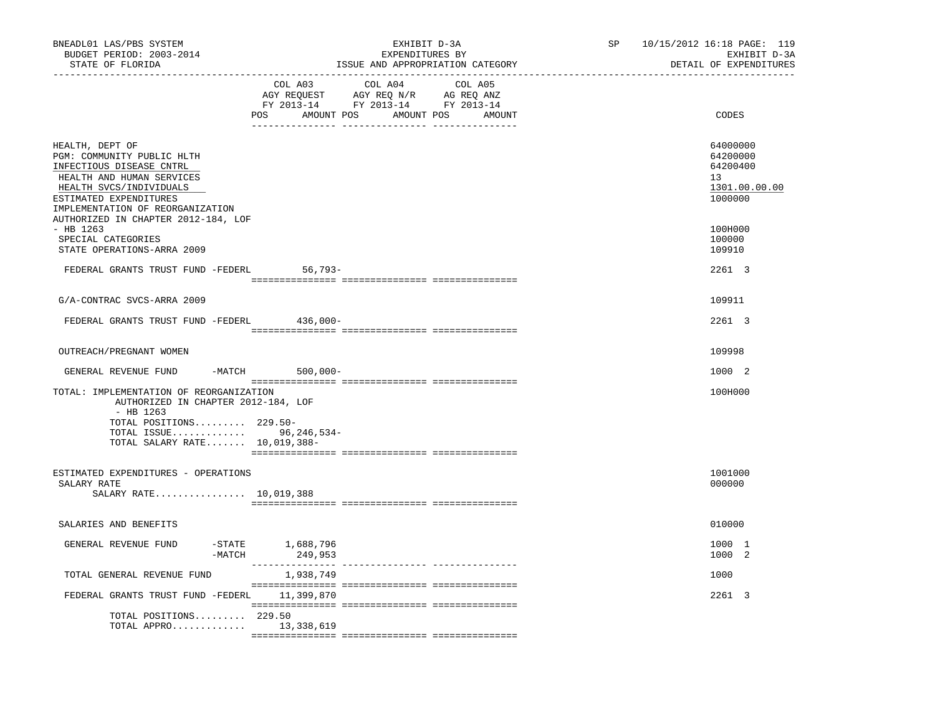| BNEADL01 LAS/PBS SYSTEM<br>BUDGET PERIOD: 2003-2014<br>STATE OF FLORIDA                                                                                                                                                                | EXHIBIT D-3A<br>EXPENDITURES BY<br>ISSUE AND APPROPRIATION CATEGORY<br>________________________________ | 10/15/2012 16:18 PAGE: 119<br>SP<br>EXHIBIT D-3A<br>DETAIL OF EXPENDITURES |
|----------------------------------------------------------------------------------------------------------------------------------------------------------------------------------------------------------------------------------------|---------------------------------------------------------------------------------------------------------|----------------------------------------------------------------------------|
|                                                                                                                                                                                                                                        | COL A03<br>COL A04<br>COL A05<br>POS AMOUNT POS AMOUNT POS AMOUNT                                       | CODES                                                                      |
| HEALTH, DEPT OF<br>PGM: COMMUNITY PUBLIC HLTH<br>INFECTIOUS DISEASE CNTRL<br>HEALTH AND HUMAN SERVICES<br>HEALTH SVCS/INDIVIDUALS<br>ESTIMATED EXPENDITURES<br>IMPLEMENTATION OF REORGANIZATION<br>AUTHORIZED IN CHAPTER 2012-184, LOF |                                                                                                         | 64000000<br>64200000<br>64200400<br>13<br>1301.00.00.00<br>1000000         |
| - HB 1263<br>SPECIAL CATEGORIES<br>STATE OPERATIONS-ARRA 2009                                                                                                                                                                          |                                                                                                         | 100H000<br>100000<br>109910                                                |
| FEDERAL GRANTS TRUST FUND -FEDERL 56,793-                                                                                                                                                                                              |                                                                                                         | 2261 3                                                                     |
| G/A-CONTRAC SVCS-ARRA 2009                                                                                                                                                                                                             |                                                                                                         | 109911                                                                     |
| FEDERAL GRANTS TRUST FUND -FEDERL                                                                                                                                                                                                      | 436,000-                                                                                                | 2261 3                                                                     |
| OUTREACH/PREGNANT WOMEN                                                                                                                                                                                                                |                                                                                                         | 109998                                                                     |
| GENERAL REVENUE FUND                                                                                                                                                                                                                   | $-MATCH$ 500,000-                                                                                       | 1000 2                                                                     |
| TOTAL: IMPLEMENTATION OF REORGANIZATION<br>AUTHORIZED IN CHAPTER 2012-184, LOF<br>- HB 1263                                                                                                                                            |                                                                                                         | 100H000                                                                    |
| TOTAL POSITIONS 229.50-<br>TOTAL ISSUE 96,246,534-<br>TOTAL SALARY RATE 10,019,388-                                                                                                                                                    |                                                                                                         |                                                                            |
| ESTIMATED EXPENDITURES - OPERATIONS<br>SALARY RATE<br>SALARY RATE 10,019,388                                                                                                                                                           |                                                                                                         | 1001000<br>000000                                                          |
| SALARIES AND BENEFITS                                                                                                                                                                                                                  |                                                                                                         | 010000                                                                     |
| GENERAL REVENUE FUND<br>$-MATCH$                                                                                                                                                                                                       | -STATE 1,688,796<br>249,953                                                                             | 1000 1<br>1000 2                                                           |
| TOTAL GENERAL REVENUE FUND                                                                                                                                                                                                             | ________________<br>1,938,749                                                                           | 1000                                                                       |
| FEDERAL GRANTS TRUST FUND -FEDERL                                                                                                                                                                                                      | 11,399,870                                                                                              | 2261 3                                                                     |
| TOTAL POSITIONS 229.50<br>TOTAL APPRO $13,338,619$                                                                                                                                                                                     |                                                                                                         |                                                                            |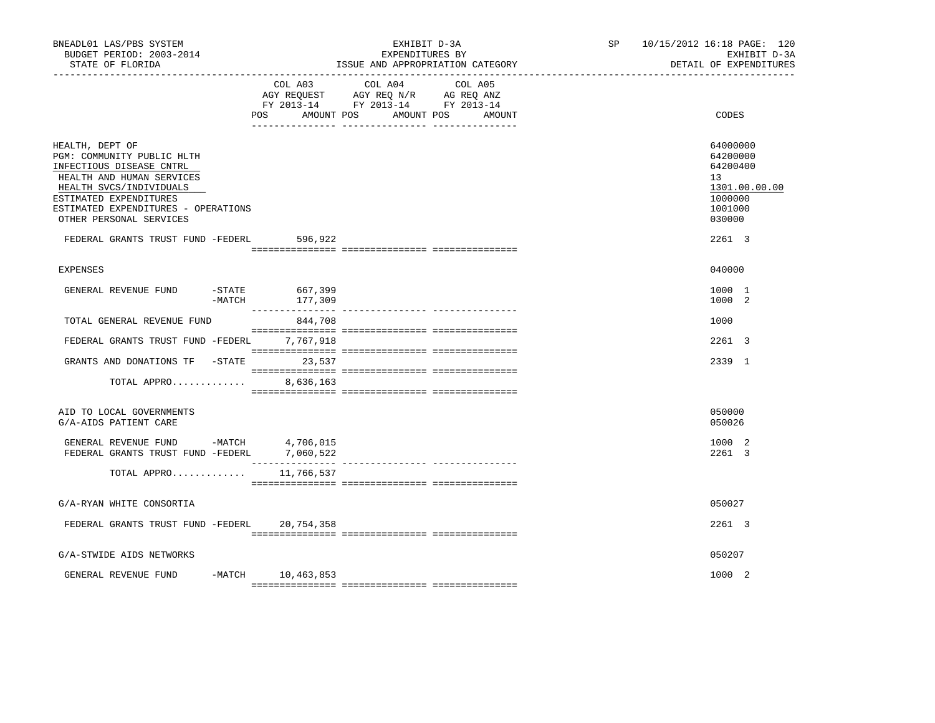| BNEADL01 LAS/PBS SYSTEM<br>BUDGET PERIOD: 2003-2014<br>STATE OF FLORIDA                                                                                                                                                       |                                        | EXHIBIT D-3A<br>EXPENDITURES BY<br>ISSUE AND APPROPRIATION CATEGORY                                                       | SP 10/15/2012 16:18 PAGE: 120<br>EXHIBIT D-3A<br>DETAIL OF EXPENDITURES                              |
|-------------------------------------------------------------------------------------------------------------------------------------------------------------------------------------------------------------------------------|----------------------------------------|---------------------------------------------------------------------------------------------------------------------------|------------------------------------------------------------------------------------------------------|
|                                                                                                                                                                                                                               | POS<br>AMOUNT POS                      | COL A03 COL A04 COL A05<br>AGY REQUEST AGY REQ N/R AG REQ ANZ<br>FY 2013-14 FY 2013-14 FY 2013-14<br>AMOUNT POS<br>AMOUNT | CODES                                                                                                |
| HEALTH, DEPT OF<br>PGM: COMMUNITY PUBLIC HLTH<br>INFECTIOUS DISEASE CNTRL<br>HEALTH AND HUMAN SERVICES<br>HEALTH SVCS/INDIVIDUALS<br>ESTIMATED EXPENDITURES<br>ESTIMATED EXPENDITURES - OPERATIONS<br>OTHER PERSONAL SERVICES |                                        |                                                                                                                           | 64000000<br>64200000<br>64200400<br>13 <sup>°</sup><br>1301.00.00.00<br>1000000<br>1001000<br>030000 |
| FEDERAL GRANTS TRUST FUND -FEDERL 596,922                                                                                                                                                                                     |                                        |                                                                                                                           | 2261 3                                                                                               |
| <b>EXPENSES</b>                                                                                                                                                                                                               |                                        |                                                                                                                           | 040000                                                                                               |
| GENERAL REVENUE FUND                                                                                                                                                                                                          | $-$ STATE<br>667,399<br>-MATCH 177,309 |                                                                                                                           | 1000 1<br>1000 2                                                                                     |
| TOTAL GENERAL REVENUE FUND                                                                                                                                                                                                    | 844,708                                |                                                                                                                           | 1000                                                                                                 |
| FEDERAL GRANTS TRUST FUND -FEDERL 7,767,918                                                                                                                                                                                   |                                        |                                                                                                                           | 2261 3                                                                                               |
| GRANTS AND DONATIONS TF -STATE 23,537                                                                                                                                                                                         |                                        |                                                                                                                           | 2339 1                                                                                               |
| TOTAL APPRO                                                                                                                                                                                                                   | 8,636,163                              |                                                                                                                           |                                                                                                      |
| AID TO LOCAL GOVERNMENTS<br>G/A-AIDS PATIENT CARE                                                                                                                                                                             |                                        |                                                                                                                           | 050000<br>050026                                                                                     |
| GENERAL REVENUE FUND -MATCH $4,706,015$<br>FEDERAL GRANTS TRUST FUND -FEDERL $7,060,522$                                                                                                                                      |                                        |                                                                                                                           | 1000 2<br>2261 3                                                                                     |
| TOTAL APPRO 11,766,537                                                                                                                                                                                                        |                                        |                                                                                                                           |                                                                                                      |
| G/A-RYAN WHITE CONSORTIA                                                                                                                                                                                                      |                                        |                                                                                                                           | 050027                                                                                               |
| FEDERAL GRANTS TRUST FUND -FEDERL                                                                                                                                                                                             | 20,754,358                             |                                                                                                                           | 2261 3                                                                                               |
|                                                                                                                                                                                                                               |                                        |                                                                                                                           |                                                                                                      |
| G/A-STWIDE AIDS NETWORKS                                                                                                                                                                                                      |                                        |                                                                                                                           | 050207                                                                                               |
| GENERAL REVENUE FUND                                                                                                                                                                                                          | -MATCH 10,463,853                      |                                                                                                                           | 1000 2                                                                                               |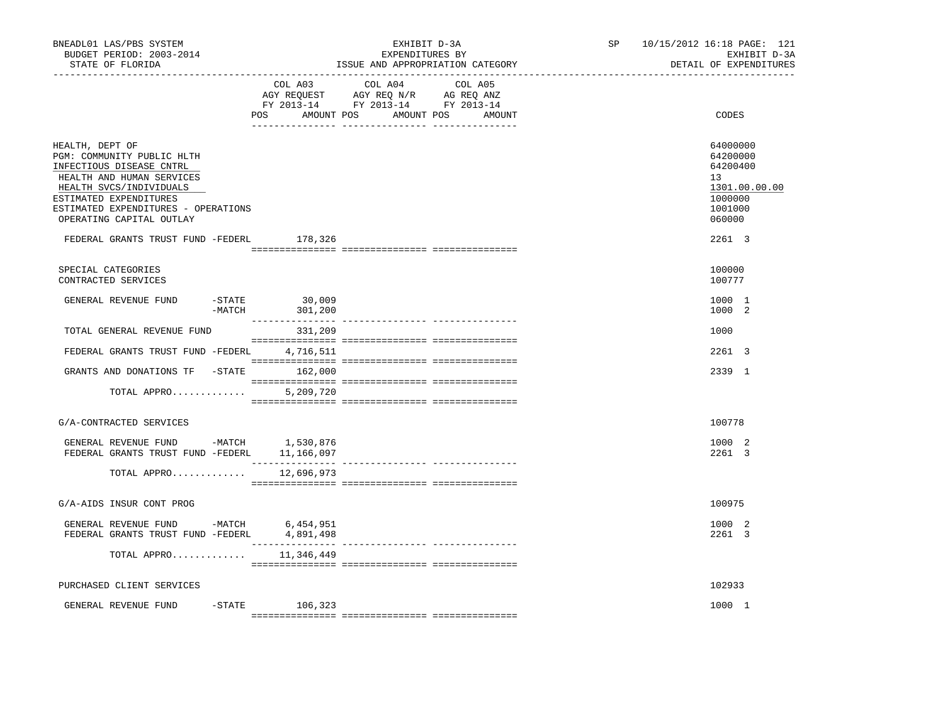| BNEADL01 LAS/PBS SYSTEM<br>BUDGET PERIOD: 2003-2014<br>STATE OF FLORIDA                                                                                                                                                        |                                        | EXHIBIT D-3A<br>EXPENDITURES BY<br>ISSUE AND APPROPRIATION CATEGORY                                                              | SP | 10/15/2012 16:18 PAGE: 121<br>EXHIBIT D-3A<br>DETAIL OF EXPENDITURES                    |
|--------------------------------------------------------------------------------------------------------------------------------------------------------------------------------------------------------------------------------|----------------------------------------|----------------------------------------------------------------------------------------------------------------------------------|----|-----------------------------------------------------------------------------------------|
|                                                                                                                                                                                                                                | COL A03                                | COL A04<br>COL A05<br>AGY REQUEST AGY REQ N/R AG REQ ANZ<br>FY 2013-14 FY 2013-14 FY 2013-14<br>POS AMOUNT POS AMOUNT POS AMOUNT |    | CODES                                                                                   |
| HEALTH, DEPT OF<br>PGM: COMMUNITY PUBLIC HLTH<br>INFECTIOUS DISEASE CNTRL<br>HEALTH AND HUMAN SERVICES<br>HEALTH SVCS/INDIVIDUALS<br>ESTIMATED EXPENDITURES<br>ESTIMATED EXPENDITURES - OPERATIONS<br>OPERATING CAPITAL OUTLAY |                                        |                                                                                                                                  |    | 64000000<br>64200000<br>64200400<br>13<br>1301.00.00.00<br>1000000<br>1001000<br>060000 |
| FEDERAL GRANTS TRUST FUND -FEDERL                                                                                                                                                                                              | 178,326                                |                                                                                                                                  |    | 2261 3                                                                                  |
| SPECIAL CATEGORIES<br>CONTRACTED SERVICES                                                                                                                                                                                      |                                        |                                                                                                                                  |    | 100000<br>100777                                                                        |
| GENERAL REVENUE FUND                                                                                                                                                                                                           | $-STATE$ 30,009<br>$-MATCH$<br>301,200 |                                                                                                                                  |    | 1000 1<br>1000 2                                                                        |
| TOTAL GENERAL REVENUE FUND                                                                                                                                                                                                     | 331,209                                |                                                                                                                                  |    | 1000                                                                                    |
| FEDERAL GRANTS TRUST FUND -FEDERL 4,716,511                                                                                                                                                                                    |                                        |                                                                                                                                  |    | 2261 3                                                                                  |
| GRANTS AND DONATIONS TF -STATE 162,000                                                                                                                                                                                         |                                        |                                                                                                                                  |    | 2339 1                                                                                  |
| TOTAL APPRO                                                                                                                                                                                                                    | 5,209,720                              |                                                                                                                                  |    |                                                                                         |
| G/A-CONTRACTED SERVICES                                                                                                                                                                                                        |                                        |                                                                                                                                  |    | 100778                                                                                  |
| GENERAL REVENUE FUND -MATCH 1,530,876<br>FEDERAL GRANTS TRUST FUND -FEDERL                                                                                                                                                     | 11,166,097                             |                                                                                                                                  |    | 1000 2<br>2261 3                                                                        |
| TOTAL APPRO                                                                                                                                                                                                                    | 12,696,973                             |                                                                                                                                  |    |                                                                                         |
| G/A-AIDS INSUR CONT PROG                                                                                                                                                                                                       |                                        |                                                                                                                                  |    | 100975                                                                                  |
| GENERAL REVENUE FUND -MATCH 6,454,951<br>FEDERAL GRANTS TRUST FUND -FEDERL 4,891,498                                                                                                                                           |                                        |                                                                                                                                  |    | 1000 2<br>2261 3                                                                        |
| TOTAL APPRO $11,346,449$                                                                                                                                                                                                       |                                        |                                                                                                                                  |    |                                                                                         |
| PURCHASED CLIENT SERVICES                                                                                                                                                                                                      |                                        |                                                                                                                                  |    | 102933                                                                                  |
| GENERAL REVENUE FUND                                                                                                                                                                                                           | $-STATE$ 106,323                       |                                                                                                                                  |    | 1000 1                                                                                  |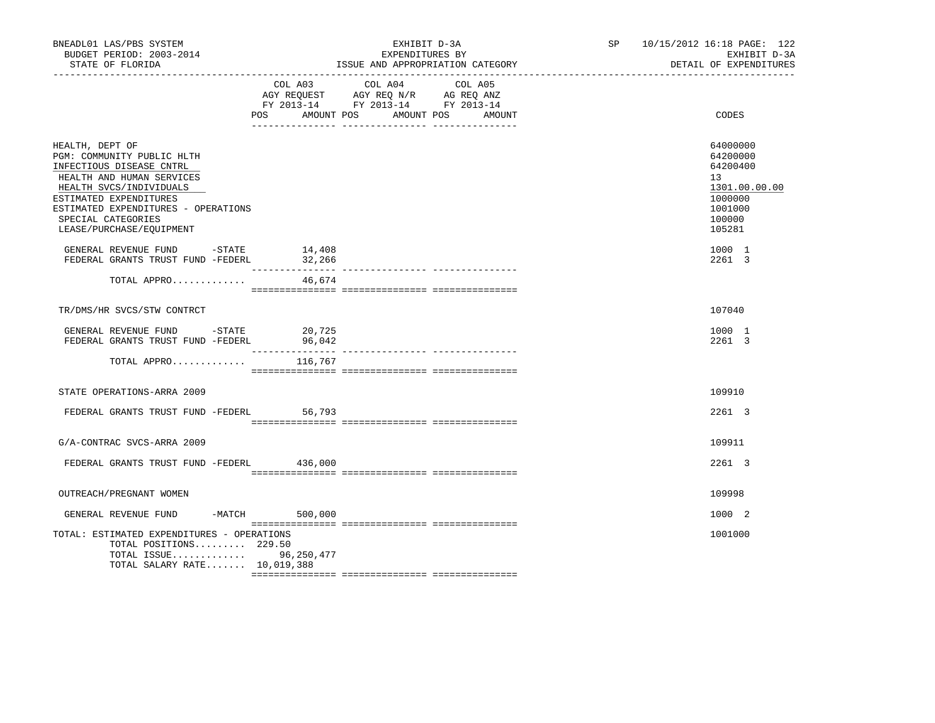| BNEADL01 LAS/PBS SYSTEM<br>BUDGET PERIOD: 2003-2014<br>STATE OF FLORIDA                                                                                                                                                                              |                  | EXHIBIT D-3A<br>EXPENDITURES BY<br>ISSUE AND APPROPRIATION CATEGORY                                                                      | SP | 10/15/2012 16:18 PAGE: 122<br>EXHIBIT D-3A<br>DETAIL OF EXPENDITURES                              |
|------------------------------------------------------------------------------------------------------------------------------------------------------------------------------------------------------------------------------------------------------|------------------|------------------------------------------------------------------------------------------------------------------------------------------|----|---------------------------------------------------------------------------------------------------|
|                                                                                                                                                                                                                                                      |                  | COL A03 COL A04 COL A05<br>AGY REQUEST AGY REQ N/R AG REQ ANZ<br>FY 2013-14 FY 2013-14 FY 2013-14<br>POS AMOUNT POS AMOUNT POS<br>AMOUNT |    | CODES                                                                                             |
| HEALTH, DEPT OF<br>PGM: COMMUNITY PUBLIC HLTH<br>INFECTIOUS DISEASE CNTRL<br>HEALTH AND HUMAN SERVICES<br>HEALTH SVCS/INDIVIDUALS<br>ESTIMATED EXPENDITURES<br>ESTIMATED EXPENDITURES - OPERATIONS<br>SPECIAL CATEGORIES<br>LEASE/PURCHASE/EQUIPMENT |                  |                                                                                                                                          |    | 64000000<br>64200000<br>64200400<br>13<br>1301.00.00.00<br>1000000<br>1001000<br>100000<br>105281 |
| GENERAL REVENUE FUND -STATE<br>FEDERAL GRANTS TRUST FUND -FEDERL                                                                                                                                                                                     | 14,408<br>32,266 |                                                                                                                                          |    | 1000 1<br>2261 3                                                                                  |
| TOTAL APPRO                                                                                                                                                                                                                                          | 46,674           |                                                                                                                                          |    |                                                                                                   |
| TR/DMS/HR SVCS/STW CONTRCT                                                                                                                                                                                                                           |                  |                                                                                                                                          |    | 107040                                                                                            |
| GENERAL REVENUE FUND -STATE $20,725$<br>FEDERAL GRANTS TRUST FUND -FEDERL 96,042                                                                                                                                                                     |                  |                                                                                                                                          |    | 1000 1<br>2261 3                                                                                  |
| TOTAL APPRO                                                                                                                                                                                                                                          | 116,767          |                                                                                                                                          |    |                                                                                                   |
| STATE OPERATIONS-ARRA 2009                                                                                                                                                                                                                           |                  |                                                                                                                                          |    | 109910                                                                                            |
| FEDERAL GRANTS TRUST FUND -FEDERL 56,793                                                                                                                                                                                                             |                  |                                                                                                                                          |    | 2261 3                                                                                            |
| G/A-CONTRAC SVCS-ARRA 2009                                                                                                                                                                                                                           |                  |                                                                                                                                          |    | 109911                                                                                            |
| FEDERAL GRANTS TRUST FUND -FEDERL 436,000                                                                                                                                                                                                            |                  |                                                                                                                                          |    | 2261 3                                                                                            |
| OUTREACH/PREGNANT WOMEN                                                                                                                                                                                                                              |                  |                                                                                                                                          |    | 109998                                                                                            |
| GENERAL REVENUE FUND                                                                                                                                                                                                                                 | -MATCH 500,000   |                                                                                                                                          |    | 1000 2                                                                                            |
| TOTAL: ESTIMATED EXPENDITURES - OPERATIONS<br>TOTAL POSITIONS 229.50<br>TOTAL ISSUE 96,250,477<br>TOTAL SALARY RATE 10,019,388                                                                                                                       |                  |                                                                                                                                          |    | 1001000                                                                                           |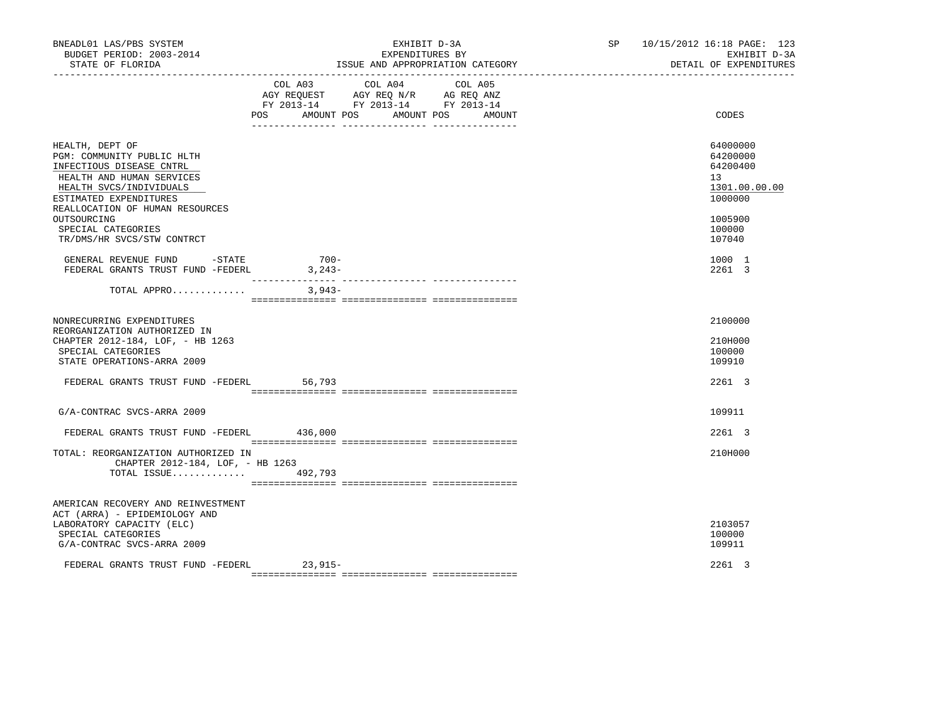| BNEADL01 LAS/PBS SYSTEM<br>BUDGET PERIOD: 2003-2014<br>STATE OF FLORIDA                                                                                                                                                             |                                                                                                                               | EXHIBIT D-3A<br>EXPENDITURES BY<br>ISSUE AND APPROPRIATION CATEGORY | SP | 10/15/2012 16:18 PAGE: 123<br>EXHIBIT D-3A<br>DETAIL OF EXPENDITURES                    |
|-------------------------------------------------------------------------------------------------------------------------------------------------------------------------------------------------------------------------------------|-------------------------------------------------------------------------------------------------------------------------------|---------------------------------------------------------------------|----|-----------------------------------------------------------------------------------------|
|                                                                                                                                                                                                                                     | COL A03 COL A04<br>AGY REQUEST AGY REQ N/R AG REQ ANZ<br>FY 2013-14 FY 2013-14 FY 2013-14<br>POS AMOUNT POS AMOUNT POS AMOUNT | COL A05                                                             |    | CODES                                                                                   |
| HEALTH, DEPT OF<br>PGM: COMMUNITY PUBLIC HLTH<br>INFECTIOUS DISEASE CNTRL<br>HEALTH AND HUMAN SERVICES<br>HEALTH SVCS/INDIVIDUALS<br>ESTIMATED EXPENDITURES<br>REALLOCATION OF HUMAN RESOURCES<br>OUTSOURCING<br>SPECIAL CATEGORIES |                                                                                                                               |                                                                     |    | 64000000<br>64200000<br>64200400<br>13<br>1301.00.00.00<br>1000000<br>1005900<br>100000 |
| TR/DMS/HR SVCS/STW CONTRCT<br>GENERAL REVENUE FUND -STATE<br>FEDERAL GRANTS TRUST FUND -FEDERL                                                                                                                                      | $700 -$<br>3,243-                                                                                                             |                                                                     |    | 107040<br>1000 1<br>2261 3                                                              |
| TOTAL APPRO                                                                                                                                                                                                                         | $3,943-$                                                                                                                      |                                                                     |    |                                                                                         |
| NONRECURRING EXPENDITURES<br>REORGANIZATION AUTHORIZED IN<br>CHAPTER 2012-184, LOF, - HB 1263<br>SPECIAL CATEGORIES<br>STATE OPERATIONS-ARRA 2009                                                                                   |                                                                                                                               |                                                                     |    | 2100000<br>210H000<br>100000<br>109910                                                  |
| FEDERAL GRANTS TRUST FUND -FEDERL                                                                                                                                                                                                   | 56,793                                                                                                                        |                                                                     |    | 2261 3                                                                                  |
| G/A-CONTRAC SVCS-ARRA 2009                                                                                                                                                                                                          |                                                                                                                               |                                                                     |    | 109911                                                                                  |
| FEDERAL GRANTS TRUST FUND -FEDERL 436,000                                                                                                                                                                                           |                                                                                                                               |                                                                     |    | 2261 3                                                                                  |
| TOTAL: REORGANIZATION AUTHORIZED IN<br>CHAPTER 2012-184, LOF, - HB 1263<br>TOTAL ISSUE $492,793$                                                                                                                                    |                                                                                                                               |                                                                     |    | 210H000                                                                                 |
| AMERICAN RECOVERY AND REINVESTMENT<br>ACT (ARRA) - EPIDEMIOLOGY AND<br>LABORATORY CAPACITY (ELC)<br>SPECIAL CATEGORIES<br>G/A-CONTRAC SVCS-ARRA 2009                                                                                |                                                                                                                               |                                                                     |    | 2103057<br>100000<br>109911                                                             |
| FEDERAL GRANTS TRUST FUND -FEDERL 23,915-                                                                                                                                                                                           |                                                                                                                               |                                                                     |    | 2261 3                                                                                  |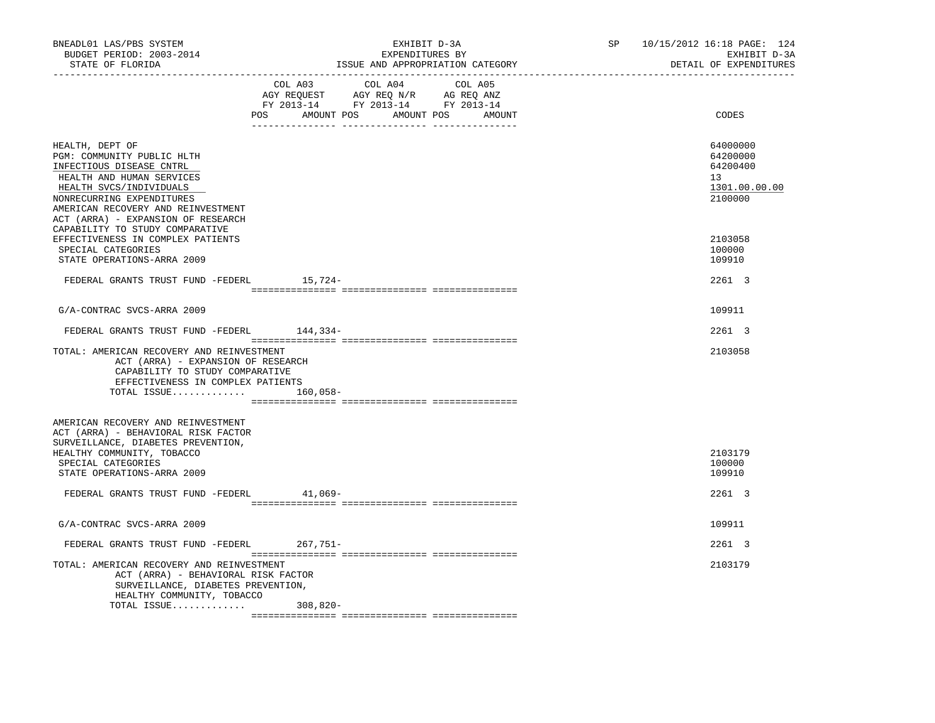| BNEADL01 LAS/PBS SYSTEM<br>BUDGET PERIOD: 2003-2014<br>STATE OF FLORIDA<br>---------------                                                                                                                                                 | EXHIBIT D-3A<br>EXPENDITURES BY<br>ISSUE AND APPROPRIATION CATEGORY                                                                      | SP 10/15/2012 16:18 PAGE: 124<br>EXHIBIT D-3A<br>DETAIL OF EXPENDITURES |
|--------------------------------------------------------------------------------------------------------------------------------------------------------------------------------------------------------------------------------------------|------------------------------------------------------------------------------------------------------------------------------------------|-------------------------------------------------------------------------|
|                                                                                                                                                                                                                                            | COL A03 COL A04<br>COL A05<br>AGY REQUEST AGY REQ N/R AG REQ ANZ<br>FY 2013-14 FY 2013-14 FY 2013-14<br>POS AMOUNT POS AMOUNT POS AMOUNT | CODES                                                                   |
| HEALTH, DEPT OF<br>PGM: COMMUNITY PUBLIC HLTH<br>INFECTIOUS DISEASE CNTRL<br>HEALTH AND HUMAN SERVICES<br>HEALTH SVCS/INDIVIDUALS<br>NONRECURRING EXPENDITURES<br>AMERICAN RECOVERY AND REINVESTMENT<br>ACT (ARRA) - EXPANSION OF RESEARCH |                                                                                                                                          | 64000000<br>64200000<br>64200400<br>13<br>1301.00.00.00<br>2100000      |
| CAPABILITY TO STUDY COMPARATIVE<br>EFFECTIVENESS IN COMPLEX PATIENTS<br>SPECIAL CATEGORIES<br>STATE OPERATIONS-ARRA 2009                                                                                                                   |                                                                                                                                          | 2103058<br>100000<br>109910                                             |
| FEDERAL GRANTS TRUST FUND -FEDERL 15,724-                                                                                                                                                                                                  |                                                                                                                                          | 2261 3                                                                  |
| G/A-CONTRAC SVCS-ARRA 2009                                                                                                                                                                                                                 |                                                                                                                                          | 109911                                                                  |
| FEDERAL GRANTS TRUST FUND -FEDERL 144,334-                                                                                                                                                                                                 |                                                                                                                                          | 2261 3                                                                  |
| TOTAL: AMERICAN RECOVERY AND REINVESTMENT<br>ACT (ARRA) - EXPANSION OF RESEARCH<br>CAPABILITY TO STUDY COMPARATIVE<br>EFFECTIVENESS IN COMPLEX PATIENTS<br>TOTAL ISSUE                                                                     | 160,058-                                                                                                                                 | 2103058                                                                 |
| AMERICAN RECOVERY AND REINVESTMENT<br>ACT (ARRA) - BEHAVIORAL RISK FACTOR<br>SURVEILLANCE, DIABETES PREVENTION,<br>HEALTHY COMMUNITY, TOBACCO<br>SPECIAL CATEGORIES<br>STATE OPERATIONS-ARRA 2009                                          |                                                                                                                                          | 2103179<br>100000<br>109910                                             |
| FEDERAL GRANTS TRUST FUND -FEDERL                                                                                                                                                                                                          | $41,069-$                                                                                                                                | 2261 3                                                                  |
| G/A-CONTRAC SVCS-ARRA 2009                                                                                                                                                                                                                 |                                                                                                                                          | 109911                                                                  |
| FEDERAL GRANTS TRUST FUND -FEDERL 267,751-                                                                                                                                                                                                 |                                                                                                                                          | 2261 3                                                                  |
| TOTAL: AMERICAN RECOVERY AND REINVESTMENT<br>ACT (ARRA) - BEHAVIORAL RISK FACTOR<br>SURVEILLANCE, DIABETES PREVENTION,<br>HEALTHY COMMUNITY, TOBACCO                                                                                       |                                                                                                                                          | 2103179                                                                 |
| TOTAL ISSUE                                                                                                                                                                                                                                | 308,820-                                                                                                                                 |                                                                         |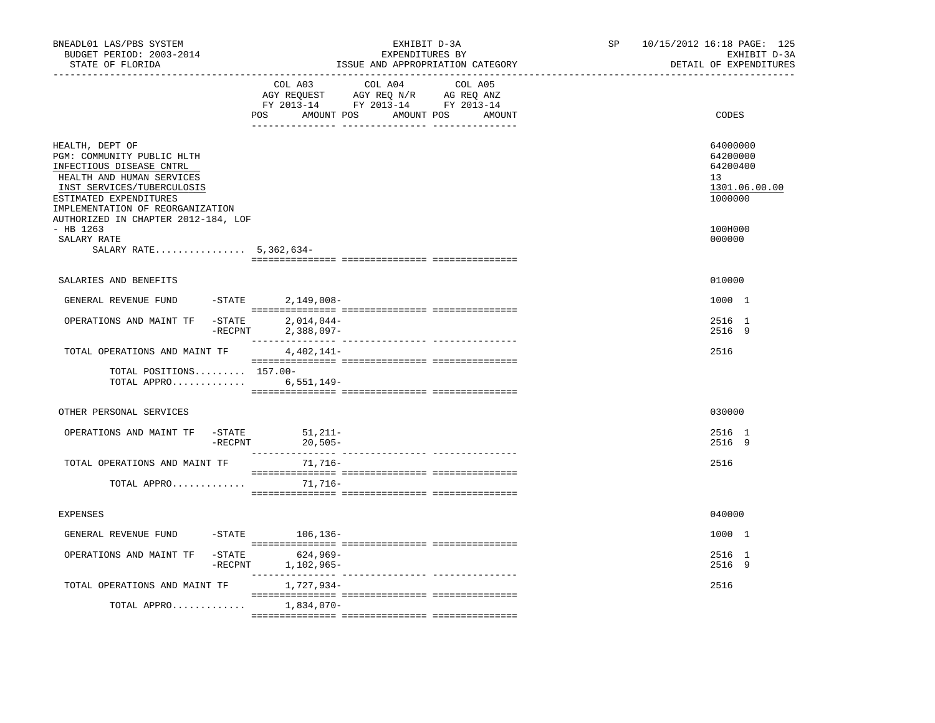| BNEADL01 LAS/PBS SYSTEM<br>BUDGET PERIOD: 2003-2014<br>STATE OF FLORIDA<br>-----------------                                                                                                       |                                                                                                                                                                                                                                                                                                                                                                                                                                                                                          | EXHIBIT D-3A<br>EXPENDITURES BY<br>ISSUE AND APPROPRIATION CATEGORY | SP<br>------------------------------- | 10/15/2012 16:18 PAGE: 125<br>EXHIBIT D-3A<br>DETAIL OF EXPENDITURES            |
|----------------------------------------------------------------------------------------------------------------------------------------------------------------------------------------------------|------------------------------------------------------------------------------------------------------------------------------------------------------------------------------------------------------------------------------------------------------------------------------------------------------------------------------------------------------------------------------------------------------------------------------------------------------------------------------------------|---------------------------------------------------------------------|---------------------------------------|---------------------------------------------------------------------------------|
|                                                                                                                                                                                                    | COL A03<br>COL A04<br>AGY REQUEST AGY REQ N/R AG REQ ANZ<br>FY 2013-14 FY 2013-14 FY 2013-14<br>POS<br>AMOUNT POS AMOUNT POS AMOUNT                                                                                                                                                                                                                                                                                                                                                      | COL A05                                                             |                                       | CODES                                                                           |
| HEALTH, DEPT OF<br>PGM: COMMUNITY PUBLIC HLTH<br>INFECTIOUS DISEASE CNTRL<br>HEALTH AND HUMAN SERVICES<br>INST SERVICES/TUBERCULOSIS<br>ESTIMATED EXPENDITURES<br>IMPLEMENTATION OF REORGANIZATION |                                                                                                                                                                                                                                                                                                                                                                                                                                                                                          |                                                                     |                                       | 64000000<br>64200000<br>64200400<br>13 <sup>1</sup><br>1301.06.00.00<br>1000000 |
| AUTHORIZED IN CHAPTER 2012-184, LOF<br>$-$ HB 1263<br>SALARY RATE<br>SALARY RATE 5,362,634-                                                                                                        |                                                                                                                                                                                                                                                                                                                                                                                                                                                                                          |                                                                     |                                       | 100H000<br>000000                                                               |
|                                                                                                                                                                                                    |                                                                                                                                                                                                                                                                                                                                                                                                                                                                                          |                                                                     |                                       |                                                                                 |
| SALARIES AND BENEFITS                                                                                                                                                                              |                                                                                                                                                                                                                                                                                                                                                                                                                                                                                          |                                                                     |                                       | 010000                                                                          |
| GENERAL REVENUE FUND                                                                                                                                                                               | $-STATE$<br>$2,149,008-$                                                                                                                                                                                                                                                                                                                                                                                                                                                                 |                                                                     |                                       | 1000 1                                                                          |
| $-$ STATE<br>OPERATIONS AND MAINT TF                                                                                                                                                               | $2,014,044-$<br>$-$ RECPNT<br>$2,388,097-$                                                                                                                                                                                                                                                                                                                                                                                                                                               |                                                                     |                                       | 2516 1<br>2516 9                                                                |
| TOTAL OPERATIONS AND MAINT TF                                                                                                                                                                      | 4,402,141-                                                                                                                                                                                                                                                                                                                                                                                                                                                                               |                                                                     |                                       | 2516                                                                            |
| TOTAL POSITIONS 157.00-<br>TOTAL APPRO 6,551,149-                                                                                                                                                  |                                                                                                                                                                                                                                                                                                                                                                                                                                                                                          |                                                                     |                                       |                                                                                 |
| OTHER PERSONAL SERVICES                                                                                                                                                                            |                                                                                                                                                                                                                                                                                                                                                                                                                                                                                          |                                                                     |                                       | 030000                                                                          |
| OPERATIONS AND MAINT TF<br>$-$ STATE                                                                                                                                                               | $51,211-$                                                                                                                                                                                                                                                                                                                                                                                                                                                                                |                                                                     |                                       | 2516 1                                                                          |
|                                                                                                                                                                                                    | $-RECPNT$ 20,505-                                                                                                                                                                                                                                                                                                                                                                                                                                                                        |                                                                     |                                       | 2516 9                                                                          |
| TOTAL OPERATIONS AND MAINT TF<br>TOTAL APPRO                                                                                                                                                       | 71,716-<br>$\begin{minipage}{0.03\textwidth} \begin{tabular}{l} \textbf{1} & \textbf{2} & \textbf{3} & \textbf{5} & \textbf{5} & \textbf{6} & \textbf{6} & \textbf{7} & \textbf{8} & \textbf{8} & \textbf{9} & \textbf{9} & \textbf{9} & \textbf{9} & \textbf{9} & \textbf{9} & \textbf{9} & \textbf{9} & \textbf{9} & \textbf{9} & \textbf{9} & \textbf{9} & \textbf{9} & \textbf{9} & \textbf{9} & \textbf{9} & \textbf{9} & \textbf{9} & \$<br>71,716-                                |                                                                     |                                       | 2516                                                                            |
|                                                                                                                                                                                                    |                                                                                                                                                                                                                                                                                                                                                                                                                                                                                          |                                                                     |                                       |                                                                                 |
| <b>EXPENSES</b>                                                                                                                                                                                    |                                                                                                                                                                                                                                                                                                                                                                                                                                                                                          |                                                                     |                                       | 040000                                                                          |
| GENERAL REVENUE FUND                                                                                                                                                                               | -STATE 106,136-                                                                                                                                                                                                                                                                                                                                                                                                                                                                          |                                                                     |                                       | 1000 1                                                                          |
| OPERATIONS AND MAINT TF                                                                                                                                                                            | $\begin{minipage}{0.03\textwidth} \begin{tabular}{l} \textbf{1} & \textbf{2} & \textbf{3} & \textbf{5} & \textbf{5} & \textbf{6} & \textbf{6} & \textbf{7} & \textbf{8} & \textbf{8} & \textbf{9} & \textbf{9} & \textbf{9} & \textbf{9} & \textbf{9} & \textbf{9} & \textbf{9} & \textbf{9} & \textbf{9} & \textbf{9} & \textbf{9} & \textbf{9} & \textbf{9} & \textbf{9} & \textbf{9} & \textbf{9} & \textbf{9} & \textbf{9} & \$<br>$-$ STATE<br>624,969-<br>$-$ RECPNT<br>1,102,965- |                                                                     |                                       | 2516 1<br>2516 9                                                                |
| TOTAL OPERATIONS AND MAINT TF                                                                                                                                                                      | 1,727,934-                                                                                                                                                                                                                                                                                                                                                                                                                                                                               |                                                                     |                                       | 2516                                                                            |
| TOTAL APPRO                                                                                                                                                                                        | 1,834,070-                                                                                                                                                                                                                                                                                                                                                                                                                                                                               |                                                                     |                                       |                                                                                 |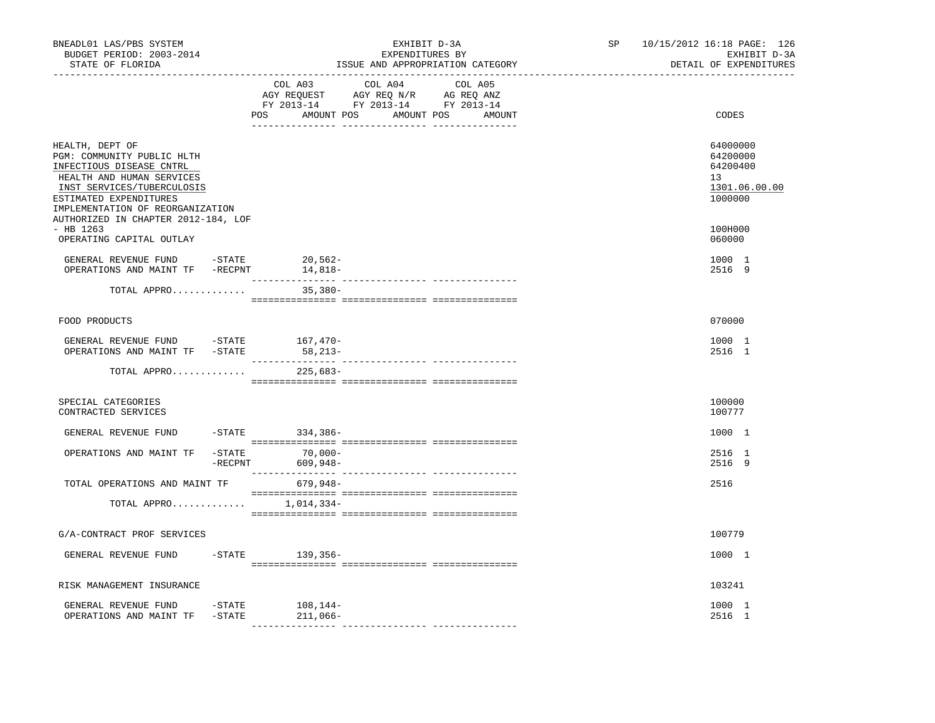| BNEADL01 LAS/PBS SYSTEM<br>BUDGET PERIOD: 2003-2014<br>STATE OF FLORIDA                                                                                                                                                                   |                                                                                                                       | EXHIBIT D-3A<br>EXPENDITURES BY<br>ISSUE AND APPROPRIATION CATEGORY<br>________________________________ |         |  | SP <sub>2</sub><br>------------------------------- | 10/15/2012 16:18 PAGE: 126<br>EXHIBIT D-3A<br>DETAIL OF EXPENDITURES |
|-------------------------------------------------------------------------------------------------------------------------------------------------------------------------------------------------------------------------------------------|-----------------------------------------------------------------------------------------------------------------------|---------------------------------------------------------------------------------------------------------|---------|--|----------------------------------------------------|----------------------------------------------------------------------|
|                                                                                                                                                                                                                                           | COL A03<br>AGY REQUEST AGY REQ N/R AG REQ ANZ<br>FY 2013-14 FY 2013-14 FY 2013-14<br>POS AMOUNT POS AMOUNT POS AMOUNT | COL A04                                                                                                 | COL A05 |  | CODES                                              |                                                                      |
| HEALTH, DEPT OF<br>PGM: COMMUNITY PUBLIC HLTH<br>INFECTIOUS DISEASE CNTRL<br>HEALTH AND HUMAN SERVICES<br>INST SERVICES/TUBERCULOSIS<br>ESTIMATED EXPENDITURES<br>IMPLEMENTATION OF REORGANIZATION<br>AUTHORIZED IN CHAPTER 2012-184, LOF |                                                                                                                       |                                                                                                         |         |  |                                                    | 64000000<br>64200000<br>64200400<br>13<br>1301.06.00.00<br>1000000   |
| $-$ HB 1263<br>OPERATING CAPITAL OUTLAY                                                                                                                                                                                                   |                                                                                                                       |                                                                                                         |         |  |                                                    | 100H000<br>060000                                                    |
| GENERAL REVENUE FUND -STATE<br>OPERATIONS AND MAINT TF -RECPNT 14,818-                                                                                                                                                                    |                                                                                                                       | 20,562-                                                                                                 |         |  |                                                    | 1000 1<br>2516 9                                                     |
| TOTAL APPRO                                                                                                                                                                                                                               |                                                                                                                       | $35,380-$                                                                                               |         |  |                                                    |                                                                      |
| FOOD PRODUCTS                                                                                                                                                                                                                             |                                                                                                                       |                                                                                                         |         |  |                                                    | 070000                                                               |
| GENERAL REVENUE FUND $-$ STATE 167, 470-<br>OPERATIONS AND MAINT TF -STATE                                                                                                                                                                |                                                                                                                       | 58,213-                                                                                                 |         |  |                                                    | 1000 1<br>2516 1                                                     |
| TOTAL APPRO                                                                                                                                                                                                                               |                                                                                                                       | 225,683-                                                                                                |         |  |                                                    |                                                                      |
| SPECIAL CATEGORIES<br>CONTRACTED SERVICES                                                                                                                                                                                                 |                                                                                                                       |                                                                                                         |         |  |                                                    | 100000<br>100777                                                     |
| GENERAL REVENUE FUND                                                                                                                                                                                                                      |                                                                                                                       | $-STATE$ 334,386-                                                                                       |         |  |                                                    | 1000 1                                                               |
| OPERATIONS AND MAINT TF                                                                                                                                                                                                                   | $-STATE$<br>$-$ RECPNT                                                                                                | $70,000-$<br>609,948-                                                                                   |         |  |                                                    | 2516 1<br>2516 9                                                     |
| TOTAL OPERATIONS AND MAINT TF                                                                                                                                                                                                             |                                                                                                                       | 679.948-                                                                                                |         |  |                                                    | 2516                                                                 |
| TOTAL APPRO $1,014,334-$                                                                                                                                                                                                                  |                                                                                                                       |                                                                                                         |         |  |                                                    |                                                                      |
| G/A-CONTRACT PROF SERVICES                                                                                                                                                                                                                |                                                                                                                       |                                                                                                         |         |  |                                                    | 100779                                                               |
| GENERAL REVENUE FUND                                                                                                                                                                                                                      |                                                                                                                       | $-STATE$ 139,356-                                                                                       |         |  |                                                    | 1000 1                                                               |
| RISK MANAGEMENT INSURANCE                                                                                                                                                                                                                 |                                                                                                                       |                                                                                                         |         |  |                                                    | 103241                                                               |
| GENERAL REVENUE FUND<br>OPERATIONS AND MAINT TF -STATE                                                                                                                                                                                    |                                                                                                                       | $-$ STATE $108, 144-$<br>211,066-                                                                       |         |  |                                                    | 1000 1<br>2516 1                                                     |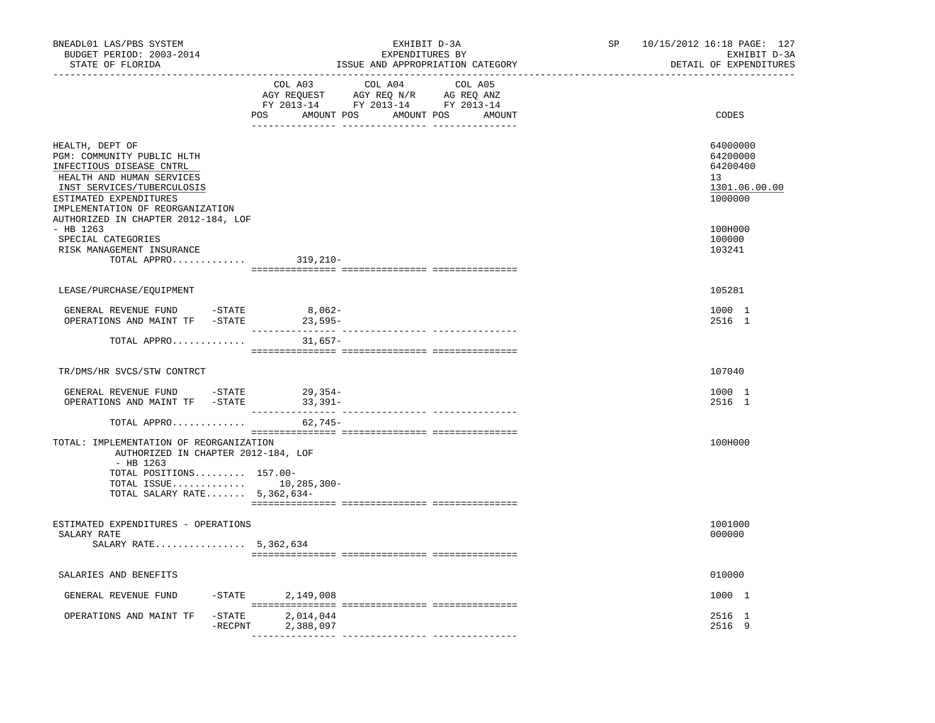| BNEADL01 LAS/PBS SYSTEM<br>BUDGET PERIOD: 2003-2014<br>STATE OF FLORIDA<br>_____________________________                                                                                                                                  | EXHIBIT D-3A<br>EXPENDITURES BY<br>ISSUE AND APPROPRIATION CATEGORY |                                                                                   |         | SP<br>10/15/2012 16:18 PAGE: 127<br>EXHIBIT D-3A<br>DETAIL OF EXPENDITURES |                                                                    |
|-------------------------------------------------------------------------------------------------------------------------------------------------------------------------------------------------------------------------------------------|---------------------------------------------------------------------|-----------------------------------------------------------------------------------|---------|----------------------------------------------------------------------------|--------------------------------------------------------------------|
|                                                                                                                                                                                                                                           | COL A03<br>POS AMOUNT POS AMOUNT POS AMOUNT                         | COL A04<br>AGY REQUEST AGY REQ N/R AG REQ ANZ<br>FY 2013-14 FY 2013-14 FY 2013-14 | COL A05 |                                                                            | CODES                                                              |
| HEALTH, DEPT OF<br>PGM: COMMUNITY PUBLIC HLTH<br>INFECTIOUS DISEASE CNTRL<br>HEALTH AND HUMAN SERVICES<br>INST SERVICES/TUBERCULOSIS<br>ESTIMATED EXPENDITURES<br>IMPLEMENTATION OF REORGANIZATION<br>AUTHORIZED IN CHAPTER 2012-184, LOF |                                                                     |                                                                                   |         |                                                                            | 64000000<br>64200000<br>64200400<br>13<br>1301.06.00.00<br>1000000 |
| - HB 1263<br>SPECIAL CATEGORIES<br>RISK MANAGEMENT INSURANCE<br>TOTAL APPRO                                                                                                                                                               | 319,210-                                                            |                                                                                   |         |                                                                            | 100H000<br>100000<br>103241                                        |
| LEASE/PURCHASE/EQUIPMENT                                                                                                                                                                                                                  |                                                                     |                                                                                   |         |                                                                            | 105281                                                             |
| $-$ STATE<br>GENERAL REVENUE FUND<br>OPERATIONS AND MAINT TF -STATE 23,595-                                                                                                                                                               | 8,062-                                                              |                                                                                   |         |                                                                            | 1000 1<br>2516 1                                                   |
| TOTAL APPRO                                                                                                                                                                                                                               | 31,657-                                                             |                                                                                   |         |                                                                            |                                                                    |
| TR/DMS/HR SVCS/STW CONTRCT                                                                                                                                                                                                                |                                                                     |                                                                                   |         |                                                                            | 107040                                                             |
| GENERAL REVENUE FUND -STATE 29,354-<br>OPERATIONS AND MAINT TF -STATE 33,391-                                                                                                                                                             |                                                                     |                                                                                   |         |                                                                            | 1000 1<br>2516 1                                                   |
| TOTAL APPRO                                                                                                                                                                                                                               | $62,745-$                                                           |                                                                                   |         |                                                                            |                                                                    |
| TOTAL: IMPLEMENTATION OF REORGANIZATION<br>AUTHORIZED IN CHAPTER 2012-184, LOF<br>$-$ HB 1263<br>TOTAL POSITIONS $157.00 -$<br>TOTAL ISSUE 10,285,300-<br>TOTAL SALARY RATE 5,362,634-                                                    |                                                                     |                                                                                   |         |                                                                            | 100H000                                                            |
| ESTIMATED EXPENDITURES - OPERATIONS<br>SALARY RATE<br>SALARY RATE 5,362,634                                                                                                                                                               |                                                                     |                                                                                   |         |                                                                            | 1001000<br>000000                                                  |
| SALARIES AND BENEFITS                                                                                                                                                                                                                     |                                                                     |                                                                                   |         |                                                                            | 010000                                                             |
| GENERAL REVENUE FUND -STATE 2,149,008                                                                                                                                                                                                     |                                                                     |                                                                                   |         |                                                                            | 1000 1                                                             |
| OPERATIONS AND MAINT TF<br>$-$ STATE<br>$-{\tt RECPNT}$                                                                                                                                                                                   | 2,014,044<br>2,388,097                                              |                                                                                   |         |                                                                            | 2516 1<br>2516 9                                                   |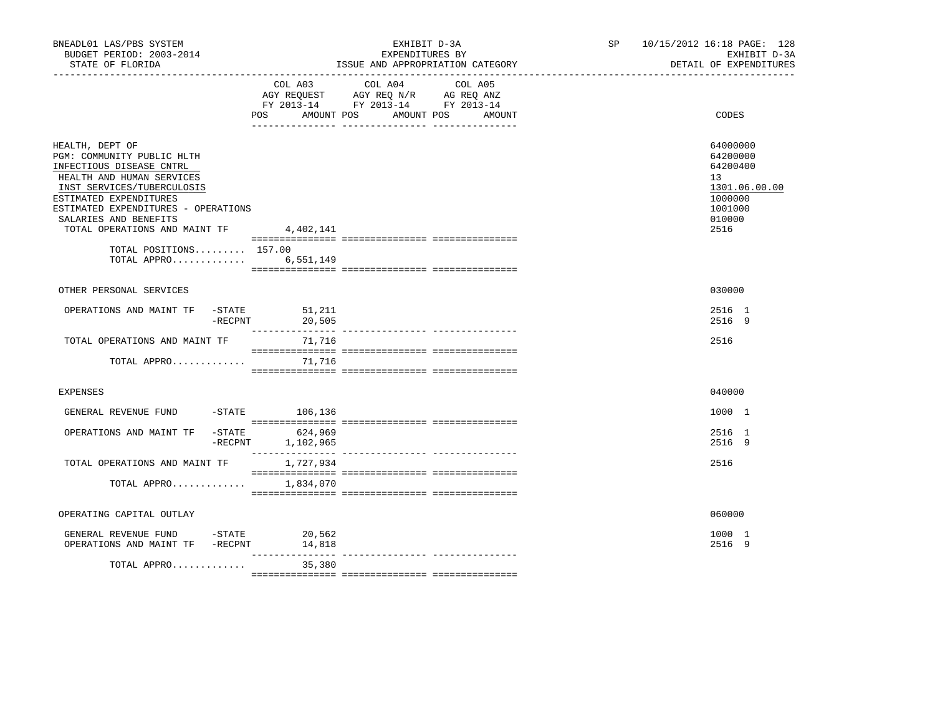| BNEADL01 LAS/PBS SYSTEM<br>BUDGET PERIOD: 2003-2014<br>STATE OF FLORIDA<br>__________________                                                                                                                                                                             |                                            | EXHIBIT D-3A<br>EXPENDITURES BY                                                                   | ISSUE AND APPROPRIATION CATEGORY | SP 10/15/2012 16:18 PAGE: 128<br>EXHIBIT D-3A<br>DETAIL OF EXPENDITURES                         |
|---------------------------------------------------------------------------------------------------------------------------------------------------------------------------------------------------------------------------------------------------------------------------|--------------------------------------------|---------------------------------------------------------------------------------------------------|----------------------------------|-------------------------------------------------------------------------------------------------|
|                                                                                                                                                                                                                                                                           | <b>POS</b><br>AMOUNT POS                   | COL A03 COL A04 COL A05<br>AGY REQUEST AGY REQ N/R AG REQ ANZ<br>FY 2013-14 FY 2013-14 FY 2013-14 | AMOUNT POS<br>AMOUNT             | CODES                                                                                           |
| HEALTH, DEPT OF<br>PGM: COMMUNITY PUBLIC HLTH<br>INFECTIOUS DISEASE CNTRL<br>HEALTH AND HUMAN SERVICES<br>INST SERVICES/TUBERCULOSIS<br>ESTIMATED EXPENDITURES<br>ESTIMATED EXPENDITURES - OPERATIONS<br>SALARIES AND BENEFITS<br>TOTAL OPERATIONS AND MAINT TF 4,402,141 |                                            |                                                                                                   |                                  | 64000000<br>64200000<br>64200400<br>13<br>1301.06.00.00<br>1000000<br>1001000<br>010000<br>2516 |
| TOTAL POSITIONS 157.00<br>TOTAL APPRO 6,551,149                                                                                                                                                                                                                           |                                            |                                                                                                   |                                  |                                                                                                 |
| OTHER PERSONAL SERVICES                                                                                                                                                                                                                                                   |                                            |                                                                                                   |                                  | 030000                                                                                          |
| OPERATIONS AND MAINT TF -STATE<br>$-{\rm RECPNT}$                                                                                                                                                                                                                         | 51,211<br>20,505                           |                                                                                                   |                                  | 2516 1<br>2516 9                                                                                |
| TOTAL OPERATIONS AND MAINT TF                                                                                                                                                                                                                                             | 71,716                                     |                                                                                                   |                                  | 2516                                                                                            |
| TOTAL APPRO $71,716$                                                                                                                                                                                                                                                      |                                            |                                                                                                   |                                  |                                                                                                 |
| <b>EXPENSES</b>                                                                                                                                                                                                                                                           |                                            |                                                                                                   |                                  | 040000                                                                                          |
| GENERAL REVENUE FUND                                                                                                                                                                                                                                                      | $-$ STATE 106,136                          |                                                                                                   |                                  | 1000 1                                                                                          |
| OPERATIONS AND MAINT TF                                                                                                                                                                                                                                                   | -STATE 624,969<br>$-$ RECPNT $1, 102, 965$ |                                                                                                   |                                  | 2516 1<br>2516 9                                                                                |
| TOTAL OPERATIONS AND MAINT TF                                                                                                                                                                                                                                             | 1,727,934                                  |                                                                                                   |                                  | 2516                                                                                            |
| TOTAL APPRO                                                                                                                                                                                                                                                               | 1,834,070                                  |                                                                                                   |                                  |                                                                                                 |
| OPERATING CAPITAL OUTLAY                                                                                                                                                                                                                                                  |                                            |                                                                                                   |                                  | 060000                                                                                          |
| GENERAL REVENUE FUND -STATE 20,562<br>OPERATIONS AND MAINT TF -RECPNT                                                                                                                                                                                                     | 14,818                                     |                                                                                                   |                                  | 1000 1<br>2516 9                                                                                |
| TOTAL APPRO                                                                                                                                                                                                                                                               | $- - - - - - - - -$<br>35,380              |                                                                                                   | --------------- ---------------  |                                                                                                 |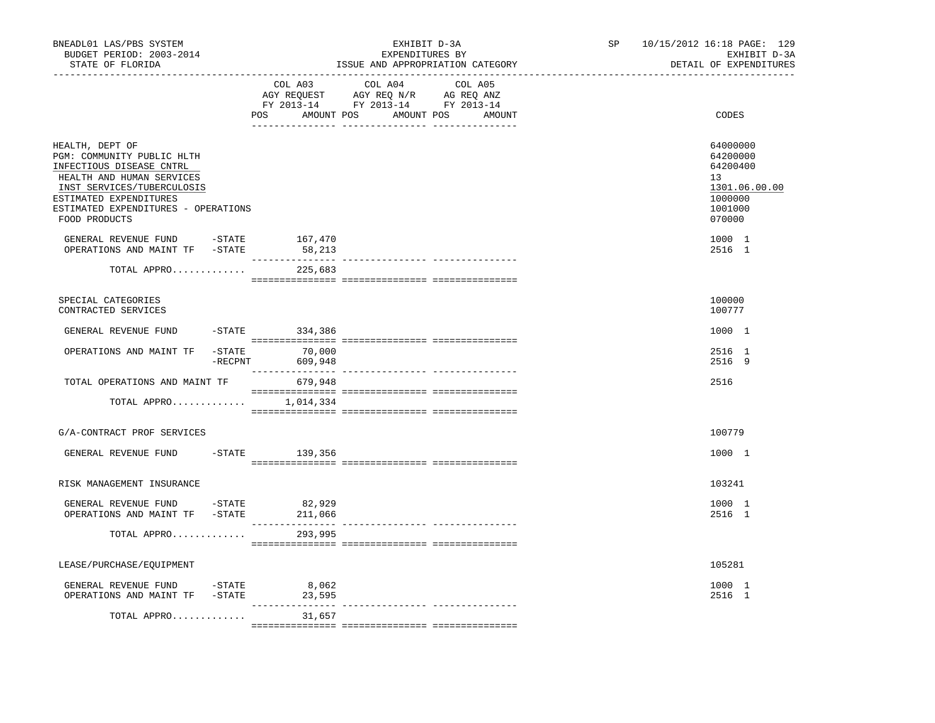| BNEADL01 LAS/PBS SYSTEM<br>BUDGET PERIOD: 2003-2014<br>STATE OF FLORIDA                                                                                                                                                |                                          | EXHIBIT D-3A<br>EXPENDITURES BY<br>ISSUE AND APPROPRIATION CATEGORY<br>----------------------                                    | SP | 10/15/2012 16:18 PAGE: 129<br>EXHIBIT D-3A<br>DETAIL OF EXPENDITURES                    |
|------------------------------------------------------------------------------------------------------------------------------------------------------------------------------------------------------------------------|------------------------------------------|----------------------------------------------------------------------------------------------------------------------------------|----|-----------------------------------------------------------------------------------------|
|                                                                                                                                                                                                                        | COL A03                                  | COL A04<br>COL A05<br>AGY REQUEST AGY REQ N/R AG REQ ANZ<br>FY 2013-14 FY 2013-14 FY 2013-14<br>POS AMOUNT POS AMOUNT POS AMOUNT |    | CODES                                                                                   |
| HEALTH, DEPT OF<br>PGM: COMMUNITY PUBLIC HLTH<br>INFECTIOUS DISEASE CNTRL<br>HEALTH AND HUMAN SERVICES<br>INST SERVICES/TUBERCULOSIS<br>ESTIMATED EXPENDITURES<br>ESTIMATED EXPENDITURES - OPERATIONS<br>FOOD PRODUCTS |                                          |                                                                                                                                  |    | 64000000<br>64200000<br>64200400<br>13<br>1301.06.00.00<br>1000000<br>1001000<br>070000 |
| GENERAL REVENUE FUND - STATE<br>OPERATIONS AND MAINT TF -STATE                                                                                                                                                         | 167,470<br>58,213                        |                                                                                                                                  |    | 1000 1<br>2516 1                                                                        |
| TOTAL APPRO                                                                                                                                                                                                            | 225,683                                  |                                                                                                                                  |    |                                                                                         |
| SPECIAL CATEGORIES<br>CONTRACTED SERVICES                                                                                                                                                                              |                                          |                                                                                                                                  |    | 100000<br>100777                                                                        |
| GENERAL REVENUE FUND                                                                                                                                                                                                   | $-STATE$ 334,386                         |                                                                                                                                  |    | 1000 1                                                                                  |
| OPERATIONS AND MAINT TF                                                                                                                                                                                                | $-STATE$ 70,000<br>$-$ RECPNT<br>609,948 |                                                                                                                                  |    | 2516 1<br>2516 9                                                                        |
| TOTAL OPERATIONS AND MAINT TF                                                                                                                                                                                          | 679,948                                  |                                                                                                                                  |    | 2516                                                                                    |
| TOTAL APPRO 1,014,334                                                                                                                                                                                                  |                                          |                                                                                                                                  |    |                                                                                         |
| G/A-CONTRACT PROF SERVICES                                                                                                                                                                                             |                                          |                                                                                                                                  |    | 100779                                                                                  |
| GENERAL REVENUE FUND                                                                                                                                                                                                   | $-$ STATE 139, 356                       |                                                                                                                                  |    | 1000 1                                                                                  |
| RISK MANAGEMENT INSURANCE                                                                                                                                                                                              |                                          |                                                                                                                                  |    | 103241                                                                                  |
| GENERAL REVENUE FUND<br>OPERATIONS AND MAINT TF -STATE                                                                                                                                                                 | $-STATE$ 82,929<br>211,066               |                                                                                                                                  |    | 1000 1<br>2516 1                                                                        |
| TOTAL APPRO                                                                                                                                                                                                            | 293,995                                  |                                                                                                                                  |    |                                                                                         |
| LEASE/PURCHASE/EQUIPMENT                                                                                                                                                                                               |                                          |                                                                                                                                  |    | 105281                                                                                  |
| -STATE<br>GENERAL REVENUE FUND<br>OPERATIONS AND MAINT TF -STATE 23,595                                                                                                                                                | 8,062                                    | .__ ________________ _____________                                                                                               |    | 1000 1<br>2516 1                                                                        |
| TOTAL APPRO                                                                                                                                                                                                            | 31,657                                   |                                                                                                                                  |    |                                                                                         |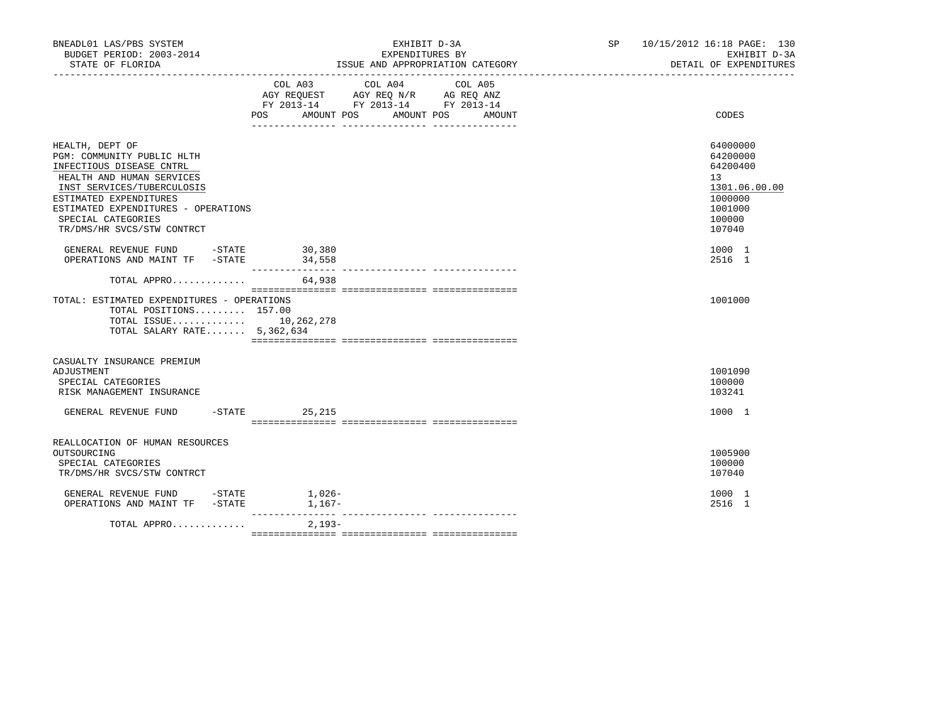| BNEADL01 LAS/PBS SYSTEM<br>BUDGET PERIOD: 2003-2014<br>STATE OF FLORIDA                                                                                                                                                                                   |                                                                                                                                                                    | EXHIBIT D-3A<br>EXPENDITURES BY<br>ISSUE AND APPROPRIATION CATEGORY | SP 10/15/2012 16:18 PAGE: 130<br>EXHIBIT D-3A<br>DETAIL OF EXPENDITURES                                        |
|-----------------------------------------------------------------------------------------------------------------------------------------------------------------------------------------------------------------------------------------------------------|--------------------------------------------------------------------------------------------------------------------------------------------------------------------|---------------------------------------------------------------------|----------------------------------------------------------------------------------------------------------------|
|                                                                                                                                                                                                                                                           | $\begin{tabular}{lllllll} AGY & \texttt{REQUEST} & \texttt{AGY REQ N/R} & \texttt{AG REQ ANZ} \end{tabular}$<br>FY 2013-14 FY 2013-14 FY 2013-14<br>POS AMOUNT POS | COL A03 COL A04 COL A05<br>AMOUNT POS<br>AMOUNT                     | CODES                                                                                                          |
| HEALTH, DEPT OF<br>PGM: COMMUNITY PUBLIC HLTH<br>INFECTIOUS DISEASE CNTRL<br>HEALTH AND HUMAN SERVICES<br>INST SERVICES/TUBERCULOSIS<br>ESTIMATED EXPENDITURES<br>ESTIMATED EXPENDITURES - OPERATIONS<br>SPECIAL CATEGORIES<br>TR/DMS/HR SVCS/STW CONTRCT |                                                                                                                                                                    |                                                                     | 64000000<br>64200000<br>64200400<br>13 <sup>°</sup><br>1301.06.00.00<br>1000000<br>1001000<br>100000<br>107040 |
| GENERAL REVENUE FUND -STATE 30,380<br>OPERATIONS AND MAINT TF -STATE 34,558                                                                                                                                                                               |                                                                                                                                                                    |                                                                     | 1000 1<br>2516 1                                                                                               |
| TOTAL APPRO                                                                                                                                                                                                                                               | 64,938                                                                                                                                                             |                                                                     |                                                                                                                |
| TOTAL: ESTIMATED EXPENDITURES - OPERATIONS<br>TOTAL POSITIONS 157.00<br>TOTAL ISSUE 10,262,278<br>TOTAL SALARY RATE 5,362,634                                                                                                                             |                                                                                                                                                                    |                                                                     | 1001000                                                                                                        |
| CASUALTY INSURANCE PREMIUM<br>ADJUSTMENT<br>SPECIAL CATEGORIES<br>RISK MANAGEMENT INSURANCE                                                                                                                                                               |                                                                                                                                                                    |                                                                     | 1001090<br>100000<br>103241                                                                                    |
| GENERAL REVENUE FUND -STATE 25,215                                                                                                                                                                                                                        |                                                                                                                                                                    |                                                                     | 1000 1                                                                                                         |
| REALLOCATION OF HUMAN RESOURCES<br>OUTSOURCING<br>SPECIAL CATEGORIES<br>TR/DMS/HR SVCS/STW CONTRCT                                                                                                                                                        |                                                                                                                                                                    |                                                                     | 1005900<br>100000<br>107040                                                                                    |
|                                                                                                                                                                                                                                                           |                                                                                                                                                                    |                                                                     | 1000 1<br>2516 1                                                                                               |
| TOTAL APPRO                                                                                                                                                                                                                                               | $2,193-$                                                                                                                                                           |                                                                     |                                                                                                                |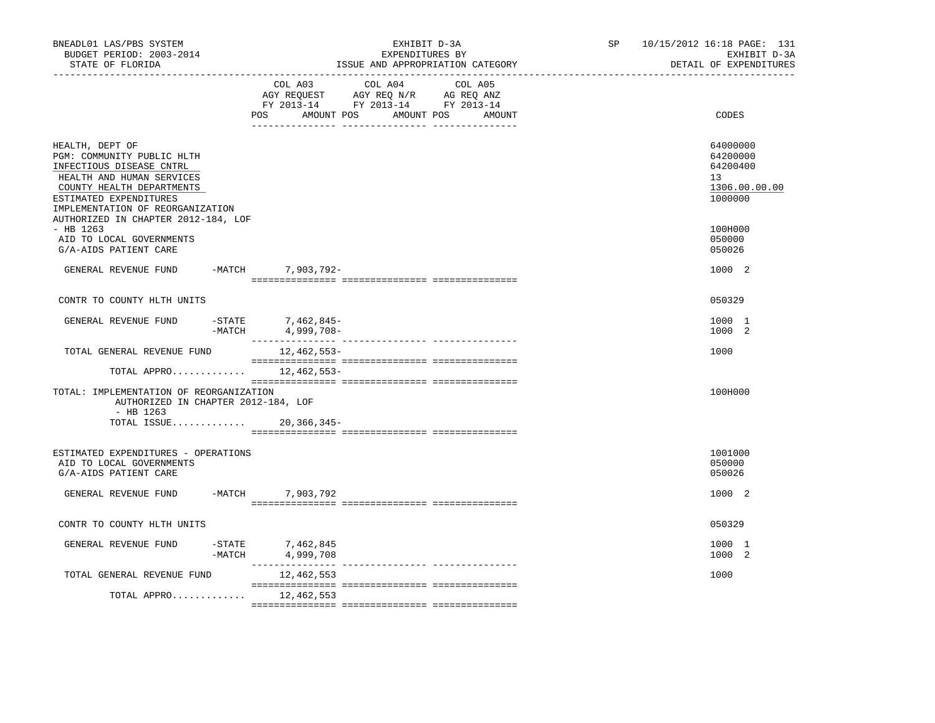| BNEADL01 LAS/PBS SYSTEM<br>BUDGET PERIOD: 2003-2014<br>STATE OF FLORIDA                                                                                       | EXHIBIT D-3A<br>EXPENDITURES BY<br>ISSUE AND APPROPRIATION CATEGORY                                                                            | 10/15/2012 16:18 PAGE: 131<br>SP and the set of the set of the set of the set of the set of the set of the set of the set of the set of the set of the set of the set of the set of the set of the set of the set of the set of the set of the set of the se<br>EXHIBIT D-3A<br>DETAIL OF EXPENDITURES |
|---------------------------------------------------------------------------------------------------------------------------------------------------------------|------------------------------------------------------------------------------------------------------------------------------------------------|--------------------------------------------------------------------------------------------------------------------------------------------------------------------------------------------------------------------------------------------------------------------------------------------------------|
|                                                                                                                                                               | COL A03<br>COL A04<br>COL A05<br>AGY REQUEST AGY REQ N/R AG REQ ANZ<br>FY 2013-14 FY 2013-14 FY 2013-14<br>AMOUNT POS AMOUNT POS AMOUNT<br>POS | CODES                                                                                                                                                                                                                                                                                                  |
|                                                                                                                                                               |                                                                                                                                                |                                                                                                                                                                                                                                                                                                        |
| HEALTH, DEPT OF<br>PGM: COMMUNITY PUBLIC HLTH<br>INFECTIOUS DISEASE CNTRL<br>HEALTH AND HUMAN SERVICES<br>COUNTY HEALTH DEPARTMENTS<br>ESTIMATED EXPENDITURES |                                                                                                                                                | 64000000<br>64200000<br>64200400<br>13<br>1306.00.00.00<br>1000000                                                                                                                                                                                                                                     |
| IMPLEMENTATION OF REORGANIZATION<br>AUTHORIZED IN CHAPTER 2012-184, LOF<br>$-$ HB 1263                                                                        |                                                                                                                                                | 100H000                                                                                                                                                                                                                                                                                                |
| AID TO LOCAL GOVERNMENTS<br>G/A-AIDS PATIENT CARE                                                                                                             |                                                                                                                                                | 050000<br>050026                                                                                                                                                                                                                                                                                       |
| GENERAL REVENUE FUND                                                                                                                                          | -MATCH 7,903,792-                                                                                                                              | 1000 2                                                                                                                                                                                                                                                                                                 |
| CONTR TO COUNTY HLTH UNITS                                                                                                                                    |                                                                                                                                                | 050329                                                                                                                                                                                                                                                                                                 |
| GENERAL REVENUE FUND<br>$-MATCH$                                                                                                                              | -STATE 7,462,845-<br>4,999,708-                                                                                                                | 1000 1<br>1000 2                                                                                                                                                                                                                                                                                       |
| TOTAL GENERAL REVENUE FUND                                                                                                                                    | 12,462,553-                                                                                                                                    | 1000                                                                                                                                                                                                                                                                                                   |
| TOTAL APPRO                                                                                                                                                   | 12,462,553-                                                                                                                                    |                                                                                                                                                                                                                                                                                                        |
| TOTAL: IMPLEMENTATION OF REORGANIZATION<br>AUTHORIZED IN CHAPTER 2012-184, LOF                                                                                |                                                                                                                                                | 100H000                                                                                                                                                                                                                                                                                                |
| $-$ HB 1263<br>TOTAL ISSUE 20,366,345-                                                                                                                        |                                                                                                                                                |                                                                                                                                                                                                                                                                                                        |
| ESTIMATED EXPENDITURES - OPERATIONS<br>AID TO LOCAL GOVERNMENTS<br>G/A-AIDS PATIENT CARE                                                                      |                                                                                                                                                | 1001000<br>050000<br>050026                                                                                                                                                                                                                                                                            |
| GENERAL REVENUE FUND                                                                                                                                          | -MATCH 7,903,792                                                                                                                               | 1000 2                                                                                                                                                                                                                                                                                                 |
| CONTR TO COUNTY HLTH UNITS                                                                                                                                    |                                                                                                                                                | 050329                                                                                                                                                                                                                                                                                                 |
| GENERAL REVENUE FUND<br>-MATCH                                                                                                                                | -STATE 7,462,845<br>4,999,708                                                                                                                  | 1000 1<br>1000 2                                                                                                                                                                                                                                                                                       |
| TOTAL GENERAL REVENUE FUND                                                                                                                                    | 12,462,553                                                                                                                                     | 1000                                                                                                                                                                                                                                                                                                   |
| TOTAL APPRO $12,462,553$                                                                                                                                      |                                                                                                                                                |                                                                                                                                                                                                                                                                                                        |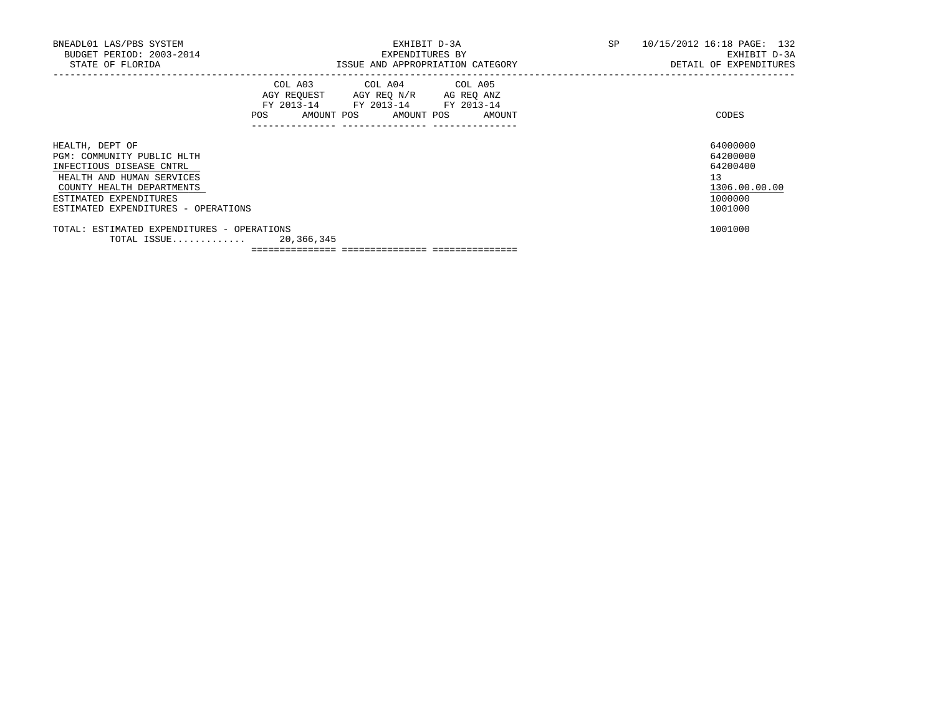| BNEADL01 LAS/PBS SYSTEM<br>BUDGET PERIOD: 2003-2014<br>STATE OF FLORIDA                                                                                                                              | EXHIBIT D-3A<br>EXPENDITURES BY<br>ISSUE AND APPROPRIATION CATEGORY                                                            |        |  | 10/15/2012 16:18 PAGE: 132<br>EXHIBIT D-3A<br>DETAIL OF EXPENDITURES          |
|------------------------------------------------------------------------------------------------------------------------------------------------------------------------------------------------------|--------------------------------------------------------------------------------------------------------------------------------|--------|--|-------------------------------------------------------------------------------|
|                                                                                                                                                                                                      | COL A03 COL A04 COL A05<br>AGY REQUEST AGY REQ N/R AG REQ ANZ<br>FY 2013-14 FY 2013-14 FY 2013-14<br>POS AMOUNT POS AMOUNT POS | AMOUNT |  | CODES                                                                         |
| HEALTH, DEPT OF<br>PGM: COMMUNITY PUBLIC HLTH<br>INFECTIOUS DISEASE CNTRL<br>HEALTH AND HUMAN SERVICES<br>COUNTY HEALTH DEPARTMENTS<br>ESTIMATED EXPENDITURES<br>ESTIMATED EXPENDITURES - OPERATIONS |                                                                                                                                |        |  | 64000000<br>64200000<br>64200400<br>13<br>1306.00.00.00<br>1000000<br>1001000 |
| TOTAL: ESTIMATED EXPENDITURES - OPERATIONS<br>TOTAL ISSUE 20,366,345                                                                                                                                 |                                                                                                                                |        |  | 1001000                                                                       |

=============== =============== ===============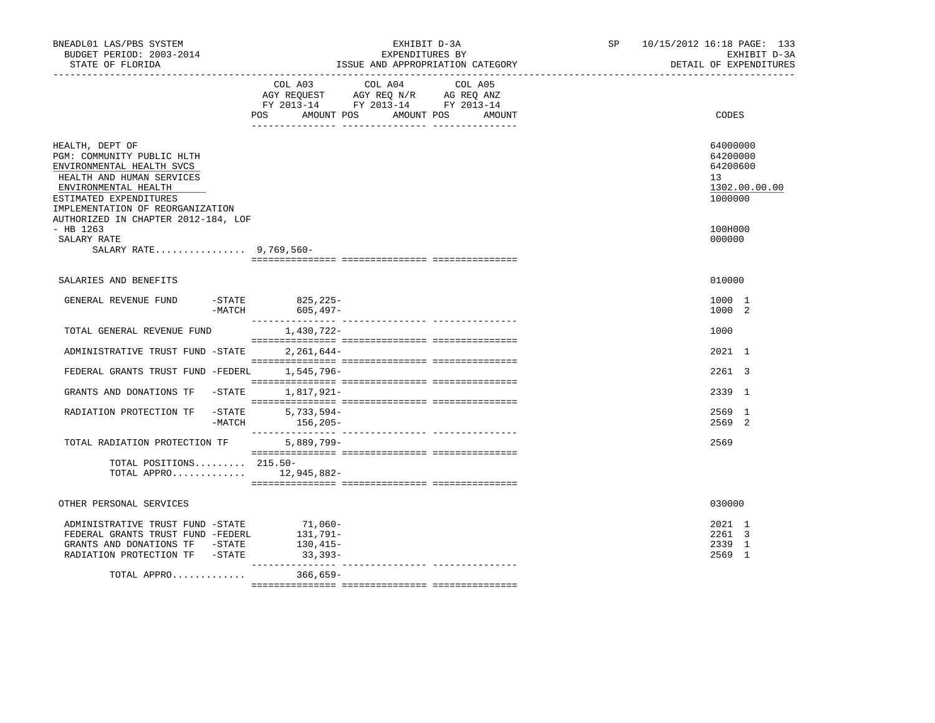| BNEADL01 LAS/PBS SYSTEM<br>BUDGET PERIOD: 2003-2014<br>STATE OF FLORIDA                                                                   | EXHIBIT D-3A<br>EXPENDITURES BY<br>ISSUE AND APPROPRIATION CATEGORY                                                          |                   | 10/15/2012 16:18 PAGE: 133<br>SP | EXHIBIT D-3A<br>DETAIL OF EXPENDITURES |
|-------------------------------------------------------------------------------------------------------------------------------------------|------------------------------------------------------------------------------------------------------------------------------|-------------------|----------------------------------|----------------------------------------|
|                                                                                                                                           | COL A03<br>COL A04<br>AGY REQUEST AGY REQ N/R AG REQ ANZ<br>FY 2013-14 FY 2013-14 FY 2013-14<br>AMOUNT POS AMOUNT POS<br>POS | COL A05<br>AMOUNT |                                  | CODES                                  |
| HEALTH, DEPT OF<br>PGM: COMMUNITY PUBLIC HLTH<br>ENVIRONMENTAL HEALTH SVCS<br>HEALTH AND HUMAN SERVICES                                   |                                                                                                                              |                   | 13                               | 64000000<br>64200000<br>64200600       |
| ENVIRONMENTAL HEALTH<br>ESTIMATED EXPENDITURES<br>IMPLEMENTATION OF REORGANIZATION<br>AUTHORIZED IN CHAPTER 2012-184, LOF                 |                                                                                                                              |                   |                                  | 1302.00.00.00<br>1000000               |
| $-$ HB 1263<br>SALARY RATE<br>SALARY RATE 9,769,560-                                                                                      |                                                                                                                              |                   |                                  | 100H000<br>000000                      |
| SALARIES AND BENEFITS                                                                                                                     |                                                                                                                              |                   |                                  | 010000                                 |
| GENERAL REVENUE FUND                                                                                                                      | $ STATE$<br>$825, 225 -$<br>-MATCH<br>605,497–                                                                               |                   |                                  | 1000 1<br>1000 2                       |
| TOTAL GENERAL REVENUE FUND                                                                                                                | 1,430,722-                                                                                                                   |                   |                                  | 1000                                   |
| ADMINISTRATIVE TRUST FUND -STATE                                                                                                          | 2,261,644-                                                                                                                   |                   |                                  | 2021 1                                 |
| FEDERAL GRANTS TRUST FUND -FEDERL                                                                                                         | 1,545,796-                                                                                                                   |                   |                                  | 2261 3                                 |
| GRANTS AND DONATIONS TF -STATE                                                                                                            | 1,817,921-                                                                                                                   |                   |                                  | 2339 1                                 |
| RADIATION PROTECTION TF                                                                                                                   | $-STATE$<br>$5,733,594-$<br>$-MATCH$<br>156,205-                                                                             |                   |                                  | 2569 1<br>2569 2                       |
| TOTAL RADIATION PROTECTION TF                                                                                                             | 5,889,799-                                                                                                                   |                   |                                  | 2569                                   |
| TOTAL POSITIONS 215.50-<br>TOTAL APPRO $12,945,882-$                                                                                      |                                                                                                                              |                   |                                  |                                        |
| OTHER PERSONAL SERVICES                                                                                                                   |                                                                                                                              |                   |                                  | 030000                                 |
| ADMINISTRATIVE TRUST FUND -STATE<br>FEDERAL GRANTS TRUST FUND -FEDERL<br>GRANTS AND DONATIONS TF -STATE<br>RADIATION PROTECTION TF -STATE | $71,060-$<br>131,791–<br>130,415-<br>$33,393-$                                                                               |                   |                                  | 2021 1<br>2261 3<br>2339 1<br>2569 1   |
| TOTAL APPRO                                                                                                                               | $366,659-$                                                                                                                   |                   |                                  |                                        |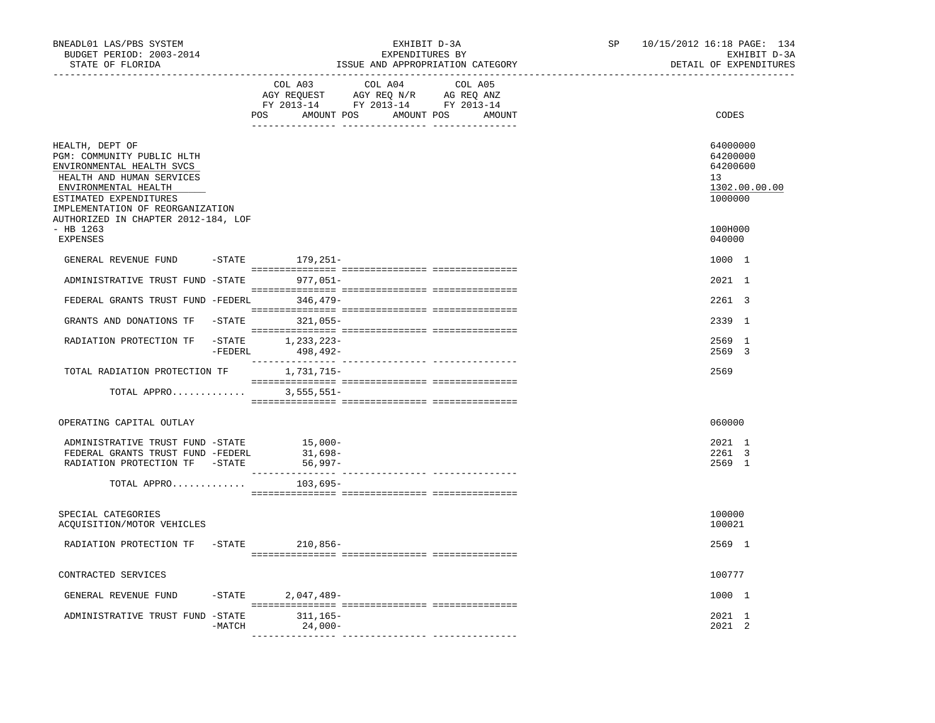| BNEADL01 LAS/PBS SYSTEM<br>BUDGET PERIOD: 2003-2014<br>STATE OF FLORIDA                                                                                                                                                              |         | ________________________________ | EXHIBIT D-3A<br>EXPENDITURES BY                                                   | ISSUE AND APPROPRIATION CATEGORY            | SP | 10/15/2012 16:18 PAGE: 134<br>EXHIBIT D-3A<br>DETAIL OF EXPENDITURES |
|--------------------------------------------------------------------------------------------------------------------------------------------------------------------------------------------------------------------------------------|---------|----------------------------------|-----------------------------------------------------------------------------------|---------------------------------------------|----|----------------------------------------------------------------------|
|                                                                                                                                                                                                                                      |         | COL A03                          | COL A04<br>AGY REQUEST AGY REQ N/R AG REQ ANZ<br>FY 2013-14 FY 2013-14 FY 2013-14 | COL A05<br>POS AMOUNT POS AMOUNT POS AMOUNT |    | CODES                                                                |
| HEALTH, DEPT OF<br>PGM: COMMUNITY PUBLIC HLTH<br>ENVIRONMENTAL HEALTH SVCS<br>HEALTH AND HUMAN SERVICES<br>ENVIRONMENTAL HEALTH<br>ESTIMATED EXPENDITURES<br>IMPLEMENTATION OF REORGANIZATION<br>AUTHORIZED IN CHAPTER 2012-184, LOF |         |                                  |                                                                                   |                                             |    | 64000000<br>64200000<br>64200600<br>13<br>1302.00.00.00<br>1000000   |
| $-$ HB 1263<br><b>EXPENSES</b>                                                                                                                                                                                                       |         |                                  |                                                                                   |                                             |    | 100H000<br>040000                                                    |
| GENERAL REVENUE FUND                                                                                                                                                                                                                 |         | $-STATE$ 179, 251-               |                                                                                   |                                             |    | 1000 1                                                               |
| ADMINISTRATIVE TRUST FUND -STATE 977,051-                                                                                                                                                                                            |         |                                  |                                                                                   |                                             |    | 2021 1                                                               |
| FEDERAL GRANTS TRUST FUND -FEDERL 346,479-                                                                                                                                                                                           |         |                                  |                                                                                   |                                             |    | 2261 3                                                               |
| GRANTS AND DONATIONS TF -STATE 321,055-                                                                                                                                                                                              |         |                                  |                                                                                   |                                             |    | 2339 1                                                               |
| RADIATION PROTECTION TF                                                                                                                                                                                                              | -FEDERL | -STATE 1,233,223-<br>498,492-    |                                                                                   |                                             |    | 2569 1<br>2569 3                                                     |
| TOTAL RADIATION PROTECTION TF                                                                                                                                                                                                        |         | 1,731,715–                       |                                                                                   |                                             |    | 2569                                                                 |
| TOTAL APPRO                                                                                                                                                                                                                          |         | $3,555,551-$                     |                                                                                   |                                             |    |                                                                      |
| OPERATING CAPITAL OUTLAY                                                                                                                                                                                                             |         |                                  |                                                                                   |                                             |    | 060000                                                               |
| ADMINISTRATIVE TRUST FUND -STATE 15,000-<br>FEDERAL GRANTS TRUST FUND -FEDERL<br>RADIATION PROTECTION TF -STATE                                                                                                                      |         | 31,698–<br>56,997–               |                                                                                   |                                             |    | 2021 1<br>2261 3<br>2569 1                                           |
| TOTAL APPRO                                                                                                                                                                                                                          |         | 103,695-                         |                                                                                   |                                             |    |                                                                      |
| SPECIAL CATEGORIES<br>ACQUISITION/MOTOR VEHICLES                                                                                                                                                                                     |         |                                  |                                                                                   |                                             |    | 100000<br>100021                                                     |
| RADIATION PROTECTION TF -STATE 210,856-                                                                                                                                                                                              |         |                                  |                                                                                   |                                             |    | 2569 1                                                               |
| CONTRACTED SERVICES                                                                                                                                                                                                                  |         |                                  |                                                                                   |                                             |    | 100777                                                               |
| GENERAL REVENUE FUND                                                                                                                                                                                                                 |         | $-$ STATE 2,047,489-             |                                                                                   |                                             |    | 1000 1                                                               |
| ADMINISTRATIVE TRUST FUND -STATE                                                                                                                                                                                                     | -MATCH  | $311, 165-$<br>24,000-           |                                                                                   |                                             |    | 2021 1<br>2021 2                                                     |
|                                                                                                                                                                                                                                      |         |                                  |                                                                                   |                                             |    |                                                                      |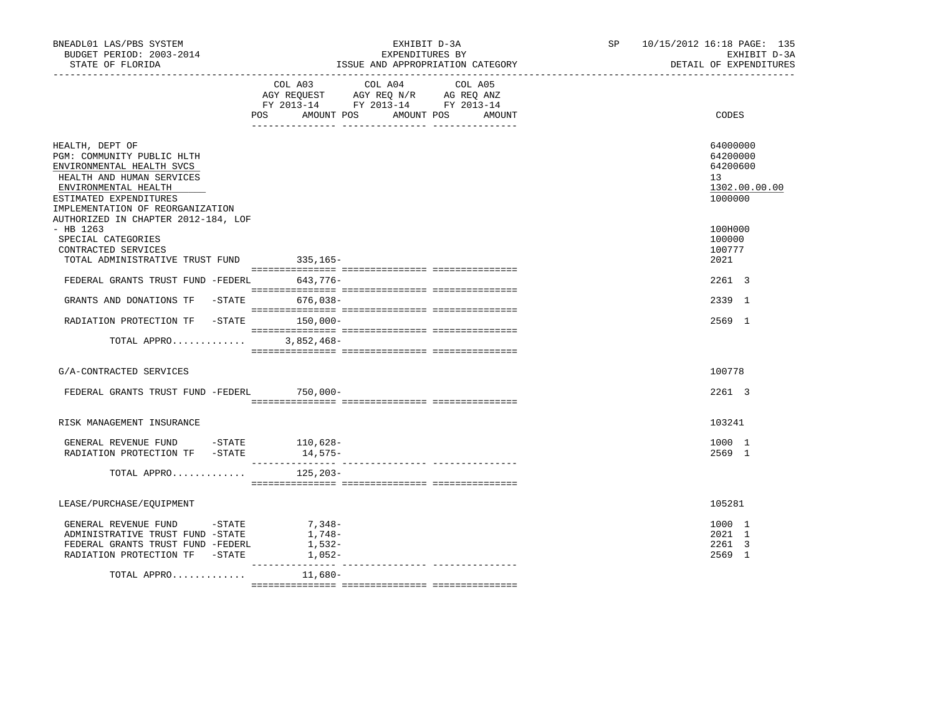| BNEADL01 LAS/PBS SYSTEM<br>BUDGET PERIOD: 2003-2014<br>STATE OF FLORIDA<br>----------------------                                                                                             | EXHIBIT D-3A<br>EXPENDITURES BY<br>ISSUE AND APPROPRIATION CATEGORY                                                                                      | SP 10/15/2012 16:18 PAGE: 135<br>EXHIBIT D-3A<br>DETAIL OF EXPENDITURES |
|-----------------------------------------------------------------------------------------------------------------------------------------------------------------------------------------------|----------------------------------------------------------------------------------------------------------------------------------------------------------|-------------------------------------------------------------------------|
|                                                                                                                                                                                               | COL A03 COL A04 COL A05<br>AGY REQUEST AGY REQ N/R AG REQ ANZ<br>FY 2013-14 FY 2013-14 FY 2013-14<br>POS DO<br>AMOUNT POS<br>AMOUNT POS<br><b>AMOUNT</b> | CODES                                                                   |
| HEALTH, DEPT OF<br>PGM: COMMUNITY PUBLIC HLTH<br>ENVIRONMENTAL HEALTH SVCS<br>HEALTH AND HUMAN SERVICES<br>ENVIRONMENTAL HEALTH<br>ESTIMATED EXPENDITURES<br>IMPLEMENTATION OF REORGANIZATION |                                                                                                                                                          | 64000000<br>64200000<br>64200600<br>13<br>1302.00.00.00<br>1000000      |
| AUTHORIZED IN CHAPTER 2012-184, LOF<br>$-$ HB 1263<br>SPECIAL CATEGORIES<br>CONTRACTED SERVICES                                                                                               |                                                                                                                                                          | 100H000<br>100000<br>100777                                             |
| TOTAL ADMINISTRATIVE TRUST FUND 335,165-                                                                                                                                                      |                                                                                                                                                          | 2021                                                                    |
| FEDERAL GRANTS TRUST FUND -FEDERL 643,776-                                                                                                                                                    |                                                                                                                                                          | 2261 3                                                                  |
| GRANTS AND DONATIONS TF -STATE 676,038-                                                                                                                                                       |                                                                                                                                                          | 2339 1                                                                  |
| RADIATION PROTECTION TF -STATE 150,000-                                                                                                                                                       |                                                                                                                                                          | 2569 1                                                                  |
| TOTAL APPRO                                                                                                                                                                                   | 3,852,468-                                                                                                                                               |                                                                         |
| G/A-CONTRACTED SERVICES                                                                                                                                                                       |                                                                                                                                                          | 100778                                                                  |
| FEDERAL GRANTS TRUST FUND -FEDERL 750,000-                                                                                                                                                    |                                                                                                                                                          | 2261 3                                                                  |
| RISK MANAGEMENT INSURANCE                                                                                                                                                                     |                                                                                                                                                          | 103241                                                                  |
| GENERAL REVENUE FUND -STATE 110,628-<br>RADIATION PROTECTION TF -STATE                                                                                                                        | 14,575–                                                                                                                                                  | 1000 1<br>2569 1                                                        |
| TOTAL APPRO $125,203-$                                                                                                                                                                        |                                                                                                                                                          |                                                                         |
| LEASE/PURCHASE/EQUIPMENT                                                                                                                                                                      |                                                                                                                                                          | 105281                                                                  |
| GENERAL REVENUE FUND -STATE<br>ADMINISTRATIVE TRUST FUND -STATE<br>FEDERAL GRANTS TRUST FUND -FEDERL<br>RADIATION PROTECTION TF -STATE                                                        | 7,348-<br>1,748-<br>1,532-<br>$1,052-$                                                                                                                   | 1000 1<br>2021 1<br>2261 3<br>2569 1                                    |
| TOTAL APPRO                                                                                                                                                                                   | 11,680-                                                                                                                                                  |                                                                         |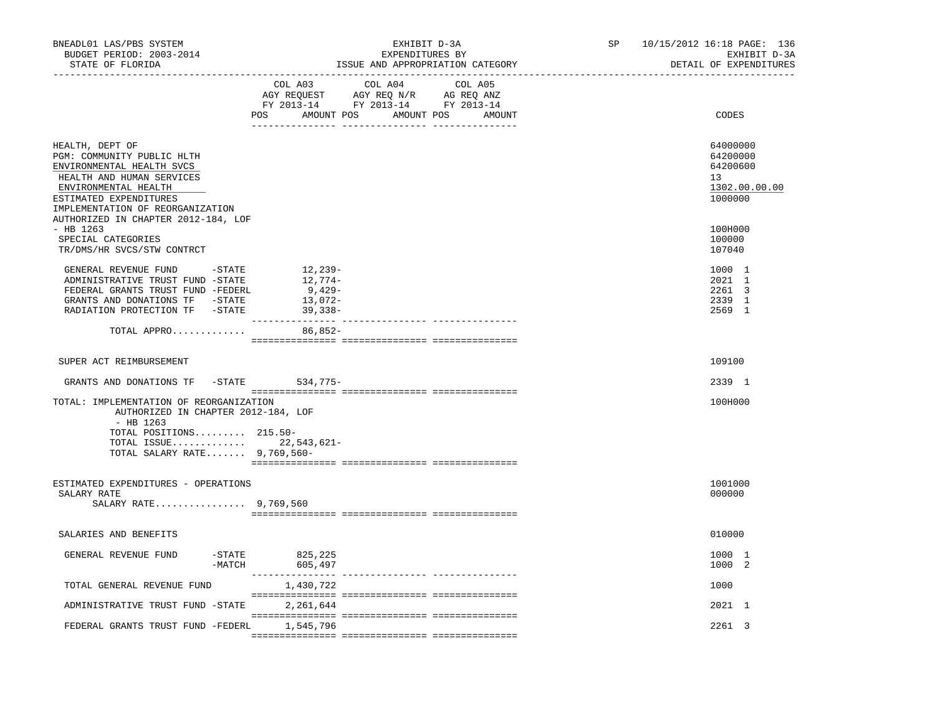| BNEADL01 LAS/PBS SYSTEM<br>BUDGET PERIOD: 2003-2014<br>STATE OF FLORIDA<br>-------------------                                                                                                |                                                    | EXHIBIT D-3A<br>EXPENDITURES BY<br>ISSUE AND APPROPRIATION CATEGORY | SP and the set of the set of the set of the set of the set of the set of the set of the set of the set of the set of the set of the set of the set of the set of the set of the set of the set of the set of the set of the se | 10/15/2012 16:18 PAGE: 136<br>EXHIBIT D-3A<br>DETAIL OF EXPENDITURES |
|-----------------------------------------------------------------------------------------------------------------------------------------------------------------------------------------------|----------------------------------------------------|---------------------------------------------------------------------|--------------------------------------------------------------------------------------------------------------------------------------------------------------------------------------------------------------------------------|----------------------------------------------------------------------|
|                                                                                                                                                                                               | COL A03                                            | COL A04<br>COL A05<br>POS AMOUNT POS AMOUNT POS<br>AMOUNT           |                                                                                                                                                                                                                                | CODES                                                                |
| HEALTH, DEPT OF<br>PGM: COMMUNITY PUBLIC HLTH<br>ENVIRONMENTAL HEALTH SVCS<br>HEALTH AND HUMAN SERVICES<br>ENVIRONMENTAL HEALTH<br>ESTIMATED EXPENDITURES<br>IMPLEMENTATION OF REORGANIZATION |                                                    |                                                                     |                                                                                                                                                                                                                                | 64000000<br>64200000<br>64200600<br>13<br>1302.00.00.00<br>1000000   |
| AUTHORIZED IN CHAPTER 2012-184, LOF<br>- HB 1263<br>SPECIAL CATEGORIES<br>TR/DMS/HR SVCS/STW CONTRCT                                                                                          |                                                    |                                                                     |                                                                                                                                                                                                                                | 100H000<br>100000<br>107040                                          |
| GENERAL REVENUE FUND - STATE<br>ADMINISTRATIVE TRUST FUND -STATE<br>FEDERAL GRANTS TRUST FUND -FEDERL<br>GRANTS AND DONATIONS TF -STATE<br>RADIATION PROTECTION TF -STATE                     | 12,239-<br>12,774-<br>9,429-<br>13,072-<br>39,338- |                                                                     |                                                                                                                                                                                                                                | 1000 1<br>2021 1<br>2261 3<br>2339 1<br>2569 1                       |
| TOTAL APPRO                                                                                                                                                                                   | 86,852-                                            |                                                                     |                                                                                                                                                                                                                                |                                                                      |
| SUPER ACT REIMBURSEMENT                                                                                                                                                                       |                                                    |                                                                     |                                                                                                                                                                                                                                | 109100                                                               |
| GRANTS AND DONATIONS TF -STATE 534,775-                                                                                                                                                       |                                                    |                                                                     |                                                                                                                                                                                                                                | 2339 1                                                               |
| TOTAL: IMPLEMENTATION OF REORGANIZATION<br>AUTHORIZED IN CHAPTER 2012-184, LOF<br>- HB 1263                                                                                                   |                                                    |                                                                     |                                                                                                                                                                                                                                | 100H000                                                              |
| TOTAL POSITIONS 215.50-<br>TOTAL ISSUE 22,543,621-<br>TOTAL SALARY RATE $9,769,560-$                                                                                                          |                                                    |                                                                     |                                                                                                                                                                                                                                |                                                                      |
| ESTIMATED EXPENDITURES - OPERATIONS<br>SALARY RATE<br>SALARY RATE 9,769,560                                                                                                                   |                                                    |                                                                     |                                                                                                                                                                                                                                | 1001000<br>000000                                                    |
| SALARIES AND BENEFITS                                                                                                                                                                         |                                                    |                                                                     |                                                                                                                                                                                                                                | 010000                                                               |
| GENERAL REVENUE FUND<br>-MATCH                                                                                                                                                                | -STATE 825,225<br>605,497                          |                                                                     |                                                                                                                                                                                                                                | 1000 1<br>1000 2                                                     |
| TOTAL GENERAL REVENUE FUND                                                                                                                                                                    | 1,430,722                                          |                                                                     |                                                                                                                                                                                                                                | 1000                                                                 |
| ADMINISTRATIVE TRUST FUND -STATE                                                                                                                                                              | 2,261,644                                          |                                                                     |                                                                                                                                                                                                                                | 2021 1                                                               |
| FEDERAL GRANTS TRUST FUND -FEDERL                                                                                                                                                             | 1,545,796                                          |                                                                     |                                                                                                                                                                                                                                | 2261 3                                                               |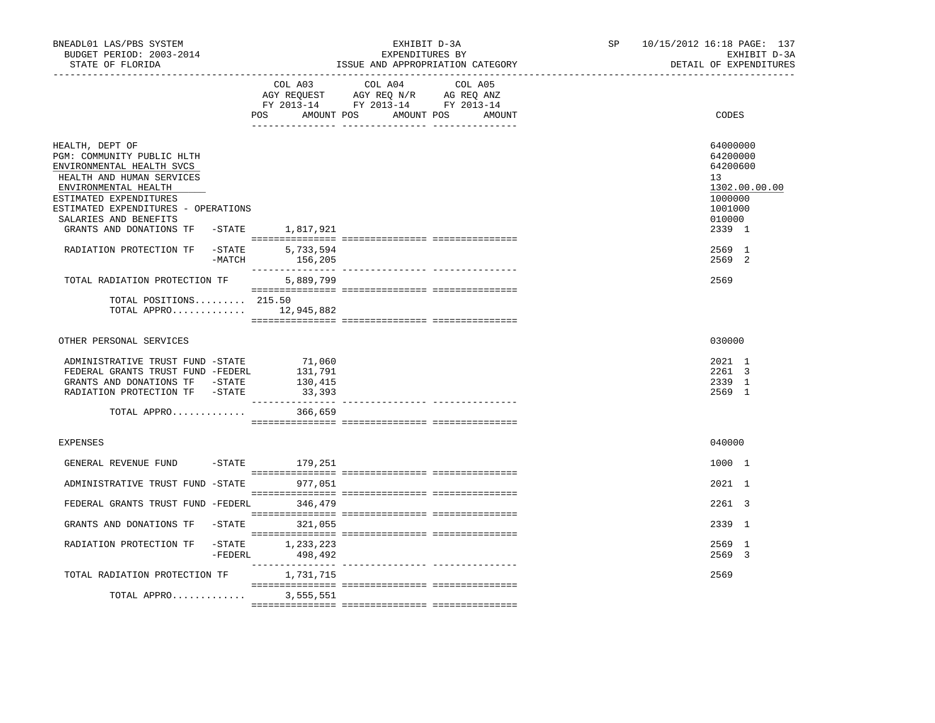| BNEADL01 LAS/PBS SYSTEM<br>BUDGET PERIOD: 2003-2014<br>STATE OF FLORIDA                                                                                                                                                                                               | EXHIBIT D-3A<br>EXPENDITURES BY<br>ISSUE AND APPROPRIATION CATEGORY |                                                                                                                                  |  | 10/15/2012 16:18 PAGE: 137<br>SP and the set of the set of the set of the set of the set of the set of the set of the set of the set of the set of the set of the set of the set of the set of the set of the set of the set of the set of the set of the se<br>EXHIBIT D-3A<br>DETAIL OF EXPENDITURES |
|-----------------------------------------------------------------------------------------------------------------------------------------------------------------------------------------------------------------------------------------------------------------------|---------------------------------------------------------------------|----------------------------------------------------------------------------------------------------------------------------------|--|--------------------------------------------------------------------------------------------------------------------------------------------------------------------------------------------------------------------------------------------------------------------------------------------------------|
|                                                                                                                                                                                                                                                                       | COL A03                                                             | COL A04<br>COL A05<br>AGY REQUEST AGY REQ N/R AG REQ ANZ<br>FY 2013-14 FY 2013-14 FY 2013-14<br>POS AMOUNT POS AMOUNT POS AMOUNT |  | CODES                                                                                                                                                                                                                                                                                                  |
| HEALTH, DEPT OF<br>PGM: COMMUNITY PUBLIC HLTH<br>ENVIRONMENTAL HEALTH SVCS<br>HEALTH AND HUMAN SERVICES<br>ENVIRONMENTAL HEALTH<br>ESTIMATED EXPENDITURES<br>ESTIMATED EXPENDITURES - OPERATIONS<br>SALARIES AND BENEFITS<br>GRANTS AND DONATIONS TF -STATE 1,817,921 |                                                                     |                                                                                                                                  |  | 64000000<br>64200000<br>64200600<br>13<br>1302.00.00.00<br>1000000<br>1001000<br>010000<br>2339 1                                                                                                                                                                                                      |
| RADIATION PROTECTION TF                                                                                                                                                                                                                                               | $-$ STATE<br>5,733,594<br>$-MATCH$<br>156,205                       |                                                                                                                                  |  | 2569 1<br>2569 2                                                                                                                                                                                                                                                                                       |
| TOTAL RADIATION PROTECTION TF<br>TOTAL POSITIONS 215.50<br>TOTAL APPRO 12,945,882                                                                                                                                                                                     | 5,889,799                                                           |                                                                                                                                  |  | 2569                                                                                                                                                                                                                                                                                                   |
| OTHER PERSONAL SERVICES                                                                                                                                                                                                                                               |                                                                     |                                                                                                                                  |  | 030000                                                                                                                                                                                                                                                                                                 |
| ADMINISTRATIVE TRUST FUND -STATE<br>FEDERAL GRANTS TRUST FUND -FEDERL<br>GRANTS AND DONATIONS TF -STATE<br>RADIATION PROTECTION TF -STATE<br>TOTAL APPRO                                                                                                              | 71,060<br>131,791<br>130,415<br>33,393<br>366,659                   |                                                                                                                                  |  | 2021 1<br>$2261 \quad 3$<br>2339 1<br>2569 1                                                                                                                                                                                                                                                           |
| <b>EXPENSES</b>                                                                                                                                                                                                                                                       |                                                                     |                                                                                                                                  |  | 040000                                                                                                                                                                                                                                                                                                 |
| GENERAL REVENUE FUND                                                                                                                                                                                                                                                  | -STATE 179,251                                                      |                                                                                                                                  |  | 1000 1                                                                                                                                                                                                                                                                                                 |
| ADMINISTRATIVE TRUST FUND -STATE                                                                                                                                                                                                                                      | 977,051                                                             |                                                                                                                                  |  | 2021 1                                                                                                                                                                                                                                                                                                 |
| FEDERAL GRANTS TRUST FUND -FEDERL 346,479                                                                                                                                                                                                                             |                                                                     |                                                                                                                                  |  | 2261 3                                                                                                                                                                                                                                                                                                 |
| GRANTS AND DONATIONS TF -STATE 321,055<br>RADIATION PROTECTION TF                                                                                                                                                                                                     | $-STATE$ 1, 233, 223<br>$-FEDERL$<br>498,492                        |                                                                                                                                  |  | 2339 1<br>2569 1<br>2569 3                                                                                                                                                                                                                                                                             |
| TOTAL RADIATION PROTECTION TF<br>TOTAL APPRO                                                                                                                                                                                                                          | 1,731,715<br>3,555,551                                              |                                                                                                                                  |  | 2569                                                                                                                                                                                                                                                                                                   |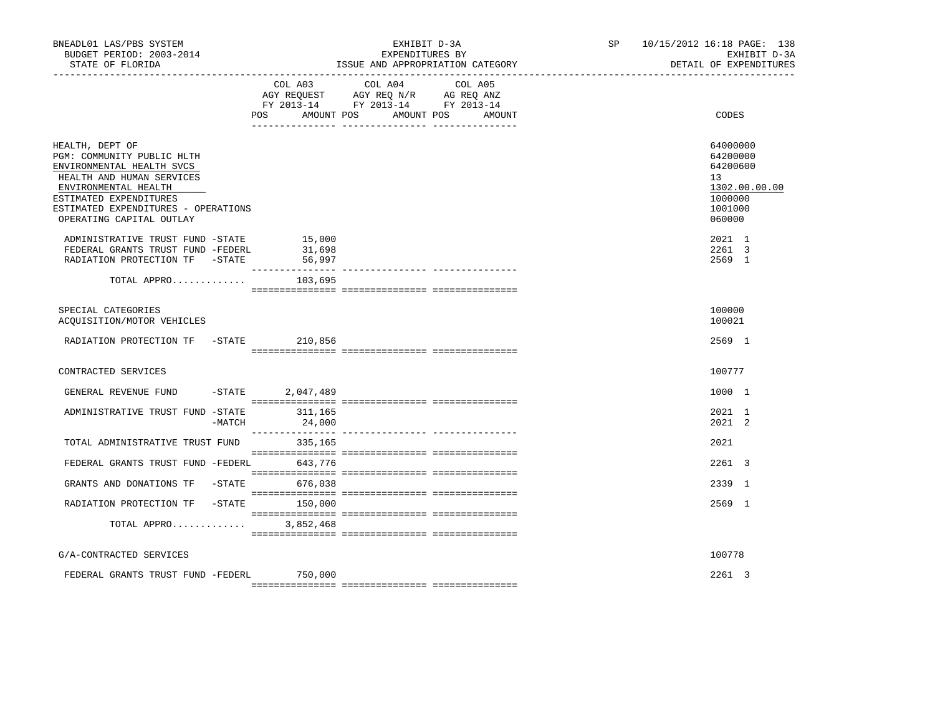| BNEADL01 LAS/PBS SYSTEM<br>BUDGET PERIOD: 2003-2014<br>STATE OF FLORIDA                                                                                                                                                      |            | EXHIBIT D-3A<br>EXPENDITURES BY<br>ISSUE AND APPROPRIATION CATEGORY |                                                                                                                 |        |  | SP 10/15/2012 16:18 PAGE: 138<br>EXHIBIT D-3A<br>DETAIL OF EXPENDITURES                 |
|------------------------------------------------------------------------------------------------------------------------------------------------------------------------------------------------------------------------------|------------|---------------------------------------------------------------------|-----------------------------------------------------------------------------------------------------------------|--------|--|-----------------------------------------------------------------------------------------|
|                                                                                                                                                                                                                              | <b>POS</b> | AMOUNT POS                                                          | COL A03 COL A04 COL A05<br>AGY REQUEST AGY REQ N/R AG REQ ANZ<br>FY 2013-14 FY 2013-14 FY 2013-14<br>AMOUNT POS | AMOUNT |  | CODES                                                                                   |
| HEALTH, DEPT OF<br>PGM: COMMUNITY PUBLIC HLTH<br>ENVIRONMENTAL HEALTH SVCS<br>HEALTH AND HUMAN SERVICES<br>ENVIRONMENTAL HEALTH<br>ESTIMATED EXPENDITURES<br>ESTIMATED EXPENDITURES - OPERATIONS<br>OPERATING CAPITAL OUTLAY |            |                                                                     |                                                                                                                 |        |  | 64000000<br>64200000<br>64200600<br>13<br>1302.00.00.00<br>1000000<br>1001000<br>060000 |
| ADMINISTRATIVE TRUST FUND -STATE<br>FEDERAL GRANTS TRUST FUND -FEDERL<br>RADIATION PROTECTION TF -STATE                                                                                                                      |            | 15,000<br>31,698<br>56,997                                          |                                                                                                                 |        |  | 2021 1<br>2261 3<br>2569 1                                                              |
| TOTAL APPRO                                                                                                                                                                                                                  |            | 103,695                                                             |                                                                                                                 |        |  |                                                                                         |
| SPECIAL CATEGORIES<br>ACQUISITION/MOTOR VEHICLES                                                                                                                                                                             |            |                                                                     |                                                                                                                 |        |  | 100000<br>100021                                                                        |
| RADIATION PROTECTION TF -STATE 210,856                                                                                                                                                                                       |            |                                                                     |                                                                                                                 |        |  | 2569 1                                                                                  |
| CONTRACTED SERVICES                                                                                                                                                                                                          |            |                                                                     |                                                                                                                 |        |  | 100777                                                                                  |
| GENERAL REVENUE FUND                                                                                                                                                                                                         | $-$ STATE  | 2,047,489                                                           |                                                                                                                 |        |  | 1000 1                                                                                  |
| ADMINISTRATIVE TRUST FUND -STATE                                                                                                                                                                                             | $-MATCH$   | 311,165<br>24,000                                                   |                                                                                                                 |        |  | 2021 1<br>$2021$ 2                                                                      |
| TOTAL ADMINISTRATIVE TRUST FUND                                                                                                                                                                                              |            | 335,165                                                             |                                                                                                                 |        |  | 2021                                                                                    |
| FEDERAL GRANTS TRUST FUND -FEDERL 643,776                                                                                                                                                                                    |            |                                                                     |                                                                                                                 |        |  | 2261 3                                                                                  |
| GRANTS AND DONATIONS TF -STATE 676,038                                                                                                                                                                                       |            |                                                                     |                                                                                                                 |        |  | 2339 1                                                                                  |
| RADIATION PROTECTION TF                                                                                                                                                                                                      | $-$ STATE  | 150,000                                                             |                                                                                                                 |        |  | 2569 1                                                                                  |
| TOTAL APPRO                                                                                                                                                                                                                  |            | 3,852,468                                                           |                                                                                                                 |        |  |                                                                                         |
| G/A-CONTRACTED SERVICES                                                                                                                                                                                                      |            |                                                                     |                                                                                                                 |        |  | 100778                                                                                  |
| FEDERAL GRANTS TRUST FUND -FEDERL                                                                                                                                                                                            |            | 750,000                                                             |                                                                                                                 |        |  | 2261 3                                                                                  |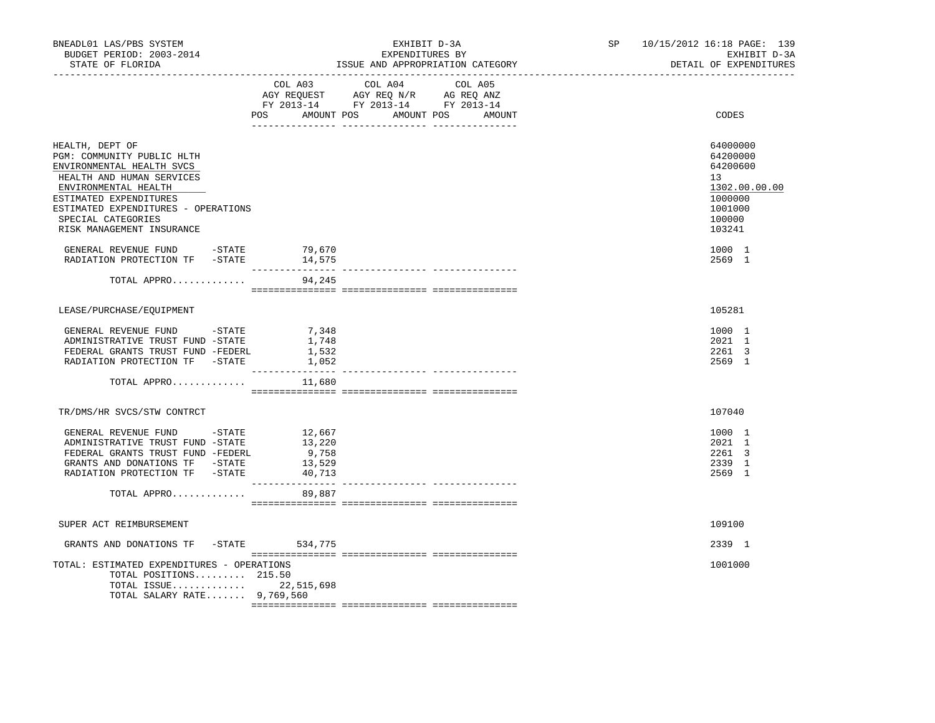| BNEADL01 LAS/PBS SYSTEM<br>BUDGET PERIOD: 2003-2014<br>STATE OF FLORIDA                                                                                                                                                                             |                                               | EXHIBIT D-3A<br>EXPENDITURES BY<br>ISSUE AND APPROPRIATION CATEGORY                                                                   | SP 10/15/2012 16:18 PAGE: 139<br>EXHIBIT D-3A<br>DETAIL OF EXPENDITURES                                        |
|-----------------------------------------------------------------------------------------------------------------------------------------------------------------------------------------------------------------------------------------------------|-----------------------------------------------|---------------------------------------------------------------------------------------------------------------------------------------|----------------------------------------------------------------------------------------------------------------|
|                                                                                                                                                                                                                                                     |                                               | COL A03 COL A04 COL A05<br>AGY REQUEST AGY REQ N/R AG REQ ANZ<br>FY 2013-14 FY 2013-14 FY 2013-14<br>POS AMOUNT POS AMOUNT POS AMOUNT | CODES                                                                                                          |
| HEALTH, DEPT OF<br>PGM: COMMUNITY PUBLIC HLTH<br>ENVIRONMENTAL HEALTH SVCS<br>HEALTH AND HUMAN SERVICES<br>ENVIRONMENTAL HEALTH<br>ESTIMATED EXPENDITURES<br>ESTIMATED EXPENDITURES - OPERATIONS<br>SPECIAL CATEGORIES<br>RISK MANAGEMENT INSURANCE |                                               |                                                                                                                                       | 64000000<br>64200000<br>64200600<br>13 <sup>7</sup><br>1302.00.00.00<br>1000000<br>1001000<br>100000<br>103241 |
| GENERAL REVENUE FUND -STATE<br>RADIATION PROTECTION TF -STATE                                                                                                                                                                                       | 79,670<br>14,575                              |                                                                                                                                       | 1000 1<br>2569 1                                                                                               |
| TOTAL APPRO                                                                                                                                                                                                                                         | 94,245                                        |                                                                                                                                       |                                                                                                                |
| LEASE/PURCHASE/EOUIPMENT                                                                                                                                                                                                                            |                                               |                                                                                                                                       | 105281                                                                                                         |
| GENERAL REVENUE FUND -STATE<br>ADMINISTRATIVE TRUST FUND -STATE<br>FEDERAL GRANTS TRUST FUND -FEDERL<br>RADIATION PROTECTION TF -STATE                                                                                                              | 7,348<br>1,748<br>1,532<br>1,052              |                                                                                                                                       | 1000 1<br>2021 1<br>2261 3<br>2569 1                                                                           |
| TOTAL APPRO                                                                                                                                                                                                                                         | 11,680                                        |                                                                                                                                       |                                                                                                                |
| TR/DMS/HR SVCS/STW CONTRCT                                                                                                                                                                                                                          |                                               |                                                                                                                                       | 107040                                                                                                         |
| GENERAL REVENUE FUND -STATE 12,667<br>ADMINISTRATIVE TRUST FUND -STATE<br>FEDERAL GRANTS TRUST FUND -FEDERL<br>GRANTS AND DONATIONS TF -STATE<br>RADIATION PROTECTION TF -STATE<br>TOTAL APPRO                                                      | 13,220<br>9,758<br>13,529<br>40,713<br>89,887 |                                                                                                                                       | 1000 1<br>2021 1<br>2261 3<br>2339 1<br>2569 1                                                                 |
| SUPER ACT REIMBURSEMENT                                                                                                                                                                                                                             |                                               |                                                                                                                                       | 109100                                                                                                         |
| GRANTS AND DONATIONS TF -STATE 534,775                                                                                                                                                                                                              |                                               |                                                                                                                                       | 2339 1                                                                                                         |
| TOTAL: ESTIMATED EXPENDITURES - OPERATIONS<br>TOTAL POSITIONS 215.50<br>TOTAL ISSUE 22,515,698<br>TOTAL SALARY RATE 9,769,560                                                                                                                       |                                               |                                                                                                                                       | 1001000                                                                                                        |
|                                                                                                                                                                                                                                                     |                                               |                                                                                                                                       |                                                                                                                |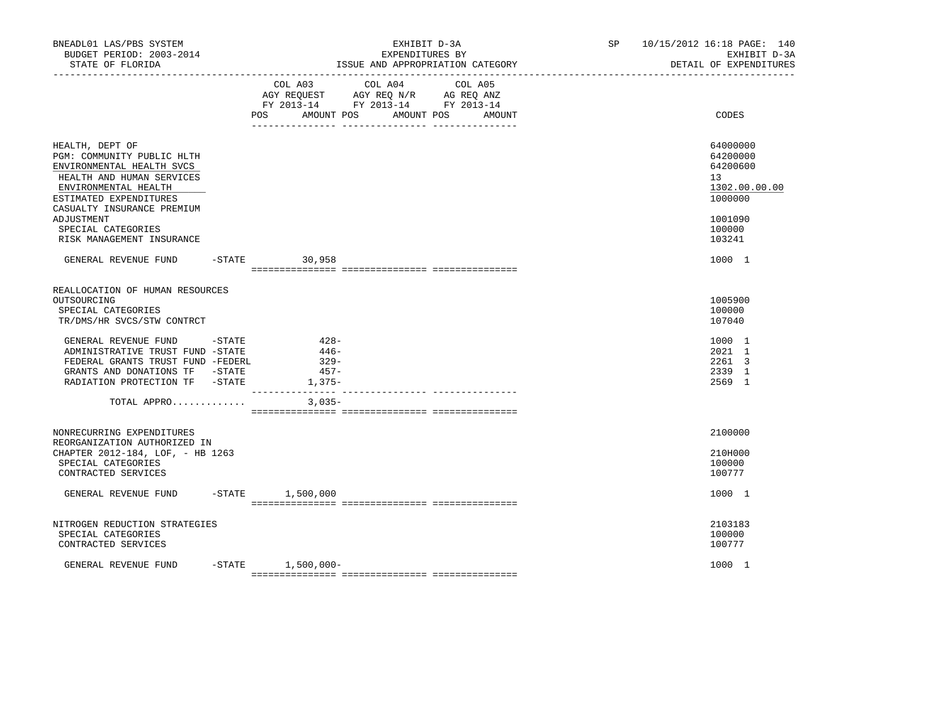| BNEADL01 LAS/PBS SYSTEM<br>BUDGET PERIOD: 2003-2014<br>STATE OF FLORIDA                                                                                                                               | EXHIBIT D-3A<br>EXPENDITURES BY<br>ISSUE AND APPROPRIATION CATEGORY |                                              |                                                                                                                 |        | SP 10/15/2012 16:18 PAGE: 140<br>EXHIBIT D-3A<br>DETAIL OF EXPENDITURES                    |
|-------------------------------------------------------------------------------------------------------------------------------------------------------------------------------------------------------|---------------------------------------------------------------------|----------------------------------------------|-----------------------------------------------------------------------------------------------------------------|--------|--------------------------------------------------------------------------------------------|
|                                                                                                                                                                                                       |                                                                     | POS<br>AMOUNT POS                            | COL A03 COL A04 COL A05<br>AGY REQUEST AGY REQ N/R AG REQ ANZ<br>FY 2013-14 FY 2013-14 FY 2013-14<br>AMOUNT POS | AMOUNT | CODES                                                                                      |
| HEALTH, DEPT OF<br>PGM: COMMUNITY PUBLIC HLTH<br>ENVIRONMENTAL HEALTH SVCS<br>HEALTH AND HUMAN SERVICES<br>ENVIRONMENTAL HEALTH<br>ESTIMATED EXPENDITURES<br>CASUALTY INSURANCE PREMIUM<br>ADJUSTMENT |                                                                     |                                              |                                                                                                                 |        | 64000000<br>64200000<br>64200600<br>13 <sup>°</sup><br>1302.00.00.00<br>1000000<br>1001090 |
| SPECIAL CATEGORIES<br>RISK MANAGEMENT INSURANCE                                                                                                                                                       |                                                                     |                                              |                                                                                                                 |        | 100000<br>103241                                                                           |
| GENERAL REVENUE FUND                                                                                                                                                                                  |                                                                     | $-STATE$ 30,958                              |                                                                                                                 |        | 1000 1                                                                                     |
| REALLOCATION OF HUMAN RESOURCES<br>OUTSOURCING<br>SPECIAL CATEGORIES<br>TR/DMS/HR SVCS/STW CONTRCT                                                                                                    |                                                                     |                                              |                                                                                                                 |        | 1005900<br>100000<br>107040                                                                |
| GENERAL REVENUE FUND -STATE<br>ADMINISTRATIVE TRUST FUND -STATE<br>FEDERAL GRANTS TRUST FUND -FEDERL<br>GRANTS AND DONATIONS TF -STATE<br>RADIATION PROTECTION TF -STATE                              |                                                                     | $428-$<br>446-<br>$329-$<br>$457-$<br>1,375- |                                                                                                                 |        | 1000 1<br>2021 1<br>2261 3<br>2339 1<br>2569 1                                             |
| TOTAL APPRO                                                                                                                                                                                           |                                                                     | $3,035-$                                     |                                                                                                                 |        |                                                                                            |
| NONRECURRING EXPENDITURES<br>REORGANIZATION AUTHORIZED IN<br>CHAPTER 2012-184, LOF, - HB 1263<br>SPECIAL CATEGORIES<br>CONTRACTED SERVICES                                                            |                                                                     |                                              |                                                                                                                 |        | 2100000<br>210H000<br>100000<br>100777                                                     |
| GENERAL REVENUE FUND                                                                                                                                                                                  |                                                                     | -STATE 1,500,000                             |                                                                                                                 |        | 1000 1                                                                                     |
| NITROGEN REDUCTION STRATEGIES<br>SPECIAL CATEGORIES<br>CONTRACTED SERVICES                                                                                                                            |                                                                     |                                              |                                                                                                                 |        | 2103183<br>100000<br>100777                                                                |
| GENERAL REVENUE FUND                                                                                                                                                                                  | $-$ STATE                                                           | $1,500,000 -$                                |                                                                                                                 |        | 1000 1                                                                                     |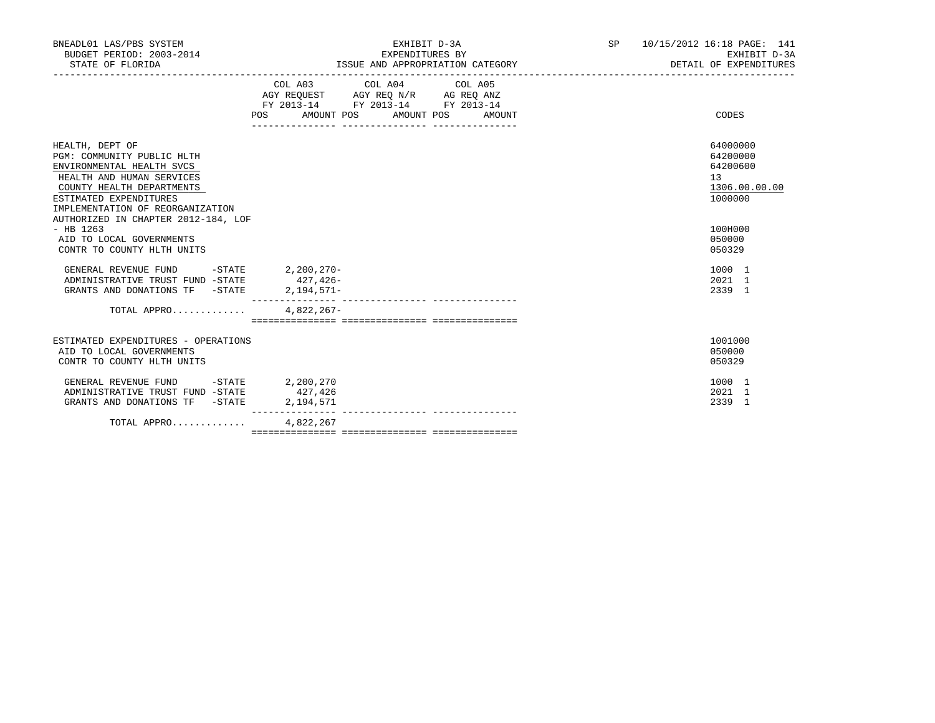| BNEADL01 LAS/PBS SYSTEM<br>BUDGET PERIOD: 2003-2014<br>STATE OF FLORIDA                                                                                                                                                                   | EXHIBIT D-3A<br>EXPENDITURES BY<br>ISSUE AND APPROPRIATION CATEGORY |                                                                                                                            |        | SP 10/15/2012 16:18 PAGE: 141<br>EXHIBIT D-3A<br>DETAIL OF EXPENDITURES |
|-------------------------------------------------------------------------------------------------------------------------------------------------------------------------------------------------------------------------------------------|---------------------------------------------------------------------|----------------------------------------------------------------------------------------------------------------------------|--------|-------------------------------------------------------------------------|
|                                                                                                                                                                                                                                           | POS                                                                 | COL A03 COL A04 COL A05<br>AGY REQUEST AGY REQ N/R AG REQ ANZ<br>FY 2013-14 FY 2013-14 FY 2013-14<br>AMOUNT POS AMOUNT POS | AMOUNT | CODES                                                                   |
| HEALTH, DEPT OF<br>PGM: COMMUNITY PUBLIC HLTH<br>ENVIRONMENTAL HEALTH SVCS<br>HEALTH AND HUMAN SERVICES<br>COUNTY HEALTH DEPARTMENTS<br>ESTIMATED EXPENDITURES<br>IMPLEMENTATION OF REORGANIZATION<br>AUTHORIZED IN CHAPTER 2012-184, LOF |                                                                     |                                                                                                                            |        | 64000000<br>64200000<br>64200600<br>13<br>1306.00.00.00<br>1000000      |
| $-$ HB 1263<br>AID TO LOCAL GOVERNMENTS<br>CONTR TO COUNTY HLTH UNITS                                                                                                                                                                     |                                                                     |                                                                                                                            |        | 100H000<br>050000<br>050329                                             |
| GENERAL REVENUE FUND<br>ADMINISTRATIVE TRUST FUND -STATE<br>GRANTS AND DONATIONS TF -STATE                                                                                                                                                | -STATE 2,200,270-<br>$427.426-$<br>$2,194,571-$                     |                                                                                                                            |        | 1000 1<br>2021 1<br>2339 1                                              |
| TOTAL APPRO                                                                                                                                                                                                                               | $4.822.267-$                                                        |                                                                                                                            |        |                                                                         |
| ESTIMATED EXPENDITURES - OPERATIONS<br>AID TO LOCAL GOVERNMENTS<br>CONTR TO COUNTY HLTH UNITS                                                                                                                                             |                                                                     |                                                                                                                            |        | 1001000<br>050000<br>050329                                             |
| $-STATE$<br>GENERAL REVENUE FUND<br>ADMINISTRATIVE TRUST FUND -STATE<br>GRANTS AND DONATIONS TF -STATE                                                                                                                                    | 2,200,270<br>427,426<br>2,194,571                                   |                                                                                                                            |        | 1000 1<br>2021 1<br>2339 1                                              |
| TOTAL APPRO                                                                                                                                                                                                                               | 4,822,267                                                           |                                                                                                                            |        |                                                                         |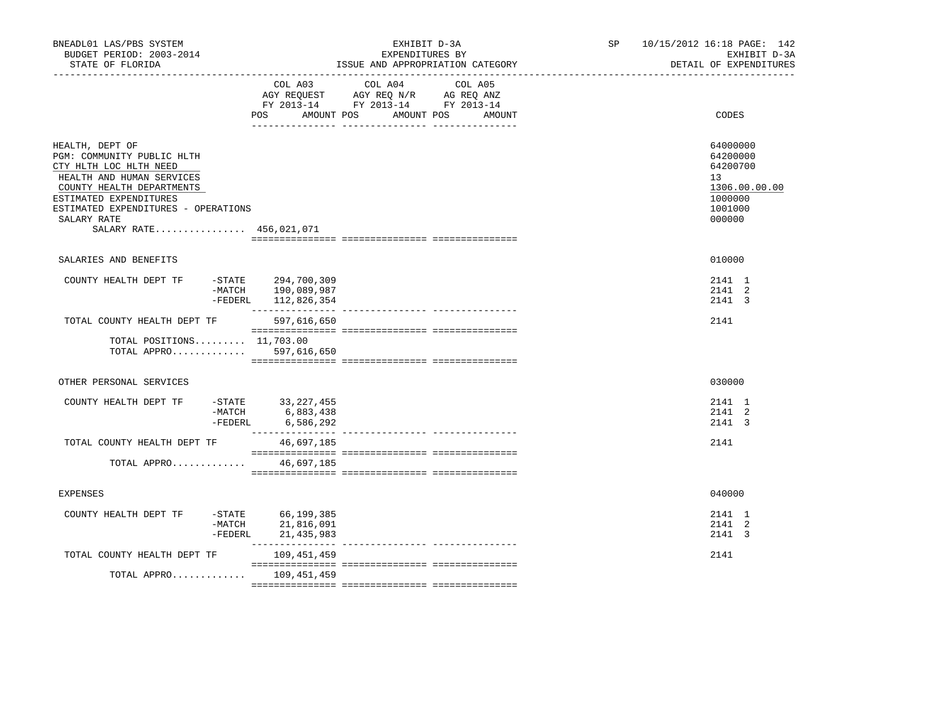| BNEADL01 LAS/PBS SYSTEM<br>BUDGET PERIOD: 2003-2014<br>STATE OF FLORIDA                                                                                                                                                                      | EXHIBIT D-3A<br>EXPENDITURES BY<br>ISSUE AND APPROPRIATION CATEGORY                                                          | SP <sub>2</sub>          | 10/15/2012 16:18 PAGE: 142<br>EXHIBIT D-3A<br>DETAIL OF EXPENDITURES                                 |
|----------------------------------------------------------------------------------------------------------------------------------------------------------------------------------------------------------------------------------------------|------------------------------------------------------------------------------------------------------------------------------|--------------------------|------------------------------------------------------------------------------------------------------|
|                                                                                                                                                                                                                                              | COL A03 COL A04<br>AGY REQUEST AGY REQ N/R AG REQ ANZ<br>FY 2013-14 FY 2013-14 FY 2013-14<br>POS<br>AMOUNT POS<br>AMOUNT POS | COL A05<br><b>AMOUNT</b> | CODES                                                                                                |
| HEALTH, DEPT OF<br>PGM: COMMUNITY PUBLIC HLTH<br>CTY HLTH LOC HLTH NEED<br>HEALTH AND HUMAN SERVICES<br>COUNTY HEALTH DEPARTMENTS<br>ESTIMATED EXPENDITURES<br>ESTIMATED EXPENDITURES - OPERATIONS<br>SALARY RATE<br>SALARY RATE 456,021,071 |                                                                                                                              |                          | 64000000<br>64200000<br>64200700<br>13 <sup>°</sup><br>1306.00.00.00<br>1000000<br>1001000<br>000000 |
| SALARIES AND BENEFITS                                                                                                                                                                                                                        |                                                                                                                              |                          | 010000                                                                                               |
| COUNTY HEALTH DEPT TF                                                                                                                                                                                                                        | -STATE 294,700,309<br>-MATCH 190,089,987<br>-FEDERL 112,826,354                                                              |                          | 2141 1<br>2141 2<br>2141 3                                                                           |
| TOTAL COUNTY HEALTH DEPT TF 597,616,650                                                                                                                                                                                                      |                                                                                                                              |                          | 2141                                                                                                 |
| TOTAL POSITIONS $11,703.00$<br>TOTAL APPRO 597,616,650                                                                                                                                                                                       |                                                                                                                              |                          |                                                                                                      |
| OTHER PERSONAL SERVICES                                                                                                                                                                                                                      |                                                                                                                              |                          | 030000                                                                                               |
| COUNTY HEALTH DEPT TF                                                                                                                                                                                                                        | -STATE 33,227,455<br>-MATCH 6,883,438<br>-FEDERL 6,586,292                                                                   |                          | 2141 1<br>2141 2<br>2141 3                                                                           |
| TOTAL COUNTY HEALTH DEPT TF                                                                                                                                                                                                                  | 46,697,185                                                                                                                   |                          | 2141                                                                                                 |
| TOTAL APPRO                                                                                                                                                                                                                                  | 46,697,185                                                                                                                   |                          |                                                                                                      |
| <b>EXPENSES</b>                                                                                                                                                                                                                              |                                                                                                                              |                          | 040000                                                                                               |
| COUNTY HEALTH DEPT TF<br>$-MATCH$<br>$-FEDERL$                                                                                                                                                                                               | -STATE 66,199,385<br>21,816,091<br>21,435,983                                                                                |                          | 2141 1<br>2141 2<br>2141 3                                                                           |
| TOTAL COUNTY HEALTH DEPT TF                                                                                                                                                                                                                  | 109,451,459                                                                                                                  |                          | 2141                                                                                                 |
| TOTAL APPRO 109,451,459                                                                                                                                                                                                                      |                                                                                                                              |                          |                                                                                                      |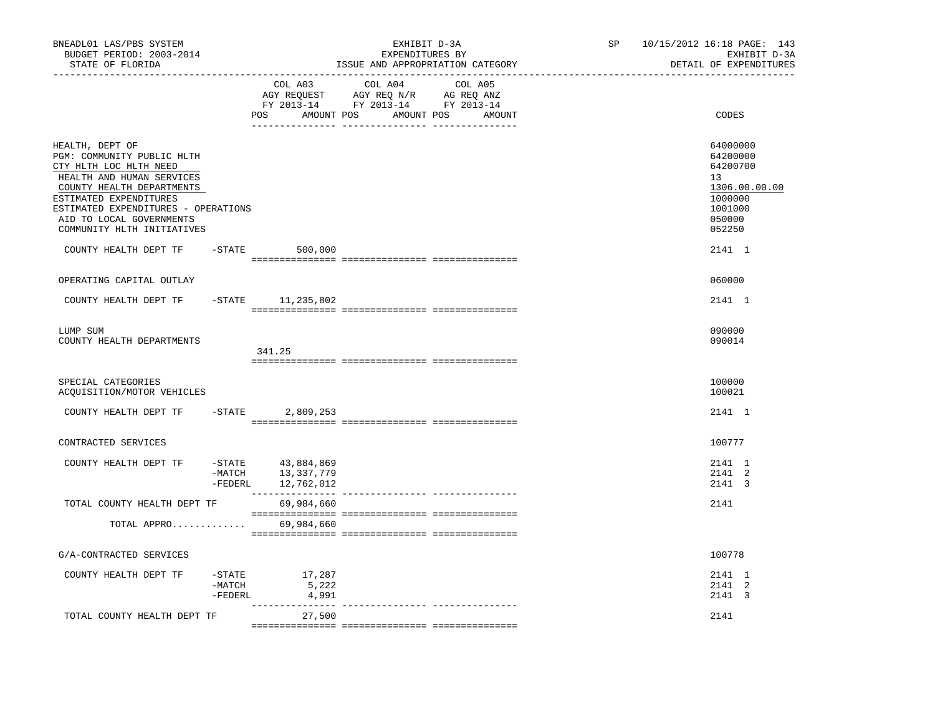| COL A03<br>COL A04<br>COL A05<br>AGY REQUEST AGY REQ N/R AG REQ ANZ<br>FY 2013-14 FY 2013-14 FY 2013-14<br>AMOUNT POS<br>POS AMOUNT POS<br>AMOUNT<br>HEALTH, DEPT OF<br>PGM: COMMUNITY PUBLIC HLTH<br>CTY HLTH LOC HLTH NEED<br>HEALTH AND HUMAN SERVICES<br>13<br>COUNTY HEALTH DEPARTMENTS<br>ESTIMATED EXPENDITURES<br>ESTIMATED EXPENDITURES - OPERATIONS<br>050000<br>AID TO LOCAL GOVERNMENTS<br>COMMUNITY HLTH INITIATIVES<br>052250<br>COUNTY HEALTH DEPT TF<br>$-STATE$ 500,000<br>OPERATING CAPITAL OUTLAY<br>060000 | 10/15/2012 16:18 PAGE: 143<br>EXHIBIT D-3A<br>DETAIL OF EXPENDITURES              |  |
|--------------------------------------------------------------------------------------------------------------------------------------------------------------------------------------------------------------------------------------------------------------------------------------------------------------------------------------------------------------------------------------------------------------------------------------------------------------------------------------------------------------------------------|-----------------------------------------------------------------------------------|--|
|                                                                                                                                                                                                                                                                                                                                                                                                                                                                                                                                | CODES                                                                             |  |
|                                                                                                                                                                                                                                                                                                                                                                                                                                                                                                                                | 64000000<br>64200000<br>64200700<br>1306.00.00.00<br>1000000<br>1001000<br>2141 1 |  |
|                                                                                                                                                                                                                                                                                                                                                                                                                                                                                                                                |                                                                                   |  |
| COUNTY HEALTH DEPT TF -STATE 11,235,802                                                                                                                                                                                                                                                                                                                                                                                                                                                                                        | 2141 1                                                                            |  |
| 090000<br>LUMP SUM<br>090014<br>COUNTY HEALTH DEPARTMENTS<br>341.25                                                                                                                                                                                                                                                                                                                                                                                                                                                            |                                                                                   |  |
| SPECIAL CATEGORIES<br>100000<br>100021<br>ACQUISITION/MOTOR VEHICLES                                                                                                                                                                                                                                                                                                                                                                                                                                                           |                                                                                   |  |
| COUNTY HEALTH DEPT TF<br>$-$ STATE<br>2,809,253                                                                                                                                                                                                                                                                                                                                                                                                                                                                                | 2141 1                                                                            |  |
| 100777<br>CONTRACTED SERVICES                                                                                                                                                                                                                                                                                                                                                                                                                                                                                                  |                                                                                   |  |
| -STATE 43,884,869<br>COUNTY HEALTH DEPT TF<br>-MATCH 13,337,779<br>-FEDERL 12,762,012                                                                                                                                                                                                                                                                                                                                                                                                                                          | 2141 1<br>2141 2<br>2141 3                                                        |  |
| TOTAL COUNTY HEALTH DEPT TF<br>2141<br>69,984,660                                                                                                                                                                                                                                                                                                                                                                                                                                                                              |                                                                                   |  |
| TOTAL APPRO 69,984,660                                                                                                                                                                                                                                                                                                                                                                                                                                                                                                         |                                                                                   |  |
| G/A-CONTRACTED SERVICES<br>100778                                                                                                                                                                                                                                                                                                                                                                                                                                                                                              |                                                                                   |  |
| -STATE<br>17,287<br>COUNTY HEALTH DEPT TF<br>5,222<br>-MATCH<br>-FEDERL<br>4,991                                                                                                                                                                                                                                                                                                                                                                                                                                               | 2141 1<br>2141 2<br>2141 3                                                        |  |
| ---------------<br>_____________________________________<br>TOTAL COUNTY HEALTH DEPT TF<br>2141<br>27,500                                                                                                                                                                                                                                                                                                                                                                                                                      |                                                                                   |  |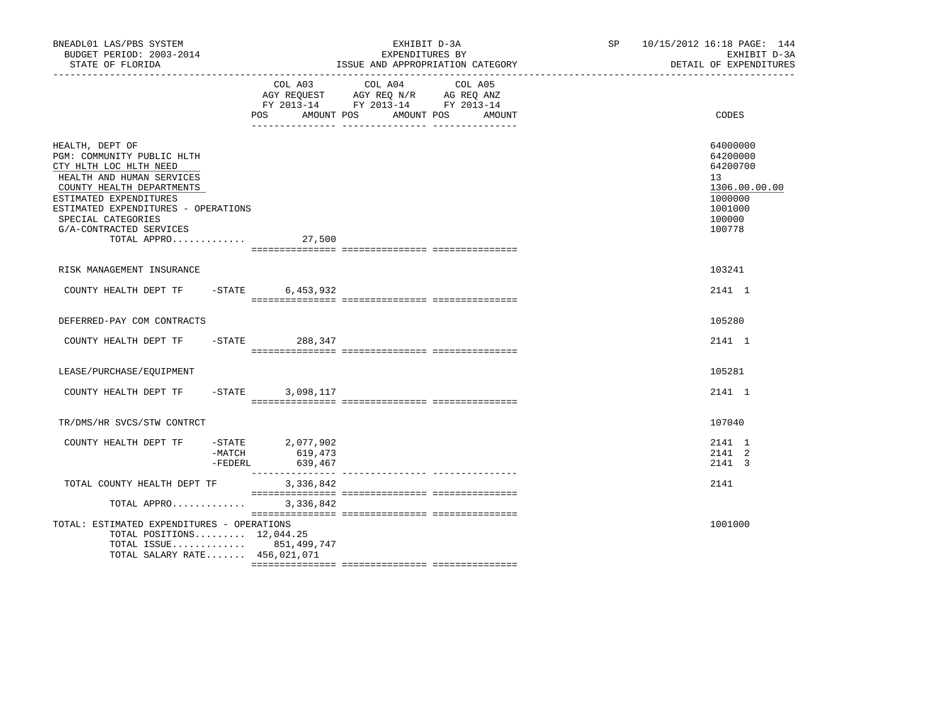| BNEADL01 LAS/PBS SYSTEM<br>BUDGET PERIOD: 2003-2014<br>STATE OF FLORIDA<br>___________________                                                                                                                                                                              |                                                            | EXHIBIT D-3A<br>EXPENDITURES BY<br>ISSUE AND APPROPRIATION CATEGORY                                                                  | SP 10/15/2012 16:18 PAGE: 144<br>EXHIBIT D-3A<br>DETAIL OF EXPENDITURES                           |
|-----------------------------------------------------------------------------------------------------------------------------------------------------------------------------------------------------------------------------------------------------------------------------|------------------------------------------------------------|--------------------------------------------------------------------------------------------------------------------------------------|---------------------------------------------------------------------------------------------------|
|                                                                                                                                                                                                                                                                             | POS                                                        | COL A03 COL A04 COL A05<br>AGY REQUEST AGY REQ N/R AG REQ ANZ<br>FY 2013-14 FY 2013-14 FY 2013-14<br>AMOUNT POS AMOUNT POS<br>AMOUNT | CODES                                                                                             |
| HEALTH, DEPT OF<br>PGM: COMMUNITY PUBLIC HLTH<br>CTY HLTH LOC HLTH NEED<br>HEALTH AND HUMAN SERVICES<br>COUNTY HEALTH DEPARTMENTS<br>ESTIMATED EXPENDITURES<br>ESTIMATED EXPENDITURES - OPERATIONS<br>SPECIAL CATEGORIES<br>G/A-CONTRACTED SERVICES<br>TOTAL APPRO $27,500$ |                                                            |                                                                                                                                      | 64000000<br>64200000<br>64200700<br>13<br>1306.00.00.00<br>1000000<br>1001000<br>100000<br>100778 |
| RISK MANAGEMENT INSURANCE                                                                                                                                                                                                                                                   |                                                            |                                                                                                                                      | 103241                                                                                            |
| COUNTY HEALTH DEPT TF - STATE                                                                                                                                                                                                                                               | 6,453,932                                                  |                                                                                                                                      | 2141 1                                                                                            |
| DEFERRED-PAY COM CONTRACTS                                                                                                                                                                                                                                                  |                                                            |                                                                                                                                      | 105280                                                                                            |
| COUNTY HEALTH DEPT TF - STATE 488,347                                                                                                                                                                                                                                       |                                                            |                                                                                                                                      | 2141 1                                                                                            |
| LEASE/PURCHASE/EQUIPMENT                                                                                                                                                                                                                                                    |                                                            |                                                                                                                                      | 105281                                                                                            |
| COUNTY HEALTH DEPT TF                                                                                                                                                                                                                                                       | $-$ STATE<br>3,098,117                                     |                                                                                                                                      | 2141 1                                                                                            |
| TR/DMS/HR SVCS/STW CONTRCT                                                                                                                                                                                                                                                  |                                                            |                                                                                                                                      | 107040                                                                                            |
| COUNTY HEALTH DEPT TF                                                                                                                                                                                                                                                       | -STATE 2,077,902<br>$-MATCH$ 619,473<br>-FEDERL<br>639,467 |                                                                                                                                      | 2141 1<br>2141 2<br>2141 3                                                                        |
| TOTAL COUNTY HEALTH DEPT TF                                                                                                                                                                                                                                                 | ________________<br>3,336,842                              | ---------------- ----------------                                                                                                    | 2141                                                                                              |
| TOTAL APPRO                                                                                                                                                                                                                                                                 | 3,336,842                                                  |                                                                                                                                      |                                                                                                   |
| TOTAL: ESTIMATED EXPENDITURES - OPERATIONS<br>TOTAL POSITIONS $12,044.25$<br>TOTAL ISSUE 851,499,747<br>TOTAL SALARY RATE 456,021,071                                                                                                                                       |                                                            |                                                                                                                                      | 1001000                                                                                           |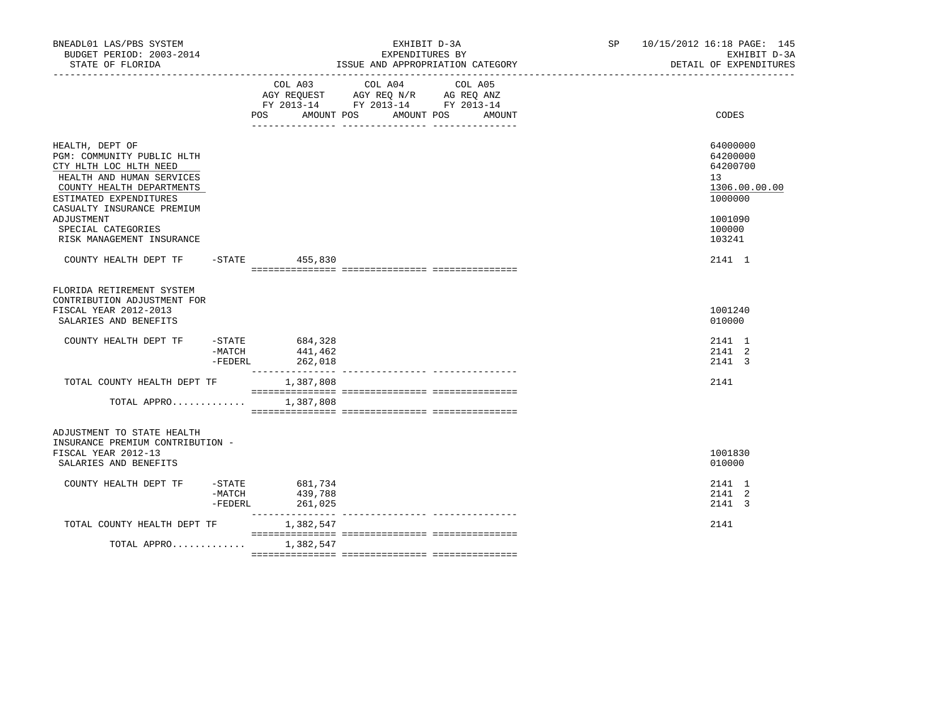| BNEADL01 LAS/PBS SYSTEM<br>BUDGET PERIOD: 2003-2014<br>STATE OF FLORIDA                                                                                                                   |                             |                                         | EXHIBIT D-3A<br>EXPENDITURES BY<br>ISSUE AND APPROPRIATION CATEGORY<br>_________________________________                     | SP 10/15/2012 16:18 PAGE: 145<br>EXHIBIT D-3A<br>DETAIL OF EXPENDITURES         |
|-------------------------------------------------------------------------------------------------------------------------------------------------------------------------------------------|-----------------------------|-----------------------------------------|------------------------------------------------------------------------------------------------------------------------------|---------------------------------------------------------------------------------|
|                                                                                                                                                                                           |                             | COL A03<br>POS                          | COL A04<br>COL A05<br>AGY REQUEST AGY REQ N/R AG REQ ANZ<br>FY 2013-14 FY 2013-14 FY 2013-14<br>AMOUNT POS AMOUNT POS AMOUNT | CODES                                                                           |
| HEALTH, DEPT OF<br>PGM: COMMUNITY PUBLIC HLTH<br>CTY HLTH LOC HLTH NEED<br>HEALTH AND HUMAN SERVICES<br>COUNTY HEALTH DEPARTMENTS<br>ESTIMATED EXPENDITURES<br>CASUALTY INSURANCE PREMIUM |                             |                                         |                                                                                                                              | 64000000<br>64200000<br>64200700<br>13 <sup>°</sup><br>1306.00.00.00<br>1000000 |
| ADJUSTMENT<br>SPECIAL CATEGORIES<br>RISK MANAGEMENT INSURANCE                                                                                                                             |                             |                                         |                                                                                                                              | 1001090<br>100000<br>103241                                                     |
| COUNTY HEALTH DEPT TF -STATE 455,830                                                                                                                                                      |                             |                                         |                                                                                                                              | 2141 1                                                                          |
| FLORIDA RETIREMENT SYSTEM<br>CONTRIBUTION ADJUSTMENT FOR<br>FISCAL YEAR 2012-2013<br>SALARIES AND BENEFITS                                                                                |                             |                                         |                                                                                                                              | 1001240<br>010000                                                               |
| COUNTY HEALTH DEPT TF                                                                                                                                                                     | $-MATCH$<br>$-{\tt FEDERL}$ | $-$ STATE 684,328<br>441,462<br>262,018 |                                                                                                                              | 2141 1<br>2141 2<br>2141 3                                                      |
| TOTAL COUNTY HEALTH DEPT TF                                                                                                                                                               |                             | 1,387,808                               |                                                                                                                              | 2141                                                                            |
| TOTAL APPRO                                                                                                                                                                               |                             | 1,387,808                               |                                                                                                                              |                                                                                 |
| ADJUSTMENT TO STATE HEALTH<br>INSURANCE PREMIUM CONTRIBUTION -<br>FISCAL YEAR 2012-13<br>SALARIES AND BENEFITS                                                                            |                             |                                         |                                                                                                                              | 1001830<br>010000                                                               |
| COUNTY HEALTH DEPT TF                                                                                                                                                                     | -MATCH<br>-FEDERL           | -STATE 681,734<br>439,788<br>261,025    |                                                                                                                              | 2141 1<br>2141 2<br>2141 3                                                      |
| TOTAL COUNTY HEALTH DEPT TF                                                                                                                                                               |                             | 1,382,547                               |                                                                                                                              | 2141                                                                            |
| TOTAL APPRO                                                                                                                                                                               |                             | 1,382,547                               |                                                                                                                              |                                                                                 |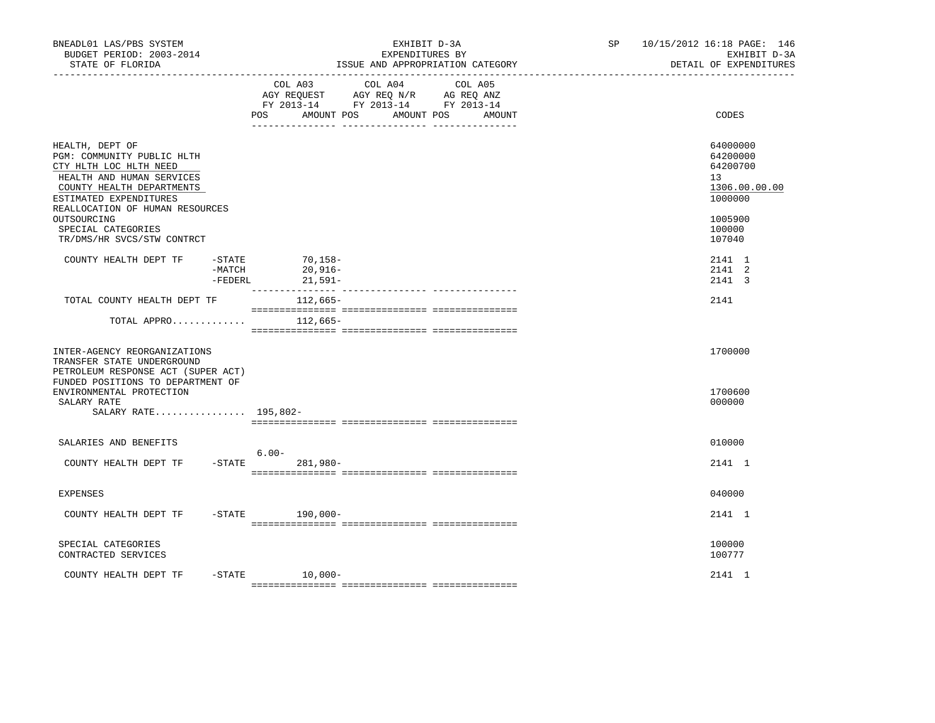| BNEADL01 LAS/PBS SYSTEM<br>BUDGET PERIOD: 2003-2014<br>STATE OF FLORIDA<br>--------------------                                                                                                                                     |                                | EXHIBIT D-3A<br>EXPENDITURES BY<br>ISSUE AND APPROPRIATION CATEGORY                                                                            | SP and the set of the set of the set of the set of the set of the set of the set of the set of the set of the set of the set of the set of the set of the set of the set of the set of the set of the set of the set of the se | 10/15/2012 16:18 PAGE: 146<br>EXHIBIT D-3A<br>DETAIL OF EXPENDITURES                    |
|-------------------------------------------------------------------------------------------------------------------------------------------------------------------------------------------------------------------------------------|--------------------------------|------------------------------------------------------------------------------------------------------------------------------------------------|--------------------------------------------------------------------------------------------------------------------------------------------------------------------------------------------------------------------------------|-----------------------------------------------------------------------------------------|
|                                                                                                                                                                                                                                     |                                | COL A03 COL A04 COL A05<br>AGY REQUEST AGY REQ N/R AG REQ ANZ<br>FY 2013-14 FY 2013-14 FY 2013-14<br>POS<br>AMOUNT POS<br>AMOUNT POS<br>AMOUNT |                                                                                                                                                                                                                                | CODES                                                                                   |
| HEALTH, DEPT OF<br>PGM: COMMUNITY PUBLIC HLTH<br>CTY HLTH LOC HLTH NEED<br>HEALTH AND HUMAN SERVICES<br>COUNTY HEALTH DEPARTMENTS<br>ESTIMATED EXPENDITURES<br>REALLOCATION OF HUMAN RESOURCES<br>OUTSOURCING<br>SPECIAL CATEGORIES |                                |                                                                                                                                                |                                                                                                                                                                                                                                | 64000000<br>64200000<br>64200700<br>13<br>1306.00.00.00<br>1000000<br>1005900<br>100000 |
| TR/DMS/HR SVCS/STW CONTRCT                                                                                                                                                                                                          |                                |                                                                                                                                                |                                                                                                                                                                                                                                | 107040                                                                                  |
| COUNTY HEALTH DEPT TF                                                                                                                                                                                                               | $-$ STATE<br>-MATCH<br>-FEDERL | 70,158-<br>20,916-<br>21,591-                                                                                                                  |                                                                                                                                                                                                                                | 2141 1<br>2141 2<br>2141 3                                                              |
| TOTAL COUNTY HEALTH DEPT TF                                                                                                                                                                                                         |                                | 112,665-                                                                                                                                       |                                                                                                                                                                                                                                | 2141                                                                                    |
| TOTAL APPRO                                                                                                                                                                                                                         |                                | 112,665–                                                                                                                                       |                                                                                                                                                                                                                                |                                                                                         |
| INTER-AGENCY REORGANIZATIONS<br>TRANSFER STATE UNDERGROUND<br>PETROLEUM RESPONSE ACT (SUPER ACT)<br>FUNDED POSITIONS TO DEPARTMENT OF                                                                                               |                                |                                                                                                                                                |                                                                                                                                                                                                                                | 1700000                                                                                 |
| ENVIRONMENTAL PROTECTION<br>SALARY RATE<br>SALARY RATE 195,802-                                                                                                                                                                     |                                |                                                                                                                                                |                                                                                                                                                                                                                                | 1700600<br>000000                                                                       |
| SALARIES AND BENEFITS                                                                                                                                                                                                               |                                |                                                                                                                                                |                                                                                                                                                                                                                                | 010000                                                                                  |
| COUNTY HEALTH DEPT TF                                                                                                                                                                                                               |                                | $6.00 -$<br>$-$ STATE 281,980 -                                                                                                                |                                                                                                                                                                                                                                | 2141 1                                                                                  |
| <b>EXPENSES</b>                                                                                                                                                                                                                     |                                |                                                                                                                                                |                                                                                                                                                                                                                                | 040000                                                                                  |
| COUNTY HEALTH DEPT TF                                                                                                                                                                                                               |                                | $-$ STATE 190,000-                                                                                                                             |                                                                                                                                                                                                                                | 2141 1                                                                                  |
| SPECIAL CATEGORIES<br>CONTRACTED SERVICES                                                                                                                                                                                           |                                |                                                                                                                                                |                                                                                                                                                                                                                                | 100000<br>100777                                                                        |
| COUNTY HEALTH DEPT TF                                                                                                                                                                                                               |                                | $-STATE$ 10,000-                                                                                                                               |                                                                                                                                                                                                                                | 2141 1                                                                                  |
|                                                                                                                                                                                                                                     |                                |                                                                                                                                                |                                                                                                                                                                                                                                |                                                                                         |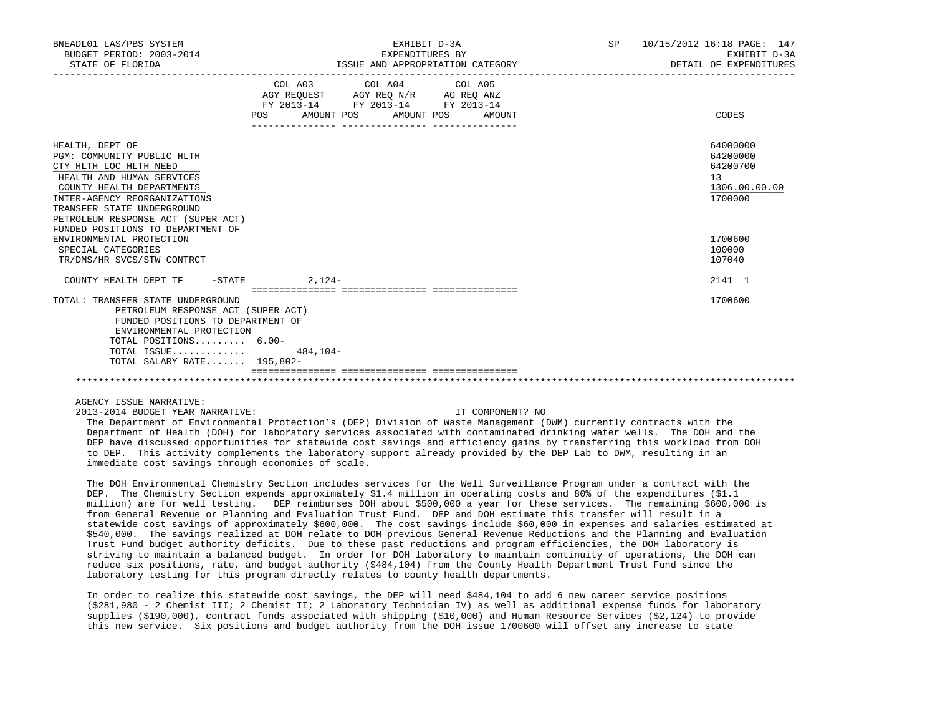| BNEADL01 LAS/PBS SYSTEM<br>BUDGET PERIOD: 2003-2014<br>STATE OF FLORIDA                                                                                                                                                                                                                                                                                    | EXHIBIT D-3A<br>EXPENDITURES BY<br>ISSUE AND APPROPRIATION CATEGORY                                                                            | SP <sub>2</sub><br>10/15/2012 16:18 PAGE: 147<br>EXHIBIT D-3A<br>DETAIL OF EXPENDITURES<br>___________________________________ |
|------------------------------------------------------------------------------------------------------------------------------------------------------------------------------------------------------------------------------------------------------------------------------------------------------------------------------------------------------------|------------------------------------------------------------------------------------------------------------------------------------------------|--------------------------------------------------------------------------------------------------------------------------------|
|                                                                                                                                                                                                                                                                                                                                                            | COL A03 COL A04 COL A05<br>AGY REQUEST AGY REQ N/R AG REQ ANZ<br>FY 2013-14 FY 2013-14 FY 2013-14<br>AMOUNT POS<br>POS<br>AMOUNT POS<br>AMOUNT | CODES                                                                                                                          |
| HEALTH, DEPT OF<br>PGM: COMMUNITY PUBLIC HLTH<br>CTY HLTH LOC HLTH NEED<br>HEALTH AND HUMAN SERVICES<br>COUNTY HEALTH DEPARTMENTS<br>INTER-AGENCY REORGANIZATIONS<br>TRANSFER STATE UNDERGROUND<br>PETROLEUM RESPONSE ACT (SUPER ACT)<br>FUNDED POSITIONS TO DEPARTMENT OF<br>ENVIRONMENTAL PROTECTION<br>SPECIAL CATEGORIES<br>TR/DMS/HR SVCS/STW CONTRCT |                                                                                                                                                | 64000000<br>64200000<br>64200700<br>13<br>1306.00.00.00<br>1700000<br>1700600<br>100000<br>107040                              |
| COUNTY HEALTH DEPT TF - STATE 4.124-                                                                                                                                                                                                                                                                                                                       |                                                                                                                                                | 2141 1                                                                                                                         |
| TOTAL: TRANSFER STATE UNDERGROUND<br>PETROLEUM RESPONSE ACT (SUPER ACT)<br>FUNDED POSITIONS TO DEPARTMENT OF<br>ENVIRONMENTAL PROTECTION<br>TOTAL POSITIONS $6.00 -$<br>TOTAL ISSUE $484,104-$<br>TOTAL SALARY RATE 195,802-                                                                                                                               | ___________________________________                                                                                                            | 1700600                                                                                                                        |
|                                                                                                                                                                                                                                                                                                                                                            |                                                                                                                                                |                                                                                                                                |

2013-2014 BUDGET YEAR NARRATIVE: IT COMPONENT? NO

 The Department of Environmental Protection's (DEP) Division of Waste Management (DWM) currently contracts with the Department of Health (DOH) for laboratory services associated with contaminated drinking water wells. The DOH and the DEP have discussed opportunities for statewide cost savings and efficiency gains by transferring this workload from DOH to DEP. This activity complements the laboratory support already provided by the DEP Lab to DWM, resulting in an immediate cost savings through economies of scale.

 The DOH Environmental Chemistry Section includes services for the Well Surveillance Program under a contract with the DEP. The Chemistry Section expends approximately \$1.4 million in operating costs and 80% of the expenditures (\$1.1 million) are for well testing. DEP reimburses DOH about \$500,000 a year for these services. The remaining \$600,000 is from General Revenue or Planning and Evaluation Trust Fund. DEP and DOH estimate this transfer will result in a statewide cost savings of approximately \$600,000. The cost savings include \$60,000 in expenses and salaries estimated at \$540,000. The savings realized at DOH relate to DOH previous General Revenue Reductions and the Planning and Evaluation Trust Fund budget authority deficits. Due to these past reductions and program efficiencies, the DOH laboratory is striving to maintain a balanced budget. In order for DOH laboratory to maintain continuity of operations, the DOH can reduce six positions, rate, and budget authority (\$484,104) from the County Health Department Trust Fund since the laboratory testing for this program directly relates to county health departments.

 In order to realize this statewide cost savings, the DEP will need \$484,104 to add 6 new career service positions (\$281,980 - 2 Chemist III; 2 Chemist II; 2 Laboratory Technician IV) as well as additional expense funds for laboratory supplies (\$190,000), contract funds associated with shipping (\$10,000) and Human Resource Services (\$2,124) to provide this new service. Six positions and budget authority from the DOH issue 1700600 will offset any increase to state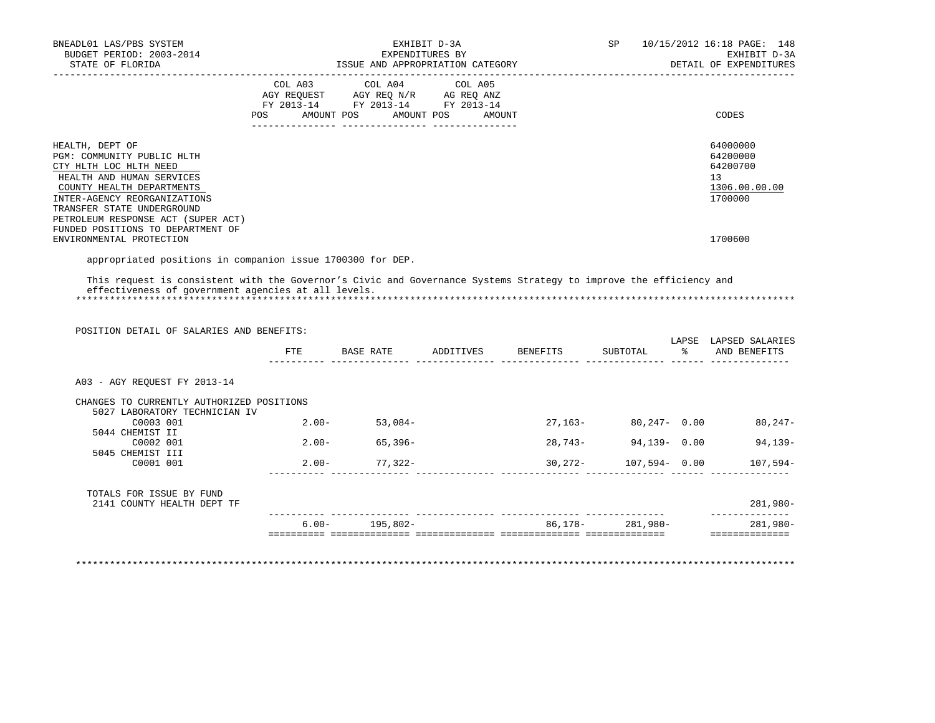| BNEADL01 LAS/PBS SYSTEM<br>BUDGET PERIOD: 2003-2014<br>STATE OF FLORIDA                                                                                                                                                                                                    | EXHIBIT D-3A<br>EXPENDITURES BY<br>ISSUE AND APPROPRIATION CATEGORY |                                                                                                                                   |  |  | 10/15/2012 16:18 PAGE: 148<br>EXHIBIT D-3A<br>DETAIL OF EXPENDITURES |
|----------------------------------------------------------------------------------------------------------------------------------------------------------------------------------------------------------------------------------------------------------------------------|---------------------------------------------------------------------|-----------------------------------------------------------------------------------------------------------------------------------|--|--|----------------------------------------------------------------------|
|                                                                                                                                                                                                                                                                            | POS                                                                 | COL A03 COL A04 COL A05<br>AGY REQUEST AGY REQ N/R AG REQ ANZ<br>FY 2013-14 FY 2013-14 FY 2013-14<br>AMOUNT POS AMOUNT POS AMOUNT |  |  | CODES                                                                |
| HEALTH, DEPT OF<br>PGM: COMMUNITY PUBLIC HLTH<br>CTY HLTH LOC HLTH NEED<br>HEALTH AND HUMAN SERVICES<br>COUNTY HEALTH DEPARTMENTS<br>INTER-AGENCY REORGANIZATIONS<br>TRANSFER STATE UNDERGROUND<br>PETROLEUM RESPONSE ACT (SUPER ACT)<br>FUNDED POSITIONS TO DEPARTMENT OF |                                                                     |                                                                                                                                   |  |  | 64000000<br>64200000<br>64200700<br>13<br>1306.00.00.00<br>1700000   |
| ENVIRONMENTAL PROTECTION                                                                                                                                                                                                                                                   |                                                                     |                                                                                                                                   |  |  | 1700600                                                              |

appropriated positions in companion issue 1700300 for DEP.

 This request is consistent with the Governor's Civic and Governance Systems Strategy to improve the efficiency and effectiveness of government agencies at all levels. \*\*\*\*\*\*\*\*\*\*\*\*\*\*\*\*\*\*\*\*\*\*\*\*\*\*\*\*\*\*\*\*\*\*\*\*\*\*\*\*\*\*\*\*\*\*\*\*\*\*\*\*\*\*\*\*\*\*\*\*\*\*\*\*\*\*\*\*\*\*\*\*\*\*\*\*\*\*\*\*\*\*\*\*\*\*\*\*\*\*\*\*\*\*\*\*\*\*\*\*\*\*\*\*\*\*\*\*\*\*\*\*\*\*\*\*\*\*\*\*\*\*\*\*\*\*\*

 POSITION DETAIL OF SALARIES AND BENEFITS: LAPSE LAPSED SALARIES FTE BASE RATE ADDITIVES BENEFITS SUBTOTAL % AND BENEFITS ---------- -------------- -------------- -------------- -------------- ------ -------------- A03 - AGY REQUEST FY 2013-14 CHANGES TO CURRENTLY AUTHORIZED POSITIONS 5027 LABORATORY TECHNICIAN IV

| 2141 COUNTY HEALTH DEPT TF |                                                                               |            |            |                  | $281,980-$ |
|----------------------------|-------------------------------------------------------------------------------|------------|------------|------------------|------------|
|                            |                                                                               |            |            |                  |            |
| C0001 001                  | $2.00 -$                                                                      | $77.322 -$ | $30.272 -$ | $107.594 - 0.00$ | $107,594-$ |
| C0002 001                  | $2.00 -$                                                                      | $65.396 -$ | 28,743-    | $94.139 - 0.00$  | 94,139-    |
| 5044 CHEMIST II            |                                                                               |            |            |                  |            |
| C0003 001                  | $2.00 -$                                                                      | $53.084-$  | $27.163-$  | $80,247 - 0.00$  | $80,247-$  |
|                            | JUZ / IABURAIURI IEUNIUIAN IV<br>5045 CHEMIST III<br>TOTALS FOR ISSUE BY FUND |            |            |                  |            |

\*\*\*\*\*\*\*\*\*\*\*\*\*\*\*\*\*\*\*\*\*\*\*\*\*\*\*\*\*\*\*\*\*\*\*\*\*\*\*\*\*\*\*\*\*\*\*\*\*\*\*\*\*\*\*\*\*\*\*\*\*\*\*\*\*\*\*\*\*\*\*\*\*\*\*\*\*\*\*\*\*\*\*\*\*\*\*\*\*\*\*\*\*\*\*\*\*\*\*\*\*\*\*\*\*\*\*\*\*\*\*\*\*\*\*\*\*\*\*\*\*\*\*\*\*\*\*

========== ============== ============== ============== ============== ==============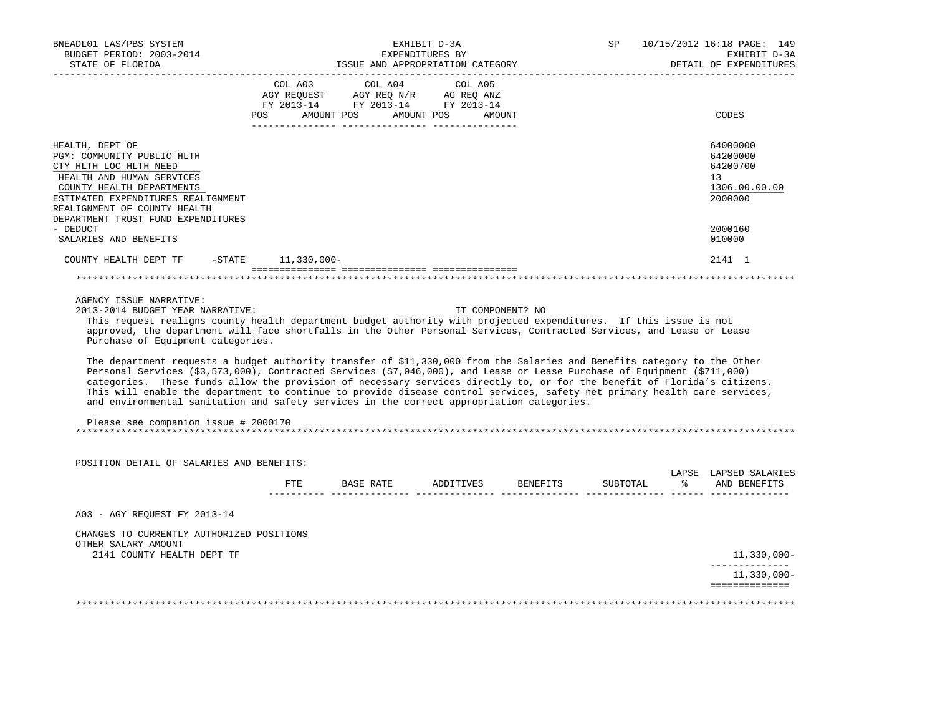| BNEADL01 LAS/PBS SYSTEM<br>BUDGET PERIOD: 2003-2014<br>STATE OF FLORIDA                                                                                                                                                                                                                                                                                                                                                                                                                                                                                                                                                                                                                                                                                                                                                                                                                                                                                                                              | EXHIBIT D-3A<br>EXPENDITURES BY<br>ISSUE AND APPROPRIATION CATEGORY                                                                                                                                                                        |           |                       |                   |          | SP       |              | 10/15/2012 16:18 PAGE: 149<br>EXHIBIT D-3A<br>DETAIL OF EXPENDITURES |
|------------------------------------------------------------------------------------------------------------------------------------------------------------------------------------------------------------------------------------------------------------------------------------------------------------------------------------------------------------------------------------------------------------------------------------------------------------------------------------------------------------------------------------------------------------------------------------------------------------------------------------------------------------------------------------------------------------------------------------------------------------------------------------------------------------------------------------------------------------------------------------------------------------------------------------------------------------------------------------------------------|--------------------------------------------------------------------------------------------------------------------------------------------------------------------------------------------------------------------------------------------|-----------|-----------------------|-------------------|----------|----------|--------------|----------------------------------------------------------------------|
|                                                                                                                                                                                                                                                                                                                                                                                                                                                                                                                                                                                                                                                                                                                                                                                                                                                                                                                                                                                                      | COL A03<br>$\begin{array}{ccccccccc}\n\text{AGY} & \text{REQUEST} & \text{AGY} & \text{REQ} & \text{N/R} & \text{AG} & \text{REQ} & \text{ANZ} \\ \text{RY} & 2013-14 & \text{FY} & 2013-14 & \text{FY} & 2013-14\n\end{array}$<br>POS FOR | COL A04   | AMOUNT POS AMOUNT POS | COL A05<br>AMOUNT |          |          |              | CODES                                                                |
| HEALTH, DEPT OF<br>PGM: COMMUNITY PUBLIC HLTH<br>CTY HLTH LOC HLTH NEED<br>HEALTH AND HUMAN SERVICES<br>COUNTY HEALTH DEPARTMENTS<br>ESTIMATED EXPENDITURES REALIGNMENT<br>REALIGNMENT OF COUNTY HEALTH<br>DEPARTMENT TRUST FUND EXPENDITURES                                                                                                                                                                                                                                                                                                                                                                                                                                                                                                                                                                                                                                                                                                                                                        |                                                                                                                                                                                                                                            |           |                       |                   |          |          |              | 64000000<br>64200000<br>64200700<br>13<br>1306.00.00.00<br>2000000   |
| - DEDUCT<br>SALARIES AND BENEFITS                                                                                                                                                                                                                                                                                                                                                                                                                                                                                                                                                                                                                                                                                                                                                                                                                                                                                                                                                                    |                                                                                                                                                                                                                                            |           |                       |                   |          |          |              | 2000160<br>010000                                                    |
| COUNTY HEALTH DEPT TF<br>$-$ STATE                                                                                                                                                                                                                                                                                                                                                                                                                                                                                                                                                                                                                                                                                                                                                                                                                                                                                                                                                                   | 11,330,000-                                                                                                                                                                                                                                |           |                       |                   |          |          |              | 2141 1                                                               |
|                                                                                                                                                                                                                                                                                                                                                                                                                                                                                                                                                                                                                                                                                                                                                                                                                                                                                                                                                                                                      |                                                                                                                                                                                                                                            |           |                       |                   |          |          |              |                                                                      |
| AGENCY ISSUE NARRATIVE:<br>2013-2014 BUDGET YEAR NARRATIVE:<br>This request realigns county health department budget authority with projected expenditures. If this issue is not<br>approved, the department will face shortfalls in the Other Personal Services, Contracted Services, and Lease or Lease<br>Purchase of Equipment categories.<br>The department requests a budget authority transfer of \$11,330,000 from the Salaries and Benefits category to the Other<br>Personal Services (\$3,573,000), Contracted Services (\$7,046,000), and Lease or Lease Purchase of Equipment (\$711,000)<br>categories. These funds allow the provision of necessary services directly to, or for the benefit of Florida's citizens.<br>This will enable the department to continue to provide disease control services, safety net primary health care services,<br>and environmental sanitation and safety services in the correct appropriation categories.<br>Please see companion issue # 2000170 |                                                                                                                                                                                                                                            |           |                       | IT COMPONENT? NO  |          |          |              |                                                                      |
| POSITION DETAIL OF SALARIES AND BENEFITS:                                                                                                                                                                                                                                                                                                                                                                                                                                                                                                                                                                                                                                                                                                                                                                                                                                                                                                                                                            |                                                                                                                                                                                                                                            |           |                       |                   |          |          |              |                                                                      |
|                                                                                                                                                                                                                                                                                                                                                                                                                                                                                                                                                                                                                                                                                                                                                                                                                                                                                                                                                                                                      | ETE                                                                                                                                                                                                                                        | BASE RATE |                       | ADDITIVES         | BENEFITS | SUBTOTAL | $\mathbb{R}$ | LAPSE LAPSED SALARIES<br>AND BENEFITS                                |
| A03 - AGY REQUEST FY 2013-14                                                                                                                                                                                                                                                                                                                                                                                                                                                                                                                                                                                                                                                                                                                                                                                                                                                                                                                                                                         |                                                                                                                                                                                                                                            |           |                       |                   |          |          |              |                                                                      |
| CHANGES TO CURRENTLY AUTHORIZED POSITIONS<br>OTHER SALARY AMOUNT                                                                                                                                                                                                                                                                                                                                                                                                                                                                                                                                                                                                                                                                                                                                                                                                                                                                                                                                     |                                                                                                                                                                                                                                            |           |                       |                   |          |          |              |                                                                      |
| 2141 COUNTY HEALTH DEPT TF                                                                                                                                                                                                                                                                                                                                                                                                                                                                                                                                                                                                                                                                                                                                                                                                                                                                                                                                                                           |                                                                                                                                                                                                                                            |           |                       |                   |          |          |              | 11,330,000-<br>______________                                        |
|                                                                                                                                                                                                                                                                                                                                                                                                                                                                                                                                                                                                                                                                                                                                                                                                                                                                                                                                                                                                      |                                                                                                                                                                                                                                            |           |                       |                   |          |          |              | $11,330,000 -$<br>==============                                     |
|                                                                                                                                                                                                                                                                                                                                                                                                                                                                                                                                                                                                                                                                                                                                                                                                                                                                                                                                                                                                      |                                                                                                                                                                                                                                            |           |                       |                   |          |          |              |                                                                      |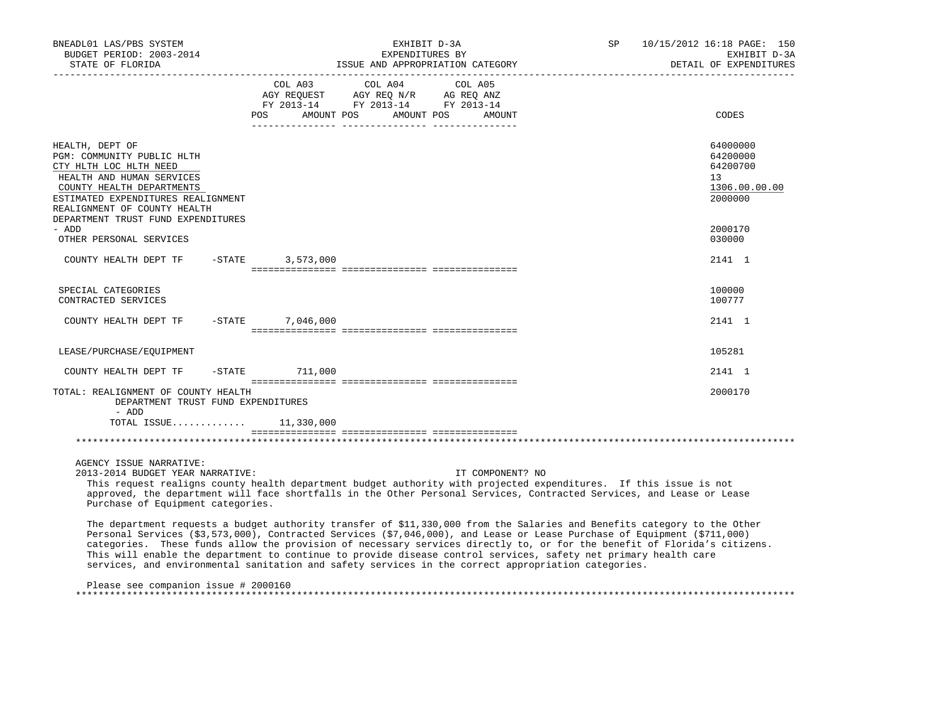| BNEADL01 LAS/PBS SYSTEM<br>BUDGET PERIOD: 2003-2014<br>STATE OF FLORIDA                                                                                                                                                                                                                                                                        | EXHIBIT D-3A<br>EXPENDITURES BY<br>ISSUE AND APPROPRIATION CATEGORY                                             |            |         |                  | SP | 10/15/2012 16:18 PAGE: 150<br>EXHIBIT D-3A<br>DETAIL OF EXPENDITURES |
|------------------------------------------------------------------------------------------------------------------------------------------------------------------------------------------------------------------------------------------------------------------------------------------------------------------------------------------------|-----------------------------------------------------------------------------------------------------------------|------------|---------|------------------|----|----------------------------------------------------------------------|
|                                                                                                                                                                                                                                                                                                                                                | COL A03 COL A04<br>AGY REQUEST AGY REQ N/R AG REQ ANZ<br>FY 2013-14 FY 2013-14 FY 2013-14<br>AMOUNT POS<br>POS. | AMOUNT POS | COL A05 | AMOUNT           |    | CODES                                                                |
| HEALTH, DEPT OF<br>PGM: COMMUNITY PUBLIC HLTH<br>CTY HLTH LOC HLTH NEED<br>HEALTH AND HUMAN SERVICES<br>COUNTY HEALTH DEPARTMENTS<br>ESTIMATED EXPENDITURES REALIGNMENT<br>REALIGNMENT OF COUNTY HEALTH<br>DEPARTMENT TRUST FUND EXPENDITURES                                                                                                  |                                                                                                                 |            |         |                  |    | 64000000<br>64200000<br>64200700<br>13<br>1306.00.00.00<br>2000000   |
| - ADD<br>OTHER PERSONAL SERVICES                                                                                                                                                                                                                                                                                                               |                                                                                                                 |            |         |                  |    | 2000170<br>030000                                                    |
| COUNTY HEALTH DEPT TF                                                                                                                                                                                                                                                                                                                          | -STATE 3,573,000                                                                                                |            |         |                  |    | 2141 1                                                               |
| SPECIAL CATEGORIES<br>CONTRACTED SERVICES                                                                                                                                                                                                                                                                                                      |                                                                                                                 |            |         |                  |    | 100000<br>100777                                                     |
| COUNTY HEALTH DEPT TF -STATE 7,046,000                                                                                                                                                                                                                                                                                                         |                                                                                                                 |            |         |                  |    | 2141 1                                                               |
| LEASE/PURCHASE/EOUIPMENT                                                                                                                                                                                                                                                                                                                       |                                                                                                                 |            |         |                  |    | 105281                                                               |
| COUNTY HEALTH DEPT TF                                                                                                                                                                                                                                                                                                                          | -STATE 711,000                                                                                                  |            |         |                  |    | 2141 1                                                               |
| TOTAL: REALIGNMENT OF COUNTY HEALTH<br>DEPARTMENT TRUST FUND EXPENDITURES<br>- ADD<br>TOTAL ISSUE 11,330,000                                                                                                                                                                                                                                   |                                                                                                                 |            |         |                  |    | 2000170                                                              |
|                                                                                                                                                                                                                                                                                                                                                |                                                                                                                 |            |         |                  |    |                                                                      |
| AGENCY ISSUE NARRATIVE:<br>2013-2014 BUDGET YEAR NARRATIVE:<br>This request realigns county health department budget authority with projected expenditures. If this issue is not<br>approved, the department will face shortfalls in the Other Personal Services, Contracted Services, and Lease or Lease<br>Purchase of Equipment categories. |                                                                                                                 |            |         | IT COMPONENT? NO |    |                                                                      |

 The department requests a budget authority transfer of \$11,330,000 from the Salaries and Benefits category to the Other Personal Services (\$3,573,000), Contracted Services (\$7,046,000), and Lease or Lease Purchase of Equipment (\$711,000) categories. These funds allow the provision of necessary services directly to, or for the benefit of Florida's citizens. This will enable the department to continue to provide disease control services, safety net primary health care services, and environmental sanitation and safety services in the correct appropriation categories.

 Please see companion issue # 2000160 \*\*\*\*\*\*\*\*\*\*\*\*\*\*\*\*\*\*\*\*\*\*\*\*\*\*\*\*\*\*\*\*\*\*\*\*\*\*\*\*\*\*\*\*\*\*\*\*\*\*\*\*\*\*\*\*\*\*\*\*\*\*\*\*\*\*\*\*\*\*\*\*\*\*\*\*\*\*\*\*\*\*\*\*\*\*\*\*\*\*\*\*\*\*\*\*\*\*\*\*\*\*\*\*\*\*\*\*\*\*\*\*\*\*\*\*\*\*\*\*\*\*\*\*\*\*\*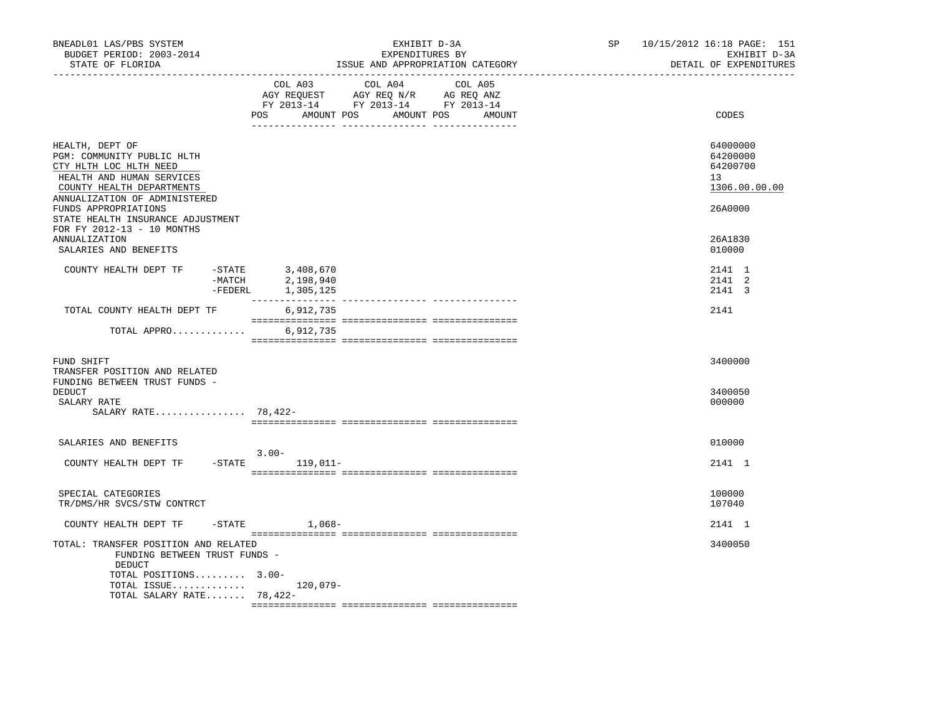| BNEADL01 LAS/PBS SYSTEM<br>BUDGET PERIOD: 2003-2014<br>STATE OF FLORIDA                                                                                            | EXHIBIT D-3A<br>EXPENDITURES BY<br>ISSUE AND APPROPRIATION CATEGORY                                                                      | SP and the set of the set of the set of the set of the set of the set of the set of the set of the set of the set of the set of the set of the set of the set of the set of the set of the set of the set of the set of the se | 10/15/2012 16:18 PAGE: 151<br>EXHIBIT D-3A<br>DETAIL OF EXPENDITURES |
|--------------------------------------------------------------------------------------------------------------------------------------------------------------------|------------------------------------------------------------------------------------------------------------------------------------------|--------------------------------------------------------------------------------------------------------------------------------------------------------------------------------------------------------------------------------|----------------------------------------------------------------------|
|                                                                                                                                                                    | COL A03 COL A04 COL A05<br>AGY REQUEST AGY REQ N/R AG REQ ANZ<br>FY 2013-14 FY 2013-14 FY 2013-14<br>POS<br>AMOUNT POS AMOUNT POS AMOUNT |                                                                                                                                                                                                                                | CODES                                                                |
| HEALTH, DEPT OF<br>PGM: COMMUNITY PUBLIC HLTH<br>CTY HLTH LOC HLTH NEED<br>HEALTH AND HUMAN SERVICES<br>COUNTY HEALTH DEPARTMENTS<br>ANNUALIZATION OF ADMINISTERED |                                                                                                                                          |                                                                                                                                                                                                                                | 64000000<br>64200000<br>64200700<br>13<br>1306.00.00.00              |
| FUNDS APPROPRIATIONS<br>STATE HEALTH INSURANCE ADJUSTMENT<br>FOR FY 2012-13 - 10 MONTHS<br><b>ANNUALIZATION</b><br>SALARIES AND BENEFITS                           |                                                                                                                                          |                                                                                                                                                                                                                                | 26A0000<br>26A1830<br>010000                                         |
| COUNTY HEALTH DEPT TF                                                                                                                                              | -STATE 3,408,670<br>-MATCH 2,198,940<br>-FEDERL<br>1,305,125                                                                             |                                                                                                                                                                                                                                | 2141 1<br>2141 2<br>2141 3                                           |
| TOTAL COUNTY HEALTH DEPT TF                                                                                                                                        | 6,912,735                                                                                                                                |                                                                                                                                                                                                                                | 2141                                                                 |
| TOTAL APPRO                                                                                                                                                        | 6,912,735                                                                                                                                |                                                                                                                                                                                                                                |                                                                      |
| FUND SHIFT<br>TRANSFER POSITION AND RELATED<br>FUNDING BETWEEN TRUST FUNDS -                                                                                       |                                                                                                                                          |                                                                                                                                                                                                                                | 3400000                                                              |
| DEDUCT<br>SALARY RATE<br>SALARY RATE 78,422-                                                                                                                       |                                                                                                                                          |                                                                                                                                                                                                                                | 3400050<br>000000                                                    |
|                                                                                                                                                                    |                                                                                                                                          |                                                                                                                                                                                                                                |                                                                      |
| SALARIES AND BENEFITS<br>COUNTY HEALTH DEPT TF                                                                                                                     | $3.00 -$<br>-STATE 119,011-                                                                                                              |                                                                                                                                                                                                                                | 010000<br>2141 1                                                     |
|                                                                                                                                                                    |                                                                                                                                          |                                                                                                                                                                                                                                |                                                                      |
| SPECIAL CATEGORIES<br>TR/DMS/HR SVCS/STW CONTRCT                                                                                                                   |                                                                                                                                          |                                                                                                                                                                                                                                | 100000<br>107040                                                     |
| COUNTY HEALTH DEPT TF                                                                                                                                              | $-$ STATE $1,068-$                                                                                                                       |                                                                                                                                                                                                                                | 2141 1                                                               |
| TOTAL: TRANSFER POSITION AND RELATED<br>FUNDING BETWEEN TRUST FUNDS -<br>DEDUCT                                                                                    |                                                                                                                                          |                                                                                                                                                                                                                                | 3400050                                                              |
| TOTAL POSITIONS 3.00-<br>TOTAL ISSUE 120,079-<br>TOTAL SALARY RATE 78,422-                                                                                         |                                                                                                                                          |                                                                                                                                                                                                                                |                                                                      |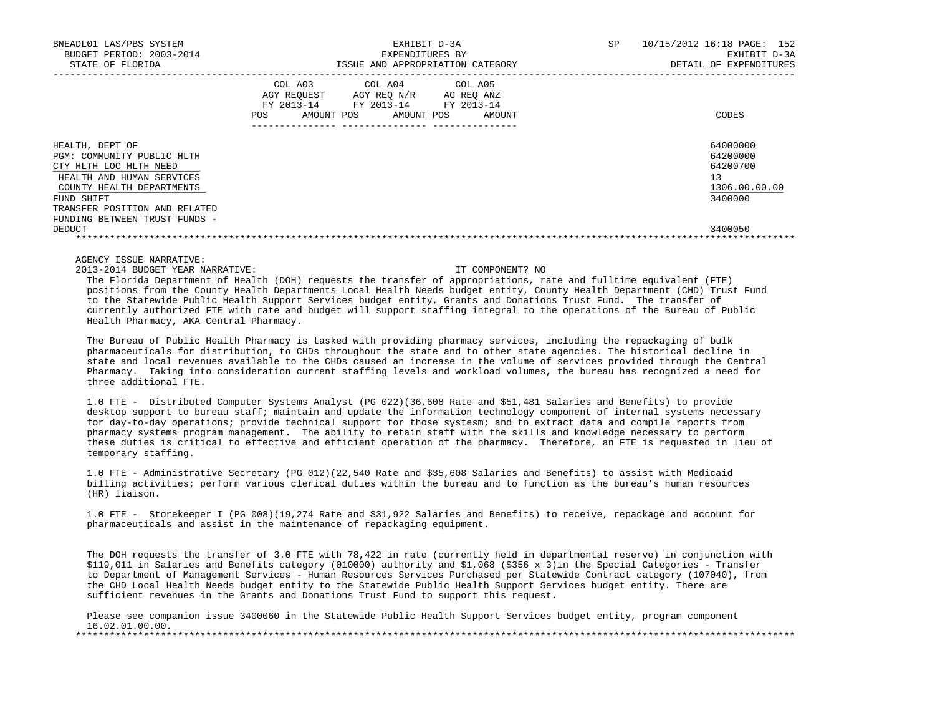| BNEADL01 LAS/PBS SYSTEM<br>BUDGET PERIOD: 2003-2014<br>STATE OF FLORIDA                                                                                                                                           | EXHIBIT D-3A<br>EXPENDITURES BY<br>ISSUE AND APPROPRIATION CATEGORY                                                                               | 10/15/2012 16:18 PAGE: 152<br><b>SP</b><br>EXHIBIT D-3A<br>DETAIL OF EXPENDITURES |
|-------------------------------------------------------------------------------------------------------------------------------------------------------------------------------------------------------------------|---------------------------------------------------------------------------------------------------------------------------------------------------|-----------------------------------------------------------------------------------|
|                                                                                                                                                                                                                   | COL A03 COL A04 COL A05<br>AGY REQUEST<br>AGY REQ N/R<br>AG REO ANZ<br>FY 2013-14 FY 2013-14 FY 2013-14<br>AMOUNT POS AMOUNT POS<br>POS<br>AMOUNT | CODES                                                                             |
| HEALTH, DEPT OF<br>PGM: COMMUNITY PUBLIC HLTH<br>CTY HLTH LOC HLTH NEED<br>HEALTH AND HUMAN SERVICES<br>COUNTY HEALTH DEPARTMENTS<br>FUND SHIFT<br>TRANSFER POSITION AND RELATED<br>FUNDING BETWEEN TRUST FUNDS - |                                                                                                                                                   | 64000000<br>64200000<br>64200700<br>13<br>1306.00.00.00<br>3400000                |
| DEDUCT                                                                                                                                                                                                            |                                                                                                                                                   | 3400050                                                                           |

2013-2014 BUDGET YEAR NARRATIVE: IT COMPONENT? NO

 The Florida Department of Health (DOH) requests the transfer of appropriations, rate and fulltime equivalent (FTE) positions from the County Health Departments Local Health Needs budget entity, County Health Department (CHD) Trust Fund to the Statewide Public Health Support Services budget entity, Grants and Donations Trust Fund. The transfer of currently authorized FTE with rate and budget will support staffing integral to the operations of the Bureau of Public Health Pharmacy, AKA Central Pharmacy.

 The Bureau of Public Health Pharmacy is tasked with providing pharmacy services, including the repackaging of bulk pharmaceuticals for distribution, to CHDs throughout the state and to other state agencies. The historical decline in state and local revenues available to the CHDs caused an increase in the volume of services provided through the Central Pharmacy. Taking into consideration current staffing levels and workload volumes, the bureau has recognized a need for three additional FTE.

 1.0 FTE - Distributed Computer Systems Analyst (PG 022)(36,608 Rate and \$51,481 Salaries and Benefits) to provide desktop support to bureau staff; maintain and update the information technology component of internal systems necessary for day-to-day operations; provide technical support for those systesm; and to extract data and compile reports from pharmacy systems program management. The ability to retain staff with the skills and knowledge necessary to perform these duties is critical to effective and efficient operation of the pharmacy. Therefore, an FTE is requested in lieu of temporary staffing.

 1.0 FTE - Administrative Secretary (PG 012)(22,540 Rate and \$35,608 Salaries and Benefits) to assist with Medicaid billing activities; perform various clerical duties within the bureau and to function as the bureau's human resources (HR) liaison.

 1.0 FTE - Storekeeper I (PG 008)(19,274 Rate and \$31,922 Salaries and Benefits) to receive, repackage and account for pharmaceuticals and assist in the maintenance of repackaging equipment.

 The DOH requests the transfer of 3.0 FTE with 78,422 in rate (currently held in departmental reserve) in conjunction with \$119,011 in Salaries and Benefits category (010000) authority and \$1,068 (\$356 x 3)in the Special Categories - Transfer to Department of Management Services - Human Resources Services Purchased per Statewide Contract category (107040), from the CHD Local Health Needs budget entity to the Statewide Public Health Support Services budget entity. There are sufficient revenues in the Grants and Donations Trust Fund to support this request.

 Please see companion issue 3400060 in the Statewide Public Health Support Services budget entity, program component  $16.02.01.00.00$ . \*\*\*\*\*\*\*\*\*\*\*\*\*\*\*\*\*\*\*\*\*\*\*\*\*\*\*\*\*\*\*\*\*\*\*\*\*\*\*\*\*\*\*\*\*\*\*\*\*\*\*\*\*\*\*\*\*\*\*\*\*\*\*\*\*\*\*\*\*\*\*\*\*\*\*\*\*\*\*\*\*\*\*\*\*\*\*\*\*\*\*\*\*\*\*\*\*\*\*\*\*\*\*\*\*\*\*\*\*\*\*\*\*\*\*\*\*\*\*\*\*\*\*\*\*\*\*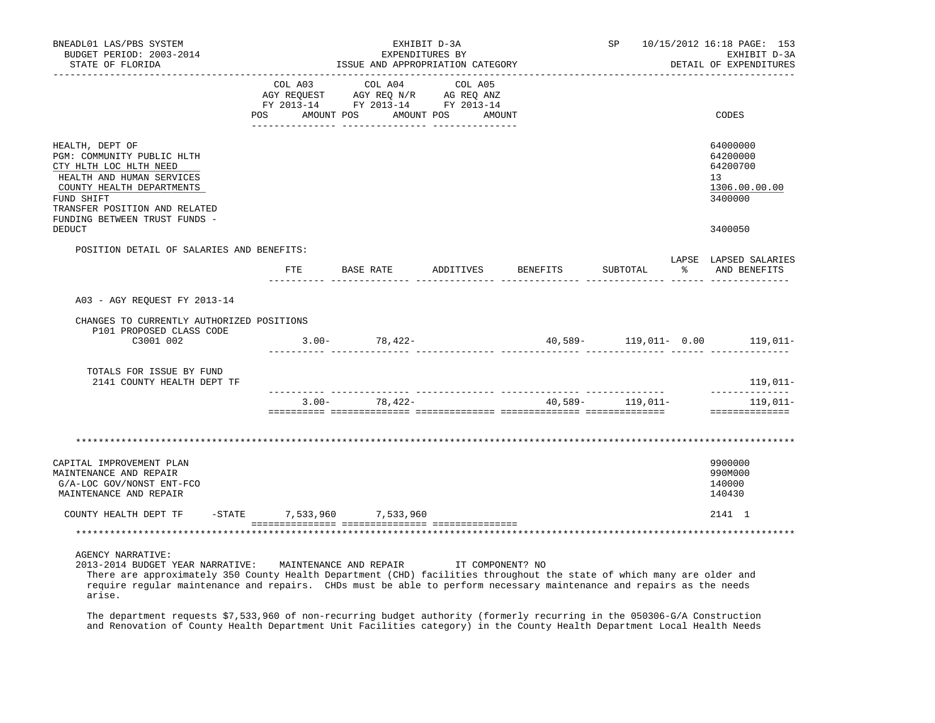| BNEADL01 LAS/PBS SYSTEM<br>BUDGET PERIOD: 2003-2014<br>STATE OF FLORIDA                                                                                                                                                                                                                                                                                          | EXHIBIT D-3A<br>EXPENDITURES BY<br>ISSUE AND APPROPRIATION CATEGORY                                                                                                                            | <b>SP</b> SP       | 10/15/2012 16:18 PAGE: 153<br>EXHIBIT D-3A<br>DETAIL OF EXPENDITURES |                                |                                                                                 |
|------------------------------------------------------------------------------------------------------------------------------------------------------------------------------------------------------------------------------------------------------------------------------------------------------------------------------------------------------------------|------------------------------------------------------------------------------------------------------------------------------------------------------------------------------------------------|--------------------|----------------------------------------------------------------------|--------------------------------|---------------------------------------------------------------------------------|
|                                                                                                                                                                                                                                                                                                                                                                  | $\begin{tabular}{lcccc} COL A03 & COL A04 & COL A05 \\ AGY REQUEST & AGY REQ N/R & AG REQ ANZ \\ FY & 2013-14 & FY & 2013-14 & FY & 2013-14 \end{tabular}$<br>POS AMOUNT POS AMOUNT POS AMOUNT |                    |                                                                      |                                | CODES                                                                           |
| HEALTH, DEPT OF<br>PGM: COMMUNITY PUBLIC HLTH<br>CTY HLTH LOC HLTH NEED<br>HEALTH AND HUMAN SERVICES<br>COUNTY HEALTH DEPARTMENTS<br>FUND SHIFT<br>TRANSFER POSITION AND RELATED<br>FUNDING BETWEEN TRUST FUNDS -                                                                                                                                                |                                                                                                                                                                                                |                    |                                                                      |                                | 64000000<br>64200000<br>64200700<br>13 <sup>°</sup><br>1306.00.00.00<br>3400000 |
| DEDUCT                                                                                                                                                                                                                                                                                                                                                           |                                                                                                                                                                                                |                    |                                                                      |                                | 3400050                                                                         |
| POSITION DETAIL OF SALARIES AND BENEFITS:                                                                                                                                                                                                                                                                                                                        | FTE BASE RATE                                                                                                                                                                                  | ADDITIVES BENEFITS |                                                                      | SUBTOTAL                       | LAPSE LAPSED SALARIES<br>AND BENEFITS                                           |
| A03 - AGY REQUEST FY 2013-14                                                                                                                                                                                                                                                                                                                                     |                                                                                                                                                                                                |                    |                                                                      |                                |                                                                                 |
| CHANGES TO CURRENTLY AUTHORIZED POSITIONS<br>P101 PROPOSED CLASS CODE                                                                                                                                                                                                                                                                                            |                                                                                                                                                                                                |                    |                                                                      |                                |                                                                                 |
| C3001 002                                                                                                                                                                                                                                                                                                                                                        | $3.00 - 78,422 -$                                                                                                                                                                              |                    |                                                                      | 40,589- 119,011- 0.00 119,011- |                                                                                 |
| TOTALS FOR ISSUE BY FUND<br>2141 COUNTY HEALTH DEPT TF                                                                                                                                                                                                                                                                                                           |                                                                                                                                                                                                |                    |                                                                      |                                | 119,011-                                                                        |
|                                                                                                                                                                                                                                                                                                                                                                  | $3.00 - 78,422 -$                                                                                                                                                                              |                    |                                                                      | 40,589 - 119,011 -             | ______________<br>$119,011-$<br>==============                                  |
|                                                                                                                                                                                                                                                                                                                                                                  |                                                                                                                                                                                                |                    |                                                                      |                                |                                                                                 |
| CAPITAL IMPROVEMENT PLAN<br>MAINTENANCE AND REPAIR<br>G/A-LOC GOV/NONST ENT-FCO<br>MAINTENANCE AND REPAIR                                                                                                                                                                                                                                                        |                                                                                                                                                                                                |                    |                                                                      |                                | 9900000<br>990M000<br>140000<br>140430                                          |
| COUNTY HEALTH DEPT TF                                                                                                                                                                                                                                                                                                                                            | -STATE 7,533,960 7,533,960                                                                                                                                                                     |                    |                                                                      |                                | 2141 1                                                                          |
|                                                                                                                                                                                                                                                                                                                                                                  |                                                                                                                                                                                                |                    |                                                                      |                                |                                                                                 |
| <b>AGENCY NARRATIVE:</b><br>2013-2014 BUDGET YEAR NARRATIVE: MAINTENANCE AND REPAIR TT COMPONENT? NO<br>There are approximately 350 County Health Department (CHD) facilities throughout the state of which many are older and<br>require reqular maintenance and repairs. CHDs must be able to perform necessary maintenance and repairs as the needs<br>arise. |                                                                                                                                                                                                |                    |                                                                      |                                |                                                                                 |

 The department requests \$7,533,960 of non-recurring budget authority (formerly recurring in the 050306-G/A Construction and Renovation of County Health Department Unit Facilities category) in the County Health Department Local Health Needs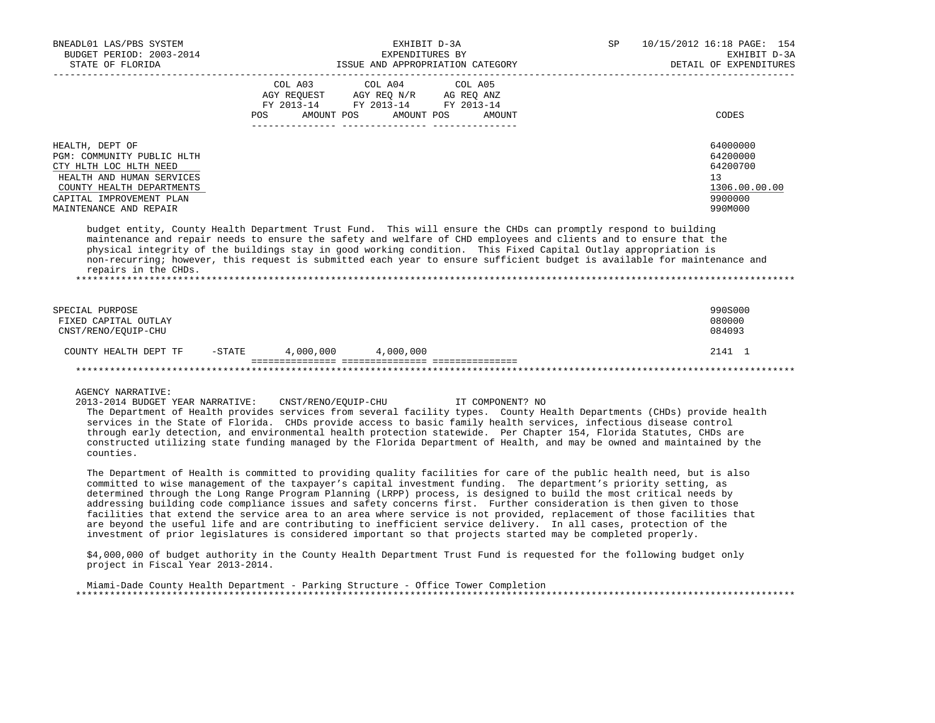| BNEADL01 LAS/PBS SYSTEM<br>BUDGET PERIOD: 2003-2014<br>STATE OF FLORIDA                                                                                                                 | EXHIBIT D-3A<br>EXPENDITURES BY<br>ISSUE AND APPROPRIATION CATEGORY                                                                                                                                                                                                                                                                                                                                                                                                               | SP 10/15/2012 16:18 PAGE: 154 | EXHIBIT D-3A<br>DETAIL OF EXPENDITURES                                        |  |
|-----------------------------------------------------------------------------------------------------------------------------------------------------------------------------------------|-----------------------------------------------------------------------------------------------------------------------------------------------------------------------------------------------------------------------------------------------------------------------------------------------------------------------------------------------------------------------------------------------------------------------------------------------------------------------------------|-------------------------------|-------------------------------------------------------------------------------|--|
|                                                                                                                                                                                         | COL A03 COL A04 COL A05<br>AGY REQUEST AGY REQ N/R AG REQ ANZ<br>FY 2013-14 FY 2013-14 FY 2013-14<br>POS AMOUNT POS AMOUNT POS<br>AMOUNT                                                                                                                                                                                                                                                                                                                                          |                               | CODES                                                                         |  |
| HEALTH, DEPT OF<br>PGM: COMMUNITY PUBLIC HLTH<br>CTY HLTH LOC HLTH NEED<br>HEALTH AND HUMAN SERVICES<br>COUNTY HEALTH DEPARTMENTS<br>CAPITAL IMPROVEMENT PLAN<br>MAINTENANCE AND REPAIR |                                                                                                                                                                                                                                                                                                                                                                                                                                                                                   |                               | 64000000<br>64200000<br>64200700<br>13<br>1306.00.00.00<br>9900000<br>990M000 |  |
| repairs in the CHDs.                                                                                                                                                                    | budget entity, County Health Department Trust Fund. This will ensure the CHDs can promptly respond to building<br>maintenance and repair needs to ensure the safety and welfare of CHD employees and clients and to ensure that the<br>physical integrity of the buildings stay in good working condition. This Fixed Capital Outlay appropriation is<br>non-recurring; however, this request is submitted each year to ensure sufficient budget is available for maintenance and |                               |                                                                               |  |
| SPECIAL PURPOSE<br>FIXED CAPITAL OUTLAY<br>CNST/RENO/EOUIP-CHU                                                                                                                          |                                                                                                                                                                                                                                                                                                                                                                                                                                                                                   |                               | 990S000<br>080000<br>084093                                                   |  |
| COUNTY HEALTH DEPT TF -STATE 4,000,000 4,000,000                                                                                                                                        |                                                                                                                                                                                                                                                                                                                                                                                                                                                                                   |                               | 2141 1                                                                        |  |
|                                                                                                                                                                                         |                                                                                                                                                                                                                                                                                                                                                                                                                                                                                   |                               |                                                                               |  |
| <b>AGENCY NARRATIVE:</b>                                                                                                                                                                | 2013-2014 BUDGET YEAR NARRATIVE: CNST/RENO/EOUIP-CHU IT COMPONENT? NO<br>The Department of Health provides services from several facility types. County Health Departments (CHDs) provide health                                                                                                                                                                                                                                                                                  |                               |                                                                               |  |

 services in the State of Florida. CHDs provide access to basic family health services, infectious disease control through early detection, and environmental health protection statewide. Per Chapter 154, Florida Statutes, CHDs are constructed utilizing state funding managed by the Florida Department of Health, and may be owned and maintained by the counties.

 The Department of Health is committed to providing quality facilities for care of the public health need, but is also committed to wise management of the taxpayer's capital investment funding. The department's priority setting, as determined through the Long Range Program Planning (LRPP) process, is designed to build the most critical needs by addressing building code compliance issues and safety concerns first. Further consideration is then given to those facilities that extend the service area to an area where service is not provided, replacement of those facilities that are beyond the useful life and are contributing to inefficient service delivery. In all cases, protection of the investment of prior legislatures is considered important so that projects started may be completed properly.

 \$4,000,000 of budget authority in the County Health Department Trust Fund is requested for the following budget only project in Fiscal Year 2013-2014.

 Miami-Dade County Health Department - Parking Structure - Office Tower Completion \*\*\*\*\*\*\*\*\*\*\*\*\*\*\*\*\*\*\*\*\*\*\*\*\*\*\*\*\*\*\*\*\*\*\*\*\*\*\*\*\*\*\*\*\*\*\*\*\*\*\*\*\*\*\*\*\*\*\*\*\*\*\*\*\*\*\*\*\*\*\*\*\*\*\*\*\*\*\*\*\*\*\*\*\*\*\*\*\*\*\*\*\*\*\*\*\*\*\*\*\*\*\*\*\*\*\*\*\*\*\*\*\*\*\*\*\*\*\*\*\*\*\*\*\*\*\*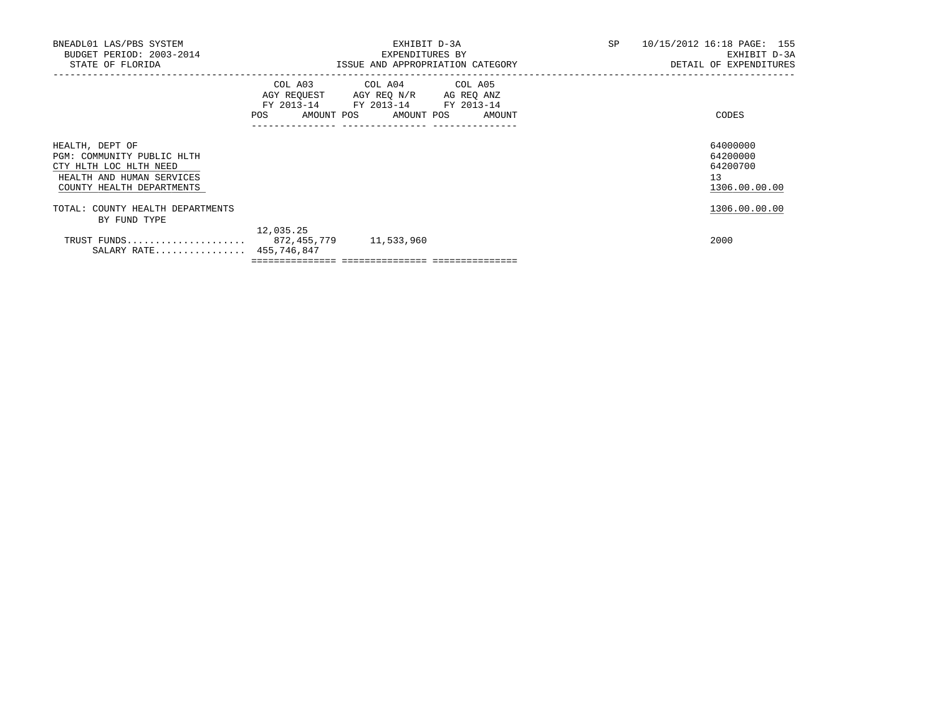| BNEADL01 LAS/PBS SYSTEM<br>BUDGET PERIOD: 2003-2014<br>STATE OF FLORIDA                                                           |                                               | EXHIBIT D-3A<br>EXPENDITURES BY<br>ISSUE AND APPROPRIATION CATEGORY                                                               | SP | 10/15/2012 16:18 PAGE: 155<br>EXHIBIT D-3A<br>DETAIL OF EXPENDITURES |
|-----------------------------------------------------------------------------------------------------------------------------------|-----------------------------------------------|-----------------------------------------------------------------------------------------------------------------------------------|----|----------------------------------------------------------------------|
|                                                                                                                                   | <b>POS</b><br>-------------- ---------------- | COL A03 COL A04 COL A05<br>AGY REQUEST AGY REQ N/R AG REQ ANZ<br>FY 2013-14 FY 2013-14 FY 2013-14<br>AMOUNT POS AMOUNT POS AMOUNT |    | CODES                                                                |
| HEALTH, DEPT OF<br>PGM: COMMUNITY PUBLIC HLTH<br>CTY HLTH LOC HLTH NEED<br>HEALTH AND HUMAN SERVICES<br>COUNTY HEALTH DEPARTMENTS |                                               |                                                                                                                                   |    | 64000000<br>64200000<br>64200700<br>13 <sup>°</sup><br>1306.00.00.00 |
| TOTAL: COUNTY HEALTH DEPARTMENTS<br>BY FUND TYPE                                                                                  |                                               |                                                                                                                                   |    | 1306.00.00.00                                                        |
| TRUST FUNDS 872,455,779<br>SALARY RATE 455,746,847                                                                                | 12,035.25                                     | 11,533,960                                                                                                                        |    | 2000                                                                 |

 $=$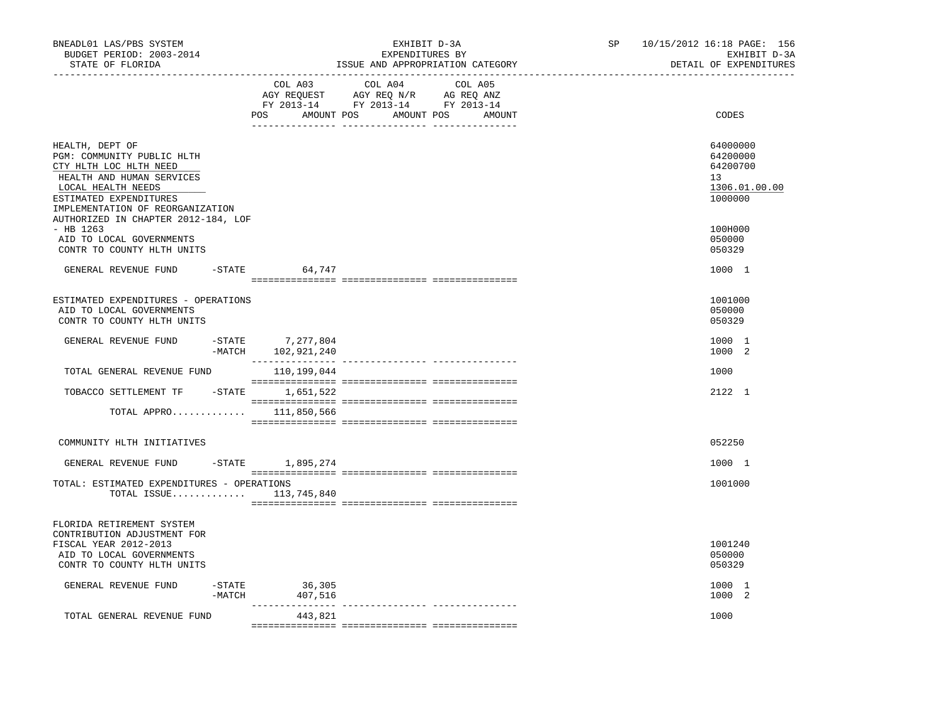| BNEADL01 LAS/PBS SYSTEM<br>BUDGET PERIOD: 2003-2014<br>STATE OF FLORIDA                                                                                                                  |           | EXHIBIT D-3A<br>EXPENDITURES BY<br>ISSUE AND APPROPRIATION CATEGORY |                                                                                                                       |         |  | SP | 10/15/2012 16:18 PAGE: 156<br>EXHIBIT D-3A<br>DETAIL OF EXPENDITURES |
|------------------------------------------------------------------------------------------------------------------------------------------------------------------------------------------|-----------|---------------------------------------------------------------------|-----------------------------------------------------------------------------------------------------------------------|---------|--|----|----------------------------------------------------------------------|
|                                                                                                                                                                                          |           | COL A03                                                             | COL A04<br>AGY REQUEST AGY REQ N/R AG REQ ANZ<br>FY 2013-14 FY 2013-14 FY 2013-14<br>POS AMOUNT POS AMOUNT POS AMOUNT | COL A05 |  |    | CODES                                                                |
| HEALTH, DEPT OF<br>PGM: COMMUNITY PUBLIC HLTH<br>CTY HLTH LOC HLTH NEED<br>HEALTH AND HUMAN SERVICES<br>LOCAL HEALTH NEEDS<br>ESTIMATED EXPENDITURES<br>IMPLEMENTATION OF REORGANIZATION |           |                                                                     |                                                                                                                       |         |  |    | 64000000<br>64200000<br>64200700<br>13<br>1306.01.00.00<br>1000000   |
| AUTHORIZED IN CHAPTER 2012-184, LOF<br>$-$ HB 1263<br>AID TO LOCAL GOVERNMENTS<br>CONTR TO COUNTY HLTH UNITS                                                                             |           |                                                                     |                                                                                                                       |         |  |    | 100H000<br>050000<br>050329                                          |
| GENERAL REVENUE FUND                                                                                                                                                                     | $-$ STATE | 64,747                                                              |                                                                                                                       |         |  |    | 1000 1                                                               |
| ESTIMATED EXPENDITURES - OPERATIONS<br>AID TO LOCAL GOVERNMENTS<br>CONTR TO COUNTY HLTH UNITS                                                                                            |           |                                                                     |                                                                                                                       |         |  |    | 1001000<br>050000<br>050329                                          |
| GENERAL REVENUE FUND                                                                                                                                                                     |           | -STATE 7,277,804<br>-MATCH 102,921,240                              |                                                                                                                       |         |  |    | 1000 1<br>1000 2                                                     |
| TOTAL GENERAL REVENUE FUND                                                                                                                                                               |           |                                                                     |                                                                                                                       |         |  |    | 1000                                                                 |
| TOBACCO SETTLEMENT TF -STATE 1,651,522                                                                                                                                                   |           |                                                                     |                                                                                                                       |         |  |    | 2122 1                                                               |
| TOTAL APPRO $111,850,566$                                                                                                                                                                |           |                                                                     |                                                                                                                       |         |  |    |                                                                      |
| COMMUNITY HLTH INITIATIVES                                                                                                                                                               |           |                                                                     |                                                                                                                       |         |  |    | 052250                                                               |
| GENERAL REVENUE FUND                                                                                                                                                                     |           | -STATE 1,895,274                                                    |                                                                                                                       |         |  |    | 1000 1                                                               |
| TOTAL: ESTIMATED EXPENDITURES - OPERATIONS<br>TOTAL ISSUE                                                                                                                                |           | 113,745,840                                                         |                                                                                                                       |         |  |    | 1001000                                                              |
| FLORIDA RETIREMENT SYSTEM<br>CONTRIBUTION ADJUSTMENT FOR<br>FISCAL YEAR 2012-2013<br>AID TO LOCAL GOVERNMENTS                                                                            |           |                                                                     |                                                                                                                       |         |  |    | 1001240<br>050000                                                    |
| CONTR TO COUNTY HLTH UNITS                                                                                                                                                               |           |                                                                     |                                                                                                                       |         |  |    | 050329                                                               |
| GENERAL REVENUE FUND                                                                                                                                                                     | -MATCH    | $-STATE$ 36,305<br>407,516                                          |                                                                                                                       |         |  |    | 1000 1<br>1000 2                                                     |
| TOTAL GENERAL REVENUE FUND                                                                                                                                                               |           | _______________<br>443,821                                          |                                                                                                                       |         |  |    | 1000                                                                 |
|                                                                                                                                                                                          |           |                                                                     |                                                                                                                       |         |  |    |                                                                      |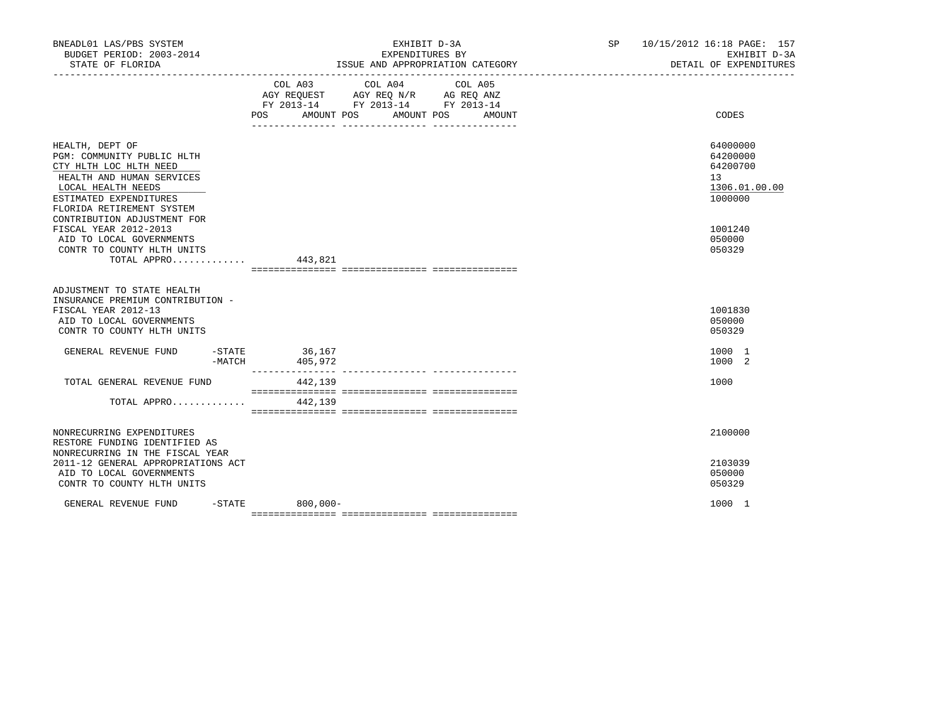| BNEADL01 LAS/PBS SYSTEM                                                                                                                                                                                          |                    | EXHIBIT D-3A                                                                                                                        | SP 10/15/2012 16:18 PAGE: 157 | EXHIBIT D-3A<br>DETAIL OF EXPENDITURES                       |
|------------------------------------------------------------------------------------------------------------------------------------------------------------------------------------------------------------------|--------------------|-------------------------------------------------------------------------------------------------------------------------------------|-------------------------------|--------------------------------------------------------------|
|                                                                                                                                                                                                                  | COL A03            | COL A04<br>COL A05<br>AGY REQUEST AGY REQ N/R AG REQ ANZ<br>FY 2013-14 FY 2013-14 FY 2013-14<br>POS AMOUNT POS AMOUNT POS<br>AMOUNT |                               | CODES                                                        |
| HEALTH, DEPT OF<br>PGM: COMMUNITY PUBLIC HLTH<br>CTY HLTH LOC HLTH NEED<br>HEALTH AND HUMAN SERVICES<br>LOCAL HEALTH NEEDS<br>ESTIMATED EXPENDITURES<br>FLORIDA RETIREMENT SYSTEM<br>CONTRIBUTION ADJUSTMENT FOR |                    |                                                                                                                                     | 13 <sup>°</sup>               | 64000000<br>64200000<br>64200700<br>1306.01.00.00<br>1000000 |
| FISCAL YEAR 2012-2013<br>AID TO LOCAL GOVERNMENTS<br>CONTR TO COUNTY HLTH UNITS<br>TOTAL APPRO 443,821                                                                                                           |                    |                                                                                                                                     |                               | 1001240<br>050000<br>050329                                  |
| ADJUSTMENT TO STATE HEALTH<br>INSURANCE PREMIUM CONTRIBUTION -<br>FISCAL YEAR 2012-13<br>AID TO LOCAL GOVERNMENTS<br>CONTR TO COUNTY HLTH UNITS                                                                  |                    |                                                                                                                                     |                               | 1001830<br>050000<br>050329                                  |
| GENERAL REVENUE FUND -STATE 36,167<br>-MATCH                                                                                                                                                                     | 405,972            |                                                                                                                                     |                               | 1000 1<br>1000 2                                             |
| TOTAL GENERAL REVENUE FUND<br>TOTAL APPRO $442.139$                                                                                                                                                              | 442,139            |                                                                                                                                     | 1000                          |                                                              |
| NONRECURRING EXPENDITURES<br>RESTORE FUNDING IDENTIFIED AS<br>NONRECURRING IN THE FISCAL YEAR<br>2011-12 GENERAL APPROPRIATIONS ACT<br>AID TO LOCAL GOVERNMENTS<br>CONTR TO COUNTY HLTH UNITS                    |                    |                                                                                                                                     |                               | 2100000<br>2103039<br>050000<br>050329                       |
| GENERAL REVENUE FUND                                                                                                                                                                                             | $-$ STATE 800,000- |                                                                                                                                     |                               | 1000 1                                                       |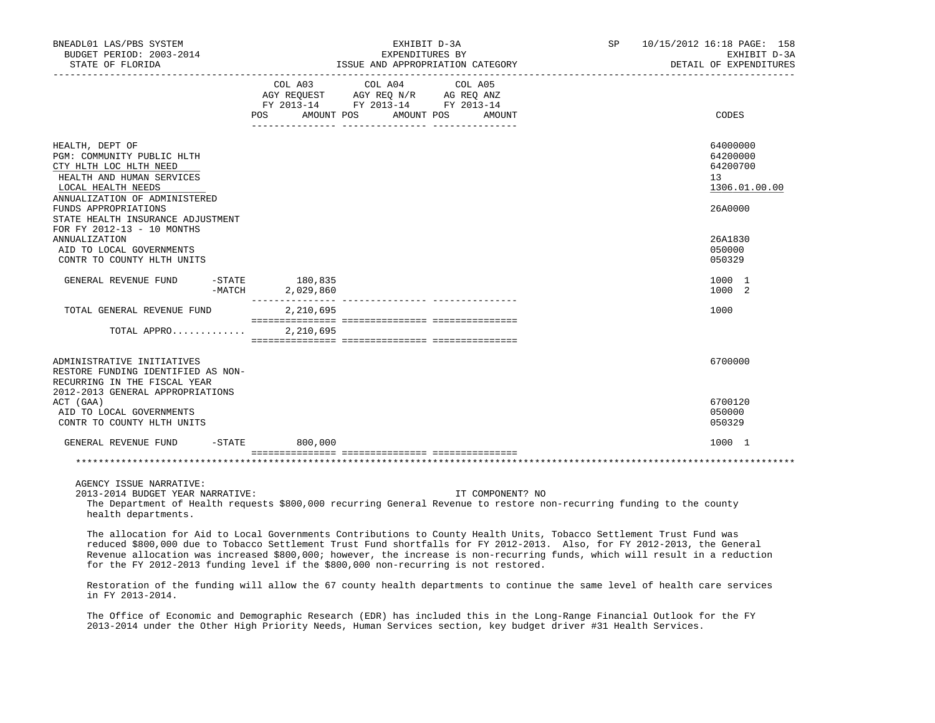| BNEADL01 LAS/PBS SYSTEM<br>BUDGET PERIOD: 2003-2014<br>STATE OF FLORIDA                                                                                                                                                                                | ISSUE AND APPROPRIATION CATEGORY                                                                                                                                             | EXHIBIT D-3A<br>EXPENDITURES BY | SP 10/15/2012 16:18 PAGE: 158<br>EXHIBIT D-3A<br>DETAIL OF EXPENDITURES                                                 |
|--------------------------------------------------------------------------------------------------------------------------------------------------------------------------------------------------------------------------------------------------------|------------------------------------------------------------------------------------------------------------------------------------------------------------------------------|---------------------------------|-------------------------------------------------------------------------------------------------------------------------|
|                                                                                                                                                                                                                                                        | $\begin{tabular}{lcccc} COL A03 & COL A04 & COL A05 \\ AGY REQUEST & AGY REQ N/R & AG REQ ANZ \\ FY & 2013-14 & FY & 2013-14 & FY & 2013-14 \end{tabular}$<br>POS AMOUNT POS | AMOUNT POS<br>AMOUNT            | CODES                                                                                                                   |
| HEALTH, DEPT OF<br>PGM: COMMUNITY PUBLIC HLTH<br>CTY HLTH LOC HLTH NEED<br>HEALTH AND HUMAN SERVICES<br>LOCAL HEALTH NEEDS<br>ANNUALIZATION OF ADMINISTERED<br>FUNDS APPROPRIATIONS<br>STATE HEALTH INSURANCE ADJUSTMENT<br>FOR FY 2012-13 - 10 MONTHS |                                                                                                                                                                              |                                 | 64000000<br>64200000<br>64200700<br>13<br>1306.01.00.00<br>26A0000                                                      |
| <b>ANNUALIZATION</b><br>AID TO LOCAL GOVERNMENTS<br>CONTR TO COUNTY HLTH UNITS                                                                                                                                                                         |                                                                                                                                                                              |                                 | 26A1830<br>050000<br>050329                                                                                             |
| GENERAL REVENUE FUND<br>$-MATCH$                                                                                                                                                                                                                       | $-STATE$ 180,835<br>2,029,860                                                                                                                                                |                                 | 1000 1<br>1000 2                                                                                                        |
| TOTAL GENERAL REVENUE FUND                                                                                                                                                                                                                             | 2,210,695                                                                                                                                                                    |                                 | 1000                                                                                                                    |
| TOTAL APPRO                                                                                                                                                                                                                                            | 2,210,695                                                                                                                                                                    |                                 |                                                                                                                         |
| ADMINISTRATIVE INITIATIVES<br>RESTORE FUNDING IDENTIFIED AS NON-<br>RECURRING IN THE FISCAL YEAR<br>2012-2013 GENERAL APPROPRIATIONS                                                                                                                   |                                                                                                                                                                              |                                 | 6700000                                                                                                                 |
| ACT (GAA)<br>AID TO LOCAL GOVERNMENTS<br>CONTR TO COUNTY HLTH UNITS                                                                                                                                                                                    |                                                                                                                                                                              |                                 | 6700120<br>050000<br>050329                                                                                             |
| GENERAL REVENUE FUND<br>-STATE                                                                                                                                                                                                                         | 800,000                                                                                                                                                                      |                                 | 1000 1                                                                                                                  |
| and the dealership dealership dealership dealership dealership dealership dealership dealership dealership dealership dealership dealership                                                                                                            |                                                                                                                                                                              |                                 | about about about about about about about about about about about about about about about about about about about about |

2013-2014 BUDGET YEAR NARRATIVE: IT COMPONENT? NO

 The Department of Health requests \$800,000 recurring General Revenue to restore non-recurring funding to the county health departments.

 The allocation for Aid to Local Governments Contributions to County Health Units, Tobacco Settlement Trust Fund was reduced \$800,000 due to Tobacco Settlement Trust Fund shortfalls for FY 2012-2013. Also, for FY 2012-2013, the General Revenue allocation was increased \$800,000; however, the increase is non-recurring funds, which will result in a reduction for the FY 2012-2013 funding level if the \$800,000 non-recurring is not restored.

 Restoration of the funding will allow the 67 county health departments to continue the same level of health care services in FY 2013-2014.

 The Office of Economic and Demographic Research (EDR) has included this in the Long-Range Financial Outlook for the FY 2013-2014 under the Other High Priority Needs, Human Services section, key budget driver #31 Health Services.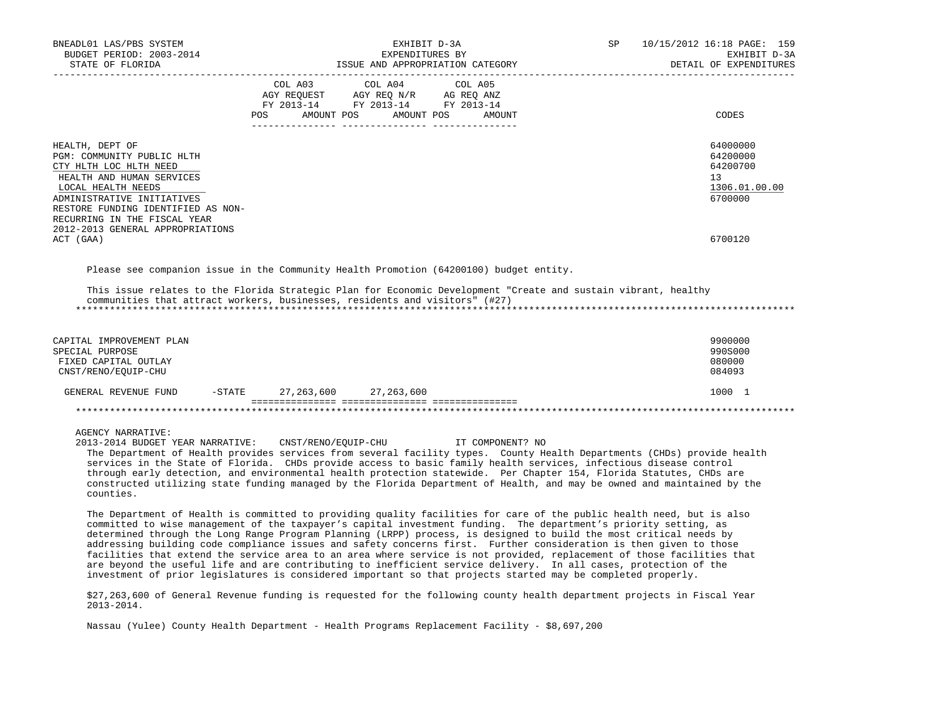| BNEADL01 LAS/PBS SYSTEM<br>BUDGET PERIOD: 2003-2014<br>STATE OF FLORIDA                                                                                                                                                                                            | EXHIBIT D-3A<br>EXPENDITURES BY<br>ISSUE AND APPROPRIATION CATEGORY                                                                                                                                                                                                                                                                                                                                                                                                                                                                                                                                                                                                                                                                                                                                                                                 | SP               | 10/15/2012 16:18 PAGE: 159<br>EXHIBIT D-3A<br>DETAIL OF EXPENDITURES |
|--------------------------------------------------------------------------------------------------------------------------------------------------------------------------------------------------------------------------------------------------------------------|-----------------------------------------------------------------------------------------------------------------------------------------------------------------------------------------------------------------------------------------------------------------------------------------------------------------------------------------------------------------------------------------------------------------------------------------------------------------------------------------------------------------------------------------------------------------------------------------------------------------------------------------------------------------------------------------------------------------------------------------------------------------------------------------------------------------------------------------------------|------------------|----------------------------------------------------------------------|
|                                                                                                                                                                                                                                                                    | COL A03<br>COL A04<br>COL A05<br>AGY REQUEST AGY REQ N/R AG REQ ANZ<br>FY 2013-14 FY 2013-14 FY 2013-14<br>AMOUNT POS<br>AMOUNT POS<br>POS                                                                                                                                                                                                                                                                                                                                                                                                                                                                                                                                                                                                                                                                                                          | AMOUNT           | CODES                                                                |
| HEALTH, DEPT OF<br>PGM: COMMUNITY PUBLIC HLTH<br>CTY HLTH LOC HLTH NEED<br>HEALTH AND HUMAN SERVICES<br>LOCAL HEALTH NEEDS<br>ADMINISTRATIVE INITIATIVES<br>RESTORE FUNDING IDENTIFIED AS NON-<br>RECURRING IN THE FISCAL YEAR<br>2012-2013 GENERAL APPROPRIATIONS |                                                                                                                                                                                                                                                                                                                                                                                                                                                                                                                                                                                                                                                                                                                                                                                                                                                     |                  | 64000000<br>64200000<br>64200700<br>13<br>1306.01.00.00<br>6700000   |
| ACT (GAA)                                                                                                                                                                                                                                                          |                                                                                                                                                                                                                                                                                                                                                                                                                                                                                                                                                                                                                                                                                                                                                                                                                                                     |                  | 6700120                                                              |
| CAPITAL IMPROVEMENT PLAN<br>SPECIAL PURPOSE<br>FIXED CAPITAL OUTLAY<br>CNST/RENO/EQUIP-CHU                                                                                                                                                                         | This issue relates to the Florida Strategic Plan for Economic Development "Create and sustain vibrant, healthy<br>communities that attract workers, businesses, residents and visitors" (#27)                                                                                                                                                                                                                                                                                                                                                                                                                                                                                                                                                                                                                                                       |                  | 9900000<br>990S000<br>080000<br>084093                               |
| GENERAL REVENUE FUND<br>$-$ STATE                                                                                                                                                                                                                                  | 27, 263, 600 27, 263, 600                                                                                                                                                                                                                                                                                                                                                                                                                                                                                                                                                                                                                                                                                                                                                                                                                           |                  | 1000 1                                                               |
|                                                                                                                                                                                                                                                                    |                                                                                                                                                                                                                                                                                                                                                                                                                                                                                                                                                                                                                                                                                                                                                                                                                                                     |                  |                                                                      |
| AGENCY NARRATIVE:<br>2013-2014 BUDGET YEAR NARRATIVE: CNST/RENO/EOUIP-CHU<br>counties.                                                                                                                                                                             | The Department of Health provides services from several facility types. County Health Departments (CHDs) provide health<br>services in the State of Florida. CHDs provide access to basic family health services, infectious disease control<br>through early detection, and environmental health protection statewide. Per Chapter 154, Florida Statutes, CHDs are<br>constructed utilizing state funding managed by the Florida Department of Health, and may be owned and maintained by the                                                                                                                                                                                                                                                                                                                                                      | IT COMPONENT? NO |                                                                      |
|                                                                                                                                                                                                                                                                    | The Department of Health is committed to providing quality facilities for care of the public health need, but is also<br>committed to wise management of the taxpayer's capital investment funding. The department's priority setting, as<br>determined through the Long Range Program Planning (LRPP) process, is designed to build the most critical needs by<br>addressing building code compliance issues and safety concerns first. Further consideration is then given to those<br>facilities that extend the service area to an area where service is not provided, replacement of those facilities that<br>are beyond the useful life and are contributing to inefficient service delivery. In all cases, protection of the<br>investment of prior legislatures is considered important so that projects started may be completed properly. |                  |                                                                      |

 \$27,263,600 of General Revenue funding is requested for the following county health department projects in Fiscal Year 2013-2014.

Nassau (Yulee) County Health Department - Health Programs Replacement Facility - \$8,697,200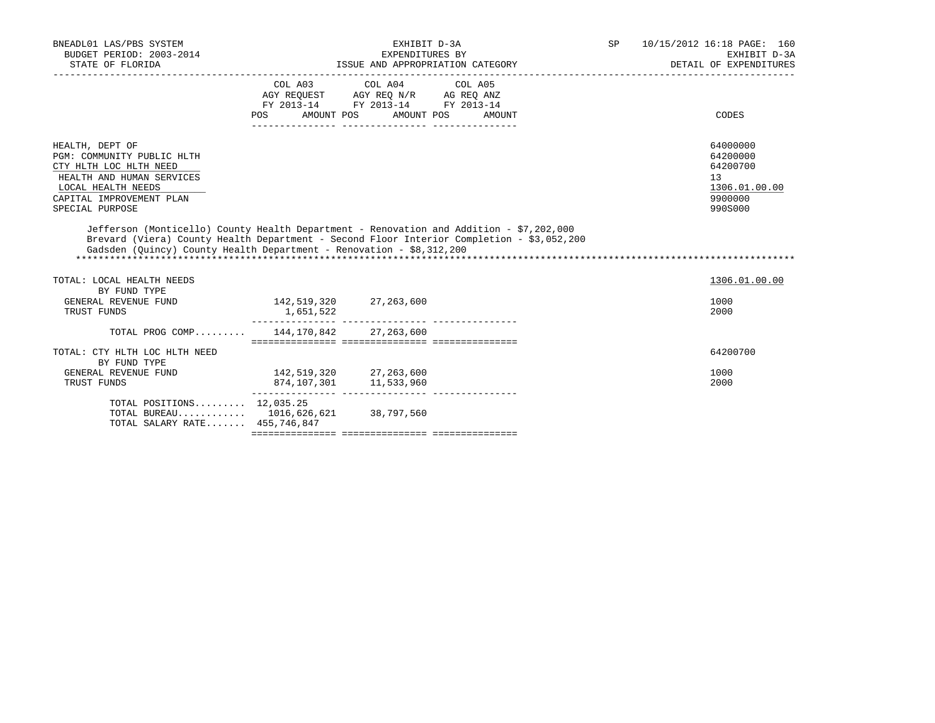| BNEADL01 LAS/PBS SYSTEM<br>BUDGET PERIOD: 2003-2014<br>STATE OF FLORIDA                                                                                                                                                                                      | EXHIBIT D-3A<br>EXPENDITURES BY<br>ISSUE AND APPROPRIATION CATEGORY           |                                                  |        |  | 10/15/2012 16:18 PAGE: 160<br>EXHIBIT D-3A<br>DETAIL OF EXPENDITURES          |
|--------------------------------------------------------------------------------------------------------------------------------------------------------------------------------------------------------------------------------------------------------------|-------------------------------------------------------------------------------|--------------------------------------------------|--------|--|-------------------------------------------------------------------------------|
|                                                                                                                                                                                                                                                              | AGY REQUEST AGY REQ N/R AG REQ ANZ<br>FY 2013-14 FY 2013-14 FY 2013-14<br>POS | COL A03 COL A04 COL A05<br>AMOUNT POS AMOUNT POS | AMOUNT |  | CODES                                                                         |
| HEALTH, DEPT OF<br>PGM: COMMUNITY PUBLIC HLTH<br>CTY HLTH LOC HLTH NEED<br>HEALTH AND HUMAN SERVICES<br>LOCAL HEALTH NEEDS<br>CAPITAL IMPROVEMENT PLAN<br>SPECIAL PURPOSE                                                                                    |                                                                               |                                                  |        |  | 64000000<br>64200000<br>64200700<br>13<br>1306.01.00.00<br>9900000<br>990S000 |
| Jefferson (Monticello) County Health Department - Renovation and Addition - \$7,202,000<br>Brevard (Viera) County Health Department - Second Floor Interior Completion - \$3,052,200<br>Gadsden (Ouincy) County Health Department - Renovation - \$8,312,200 |                                                                               |                                                  |        |  |                                                                               |
| TOTAL: LOCAL HEALTH NEEDS<br>BY FUND TYPE                                                                                                                                                                                                                    |                                                                               |                                                  |        |  | 1306.01.00.00                                                                 |
| GENERAL REVENUE FUND<br>TRUST FUNDS                                                                                                                                                                                                                          | 142,519,320 27,263,600<br>1,651,522                                           |                                                  |        |  | 1000<br>2000                                                                  |
| TOTAL PROG COMP 144,170,842 27,263,600                                                                                                                                                                                                                       |                                                                               |                                                  |        |  |                                                                               |
| TOTAL: CTY HLTH LOC HLTH NEED<br>BY FUND TYPE                                                                                                                                                                                                                |                                                                               |                                                  |        |  | 64200700                                                                      |
| GENERAL REVENUE FUND<br>TRUST FUNDS                                                                                                                                                                                                                          | 142,519,320 27,263,600<br>874, 107, 301 11, 533, 960                          |                                                  |        |  | 1000<br>2000                                                                  |
| TOTAL POSITIONS $12,035.25$<br>TOTAL BUREAU 1016,626,621 38,797,560<br>TOTAL SALARY RATE 455,746,847                                                                                                                                                         |                                                                               |                                                  |        |  |                                                                               |
|                                                                                                                                                                                                                                                              |                                                                               |                                                  |        |  |                                                                               |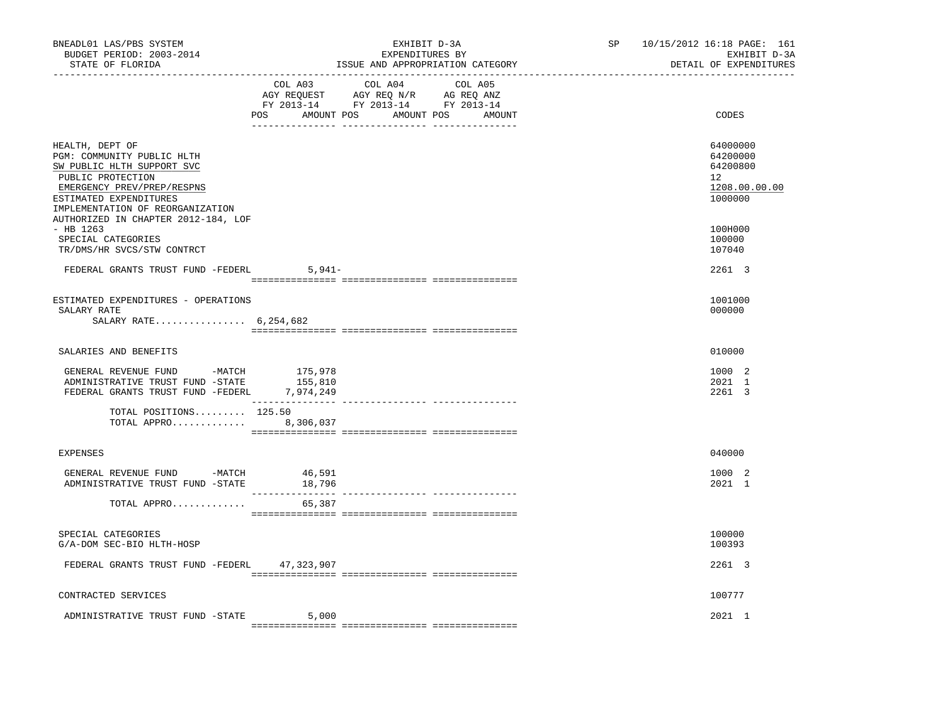| BNEADL01 LAS/PBS SYSTEM<br>BUDGET PERIOD: 2003-2014<br>STATE OF FLORIDA                                                                                                                      |          | EXHIBIT D-3A<br>EXPENDITURES BY<br>ISSUE AND APPROPRIATION CATEGORY                                                                                                                                                                                            | SP 10/15/2012 16:18 PAGE: 161<br>EXHIBIT D-3A<br>DETAIL OF EXPENDITURES |                                                                                 |
|----------------------------------------------------------------------------------------------------------------------------------------------------------------------------------------------|----------|----------------------------------------------------------------------------------------------------------------------------------------------------------------------------------------------------------------------------------------------------------------|-------------------------------------------------------------------------|---------------------------------------------------------------------------------|
|                                                                                                                                                                                              | COL A03  | COL A04<br>COL A05<br>$\begin{tabular}{lllllllll} \bf AGY & \bf REQUEST & \bf AGY & \bf REQ & \bf N/R & \bf AG & \bf REQ & \bf ANZ \\ \bf FY & \tt 2013-14 & \bf FY & \tt 2013-14 & \bf FY & \tt 2013-14 \\ \end{tabular}$<br>POS AMOUNT POS AMOUNT POS AMOUNT |                                                                         | CODES                                                                           |
| HEALTH, DEPT OF<br>PGM: COMMUNITY PUBLIC HLTH<br>SW PUBLIC HLTH SUPPORT SVC<br>PUBLIC PROTECTION<br>EMERGENCY PREV/PREP/RESPNS<br>ESTIMATED EXPENDITURES<br>IMPLEMENTATION OF REORGANIZATION |          |                                                                                                                                                                                                                                                                |                                                                         | 64000000<br>64200000<br>64200800<br>12 <sup>°</sup><br>1208.00.00.00<br>1000000 |
| AUTHORIZED IN CHAPTER 2012-184, LOF<br>- HB 1263<br>SPECIAL CATEGORIES<br>TR/DMS/HR SVCS/STW CONTRCT                                                                                         |          |                                                                                                                                                                                                                                                                |                                                                         | 100H000<br>100000<br>107040                                                     |
| FEDERAL GRANTS TRUST FUND -FEDERL                                                                                                                                                            | $5,941-$ |                                                                                                                                                                                                                                                                |                                                                         | 2261 3                                                                          |
| ESTIMATED EXPENDITURES - OPERATIONS<br>SALARY RATE<br>SALARY RATE $6,254,682$                                                                                                                |          |                                                                                                                                                                                                                                                                |                                                                         | 1001000<br>000000                                                               |
| SALARIES AND BENEFITS                                                                                                                                                                        |          |                                                                                                                                                                                                                                                                |                                                                         | 010000                                                                          |
| GENERAL REVENUE FUND -MATCH 175,978<br>ADMINISTRATIVE TRUST FUND -STATE<br>FEDERAL GRANTS TRUST FUND -FEDERL 7,974,249                                                                       | 155,810  |                                                                                                                                                                                                                                                                |                                                                         | 1000 2<br>2021 1<br>2261 3                                                      |
| TOTAL POSITIONS 125.50<br>TOTAL APPRO 8,306,037                                                                                                                                              |          |                                                                                                                                                                                                                                                                |                                                                         |                                                                                 |
| <b>EXPENSES</b>                                                                                                                                                                              |          |                                                                                                                                                                                                                                                                |                                                                         | 040000                                                                          |
| GENERAL REVENUE FUND -MATCH 46,591<br>ADMINISTRATIVE TRUST FUND -STATE                                                                                                                       | 18,796   | ---------------- ----------------                                                                                                                                                                                                                              |                                                                         | 1000 2<br>2021 1                                                                |
| TOTAL APPRO                                                                                                                                                                                  | 65,387   |                                                                                                                                                                                                                                                                |                                                                         |                                                                                 |
| SPECIAL CATEGORIES<br>G/A-DOM SEC-BIO HLTH-HOSP                                                                                                                                              |          |                                                                                                                                                                                                                                                                |                                                                         | 100000<br>100393                                                                |
| FEDERAL GRANTS TRUST FUND -FEDERL 47,323,907                                                                                                                                                 |          |                                                                                                                                                                                                                                                                |                                                                         | 2261 3                                                                          |
| CONTRACTED SERVICES                                                                                                                                                                          |          |                                                                                                                                                                                                                                                                |                                                                         | 100777                                                                          |
| ADMINISTRATIVE TRUST FUND -STATE                                                                                                                                                             | 5,000    |                                                                                                                                                                                                                                                                |                                                                         | 2021 1                                                                          |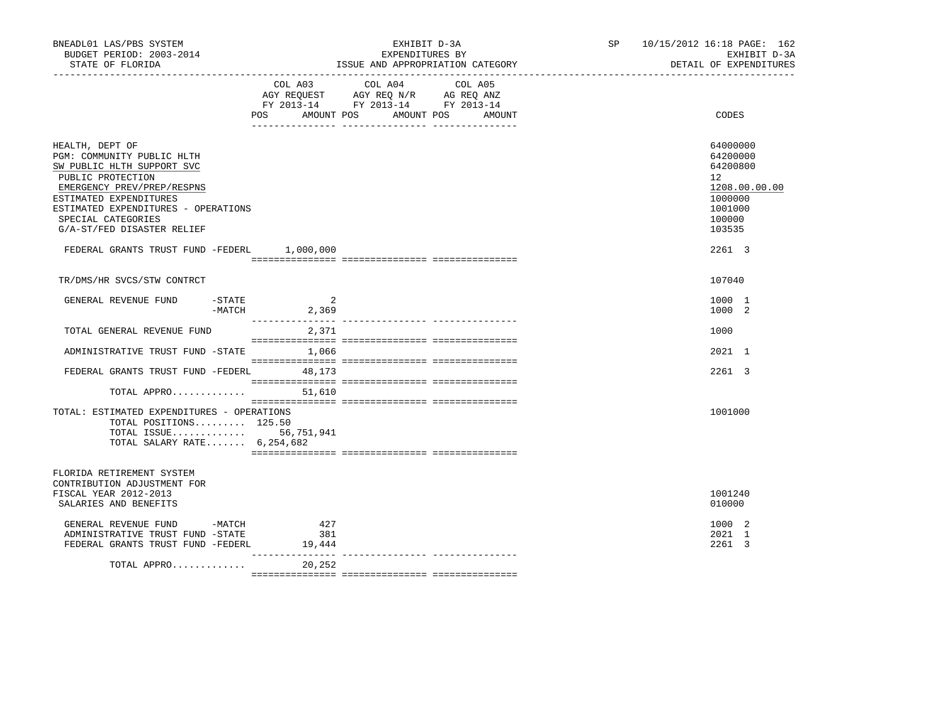| BNEADL01 LAS/PBS SYSTEM<br>BUDGET PERIOD: 2003-2014<br>STATE OF FLORIDA                                                                                                                                                                             |                      | EXHIBIT D-3A<br>EXPENDITURES BY<br>ISSUE AND APPROPRIATION CATEGORY                                                       | SP and the set of the set of the set of the set of the set of the set of the set of the set of the set of the set of the set of the set of the set of the set of the set of the set of the set of the set of the set of the se | 10/15/2012 16:18 PAGE: 162<br>EXHIBIT D-3A<br>DETAIL OF EXPENDITURES                              |
|-----------------------------------------------------------------------------------------------------------------------------------------------------------------------------------------------------------------------------------------------------|----------------------|---------------------------------------------------------------------------------------------------------------------------|--------------------------------------------------------------------------------------------------------------------------------------------------------------------------------------------------------------------------------|---------------------------------------------------------------------------------------------------|
|                                                                                                                                                                                                                                                     | POS AMOUNT POS       | COL A03 COL A04 COL A05<br>AGY REQUEST AGY REQ N/R AG REQ ANZ<br>FY 2013-14 FY 2013-14 FY 2013-14<br>AMOUNT POS<br>AMOUNT |                                                                                                                                                                                                                                | CODES                                                                                             |
| HEALTH, DEPT OF<br>PGM: COMMUNITY PUBLIC HLTH<br>SW PUBLIC HLTH SUPPORT SVC<br>PUBLIC PROTECTION<br>EMERGENCY PREV/PREP/RESPNS<br>ESTIMATED EXPENDITURES<br>ESTIMATED EXPENDITURES - OPERATIONS<br>SPECIAL CATEGORIES<br>G/A-ST/FED DISASTER RELIEF |                      |                                                                                                                           |                                                                                                                                                                                                                                | 64000000<br>64200000<br>64200800<br>12<br>1208.00.00.00<br>1000000<br>1001000<br>100000<br>103535 |
| FEDERAL GRANTS TRUST FUND -FEDERL 1,000,000                                                                                                                                                                                                         |                      |                                                                                                                           |                                                                                                                                                                                                                                | 2261 3                                                                                            |
| TR/DMS/HR SVCS/STW CONTRCT                                                                                                                                                                                                                          |                      |                                                                                                                           |                                                                                                                                                                                                                                | 107040                                                                                            |
| $-$ STATE<br>GENERAL REVENUE FUND                                                                                                                                                                                                                   | 2<br>$-MATCH$ 2,369  |                                                                                                                           |                                                                                                                                                                                                                                | 1000 1<br>1000 2                                                                                  |
| TOTAL GENERAL REVENUE FUND                                                                                                                                                                                                                          | 2,371                |                                                                                                                           |                                                                                                                                                                                                                                | 1000                                                                                              |
| ADMINISTRATIVE TRUST FUND -STATE                                                                                                                                                                                                                    | 1,066                |                                                                                                                           |                                                                                                                                                                                                                                | 2021 1                                                                                            |
| FEDERAL GRANTS TRUST FUND -FEDERL 48,173                                                                                                                                                                                                            |                      |                                                                                                                           |                                                                                                                                                                                                                                | 2261 3                                                                                            |
| TOTAL APPRO $51,610$                                                                                                                                                                                                                                |                      |                                                                                                                           |                                                                                                                                                                                                                                |                                                                                                   |
| TOTAL: ESTIMATED EXPENDITURES - OPERATIONS<br>TOTAL POSITIONS 125.50<br>TOTAL ISSUE 56,751,941<br>TOTAL SALARY RATE $6,254,682$                                                                                                                     |                      |                                                                                                                           |                                                                                                                                                                                                                                | 1001000                                                                                           |
| FLORIDA RETIREMENT SYSTEM<br>CONTRIBUTION ADJUSTMENT FOR<br>FISCAL YEAR 2012-2013<br>SALARIES AND BENEFITS                                                                                                                                          |                      |                                                                                                                           |                                                                                                                                                                                                                                | 1001240<br>010000                                                                                 |
| GENERAL REVENUE FUND -MATCH<br>ADMINISTRATIVE TRUST FUND -STATE<br>FEDERAL GRANTS TRUST FUND -FEDERL                                                                                                                                                | 427<br>381<br>19,444 |                                                                                                                           |                                                                                                                                                                                                                                | 1000 2<br>2021 1<br>2261 3                                                                        |
| TOTAL APPRO                                                                                                                                                                                                                                         | 20,252               |                                                                                                                           |                                                                                                                                                                                                                                |                                                                                                   |
|                                                                                                                                                                                                                                                     |                      |                                                                                                                           |                                                                                                                                                                                                                                |                                                                                                   |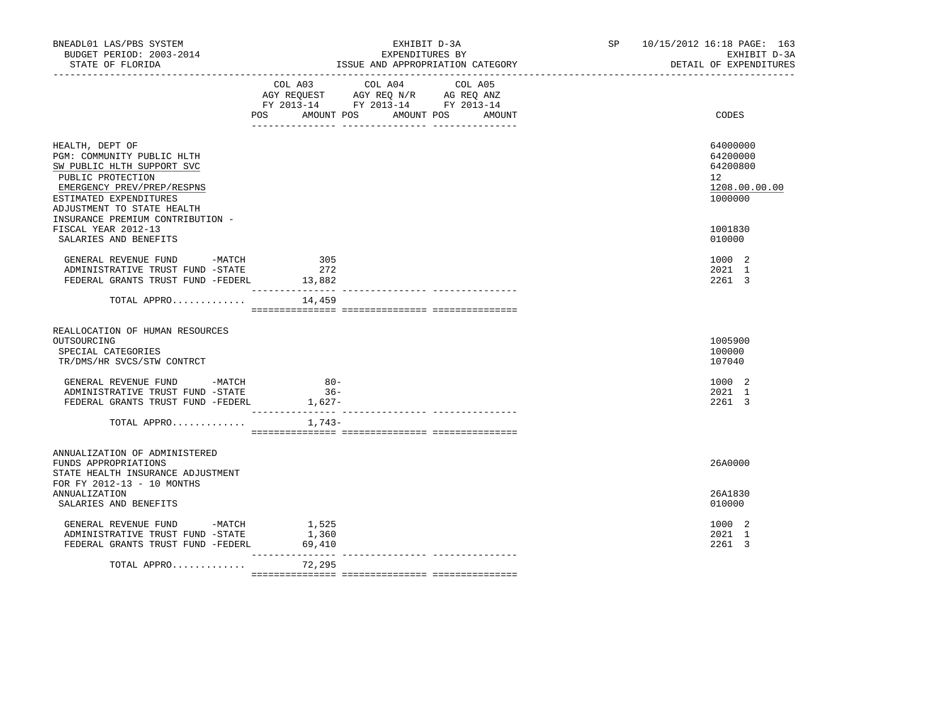| BNEADL01 LAS/PBS SYSTEM<br>BUDGET PERIOD: 2003-2014<br>STATE OF FLORIDA                                                                                                                | EXHIBIT D-3A<br>EXPENDITURES BY<br>ISSUE AND APPROPRIATION CATEGORY                                                                         | 10/15/2012 16:18 PAGE: 163<br>SP and the set of the set of the set of the set of the set of the set of the set of the set of the set of the set of the set of the set of the set of the set of the set of the set of the set of the set of the set of the se<br>EXHIBIT D-3A<br>DETAIL OF EXPENDITURES |
|----------------------------------------------------------------------------------------------------------------------------------------------------------------------------------------|---------------------------------------------------------------------------------------------------------------------------------------------|--------------------------------------------------------------------------------------------------------------------------------------------------------------------------------------------------------------------------------------------------------------------------------------------------------|
|                                                                                                                                                                                        | COL A04<br>COL A03<br>COL A05<br>AGY REQUEST AGY REQ N/R AG REQ ANZ<br>FY 2013-14 FY 2013-14 FY 2013-14<br>POS AMOUNT POS AMOUNT POS AMOUNT | CODES                                                                                                                                                                                                                                                                                                  |
| HEALTH, DEPT OF<br>PGM: COMMUNITY PUBLIC HLTH<br>SW PUBLIC HLTH SUPPORT SVC<br>PUBLIC PROTECTION<br>EMERGENCY PREV/PREP/RESPNS<br>ESTIMATED EXPENDITURES<br>ADJUSTMENT TO STATE HEALTH |                                                                                                                                             | 64000000<br>64200000<br>64200800<br>12<br>1208.00.00.00<br>1000000                                                                                                                                                                                                                                     |
| INSURANCE PREMIUM CONTRIBUTION -<br>FISCAL YEAR 2012-13<br>SALARIES AND BENEFITS                                                                                                       |                                                                                                                                             | 1001830<br>010000                                                                                                                                                                                                                                                                                      |
| GENERAL REVENUE FUND -MATCH<br>ADMINISTRATIVE TRUST FUND -STATE<br>FEDERAL GRANTS TRUST FUND -FEDERL                                                                                   | 305<br>272<br>13,882<br>-----------                                                                                                         | 1000 2<br>2021 1<br>2261 3                                                                                                                                                                                                                                                                             |
| TOTAL APPRO                                                                                                                                                                            | 14,459                                                                                                                                      |                                                                                                                                                                                                                                                                                                        |
| REALLOCATION OF HUMAN RESOURCES<br>OUTSOURCING<br>SPECIAL CATEGORIES<br>TR/DMS/HR SVCS/STW CONTRCT                                                                                     |                                                                                                                                             | 1005900<br>100000<br>107040                                                                                                                                                                                                                                                                            |
| GENERAL REVENUE FUND -MATCH<br>ADMINISTRATIVE TRUST FUND -STATE<br>FEDERAL GRANTS TRUST FUND -FEDERL                                                                                   | $80 -$<br>$36 -$<br>1,627-                                                                                                                  | 1000 2<br>2021 1<br>2261 3                                                                                                                                                                                                                                                                             |
| TOTAL APPRO                                                                                                                                                                            | 1,743-                                                                                                                                      |                                                                                                                                                                                                                                                                                                        |
| ANNUALIZATION OF ADMINISTERED<br>FUNDS APPROPRIATIONS<br>STATE HEALTH INSURANCE ADJUSTMENT                                                                                             |                                                                                                                                             | 26A0000                                                                                                                                                                                                                                                                                                |
| FOR FY 2012-13 - 10 MONTHS<br><b>ANNUALIZATION</b><br>SALARIES AND BENEFITS                                                                                                            |                                                                                                                                             | 26A1830<br>010000                                                                                                                                                                                                                                                                                      |
| GENERAL REVENUE FUND -MATCH<br>ADMINISTRATIVE TRUST FUND -STATE<br>FEDERAL GRANTS TRUST FUND -FEDERL                                                                                   | 1,525<br>1,360<br>69,410                                                                                                                    | 1000 2<br>2021 1<br>2261 3                                                                                                                                                                                                                                                                             |
| TOTAL APPRO                                                                                                                                                                            | 72,295                                                                                                                                      |                                                                                                                                                                                                                                                                                                        |
|                                                                                                                                                                                        |                                                                                                                                             |                                                                                                                                                                                                                                                                                                        |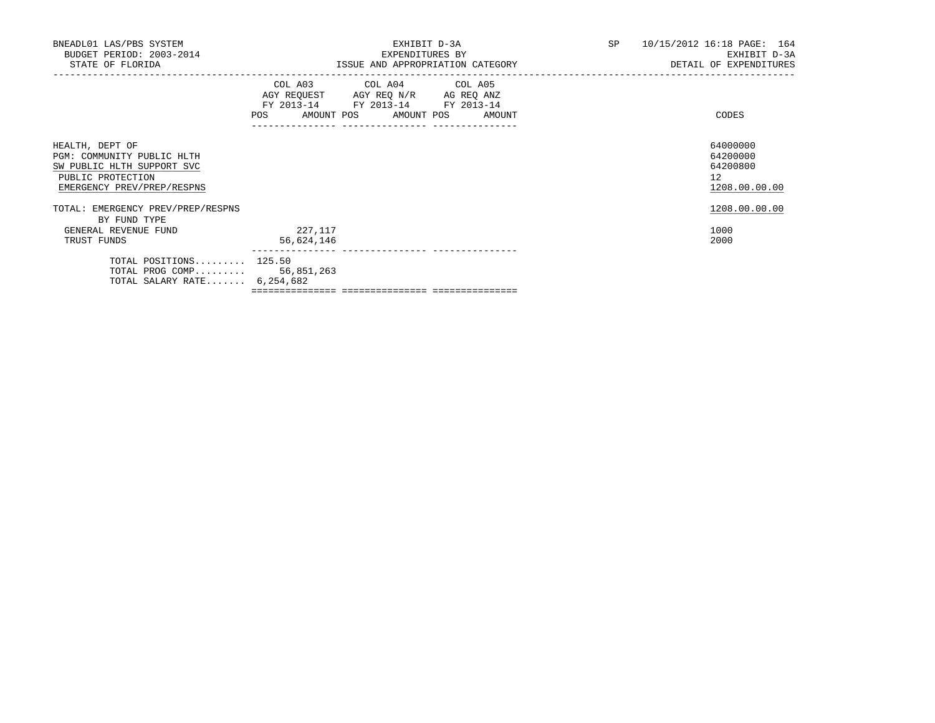| BNEADL01 LAS/PBS SYSTEM<br>BUDGET PERIOD: 2003-2014<br>STATE OF FLORIDA                                                        |                       | EXHIBIT D-3A<br>EXPENDITURES BY<br>ISSUE AND APPROPRIATION CATEGORY                                                                   | SP 10/15/2012 16:18 PAGE: 164<br>EXHIBIT D-3A<br>DETAIL OF EXPENDITURES |
|--------------------------------------------------------------------------------------------------------------------------------|-----------------------|---------------------------------------------------------------------------------------------------------------------------------------|-------------------------------------------------------------------------|
|                                                                                                                                |                       | COL A03 COL A04 COL A05<br>AGY REQUEST AGY REQ N/R AG REQ ANZ<br>FY 2013-14 FY 2013-14 FY 2013-14<br>POS AMOUNT POS AMOUNT POS AMOUNT | CODES                                                                   |
| HEALTH, DEPT OF<br>PGM: COMMUNITY PUBLIC HLTH<br>SW PUBLIC HLTH SUPPORT SVC<br>PUBLIC PROTECTION<br>EMERGENCY PREV/PREP/RESPNS |                       |                                                                                                                                       | 64000000<br>64200000<br>64200800<br>12<br>1208.00.00.00                 |
| TOTAL: EMERGENCY PREV/PREP/RESPNS<br>BY FUND TYPE                                                                              |                       |                                                                                                                                       | 1208.00.00.00                                                           |
| GENERAL REVENUE FUND<br>TRUST FUNDS                                                                                            | 227,117<br>56,624,146 |                                                                                                                                       | 1000<br>2000                                                            |
| TOTAL POSITIONS $125.50$<br>TOTAL PROG COMP 56,851,263<br>TOTAL SALARY RATE $6,254,682$                                        |                       |                                                                                                                                       |                                                                         |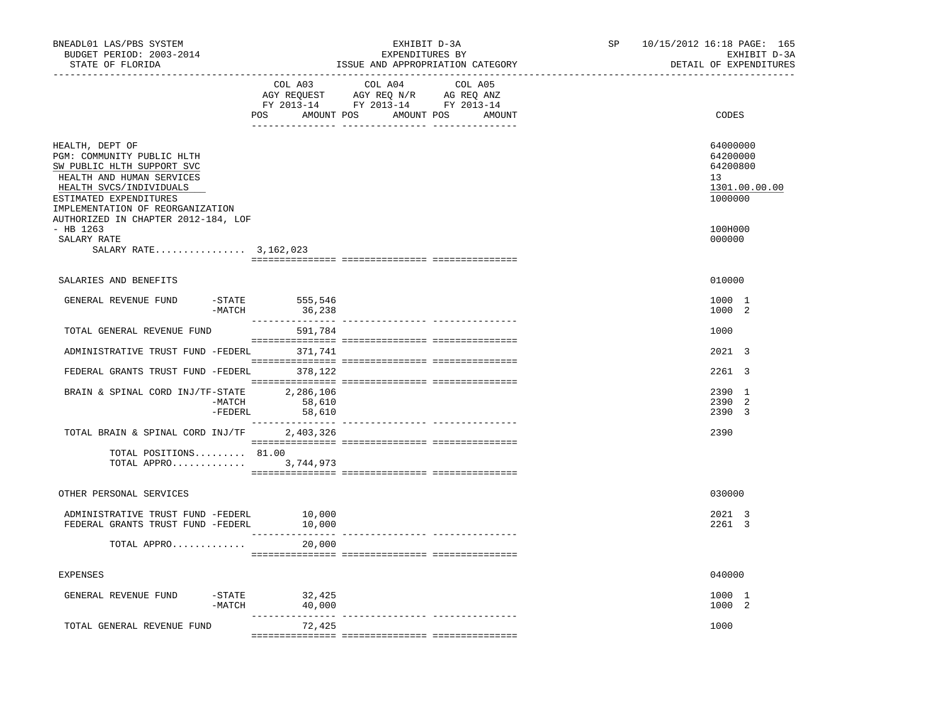| BNEADL01 LAS/PBS SYSTEM<br>BUDGET PERIOD: 2003-2014<br>STATE OF FLORIDA<br>_________________________________                                                                                                                             | EXHIBIT D-3A<br>EXPENDITURES BY<br>ISSUE AND APPROPRIATION CATEGORY |                                                                                   |         |  | SP<br>------------------------------- | 10/15/2012 16:18 PAGE: 165<br>EXHIBIT D-3A<br>DETAIL OF EXPENDITURES |
|------------------------------------------------------------------------------------------------------------------------------------------------------------------------------------------------------------------------------------------|---------------------------------------------------------------------|-----------------------------------------------------------------------------------|---------|--|---------------------------------------|----------------------------------------------------------------------|
|                                                                                                                                                                                                                                          | COL A03<br>POS AMOUNT POS AMOUNT POS AMOUNT                         | COL A04<br>AGY REQUEST AGY REQ N/R AG REQ ANZ<br>FY 2013-14 FY 2013-14 FY 2013-14 | COL A05 |  |                                       | CODES                                                                |
| HEALTH, DEPT OF<br>PGM: COMMUNITY PUBLIC HLTH<br>SW PUBLIC HLTH SUPPORT SVC<br>HEALTH AND HUMAN SERVICES<br>HEALTH SVCS/INDIVIDUALS<br>ESTIMATED EXPENDITURES<br>IMPLEMENTATION OF REORGANIZATION<br>AUTHORIZED IN CHAPTER 2012-184, LOF |                                                                     |                                                                                   |         |  |                                       | 64000000<br>64200000<br>64200800<br>13<br>1301.00.00.00<br>1000000   |
| $-$ HB 1263<br>SALARY RATE<br>SALARY RATE 3,162,023                                                                                                                                                                                      |                                                                     |                                                                                   |         |  |                                       | 100H000<br>000000                                                    |
| SALARIES AND BENEFITS                                                                                                                                                                                                                    |                                                                     |                                                                                   |         |  |                                       | 010000                                                               |
| GENERAL REVENUE FUND<br>$-MATCH$                                                                                                                                                                                                         | $-$ STATE 555,546<br>36,238                                         |                                                                                   |         |  |                                       | 1000 1<br>1000 2                                                     |
| TOTAL GENERAL REVENUE FUND                                                                                                                                                                                                               | 591,784                                                             |                                                                                   |         |  |                                       | 1000                                                                 |
| ADMINISTRATIVE TRUST FUND -FEDERL 371,741                                                                                                                                                                                                |                                                                     |                                                                                   |         |  |                                       | 2021 3                                                               |
| FEDERAL GRANTS TRUST FUND -FEDERL 378,122                                                                                                                                                                                                |                                                                     |                                                                                   |         |  |                                       | 2261 3                                                               |
| BRAIN & SPINAL CORD INJ/TF-STATE 2,286,106<br>-MATCH<br>$-FEDERL$                                                                                                                                                                        | 58,610<br>58,610                                                    |                                                                                   |         |  |                                       | 2390 1<br>2390 2<br>2390 3                                           |
| TOTAL BRAIN & SPINAL CORD INJ/TF 2,403,326                                                                                                                                                                                               |                                                                     |                                                                                   |         |  |                                       | 2390                                                                 |
| TOTAL POSITIONS 81.00<br>TOTAL APPRO 3,744,973                                                                                                                                                                                           |                                                                     |                                                                                   |         |  |                                       |                                                                      |
| OTHER PERSONAL SERVICES                                                                                                                                                                                                                  |                                                                     |                                                                                   |         |  |                                       | 030000                                                               |
| ADMINISTRATIVE TRUST FUND -FEDERL<br>FEDERAL GRANTS TRUST FUND -FEDERL                                                                                                                                                                   | 10,000<br>10,000                                                    |                                                                                   |         |  |                                       | 2021 3<br>2261 3                                                     |
| TOTAL APPRO                                                                                                                                                                                                                              | 20,000                                                              |                                                                                   |         |  |                                       |                                                                      |
| <b>EXPENSES</b>                                                                                                                                                                                                                          |                                                                     |                                                                                   |         |  |                                       | 040000                                                               |
| GENERAL REVENUE FUND<br>$-MATCH$                                                                                                                                                                                                         | $-STATE$ 32,425<br>40,000                                           |                                                                                   |         |  |                                       | 1000 1<br>1000 2                                                     |
| TOTAL GENERAL REVENUE FUND                                                                                                                                                                                                               | 72,425                                                              |                                                                                   |         |  |                                       | 1000                                                                 |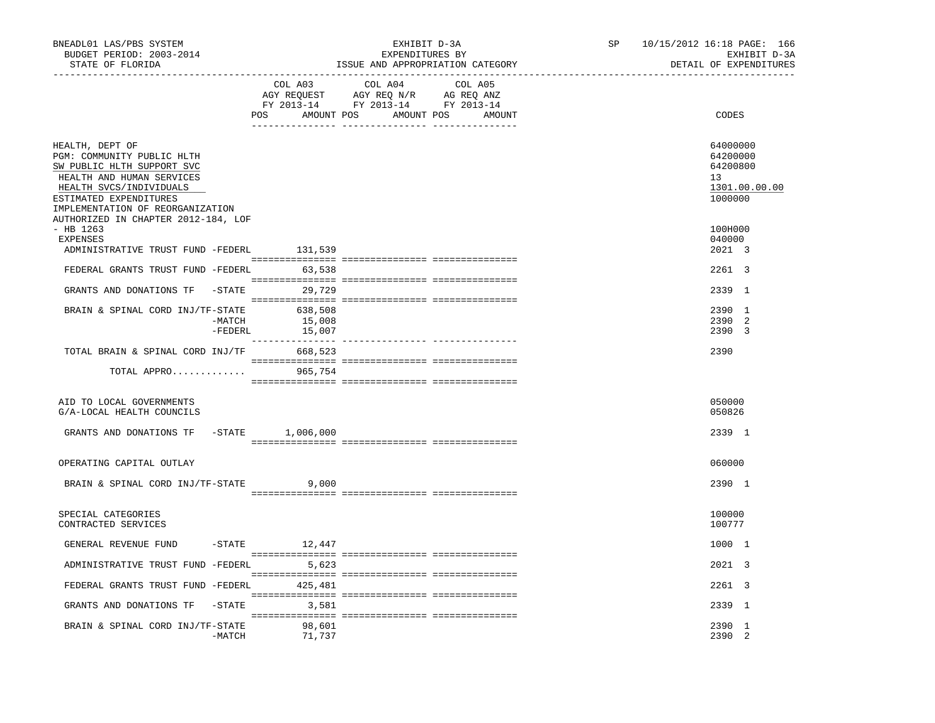| BNEADL01 LAS/PBS SYSTEM<br>BUDGET PERIOD: 2003-2014<br>STATE OF FLORIDA                                                                                                                                                                  |                   | _________________________________ | EXHIBIT D-3A<br>EXPENDITURES BY<br>ISSUE AND APPROPRIATION CATEGORY                                                   | SP<br>----------------------- | 10/15/2012 16:18 PAGE: 166<br>EXHIBIT D-3A<br>DETAIL OF EXPENDITURES |                                                                    |
|------------------------------------------------------------------------------------------------------------------------------------------------------------------------------------------------------------------------------------------|-------------------|-----------------------------------|-----------------------------------------------------------------------------------------------------------------------|-------------------------------|----------------------------------------------------------------------|--------------------------------------------------------------------|
|                                                                                                                                                                                                                                          |                   | COL A03                           | COL A04<br>AGY REQUEST AGY REQ N/R AG REQ ANZ<br>FY 2013-14 FY 2013-14 FY 2013-14<br>POS AMOUNT POS AMOUNT POS AMOUNT | COL A05                       |                                                                      | CODES                                                              |
| HEALTH, DEPT OF<br>PGM: COMMUNITY PUBLIC HLTH<br>SW PUBLIC HLTH SUPPORT SVC<br>HEALTH AND HUMAN SERVICES<br>HEALTH SVCS/INDIVIDUALS<br>ESTIMATED EXPENDITURES<br>IMPLEMENTATION OF REORGANIZATION<br>AUTHORIZED IN CHAPTER 2012-184, LOF |                   |                                   |                                                                                                                       |                               |                                                                      | 64000000<br>64200000<br>64200800<br>13<br>1301.00.00.00<br>1000000 |
| $-$ HB 1263<br>EXPENSES                                                                                                                                                                                                                  |                   |                                   |                                                                                                                       |                               |                                                                      | 100H000<br>040000                                                  |
| ADMINISTRATIVE TRUST FUND -FEDERL                                                                                                                                                                                                        |                   | 131,539                           |                                                                                                                       |                               |                                                                      | 2021 3                                                             |
| FEDERAL GRANTS TRUST FUND -FEDERL 63,538                                                                                                                                                                                                 |                   |                                   |                                                                                                                       |                               |                                                                      | 2261 3                                                             |
| GRANTS AND DONATIONS TF -STATE 29,729                                                                                                                                                                                                    |                   |                                   |                                                                                                                       |                               |                                                                      | 2339 1                                                             |
| BRAIN & SPINAL CORD INJ/TF-STATE 638,508                                                                                                                                                                                                 | -MATCH<br>-FEDERL | 15,008<br>15,007                  |                                                                                                                       |                               |                                                                      | 2390 1<br>2390 2<br>2390 3                                         |
| TOTAL BRAIN & SPINAL CORD INJ/TF 668,523                                                                                                                                                                                                 |                   |                                   |                                                                                                                       |                               |                                                                      | 2390                                                               |
| TOTAL APPRO                                                                                                                                                                                                                              |                   | 965,754                           |                                                                                                                       |                               |                                                                      |                                                                    |
| AID TO LOCAL GOVERNMENTS<br>G/A-LOCAL HEALTH COUNCILS                                                                                                                                                                                    |                   |                                   |                                                                                                                       |                               |                                                                      | 050000<br>050826                                                   |
| GRANTS AND DONATIONS TF -STATE 1,006,000                                                                                                                                                                                                 |                   |                                   |                                                                                                                       |                               |                                                                      | 2339 1                                                             |
| OPERATING CAPITAL OUTLAY                                                                                                                                                                                                                 |                   |                                   |                                                                                                                       |                               |                                                                      | 060000                                                             |
| BRAIN & SPINAL CORD INJ/TF-STATE                                                                                                                                                                                                         |                   | 9,000                             |                                                                                                                       |                               |                                                                      | 2390 1                                                             |
| SPECIAL CATEGORIES<br>CONTRACTED SERVICES                                                                                                                                                                                                |                   |                                   |                                                                                                                       |                               |                                                                      | 100000<br>100777                                                   |
| GENERAL REVENUE FUND                                                                                                                                                                                                                     |                   | $-STATE$ 12,447                   |                                                                                                                       |                               |                                                                      | 1000 1                                                             |
| ADMINISTRATIVE TRUST FUND -FEDERL 5,623                                                                                                                                                                                                  |                   |                                   |                                                                                                                       |                               |                                                                      | 2021 3                                                             |
| FEDERAL GRANTS TRUST FUND -FEDERL 425,481                                                                                                                                                                                                |                   |                                   |                                                                                                                       |                               |                                                                      | 2261 3                                                             |
| GRANTS AND DONATIONS TF                                                                                                                                                                                                                  |                   | $-STATE$ 3,581                    |                                                                                                                       |                               |                                                                      | 2339 1                                                             |
| BRAIN & SPINAL CORD INJ/TF-STATE                                                                                                                                                                                                         | -MATCH            | 98,601<br>71,737                  |                                                                                                                       |                               |                                                                      | 2390 1<br>2390 2                                                   |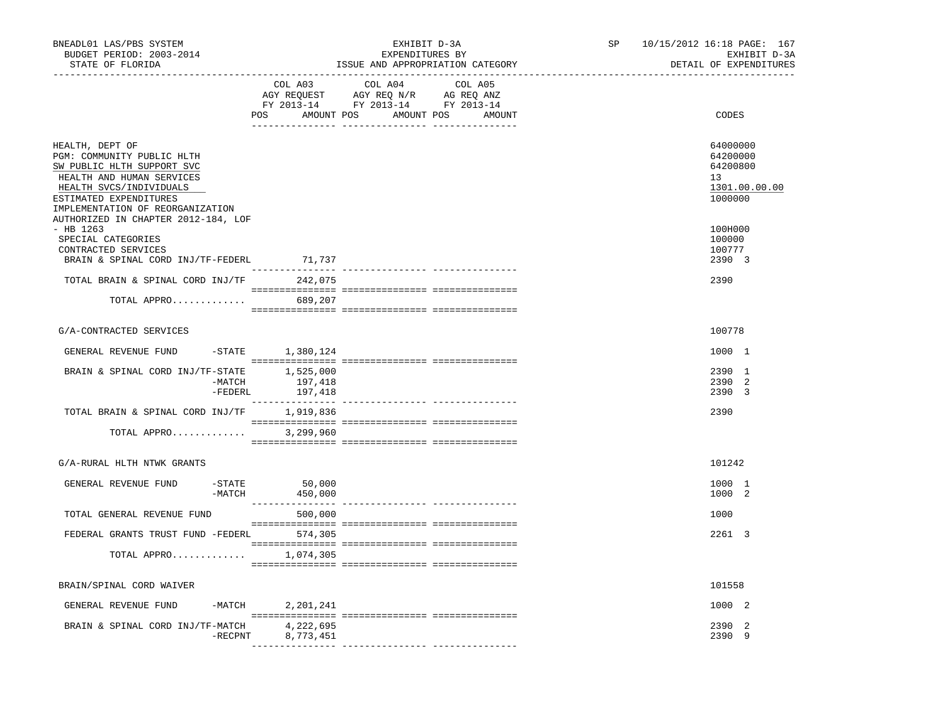| BNEADL01 LAS/PBS SYSTEM<br>BUDGET PERIOD: 2003-2014<br>STATE OF FLORIDA                                                                                                  |                                     | EXHIBIT D-3A<br>EXPENDITURES BY<br>ISSUE AND APPROPRIATION CATEGORY                                                | SP and the set of the set of the set of the set of the set of the set of the set of the set of the set of the set of the set of the set of the set of the set of the set of the set of the set of the set of the set of the se | 10/15/2012 16:18 PAGE: 167<br>EXHIBIT D-3A<br>DETAIL OF EXPENDITURES |                                                                    |
|--------------------------------------------------------------------------------------------------------------------------------------------------------------------------|-------------------------------------|--------------------------------------------------------------------------------------------------------------------|--------------------------------------------------------------------------------------------------------------------------------------------------------------------------------------------------------------------------------|----------------------------------------------------------------------|--------------------------------------------------------------------|
|                                                                                                                                                                          | POS                                 | COL A03 COL A04<br>AGY REQUEST AGY REQ N/R AG REQ ANZ<br>FY 2013-14 FY 2013-14 FY 2013-14<br>AMOUNT POS AMOUNT POS | COL A05<br>AMOUNT                                                                                                                                                                                                              |                                                                      | CODES                                                              |
| HEALTH, DEPT OF<br>PGM: COMMUNITY PUBLIC HLTH<br>SW PUBLIC HLTH SUPPORT SVC<br>HEALTH AND HUMAN SERVICES<br>HEALTH SVCS/INDIVIDUALS<br>ESTIMATED EXPENDITURES            |                                     |                                                                                                                    |                                                                                                                                                                                                                                |                                                                      | 64000000<br>64200000<br>64200800<br>13<br>1301.00.00.00<br>1000000 |
| IMPLEMENTATION OF REORGANIZATION<br>AUTHORIZED IN CHAPTER 2012-184, LOF<br>$-$ HB 1263<br>SPECIAL CATEGORIES<br>CONTRACTED SERVICES<br>BRAIN & SPINAL CORD INJ/TF-FEDERL | 71,737                              |                                                                                                                    |                                                                                                                                                                                                                                |                                                                      | 100H000<br>100000<br>100777<br>2390 3                              |
| TOTAL BRAIN & SPINAL CORD INJ/TF 242,075                                                                                                                                 |                                     |                                                                                                                    |                                                                                                                                                                                                                                |                                                                      | 2390                                                               |
| TOTAL APPRO 689,207                                                                                                                                                      |                                     |                                                                                                                    |                                                                                                                                                                                                                                |                                                                      |                                                                    |
| G/A-CONTRACTED SERVICES                                                                                                                                                  |                                     |                                                                                                                    |                                                                                                                                                                                                                                |                                                                      | 100778                                                             |
| GENERAL REVENUE FUND                                                                                                                                                     | $-$ STATE $1,380,124$               |                                                                                                                    |                                                                                                                                                                                                                                |                                                                      | 1000 1                                                             |
| BRAIN & SPINAL CORD INJ/TF-STATE 1,525,000<br>-MATCH<br>-FEDERL                                                                                                          | 197,418<br>197,418                  |                                                                                                                    |                                                                                                                                                                                                                                |                                                                      | 2390 1<br>2390 2<br>2390 3                                         |
| TOTAL BRAIN & SPINAL CORD INJ/TF                                                                                                                                         | 1,919,836                           |                                                                                                                    |                                                                                                                                                                                                                                |                                                                      | 2390                                                               |
| TOTAL APPRO                                                                                                                                                              | 3,299,960                           |                                                                                                                    |                                                                                                                                                                                                                                |                                                                      |                                                                    |
| G/A-RURAL HLTH NTWK GRANTS                                                                                                                                               |                                     |                                                                                                                    |                                                                                                                                                                                                                                |                                                                      | 101242                                                             |
| $-STATE$<br>GENERAL REVENUE FUND<br>$-MATCH$                                                                                                                             | 50,000<br>450,000                   |                                                                                                                    |                                                                                                                                                                                                                                |                                                                      | 1000 1<br>1000 2                                                   |
| TOTAL GENERAL REVENUE FUND                                                                                                                                               | 500,000                             |                                                                                                                    |                                                                                                                                                                                                                                |                                                                      | 1000                                                               |
| FEDERAL GRANTS TRUST FUND -FEDERL 574,305                                                                                                                                |                                     |                                                                                                                    |                                                                                                                                                                                                                                |                                                                      | 2261 3                                                             |
| TOTAL APPRO 1,074,305                                                                                                                                                    |                                     |                                                                                                                    |                                                                                                                                                                                                                                |                                                                      |                                                                    |
| BRAIN/SPINAL CORD WAIVER                                                                                                                                                 |                                     |                                                                                                                    |                                                                                                                                                                                                                                |                                                                      | 101558                                                             |
| GENERAL REVENUE FUND<br>-MATCH                                                                                                                                           | 2,201,241                           |                                                                                                                    |                                                                                                                                                                                                                                |                                                                      | 1000 2                                                             |
| BRAIN & SPINAL CORD INJ/TF-MATCH<br>$-$ RECPNT                                                                                                                           | 4,222,695<br>8,773,451<br>--------- |                                                                                                                    |                                                                                                                                                                                                                                |                                                                      | 2390 2<br>2390 9                                                   |
|                                                                                                                                                                          |                                     |                                                                                                                    |                                                                                                                                                                                                                                |                                                                      |                                                                    |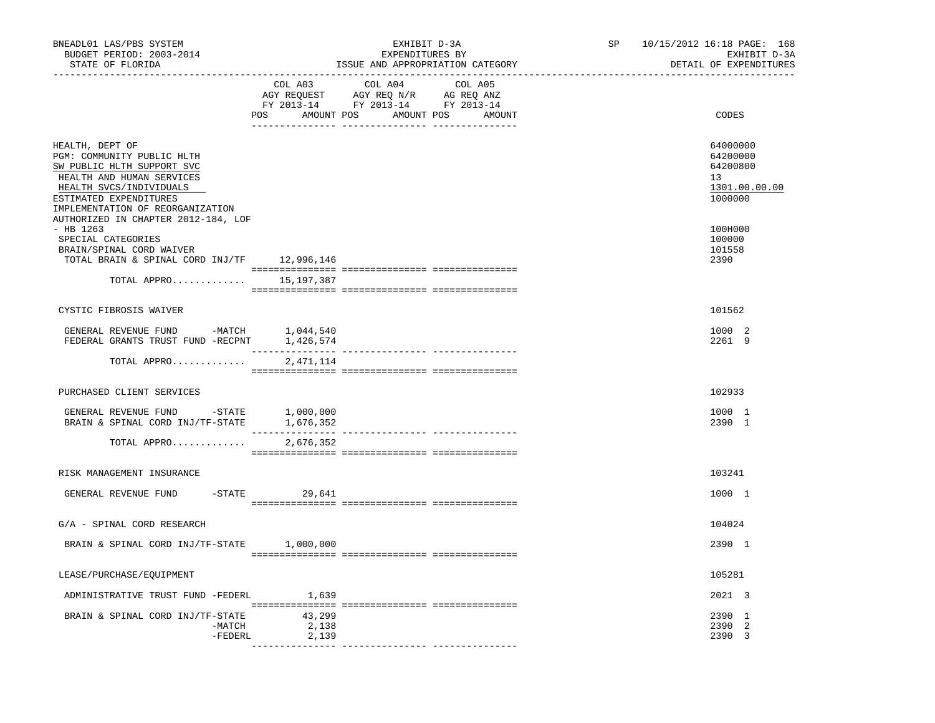| BNEADL01 LAS/PBS SYSTEM<br>BUDGET PERIOD: 2003-2014<br>STATE OF FLORIDA                                                                                                                                                                                                       |                          | EXHIBIT D-3A<br>EXPENDITURES BY<br>ISSUE AND APPROPRIATION CATEGORY                                                                 | SP | 10/15/2012 16:18 PAGE: 168<br>EXHIBIT D-3A<br>DETAIL OF EXPENDITURES                    |
|-------------------------------------------------------------------------------------------------------------------------------------------------------------------------------------------------------------------------------------------------------------------------------|--------------------------|-------------------------------------------------------------------------------------------------------------------------------------|----|-----------------------------------------------------------------------------------------|
|                                                                                                                                                                                                                                                                               | COL A03                  | COL A04<br>COL A05<br>CO AGY REQUEST AGY REQ N/R AG REQ ANZ<br>FY 2013-14 FY 2013-14 FY 2013-14<br>POS AMOUNT POS AMOUNT POS AMOUNT |    | CODES                                                                                   |
| HEALTH, DEPT OF<br>PGM: COMMUNITY PUBLIC HLTH<br>SW PUBLIC HLTH SUPPORT SVC<br>HEALTH AND HUMAN SERVICES<br>HEALTH SVCS/INDIVIDUALS<br>ESTIMATED EXPENDITURES<br>IMPLEMENTATION OF REORGANIZATION<br>AUTHORIZED IN CHAPTER 2012-184, LOF<br>$-$ HB 1263<br>SPECIAL CATEGORIES |                          |                                                                                                                                     |    | 64000000<br>64200000<br>64200800<br>13<br>1301.00.00.00<br>1000000<br>100H000<br>100000 |
| BRAIN/SPINAL CORD WAIVER<br>TOTAL BRAIN & SPINAL CORD INJ/TF 12,996,146                                                                                                                                                                                                       |                          |                                                                                                                                     |    | 101558<br>2390                                                                          |
| TOTAL APPRO                                                                                                                                                                                                                                                                   | 15,197,387               |                                                                                                                                     |    |                                                                                         |
| CYSTIC FIBROSIS WAIVER                                                                                                                                                                                                                                                        |                          |                                                                                                                                     |    | 101562                                                                                  |
| GENERAL REVENUE FUND -MATCH<br>FEDERAL GRANTS TRUST FUND -RECPNT 1,426,574                                                                                                                                                                                                    | 1,044,540                |                                                                                                                                     |    | 1000 2<br>2261 9                                                                        |
| TOTAL APPRO                                                                                                                                                                                                                                                                   | 2,471,114                |                                                                                                                                     |    |                                                                                         |
| PURCHASED CLIENT SERVICES                                                                                                                                                                                                                                                     |                          |                                                                                                                                     |    | 102933                                                                                  |
| GENERAL REVENUE FUND -STATE<br>BRAIN & SPINAL CORD INJ/TF-STATE                                                                                                                                                                                                               | 1,000,000<br>1,676,352   |                                                                                                                                     |    | 1000 1<br>2390 1                                                                        |
| TOTAL APPRO                                                                                                                                                                                                                                                                   | 2,676,352                |                                                                                                                                     |    |                                                                                         |
| RISK MANAGEMENT INSURANCE                                                                                                                                                                                                                                                     |                          |                                                                                                                                     |    | 103241                                                                                  |
| GENERAL REVENUE FUND                                                                                                                                                                                                                                                          | $-STATE$ 29,641          |                                                                                                                                     |    | 1000 1                                                                                  |
| G/A - SPINAL CORD RESEARCH                                                                                                                                                                                                                                                    |                          |                                                                                                                                     |    | 104024                                                                                  |
| BRAIN & SPINAL CORD INJ/TF-STATE 1,000,000                                                                                                                                                                                                                                    |                          |                                                                                                                                     |    | 2390 1                                                                                  |
| LEASE/PURCHASE/EQUIPMENT                                                                                                                                                                                                                                                      |                          |                                                                                                                                     |    | 105281                                                                                  |
| ADMINISTRATIVE TRUST FUND -FEDERL                                                                                                                                                                                                                                             | 1,639                    |                                                                                                                                     |    | 2021 3                                                                                  |
| BRAIN & SPINAL CORD INJ/TF-STATE<br>$-MATCH$<br>-FEDERL                                                                                                                                                                                                                       | 43,299<br>2,138<br>2,139 |                                                                                                                                     |    | 2390 1<br>2390 2<br>2390 3                                                              |
|                                                                                                                                                                                                                                                                               |                          |                                                                                                                                     |    |                                                                                         |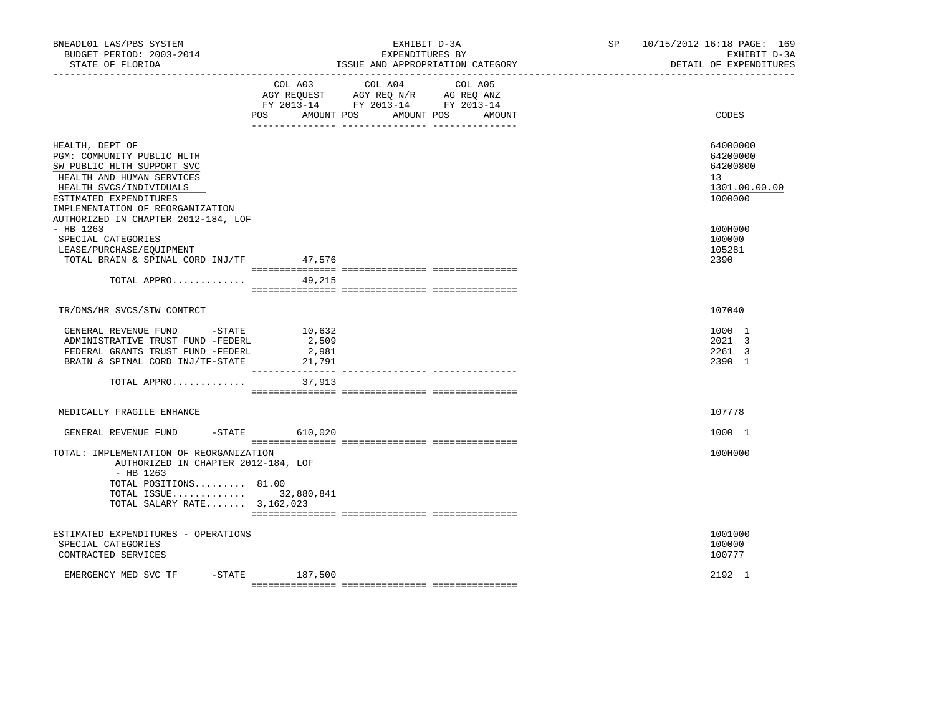| BNEADL01 LAS/PBS SYSTEM<br>BUDGET PERIOD: 2003-2014<br>STATE OF FLORIDA                                                                                                                           |                          | EXHIBIT D-3A<br>EXPENDITURES BY<br>ISSUE AND APPROPRIATION CATEGORY                                                       | SP 10/15/2012 16:18 PAGE: 169<br>EXHIBIT D-3A<br>DETAIL OF EXPENDITURES |
|---------------------------------------------------------------------------------------------------------------------------------------------------------------------------------------------------|--------------------------|---------------------------------------------------------------------------------------------------------------------------|-------------------------------------------------------------------------|
|                                                                                                                                                                                                   | POS<br>AMOUNT POS        | COL A03 COL A04 COL A05<br>AGY REQUEST AGY REQ N/R AG REQ ANZ<br>FY 2013-14 FY 2013-14 FY 2013-14<br>AMOUNT POS<br>AMOUNT | CODES                                                                   |
| HEALTH, DEPT OF<br>PGM: COMMUNITY PUBLIC HLTH<br>SW PUBLIC HLTH SUPPORT SVC<br>HEALTH AND HUMAN SERVICES<br>HEALTH SVCS/INDIVIDUALS<br>ESTIMATED EXPENDITURES<br>IMPLEMENTATION OF REORGANIZATION |                          |                                                                                                                           | 64000000<br>64200000<br>64200800<br>13<br>1301.00.00.00<br>1000000      |
| AUTHORIZED IN CHAPTER 2012-184, LOF<br>- HB 1263<br>SPECIAL CATEGORIES<br>LEASE/PURCHASE/EQUIPMENT<br>TOTAL BRAIN & SPINAL CORD INJ/TF<br>TOTAL APPRO                                             | 47,576<br>49,215         |                                                                                                                           | 100H000<br>100000<br>105281<br>2390                                     |
| TR/DMS/HR SVCS/STW CONTRCT                                                                                                                                                                        |                          |                                                                                                                           | 107040                                                                  |
| GENERAL REVENUE FUND -STATE 10,632<br>ADMINISTRATIVE TRUST FUND -FEDERL<br>FEDERAL GRANTS TRUST FUND -FEDERL<br>BRAIN & SPINAL CORD INJ/TF-STATE                                                  | 2,509<br>2,981<br>21,791 |                                                                                                                           | 1000 1<br>2021 3<br>2261 3<br>2390 1                                    |
| TOTAL APPRO 37,913                                                                                                                                                                                |                          |                                                                                                                           |                                                                         |
| MEDICALLY FRAGILE ENHANCE                                                                                                                                                                         |                          |                                                                                                                           | 107778                                                                  |
| GENERAL REVENUE FUND<br>TOTAL: IMPLEMENTATION OF REORGANIZATION<br>AUTHORIZED IN CHAPTER 2012-184, LOF<br>$-$ HB 1263                                                                             | -STATE 610,020           |                                                                                                                           | 1000 1<br>100H000                                                       |
| TOTAL POSITIONS 81.00<br>TOTAL ISSUE 32,880,841<br>TOTAL SALARY RATE 3,162,023                                                                                                                    |                          |                                                                                                                           |                                                                         |
| ESTIMATED EXPENDITURES - OPERATIONS<br>SPECIAL CATEGORIES<br>CONTRACTED SERVICES                                                                                                                  |                          |                                                                                                                           | 1001000<br>100000<br>100777                                             |
| EMERGENCY MED SVC TF                                                                                                                                                                              | $-$ STATE 187,500        |                                                                                                                           | 2192 1                                                                  |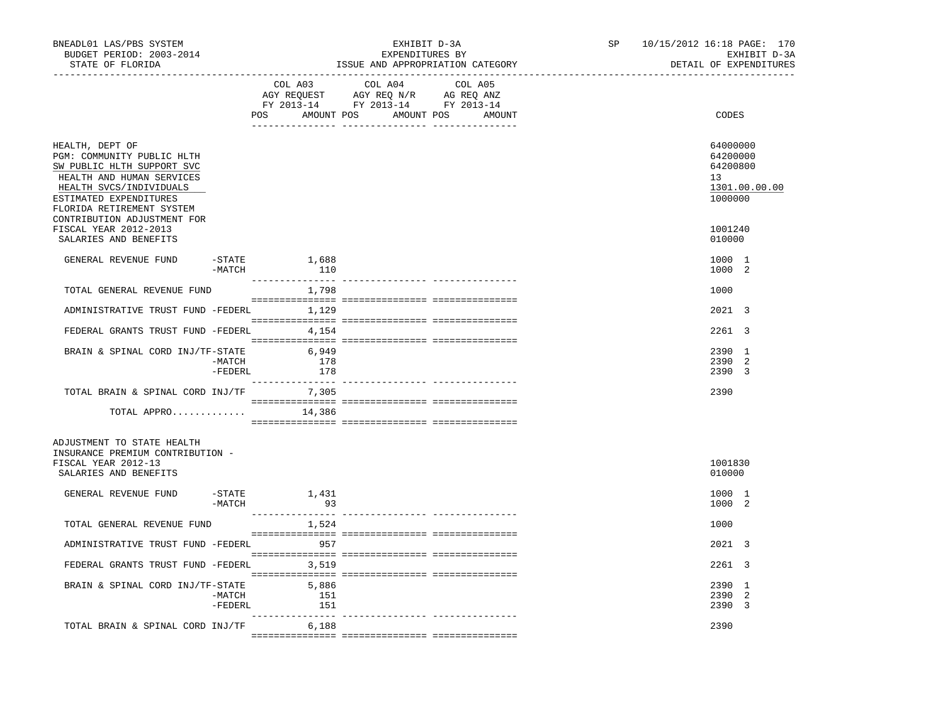| BNEADL01 LAS/PBS SYSTEM<br>BUDGET PERIOD: 2003-2014<br>STATE OF FLORIDA                                                                                                                                                   |                      |                     | EXHIBIT D-3A<br>EXPENDITURES BY<br>ISSUE AND APPROPRIATION CATEGORY                                                   |         | SP | 10/15/2012 16:18 PAGE: 170<br>EXHIBIT D-3A<br>DETAIL OF EXPENDITURES |  |
|---------------------------------------------------------------------------------------------------------------------------------------------------------------------------------------------------------------------------|----------------------|---------------------|-----------------------------------------------------------------------------------------------------------------------|---------|----|----------------------------------------------------------------------|--|
|                                                                                                                                                                                                                           |                      | COL A03             | COL A04<br>AGY REQUEST AGY REQ N/R AG REQ ANZ<br>FY 2013-14 FY 2013-14 FY 2013-14<br>POS AMOUNT POS AMOUNT POS AMOUNT | COL A05 |    | CODES                                                                |  |
| HEALTH, DEPT OF<br>PGM: COMMUNITY PUBLIC HLTH<br>SW PUBLIC HLTH SUPPORT SVC<br>HEALTH AND HUMAN SERVICES<br>HEALTH SVCS/INDIVIDUALS<br>ESTIMATED EXPENDITURES<br>FLORIDA RETIREMENT SYSTEM<br>CONTRIBUTION ADJUSTMENT FOR |                      |                     |                                                                                                                       |         |    | 64000000<br>64200000<br>64200800<br>13<br>1301.00.00.00<br>1000000   |  |
| FISCAL YEAR 2012-2013<br>SALARIES AND BENEFITS                                                                                                                                                                            |                      |                     |                                                                                                                       |         |    | 1001240<br>010000                                                    |  |
| GENERAL REVENUE FUND                                                                                                                                                                                                      | -STATE<br>-MATCH     | 1,688<br>110        |                                                                                                                       |         |    | 1000 1<br>1000 2                                                     |  |
| TOTAL GENERAL REVENUE FUND                                                                                                                                                                                                |                      | 1,798               |                                                                                                                       |         |    | 1000                                                                 |  |
| ADMINISTRATIVE TRUST FUND -FEDERL 1,129                                                                                                                                                                                   |                      |                     |                                                                                                                       |         |    | 2021 3                                                               |  |
| FEDERAL GRANTS TRUST FUND -FEDERL 4,154                                                                                                                                                                                   |                      |                     |                                                                                                                       |         |    | 2261 3                                                               |  |
| BRAIN & SPINAL CORD INJ/TF-STATE                                                                                                                                                                                          | -MATCH<br>$-$ FEDERL | 6,949<br>178<br>178 |                                                                                                                       |         |    | 2390 1<br>2390 2<br>2390 3                                           |  |
| TOTAL BRAIN & SPINAL CORD INJ/TF 7,305                                                                                                                                                                                    |                      |                     |                                                                                                                       |         |    | 2390                                                                 |  |
| TOTAL APPRO                                                                                                                                                                                                               |                      | 14,386              |                                                                                                                       |         |    |                                                                      |  |
| ADJUSTMENT TO STATE HEALTH<br>INSURANCE PREMIUM CONTRIBUTION -<br>FISCAL YEAR 2012-13<br>SALARIES AND BENEFITS                                                                                                            |                      |                     |                                                                                                                       |         |    | 1001830<br>010000                                                    |  |
| GENERAL REVENUE FUND                                                                                                                                                                                                      | $-$ STATE<br>-MATCH  | 1,431<br>93         |                                                                                                                       |         |    | 1000 1<br>1000 2                                                     |  |
| TOTAL GENERAL REVENUE FUND                                                                                                                                                                                                |                      | 1,524               |                                                                                                                       |         |    | 1000                                                                 |  |
| ADMINISTRATIVE TRUST FUND -FEDERL 957                                                                                                                                                                                     |                      |                     |                                                                                                                       |         |    | 2021 3                                                               |  |
| FEDERAL GRANTS TRUST FUND -FEDERL 3,519                                                                                                                                                                                   |                      |                     |                                                                                                                       |         |    | 2261 3                                                               |  |
| BRAIN & SPINAL CORD INJ/TF-STATE 5,886                                                                                                                                                                                    | -MATCH<br>-FEDERL    | 151<br>151          |                                                                                                                       |         |    | 2390 1<br>2390 2<br>2390 3                                           |  |
| TOTAL BRAIN & SPINAL CORD INJ/TF 6,188                                                                                                                                                                                    |                      |                     |                                                                                                                       |         |    | 2390                                                                 |  |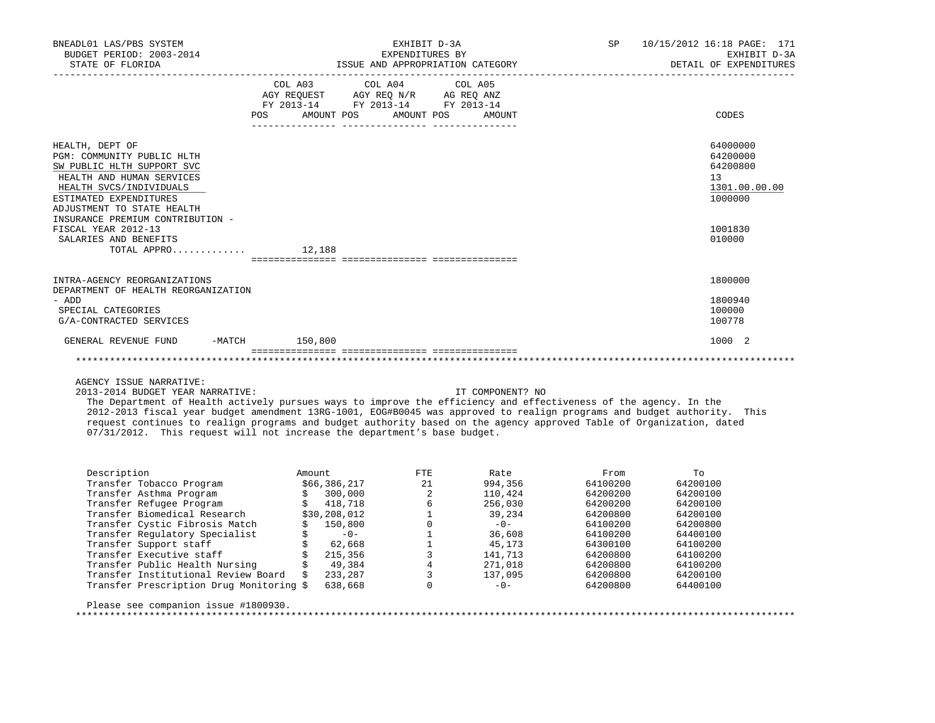| BNEADL01 LAS/PBS SYSTEM<br>BUDGET PERIOD: 2003-2014<br>STATE OF FLORIDA                                                                                                                                                                                                                                 |  | EXHIBIT D-3A<br>EXPENDITURES BY<br>ISSUE AND APPROPRIATION CATEGORY                                                                   | SP <sub>3</sub>                                                                         | 10/15/2012 16:18 PAGE: 171<br>EXHIBIT D-3A<br>DETAIL OF EXPENDITURES |
|---------------------------------------------------------------------------------------------------------------------------------------------------------------------------------------------------------------------------------------------------------------------------------------------------------|--|---------------------------------------------------------------------------------------------------------------------------------------|-----------------------------------------------------------------------------------------|----------------------------------------------------------------------|
|                                                                                                                                                                                                                                                                                                         |  | COL A03 COL A04 COL A05<br>AGY REQUEST AGY REO N/R AG REO ANZ<br>FY 2013-14 FY 2013-14 FY 2013-14<br>POS AMOUNT POS AMOUNT POS AMOUNT |                                                                                         | CODES                                                                |
| HEALTH, DEPT OF<br>PGM: COMMUNITY PUBLIC HLTH<br>SW PUBLIC HLTH SUPPORT SVC<br>HEALTH AND HUMAN SERVICES<br>HEALTH SVCS/INDIVIDUALS<br>ESTIMATED EXPENDITURES<br>ADJUSTMENT TO STATE HEALTH<br>INSURANCE PREMIUM CONTRIBUTION -<br>FISCAL YEAR 2012-13<br>SALARIES AND BENEFITS<br>TOTAL APPRO $12,188$ |  |                                                                                                                                       | 64000000<br>64200000<br>64200800<br>13<br>1301.00.00.00<br>1000000<br>1001830<br>010000 |                                                                      |
| INTRA-AGENCY REORGANIZATIONS<br>DEPARTMENT OF HEALTH REORGANIZATION<br>- ADD<br>SPECIAL CATEGORIES<br>G/A-CONTRACTED SERVICES                                                                                                                                                                           |  |                                                                                                                                       |                                                                                         | 1800000<br>1800940<br>100000<br>100778                               |
| GENERAL REVENUE FUND -MATCH 150,800                                                                                                                                                                                                                                                                     |  |                                                                                                                                       |                                                                                         | 1000 2                                                               |

2013-2014 BUDGET YEAR NARRATIVE: IT COMPONENT? NO

 The Department of Health actively pursues ways to improve the efficiency and effectiveness of the agency. In the 2012-2013 fiscal year budget amendment 13RG-1001, EOG#B0045 was approved to realign programs and budget authority. This request continues to realign programs and budget authority based on the agency approved Table of Organization, dated 07/31/2012. This request will not increase the department's base budget.

| Description            |                                          | Amount |              | FTE | Rate    | From     | To       |
|------------------------|------------------------------------------|--------|--------------|-----|---------|----------|----------|
|                        | Transfer Tobacco Program                 |        | \$66,386,217 | 21  | 994,356 | 64100200 | 64200100 |
|                        | Transfer Asthma Program                  |        | 300,000      | 2   | 110,424 | 64200200 | 64200100 |
|                        | Transfer Refugee Program                 |        | 418,718      |     | 256,030 | 64200200 | 64200100 |
|                        | Transfer Biomedical Research             |        | \$30,208,012 |     | 39,234  | 64200800 | 64200100 |
|                        | Transfer Cystic Fibrosis Match           |        | 150,800      |     | $-0-$   | 64100200 | 64200800 |
|                        | Transfer Requlatory Specialist           |        | $-0-$        |     | 36,608  | 64100200 | 64400100 |
| Transfer Support staff |                                          |        | 62,668       |     | 45,173  | 64300100 | 64100200 |
|                        | Transfer Executive staff                 |        | 215,356      |     | 141,713 | 64200800 | 64100200 |
|                        | Transfer Public Health Nursing           |        | 49,384       |     | 271,018 | 64200800 | 64100200 |
|                        | Transfer Institutional Review Board<br>Ŝ |        | 233,287      |     | 137,095 | 64200800 | 64200100 |
|                        | Transfer Prescription Drug Monitoring \$ |        | 638,668      |     | $-0-$   | 64200800 | 64400100 |

Please see companion issue #1800930.

\*\*\*\*\*\*\*\*\*\*\*\*\*\*\*\*\*\*\*\*\*\*\*\*\*\*\*\*\*\*\*\*\*\*\*\*\*\*\*\*\*\*\*\*\*\*\*\*\*\*\*\*\*\*\*\*\*\*\*\*\*\*\*\*\*\*\*\*\*\*\*\*\*\*\*\*\*\*\*\*\*\*\*\*\*\*\*\*\*\*\*\*\*\*\*\*\*\*\*\*\*\*\*\*\*\*\*\*\*\*\*\*\*\*\*\*\*\*\*\*\*\*\*\*\*\*\*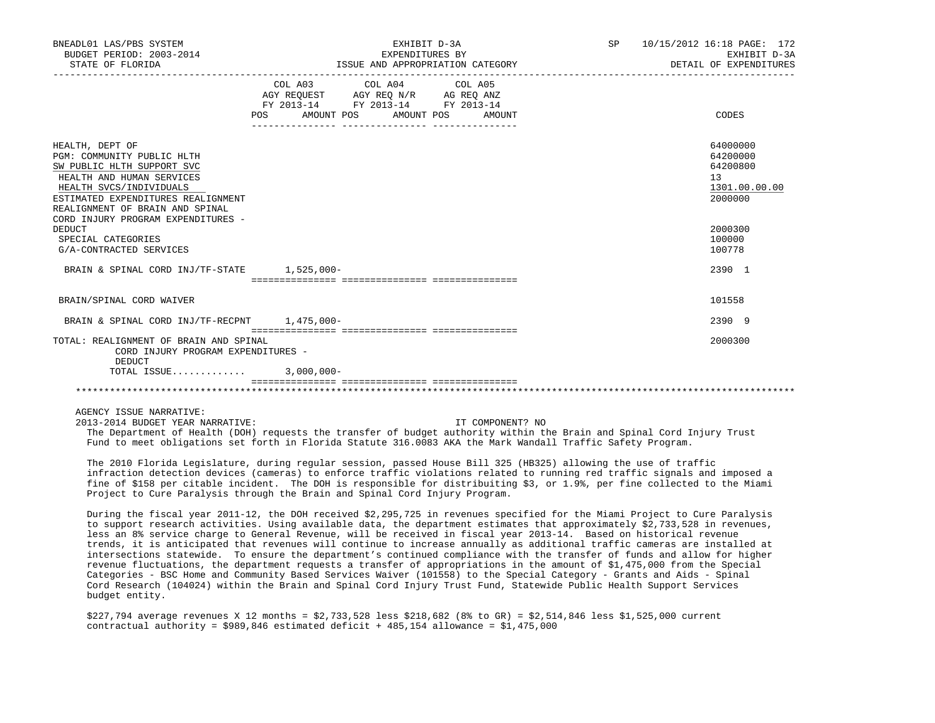| BNEADL01 LAS/PBS SYSTEM<br>BUDGET PERIOD: 2003-2014<br>STATE OF FLORIDA                                                                                                                                                                            |                                                                                                                                                                                                                                                                                           | EXHIBIT D-3A<br>EXPENDITURES BY<br>ISSUE AND APPROPRIATION CATEGORY | SP | 10/15/2012 16:18 PAGE: 172<br>EXHIBIT D-3A<br>DETAIL OF EXPENDITURES |
|----------------------------------------------------------------------------------------------------------------------------------------------------------------------------------------------------------------------------------------------------|-------------------------------------------------------------------------------------------------------------------------------------------------------------------------------------------------------------------------------------------------------------------------------------------|---------------------------------------------------------------------|----|----------------------------------------------------------------------|
|                                                                                                                                                                                                                                                    | COL A03 COL A04 COL A05<br>$\begin{tabular}{lllllll} \bf AGY \;\; REQUEST \hspace{1cm} AGY \;\; REQ \;\; N/R \hspace{1cm} AG \;\; REQ \;\; ANZ \\ \hline \tt FY \;\; 2013-14 \hspace{1cm} FY \;\; 2013-14 \hspace{1cm} FY \;\; 2013-14 \end{tabular}$<br>POS AMOUNT POS AMOUNT POS AMOUNT |                                                                     |    | CODES                                                                |
| HEALTH, DEPT OF<br>PGM: COMMUNITY PUBLIC HLTH<br>SW PUBLIC HLTH SUPPORT SVC<br>HEALTH AND HUMAN SERVICES<br>HEALTH SVCS/INDIVIDUALS<br>ESTIMATED EXPENDITURES REALIGNMENT<br>REALIGNMENT OF BRAIN AND SPINAL<br>CORD INJURY PROGRAM EXPENDITURES - |                                                                                                                                                                                                                                                                                           |                                                                     |    | 64000000<br>64200000<br>64200800<br>13<br>1301.00.00.00<br>2000000   |
| <b>DEDUCT</b><br>SPECIAL CATEGORIES<br>G/A-CONTRACTED SERVICES                                                                                                                                                                                     |                                                                                                                                                                                                                                                                                           |                                                                     |    | 2000300<br>100000<br>100778                                          |
| BRAIN & SPINAL CORD INJ/TF-STATE 1,525,000-                                                                                                                                                                                                        |                                                                                                                                                                                                                                                                                           |                                                                     |    | 2390 1                                                               |
| BRAIN/SPINAL CORD WAIVER                                                                                                                                                                                                                           |                                                                                                                                                                                                                                                                                           |                                                                     |    | 101558                                                               |
| BRAIN & SPINAL CORD INJ/TF-RECPNT 1,475,000-                                                                                                                                                                                                       |                                                                                                                                                                                                                                                                                           |                                                                     |    | 2390 9                                                               |
| TOTAL: REALIGNMENT OF BRAIN AND SPINAL<br>CORD INJURY PROGRAM EXPENDITURES -<br>DEDUCT                                                                                                                                                             |                                                                                                                                                                                                                                                                                           |                                                                     |    | 2000300                                                              |
| TOTAL ISSUE 3,000,000-                                                                                                                                                                                                                             |                                                                                                                                                                                                                                                                                           |                                                                     |    |                                                                      |
|                                                                                                                                                                                                                                                    |                                                                                                                                                                                                                                                                                           |                                                                     |    |                                                                      |

2013-2014 BUDGET YEAR NARRATIVE: IT COMPONENT? NO

 The Department of Health (DOH) requests the transfer of budget authority within the Brain and Spinal Cord Injury Trust Fund to meet obligations set forth in Florida Statute 316.0083 AKA the Mark Wandall Traffic Safety Program.

 The 2010 Florida Legislature, during regular session, passed House Bill 325 (HB325) allowing the use of traffic infraction detection devices (cameras) to enforce traffic violations related to running red traffic signals and imposed a fine of \$158 per citable incident. The DOH is responsible for distribuiting \$3, or 1.9%, per fine collected to the Miami Project to Cure Paralysis through the Brain and Spinal Cord Injury Program.

 During the fiscal year 2011-12, the DOH received \$2,295,725 in revenues specified for the Miami Project to Cure Paralysis to support research activities. Using available data, the department estimates that approximately \$2,733,528 in revenues, less an 8% service charge to General Revenue, will be received in fiscal year 2013-14. Based on historical revenue trends, it is anticipated that revenues will continue to increase annually as additional traffic cameras are installed at intersections statewide. To ensure the department's continued compliance with the transfer of funds and allow for higher revenue fluctuations, the department requests a transfer of appropriations in the amount of \$1,475,000 from the Special Categories - BSC Home and Community Based Services Waiver (101558) to the Special Category - Grants and Aids - Spinal Cord Research (104024) within the Brain and Spinal Cord Injury Trust Fund, Statewide Public Health Support Services budget entity.

 \$227,794 average revenues X 12 months = \$2,733,528 less \$218,682 (8% to GR) = \$2,514,846 less \$1,525,000 current contractual authority =  $$989,846$  estimated deficit + 485,154 allowance =  $$1,475,000$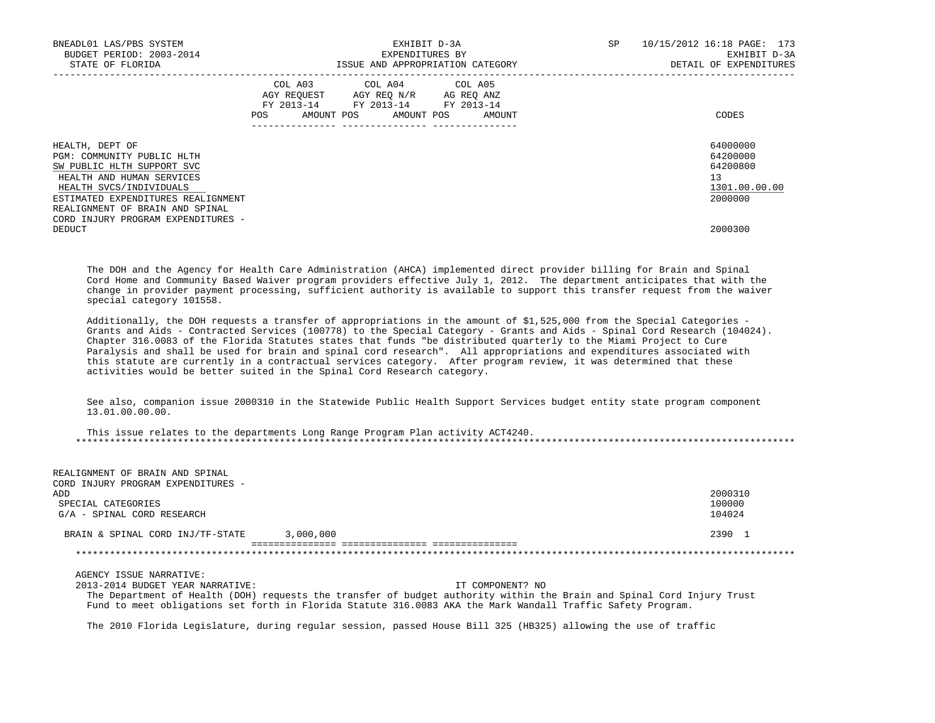| BNEADL01 LAS/PBS SYSTEM<br>BUDGET PERIOD: 2003-2014<br>STATE OF FLORIDA                                                                                                                                                                            | EXHIBIT D-3A<br>EXPENDITURES BY<br>ISSUE AND APPROPRIATION CATEGORY                                                                         | <b>SP</b><br>10/15/2012 16:18 PAGE: 173<br>EXHIBIT D-3A<br>DETAIL OF EXPENDITURES |
|----------------------------------------------------------------------------------------------------------------------------------------------------------------------------------------------------------------------------------------------------|---------------------------------------------------------------------------------------------------------------------------------------------|-----------------------------------------------------------------------------------|
|                                                                                                                                                                                                                                                    | COL A03 COL A04 COL A05<br>AGY REOUEST AGY REO N/R AG REO ANZ<br>FY 2013-14 FY 2013-14 FY 2013-14<br>AMOUNT POS AMOUNT POS<br>AMOUNT<br>POS | CODES                                                                             |
| HEALTH, DEPT OF<br>PGM: COMMUNITY PUBLIC HLTH<br>SW PUBLIC HLTH SUPPORT SVC<br>HEALTH AND HUMAN SERVICES<br>HEALTH SVCS/INDIVIDUALS<br>ESTIMATED EXPENDITURES REALIGNMENT<br>REALIGNMENT OF BRAIN AND SPINAL<br>CORD INJURY PROGRAM EXPENDITURES - |                                                                                                                                             | 64000000<br>64200000<br>64200800<br>13<br>1301.00.00.00<br>2000000                |
| DEDUCT                                                                                                                                                                                                                                             |                                                                                                                                             | 2000300                                                                           |

 The DOH and the Agency for Health Care Administration (AHCA) implemented direct provider billing for Brain and Spinal Cord Home and Community Based Waiver program providers effective July 1, 2012. The department anticipates that with the change in provider payment processing, sufficient authority is available to support this transfer request from the waiver special category 101558.

 Additionally, the DOH requests a transfer of appropriations in the amount of \$1,525,000 from the Special Categories - Grants and Aids - Contracted Services (100778) to the Special Category - Grants and Aids - Spinal Cord Research (104024). Chapter 316.0083 of the Florida Statutes states that funds "be distributed quarterly to the Miami Project to Cure Paralysis and shall be used for brain and spinal cord research". All appropriations and expenditures associated with this statute are currently in a contractual services category. After program review, it was determined that these activities would be better suited in the Spinal Cord Research category.

 See also, companion issue 2000310 in the Statewide Public Health Support Services budget entity state program component 13.01.00.00.00.

 This issue relates to the departments Long Range Program Plan activity ACT4240. \*\*\*\*\*\*\*\*\*\*\*\*\*\*\*\*\*\*\*\*\*\*\*\*\*\*\*\*\*\*\*\*\*\*\*\*\*\*\*\*\*\*\*\*\*\*\*\*\*\*\*\*\*\*\*\*\*\*\*\*\*\*\*\*\*\*\*\*\*\*\*\*\*\*\*\*\*\*\*\*\*\*\*\*\*\*\*\*\*\*\*\*\*\*\*\*\*\*\*\*\*\*\*\*\*\*\*\*\*\*\*\*\*\*\*\*\*\*\*\*\*\*\*\*\*\*\*

| REALIGNMENT OF BRAIN AND SPINAL<br>CORD INJURY PROGRAM EXPENDITURES - |           |                  |
|-----------------------------------------------------------------------|-----------|------------------|
| ADD                                                                   |           | 2000310          |
| SPECIAL CATEGORIES<br>G/A - SPINAL CORD RESEARCH                      |           | 100000<br>104024 |
|                                                                       |           |                  |
| BRAIN & SPINAL CORD INJ/TF-STATE                                      | 3,000,000 | 2390 1           |
|                                                                       |           |                  |

AGENCY ISSUE NARRATIVE:

2013-2014 BUDGET YEAR NARRATIVE: IT COMPONENT? NO

 The Department of Health (DOH) requests the transfer of budget authority within the Brain and Spinal Cord Injury Trust Fund to meet obligations set forth in Florida Statute 316.0083 AKA the Mark Wandall Traffic Safety Program.

The 2010 Florida Legislature, during regular session, passed House Bill 325 (HB325) allowing the use of traffic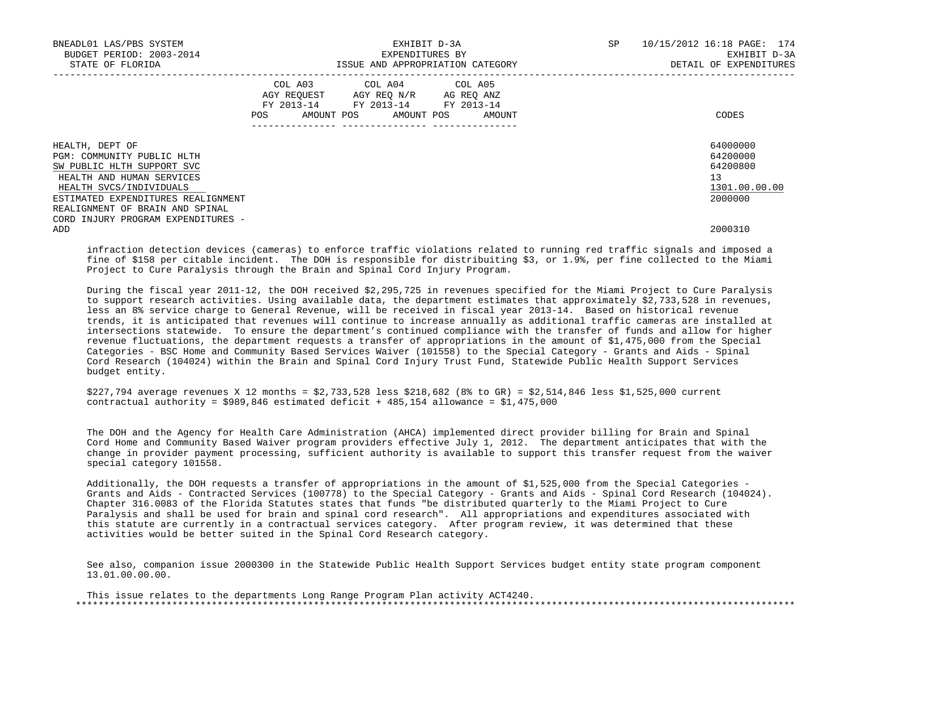| BNEADL01 LAS/PBS SYSTEM<br>BUDGET PERIOD: 2003-2014<br>STATE OF FLORIDA |     | EXHIBIT D-3A<br>EXPENDITURES BY<br>ISSUE AND APPROPRIATION CATEGORY                                                               | SP | 10/15/2012 16:18 PAGE: 174<br>EXHIBIT D-3A<br>DETAIL OF EXPENDITURES |               |
|-------------------------------------------------------------------------|-----|-----------------------------------------------------------------------------------------------------------------------------------|----|----------------------------------------------------------------------|---------------|
|                                                                         | POS | COL A03 COL A04 COL A05<br>AGY REOUEST AGY REO N/R AG REO ANZ<br>FY 2013-14 FY 2013-14 FY 2013-14<br>AMOUNT POS AMOUNT POS AMOUNT |    |                                                                      | CODES         |
| HEALTH, DEPT OF                                                         |     |                                                                                                                                   |    |                                                                      | 64000000      |
| PGM: COMMUNITY PUBLIC HLTH                                              |     |                                                                                                                                   |    |                                                                      | 64200000      |
| SW PUBLIC HLTH SUPPORT SVC                                              |     |                                                                                                                                   |    |                                                                      | 64200800      |
| HEALTH AND HUMAN SERVICES                                               |     |                                                                                                                                   |    |                                                                      | 13            |
| HEALTH SVCS/INDIVIDUALS                                                 |     |                                                                                                                                   |    |                                                                      | 1301.00.00.00 |
| ESTIMATED EXPENDITURES REALIGNMENT                                      |     |                                                                                                                                   |    |                                                                      | 2000000       |
| REALIGNMENT OF BRAIN AND SPINAL                                         |     |                                                                                                                                   |    |                                                                      |               |
| CORD INJURY PROGRAM EXPENDITURES -                                      |     |                                                                                                                                   |    |                                                                      |               |
| ADD                                                                     |     |                                                                                                                                   |    |                                                                      | 2000310       |

 infraction detection devices (cameras) to enforce traffic violations related to running red traffic signals and imposed a fine of \$158 per citable incident. The DOH is responsible for distribuiting \$3, or 1.9%, per fine collected to the Miami Project to Cure Paralysis through the Brain and Spinal Cord Injury Program.

 During the fiscal year 2011-12, the DOH received \$2,295,725 in revenues specified for the Miami Project to Cure Paralysis to support research activities. Using available data, the department estimates that approximately \$2,733,528 in revenues, less an 8% service charge to General Revenue, will be received in fiscal year 2013-14. Based on historical revenue trends, it is anticipated that revenues will continue to increase annually as additional traffic cameras are installed at intersections statewide. To ensure the department's continued compliance with the transfer of funds and allow for higher revenue fluctuations, the department requests a transfer of appropriations in the amount of \$1,475,000 from the Special Categories - BSC Home and Community Based Services Waiver (101558) to the Special Category - Grants and Aids - Spinal Cord Research (104024) within the Brain and Spinal Cord Injury Trust Fund, Statewide Public Health Support Services budget entity.

 \$227,794 average revenues X 12 months = \$2,733,528 less \$218,682 (8% to GR) = \$2,514,846 less \$1,525,000 current contractual authority =  $$989,846$  estimated deficit + 485,154 allowance =  $$1,475,000$ 

 The DOH and the Agency for Health Care Administration (AHCA) implemented direct provider billing for Brain and Spinal Cord Home and Community Based Waiver program providers effective July 1, 2012. The department anticipates that with the change in provider payment processing, sufficient authority is available to support this transfer request from the waiver special category 101558.

 Additionally, the DOH requests a transfer of appropriations in the amount of \$1,525,000 from the Special Categories - Grants and Aids - Contracted Services (100778) to the Special Category - Grants and Aids - Spinal Cord Research (104024). Chapter 316.0083 of the Florida Statutes states that funds "be distributed quarterly to the Miami Project to Cure Paralysis and shall be used for brain and spinal cord research". All appropriations and expenditures associated with this statute are currently in a contractual services category. After program review, it was determined that these activities would be better suited in the Spinal Cord Research category.

 See also, companion issue 2000300 in the Statewide Public Health Support Services budget entity state program component 13.01.00.00.00.

 This issue relates to the departments Long Range Program Plan activity ACT4240. \*\*\*\*\*\*\*\*\*\*\*\*\*\*\*\*\*\*\*\*\*\*\*\*\*\*\*\*\*\*\*\*\*\*\*\*\*\*\*\*\*\*\*\*\*\*\*\*\*\*\*\*\*\*\*\*\*\*\*\*\*\*\*\*\*\*\*\*\*\*\*\*\*\*\*\*\*\*\*\*\*\*\*\*\*\*\*\*\*\*\*\*\*\*\*\*\*\*\*\*\*\*\*\*\*\*\*\*\*\*\*\*\*\*\*\*\*\*\*\*\*\*\*\*\*\*\*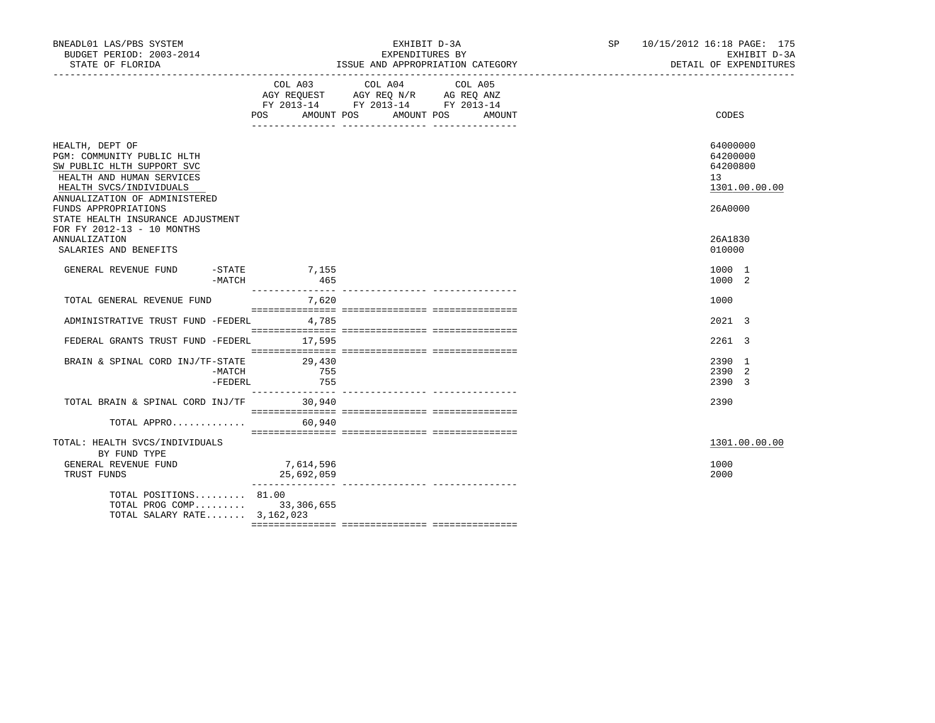| BNEADL01 LAS/PBS SYSTEM<br>BUDGET PERIOD: 2003-2014<br>STATE OF FLORIDA                                                                                                                                                                                                                                          |                         | EXHIBIT D-3A<br>EXPENDITURES BY<br>ISSUE AND APPROPRIATION CATEGORY                                                                 | SP 10/15/2012 16:18 PAGE: 175<br>EXHIBIT D-3A<br>DETAIL OF EXPENDITURES                 |  |
|------------------------------------------------------------------------------------------------------------------------------------------------------------------------------------------------------------------------------------------------------------------------------------------------------------------|-------------------------|-------------------------------------------------------------------------------------------------------------------------------------|-----------------------------------------------------------------------------------------|--|
|                                                                                                                                                                                                                                                                                                                  | COL A03                 | COL A04<br>COL A05<br>AGY REQUEST AGY REQ N/R AG REQ ANZ<br>FY 2013-14 FY 2013-14 FY 2013-14<br>POS AMOUNT POS AMOUNT POS<br>AMOUNT | CODES                                                                                   |  |
| HEALTH, DEPT OF<br>PGM: COMMUNITY PUBLIC HLTH<br>SW PUBLIC HLTH SUPPORT SVC<br>HEALTH AND HUMAN SERVICES<br>HEALTH SVCS/INDIVIDUALS<br>ANNUALIZATION OF ADMINISTERED<br>FUNDS APPROPRIATIONS<br>STATE HEALTH INSURANCE ADJUSTMENT<br>FOR FY 2012-13 - 10 MONTHS<br><b>ANNUALIZATION</b><br>SALARIES AND BENEFITS |                         |                                                                                                                                     | 64000000<br>64200000<br>64200800<br>13<br>1301.00.00.00<br>26A0000<br>26A1830<br>010000 |  |
| GENERAL REVENUE FUND<br>$-MATCH$                                                                                                                                                                                                                                                                                 | $-STATE$ 7, 155<br>465  |                                                                                                                                     | 1000 1<br>1000 2                                                                        |  |
| TOTAL GENERAL REVENUE FUND                                                                                                                                                                                                                                                                                       | 7,620                   |                                                                                                                                     | 1000                                                                                    |  |
| ADMINISTRATIVE TRUST FUND -FEDERL 4,785                                                                                                                                                                                                                                                                          |                         |                                                                                                                                     | 2021 3                                                                                  |  |
| FEDERAL GRANTS TRUST FUND -FEDERL 17,595                                                                                                                                                                                                                                                                         |                         |                                                                                                                                     | 2261 3                                                                                  |  |
| BRAIN & SPINAL CORD INJ/TF-STATE 29,430<br>-FEDERL<br>TOTAL BRAIN & SPINAL CORD INJ/TF 30,940                                                                                                                                                                                                                    | 755<br>-MATCH<br>755    |                                                                                                                                     | 2390 1<br>2390 2<br>2390 3<br>2390                                                      |  |
| TOTAL APPRO                                                                                                                                                                                                                                                                                                      | 60,940                  |                                                                                                                                     |                                                                                         |  |
| TOTAL: HEALTH SVCS/INDIVIDUALS<br>BY FUND TYPE<br>GENERAL REVENUE FUND<br>TRUST FUNDS                                                                                                                                                                                                                            | 7,614,596<br>25,692,059 |                                                                                                                                     | 1301.00.00.00<br>1000<br>2000                                                           |  |
| TOTAL POSITIONS $81.00$<br>TOTAL PROG COMP 33,306,655<br>TOTAL SALARY RATE 3,162,023                                                                                                                                                                                                                             |                         |                                                                                                                                     |                                                                                         |  |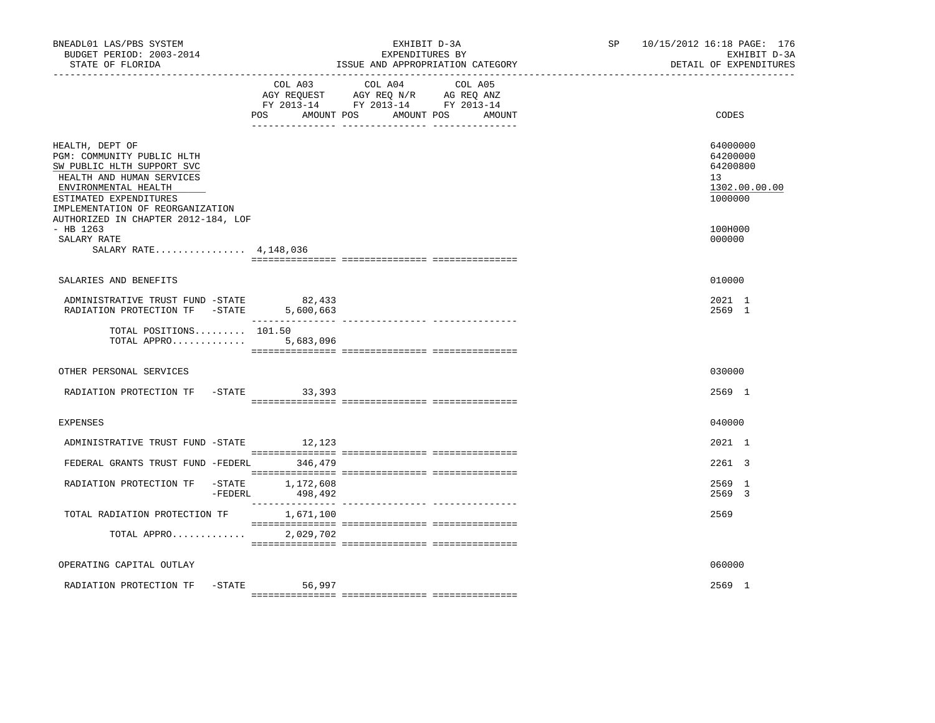| BNEADL01 LAS/PBS SYSTEM<br>BUDGET PERIOD: 2003-2014<br>STATE OF FLORIDA                                                                                                                        |                             | EXHIBIT D-3A<br>EXPENDITURES BY<br>ISSUE AND APPROPRIATION CATEGORY                                                       | SP 10/15/2012 16:18 PAGE: 176<br>EXHIBIT D-3A<br>DETAIL OF EXPENDITURES |  |
|------------------------------------------------------------------------------------------------------------------------------------------------------------------------------------------------|-----------------------------|---------------------------------------------------------------------------------------------------------------------------|-------------------------------------------------------------------------|--|
|                                                                                                                                                                                                | AMOUNT POS<br>POS           | COL A03 COL A04 COL A05<br>AGY REQUEST AGY REQ N/R AG REQ ANZ<br>FY 2013-14 FY 2013-14 FY 2013-14<br>AMOUNT POS<br>AMOUNT | CODES                                                                   |  |
| HEALTH, DEPT OF<br>PGM: COMMUNITY PUBLIC HLTH<br>SW PUBLIC HLTH SUPPORT SVC<br>HEALTH AND HUMAN SERVICES<br>ENVIRONMENTAL HEALTH<br>ESTIMATED EXPENDITURES<br>IMPLEMENTATION OF REORGANIZATION |                             |                                                                                                                           | 64000000<br>64200000<br>64200800<br>13<br>1302.00.00.00<br>1000000      |  |
| AUTHORIZED IN CHAPTER 2012-184, LOF<br>$-$ HB 1263<br>SALARY RATE<br>SALARY RATE 4,148,036                                                                                                     |                             |                                                                                                                           | 100H000<br>000000                                                       |  |
| SALARIES AND BENEFITS                                                                                                                                                                          |                             |                                                                                                                           | 010000                                                                  |  |
| ADMINISTRATIVE TRUST FUND -STATE<br>RADIATION PROTECTION TF -STATE 5,600,663                                                                                                                   | 82,433                      |                                                                                                                           | 2021 1<br>2569 1                                                        |  |
| TOTAL POSITIONS 101.50<br>TOTAL APPRO 5,683,096                                                                                                                                                |                             |                                                                                                                           |                                                                         |  |
| OTHER PERSONAL SERVICES                                                                                                                                                                        |                             |                                                                                                                           | 030000                                                                  |  |
| RADIATION PROTECTION TF -STATE 33,393                                                                                                                                                          |                             |                                                                                                                           | 2569 1                                                                  |  |
| <b>EXPENSES</b>                                                                                                                                                                                |                             |                                                                                                                           | 040000                                                                  |  |
| ADMINISTRATIVE TRUST FUND -STATE                                                                                                                                                               | 12,123                      |                                                                                                                           | 2021 1                                                                  |  |
| FEDERAL GRANTS TRUST FUND -FEDERL 346,479                                                                                                                                                      |                             |                                                                                                                           | 2261 3                                                                  |  |
| RADIATION PROTECTION TF<br>-FEDERL                                                                                                                                                             | -STATE 1,172,608<br>498,492 |                                                                                                                           | 2569 1<br>2569 3                                                        |  |
| TOTAL RADIATION PROTECTION TF                                                                                                                                                                  | 1,671,100                   |                                                                                                                           | 2569                                                                    |  |
| TOTAL APPRO                                                                                                                                                                                    | 2,029,702                   |                                                                                                                           |                                                                         |  |
| OPERATING CAPITAL OUTLAY                                                                                                                                                                       |                             |                                                                                                                           | 060000                                                                  |  |
| RADIATION PROTECTION TF -STATE 56,997                                                                                                                                                          |                             |                                                                                                                           | 2569 1                                                                  |  |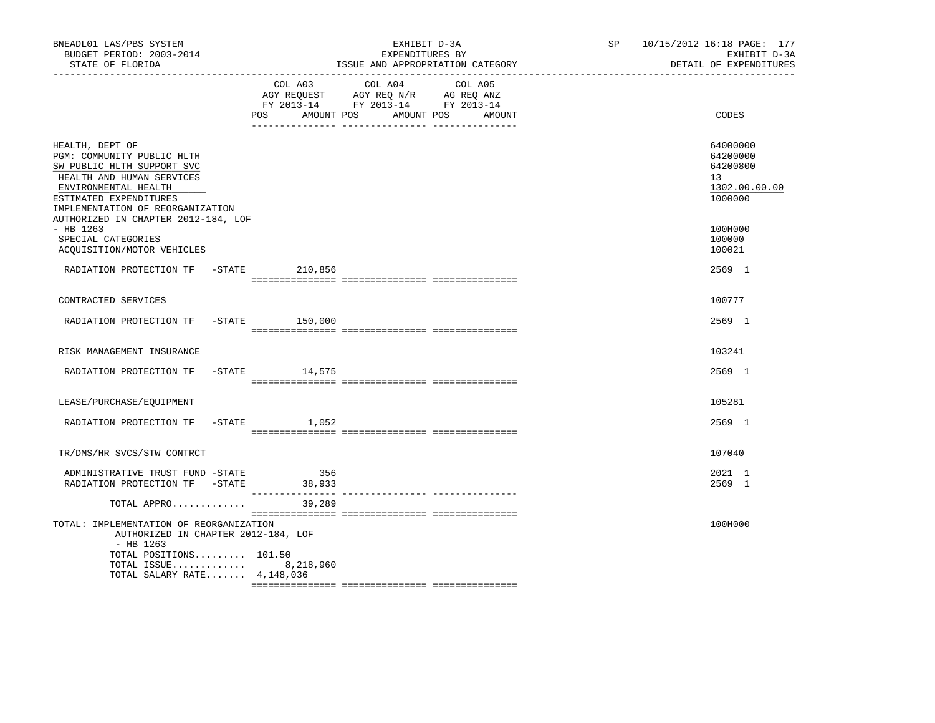| BNEADL01 LAS/PBS SYSTEM<br>BUDGET PERIOD: 2003-2014<br>STATE OF FLORIDA<br>-----------------                                                                                                   |     |                                                                                                                       | EXHIBIT D-3A<br>EXPENDITURES BY | ISSUE AND APPROPRIATION CATEGORY | SP 10/15/2012 16:18 PAGE: 177<br>EXHIBIT D-3A<br>DETAIL OF EXPENDITURES |
|------------------------------------------------------------------------------------------------------------------------------------------------------------------------------------------------|-----|-----------------------------------------------------------------------------------------------------------------------|---------------------------------|----------------------------------|-------------------------------------------------------------------------|
|                                                                                                                                                                                                | POS | COL A03 COL A04<br>AGY REQUEST AGY REQ N/R AG REQ ANZ<br>FY 2013-14 FY 2013-14 FY 2013-14<br>AMOUNT POS<br>AMOUNT POS | COL A05<br>AMOUNT               | CODES                            |                                                                         |
| HEALTH, DEPT OF<br>PGM: COMMUNITY PUBLIC HLTH<br>SW PUBLIC HLTH SUPPORT SVC<br>HEALTH AND HUMAN SERVICES<br>ENVIRONMENTAL HEALTH<br>ESTIMATED EXPENDITURES<br>IMPLEMENTATION OF REORGANIZATION |     |                                                                                                                       |                                 |                                  | 64000000<br>64200000<br>64200800<br>13<br>1302.00.00.00<br>1000000      |
| AUTHORIZED IN CHAPTER 2012-184, LOF<br>- HB 1263<br>SPECIAL CATEGORIES<br>ACQUISITION/MOTOR VEHICLES                                                                                           |     |                                                                                                                       |                                 |                                  | 100H000<br>100000<br>100021                                             |
| RADIATION PROTECTION TF -STATE 210,856                                                                                                                                                         |     |                                                                                                                       |                                 |                                  | 2569 1                                                                  |
| CONTRACTED SERVICES                                                                                                                                                                            |     |                                                                                                                       |                                 |                                  | 100777                                                                  |
| RADIATION PROTECTION TF -STATE 150,000                                                                                                                                                         |     |                                                                                                                       |                                 |                                  | 2569 1                                                                  |
| RISK MANAGEMENT INSURANCE                                                                                                                                                                      |     |                                                                                                                       |                                 |                                  | 103241                                                                  |
| RADIATION PROTECTION TF -STATE 14,575                                                                                                                                                          |     |                                                                                                                       |                                 |                                  | 2569 1                                                                  |
| LEASE/PURCHASE/EOUIPMENT                                                                                                                                                                       |     |                                                                                                                       |                                 |                                  | 105281                                                                  |
| RADIATION PROTECTION TF                                                                                                                                                                        |     | $-$ STATE 1,052                                                                                                       |                                 |                                  | 2569 1                                                                  |
| TR/DMS/HR SVCS/STW CONTRCT                                                                                                                                                                     |     |                                                                                                                       |                                 |                                  | 107040                                                                  |
| ADMINISTRATIVE TRUST FUND -STATE<br>RADIATION PROTECTION TF -STATE                                                                                                                             |     | 356<br>38,933                                                                                                         |                                 |                                  | 2021 1<br>2569 1                                                        |
| TOTAL APPRO                                                                                                                                                                                    |     | 39,289                                                                                                                |                                 |                                  |                                                                         |
| TOTAL: IMPLEMENTATION OF REORGANIZATION<br>AUTHORIZED IN CHAPTER 2012-184, LOF<br>- HB 1263<br>TOTAL POSITIONS 101.50<br>TOTAL ISSUE 8,218,960<br>TOTAL SALARY RATE $4,148,036$                |     |                                                                                                                       |                                 |                                  | 100H000                                                                 |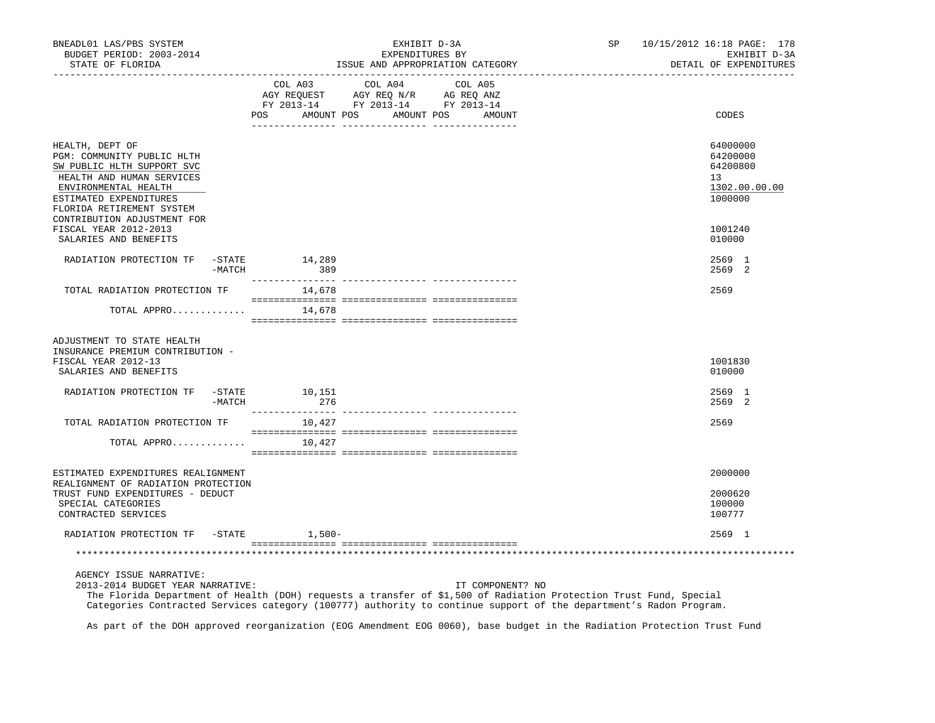| BNEADL01 LAS/PBS SYSTEM<br>BUDGET PERIOD: 2003-2014<br>STATE OF FLORIDA                                                                                                                 |        | EXHIBIT D-3A<br>EXPENDITURES BY<br>ISSUE AND APPROPRIATION CATEGORY |                                                                                                                                                                                                                      |                                 | SP 10/15/2012 16:18 PAGE: 178<br>EXHIBIT D-3A<br>DETAIL OF EXPENDITURES |  |
|-----------------------------------------------------------------------------------------------------------------------------------------------------------------------------------------|--------|---------------------------------------------------------------------|----------------------------------------------------------------------------------------------------------------------------------------------------------------------------------------------------------------------|---------------------------------|-------------------------------------------------------------------------|--|
|                                                                                                                                                                                         |        | AMOUNT POS<br>POS                                                   | COL A03 COL A04<br>$\begin{tabular}{lllllll} \bf AGY \,\,\, REQUEST \,\,\, & \bf AGY \,\, REQ \,\, N/R & \,\, AC \,\, REQ \,\, ANZ \\ \bf FY \,\, 2013-14 & \bf FY \,\, 2013-14 & \bf FY \,\, 2013-14 \end{tabular}$ | COL A05<br>AMOUNT POS<br>AMOUNT | CODES                                                                   |  |
| HEALTH, DEPT OF<br>PGM: COMMUNITY PUBLIC HLTH<br>SW PUBLIC HLTH SUPPORT SVC<br>HEALTH AND HUMAN SERVICES<br>ENVIRONMENTAL HEALTH<br>ESTIMATED EXPENDITURES<br>FLORIDA RETIREMENT SYSTEM |        |                                                                     |                                                                                                                                                                                                                      |                                 | 64000000<br>64200000<br>64200800<br>13<br>1302.00.00.00<br>1000000      |  |
| CONTRIBUTION ADJUSTMENT FOR<br>FISCAL YEAR 2012-2013<br>SALARIES AND BENEFITS                                                                                                           |        |                                                                     |                                                                                                                                                                                                                      |                                 | 1001240<br>010000                                                       |  |
| RADIATION PROTECTION TF -STATE                                                                                                                                                          | -MATCH | 14,289<br>389                                                       |                                                                                                                                                                                                                      |                                 | 2569 1<br>2569 2                                                        |  |
| TOTAL RADIATION PROTECTION TF                                                                                                                                                           |        | 14,678                                                              |                                                                                                                                                                                                                      |                                 | 2569                                                                    |  |
| TOTAL APPRO                                                                                                                                                                             |        | 14,678                                                              |                                                                                                                                                                                                                      |                                 |                                                                         |  |
| ADJUSTMENT TO STATE HEALTH<br>INSURANCE PREMIUM CONTRIBUTION -<br>FISCAL YEAR 2012-13<br>SALARIES AND BENEFITS                                                                          |        |                                                                     |                                                                                                                                                                                                                      |                                 | 1001830<br>010000                                                       |  |
| RADIATION PROTECTION TF -STATE 10,151                                                                                                                                                   | -MATCH | 276                                                                 |                                                                                                                                                                                                                      |                                 | 2569 1<br>2569 2                                                        |  |
| TOTAL RADIATION PROTECTION TF                                                                                                                                                           |        | 10,427                                                              |                                                                                                                                                                                                                      |                                 | 2569                                                                    |  |
| TOTAL APPRO                                                                                                                                                                             |        | 10,427                                                              |                                                                                                                                                                                                                      |                                 |                                                                         |  |
| ESTIMATED EXPENDITURES REALIGNMENT                                                                                                                                                      |        |                                                                     |                                                                                                                                                                                                                      |                                 | 2000000                                                                 |  |
| REALIGNMENT OF RADIATION PROTECTION<br>TRUST FUND EXPENDITURES - DEDUCT<br>SPECIAL CATEGORIES<br>CONTRACTED SERVICES                                                                    |        |                                                                     |                                                                                                                                                                                                                      |                                 | 2000620<br>100000<br>100777                                             |  |
| RADIATION PROTECTION TF -STATE 1,500-                                                                                                                                                   |        |                                                                     |                                                                                                                                                                                                                      |                                 | 2569 1                                                                  |  |
|                                                                                                                                                                                         |        |                                                                     |                                                                                                                                                                                                                      |                                 |                                                                         |  |
| AGENCY ISSUE NARRATIVE:<br>2013-2014 BUDGET YEAR NARRATIVE:                                                                                                                             |        |                                                                     |                                                                                                                                                                                                                      | IT COMPONENT? NO                |                                                                         |  |

 The Florida Department of Health (DOH) requests a transfer of \$1,500 of Radiation Protection Trust Fund, Special Categories Contracted Services category (100777) authority to continue support of the department's Radon Program.

As part of the DOH approved reorganization (EOG Amendment EOG 0060), base budget in the Radiation Protection Trust Fund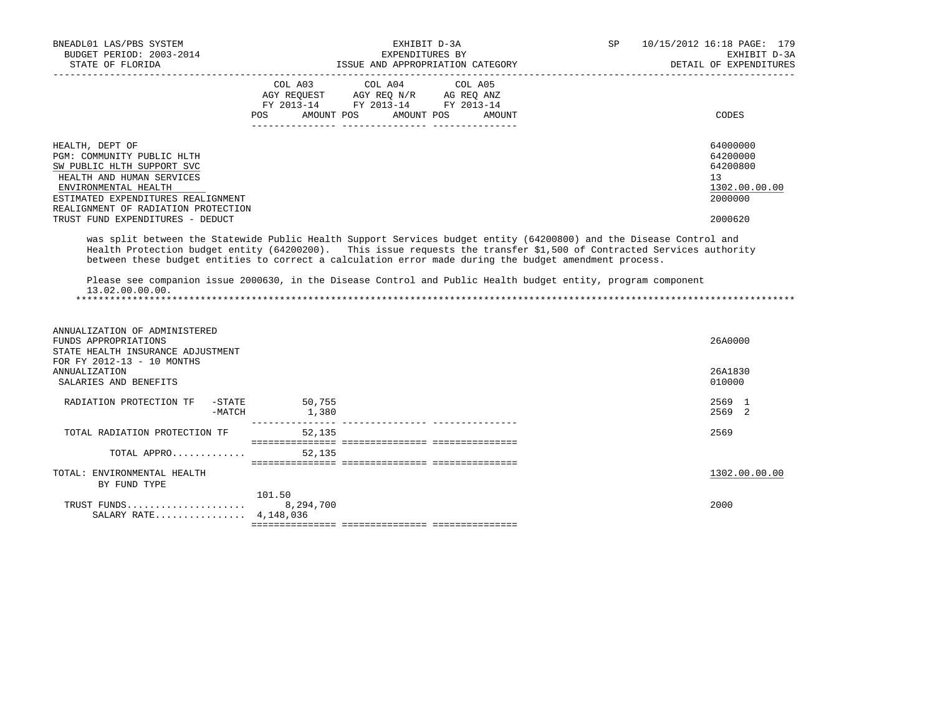| BNEADL01 LAS/PBS SYSTEM<br>BUDGET PERIOD: 2003-2014<br>STATE OF FLORIDA                                                                                                                                       | EXHIBIT D-3A<br>EXPENDITURES BY<br>ISSUE AND APPROPRIATION CATEGORY |                                                                                                                            |        | SP | 10/15/2012 16:18 PAGE: 179<br>EXHIBIT D-3A<br>DETAIL OF EXPENDITURES |  |
|---------------------------------------------------------------------------------------------------------------------------------------------------------------------------------------------------------------|---------------------------------------------------------------------|----------------------------------------------------------------------------------------------------------------------------|--------|----|----------------------------------------------------------------------|--|
|                                                                                                                                                                                                               | POS                                                                 | COL A03 COL A04 COL A05<br>AGY REQUEST AGY REO N/R AG REO ANZ<br>FY 2013-14 FY 2013-14 FY 2013-14<br>AMOUNT POS AMOUNT POS | AMOUNT |    | CODES                                                                |  |
| HEALTH, DEPT OF<br>PGM: COMMUNITY PUBLIC HLTH<br>SW PUBLIC HLTH SUPPORT SVC<br>HEALTH AND HUMAN SERVICES<br>ENVIRONMENTAL HEALTH<br>ESTIMATED EXPENDITURES REALIGNMENT<br>REALIGNMENT OF RADIATION PROTECTION |                                                                     |                                                                                                                            |        |    | 64000000<br>64200000<br>64200800<br>13<br>1302.00.00.00<br>2000000   |  |
| TRUST FUND EXPENDITURES - DEDUCT                                                                                                                                                                              |                                                                     |                                                                                                                            |        |    | 2000620                                                              |  |

 was split between the Statewide Public Health Support Services budget entity (64200800) and the Disease Control and Health Protection budget entity (64200200). This issue requests the transfer \$1,500 of Contracted Services authority between these budget entities to correct a calculation error made during the budget amendment process.

 Please see companion issue 2000630, in the Disease Control and Public Health budget entity, program component 13.02.00.00.00. \*\*\*\*\*\*\*\*\*\*\*\*\*\*\*\*\*\*\*\*\*\*\*\*\*\*\*\*\*\*\*\*\*\*\*\*\*\*\*\*\*\*\*\*\*\*\*\*\*\*\*\*\*\*\*\*\*\*\*\*\*\*\*\*\*\*\*\*\*\*\*\*\*\*\*\*\*\*\*\*\*\*\*\*\*\*\*\*\*\*\*\*\*\*\*\*\*\*\*\*\*\*\*\*\*\*\*\*\*\*\*\*\*\*\*\*\*\*\*\*\*\*\*\*\*\*\*

| ANNUALIZATION OF ADMINISTERED<br>FUNDS APPROPRIATIONS<br>STATE HEALTH INSURANCE ADJUSTMENT<br>FOR FY 2012-13 - 10 MONTHS |                     | 26A0000             |
|--------------------------------------------------------------------------------------------------------------------------|---------------------|---------------------|
| ANNUALIZATION<br>SALARIES AND BENEFITS                                                                                   |                     | 26A1830<br>010000   |
| RADIATION PROTECTION TF<br>-STATE<br>-MATCH                                                                              | 50,755<br>1,380     | 2569 1<br>2569<br>2 |
| TOTAL RADIATION PROTECTION TF                                                                                            | 52,135              | 2569                |
| TOTAL APPRO                                                                                                              | 52,135              |                     |
| ENVIRONMENTAL HEALTH<br>TOTAL:<br>BY FUND TYPE                                                                           |                     | 1302.00.00.00       |
| TRUST FUNDS<br>SALARY RATE 4, 148, 036                                                                                   | 101.50<br>8,294,700 | 2000                |
|                                                                                                                          |                     |                     |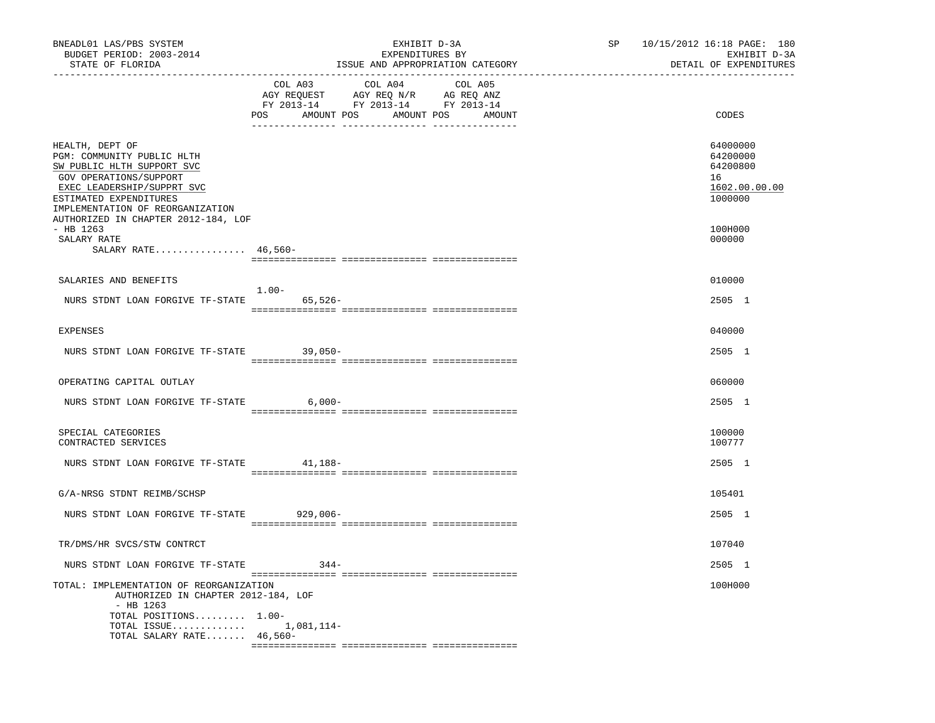| BNEADL01 LAS/PBS SYSTEM<br>BUDGET PERIOD: 2003-2014<br>STATE OF FLORIDA                                                                                                                                                                  | EXHIBIT D-3A<br>EXPENDITURES BY<br>ISSUE AND APPROPRIATION CATEGORY                                                                            | 10/15/2012 16:18 PAGE: 180<br>SP<br>EXHIBIT D-3A<br>DETAIL OF EXPENDITURES |
|------------------------------------------------------------------------------------------------------------------------------------------------------------------------------------------------------------------------------------------|------------------------------------------------------------------------------------------------------------------------------------------------|----------------------------------------------------------------------------|
|                                                                                                                                                                                                                                          | COL A03<br>COL A04<br>COL A05<br>CO AGY REQUEST AGY REQ N/R AG REQ ANZ<br>FY 2013-14 FY 2013-14 FY 2013-14<br>POS AMOUNT POS AMOUNT POS AMOUNT | CODES                                                                      |
| HEALTH, DEPT OF<br>PGM: COMMUNITY PUBLIC HLTH<br>SW PUBLIC HLTH SUPPORT SVC<br>GOV OPERATIONS/SUPPORT<br>EXEC LEADERSHIP/SUPPRT SVC<br>ESTIMATED EXPENDITURES<br>IMPLEMENTATION OF REORGANIZATION<br>AUTHORIZED IN CHAPTER 2012-184, LOF |                                                                                                                                                | 64000000<br>64200000<br>64200800<br>16<br>1602.00.00.00<br>1000000         |
| $-$ HB 1263<br>SALARY RATE<br>SALARY RATE 46,560-                                                                                                                                                                                        |                                                                                                                                                | 100H000<br>000000                                                          |
| SALARIES AND BENEFITS                                                                                                                                                                                                                    | $1.00-$                                                                                                                                        | 010000                                                                     |
| NURS STDNT LOAN FORGIVE TF-STATE 65,526-                                                                                                                                                                                                 |                                                                                                                                                | 2505 1                                                                     |
| <b>EXPENSES</b>                                                                                                                                                                                                                          |                                                                                                                                                | 040000                                                                     |
| NURS STDNT LOAN FORGIVE TF-STATE 39,050-                                                                                                                                                                                                 |                                                                                                                                                | 2505 1                                                                     |
| OPERATING CAPITAL OUTLAY                                                                                                                                                                                                                 |                                                                                                                                                | 060000                                                                     |
| NURS STDNT LOAN FORGIVE TF-STATE 6,000-                                                                                                                                                                                                  |                                                                                                                                                | 2505 1                                                                     |
| SPECIAL CATEGORIES<br>CONTRACTED SERVICES                                                                                                                                                                                                |                                                                                                                                                | 100000<br>100777                                                           |
| NURS STDNT LOAN FORGIVE TF-STATE 41,188-                                                                                                                                                                                                 |                                                                                                                                                | 2505 1                                                                     |
| G/A-NRSG STDNT REIMB/SCHSP                                                                                                                                                                                                               |                                                                                                                                                | 105401                                                                     |
| NURS STDNT LOAN FORGIVE TF-STATE 929,006-                                                                                                                                                                                                |                                                                                                                                                | 2505 1                                                                     |
| TR/DMS/HR SVCS/STW CONTRCT                                                                                                                                                                                                               |                                                                                                                                                | 107040                                                                     |
| NURS STDNT LOAN FORGIVE TF-STATE                                                                                                                                                                                                         | $344-$                                                                                                                                         | 2505 1                                                                     |
| TOTAL: IMPLEMENTATION OF REORGANIZATION<br>AUTHORIZED IN CHAPTER 2012-184, LOF<br>$-$ HB 1263<br>TOTAL POSITIONS 1.00-<br>TOTAL ISSUE 1,081,114-<br>TOTAL SALARY RATE 46,560-                                                            |                                                                                                                                                | 100H000                                                                    |
|                                                                                                                                                                                                                                          |                                                                                                                                                |                                                                            |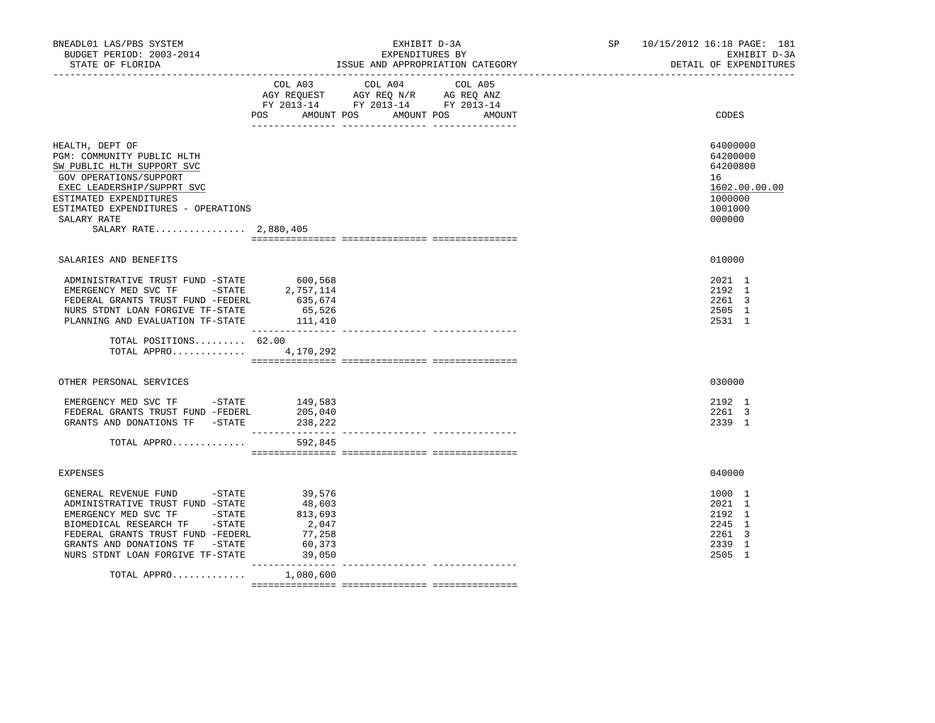| BNEADL01 LAS/PBS SYSTEM<br>BUDGET PERIOD: 2003-2014<br>STATE OF FLORIDA                                                                                                                                                                      |                                                                    | EXHIBIT D-3A<br>EXPENDITURES BY<br>ISSUE AND APPROPRIATION CATEGORY                                                                     | SP 10/15/2012 16:18 PAGE: 181<br>EXHIBIT D-3A<br>DETAIL OF EXPENDITURES                 |
|----------------------------------------------------------------------------------------------------------------------------------------------------------------------------------------------------------------------------------------------|--------------------------------------------------------------------|-----------------------------------------------------------------------------------------------------------------------------------------|-----------------------------------------------------------------------------------------|
|                                                                                                                                                                                                                                              | POS DO                                                             | COL A03 COL A04 COL A05<br>AGY REQUEST AGY REQ N/R AG REQ ANZ<br>FY 2013-14 FY 2013-14 FY 2013-14<br>AMOUNT POS<br>AMOUNT POS<br>AMOUNT | CODES                                                                                   |
| HEALTH, DEPT OF<br>PGM: COMMUNITY PUBLIC HLTH<br>SW PUBLIC HLTH SUPPORT SVC<br>GOV OPERATIONS/SUPPORT<br>EXEC LEADERSHIP/SUPPRT SVC<br>ESTIMATED EXPENDITURES<br>ESTIMATED EXPENDITURES - OPERATIONS<br>SALARY RATE<br>SALARY RATE 2,880,405 |                                                                    |                                                                                                                                         | 64000000<br>64200000<br>64200800<br>16<br>1602.00.00.00<br>1000000<br>1001000<br>000000 |
| SALARIES AND BENEFITS                                                                                                                                                                                                                        |                                                                    |                                                                                                                                         | 010000                                                                                  |
| ADMINISTRATIVE TRUST FUND -STATE 600,568<br>EMERGENCY MED SVC TF - STATE<br>FEDERAL GRANTS TRUST FUND -FEDERL<br>NURS STDNT LOAN FORGIVE TF-STATE<br>PLANNING AND EVALUATION TF-STATE 111,410                                                | 2,757,114<br>635,674<br>65,526                                     |                                                                                                                                         | 2021 1<br>2192 1<br>2261 3<br>2505 1<br>2531 1                                          |
| TOTAL POSITIONS 62.00<br>TOTAL APPRO 4,170,292                                                                                                                                                                                               |                                                                    |                                                                                                                                         |                                                                                         |
| OTHER PERSONAL SERVICES                                                                                                                                                                                                                      |                                                                    |                                                                                                                                         | 030000                                                                                  |
| EMERGENCY MED SVC TF - STATE<br>FEDERAL GRANTS TRUST FUND -FEDERL<br>GRANTS AND DONATIONS TF -STATE                                                                                                                                          | 149,583<br>205,040<br>238,222                                      |                                                                                                                                         | 2192 1<br>2261 3<br>2339 1                                                              |
| TOTAL APPRO                                                                                                                                                                                                                                  | 592,845                                                            |                                                                                                                                         |                                                                                         |
| EXPENSES                                                                                                                                                                                                                                     |                                                                    |                                                                                                                                         | 040000                                                                                  |
| GENERAL REVENUE FUND -STATE<br>ADMINISTRATIVE TRUST FUND -STATE<br>EMERGENCY MED SVC TF -STATE<br>BIOMEDICAL RESEARCH TF -STATE<br>FEDERAL GRANTS TRUST FUND -FEDERL<br>GRANTS AND DONATIONS TF -STATE<br>NURS STDNT LOAN FORGIVE TF-STATE   | 39,576<br>48,603<br>813,693<br>2,047<br>77,258<br>60,373<br>39,050 |                                                                                                                                         | 1000 1<br>2021 1<br>2192 1<br>2245 1<br>2261 3<br>2339 1<br>2505 1                      |
| TOTAL APPRO                                                                                                                                                                                                                                  | 1,080,600                                                          |                                                                                                                                         |                                                                                         |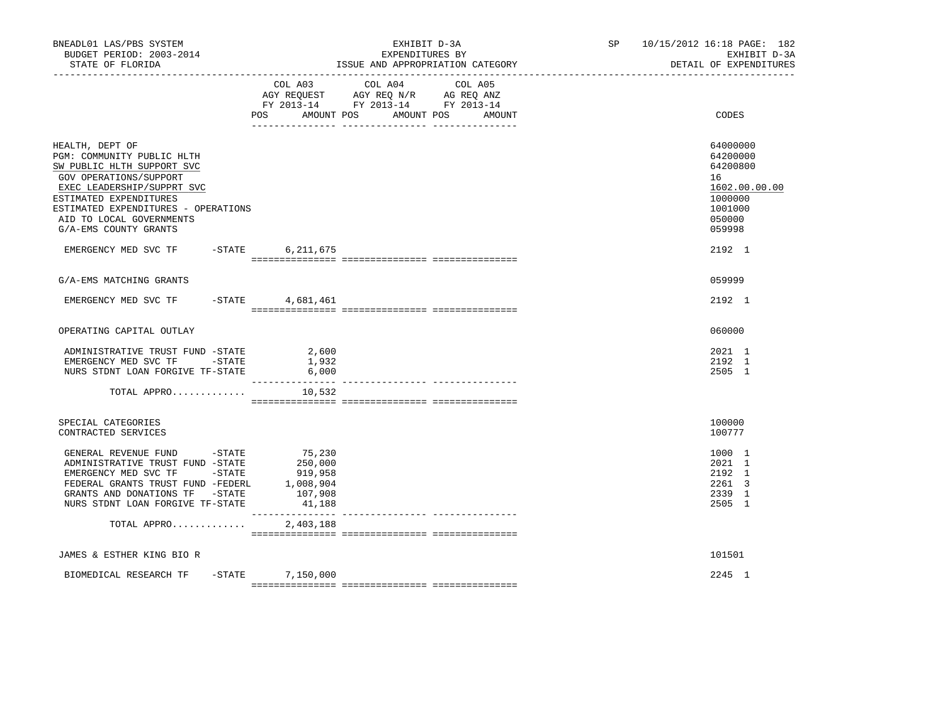| BNEADL01 LAS/PBS SYSTEM<br>BUDGET PERIOD: 2003-2014<br>STATE OF FLORIDA                                                                                                                                                                                   |                                                   | EXHIBIT D-3A<br>EXPENDITURES BY<br>ISSUE AND APPROPRIATION CATEGORY                                               | SP | 10/15/2012 16:18 PAGE: 182<br>EXHIBIT D-3A<br>DETAIL OF EXPENDITURES                              |
|-----------------------------------------------------------------------------------------------------------------------------------------------------------------------------------------------------------------------------------------------------------|---------------------------------------------------|-------------------------------------------------------------------------------------------------------------------|----|---------------------------------------------------------------------------------------------------|
|                                                                                                                                                                                                                                                           | COL A03<br>POS AMOUNT POS                         | COL A04<br>COL A05<br>AGY REQUEST AGY REQ N/R AG REQ ANZ<br>FY 2013-14 FY 2013-14 FY 2013-14<br>AMOUNT POS AMOUNT |    | CODES                                                                                             |
| HEALTH, DEPT OF<br>PGM: COMMUNITY PUBLIC HLTH<br>SW PUBLIC HLTH SUPPORT SVC<br>GOV OPERATIONS/SUPPORT<br>EXEC LEADERSHIP/SUPPRT SVC<br>ESTIMATED EXPENDITURES<br>ESTIMATED EXPENDITURES - OPERATIONS<br>AID TO LOCAL GOVERNMENTS<br>G/A-EMS COUNTY GRANTS |                                                   |                                                                                                                   |    | 64000000<br>64200000<br>64200800<br>16<br>1602.00.00.00<br>1000000<br>1001000<br>050000<br>059998 |
| EMERGENCY MED SVC TF -STATE 6,211,675                                                                                                                                                                                                                     |                                                   |                                                                                                                   |    | 2192 1                                                                                            |
| G/A-EMS MATCHING GRANTS                                                                                                                                                                                                                                   |                                                   |                                                                                                                   |    | 059999                                                                                            |
| EMERGENCY MED SVC TF - STATE 4,681,461                                                                                                                                                                                                                    |                                                   |                                                                                                                   |    | 2192 1                                                                                            |
| OPERATING CAPITAL OUTLAY                                                                                                                                                                                                                                  |                                                   |                                                                                                                   |    | 060000                                                                                            |
| ADMINISTRATIVE TRUST FUND -STATE 2,600<br>EMERGENCY MED SVC TF -STATE<br>NURS STDNT LOAN FORGIVE TF-STATE                                                                                                                                                 | 1,932<br>6,000                                    |                                                                                                                   |    | 2021 1<br>2192 1<br>2505 1                                                                        |
| TOTAL APPRO                                                                                                                                                                                                                                               | 10,532                                            |                                                                                                                   |    |                                                                                                   |
| SPECIAL CATEGORIES<br>CONTRACTED SERVICES                                                                                                                                                                                                                 |                                                   |                                                                                                                   |    | 100000<br>100777                                                                                  |
| GENERAL REVENUE FUND -STATE<br>ADMINISTRATIVE TRUST FUND -STATE<br>EMERGENCY MED SVC TF -STATE<br>FEDERAL GRANTS TRUST FUND -FEDERL 1,008,904<br>GRANTS AND DONATIONS TF -STATE<br>NURS STDNT LOAN FORGIVE TF-STATE                                       | 75,230<br>250,000<br>919,958<br>107,908<br>41,188 |                                                                                                                   |    | 1000 1<br>2021 1<br>2192 1<br>2261 3<br>2339 1<br>2505 1                                          |
| TOTAL APPRO                                                                                                                                                                                                                                               | 2,403,188                                         |                                                                                                                   |    |                                                                                                   |
| JAMES & ESTHER KING BIO R                                                                                                                                                                                                                                 |                                                   |                                                                                                                   |    | 101501                                                                                            |
| BIOMEDICAL RESEARCH TF                                                                                                                                                                                                                                    | $-$ STATE $7, 150, 000$                           |                                                                                                                   |    | 2245 1                                                                                            |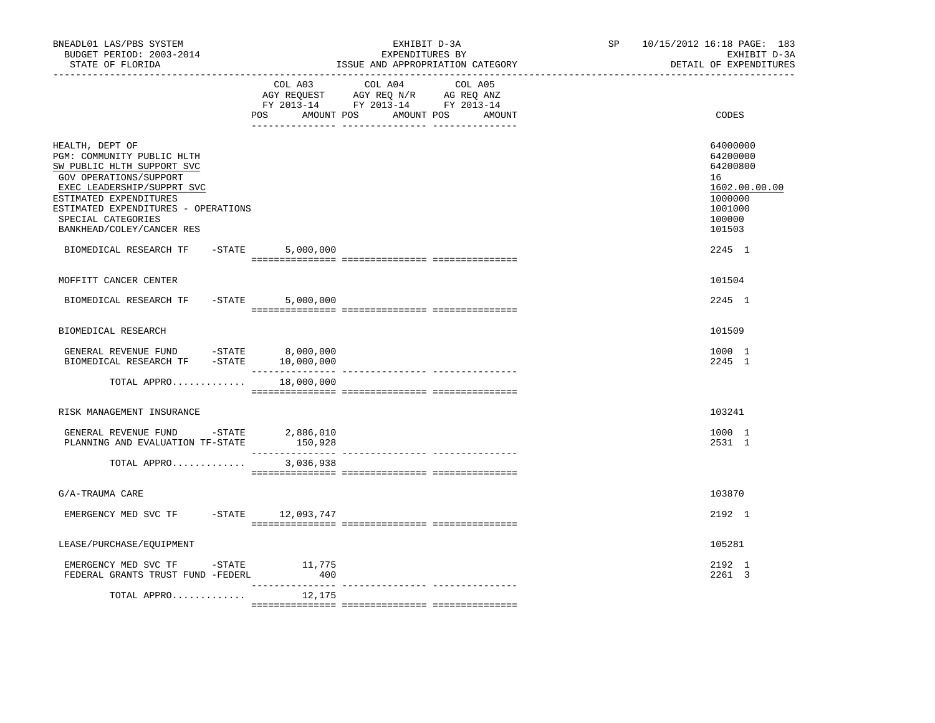| BNEADL01 LAS/PBS SYSTEM<br>BUDGET PERIOD: 2003-2014<br>STATE OF FLORIDA                                                                                                                                                                                                                   |                        | EXHIBIT D-3A<br>EXPENDITURES BY<br>ISSUE AND APPROPRIATION CATEGORY                                                               | SP <sub>2</sub> | 10/15/2012 16:18 PAGE: 183<br>EXHIBIT D-3A<br>DETAIL OF EXPENDITURES                                        |
|-------------------------------------------------------------------------------------------------------------------------------------------------------------------------------------------------------------------------------------------------------------------------------------------|------------------------|-----------------------------------------------------------------------------------------------------------------------------------|-----------------|-------------------------------------------------------------------------------------------------------------|
|                                                                                                                                                                                                                                                                                           | POS                    | COL A03 COL A04 COL A05<br>AGY REQUEST AGY REQ N/R AG REQ ANZ<br>FY 2013-14 FY 2013-14 FY 2013-14<br>AMOUNT POS AMOUNT POS AMOUNT |                 | CODES                                                                                                       |
| HEALTH, DEPT OF<br>PGM: COMMUNITY PUBLIC HLTH<br>SW PUBLIC HLTH SUPPORT SVC<br>GOV OPERATIONS/SUPPORT<br>EXEC LEADERSHIP/SUPPRT SVC<br>ESTIMATED EXPENDITURES<br>ESTIMATED EXPENDITURES - OPERATIONS<br>SPECIAL CATEGORIES<br>BANKHEAD/COLEY/CANCER RES<br>BIOMEDICAL RESEARCH TF - STATE | 5,000,000              |                                                                                                                                   |                 | 64000000<br>64200000<br>64200800<br>16<br>1602.00.00.00<br>1000000<br>1001000<br>100000<br>101503<br>2245 1 |
|                                                                                                                                                                                                                                                                                           |                        |                                                                                                                                   |                 |                                                                                                             |
| MOFFITT CANCER CENTER                                                                                                                                                                                                                                                                     |                        |                                                                                                                                   |                 | 101504                                                                                                      |
| BIOMEDICAL RESEARCH TF                                                                                                                                                                                                                                                                    | $-$ STATE<br>5,000,000 |                                                                                                                                   |                 | 2245 1                                                                                                      |
| BIOMEDICAL RESEARCH                                                                                                                                                                                                                                                                       |                        |                                                                                                                                   |                 | 101509                                                                                                      |
| GENERAL REVENUE FUND -STATE 8,000,000<br>BIOMEDICAL RESEARCH TF -STATE 10,000,000                                                                                                                                                                                                         |                        |                                                                                                                                   |                 | 1000 1<br>2245 1                                                                                            |
| TOTAL APPRO                                                                                                                                                                                                                                                                               | 18,000,000             |                                                                                                                                   |                 |                                                                                                             |
| RISK MANAGEMENT INSURANCE                                                                                                                                                                                                                                                                 |                        |                                                                                                                                   |                 | 103241                                                                                                      |
| GENERAL REVENUE FUND -STATE 2,886,010<br>PLANNING AND EVALUATION TF-STATE                                                                                                                                                                                                                 | 150,928                |                                                                                                                                   |                 | 1000 1<br>2531 1                                                                                            |
| TOTAL APPRO                                                                                                                                                                                                                                                                               | 3,036,938              |                                                                                                                                   |                 |                                                                                                             |
| G/A-TRAUMA CARE                                                                                                                                                                                                                                                                           |                        |                                                                                                                                   |                 | 103870                                                                                                      |
| EMERGENCY MED SVC TF -STATE 12,093,747                                                                                                                                                                                                                                                    |                        |                                                                                                                                   |                 | 2192 1                                                                                                      |
| LEASE/PURCHASE/EQUIPMENT                                                                                                                                                                                                                                                                  |                        |                                                                                                                                   |                 | 105281                                                                                                      |
| EMERGENCY MED SVC TF -STATE 11,775<br>FEDERAL GRANTS TRUST FUND -FEDERL                                                                                                                                                                                                                   | 400                    |                                                                                                                                   |                 | 2192 1<br>2261 3                                                                                            |
| TOTAL APPRO                                                                                                                                                                                                                                                                               | _________<br>12,175    | ---------------- ----------------                                                                                                 |                 |                                                                                                             |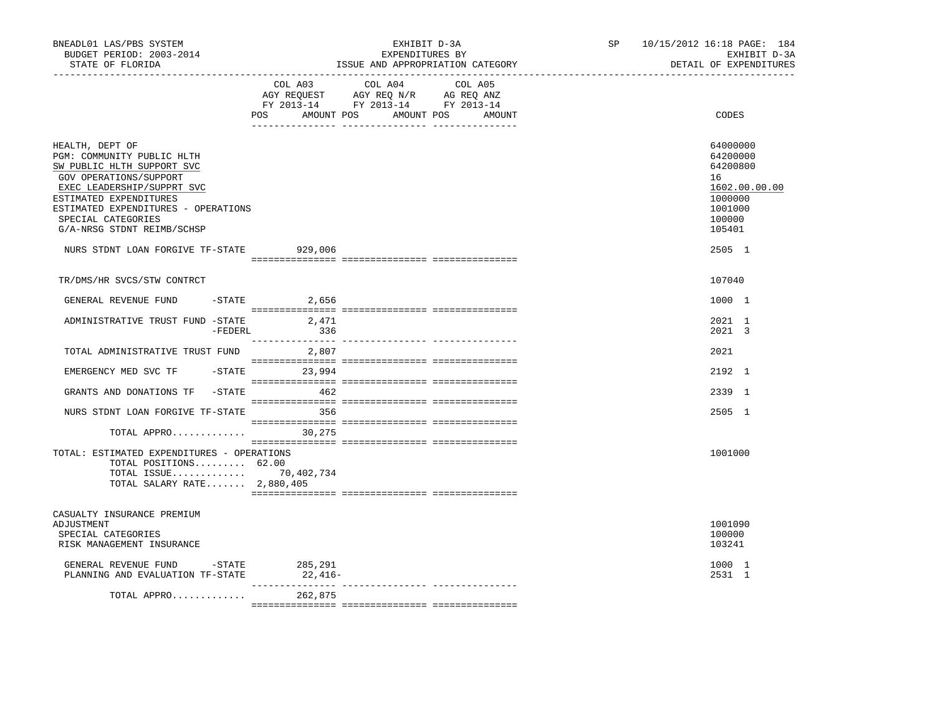| BNEADL01 LAS/PBS SYSTEM<br>BUDGET PERIOD: 2003-2014<br>STATE OF FLORIDA<br>-----------------                                                                                                                                                                                                         |                 | EXHIBIT D-3A<br>EXPENDITURES BY<br>ISSUE AND APPROPRIATION CATEGORY                                                              | SP | 10/15/2012 16:18 PAGE: 184<br>EXHIBIT D-3A<br>DETAIL OF EXPENDITURES                                        |
|------------------------------------------------------------------------------------------------------------------------------------------------------------------------------------------------------------------------------------------------------------------------------------------------------|-----------------|----------------------------------------------------------------------------------------------------------------------------------|----|-------------------------------------------------------------------------------------------------------------|
|                                                                                                                                                                                                                                                                                                      | COL A03         | COL A04<br>COL A05<br>AGY REQUEST AGY REQ N/R AG REQ ANZ<br>FY 2013-14 FY 2013-14 FY 2013-14<br>POS AMOUNT POS AMOUNT POS AMOUNT |    | CODES                                                                                                       |
| HEALTH, DEPT OF<br>PGM: COMMUNITY PUBLIC HLTH<br>SW PUBLIC HLTH SUPPORT SVC<br>GOV OPERATIONS/SUPPORT<br>EXEC LEADERSHIP/SUPPRT SVC<br>ESTIMATED EXPENDITURES<br>ESTIMATED EXPENDITURES - OPERATIONS<br>SPECIAL CATEGORIES<br>G/A-NRSG STDNT REIMB/SCHSP<br>NURS STDNT LOAN FORGIVE TF-STATE 929,006 |                 |                                                                                                                                  |    | 64000000<br>64200000<br>64200800<br>16<br>1602.00.00.00<br>1000000<br>1001000<br>100000<br>105401<br>2505 1 |
| TR/DMS/HR SVCS/STW CONTRCT                                                                                                                                                                                                                                                                           |                 |                                                                                                                                  |    | 107040                                                                                                      |
| GENERAL REVENUE FUND                                                                                                                                                                                                                                                                                 | $-$ STATE 2,656 |                                                                                                                                  |    | 1000 1                                                                                                      |
| ADMINISTRATIVE TRUST FUND -STATE<br>-FEDERL                                                                                                                                                                                                                                                          | 2,471<br>336    |                                                                                                                                  |    | 2021 1<br>2021 3                                                                                            |
| TOTAL ADMINISTRATIVE TRUST FUND 2,807                                                                                                                                                                                                                                                                |                 |                                                                                                                                  |    | 2021                                                                                                        |
| EMERGENCY MED SVC TF                                                                                                                                                                                                                                                                                 | -STATE 23,994   |                                                                                                                                  |    | 2192 1                                                                                                      |
| GRANTS AND DONATIONS TF -STATE 462                                                                                                                                                                                                                                                                   |                 |                                                                                                                                  |    | 2339 1                                                                                                      |
| NURS STDNT LOAN FORGIVE TF-STATE                                                                                                                                                                                                                                                                     | 356             |                                                                                                                                  |    | 2505 1                                                                                                      |
| TOTAL APPRO $30,275$                                                                                                                                                                                                                                                                                 |                 |                                                                                                                                  |    |                                                                                                             |
| TOTAL: ESTIMATED EXPENDITURES - OPERATIONS<br>TOTAL POSITIONS 62.00<br>TOTAL ISSUE 70,402,734<br>TOTAL SALARY RATE 2,880,405                                                                                                                                                                         |                 |                                                                                                                                  |    | 1001000                                                                                                     |
| CASUALTY INSURANCE PREMIUM<br>ADJUSTMENT<br>SPECIAL CATEGORIES<br>RISK MANAGEMENT INSURANCE                                                                                                                                                                                                          |                 |                                                                                                                                  |    | 1001090<br>100000<br>103241                                                                                 |
| GENERAL REVENUE FUND -STATE 285,291<br>PLANNING AND EVALUATION TF-STATE                                                                                                                                                                                                                              | $22,416-$       |                                                                                                                                  |    | 1000 1<br>2531 1                                                                                            |
| TOTAL APPRO                                                                                                                                                                                                                                                                                          | 262,875         |                                                                                                                                  |    |                                                                                                             |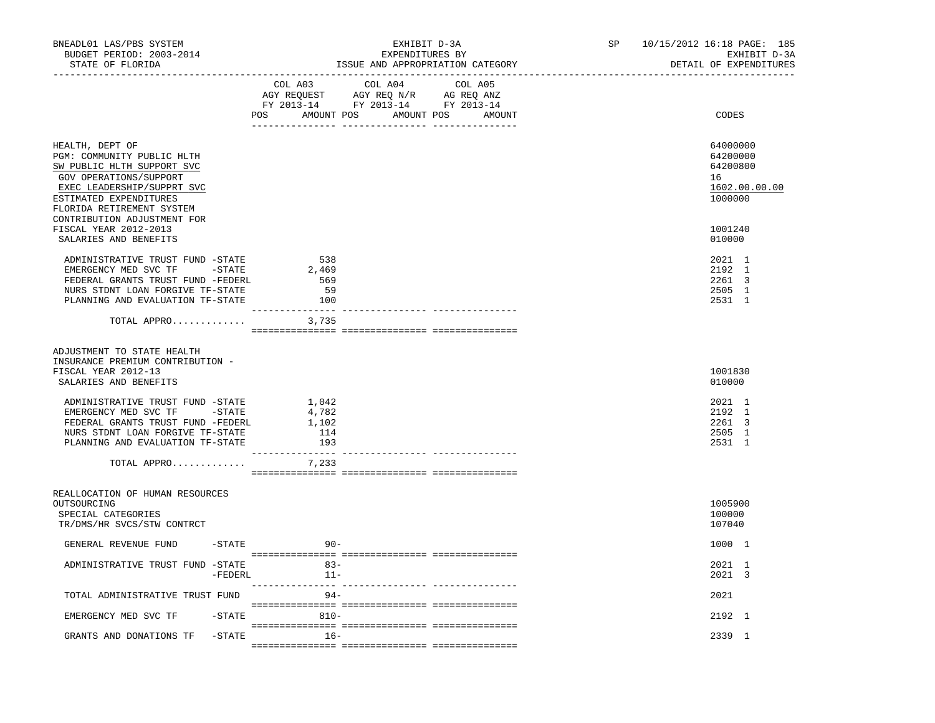| BNEADL01 LAS/PBS SYSTEM<br>BUDGET PERIOD: 2003-2014<br>STATE OF FLORIDA                                                                                                                                                   | EXHIBIT D-3A<br>EXPENDITURES BY<br>ISSUE AND APPROPRIATION CATEGORY                                                                         | 10/15/2012 16:18 PAGE: 185<br>SP <sub>2</sub><br>EXHIBIT D-3A<br>DETAIL OF EXPENDITURES |
|---------------------------------------------------------------------------------------------------------------------------------------------------------------------------------------------------------------------------|---------------------------------------------------------------------------------------------------------------------------------------------|-----------------------------------------------------------------------------------------|
|                                                                                                                                                                                                                           | COL A03<br>COL A04<br>COL A05<br>AGY REQUEST AGY REQ N/R AG REQ ANZ<br>FY 2013-14 FY 2013-14 FY 2013-14<br>POS AMOUNT POS AMOUNT POS AMOUNT | CODES                                                                                   |
| HEALTH, DEPT OF<br>PGM: COMMUNITY PUBLIC HLTH<br>SW PUBLIC HLTH SUPPORT SVC<br>GOV OPERATIONS/SUPPORT<br>EXEC LEADERSHIP/SUPPRT SVC<br>ESTIMATED EXPENDITURES<br>FLORIDA RETIREMENT SYSTEM<br>CONTRIBUTION ADJUSTMENT FOR |                                                                                                                                             | 64000000<br>64200000<br>64200800<br>16<br>1602.00.00.00<br>1000000                      |
| FISCAL YEAR 2012-2013<br>SALARIES AND BENEFITS                                                                                                                                                                            |                                                                                                                                             | 1001240<br>010000                                                                       |
| ADMINISTRATIVE TRUST FUND -STATE<br>EMERGENCY MED SVC TF -STATE<br>FEDERAL GRANTS TRUST FUND -FEDERL<br>NURS STDNT LOAN FORGIVE TF-STATE<br>PLANNING AND EVALUATION TF-STATE                                              | 538<br>2,469<br>569<br>59<br>100                                                                                                            | 2021 1<br>2192 1<br>2261 3<br>2505 1<br>2531 1                                          |
| TOTAL APPRO $3,735$                                                                                                                                                                                                       |                                                                                                                                             |                                                                                         |
| ADJUSTMENT TO STATE HEALTH<br>INSURANCE PREMIUM CONTRIBUTION -<br>FISCAL YEAR 2012-13<br>SALARIES AND BENEFITS                                                                                                            |                                                                                                                                             | 1001830<br>010000                                                                       |
| ADMINISTRATIVE TRUST FUND -STATE<br>EMERGENCY MED SVC TF - STATE<br>FEDERAL GRANTS TRUST FUND -FEDERL<br>NURS STDNT LOAN FORGIVE TF-STATE<br>PLANNING AND EVALUATION TF-STATE                                             | 1,042<br>4,782<br>1,102<br>114<br>193                                                                                                       | 2021 1<br>2192 1<br>2261 3<br>2505 1<br>2531 1                                          |
| TOTAL APPRO                                                                                                                                                                                                               | 7,233                                                                                                                                       |                                                                                         |
| REALLOCATION OF HUMAN RESOURCES<br>OUTSOURCING<br>SPECIAL CATEGORIES<br>TR/DMS/HR SVCS/STW CONTRCT                                                                                                                        |                                                                                                                                             | 1005900<br>100000<br>107040                                                             |
| GENERAL REVENUE FUND -STATE                                                                                                                                                                                               | $90 -$                                                                                                                                      | 1000 1                                                                                  |
| ADMINISTRATIVE TRUST FUND -STATE<br>-FEDERL                                                                                                                                                                               | $11 -$                                                                                                                                      | 2021 1<br>2021 3                                                                        |
| TOTAL ADMINISTRATIVE TRUST FUND                                                                                                                                                                                           | ----------- ----------------<br>$94 -$                                                                                                      | 2021                                                                                    |
| EMERGENCY MED SVC TF<br>$-$ STATE                                                                                                                                                                                         | $810 -$                                                                                                                                     | 2192 1                                                                                  |
| GRANTS AND DONATIONS TF<br>$-$ STATE                                                                                                                                                                                      | $16 -$                                                                                                                                      | 2339 1                                                                                  |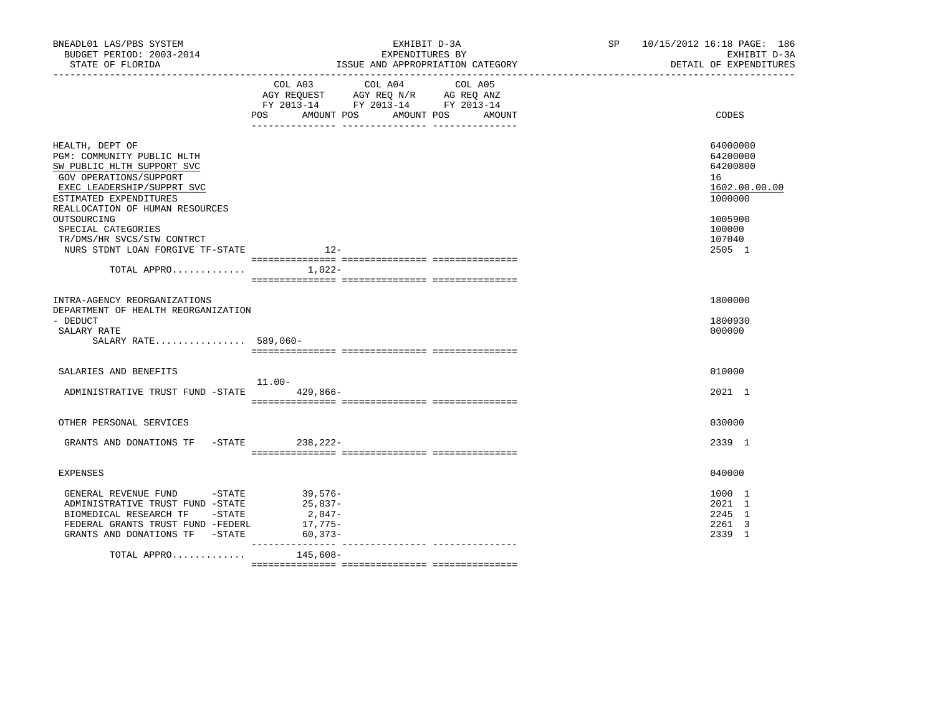| BNEADL01 LAS/PBS SYSTEM<br>BUDGET PERIOD: 2003-2014<br>STATE OF FLORIDA                                                                                                                                                                                                                                                         | EXHIBIT D-3A<br>EXPENDITURES BY<br>ISSUE AND APPROPRIATION CATEGORY                                                                                                        | SP 10/15/2012 16:18 PAGE: 186<br>EXHIBIT D-3A<br>DETAIL OF EXPENDITURES                                     |
|---------------------------------------------------------------------------------------------------------------------------------------------------------------------------------------------------------------------------------------------------------------------------------------------------------------------------------|----------------------------------------------------------------------------------------------------------------------------------------------------------------------------|-------------------------------------------------------------------------------------------------------------|
|                                                                                                                                                                                                                                                                                                                                 | COL A03 COL A04 COL A05<br>AGY REQUEST AGY REQ N/R AG REQ ANZ<br>FY 2013-14 FY 2013-14 FY 2013-14<br>POS AMOUNT POS AMOUNT POS<br>AMOUNT<br>__ ________________ __________ | CODES                                                                                                       |
| HEALTH, DEPT OF<br>PGM: COMMUNITY PUBLIC HLTH<br>SW PUBLIC HLTH SUPPORT SVC<br>GOV OPERATIONS/SUPPORT<br>EXEC LEADERSHIP/SUPPRT SVC<br>ESTIMATED EXPENDITURES<br>REALLOCATION OF HUMAN RESOURCES<br>OUTSOURCING<br>SPECIAL CATEGORIES<br>TR/DMS/HR SVCS/STW CONTRCT<br>NURS STDNT LOAN FORGIVE TF-STATE<br>TOTAL APPRO $1,022-$ | $12-$                                                                                                                                                                      | 64000000<br>64200000<br>64200800<br>16<br>1602.00.00.00<br>1000000<br>1005900<br>100000<br>107040<br>2505 1 |
| INTRA-AGENCY REORGANIZATIONS<br>DEPARTMENT OF HEALTH REORGANIZATION<br>- DEDUCT<br>SALARY RATE<br>SALARY RATE 589,060-                                                                                                                                                                                                          |                                                                                                                                                                            | 1800000<br>1800930<br>000000                                                                                |
| SALARIES AND BENEFITS<br>ADMINISTRATIVE TRUST FUND -STATE 429,866-                                                                                                                                                                                                                                                              | 11.00-                                                                                                                                                                     | 010000<br>2021 1                                                                                            |
| OTHER PERSONAL SERVICES<br>GRANTS AND DONATIONS TF -STATE 238, 222-                                                                                                                                                                                                                                                             |                                                                                                                                                                            | 030000<br>2339 1                                                                                            |
| <b>EXPENSES</b><br>GENERAL REVENUE FUND -STATE                                                                                                                                                                                                                                                                                  | $39,576-$                                                                                                                                                                  | 040000<br>1000 1                                                                                            |
| ADMINISTRATIVE TRUST FUND -STATE<br>BIOMEDICAL RESEARCH TF -STATE<br>FEDERAL GRANTS TRUST FUND -FEDERL<br>GRANTS AND DONATIONS TF -STATE                                                                                                                                                                                        | 25,837-<br>2,047-<br>17,775–<br>60,373-<br>________________                                                                                                                | 2021 1<br>2245 1<br>2261 3<br>2339 1                                                                        |
| TOTAL APPRO                                                                                                                                                                                                                                                                                                                     | 145,608-                                                                                                                                                                   |                                                                                                             |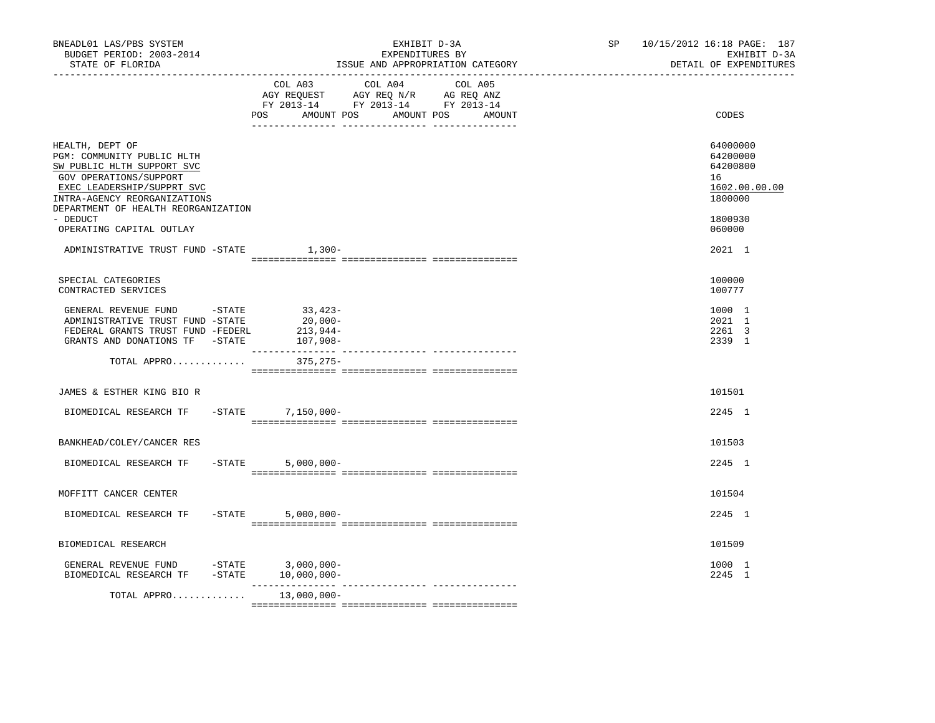| BNEADL01 LAS/PBS SYSTEM<br>BUDGET PERIOD: 2003-2014<br>STATE OF FLORIDA<br>----------------                                                                                                                                                        | EXHIBIT D-3A<br>EXPENDITURES BY<br>ISSUE AND APPROPRIATION CATEGORY                                                                   | 10/15/2012 16:18 PAGE: 187<br>SP<br>EXHIBIT D-3A<br>DETAIL OF EXPENDITURES              |
|----------------------------------------------------------------------------------------------------------------------------------------------------------------------------------------------------------------------------------------------------|---------------------------------------------------------------------------------------------------------------------------------------|-----------------------------------------------------------------------------------------|
|                                                                                                                                                                                                                                                    | COL A03 COL A04 COL A05<br>AGY REQUEST AGY REQ N/R AG REQ ANZ<br>FY 2013-14 FY 2013-14 FY 2013-14<br>POS AMOUNT POS AMOUNT POS AMOUNT | CODES                                                                                   |
| HEALTH, DEPT OF<br>PGM: COMMUNITY PUBLIC HLTH<br>SW PUBLIC HLTH SUPPORT SVC<br>GOV OPERATIONS/SUPPORT<br>EXEC LEADERSHIP/SUPPRT SVC<br>INTRA-AGENCY REORGANIZATIONS<br>DEPARTMENT OF HEALTH REORGANIZATION<br>- DEDUCT<br>OPERATING CAPITAL OUTLAY |                                                                                                                                       | 64000000<br>64200000<br>64200800<br>16<br>1602.00.00.00<br>1800000<br>1800930<br>060000 |
| ADMINISTRATIVE TRUST FUND -STATE 1,300-                                                                                                                                                                                                            |                                                                                                                                       | 2021 1                                                                                  |
| SPECIAL CATEGORIES<br>CONTRACTED SERVICES                                                                                                                                                                                                          |                                                                                                                                       | 100000<br>100777                                                                        |
| GENERAL REVENUE FUND -STATE<br>ADMINISTRATIVE TRUST FUND -STATE<br>FEDERAL GRANTS TRUST FUND -FEDERL<br>GRANTS AND DONATIONS TF -STATE                                                                                                             | 33,423-<br>20,000-<br>213,944-<br>$107,908-$                                                                                          | 1000 1<br>2021 1<br>2261 3<br>2339 1                                                    |
| TOTAL APPRO 375,275-                                                                                                                                                                                                                               |                                                                                                                                       |                                                                                         |
| JAMES & ESTHER KING BIO R                                                                                                                                                                                                                          |                                                                                                                                       | 101501                                                                                  |
| BIOMEDICAL RESEARCH TF -STATE 7,150,000-                                                                                                                                                                                                           |                                                                                                                                       | 2245 1                                                                                  |
| BANKHEAD/COLEY/CANCER RES                                                                                                                                                                                                                          |                                                                                                                                       | 101503                                                                                  |
| BIOMEDICAL RESEARCH TF                                                                                                                                                                                                                             | $-STATE$<br>$5,000,000 -$                                                                                                             | 2245 1                                                                                  |
| MOFFITT CANCER CENTER                                                                                                                                                                                                                              |                                                                                                                                       | 101504                                                                                  |
| BIOMEDICAL RESEARCH TF                                                                                                                                                                                                                             | $-$ STATE<br>$5,000,000-$                                                                                                             | 2245 1                                                                                  |
| BIOMEDICAL RESEARCH                                                                                                                                                                                                                                |                                                                                                                                       | 101509                                                                                  |
| GENERAL REVENUE FUND -STATE 3,000,000-<br>BIOMEDICAL RESEARCH TF -STATE 10,000,000-                                                                                                                                                                |                                                                                                                                       | 1000 1<br>2245 1                                                                        |
| TOTAL APPRO                                                                                                                                                                                                                                        | 13,000,000-                                                                                                                           |                                                                                         |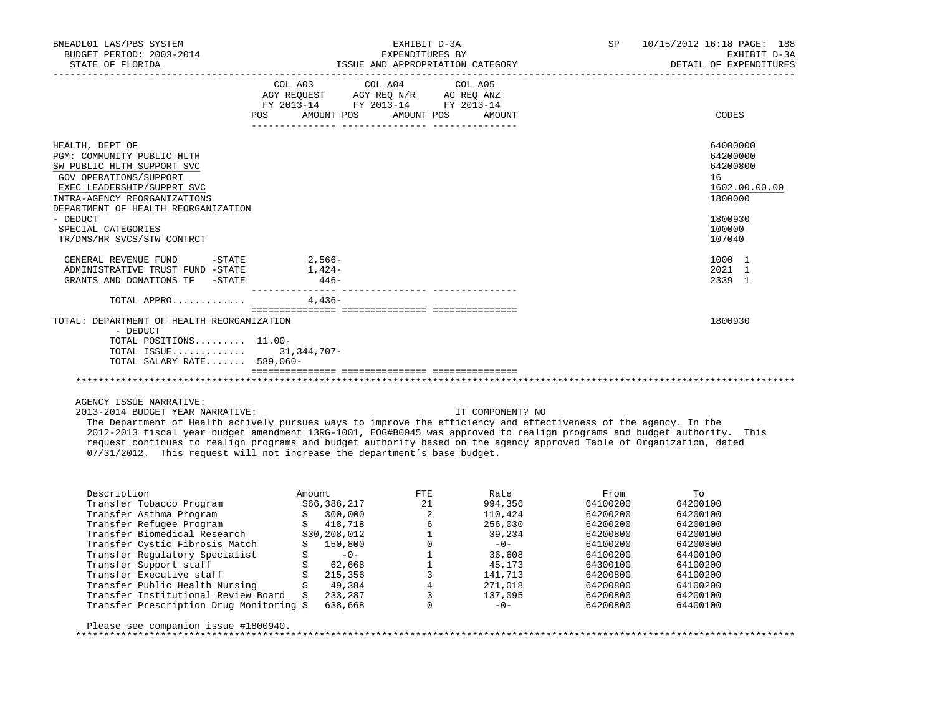| BNEADL01 LAS/PBS SYSTEM<br>BUDGET PERIOD: 2003-2014<br>STATE OF FLORIDA                                                                                                                                                                                                    | EXHIBIT D-3A<br>EXPENDITURES BY<br>ISSUE AND APPROPRIATION CATEGORY                                                                   |  | SP 10/15/2012 16:18 PAGE: 188<br>EXHIBIT D-3A<br>DETAIL OF EXPENDITURES                           |
|----------------------------------------------------------------------------------------------------------------------------------------------------------------------------------------------------------------------------------------------------------------------------|---------------------------------------------------------------------------------------------------------------------------------------|--|---------------------------------------------------------------------------------------------------|
|                                                                                                                                                                                                                                                                            | COL A03 COL A04 COL A05<br>AGY REQUEST AGY REQ N/R AG REQ ANZ<br>FY 2013-14 FY 2013-14 FY 2013-14<br>POS AMOUNT POS AMOUNT POS AMOUNT |  | CODES                                                                                             |
| HEALTH, DEPT OF<br>PGM: COMMUNITY PUBLIC HLTH<br>SW PUBLIC HLTH SUPPORT SVC<br>GOV OPERATIONS/SUPPORT<br>EXEC LEADERSHIP/SUPPRT SVC<br>INTRA-AGENCY REORGANIZATIONS<br>DEPARTMENT OF HEALTH REORGANIZATION<br>- DEDUCT<br>SPECIAL CATEGORIES<br>TR/DMS/HR SVCS/STW CONTRCT |                                                                                                                                       |  | 64000000<br>64200000<br>64200800<br>16<br>1602.00.00.00<br>1800000<br>1800930<br>100000<br>107040 |
| GENERAL REVENUE FUND -STATE 2,566-<br>ADMINISTRATIVE TRUST FUND -STATE<br>GRANTS AND DONATIONS TF -STATE                                                                                                                                                                   | $1,424-$<br>$446-$                                                                                                                    |  | 1000 1<br>2021 1<br>2339 1                                                                        |
| TOTAL APPRO                                                                                                                                                                                                                                                                | $4.436-$                                                                                                                              |  |                                                                                                   |
| TOTAL: DEPARTMENT OF HEALTH REORGANIZATION<br>- DEDUCT<br>TOTAL POSITIONS $11.00-$<br>TOTAL ISSUE 31,344,707-<br>TOTAL SALARY RATE 589,060-                                                                                                                                |                                                                                                                                       |  | 1800930                                                                                           |
|                                                                                                                                                                                                                                                                            |                                                                                                                                       |  |                                                                                                   |
| AGENCY ISSUE NARRATIVE:                                                                                                                                                                                                                                                    |                                                                                                                                       |  |                                                                                                   |

2013-2014 BUDGET YEAR NARRATIVE: IT COMPONENT? NO

 The Department of Health actively pursues ways to improve the efficiency and effectiveness of the agency. In the 2012-2013 fiscal year budget amendment 13RG-1001, EOG#B0045 was approved to realign programs and budget authority. This request continues to realign programs and budget authority based on the agency approved Table of Organization, dated 07/31/2012. This request will not increase the department's base budget.

| Description                              | Amount |              | <b>FTE</b> | Rate    | From     | TΟ       |
|------------------------------------------|--------|--------------|------------|---------|----------|----------|
| Transfer Tobacco Program                 |        | \$66,386,217 | 21         | 994,356 | 64100200 | 64200100 |
| Transfer Asthma Program                  |        | 300,000      | 2          | 110,424 | 64200200 | 64200100 |
| Transfer Refugee Program                 |        | 418,718      | 6          | 256,030 | 64200200 | 64200100 |
| Transfer Biomedical Research             |        | \$30,208,012 |            | 39,234  | 64200800 | 64200100 |
| Transfer Cystic Fibrosis Match           |        | 150,800      |            | $-0-$   | 64100200 | 64200800 |
| Transfer Requlatory Specialist           |        | $-0-$        |            | 36,608  | 64100200 | 64400100 |
| Transfer Support staff                   |        | 62,668       |            | 45,173  | 64300100 | 64100200 |
| Transfer Executive staff                 |        | 215,356      |            | 141,713 | 64200800 | 64100200 |
| Transfer Public Health Nursing           |        | 49,384       |            | 271,018 | 64200800 | 64100200 |
| Transfer Institutional Review Board      |        | 233,287      |            | 137,095 | 64200800 | 64200100 |
| Transfer Prescription Drug Monitoring \$ |        | 638,668      | $\Omega$   | $-0-$   | 64200800 | 64400100 |
|                                          |        |              |            |         |          |          |
| Please see companion issue #1800940.     |        |              |            |         |          |          |
|                                          |        |              |            |         |          |          |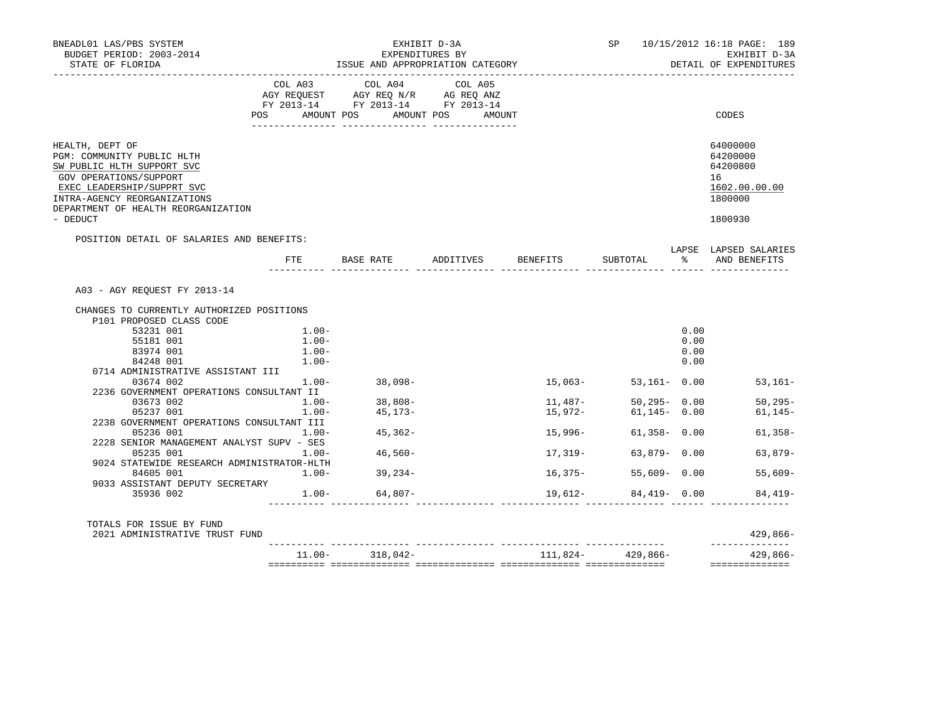| BNEADL01 LAS/PBS SYSTEM<br>BUDGET PERIOD: 2003-2014<br>STATE OF FLORIDA                                                                                                                                                |                      | EXHIBIT D-3A<br>EXPENDITURES BY<br>ISSUE AND APPROPRIATION CATEGORY                                                                                                                        |             |                    |                      |              | SP 10/15/2012 16:18 PAGE: 189<br>EXHIBIT D-3A<br>DETAIL OF EXPENDITURES       |
|------------------------------------------------------------------------------------------------------------------------------------------------------------------------------------------------------------------------|----------------------|--------------------------------------------------------------------------------------------------------------------------------------------------------------------------------------------|-------------|--------------------|----------------------|--------------|-------------------------------------------------------------------------------|
|                                                                                                                                                                                                                        | <b>POS</b>           | $\begin{tabular}{lcccc} COL A03 & COL A04 & COL A05 \\ AGY REQUEST & AGY REQ N/R & AG REQ ANZ \\ FY & 2013-14 & FY & 2013-14 & FY & 2013-14 \end{tabular}$<br>AMOUNT POS AMOUNT POS AMOUNT |             |                    |                      |              | CODES                                                                         |
| HEALTH, DEPT OF<br>PGM: COMMUNITY PUBLIC HLTH<br>SW PUBLIC HLTH SUPPORT SVC<br>GOV OPERATIONS/SUPPORT<br>EXEC LEADERSHIP/SUPPRT SVC<br>INTRA-AGENCY REORGANIZATIONS<br>DEPARTMENT OF HEALTH REORGANIZATION<br>- DEDUCT |                      |                                                                                                                                                                                            |             |                    |                      |              | 64000000<br>64200000<br>64200800<br>16<br>1602.00.00.00<br>1800000<br>1800930 |
| POSITION DETAIL OF SALARIES AND BENEFITS:                                                                                                                                                                              | FTE                  | BASE RATE ADDITIVES BENEFITS SUBTOTAL<br>_______ ______                                                                                                                                    | _____ _____ |                    |                      |              | LAPSE LAPSED SALARIES<br>% AND BENEFITS                                       |
| A03 - AGY REOUEST FY 2013-14                                                                                                                                                                                           |                      |                                                                                                                                                                                            |             |                    |                      |              |                                                                               |
| CHANGES TO CURRENTLY AUTHORIZED POSITIONS                                                                                                                                                                              |                      |                                                                                                                                                                                            |             |                    |                      |              |                                                                               |
| P101 PROPOSED CLASS CODE                                                                                                                                                                                               |                      |                                                                                                                                                                                            |             |                    |                      |              |                                                                               |
| 53231 001                                                                                                                                                                                                              | $1.00 -$             |                                                                                                                                                                                            |             |                    |                      | 0.00         |                                                                               |
| 55181 001                                                                                                                                                                                                              | $1.00 -$             |                                                                                                                                                                                            |             |                    |                      | 0.00         |                                                                               |
| 83974 001<br>84248 001                                                                                                                                                                                                 | $1.00 -$<br>$1.00 -$ |                                                                                                                                                                                            |             |                    |                      | 0.00<br>0.00 |                                                                               |
| 0714 ADMINISTRATIVE ASSISTANT III                                                                                                                                                                                      |                      |                                                                                                                                                                                            |             |                    |                      |              |                                                                               |
| 03674 002                                                                                                                                                                                                              | $1.00 - 38,098 -$    |                                                                                                                                                                                            |             | $15,063-$          | 53,161- 0.00         |              | $53,161-$                                                                     |
| 2236 GOVERNMENT OPERATIONS CONSULTANT II                                                                                                                                                                               |                      |                                                                                                                                                                                            |             |                    |                      |              |                                                                               |
| 03673 002                                                                                                                                                                                                              | $1.00 -$             | $38,808-$                                                                                                                                                                                  |             |                    |                      |              | $50,295 - 0.00$ $50,295 - 0.00$                                               |
| 05237 001                                                                                                                                                                                                              | $1.00 -$             | 45,173-                                                                                                                                                                                    |             | 11,487-<br>15,972- | $61, 145 - 0.00$     |              | $61, 145 -$                                                                   |
| 2238 GOVERNMENT OPERATIONS CONSULTANT III                                                                                                                                                                              |                      |                                                                                                                                                                                            |             |                    |                      |              |                                                                               |
| 05236 001                                                                                                                                                                                                              | $1.00 - 45,362 -$    |                                                                                                                                                                                            |             | 15,996-            |                      |              | $61,358 - 0.00$<br>$61,358-$                                                  |
| 2228 SENIOR MANAGEMENT ANALYST SUPV - SES                                                                                                                                                                              |                      |                                                                                                                                                                                            |             |                    |                      |              |                                                                               |
| 05235 001                                                                                                                                                                                                              | $1.00 - 46,560 -$    |                                                                                                                                                                                            |             | 17,319-            |                      |              | 63,879- 0.00 63,879-                                                          |
| 9024 STATEWIDE RESEARCH ADMINISTRATOR-HLTH                                                                                                                                                                             |                      |                                                                                                                                                                                            |             |                    |                      |              |                                                                               |
| 84605 001                                                                                                                                                                                                              | $1.00 - 39,234 -$    |                                                                                                                                                                                            |             | 16,375-            | $55.609 - 0.00$      |              | $55.609 -$                                                                    |
| 9033 ASSISTANT DEPUTY SECRETARY<br>35936 002                                                                                                                                                                           |                      | $1.00 - 64,807 -$                                                                                                                                                                          |             |                    | $19,612-84,419-0.00$ |              | $84.419-$                                                                     |
| TOTALS FOR ISSUE BY FUND                                                                                                                                                                                               |                      |                                                                                                                                                                                            |             |                    |                      |              |                                                                               |
| 2021 ADMINISTRATIVE TRUST FUND                                                                                                                                                                                         |                      |                                                                                                                                                                                            |             |                    |                      |              | $429,866-$                                                                    |
|                                                                                                                                                                                                                        |                      | $11.00 - 318,042 -$                                                                                                                                                                        |             | $111,824-429,866-$ |                      |              | 429,866-                                                                      |
|                                                                                                                                                                                                                        |                      |                                                                                                                                                                                            |             |                    |                      |              | ==============                                                                |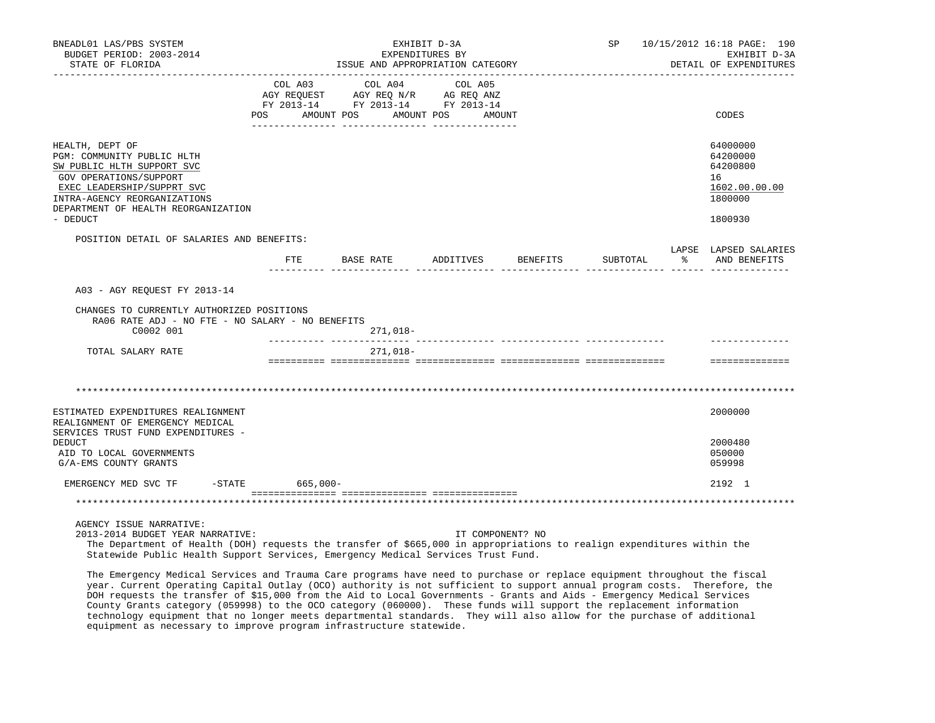| BNEADL01 LAS/PBS SYSTEM<br>BUDGET PERIOD: 2003-2014<br>STATE OF FLORIDA                                                                                                                                                | EXHIBIT D-3A<br>EXPENDITURES BY<br>ISSUE AND APPROPRIATION CATEGORY |                       |                                                                                                                                   |                  |          |    | SP 10/15/2012 16:18 PAGE: 190<br>EXHIBIT D-3A<br>DETAIL OF EXPENDITURES       |
|------------------------------------------------------------------------------------------------------------------------------------------------------------------------------------------------------------------------|---------------------------------------------------------------------|-----------------------|-----------------------------------------------------------------------------------------------------------------------------------|------------------|----------|----|-------------------------------------------------------------------------------|
|                                                                                                                                                                                                                        | COL A03<br>POS                                                      | COL A04<br>AMOUNT POS | COL A05<br>AGY REQUEST AGY REQ N/R AG REQ ANZ<br>FY 2013-14 FY 2013-14 FY 2013-14<br>AMOUNT POS<br>__ ________________ __________ | AMOUNT           |          |    | CODES                                                                         |
| HEALTH, DEPT OF<br>PGM: COMMUNITY PUBLIC HLTH<br>SW PUBLIC HLTH SUPPORT SVC<br>GOV OPERATIONS/SUPPORT<br>EXEC LEADERSHIP/SUPPRT SVC<br>INTRA-AGENCY REORGANIZATIONS<br>DEPARTMENT OF HEALTH REORGANIZATION<br>- DEDUCT |                                                                     |                       |                                                                                                                                   |                  |          |    | 64000000<br>64200000<br>64200800<br>16<br>1602.00.00.00<br>1800000<br>1800930 |
| POSITION DETAIL OF SALARIES AND BENEFITS:                                                                                                                                                                              |                                                                     |                       |                                                                                                                                   |                  |          |    | LAPSE LAPSED SALARIES                                                         |
|                                                                                                                                                                                                                        | FTE                                                                 | BASE RATE             | ADDITIVES                                                                                                                         | BENEFITS         | SUBTOTAL | ႜႂ | AND BENEFITS                                                                  |
| A03 - AGY REQUEST FY 2013-14<br>CHANGES TO CURRENTLY AUTHORIZED POSITIONS<br>RA06 RATE ADJ - NO FTE - NO SALARY - NO BENEFITS<br>C0002 001<br>TOTAL SALARY RATE                                                        |                                                                     | 271,018-<br>271,018-  |                                                                                                                                   |                  |          |    |                                                                               |
|                                                                                                                                                                                                                        |                                                                     |                       |                                                                                                                                   |                  |          |    | ==============                                                                |
| ESTIMATED EXPENDITURES REALIGNMENT<br>REALIGNMENT OF EMERGENCY MEDICAL                                                                                                                                                 |                                                                     |                       |                                                                                                                                   |                  |          |    | 2000000                                                                       |
| SERVICES TRUST FUND EXPENDITURES -<br><b>DEDUCT</b><br>AID TO LOCAL GOVERNMENTS<br>G/A-EMS COUNTY GRANTS                                                                                                               |                                                                     |                       |                                                                                                                                   |                  |          |    | 2000480<br>050000<br>059998                                                   |
| EMERGENCY MED SVC TF -STATE                                                                                                                                                                                            | $665,000 -$                                                         |                       |                                                                                                                                   |                  |          |    | 2192 1                                                                        |
|                                                                                                                                                                                                                        |                                                                     |                       |                                                                                                                                   |                  |          |    |                                                                               |
| AGENCY ISSUE NARRATIVE:<br>2013-2014 BUDGET YEAR NARRATIVE:                                                                                                                                                            |                                                                     |                       |                                                                                                                                   | IT COMPONENT? NO |          |    |                                                                               |

 The Department of Health (DOH) requests the transfer of \$665,000 in appropriations to realign expenditures within the Statewide Public Health Support Services, Emergency Medical Services Trust Fund.

 The Emergency Medical Services and Trauma Care programs have need to purchase or replace equipment throughout the fiscal year. Current Operating Capital Outlay (OCO) authority is not sufficient to support annual program costs. Therefore, the DOH requests the transfer of \$15,000 from the Aid to Local Governments - Grants and Aids - Emergency Medical Services County Grants category (059998) to the OCO category (060000). These funds will support the replacement information technology equipment that no longer meets departmental standards. They will also allow for the purchase of additional equipment as necessary to improve program infrastructure statewide.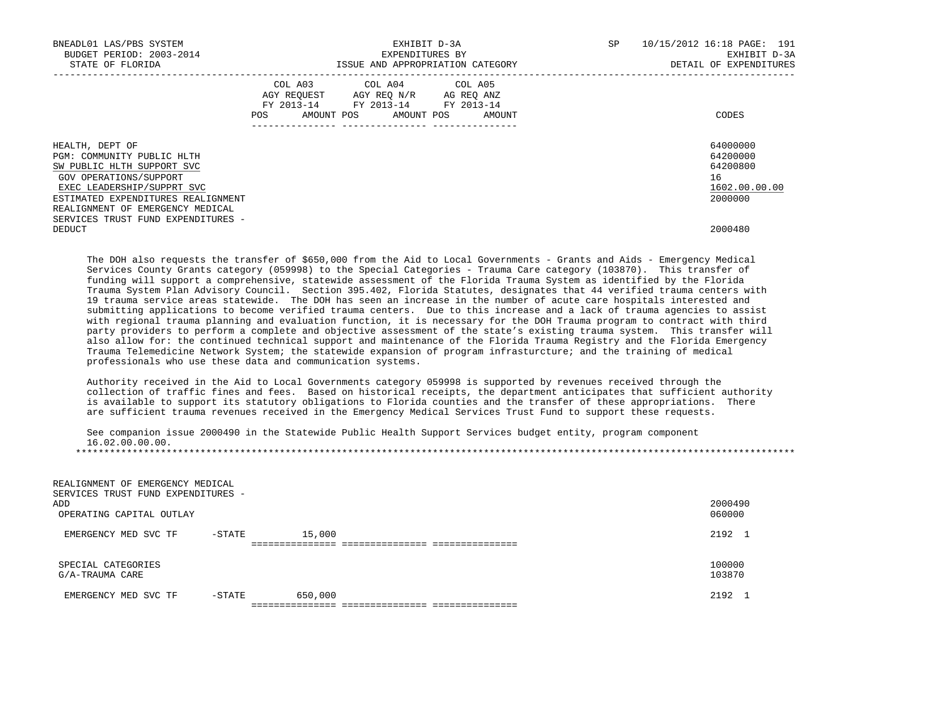| BNEADL01 LAS/PBS SYSTEM<br>BUDGET PERIOD: 2003-2014<br>STATE OF FLORIDA                                                                                                                                       | EXHIBIT D-3A<br>EXPENDITURES BY<br>ISSUE AND APPROPRIATION CATEGORY                                                                         | 10/15/2012 16:18 PAGE: 191<br>SP<br>EXHIBIT D-3A<br>DETAIL OF EXPENDITURES |
|---------------------------------------------------------------------------------------------------------------------------------------------------------------------------------------------------------------|---------------------------------------------------------------------------------------------------------------------------------------------|----------------------------------------------------------------------------|
|                                                                                                                                                                                                               | COL A03 COL A04 COL A05<br>AGY REOUEST AGY REO N/R AG REO ANZ<br>FY 2013-14 FY 2013-14 FY 2013-14<br>AMOUNT POS AMOUNT POS<br>POS<br>AMOUNT | CODES                                                                      |
| HEALTH, DEPT OF<br>PGM: COMMUNITY PUBLIC HLTH<br>SW PUBLIC HLTH SUPPORT SVC<br>GOV OPERATIONS/SUPPORT<br>EXEC LEADERSHIP/SUPPRT SVC<br>ESTIMATED EXPENDITURES REALIGNMENT<br>REALIGNMENT OF EMERGENCY MEDICAL |                                                                                                                                             | 64000000<br>64200000<br>64200800<br>16<br>1602.00.00.00<br>2000000         |
| SERVICES TRUST FUND EXPENDITURES -<br>DEDUCT                                                                                                                                                                  |                                                                                                                                             | 2000480                                                                    |

 The DOH also requests the transfer of \$650,000 from the Aid to Local Governments - Grants and Aids - Emergency Medical Services County Grants category (059998) to the Special Categories - Trauma Care category (103870). This transfer of funding will support a comprehensive, statewide assessment of the Florida Trauma System as identified by the Florida Trauma System Plan Advisory Council. Section 395.402, Florida Statutes, designates that 44 verified trauma centers with 19 trauma service areas statewide. The DOH has seen an increase in the number of acute care hospitals interested and submitting applications to become verified trauma centers. Due to this increase and a lack of trauma agencies to assist with regional trauma planning and evaluation function, it is necessary for the DOH Trauma program to contract with third party providers to perform a complete and objective assessment of the state's existing trauma system. This transfer will also allow for: the continued technical support and maintenance of the Florida Trauma Registry and the Florida Emergency Trauma Telemedicine Network System; the statewide expansion of program infrasturcture; and the training of medical professionals who use these data and communication systems.

 Authority received in the Aid to Local Governments category 059998 is supported by revenues received through the collection of traffic fines and fees. Based on historical receipts, the department anticipates that sufficient authority is available to support its statutory obligations to Florida counties and the transfer of these appropriations. There are sufficient trauma revenues received in the Emergency Medical Services Trust Fund to support these requests.

 See companion issue 2000490 in the Statewide Public Health Support Services budget entity, program component 16.02.00.00.00. \*\*\*\*\*\*\*\*\*\*\*\*\*\*\*\*\*\*\*\*\*\*\*\*\*\*\*\*\*\*\*\*\*\*\*\*\*\*\*\*\*\*\*\*\*\*\*\*\*\*\*\*\*\*\*\*\*\*\*\*\*\*\*\*\*\*\*\*\*\*\*\*\*\*\*\*\*\*\*\*\*\*\*\*\*\*\*\*\*\*\*\*\*\*\*\*\*\*\*\*\*\*\*\*\*\*\*\*\*\*\*\*\*\*\*\*\*\*\*\*\*\*\*\*\*\*\*

 REALIGNMENT OF EMERGENCY MEDICAL SERVICES TRUST FUND EXPENDITURES - ADD 2000490 OPERATING CAPITAL OUTLAY 060000 EMERGENCY MED SVC TF -STATE 15,000 2192 1 =============== =============== =============== SPECIAL CATEGORIES 100000  $G/A$ -TRAUMA CARE 103870 EMERGENCY MED SVC TF -STATE 650,000 2192 1 =============== =============== ===============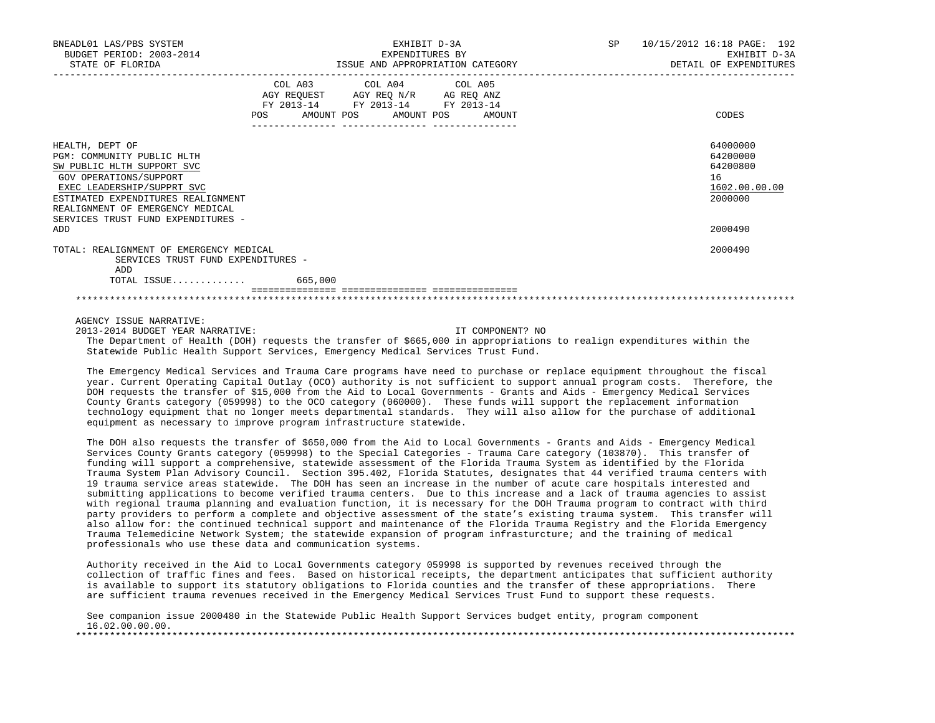| BNEADL01 LAS/PBS SYSTEM<br>BUDGET PERIOD: 2003-2014<br>STATE OF FLORIDA                                                                                                                                                                             |                                                                        | EXHIBIT D-3A<br>EXPENDITURES BY<br>ISSUE AND APPROPRIATION CATEGORY | SP | 10/15/2012 16:18 PAGE: 192<br>EXHIBIT D-3A<br>DETAIL OF EXPENDITURES |
|-----------------------------------------------------------------------------------------------------------------------------------------------------------------------------------------------------------------------------------------------------|------------------------------------------------------------------------|---------------------------------------------------------------------|----|----------------------------------------------------------------------|
|                                                                                                                                                                                                                                                     | AGY REQUEST AGY REQ N/R AG REQ ANZ<br>POS AMOUNT POS AMOUNT POS AMOUNT | COL A03 COL A04 COL A05<br>FY 2013-14 FY 2013-14 FY 2013-14         |    | CODES                                                                |
| HEALTH, DEPT OF<br>PGM: COMMUNITY PUBLIC HLTH<br>SW PUBLIC HLTH SUPPORT SVC<br>GOV OPERATIONS/SUPPORT<br>EXEC LEADERSHIP/SUPPRT SVC<br>ESTIMATED EXPENDITURES REALIGNMENT<br>REALIGNMENT OF EMERGENCY MEDICAL<br>SERVICES TRUST FUND EXPENDITURES - |                                                                        |                                                                     |    | 64000000<br>64200000<br>64200800<br>16<br>1602.00.00.00<br>2000000   |
| ADD                                                                                                                                                                                                                                                 |                                                                        |                                                                     |    | 2000490                                                              |
| TOTAL: REALIGNMENT OF EMERGENCY MEDICAL<br>SERVICES TRUST FUND EXPENDITURES -<br>ADD                                                                                                                                                                |                                                                        |                                                                     |    | 2000490                                                              |
|                                                                                                                                                                                                                                                     |                                                                        |                                                                     |    |                                                                      |
|                                                                                                                                                                                                                                                     |                                                                        |                                                                     |    |                                                                      |
|                                                                                                                                                                                                                                                     |                                                                        |                                                                     |    |                                                                      |

AGENCY ISSUE NARRATIVE:

2013-2014 BUDGET YEAR NARRATIVE: IT COMPONENT? NO

 The Department of Health (DOH) requests the transfer of \$665,000 in appropriations to realign expenditures within the Statewide Public Health Support Services, Emergency Medical Services Trust Fund.

 The Emergency Medical Services and Trauma Care programs have need to purchase or replace equipment throughout the fiscal year. Current Operating Capital Outlay (OCO) authority is not sufficient to support annual program costs. Therefore, the DOH requests the transfer of \$15,000 from the Aid to Local Governments - Grants and Aids - Emergency Medical Services County Grants category (059998) to the OCO category (060000). These funds will support the replacement information technology equipment that no longer meets departmental standards. They will also allow for the purchase of additional equipment as necessary to improve program infrastructure statewide.

 The DOH also requests the transfer of \$650,000 from the Aid to Local Governments - Grants and Aids - Emergency Medical Services County Grants category (059998) to the Special Categories - Trauma Care category (103870). This transfer of funding will support a comprehensive, statewide assessment of the Florida Trauma System as identified by the Florida Trauma System Plan Advisory Council. Section 395.402, Florida Statutes, designates that 44 verified trauma centers with 19 trauma service areas statewide. The DOH has seen an increase in the number of acute care hospitals interested and submitting applications to become verified trauma centers. Due to this increase and a lack of trauma agencies to assist with regional trauma planning and evaluation function, it is necessary for the DOH Trauma program to contract with third party providers to perform a complete and objective assessment of the state's existing trauma system. This transfer will also allow for: the continued technical support and maintenance of the Florida Trauma Registry and the Florida Emergency Trauma Telemedicine Network System; the statewide expansion of program infrasturcture; and the training of medical professionals who use these data and communication systems.

 Authority received in the Aid to Local Governments category 059998 is supported by revenues received through the collection of traffic fines and fees. Based on historical receipts, the department anticipates that sufficient authority is available to support its statutory obligations to Florida counties and the transfer of these appropriations. There are sufficient trauma revenues received in the Emergency Medical Services Trust Fund to support these requests.

|  |                 |  | See companion issue 2000480 in the Statewide Public Health Support Services budget entity, program component |  |  |  |  |  |
|--|-----------------|--|--------------------------------------------------------------------------------------------------------------|--|--|--|--|--|
|  | 16.02.00.00.00. |  |                                                                                                              |  |  |  |  |  |
|  |                 |  |                                                                                                              |  |  |  |  |  |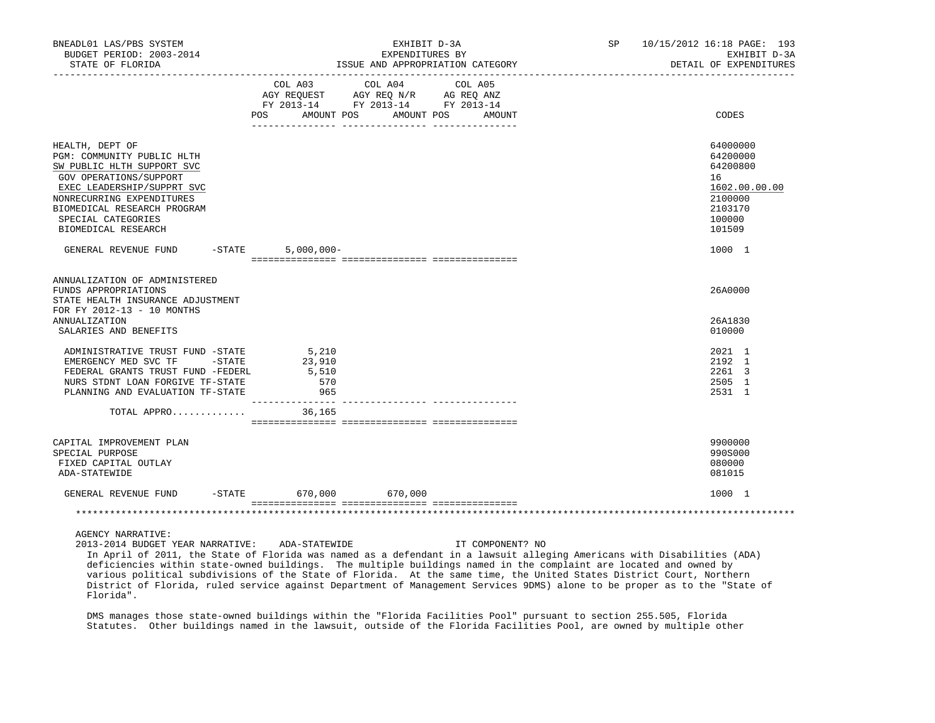| BNEADL01 LAS/PBS SYSTEM<br>BUDGET PERIOD: 2003-2014<br>STATE OF FLORIDA                                                                                                                                                                      |                               | EXHIBIT D-3A<br>EXPENDITURES BY<br>ISSUE AND APPROPRIATION CATEGORY                                                                      | SP 10/15/2012 16:18 PAGE: 193<br>DETAIL OF EXPENDITURES                                           | EXHIBIT D-3A |  |
|----------------------------------------------------------------------------------------------------------------------------------------------------------------------------------------------------------------------------------------------|-------------------------------|------------------------------------------------------------------------------------------------------------------------------------------|---------------------------------------------------------------------------------------------------|--------------|--|
|                                                                                                                                                                                                                                              |                               | COL A03 COL A04 COL A05<br>AGY REQUEST AGY REQ N/R AG REQ ANZ<br>FY 2013-14 FY 2013-14 FY 2013-14<br>POS AMOUNT POS AMOUNT POS<br>AMOUNT | CODES                                                                                             |              |  |
| HEALTH, DEPT OF<br>PGM: COMMUNITY PUBLIC HLTH<br>SW PUBLIC HLTH SUPPORT SVC<br>GOV OPERATIONS/SUPPORT<br>EXEC LEADERSHIP/SUPPRT SVC<br>NONRECURRING EXPENDITURES<br>BIOMEDICAL RESEARCH PROGRAM<br>SPECIAL CATEGORIES<br>BIOMEDICAL RESEARCH |                               |                                                                                                                                          | 64000000<br>64200000<br>64200800<br>16<br>1602.00.00.00<br>2100000<br>2103170<br>100000<br>101509 |              |  |
| GENERAL REVENUE FUND<br>$-STATE$                                                                                                                                                                                                             | $5,000,000 -$                 |                                                                                                                                          | 1000 1                                                                                            |              |  |
| ANNUALIZATION OF ADMINISTERED<br>FUNDS APPROPRIATIONS<br>STATE HEALTH INSURANCE ADJUSTMENT<br>FOR FY 2012-13 - 10 MONTHS<br><b>ANNUALIZATION</b><br>SALARIES AND BENEFITS                                                                    |                               |                                                                                                                                          | 26A0000<br>26A1830<br>010000                                                                      |              |  |
| ADMINISTRATIVE TRUST FUND -STATE 5,210<br>EMERGENCY MED SVC TF - STATE<br>FEDERAL GRANTS TRUST FUND -FEDERL<br>NURS STDNT LOAN FORGIVE TF-STATE<br>PLANNING AND EVALUATION TF-STATE                                                          | 23,910<br>5,510<br>570<br>965 |                                                                                                                                          | 2021 1<br>2192 1<br>2261 3<br>2505 1<br>2531 1                                                    |              |  |
| TOTAL APPRO 36,165                                                                                                                                                                                                                           |                               |                                                                                                                                          |                                                                                                   |              |  |
| CAPITAL IMPROVEMENT PLAN<br>SPECIAL PURPOSE<br>FIXED CAPITAL OUTLAY<br>ADA-STATEWIDE                                                                                                                                                         |                               |                                                                                                                                          | 9900000<br>990S000<br>080000<br>081015                                                            |              |  |
| GENERAL REVENUE FUND -STATE 670,000                                                                                                                                                                                                          |                               | 670,000                                                                                                                                  | 1000 1                                                                                            |              |  |
|                                                                                                                                                                                                                                              |                               |                                                                                                                                          |                                                                                                   |              |  |
| <b>AGENCY NARRATIVE:</b><br>$-1$                                                                                                                                                                                                             |                               |                                                                                                                                          |                                                                                                   |              |  |

 2013-2014 BUDGET YEAR NARRATIVE: ADA-STATEWIDE IT COMPONENT? NO In April of 2011, the State of Florida was named as a defendant in a lawsuit alleging Americans with Disabilities (ADA) deficiencies within state-owned buildings. The multiple buildings named in the complaint are located and owned by various political subdivisions of the State of Florida. At the same time, the United States District Court, Northern District of Florida, ruled service against Department of Management Services 9DMS) alone to be proper as to the "State of Florida".

 DMS manages those state-owned buildings within the "Florida Facilities Pool" pursuant to section 255.505, Florida Statutes. Other buildings named in the lawsuit, outside of the Florida Facilities Pool, are owned by multiple other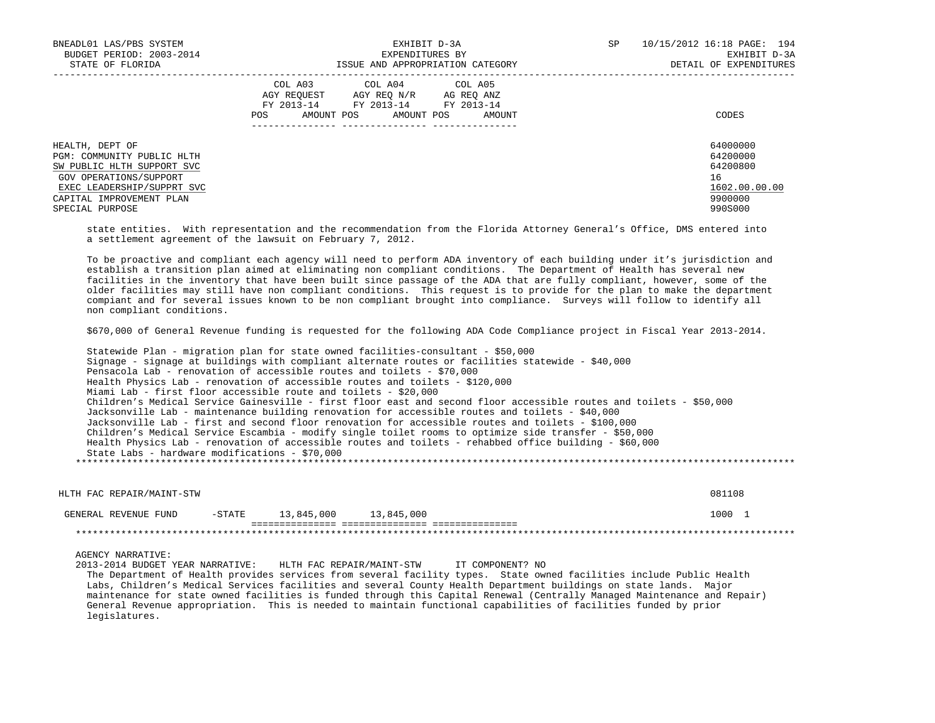| BNEADL01 LAS/PBS SYSTEM<br>BUDGET PERIOD: 2003-2014                         | EXHIBIT D-3A<br>EXPENDITURES BY                                                                                                                      | 10/15/2012 16:18 PAGE: 194<br>SP<br>EXHIBIT D-3A |
|-----------------------------------------------------------------------------|------------------------------------------------------------------------------------------------------------------------------------------------------|--------------------------------------------------|
| STATE OF FLORIDA                                                            | ISSUE AND APPROPRIATION CATEGORY                                                                                                                     | DETAIL OF EXPENDITURES                           |
|                                                                             | COL A03 COL A04 COL A05<br>AGY REOUEST<br>AGY REO N/R<br>AG REO ANZ<br>FY 2013-14 FY 2013-14 FY 2013-14<br>AMOUNT POS<br>AMOUNT POS<br>POS<br>AMOUNT | CODES                                            |
| HEALTH, DEPT OF<br>PGM: COMMUNITY PUBLIC HLTH<br>SW PUBLIC HLTH SUPPORT SVC |                                                                                                                                                      | 64000000<br>64200000<br>64200800                 |
| GOV OPERATIONS/SUPPORT<br>EXEC LEADERSHIP/SUPPRT SVC                        |                                                                                                                                                      | 16<br>1602.00.00.00                              |
| CAPITAL IMPROVEMENT PLAN<br>SPECIAL PURPOSE                                 |                                                                                                                                                      | 9900000<br>990S000                               |

 state entities. With representation and the recommendation from the Florida Attorney General's Office, DMS entered into a settlement agreement of the lawsuit on February 7, 2012.

 To be proactive and compliant each agency will need to perform ADA inventory of each building under it's jurisdiction and establish a transition plan aimed at eliminating non compliant conditions. The Department of Health has several new facilities in the inventory that have been built since passage of the ADA that are fully compliant, however, some of the older facilities may still have non compliant conditions. This request is to provide for the plan to make the department compiant and for several issues known to be non compliant brought into compliance. Surveys will follow to identify all non compliant conditions.

\$670,000 of General Revenue funding is requested for the following ADA Code Compliance project in Fiscal Year 2013-2014.

 Statewide Plan - migration plan for state owned facilities-consultant - \$50,000 Signage - signage at buildings with compliant alternate routes or facilities statewide - \$40,000 Pensacola Lab - renovation of accessible routes and toilets - \$70,000 Health Physics Lab - renovation of accessible routes and toilets - \$120,000 Miami Lab - first floor accessible route and toilets - \$20,000 Children's Medical Service Gainesville - first floor east and second floor accessible routes and toilets - \$50,000 Jacksonville Lab - maintenance building renovation for accessible routes and toilets - \$40,000 Jacksonville Lab - first and second floor renovation for accessible routes and toilets - \$100,000 Children's Medical Service Escambia - modify single toilet rooms to optimize side transfer - \$50,000 Health Physics Lab - renovation of accessible routes and toilets - rehabbed office building - \$60,000 State Labs - hardware modifications - \$70,000 \*\*\*\*\*\*\*\*\*\*\*\*\*\*\*\*\*\*\*\*\*\*\*\*\*\*\*\*\*\*\*\*\*\*\*\*\*\*\*\*\*\*\*\*\*\*\*\*\*\*\*\*\*\*\*\*\*\*\*\*\*\*\*\*\*\*\*\*\*\*\*\*\*\*\*\*\*\*\*\*\*\*\*\*\*\*\*\*\*\*\*\*\*\*\*\*\*\*\*\*\*\*\*\*\*\*\*\*\*\*\*\*\*\*\*\*\*\*\*\*\*\*\*\*\*\*\*

 HLTH FAC REPAIR/MAINT-STW 081108 GENERAL REVENUE FUND -STATE 13,845,000 13,845,000 1000 1000 1 =============== =============== =============== \*\*\*\*\*\*\*\*\*\*\*\*\*\*\*\*\*\*\*\*\*\*\*\*\*\*\*\*\*\*\*\*\*\*\*\*\*\*\*\*\*\*\*\*\*\*\*\*\*\*\*\*\*\*\*\*\*\*\*\*\*\*\*\*\*\*\*\*\*\*\*\*\*\*\*\*\*\*\*\*\*\*\*\*\*\*\*\*\*\*\*\*\*\*\*\*\*\*\*\*\*\*\*\*\*\*\*\*\*\*\*\*\*\*\*\*\*\*\*\*\*\*\*\*\*\*\*

AGENCY NARRATIVE:

 2013-2014 BUDGET YEAR NARRATIVE: HLTH FAC REPAIR/MAINT-STW IT COMPONENT? NO The Department of Health provides services from several facility types. State owned facilities include Public Health Labs, Children's Medical Services facilities and several County Health Department buildings on state lands. Major maintenance for state owned facilities is funded through this Capital Renewal (Centrally Managed Maintenance and Repair) General Revenue appropriation. This is needed to maintain functional capabilities of facilities funded by prior legislatures.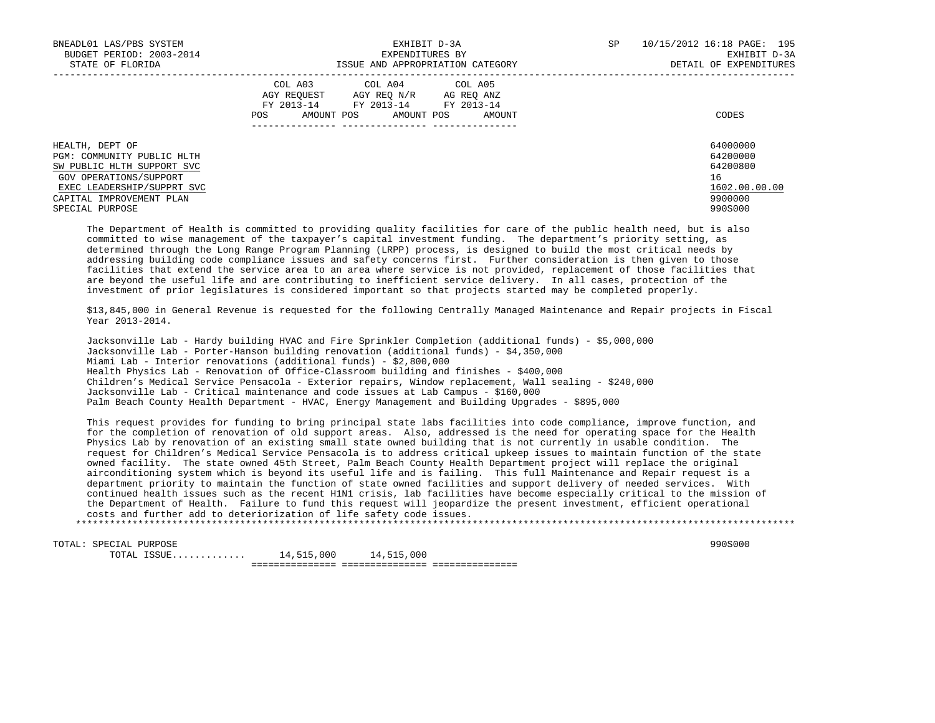| BNEADL01 LAS/PBS SYSTEM<br>BUDGET PERIOD: 2003-2014<br>STATE OF FLORIDA                                                                                                            | EXHIBIT D-3A<br>EXPENDITURES BY<br>ISSUE AND APPROPRIATION CATEGORY                                                                                     | SP<br>10/15/2012 16:18 PAGE: 195<br>EXHIBIT D-3A<br>DETAIL OF EXPENDITURES    |
|------------------------------------------------------------------------------------------------------------------------------------------------------------------------------------|---------------------------------------------------------------------------------------------------------------------------------------------------------|-------------------------------------------------------------------------------|
|                                                                                                                                                                                    | COL A03<br>COL A04 COL A05<br>AGY REOUEST<br>AGY REO N/R<br>AG REO ANZ<br>FY 2013-14 FY 2013-14 FY 2013-14<br>AMOUNT POS<br>AMOUNT POS<br>POS<br>AMOUNT | CODES                                                                         |
| HEALTH, DEPT OF<br>PGM: COMMUNITY PUBLIC HLTH<br>SW PUBLIC HLTH SUPPORT SVC<br>GOV OPERATIONS/SUPPORT<br>EXEC LEADERSHIP/SUPPRT SVC<br>CAPITAL IMPROVEMENT PLAN<br>SPECIAL PURPOSE |                                                                                                                                                         | 64000000<br>64200000<br>64200800<br>16<br>1602.00.00.00<br>9900000<br>990S000 |

 The Department of Health is committed to providing quality facilities for care of the public health need, but is also committed to wise management of the taxpayer's capital investment funding. The department's priority setting, as determined through the Long Range Program Planning (LRPP) process, is designed to build the most critical needs by addressing building code compliance issues and safety concerns first. Further consideration is then given to those facilities that extend the service area to an area where service is not provided, replacement of those facilities that are beyond the useful life and are contributing to inefficient service delivery. In all cases, protection of the investment of prior legislatures is considered important so that projects started may be completed properly.

 \$13,845,000 in General Revenue is requested for the following Centrally Managed Maintenance and Repair projects in Fiscal Year 2013-2014.

 Jacksonville Lab - Hardy building HVAC and Fire Sprinkler Completion (additional funds) - \$5,000,000 Jacksonville Lab - Porter-Hanson building renovation (additional funds) - \$4,350,000 Miami Lab - Interior renovations (additional funds) - \$2,800,000 Health Physics Lab - Renovation of Office-Classroom building and finishes - \$400,000 Children's Medical Service Pensacola - Exterior repairs, Window replacement, Wall sealing - \$240,000 Jacksonville Lab - Critical maintenance and code issues at Lab Campus - \$160,000 Palm Beach County Health Department - HVAC, Energy Management and Building Upgrades - \$895,000

 This request provides for funding to bring principal state labs facilities into code compliance, improve function, and for the completion of renovation of old support areas. Also, addressed is the need for operating space for the Health Physics Lab by renovation of an existing small state owned building that is not currently in usable condition. The request for Children's Medical Service Pensacola is to address critical upkeep issues to maintain function of the state owned facility. The state owned 45th Street, Palm Beach County Health Department project will replace the original airconditioning system which is beyond its useful life and is failing. This full Maintenance and Repair request is a department priority to maintain the function of state owned facilities and support delivery of needed services. With continued health issues such as the recent H1N1 crisis, lab facilities have become especially critical to the mission of the Department of Health. Failure to fund this request will jeopardize the present investment, efficient operational costs and further add to deteriorization of life safety code issues.

\*\*\*\*\*\*\*\*\*\*\*\*\*\*\*\*\*\*\*\*\*\*\*\*\*\*\*\*\*\*\*\*\*\*\*\*\*\*\*\*\*\*\*\*\*\*\*\*\*\*\*\*\*\*\*\*\*\*\*\*\*\*\*\*\*\*\*\*\*\*\*\*\*\*\*\*\*\*\*\*\*\*\*\*\*\*\*\*\*\*\*\*\*\*\*\*\*\*\*\*\*\*\*\*\*\*\*\*\*\*\*\*\*\*\*\*\*\*\*\*\*\*\*\*\*\*\*

TOTAL: SPECIAL PURPOSE 990S000<br>
TOTAL ISSUE............. 14,515,000 14,515,000  $\texttt{TOTAL}$   $\texttt{ISSUE} \dots \dots \dots \dots \dots$ =============== =============== ===============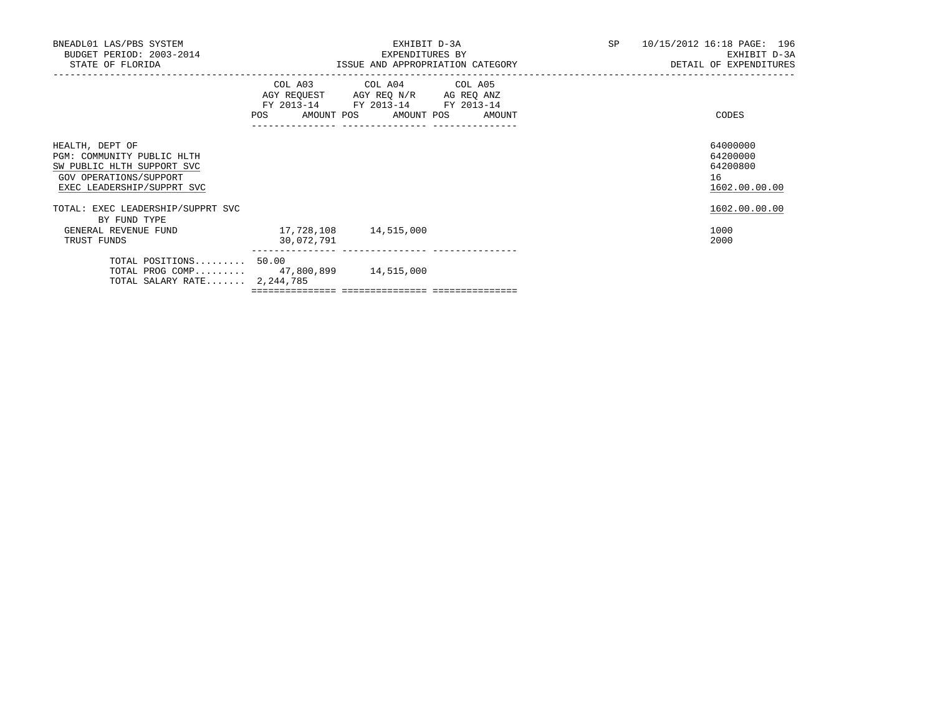|                                                        | EXHIBIT D-3A<br>EXPENDITURES BY |                                       |                                                                                                                                                                           | SP 10/15/2012 16:18 PAGE: 196<br>EXHIBIT D-3A<br>DETAIL OF EXPENDITURES |
|--------------------------------------------------------|---------------------------------|---------------------------------------|---------------------------------------------------------------------------------------------------------------------------------------------------------------------------|-------------------------------------------------------------------------|
|                                                        |                                 |                                       |                                                                                                                                                                           | CODES                                                                   |
|                                                        |                                 |                                       |                                                                                                                                                                           | 64000000<br>64200000<br>64200800<br>16<br>1602.00.00.00                 |
|                                                        |                                 |                                       |                                                                                                                                                                           | 1602.00.00.00<br>1000<br>2000                                           |
| TOTAL POSITIONS 50.00<br>TOTAL SALARY RATE $2,244,785$ |                                 |                                       |                                                                                                                                                                           |                                                                         |
|                                                        | 30,072,791                      | TOTAL PROG COMP 47,800,899 14,515,000 | ISSUE AND APPROPRIATION CATEGORY<br>COL A03 COL A04 COL A05<br>AGY REQUEST AGY REQ N/R AG REQ ANZ<br>FY 2013-14 FY 2013-14 FY 2013-14<br>POS AMOUNT POS AMOUNT POS AMOUNT |                                                                         |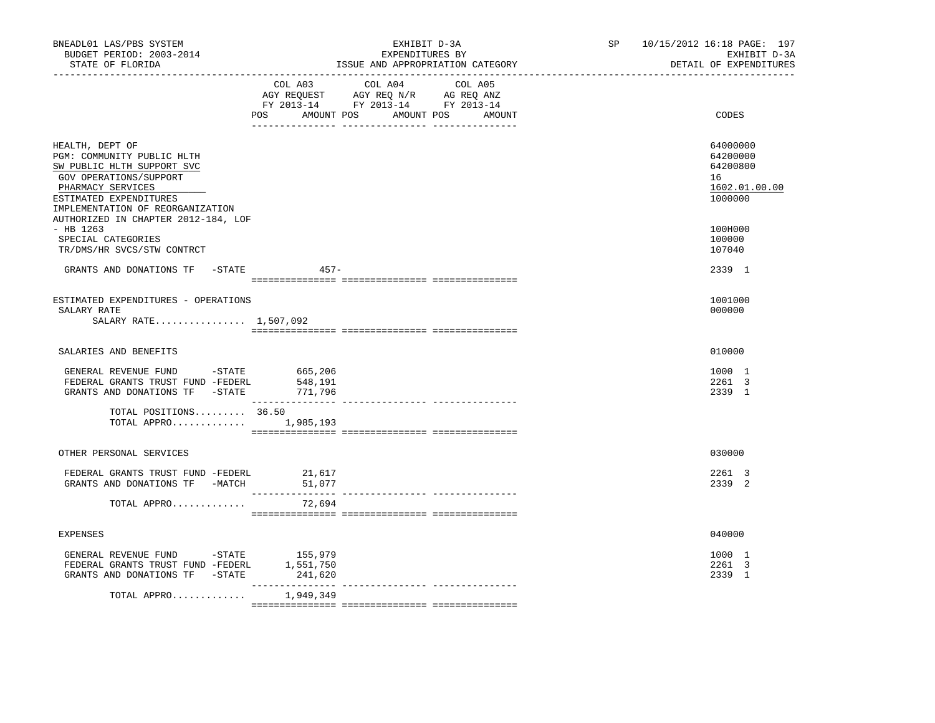| BNEADL01 LAS/PBS SYSTEM<br>BUDGET PERIOD: 2003-2014<br>STATE OF FLORIDA                                                                                                                  | EXHIBIT D-3A<br>EXPENDITURES BY<br>ISSUE AND APPROPRIATION CATEGORY                                                                   | 10/15/2012 16:18 PAGE: 197<br>SP and the set of the set of the set of the set of the set of the set of the set of the set of the set of the set of the set of the set of the set of the set of the set of the set of the set of the set of the set of the se<br>EXHIBIT D-3A<br>DETAIL OF EXPENDITURES |
|------------------------------------------------------------------------------------------------------------------------------------------------------------------------------------------|---------------------------------------------------------------------------------------------------------------------------------------|--------------------------------------------------------------------------------------------------------------------------------------------------------------------------------------------------------------------------------------------------------------------------------------------------------|
|                                                                                                                                                                                          | COL A03 COL A04 COL A05<br>AGY REQUEST AGY REQ N/R AG REQ ANZ<br>FY 2013-14 FY 2013-14 FY 2013-14<br>POS AMOUNT POS AMOUNT POS AMOUNT | CODES                                                                                                                                                                                                                                                                                                  |
| HEALTH, DEPT OF<br>PGM: COMMUNITY PUBLIC HLTH<br>SW PUBLIC HLTH SUPPORT SVC<br>GOV OPERATIONS/SUPPORT<br>PHARMACY SERVICES<br>ESTIMATED EXPENDITURES<br>IMPLEMENTATION OF REORGANIZATION |                                                                                                                                       | 64000000<br>64200000<br>64200800<br>16<br>1602.01.00.00<br>1000000                                                                                                                                                                                                                                     |
| AUTHORIZED IN CHAPTER 2012-184, LOF<br>$-$ HB 1263<br>SPECIAL CATEGORIES<br>TR/DMS/HR SVCS/STW CONTRCT                                                                                   |                                                                                                                                       | 100H000<br>100000<br>107040                                                                                                                                                                                                                                                                            |
| GRANTS AND DONATIONS TF -STATE                                                                                                                                                           | $457 -$                                                                                                                               | 2339 1                                                                                                                                                                                                                                                                                                 |
| ESTIMATED EXPENDITURES - OPERATIONS<br>SALARY RATE<br>SALARY RATE 1,507,092                                                                                                              |                                                                                                                                       | 1001000<br>000000                                                                                                                                                                                                                                                                                      |
| SALARIES AND BENEFITS                                                                                                                                                                    |                                                                                                                                       | 010000                                                                                                                                                                                                                                                                                                 |
| GENERAL REVENUE FUND -STATE<br>FEDERAL GRANTS TRUST FUND -FEDERL<br>GRANTS AND DONATIONS TF -STATE 771,796                                                                               | 665,206<br>548,191                                                                                                                    | 1000 1<br>2261 3<br>2339 1                                                                                                                                                                                                                                                                             |
| TOTAL POSITIONS 36.50<br>TOTAL APPRO $1,985,193$                                                                                                                                         |                                                                                                                                       |                                                                                                                                                                                                                                                                                                        |
| OTHER PERSONAL SERVICES                                                                                                                                                                  |                                                                                                                                       | 030000                                                                                                                                                                                                                                                                                                 |
| FEDERAL GRANTS TRUST FUND -FEDERL 21,617<br>GRANTS AND DONATIONS TF -MATCH                                                                                                               | 51,077                                                                                                                                | 2261 3<br>2339 2                                                                                                                                                                                                                                                                                       |
| TOTAL APPRO                                                                                                                                                                              | 72,694                                                                                                                                |                                                                                                                                                                                                                                                                                                        |
| <b>EXPENSES</b>                                                                                                                                                                          |                                                                                                                                       | 040000                                                                                                                                                                                                                                                                                                 |
| GENERAL REVENUE FUND - STATE<br>FEDERAL GRANTS TRUST FUND -FEDERL 1,551,750<br>GRANTS AND DONATIONS TF -STATE                                                                            | 155,979<br>241,620                                                                                                                    | 1000 1<br>2261 3<br>2339 1                                                                                                                                                                                                                                                                             |
| TOTAL APPRO                                                                                                                                                                              | 1,949,349                                                                                                                             |                                                                                                                                                                                                                                                                                                        |
|                                                                                                                                                                                          |                                                                                                                                       |                                                                                                                                                                                                                                                                                                        |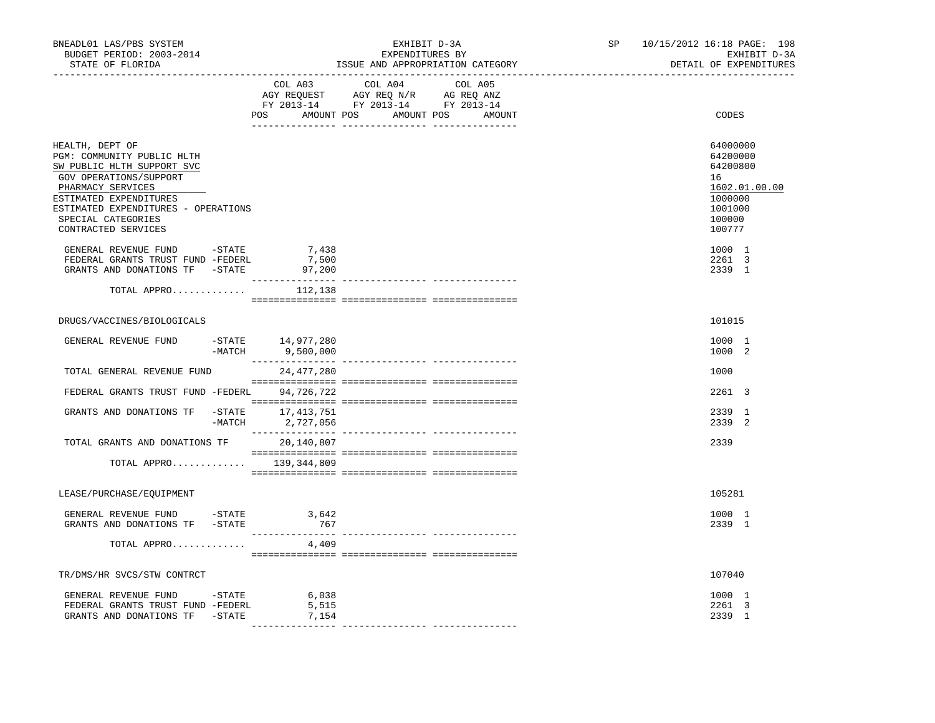| BNEADL01 LAS/PBS SYSTEM<br>BUDGET PERIOD: 2003-2014<br>STATE OF FLORIDA<br>-----------------                                                                                                                                             |                                       | EXHIBIT D-3A<br>EXPENDITURES BY<br>ISSUE AND APPROPRIATION CATEGORY                                                                                                                                                                                                                                                                                                                                                                 | 10/15/2012 16:18 PAGE: 198<br>SP and the set of the set of the set of the set of the set of the set of the set of the set of the set of the set of the set of the set of the set of the set of the set of the set of the set of the set of the set of the se | EXHIBIT D-3A<br>DETAIL OF EXPENDITURES                                                      |
|------------------------------------------------------------------------------------------------------------------------------------------------------------------------------------------------------------------------------------------|---------------------------------------|-------------------------------------------------------------------------------------------------------------------------------------------------------------------------------------------------------------------------------------------------------------------------------------------------------------------------------------------------------------------------------------------------------------------------------------|--------------------------------------------------------------------------------------------------------------------------------------------------------------------------------------------------------------------------------------------------------------|---------------------------------------------------------------------------------------------|
|                                                                                                                                                                                                                                          |                                       | COL A03 COL A04 COL A05<br>AGY REQUEST AGY REQ N/R AG REQ ANZ<br>FY 2013-14 FY 2013-14 FY 2013-14<br>POS AMOUNT POS AMOUNT POS AMOUNT                                                                                                                                                                                                                                                                                               |                                                                                                                                                                                                                                                              | CODES                                                                                       |
| HEALTH, DEPT OF<br>PGM: COMMUNITY PUBLIC HLTH<br>SW PUBLIC HLTH SUPPORT SVC<br>GOV OPERATIONS/SUPPORT<br>PHARMACY SERVICES<br>ESTIMATED EXPENDITURES<br>ESTIMATED EXPENDITURES - OPERATIONS<br>SPECIAL CATEGORIES<br>CONTRACTED SERVICES |                                       |                                                                                                                                                                                                                                                                                                                                                                                                                                     | 16                                                                                                                                                                                                                                                           | 64000000<br>64200000<br>64200800<br>1602.01.00.00<br>1000000<br>1001000<br>100000<br>100777 |
| GENERAL REVENUE FUND -STATE<br>FEDERAL GRANTS TRUST FUND -FEDERL<br>GRANTS AND DONATIONS TF -STATE 97,200                                                                                                                                | 7,438<br>7,500                        |                                                                                                                                                                                                                                                                                                                                                                                                                                     |                                                                                                                                                                                                                                                              | 1000 1<br>2261 3<br>2339 1                                                                  |
| TOTAL APPRO $112,138$                                                                                                                                                                                                                    |                                       | $\begin{minipage}{0.03\textwidth} \begin{tabular}{l} \textbf{1} & \textbf{2} & \textbf{3} & \textbf{5} & \textbf{5} & \textbf{6} & \textbf{6} & \textbf{7} & \textbf{8} & \textbf{8} & \textbf{9} & \textbf{9} & \textbf{9} & \textbf{9} & \textbf{9} & \textbf{9} & \textbf{9} & \textbf{9} & \textbf{9} & \textbf{9} & \textbf{9} & \textbf{9} & \textbf{9} & \textbf{9} & \textbf{9} & \textbf{9} & \textbf{9} & \textbf{9} & \$ |                                                                                                                                                                                                                                                              |                                                                                             |
| DRUGS/VACCINES/BIOLOGICALS                                                                                                                                                                                                               |                                       |                                                                                                                                                                                                                                                                                                                                                                                                                                     |                                                                                                                                                                                                                                                              | 101015                                                                                      |
| GENERAL REVENUE FUND                                                                                                                                                                                                                     | STATE 14,977,280 -<br>MATCH 9,500,000 |                                                                                                                                                                                                                                                                                                                                                                                                                                     |                                                                                                                                                                                                                                                              | 1000 1<br>1000 2                                                                            |
| TOTAL GENERAL REVENUE FUND                                                                                                                                                                                                               | 24,477,280                            |                                                                                                                                                                                                                                                                                                                                                                                                                                     |                                                                                                                                                                                                                                                              | 1000                                                                                        |
| FEDERAL GRANTS TRUST FUND -FEDERL                                                                                                                                                                                                        | 94,726,722                            |                                                                                                                                                                                                                                                                                                                                                                                                                                     |                                                                                                                                                                                                                                                              | 2261 3                                                                                      |
| GRANTS AND DONATIONS TF -STATE 17,413,751<br>-MATCH 2,727,056                                                                                                                                                                            |                                       |                                                                                                                                                                                                                                                                                                                                                                                                                                     |                                                                                                                                                                                                                                                              | 2339 1<br>2339 2                                                                            |
| TOTAL GRANTS AND DONATIONS TF                                                                                                                                                                                                            | 20,140,807                            |                                                                                                                                                                                                                                                                                                                                                                                                                                     | 2339                                                                                                                                                                                                                                                         |                                                                                             |
| TOTAL APPRO 139,344,809                                                                                                                                                                                                                  |                                       |                                                                                                                                                                                                                                                                                                                                                                                                                                     |                                                                                                                                                                                                                                                              |                                                                                             |
| LEASE/PURCHASE/EQUIPMENT                                                                                                                                                                                                                 |                                       |                                                                                                                                                                                                                                                                                                                                                                                                                                     |                                                                                                                                                                                                                                                              | 105281                                                                                      |
| GENERAL REVENUE FUND -STATE 3,642<br>GRANTS AND DONATIONS TF -STATE                                                                                                                                                                      | 767                                   |                                                                                                                                                                                                                                                                                                                                                                                                                                     |                                                                                                                                                                                                                                                              | 1000 1<br>2339 1                                                                            |
| TOTAL APPRO                                                                                                                                                                                                                              | 4,409                                 |                                                                                                                                                                                                                                                                                                                                                                                                                                     |                                                                                                                                                                                                                                                              |                                                                                             |
| TR/DMS/HR SVCS/STW CONTRCT                                                                                                                                                                                                               |                                       |                                                                                                                                                                                                                                                                                                                                                                                                                                     |                                                                                                                                                                                                                                                              | 107040                                                                                      |
| GENERAL REVENUE FUND -STATE<br>FEDERAL GRANTS TRUST FUND -FEDERL<br>GRANTS AND DONATIONS TF -STATE                                                                                                                                       | 6,038<br>5,515<br>7,154               |                                                                                                                                                                                                                                                                                                                                                                                                                                     |                                                                                                                                                                                                                                                              | 1000 1<br>2261 3<br>2339 1                                                                  |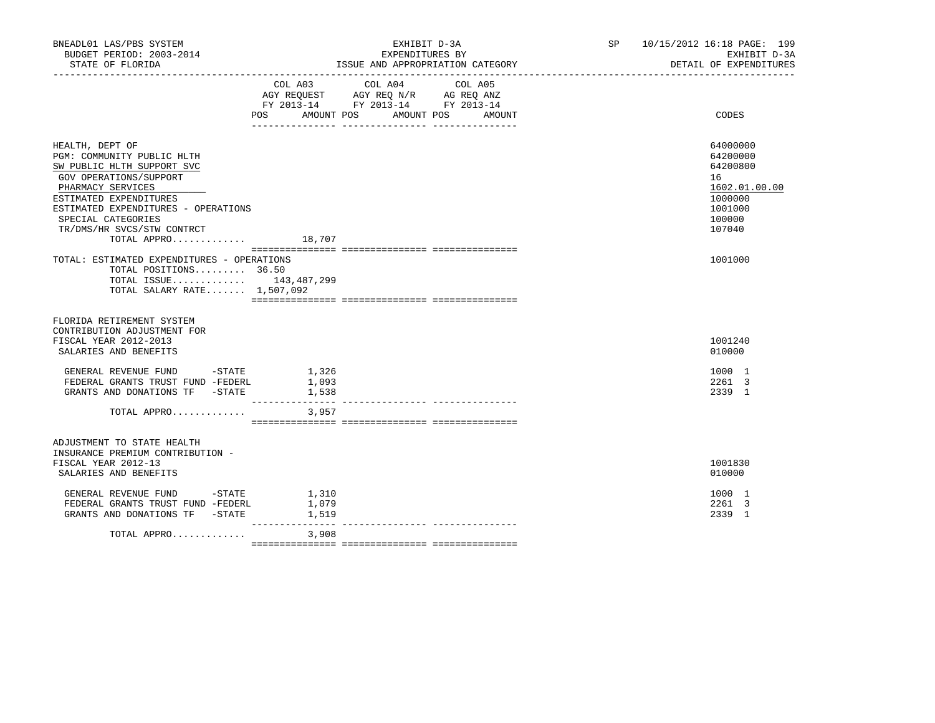| BNEADL01 LAS/PBS SYSTEM<br>BUDGET PERIOD: 2003-2014<br>STATE OF FLORIDA                                                                                                                                                                                        |                         | EXHIBIT D-3A<br>EXPENDITURES BY<br>ISSUE AND APPROPRIATION CATEGORY                                                             | SP 10/15/2012 16:18 PAGE: 199<br>EXHIBIT D-3A<br>DETAIL OF EXPENDITURES                           |
|----------------------------------------------------------------------------------------------------------------------------------------------------------------------------------------------------------------------------------------------------------------|-------------------------|---------------------------------------------------------------------------------------------------------------------------------|---------------------------------------------------------------------------------------------------|
|                                                                                                                                                                                                                                                                | COL A03<br>POS          | COL A04<br>COL A05<br>AGY REQUEST AGY REQ N/R AG REQ ANZ<br>FY 2013-14 FY 2013-14 FY 2013-14<br>AMOUNT POS AMOUNT POS<br>AMOUNT | CODES                                                                                             |
| HEALTH, DEPT OF<br>PGM: COMMUNITY PUBLIC HLTH<br>SW PUBLIC HLTH SUPPORT SVC<br>GOV OPERATIONS/SUPPORT<br>PHARMACY SERVICES<br>ESTIMATED EXPENDITURES<br>ESTIMATED EXPENDITURES - OPERATIONS<br>SPECIAL CATEGORIES<br>TR/DMS/HR SVCS/STW CONTRCT<br>TOTAL APPRO | 18,707                  |                                                                                                                                 | 64000000<br>64200000<br>64200800<br>16<br>1602.01.00.00<br>1000000<br>1001000<br>100000<br>107040 |
| TOTAL: ESTIMATED EXPENDITURES - OPERATIONS<br>TOTAL POSITIONS 36.50<br>TOTAL ISSUE 143,487,299<br>TOTAL SALARY RATE 1,507,092                                                                                                                                  |                         |                                                                                                                                 | 1001000                                                                                           |
| FLORIDA RETIREMENT SYSTEM<br>CONTRIBUTION ADJUSTMENT FOR<br>FISCAL YEAR 2012-2013<br>SALARIES AND BENEFITS<br>GENERAL REVENUE FUND - STATE<br>FEDERAL GRANTS TRUST FUND -FEDERL                                                                                | 1,326<br>1,093          |                                                                                                                                 | 1001240<br>010000<br>1000 1<br>2261 3                                                             |
| GRANTS AND DONATIONS TF -STATE<br>TOTAL APPRO                                                                                                                                                                                                                  | 1,538<br>3,957          |                                                                                                                                 | 2339 1                                                                                            |
| ADJUSTMENT TO STATE HEALTH<br>INSURANCE PREMIUM CONTRIBUTION -<br>FISCAL YEAR 2012-13<br>SALARIES AND BENEFITS<br>GENERAL REVENUE FUND - STATE<br>FEDERAL GRANTS TRUST FUND -FEDERL<br>GRANTS AND DONATIONS TF -STATE                                          | 1,310<br>1,079<br>1,519 |                                                                                                                                 | 1001830<br>010000<br>1000 1<br>2261 3<br>2339 1                                                   |
| TOTAL APPRO                                                                                                                                                                                                                                                    | 3,908                   |                                                                                                                                 |                                                                                                   |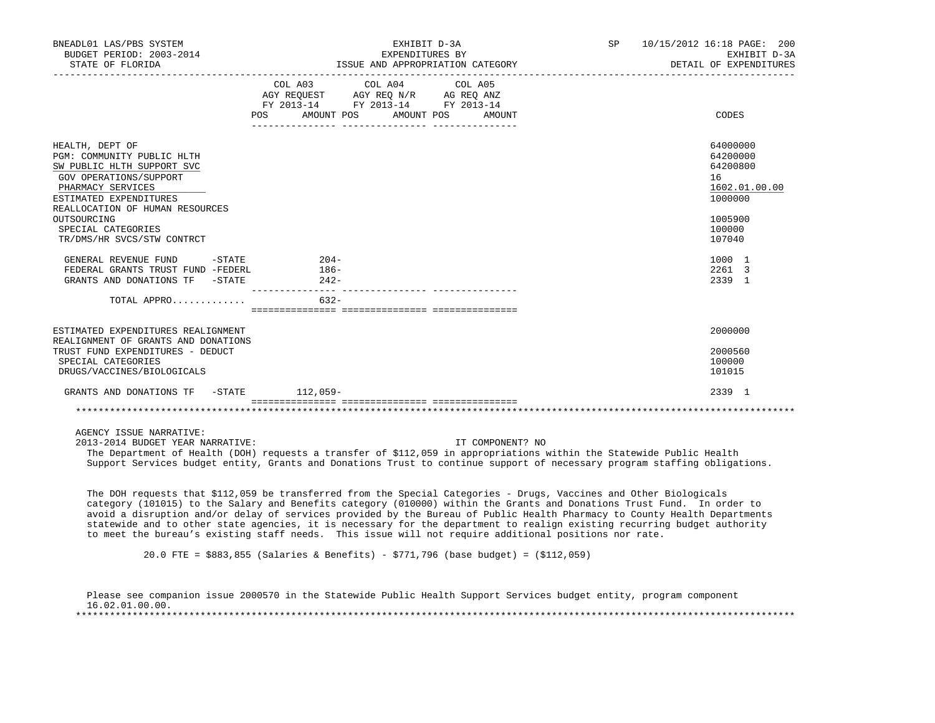| BNEADL01 LAS/PBS SYSTEM<br>BUDGET PERIOD: 2003-2014<br>STATE OF FLORIDA                                                                                                                 | EXHIBIT D-3A<br>EXPENDITURES BY<br>ISSUE AND APPROPRIATION CATEGORY                                                                                                                                                                                                                                                                                                                                                                                                                                                                                                                                            | SP | 10/15/2012 16:18 PAGE: 200<br>EXHIBIT D-3A<br>DETAIL OF EXPENDITURES<br>_________________________ |
|-----------------------------------------------------------------------------------------------------------------------------------------------------------------------------------------|----------------------------------------------------------------------------------------------------------------------------------------------------------------------------------------------------------------------------------------------------------------------------------------------------------------------------------------------------------------------------------------------------------------------------------------------------------------------------------------------------------------------------------------------------------------------------------------------------------------|----|---------------------------------------------------------------------------------------------------|
|                                                                                                                                                                                         | COL A03 COL A04 COL A05<br>AGY REQUEST AGY REQ N/R AG REQ ANZ<br>FY 2013-14 FY 2013-14 FY 2013-14<br>AMOUNT POS AMOUNT POS AMOUNT<br>POS                                                                                                                                                                                                                                                                                                                                                                                                                                                                       |    | CODES                                                                                             |
| HEALTH, DEPT OF<br>PGM: COMMUNITY PUBLIC HLTH<br>SW PUBLIC HLTH SUPPORT SVC<br>GOV OPERATIONS/SUPPORT<br>PHARMACY SERVICES<br>ESTIMATED EXPENDITURES<br>REALLOCATION OF HUMAN RESOURCES |                                                                                                                                                                                                                                                                                                                                                                                                                                                                                                                                                                                                                |    | 64000000<br>64200000<br>64200800<br>16<br>1602.01.00.00<br>1000000                                |
| OUTSOURCING<br>SPECIAL CATEGORIES<br>TR/DMS/HR SVCS/STW CONTRCT                                                                                                                         |                                                                                                                                                                                                                                                                                                                                                                                                                                                                                                                                                                                                                |    | 1005900<br>100000<br>107040                                                                       |
| GENERAL REVENUE FUND -STATE<br>FEDERAL GRANTS TRUST FUND -FEDERL<br>GRANTS AND DONATIONS TF -STATE                                                                                      | $204-$<br>$186-$<br>$242-$                                                                                                                                                                                                                                                                                                                                                                                                                                                                                                                                                                                     |    | 1000 1<br>2261 3<br>2339 1                                                                        |
| TOTAL APPRO                                                                                                                                                                             | $632 -$                                                                                                                                                                                                                                                                                                                                                                                                                                                                                                                                                                                                        |    |                                                                                                   |
| ESTIMATED EXPENDITURES REALIGNMENT<br>REALIGNMENT OF GRANTS AND DONATIONS<br>TRUST FUND EXPENDITURES - DEDUCT<br>SPECIAL CATEGORIES<br>DRUGS/VACCINES/BIOLOGICALS                       |                                                                                                                                                                                                                                                                                                                                                                                                                                                                                                                                                                                                                |    | 2000000<br>2000560<br>100000<br>101015                                                            |
| GRANTS AND DONATIONS TF -STATE 112,059-                                                                                                                                                 |                                                                                                                                                                                                                                                                                                                                                                                                                                                                                                                                                                                                                |    | 2339 1                                                                                            |
|                                                                                                                                                                                         |                                                                                                                                                                                                                                                                                                                                                                                                                                                                                                                                                                                                                |    |                                                                                                   |
| AGENCY ISSUE NARRATIVE:<br>2013-2014 BUDGET YEAR NARRATIVE:                                                                                                                             | IT COMPONENT? NO<br>The Department of Health (DOH) requests a transfer of \$112,059 in appropriations within the Statewide Public Health<br>Support Services budget entity, Grants and Donations Trust to continue support of necessary program staffing obligations.                                                                                                                                                                                                                                                                                                                                          |    |                                                                                                   |
|                                                                                                                                                                                         | The DOH requests that \$112,059 be transferred from the Special Categories - Drugs, Vaccines and Other Biologicals<br>category (101015) to the Salary and Benefits category (010000) within the Grants and Donations Trust Fund. In order to<br>avoid a disruption and/or delay of services provided by the Bureau of Public Health Pharmacy to County Health Departments<br>statewide and to other state agencies, it is necessary for the department to realign existing recurring budget authority<br>to meet the bureau's existing staff needs. This issue will not require additional positions nor rate. |    |                                                                                                   |
|                                                                                                                                                                                         | 20.0 FTE = \$883,855 (Salaries & Benefits) - \$771,796 (base budget) = (\$112,059)                                                                                                                                                                                                                                                                                                                                                                                                                                                                                                                             |    |                                                                                                   |

 Please see companion issue 2000570 in the Statewide Public Health Support Services budget entity, program component 16.02.01.00.00. \*\*\*\*\*\*\*\*\*\*\*\*\*\*\*\*\*\*\*\*\*\*\*\*\*\*\*\*\*\*\*\*\*\*\*\*\*\*\*\*\*\*\*\*\*\*\*\*\*\*\*\*\*\*\*\*\*\*\*\*\*\*\*\*\*\*\*\*\*\*\*\*\*\*\*\*\*\*\*\*\*\*\*\*\*\*\*\*\*\*\*\*\*\*\*\*\*\*\*\*\*\*\*\*\*\*\*\*\*\*\*\*\*\*\*\*\*\*\*\*\*\*\*\*\*\*\*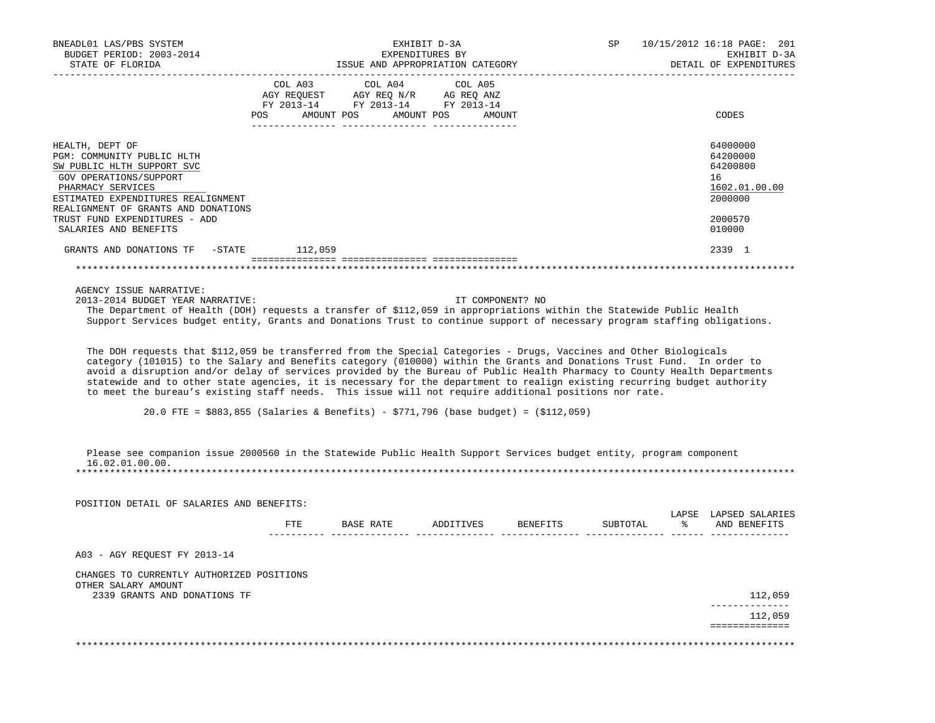| BUDGET PERIOD: 2003-2014<br>STATE OF FLORIDA                                                                                                                                                                                                                                                                                                                              |     |                                                                                                                                                                                             | EXHIBIT D-3A     | SP       |    | 10/15/2012 16:18 PAGE: 201  |
|---------------------------------------------------------------------------------------------------------------------------------------------------------------------------------------------------------------------------------------------------------------------------------------------------------------------------------------------------------------------------|-----|---------------------------------------------------------------------------------------------------------------------------------------------------------------------------------------------|------------------|----------|----|-----------------------------|
|                                                                                                                                                                                                                                                                                                                                                                           |     |                                                                                                                                                                                             | EXPENDITURES BY  |          |    | EXHIBIT D-3A                |
|                                                                                                                                                                                                                                                                                                                                                                           |     | ISSUE AND APPROPRIATION CATEGORY                                                                                                                                                            |                  |          |    | DETAIL OF EXPENDITURES      |
|                                                                                                                                                                                                                                                                                                                                                                           |     | COL A03 COL A04                                                                                                                                                                             | COL A05          |          |    |                             |
|                                                                                                                                                                                                                                                                                                                                                                           |     | $\begin{tabular}{lllllll} \bf AGY \,\, REQUEST \,\, &\bf AGY \,\, REQ \,\, N/R &\bf AG \,\, REQ \,\, ANZ \\ \bf FY \,\, 2013-14 &\bf FY \,\, 2013-14 &\bf FY \,\, 2013-14 \\ \end{tabular}$ |                  |          |    |                             |
|                                                                                                                                                                                                                                                                                                                                                                           |     |                                                                                                                                                                                             |                  |          |    |                             |
|                                                                                                                                                                                                                                                                                                                                                                           |     | POS AMOUNT POS AMOUNT POS AMOUNT                                                                                                                                                            |                  |          |    | CODES                       |
|                                                                                                                                                                                                                                                                                                                                                                           |     |                                                                                                                                                                                             |                  |          |    |                             |
| HEALTH, DEPT OF                                                                                                                                                                                                                                                                                                                                                           |     |                                                                                                                                                                                             |                  |          |    | 64000000                    |
| PGM: COMMUNITY PUBLIC HLTH                                                                                                                                                                                                                                                                                                                                                |     |                                                                                                                                                                                             |                  |          |    | 64200000<br>64200800        |
| SW PUBLIC HLTH SUPPORT SVC<br>GOV OPERATIONS/SUPPORT                                                                                                                                                                                                                                                                                                                      |     |                                                                                                                                                                                             |                  |          |    | 16                          |
| PHARMACY SERVICES                                                                                                                                                                                                                                                                                                                                                         |     |                                                                                                                                                                                             |                  |          |    | 1602.01.00.00               |
| ESTIMATED EXPENDITURES REALIGNMENT                                                                                                                                                                                                                                                                                                                                        |     |                                                                                                                                                                                             |                  |          |    | 2000000                     |
| REALIGNMENT OF GRANTS AND DONATIONS                                                                                                                                                                                                                                                                                                                                       |     |                                                                                                                                                                                             |                  |          |    |                             |
| TRUST FUND EXPENDITURES - ADD                                                                                                                                                                                                                                                                                                                                             |     |                                                                                                                                                                                             |                  |          |    | 2000570                     |
| SALARIES AND BENEFITS                                                                                                                                                                                                                                                                                                                                                     |     |                                                                                                                                                                                             |                  |          |    | 010000                      |
| GRANTS AND DONATIONS TF -STATE 112,059                                                                                                                                                                                                                                                                                                                                    |     |                                                                                                                                                                                             |                  |          |    | 2339 1                      |
|                                                                                                                                                                                                                                                                                                                                                                           |     |                                                                                                                                                                                             |                  |          |    |                             |
|                                                                                                                                                                                                                                                                                                                                                                           |     |                                                                                                                                                                                             |                  |          |    |                             |
| AGENCY ISSUE NARRATIVE:                                                                                                                                                                                                                                                                                                                                                   |     |                                                                                                                                                                                             |                  |          |    |                             |
| 2013-2014 BUDGET YEAR NARRATIVE:                                                                                                                                                                                                                                                                                                                                          |     |                                                                                                                                                                                             | IT COMPONENT? NO |          |    |                             |
| The Department of Health (DOH) requests a transfer of \$112,059 in appropriations within the Statewide Public Health                                                                                                                                                                                                                                                      |     |                                                                                                                                                                                             |                  |          |    |                             |
| Support Services budget entity, Grants and Donations Trust to continue support of necessary program staffing obligations.                                                                                                                                                                                                                                                 |     |                                                                                                                                                                                             |                  |          |    |                             |
|                                                                                                                                                                                                                                                                                                                                                                           |     |                                                                                                                                                                                             |                  |          |    |                             |
| The DOH requests that \$112,059 be transferred from the Special Categories - Drugs, Vaccines and Other Biologicals<br>category (101015) to the Salary and Benefits category (010000) within the Grants and Donations Trust Fund. In order to<br>avoid a disruption and/or delay of services provided by the Bureau of Public Health Pharmacy to County Health Departments |     |                                                                                                                                                                                             |                  |          |    |                             |
| statewide and to other state agencies, it is necessary for the department to realign existing recurring budget authority<br>to meet the bureau's existing staff needs. This issue will not require additional positions nor rate.                                                                                                                                         |     |                                                                                                                                                                                             |                  |          |    |                             |
| 20.0 FTE = \$883,855 (Salaries & Benefits) - \$771,796 (base budget) = (\$112,059)                                                                                                                                                                                                                                                                                        |     |                                                                                                                                                                                             |                  |          |    |                             |
|                                                                                                                                                                                                                                                                                                                                                                           |     |                                                                                                                                                                                             |                  |          |    |                             |
| Please see companion issue 2000560 in the Statewide Public Health Support Services budget entity, program component                                                                                                                                                                                                                                                       |     |                                                                                                                                                                                             |                  |          |    |                             |
| 16.02.01.00.00.<br>* * * * * * * * * * * * * * * * * *                                                                                                                                                                                                                                                                                                                    |     |                                                                                                                                                                                             |                  |          |    |                             |
|                                                                                                                                                                                                                                                                                                                                                                           |     |                                                                                                                                                                                             |                  |          |    |                             |
|                                                                                                                                                                                                                                                                                                                                                                           |     |                                                                                                                                                                                             |                  |          |    |                             |
| POSITION DETAIL OF SALARIES AND BENEFITS:                                                                                                                                                                                                                                                                                                                                 |     |                                                                                                                                                                                             |                  |          |    |                             |
|                                                                                                                                                                                                                                                                                                                                                                           |     |                                                                                                                                                                                             |                  |          |    | LAPSE LAPSED SALARIES       |
|                                                                                                                                                                                                                                                                                                                                                                           | FTE | BASE RATE ADDITIVES BENEFITS                                                                                                                                                                |                  | SUBTOTAL | ွေ | AND BENEFITS                |
|                                                                                                                                                                                                                                                                                                                                                                           |     |                                                                                                                                                                                             |                  |          |    |                             |
| A03 - AGY REQUEST FY 2013-14                                                                                                                                                                                                                                                                                                                                              |     |                                                                                                                                                                                             |                  |          |    |                             |
| CHANGES TO CURRENTLY AUTHORIZED POSITIONS                                                                                                                                                                                                                                                                                                                                 |     |                                                                                                                                                                                             |                  |          |    |                             |
| OTHER SALARY AMOUNT                                                                                                                                                                                                                                                                                                                                                       |     |                                                                                                                                                                                             |                  |          |    |                             |
| 2339 GRANTS AND DONATIONS TF                                                                                                                                                                                                                                                                                                                                              |     |                                                                                                                                                                                             |                  |          |    | 112,059                     |
|                                                                                                                                                                                                                                                                                                                                                                           |     |                                                                                                                                                                                             |                  |          |    | . _ _ _ _ _ _ _ _ _ _ _ _ _ |
|                                                                                                                                                                                                                                                                                                                                                                           |     |                                                                                                                                                                                             |                  |          |    | 112,059<br>==============   |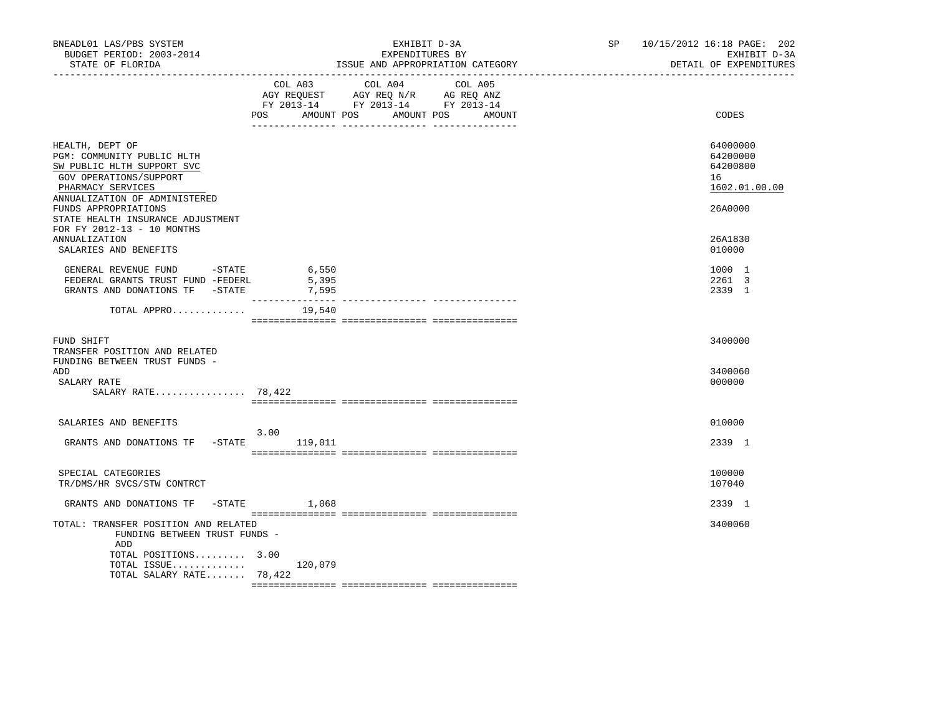| BNEADL01 LAS/PBS SYSTEM<br>BUDGET PERIOD: 2003-2014<br>STATE OF FLORIDA<br>--------------                                                                   |                                    | EXHIBIT D-3A<br>EXPENDITURES BY<br>ISSUE AND APPROPRIATION CATEGORY                                                                                                                                                          | SP and the set of the set of the set of the set of the set of the set of the set of the set of the set of the set of the set of the set of the set of the set of the set of the set of the set of the set of the set of the se | 10/15/2012 16:18 PAGE: 202<br>EXHIBIT D-3A<br>DETAIL OF EXPENDITURES |
|-------------------------------------------------------------------------------------------------------------------------------------------------------------|------------------------------------|------------------------------------------------------------------------------------------------------------------------------------------------------------------------------------------------------------------------------|--------------------------------------------------------------------------------------------------------------------------------------------------------------------------------------------------------------------------------|----------------------------------------------------------------------|
|                                                                                                                                                             | POS<br>AMOUNT POS                  | COL A03 COL A04<br>COL A05<br>$\begin{tabular}{lllllll} AGY & \texttt{REQUEST} & \texttt{AGY REQ} & \texttt{N/R} & \texttt{AG REQ} & \texttt{ANZ} \end{tabular}$<br>FY 2013-14 FY 2013-14 FY 2013-14<br>AMOUNT POS<br>AMOUNT |                                                                                                                                                                                                                                | CODES                                                                |
| HEALTH, DEPT OF<br>PGM: COMMUNITY PUBLIC HLTH<br>SW PUBLIC HLTH SUPPORT SVC<br>GOV OPERATIONS/SUPPORT<br>PHARMACY SERVICES<br>ANNUALIZATION OF ADMINISTERED |                                    |                                                                                                                                                                                                                              |                                                                                                                                                                                                                                | 64000000<br>64200000<br>64200800<br>16<br>1602.01.00.00              |
| FUNDS APPROPRIATIONS<br>STATE HEALTH INSURANCE ADJUSTMENT<br>FOR FY 2012-13 - 10 MONTHS<br><b>ANNUALIZATION</b>                                             |                                    |                                                                                                                                                                                                                              |                                                                                                                                                                                                                                | 26A0000<br>26A1830                                                   |
| SALARIES AND BENEFITS<br>GENERAL REVENUE FUND - STATE<br>FEDERAL GRANTS TRUST FUND -FEDERL                                                                  | 6,550<br>5,395                     |                                                                                                                                                                                                                              |                                                                                                                                                                                                                                | 010000<br>1000 1<br>2261 3                                           |
| GRANTS AND DONATIONS TF -STATE<br>TOTAL APPRO                                                                                                               | 7,595<br>---------------<br>19,540 | ______________ ________________                                                                                                                                                                                              |                                                                                                                                                                                                                                | 2339 1                                                               |
| FUND SHIFT<br>TRANSFER POSITION AND RELATED<br>FUNDING BETWEEN TRUST FUNDS -                                                                                |                                    |                                                                                                                                                                                                                              |                                                                                                                                                                                                                                | 3400000                                                              |
| ADD<br>SALARY RATE<br>SALARY RATE $78,422$                                                                                                                  |                                    |                                                                                                                                                                                                                              |                                                                                                                                                                                                                                | 3400060<br>000000                                                    |
| SALARIES AND BENEFITS                                                                                                                                       | 3.00                               |                                                                                                                                                                                                                              |                                                                                                                                                                                                                                | 010000                                                               |
| GRANTS AND DONATIONS TF - STATE                                                                                                                             | 119,011                            |                                                                                                                                                                                                                              |                                                                                                                                                                                                                                | 2339 1                                                               |
| SPECIAL CATEGORIES<br>TR/DMS/HR SVCS/STW CONTRCT                                                                                                            |                                    |                                                                                                                                                                                                                              |                                                                                                                                                                                                                                | 100000<br>107040                                                     |
| GRANTS AND DONATIONS TF -STATE                                                                                                                              | 1,068                              |                                                                                                                                                                                                                              |                                                                                                                                                                                                                                | 2339 1                                                               |
| TOTAL: TRANSFER POSITION AND RELATED<br>FUNDING BETWEEN TRUST FUNDS -<br>ADD<br>TOTAL POSITIONS 3.00<br>TOTAL ISSUE                                         | 120,079                            |                                                                                                                                                                                                                              |                                                                                                                                                                                                                                | 3400060                                                              |
| TOTAL SALARY RATE 78,422                                                                                                                                    |                                    |                                                                                                                                                                                                                              |                                                                                                                                                                                                                                |                                                                      |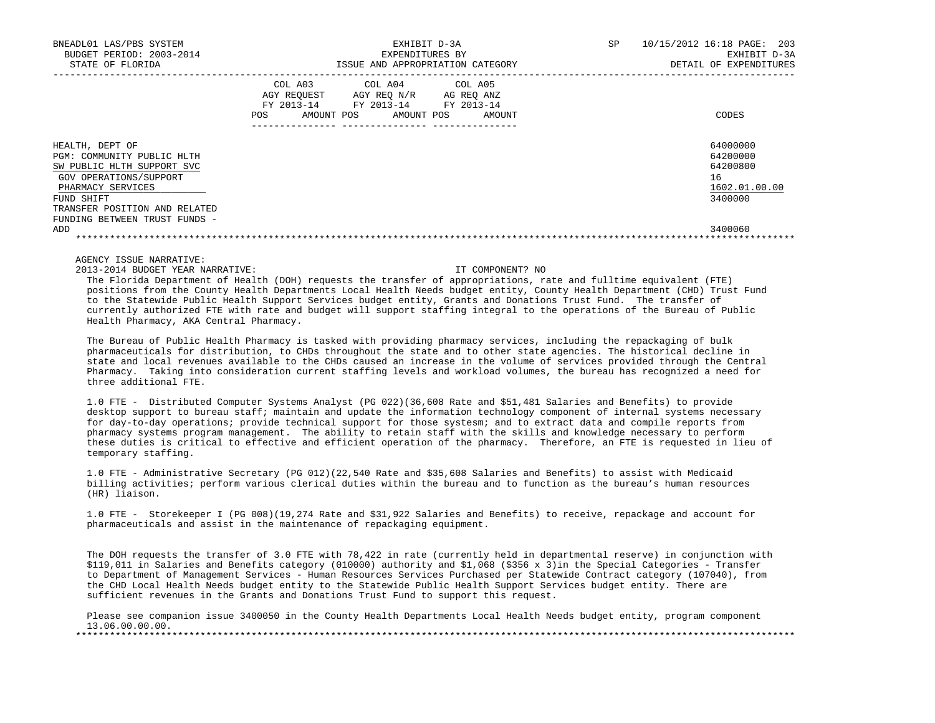| BNEADL01 LAS/PBS SYSTEM<br>BUDGET PERIOD: 2003-2014<br>STATE OF FLORIDA                                                                                                                                    | EXHIBIT D-3A<br>EXPENDITURES BY<br>ISSUE AND APPROPRIATION CATEGORY                                                                                           | 10/15/2012 16:18 PAGE: 203<br><b>SP</b><br>EXHIBIT D-3A<br>DETAIL OF EXPENDITURES |
|------------------------------------------------------------------------------------------------------------------------------------------------------------------------------------------------------------|---------------------------------------------------------------------------------------------------------------------------------------------------------------|-----------------------------------------------------------------------------------|
|                                                                                                                                                                                                            | COL A03<br>COL A04 COL A05<br>AGY REOUEST<br>AGY REO N/R<br>AG REO ANZ<br>FY 2013-14<br>FY 2013-14<br>FY 2013-14<br>POS<br>AMOUNT POS<br>AMOUNT POS<br>AMOUNT | CODES                                                                             |
| HEALTH, DEPT OF<br>PGM: COMMUNITY PUBLIC HLTH<br>SW PUBLIC HLTH SUPPORT SVC<br>GOV OPERATIONS/SUPPORT<br>PHARMACY SERVICES<br>FUND SHIFT<br>TRANSFER POSITION AND RELATED<br>FUNDING BETWEEN TRUST FUNDS - |                                                                                                                                                               | 64000000<br>64200000<br>64200800<br>16<br>1602.01.00.00<br>3400000                |
| ADD                                                                                                                                                                                                        |                                                                                                                                                               | 3400060                                                                           |

# AGENCY ISSUE NARRATIVE:

2013-2014 BUDGET YEAR NARRATIVE: IT COMPONENT? NO

 The Florida Department of Health (DOH) requests the transfer of appropriations, rate and fulltime equivalent (FTE) positions from the County Health Departments Local Health Needs budget entity, County Health Department (CHD) Trust Fund to the Statewide Public Health Support Services budget entity, Grants and Donations Trust Fund. The transfer of currently authorized FTE with rate and budget will support staffing integral to the operations of the Bureau of Public Health Pharmacy, AKA Central Pharmacy.

 The Bureau of Public Health Pharmacy is tasked with providing pharmacy services, including the repackaging of bulk pharmaceuticals for distribution, to CHDs throughout the state and to other state agencies. The historical decline in state and local revenues available to the CHDs caused an increase in the volume of services provided through the Central Pharmacy. Taking into consideration current staffing levels and workload volumes, the bureau has recognized a need for three additional FTE.

 1.0 FTE - Distributed Computer Systems Analyst (PG 022)(36,608 Rate and \$51,481 Salaries and Benefits) to provide desktop support to bureau staff; maintain and update the information technology component of internal systems necessary for day-to-day operations; provide technical support for those systesm; and to extract data and compile reports from pharmacy systems program management. The ability to retain staff with the skills and knowledge necessary to perform these duties is critical to effective and efficient operation of the pharmacy. Therefore, an FTE is requested in lieu of temporary staffing.

 1.0 FTE - Administrative Secretary (PG 012)(22,540 Rate and \$35,608 Salaries and Benefits) to assist with Medicaid billing activities; perform various clerical duties within the bureau and to function as the bureau's human resources (HR) liaison.

 1.0 FTE - Storekeeper I (PG 008)(19,274 Rate and \$31,922 Salaries and Benefits) to receive, repackage and account for pharmaceuticals and assist in the maintenance of repackaging equipment.

 The DOH requests the transfer of 3.0 FTE with 78,422 in rate (currently held in departmental reserve) in conjunction with \$119,011 in Salaries and Benefits category (010000) authority and \$1,068 (\$356 x 3)in the Special Categories - Transfer to Department of Management Services - Human Resources Services Purchased per Statewide Contract category (107040), from the CHD Local Health Needs budget entity to the Statewide Public Health Support Services budget entity. There are sufficient revenues in the Grants and Donations Trust Fund to support this request.

 Please see companion issue 3400050 in the County Health Departments Local Health Needs budget entity, program component  $13.06.00.00.00.$ \*\*\*\*\*\*\*\*\*\*\*\*\*\*\*\*\*\*\*\*\*\*\*\*\*\*\*\*\*\*\*\*\*\*\*\*\*\*\*\*\*\*\*\*\*\*\*\*\*\*\*\*\*\*\*\*\*\*\*\*\*\*\*\*\*\*\*\*\*\*\*\*\*\*\*\*\*\*\*\*\*\*\*\*\*\*\*\*\*\*\*\*\*\*\*\*\*\*\*\*\*\*\*\*\*\*\*\*\*\*\*\*\*\*\*\*\*\*\*\*\*\*\*\*\*\*\*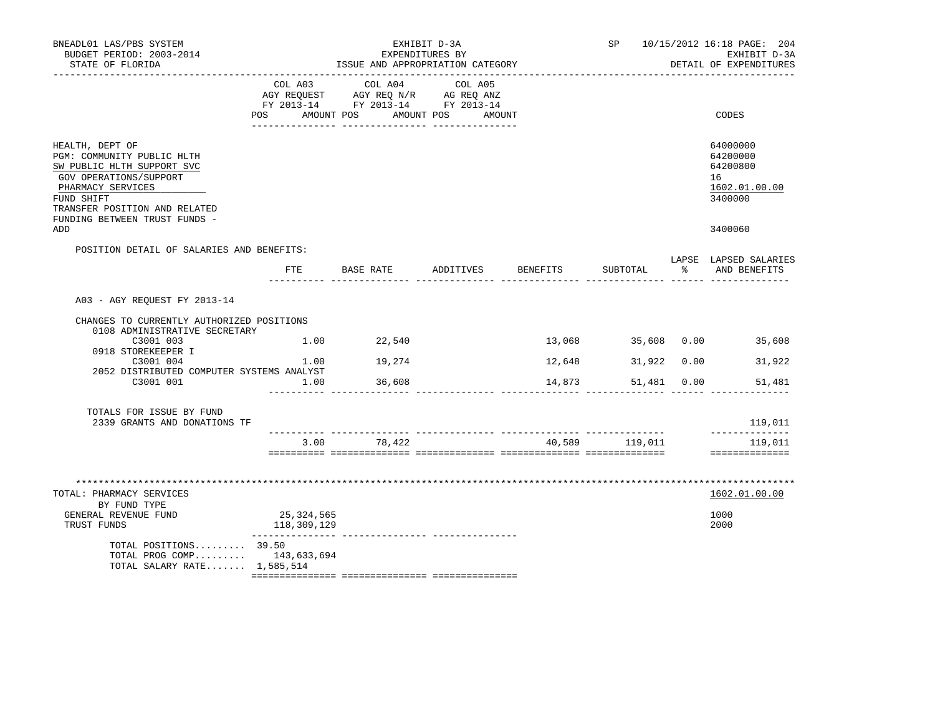| BNEADL01 LAS/PBS SYSTEM<br>BUDGET PERIOD: 2003-2014<br>STATE OF FLORIDA                                                                                                                                              |                           | ISSUE AND APPROPRIATION CATEGORY                                                                          | EXHIBIT D-3A<br>EXPENDITURES BY |                  | SP                                    |    | 10/15/2012 16:18 PAGE: 204<br>EXHIBIT D-3A<br>DETAIL OF EXPENDITURES |
|----------------------------------------------------------------------------------------------------------------------------------------------------------------------------------------------------------------------|---------------------------|-----------------------------------------------------------------------------------------------------------|---------------------------------|------------------|---------------------------------------|----|----------------------------------------------------------------------|
|                                                                                                                                                                                                                      | COL A03<br>AGY REQUEST    | COL A04<br>AGY REQ N/R AG REQ ANZ<br>FY 2013-14 FY 2013-14 FY 2013-14<br>POS AMOUNT POS AMOUNT POS AMOUNT | COL A05                         |                  |                                       |    | CODES                                                                |
| HEALTH, DEPT OF<br>PGM: COMMUNITY PUBLIC HLTH<br>SW PUBLIC HLTH SUPPORT SVC<br>GOV OPERATIONS/SUPPORT<br>PHARMACY SERVICES<br>FUND SHIFT<br>TRANSFER POSITION AND RELATED<br>FUNDING BETWEEN TRUST FUNDS -           |                           |                                                                                                           |                                 |                  |                                       |    | 64000000<br>64200000<br>64200800<br>16<br>1602.01.00.00<br>3400000   |
| ADD                                                                                                                                                                                                                  |                           |                                                                                                           |                                 |                  |                                       |    | 3400060                                                              |
| POSITION DETAIL OF SALARIES AND BENEFITS:                                                                                                                                                                            |                           |                                                                                                           |                                 |                  |                                       |    |                                                                      |
|                                                                                                                                                                                                                      | FTE                       | BASE RATE                                                                                                 | ADDITIVES                       | BENEFITS         | SUBTOTAL                              | န္ | LAPSE LAPSED SALARIES<br>AND BENEFITS                                |
| A03 - AGY REOUEST FY 2013-14<br>CHANGES TO CURRENTLY AUTHORIZED POSITIONS<br>0108 ADMINISTRATIVE SECRETARY<br>C3001 003<br>0918 STOREKEEPER I<br>C3001 004<br>2052 DISTRIBUTED COMPUTER SYSTEMS ANALYST<br>C3001 001 | 1.00<br>1.00              | 1.00 22,540<br>19,274<br>36,608                                                                           |                                 | 12,648<br>14,873 | 31,922 0.00<br>51,481 0.00            |    | 13,068 35,608 0.00 35,608<br>31,922<br>51,481                        |
| TOTALS FOR ISSUE BY FUND<br>2339 GRANTS AND DONATIONS TF                                                                                                                                                             |                           |                                                                                                           |                                 |                  |                                       |    | 119,011                                                              |
|                                                                                                                                                                                                                      |                           | 3.00 78,422                                                                                               |                                 |                  | ---- --------------<br>40,589 119,011 |    | --------------<br>119,011<br>==============                          |
| TOTAL: PHARMACY SERVICES<br>BY FUND TYPE<br>GENERAL REVENUE FUND<br>TRUST FUNDS<br>TOTAL POSITIONS $39.50$<br>TOTAL PROG COMP 143,633,694<br>TOTAL SALARY RATE 1,585,514                                             | 25,324,565<br>118,309,129 |                                                                                                           |                                 |                  |                                       |    | 1602.01.00.00<br>1000<br>2000                                        |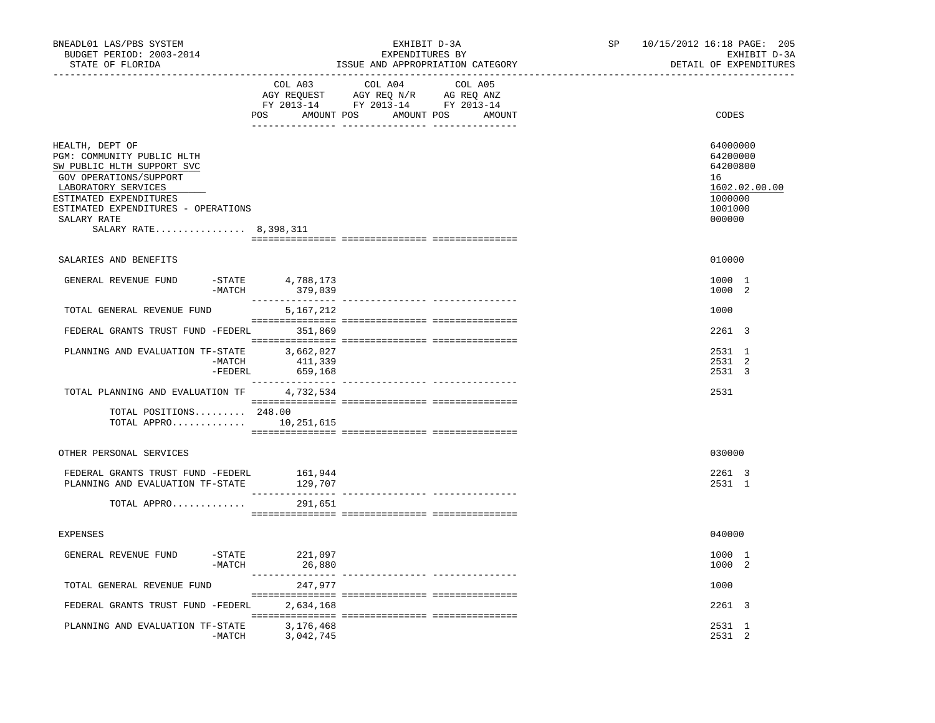| BNEADL01 LAS/PBS SYSTEM<br>BUDGET PERIOD: 2003-2014<br>STATE OF FLORIDA                                                                                                                                                               | EXHIBIT D-3A<br>EXPENDITURES BY<br>ISSUE AND APPROPRIATION CATEGORY                                                                                                                                                                                                                     | 10/15/2012 16:18 PAGE: 205<br>SP<br>EXHIBIT D-3A<br>DETAIL OF EXPENDITURES              |
|---------------------------------------------------------------------------------------------------------------------------------------------------------------------------------------------------------------------------------------|-----------------------------------------------------------------------------------------------------------------------------------------------------------------------------------------------------------------------------------------------------------------------------------------|-----------------------------------------------------------------------------------------|
|                                                                                                                                                                                                                                       | COL A03<br>COL A04<br>COL A05<br>$\begin{tabular}{lllllllll} \bf{AGY} & \bf{REQUEST} & \bf{AGY} & \bf{REQ} & \bf{N/R} & \bf{AG} & \bf{REQ} & \bf{ANZ} \\ \bf{FY} & \bf{2013-14} & \bf{FY} & \bf{2013-14} & \bf{FY} & \bf{2013-14} \\ \end{tabular}$<br>POS AMOUNT POS AMOUNT POS AMOUNT | CODES                                                                                   |
| HEALTH, DEPT OF<br>PGM: COMMUNITY PUBLIC HLTH<br>SW PUBLIC HLTH SUPPORT SVC<br>GOV OPERATIONS/SUPPORT<br>LABORATORY SERVICES<br>ESTIMATED EXPENDITURES<br>ESTIMATED EXPENDITURES - OPERATIONS<br>SALARY RATE<br>SALARY RATE 8,398,311 |                                                                                                                                                                                                                                                                                         | 64000000<br>64200000<br>64200800<br>16<br>1602.02.00.00<br>1000000<br>1001000<br>000000 |
| SALARIES AND BENEFITS                                                                                                                                                                                                                 |                                                                                                                                                                                                                                                                                         | 010000                                                                                  |
| GENERAL REVENUE FUND<br>$-MATCH$                                                                                                                                                                                                      | -STATE 4,788,173<br>379,039                                                                                                                                                                                                                                                             | 1000 1<br>1000 2                                                                        |
| TOTAL GENERAL REVENUE FUND                                                                                                                                                                                                            | 5,167,212                                                                                                                                                                                                                                                                               | 1000                                                                                    |
| FEDERAL GRANTS TRUST FUND -FEDERL 351,869                                                                                                                                                                                             |                                                                                                                                                                                                                                                                                         | 2261 3                                                                                  |
| PLANNING AND EVALUATION TF-STATE 3,662,027<br>-MATCH                                                                                                                                                                                  | -MATCH 411,339<br>-FEDERL 659,168                                                                                                                                                                                                                                                       | 2531 1<br>2531 2<br>2531 3                                                              |
| TOTAL PLANNING AND EVALUATION TF 4,732,534<br>TOTAL POSITIONS 248.00<br>TOTAL APPRO $10,251,615$                                                                                                                                      |                                                                                                                                                                                                                                                                                         | 2531                                                                                    |
| OTHER PERSONAL SERVICES                                                                                                                                                                                                               |                                                                                                                                                                                                                                                                                         | 030000                                                                                  |
| FEDERAL GRANTS TRUST FUND -FEDERL<br>PLANNING AND EVALUATION TF-STATE                                                                                                                                                                 | 161,944<br>129,707                                                                                                                                                                                                                                                                      | 2261 3<br>2531 1                                                                        |
| TOTAL APPRO                                                                                                                                                                                                                           | 291,651                                                                                                                                                                                                                                                                                 |                                                                                         |
| <b>EXPENSES</b>                                                                                                                                                                                                                       |                                                                                                                                                                                                                                                                                         | 040000                                                                                  |
| GENERAL REVENUE FUND<br>$-$ STATE<br>$-MATCH$                                                                                                                                                                                         | 221,097<br>26,880                                                                                                                                                                                                                                                                       | 1000 1<br>1000 2                                                                        |
| TOTAL GENERAL REVENUE FUND                                                                                                                                                                                                            | 247,977                                                                                                                                                                                                                                                                                 | 1000                                                                                    |
| FEDERAL GRANTS TRUST FUND -FEDERL                                                                                                                                                                                                     | 2,634,168                                                                                                                                                                                                                                                                               | 2261 3                                                                                  |
| PLANNING AND EVALUATION TF-STATE                                                                                                                                                                                                      | 3,176,468<br>-MATCH 3,042,745                                                                                                                                                                                                                                                           | 2531 1<br>2531 2                                                                        |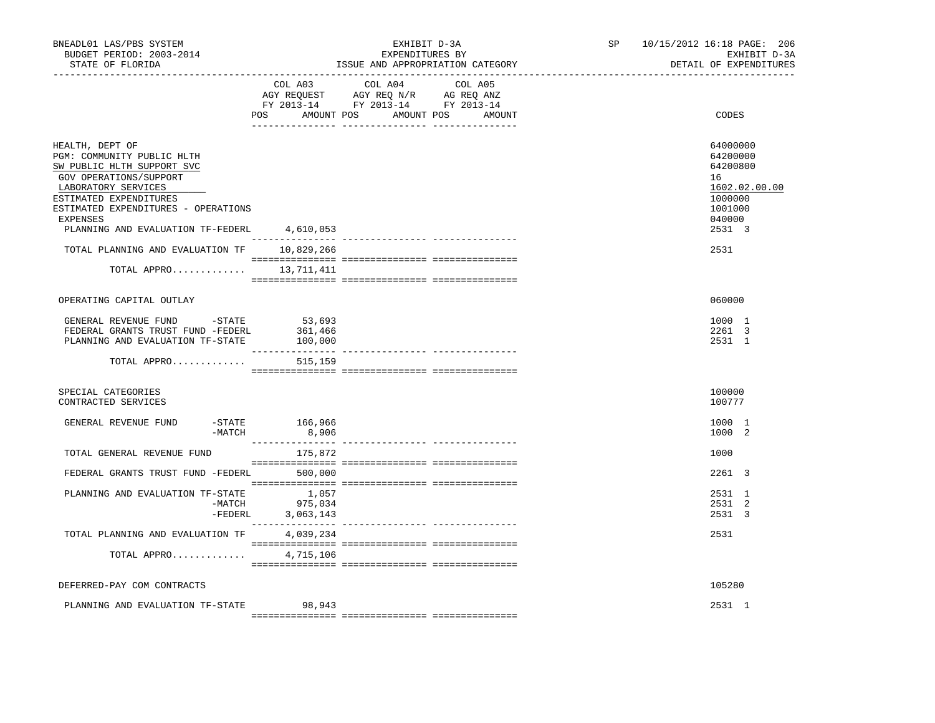| BNEADL01 LAS/PBS SYSTEM<br>BUDGET PERIOD: 2003-2014<br>STATE OF FLORIDA                                                                                                                                                                        |                                                                                                                                                                                                                                                                                                                                                                                                                                                   | EXHIBIT D-3A<br>EXPENDITURES BY<br>ISSUE AND APPROPRIATION CATEGORY               | SP and the set of the set of the set of the set of the set of the set of the set of the set of the set of the set of the set of the set of the set of the set of the set of the set of the set of the set of the set of the se | 10/15/2012 16:18 PAGE: 206<br>EXHIBIT D-3A<br>DETAIL OF EXPENDITURES |                                                                                                   |  |
|------------------------------------------------------------------------------------------------------------------------------------------------------------------------------------------------------------------------------------------------|---------------------------------------------------------------------------------------------------------------------------------------------------------------------------------------------------------------------------------------------------------------------------------------------------------------------------------------------------------------------------------------------------------------------------------------------------|-----------------------------------------------------------------------------------|--------------------------------------------------------------------------------------------------------------------------------------------------------------------------------------------------------------------------------|----------------------------------------------------------------------|---------------------------------------------------------------------------------------------------|--|
|                                                                                                                                                                                                                                                | COL A03                                                                                                                                                                                                                                                                                                                                                                                                                                           | COL A04<br>AGY REQUEST AGY REQ N/R AG REQ ANZ<br>FY 2013-14 FY 2013-14 FY 2013-14 | COL A05<br>POS AMOUNT POS AMOUNT POS AMOUNT                                                                                                                                                                                    |                                                                      | CODES                                                                                             |  |
| HEALTH, DEPT OF<br>PGM: COMMUNITY PUBLIC HLTH<br>SW PUBLIC HLTH SUPPORT SVC<br>GOV OPERATIONS/SUPPORT<br>LABORATORY SERVICES<br>ESTIMATED EXPENDITURES<br>ESTIMATED EXPENDITURES - OPERATIONS<br>EXPENSES<br>PLANNING AND EVALUATION TF-FEDERL | 4,610,053                                                                                                                                                                                                                                                                                                                                                                                                                                         |                                                                                   |                                                                                                                                                                                                                                |                                                                      | 64000000<br>64200000<br>64200800<br>16<br>1602.02.00.00<br>1000000<br>1001000<br>040000<br>2531 3 |  |
| TOTAL PLANNING AND EVALUATION TF                                                                                                                                                                                                               | 10,829,266<br>$\begin{minipage}{0.03\textwidth} \begin{tabular}{l} \textbf{1} & \textbf{2} & \textbf{3} & \textbf{5} & \textbf{5} & \textbf{6} & \textbf{6} & \textbf{7} & \textbf{8} & \textbf{8} & \textbf{9} & \textbf{9} & \textbf{9} & \textbf{9} & \textbf{9} & \textbf{9} & \textbf{9} & \textbf{9} & \textbf{9} & \textbf{9} & \textbf{9} & \textbf{9} & \textbf{9} & \textbf{9} & \textbf{9} & \textbf{9} & \textbf{9} & \textbf{9} & \$ |                                                                                   |                                                                                                                                                                                                                                |                                                                      | 2531                                                                                              |  |
| TOTAL APPRO 13,711,411                                                                                                                                                                                                                         |                                                                                                                                                                                                                                                                                                                                                                                                                                                   |                                                                                   |                                                                                                                                                                                                                                |                                                                      |                                                                                                   |  |
| OPERATING CAPITAL OUTLAY                                                                                                                                                                                                                       |                                                                                                                                                                                                                                                                                                                                                                                                                                                   |                                                                                   |                                                                                                                                                                                                                                |                                                                      | 060000                                                                                            |  |
| GENERAL REVENUE FUND - STATE<br>FEDERAL GRANTS TRUST FUND -FEDERL<br>PLANNING AND EVALUATION TF-STATE                                                                                                                                          | 53,693<br>361,466<br>100,000                                                                                                                                                                                                                                                                                                                                                                                                                      |                                                                                   |                                                                                                                                                                                                                                |                                                                      | 1000 1<br>2261 3<br>2531 1                                                                        |  |
| TOTAL APPRO                                                                                                                                                                                                                                    | 515,159                                                                                                                                                                                                                                                                                                                                                                                                                                           |                                                                                   |                                                                                                                                                                                                                                |                                                                      |                                                                                                   |  |
| SPECIAL CATEGORIES<br>CONTRACTED SERVICES                                                                                                                                                                                                      |                                                                                                                                                                                                                                                                                                                                                                                                                                                   |                                                                                   |                                                                                                                                                                                                                                |                                                                      | 100000<br>100777                                                                                  |  |
| GENERAL REVENUE FUND<br>$-MATCH$                                                                                                                                                                                                               | -STATE 166,966<br>8,906                                                                                                                                                                                                                                                                                                                                                                                                                           |                                                                                   |                                                                                                                                                                                                                                |                                                                      | 1000 1<br>1000 2                                                                                  |  |
| TOTAL GENERAL REVENUE FUND                                                                                                                                                                                                                     | 175,872                                                                                                                                                                                                                                                                                                                                                                                                                                           |                                                                                   |                                                                                                                                                                                                                                |                                                                      | 1000                                                                                              |  |
| FEDERAL GRANTS TRUST FUND -FEDERL 500,000                                                                                                                                                                                                      |                                                                                                                                                                                                                                                                                                                                                                                                                                                   |                                                                                   |                                                                                                                                                                                                                                |                                                                      | 2261 3                                                                                            |  |
| PLANNING AND EVALUATION TF-STATE                                                                                                                                                                                                               | 1,057<br>$-MATCH$ 975,034<br>-FEDERL 3,063,143                                                                                                                                                                                                                                                                                                                                                                                                    |                                                                                   |                                                                                                                                                                                                                                |                                                                      | 2531 1<br>2531 2<br>2531 3                                                                        |  |
| TOTAL PLANNING AND EVALUATION TF                                                                                                                                                                                                               | 4,039,234                                                                                                                                                                                                                                                                                                                                                                                                                                         |                                                                                   |                                                                                                                                                                                                                                |                                                                      | 2531                                                                                              |  |
| TOTAL APPRO                                                                                                                                                                                                                                    | 4,715,106                                                                                                                                                                                                                                                                                                                                                                                                                                         |                                                                                   |                                                                                                                                                                                                                                |                                                                      |                                                                                                   |  |
| DEFERRED-PAY COM CONTRACTS                                                                                                                                                                                                                     |                                                                                                                                                                                                                                                                                                                                                                                                                                                   |                                                                                   |                                                                                                                                                                                                                                |                                                                      | 105280                                                                                            |  |
| PLANNING AND EVALUATION TF-STATE                                                                                                                                                                                                               | 98,943                                                                                                                                                                                                                                                                                                                                                                                                                                            |                                                                                   |                                                                                                                                                                                                                                |                                                                      | 2531 1                                                                                            |  |
|                                                                                                                                                                                                                                                |                                                                                                                                                                                                                                                                                                                                                                                                                                                   |                                                                                   |                                                                                                                                                                                                                                |                                                                      |                                                                                                   |  |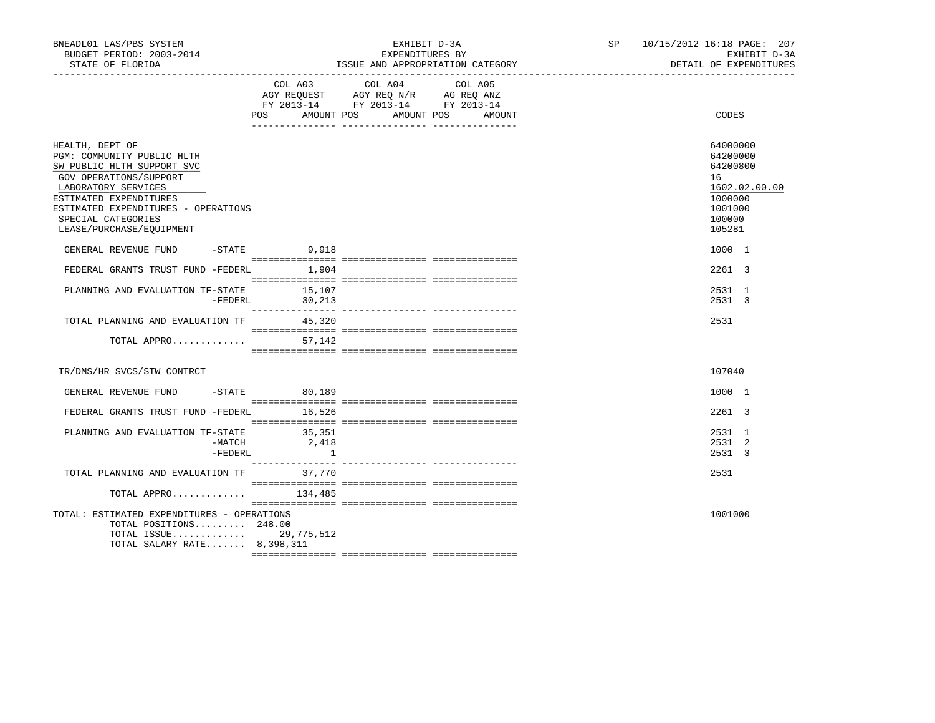| BNEADL01 LAS/PBS SYSTEM<br>BUDGET PERIOD: 2003-2014<br>STATE OF FLORIDA                                                                                                                                                                         | EXHIBIT D-3A<br>EXPENDITURES BY<br>ISSUE AND APPROPRIATION CATEGORY |                                                                                                                            |        |  | SP 10/15/2012 16:18 PAGE: 207<br>EXHIBIT D-3A<br>DETAIL OF EXPENDITURES          |               |
|-------------------------------------------------------------------------------------------------------------------------------------------------------------------------------------------------------------------------------------------------|---------------------------------------------------------------------|----------------------------------------------------------------------------------------------------------------------------|--------|--|----------------------------------------------------------------------------------|---------------|
|                                                                                                                                                                                                                                                 | POS                                                                 | COL A03 COL A04 COL A05<br>AGY REQUEST AGY REQ N/R AG REQ ANZ<br>FY 2013-14 FY 2013-14 FY 2013-14<br>AMOUNT POS AMOUNT POS | AMOUNT |  | CODES                                                                            |               |
| HEALTH, DEPT OF<br>PGM: COMMUNITY PUBLIC HLTH<br>SW PUBLIC HLTH SUPPORT SVC<br>GOV OPERATIONS/SUPPORT<br>LABORATORY SERVICES<br>ESTIMATED EXPENDITURES<br>ESTIMATED EXPENDITURES - OPERATIONS<br>SPECIAL CATEGORIES<br>LEASE/PURCHASE/EQUIPMENT |                                                                     |                                                                                                                            |        |  | 64000000<br>64200000<br>64200800<br>16<br>1000000<br>1001000<br>100000<br>105281 | 1602.02.00.00 |
| GENERAL REVENUE FUND                                                                                                                                                                                                                            | $-$ STATE 9,918                                                     |                                                                                                                            |        |  | 1000 1                                                                           |               |
| FEDERAL GRANTS TRUST FUND -FEDERL 1,904                                                                                                                                                                                                         |                                                                     |                                                                                                                            |        |  | 2261 3                                                                           |               |
| PLANNING AND EVALUATION TF-STATE 15,107                                                                                                                                                                                                         | $-FEDERL$ 30, 213                                                   |                                                                                                                            |        |  | 2531 1<br>2531 3                                                                 |               |
| TOTAL PLANNING AND EVALUATION TF 45,320                                                                                                                                                                                                         |                                                                     |                                                                                                                            |        |  | 2531                                                                             |               |
| TOTAL APPRO $57,142$                                                                                                                                                                                                                            |                                                                     |                                                                                                                            |        |  |                                                                                  |               |
| TR/DMS/HR SVCS/STW CONTRCT                                                                                                                                                                                                                      |                                                                     |                                                                                                                            |        |  | 107040                                                                           |               |
| GENERAL REVENUE FUND -STATE 60,189                                                                                                                                                                                                              |                                                                     |                                                                                                                            |        |  | 1000 1                                                                           |               |
| FEDERAL GRANTS TRUST FUND -FEDERL 16,526                                                                                                                                                                                                        |                                                                     |                                                                                                                            |        |  | 2261 3                                                                           |               |
| PLANNING AND EVALUATION TF-STATE<br>-MATCH<br>-FEDERL                                                                                                                                                                                           | 35,351<br>2,418<br>$\qquad \qquad 1$                                |                                                                                                                            |        |  | 2531 1<br>2531 2<br>2531 3                                                       |               |
| TOTAL PLANNING AND EVALUATION TF 37,770                                                                                                                                                                                                         |                                                                     |                                                                                                                            |        |  | 2531                                                                             |               |
| TOTAL APPRO 134,485                                                                                                                                                                                                                             |                                                                     |                                                                                                                            |        |  |                                                                                  |               |
| TOTAL: ESTIMATED EXPENDITURES - OPERATIONS<br>TOTAL POSITIONS 248.00<br>TOTAL ISSUE 29,775,512<br>TOTAL SALARY RATE 8,398,311                                                                                                                   |                                                                     |                                                                                                                            |        |  | 1001000                                                                          |               |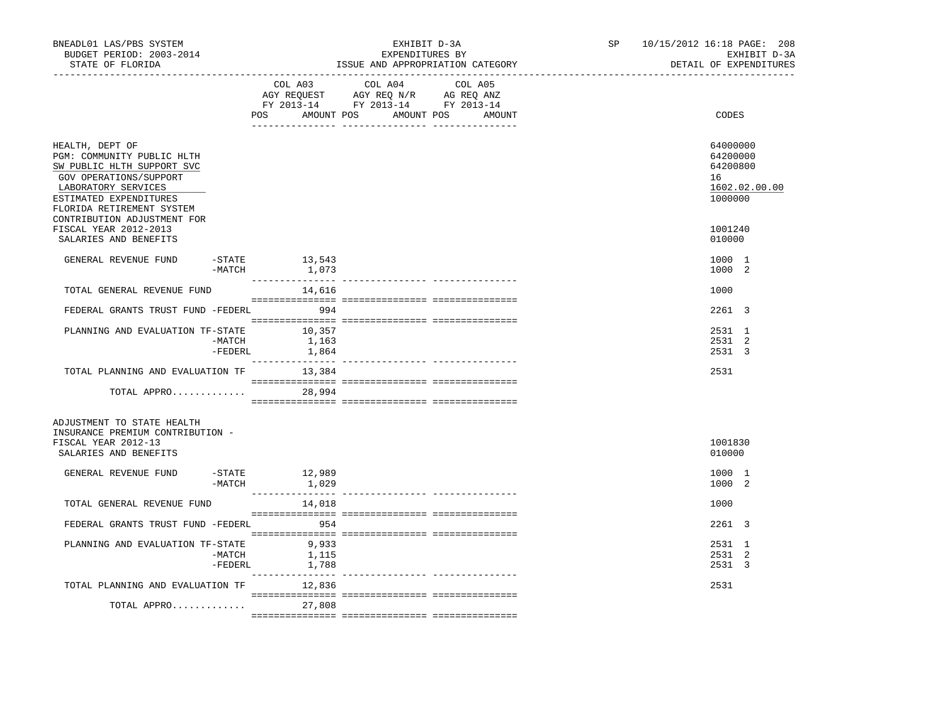| BNEADL01 LAS/PBS SYSTEM<br>BUDGET PERIOD: 2003-2014<br>STATE OF FLORIDA                                                                                                             |                   |                                                                                                                                       | EXHIBIT D-3A<br>EXPENDITURES BY<br>ISSUE AND APPROPRIATION CATEGORY | SP and the set of the set of the set of the set of the set of the set of the set of the set of the set of the set of the set of the set of the set of the set of the set of the set of the set of the set of the set of the se | 10/15/2012 16:18 PAGE: 208<br>EXHIBIT D-3A<br>DETAIL OF EXPENDITURES |
|-------------------------------------------------------------------------------------------------------------------------------------------------------------------------------------|-------------------|---------------------------------------------------------------------------------------------------------------------------------------|---------------------------------------------------------------------|--------------------------------------------------------------------------------------------------------------------------------------------------------------------------------------------------------------------------------|----------------------------------------------------------------------|
|                                                                                                                                                                                     |                   | COL A03 COL A04 COL A05<br>AGY REQUEST AGY REQ N/R AG REQ ANZ<br>FY 2013-14 FY 2013-14 FY 2013-14<br>POS AMOUNT POS AMOUNT POS AMOUNT |                                                                     | CODES                                                                                                                                                                                                                          |                                                                      |
| HEALTH, DEPT OF<br>PGM: COMMUNITY PUBLIC HLTH<br>SW PUBLIC HLTH SUPPORT SVC<br>GOV OPERATIONS/SUPPORT<br>LABORATORY SERVICES<br>ESTIMATED EXPENDITURES<br>FLORIDA RETIREMENT SYSTEM |                   |                                                                                                                                       |                                                                     |                                                                                                                                                                                                                                | 64000000<br>64200000<br>64200800<br>16<br>1602.02.00.00<br>1000000   |
| CONTRIBUTION ADJUSTMENT FOR<br>FISCAL YEAR 2012-2013<br>SALARIES AND BENEFITS                                                                                                       |                   |                                                                                                                                       |                                                                     |                                                                                                                                                                                                                                | 1001240<br>010000                                                    |
| GENERAL REVENUE FUND                                                                                                                                                                | -MATCH            | $-STATE$ 13, 543<br>1,073                                                                                                             |                                                                     |                                                                                                                                                                                                                                | 1000 1<br>1000 2                                                     |
| TOTAL GENERAL REVENUE FUND                                                                                                                                                          |                   | 14,616                                                                                                                                |                                                                     |                                                                                                                                                                                                                                | 1000                                                                 |
| FEDERAL GRANTS TRUST FUND -FEDERL 994                                                                                                                                               |                   |                                                                                                                                       |                                                                     |                                                                                                                                                                                                                                | 2261 3                                                               |
| PLANNING AND EVALUATION TF-STATE 10,357                                                                                                                                             | -MATCH<br>-FEDERL | 1,163<br>1,864                                                                                                                        |                                                                     |                                                                                                                                                                                                                                | 2531 1<br>2531 2<br>2531 3                                           |
| TOTAL PLANNING AND EVALUATION TF                                                                                                                                                    |                   | 13,384                                                                                                                                |                                                                     |                                                                                                                                                                                                                                | 2531                                                                 |
| TOTAL APPRO                                                                                                                                                                         |                   | 28,994                                                                                                                                |                                                                     |                                                                                                                                                                                                                                |                                                                      |
| ADJUSTMENT TO STATE HEALTH<br>INSURANCE PREMIUM CONTRIBUTION -<br>FISCAL YEAR 2012-13<br>SALARIES AND BENEFITS                                                                      |                   |                                                                                                                                       |                                                                     |                                                                                                                                                                                                                                | 1001830<br>010000                                                    |
| GENERAL REVENUE FUND                                                                                                                                                                | $-MATCH$          | $-STATE$ 12,989<br>1,029                                                                                                              |                                                                     |                                                                                                                                                                                                                                | 1000 1<br>1000 2                                                     |
| TOTAL GENERAL REVENUE FUND                                                                                                                                                          |                   | 14,018                                                                                                                                |                                                                     |                                                                                                                                                                                                                                | 1000                                                                 |
| FEDERAL GRANTS TRUST FUND -FEDERL                                                                                                                                                   |                   | 54 954                                                                                                                                |                                                                     |                                                                                                                                                                                                                                | 2261 3                                                               |
| PLANNING AND EVALUATION TF-STATE                                                                                                                                                    | -MATCH<br>-FEDERL | 9,933<br>1,115<br>1,788                                                                                                               |                                                                     |                                                                                                                                                                                                                                | 2531 1<br>2531 2<br>2531 3                                           |
| TOTAL PLANNING AND EVALUATION TF                                                                                                                                                    |                   | 12,836                                                                                                                                |                                                                     |                                                                                                                                                                                                                                | 2531                                                                 |
| TOTAL APPRO                                                                                                                                                                         |                   | 27,808                                                                                                                                |                                                                     |                                                                                                                                                                                                                                |                                                                      |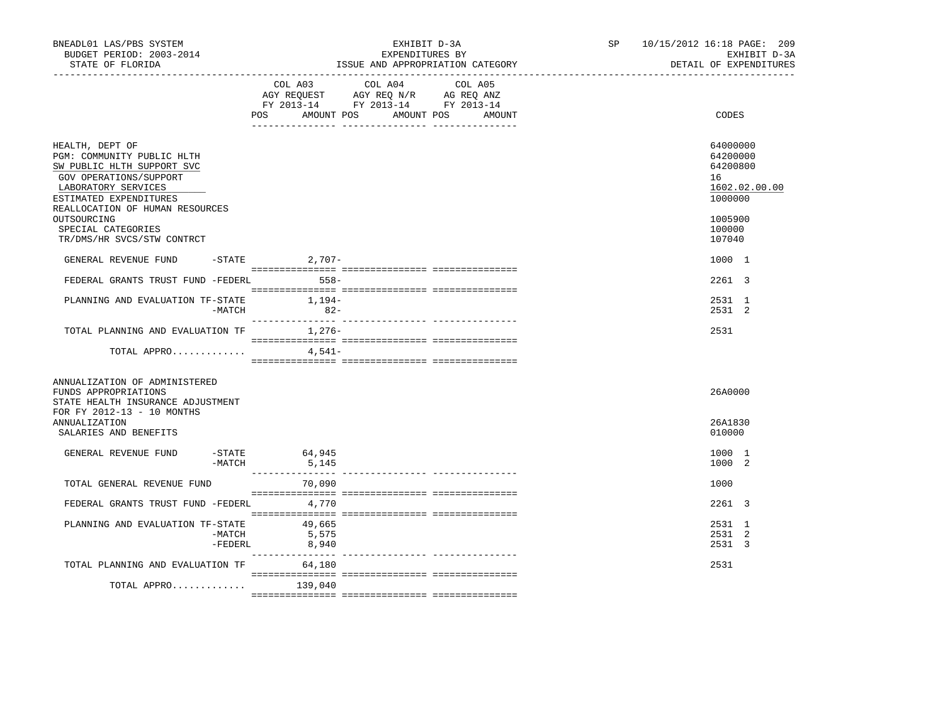| BNEADL01 LAS/PBS SYSTEM<br>EXHIBIT D-3A<br>BUDGET PERIOD: 2003-2014<br>EXPENDITURES BY<br>STATE OF FLORIDA<br>ISSUE AND APPROPRIATION CATEGORY | 10/15/2012 16:18 PAGE: 209<br>SP and the set of the set of the set of the set of the set of the set of the set of the set of the set of the set of the set of the set of the set of the set of the set of the set of the set of the set of the set of the se<br>EXHIBIT D-3A<br>DETAIL OF EXPENDITURES |
|------------------------------------------------------------------------------------------------------------------------------------------------|--------------------------------------------------------------------------------------------------------------------------------------------------------------------------------------------------------------------------------------------------------------------------------------------------------|
| COL A03 COL A04 COL A05<br>AGY REQUEST AGY REQ N/R AG REQ ANZ<br>FY 2013-14 FY 2013-14 FY 2013-14<br>AMOUNT POS AMOUNT POS<br>POS              | CODES<br>AMOUNT                                                                                                                                                                                                                                                                                        |
| HEALTH, DEPT OF<br>PGM: COMMUNITY PUBLIC HLTH<br>SW PUBLIC HLTH SUPPORT SVC<br>GOV OPERATIONS/SUPPORT<br>LABORATORY SERVICES                   | 64000000<br>64200000<br>64200800<br>16<br>1602.02.00.00                                                                                                                                                                                                                                                |
| ESTIMATED EXPENDITURES<br>REALLOCATION OF HUMAN RESOURCES<br>OUTSOURCING<br>SPECIAL CATEGORIES<br>TR/DMS/HR SVCS/STW CONTRCT                   | 1000000<br>1005900<br>100000<br>107040                                                                                                                                                                                                                                                                 |
| GENERAL REVENUE FUND<br>$-$ STATE 2, 707 –                                                                                                     | 1000 1                                                                                                                                                                                                                                                                                                 |
| $558-$<br>FEDERAL GRANTS TRUST FUND -FEDERL                                                                                                    | $2261$ 3                                                                                                                                                                                                                                                                                               |
| $1,194-$<br>PLANNING AND EVALUATION TF-STATE<br>$82 -$<br>$-MATCH$                                                                             | 2531 1<br>2531 2                                                                                                                                                                                                                                                                                       |
| 1,276-<br>TOTAL PLANNING AND EVALUATION TF                                                                                                     | 2531                                                                                                                                                                                                                                                                                                   |
| TOTAL APPRO<br>4,541-                                                                                                                          |                                                                                                                                                                                                                                                                                                        |
| ANNUALIZATION OF ADMINISTERED<br>FUNDS APPROPRIATIONS<br>STATE HEALTH INSURANCE ADJUSTMENT<br>FOR FY 2012-13 - 10 MONTHS                       | 26A0000                                                                                                                                                                                                                                                                                                |
| ANNUALIZATION<br>SALARIES AND BENEFITS                                                                                                         | 26A1830<br>010000                                                                                                                                                                                                                                                                                      |
| GENERAL REVENUE FUND<br>-STATE 64,945<br>$-MATCH$<br>5,145                                                                                     | 1000 1<br>1000 2                                                                                                                                                                                                                                                                                       |
| TOTAL GENERAL REVENUE FUND<br>70,090                                                                                                           | 1000                                                                                                                                                                                                                                                                                                   |
| FEDERAL GRANTS TRUST FUND -FEDERL<br>4,770                                                                                                     | 2261 3                                                                                                                                                                                                                                                                                                 |
| PLANNING AND EVALUATION TF-STATE<br>49,665<br>-MATCH<br>5,575<br>-FEDERL<br>8,940                                                              | 2531 1<br>2531 2<br>2531 3                                                                                                                                                                                                                                                                             |
| TOTAL PLANNING AND EVALUATION TF<br>64,180                                                                                                     | 2531                                                                                                                                                                                                                                                                                                   |
| TOTAL APPRO<br>139,040                                                                                                                         |                                                                                                                                                                                                                                                                                                        |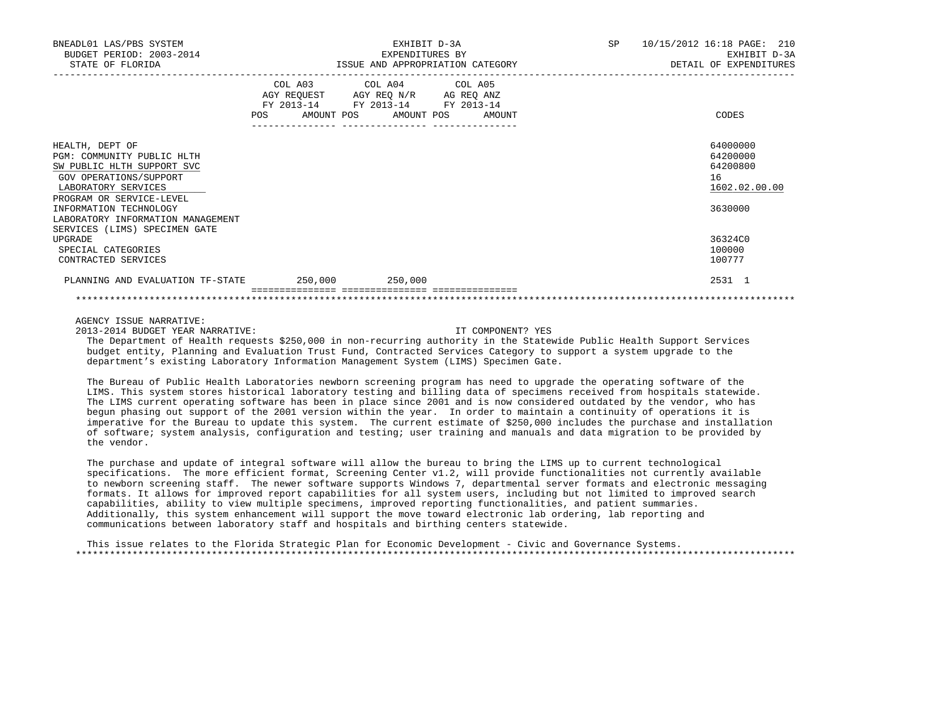| BNEADL01 LAS/PBS SYSTEM<br>BUDGET PERIOD: 2003-2014<br>STATE OF FLORIDA                                                                                  | EXHIBIT D-3A<br>EXPENDITURES BY<br>ISSUE AND APPROPRIATION CATEGORY |                                                                                                                                   |  | SP 10/15/2012 16:18 PAGE: 210<br>EXHIBIT D-3A<br>DETAIL OF EXPENDITURES |
|----------------------------------------------------------------------------------------------------------------------------------------------------------|---------------------------------------------------------------------|-----------------------------------------------------------------------------------------------------------------------------------|--|-------------------------------------------------------------------------|
|                                                                                                                                                          | POS                                                                 | COL A03 COL A04 COL A05<br>AGY REQUEST AGY REQ N/R AG REQ ANZ<br>FY 2013-14 FY 2013-14 FY 2013-14<br>AMOUNT POS AMOUNT POS AMOUNT |  | CODES                                                                   |
| HEALTH, DEPT OF<br>PGM: COMMUNITY PUBLIC HLTH<br>SW PUBLIC HLTH SUPPORT SVC<br>GOV OPERATIONS/SUPPORT<br>LABORATORY SERVICES<br>PROGRAM OR SERVICE-LEVEL |                                                                     |                                                                                                                                   |  | 64000000<br>64200000<br>64200800<br>16<br>1602.02.00.00                 |
| INFORMATION TECHNOLOGY<br>LABORATORY INFORMATION MANAGEMENT<br>SERVICES (LIMS) SPECIMEN GATE                                                             |                                                                     |                                                                                                                                   |  | 3630000                                                                 |
| UPGRADE<br>SPECIAL CATEGORIES<br>CONTRACTED SERVICES                                                                                                     |                                                                     |                                                                                                                                   |  | 36324C0<br>100000<br>100777                                             |
| PLANNING AND EVALUATION TF-STATE 250,000 250,000                                                                                                         |                                                                     |                                                                                                                                   |  | 2531 1                                                                  |
|                                                                                                                                                          |                                                                     |                                                                                                                                   |  |                                                                         |

AGENCY ISSUE NARRATIVE:

2013-2014 BUDGET YEAR NARRATIVE: IT COMPONENT? YES

 The Department of Health requests \$250,000 in non-recurring authority in the Statewide Public Health Support Services budget entity, Planning and Evaluation Trust Fund, Contracted Services Category to support a system upgrade to the department's existing Laboratory Information Management System (LIMS) Specimen Gate.

 The Bureau of Public Health Laboratories newborn screening program has need to upgrade the operating software of the LIMS. This system stores historical laboratory testing and billing data of specimens received from hospitals statewide. The LIMS current operating software has been in place since 2001 and is now considered outdated by the vendor, who has begun phasing out support of the 2001 version within the year. In order to maintain a continuity of operations it is imperative for the Bureau to update this system. The current estimate of \$250,000 includes the purchase and installation of software; system analysis, configuration and testing; user training and manuals and data migration to be provided by the vendor.

 The purchase and update of integral software will allow the bureau to bring the LIMS up to current technological specifications. The more efficient format, Screening Center v1.2, will provide functionalities not currently available to newborn screening staff. The newer software supports Windows 7, departmental server formats and electronic messaging formats. It allows for improved report capabilities for all system users, including but not limited to improved search capabilities, ability to view multiple specimens, improved reporting functionalities, and patient summaries. Additionally, this system enhancement will support the move toward electronic lab ordering, lab reporting and communications between laboratory staff and hospitals and birthing centers statewide.

 This issue relates to the Florida Strategic Plan for Economic Development - Civic and Governance Systems. \*\*\*\*\*\*\*\*\*\*\*\*\*\*\*\*\*\*\*\*\*\*\*\*\*\*\*\*\*\*\*\*\*\*\*\*\*\*\*\*\*\*\*\*\*\*\*\*\*\*\*\*\*\*\*\*\*\*\*\*\*\*\*\*\*\*\*\*\*\*\*\*\*\*\*\*\*\*\*\*\*\*\*\*\*\*\*\*\*\*\*\*\*\*\*\*\*\*\*\*\*\*\*\*\*\*\*\*\*\*\*\*\*\*\*\*\*\*\*\*\*\*\*\*\*\*\*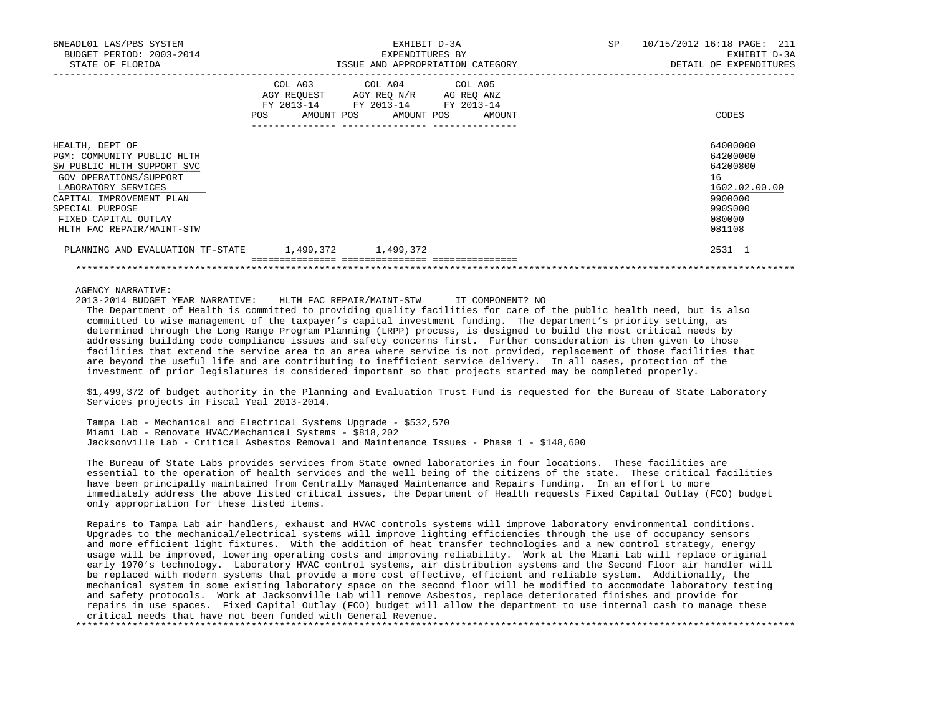| BNEADL01 LAS/PBS SYSTEM<br>BUDGET PERIOD: 2003-2014<br>STATE OF FLORIDA                                                                                                                                                          |                              | EXHIBIT D-3A<br>EXPENDITURES BY<br>ISSUE AND APPROPRIATION CATEGORY                                                                | SP<br>10/15/2012 16:18 PAGE: 211<br>EXHIBIT D-3A<br>DETAIL OF EXPENDITURES                        |
|----------------------------------------------------------------------------------------------------------------------------------------------------------------------------------------------------------------------------------|------------------------------|------------------------------------------------------------------------------------------------------------------------------------|---------------------------------------------------------------------------------------------------|
|                                                                                                                                                                                                                                  | COL A03<br>AMOUNT POS<br>POS | COL A04 COL A05<br>AGY REQUEST AGY REQ N/R AG REQ ANZ<br>FY 2013-14 FY 2013-14 FY 2013-14<br>AMOUNT POS<br>AMOUNT<br>------------- | CODES                                                                                             |
| HEALTH, DEPT OF<br>PGM: COMMUNITY PUBLIC HLTH<br>SW PUBLIC HLTH SUPPORT SVC<br>GOV OPERATIONS/SUPPORT<br>LABORATORY SERVICES<br>CAPITAL IMPROVEMENT PLAN<br>SPECIAL PURPOSE<br>FIXED CAPITAL OUTLAY<br>HLTH FAC REPAIR/MAINT-STW |                              |                                                                                                                                    | 64000000<br>64200000<br>64200800<br>16<br>1602.02.00.00<br>9900000<br>990S000<br>080000<br>081108 |
| PLANNING AND EVALUATION TF-STATE                                                                                                                                                                                                 | 1,499,372 1,499,372          |                                                                                                                                    | 2531 1                                                                                            |
|                                                                                                                                                                                                                                  |                              |                                                                                                                                    |                                                                                                   |

AGENCY NARRATIVE:

 2013-2014 BUDGET YEAR NARRATIVE: HLTH FAC REPAIR/MAINT-STW IT COMPONENT? NO The Department of Health is committed to providing quality facilities for care of the public health need, but is also committed to wise management of the taxpayer's capital investment funding. The department's priority setting, as determined through the Long Range Program Planning (LRPP) process, is designed to build the most critical needs by addressing building code compliance issues and safety concerns first. Further consideration is then given to those facilities that extend the service area to an area where service is not provided, replacement of those facilities that are beyond the useful life and are contributing to inefficient service delivery. In all cases, protection of the investment of prior legislatures is considered important so that projects started may be completed properly.

 \$1,499,372 of budget authority in the Planning and Evaluation Trust Fund is requested for the Bureau of State Laboratory Services projects in Fiscal Yeal 2013-2014.

 Tampa Lab - Mechanical and Electrical Systems Upgrade - \$532,570 Miami Lab - Renovate HVAC/Mechanical Systems - \$818,202 Jacksonville Lab - Critical Asbestos Removal and Maintenance Issues - Phase 1 - \$148,600

 The Bureau of State Labs provides services from State owned laboratories in four locations. These facilities are essential to the operation of health services and the well being of the citizens of the state. These critical facilities have been principally maintained from Centrally Managed Maintenance and Repairs funding. In an effort to more immediately address the above listed critical issues, the Department of Health requests Fixed Capital Outlay (FCO) budget only appropriation for these listed items.

 Repairs to Tampa Lab air handlers, exhaust and HVAC controls systems will improve laboratory environmental conditions. Upgrades to the mechanical/electrical systems will improve lighting efficiencies through the use of occupancy sensors and more efficient light fixtures. With the addition of heat transfer technologies and a new control strategy, energy usage will be improved, lowering operating costs and improving reliability. Work at the Miami Lab will replace original early 1970's technology. Laboratory HVAC control systems, air distribution systems and the Second Floor air handler will be replaced with modern systems that provide a more cost effective, efficient and reliable system. Additionally, the mechanical system in some existing laboratory space on the second floor will be modified to accomodate laboratory testing and safety protocols. Work at Jacksonville Lab will remove Asbestos, replace deteriorated finishes and provide for repairs in use spaces. Fixed Capital Outlay (FCO) budget will allow the department to use internal cash to manage these critical needs that have not been funded with General Revenue. \*\*\*\*\*\*\*\*\*\*\*\*\*\*\*\*\*\*\*\*\*\*\*\*\*\*\*\*\*\*\*\*\*\*\*\*\*\*\*\*\*\*\*\*\*\*\*\*\*\*\*\*\*\*\*\*\*\*\*\*\*\*\*\*\*\*\*\*\*\*\*\*\*\*\*\*\*\*\*\*\*\*\*\*\*\*\*\*\*\*\*\*\*\*\*\*\*\*\*\*\*\*\*\*\*\*\*\*\*\*\*\*\*\*\*\*\*\*\*\*\*\*\*\*\*\*\*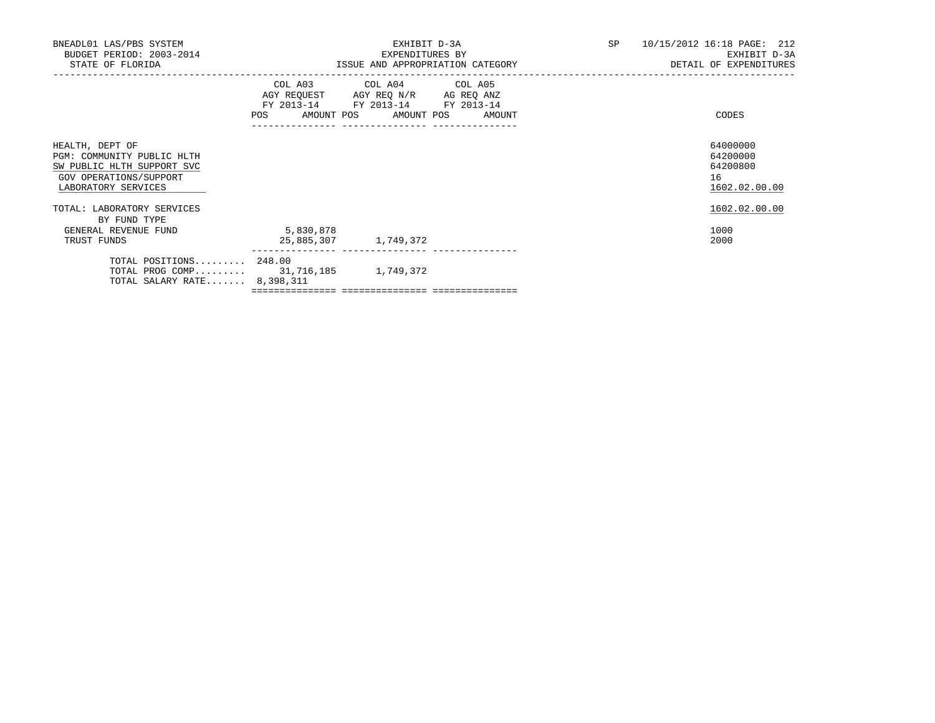| BNEADL01 LAS/PBS SYSTEM<br>BUDGET PERIOD: 2003-2014<br>STATE OF FLORIDA                                                      |                                   | EXHIBIT D-3A<br>EXPENDITURES BY<br>ISSUE AND APPROPRIATION CATEGORY                                                                   | SP 10/15/2012 16:18 PAGE: 212<br>EXHIBIT D-3A<br>DETAIL OF EXPENDITURES |
|------------------------------------------------------------------------------------------------------------------------------|-----------------------------------|---------------------------------------------------------------------------------------------------------------------------------------|-------------------------------------------------------------------------|
|                                                                                                                              |                                   | COL A03 COL A04 COL A05<br>AGY REQUEST AGY REQ N/R AG REQ ANZ<br>FY 2013-14 FY 2013-14 FY 2013-14<br>POS AMOUNT POS AMOUNT POS AMOUNT | CODES                                                                   |
| HEALTH, DEPT OF<br>PGM: COMMUNITY PUBLIC HLTH<br>SW PUBLIC HLTH SUPPORT SVC<br>GOV OPERATIONS/SUPPORT<br>LABORATORY SERVICES |                                   |                                                                                                                                       | 64000000<br>64200000<br>64200800<br>16<br>1602.02.00.00                 |
| TOTAL: LABORATORY SERVICES<br>BY FUND TYPE                                                                                   |                                   |                                                                                                                                       | 1602.02.00.00                                                           |
| GENERAL REVENUE FUND<br>TRUST FUNDS                                                                                          | 5,830,878<br>25,885,307 1,749,372 |                                                                                                                                       | 1000<br>2000                                                            |
| TOTAL POSITIONS 248.00<br>TOTAL PROG COMP 31,716,185 1,749,372<br>TOTAL SALARY RATE $8,398,311$                              |                                   |                                                                                                                                       |                                                                         |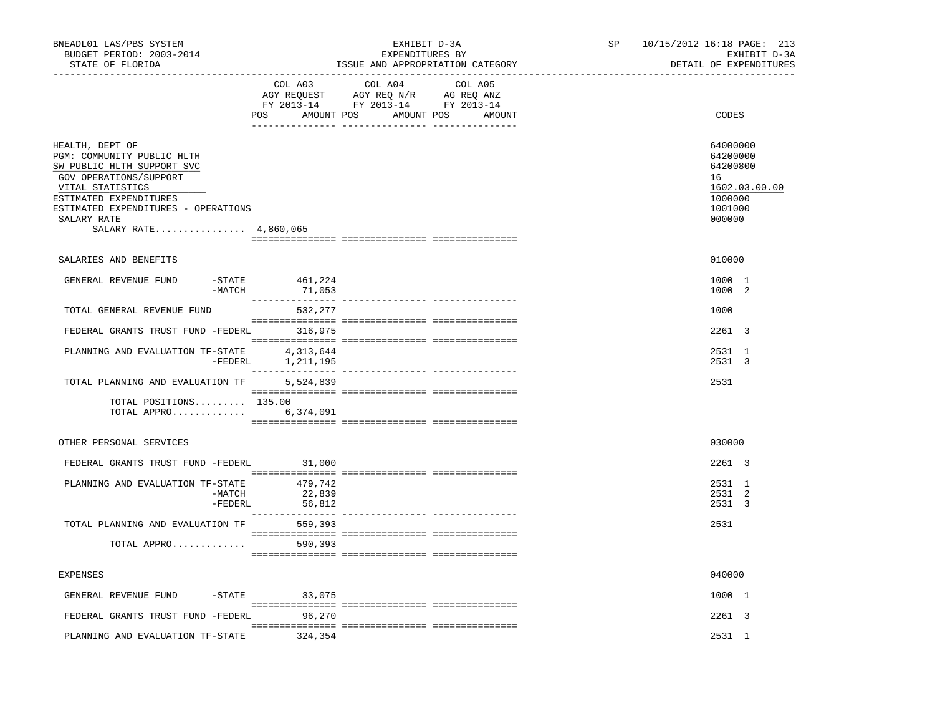| BNEADL01 LAS/PBS SYSTEM<br>BUDGET PERIOD: 2003-2014<br>STATE OF FLORIDA<br>____________________________________                                                                                                                    |                              | EXHIBIT D-3A<br>EXPENDITURES BY<br>ISSUE AND APPROPRIATION CATEGORY                                                        |        | SP 10/15/2012 16:18 PAGE: 213<br>EXHIBIT D-3A<br>DETAIL OF EXPENDITURES                 |
|------------------------------------------------------------------------------------------------------------------------------------------------------------------------------------------------------------------------------------|------------------------------|----------------------------------------------------------------------------------------------------------------------------|--------|-----------------------------------------------------------------------------------------|
|                                                                                                                                                                                                                                    | POS                          | COL A03 COL A04 COL A05<br>AGY REQUEST AGY REQ N/R AG REQ ANZ<br>FY 2013-14 FY 2013-14 FY 2013-14<br>AMOUNT POS AMOUNT POS | AMOUNT | CODES                                                                                   |
| HEALTH, DEPT OF<br>PGM: COMMUNITY PUBLIC HLTH<br>SW PUBLIC HLTH SUPPORT SVC<br>GOV OPERATIONS/SUPPORT<br>VITAL STATISTICS<br>ESTIMATED EXPENDITURES<br>ESTIMATED EXPENDITURES - OPERATIONS<br>SALARY RATE<br>SALARY RATE 4,860,065 |                              |                                                                                                                            |        | 64000000<br>64200000<br>64200800<br>16<br>1602.03.00.00<br>1000000<br>1001000<br>000000 |
| SALARIES AND BENEFITS                                                                                                                                                                                                              |                              |                                                                                                                            |        | 010000                                                                                  |
| GENERAL REVENUE FUND<br>-MATCH                                                                                                                                                                                                     | $-$ STATE 461, 224<br>71,053 |                                                                                                                            |        | 1000 1<br>1000 2                                                                        |
| TOTAL GENERAL REVENUE FUND                                                                                                                                                                                                         | 532,277                      |                                                                                                                            |        | 1000                                                                                    |
| FEDERAL GRANTS TRUST FUND -FEDERL 316,975                                                                                                                                                                                          |                              |                                                                                                                            |        | 2261 3                                                                                  |
| PLANNING AND EVALUATION TF-STATE $4,313,644$<br>-FEDERL $1,211,195$                                                                                                                                                                |                              |                                                                                                                            |        | 2531 1<br>2531 3                                                                        |
| TOTAL PLANNING AND EVALUATION TF 5,524,839                                                                                                                                                                                         |                              |                                                                                                                            |        | 2531                                                                                    |
| TOTAL POSITIONS 135.00<br>TOTAL APPRO 6,374,091                                                                                                                                                                                    |                              |                                                                                                                            |        |                                                                                         |
| OTHER PERSONAL SERVICES                                                                                                                                                                                                            |                              |                                                                                                                            |        | 030000                                                                                  |
| FEDERAL GRANTS TRUST FUND -FEDERL 31,000                                                                                                                                                                                           |                              |                                                                                                                            |        | 2261 3                                                                                  |
| PLANNING AND EVALUATION TF-STATE<br>-MATCH<br>$-FEDERL$                                                                                                                                                                            | 479,742<br>22,839<br>56,812  |                                                                                                                            |        | 2531 1<br>2531 2<br>2531 3                                                              |
| TOTAL PLANNING AND EVALUATION TF                                                                                                                                                                                                   | 559,393                      |                                                                                                                            |        | 2531                                                                                    |
| TOTAL APPRO                                                                                                                                                                                                                        | 590,393                      |                                                                                                                            |        |                                                                                         |
| EXPENSES                                                                                                                                                                                                                           |                              |                                                                                                                            |        | 040000                                                                                  |
| GENERAL REVENUE FUND -STATE 33,075                                                                                                                                                                                                 |                              |                                                                                                                            |        | 1000 1                                                                                  |
| FEDERAL GRANTS TRUST FUND -FEDERL                                                                                                                                                                                                  | 96,270                       |                                                                                                                            |        | 2261 3                                                                                  |
| PLANNING AND EVALUATION TF-STATE                                                                                                                                                                                                   | 324,354                      |                                                                                                                            |        | 2531 1                                                                                  |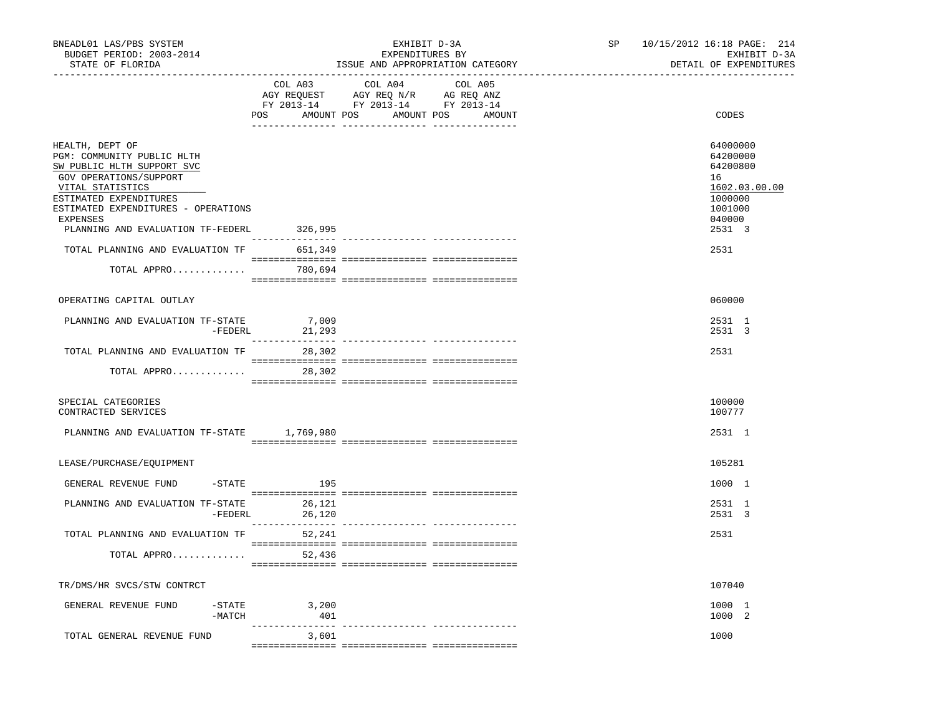| BNEADL01 LAS/PBS SYSTEM<br>BUDGET PERIOD: 2003-2014<br>STATE OF FLORIDA                                                                                                                                                                     | _______________________________ | EXHIBIT D-3A<br>EXPENDITURES BY<br>ISSUE AND APPROPRIATION CATEGORY<br>-----------------------------<br><u>----------------------</u> - | SP | 10/15/2012 16:18 PAGE: 214<br>EXHIBIT D-3A<br>DETAIL OF EXPENDITURES                              |
|---------------------------------------------------------------------------------------------------------------------------------------------------------------------------------------------------------------------------------------------|---------------------------------|-----------------------------------------------------------------------------------------------------------------------------------------|----|---------------------------------------------------------------------------------------------------|
|                                                                                                                                                                                                                                             | COL A03                         | COL A04<br>COL A05<br>CO AGY REQUEST AGY REQ N/R AG REQ ANZ<br>FY 2013-14 FY 2013-14 FY 2013-14<br>POS AMOUNT POS AMOUNT POS<br>AMOUNT  |    | CODES                                                                                             |
| HEALTH, DEPT OF<br>PGM: COMMUNITY PUBLIC HLTH<br>SW PUBLIC HLTH SUPPORT SVC<br>GOV OPERATIONS/SUPPORT<br>VITAL STATISTICS<br>ESTIMATED EXPENDITURES<br>ESTIMATED EXPENDITURES - OPERATIONS<br>EXPENSES<br>PLANNING AND EVALUATION TF-FEDERL | 326,995                         |                                                                                                                                         |    | 64000000<br>64200000<br>64200800<br>16<br>1602.03.00.00<br>1000000<br>1001000<br>040000<br>2531 3 |
| TOTAL PLANNING AND EVALUATION TF 651,349                                                                                                                                                                                                    |                                 |                                                                                                                                         |    | 2531                                                                                              |
| TOTAL APPRO 780,694                                                                                                                                                                                                                         |                                 |                                                                                                                                         |    |                                                                                                   |
|                                                                                                                                                                                                                                             |                                 |                                                                                                                                         |    |                                                                                                   |
| OPERATING CAPITAL OUTLAY                                                                                                                                                                                                                    |                                 |                                                                                                                                         |    | 060000                                                                                            |
| PLANNING AND EVALUATION TF-STATE<br>-FEDERL                                                                                                                                                                                                 | 7,009<br>21,293                 |                                                                                                                                         |    | 2531 1<br>2531 3                                                                                  |
| TOTAL PLANNING AND EVALUATION TF                                                                                                                                                                                                            | 28,302                          |                                                                                                                                         |    | 2531                                                                                              |
| TOTAL APPRO 28,302                                                                                                                                                                                                                          |                                 |                                                                                                                                         |    |                                                                                                   |
| SPECIAL CATEGORIES<br>CONTRACTED SERVICES                                                                                                                                                                                                   |                                 |                                                                                                                                         |    | 100000<br>100777                                                                                  |
| PLANNING AND EVALUATION TF-STATE 1,769,980                                                                                                                                                                                                  |                                 |                                                                                                                                         |    | 2531 1                                                                                            |
| LEASE/PURCHASE/EQUIPMENT                                                                                                                                                                                                                    |                                 |                                                                                                                                         |    | 105281                                                                                            |
| GENERAL REVENUE FUND                                                                                                                                                                                                                        | -STATE 195                      |                                                                                                                                         |    | 1000 1                                                                                            |
| PLANNING AND EVALUATION TF–STATE $26,121$<br>-FEDERL $26,120$                                                                                                                                                                               |                                 |                                                                                                                                         |    | 2531 1<br>2531 3                                                                                  |
| TOTAL PLANNING AND EVALUATION TF 52,241                                                                                                                                                                                                     |                                 |                                                                                                                                         |    | 2531                                                                                              |
| TOTAL APPRO                                                                                                                                                                                                                                 | 52,436                          |                                                                                                                                         |    |                                                                                                   |
| TR/DMS/HR SVCS/STW CONTRCT                                                                                                                                                                                                                  |                                 |                                                                                                                                         |    | 107040                                                                                            |
| $-$ STATE<br>GENERAL REVENUE FUND<br>$-MATCH$                                                                                                                                                                                               | 3,200<br>401                    |                                                                                                                                         |    | 1000 1<br>1000 2                                                                                  |
| TOTAL GENERAL REVENUE FUND                                                                                                                                                                                                                  | 3,601                           |                                                                                                                                         |    | 1000                                                                                              |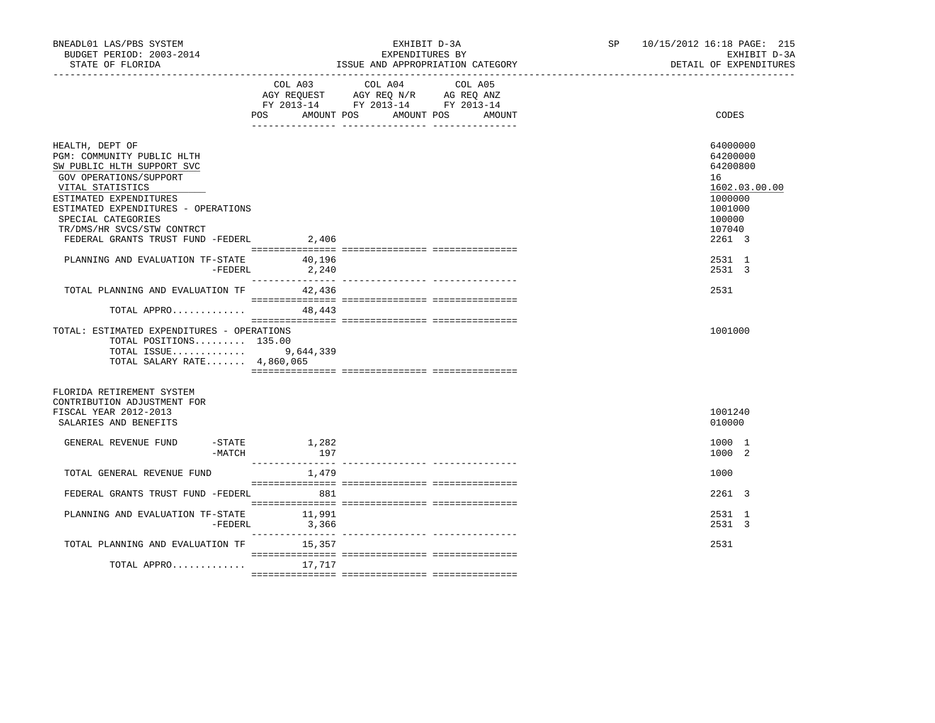| BNEADL01 LAS/PBS SYSTEM<br>BUDGET PERIOD: 2003-2014<br>STATE OF FLORIDA<br>-------------------                                                                                                                                                                                      |                          | EXHIBIT D-3A<br>EXPENDITURES BY<br>ISSUE AND APPROPRIATION CATEGORY                                                       | SP and the set of the set of the set of the set of the set of the set of the set of the set of the set of the set of the set of the set of the set of the set of the set of the set of the set of the set of the set of the se | 10/15/2012 16:18 PAGE: 215<br>EXHIBIT D-3A<br>DETAIL OF EXPENDITURES                                        |  |
|-------------------------------------------------------------------------------------------------------------------------------------------------------------------------------------------------------------------------------------------------------------------------------------|--------------------------|---------------------------------------------------------------------------------------------------------------------------|--------------------------------------------------------------------------------------------------------------------------------------------------------------------------------------------------------------------------------|-------------------------------------------------------------------------------------------------------------|--|
|                                                                                                                                                                                                                                                                                     | POS AMOUNT POS           | COL A03 COL A04<br>COL A05<br>AGY REQUEST AGY REQ N/R AG REQ ANZ<br>FY 2013-14 FY 2013-14 FY 2013-14<br>AMOUNT POS AMOUNT |                                                                                                                                                                                                                                | CODES                                                                                                       |  |
| HEALTH, DEPT OF<br>PGM: COMMUNITY PUBLIC HLTH<br>SW PUBLIC HLTH SUPPORT SVC<br>GOV OPERATIONS/SUPPORT<br>VITAL STATISTICS<br>ESTIMATED EXPENDITURES<br>ESTIMATED EXPENDITURES - OPERATIONS<br>SPECIAL CATEGORIES<br>TR/DMS/HR SVCS/STW CONTRCT<br>FEDERAL GRANTS TRUST FUND -FEDERL | 2,406                    |                                                                                                                           |                                                                                                                                                                                                                                | 64000000<br>64200000<br>64200800<br>16<br>1602.03.00.00<br>1000000<br>1001000<br>100000<br>107040<br>2261 3 |  |
| PLANNING AND EVALUATION TF-STATE<br>-FEDERL                                                                                                                                                                                                                                         | 40,196<br>2,240          |                                                                                                                           |                                                                                                                                                                                                                                | 2531 1<br>2531 3                                                                                            |  |
| TOTAL PLANNING AND EVALUATION TF                                                                                                                                                                                                                                                    | 42,436                   |                                                                                                                           |                                                                                                                                                                                                                                | 2531                                                                                                        |  |
| TOTAL APPRO<br>TOTAL: ESTIMATED EXPENDITURES - OPERATIONS<br>TOTAL POSITIONS 135.00<br>TOTAL ISSUE 9,644,339<br>TOTAL SALARY RATE 4,860,065                                                                                                                                         | 48,443                   |                                                                                                                           |                                                                                                                                                                                                                                | 1001000                                                                                                     |  |
| FLORIDA RETIREMENT SYSTEM<br>CONTRIBUTION ADJUSTMENT FOR<br>FISCAL YEAR 2012-2013<br>SALARIES AND BENEFITS                                                                                                                                                                          |                          |                                                                                                                           |                                                                                                                                                                                                                                | 1001240<br>010000                                                                                           |  |
| GENERAL REVENUE FUND<br>$-MATCH$                                                                                                                                                                                                                                                    | $-$ STATE $1,282$<br>197 |                                                                                                                           |                                                                                                                                                                                                                                | 1000 1<br>1000 2                                                                                            |  |
| TOTAL GENERAL REVENUE FUND                                                                                                                                                                                                                                                          | 1,479                    |                                                                                                                           |                                                                                                                                                                                                                                | 1000                                                                                                        |  |
| FEDERAL GRANTS TRUST FUND -FEDERL 881                                                                                                                                                                                                                                               |                          |                                                                                                                           |                                                                                                                                                                                                                                | 2261 3                                                                                                      |  |
| PLANNING AND EVALUATION TF-STATE 11,991<br>-FEDERL                                                                                                                                                                                                                                  | 3,366                    |                                                                                                                           |                                                                                                                                                                                                                                | 2531 1<br>2531 3                                                                                            |  |
| TOTAL PLANNING AND EVALUATION TF                                                                                                                                                                                                                                                    | 15,357                   |                                                                                                                           |                                                                                                                                                                                                                                | 2531                                                                                                        |  |
| TOTAL APPRO                                                                                                                                                                                                                                                                         | 17,717                   |                                                                                                                           |                                                                                                                                                                                                                                |                                                                                                             |  |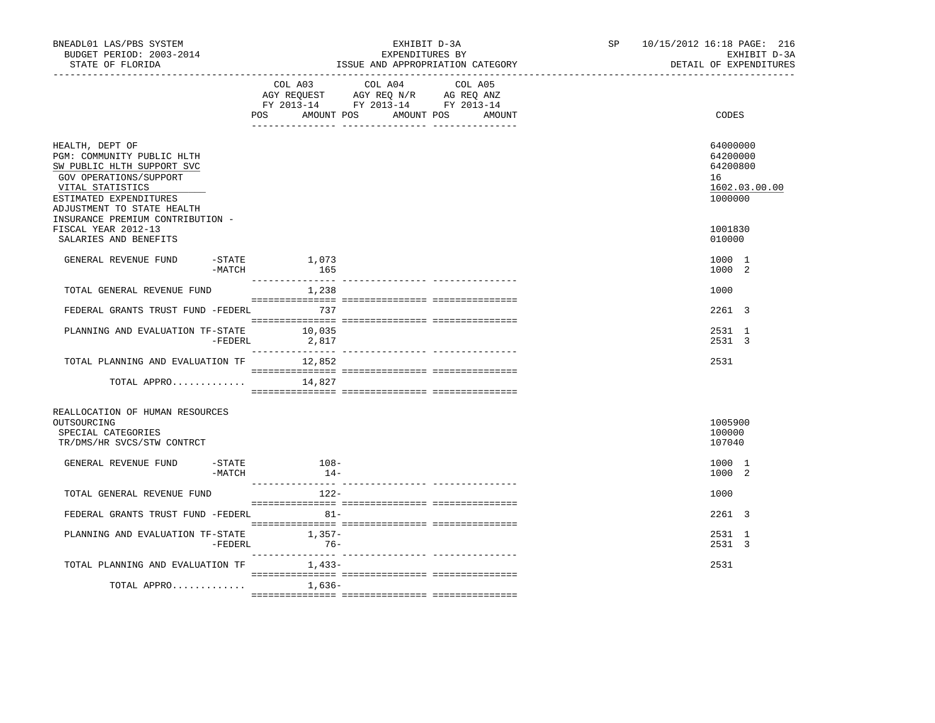| BNEADL01 LAS/PBS SYSTEM<br>BUDGET PERIOD: 2003-2014<br>STATE OF FLORIDA                                                                  |          | EXHIBIT D-3A<br>EXPENDITURES BY<br>ISSUE AND APPROPRIATION CATEGORY |                                                                                                                            |        |  | 10/15/2012 16:18 PAGE: 216<br>SP <sub>2</sub><br>EXHIBIT D-3A<br>DETAIL OF EXPENDITURES |  |
|------------------------------------------------------------------------------------------------------------------------------------------|----------|---------------------------------------------------------------------|----------------------------------------------------------------------------------------------------------------------------|--------|--|-----------------------------------------------------------------------------------------|--|
|                                                                                                                                          |          | POS                                                                 | COL A03 COL A04 COL A05<br>AGY REQUEST AGY REQ N/R AG REQ ANZ<br>FY 2013-14 FY 2013-14 FY 2013-14<br>AMOUNT POS AMOUNT POS | AMOUNT |  | CODES                                                                                   |  |
| HEALTH, DEPT OF<br>PGM: COMMUNITY PUBLIC HLTH<br>SW PUBLIC HLTH SUPPORT SVC<br>GOV OPERATIONS/SUPPORT<br>VITAL STATISTICS                |          |                                                                     |                                                                                                                            |        |  | 64000000<br>64200000<br>64200800<br>16<br>1602.03.00.00                                 |  |
| ESTIMATED EXPENDITURES<br>ADJUSTMENT TO STATE HEALTH<br>INSURANCE PREMIUM CONTRIBUTION -<br>FISCAL YEAR 2012-13<br>SALARIES AND BENEFITS |          |                                                                     |                                                                                                                            |        |  | 1000000<br>1001830<br>010000                                                            |  |
| GENERAL REVENUE FUND                                                                                                                     | $-MATCH$ | $-STATE$ 1,073<br>165                                               |                                                                                                                            |        |  | 1000 1<br>1000 2                                                                        |  |
| TOTAL GENERAL REVENUE FUND                                                                                                               |          | 1,238                                                               |                                                                                                                            |        |  | 1000                                                                                    |  |
| FEDERAL GRANTS TRUST FUND -FEDERL 737                                                                                                    |          |                                                                     |                                                                                                                            |        |  | 2261 3                                                                                  |  |
| PLANNING AND EVALUATION TF-STATE                                                                                                         |          | 10,035<br>$-FEDERL$ 2,817                                           |                                                                                                                            |        |  | 2531 1<br>2531 3                                                                        |  |
| TOTAL PLANNING AND EVALUATION TF 12,852                                                                                                  |          |                                                                     |                                                                                                                            |        |  | 2531                                                                                    |  |
| TOTAL APPRO                                                                                                                              |          | 14,827                                                              |                                                                                                                            |        |  |                                                                                         |  |
| REALLOCATION OF HUMAN RESOURCES<br>OUTSOURCING<br>SPECIAL CATEGORIES<br>TR/DMS/HR SVCS/STW CONTRCT                                       |          |                                                                     |                                                                                                                            |        |  | 1005900<br>100000<br>107040                                                             |  |
| GENERAL REVENUE FUND                                                                                                                     | -MATCH   | $-$ STATE $108 -$<br>$14-$                                          |                                                                                                                            |        |  | 1000 1<br>1000 2                                                                        |  |
| TOTAL GENERAL REVENUE FUND                                                                                                               |          | 122-                                                                |                                                                                                                            |        |  | 1000                                                                                    |  |
| FEDERAL GRANTS TRUST FUND -FEDERL                                                                                                        |          | $81-$                                                               |                                                                                                                            |        |  | 2261 3                                                                                  |  |
| PLANNING AND EVALUATION TF-STATE 1,357-                                                                                                  | -FEDERL  | $76 -$                                                              |                                                                                                                            |        |  | 2531 1<br>2531 3                                                                        |  |
| TOTAL PLANNING AND EVALUATION TF                                                                                                         |          | $1.433-$                                                            |                                                                                                                            |        |  | 2531                                                                                    |  |
| TOTAL APPRO                                                                                                                              |          | 1,636-                                                              |                                                                                                                            |        |  |                                                                                         |  |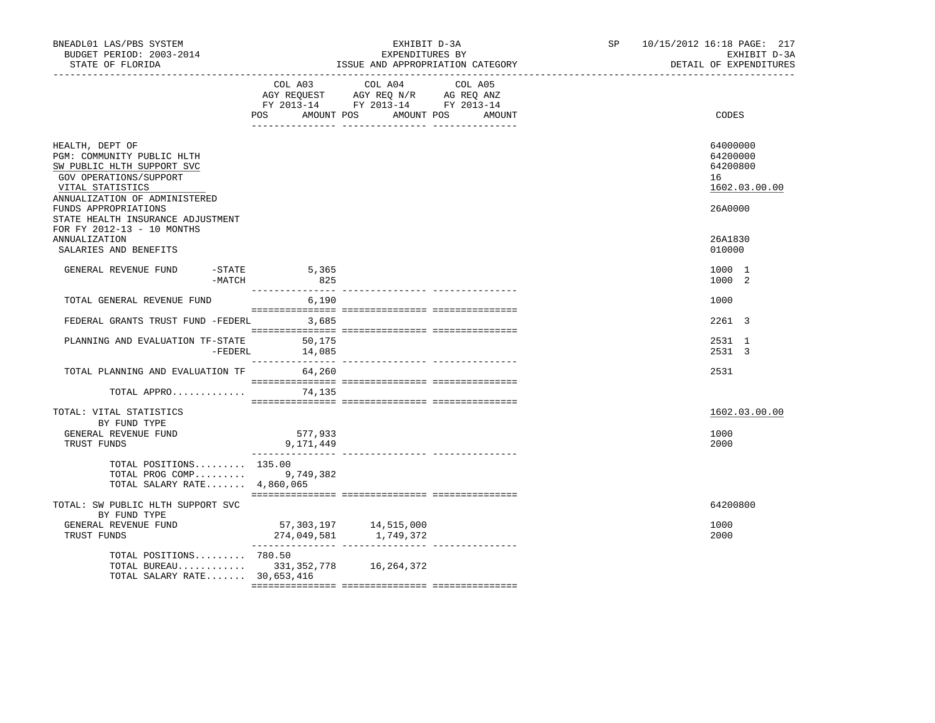| BNEADL01 LAS/PBS SYSTEM<br>BUDGET PERIOD: 2003-2014<br>STATE OF FLORIDA                                                                                                                                                 |                        | EXHIBIT D-3A<br>EXPENDITURES BY<br>ISSUE AND APPROPRIATION CATEGORY                                                                  | SP and the set of the set of the set of the set of the set of the set of the set of the set of the set of the set of the set of the set of the set of the set of the set of the set of the set of the set of the set of the se | 10/15/2012 16:18 PAGE: 217<br>EXHIBIT D-3A<br>DETAIL OF EXPENDITURES |
|-------------------------------------------------------------------------------------------------------------------------------------------------------------------------------------------------------------------------|------------------------|--------------------------------------------------------------------------------------------------------------------------------------|--------------------------------------------------------------------------------------------------------------------------------------------------------------------------------------------------------------------------------|----------------------------------------------------------------------|
|                                                                                                                                                                                                                         | <b>POS</b>             | COL A03 COL A04 COL A05<br>AGY REQUEST AGY REQ N/R AG REQ ANZ<br>FY 2013-14 FY 2013-14 FY 2013-14<br>AMOUNT POS AMOUNT POS<br>AMOUNT |                                                                                                                                                                                                                                | CODES                                                                |
| HEALTH, DEPT OF<br>PGM: COMMUNITY PUBLIC HLTH<br>SW PUBLIC HLTH SUPPORT SVC<br>GOV OPERATIONS/SUPPORT<br>VITAL STATISTICS<br>ANNUALIZATION OF ADMINISTERED<br>FUNDS APPROPRIATIONS<br>STATE HEALTH INSURANCE ADJUSTMENT |                        |                                                                                                                                      |                                                                                                                                                                                                                                | 64000000<br>64200000<br>64200800<br>16<br>1602.03.00.00<br>26A0000   |
| FOR FY 2012-13 - 10 MONTHS<br>ANNUALIZATION<br>SALARIES AND BENEFITS                                                                                                                                                    |                        |                                                                                                                                      |                                                                                                                                                                                                                                | 26A1830<br>010000                                                    |
| GENERAL REVENUE FUND<br>$-MATCH$                                                                                                                                                                                        | $-$ STATE 5,365<br>825 |                                                                                                                                      |                                                                                                                                                                                                                                | 1000 1<br>1000 2                                                     |
| TOTAL GENERAL REVENUE FUND                                                                                                                                                                                              | 6,190                  |                                                                                                                                      |                                                                                                                                                                                                                                | 1000                                                                 |
| FEDERAL GRANTS TRUST FUND -FEDERL 3,685                                                                                                                                                                                 |                        |                                                                                                                                      |                                                                                                                                                                                                                                | 2261 3                                                               |
| PLANNING AND EVALUATION TF-STATE 50,175<br>-FEDERL                                                                                                                                                                      | 14,085                 |                                                                                                                                      |                                                                                                                                                                                                                                | 2531 1<br>2531 3                                                     |
| TOTAL PLANNING AND EVALUATION TF 64,260                                                                                                                                                                                 |                        |                                                                                                                                      |                                                                                                                                                                                                                                | 2531                                                                 |
| TOTAL APPRO $74,135$                                                                                                                                                                                                    |                        |                                                                                                                                      |                                                                                                                                                                                                                                |                                                                      |
| TOTAL: VITAL STATISTICS<br>BY FUND TYPE<br>GENERAL REVENUE FUND                                                                                                                                                         | 577,933                |                                                                                                                                      |                                                                                                                                                                                                                                | 1602.03.00.00<br>1000                                                |
| TRUST FUNDS                                                                                                                                                                                                             | 9,171,449              |                                                                                                                                      |                                                                                                                                                                                                                                | 2000                                                                 |
| TOTAL POSITIONS 135.00<br>TOTAL PROG COMP 9,749,382<br>TOTAL SALARY RATE 4,860,065                                                                                                                                      |                        |                                                                                                                                      |                                                                                                                                                                                                                                |                                                                      |
| TOTAL: SW PUBLIC HLTH SUPPORT SVC<br>BY FUND TYPE                                                                                                                                                                       |                        |                                                                                                                                      |                                                                                                                                                                                                                                | 64200800                                                             |
| GENERAL REVENUE FUND<br>TRUST FUNDS                                                                                                                                                                                     |                        |                                                                                                                                      |                                                                                                                                                                                                                                | 1000<br>2000                                                         |
| TOTAL POSITIONS 780.50<br>TOTAL BUREAU 331,352,778 16,264,372<br>TOTAL SALARY RATE 30,653,416                                                                                                                           |                        |                                                                                                                                      |                                                                                                                                                                                                                                |                                                                      |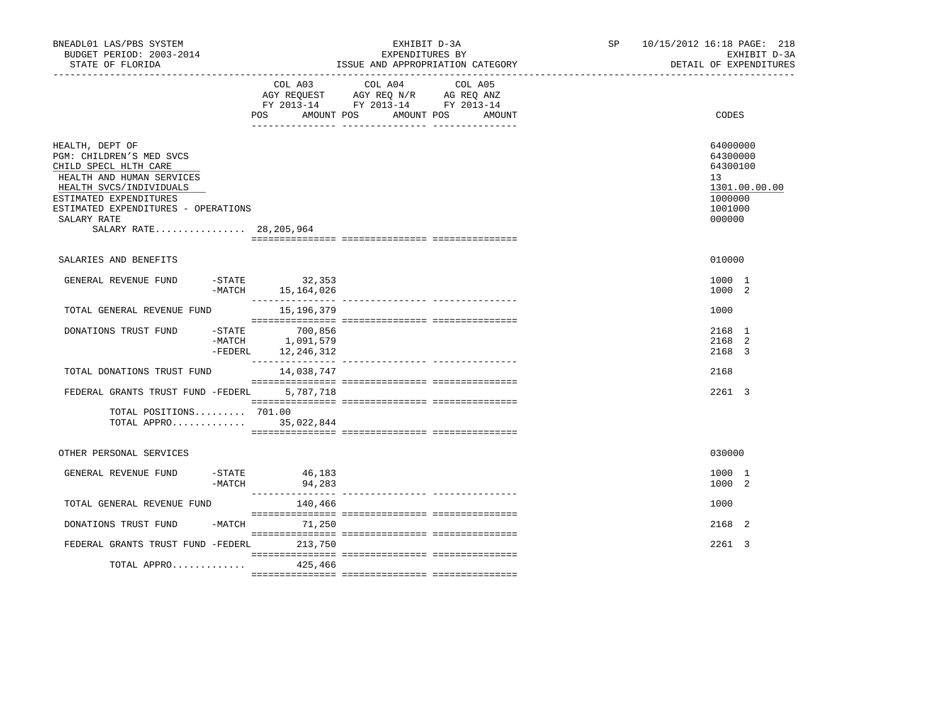| BNEADL01 LAS/PBS SYSTEM<br>BUDGET PERIOD: 2003-2014<br>STATE OF FLORIDA                                                                                                                                                                  |                      |                                           | EXPENDITURES BY                                                                                   | EXHIBIT D-3A<br>ISSUE AND APPROPRIATION CATEGORY | SP <sub>2</sub> | 10/15/2012 16:18 PAGE: 218<br>EXHIBIT D-3A<br>DETAIL OF EXPENDITURES                    |
|------------------------------------------------------------------------------------------------------------------------------------------------------------------------------------------------------------------------------------------|----------------------|-------------------------------------------|---------------------------------------------------------------------------------------------------|--------------------------------------------------|-----------------|-----------------------------------------------------------------------------------------|
|                                                                                                                                                                                                                                          |                      | POS<br>AMOUNT POS                         | COL A03 COL A04 COL A05<br>AGY REQUEST AGY REQ N/R AG REQ ANZ<br>FY 2013-14 FY 2013-14 FY 2013-14 | AMOUNT POS<br>AMOUNT                             |                 | CODES                                                                                   |
| HEALTH, DEPT OF<br>PGM: CHILDREN'S MED SVCS<br>CHILD SPECL HLTH CARE<br>HEALTH AND HUMAN SERVICES<br>HEALTH SVCS/INDIVIDUALS<br>ESTIMATED EXPENDITURES<br>ESTIMATED EXPENDITURES - OPERATIONS<br>SALARY RATE<br>SALARY RATE 28, 205, 964 |                      |                                           |                                                                                                   |                                                  |                 | 64000000<br>64300000<br>64300100<br>13<br>1301.00.00.00<br>1000000<br>1001000<br>000000 |
| SALARIES AND BENEFITS                                                                                                                                                                                                                    |                      |                                           |                                                                                                   |                                                  |                 | 010000                                                                                  |
| GENERAL REVENUE FUND                                                                                                                                                                                                                     | $-$ STATE            | 32,353<br>-MATCH 15, 164, 026             |                                                                                                   |                                                  |                 | 1000 1<br>1000 2                                                                        |
| TOTAL GENERAL REVENUE FUND                                                                                                                                                                                                               |                      | 15,196,379                                |                                                                                                   |                                                  |                 | 1000                                                                                    |
| DONATIONS TRUST FUND                                                                                                                                                                                                                     | $-$ STATE<br>-FEDERL | 700,856<br>-MATCH 1,091,579<br>12,246,312 |                                                                                                   |                                                  |                 | 2168 1<br>2168 2<br>2168 3                                                              |
| TOTAL DONATIONS TRUST FUND                                                                                                                                                                                                               |                      | 14,038,747                                |                                                                                                   |                                                  |                 | 2168                                                                                    |
| FEDERAL GRANTS TRUST FUND -FEDERL                                                                                                                                                                                                        |                      | 5,787,718                                 |                                                                                                   |                                                  |                 | 2261 3                                                                                  |
| TOTAL POSITIONS 701.00<br>TOTAL APPRO 35,022,844                                                                                                                                                                                         |                      |                                           |                                                                                                   |                                                  |                 |                                                                                         |
| OTHER PERSONAL SERVICES                                                                                                                                                                                                                  |                      |                                           |                                                                                                   |                                                  |                 | 030000                                                                                  |
| GENERAL REVENUE FUND                                                                                                                                                                                                                     | $-$ STATE<br>-MATCH  | 46,183<br>94,283                          |                                                                                                   |                                                  |                 | 1000 1<br>1000 2                                                                        |
| TOTAL GENERAL REVENUE FUND                                                                                                                                                                                                               |                      | 140,466                                   |                                                                                                   |                                                  |                 | 1000                                                                                    |
| DONATIONS TRUST FUND                                                                                                                                                                                                                     |                      | -MATCH 71,250                             |                                                                                                   |                                                  |                 | 2168 2                                                                                  |
| FEDERAL GRANTS TRUST FUND -FEDERL 213,750<br>TOTAL APPRO                                                                                                                                                                                 |                      | 425,466                                   |                                                                                                   |                                                  |                 | 2261 3                                                                                  |
|                                                                                                                                                                                                                                          |                      |                                           |                                                                                                   |                                                  |                 |                                                                                         |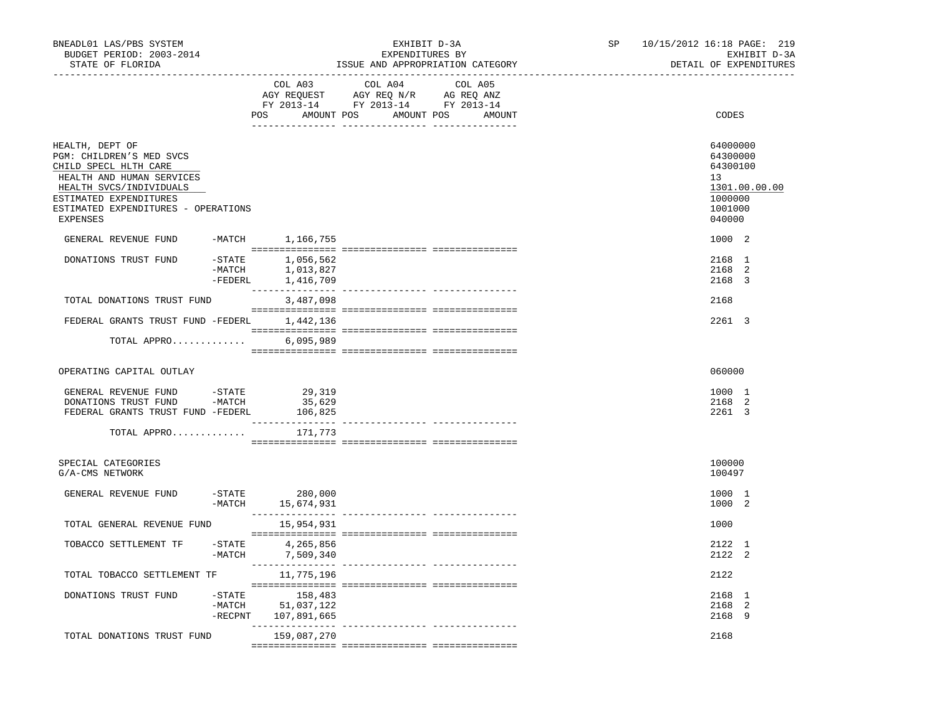| BNEADL01 LAS/PBS SYSTEM<br>BUDGET PERIOD: 2003-2014<br>STATE OF FLORIDA                                                                                                                                                                                                                 | EXHIBIT D-3A<br>EXPENDITURES BY<br>ISSUE AND APPROPRIATION CATEGORY                                                                         | 10/15/2012 16:18 PAGE: 219<br>SP<br>EXHIBIT D-3A<br>DETAIL OF EXPENDITURES              |
|-----------------------------------------------------------------------------------------------------------------------------------------------------------------------------------------------------------------------------------------------------------------------------------------|---------------------------------------------------------------------------------------------------------------------------------------------|-----------------------------------------------------------------------------------------|
|                                                                                                                                                                                                                                                                                         | COL A03<br>COL A04<br>COL A05<br>AGY REQUEST AGY REQ N/R AG REQ ANZ<br>FY 2013-14 FY 2013-14 FY 2013-14<br>POS AMOUNT POS AMOUNT POS AMOUNT | CODES                                                                                   |
| HEALTH, DEPT OF<br>PGM: CHILDREN'S MED SVCS<br>CHILD SPECL HLTH CARE<br>HEALTH AND HUMAN SERVICES<br>HEALTH SVCS/INDIVIDUALS<br>ESTIMATED EXPENDITURES<br>ESTIMATED EXPENDITURES - OPERATIONS<br>EXPENSES                                                                               |                                                                                                                                             | 64000000<br>64300000<br>64300100<br>13<br>1301.00.00.00<br>1000000<br>1001000<br>040000 |
| GENERAL REVENUE FUND -MATCH 1,166,755                                                                                                                                                                                                                                                   |                                                                                                                                             | 1000 2                                                                                  |
| DONATIONS TRUST FUND                                                                                                                                                                                                                                                                    | $-$ STATE $1,056,562$<br>-MATCH 1,013,827<br>-FEDERL 1,416,709                                                                              | 2168 1<br>2168 2<br>2168 3                                                              |
| TOTAL DONATIONS TRUST FUND                                                                                                                                                                                                                                                              | 3,487,098                                                                                                                                   | 2168                                                                                    |
| FEDERAL GRANTS TRUST FUND -FEDERL 1,442,136                                                                                                                                                                                                                                             |                                                                                                                                             | 2261 3                                                                                  |
| TOTAL APPRO                                                                                                                                                                                                                                                                             | 6,095,989                                                                                                                                   |                                                                                         |
| OPERATING CAPITAL OUTLAY                                                                                                                                                                                                                                                                |                                                                                                                                             | 060000                                                                                  |
| $\begin{tabular}{lllllllllll} \multicolumn{2}{c}{\textbf{GENERAL}} &\textbf{REVENUE} & \textbf{FUND} & & -\textbf{STATE} & & & 29\, ,319 \\ \textbf{DOMATIONS} & \textbf{FUST} & \textbf{FUND} & & -\textbf{MATCH} & & 35\, ,629 \\ \end{tabular}$<br>FEDERAL GRANTS TRUST FUND -FEDERL | 106,825                                                                                                                                     | 1000 1<br>2168 2<br>2261 3                                                              |
| TOTAL APPRO                                                                                                                                                                                                                                                                             | 171,773                                                                                                                                     |                                                                                         |
| SPECIAL CATEGORIES<br>G/A-CMS NETWORK                                                                                                                                                                                                                                                   |                                                                                                                                             | 100000<br>100497                                                                        |
| GENERAL REVENUE FUND                                                                                                                                                                                                                                                                    | $-STATE$ 280,000<br>$-MATCH$ 15,674,931                                                                                                     | 1000 1<br>1000 2                                                                        |
| TOTAL GENERAL REVENUE FUND                                                                                                                                                                                                                                                              | 15,954,931                                                                                                                                  | 1000                                                                                    |
| TOBACCO SETTLEMENT TF                                                                                                                                                                                                                                                                   | -STATE 4,265,856<br>-MATCH 7,509,340                                                                                                        | 2122 1<br>2122 2                                                                        |
| TOTAL TOBACCO SETTLEMENT TF                                                                                                                                                                                                                                                             | 11,775,196                                                                                                                                  | 2122                                                                                    |
| $-$ STATE<br>DONATIONS TRUST FUND<br>$-MATCH$<br>$-$ RECPNT                                                                                                                                                                                                                             | 158,483<br>51,037,122<br>107,891,665                                                                                                        | 2168 1<br>2168 2<br>2168 9                                                              |
| TOTAL DONATIONS TRUST FUND                                                                                                                                                                                                                                                              | -------------- ---------------<br>159,087,270                                                                                               | 2168                                                                                    |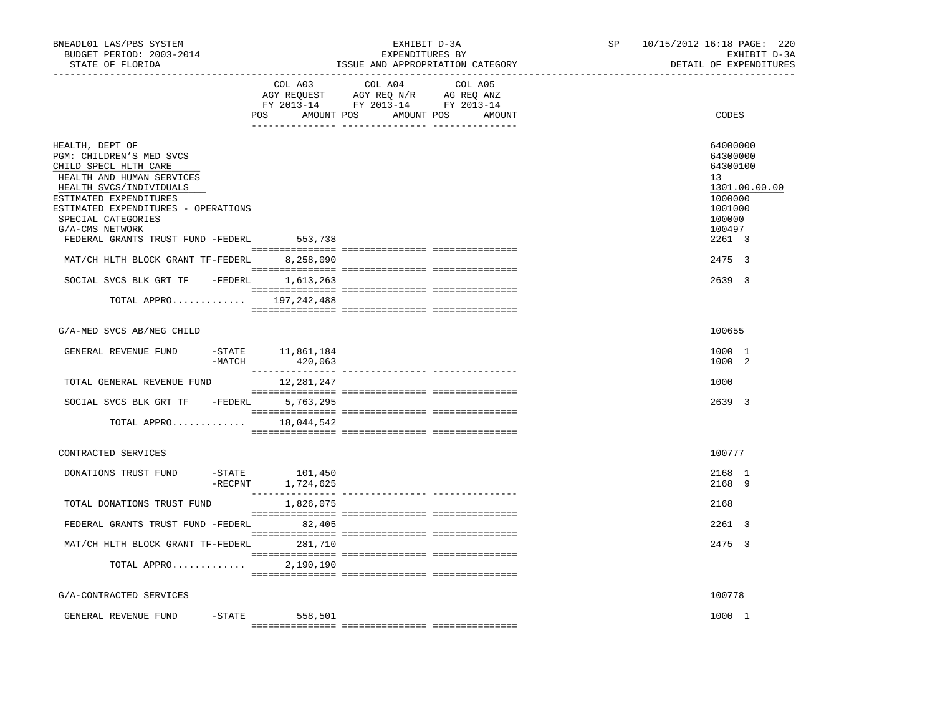| BNEADL01 LAS/PBS SYSTEM<br>EXHIBIT D-3A<br>BUDGET PERIOD: 2003-2014<br>EXPENDITURES BY<br>STATE OF FLORIDA<br>ISSUE AND APPROPRIATION CATEGORY |         | SP                                                                                                                                                                                                                              | 10/15/2012 16:18 PAGE: 220 |         | EXHIBIT D-3A<br>DETAIL OF EXPENDITURES |  |                                        |               |
|------------------------------------------------------------------------------------------------------------------------------------------------|---------|---------------------------------------------------------------------------------------------------------------------------------------------------------------------------------------------------------------------------------|----------------------------|---------|----------------------------------------|--|----------------------------------------|---------------|
|                                                                                                                                                |         | COL A03                                                                                                                                                                                                                         | COL A04                    | COL A05 |                                        |  |                                        |               |
|                                                                                                                                                |         | $\begin{tabular}{lllllll} \bf AGY \,\, REQUEST \,\, &\bf AGY \,\, REQ \,\, N/R &\bf AG \,\, REQ \,\, ANZ \\ \bf FY \,\, 2013-14 &\bf FY \,\, 2013-14 &\bf FY \,\, 2013-14 \\ \end{tabular}$<br>POS AMOUNT POS AMOUNT POS AMOUNT |                            |         |                                        |  | CODES                                  |               |
|                                                                                                                                                |         |                                                                                                                                                                                                                                 |                            |         |                                        |  |                                        |               |
| HEALTH, DEPT OF<br>PGM: CHILDREN'S MED SVCS<br>CHILD SPECL HLTH CARE<br>HEALTH AND HUMAN SERVICES<br>HEALTH SVCS/INDIVIDUALS                   |         |                                                                                                                                                                                                                                 |                            |         |                                        |  | 64000000<br>64300000<br>64300100<br>13 | 1301.00.00.00 |
| ESTIMATED EXPENDITURES<br>ESTIMATED EXPENDITURES - OPERATIONS<br>SPECIAL CATEGORIES<br>G/A-CMS NETWORK                                         |         |                                                                                                                                                                                                                                 |                            |         |                                        |  | 1000000<br>1001000<br>100000<br>100497 |               |
| FEDERAL GRANTS TRUST FUND -FEDERL 553,738                                                                                                      |         |                                                                                                                                                                                                                                 |                            |         |                                        |  | 2261 3                                 |               |
| MAT/CH HLTH BLOCK GRANT TF-FEDERL 8,258,090                                                                                                    |         |                                                                                                                                                                                                                                 |                            |         |                                        |  | 2475 3                                 |               |
| SOCIAL SVCS BLK GRT TF - FEDERL 1,613,263                                                                                                      |         |                                                                                                                                                                                                                                 |                            |         |                                        |  | 2639 3                                 |               |
| TOTAL APPRO 197,242,488                                                                                                                        |         |                                                                                                                                                                                                                                 |                            |         |                                        |  |                                        |               |
| G/A-MED SVCS AB/NEG CHILD                                                                                                                      |         |                                                                                                                                                                                                                                 |                            |         |                                        |  | 100655                                 |               |
| GENERAL REVENUE FUND - STATE 11,861,184                                                                                                        | -MATCH  | 420,063                                                                                                                                                                                                                         |                            |         |                                        |  | 1000 1<br>1000 2                       |               |
| TOTAL GENERAL REVENUE FUND                                                                                                                     |         | 12,281,247                                                                                                                                                                                                                      |                            |         |                                        |  | 1000                                   |               |
| SOCIAL SVCS BLK GRT TF - FEDERL 5,763,295                                                                                                      |         |                                                                                                                                                                                                                                 |                            |         |                                        |  | 2639 3                                 |               |
| TOTAL APPRO                                                                                                                                    |         | 18,044,542                                                                                                                                                                                                                      |                            |         |                                        |  |                                        |               |
| CONTRACTED SERVICES                                                                                                                            |         |                                                                                                                                                                                                                                 |                            |         |                                        |  | 100777                                 |               |
| DONATIONS TRUST FUND                                                                                                                           | -RECPNT | -STATE 101,450<br>1,724,625                                                                                                                                                                                                     |                            |         |                                        |  | 2168 1<br>2168 9                       |               |
| TOTAL DONATIONS TRUST FUND                                                                                                                     |         | 1,826,075                                                                                                                                                                                                                       |                            |         |                                        |  | 2168                                   |               |
| FEDERAL GRANTS TRUST FUND -FEDERL 82,405                                                                                                       |         |                                                                                                                                                                                                                                 |                            |         |                                        |  | 2261 3                                 |               |
| MAT/CH HLTH BLOCK GRANT TF-FEDERL 281,710                                                                                                      |         |                                                                                                                                                                                                                                 |                            |         |                                        |  | 2475 3                                 |               |
| TOTAL APPRO                                                                                                                                    |         | 2,190,190                                                                                                                                                                                                                       |                            |         |                                        |  |                                        |               |
| G/A-CONTRACTED SERVICES                                                                                                                        |         |                                                                                                                                                                                                                                 |                            |         |                                        |  | 100778                                 |               |
| GENERAL REVENUE FUND                                                                                                                           |         | $-STATE$ 558,501                                                                                                                                                                                                                |                            |         |                                        |  | 1000 1                                 |               |
|                                                                                                                                                |         |                                                                                                                                                                                                                                 |                            |         |                                        |  |                                        |               |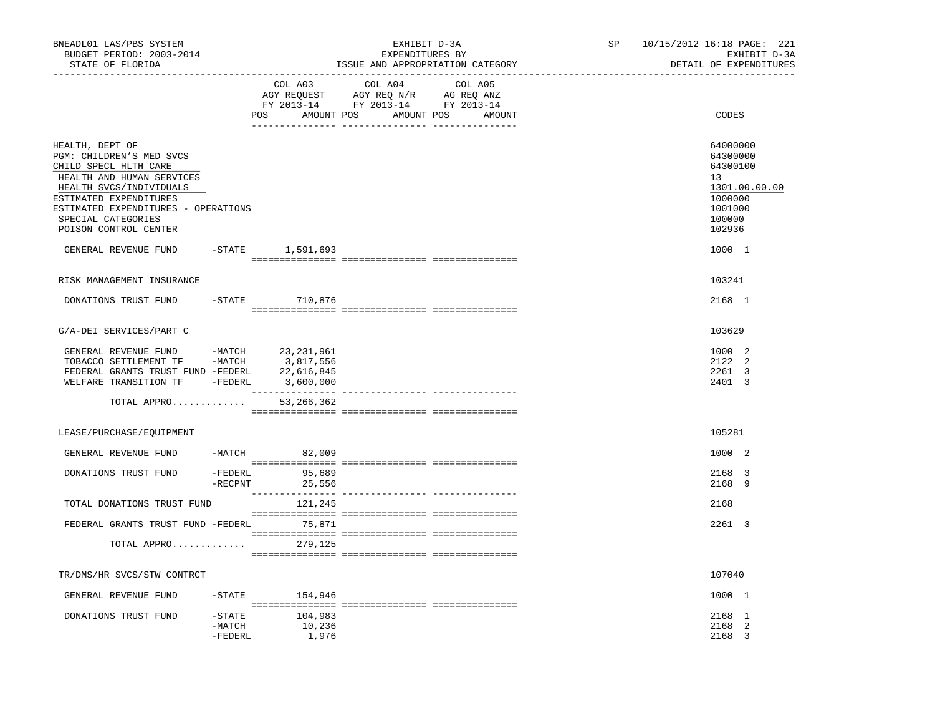| BNEADL01 LAS/PBS SYSTEM<br>BUDGET PERIOD: 2003-2014<br>STATE OF FLORIDA                                                                                                                                                                      |                                  |                            | EXHIBIT D-3A<br>EXPENDITURES BY<br>ISSUE AND APPROPRIATION CATEGORY                                                                                                                                                                                                 | SP 10/15/2012 16:18 PAGE: 221<br>EXHIBIT D-3A<br>DETAIL OF EXPENDITURES                           |
|----------------------------------------------------------------------------------------------------------------------------------------------------------------------------------------------------------------------------------------------|----------------------------------|----------------------------|---------------------------------------------------------------------------------------------------------------------------------------------------------------------------------------------------------------------------------------------------------------------|---------------------------------------------------------------------------------------------------|
|                                                                                                                                                                                                                                              | POS                              |                            | COL A03 COL A04 COL A05<br>$\begin{tabular}{lllllllll} \bf AGY \,\,\, REQUEST \,\,\, & \bf AGY \,\, REQ \,\, N/R & \,\, AG \,\, REQ \,\, ANZ \\ \bf FY \,\, 2013-14 & \,\, FY \,\, 2013-14 & \,\, FY \,\, 2013-14 \\ \end{tabular}$<br>AMOUNT POS AMOUNT POS AMOUNT | CODES                                                                                             |
| HEALTH, DEPT OF<br>PGM: CHILDREN'S MED SVCS<br>CHILD SPECL HLTH CARE<br>HEALTH AND HUMAN SERVICES<br>HEALTH SVCS/INDIVIDUALS<br>ESTIMATED EXPENDITURES<br>ESTIMATED EXPENDITURES - OPERATIONS<br>SPECIAL CATEGORIES<br>POISON CONTROL CENTER |                                  |                            |                                                                                                                                                                                                                                                                     | 64000000<br>64300000<br>64300100<br>13<br>1301.00.00.00<br>1000000<br>1001000<br>100000<br>102936 |
| GENERAL REVENUE FUND -STATE 1,591,693                                                                                                                                                                                                        |                                  |                            |                                                                                                                                                                                                                                                                     | 1000 1                                                                                            |
| RISK MANAGEMENT INSURANCE                                                                                                                                                                                                                    |                                  |                            |                                                                                                                                                                                                                                                                     | 103241                                                                                            |
| DONATIONS TRUST FUND                                                                                                                                                                                                                         |                                  | -STATE 710,876             |                                                                                                                                                                                                                                                                     | 2168 1                                                                                            |
| G/A-DEI SERVICES/PART C                                                                                                                                                                                                                      |                                  |                            |                                                                                                                                                                                                                                                                     | 103629                                                                                            |
| GENERAL REVENUE FUND -MATCH 23,231,961<br>TOBACCO SETTLEMENT TF -MATCH 3,817,556<br>FEDERAL GRANTS TRUST FUND -FEDERL 22,616,845<br>WELFARE TRANSITION TF -FEDERL 3,600,000<br>TOTAL APPRO                                                   |                                  | 53,266,362                 |                                                                                                                                                                                                                                                                     | 1000 2<br>2122 2<br>2261 3<br>2401 3                                                              |
| LEASE/PURCHASE/EQUIPMENT                                                                                                                                                                                                                     |                                  |                            |                                                                                                                                                                                                                                                                     | 105281                                                                                            |
| GENERAL REVENUE FUND                                                                                                                                                                                                                         |                                  | -MATCH 82,009              |                                                                                                                                                                                                                                                                     | 1000 2                                                                                            |
| DONATIONS TRUST FUND                                                                                                                                                                                                                         | -RECPNT                          | -FEDERL 95,689<br>25,556   |                                                                                                                                                                                                                                                                     | 2168 3<br>2168 9                                                                                  |
| TOTAL DONATIONS TRUST FUND                                                                                                                                                                                                                   |                                  | 121,245                    |                                                                                                                                                                                                                                                                     | 2168                                                                                              |
| FEDERAL GRANTS TRUST FUND -FEDERL 75,871                                                                                                                                                                                                     |                                  |                            |                                                                                                                                                                                                                                                                     | 2261 3                                                                                            |
| TOTAL APPRO 279,125                                                                                                                                                                                                                          |                                  |                            |                                                                                                                                                                                                                                                                     |                                                                                                   |
| TR/DMS/HR SVCS/STW CONTRCT                                                                                                                                                                                                                   |                                  |                            |                                                                                                                                                                                                                                                                     | 107040                                                                                            |
| GENERAL REVENUE FUND                                                                                                                                                                                                                         | $-$ STATE                        | 154,946                    |                                                                                                                                                                                                                                                                     | 1000 1                                                                                            |
| DONATIONS TRUST FUND                                                                                                                                                                                                                         | $-$ STATE<br>$-MATCH$<br>-FEDERL | 104,983<br>10,236<br>1,976 |                                                                                                                                                                                                                                                                     | 2168 1<br>2168 2<br>2168 3                                                                        |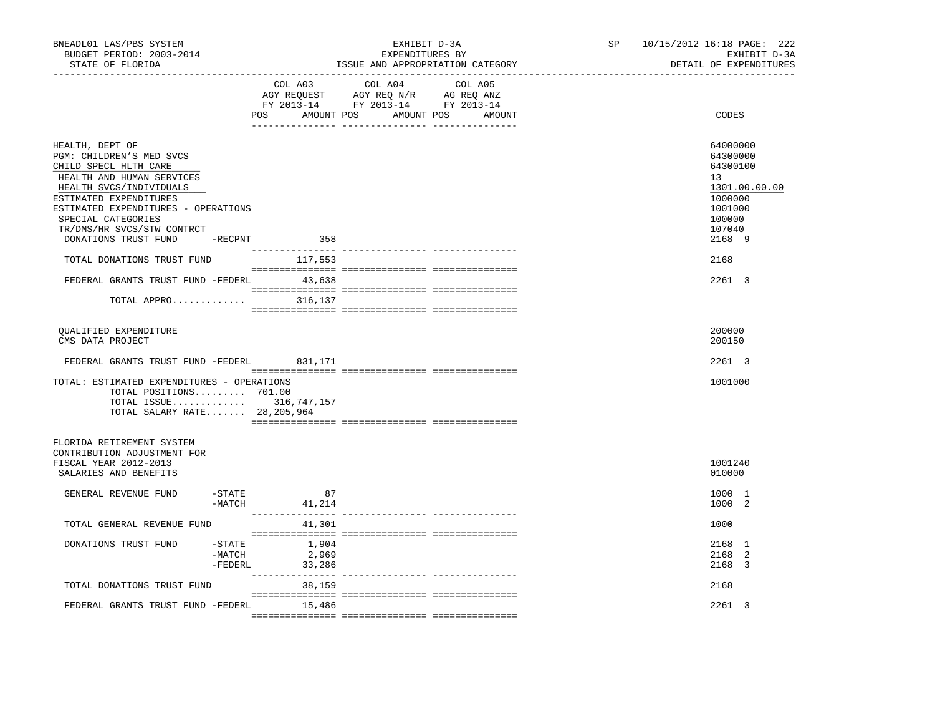| BNEADL01 LAS/PBS SYSTEM<br>BUDGET PERIOD: 2003-2014<br>STATE OF FLORIDA<br>----------------                                                                                                                                                       |                                  |                          | EXHIBIT D-3A<br>EXPENDITURES BY<br>ISSUE AND APPROPRIATION CATEGORY                                                                                                                                                                                               |         | SP and the set of the set of the set of the set of the set of the set of the set of the set of the set of the set of the set of the set of the set of the set of the set of the set of the set of the set of the set of the se<br>------------------------------ | 10/15/2012 16:18 PAGE: 222<br>EXHIBIT D-3A<br>DETAIL OF EXPENDITURES                              |
|---------------------------------------------------------------------------------------------------------------------------------------------------------------------------------------------------------------------------------------------------|----------------------------------|--------------------------|-------------------------------------------------------------------------------------------------------------------------------------------------------------------------------------------------------------------------------------------------------------------|---------|------------------------------------------------------------------------------------------------------------------------------------------------------------------------------------------------------------------------------------------------------------------|---------------------------------------------------------------------------------------------------|
|                                                                                                                                                                                                                                                   |                                  | COL A03                  | COL A04<br>$\begin{tabular}{lllllllll} \bf{AGY} & \bf{REQUEST} & \bf{AGY} & \bf{REQ} & \bf{N/R} & \bf{AG} & \bf{REQ} & \bf{ANZ} \\ \bf{FY} & \bf{2013-14} & \bf{FY} & \bf{2013-14} & \bf{FY} & \bf{2013-14} \\ \end{tabular}$<br>POS AMOUNT POS AMOUNT POS AMOUNT | COL A05 |                                                                                                                                                                                                                                                                  | CODES                                                                                             |
| HEALTH, DEPT OF<br>PGM: CHILDREN'S MED SVCS<br>CHILD SPECL HLTH CARE<br>HEALTH AND HUMAN SERVICES<br>HEALTH SVCS/INDIVIDUALS<br>ESTIMATED EXPENDITURES<br>ESTIMATED EXPENDITURES - OPERATIONS<br>SPECIAL CATEGORIES<br>TR/DMS/HR SVCS/STW CONTRCT |                                  |                          |                                                                                                                                                                                                                                                                   |         |                                                                                                                                                                                                                                                                  | 64000000<br>64300000<br>64300100<br>13<br>1301.00.00.00<br>1000000<br>1001000<br>100000<br>107040 |
| DONATIONS TRUST FUND -RECPNT                                                                                                                                                                                                                      |                                  | 358                      |                                                                                                                                                                                                                                                                   |         |                                                                                                                                                                                                                                                                  | 2168 9                                                                                            |
| TOTAL DONATIONS TRUST FUND                                                                                                                                                                                                                        |                                  | 117,553                  |                                                                                                                                                                                                                                                                   |         |                                                                                                                                                                                                                                                                  | 2168                                                                                              |
| FEDERAL GRANTS TRUST FUND -FEDERL 43,638<br>TOTAL APPRO                                                                                                                                                                                           |                                  | 316,137                  |                                                                                                                                                                                                                                                                   |         |                                                                                                                                                                                                                                                                  | $2261 \quad 3$                                                                                    |
| <b>OUALIFIED EXPENDITURE</b><br>CMS DATA PROJECT                                                                                                                                                                                                  |                                  |                          |                                                                                                                                                                                                                                                                   |         |                                                                                                                                                                                                                                                                  | 200000<br>200150                                                                                  |
| FEDERAL GRANTS TRUST FUND -FEDERL 831,171                                                                                                                                                                                                         |                                  |                          |                                                                                                                                                                                                                                                                   |         |                                                                                                                                                                                                                                                                  | 2261 3                                                                                            |
| TOTAL: ESTIMATED EXPENDITURES - OPERATIONS<br>TOTAL POSITIONS 701.00<br>TOTAL ISSUE 316,747,157<br>TOTAL SALARY RATE 28, 205, 964                                                                                                                 |                                  |                          |                                                                                                                                                                                                                                                                   |         |                                                                                                                                                                                                                                                                  | 1001000                                                                                           |
| FLORIDA RETIREMENT SYSTEM                                                                                                                                                                                                                         |                                  |                          |                                                                                                                                                                                                                                                                   |         |                                                                                                                                                                                                                                                                  |                                                                                                   |
| CONTRIBUTION ADJUSTMENT FOR<br>FISCAL YEAR 2012-2013<br>SALARIES AND BENEFITS                                                                                                                                                                     |                                  |                          |                                                                                                                                                                                                                                                                   |         |                                                                                                                                                                                                                                                                  | 1001240<br>010000                                                                                 |
| GENERAL REVENUE FUND                                                                                                                                                                                                                              | $-$ STATE<br>$-MATCH$            | 87<br>41,214             |                                                                                                                                                                                                                                                                   |         |                                                                                                                                                                                                                                                                  | 1000 1<br>1000 2                                                                                  |
| TOTAL GENERAL REVENUE FUND                                                                                                                                                                                                                        |                                  | 41,301                   |                                                                                                                                                                                                                                                                   |         |                                                                                                                                                                                                                                                                  | 1000                                                                                              |
| DONATIONS TRUST FUND                                                                                                                                                                                                                              | $-$ STATE<br>-MATCH<br>$-FEDERL$ | 1,904<br>2,969<br>33,286 |                                                                                                                                                                                                                                                                   |         |                                                                                                                                                                                                                                                                  | 2168 1<br>2168 2<br>2168 3                                                                        |
| TOTAL DONATIONS TRUST FUND                                                                                                                                                                                                                        |                                  | 38,159                   |                                                                                                                                                                                                                                                                   |         |                                                                                                                                                                                                                                                                  | 2168                                                                                              |
| FEDERAL GRANTS TRUST FUND -FEDERL                                                                                                                                                                                                                 |                                  | 15,486                   |                                                                                                                                                                                                                                                                   |         |                                                                                                                                                                                                                                                                  | 2261 3                                                                                            |
|                                                                                                                                                                                                                                                   |                                  |                          |                                                                                                                                                                                                                                                                   |         |                                                                                                                                                                                                                                                                  |                                                                                                   |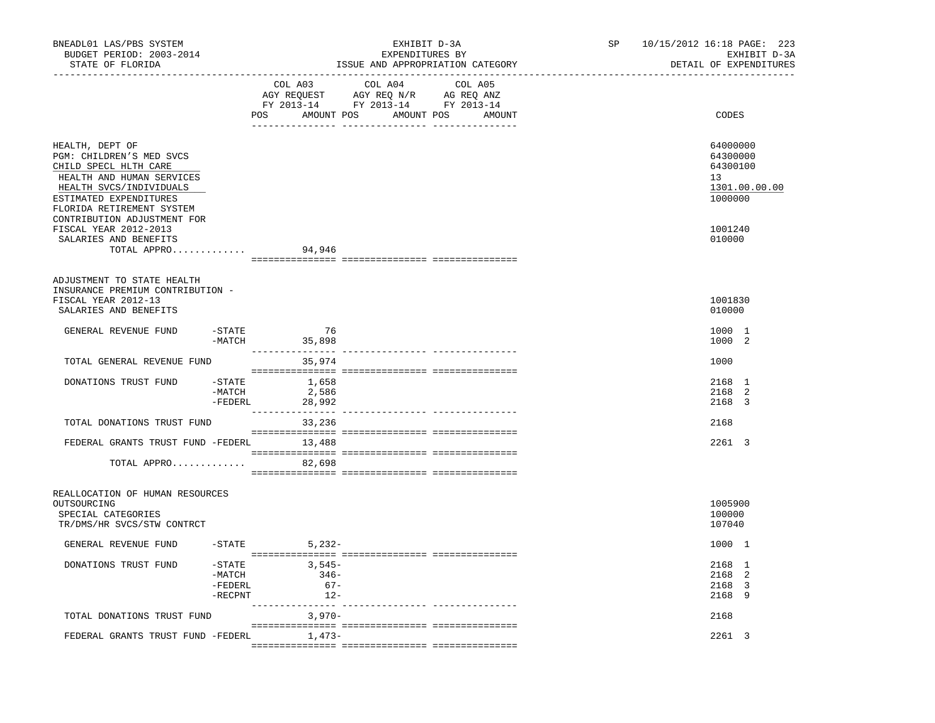| BNEADL01 LAS/PBS SYSTEM<br>BUDGET PERIOD: 2003-2014<br>STATE OF FLORIDA<br>------------------                                                                                                                      |                                                   |                                       | EXHIBIT D-3A<br>EXPENDITURES BY<br>ISSUE AND APPROPRIATION CATEGORY | SP | 10/15/2012 16:18 PAGE: 223<br>EXHIBIT D-3A<br>DETAIL OF EXPENDITURES |
|--------------------------------------------------------------------------------------------------------------------------------------------------------------------------------------------------------------------|---------------------------------------------------|---------------------------------------|---------------------------------------------------------------------|----|----------------------------------------------------------------------|
|                                                                                                                                                                                                                    |                                                   | COL A03                               | COL A04 COL A05<br>POS AMOUNT POS AMOUNT POS AMOUNT                 |    | CODES                                                                |
| HEALTH, DEPT OF<br>PGM: CHILDREN'S MED SVCS<br>CHILD SPECL HLTH CARE<br>HEALTH AND HUMAN SERVICES<br>HEALTH SVCS/INDIVIDUALS<br>ESTIMATED EXPENDITURES<br>FLORIDA RETIREMENT SYSTEM<br>CONTRIBUTION ADJUSTMENT FOR |                                                   |                                       |                                                                     |    | 64000000<br>64300000<br>64300100<br>13<br>1301.00.00.00<br>1000000   |
| FISCAL YEAR 2012-2013<br>SALARIES AND BENEFITS<br>TOTAL APPRO                                                                                                                                                      |                                                   | 94,946                                |                                                                     |    | 1001240<br>010000                                                    |
| ADJUSTMENT TO STATE HEALTH<br>INSURANCE PREMIUM CONTRIBUTION -<br>FISCAL YEAR 2012-13<br>SALARIES AND BENEFITS                                                                                                     |                                                   |                                       |                                                                     |    | 1001830<br>010000                                                    |
| GENERAL REVENUE FUND                                                                                                                                                                                               | -STATE                                            | 76<br>-MATCH 35,898                   |                                                                     |    | 1000 1<br>1000 2                                                     |
| TOTAL GENERAL REVENUE FUND                                                                                                                                                                                         |                                                   | 35,974                                |                                                                     |    | 1000                                                                 |
| DONATIONS TRUST FUND                                                                                                                                                                                               | -MATCH<br>$-FEDERL$                               | $-$ STATE $1,658$<br>2,586<br>28,992  |                                                                     |    | 2168 1<br>2168 2<br>2168 3                                           |
| TOTAL DONATIONS TRUST FUND                                                                                                                                                                                         |                                                   | 33,236                                |                                                                     |    | 2168                                                                 |
| FEDERAL GRANTS TRUST FUND -FEDERL 13,488                                                                                                                                                                           |                                                   |                                       |                                                                     |    | 2261 3                                                               |
| TOTAL APPRO                                                                                                                                                                                                        |                                                   | 82,698                                |                                                                     |    |                                                                      |
| REALLOCATION OF HUMAN RESOURCES<br>OUTSOURCING<br>SPECIAL CATEGORIES<br>TR/DMS/HR SVCS/STW CONTRCT                                                                                                                 |                                                   |                                       |                                                                     |    | 1005900<br>100000<br>107040                                          |
| GENERAL REVENUE FUND                                                                                                                                                                                               |                                                   | $-STATE$ 5, 232-                      |                                                                     |    | 1000 1                                                               |
| DONATIONS TRUST FUND                                                                                                                                                                                               | $-$ STATE<br>$-MATCH$<br>$-$ FEDERL<br>$-$ RECPNT | $3,545-$<br>$346-$<br>$67-$<br>$12 -$ |                                                                     |    | 2168 1<br>2168 2<br>2168 3<br>2168 9                                 |
| TOTAL DONATIONS TRUST FUND                                                                                                                                                                                         |                                                   | 3,970-                                |                                                                     |    | 2168                                                                 |
| FEDERAL GRANTS TRUST FUND -FEDERL                                                                                                                                                                                  |                                                   | $1,473-$                              |                                                                     |    | 2261 3                                                               |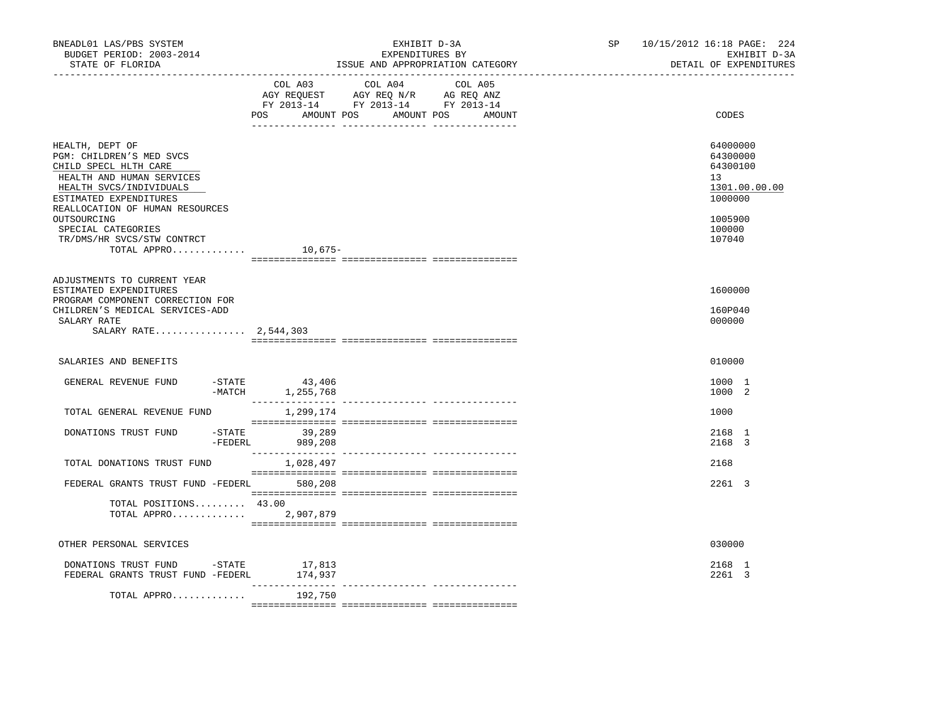| BNEADL01 LAS/PBS SYSTEM<br>BUDGET PERIOD: 2003-2014<br>STATE OF FLORIDA                                                                                                                                                                                                     |                            | EXHIBIT D-3A<br>EXPENDITURES BY<br>ISSUE AND APPROPRIATION CATEGORY                                                               | SP <sub>2</sub> | 10/15/2012 16:18 PAGE: 224<br>EXHIBIT D-3A<br>DETAIL OF EXPENDITURES                              |
|-----------------------------------------------------------------------------------------------------------------------------------------------------------------------------------------------------------------------------------------------------------------------------|----------------------------|-----------------------------------------------------------------------------------------------------------------------------------|-----------------|---------------------------------------------------------------------------------------------------|
|                                                                                                                                                                                                                                                                             | POS                        | COL A03 COL A04 COL A05<br>AGY REQUEST AGY REQ N/R AG REQ ANZ<br>FY 2013-14 FY 2013-14 FY 2013-14<br>AMOUNT POS AMOUNT POS AMOUNT |                 | CODES                                                                                             |
| HEALTH, DEPT OF<br>PGM: CHILDREN'S MED SVCS<br>CHILD SPECL HLTH CARE<br>HEALTH AND HUMAN SERVICES<br>HEALTH SVCS/INDIVIDUALS<br>ESTIMATED EXPENDITURES<br>REALLOCATION OF HUMAN RESOURCES<br>OUTSOURCING<br>SPECIAL CATEGORIES<br>TR/DMS/HR SVCS/STW CONTRCT<br>TOTAL APPRO | 10,675-                    |                                                                                                                                   |                 | 64000000<br>64300000<br>64300100<br>13<br>1301.00.00.00<br>1000000<br>1005900<br>100000<br>107040 |
| ADJUSTMENTS TO CURRENT YEAR<br>ESTIMATED EXPENDITURES<br>PROGRAM COMPONENT CORRECTION FOR<br>CHILDREN'S MEDICAL SERVICES-ADD<br>SALARY RATE<br>SALARY RATE 2,544,303                                                                                                        |                            |                                                                                                                                   |                 | 1600000<br>160P040<br>000000                                                                      |
| SALARIES AND BENEFITS                                                                                                                                                                                                                                                       |                            |                                                                                                                                   |                 | 010000                                                                                            |
| $-STATE$<br>GENERAL REVENUE FUND                                                                                                                                                                                                                                            | 43,406<br>-MATCH 1,255,768 |                                                                                                                                   |                 | 1000 1<br>1000 2                                                                                  |
| TOTAL GENERAL REVENUE FUND                                                                                                                                                                                                                                                  | 1,299,174                  |                                                                                                                                   |                 | 1000                                                                                              |
| DONATIONS TRUST FUND<br>$-$ FEDERL                                                                                                                                                                                                                                          | $-STATE$ 39,289<br>989,208 |                                                                                                                                   |                 | 2168 1<br>2168 3                                                                                  |
| TOTAL DONATIONS TRUST FUND                                                                                                                                                                                                                                                  | 1,028,497                  |                                                                                                                                   |                 | 2168                                                                                              |
| FEDERAL GRANTS TRUST FUND -FEDERL 580,208                                                                                                                                                                                                                                   |                            |                                                                                                                                   |                 | 2261 3                                                                                            |
| TOTAL POSITIONS 43.00<br>TOTAL APPRO 2,907,879                                                                                                                                                                                                                              |                            |                                                                                                                                   |                 |                                                                                                   |
| OTHER PERSONAL SERVICES                                                                                                                                                                                                                                                     |                            |                                                                                                                                   |                 | 030000                                                                                            |
| DONATIONS TRUST FUND -STATE 17,813<br>FEDERAL GRANTS TRUST FUND -FEDERL                                                                                                                                                                                                     | 174,937<br>-----------     |                                                                                                                                   |                 | 2168 1<br>2261 3                                                                                  |
| TOTAL APPRO                                                                                                                                                                                                                                                                 | 192,750                    |                                                                                                                                   |                 |                                                                                                   |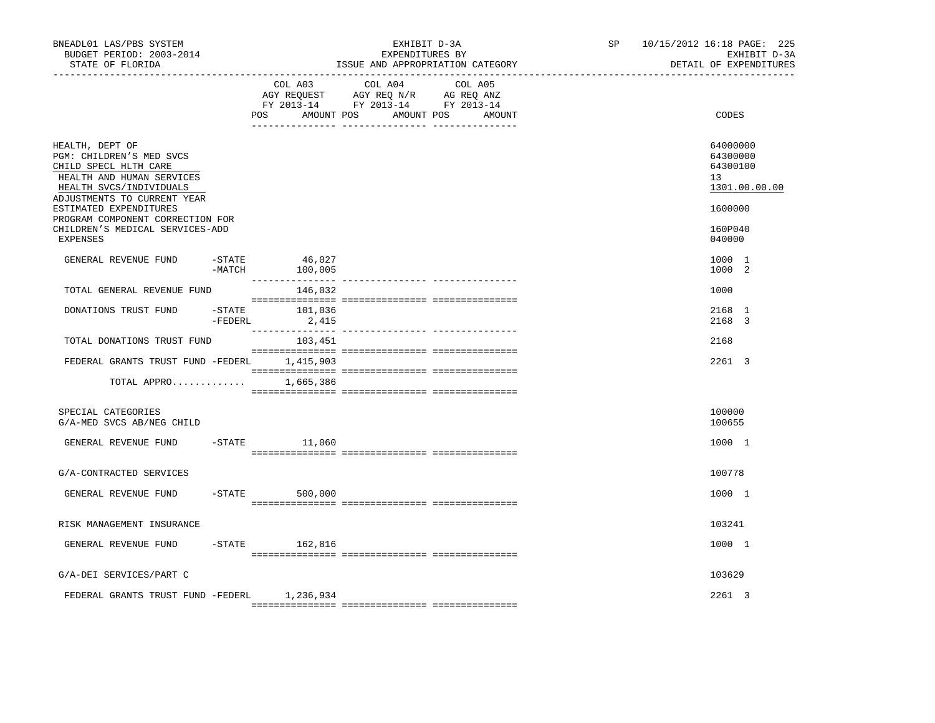| BNEADL01 LAS/PBS SYSTEM<br>BUDGET PERIOD: 2003-2014<br>STATE OF FLORIDA                                                                                                                                                                                                  |                     |                      | EXHIBIT D-3A<br>EXPENDITURES BY<br>ISSUE AND APPROPRIATION CATEGORY                                                                                                                                                                                                                                                                                                                                                                                             | SP <sub>2</sub> | 10/15/2012 16:18 PAGE: 225<br>EXHIBIT D-3A<br>DETAIL OF EXPENDITURES                                 |
|--------------------------------------------------------------------------------------------------------------------------------------------------------------------------------------------------------------------------------------------------------------------------|---------------------|----------------------|-----------------------------------------------------------------------------------------------------------------------------------------------------------------------------------------------------------------------------------------------------------------------------------------------------------------------------------------------------------------------------------------------------------------------------------------------------------------|-----------------|------------------------------------------------------------------------------------------------------|
|                                                                                                                                                                                                                                                                          |                     | COL A03<br>POS       | COL A04 COL A05<br>AGY REQUEST AGY REQ N/R AG REQ ANZ<br>FY 2013-14 FY 2013-14 FY 2013-14<br>AMOUNT POS AMOUNT POS AMOUNT                                                                                                                                                                                                                                                                                                                                       |                 | CODES                                                                                                |
| HEALTH, DEPT OF<br>PGM: CHILDREN'S MED SVCS<br>CHILD SPECL HLTH CARE<br>HEALTH AND HUMAN SERVICES<br>HEALTH SVCS/INDIVIDUALS<br>ADJUSTMENTS TO CURRENT YEAR<br>ESTIMATED EXPENDITURES<br>PROGRAM COMPONENT CORRECTION FOR<br>CHILDREN'S MEDICAL SERVICES-ADD<br>EXPENSES |                     |                      |                                                                                                                                                                                                                                                                                                                                                                                                                                                                 |                 | 64000000<br>64300000<br>64300100<br>13 <sup>°</sup><br>1301.00.00.00<br>1600000<br>160P040<br>040000 |
| GENERAL REVENUE FUND                                                                                                                                                                                                                                                     | $-$ STATE<br>-MATCH | 46,027<br>100,005    |                                                                                                                                                                                                                                                                                                                                                                                                                                                                 |                 | 1000 1<br>1000 2                                                                                     |
| TOTAL GENERAL REVENUE FUND                                                                                                                                                                                                                                               |                     | 146,032              |                                                                                                                                                                                                                                                                                                                                                                                                                                                                 |                 | 1000                                                                                                 |
| DONATIONS TRUST FUND                                                                                                                                                                                                                                                     | -STATE<br>-FEDERL   | 101,036<br>2,415     |                                                                                                                                                                                                                                                                                                                                                                                                                                                                 |                 | 2168 1<br>2168 3                                                                                     |
| TOTAL DONATIONS TRUST FUND                                                                                                                                                                                                                                               |                     | 103,451              |                                                                                                                                                                                                                                                                                                                                                                                                                                                                 |                 | 2168                                                                                                 |
| FEDERAL GRANTS TRUST FUND -FEDERL 1,415,903                                                                                                                                                                                                                              |                     |                      | $\begin{minipage}{0.03\textwidth} \begin{tabular}{l} \textbf{0.04\textwidth} \textbf{0.04\textwidth} \textbf{0.04\textwidth} \textbf{0.04\textwidth} \textbf{0.04\textwidth} \textbf{0.04\textwidth} \textbf{0.04\textwidth} \textbf{0.04\textwidth} \textbf{0.04\textwidth} \textbf{0.04\textwidth} \textbf{0.04\textwidth} \textbf{0.04\textwidth} \textbf{0.04\textwidth} \textbf{0.04\textwidth} \textbf{0.04\textwidth} \textbf{0.04\textwidth} \textbf{0$ |                 | 2261 3                                                                                               |
| TOTAL APPRO                                                                                                                                                                                                                                                              |                     | 1,665,386            |                                                                                                                                                                                                                                                                                                                                                                                                                                                                 |                 |                                                                                                      |
| SPECIAL CATEGORIES<br>G/A-MED SVCS AB/NEG CHILD                                                                                                                                                                                                                          |                     |                      |                                                                                                                                                                                                                                                                                                                                                                                                                                                                 |                 | 100000<br>100655                                                                                     |
| GENERAL REVENUE FUND                                                                                                                                                                                                                                                     | $-$ STATE           | 11,060               |                                                                                                                                                                                                                                                                                                                                                                                                                                                                 |                 | 1000 1                                                                                               |
| G/A-CONTRACTED SERVICES                                                                                                                                                                                                                                                  |                     |                      |                                                                                                                                                                                                                                                                                                                                                                                                                                                                 |                 | 100778                                                                                               |
| GENERAL REVENUE FUND                                                                                                                                                                                                                                                     |                     | $-$ STATE<br>500,000 |                                                                                                                                                                                                                                                                                                                                                                                                                                                                 |                 | 1000 1                                                                                               |
| RISK MANAGEMENT INSURANCE                                                                                                                                                                                                                                                |                     |                      |                                                                                                                                                                                                                                                                                                                                                                                                                                                                 |                 | 103241                                                                                               |
| GENERAL REVENUE FUND                                                                                                                                                                                                                                                     |                     | $-$ STATE 162,816    |                                                                                                                                                                                                                                                                                                                                                                                                                                                                 |                 | 1000 1                                                                                               |
| G/A-DEI SERVICES/PART C                                                                                                                                                                                                                                                  |                     |                      |                                                                                                                                                                                                                                                                                                                                                                                                                                                                 |                 | 103629                                                                                               |
| FEDERAL GRANTS TRUST FUND -FEDERL 1,236,934                                                                                                                                                                                                                              |                     |                      |                                                                                                                                                                                                                                                                                                                                                                                                                                                                 |                 | 2261 3                                                                                               |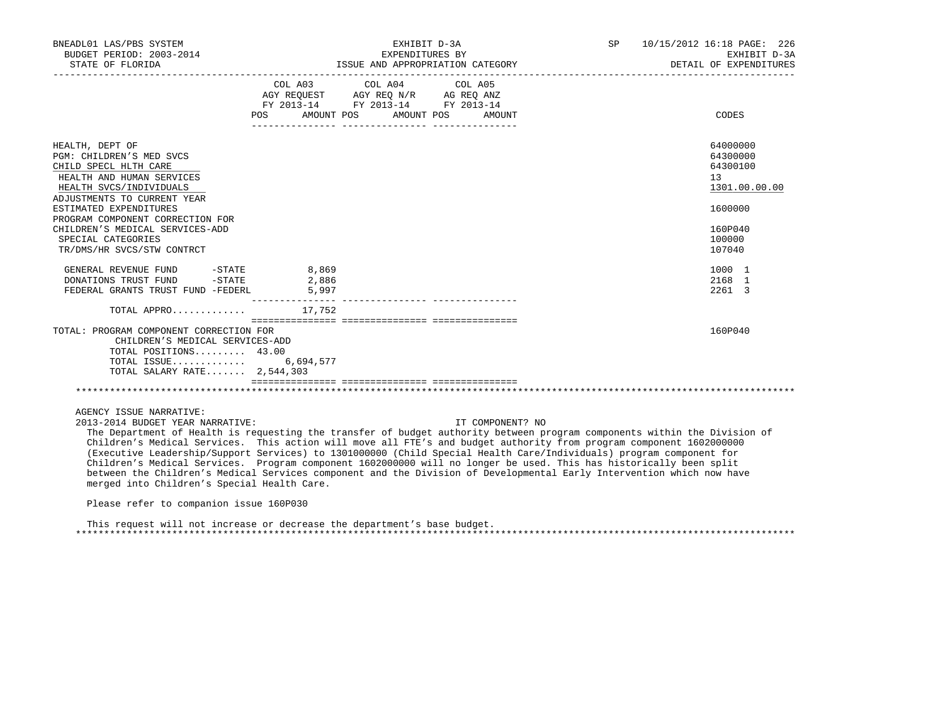| BNEADL01 LAS/PBS SYSTEM<br>BUDGET PERIOD: 2003-2014<br>STATE OF FLORIDA                                                                                     |                         | EXHIBIT D-3A<br>EXPENDITURES BY<br>ISSUE AND APPROPRIATION CATEGORY                                                                           | SP 10/15/2012 16:18 PAGE: 226<br>EXHIBIT D-3A<br>DETAIL OF EXPENDITURES |
|-------------------------------------------------------------------------------------------------------------------------------------------------------------|-------------------------|-----------------------------------------------------------------------------------------------------------------------------------------------|-------------------------------------------------------------------------|
|                                                                                                                                                             | AMOUNT POS              | COL A03 COL A04 COL A05<br>AGY REOUEST AGY REO N/R AG REO ANZ<br>FY 2013-14 FY 2013-14 FY 2013-14<br>AMOUNT POS                               |                                                                         |
|                                                                                                                                                             | POS                     | AMOUNT                                                                                                                                        | CODES                                                                   |
| HEALTH, DEPT OF<br>PGM: CHILDREN'S MED SVCS<br>CHILD SPECL HLTH CARE<br>HEALTH AND HUMAN SERVICES<br>HEALTH SVCS/INDIVIDUALS<br>ADJUSTMENTS TO CURRENT YEAR |                         |                                                                                                                                               | 64000000<br>64300000<br>64300100<br>13<br>1301.00.00.00                 |
| ESTIMATED EXPENDITURES<br>PROGRAM COMPONENT CORRECTION FOR                                                                                                  |                         |                                                                                                                                               | 1600000                                                                 |
| CHILDREN'S MEDICAL SERVICES-ADD<br>SPECIAL CATEGORIES<br>TR/DMS/HR SVCS/STW CONTRCT                                                                         |                         |                                                                                                                                               | 160P040<br>100000<br>107040                                             |
| $-STATE$<br>GENERAL REVENUE FUND<br>$-STATE$<br>DONATIONS TRUST FUND<br>FEDERAL GRANTS TRUST FUND -FEDERL                                                   | 8,869<br>2,886<br>5,997 |                                                                                                                                               | 1000 1<br>2168 1<br>2261 3                                              |
| TOTAL APPRO $17.752$                                                                                                                                        |                         |                                                                                                                                               |                                                                         |
| TOTAL: PROGRAM COMPONENT CORRECTION FOR<br>CHILDREN'S MEDICAL SERVICES-ADD<br>TOTAL POSITIONS 43.00<br>TOTAL ISSUE 6,694,577<br>TOTAL SALARY RATE 2,544,303 |                         |                                                                                                                                               | 160P040                                                                 |
|                                                                                                                                                             |                         |                                                                                                                                               |                                                                         |
| AGENCY ISSUE NARRATIVE:<br>2013-2014 BUDGET YEAR NARRATIVE:                                                                                                 |                         | IT COMPONENT? NO<br>The Department of Health is requesting the transfer of budget authority between program components within the Division of |                                                                         |

 The Department of Health is requesting the transfer of budget authority between program components within the Division of Children's Medical Services. This action will move all FTE's and budget authority from program component 1602000000 (Executive Leadership/Support Services) to 1301000000 (Child Special Health Care/Individuals) program component for Children's Medical Services. Program component 1602000000 will no longer be used. This has historically been split between the Children's Medical Services component and the Division of Developmental Early Intervention which now have merged into Children's Special Health Care.

Please refer to companion issue 160P030

 This request will not increase or decrease the department's base budget. \*\*\*\*\*\*\*\*\*\*\*\*\*\*\*\*\*\*\*\*\*\*\*\*\*\*\*\*\*\*\*\*\*\*\*\*\*\*\*\*\*\*\*\*\*\*\*\*\*\*\*\*\*\*\*\*\*\*\*\*\*\*\*\*\*\*\*\*\*\*\*\*\*\*\*\*\*\*\*\*\*\*\*\*\*\*\*\*\*\*\*\*\*\*\*\*\*\*\*\*\*\*\*\*\*\*\*\*\*\*\*\*\*\*\*\*\*\*\*\*\*\*\*\*\*\*\*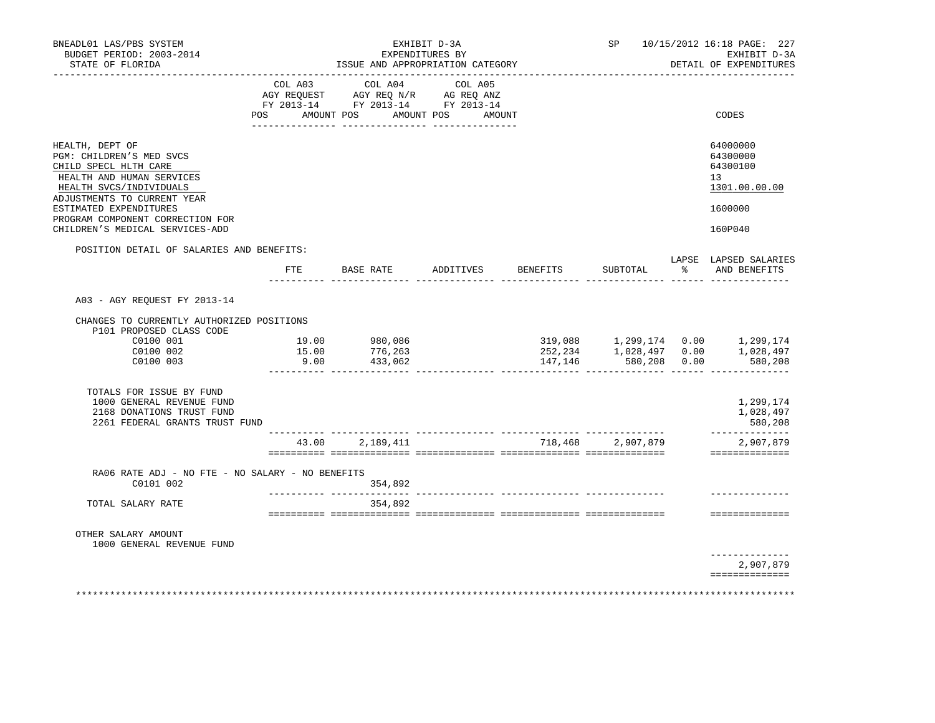|     |                                                                                                                          | EXHIBIT D-3A                                                                                                                                               |                                    |                                                                             |                                                         | SP 10/15/2012 16:18 PAGE: 227<br>EXHIBIT D-3A<br>DETAIL OF EXPENDITURES |
|-----|--------------------------------------------------------------------------------------------------------------------------|------------------------------------------------------------------------------------------------------------------------------------------------------------|------------------------------------|-----------------------------------------------------------------------------|---------------------------------------------------------|-------------------------------------------------------------------------|
|     |                                                                                                                          | COL A05                                                                                                                                                    |                                    |                                                                             |                                                         |                                                                         |
| POS |                                                                                                                          |                                                                                                                                                            |                                    |                                                                             |                                                         | CODES                                                                   |
|     |                                                                                                                          |                                                                                                                                                            |                                    |                                                                             |                                                         | 64000000<br>64300000<br>64300100<br>13<br>1301.00.00.00                 |
|     |                                                                                                                          |                                                                                                                                                            |                                    |                                                                             |                                                         | 1600000<br>160P040                                                      |
|     |                                                                                                                          |                                                                                                                                                            |                                    |                                                                             |                                                         | LAPSE LAPSED SALARIES                                                   |
| FTE | BASE RATE                                                                                                                |                                                                                                                                                            |                                    | SUBTOTAL                                                                    | န္ခ                                                     | AND BENEFITS                                                            |
|     |                                                                                                                          |                                                                                                                                                            |                                    |                                                                             |                                                         |                                                                         |
|     |                                                                                                                          |                                                                                                                                                            |                                    |                                                                             |                                                         |                                                                         |
|     |                                                                                                                          |                                                                                                                                                            |                                    |                                                                             |                                                         |                                                                         |
|     | 433,062                                                                                                                  |                                                                                                                                                            | 147,146                            |                                                                             |                                                         | 580,208                                                                 |
|     |                                                                                                                          |                                                                                                                                                            |                                    |                                                                             |                                                         | 1,299,174<br>1,028,497<br>580,208                                       |
|     |                                                                                                                          |                                                                                                                                                            |                                    |                                                                             |                                                         | ______________<br>2,907,879<br>==============                           |
|     | 354,892                                                                                                                  |                                                                                                                                                            |                                    |                                                                             |                                                         |                                                                         |
|     | 354,892                                                                                                                  |                                                                                                                                                            |                                    |                                                                             |                                                         |                                                                         |
|     |                                                                                                                          |                                                                                                                                                            |                                    |                                                                             |                                                         | ==============<br>-------------                                         |
|     |                                                                                                                          |                                                                                                                                                            |                                    |                                                                             |                                                         | 2,907,879                                                               |
|     | POSITION DETAIL OF SALARIES AND BENEFITS:<br>CHANGES TO CURRENTLY AUTHORIZED POSITIONS<br>2261 FEDERAL GRANTS TRUST FUND | ________________________<br>AMOUNT POS<br>19.00 980,086<br>15.00<br>776,263<br>9.00<br>43.00 2,189,411<br>RA06 RATE ADJ - NO FTE - NO SALARY - NO BENEFITS | EXPENDITURES BY<br>COL A03 COL A04 | ISSUE AND APPROPRIATION CATEGORY<br>AMOUNT POS AMOUNT<br>ADDITIVES BENEFITS | __________________________________<br>718,468 2,907,879 | 580,208 0.00                                                            |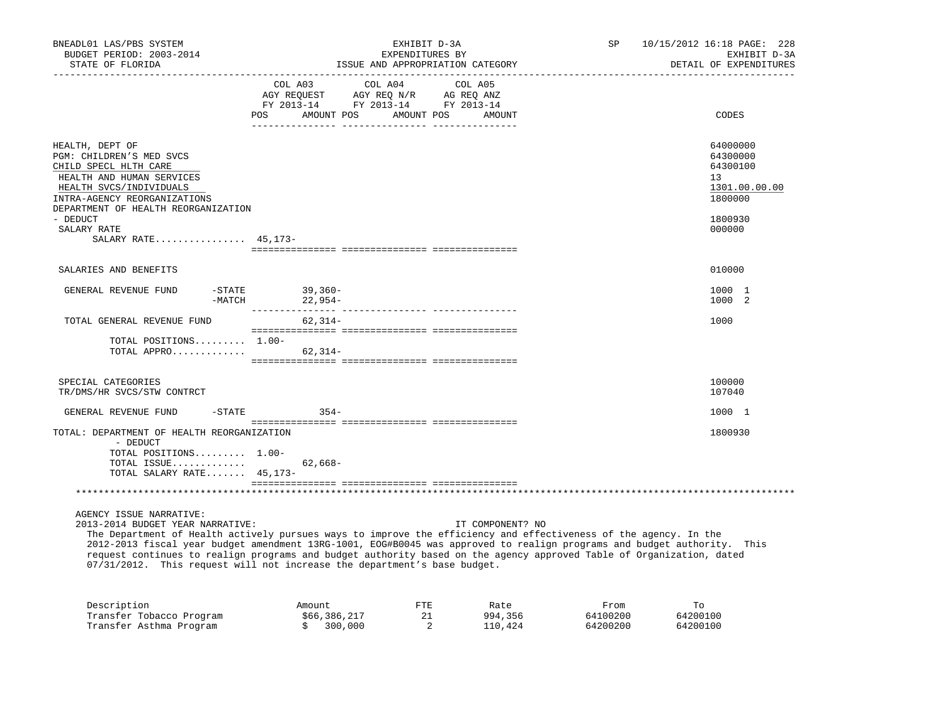| BNEADL01 LAS/PBS SYSTEM<br>BUDGET PERIOD: 2003-2014                                                                                                          | EXHIBIT D-3A<br>EXPENDITURES BY                                                                         | 10/15/2012 16:18 PAGE: 228<br>SP<br>EXHIBIT D-3A                   |  |  |  |
|--------------------------------------------------------------------------------------------------------------------------------------------------------------|---------------------------------------------------------------------------------------------------------|--------------------------------------------------------------------|--|--|--|
| STATE OF FLORIDA                                                                                                                                             | ISSUE AND APPROPRIATION CATEGORY                                                                        | DETAIL OF EXPENDITURES                                             |  |  |  |
|                                                                                                                                                              | COL A03<br>COL A04<br>COL A05<br>AGY REQUEST AGY REQ N/R AG REQ ANZ<br>FY 2013-14 FY 2013-14 FY 2013-14 |                                                                    |  |  |  |
|                                                                                                                                                              | POS AMOUNT POS<br>AMOUNT POS AMOUNT                                                                     | CODES                                                              |  |  |  |
| HEALTH, DEPT OF<br>PGM: CHILDREN'S MED SVCS<br>CHILD SPECL HLTH CARE<br>HEALTH AND HUMAN SERVICES<br>HEALTH SVCS/INDIVIDUALS<br>INTRA-AGENCY REORGANIZATIONS |                                                                                                         | 64000000<br>64300000<br>64300100<br>13<br>1301.00.00.00<br>1800000 |  |  |  |
| DEPARTMENT OF HEALTH REORGANIZATION<br>- DEDUCT<br>SALARY RATE                                                                                               |                                                                                                         | 1800930<br>000000                                                  |  |  |  |
| SALARY RATE 45,173-                                                                                                                                          |                                                                                                         |                                                                    |  |  |  |
| SALARIES AND BENEFITS                                                                                                                                        |                                                                                                         | 010000                                                             |  |  |  |
| GENERAL REVENUE FUND<br>-MATCH                                                                                                                               | $-STATE$ 39,360-<br>22,954-                                                                             | 1000 1<br>1000 2                                                   |  |  |  |
| TOTAL GENERAL REVENUE FUND                                                                                                                                   | $62,314-$                                                                                               | 1000                                                               |  |  |  |
| TOTAL POSITIONS $1.00-$<br>TOTAL APPRO                                                                                                                       | 62,314-                                                                                                 |                                                                    |  |  |  |
| SPECIAL CATEGORIES<br>TR/DMS/HR SVCS/STW CONTRCT                                                                                                             |                                                                                                         | 100000<br>107040                                                   |  |  |  |
| GENERAL REVENUE FUND                                                                                                                                         | $-STATE$ 354-                                                                                           | 1000 1                                                             |  |  |  |
| TOTAL: DEPARTMENT OF HEALTH REORGANIZATION<br>- DEDUCT                                                                                                       |                                                                                                         | 1800930                                                            |  |  |  |
| TOTAL POSITIONS 1.00-<br>TOTAL ISSUE<br>TOTAL SALARY RATE 45, 173-                                                                                           | $62,668-$                                                                                               |                                                                    |  |  |  |
|                                                                                                                                                              |                                                                                                         |                                                                    |  |  |  |
| AGENCY ISSUE NARRATIVE:                                                                                                                                      |                                                                                                         |                                                                    |  |  |  |

2013-2014 BUDGET YEAR NARRATIVE: IT COMPONENT? NO

 The Department of Health actively pursues ways to improve the efficiency and effectiveness of the agency. In the 2012-2013 fiscal year budget amendment 13RG-1001, EOG#B0045 was approved to realign programs and budget authority. This request continues to realign programs and budget authority based on the agency approved Table of Organization, dated 07/31/2012. This request will not increase the department's base budget.

| Description              | Amount       | FTE | Rate    | From     | To       |
|--------------------------|--------------|-----|---------|----------|----------|
| Transfer Tobacco Program | \$66,386,217 | 21  | 994,356 | 64100200 | 64200100 |
| Transfer Asthma Program  | 300,000      |     | 110,424 | 64200200 | 64200100 |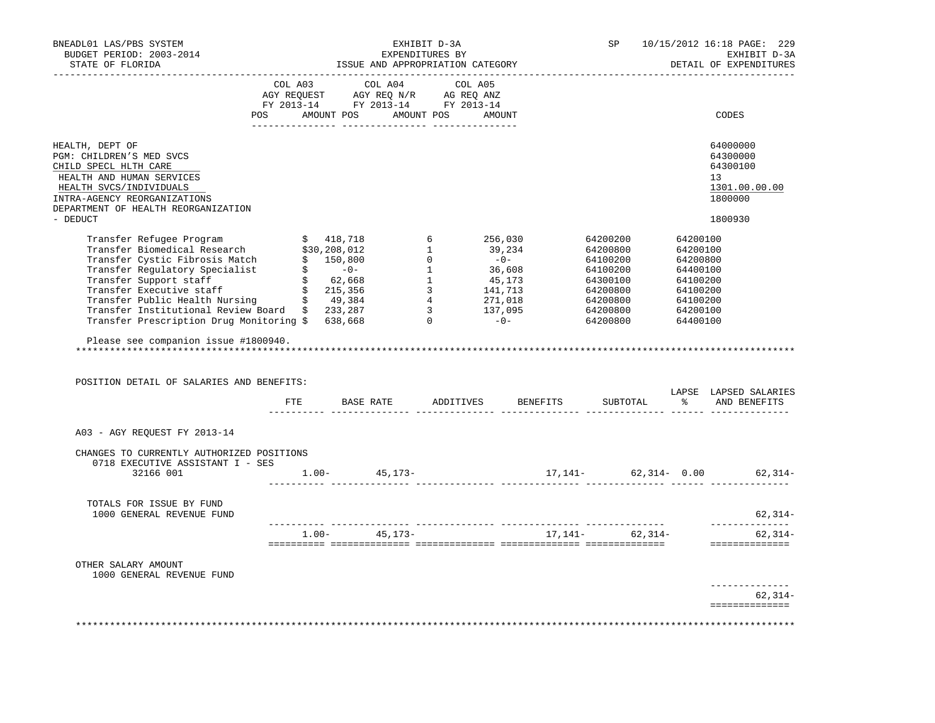| BNEADL01 LAS/PBS SYSTEM<br>BUDGET PERIOD: 2003-2014<br>STATE OF FLORIDA                                                                                                                                                                                                                                                                                                                                                                                                    |  |                                                                                                                                                                                                | EXHIBIT D-3A<br>EXPENDITURES BY | ISSUE AND APPROPRIATION CATEGORY         | SP |  | 10/15/2012 16:18 PAGE: 229<br>EXHIBIT D-3A<br>DETAIL OF EXPENDITURES |
|----------------------------------------------------------------------------------------------------------------------------------------------------------------------------------------------------------------------------------------------------------------------------------------------------------------------------------------------------------------------------------------------------------------------------------------------------------------------------|--|------------------------------------------------------------------------------------------------------------------------------------------------------------------------------------------------|---------------------------------|------------------------------------------|----|--|----------------------------------------------------------------------|
|                                                                                                                                                                                                                                                                                                                                                                                                                                                                            |  | $\begin{tabular}{lcccc} COL A03 & COL A04 & COL A05 \\ AGY REQUEST & AGY REQ N/R & AG REQ ANZ \\ FY & 2013-14 & FY & 2013-14 & FY & 2013-14 \end{tabular}$<br>POS AMOUNT POS AMOUNT POS AMOUNT | -------- ----------------       |                                          |    |  | CODES                                                                |
| HEALTH, DEPT OF<br>PGM: CHILDREN'S MED SVCS<br>CHILD SPECL HLTH CARE<br>HEALTH AND HUMAN SERVICES<br>HEALTH SVCS/INDIVIDUALS<br>INTRA-AGENCY REORGANIZATIONS<br>DEPARTMENT OF HEALTH REORGANIZATION                                                                                                                                                                                                                                                                        |  |                                                                                                                                                                                                |                                 |                                          |    |  | 64000000<br>64300000<br>64300100<br>13<br>1301.00.00.00<br>1800000   |
| - DEDUCT                                                                                                                                                                                                                                                                                                                                                                                                                                                                   |  |                                                                                                                                                                                                |                                 |                                          |    |  | 1800930                                                              |
| $\begin{tabular}{l c c c c c c c c} \hline \texttt{Transfer} \texttt{Refuge Program} & \texttt{\$4200200}$ & $418,718$ & $6$ & $256,030$ & $64200200$ & $64200100$ \\ \hline \texttt{Transfer Biomedical Research} & $30,208,012$ & $1$ & $39,234$ & $64200800$ & $64200800$ \\ \hline \texttt{Transfer Regulation} & $\texttt{\$} & $150,800$ & $0$ & $-0$ & $64100200$ & $64200800$<br>Please see companion issue #1800940.<br>POSITION DETAIL OF SALARIES AND BENEFITS: |  |                                                                                                                                                                                                |                                 | FTE BASE RATE ADDITIVES BENEFITS         |    |  | LAPSE LAPSED SALARIES<br>SUBTOTAL % AND BENEFITS                     |
| A03 - AGY REOUEST FY 2013-14                                                                                                                                                                                                                                                                                                                                                                                                                                               |  |                                                                                                                                                                                                |                                 |                                          |    |  |                                                                      |
| CHANGES TO CURRENTLY AUTHORIZED POSITIONS<br>0718 EXECUTIVE ASSISTANT I - SES<br>32166 001                                                                                                                                                                                                                                                                                                                                                                                 |  | $1.00 - 45,173 -$                                                                                                                                                                              |                                 |                                          |    |  | $17,141 62,314-$ 0.00 $62,314-$                                      |
| TOTALS FOR ISSUE BY FUND<br>1000 GENERAL REVENUE FUND                                                                                                                                                                                                                                                                                                                                                                                                                      |  |                                                                                                                                                                                                |                                 |                                          |    |  | 62,314-                                                              |
|                                                                                                                                                                                                                                                                                                                                                                                                                                                                            |  |                                                                                                                                                                                                |                                 | $1.00-$ 45, 173-<br>17, 141-<br>62, 314- |    |  | -----------<br>$62, 314-$<br>==============                          |
| OTHER SALARY AMOUNT<br>1000 GENERAL REVENUE FUND                                                                                                                                                                                                                                                                                                                                                                                                                           |  |                                                                                                                                                                                                |                                 |                                          |    |  |                                                                      |
|                                                                                                                                                                                                                                                                                                                                                                                                                                                                            |  |                                                                                                                                                                                                |                                 |                                          |    |  | --------------<br>$62, 314-$<br>==============                       |
|                                                                                                                                                                                                                                                                                                                                                                                                                                                                            |  |                                                                                                                                                                                                |                                 |                                          |    |  |                                                                      |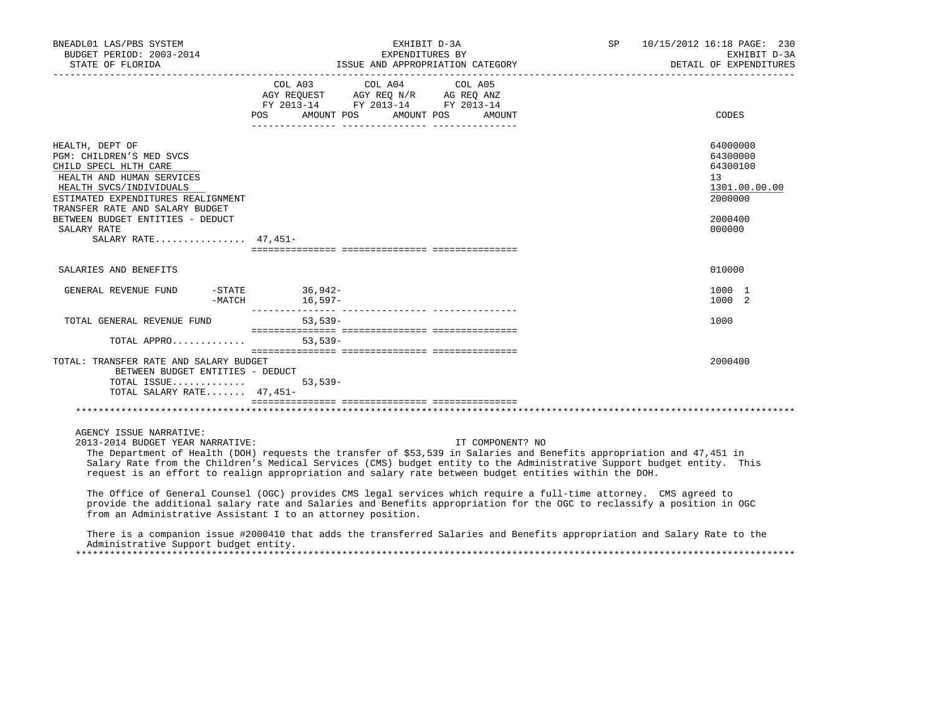| BNEADL01 LAS/PBS SYSTEM<br>BUDGET PERIOD: 2003-2014<br>STATE OF FLORIDA                                                                                                                                                                                                         | EXHIBIT D-3A<br>EXPENDITURES BY<br>ISSUE AND APPROPRIATION CATEGORY                                                                                                                                                                                                                                                                                                          | SP 10/15/2012 16:18 PAGE: 230<br>DETAIL OF EXPENDITURES | EXHIBIT D-3A                                                                      |
|---------------------------------------------------------------------------------------------------------------------------------------------------------------------------------------------------------------------------------------------------------------------------------|------------------------------------------------------------------------------------------------------------------------------------------------------------------------------------------------------------------------------------------------------------------------------------------------------------------------------------------------------------------------------|---------------------------------------------------------|-----------------------------------------------------------------------------------|
|                                                                                                                                                                                                                                                                                 | COL A03 COL A04 COL A05<br>$\begin{tabular}{lllllll} \bf AGY \,\,\, REQUEST \,\,\, & \bf AGY \,\, REQ \,\, N/R & \,\, AG \,\, REQ \,\, ANZ \\ \bf FY \,\, 2013-14 & \bf FY \,\, 2013-14 & \bf FY \,\, 2013-14 \\ \end{tabular}$<br>POS AMOUNT POS AMOUNT POS<br>AMOUNT                                                                                                       |                                                         | CODES                                                                             |
| HEALTH, DEPT OF<br>PGM: CHILDREN'S MED SVCS<br>CHILD SPECL HLTH CARE<br>HEALTH AND HUMAN SERVICES<br>HEALTH SVCS/INDIVIDUALS<br>ESTIMATED EXPENDITURES REALIGNMENT<br>TRANSFER RATE AND SALARY BUDGET<br>BETWEEN BUDGET ENTITIES - DEDUCT<br>SALARY RATE<br>SALARY RATE 47,451- |                                                                                                                                                                                                                                                                                                                                                                              | 13                                                      | 64000000<br>64300000<br>64300100<br>1301.00.00.00<br>2000000<br>2000400<br>000000 |
| SALARIES AND BENEFITS                                                                                                                                                                                                                                                           |                                                                                                                                                                                                                                                                                                                                                                              |                                                         | 010000                                                                            |
| GENERAL REVENUE FUND                                                                                                                                                                                                                                                            | -STATE 36,942-<br>-MATCH 16,597-                                                                                                                                                                                                                                                                                                                                             |                                                         | 1000 1<br>1000 2                                                                  |
| TOTAL GENERAL REVENUE FUND 53,539-                                                                                                                                                                                                                                              |                                                                                                                                                                                                                                                                                                                                                                              |                                                         | 1000                                                                              |
| TOTAL APPRO 53,539-                                                                                                                                                                                                                                                             |                                                                                                                                                                                                                                                                                                                                                                              |                                                         |                                                                                   |
| TOTAL: TRANSFER RATE AND SALARY BUDGET<br>BETWEEN BUDGET ENTITIES - DEDUCT<br>TOTAL ISSUE<br>TOTAL SALARY RATE $47,451-$                                                                                                                                                        | $53,539-$                                                                                                                                                                                                                                                                                                                                                                    |                                                         | 2000400                                                                           |
|                                                                                                                                                                                                                                                                                 |                                                                                                                                                                                                                                                                                                                                                                              |                                                         |                                                                                   |
| AGENCY ISSUE NARRATIVE:<br>2013-2014 BUDGET YEAR NARRATIVE:                                                                                                                                                                                                                     | IT COMPONENT? NO<br>The Department of Health (DOH) requests the transfer of \$53,539 in Salaries and Benefits appropriation and 47,451 in<br>Salary Rate from the Children's Medical Services (CMS) budget entity to the Administrative Support budget entity. This<br>request is an effort to realign appropriation and salary rate between budget entities within the DOH. |                                                         |                                                                                   |
|                                                                                                                                                                                                                                                                                 | The Office of General Counsel (OGC) provides CMS legal services which require a full-time attorney. CMS agreed to<br>provide the additional salary rate and Salaries and Benefits appropriation for the OGC to reclassify a position in OGC<br>from an Administrative Assistant I to an attorney position.                                                                   |                                                         |                                                                                   |
| Administrative Support budget entity.                                                                                                                                                                                                                                           | There is a companion issue #2000410 that adds the transferred Salaries and Benefits appropriation and Salary Rate to the                                                                                                                                                                                                                                                     |                                                         |                                                                                   |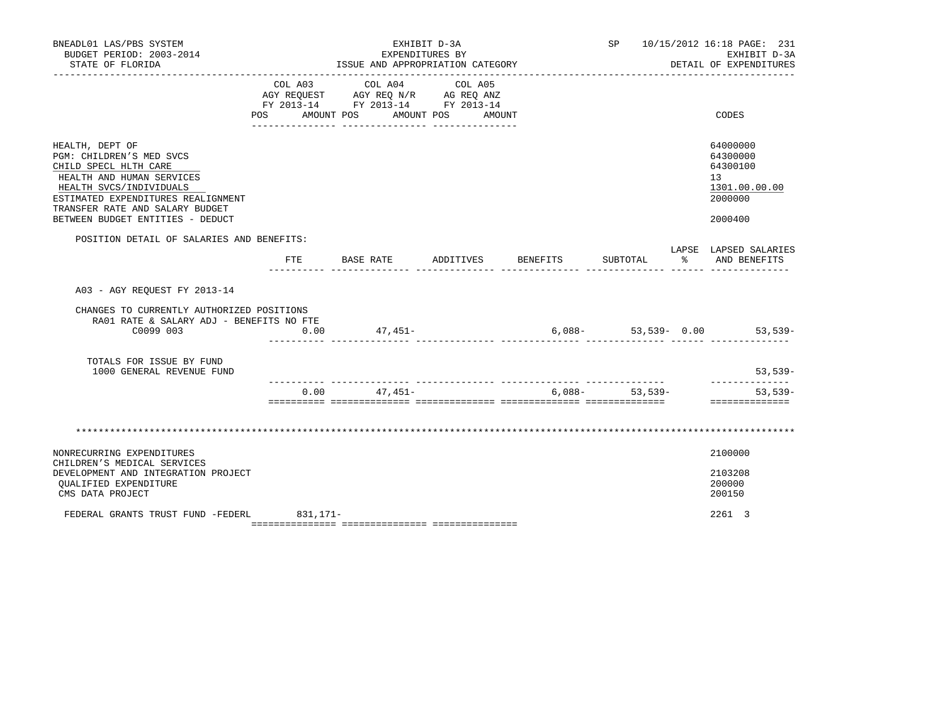| BNEADL01 LAS/PBS SYSTEM<br>BUDGET PERIOD: 2003-2014<br>STATE OF FLORIDA                                                                                                                                                                   | EXHIBIT D-3A<br>EXPENDITURES BY<br>ISSUE AND APPROPRIATION CATEGORY |                                                                                                                                                              |                              |                    |                 | SP 10/15/2012 16:18 PAGE: 231<br>EXHIBIT D-3A<br>DETAIL OF EXPENDITURES       |
|-------------------------------------------------------------------------------------------------------------------------------------------------------------------------------------------------------------------------------------------|---------------------------------------------------------------------|--------------------------------------------------------------------------------------------------------------------------------------------------------------|------------------------------|--------------------|-----------------|-------------------------------------------------------------------------------|
|                                                                                                                                                                                                                                           | POS AMOUNT POS                                                      | COL A03 COL A04<br>COL AUS COL AU4 COL AU5<br>AGY REQUEST AGY REQ N/R AG REQ ANZ<br>FY 2013-14 FY 2013-14 FY 2013-14<br>___ ________________ _______________ | COL A05<br>AMOUNT POS AMOUNT |                    |                 | CODES                                                                         |
| HEALTH, DEPT OF<br>PGM: CHILDREN'S MED SVCS<br>CHILD SPECL HLTH CARE<br>HEALTH AND HUMAN SERVICES<br>HEALTH SVCS/INDIVIDUALS<br>ESTIMATED EXPENDITURES REALIGNMENT<br>TRANSFER RATE AND SALARY BUDGET<br>BETWEEN BUDGET ENTITIES - DEDUCT |                                                                     |                                                                                                                                                              |                              |                    |                 | 64000000<br>64300000<br>64300100<br>13<br>1301.00.00.00<br>2000000<br>2000400 |
| POSITION DETAIL OF SALARIES AND BENEFITS:                                                                                                                                                                                                 | $_{\rm FTE}$                                                        | BASE RATE                                                                                                                                                    |                              | ADDITIVES BENEFITS | SUBTOTAL        | LAPSE LAPSED SALARIES<br>% AND BENEFITS                                       |
| A03 - AGY REQUEST FY 2013-14                                                                                                                                                                                                              |                                                                     |                                                                                                                                                              |                              |                    |                 |                                                                               |
| CHANGES TO CURRENTLY AUTHORIZED POSITIONS<br>RA01 RATE & SALARY ADJ - BENEFITS NO FTE<br>C0099 003                                                                                                                                        | 0.00                                                                | $47,451-$                                                                                                                                                    |                              |                    |                 | $6,088-53,539-0.00$ 53,539-                                                   |
| TOTALS FOR ISSUE BY FUND<br>1000 GENERAL REVENUE FUND                                                                                                                                                                                     |                                                                     |                                                                                                                                                              |                              |                    |                 | $53,539-$                                                                     |
|                                                                                                                                                                                                                                           |                                                                     | $0.00$ $47.451-$                                                                                                                                             |                              |                    | $6,088-53,539-$ | ______________<br>53,539-<br>==============                                   |
|                                                                                                                                                                                                                                           |                                                                     |                                                                                                                                                              |                              |                    |                 |                                                                               |
| NONRECURRING EXPENDITURES<br>CHILDREN'S MEDICAL SERVICES<br>DEVELOPMENT AND INTEGRATION PROJECT<br>QUALIFIED EXPENDITURE                                                                                                                  |                                                                     |                                                                                                                                                              |                              |                    |                 | 2100000<br>2103208<br>200000                                                  |
| CMS DATA PROJECT<br>FEDERAL GRANTS TRUST FUND -FEDERL 831,171-                                                                                                                                                                            |                                                                     |                                                                                                                                                              |                              |                    |                 | 200150<br>2261 3                                                              |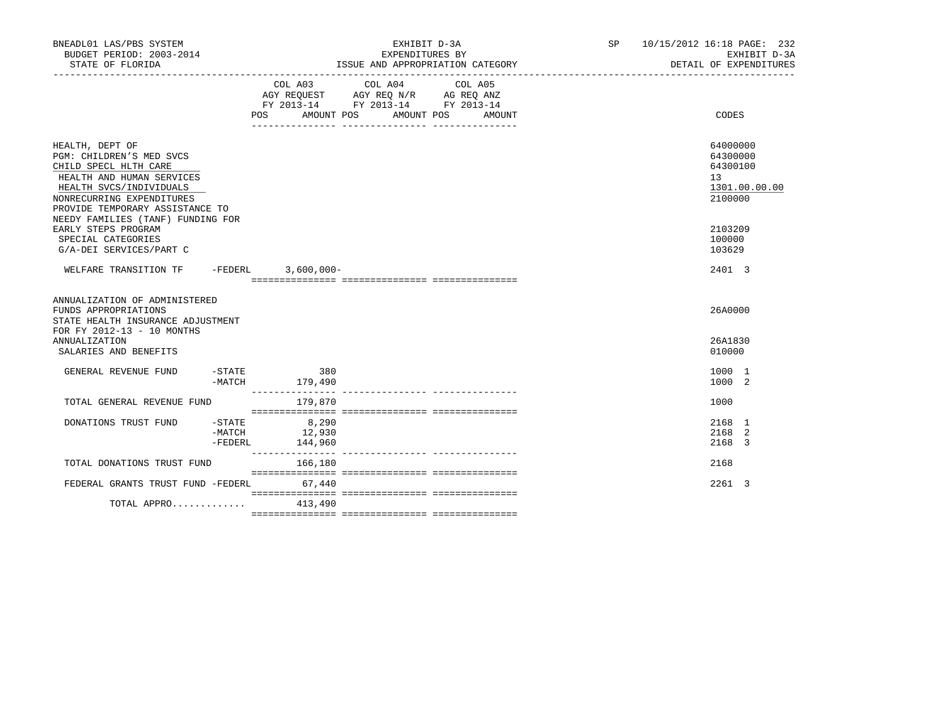| BUDGET PERIOD: 2003-2014<br>STATE OF FLORIDA                                                                                                                                                 |                                              | EXHIBIT D-3A<br>EXPENDITURES BY<br>ISSUE AND APPROPRIATION CATEGORY                                                                         | SP 10/15/2012 16:18 PAGE: 232<br>EXHIBIT D-3A<br>DETAIL OF EXPENDITURES |
|----------------------------------------------------------------------------------------------------------------------------------------------------------------------------------------------|----------------------------------------------|---------------------------------------------------------------------------------------------------------------------------------------------|-------------------------------------------------------------------------|
|                                                                                                                                                                                              |                                              | COL A03 COL A04<br>COL A05<br>AGY REQUEST AGY REQ N/R AG REQ ANZ<br>FY 2013-14 FY 2013-14 FY 2013-14<br>POS AMOUNT POS AMOUNT POS<br>AMOUNT | CODES                                                                   |
| HEALTH, DEPT OF<br>PGM: CHILDREN'S MED SVCS<br>CHILD SPECL HLTH CARE<br>HEALTH AND HUMAN SERVICES<br>HEALTH SVCS/INDIVIDUALS<br>NONRECURRING EXPENDITURES<br>PROVIDE TEMPORARY ASSISTANCE TO |                                              |                                                                                                                                             | 64000000<br>64300000<br>64300100<br>13<br>1301.00.00.00<br>2100000      |
| NEEDY FAMILIES (TANF) FUNDING FOR<br>EARLY STEPS PROGRAM<br>SPECIAL CATEGORIES<br>G/A-DEI SERVICES/PART C                                                                                    |                                              |                                                                                                                                             | 2103209<br>100000<br>103629                                             |
| WELFARE TRANSITION TF -FEDERL 3,600,000-                                                                                                                                                     |                                              |                                                                                                                                             | 2401 3                                                                  |
| ANNUALIZATION OF ADMINISTERED<br>FUNDS APPROPRIATIONS<br>STATE HEALTH INSURANCE ADJUSTMENT<br>FOR FY 2012-13 - 10 MONTHS<br><b>ANNUALIZATION</b><br>SALARIES AND BENEFITS                    |                                              |                                                                                                                                             | 26A0000<br>26A1830<br>010000                                            |
| $ STATE$<br>GENERAL REVENUE FUND                                                                                                                                                             | 380<br>-MATCH 179,490                        |                                                                                                                                             | 1000 1<br>1000 2                                                        |
| TOTAL GENERAL REVENUE FUND                                                                                                                                                                   | 179,870                                      |                                                                                                                                             | 1000                                                                    |
| DONATIONS TRUST FUND<br>-FEDERL                                                                                                                                                              | $-STATE$ 8,290<br>$-MATCH$ 12,930<br>144,960 |                                                                                                                                             | 2168 1<br>2168 2<br>2168 3                                              |
| TOTAL DONATIONS TRUST FUND                                                                                                                                                                   | 166,180                                      |                                                                                                                                             | 2168                                                                    |
| FEDERAL GRANTS TRUST FUND -FEDERL                                                                                                                                                            | 67,440                                       |                                                                                                                                             | 2261 3                                                                  |
| TOTAL APPRO $413.490$                                                                                                                                                                        |                                              |                                                                                                                                             |                                                                         |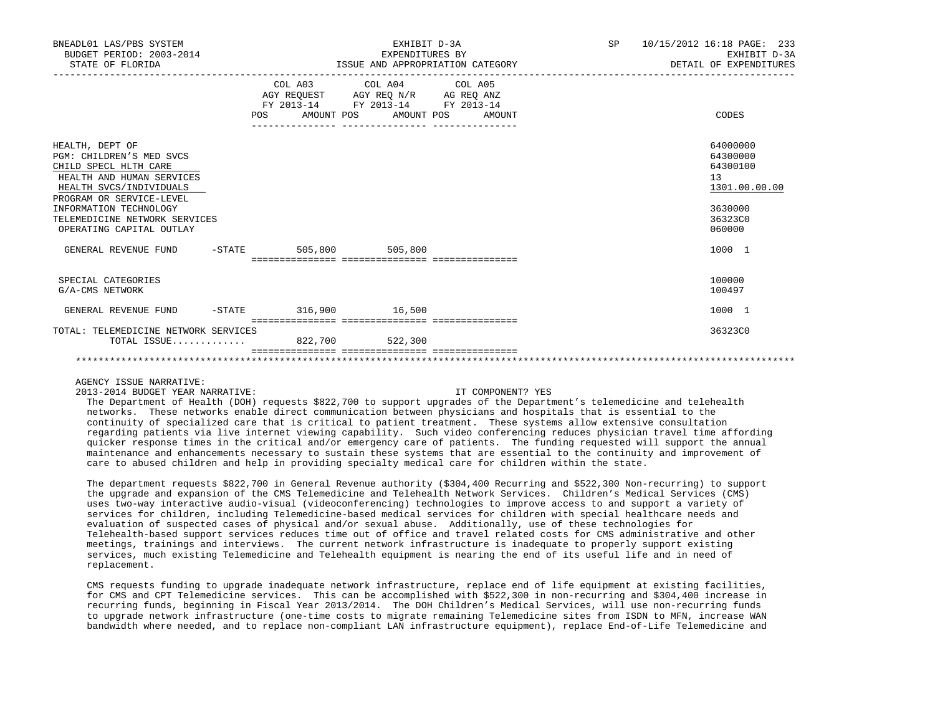| BNEADL01 LAS/PBS SYSTEM<br>BUDGET PERIOD: 2003-2014<br>STATE OF FLORIDA                                                                                                                                                                         | EXHIBIT D-3A<br>EXPENDITURES BY<br>ISSUE AND APPROPRIATION CATEGORY |                                                                                                   |                                  | SP 10/15/2012 16:18 PAGE: 233<br>EXHIBIT D-3A<br>DETAIL OF EXPENDITURES                 |
|-------------------------------------------------------------------------------------------------------------------------------------------------------------------------------------------------------------------------------------------------|---------------------------------------------------------------------|---------------------------------------------------------------------------------------------------|----------------------------------|-----------------------------------------------------------------------------------------|
|                                                                                                                                                                                                                                                 |                                                                     | COL A03 COL A04 COL A05<br>AGY REQUEST AGY REQ N/R AG REQ ANZ<br>FY 2013-14 FY 2013-14 FY 2013-14 | POS AMOUNT POS AMOUNT POS AMOUNT | CODES                                                                                   |
| HEALTH, DEPT OF<br>PGM: CHILDREN'S MED SVCS<br>CHILD SPECL HLTH CARE<br>HEALTH AND HUMAN SERVICES<br>HEALTH SVCS/INDIVIDUALS<br>PROGRAM OR SERVICE-LEVEL<br>INFORMATION TECHNOLOGY<br>TELEMEDICINE NETWORK SERVICES<br>OPERATING CAPITAL OUTLAY |                                                                     |                                                                                                   |                                  | 64000000<br>64300000<br>64300100<br>13<br>1301.00.00.00<br>3630000<br>36323C0<br>060000 |
| GENERAL REVENUE FUND                                                                                                                                                                                                                            |                                                                     | -STATE 505,800 505,800                                                                            |                                  | 1000 1                                                                                  |
| SPECIAL CATEGORIES<br>G/A-CMS NETWORK                                                                                                                                                                                                           |                                                                     |                                                                                                   |                                  | 100000<br>100497                                                                        |
| GENERAL REVENUE FUND -STATE 316,900 16,500                                                                                                                                                                                                      |                                                                     |                                                                                                   |                                  | 1000 1                                                                                  |
| TOTAL: TELEMEDICINE NETWORK SERVICES<br>TOTAL ISSUE                                                                                                                                                                                             |                                                                     | 822,700 522,300                                                                                   |                                  | 36323C0                                                                                 |
|                                                                                                                                                                                                                                                 |                                                                     |                                                                                                   |                                  |                                                                                         |

## AGENCY ISSUE NARRATIVE:

2013-2014 BUDGET YEAR NARRATIVE: IT COMPONENT? YES

 The Department of Health (DOH) requests \$822,700 to support upgrades of the Department's telemedicine and telehealth networks. These networks enable direct communication between physicians and hospitals that is essential to the continuity of specialized care that is critical to patient treatment. These systems allow extensive consultation regarding patients via live internet viewing capability. Such video conferencing reduces physician travel time affording quicker response times in the critical and/or emergency care of patients. The funding requested will support the annual maintenance and enhancements necessary to sustain these systems that are essential to the continuity and improvement of care to abused children and help in providing specialty medical care for children within the state.

 The department requests \$822,700 in General Revenue authority (\$304,400 Recurring and \$522,300 Non-recurring) to support the upgrade and expansion of the CMS Telemedicine and Telehealth Network Services. Children's Medical Services (CMS) uses two-way interactive audio-visual (videoconferencing) technologies to improve access to and support a variety of services for children, including Telemedicine-based medical services for children with special healthcare needs and evaluation of suspected cases of physical and/or sexual abuse. Additionally, use of these technologies for Telehealth-based support services reduces time out of office and travel related costs for CMS administrative and other meetings, trainings and interviews. The current network infrastructure is inadequate to properly support existing services, much existing Telemedicine and Telehealth equipment is nearing the end of its useful life and in need of replacement.

 CMS requests funding to upgrade inadequate network infrastructure, replace end of life equipment at existing facilities, for CMS and CPT Telemedicine services. This can be accomplished with \$522,300 in non-recurring and \$304,400 increase in recurring funds, beginning in Fiscal Year 2013/2014. The DOH Children's Medical Services, will use non-recurring funds to upgrade network infrastructure (one-time costs to migrate remaining Telemedicine sites from ISDN to MFN, increase WAN bandwidth where needed, and to replace non-compliant LAN infrastructure equipment), replace End-of-Life Telemedicine and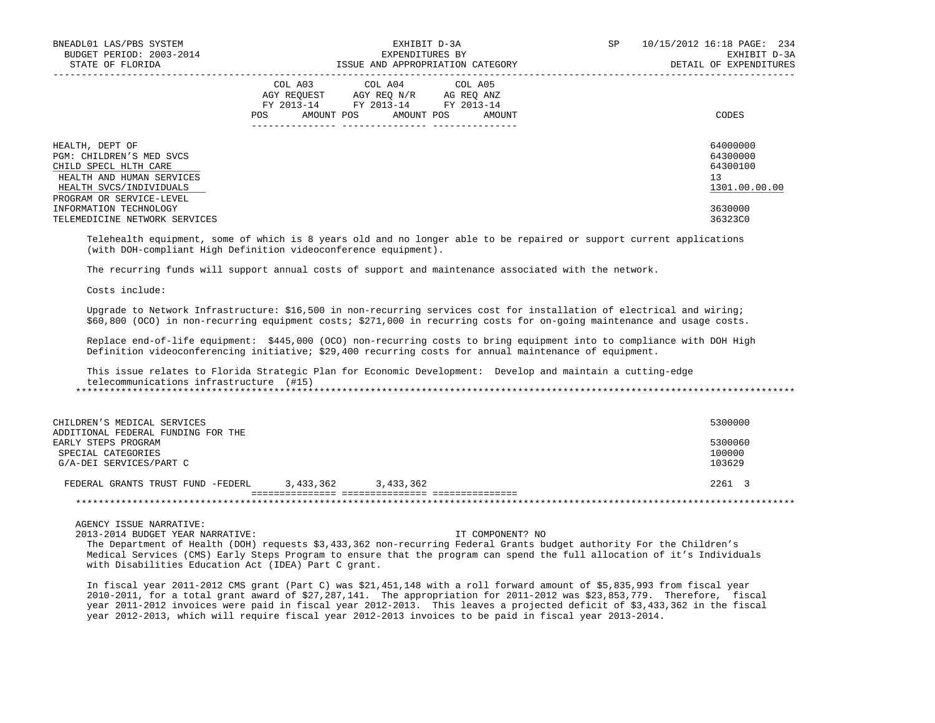| BNEADL01 LAS/PBS SYSTEM<br>BUDGET PERIOD: 2003-2014<br>STATE OF FLORIDA                                                                                  | EXHIBIT D-3A<br>EXPENDITURES BY<br>ISSUE AND APPROPRIATION CATEGORY                                                                                | 10/15/2012 16:18 PAGE: 234<br>SP<br>EXHIBIT D-3A<br>DETAIL OF EXPENDITURES |
|----------------------------------------------------------------------------------------------------------------------------------------------------------|----------------------------------------------------------------------------------------------------------------------------------------------------|----------------------------------------------------------------------------|
|                                                                                                                                                          | COL A03 COL A04 COL A05<br>AGY REQUEST AGY REO N/R AG REO ANZ<br>FY 2013-14 FY 2013-14 FY 2013-14<br>AMOUNT POS AMOUNT POS<br><b>POS</b><br>AMOUNT | CODES                                                                      |
| HEALTH, DEPT OF<br>PGM: CHILDREN'S MED SVCS<br>CHILD SPECL HLTH CARE<br>HEALTH AND HUMAN SERVICES<br>HEALTH SVCS/INDIVIDUALS<br>PROGRAM OR SERVICE-LEVEL |                                                                                                                                                    | 64000000<br>64300000<br>64300100<br>13<br>1301.00.00.00                    |
| INFORMATION TECHNOLOGY<br>TELEMEDICINE NETWORK SERVICES                                                                                                  |                                                                                                                                                    | 3630000<br>36323C0                                                         |

 Telehealth equipment, some of which is 8 years old and no longer able to be repaired or support current applications (with DOH-compliant High Definition videoconference equipment).

The recurring funds will support annual costs of support and maintenance associated with the network.

Costs include:

 Upgrade to Network Infrastructure: \$16,500 in non-recurring services cost for installation of electrical and wiring; \$60,800 (OCO) in non-recurring equipment costs; \$271,000 in recurring costs for on-going maintenance and usage costs.

 Replace end-of-life equipment: \$445,000 (OCO) non-recurring costs to bring equipment into to compliance with DOH High Definition videoconferencing initiative; \$29,400 recurring costs for annual maintenance of equipment.

 This issue relates to Florida Strategic Plan for Economic Development: Develop and maintain a cutting-edge telecommunications infrastructure (#15) \*\*\*\*\*\*\*\*\*\*\*\*\*\*\*\*\*\*\*\*\*\*\*\*\*\*\*\*\*\*\*\*\*\*\*\*\*\*\*\*\*\*\*\*\*\*\*\*\*\*\*\*\*\*\*\*\*\*\*\*\*\*\*\*\*\*\*\*\*\*\*\*\*\*\*\*\*\*\*\*\*\*\*\*\*\*\*\*\*\*\*\*\*\*\*\*\*\*\*\*\*\*\*\*\*\*\*\*\*\*\*\*\*\*\*\*\*\*\*\*\*\*\*\*\*\*\*

| CHILDREN'S MEDICAL SERVICES<br>ADDITIONAL FEDERAL FUNDING FOR THE |           |           | 5300000           |
|-------------------------------------------------------------------|-----------|-----------|-------------------|
| EARLY STEPS PROGRAM<br>SPECIAL CATEGORIES                         |           |           | 5300060<br>100000 |
| G/A-DEI SERVICES/PART C                                           |           |           | 103629            |
| FEDERAL GRANTS TRUST FUND -FEDERL                                 | 3,433,362 | 3,433,362 | 2261 3            |
|                                                                   |           |           |                   |

AGENCY ISSUE NARRATIVE:

2013-2014 BUDGET YEAR NARRATIVE: IT COMPONENT? NO

 The Department of Health (DOH) requests \$3,433,362 non-recurring Federal Grants budget authority For the Children's Medical Services (CMS) Early Steps Program to ensure that the program can spend the full allocation of it's Individuals with Disabilities Education Act (IDEA) Part C grant.

 In fiscal year 2011-2012 CMS grant (Part C) was \$21,451,148 with a roll forward amount of \$5,835,993 from fiscal year 2010-2011, for a total grant award of \$27,287,141. The appropriation for 2011-2012 was \$23,853,779. Therefore, fiscal year 2011-2012 invoices were paid in fiscal year 2012-2013. This leaves a projected deficit of \$3,433,362 in the fiscal year 2012-2013, which will require fiscal year 2012-2013 invoices to be paid in fiscal year 2013-2014.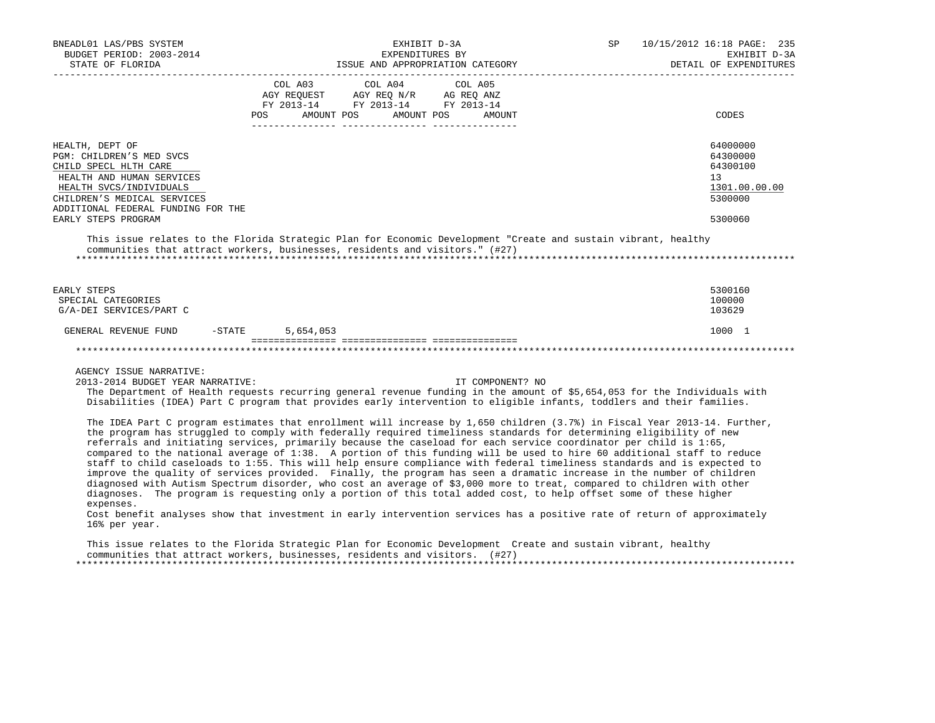| BNEADL01 LAS/PBS SYSTEM<br>BUDGET PERIOD: 2003-2014<br>STATE OF FLORIDA                                                                                                                                                  | EXHIBIT D-3A<br>EXPENDITURES BY<br>ISSUE AND APPROPRIATION CATEGORY<br>-----------------                                                                                                                                                                                                                                                                                                                                                                                                                                                                                                                                                                                                                                                                                                                                                                                                                                                                                                                                                                                                                                       | SP               | 10/15/2012 16:18 PAGE: 235<br>EXHIBIT D-3A<br>DETAIL OF EXPENDITURES          |
|--------------------------------------------------------------------------------------------------------------------------------------------------------------------------------------------------------------------------|--------------------------------------------------------------------------------------------------------------------------------------------------------------------------------------------------------------------------------------------------------------------------------------------------------------------------------------------------------------------------------------------------------------------------------------------------------------------------------------------------------------------------------------------------------------------------------------------------------------------------------------------------------------------------------------------------------------------------------------------------------------------------------------------------------------------------------------------------------------------------------------------------------------------------------------------------------------------------------------------------------------------------------------------------------------------------------------------------------------------------------|------------------|-------------------------------------------------------------------------------|
|                                                                                                                                                                                                                          | COL A03<br>COL A04<br>$\begin{tabular}{lllllll} \bf AGY \,\,\, REQUEST \,\,\, & \bf AGY \,\, REQ \,\, N/R & \,\, AG \,\, REQ \,\, ANZ \\ \bf FY \,\, 2013-14 & \bf FY \,\, 2013-14 & \bf FY \,\, 2013-14 \\ \end{tabular}$<br>POS AMOUNT POS AMOUNT POS AMOUNT                                                                                                                                                                                                                                                                                                                                                                                                                                                                                                                                                                                                                                                                                                                                                                                                                                                                 | COL A05          | CODES                                                                         |
| HEALTH, DEPT OF<br>PGM: CHILDREN'S MED SVCS<br>CHILD SPECL HLTH CARE<br>HEALTH AND HUMAN SERVICES<br>HEALTH SVCS/INDIVIDUALS<br>CHILDREN'S MEDICAL SERVICES<br>ADDITIONAL FEDERAL FUNDING FOR THE<br>EARLY STEPS PROGRAM |                                                                                                                                                                                                                                                                                                                                                                                                                                                                                                                                                                                                                                                                                                                                                                                                                                                                                                                                                                                                                                                                                                                                |                  | 64000000<br>64300000<br>64300100<br>13<br>1301.00.00.00<br>5300000<br>5300060 |
|                                                                                                                                                                                                                          | This issue relates to the Florida Strategic Plan for Economic Development "Create and sustain vibrant, healthy<br>communities that attract workers, businesses, residents and visitors." (#27)                                                                                                                                                                                                                                                                                                                                                                                                                                                                                                                                                                                                                                                                                                                                                                                                                                                                                                                                 |                  |                                                                               |
| EARLY STEPS<br>SPECIAL CATEGORIES<br>G/A-DEI SERVICES/PART C                                                                                                                                                             |                                                                                                                                                                                                                                                                                                                                                                                                                                                                                                                                                                                                                                                                                                                                                                                                                                                                                                                                                                                                                                                                                                                                |                  | 5300160<br>100000<br>103629                                                   |
| GENERAL REVENUE FUND                                                                                                                                                                                                     | 5,654,053<br>$-$ STATE                                                                                                                                                                                                                                                                                                                                                                                                                                                                                                                                                                                                                                                                                                                                                                                                                                                                                                                                                                                                                                                                                                         |                  | 1000 1                                                                        |
| AGENCY ISSUE NARRATIVE:<br>2013-2014 BUDGET YEAR NARRATIVE:                                                                                                                                                              | The Department of Health requests recurring general revenue funding in the amount of \$5,654,053 for the Individuals with<br>Disabilities (IDEA) Part C program that provides early intervention to eligible infants, toddlers and their families.                                                                                                                                                                                                                                                                                                                                                                                                                                                                                                                                                                                                                                                                                                                                                                                                                                                                             | IT COMPONENT? NO |                                                                               |
| expenses.<br>16% per year.                                                                                                                                                                                               | The IDEA Part C program estimates that enrollment will increase by 1,650 children (3.7%) in Fiscal Year 2013-14. Further,<br>the program has struggled to comply with federally required timeliness standards for determining eligibility of new<br>referrals and initiating services, primarily because the caseload for each service coordinator per child is 1:65,<br>compared to the national average of 1:38. A portion of this funding will be used to hire 60 additional staff to reduce<br>staff to child caseloads to 1:55. This will help ensure compliance with federal timeliness standards and is expected to<br>improve the quality of services provided. Finally, the program has seen a dramatic increase in the number of children<br>diagnosed with Autism Spectrum disorder, who cost an average of \$3,000 more to treat, compared to children with other<br>diagnoses. The program is requesting only a portion of this total added cost, to help offset some of these higher<br>Cost benefit analyses show that investment in early intervention services has a positive rate of return of approximately |                  |                                                                               |

 This issue relates to the Florida Strategic Plan for Economic Development Create and sustain vibrant, healthy communities that attract workers, businesses, residents and visitors. (#27) \*\*\*\*\*\*\*\*\*\*\*\*\*\*\*\*\*\*\*\*\*\*\*\*\*\*\*\*\*\*\*\*\*\*\*\*\*\*\*\*\*\*\*\*\*\*\*\*\*\*\*\*\*\*\*\*\*\*\*\*\*\*\*\*\*\*\*\*\*\*\*\*\*\*\*\*\*\*\*\*\*\*\*\*\*\*\*\*\*\*\*\*\*\*\*\*\*\*\*\*\*\*\*\*\*\*\*\*\*\*\*\*\*\*\*\*\*\*\*\*\*\*\*\*\*\*\*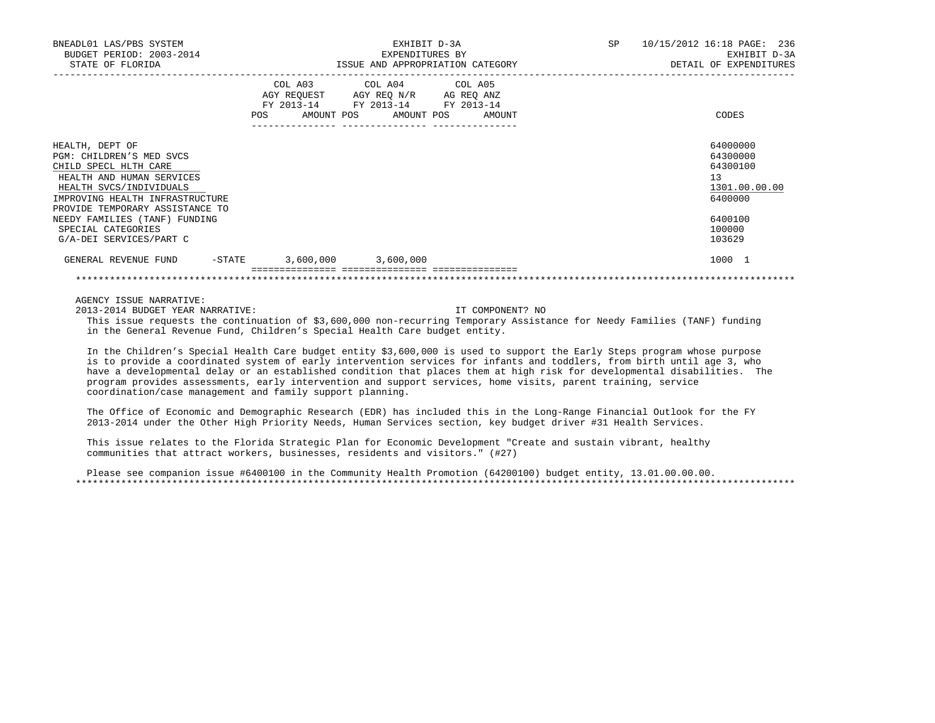| BNEADL01 LAS/PBS SYSTEM<br>BUDGET PERIOD: 2003-2014<br>STATE OF FLORIDA                                                                                                                            |     | EXHIBIT D-3A<br>EXPENDITURES BY<br>ISSUE AND APPROPRIATION CATEGORY                                                               | SP | 10/15/2012 16:18 PAGE: 236<br>EXHIBIT D-3A<br>DETAIL OF EXPENDITURES |
|----------------------------------------------------------------------------------------------------------------------------------------------------------------------------------------------------|-----|-----------------------------------------------------------------------------------------------------------------------------------|----|----------------------------------------------------------------------|
|                                                                                                                                                                                                    | POS | COL A03 COL A04 COL A05<br>AGY REQUEST AGY REQ N/R AG REQ ANZ<br>FY 2013-14 FY 2013-14 FY 2013-14<br>AMOUNT POS AMOUNT POS AMOUNT |    | CODES                                                                |
| HEALTH, DEPT OF<br>PGM: CHILDREN'S MED SVCS<br>CHILD SPECL HLTH CARE<br>HEALTH AND HUMAN SERVICES<br>HEALTH SVCS/INDIVIDUALS<br>IMPROVING HEALTH INFRASTRUCTURE<br>PROVIDE TEMPORARY ASSISTANCE TO |     |                                                                                                                                   |    | 64000000<br>64300000<br>64300100<br>13<br>1301.00.00.00<br>6400000   |
| NEEDY FAMILIES (TANF) FUNDING<br>SPECIAL CATEGORIES<br>G/A-DEI SERVICES/PART C                                                                                                                     |     |                                                                                                                                   |    | 6400100<br>100000<br>103629                                          |
| -STATE<br>GENERAL REVENUE FUND                                                                                                                                                                     |     | $3,600,000$ $3,600,000$                                                                                                           |    | 1000 1                                                               |
|                                                                                                                                                                                                    |     |                                                                                                                                   |    |                                                                      |

AGENCY ISSUE NARRATIVE:

2013-2014 BUDGET YEAR NARRATIVE: IT COMPONENT? NO

 This issue requests the continuation of \$3,600,000 non-recurring Temporary Assistance for Needy Families (TANF) funding in the General Revenue Fund, Children's Special Health Care budget entity.

 In the Children's Special Health Care budget entity \$3,600,000 is used to support the Early Steps program whose purpose is to provide a coordinated system of early intervention services for infants and toddlers, from birth until age 3, who have a developmental delay or an established condition that places them at high risk for developmental disabilities. The program provides assessments, early intervention and support services, home visits, parent training, service coordination/case management and family support planning.

 The Office of Economic and Demographic Research (EDR) has included this in the Long-Range Financial Outlook for the FY 2013-2014 under the Other High Priority Needs, Human Services section, key budget driver #31 Health Services.

 This issue relates to the Florida Strategic Plan for Economic Development "Create and sustain vibrant, healthy communities that attract workers, businesses, residents and visitors." (#27)

 Please see companion issue #6400100 in the Community Health Promotion (64200100) budget entity, 13.01.00.00.00. \*\*\*\*\*\*\*\*\*\*\*\*\*\*\*\*\*\*\*\*\*\*\*\*\*\*\*\*\*\*\*\*\*\*\*\*\*\*\*\*\*\*\*\*\*\*\*\*\*\*\*\*\*\*\*\*\*\*\*\*\*\*\*\*\*\*\*\*\*\*\*\*\*\*\*\*\*\*\*\*\*\*\*\*\*\*\*\*\*\*\*\*\*\*\*\*\*\*\*\*\*\*\*\*\*\*\*\*\*\*\*\*\*\*\*\*\*\*\*\*\*\*\*\*\*\*\*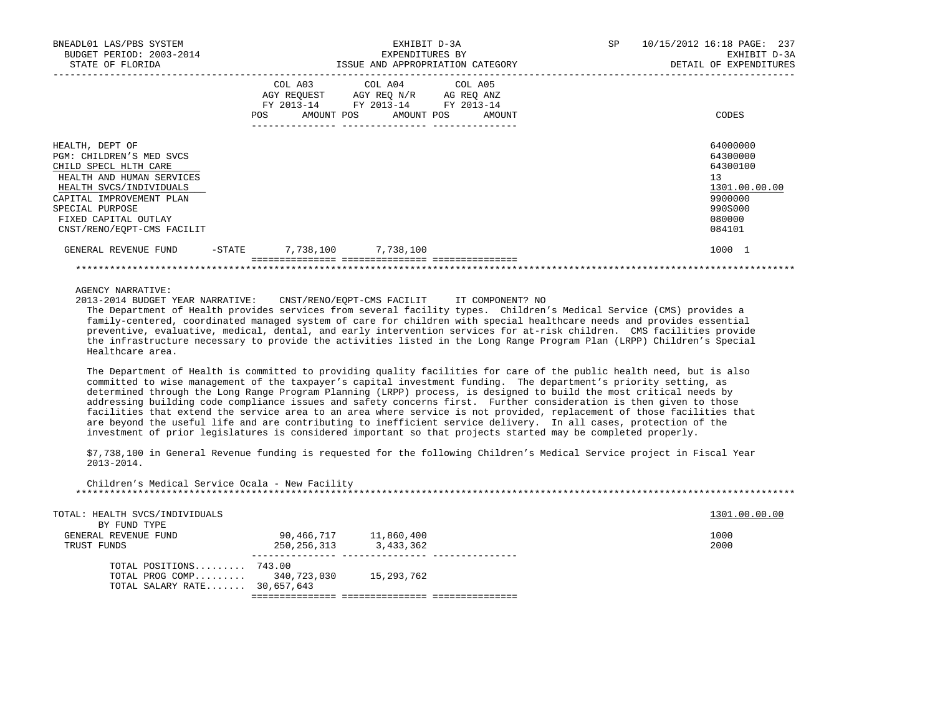| BNEADL01 LAS/PBS SYSTEM<br>BUDGET PERIOD: 2003-2014<br>STATE OF FLORIDA                                                                                                                                                           |           | EXPENDITURES BY                                                                                                                              | EXHIBIT D-3A<br>ISSUE AND APPROPRIATION CATEGORY | <b>SP</b> | 10/15/2012 16:18 PAGE: 237<br>EXHIBIT D-3A<br>DETAIL OF EXPENDITURES                              |
|-----------------------------------------------------------------------------------------------------------------------------------------------------------------------------------------------------------------------------------|-----------|----------------------------------------------------------------------------------------------------------------------------------------------|--------------------------------------------------|-----------|---------------------------------------------------------------------------------------------------|
|                                                                                                                                                                                                                                   | POS       | COL A03 COL A04 COL A05<br>AGY REQUEST AGY REQ N/R AG REQ ANZ<br>FY 2013-14 FY 2013-14 FY 2013-14<br>AMOUNT POS AMOUNT POS<br>-------------- | AMOUNT                                           |           | CODES                                                                                             |
| HEALTH, DEPT OF<br>PGM: CHILDREN'S MED SVCS<br>CHILD SPECL HLTH CARE<br>HEALTH AND HUMAN SERVICES<br>HEALTH SVCS/INDIVIDUALS<br>CAPITAL IMPROVEMENT PLAN<br>SPECIAL PURPOSE<br>FIXED CAPITAL OUTLAY<br>CNST/RENO/EOPT-CMS FACILIT |           |                                                                                                                                              |                                                  |           | 64000000<br>64300000<br>64300100<br>13<br>1301.00.00.00<br>9900000<br>990S000<br>080000<br>084101 |
| GENERAL REVENUE FUND                                                                                                                                                                                                              | $-$ STATE | 7,738,100 7,738,100                                                                                                                          |                                                  |           | 1000 1                                                                                            |
|                                                                                                                                                                                                                                   |           |                                                                                                                                              |                                                  |           |                                                                                                   |

AGENCY NARRATIVE:

2013-2014 BUDGET YEAR NARRATIVE: CNST/RENO/EQPT-CMS FACILIT IT COMPONENT? NO

 The Department of Health provides services from several facility types. Children's Medical Service (CMS) provides a family-centered, coordinated managed system of care for children with special healthcare needs and provides essential preventive, evaluative, medical, dental, and early intervention services for at-risk children. CMS facilities provide the infrastructure necessary to provide the activities listed in the Long Range Program Plan (LRPP) Children's Special Healthcare area.

 The Department of Health is committed to providing quality facilities for care of the public health need, but is also committed to wise management of the taxpayer's capital investment funding. The department's priority setting, as determined through the Long Range Program Planning (LRPP) process, is designed to build the most critical needs by addressing building code compliance issues and safety concerns first. Further consideration is then given to those facilities that extend the service area to an area where service is not provided, replacement of those facilities that are beyond the useful life and are contributing to inefficient service delivery. In all cases, protection of the investment of prior legislatures is considered important so that projects started may be completed properly.

 \$7,738,100 in General Revenue funding is requested for the following Children's Medical Service project in Fiscal Year 2013-2014.

 Children's Medical Service Ocala - New Facility \*\*\*\*\*\*\*\*\*\*\*\*\*\*\*\*\*\*\*\*\*\*\*\*\*\*\*\*\*\*\*\*\*\*\*\*\*\*\*\*\*\*\*\*\*\*\*\*\*\*\*\*\*\*\*\*\*\*\*\*\*\*\*\*\*\*\*\*\*\*\*\*\*\*\*\*\*\*\*\*\*\*\*\*\*\*\*\*\*\*\*\*\*\*\*\*\*\*\*\*\*\*\*\*\*\*\*\*\*\*\*\*\*\*\*\*\*\*\*\*\*\*\*\*\*\*\*

| TOTAL: HEALTH SVCS/INDIVIDUALS |             |            | 1301.00.00.00 |
|--------------------------------|-------------|------------|---------------|
| BY FUND TYPE                   |             |            |               |
| GENERAL REVENUE FUND           | 90,466,717  | 11,860,400 | 1000          |
| TRUST FUNDS                    | 250,256,313 | 3,433,362  | 2000          |
| TOTAL POSITIONS 743.00         |             |            |               |
| TOTAL PROG COMP 340,723,030    |             | 15,293,762 |               |
| TOTAL SALARY RATE 30,657,643   |             |            |               |

=============== =============== ===============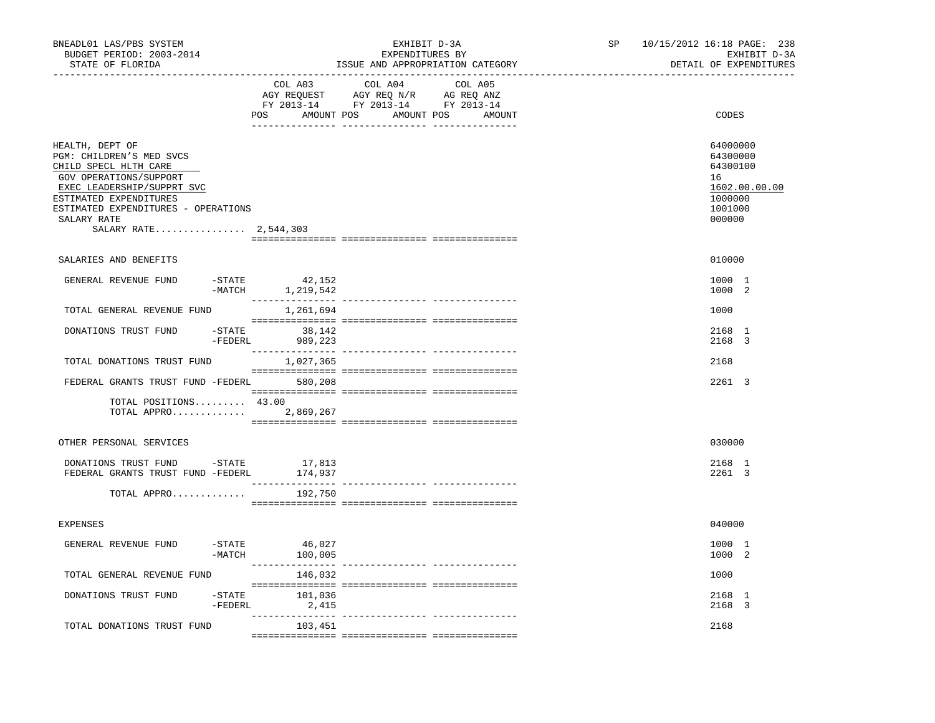| BNEADL01 LAS/PBS SYSTEM<br>BUDGET PERIOD: 2003-2014<br>STATE OF FLORIDA<br>------------------                                                                                                                                         |                                                             | EXHIBIT D-3A<br>EXPENDITURES BY<br>ISSUE AND APPROPRIATION CATEGORY                                                           | SP | 10/15/2012 16:18 PAGE: 238<br>EXHIBIT D-3A<br>DETAIL OF EXPENDITURES                    |
|---------------------------------------------------------------------------------------------------------------------------------------------------------------------------------------------------------------------------------------|-------------------------------------------------------------|-------------------------------------------------------------------------------------------------------------------------------|----|-----------------------------------------------------------------------------------------|
|                                                                                                                                                                                                                                       | COL A03                                                     | COL A04 COL A05<br>AGY REQUEST AGY REQ N/R AG REQ ANZ<br>FY 2013-14 FY 2013-14 FY 2013-14<br>POS AMOUNT POS AMOUNT POS AMOUNT |    | CODES                                                                                   |
| HEALTH, DEPT OF<br>PGM: CHILDREN'S MED SVCS<br>CHILD SPECL HLTH CARE<br>GOV OPERATIONS/SUPPORT<br>EXEC LEADERSHIP/SUPPRT SVC<br>ESTIMATED EXPENDITURES<br>ESTIMATED EXPENDITURES - OPERATIONS<br>SALARY RATE<br>SALARY RATE 2,544,303 |                                                             |                                                                                                                               |    | 64000000<br>64300000<br>64300100<br>16<br>1602.00.00.00<br>1000000<br>1001000<br>000000 |
| SALARIES AND BENEFITS                                                                                                                                                                                                                 |                                                             |                                                                                                                               |    | 010000                                                                                  |
| GENERAL REVENUE FUND                                                                                                                                                                                                                  | $-$ STATE<br>42,152<br>$-MATCH$<br>1,219,542                |                                                                                                                               |    | 1000 1<br>1000 2                                                                        |
| TOTAL GENERAL REVENUE FUND                                                                                                                                                                                                            | 1,261,694                                                   |                                                                                                                               |    | 1000                                                                                    |
| DONATIONS TRUST FUND                                                                                                                                                                                                                  | $-STATE$ 38, 142<br>-FEDERL<br>989,223                      |                                                                                                                               |    | 2168 1<br>2168 3                                                                        |
| TOTAL DONATIONS TRUST FUND                                                                                                                                                                                                            | 1,027,365                                                   |                                                                                                                               |    | 2168                                                                                    |
| FEDERAL GRANTS TRUST FUND -FEDERL 580,208                                                                                                                                                                                             |                                                             |                                                                                                                               |    | 2261 3                                                                                  |
| $TOTAL$ $POSITIONS$ $43.00$<br>TOTAL APPRO 2,869,267                                                                                                                                                                                  |                                                             |                                                                                                                               |    |                                                                                         |
| OTHER PERSONAL SERVICES                                                                                                                                                                                                               |                                                             |                                                                                                                               |    | 030000                                                                                  |
| DONATIONS TRUST FUND -STATE<br>FEDERAL GRANTS TRUST FUND -FEDERL                                                                                                                                                                      | 17,813<br>174,937                                           |                                                                                                                               |    | 2168 1<br>2261 3                                                                        |
| TOTAL APPRO                                                                                                                                                                                                                           | 192,750                                                     |                                                                                                                               |    |                                                                                         |
| <b>EXPENSES</b>                                                                                                                                                                                                                       |                                                             |                                                                                                                               |    | 040000                                                                                  |
| GENERAL REVENUE FUND                                                                                                                                                                                                                  | $-$ STATE 46,027<br>$-MATCH$<br>100,005<br>________________ |                                                                                                                               |    | 1000 1<br>1000 2                                                                        |
| TOTAL GENERAL REVENUE FUND                                                                                                                                                                                                            | 146,032                                                     |                                                                                                                               |    | 1000                                                                                    |
| DONATIONS TRUST FUND                                                                                                                                                                                                                  | 101,036<br>-STATE<br>$-FEDERL$ 2,415                        |                                                                                                                               |    | 2168 1<br>2168 3                                                                        |
| TOTAL DONATIONS TRUST FUND                                                                                                                                                                                                            | 103,451                                                     |                                                                                                                               |    | 2168                                                                                    |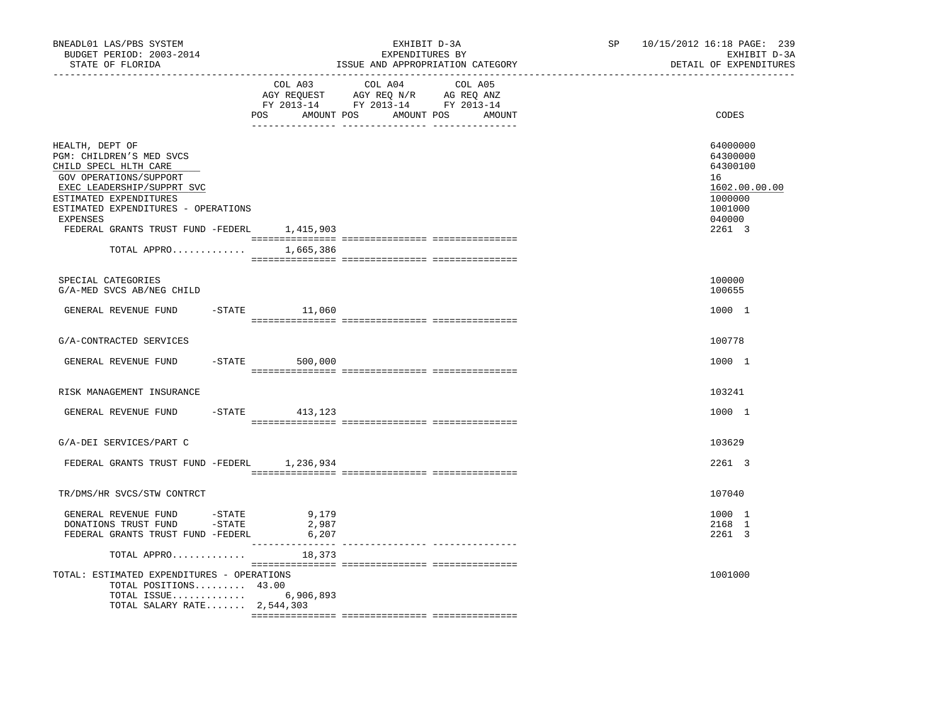| COL A04 COL A05<br>COL A03<br>AGY REQUEST AGY REQ N/R AG REQ ANZ<br>FY 2013-14 FY 2013-14 FY 2013-14<br>CODES<br>POS AMOUNT POS AMOUNT POS AMOUNT<br>HEALTH, DEPT OF<br>64000000<br>PGM: CHILDREN'S MED SVCS<br>64300000<br>CHILD SPECL HLTH CARE<br>64300100<br>GOV OPERATIONS/SUPPORT<br>16<br>EXEC LEADERSHIP/SUPPRT SVC<br>ESTIMATED EXPENDITURES<br>1000000<br>ESTIMATED EXPENDITURES - OPERATIONS<br>1001000<br>040000<br>EXPENSES<br>FEDERAL GRANTS TRUST FUND -FEDERL 1,415,903<br>2261 3 | 10/15/2012 16:18 PAGE: 239<br>EXHIBIT D-3A<br>DETAIL OF EXPENDITURES |
|---------------------------------------------------------------------------------------------------------------------------------------------------------------------------------------------------------------------------------------------------------------------------------------------------------------------------------------------------------------------------------------------------------------------------------------------------------------------------------------------------|----------------------------------------------------------------------|
|                                                                                                                                                                                                                                                                                                                                                                                                                                                                                                   |                                                                      |
|                                                                                                                                                                                                                                                                                                                                                                                                                                                                                                   | 1602.00.00.00                                                        |
| $\begin{minipage}{0.03\textwidth} \begin{tabular}{l} \textbf{1} & \textbf{2} & \textbf{3} & \textbf{5} & \textbf{5} & \textbf{6} & \textbf{6} & \textbf{7} & \textbf{8} & \textbf{8} & \textbf{9} & \textbf{9} & \textbf{9} & \textbf{9} & \textbf{9} & \textbf{9} & \textbf{9} & \textbf{9} & \textbf{9} & \textbf{9} & \textbf{9} & \textbf{9} & \textbf{9} & \textbf{9} & \textbf{9} & \textbf{9} & \textbf{9} & \textbf{9} & \$<br>TOTAL APPRO 1,665,386                                      |                                                                      |
| SPECIAL CATEGORIES<br>100000<br>G/A-MED SVCS AB/NEG CHILD<br>100655                                                                                                                                                                                                                                                                                                                                                                                                                               |                                                                      |
| $-$ STATE $11,060$<br>1000 1<br>GENERAL REVENUE FUND                                                                                                                                                                                                                                                                                                                                                                                                                                              |                                                                      |
| 100778<br>G/A-CONTRACTED SERVICES                                                                                                                                                                                                                                                                                                                                                                                                                                                                 |                                                                      |
| GENERAL REVENUE FUND -STATE 500,000<br>1000 1                                                                                                                                                                                                                                                                                                                                                                                                                                                     |                                                                      |
| RISK MANAGEMENT INSURANCE<br>103241                                                                                                                                                                                                                                                                                                                                                                                                                                                               |                                                                      |
| -STATE 413,123<br>1000 1<br>GENERAL REVENUE FUND                                                                                                                                                                                                                                                                                                                                                                                                                                                  |                                                                      |
| G/A-DEI SERVICES/PART C<br>103629                                                                                                                                                                                                                                                                                                                                                                                                                                                                 |                                                                      |
| FEDERAL GRANTS TRUST FUND -FEDERL 1,236,934<br>2261 3                                                                                                                                                                                                                                                                                                                                                                                                                                             |                                                                      |
| TR/DMS/HR SVCS/STW CONTRCT<br>107040                                                                                                                                                                                                                                                                                                                                                                                                                                                              |                                                                      |
| GENERAL REVENUE FUND - STATE<br>DONATIONS TRUST FUND - STATE<br>9,179<br>1000 1<br>2168 1<br>2,987<br>FEDERAL GRANTS TRUST FUND -FEDERL<br>6,207<br>2261 3                                                                                                                                                                                                                                                                                                                                        |                                                                      |
| ________________<br>TOTAL APPRO<br>18,373                                                                                                                                                                                                                                                                                                                                                                                                                                                         |                                                                      |
| TOTAL: ESTIMATED EXPENDITURES - OPERATIONS<br>1001000<br>TOTAL POSITIONS 43.00<br>TOTAL ISSUE 6,906,893<br>TOTAL SALARY RATE 2,544,303                                                                                                                                                                                                                                                                                                                                                            |                                                                      |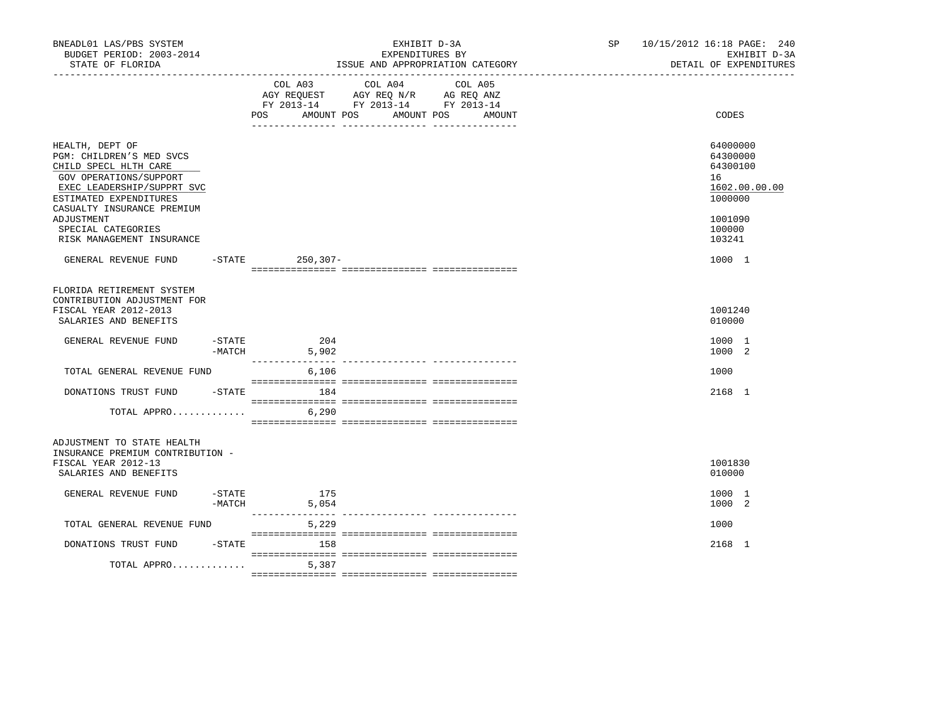| BNEADL01 LAS/PBS SYSTEM<br>BUDGET PERIOD: 2003-2014<br>STATE OF FLORIDA                                                                                                                                                                               |                     |                                     | EXPENDITURES BY                                                                   | EXHIBIT D-3A<br>ISSUE AND APPROPRIATION CATEGORY | SP and the set of the set of the set of the set of the set of the set of the set of the set of the set of the set of the set of the set of the set of the set of the set of the set of the set of the set of the set of the se | 10/15/2012 16:18 PAGE: 240<br>EXHIBIT D-3A<br>DETAIL OF EXPENDITURES                              |
|-------------------------------------------------------------------------------------------------------------------------------------------------------------------------------------------------------------------------------------------------------|---------------------|-------------------------------------|-----------------------------------------------------------------------------------|--------------------------------------------------|--------------------------------------------------------------------------------------------------------------------------------------------------------------------------------------------------------------------------------|---------------------------------------------------------------------------------------------------|
|                                                                                                                                                                                                                                                       |                     | COL A03<br><b>POS</b><br>AMOUNT POS | COL A04<br>AGY REQUEST AGY REQ N/R AG REQ ANZ<br>FY 2013-14 FY 2013-14 FY 2013-14 | COL A05<br>AMOUNT POS<br>AMOUNT                  |                                                                                                                                                                                                                                | CODES                                                                                             |
| HEALTH, DEPT OF<br>PGM: CHILDREN'S MED SVCS<br>CHILD SPECL HLTH CARE<br>GOV OPERATIONS/SUPPORT<br>EXEC LEADERSHIP/SUPPRT SVC<br>ESTIMATED EXPENDITURES<br>CASUALTY INSURANCE PREMIUM<br>ADJUSTMENT<br>SPECIAL CATEGORIES<br>RISK MANAGEMENT INSURANCE |                     |                                     |                                                                                   |                                                  |                                                                                                                                                                                                                                | 64000000<br>64300000<br>64300100<br>16<br>1602.00.00.00<br>1000000<br>1001090<br>100000<br>103241 |
| GENERAL REVENUE FUND                                                                                                                                                                                                                                  |                     | -STATE 250,307-                     |                                                                                   |                                                  |                                                                                                                                                                                                                                | 1000 1                                                                                            |
| FLORIDA RETIREMENT SYSTEM<br>CONTRIBUTION ADJUSTMENT FOR<br>FISCAL YEAR 2012-2013<br>SALARIES AND BENEFITS                                                                                                                                            |                     |                                     |                                                                                   |                                                  |                                                                                                                                                                                                                                | 1001240<br>010000                                                                                 |
| GENERAL REVENUE FUND                                                                                                                                                                                                                                  | -STATE<br>$-MATCH$  | 204<br>5,902                        |                                                                                   |                                                  |                                                                                                                                                                                                                                | 1000 1<br>1000 2                                                                                  |
| TOTAL GENERAL REVENUE FUND                                                                                                                                                                                                                            |                     | 6,106                               |                                                                                   |                                                  |                                                                                                                                                                                                                                | 1000                                                                                              |
| DONATIONS TRUST FUND -STATE 184                                                                                                                                                                                                                       |                     |                                     |                                                                                   |                                                  |                                                                                                                                                                                                                                | 2168 1                                                                                            |
| TOTAL APPRO                                                                                                                                                                                                                                           |                     | 6,290                               |                                                                                   |                                                  |                                                                                                                                                                                                                                |                                                                                                   |
| ADJUSTMENT TO STATE HEALTH<br>INSURANCE PREMIUM CONTRIBUTION -<br>FISCAL YEAR 2012-13<br>SALARIES AND BENEFITS                                                                                                                                        |                     |                                     |                                                                                   |                                                  |                                                                                                                                                                                                                                | 1001830<br>010000                                                                                 |
| GENERAL REVENUE FUND                                                                                                                                                                                                                                  | $-$ STATE<br>-MATCH | 175<br>5,054                        |                                                                                   |                                                  |                                                                                                                                                                                                                                | 1000 1<br>1000 2                                                                                  |
| TOTAL GENERAL REVENUE FUND                                                                                                                                                                                                                            |                     | 5,229                               |                                                                                   |                                                  |                                                                                                                                                                                                                                | 1000                                                                                              |
| DONATIONS TRUST FUND                                                                                                                                                                                                                                  | $-$ STATE           | 158                                 |                                                                                   |                                                  |                                                                                                                                                                                                                                | 2168 1                                                                                            |
| TOTAL APPRO                                                                                                                                                                                                                                           |                     | 5,387                               |                                                                                   |                                                  |                                                                                                                                                                                                                                |                                                                                                   |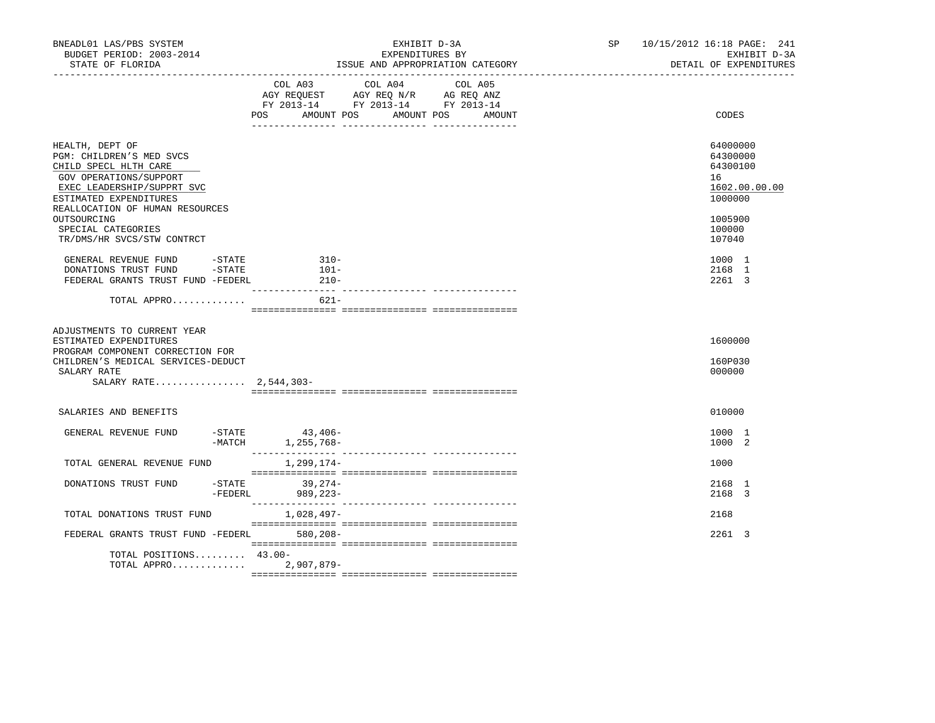| BNEADL01 LAS/PBS SYSTEM<br>BUDGET PERIOD: 2003-2014<br>STATE OF FLORIDA                                                                                                                                                                                      | EXHIBIT D-3A<br>EXPENDITURES BY<br>ISSUE AND APPROPRIATION CATEGORY                                                                                      | 10/15/2012 16:18 PAGE: 241<br>SP<br>EXHIBIT D-3A<br>DETAIL OF EXPENDITURES                        |
|--------------------------------------------------------------------------------------------------------------------------------------------------------------------------------------------------------------------------------------------------------------|----------------------------------------------------------------------------------------------------------------------------------------------------------|---------------------------------------------------------------------------------------------------|
|                                                                                                                                                                                                                                                              | COL A03 COL A04<br>COL A05<br>AGY REQUEST AGY REQ N/R AG REQ ANZ<br>FY 2013-14 FY 2013-14 FY 2013-14<br><b>POS</b><br>AMOUNT POS<br>AMOUNT POS<br>AMOUNT | CODES                                                                                             |
| HEALTH, DEPT OF<br>PGM: CHILDREN'S MED SVCS<br>CHILD SPECL HLTH CARE<br>GOV OPERATIONS/SUPPORT<br>EXEC LEADERSHIP/SUPPRT SVC<br>ESTIMATED EXPENDITURES<br>REALLOCATION OF HUMAN RESOURCES<br>OUTSOURCING<br>SPECIAL CATEGORIES<br>TR/DMS/HR SVCS/STW CONTRCT |                                                                                                                                                          | 64000000<br>64300000<br>64300100<br>16<br>1602.00.00.00<br>1000000<br>1005900<br>100000<br>107040 |
| GENERAL REVENUE FUND - STATE<br>DONATIONS TRUST FUND<br>$-\mathtt{STATE}$<br>FEDERAL GRANTS TRUST FUND -FEDERL                                                                                                                                               | $310-$<br>$101-$<br>$210-$                                                                                                                               | 1000 1<br>2168 1<br>2261 3                                                                        |
| TOTAL APPRO                                                                                                                                                                                                                                                  | $621 -$                                                                                                                                                  |                                                                                                   |
| ADJUSTMENTS TO CURRENT YEAR<br>ESTIMATED EXPENDITURES<br>PROGRAM COMPONENT CORRECTION FOR<br>CHILDREN'S MEDICAL SERVICES-DEDUCT<br>SALARY RATE<br>SALARY RATE 2,544,303-                                                                                     |                                                                                                                                                          | 1600000<br>160P030<br>000000                                                                      |
|                                                                                                                                                                                                                                                              |                                                                                                                                                          |                                                                                                   |
| SALARIES AND BENEFITS                                                                                                                                                                                                                                        |                                                                                                                                                          | 010000                                                                                            |
| GENERAL REVENUE FUND<br>$ \mathrm{STATE}$                                                                                                                                                                                                                    | 43,406-<br>$-MATCH$<br>1,255,768-                                                                                                                        | 1000 1<br>1000 2                                                                                  |
| TOTAL GENERAL REVENUE FUND                                                                                                                                                                                                                                   | 1,299,174–                                                                                                                                               | 1000                                                                                              |
| $-$ STATE<br>DONATIONS TRUST FUND<br>-FEDERL                                                                                                                                                                                                                 | $39,274-$<br>989,223-                                                                                                                                    | 2168 1<br>2168 3                                                                                  |
| TOTAL DONATIONS TRUST FUND                                                                                                                                                                                                                                   | 1,028,497-                                                                                                                                               | 2168                                                                                              |
| FEDERAL GRANTS TRUST FUND -FEDERL 580,208-                                                                                                                                                                                                                   |                                                                                                                                                          | 2261 3                                                                                            |
| TOTAL POSITIONS $43.00 -$<br>TOTAL APPRO 2,907,879-                                                                                                                                                                                                          |                                                                                                                                                          |                                                                                                   |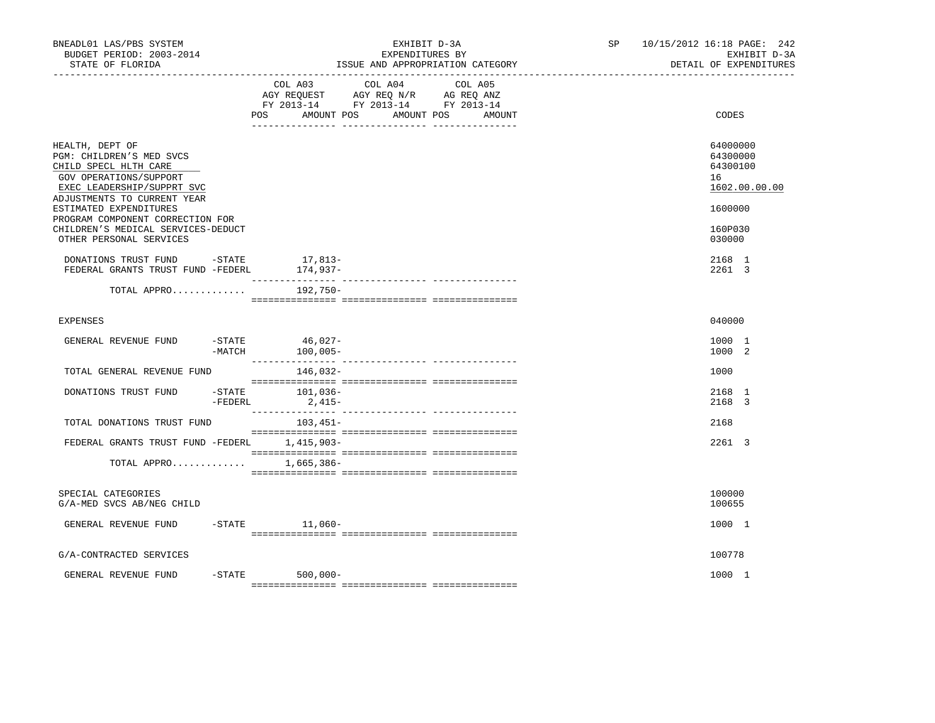| BNEADL01 LAS/PBS SYSTEM<br>BUDGET PERIOD: 2003-2014<br>STATE OF FLORIDA                                                                                     |                                                                           | EXHIBIT D-3A<br>EXPENDITURES BY<br>ISSUE AND APPROPRIATION CATEGORY |                      |  | SP <sub>2</sub> | 10/15/2012 16:18 PAGE: 242<br>EXHIBIT D-3A<br>DETAIL OF EXPENDITURES |
|-------------------------------------------------------------------------------------------------------------------------------------------------------------|---------------------------------------------------------------------------|---------------------------------------------------------------------|----------------------|--|-----------------|----------------------------------------------------------------------|
|                                                                                                                                                             | COL A03<br>AGY REQUEST AGY REQ N/R AG REQ ANZ<br><b>POS</b><br>AMOUNT POS | COL A04 COL A05<br>FY 2013-14 FY 2013-14 FY 2013-14                 | AMOUNT POS<br>AMOUNT |  | CODES           |                                                                      |
| HEALTH, DEPT OF<br>PGM: CHILDREN'S MED SVCS<br>CHILD SPECL HLTH CARE<br>GOV OPERATIONS/SUPPORT<br>EXEC LEADERSHIP/SUPPRT SVC<br>ADJUSTMENTS TO CURRENT YEAR |                                                                           |                                                                     |                      |  |                 | 64000000<br>64300000<br>64300100<br>16<br>1602.00.00.00              |
| ESTIMATED EXPENDITURES                                                                                                                                      |                                                                           |                                                                     |                      |  |                 | 1600000                                                              |
| PROGRAM COMPONENT CORRECTION FOR<br>CHILDREN'S MEDICAL SERVICES-DEDUCT<br>OTHER PERSONAL SERVICES                                                           |                                                                           |                                                                     |                      |  |                 | 160P030<br>030000                                                    |
| DONATIONS TRUST FUND -STATE<br>FEDERAL GRANTS TRUST FUND -FEDERL                                                                                            |                                                                           | 17,813-<br>174,937-                                                 |                      |  |                 | 2168 1<br>2261 3                                                     |
| TOTAL APPRO                                                                                                                                                 |                                                                           | 192,750-                                                            |                      |  |                 |                                                                      |
| <b>EXPENSES</b>                                                                                                                                             |                                                                           |                                                                     |                      |  |                 | 040000                                                               |
| GENERAL REVENUE FUND                                                                                                                                        | $-MATCH$                                                                  | -STATE 46,027-<br>$100,005-$                                        |                      |  |                 | 1000 1<br>1000 2                                                     |
| TOTAL GENERAL REVENUE FUND                                                                                                                                  |                                                                           | 146,032-                                                            |                      |  |                 | 1000                                                                 |
| DONATIONS TRUST FUND                                                                                                                                        | -STATE<br>$-$ FEDERL                                                      | 101,036-<br>2,415-                                                  |                      |  |                 | 2168 1<br>2168 3                                                     |
| TOTAL DONATIONS TRUST FUND                                                                                                                                  |                                                                           | 103,451-                                                            |                      |  |                 | 2168                                                                 |
| FEDERAL GRANTS TRUST FUND -FEDERL 1,415,903-                                                                                                                |                                                                           |                                                                     |                      |  |                 | 2261 3                                                               |
| TOTAL APPRO                                                                                                                                                 |                                                                           | 1,665,386-                                                          |                      |  |                 |                                                                      |
| SPECIAL CATEGORIES<br>G/A-MED SVCS AB/NEG CHILD                                                                                                             |                                                                           |                                                                     |                      |  |                 | 100000<br>100655                                                     |
| GENERAL REVENUE FUND                                                                                                                                        |                                                                           | $-$ STATE $11,060-$                                                 |                      |  |                 | 1000 1                                                               |
| G/A-CONTRACTED SERVICES                                                                                                                                     |                                                                           |                                                                     |                      |  |                 | 100778                                                               |
| GENERAL REVENUE FUND                                                                                                                                        |                                                                           | $-STATE$ 500,000-                                                   |                      |  |                 | 1000 1                                                               |
|                                                                                                                                                             |                                                                           |                                                                     |                      |  |                 |                                                                      |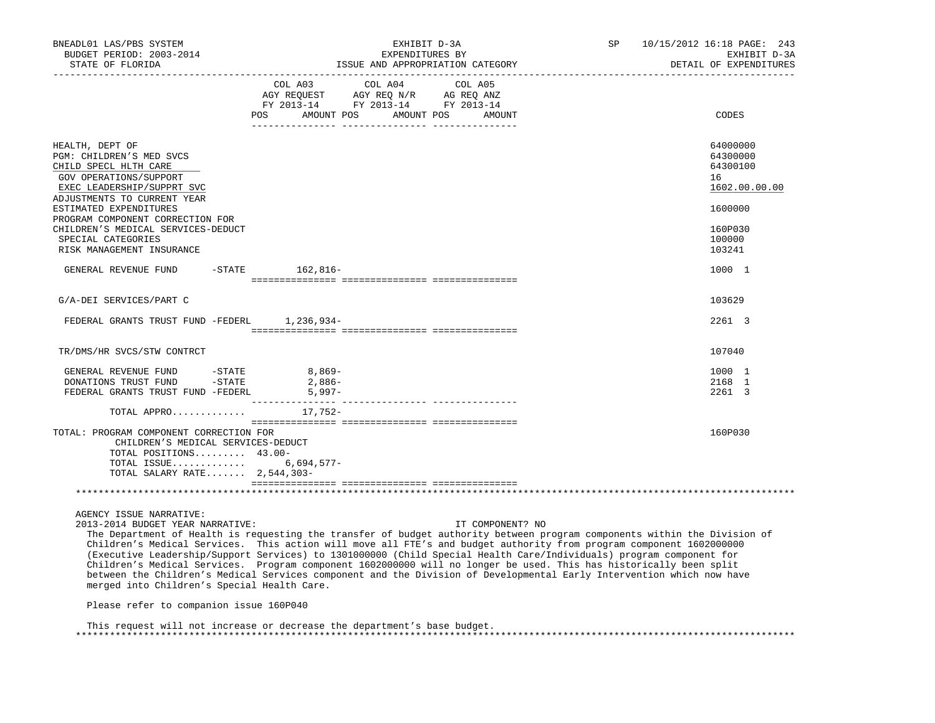| BNEADL01 LAS/PBS SYSTEM<br>BUDGET PERIOD: 2003-2014<br>STATE OF FLORIDA                                                                                                                                                                                                                                                                                                                                                                                                                                                                                                                                                                                                                                                              |                                                                                                                                                                                                | EXHIBIT D-3A<br>EXPENDITURES BY | ISSUE AND APPROPRIATION CATEGORY | SP | 10/15/2012 16:18 PAGE: 243<br>EXHIBIT D-3A<br>DETAIL OF EXPENDITURES                              |
|--------------------------------------------------------------------------------------------------------------------------------------------------------------------------------------------------------------------------------------------------------------------------------------------------------------------------------------------------------------------------------------------------------------------------------------------------------------------------------------------------------------------------------------------------------------------------------------------------------------------------------------------------------------------------------------------------------------------------------------|------------------------------------------------------------------------------------------------------------------------------------------------------------------------------------------------|---------------------------------|----------------------------------|----|---------------------------------------------------------------------------------------------------|
|                                                                                                                                                                                                                                                                                                                                                                                                                                                                                                                                                                                                                                                                                                                                      | $\begin{tabular}{lcccc} COL A03 & COL A04 & COL A05 \\ AGY REQUEST & AGY REQ N/R & AG REQ ANZ \\ FY & 2013-14 & FY & 2013-14 & FY & 2013-14 \end{tabular}$<br>POS AMOUNT POS AMOUNT POS AMOUNT |                                 |                                  |    | CODES                                                                                             |
| HEALTH, DEPT OF<br>PGM: CHILDREN'S MED SVCS<br>CHILD SPECL HLTH CARE<br>GOV OPERATIONS/SUPPORT<br>EXEC LEADERSHIP/SUPPRT SVC<br>ADJUSTMENTS TO CURRENT YEAR<br>ESTIMATED EXPENDITURES<br>PROGRAM COMPONENT CORRECTION FOR<br>CHILDREN'S MEDICAL SERVICES-DEDUCT<br>SPECIAL CATEGORIES<br>RISK MANAGEMENT INSURANCE                                                                                                                                                                                                                                                                                                                                                                                                                   |                                                                                                                                                                                                |                                 |                                  |    | 64000000<br>64300000<br>64300100<br>16<br>1602.00.00.00<br>1600000<br>160P030<br>100000<br>103241 |
| GENERAL REVENUE FUND                                                                                                                                                                                                                                                                                                                                                                                                                                                                                                                                                                                                                                                                                                                 | -STATE 162,816-                                                                                                                                                                                |                                 |                                  |    | 1000 1                                                                                            |
| G/A-DEI SERVICES/PART C                                                                                                                                                                                                                                                                                                                                                                                                                                                                                                                                                                                                                                                                                                              |                                                                                                                                                                                                |                                 |                                  |    | 103629                                                                                            |
| FEDERAL GRANTS TRUST FUND -FEDERL 1,236,934-                                                                                                                                                                                                                                                                                                                                                                                                                                                                                                                                                                                                                                                                                         |                                                                                                                                                                                                |                                 |                                  |    | 2261 3                                                                                            |
| TR/DMS/HR SVCS/STW CONTRCT                                                                                                                                                                                                                                                                                                                                                                                                                                                                                                                                                                                                                                                                                                           |                                                                                                                                                                                                |                                 |                                  |    | 107040                                                                                            |
| GENERAL REVENUE FUND - STATE<br>DONATIONS TRUST FUND - STATE<br>FEDERAL GRANTS TRUST FUND -FEDERL                                                                                                                                                                                                                                                                                                                                                                                                                                                                                                                                                                                                                                    | $8,869-$<br>2,886-<br>$5,997-$                                                                                                                                                                 |                                 |                                  |    | 1000 1<br>2168 1<br>2261 3                                                                        |
| TOTAL APPRO $17,752-$                                                                                                                                                                                                                                                                                                                                                                                                                                                                                                                                                                                                                                                                                                                |                                                                                                                                                                                                |                                 |                                  |    |                                                                                                   |
| TOTAL: PROGRAM COMPONENT CORRECTION FOR<br>CHILDREN'S MEDICAL SERVICES-DEDUCT<br>TOTAL POSITIONS 43.00-<br>TOTAL ISSUE 6,694,577-<br>TOTAL SALARY RATE $2,544,303-$                                                                                                                                                                                                                                                                                                                                                                                                                                                                                                                                                                  |                                                                                                                                                                                                |                                 |                                  |    | 160P030                                                                                           |
|                                                                                                                                                                                                                                                                                                                                                                                                                                                                                                                                                                                                                                                                                                                                      |                                                                                                                                                                                                |                                 |                                  |    |                                                                                                   |
| AGENCY ISSUE NARRATIVE:<br>2013-2014 BUDGET YEAR NARRATIVE:<br>The Department of Health is requesting the transfer of budget authority between program components within the Division of<br>Children's Medical Services. This action will move all FTE's and budget authority from program component 1602000000<br>(Executive Leadership/Support Services) to 1301000000 (Child Special Health Care/Individuals) program component for<br>Children's Medical Services. Program component 1602000000 will no longer be used. This has historically been split<br>between the Children's Medical Services component and the Division of Developmental Early Intervention which now have<br>merged into Children's Special Health Care. |                                                                                                                                                                                                |                                 | IT COMPONENT? NO                 |    |                                                                                                   |
| Please refer to companion issue 160P040                                                                                                                                                                                                                                                                                                                                                                                                                                                                                                                                                                                                                                                                                              |                                                                                                                                                                                                |                                 |                                  |    |                                                                                                   |

 This request will not increase or decrease the department's base budget. \*\*\*\*\*\*\*\*\*\*\*\*\*\*\*\*\*\*\*\*\*\*\*\*\*\*\*\*\*\*\*\*\*\*\*\*\*\*\*\*\*\*\*\*\*\*\*\*\*\*\*\*\*\*\*\*\*\*\*\*\*\*\*\*\*\*\*\*\*\*\*\*\*\*\*\*\*\*\*\*\*\*\*\*\*\*\*\*\*\*\*\*\*\*\*\*\*\*\*\*\*\*\*\*\*\*\*\*\*\*\*\*\*\*\*\*\*\*\*\*\*\*\*\*\*\*\*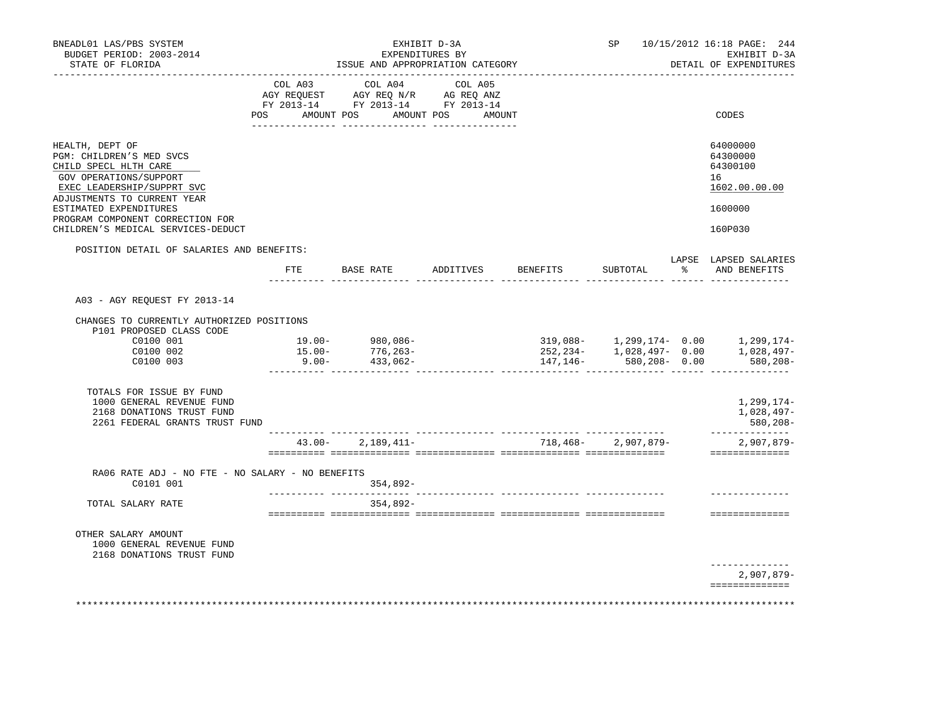| BNEADL01 LAS/PBS SYSTEM<br>BUDGET PERIOD: 2003-2014<br>STATE OF FLORIDA                                                                                                                                                                                         |           | EXHIBIT D-3A<br>EXPENDITURES BY<br>ISSUE AND APPROPRIATION CATEGORY                                                                                        |                                  | SP 10/15/2012 16:18 PAGE: 244<br>EXHIBIT D-3A<br>DETAIL OF EXPENDITURES |                                                                               |
|-----------------------------------------------------------------------------------------------------------------------------------------------------------------------------------------------------------------------------------------------------------------|-----------|------------------------------------------------------------------------------------------------------------------------------------------------------------|----------------------------------|-------------------------------------------------------------------------|-------------------------------------------------------------------------------|
|                                                                                                                                                                                                                                                                 |           | $\begin{tabular}{lcccc} COL A03 & COL A04 & COL A05 \\ AGY REQUEST & AGY REQ N/R & AG REQ ANZ \\ FY & 2013-14 & FY & 2013-14 & FY & 2013-14 \end{tabular}$ |                                  |                                                                         |                                                                               |
|                                                                                                                                                                                                                                                                 |           | POS AMOUNT POS AMOUNT POS AMOUNT                                                                                                                           |                                  |                                                                         | CODES                                                                         |
| HEALTH, DEPT OF<br>PGM: CHILDREN'S MED SVCS<br>CHILD SPECL HLTH CARE<br>GOV OPERATIONS/SUPPORT<br>EXEC LEADERSHIP/SUPPRT SVC<br>ADJUSTMENTS TO CURRENT YEAR<br>ESTIMATED EXPENDITURES<br>PROGRAM COMPONENT CORRECTION FOR<br>CHILDREN'S MEDICAL SERVICES-DEDUCT |           |                                                                                                                                                            |                                  |                                                                         | 64000000<br>64300000<br>64300100<br>16<br>1602.00.00.00<br>1600000<br>160P030 |
| POSITION DETAIL OF SALARIES AND BENEFITS:                                                                                                                                                                                                                       |           |                                                                                                                                                            |                                  |                                                                         |                                                                               |
|                                                                                                                                                                                                                                                                 |           |                                                                                                                                                            | FTE BASE RATE ADDITIVES BENEFITS | SUBTOTAL                                                                | LAPSE LAPSED SALARIES<br>% AND BENEFITS                                       |
| A03 - AGY REQUEST FY 2013-14                                                                                                                                                                                                                                    |           |                                                                                                                                                            |                                  |                                                                         |                                                                               |
| CHANGES TO CURRENTLY AUTHORIZED POSITIONS<br>P101 PROPOSED CLASS CODE                                                                                                                                                                                           |           |                                                                                                                                                            |                                  |                                                                         |                                                                               |
| C0100 001                                                                                                                                                                                                                                                       |           | $19.00 - 980,086 -$                                                                                                                                        |                                  |                                                                         | 319,088- 1,299,174- 0.00 1,299,174-                                           |
| C0100 002<br>C0100 003                                                                                                                                                                                                                                          | $15.00 -$ | 776,263-<br>$9.00 - 433,062 -$                                                                                                                             |                                  | 147,146- 580,208- 0.00                                                  | 252,234- 1,028,497- 0.00 1,028,497-<br>580, 208                               |
| TOTALS FOR ISSUE BY FUND<br>1000 GENERAL REVENUE FUND<br>2168 DONATIONS TRUST FUND<br>2261 FEDERAL GRANTS TRUST FUND                                                                                                                                            |           |                                                                                                                                                            |                                  |                                                                         | 1,299,174-<br>1,028,497-<br>580,208-                                          |
|                                                                                                                                                                                                                                                                 |           | $43.00 - 2.189.411 -$                                                                                                                                      |                                  | 718,468-2,907,879-                                                      | ______________<br>$2,907,879-$<br>---------------                             |
| RA06 RATE ADJ - NO FTE - NO SALARY - NO BENEFITS                                                                                                                                                                                                                |           |                                                                                                                                                            |                                  |                                                                         |                                                                               |
| C0101 001                                                                                                                                                                                                                                                       |           | $354.892 -$                                                                                                                                                |                                  |                                                                         |                                                                               |
| TOTAL SALARY RATE                                                                                                                                                                                                                                               |           | $354.892 -$                                                                                                                                                |                                  |                                                                         | ==============                                                                |
| OTHER SALARY AMOUNT<br>1000 GENERAL REVENUE FUND<br>2168 DONATIONS TRUST FUND                                                                                                                                                                                   |           |                                                                                                                                                            |                                  |                                                                         |                                                                               |
|                                                                                                                                                                                                                                                                 |           |                                                                                                                                                            |                                  |                                                                         | -------------<br>2,907,879-                                                   |
|                                                                                                                                                                                                                                                                 |           |                                                                                                                                                            |                                  |                                                                         | ==============                                                                |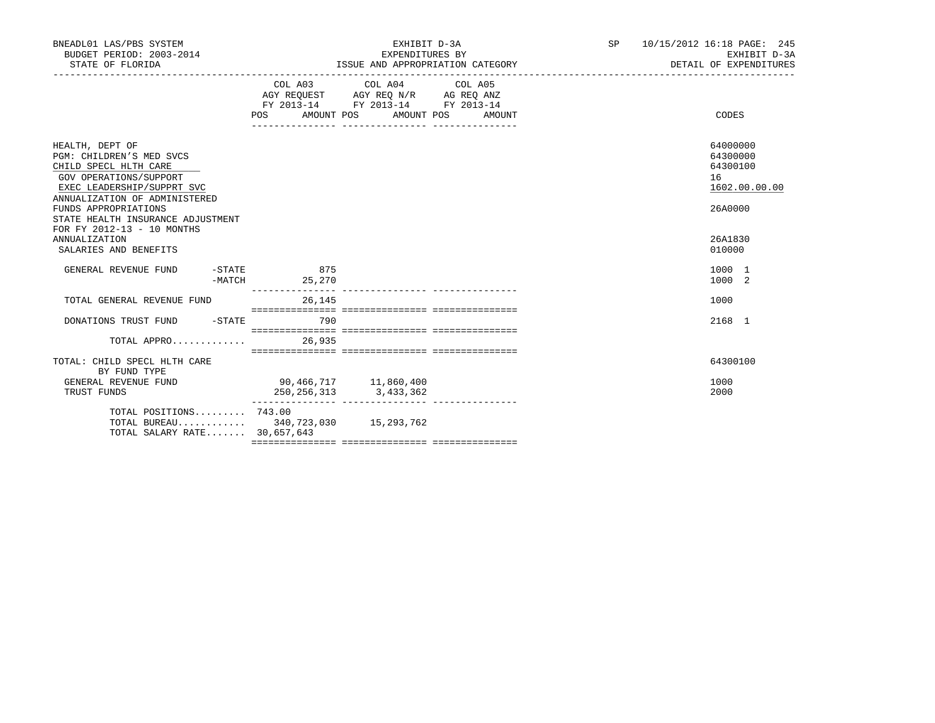| BNEADL01 LAS/PBS SYSTEM<br>BUDGET PERIOD: 2003-2014<br>STATE OF FLORIDA                                                                                                               |                                           | EXHIBIT D-3A<br>EXPENDITURES BY<br>ISSUE AND APPROPRIATION CATEGORY                  | SP     | 10/15/2012 16:18 PAGE: 245<br>EXHIBIT D-3A<br>DETAIL OF EXPENDITURES |                                                                    |
|---------------------------------------------------------------------------------------------------------------------------------------------------------------------------------------|-------------------------------------------|--------------------------------------------------------------------------------------|--------|----------------------------------------------------------------------|--------------------------------------------------------------------|
|                                                                                                                                                                                       | AGY REQUEST AGY REQ N/R AG REQ ANZ<br>POS | COL A03 COL A04 COL A05<br>FY 2013-14 FY 2013-14 FY 2013-14<br>AMOUNT POS AMOUNT POS | AMOUNT |                                                                      | CODES                                                              |
|                                                                                                                                                                                       |                                           |                                                                                      |        |                                                                      |                                                                    |
| HEALTH, DEPT OF<br>PGM: CHILDREN'S MED SVCS<br>CHILD SPECL HLTH CARE<br>GOV OPERATIONS/SUPPORT<br>EXEC LEADERSHIP/SUPPRT SVC<br>ANNUALIZATION OF ADMINISTERED<br>FUNDS APPROPRIATIONS |                                           |                                                                                      |        |                                                                      | 64000000<br>64300000<br>64300100<br>16<br>1602.00.00.00<br>26A0000 |
| STATE HEALTH INSURANCE ADJUSTMENT<br>FOR FY 2012-13 - 10 MONTHS                                                                                                                       |                                           |                                                                                      |        |                                                                      |                                                                    |
| <b>ANNUALIZATION</b><br>SALARIES AND BENEFITS                                                                                                                                         |                                           |                                                                                      |        |                                                                      | 26A1830<br>010000                                                  |
| GENERAL REVENUE FUND<br>-MATCH                                                                                                                                                        | $-$ STATE 875<br>25,270                   |                                                                                      |        |                                                                      | 1000 1<br>1000 2                                                   |
| TOTAL GENERAL REVENUE FUND                                                                                                                                                            | 26,145                                    |                                                                                      |        |                                                                      | 1000                                                               |
| DONATIONS TRUST FUND -STATE 790                                                                                                                                                       |                                           |                                                                                      |        |                                                                      | 2168 1                                                             |
| TOTAL APPRO 26,935                                                                                                                                                                    |                                           |                                                                                      |        |                                                                      |                                                                    |
| TOTAL: CHILD SPECL HLTH CARE<br>BY FUND TYPE                                                                                                                                          |                                           |                                                                                      |        |                                                                      | 64300100                                                           |
| GENERAL REVENUE FUND<br>TRUST FUNDS                                                                                                                                                   | 90,466,717 11,860,400<br>250,256,313      | 3, 433, 362                                                                          |        |                                                                      | 1000<br>2000                                                       |
| TOTAL POSITIONS 743.00<br>TOTAL BUREAU 340,723,030 15,293,762<br>TOTAL SALARY RATE 30,657,643                                                                                         |                                           |                                                                                      |        |                                                                      |                                                                    |
|                                                                                                                                                                                       |                                           |                                                                                      |        |                                                                      |                                                                    |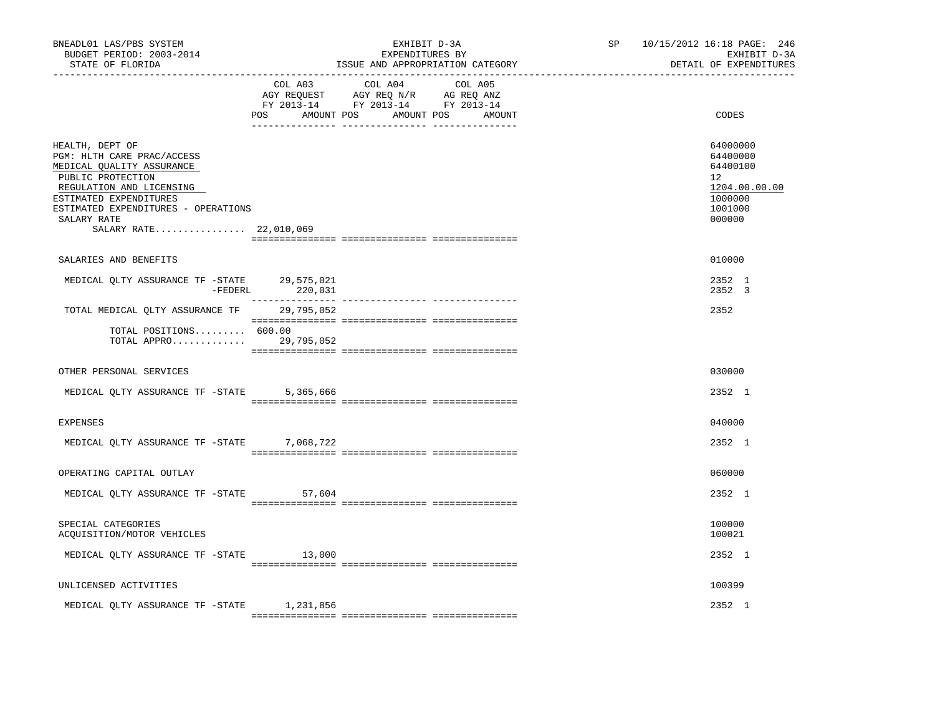| BNEADL01 LAS/PBS SYSTEM<br>BUDGET PERIOD: 2003-2014<br>STATE OF FLORIDA                                                                                                                                                               |           | EXHIBIT D-3A<br>EXPENDITURES BY<br>ISSUE AND APPROPRIATION CATEGORY                                                                   | SP 10/15/2012 16:18 PAGE: 246<br>EXHIBIT D-3A<br>DETAIL OF EXPENDITURES                 |
|---------------------------------------------------------------------------------------------------------------------------------------------------------------------------------------------------------------------------------------|-----------|---------------------------------------------------------------------------------------------------------------------------------------|-----------------------------------------------------------------------------------------|
|                                                                                                                                                                                                                                       |           | COL A03 COL A04 COL A05<br>AGY REQUEST AGY REQ N/R AG REQ ANZ<br>FY 2013-14 FY 2013-14 FY 2013-14<br>POS AMOUNT POS AMOUNT POS AMOUNT | CODES                                                                                   |
| HEALTH, DEPT OF<br>PGM: HLTH CARE PRAC/ACCESS<br>MEDICAL QUALITY ASSURANCE<br>PUBLIC PROTECTION<br>REGULATION AND LICENSING<br>ESTIMATED EXPENDITURES<br>ESTIMATED EXPENDITURES - OPERATIONS<br>SALARY RATE<br>SALARY RATE 22,010,069 |           |                                                                                                                                       | 64000000<br>64400000<br>64400100<br>12<br>1204.00.00.00<br>1000000<br>1001000<br>000000 |
| SALARIES AND BENEFITS                                                                                                                                                                                                                 |           |                                                                                                                                       | 010000                                                                                  |
| MEDICAL QLTY ASSURANCE TF -STATE 29,575,021<br>-FEDERL                                                                                                                                                                                | 220,031   |                                                                                                                                       | 2352 1<br>2352 3                                                                        |
| TOTAL MEDICAL QLTY ASSURANCE TF 29,795,052                                                                                                                                                                                            |           |                                                                                                                                       | 2352                                                                                    |
| TOTAL POSITIONS 600.00<br>TOTAL APPRO 29,795,052                                                                                                                                                                                      |           |                                                                                                                                       |                                                                                         |
| OTHER PERSONAL SERVICES                                                                                                                                                                                                               |           |                                                                                                                                       | 030000                                                                                  |
| MEDICAL QLTY ASSURANCE TF -STATE                                                                                                                                                                                                      | 5,365,666 |                                                                                                                                       | 2352 1                                                                                  |
| <b>EXPENSES</b>                                                                                                                                                                                                                       |           |                                                                                                                                       | 040000                                                                                  |
| MEDICAL QLTY ASSURANCE TF -STATE 7,068,722                                                                                                                                                                                            |           |                                                                                                                                       | 2352 1                                                                                  |
| OPERATING CAPITAL OUTLAY                                                                                                                                                                                                              |           |                                                                                                                                       | 060000                                                                                  |
| MEDICAL OLTY ASSURANCE TF -STATE                                                                                                                                                                                                      | 57,604    |                                                                                                                                       | 2352 1                                                                                  |
| SPECIAL CATEGORIES<br>ACQUISITION/MOTOR VEHICLES                                                                                                                                                                                      |           |                                                                                                                                       | 100000<br>100021                                                                        |
| MEDICAL QLTY ASSURANCE TF -STATE 13,000                                                                                                                                                                                               |           |                                                                                                                                       | 2352 1                                                                                  |
| UNLICENSED ACTIVITIES                                                                                                                                                                                                                 |           |                                                                                                                                       | 100399                                                                                  |
| MEDICAL QLTY ASSURANCE TF -STATE                                                                                                                                                                                                      | 1,231,856 |                                                                                                                                       | 2352 1                                                                                  |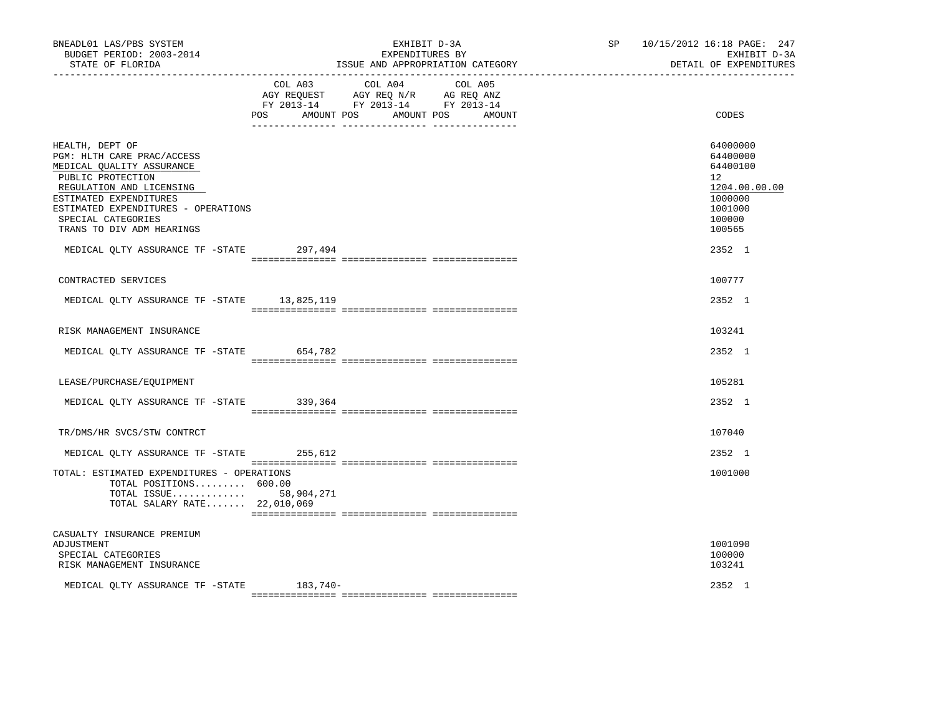| BNEADL01 LAS/PBS SYSTEM<br>BUDGET PERIOD: 2003-2014<br>STATE OF FLORIDA                                                                                                                                                                         |                   | EXHIBIT D-3A<br>EXPENDITURES BY<br>ISSUE AND APPROPRIATION CATEGORY                                                       | SP 10/15/2012 16:18 PAGE: 247<br>EXHIBIT D-3A<br>DETAIL OF EXPENDITURES                           |
|-------------------------------------------------------------------------------------------------------------------------------------------------------------------------------------------------------------------------------------------------|-------------------|---------------------------------------------------------------------------------------------------------------------------|---------------------------------------------------------------------------------------------------|
|                                                                                                                                                                                                                                                 | POS<br>AMOUNT POS | COL A03 COL A04 COL A05<br>AGY REQUEST AGY REQ N/R AG REQ ANZ<br>FY 2013-14 FY 2013-14 FY 2013-14<br>AMOUNT POS<br>AMOUNT | CODES                                                                                             |
| HEALTH, DEPT OF<br>PGM: HLTH CARE PRAC/ACCESS<br>MEDICAL QUALITY ASSURANCE<br>PUBLIC PROTECTION<br>REGULATION AND LICENSING<br>ESTIMATED EXPENDITURES<br>ESTIMATED EXPENDITURES - OPERATIONS<br>SPECIAL CATEGORIES<br>TRANS TO DIV ADM HEARINGS |                   |                                                                                                                           | 64000000<br>64400000<br>64400100<br>12<br>1204.00.00.00<br>1000000<br>1001000<br>100000<br>100565 |
| MEDICAL QLTY ASSURANCE TF -STATE 297,494                                                                                                                                                                                                        |                   |                                                                                                                           | 2352 1                                                                                            |
| CONTRACTED SERVICES                                                                                                                                                                                                                             |                   |                                                                                                                           | 100777                                                                                            |
| MEDICAL QLTY ASSURANCE TF -STATE 13,825,119                                                                                                                                                                                                     |                   |                                                                                                                           | 2352 1                                                                                            |
| RISK MANAGEMENT INSURANCE                                                                                                                                                                                                                       |                   |                                                                                                                           | 103241                                                                                            |
| MEDICAL QLTY ASSURANCE TF -STATE 654,782                                                                                                                                                                                                        |                   |                                                                                                                           | 2352 1                                                                                            |
| LEASE/PURCHASE/EOUIPMENT                                                                                                                                                                                                                        |                   |                                                                                                                           | 105281                                                                                            |
| MEDICAL OLTY ASSURANCE TF - STATE 339,364                                                                                                                                                                                                       |                   |                                                                                                                           | 2352 1                                                                                            |
| TR/DMS/HR SVCS/STW CONTRCT                                                                                                                                                                                                                      |                   |                                                                                                                           | 107040                                                                                            |
| MEDICAL OLTY ASSURANCE TF -STATE 255,612                                                                                                                                                                                                        |                   |                                                                                                                           | 2352 1                                                                                            |
| TOTAL: ESTIMATED EXPENDITURES - OPERATIONS<br>TOTAL POSITIONS 600.00<br>TOTAL ISSUE 58,904,271<br>TOTAL SALARY RATE 22,010,069                                                                                                                  |                   |                                                                                                                           | 1001000                                                                                           |
| CASUALTY INSURANCE PREMIUM<br>ADJUSTMENT<br>SPECIAL CATEGORIES<br>RISK MANAGEMENT INSURANCE                                                                                                                                                     |                   |                                                                                                                           | 1001090<br>100000<br>103241                                                                       |
| MEDICAL QLTY ASSURANCE TF -STATE 183,740-                                                                                                                                                                                                       |                   |                                                                                                                           | 2352 1                                                                                            |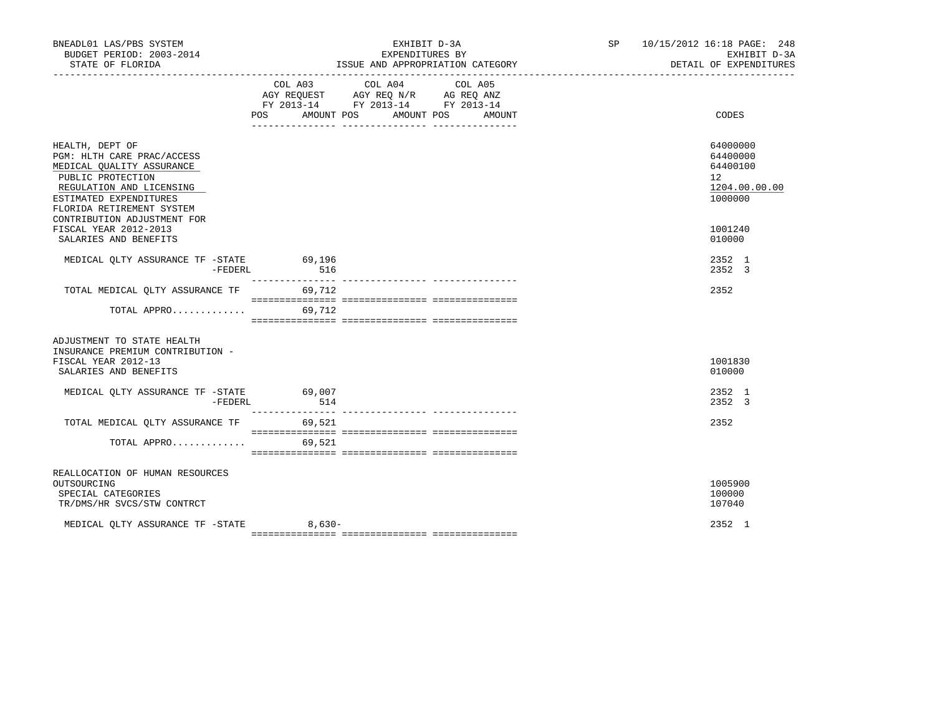| BNEADL01 LAS/PBS SYSTEM<br>BUDGET PERIOD: 2003-2014<br>STATE OF FLORIDA                                                                                                                                           |                  | EXHIBIT D-3A<br>EXPENDITURES BY<br>ISSUE AND APPROPRIATION CATEGORY                                                                                                                                                                                                                                                                                                                                                                                             | SP 10/15/2012 16:18 PAGE: 248<br>DETAIL OF EXPENDITURES                         | EXHIBIT D-3A |
|-------------------------------------------------------------------------------------------------------------------------------------------------------------------------------------------------------------------|------------------|-----------------------------------------------------------------------------------------------------------------------------------------------------------------------------------------------------------------------------------------------------------------------------------------------------------------------------------------------------------------------------------------------------------------------------------------------------------------|---------------------------------------------------------------------------------|--------------|
|                                                                                                                                                                                                                   | COL A03          | COL A04<br>COL A05<br>AGY REQUEST AGY REQ N/R AG REQ ANZ<br>FY 2013-14 FY 2013-14 FY 2013-14<br>POS AMOUNT POS AMOUNT POS<br>AMOUNT                                                                                                                                                                                                                                                                                                                             | CODES                                                                           |              |
| HEALTH, DEPT OF<br>PGM: HLTH CARE PRAC/ACCESS<br>MEDICAL QUALITY ASSURANCE<br>PUBLIC PROTECTION<br>REGULATION AND LICENSING<br>ESTIMATED EXPENDITURES<br>FLORIDA RETIREMENT SYSTEM<br>CONTRIBUTION ADJUSTMENT FOR |                  |                                                                                                                                                                                                                                                                                                                                                                                                                                                                 | 64000000<br>64400000<br>64400100<br>12 <sup>°</sup><br>1204.00.00.00<br>1000000 |              |
| FISCAL YEAR 2012-2013<br>SALARIES AND BENEFITS                                                                                                                                                                    |                  |                                                                                                                                                                                                                                                                                                                                                                                                                                                                 | 1001240<br>010000                                                               |              |
| MEDICAL OLTY ASSURANCE TF -STATE 69,196<br>-FEDERL                                                                                                                                                                | 516              |                                                                                                                                                                                                                                                                                                                                                                                                                                                                 | 2352 1<br>2352 3                                                                |              |
| TOTAL MEDICAL QLTY ASSURANCE TF<br>TOTAL APPRO                                                                                                                                                                    | 69,712<br>69,712 |                                                                                                                                                                                                                                                                                                                                                                                                                                                                 | 2352                                                                            |              |
| ADJUSTMENT TO STATE HEALTH<br>INSURANCE PREMIUM CONTRIBUTION -<br>FISCAL YEAR 2012-13<br>SALARIES AND BENEFITS                                                                                                    |                  |                                                                                                                                                                                                                                                                                                                                                                                                                                                                 | 1001830<br>010000                                                               |              |
| MEDICAL OLTY ASSURANCE TF -STATE 69,007<br>-FEDERL                                                                                                                                                                | 514              |                                                                                                                                                                                                                                                                                                                                                                                                                                                                 | 2352 1<br>2352 3                                                                |              |
| TOTAL MEDICAL QLTY ASSURANCE TF 69,521                                                                                                                                                                            |                  | $\begin{minipage}{0.03\textwidth} \begin{tabular}{l} \textbf{0.04\textwidth} \textbf{0.04\textwidth} \textbf{0.04\textwidth} \textbf{0.04\textwidth} \textbf{0.04\textwidth} \textbf{0.04\textwidth} \textbf{0.04\textwidth} \textbf{0.04\textwidth} \textbf{0.04\textwidth} \textbf{0.04\textwidth} \textbf{0.04\textwidth} \textbf{0.04\textwidth} \textbf{0.04\textwidth} \textbf{0.04\textwidth} \textbf{0.04\textwidth} \textbf{0.04\textwidth} \textbf{0$ | 2352                                                                            |              |
| TOTAL APPRO                                                                                                                                                                                                       | 69,521           |                                                                                                                                                                                                                                                                                                                                                                                                                                                                 |                                                                                 |              |
| REALLOCATION OF HUMAN RESOURCES<br>OUTSOURCING<br>SPECIAL CATEGORIES<br>TR/DMS/HR SVCS/STW CONTRCT                                                                                                                |                  |                                                                                                                                                                                                                                                                                                                                                                                                                                                                 | 1005900<br>100000<br>107040                                                     |              |
| MEDICAL OLTY ASSURANCE TF -STATE 8,630-                                                                                                                                                                           |                  |                                                                                                                                                                                                                                                                                                                                                                                                                                                                 | 2352 1                                                                          |              |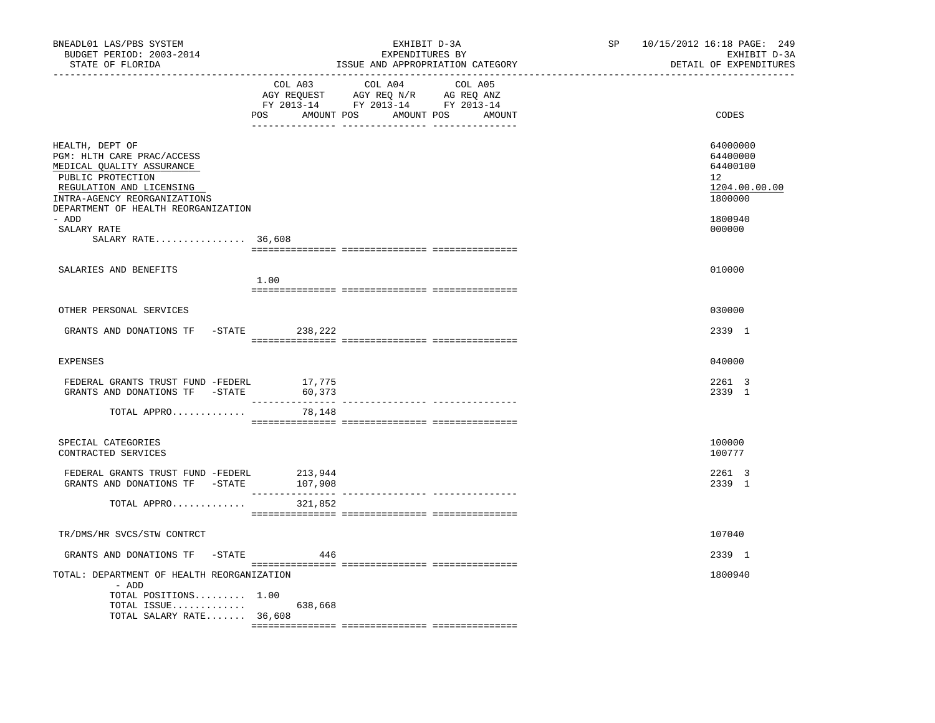| BNEADL01 LAS/PBS SYSTEM<br>BUDGET PERIOD: 2003-2014<br>STATE OF FLORIDA                                                                                                                            |         | EXHIBIT D-3A<br>EXPENDITURES BY<br>ISSUE AND APPROPRIATION CATEGORY                                                              | SP | 10/15/2012 16:18 PAGE: 249<br>EXHIBIT D-3A<br>DETAIL OF EXPENDITURES |
|----------------------------------------------------------------------------------------------------------------------------------------------------------------------------------------------------|---------|----------------------------------------------------------------------------------------------------------------------------------|----|----------------------------------------------------------------------|
|                                                                                                                                                                                                    | COL A03 | COL A04<br>COL A05<br>AGY REQUEST AGY REQ N/R AG REQ ANZ<br>FY 2013-14 FY 2013-14 FY 2013-14<br>POS AMOUNT POS AMOUNT POS AMOUNT |    | CODES                                                                |
| HEALTH, DEPT OF<br>PGM: HLTH CARE PRAC/ACCESS<br>MEDICAL QUALITY ASSURANCE<br>PUBLIC PROTECTION<br>REGULATION AND LICENSING<br>INTRA-AGENCY REORGANIZATIONS<br>DEPARTMENT OF HEALTH REORGANIZATION |         |                                                                                                                                  |    | 64000000<br>64400000<br>64400100<br>12<br>1204.00.00.00<br>1800000   |
| - ADD<br>SALARY RATE<br>SALARY RATE 36,608                                                                                                                                                         |         |                                                                                                                                  |    | 1800940<br>000000                                                    |
| SALARIES AND BENEFITS                                                                                                                                                                              | 1.00    |                                                                                                                                  |    | 010000                                                               |
| OTHER PERSONAL SERVICES                                                                                                                                                                            |         |                                                                                                                                  |    | 030000                                                               |
| GRANTS AND DONATIONS TF -STATE                                                                                                                                                                     | 238,222 |                                                                                                                                  |    | 2339 1                                                               |
| <b>EXPENSES</b>                                                                                                                                                                                    |         |                                                                                                                                  |    | 040000                                                               |
| FEDERAL GRANTS TRUST FUND -FEDERL 17,775<br>GRANTS AND DONATIONS TF -STATE                                                                                                                         | 60,373  |                                                                                                                                  |    | 2261 3<br>2339 1                                                     |
| TOTAL APPRO                                                                                                                                                                                        | 78,148  |                                                                                                                                  |    |                                                                      |
| SPECIAL CATEGORIES<br>CONTRACTED SERVICES                                                                                                                                                          |         |                                                                                                                                  |    | 100000<br>100777                                                     |
| FEDERAL GRANTS TRUST FUND -FEDERL<br>GRANTS AND DONATIONS TF - STATE 107,908                                                                                                                       | 213,944 |                                                                                                                                  |    | 2261 3<br>2339 1                                                     |
| TOTAL APPRO                                                                                                                                                                                        | 321,852 |                                                                                                                                  |    |                                                                      |
| TR/DMS/HR SVCS/STW CONTRCT                                                                                                                                                                         |         |                                                                                                                                  |    | 107040                                                               |
| GRANTS AND DONATIONS TF<br>-STATE                                                                                                                                                                  | 446     |                                                                                                                                  |    | 2339 1                                                               |
| TOTAL: DEPARTMENT OF HEALTH REORGANIZATION<br>- ADD<br>TOTAL POSITIONS 1.00                                                                                                                        |         |                                                                                                                                  |    | 1800940                                                              |
| TOTAL ISSUE 638,668<br>TOTAL SALARY RATE 36,608                                                                                                                                                    |         |                                                                                                                                  |    |                                                                      |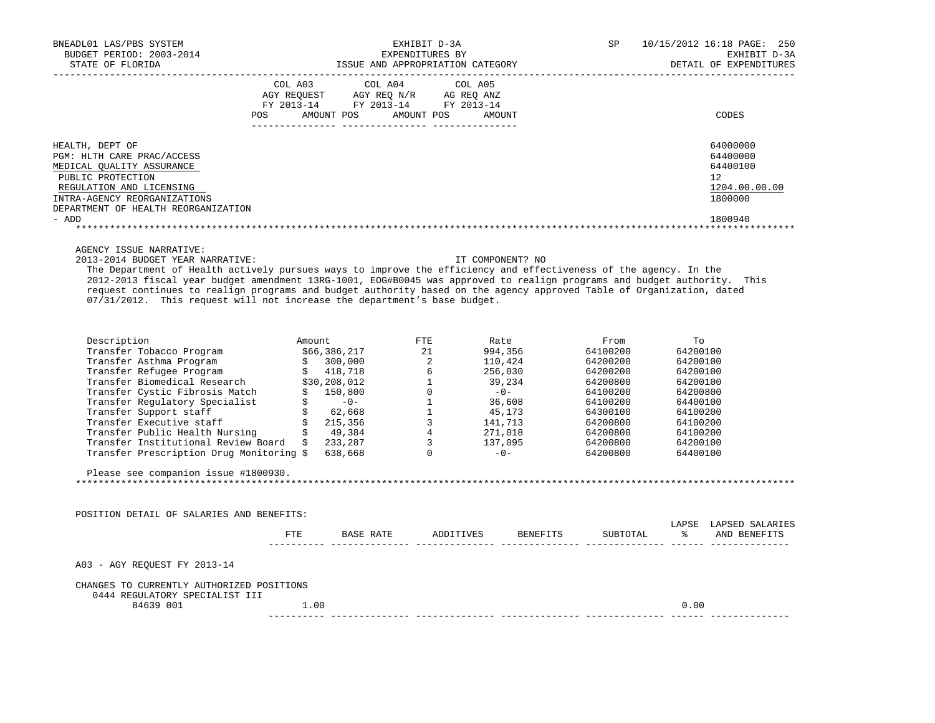| BNEADL01 LAS/PBS SYSTEM<br>BUDGET PERIOD: 2003-2014<br>STATE OF FLORIDA                                                                                                                                                                                                                                                                                                                                                 | EXHIBIT D-3A<br>EXPENDITURES BY<br>AALL U-3A<br>EXPENDITURES BY<br>ISSUE AND APPROPRIATION CATEGORY |                                                                                                                                                                                                                                                                                                                                                                                                                                                             |  | DETAIL           | SP 10/15/2012 16:18 PAGE: 250<br>EXHIBIT D-3A<br>DETAIL OF EXPENDITURES |                                                          |
|-------------------------------------------------------------------------------------------------------------------------------------------------------------------------------------------------------------------------------------------------------------------------------------------------------------------------------------------------------------------------------------------------------------------------|-----------------------------------------------------------------------------------------------------|-------------------------------------------------------------------------------------------------------------------------------------------------------------------------------------------------------------------------------------------------------------------------------------------------------------------------------------------------------------------------------------------------------------------------------------------------------------|--|------------------|-------------------------------------------------------------------------|----------------------------------------------------------|
|                                                                                                                                                                                                                                                                                                                                                                                                                         |                                                                                                     | $\begin{tabular}{lllllllllll} &\multicolumn{4}{c}{\text{COL A03}} &\multicolumn{4}{c}{\text{COL A04}} &\multicolumn{4}{c}{\text{COL A05}} \\ \multicolumn{4}{c}{\text{AGY REQUEST}} &\multicolumn{4}{c}{\text{AGY REQ N/R}} &\multicolumn{4}{c}{\text{AG REQ ANZ}} \\ \multicolumn{4}{c}{\text{FGY A03--14}} &\multicolumn{4}{c}{\text{FGY A04}} &\multicolumn{4}{c}{\text{AG Y REQ ANZ}} \\ \multicolumn{4}{c}{\text{FCY A013--14}} &\multicolumn{4}{c}{\$ |  |                  |                                                                         |                                                          |
|                                                                                                                                                                                                                                                                                                                                                                                                                         |                                                                                                     |                                                                                                                                                                                                                                                                                                                                                                                                                                                             |  |                  |                                                                         |                                                          |
|                                                                                                                                                                                                                                                                                                                                                                                                                         |                                                                                                     | POS AMOUNT POS AMOUNT POS AMOUNT                                                                                                                                                                                                                                                                                                                                                                                                                            |  |                  |                                                                         | CODES                                                    |
| HEALTH, DEPT OF                                                                                                                                                                                                                                                                                                                                                                                                         |                                                                                                     |                                                                                                                                                                                                                                                                                                                                                                                                                                                             |  |                  |                                                                         | 64000000                                                 |
| PGM: HLTH CARE PRAC/ACCESS                                                                                                                                                                                                                                                                                                                                                                                              |                                                                                                     |                                                                                                                                                                                                                                                                                                                                                                                                                                                             |  |                  |                                                                         | 64400000                                                 |
| MEDICAL QUALITY ASSURANCE                                                                                                                                                                                                                                                                                                                                                                                               |                                                                                                     |                                                                                                                                                                                                                                                                                                                                                                                                                                                             |  |                  |                                                                         | 64400100                                                 |
| PUBLIC PROTECTION                                                                                                                                                                                                                                                                                                                                                                                                       |                                                                                                     |                                                                                                                                                                                                                                                                                                                                                                                                                                                             |  |                  |                                                                         | 12 <sup>°</sup>                                          |
| REGULATION AND LICENSING                                                                                                                                                                                                                                                                                                                                                                                                |                                                                                                     |                                                                                                                                                                                                                                                                                                                                                                                                                                                             |  |                  |                                                                         | 1204.00.00.00                                            |
| INTRA-AGENCY REORGANIZATIONS                                                                                                                                                                                                                                                                                                                                                                                            |                                                                                                     |                                                                                                                                                                                                                                                                                                                                                                                                                                                             |  |                  |                                                                         | 1800000                                                  |
| DEPARTMENT OF HEALTH REORGANIZATION                                                                                                                                                                                                                                                                                                                                                                                     |                                                                                                     |                                                                                                                                                                                                                                                                                                                                                                                                                                                             |  |                  |                                                                         |                                                          |
| - ADD                                                                                                                                                                                                                                                                                                                                                                                                                   |                                                                                                     |                                                                                                                                                                                                                                                                                                                                                                                                                                                             |  |                  |                                                                         | 1800940                                                  |
| AGENCY ISSUE NARRATIVE:                                                                                                                                                                                                                                                                                                                                                                                                 |                                                                                                     |                                                                                                                                                                                                                                                                                                                                                                                                                                                             |  |                  |                                                                         |                                                          |
| 2013-2014 BUDGET YEAR NARRATIVE:                                                                                                                                                                                                                                                                                                                                                                                        |                                                                                                     |                                                                                                                                                                                                                                                                                                                                                                                                                                                             |  | IT COMPONENT? NO |                                                                         |                                                          |
| The Department of Health actively pursues ways to improve the efficiency and effectiveness of the agency. In the                                                                                                                                                                                                                                                                                                        |                                                                                                     |                                                                                                                                                                                                                                                                                                                                                                                                                                                             |  |                  |                                                                         |                                                          |
| 2012-2013 fiscal year budget amendment 13RG-1001, EOG#B0045 was approved to realign programs and budget authority. This                                                                                                                                                                                                                                                                                                 |                                                                                                     |                                                                                                                                                                                                                                                                                                                                                                                                                                                             |  |                  |                                                                         |                                                          |
| request continues to realign programs and budget authority based on the agency approved Table of Organization, dated                                                                                                                                                                                                                                                                                                    |                                                                                                     |                                                                                                                                                                                                                                                                                                                                                                                                                                                             |  |                  |                                                                         |                                                          |
| 07/31/2012. This request will not increase the department's base budget.                                                                                                                                                                                                                                                                                                                                                |                                                                                                     |                                                                                                                                                                                                                                                                                                                                                                                                                                                             |  |                  |                                                                         |                                                          |
|                                                                                                                                                                                                                                                                                                                                                                                                                         |                                                                                                     |                                                                                                                                                                                                                                                                                                                                                                                                                                                             |  |                  |                                                                         |                                                          |
| $\begin{tabular}{l c c c c c} \hline \texttt{Description} & \texttt{Amount} & \texttt{FTE} & \texttt{Rate} & \texttt{From} & \texttt{To} \\ \hline \texttt{Transfer Tolbacco Program} & \$66,386,217 & 21 & 994,356 & 64100200 & 64200100 \\ \hline \texttt{Transfer Refuge Program} & \$& 300,000 & 2 & 110,424 & 64200200 & 64200100 \\ \hline \texttt{Transfer Bfundical Research} & \$30,208,012 & 1 & 39,234 & 64$ |                                                                                                     |                                                                                                                                                                                                                                                                                                                                                                                                                                                             |  |                  |                                                                         |                                                          |
|                                                                                                                                                                                                                                                                                                                                                                                                                         |                                                                                                     |                                                                                                                                                                                                                                                                                                                                                                                                                                                             |  |                  |                                                                         |                                                          |
|                                                                                                                                                                                                                                                                                                                                                                                                                         |                                                                                                     |                                                                                                                                                                                                                                                                                                                                                                                                                                                             |  |                  |                                                                         |                                                          |
|                                                                                                                                                                                                                                                                                                                                                                                                                         |                                                                                                     |                                                                                                                                                                                                                                                                                                                                                                                                                                                             |  |                  |                                                                         |                                                          |
|                                                                                                                                                                                                                                                                                                                                                                                                                         |                                                                                                     |                                                                                                                                                                                                                                                                                                                                                                                                                                                             |  |                  |                                                                         |                                                          |
|                                                                                                                                                                                                                                                                                                                                                                                                                         |                                                                                                     |                                                                                                                                                                                                                                                                                                                                                                                                                                                             |  |                  |                                                                         |                                                          |
|                                                                                                                                                                                                                                                                                                                                                                                                                         |                                                                                                     |                                                                                                                                                                                                                                                                                                                                                                                                                                                             |  |                  |                                                                         |                                                          |
|                                                                                                                                                                                                                                                                                                                                                                                                                         |                                                                                                     |                                                                                                                                                                                                                                                                                                                                                                                                                                                             |  |                  |                                                                         |                                                          |
|                                                                                                                                                                                                                                                                                                                                                                                                                         |                                                                                                     |                                                                                                                                                                                                                                                                                                                                                                                                                                                             |  |                  |                                                                         |                                                          |
|                                                                                                                                                                                                                                                                                                                                                                                                                         |                                                                                                     |                                                                                                                                                                                                                                                                                                                                                                                                                                                             |  |                  |                                                                         |                                                          |
|                                                                                                                                                                                                                                                                                                                                                                                                                         |                                                                                                     |                                                                                                                                                                                                                                                                                                                                                                                                                                                             |  |                  |                                                                         |                                                          |
| Please see companion issue #1800930.                                                                                                                                                                                                                                                                                                                                                                                    |                                                                                                     |                                                                                                                                                                                                                                                                                                                                                                                                                                                             |  |                  |                                                                         |                                                          |
|                                                                                                                                                                                                                                                                                                                                                                                                                         |                                                                                                     |                                                                                                                                                                                                                                                                                                                                                                                                                                                             |  |                  |                                                                         |                                                          |
| POSITION DETAIL OF SALARIES AND BENEFITS:                                                                                                                                                                                                                                                                                                                                                                               |                                                                                                     |                                                                                                                                                                                                                                                                                                                                                                                                                                                             |  |                  |                                                                         |                                                          |
|                                                                                                                                                                                                                                                                                                                                                                                                                         |                                                                                                     |                                                                                                                                                                                                                                                                                                                                                                                                                                                             |  |                  |                                                                         | LAPSE LAPSED SALARIES                                    |
|                                                                                                                                                                                                                                                                                                                                                                                                                         |                                                                                                     |                                                                                                                                                                                                                                                                                                                                                                                                                                                             |  |                  |                                                                         | FTE BASE RATE ADDITIVES BENEFITS SUBTOTAL % AND BENEFITS |
| A03 - AGY REQUEST FY 2013-14                                                                                                                                                                                                                                                                                                                                                                                            |                                                                                                     |                                                                                                                                                                                                                                                                                                                                                                                                                                                             |  |                  |                                                                         |                                                          |
| CHANGES TO CURRENTLY AUTHORIZED POSITIONS                                                                                                                                                                                                                                                                                                                                                                               |                                                                                                     |                                                                                                                                                                                                                                                                                                                                                                                                                                                             |  |                  |                                                                         |                                                          |
| 0444 REGULATORY SPECIALIST III                                                                                                                                                                                                                                                                                                                                                                                          |                                                                                                     |                                                                                                                                                                                                                                                                                                                                                                                                                                                             |  |                  |                                                                         |                                                          |
| 84639 001                                                                                                                                                                                                                                                                                                                                                                                                               | 1.00                                                                                                |                                                                                                                                                                                                                                                                                                                                                                                                                                                             |  |                  |                                                                         | 0.00                                                     |
|                                                                                                                                                                                                                                                                                                                                                                                                                         |                                                                                                     |                                                                                                                                                                                                                                                                                                                                                                                                                                                             |  |                  |                                                                         |                                                          |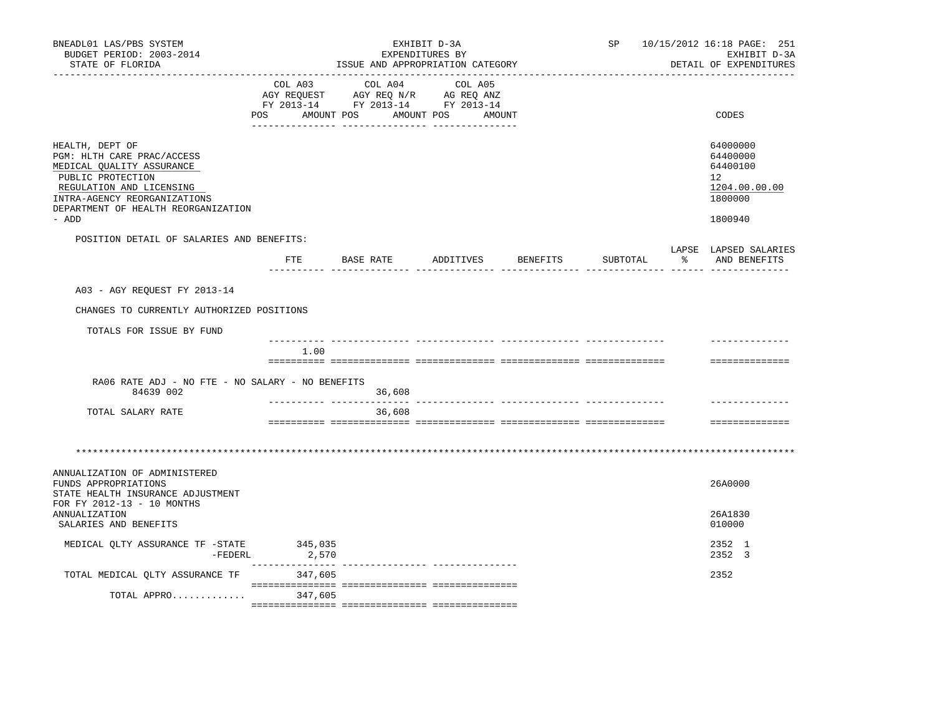| ________________________<br>COL A03<br>COL A04<br>COL A05<br>AGY REQUEST AGY REQ N/R AG REQ ANZ<br>FY 2013-14 FY 2013-14 FY 2013-14<br>AMOUNT POS<br>AMOUNT POS AMOUNT<br>CODES<br>POS<br>HEALTH, DEPT OF<br>64000000<br>PGM: HLTH CARE PRAC/ACCESS<br>64400000<br>64400100<br>MEDICAL QUALITY ASSURANCE<br>PUBLIC PROTECTION<br>12 <sup>12</sup><br>REGULATION AND LICENSING<br>1204.00.00.00<br>1800000<br>INTRA-AGENCY REORGANIZATIONS<br>DEPARTMENT OF HEALTH REORGANIZATION<br>- ADD<br>1800940<br>POSITION DETAIL OF SALARIES AND BENEFITS:<br>LAPSE LAPSED SALARIES<br>FTE BASE RATE ADDITIVES BENEFITS<br>SUBTOTAL<br>% AND BENEFITS<br>_________ ________________ _____ ____<br>A03 - AGY REQUEST FY 2013-14<br>CHANGES TO CURRENTLY AUTHORIZED POSITIONS<br>TOTALS FOR ISSUE BY FUND<br>1.00<br>==============<br>RA06 RATE ADJ - NO FTE - NO SALARY - NO BENEFITS<br>84639 002<br>36,608<br>TOTAL SALARY RATE<br>36,608<br>==============<br>ANNUALIZATION OF ADMINISTERED<br>26A0000<br>FUNDS APPROPRIATIONS<br>STATE HEALTH INSURANCE ADJUSTMENT<br>FOR FY 2012-13 - 10 MONTHS<br>26A1830<br><b>ANNUALIZATION</b><br>SALARIES AND BENEFITS<br>010000<br>MEDICAL QLTY ASSURANCE TF -STATE 345,035<br>2352 1<br>2352 3<br>-FEDERL<br>2,570<br>--------------<br>TOTAL MEDICAL OLTY ASSURANCE TF<br>2352<br>347,605<br>TOTAL APPRO<br>347,605 | BNEADL01 LAS/PBS SYSTEM<br>BUDGET PERIOD: 2003-2014<br>STATE OF FLORIDA | EXHIBIT D-3A<br>EXPENDITURES BY<br>ISSUE AND APPROPRIATION CATEGORY |  |  |  | SP<br>10/15/2012 16:18 PAGE: 251<br>EXHIBIT D-3A<br>DETAIL OF EXPENDITURES |  |  |
|---------------------------------------------------------------------------------------------------------------------------------------------------------------------------------------------------------------------------------------------------------------------------------------------------------------------------------------------------------------------------------------------------------------------------------------------------------------------------------------------------------------------------------------------------------------------------------------------------------------------------------------------------------------------------------------------------------------------------------------------------------------------------------------------------------------------------------------------------------------------------------------------------------------------------------------------------------------------------------------------------------------------------------------------------------------------------------------------------------------------------------------------------------------------------------------------------------------------------------------------------------------------------------------------------------------------------------------------------------|-------------------------------------------------------------------------|---------------------------------------------------------------------|--|--|--|----------------------------------------------------------------------------|--|--|
|                                                                                                                                                                                                                                                                                                                                                                                                                                                                                                                                                                                                                                                                                                                                                                                                                                                                                                                                                                                                                                                                                                                                                                                                                                                                                                                                                         |                                                                         |                                                                     |  |  |  |                                                                            |  |  |
|                                                                                                                                                                                                                                                                                                                                                                                                                                                                                                                                                                                                                                                                                                                                                                                                                                                                                                                                                                                                                                                                                                                                                                                                                                                                                                                                                         |                                                                         |                                                                     |  |  |  |                                                                            |  |  |
|                                                                                                                                                                                                                                                                                                                                                                                                                                                                                                                                                                                                                                                                                                                                                                                                                                                                                                                                                                                                                                                                                                                                                                                                                                                                                                                                                         |                                                                         |                                                                     |  |  |  |                                                                            |  |  |
|                                                                                                                                                                                                                                                                                                                                                                                                                                                                                                                                                                                                                                                                                                                                                                                                                                                                                                                                                                                                                                                                                                                                                                                                                                                                                                                                                         |                                                                         |                                                                     |  |  |  |                                                                            |  |  |
|                                                                                                                                                                                                                                                                                                                                                                                                                                                                                                                                                                                                                                                                                                                                                                                                                                                                                                                                                                                                                                                                                                                                                                                                                                                                                                                                                         |                                                                         |                                                                     |  |  |  |                                                                            |  |  |
|                                                                                                                                                                                                                                                                                                                                                                                                                                                                                                                                                                                                                                                                                                                                                                                                                                                                                                                                                                                                                                                                                                                                                                                                                                                                                                                                                         |                                                                         |                                                                     |  |  |  |                                                                            |  |  |
|                                                                                                                                                                                                                                                                                                                                                                                                                                                                                                                                                                                                                                                                                                                                                                                                                                                                                                                                                                                                                                                                                                                                                                                                                                                                                                                                                         |                                                                         |                                                                     |  |  |  |                                                                            |  |  |
|                                                                                                                                                                                                                                                                                                                                                                                                                                                                                                                                                                                                                                                                                                                                                                                                                                                                                                                                                                                                                                                                                                                                                                                                                                                                                                                                                         |                                                                         |                                                                     |  |  |  |                                                                            |  |  |
|                                                                                                                                                                                                                                                                                                                                                                                                                                                                                                                                                                                                                                                                                                                                                                                                                                                                                                                                                                                                                                                                                                                                                                                                                                                                                                                                                         |                                                                         |                                                                     |  |  |  |                                                                            |  |  |
|                                                                                                                                                                                                                                                                                                                                                                                                                                                                                                                                                                                                                                                                                                                                                                                                                                                                                                                                                                                                                                                                                                                                                                                                                                                                                                                                                         |                                                                         |                                                                     |  |  |  |                                                                            |  |  |
|                                                                                                                                                                                                                                                                                                                                                                                                                                                                                                                                                                                                                                                                                                                                                                                                                                                                                                                                                                                                                                                                                                                                                                                                                                                                                                                                                         |                                                                         |                                                                     |  |  |  |                                                                            |  |  |
|                                                                                                                                                                                                                                                                                                                                                                                                                                                                                                                                                                                                                                                                                                                                                                                                                                                                                                                                                                                                                                                                                                                                                                                                                                                                                                                                                         |                                                                         |                                                                     |  |  |  |                                                                            |  |  |
|                                                                                                                                                                                                                                                                                                                                                                                                                                                                                                                                                                                                                                                                                                                                                                                                                                                                                                                                                                                                                                                                                                                                                                                                                                                                                                                                                         |                                                                         |                                                                     |  |  |  |                                                                            |  |  |
|                                                                                                                                                                                                                                                                                                                                                                                                                                                                                                                                                                                                                                                                                                                                                                                                                                                                                                                                                                                                                                                                                                                                                                                                                                                                                                                                                         |                                                                         |                                                                     |  |  |  |                                                                            |  |  |
|                                                                                                                                                                                                                                                                                                                                                                                                                                                                                                                                                                                                                                                                                                                                                                                                                                                                                                                                                                                                                                                                                                                                                                                                                                                                                                                                                         |                                                                         |                                                                     |  |  |  |                                                                            |  |  |
|                                                                                                                                                                                                                                                                                                                                                                                                                                                                                                                                                                                                                                                                                                                                                                                                                                                                                                                                                                                                                                                                                                                                                                                                                                                                                                                                                         |                                                                         |                                                                     |  |  |  |                                                                            |  |  |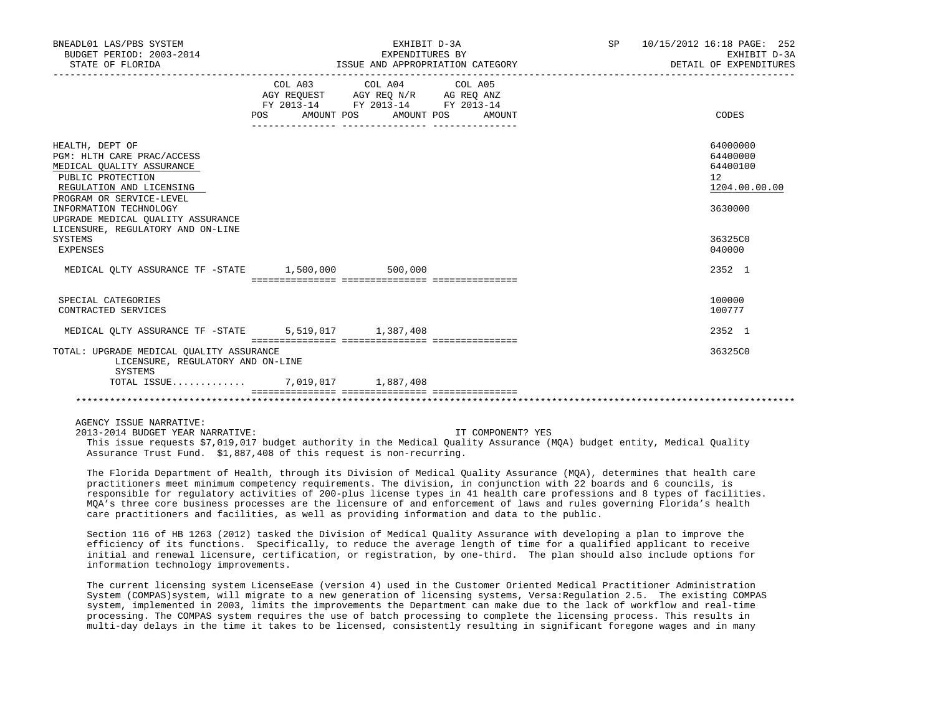| BNEADL01 LAS/PBS SYSTEM<br>BUDGET PERIOD: 2003-2014<br>STATE OF FLORIDA                                                                                 |                                  | EXHIBIT D-3A<br>EXPENDITURES BY<br>ISSUE AND APPROPRIATION CATEGORY                                                                                                                         | SP | 10/15/2012 16:18 PAGE: 252<br>EXHIBIT D-3A<br>DETAIL OF EXPENDITURES |                                                                    |
|---------------------------------------------------------------------------------------------------------------------------------------------------------|----------------------------------|---------------------------------------------------------------------------------------------------------------------------------------------------------------------------------------------|----|----------------------------------------------------------------------|--------------------------------------------------------------------|
|                                                                                                                                                         | POS AMOUNT POS AMOUNT POS AMOUNT | COL A03 COL A04 COL A05<br>$\begin{tabular}{lllllll} \bf AGY & \bf REQUEST & \bf AGY & \bf REQ & \bf N/R & \bf AG & \bf REQ & \bf ANZ \\ \end{tabular}$<br>FY 2013-14 FY 2013-14 FY 2013-14 |    |                                                                      | CODES                                                              |
| HEALTH, DEPT OF<br>PGM: HLTH CARE PRAC/ACCESS<br>MEDICAL OUALITY ASSURANCE<br>PUBLIC PROTECTION<br>REGULATION AND LICENSING<br>PROGRAM OR SERVICE-LEVEL |                                  |                                                                                                                                                                                             |    |                                                                      | 64000000<br>64400000<br>64400100<br>12<br>1204.00.00.00<br>3630000 |
| INFORMATION TECHNOLOGY<br>UPGRADE MEDICAL OUALITY ASSURANCE<br>LICENSURE, REGULATORY AND ON-LINE<br>SYSTEMS<br>EXPENSES                                 |                                  |                                                                                                                                                                                             |    |                                                                      | 36325C0<br>040000                                                  |
| MEDICAL OLTY ASSURANCE TF -STATE 1,500,000 500,000                                                                                                      |                                  |                                                                                                                                                                                             |    |                                                                      | 2352 1                                                             |
| SPECIAL CATEGORIES<br>CONTRACTED SERVICES                                                                                                               |                                  |                                                                                                                                                                                             |    |                                                                      | 100000<br>100777                                                   |
| MEDICAL OLTY ASSURANCE TF -STATE 5,519,017 1,387,408                                                                                                    |                                  |                                                                                                                                                                                             |    |                                                                      | 2352 1                                                             |
| TOTAL: UPGRADE MEDICAL OUALITY ASSURANCE<br>LICENSURE, REGULATORY AND ON-LINE<br>SYSTEMS                                                                |                                  |                                                                                                                                                                                             |    |                                                                      | 36325C0                                                            |
| TOTAL ISSUE 7,019,017 1,887,408                                                                                                                         |                                  |                                                                                                                                                                                             |    |                                                                      |                                                                    |
|                                                                                                                                                         |                                  |                                                                                                                                                                                             |    |                                                                      |                                                                    |

## AGENCY ISSUE NARRATIVE:

 2013-2014 BUDGET YEAR NARRATIVE: IT COMPONENT? YES This issue requests \$7,019,017 budget authority in the Medical Quality Assurance (MQA) budget entity, Medical Quality Assurance Trust Fund. \$1,887,408 of this request is non-recurring.

 The Florida Department of Health, through its Division of Medical Quality Assurance (MQA), determines that health care practitioners meet minimum competency requirements. The division, in conjunction with 22 boards and 6 councils, is responsible for regulatory activities of 200-plus license types in 41 health care professions and 8 types of facilities. MQA's three core business processes are the licensure of and enforcement of laws and rules governing Florida's health care practitioners and facilities, as well as providing information and data to the public.

 Section 116 of HB 1263 (2012) tasked the Division of Medical Quality Assurance with developing a plan to improve the efficiency of its functions. Specifically, to reduce the average length of time for a qualified applicant to receive initial and renewal licensure, certification, or registration, by one-third. The plan should also include options for information technology improvements.

 The current licensing system LicenseEase (version 4) used in the Customer Oriented Medical Practitioner Administration System (COMPAS)system, will migrate to a new generation of licensing systems, Versa:Regulation 2.5. The existing COMPAS system, implemented in 2003, limits the improvements the Department can make due to the lack of workflow and real-time processing. The COMPAS system requires the use of batch processing to complete the licensing process. This results in multi-day delays in the time it takes to be licensed, consistently resulting in significant foregone wages and in many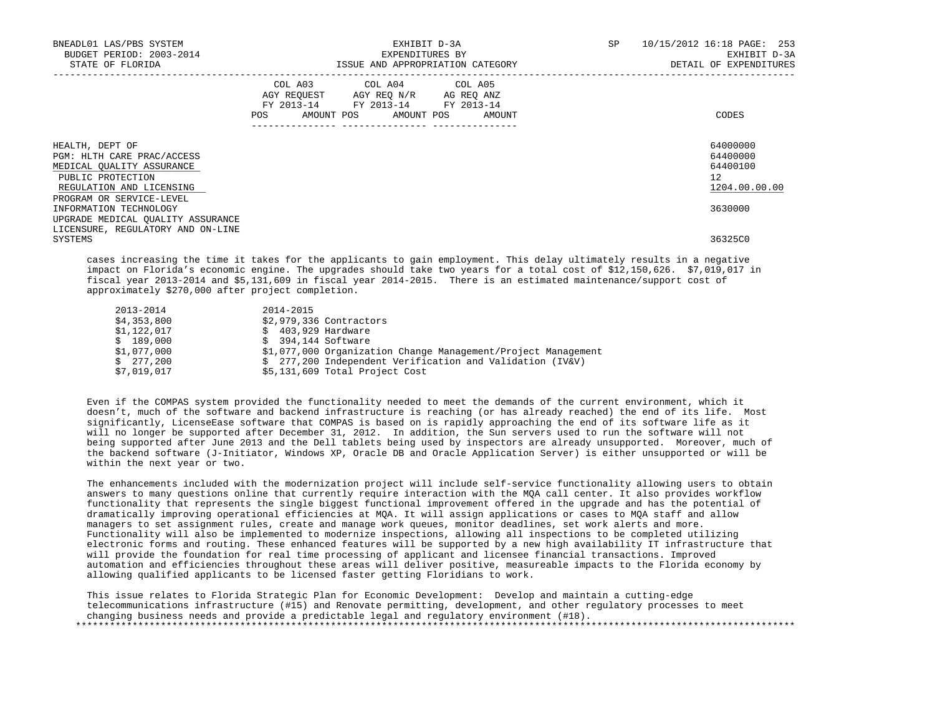| BNEADL01 LAS/PBS SYSTEM<br>BUDGET PERIOD: 2003-2014<br>STATE OF FLORIDA                                                      | EXHIBIT D-3A<br>EXPENDITURES BY<br>ISSUE AND APPROPRIATION CATEGORY                                                                                       | 10/15/2012 16:18 PAGE: 253<br>SP<br>EXHIBIT D-3A<br>DETAIL OF EXPENDITURES |
|------------------------------------------------------------------------------------------------------------------------------|-----------------------------------------------------------------------------------------------------------------------------------------------------------|----------------------------------------------------------------------------|
|                                                                                                                              | COL A03 COL A04 COL A05<br>AGY REOUEST AGY REO N/R AG REO ANZ<br>FY 2013-14 FY 2013-14 FY 2013-14<br>POS AMOUNT POS AMOUNT POS AMOUNT<br>---------------- | CODES                                                                      |
| HEALTH, DEPT OF<br>PGM: HLTH CARE PRAC/ACCESS<br>MEDICAL OUALITY ASSURANCE<br>PUBLIC PROTECTION<br>REGULATION AND LICENSING  |                                                                                                                                                           | 64000000<br>64400000<br>64400100<br>$12^{\circ}$<br>1204.00.00.00          |
| PROGRAM OR SERVICE-LEVEL<br>INFORMATION TECHNOLOGY<br>UPGRADE MEDICAL OUALITY ASSURANCE<br>LICENSURE, REGULATORY AND ON-LINE |                                                                                                                                                           | 3630000                                                                    |
| SYSTEMS                                                                                                                      |                                                                                                                                                           | 36325C0                                                                    |

 cases increasing the time it takes for the applicants to gain employment. This delay ultimately results in a negative impact on Florida's economic engine. The upgrades should take two years for a total cost of \$12,150,626. \$7,019,017 in fiscal year 2013-2014 and \$5,131,609 in fiscal year 2014-2015. There is an estimated maintenance/support cost of approximately \$270,000 after project completion.

| 2013-2014   | 2014-2015                                                     |
|-------------|---------------------------------------------------------------|
| \$4,353,800 | \$2,979,336 Contractors                                       |
| \$1,122,017 | \$ 403,929 Hardware                                           |
| \$189,000   | $$394.144$ Software                                           |
| \$1,077,000 | \$1,077,000 Organization Change Management/Project Management |
| \$277.200   | \$ 277,200 Independent Verification and Validation (IV&V)     |
| \$7,019,017 | \$5,131,609 Total Project Cost                                |

 Even if the COMPAS system provided the functionality needed to meet the demands of the current environment, which it doesn't, much of the software and backend infrastructure is reaching (or has already reached) the end of its life. Most significantly, LicenseEase software that COMPAS is based on is rapidly approaching the end of its software life as it will no longer be supported after December 31, 2012. In addition, the Sun servers used to run the software will not being supported after June 2013 and the Dell tablets being used by inspectors are already unsupported. Moreover, much of the backend software (J-Initiator, Windows XP, Oracle DB and Oracle Application Server) is either unsupported or will be within the next year or two.

 The enhancements included with the modernization project will include self-service functionality allowing users to obtain answers to many questions online that currently require interaction with the MQA call center. It also provides workflow functionality that represents the single biggest functional improvement offered in the upgrade and has the potential of dramatically improving operational efficiencies at MQA. It will assign applications or cases to MQA staff and allow managers to set assignment rules, create and manage work queues, monitor deadlines, set work alerts and more. Functionality will also be implemented to modernize inspections, allowing all inspections to be completed utilizing electronic forms and routing. These enhanced features will be supported by a new high availability IT infrastructure that will provide the foundation for real time processing of applicant and licensee financial transactions. Improved automation and efficiencies throughout these areas will deliver positive, measureable impacts to the Florida economy by allowing qualified applicants to be licensed faster getting Floridians to work.

 This issue relates to Florida Strategic Plan for Economic Development: Develop and maintain a cutting-edge telecommunications infrastructure (#15) and Renovate permitting, development, and other regulatory processes to meet changing business needs and provide a predictable legal and regulatory environment (#18). \*\*\*\*\*\*\*\*\*\*\*\*\*\*\*\*\*\*\*\*\*\*\*\*\*\*\*\*\*\*\*\*\*\*\*\*\*\*\*\*\*\*\*\*\*\*\*\*\*\*\*\*\*\*\*\*\*\*\*\*\*\*\*\*\*\*\*\*\*\*\*\*\*\*\*\*\*\*\*\*\*\*\*\*\*\*\*\*\*\*\*\*\*\*\*\*\*\*\*\*\*\*\*\*\*\*\*\*\*\*\*\*\*\*\*\*\*\*\*\*\*\*\*\*\*\*\*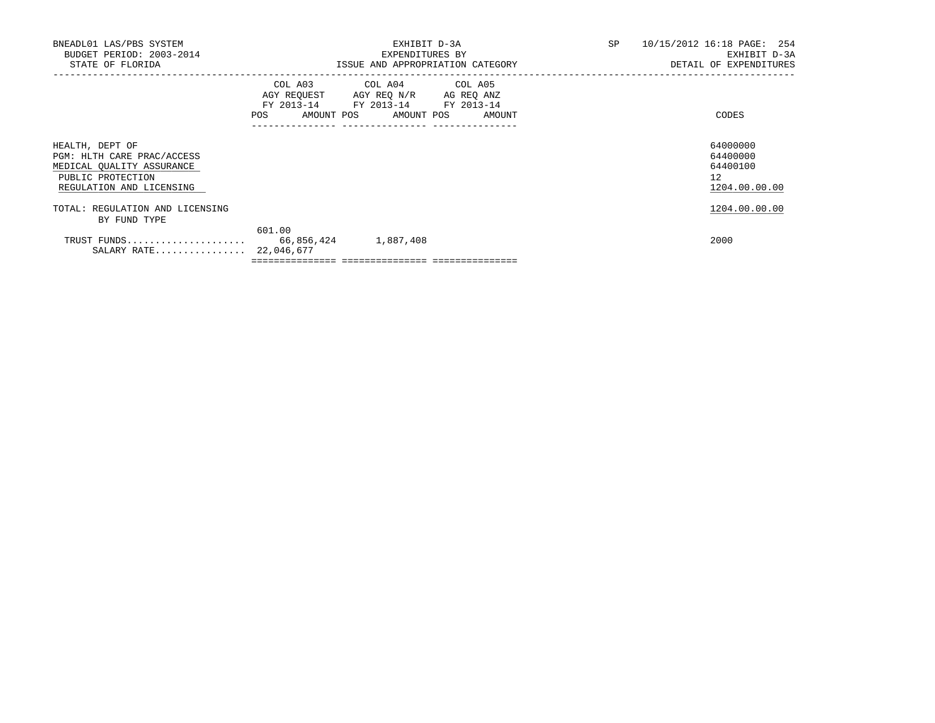| BNEADL01 LAS/PBS SYSTEM<br>BUDGET PERIOD: 2003-2014<br>STATE OF FLORIDA                                                     |                                                   | EXHIBIT D-3A<br>EXPENDITURES BY<br>ISSUE AND APPROPRIATION CATEGORY                                                                  | SP | 10/15/2012 16:18 PAGE: 254<br>EXHIBIT D-3A<br>DETAIL OF EXPENDITURES |
|-----------------------------------------------------------------------------------------------------------------------------|---------------------------------------------------|--------------------------------------------------------------------------------------------------------------------------------------|----|----------------------------------------------------------------------|
|                                                                                                                             | <b>POS</b><br>.__________________________________ | COL A03 COL A04 COL A05<br>AGY REQUEST AGY REQ N/R AG REQ ANZ<br>FY 2013-14 FY 2013-14 FY 2013-14<br>AMOUNT POS AMOUNT POS<br>AMOUNT |    | CODES                                                                |
| HEALTH, DEPT OF<br>PGM: HLTH CARE PRAC/ACCESS<br>MEDICAL OUALITY ASSURANCE<br>PUBLIC PROTECTION<br>REGULATION AND LICENSING |                                                   |                                                                                                                                      |    | 64000000<br>64400000<br>64400100<br>12 <sup>7</sup><br>1204.00.00.00 |
| TOTAL: REGULATION AND LICENSING<br>BY FUND TYPE                                                                             |                                                   |                                                                                                                                      |    | 1204.00.00.00                                                        |
| TRUST FUNDS 66,856,424<br>SALARY RATE 22,046,677                                                                            | 601.00                                            | 1,887,408                                                                                                                            |    | 2000                                                                 |

 $=$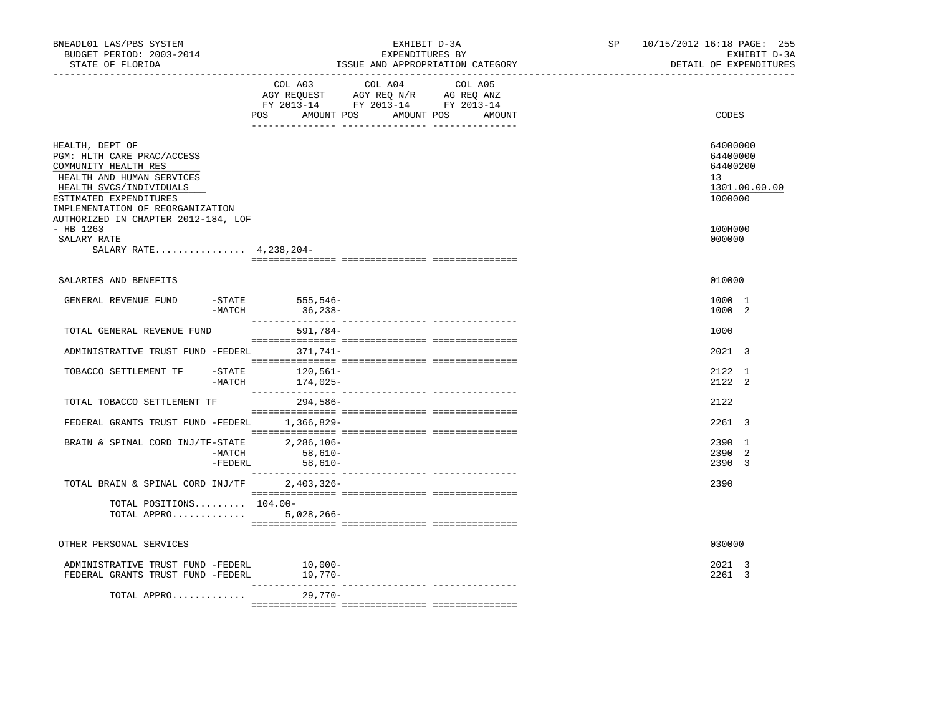| BNEADL01 LAS/PBS SYSTEM<br>BUDGET PERIOD: 2003-2014<br>STATE OF FLORIDA                                                                                                                     |                                                           | EXHIBIT D-3A<br>EXPENDITURES BY<br>ISSUE AND APPROPRIATION CATEGORY                                                                   | SP and the set of the set of the set of the set of the set of the set of the set of the set of the set of the set of the set of the set of the set of the set of the set of the set of the set of the set of the set of the se | 10/15/2012 16:18 PAGE: 255<br>EXHIBIT D-3A<br>DETAIL OF EXPENDITURES |
|---------------------------------------------------------------------------------------------------------------------------------------------------------------------------------------------|-----------------------------------------------------------|---------------------------------------------------------------------------------------------------------------------------------------|--------------------------------------------------------------------------------------------------------------------------------------------------------------------------------------------------------------------------------|----------------------------------------------------------------------|
|                                                                                                                                                                                             |                                                           | COL A03 COL A04 COL A05<br>AGY REQUEST AGY REQ N/R AG REQ ANZ<br>FY 2013-14 FY 2013-14 FY 2013-14<br>POS AMOUNT POS AMOUNT POS AMOUNT |                                                                                                                                                                                                                                | CODES                                                                |
| HEALTH, DEPT OF<br>PGM: HLTH CARE PRAC/ACCESS<br>COMMUNITY HEALTH RES<br>HEALTH AND HUMAN SERVICES<br>HEALTH SVCS/INDIVIDUALS<br>ESTIMATED EXPENDITURES<br>IMPLEMENTATION OF REORGANIZATION |                                                           |                                                                                                                                       |                                                                                                                                                                                                                                | 64000000<br>64400000<br>64400200<br>13<br>1301.00.00.00<br>1000000   |
| AUTHORIZED IN CHAPTER 2012-184, LOF<br>$-$ HB 1263<br>SALARY RATE<br>SALARY RATE 4, 238, 204-                                                                                               |                                                           |                                                                                                                                       |                                                                                                                                                                                                                                | 100H000<br>000000                                                    |
| SALARIES AND BENEFITS                                                                                                                                                                       |                                                           |                                                                                                                                       |                                                                                                                                                                                                                                | 010000                                                               |
| GENERAL REVENUE FUND                                                                                                                                                                        | $-$ STATE 555, 546-<br>-MATCH<br>36,238-                  |                                                                                                                                       |                                                                                                                                                                                                                                | 1000 1<br>1000 2                                                     |
| TOTAL GENERAL REVENUE FUND                                                                                                                                                                  | 591,784-                                                  |                                                                                                                                       |                                                                                                                                                                                                                                | 1000                                                                 |
| ADMINISTRATIVE TRUST FUND -FEDERL 371,741-                                                                                                                                                  |                                                           |                                                                                                                                       |                                                                                                                                                                                                                                | 2021 3                                                               |
| TOBACCO SETTLEMENT TF                                                                                                                                                                       | $-STATE$<br>120,561-<br>$-MATCH$<br>174,025-              |                                                                                                                                       |                                                                                                                                                                                                                                | 2122 1<br>2122 2                                                     |
| TOTAL TOBACCO SETTLEMENT TF                                                                                                                                                                 | 294,586-                                                  |                                                                                                                                       |                                                                                                                                                                                                                                | 2122                                                                 |
| FEDERAL GRANTS TRUST FUND -FEDERL                                                                                                                                                           | 1,366,829-                                                |                                                                                                                                       |                                                                                                                                                                                                                                | 2261 3                                                               |
| BRAIN & SPINAL CORD INJ/TF-STATE                                                                                                                                                            | 2,286,106-<br>-MATCH<br>$58,610-$<br>-FEDERL<br>$58,610-$ |                                                                                                                                       |                                                                                                                                                                                                                                | 2390 1<br>2390 2<br>2390 3                                           |
| TOTAL BRAIN & SPINAL CORD INJ/TF                                                                                                                                                            | 2,403,326-                                                |                                                                                                                                       |                                                                                                                                                                                                                                | 2390                                                                 |
| TOTAL POSITIONS $104.00 -$<br>TOTAL APPRO 5,028,266-                                                                                                                                        |                                                           |                                                                                                                                       |                                                                                                                                                                                                                                |                                                                      |
| OTHER PERSONAL SERVICES                                                                                                                                                                     |                                                           |                                                                                                                                       |                                                                                                                                                                                                                                | 030000                                                               |
| ADMINISTRATIVE TRUST FUND -FEDERL<br>FEDERAL GRANTS TRUST FUND -FEDERL                                                                                                                      | $10,000-$<br>19,770-                                      |                                                                                                                                       |                                                                                                                                                                                                                                | 2021 3<br>2261 3                                                     |
| TOTAL APPRO                                                                                                                                                                                 | 29,770-                                                   |                                                                                                                                       |                                                                                                                                                                                                                                |                                                                      |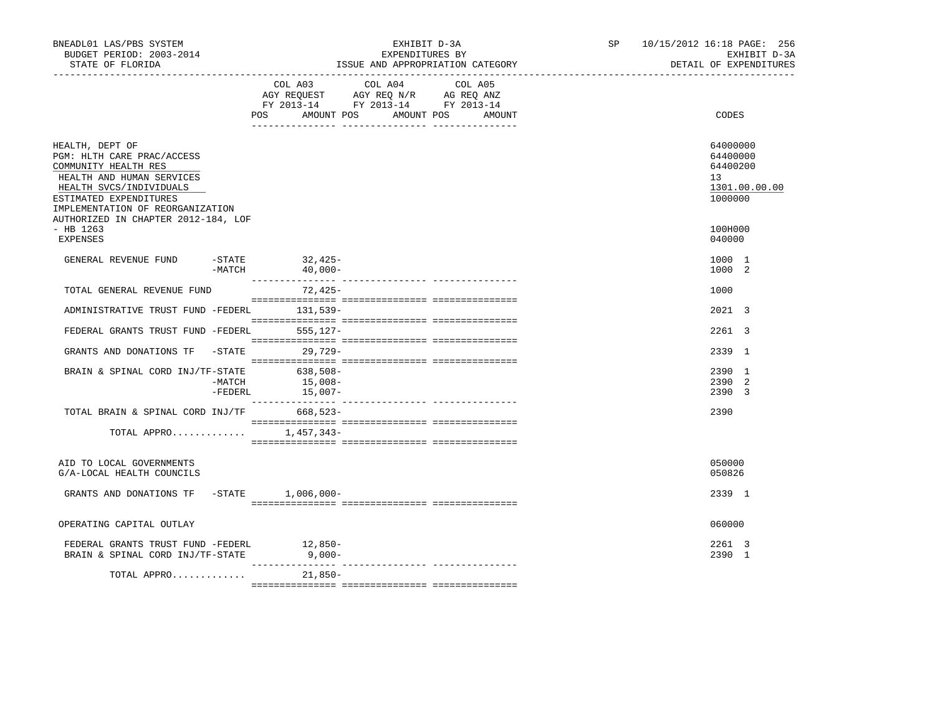| BNEADL01 LAS/PBS SYSTEM<br>BUDGET PERIOD: 2003-2014<br>STATE OF FLORIDA                                                                                                                                                            |                                                                                                                                                                                                                                                                           | EXHIBIT D-3A<br>EXPENDITURES BY<br>ISSUE AND APPROPRIATION CATEGORY | SP and the set of the set of the set of the set of the set of the set of the set of the set of the set of the set of the set of the set of the set of the set of the set of the set of the set of the set of the set of the se | 10/15/2012 16:18 PAGE: 256 | EXHIBIT D-3A<br>DETAIL OF EXPENDITURES |                                                              |
|------------------------------------------------------------------------------------------------------------------------------------------------------------------------------------------------------------------------------------|---------------------------------------------------------------------------------------------------------------------------------------------------------------------------------------------------------------------------------------------------------------------------|---------------------------------------------------------------------|--------------------------------------------------------------------------------------------------------------------------------------------------------------------------------------------------------------------------------|----------------------------|----------------------------------------|--------------------------------------------------------------|
|                                                                                                                                                                                                                                    | $\begin{tabular}{lllllll} \bf AGY \,\, &\bf REQUEST \,\, &\bf AGY \,\, &\bf REQ \,\, &\bf N/R \,\, &\bf AG \,\, &\bf REQ \,\, &\bf ANZ \,\, \\ \bf FY \,\, &\bf 2013-14 \,\, &\bf FY \,\, &\bf 2013-14 \,\, &\bf FY \,\, &\bf 2013-14 \end{tabular}$<br>POS<br>AMOUNT POS | COL A03 COL A04 COL A05                                             | AMOUNT POS<br>AMOUNT                                                                                                                                                                                                           |                            |                                        | CODES                                                        |
| HEALTH, DEPT OF<br>PGM: HLTH CARE PRAC/ACCESS<br>COMMUNITY HEALTH RES<br>HEALTH AND HUMAN SERVICES<br>HEALTH SVCS/INDIVIDUALS<br>ESTIMATED EXPENDITURES<br>IMPLEMENTATION OF REORGANIZATION<br>AUTHORIZED IN CHAPTER 2012-184, LOF |                                                                                                                                                                                                                                                                           |                                                                     |                                                                                                                                                                                                                                |                            | 13                                     | 64000000<br>64400000<br>64400200<br>1301.00.00.00<br>1000000 |
| $-$ HB 1263<br><b>EXPENSES</b>                                                                                                                                                                                                     |                                                                                                                                                                                                                                                                           |                                                                     |                                                                                                                                                                                                                                |                            |                                        | 100H000<br>040000                                            |
| $ STATE$<br>GENERAL REVENUE FUND<br>$-MATCH$                                                                                                                                                                                       | 32,425-<br>$40,000-$                                                                                                                                                                                                                                                      |                                                                     |                                                                                                                                                                                                                                |                            |                                        | 1000 1<br>1000 2                                             |
| TOTAL GENERAL REVENUE FUND                                                                                                                                                                                                         | 72,425-                                                                                                                                                                                                                                                                   |                                                                     |                                                                                                                                                                                                                                |                            |                                        | 1000                                                         |
| ADMINISTRATIVE TRUST FUND -FEDERL 131,539-                                                                                                                                                                                         |                                                                                                                                                                                                                                                                           |                                                                     |                                                                                                                                                                                                                                |                            |                                        | 2021 3                                                       |
| FEDERAL GRANTS TRUST FUND -FEDERL 555,127-                                                                                                                                                                                         |                                                                                                                                                                                                                                                                           |                                                                     |                                                                                                                                                                                                                                |                            |                                        | 2261 3                                                       |
| GRANTS AND DONATIONS TF -STATE 29,729-                                                                                                                                                                                             |                                                                                                                                                                                                                                                                           |                                                                     |                                                                                                                                                                                                                                |                            |                                        | 2339 1                                                       |
| BRAIN & SPINAL CORD INJ/TF-STATE<br>-MATCH                                                                                                                                                                                         | 638,508-<br>15,008-<br>$-FEDERL$<br>15,007-                                                                                                                                                                                                                               |                                                                     |                                                                                                                                                                                                                                |                            |                                        | 2390 1<br>2390 2<br>2390 3                                   |
| TOTAL BRAIN & SPINAL CORD INJ/TF 668,523-                                                                                                                                                                                          |                                                                                                                                                                                                                                                                           |                                                                     |                                                                                                                                                                                                                                |                            |                                        | 2390                                                         |
| TOTAL APPRO $1,457,343-$                                                                                                                                                                                                           |                                                                                                                                                                                                                                                                           |                                                                     |                                                                                                                                                                                                                                |                            |                                        |                                                              |
| AID TO LOCAL GOVERNMENTS<br>G/A-LOCAL HEALTH COUNCILS                                                                                                                                                                              |                                                                                                                                                                                                                                                                           |                                                                     |                                                                                                                                                                                                                                |                            |                                        | 050000<br>050826                                             |
| GRANTS AND DONATIONS TF -STATE 1,006,000-                                                                                                                                                                                          |                                                                                                                                                                                                                                                                           |                                                                     |                                                                                                                                                                                                                                |                            |                                        | 2339 1                                                       |
| OPERATING CAPITAL OUTLAY                                                                                                                                                                                                           |                                                                                                                                                                                                                                                                           |                                                                     |                                                                                                                                                                                                                                |                            |                                        | 060000                                                       |
| FEDERAL GRANTS TRUST FUND -FEDERL<br>BRAIN & SPINAL CORD INJ/TF-STATE 9,000-                                                                                                                                                       | $12,850-$                                                                                                                                                                                                                                                                 |                                                                     |                                                                                                                                                                                                                                |                            |                                        | 2261 3<br>2390 1                                             |
| TOTAL APPRO                                                                                                                                                                                                                        | $21.850-$                                                                                                                                                                                                                                                                 |                                                                     |                                                                                                                                                                                                                                |                            |                                        |                                                              |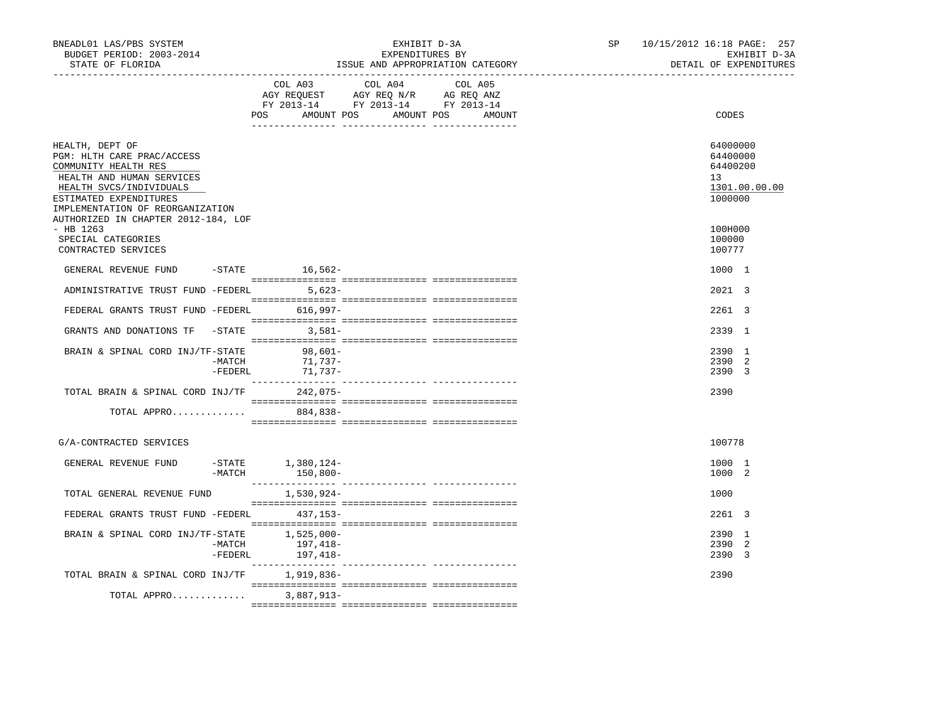| BNEADL01 LAS/PBS SYSTEM<br>BUDGET PERIOD: 2003-2014<br>STATE OF FLORIDA                                                                                                                     |                                         | EXHIBIT D-3A<br>EXPENDITURES BY<br>ISSUE AND APPROPRIATION CATEGORY                                                              | SP | 10/15/2012 16:18 PAGE: 257<br>EXHIBIT D-3A<br>DETAIL OF EXPENDITURES |
|---------------------------------------------------------------------------------------------------------------------------------------------------------------------------------------------|-----------------------------------------|----------------------------------------------------------------------------------------------------------------------------------|----|----------------------------------------------------------------------|
|                                                                                                                                                                                             | COL A03                                 | COL A04<br>COL A05<br>AGY REQUEST AGY REQ N/R AG REQ ANZ<br>FY 2013-14 FY 2013-14 FY 2013-14<br>POS AMOUNT POS AMOUNT POS AMOUNT |    | CODES                                                                |
| HEALTH, DEPT OF<br>PGM: HLTH CARE PRAC/ACCESS<br>COMMUNITY HEALTH RES<br>HEALTH AND HUMAN SERVICES<br>HEALTH SVCS/INDIVIDUALS<br>ESTIMATED EXPENDITURES<br>IMPLEMENTATION OF REORGANIZATION |                                         |                                                                                                                                  |    | 64000000<br>64400000<br>64400200<br>13<br>1301.00.00.00<br>1000000   |
| AUTHORIZED IN CHAPTER 2012-184, LOF<br>- HB 1263<br>SPECIAL CATEGORIES<br>CONTRACTED SERVICES                                                                                               |                                         |                                                                                                                                  |    | 100H000<br>100000<br>100777                                          |
| GENERAL REVENUE FUND                                                                                                                                                                        | $-STATE$ 16,562-                        |                                                                                                                                  |    | 1000 1                                                               |
| ADMINISTRATIVE TRUST FUND -FEDERL 5,623-                                                                                                                                                    |                                         |                                                                                                                                  |    | $2021 \quad 3$                                                       |
| FEDERAL GRANTS TRUST FUND -FEDERL 616,997-                                                                                                                                                  |                                         |                                                                                                                                  |    | 2261 3                                                               |
| GRANTS AND DONATIONS TF -STATE 3,581-                                                                                                                                                       |                                         |                                                                                                                                  |    | 2339 1                                                               |
| BRAIN & SPINAL CORD INJ/TF-STATE<br>-MATCH                                                                                                                                                  | $98,601-$<br>71,737-<br>-FEDERL 71,737- |                                                                                                                                  |    | 2390 1<br>2390 2<br>2390 3                                           |
| TOTAL BRAIN & SPINAL CORD INJ/TF 242,075-                                                                                                                                                   |                                         |                                                                                                                                  |    | 2390                                                                 |
| TOTAL APPRO                                                                                                                                                                                 | 884,838-                                |                                                                                                                                  |    |                                                                      |
| G/A-CONTRACTED SERVICES                                                                                                                                                                     |                                         |                                                                                                                                  |    | 100778                                                               |
| GENERAL REVENUE FUND<br>$-MATCH$                                                                                                                                                            | -STATE 1,380,124-<br>$150,800 -$        |                                                                                                                                  |    | 1000 1<br>1000 2                                                     |
| TOTAL GENERAL REVENUE FUND                                                                                                                                                                  | 1,530,924-                              |                                                                                                                                  |    | 1000                                                                 |
| FEDERAL GRANTS TRUST FUND -FEDERL 437,153-                                                                                                                                                  |                                         |                                                                                                                                  |    | 2261 3                                                               |
| BRAIN & SPINAL CORD INJ/TF-STATE 1,525,000-<br>-MATCH<br>$-$ FEDERL                                                                                                                         | 197,418-<br>197,418–                    |                                                                                                                                  |    | 2390 1<br>2390 2<br>2390 3                                           |
| TOTAL BRAIN & SPINAL CORD INJ/TF                                                                                                                                                            | 1,919,836–                              |                                                                                                                                  |    | 2390                                                                 |
| TOTAL APPRO                                                                                                                                                                                 | $3.887.913-$                            |                                                                                                                                  |    |                                                                      |
|                                                                                                                                                                                             |                                         |                                                                                                                                  |    |                                                                      |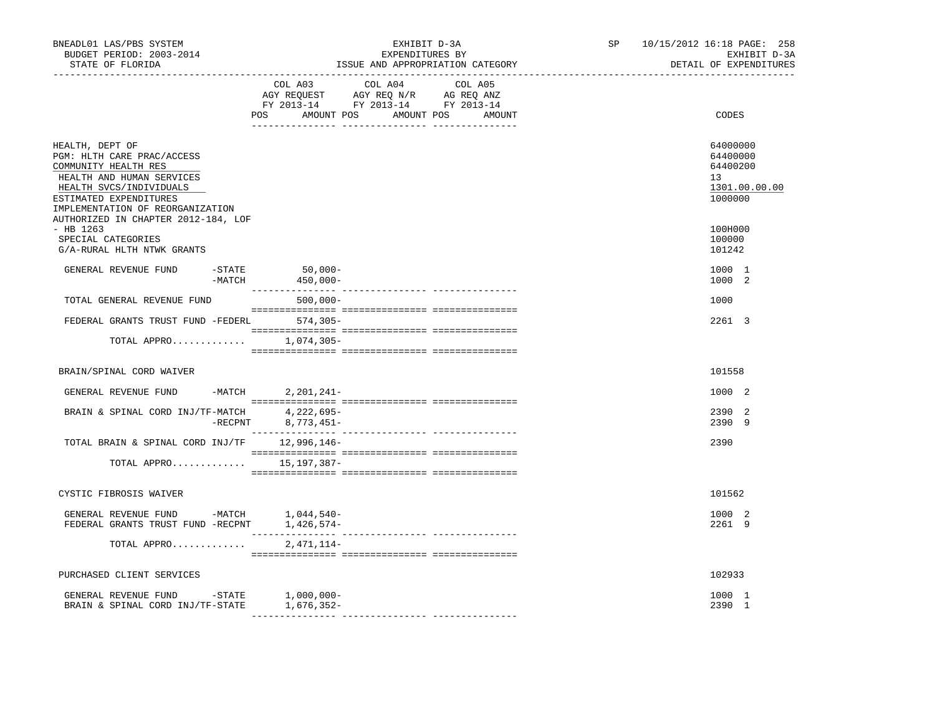| BNEADL01 LAS/PBS SYSTEM<br>BUDGET PERIOD: 2003-2014<br>STATE OF FLORIDA                                                                                                                                                            |                 | _______________________________                                                                                       | EXHIBIT D-3A<br>EXPENDITURES BY<br>ISSUE AND APPROPRIATION CATEGORY |         | SP | 10/15/2012 16:18 PAGE: 258<br>EXHIBIT D-3A<br>DETAIL OF EXPENDITURES            |
|------------------------------------------------------------------------------------------------------------------------------------------------------------------------------------------------------------------------------------|-----------------|-----------------------------------------------------------------------------------------------------------------------|---------------------------------------------------------------------|---------|----|---------------------------------------------------------------------------------|
|                                                                                                                                                                                                                                    |                 | COL A03<br>AGY REQUEST AGY REQ N/R AG REQ ANZ<br>FY 2013-14 FY 2013-14 FY 2013-14<br>POS AMOUNT POS AMOUNT POS AMOUNT | COL A04                                                             | COL A05 |    | CODES                                                                           |
|                                                                                                                                                                                                                                    |                 |                                                                                                                       |                                                                     |         |    |                                                                                 |
| HEALTH, DEPT OF<br>PGM: HLTH CARE PRAC/ACCESS<br>COMMUNITY HEALTH RES<br>HEALTH AND HUMAN SERVICES<br>HEALTH SVCS/INDIVIDUALS<br>ESTIMATED EXPENDITURES<br>IMPLEMENTATION OF REORGANIZATION<br>AUTHORIZED IN CHAPTER 2012-184, LOF |                 |                                                                                                                       |                                                                     |         |    | 64000000<br>64400000<br>64400200<br>13 <sup>7</sup><br>1301.00.00.00<br>1000000 |
| $-$ HB 1263<br>SPECIAL CATEGORIES<br>G/A-RURAL HLTH NTWK GRANTS                                                                                                                                                                    |                 |                                                                                                                       |                                                                     |         |    | 100H000<br>100000<br>101242                                                     |
| GENERAL REVENUE FUND                                                                                                                                                                                                               | $-$ STATE       | 50,000-<br>$-MATCH$ 450,000-                                                                                          |                                                                     |         |    | 1000 1<br>1000 2                                                                |
| TOTAL GENERAL REVENUE FUND                                                                                                                                                                                                         |                 | $500,000 -$                                                                                                           |                                                                     |         |    | 1000                                                                            |
| FEDERAL GRANTS TRUST FUND -FEDERL 574,305-                                                                                                                                                                                         |                 |                                                                                                                       |                                                                     |         |    | 2261 3                                                                          |
| TOTAL APPRO                                                                                                                                                                                                                        |                 | 1,074,305-                                                                                                            |                                                                     |         |    |                                                                                 |
| BRAIN/SPINAL CORD WAIVER                                                                                                                                                                                                           |                 |                                                                                                                       |                                                                     |         |    | 101558                                                                          |
| GENERAL REVENUE FUND                                                                                                                                                                                                               | $-MATCH$        | $2,201,241-$                                                                                                          |                                                                     |         |    | 1000 2                                                                          |
| BRAIN & SPINAL CORD INJ/TF-MATCH                                                                                                                                                                                                   | $-{\rm RECPNT}$ | 4,222,695-<br>8,773,451-                                                                                              |                                                                     |         |    | 2390 2<br>2390 9                                                                |
| TOTAL BRAIN & SPINAL CORD INJ/TF 12,996,146-                                                                                                                                                                                       |                 |                                                                                                                       |                                                                     |         |    | 2390                                                                            |
| TOTAL APPRO 15, 197, 387-                                                                                                                                                                                                          |                 |                                                                                                                       |                                                                     |         |    |                                                                                 |
| CYSTIC FIBROSIS WAIVER                                                                                                                                                                                                             |                 |                                                                                                                       |                                                                     |         |    | 101562                                                                          |
|                                                                                                                                                                                                                                    |                 |                                                                                                                       |                                                                     |         |    | 1000 2<br>2261 9                                                                |
| TOTAL APPRO                                                                                                                                                                                                                        |                 | 2,471,114-                                                                                                            |                                                                     |         |    |                                                                                 |
| PURCHASED CLIENT SERVICES                                                                                                                                                                                                          |                 |                                                                                                                       |                                                                     |         |    | 102933                                                                          |
| GENERAL REVENUE FUND -STATE 1,000,000-<br>BRAIN & SPINAL CORD INJ/TF-STATE                                                                                                                                                         |                 | 1,676,352-                                                                                                            |                                                                     |         |    | 1000 1<br>2390 1                                                                |
|                                                                                                                                                                                                                                    |                 |                                                                                                                       |                                                                     |         |    |                                                                                 |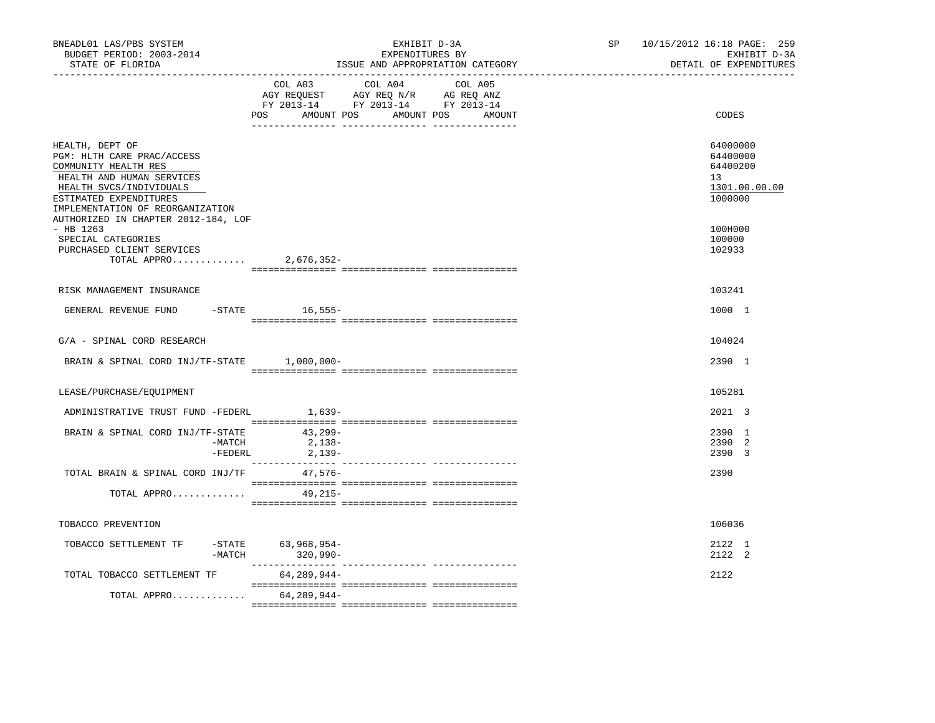| BNEADL01 LAS/PBS SYSTEM<br>BUDGET PERIOD: 2003-2014<br>STATE OF FLORIDA<br>-----------------                                                                                                                                       | EXHIBIT D-3A<br>EXPENDITURES BY<br>ISSUE AND APPROPRIATION CATEGORY                                                                            | 10/15/2012 16:18 PAGE: 259<br>SP <sub>2</sub><br>EXHIBIT D-3A<br>DETAIL OF EXPENDITURES |
|------------------------------------------------------------------------------------------------------------------------------------------------------------------------------------------------------------------------------------|------------------------------------------------------------------------------------------------------------------------------------------------|-----------------------------------------------------------------------------------------|
|                                                                                                                                                                                                                                    | COL A03<br>COL A04<br>COL A05<br>AGY REQUEST AGY REQ N/R AG REQ ANZ<br>FY 2013-14 FY 2013-14 FY 2013-14<br>AMOUNT POS AMOUNT POS AMOUNT<br>POS | CODES                                                                                   |
| HEALTH, DEPT OF<br>PGM: HLTH CARE PRAC/ACCESS<br>COMMUNITY HEALTH RES<br>HEALTH AND HUMAN SERVICES<br>HEALTH SVCS/INDIVIDUALS<br>ESTIMATED EXPENDITURES<br>IMPLEMENTATION OF REORGANIZATION<br>AUTHORIZED IN CHAPTER 2012-184, LOF |                                                                                                                                                | 64000000<br>64400000<br>64400200<br>13<br>1301.00.00.00<br>1000000                      |
| $-$ HB 1263<br>SPECIAL CATEGORIES<br>PURCHASED CLIENT SERVICES<br>TOTAL APPRO                                                                                                                                                      | 2,676,352-                                                                                                                                     | 100H000<br>100000<br>102933                                                             |
| RISK MANAGEMENT INSURANCE                                                                                                                                                                                                          |                                                                                                                                                | 103241                                                                                  |
| GENERAL REVENUE FUND -STATE 16,555-                                                                                                                                                                                                |                                                                                                                                                | 1000 1                                                                                  |
| G/A - SPINAL CORD RESEARCH                                                                                                                                                                                                         |                                                                                                                                                | 104024                                                                                  |
| BRAIN & SPINAL CORD INJ/TF-STATE 1,000,000-                                                                                                                                                                                        |                                                                                                                                                | 2390 1                                                                                  |
| LEASE/PURCHASE/EQUIPMENT                                                                                                                                                                                                           |                                                                                                                                                | 105281                                                                                  |
| ADMINISTRATIVE TRUST FUND -FEDERL                                                                                                                                                                                                  | 1,639-                                                                                                                                         | 2021 3                                                                                  |
| BRAIN & SPINAL CORD INJ/TF-STATE 43,299-<br>-MATCH<br>-FEDERL                                                                                                                                                                      | $2,138-$<br>2,139-                                                                                                                             | 2390 1<br>2390 2<br>2390 3                                                              |
| TOTAL BRAIN & SPINAL CORD INJ/TF                                                                                                                                                                                                   | 47,576-                                                                                                                                        | 2390                                                                                    |
| TOTAL APPRO                                                                                                                                                                                                                        | 49,215-                                                                                                                                        |                                                                                         |
| TOBACCO PREVENTION                                                                                                                                                                                                                 |                                                                                                                                                | 106036                                                                                  |
| TOBACCO SETTLEMENT TF<br>$-MATCH$                                                                                                                                                                                                  | -STATE 63,968,954-<br>$320,990 -$                                                                                                              | 2122 1<br>2122 2                                                                        |
| TOTAL TOBACCO SETTLEMENT TF                                                                                                                                                                                                        | 64,289,944-                                                                                                                                    | 2122                                                                                    |
| TOTAL APPRO                                                                                                                                                                                                                        | 64,289,944-                                                                                                                                    |                                                                                         |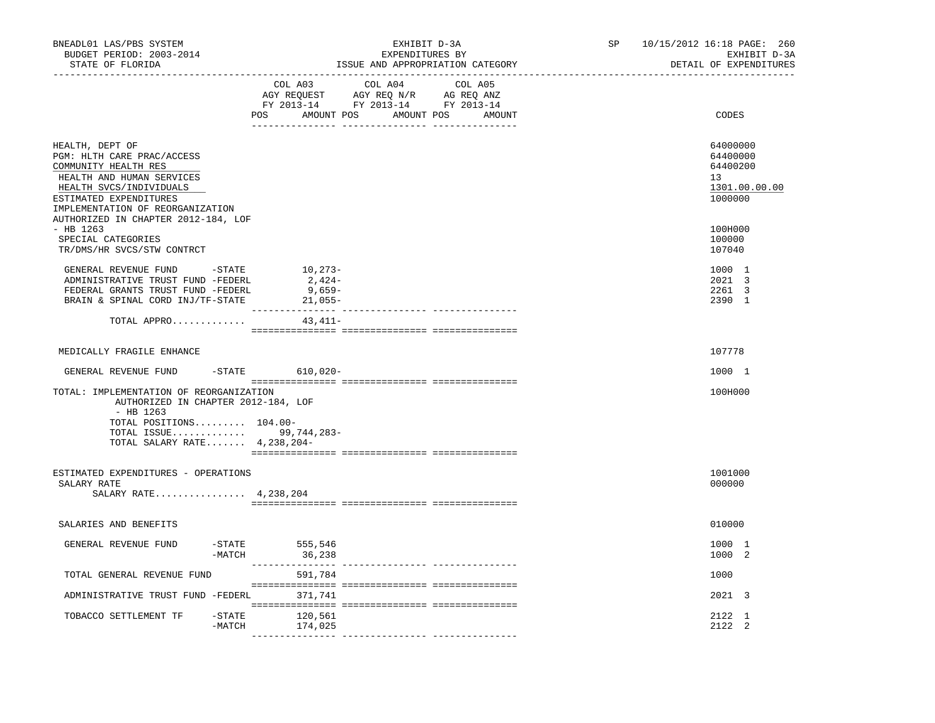| BNEADL01 LAS/PBS SYSTEM<br>BUDGET PERIOD: 2003-2014<br>STATE OF FLORIDA<br>__________________                                                                                                                                      | EXHIBIT D-3A<br>EXPENDITURES BY<br>ISSUE AND APPROPRIATION CATEGORY                                                                                                                                                                                                      | 10/15/2012 16:18 PAGE: 260<br>SP<br>EXHIBIT D-3A<br>DETAIL OF EXPENDITURES |
|------------------------------------------------------------------------------------------------------------------------------------------------------------------------------------------------------------------------------------|--------------------------------------------------------------------------------------------------------------------------------------------------------------------------------------------------------------------------------------------------------------------------|----------------------------------------------------------------------------|
|                                                                                                                                                                                                                                    | COL A04 COL A05<br>COL A03<br>$\begin{tabular}{lllllllll} \bf AGY \;\; RegUEST & \tt AGY \;\; REG \;\; N/R & \tt AG \;\; REG \;\; ANZ \\ \hline \tt FY \;\; 2013-14 & \tt FY \;\; 2013-14 & \tt FY \;\; 2013-14 \\ \end{tabular}$<br>POS AMOUNT POS AMOUNT POS<br>AMOUNT | CODES                                                                      |
| HEALTH, DEPT OF<br>PGM: HLTH CARE PRAC/ACCESS<br>COMMUNITY HEALTH RES<br>HEALTH AND HUMAN SERVICES<br>HEALTH SVCS/INDIVIDUALS<br>ESTIMATED EXPENDITURES<br>IMPLEMENTATION OF REORGANIZATION<br>AUTHORIZED IN CHAPTER 2012-184, LOF |                                                                                                                                                                                                                                                                          | 64000000<br>64400000<br>64400200<br>13<br>1301.00.00.00<br>1000000         |
| - HB 1263<br>SPECIAL CATEGORIES<br>TR/DMS/HR SVCS/STW CONTRCT                                                                                                                                                                      |                                                                                                                                                                                                                                                                          | 100H000<br>100000<br>107040                                                |
| GENERAL REVENUE FUND -STATE<br>ADMINISTRATIVE TRUST FUND -FEDERL<br>FEDERAL GRANTS TRUST FUND -FEDERL<br>BRAIN & SPINAL CORD INJ/TF-STATE                                                                                          | 10,273-<br>2,424-<br>9,659-<br>$21,055-$                                                                                                                                                                                                                                 | 1000 1<br>2021 3<br>2261 3<br>2390 1                                       |
| TOTAL APPRO                                                                                                                                                                                                                        | $43.411-$                                                                                                                                                                                                                                                                |                                                                            |
| MEDICALLY FRAGILE ENHANCE                                                                                                                                                                                                          |                                                                                                                                                                                                                                                                          | 107778                                                                     |
| GENERAL REVENUE FUND                                                                                                                                                                                                               | -STATE 610,020-                                                                                                                                                                                                                                                          | 1000 1                                                                     |
| TOTAL: IMPLEMENTATION OF REORGANIZATION<br>AUTHORIZED IN CHAPTER 2012-184, LOF<br>$-$ HB 1263<br>TOTAL POSITIONS 104.00-<br>TOTAL ISSUE 99,744,283-                                                                                |                                                                                                                                                                                                                                                                          | 100H000                                                                    |
| TOTAL SALARY RATE 4, 238, 204-                                                                                                                                                                                                     |                                                                                                                                                                                                                                                                          |                                                                            |
| ESTIMATED EXPENDITURES - OPERATIONS<br>SALARY RATE<br>SALARY RATE 4, 238, 204                                                                                                                                                      |                                                                                                                                                                                                                                                                          | 1001000<br>000000                                                          |
| SALARIES AND BENEFITS                                                                                                                                                                                                              |                                                                                                                                                                                                                                                                          | 010000                                                                     |
| GENERAL REVENUE FUND<br>-MATCH                                                                                                                                                                                                     | -STATE 555,546<br>36,238                                                                                                                                                                                                                                                 | 1000 1<br>1000 2                                                           |
| TOTAL GENERAL REVENUE FUND                                                                                                                                                                                                         | 591,784                                                                                                                                                                                                                                                                  | 1000                                                                       |
| ADMINISTRATIVE TRUST FUND -FEDERL 371,741                                                                                                                                                                                          |                                                                                                                                                                                                                                                                          | 2021 3                                                                     |
| TOBACCO SETTLEMENT TF<br>$-$ STATE<br>$-MATCH$                                                                                                                                                                                     | 120,561<br>174,025                                                                                                                                                                                                                                                       | 2122 1<br>2122 2                                                           |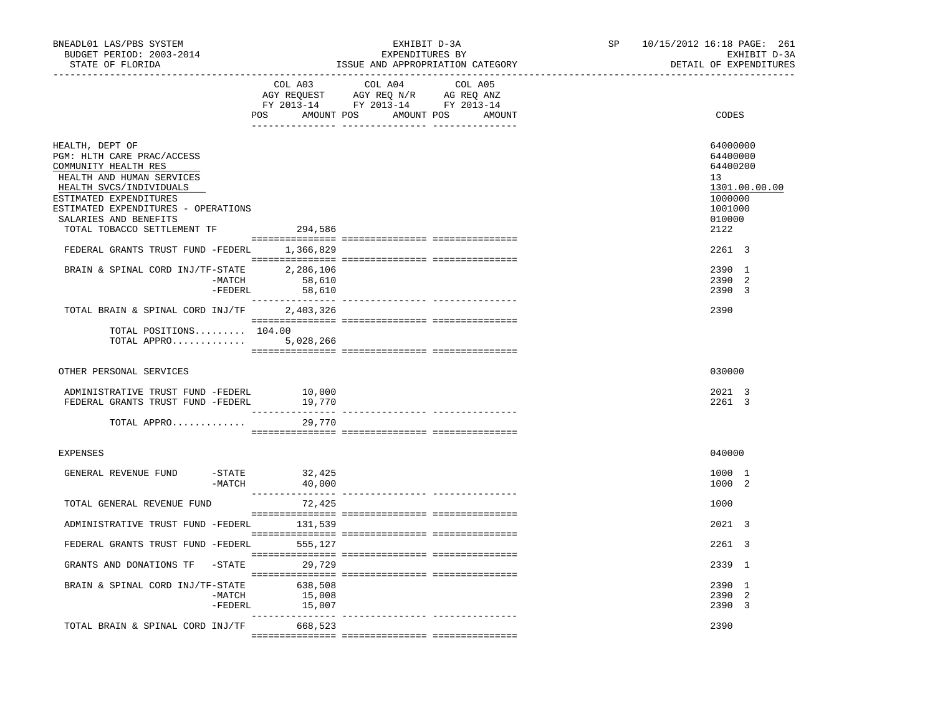| BNEADL01 LAS/PBS SYSTEM<br>BUDGET PERIOD: 2003-2014<br>STATE OF FLORIDA<br>------------------                                                                                                                                                                                                         | EXHIBIT D-3A<br>EXPENDITURES BY<br>ISSUE AND APPROPRIATION CATEGORY                                                                      | SP | 10/15/2012 16:18 PAGE: 261<br>EXHIBIT D-3A<br>DETAIL OF EXPENDITURES                                                           |
|-------------------------------------------------------------------------------------------------------------------------------------------------------------------------------------------------------------------------------------------------------------------------------------------------------|------------------------------------------------------------------------------------------------------------------------------------------|----|--------------------------------------------------------------------------------------------------------------------------------|
|                                                                                                                                                                                                                                                                                                       | COL A04 COL A05<br>COL A03<br>AGY REQUEST AGY REQ N/R AG REQ ANZ<br>FY 2013-14 FY 2013-14 FY 2013-14<br>POS AMOUNT POS AMOUNT POS AMOUNT |    | CODES                                                                                                                          |
| HEALTH, DEPT OF<br>PGM: HLTH CARE PRAC/ACCESS<br>COMMUNITY HEALTH RES<br>HEALTH AND HUMAN SERVICES<br>HEALTH SVCS/INDIVIDUALS<br>ESTIMATED EXPENDITURES<br>ESTIMATED EXPENDITURES - OPERATIONS<br>SALARIES AND BENEFITS<br>TOTAL TOBACCO SETTLEMENT TF<br>FEDERAL GRANTS TRUST FUND -FEDERL 1,366,829 | 294,586                                                                                                                                  |    | 64000000<br>64400000<br>64400200<br>13 <sup>°</sup><br>1301.00.00.00<br>1000000<br>1001000<br>010000<br>2122<br>$2261 \quad 3$ |
| BRAIN & SPINAL CORD INJ/TF-STATE 2,286,106<br>-MATCH                                                                                                                                                                                                                                                  | 58,610<br>$-FEDERL$<br>58,610                                                                                                            |    | 2390 1<br>2390 2<br>2390 3                                                                                                     |
| TOTAL BRAIN & SPINAL CORD INJ/TF<br>TOTAL POSITIONS 104.00<br>TOTAL APPRO $5,028,266$                                                                                                                                                                                                                 | 2,403,326                                                                                                                                |    | 2390                                                                                                                           |
| OTHER PERSONAL SERVICES                                                                                                                                                                                                                                                                               |                                                                                                                                          |    | 030000                                                                                                                         |
| ADMINISTRATIVE TRUST FUND -FEDERL<br>FEDERAL GRANTS TRUST FUND -FEDERL<br>TOTAL APPRO                                                                                                                                                                                                                 | 10,000<br>19,770<br>29,770                                                                                                               |    | 2021 3<br>2261 3                                                                                                               |
| EXPENSES                                                                                                                                                                                                                                                                                              |                                                                                                                                          |    | 040000                                                                                                                         |
| GENERAL REVENUE FUND<br>$-MATCH$                                                                                                                                                                                                                                                                      | -STATE 32,425<br>40,000                                                                                                                  |    | 1000 1<br>1000 2                                                                                                               |
| TOTAL GENERAL REVENUE FUND                                                                                                                                                                                                                                                                            | 72,425                                                                                                                                   |    | 1000                                                                                                                           |
| ADMINISTRATIVE TRUST FUND -FEDERL 131,539<br>FEDERAL GRANTS TRUST FUND -FEDERL 555,127                                                                                                                                                                                                                |                                                                                                                                          |    | 2021 3<br>2261 3                                                                                                               |
| GRANTS AND DONATIONS TF -STATE 29,729                                                                                                                                                                                                                                                                 |                                                                                                                                          |    | 2339 1                                                                                                                         |
| BRAIN & SPINAL CORD INJ/TF-STATE<br>-MATCH<br>-FEDERL                                                                                                                                                                                                                                                 | 638,508<br>15,008<br>15,007                                                                                                              |    | 2390 1<br>2390 2<br>2390 3                                                                                                     |
| TOTAL BRAIN & SPINAL CORD INJ/TF                                                                                                                                                                                                                                                                      | 668,523                                                                                                                                  |    | 2390                                                                                                                           |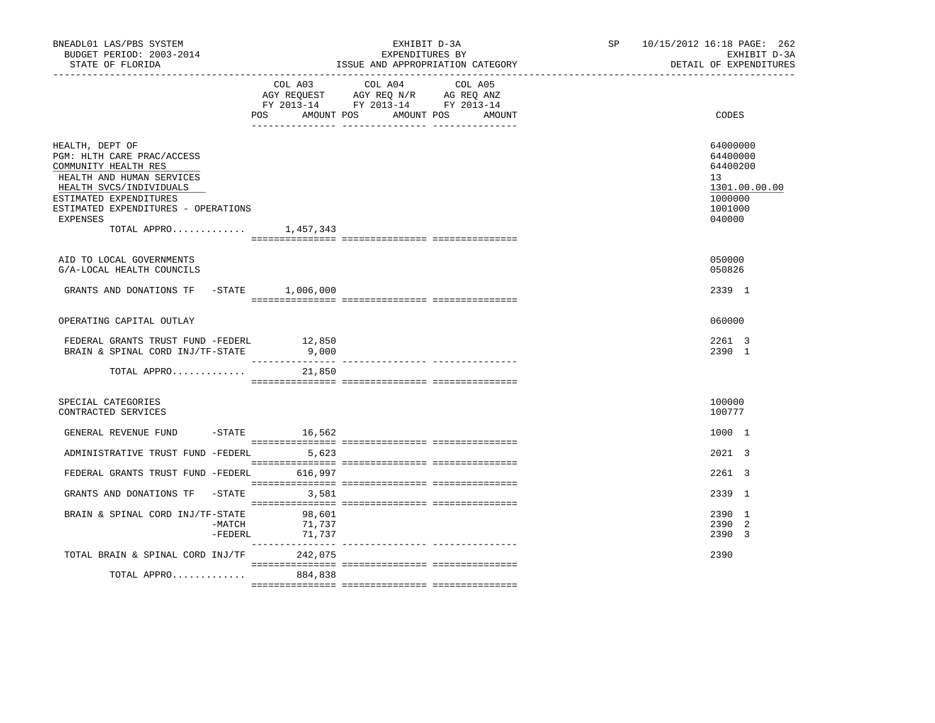| BNEADL01 LAS/PBS SYSTEM<br>BUDGET PERIOD: 2003-2014<br>STATE OF FLORIDA                                                                                                                                                                      |                            | EXHIBIT D-3A<br>EXPENDITURES BY<br>ISSUE AND APPROPRIATION CATEGORY                                                       | SP and the set of the set of the set of the set of the set of the set of the set of the set of the set of the set of the set of the set of the set of the set of the set of the set of the set of the set of the set of the se | 10/15/2012 16:18 PAGE: 262<br>EXHIBIT D-3A<br>DETAIL OF EXPENDITURES                    |
|----------------------------------------------------------------------------------------------------------------------------------------------------------------------------------------------------------------------------------------------|----------------------------|---------------------------------------------------------------------------------------------------------------------------|--------------------------------------------------------------------------------------------------------------------------------------------------------------------------------------------------------------------------------|-----------------------------------------------------------------------------------------|
|                                                                                                                                                                                                                                              | POS AMOUNT POS             | COL A03 COL A04 COL A05<br>AGY REQUEST AGY REQ N/R AG REQ ANZ<br>FY 2013-14 FY 2013-14 FY 2013-14<br>AMOUNT POS<br>AMOUNT |                                                                                                                                                                                                                                | CODES                                                                                   |
| HEALTH, DEPT OF<br>PGM: HLTH CARE PRAC/ACCESS<br>COMMUNITY HEALTH RES<br>HEALTH AND HUMAN SERVICES<br>HEALTH SVCS/INDIVIDUALS<br>ESTIMATED EXPENDITURES<br>ESTIMATED EXPENDITURES - OPERATIONS<br><b>EXPENSES</b><br>TOTAL APPRO $1,457,343$ |                            |                                                                                                                           |                                                                                                                                                                                                                                | 64000000<br>64400000<br>64400200<br>13<br>1301.00.00.00<br>1000000<br>1001000<br>040000 |
| AID TO LOCAL GOVERNMENTS<br>G/A-LOCAL HEALTH COUNCILS                                                                                                                                                                                        |                            |                                                                                                                           |                                                                                                                                                                                                                                | 050000<br>050826                                                                        |
| GRANTS AND DONATIONS TF -STATE 1,006,000                                                                                                                                                                                                     |                            |                                                                                                                           |                                                                                                                                                                                                                                | 2339 1                                                                                  |
| OPERATING CAPITAL OUTLAY                                                                                                                                                                                                                     |                            |                                                                                                                           |                                                                                                                                                                                                                                | 060000                                                                                  |
| FEDERAL GRANTS TRUST FUND -FEDERL<br>BRAIN & SPINAL CORD INJ/TF-STATE                                                                                                                                                                        | 12,850<br>9,000            |                                                                                                                           |                                                                                                                                                                                                                                | 2261 3<br>2390 1                                                                        |
| TOTAL APPRO                                                                                                                                                                                                                                  | 21,850                     |                                                                                                                           |                                                                                                                                                                                                                                |                                                                                         |
| SPECIAL CATEGORIES<br>CONTRACTED SERVICES                                                                                                                                                                                                    |                            |                                                                                                                           |                                                                                                                                                                                                                                | 100000<br>100777                                                                        |
| GENERAL REVENUE FUND -STATE 16,562                                                                                                                                                                                                           |                            |                                                                                                                           |                                                                                                                                                                                                                                | 1000 1                                                                                  |
| ADMINISTRATIVE TRUST FUND -FEDERL 5,623                                                                                                                                                                                                      |                            |                                                                                                                           |                                                                                                                                                                                                                                | 2021 3                                                                                  |
| FEDERAL GRANTS TRUST FUND -FEDERL 616,997                                                                                                                                                                                                    |                            |                                                                                                                           |                                                                                                                                                                                                                                | 2261 3                                                                                  |
| GRANTS AND DONATIONS TF -STATE 3,581                                                                                                                                                                                                         |                            |                                                                                                                           |                                                                                                                                                                                                                                | 2339 1                                                                                  |
| BRAIN & SPINAL CORD INJ/TF-STATE<br>-MATCH<br>$-$ FEDERL                                                                                                                                                                                     | 98,601<br>71,737<br>71,737 |                                                                                                                           |                                                                                                                                                                                                                                | 2390 1<br>2390<br>2<br>2390 3                                                           |
| TOTAL BRAIN & SPINAL CORD INJ/TF 242,075                                                                                                                                                                                                     |                            |                                                                                                                           |                                                                                                                                                                                                                                | 2390                                                                                    |
| TOTAL APPRO                                                                                                                                                                                                                                  | 884,838                    |                                                                                                                           |                                                                                                                                                                                                                                |                                                                                         |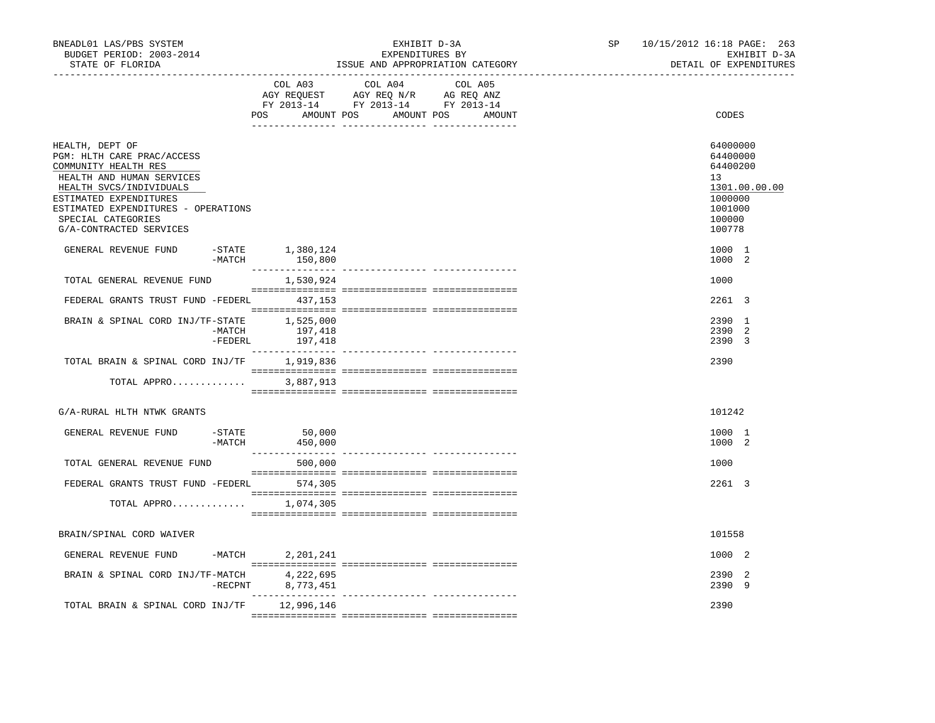| BNEADL01 LAS/PBS SYSTEM<br>BUDGET PERIOD: 2003-2014<br>STATE OF FLORIDA                                                                                                                                                                         |                   |                                                                                                                       | ISSUE AND APPROPRIATION CATEGORY | EXHIBIT D-3A<br>EXPENDITURES BY |         | SP | 10/15/2012 16:18 PAGE: 263 |                                                                                  | EXHIBIT D-3A<br>DETAIL OF EXPENDITURES |
|-------------------------------------------------------------------------------------------------------------------------------------------------------------------------------------------------------------------------------------------------|-------------------|-----------------------------------------------------------------------------------------------------------------------|----------------------------------|---------------------------------|---------|----|----------------------------|----------------------------------------------------------------------------------|----------------------------------------|
|                                                                                                                                                                                                                                                 |                   | COL A03<br>AGY REQUEST AGY REQ N/R AG REQ ANZ<br>FY 2013-14 FY 2013-14 FY 2013-14<br>POS AMOUNT POS AMOUNT POS AMOUNT | COL A04                          |                                 | COL A05 |    |                            | CODES                                                                            |                                        |
| HEALTH, DEPT OF<br>PGM: HLTH CARE PRAC/ACCESS<br>COMMUNITY HEALTH RES<br>HEALTH AND HUMAN SERVICES<br>HEALTH SVCS/INDIVIDUALS<br>ESTIMATED EXPENDITURES<br>ESTIMATED EXPENDITURES - OPERATIONS<br>SPECIAL CATEGORIES<br>G/A-CONTRACTED SERVICES |                   |                                                                                                                       |                                  |                                 |         |    |                            | 64000000<br>64400000<br>64400200<br>13<br>1000000<br>1001000<br>100000<br>100778 | 1301.00.00.00                          |
| GENERAL REVENUE FUND                                                                                                                                                                                                                            |                   | $-$ STATE $1,380,124$<br>$-MATCH$ 150,800                                                                             |                                  |                                 |         |    |                            | 1000 1<br>1000 2                                                                 |                                        |
| TOTAL GENERAL REVENUE FUND                                                                                                                                                                                                                      |                   | 1,530,924                                                                                                             |                                  |                                 |         |    |                            | 1000                                                                             |                                        |
| FEDERAL GRANTS TRUST FUND -FEDERL 437,153                                                                                                                                                                                                       |                   |                                                                                                                       |                                  |                                 |         |    |                            | 2261 3                                                                           |                                        |
| BRAIN & SPINAL CORD INJ/TF-STATE 1,525,000                                                                                                                                                                                                      | -MATCH<br>-FEDERL | 197,418<br>197,418                                                                                                    |                                  |                                 |         |    |                            | 2390 1<br>2390 2<br>2390 3                                                       |                                        |
| TOTAL BRAIN & SPINAL CORD INJ/TF 1,919,836                                                                                                                                                                                                      |                   |                                                                                                                       |                                  |                                 |         |    |                            | 2390                                                                             |                                        |
| TOTAL APPRO                                                                                                                                                                                                                                     |                   | 3,887,913                                                                                                             |                                  |                                 |         |    |                            |                                                                                  |                                        |
| G/A-RURAL HLTH NTWK GRANTS                                                                                                                                                                                                                      |                   |                                                                                                                       |                                  |                                 |         |    |                            | 101242                                                                           |                                        |
| GENERAL REVENUE FUND                                                                                                                                                                                                                            | $-$ STATE         | 50,000<br>$-MATCH$ 450,000                                                                                            |                                  |                                 |         |    |                            | 1000 1<br>1000 2                                                                 |                                        |
| TOTAL GENERAL REVENUE FUND                                                                                                                                                                                                                      |                   | 500,000                                                                                                               |                                  |                                 |         |    |                            | 1000                                                                             |                                        |
| FEDERAL GRANTS TRUST FUND -FEDERL 574,305                                                                                                                                                                                                       |                   |                                                                                                                       |                                  |                                 |         |    |                            | 2261 3                                                                           |                                        |
| TOTAL APPRO                                                                                                                                                                                                                                     |                   | 1,074,305                                                                                                             |                                  |                                 |         |    |                            |                                                                                  |                                        |
| BRAIN/SPINAL CORD WAIVER                                                                                                                                                                                                                        |                   |                                                                                                                       |                                  |                                 |         |    |                            | 101558                                                                           |                                        |
| GENERAL REVENUE FUND                                                                                                                                                                                                                            | $-MATCH$          | 2,201,241                                                                                                             |                                  |                                 |         |    |                            | 1000 2                                                                           |                                        |
| BRAIN & SPINAL CORD INJ/TF-MATCH                                                                                                                                                                                                                | -RECPNT           | 4,222,695<br>8,773,451                                                                                                |                                  |                                 |         |    |                            | 2390 2<br>2390 9                                                                 |                                        |
| TOTAL BRAIN & SPINAL CORD INJ/TF 12,996,146                                                                                                                                                                                                     |                   |                                                                                                                       |                                  |                                 |         |    |                            | 2390                                                                             |                                        |
|                                                                                                                                                                                                                                                 |                   |                                                                                                                       |                                  |                                 |         |    |                            |                                                                                  |                                        |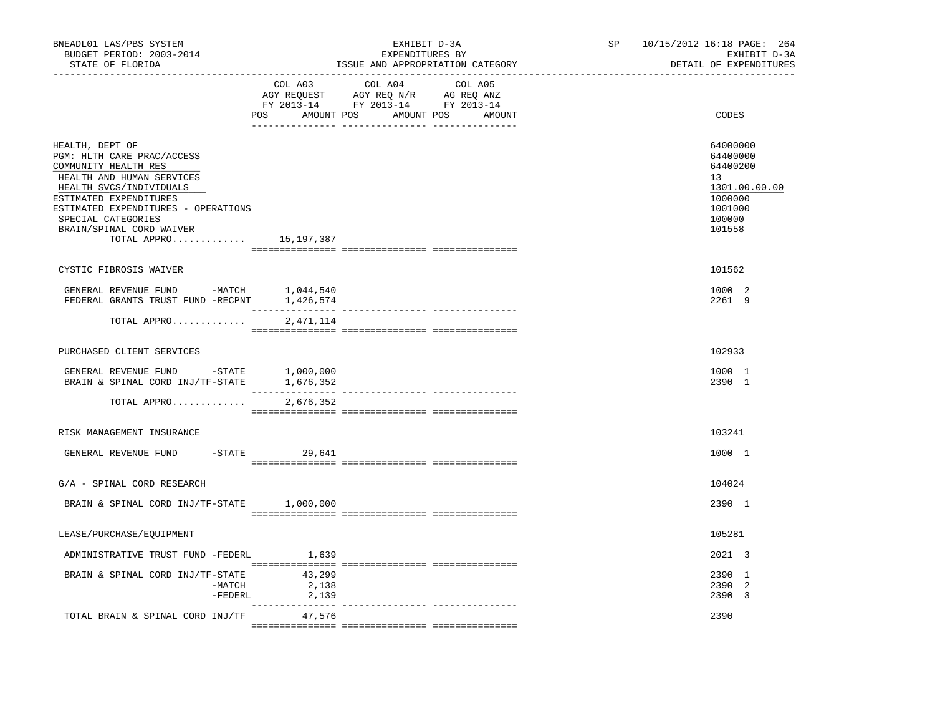| BNEADL01 LAS/PBS SYSTEM<br>BUDGET PERIOD: 2003-2014<br>STATE OF FLORIDA                                                                                                                                                                                         |                          | EXHIBIT D-3A<br>EXPENDITURES BY<br>ISSUE AND APPROPRIATION CATEGORY | SP and the set of the set of the set of the set of the set of the set of the set of the set of the set of the set of the set of the set of the set of the set of the set of the set of the set of the set of the set of the se | 10/15/2012 16:18 PAGE: 264<br>EXHIBIT D-3A<br>DETAIL OF EXPENDITURES                              |
|-----------------------------------------------------------------------------------------------------------------------------------------------------------------------------------------------------------------------------------------------------------------|--------------------------|---------------------------------------------------------------------|--------------------------------------------------------------------------------------------------------------------------------------------------------------------------------------------------------------------------------|---------------------------------------------------------------------------------------------------|
|                                                                                                                                                                                                                                                                 | COL A03                  | COL A04<br>COL A05<br>POS AMOUNT POS AMOUNT POS AMOUNT              |                                                                                                                                                                                                                                | CODES                                                                                             |
| HEALTH, DEPT OF<br>PGM: HLTH CARE PRAC/ACCESS<br>COMMUNITY HEALTH RES<br>HEALTH AND HUMAN SERVICES<br>HEALTH SVCS/INDIVIDUALS<br>ESTIMATED EXPENDITURES<br>ESTIMATED EXPENDITURES - OPERATIONS<br>SPECIAL CATEGORIES<br>BRAIN/SPINAL CORD WAIVER<br>TOTAL APPRO | 15,197,387               |                                                                     |                                                                                                                                                                                                                                | 64000000<br>64400000<br>64400200<br>13<br>1301.00.00.00<br>1000000<br>1001000<br>100000<br>101558 |
| CYSTIC FIBROSIS WAIVER                                                                                                                                                                                                                                          |                          |                                                                     |                                                                                                                                                                                                                                | 101562                                                                                            |
| GENERAL REVENUE FUND -MATCH<br>FEDERAL GRANTS TRUST FUND -RECPNT 1,426,574                                                                                                                                                                                      | 1,044,540                |                                                                     |                                                                                                                                                                                                                                | 1000 2<br>2261 9                                                                                  |
| TOTAL APPRO                                                                                                                                                                                                                                                     | 2,471,114                |                                                                     |                                                                                                                                                                                                                                |                                                                                                   |
| PURCHASED CLIENT SERVICES                                                                                                                                                                                                                                       |                          |                                                                     |                                                                                                                                                                                                                                | 102933                                                                                            |
| GENERAL REVENUE FUND -STATE 1,000,000<br>BRAIN & SPINAL CORD INJ/TF-STATE 1,676,352                                                                                                                                                                             |                          |                                                                     |                                                                                                                                                                                                                                | 1000 1<br>2390 1                                                                                  |
| TOTAL APPRO                                                                                                                                                                                                                                                     | 2,676,352                |                                                                     |                                                                                                                                                                                                                                |                                                                                                   |
| RISK MANAGEMENT INSURANCE                                                                                                                                                                                                                                       |                          |                                                                     |                                                                                                                                                                                                                                | 103241                                                                                            |
| GENERAL REVENUE FUND                                                                                                                                                                                                                                            | $-$ STATE 29,641         |                                                                     |                                                                                                                                                                                                                                | 1000 1                                                                                            |
| G/A - SPINAL CORD RESEARCH                                                                                                                                                                                                                                      |                          |                                                                     |                                                                                                                                                                                                                                | 104024                                                                                            |
| BRAIN & SPINAL CORD INJ/TF-STATE 1,000,000                                                                                                                                                                                                                      |                          |                                                                     |                                                                                                                                                                                                                                | 2390 1                                                                                            |
| LEASE/PURCHASE/EQUIPMENT                                                                                                                                                                                                                                        |                          |                                                                     |                                                                                                                                                                                                                                | 105281                                                                                            |
| ADMINISTRATIVE TRUST FUND -FEDERL                                                                                                                                                                                                                               | 1,639                    |                                                                     |                                                                                                                                                                                                                                | 2021 3                                                                                            |
| BRAIN & SPINAL CORD INJ/TF-STATE<br>$-MATCH$<br>-FEDERL                                                                                                                                                                                                         | 43,299<br>2,138<br>2,139 |                                                                     |                                                                                                                                                                                                                                | 2390 1<br>2390 2<br>2390 3                                                                        |
| TOTAL BRAIN & SPINAL CORD INJ/TF                                                                                                                                                                                                                                | 47,576                   |                                                                     |                                                                                                                                                                                                                                | 2390                                                                                              |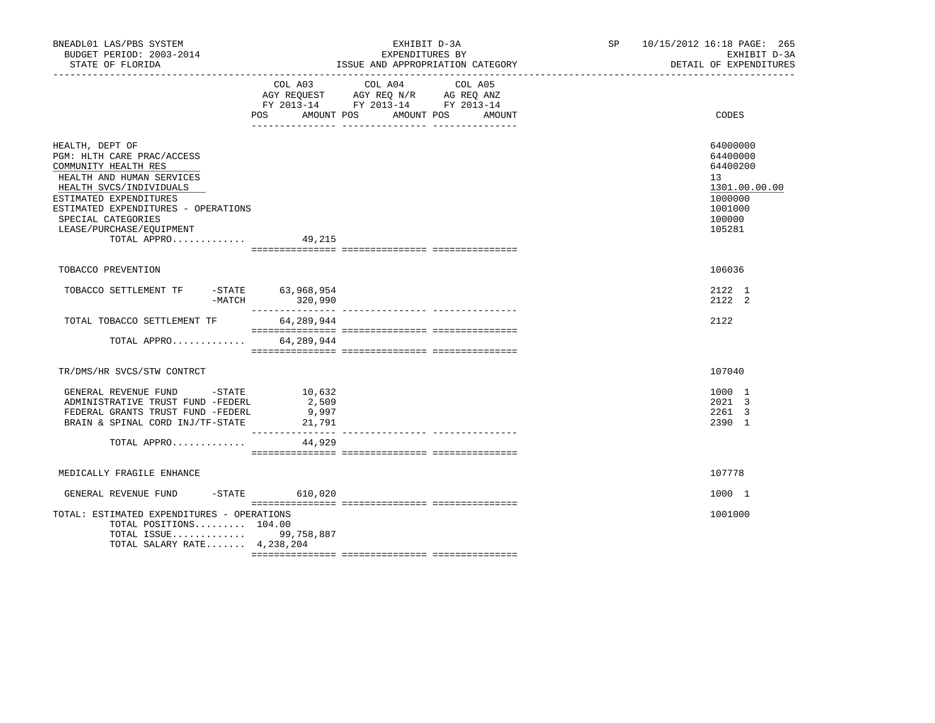| BNEADL01 LAS/PBS SYSTEM<br>BUDGET PERIOD: 2003-2014<br>STATE OF FLORIDA                                                                                                                                                                                                  |                                     | EXHIBIT D-3A<br>EXPENDITURES BY<br>ISSUE AND APPROPRIATION CATEGORY                                                             | SP 10/15/2012 16:18 PAGE: 265<br>EXHIBIT D-3A<br>DETAIL OF EXPENDITURES                           |
|--------------------------------------------------------------------------------------------------------------------------------------------------------------------------------------------------------------------------------------------------------------------------|-------------------------------------|---------------------------------------------------------------------------------------------------------------------------------|---------------------------------------------------------------------------------------------------|
|                                                                                                                                                                                                                                                                          | COL A03<br>POS                      | COL A04<br>COL A05<br>AGY REQUEST AGY REQ N/R AG REQ ANZ<br>FY 2013-14 FY 2013-14 FY 2013-14<br>AMOUNT POS AMOUNT POS<br>AMOUNT | CODES                                                                                             |
| HEALTH, DEPT OF<br>PGM: HLTH CARE PRAC/ACCESS<br>COMMUNITY HEALTH RES<br>HEALTH AND HUMAN SERVICES<br>HEALTH SVCS/INDIVIDUALS<br>ESTIMATED EXPENDITURES<br>ESTIMATED EXPENDITURES - OPERATIONS<br>SPECIAL CATEGORIES<br>LEASE/PURCHASE/EQUIPMENT<br>TOTAL APPRO $49,215$ |                                     |                                                                                                                                 | 64000000<br>64400000<br>64400200<br>13<br>1301.00.00.00<br>1000000<br>1001000<br>100000<br>105281 |
| TOBACCO PREVENTION                                                                                                                                                                                                                                                       |                                     |                                                                                                                                 | 106036                                                                                            |
| TOBACCO SETTLEMENT TF                                                                                                                                                                                                                                                    | -STATE 63,968,954<br>-MATCH 320,990 |                                                                                                                                 | 2122 1<br>2122 2                                                                                  |
| TOTAL TOBACCO SETTLEMENT TF                                                                                                                                                                                                                                              | 64,289,944                          |                                                                                                                                 | 2122                                                                                              |
| TOTAL APPRO                                                                                                                                                                                                                                                              | 64,289,944                          |                                                                                                                                 |                                                                                                   |
| TR/DMS/HR SVCS/STW CONTRCT                                                                                                                                                                                                                                               |                                     |                                                                                                                                 | 107040                                                                                            |
| GENERAL REVENUE FUND -STATE 10,632<br>ADMINISTRATIVE TRUST FUND -FEDERL<br>FEDERAL GRANTS TRUST FUND -FEDERL<br>BRAIN & SPINAL CORD INJ/TF-STATE<br>TOTAL APPRO                                                                                                          | 2,509<br>9,997<br>21,791<br>44,929  |                                                                                                                                 | 1000 1<br>2021 3<br>2261 3<br>2390 1                                                              |
| MEDICALLY FRAGILE ENHANCE                                                                                                                                                                                                                                                |                                     |                                                                                                                                 | 107778                                                                                            |
| GENERAL REVENUE FUND                                                                                                                                                                                                                                                     | $-$ STATE 610,020                   |                                                                                                                                 | 1000 1                                                                                            |
| TOTAL: ESTIMATED EXPENDITURES - OPERATIONS<br>TOTAL POSITIONS 104.00<br>TOTAL ISSUE 99,758,887<br>TOTAL SALARY RATE 4,238,204                                                                                                                                            |                                     |                                                                                                                                 | 1001000                                                                                           |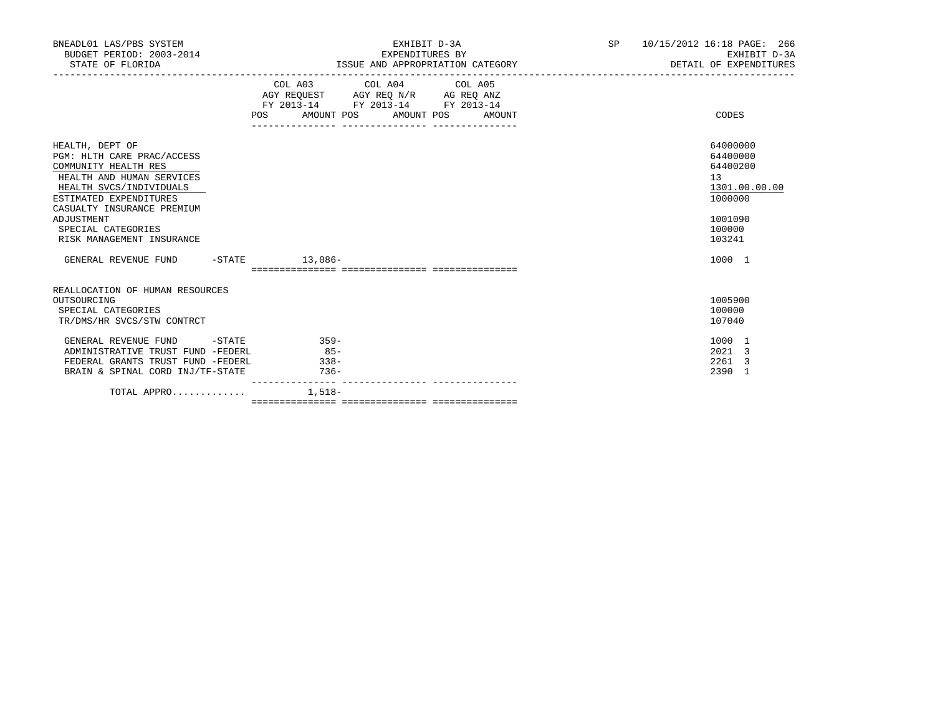| BNEADL01 LAS/PBS SYSTEM<br>BUDGET PERIOD: 2003-2014<br>STATE OF FLORIDA                                                                                                                                                                                | EXHIBIT D-3A<br>EXPENDITURES BY<br>ISSUE AND APPROPRIATION CATEGORY <b>Experimental Service Construction</b> of the DETAIL OF EXPENDITURES |                                                                                                   |  |  | SP 10/15/2012 16:18 PAGE: 266<br>EXHIBIT D-3A                                                     |
|--------------------------------------------------------------------------------------------------------------------------------------------------------------------------------------------------------------------------------------------------------|--------------------------------------------------------------------------------------------------------------------------------------------|---------------------------------------------------------------------------------------------------|--|--|---------------------------------------------------------------------------------------------------|
|                                                                                                                                                                                                                                                        | POS AMOUNT POS AMOUNT POS AMOUNT                                                                                                           | COL A03 COL A04 COL A05<br>AGY REQUEST AGY REQ N/R AG REQ ANZ<br>FY 2013-14 FY 2013-14 FY 2013-14 |  |  | CODES                                                                                             |
| HEALTH, DEPT OF<br>PGM: HLTH CARE PRAC/ACCESS<br>COMMUNITY HEALTH RES<br>HEALTH AND HUMAN SERVICES<br>HEALTH SVCS/INDIVIDUALS<br>ESTIMATED EXPENDITURES<br>CASUALTY INSURANCE PREMIUM<br>ADJUSTMENT<br>SPECIAL CATEGORIES<br>RISK MANAGEMENT INSURANCE |                                                                                                                                            |                                                                                                   |  |  | 64000000<br>64400000<br>64400200<br>13<br>1301.00.00.00<br>1000000<br>1001090<br>100000<br>103241 |
| GENERAL REVENUE FUND -STATE 13,086-                                                                                                                                                                                                                    |                                                                                                                                            |                                                                                                   |  |  | 1000 1                                                                                            |
| REALLOCATION OF HUMAN RESOURCES<br>OUTSOURCING<br>SPECIAL CATEGORIES<br>TR/DMS/HR SVCS/STW CONTRCT                                                                                                                                                     |                                                                                                                                            |                                                                                                   |  |  | 1005900<br>100000<br>107040                                                                       |
| GENERAL REVENUE FUND -STATE 359-<br>ADMINISTRATIVE TRUST FUND -FEDERL<br>FEDERAL GRANTS TRUST FUND -FEDERL<br>BRAIN & SPINAL CORD INJ/TF-STATE                                                                                                         | $85 -$<br>$338-$<br>$736 -$                                                                                                                |                                                                                                   |  |  | 1000 1<br>2021 3<br>2261 3<br>2390 1                                                              |
| TOTAL APPRO $1.518-$                                                                                                                                                                                                                                   |                                                                                                                                            |                                                                                                   |  |  |                                                                                                   |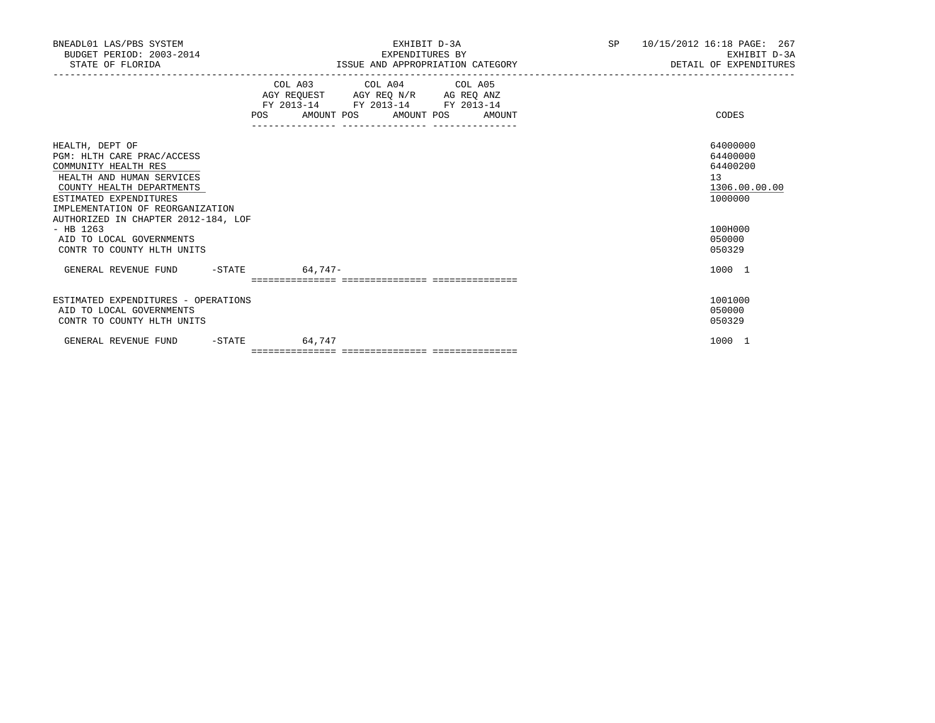| BNEADL01 LAS/PBS SYSTEM<br>BUDGET PERIOD: 2003-2014<br>STATE OF FLORIDA                                                                                                                       | EXHIBIT D-3A<br>EXPENDITURES BY<br>ISSUE AND APPROPRIATION CATEGORY                                                                   | SP<br>10/15/2012 16:18 PAGE: 267<br>EXHIBIT D-3A<br>DETAIL OF EXPENDITURES |
|-----------------------------------------------------------------------------------------------------------------------------------------------------------------------------------------------|---------------------------------------------------------------------------------------------------------------------------------------|----------------------------------------------------------------------------|
|                                                                                                                                                                                               | COL A03 COL A04 COL A05<br>AGY REQUEST AGY REQ N/R AG REQ ANZ<br>FY 2013-14 FY 2013-14 FY 2013-14<br>POS AMOUNT POS AMOUNT POS AMOUNT | CODES                                                                      |
| HEALTH, DEPT OF<br>PGM: HLTH CARE PRAC/ACCESS<br>COMMUNITY HEALTH RES<br>HEALTH AND HUMAN SERVICES<br>COUNTY HEALTH DEPARTMENTS<br>ESTIMATED EXPENDITURES<br>IMPLEMENTATION OF REORGANIZATION |                                                                                                                                       | 64000000<br>64400000<br>64400200<br>13<br>1306.00.00.00<br>1000000         |
| AUTHORIZED IN CHAPTER 2012-184, LOF<br>$-$ HB 1263<br>AID TO LOCAL GOVERNMENTS<br>CONTR TO COUNTY HLTH UNITS                                                                                  |                                                                                                                                       | 100H000<br>050000<br>050329                                                |
| GENERAL REVENUE FUND -STATE 64,747-                                                                                                                                                           |                                                                                                                                       | 1000 1                                                                     |
| ESTIMATED EXPENDITURES - OPERATIONS<br>AID TO LOCAL GOVERNMENTS<br>CONTR TO COUNTY HLTH UNITS                                                                                                 |                                                                                                                                       | 1001000<br>050000<br>050329                                                |
| GENERAL REVENUE FUND<br>$-$ STATE                                                                                                                                                             | 64,747                                                                                                                                | 1000 1                                                                     |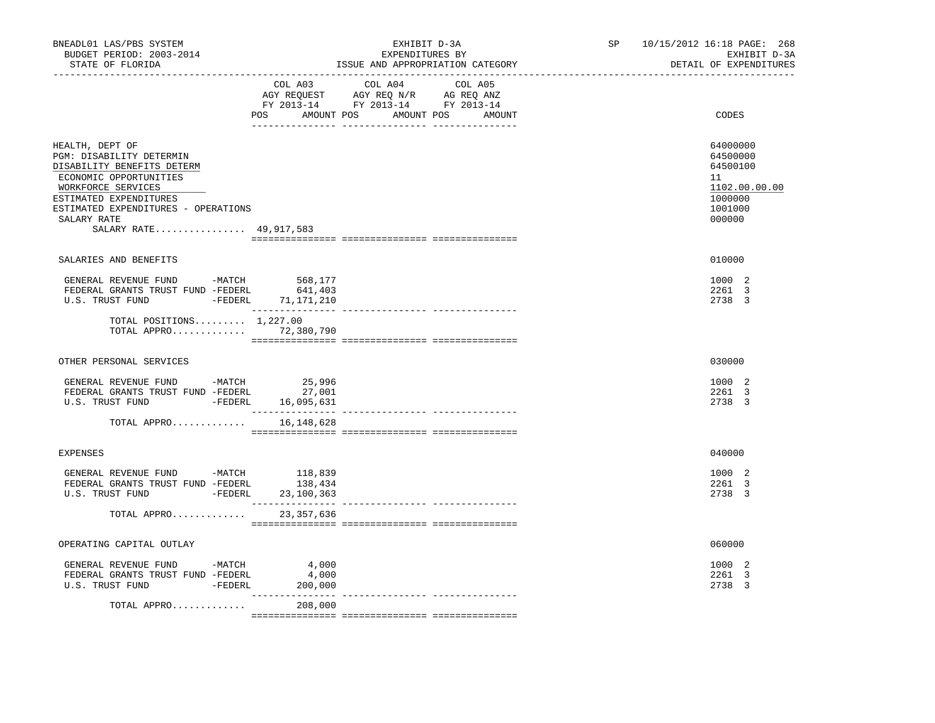| BNEADL01 LAS/PBS SYSTEM<br>BUDGET PERIOD: 2003-2014<br>STATE OF FLORIDA                                                                                                                                                             |                                | EXHIBIT D-3A<br>EXPENDITURES BY<br>ISSUE AND APPROPRIATION CATEGORY                                                                   | SP and the set of the set of the set of the set of the set of the set of the set of the set of the set of the set of the set of the set of the set of the set of the set of the set of the set of the set of the set of the se | 10/15/2012 16:18 PAGE: 268<br>EXHIBIT D-3A<br>DETAIL OF EXPENDITURES                    |
|-------------------------------------------------------------------------------------------------------------------------------------------------------------------------------------------------------------------------------------|--------------------------------|---------------------------------------------------------------------------------------------------------------------------------------|--------------------------------------------------------------------------------------------------------------------------------------------------------------------------------------------------------------------------------|-----------------------------------------------------------------------------------------|
|                                                                                                                                                                                                                                     |                                | COL A03 COL A04 COL A05<br>NGY REQUEST AGY REQ N/R AG REQ ANZ<br>FY 2013-14 FY 2013-14 FY 2013-14<br>POS AMOUNT POS AMOUNT POS AMOUNT |                                                                                                                                                                                                                                | CODES                                                                                   |
| HEALTH, DEPT OF<br>PGM: DISABILITY DETERMIN<br>DISABILITY BENEFITS DETERM<br>ECONOMIC OPPORTUNITIES<br>WORKFORCE SERVICES<br>ESTIMATED EXPENDITURES<br>ESTIMATED EXPENDITURES - OPERATIONS<br>SALARY RATE<br>SALARY RATE 49,917,583 |                                |                                                                                                                                       |                                                                                                                                                                                                                                | 64000000<br>64500000<br>64500100<br>11<br>1102.00.00.00<br>1000000<br>1001000<br>000000 |
| SALARIES AND BENEFITS                                                                                                                                                                                                               |                                |                                                                                                                                       |                                                                                                                                                                                                                                | 010000                                                                                  |
| GENERAL REVENUE FUND -MATCH 568,177<br>FEDERAL GRANTS TRUST FUND -FEDERL<br>U.S. TRUST FUND -FEDERL 71,171,210                                                                                                                      | 641,403                        |                                                                                                                                       |                                                                                                                                                                                                                                | 1000 2<br>2261 3<br>2738 3                                                              |
| TOTAL POSITIONS $1.227.00$<br>TOTAL APPRO 72,380,790                                                                                                                                                                                |                                |                                                                                                                                       |                                                                                                                                                                                                                                |                                                                                         |
| OTHER PERSONAL SERVICES                                                                                                                                                                                                             |                                |                                                                                                                                       |                                                                                                                                                                                                                                | 030000                                                                                  |
| GENERAL REVENUE FUND -MATCH<br>FEDERAL GRANTS TRUST FUND -FEDERL<br>U.S. TRUST FUND -FEDERL                                                                                                                                         | 25,996<br>27,001<br>16,095,631 |                                                                                                                                       |                                                                                                                                                                                                                                | 1000 2<br>2261 3<br>2738 3                                                              |
| TOTAL APPRO 16,148,628                                                                                                                                                                                                              |                                |                                                                                                                                       |                                                                                                                                                                                                                                |                                                                                         |
| <b>EXPENSES</b>                                                                                                                                                                                                                     |                                |                                                                                                                                       |                                                                                                                                                                                                                                | 040000                                                                                  |
| GENERAL REVENUE FUND -MATCH $118,839$<br>FEDERAL GRANTS TRUST FUND -FEDERL<br>U.S. TRUST FUND - FEDERL 23,100,363                                                                                                                   | 138,434                        |                                                                                                                                       |                                                                                                                                                                                                                                | 1000 2<br>2261 3<br>2738 3                                                              |
| TOTAL APPRO                                                                                                                                                                                                                         | 23,357,636                     |                                                                                                                                       |                                                                                                                                                                                                                                |                                                                                         |
| OPERATING CAPITAL OUTLAY                                                                                                                                                                                                            |                                |                                                                                                                                       |                                                                                                                                                                                                                                | 060000                                                                                  |
| GENERAL REVENUE FUND -MATCH<br>FEDERAL GRANTS TRUST FUND -FEDERL<br>U.S. TRUST FUND - FEDERL                                                                                                                                        | 4,000<br>4,000<br>200,000      |                                                                                                                                       |                                                                                                                                                                                                                                | 1000 2<br>2261 3<br>2738 3                                                              |
| TOTAL APPRO                                                                                                                                                                                                                         | 208,000                        |                                                                                                                                       |                                                                                                                                                                                                                                |                                                                                         |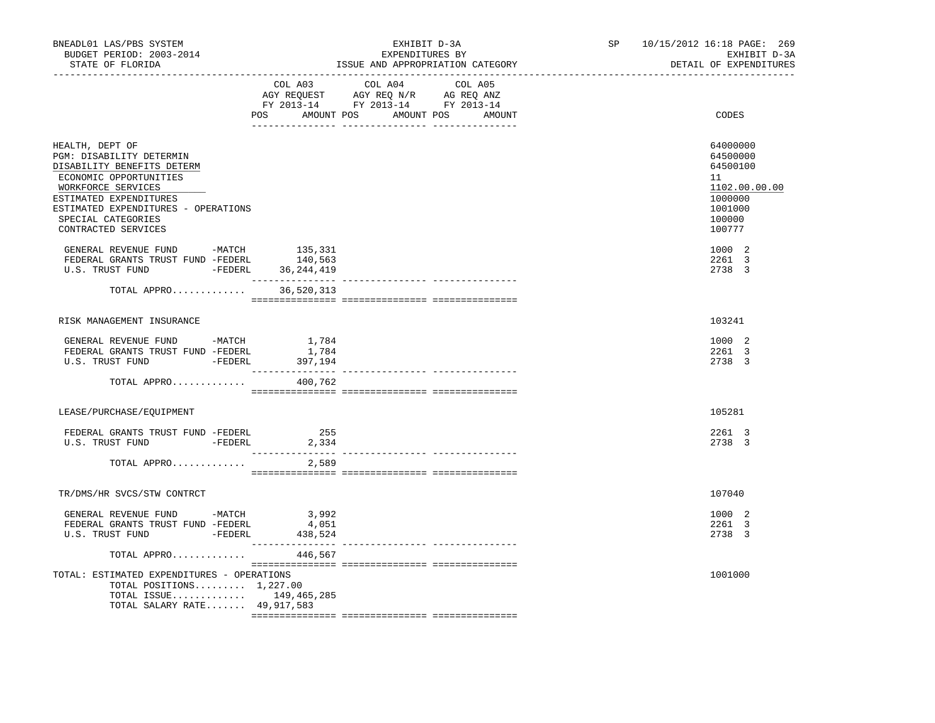| BNEADL01 LAS/PBS SYSTEM<br>BUDGET PERIOD: 2003-2014<br>STATE OF FLORIDA                                                                                                                                                                 |                              | EXHIBIT D-3A<br>EXPENDITURES BY<br>ISSUE AND APPROPRIATION CATEGORY                                                                   |  | SP and the set of the set of the set of the set of the set of the set of the set of the set of the set of the set of the set of the set of the set of the set of the set of the set of the set of the set of the set of the se | 10/15/2012 16:18 PAGE: 269<br>EXHIBIT D-3A<br>DETAIL OF EXPENDITURES                              |
|-----------------------------------------------------------------------------------------------------------------------------------------------------------------------------------------------------------------------------------------|------------------------------|---------------------------------------------------------------------------------------------------------------------------------------|--|--------------------------------------------------------------------------------------------------------------------------------------------------------------------------------------------------------------------------------|---------------------------------------------------------------------------------------------------|
|                                                                                                                                                                                                                                         |                              | COL A03 COL A04 COL A05<br>AGY REQUEST AGY REQ N/R AG REQ ANZ<br>FY 2013-14 FY 2013-14 FY 2013-14<br>POS AMOUNT POS AMOUNT POS AMOUNT |  |                                                                                                                                                                                                                                | CODES                                                                                             |
| HEALTH, DEPT OF<br>PGM: DISABILITY DETERMIN<br>DISABILITY BENEFITS DETERM<br>ECONOMIC OPPORTUNITIES<br>WORKFORCE SERVICES<br>ESTIMATED EXPENDITURES<br>ESTIMATED EXPENDITURES - OPERATIONS<br>SPECIAL CATEGORIES<br>CONTRACTED SERVICES |                              |                                                                                                                                       |  |                                                                                                                                                                                                                                | 64000000<br>64500000<br>64500100<br>11<br>1102.00.00.00<br>1000000<br>1001000<br>100000<br>100777 |
| GENERAL REVENUE FUND -MATCH<br>FEDERAL GRANTS TRUST FUND -FEDERL 140,563<br>U.S. TRUST FUND -FEDERL 36,244,419                                                                                                                          | 135,331<br>_________________ |                                                                                                                                       |  |                                                                                                                                                                                                                                | 1000 2<br>2261 3<br>2738 3                                                                        |
| TOTAL APPRO 36,520,313                                                                                                                                                                                                                  |                              |                                                                                                                                       |  |                                                                                                                                                                                                                                |                                                                                                   |
| RISK MANAGEMENT INSURANCE                                                                                                                                                                                                               |                              |                                                                                                                                       |  |                                                                                                                                                                                                                                | 103241                                                                                            |
| GENERAL REVENUE FUND -MATCH 1,784<br>FEDERAL GRANTS TRUST FUND -FEDERL<br>U.S. TRUST FUND - FEDERL 397,194                                                                                                                              | 1,784                        |                                                                                                                                       |  |                                                                                                                                                                                                                                | 1000 2<br>2261 3<br>2738 3                                                                        |
| TOTAL APPRO                                                                                                                                                                                                                             | 400,762                      |                                                                                                                                       |  |                                                                                                                                                                                                                                |                                                                                                   |
| LEASE/PURCHASE/EQUIPMENT                                                                                                                                                                                                                |                              |                                                                                                                                       |  |                                                                                                                                                                                                                                | 105281                                                                                            |
| FEDERAL GRANTS TRUST FUND -FEDERL<br>U.S. TRUST FUND -FEDERL 2,334                                                                                                                                                                      | 255                          |                                                                                                                                       |  |                                                                                                                                                                                                                                | 2261 3<br>2738 3                                                                                  |
| TOTAL APPRO                                                                                                                                                                                                                             | 2,589                        |                                                                                                                                       |  |                                                                                                                                                                                                                                |                                                                                                   |
| TR/DMS/HR SVCS/STW CONTRCT                                                                                                                                                                                                              |                              |                                                                                                                                       |  |                                                                                                                                                                                                                                | 107040                                                                                            |
| GENERAL REVENUE FUND -MATCH 3,992<br>FEDERAL GRANTS TRUST FUND -FEDERL<br>U.S. TRUST FUND -FEDERL                                                                                                                                       | 4,051<br>438,524             |                                                                                                                                       |  |                                                                                                                                                                                                                                | 1000 2<br>2261 3<br>2738 3                                                                        |
| TOTAL APPRO                                                                                                                                                                                                                             | 446,567                      |                                                                                                                                       |  |                                                                                                                                                                                                                                |                                                                                                   |
| TOTAL: ESTIMATED EXPENDITURES - OPERATIONS<br>TOTAL POSITIONS $1,227.00$<br>TOTAL ISSUE 149,465,285<br>TOTAL SALARY RATE 49,917,583                                                                                                     |                              |                                                                                                                                       |  |                                                                                                                                                                                                                                | 1001000                                                                                           |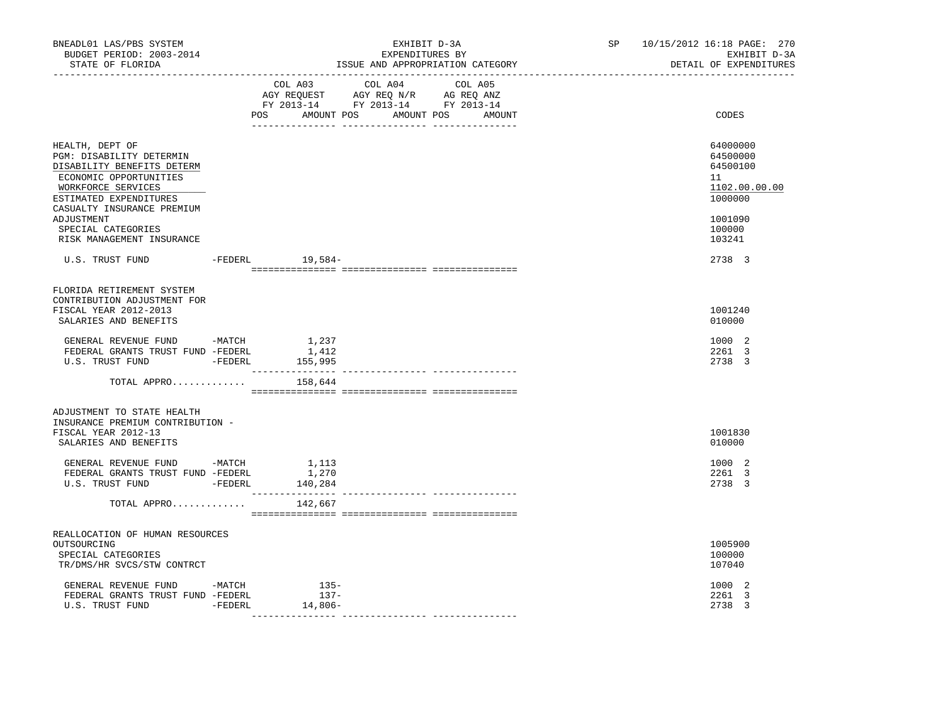| BNEADL01 LAS/PBS SYSTEM<br>BUDGET PERIOD: 2003-2014<br>STATE OF FLORIDA                                                                                                                         |                             | EXHIBIT D-3A<br>EXPENDITURES BY<br>ISSUE AND APPROPRIATION CATEGORY                                                                   | SP and the set of the set of the set of the set of the set of the set of the set of the set of the set of the set of the set of the set of the set of the set of the set of the set of the set of the set of the set of the se | 10/15/2012 16:18 PAGE: 270<br>EXHIBIT D-3A<br>DETAIL OF EXPENDITURES          |
|-------------------------------------------------------------------------------------------------------------------------------------------------------------------------------------------------|-----------------------------|---------------------------------------------------------------------------------------------------------------------------------------|--------------------------------------------------------------------------------------------------------------------------------------------------------------------------------------------------------------------------------|-------------------------------------------------------------------------------|
|                                                                                                                                                                                                 |                             | COL A03 COL A04 COL A05<br>AGY REQUEST AGY REQ N/R AG REQ ANZ<br>FY 2013-14 FY 2013-14 FY 2013-14<br>POS AMOUNT POS AMOUNT POS AMOUNT |                                                                                                                                                                                                                                | CODES                                                                         |
| HEALTH, DEPT OF<br>PGM: DISABILITY DETERMIN<br>DISABILITY BENEFITS DETERM<br>ECONOMIC OPPORTUNITIES<br>WORKFORCE SERVICES<br>ESTIMATED EXPENDITURES<br>CASUALTY INSURANCE PREMIUM<br>ADJUSTMENT |                             |                                                                                                                                       |                                                                                                                                                                                                                                | 64000000<br>64500000<br>64500100<br>11<br>1102.00.00.00<br>1000000<br>1001090 |
| SPECIAL CATEGORIES<br>RISK MANAGEMENT INSURANCE                                                                                                                                                 |                             |                                                                                                                                       |                                                                                                                                                                                                                                | 100000<br>103241                                                              |
| U.S. TRUST FUND - FEDERL 19,584-                                                                                                                                                                |                             |                                                                                                                                       |                                                                                                                                                                                                                                | 2738 3                                                                        |
| FLORIDA RETIREMENT SYSTEM<br>CONTRIBUTION ADJUSTMENT FOR<br>FISCAL YEAR 2012-2013<br>SALARIES AND BENEFITS                                                                                      |                             |                                                                                                                                       |                                                                                                                                                                                                                                | 1001240<br>010000                                                             |
| GENERAL REVENUE FUND -MATCH<br>FEDERAL GRANTS TRUST FUND -FEDERL<br>U.S. TRUST FUND - FEDERL                                                                                                    | 1,237<br>1,412<br>155,995   |                                                                                                                                       |                                                                                                                                                                                                                                | 1000 2<br>2261 3<br>2738 3                                                    |
| TOTAL APPRO                                                                                                                                                                                     | 158,644                     |                                                                                                                                       |                                                                                                                                                                                                                                |                                                                               |
| ADJUSTMENT TO STATE HEALTH<br>INSURANCE PREMIUM CONTRIBUTION -<br>FISCAL YEAR 2012-13<br>SALARIES AND BENEFITS                                                                                  |                             |                                                                                                                                       |                                                                                                                                                                                                                                | 1001830<br>010000                                                             |
| GENERAL REVENUE FUND -MATCH<br>FEDERAL GRANTS TRUST FUND -FEDERL<br>U.S. TRUST FUND - FEDERL                                                                                                    | 1,113<br>1,270<br>140,284   |                                                                                                                                       |                                                                                                                                                                                                                                | 1000 2<br>2261 3<br>2738 3                                                    |
| TOTAL APPRO                                                                                                                                                                                     | 142,667                     |                                                                                                                                       |                                                                                                                                                                                                                                |                                                                               |
| REALLOCATION OF HUMAN RESOURCES<br>OUTSOURCING<br>SPECIAL CATEGORIES<br>TR/DMS/HR SVCS/STW CONTRCT                                                                                              |                             |                                                                                                                                       |                                                                                                                                                                                                                                | 1005900<br>100000<br>107040                                                   |
| GENERAL REVENUE FUND -MATCH<br>FEDERAL GRANTS TRUST FUND -FEDERL<br>U.S. TRUST FUND - FEDERL                                                                                                    | $135-$<br>$137-$<br>14,806- |                                                                                                                                       |                                                                                                                                                                                                                                | 1000 2<br>2261 3<br>2738 3                                                    |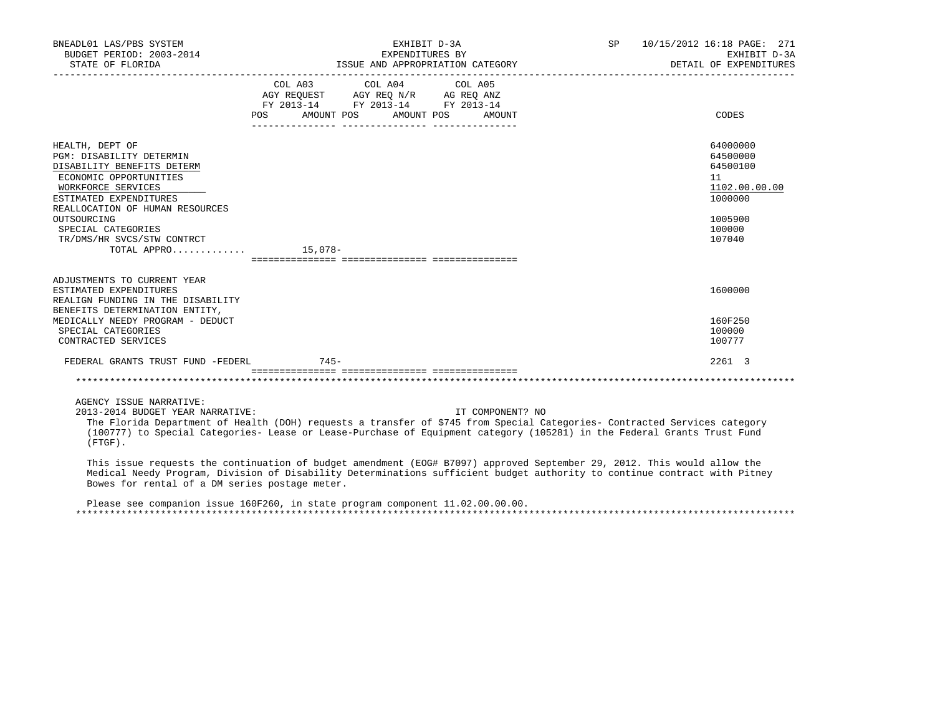| BNEADL01 LAS/PBS SYSTEM<br>BUDGET PERIOD: 2003-2014<br>STATE OF FLORIDA                                                                                                                                                                                                                                                           |                   | EXHIBIT D-3A<br>EXPENDITURES BY<br>ISSUE AND APPROPRIATION CATEGORY                               | SP                   | 10/15/2012 16:18 PAGE: 271<br>EXHIBIT D-3A<br>DETAIL OF EXPENDITURES |                                                                    |
|-----------------------------------------------------------------------------------------------------------------------------------------------------------------------------------------------------------------------------------------------------------------------------------------------------------------------------------|-------------------|---------------------------------------------------------------------------------------------------|----------------------|----------------------------------------------------------------------|--------------------------------------------------------------------|
|                                                                                                                                                                                                                                                                                                                                   | POS<br>AMOUNT POS | COL A03 COL A04 COL A05<br>AGY REQUEST AGY REQ N/R AG REQ ANZ<br>FY 2013-14 FY 2013-14 FY 2013-14 | AMOUNT POS<br>AMOUNT |                                                                      | CODES                                                              |
| HEALTH, DEPT OF<br><b>PGM: DISABILITY DETERMIN</b><br>DISABILITY BENEFITS DETERM<br>ECONOMIC OPPORTUNITIES<br>WORKFORCE SERVICES<br>ESTIMATED EXPENDITURES<br>REALLOCATION OF HUMAN RESOURCES                                                                                                                                     |                   |                                                                                                   |                      |                                                                      | 64000000<br>64500000<br>64500100<br>11<br>1102.00.00.00<br>1000000 |
| OUTSOURCING<br>SPECIAL CATEGORIES<br>TR/DMS/HR SVCS/STW CONTRCT<br>TOTAL APPRO $\ldots \ldots \ldots$                                                                                                                                                                                                                             |                   |                                                                                                   |                      |                                                                      | 1005900<br>100000<br>107040                                        |
| ADJUSTMENTS TO CURRENT YEAR<br>ESTIMATED EXPENDITURES<br>REALIGN FUNDING IN THE DISABILITY<br>BENEFITS DETERMINATION ENTITY,                                                                                                                                                                                                      |                   |                                                                                                   |                      |                                                                      | 1600000                                                            |
| MEDICALLY NEEDY PROGRAM - DEDUCT<br>SPECIAL CATEGORIES<br>CONTRACTED SERVICES                                                                                                                                                                                                                                                     |                   |                                                                                                   |                      |                                                                      | 160F250<br>100000<br>100777                                        |
| FEDERAL GRANTS TRUST FUND -FEDERL                                                                                                                                                                                                                                                                                                 | $745-$            |                                                                                                   |                      |                                                                      | 2261 3                                                             |
|                                                                                                                                                                                                                                                                                                                                   |                   |                                                                                                   |                      |                                                                      |                                                                    |
| AGENCY ISSUE NARRATIVE:<br>2013-2014 BUDGET YEAR NARRATIVE:<br>The Florida Department of Health (DOH) requests a transfer of \$745 from Special Categories- Contracted Services category<br>(100777) to Special Categories- Lease or Lease-Purchase of Equipment category (105281) in the Federal Grants Trust Fund<br>$(FTGF)$ . |                   |                                                                                                   | IT COMPONENT? NO     |                                                                      |                                                                    |

 This issue requests the continuation of budget amendment (EOG# B7097) approved September 29, 2012. This would allow the Medical Needy Program, Division of Disability Determinations sufficient budget authority to continue contract with Pitney Bowes for rental of a DM series postage meter.

 Please see companion issue 160F260, in state program component 11.02.00.00.00. \*\*\*\*\*\*\*\*\*\*\*\*\*\*\*\*\*\*\*\*\*\*\*\*\*\*\*\*\*\*\*\*\*\*\*\*\*\*\*\*\*\*\*\*\*\*\*\*\*\*\*\*\*\*\*\*\*\*\*\*\*\*\*\*\*\*\*\*\*\*\*\*\*\*\*\*\*\*\*\*\*\*\*\*\*\*\*\*\*\*\*\*\*\*\*\*\*\*\*\*\*\*\*\*\*\*\*\*\*\*\*\*\*\*\*\*\*\*\*\*\*\*\*\*\*\*\*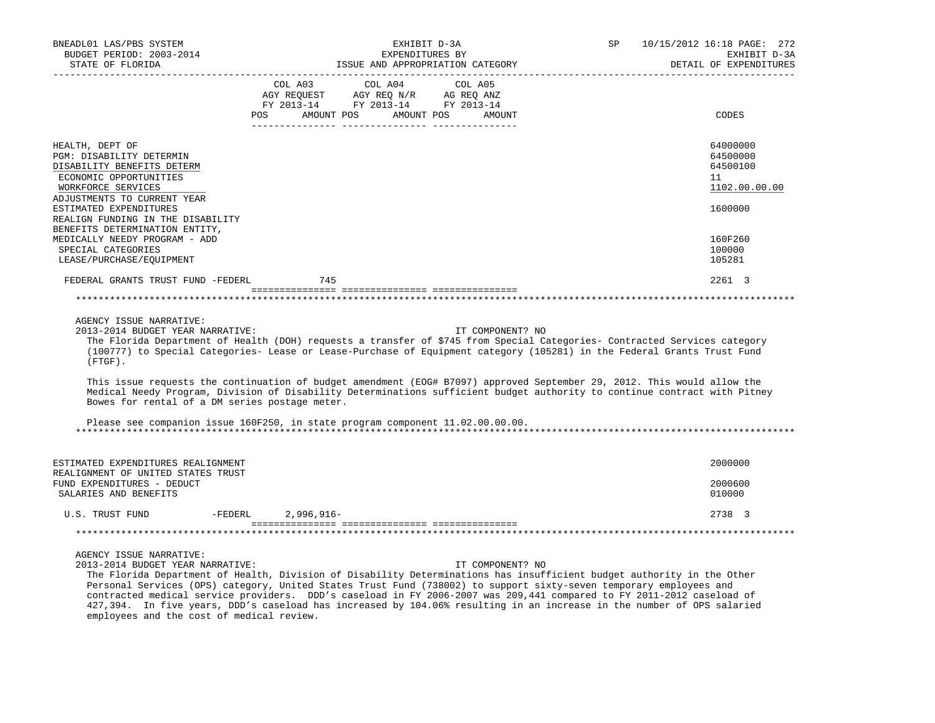| BNEADL01 LAS/PBS SYSTEM<br>BUDGET PERIOD: 2003-2014<br>STATE OF FLORIDA                                                                                  | EXHIBIT D-3A<br>EXPENDITURES BY                                                                                                                                                                                                                                                                                                                                                                                                                                                                                     | SP<br>10/15/2012 16:18 PAGE: 272<br>EXHIBIT D-3A<br>DETAIL OF EXPENDITURES |
|----------------------------------------------------------------------------------------------------------------------------------------------------------|---------------------------------------------------------------------------------------------------------------------------------------------------------------------------------------------------------------------------------------------------------------------------------------------------------------------------------------------------------------------------------------------------------------------------------------------------------------------------------------------------------------------|----------------------------------------------------------------------------|
|                                                                                                                                                          | ISSUE AND APPROPRIATION CATEGORY<br>COL A03<br>COL A04<br>COL A05<br>COL AUS COL AUS<br>AGY REQUEST AGY REQ N/R AG REQ ANZ<br>FY 2013-14 FY 2013-14 FY 2013-14                                                                                                                                                                                                                                                                                                                                                      |                                                                            |
|                                                                                                                                                          | POS AMOUNT POS AMOUNT POS<br>AMOUNT                                                                                                                                                                                                                                                                                                                                                                                                                                                                                 | CODES                                                                      |
| HEALTH, DEPT OF<br>PGM: DISABILITY DETERMIN<br>DISABILITY BENEFITS DETERM<br>ECONOMIC OPPORTUNITIES<br>WORKFORCE SERVICES<br>ADJUSTMENTS TO CURRENT YEAR |                                                                                                                                                                                                                                                                                                                                                                                                                                                                                                                     | 64000000<br>64500000<br>64500100<br>11<br>1102.00.00.00                    |
| ESTIMATED EXPENDITURES<br>REALIGN FUNDING IN THE DISABILITY<br>BENEFITS DETERMINATION ENTITY,                                                            |                                                                                                                                                                                                                                                                                                                                                                                                                                                                                                                     | 1600000                                                                    |
| MEDICALLY NEEDY PROGRAM - ADD<br>SPECIAL CATEGORIES<br>LEASE/PURCHASE/EQUIPMENT                                                                          |                                                                                                                                                                                                                                                                                                                                                                                                                                                                                                                     | 160F260<br>100000<br>105281                                                |
| FEDERAL GRANTS TRUST FUND -FEDERL                                                                                                                        | 745                                                                                                                                                                                                                                                                                                                                                                                                                                                                                                                 | 2261 3                                                                     |
|                                                                                                                                                          |                                                                                                                                                                                                                                                                                                                                                                                                                                                                                                                     |                                                                            |
| AGENCY ISSUE NARRATIVE:<br>2013-2014 BUDGET YEAR NARRATIVE:<br>$(FTGF)$ .                                                                                | IT COMPONENT? NO<br>The Florida Department of Health (DOH) requests a transfer of \$745 from Special Categories- Contracted Services category<br>(100777) to Special Categories- Lease or Lease-Purchase of Equipment category (105281) in the Federal Grants Trust Fund                                                                                                                                                                                                                                            |                                                                            |
| Bowes for rental of a DM series postage meter.                                                                                                           | This issue requests the continuation of budget amendment (EOG# B7097) approved September 29, 2012. This would allow the<br>Medical Needy Program, Division of Disability Determinations sufficient budget authority to continue contract with Pitney                                                                                                                                                                                                                                                                |                                                                            |
|                                                                                                                                                          | Please see companion issue 160F250, in state program component 11.02.00.00.00.                                                                                                                                                                                                                                                                                                                                                                                                                                      |                                                                            |
| ESTIMATED EXPENDITURES REALIGNMENT<br>REALIGNMENT OF UNITED STATES TRUST                                                                                 |                                                                                                                                                                                                                                                                                                                                                                                                                                                                                                                     | 2000000                                                                    |
| FUND EXPENDITURES - DEDUCT<br>SALARIES AND BENEFITS                                                                                                      |                                                                                                                                                                                                                                                                                                                                                                                                                                                                                                                     | 2000600<br>010000                                                          |
| U.S. TRUST FUND                                                                                                                                          | -FEDERL 2,996,916-                                                                                                                                                                                                                                                                                                                                                                                                                                                                                                  | 2738 3                                                                     |
|                                                                                                                                                          |                                                                                                                                                                                                                                                                                                                                                                                                                                                                                                                     |                                                                            |
| AGENCY ISSUE NARRATIVE:<br>2013-2014 BUDGET YEAR NARRATIVE:                                                                                              | IT COMPONENT? NO<br>The Florida Department of Health, Division of Disability Determinations has insufficient budget authority in the Other<br>Personal Services (OPS) category, United States Trust Fund (738002) to support sixty-seven temporary employees and<br>contracted medical service providers. DDD's caseload in FY 2006-2007 was 209,441 compared to FY 2011-2012 caseload of<br>427,394. In five years, DDD's caseload has increased by 104.06% resulting in an increase in the number of OPS salaried |                                                                            |

employees and the cost of medical review.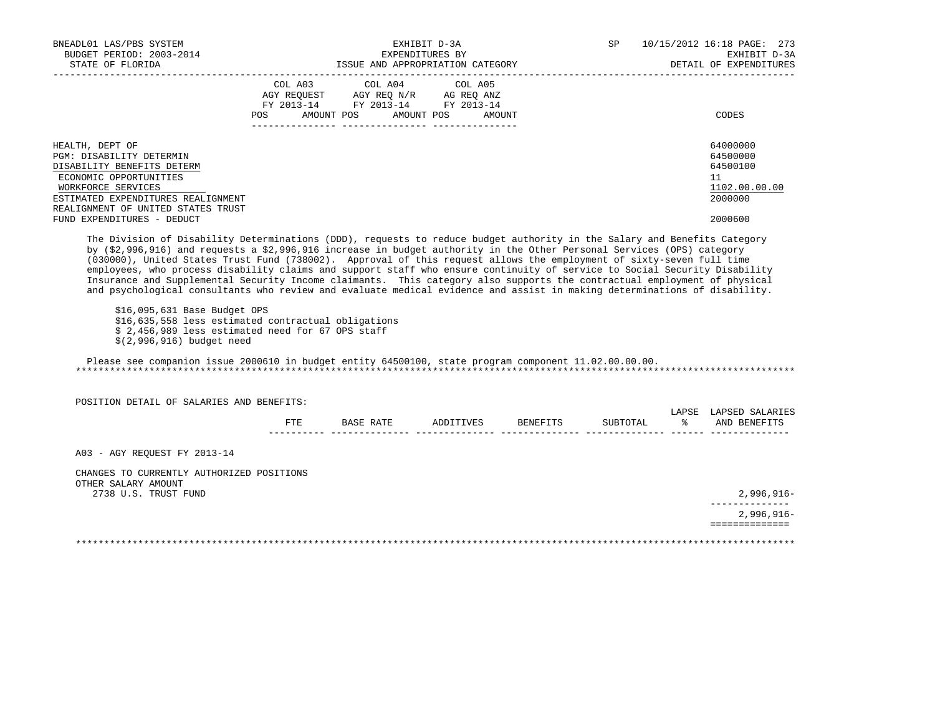| BUDGET PERIOD: 2003-2014                                                                                                                                                                                                                                                                                                                                                                                                                                                                                                                |         |                                               | EXPENDITURES BY                  |                 |          |           | EXHIBIT D-3A                          |
|-----------------------------------------------------------------------------------------------------------------------------------------------------------------------------------------------------------------------------------------------------------------------------------------------------------------------------------------------------------------------------------------------------------------------------------------------------------------------------------------------------------------------------------------|---------|-----------------------------------------------|----------------------------------|-----------------|----------|-----------|---------------------------------------|
| STATE OF FLORIDA                                                                                                                                                                                                                                                                                                                                                                                                                                                                                                                        |         |                                               | ISSUE AND APPROPRIATION CATEGORY |                 |          |           | DETAIL OF EXPENDITURES                |
|                                                                                                                                                                                                                                                                                                                                                                                                                                                                                                                                         | COL A03 | COL A04<br>AGY REQUEST AGY REQ N/R AG REQ ANZ | COL A05                          |                 |          |           |                                       |
|                                                                                                                                                                                                                                                                                                                                                                                                                                                                                                                                         |         | FY 2013-14 FY 2013-14 FY 2013-14              |                                  |                 |          |           |                                       |
|                                                                                                                                                                                                                                                                                                                                                                                                                                                                                                                                         | POS     | AMOUNT POS                                    | AMOUNT POS<br>AMOUNT             |                 |          |           | CODES                                 |
|                                                                                                                                                                                                                                                                                                                                                                                                                                                                                                                                         |         |                                               |                                  |                 |          |           |                                       |
| HEALTH, DEPT OF<br>PGM: DISABILITY DETERMIN                                                                                                                                                                                                                                                                                                                                                                                                                                                                                             |         |                                               |                                  |                 |          |           | 64000000<br>64500000                  |
| DISABILITY BENEFITS DETERM                                                                                                                                                                                                                                                                                                                                                                                                                                                                                                              |         |                                               |                                  |                 |          |           | 64500100                              |
| ECONOMIC OPPORTUNITIES                                                                                                                                                                                                                                                                                                                                                                                                                                                                                                                  |         |                                               |                                  |                 |          |           | 11                                    |
| WORKFORCE SERVICES                                                                                                                                                                                                                                                                                                                                                                                                                                                                                                                      |         |                                               |                                  |                 |          |           | 1102.00.00.00                         |
| ESTIMATED EXPENDITURES REALIGNMENT                                                                                                                                                                                                                                                                                                                                                                                                                                                                                                      |         |                                               |                                  |                 |          |           | 2000000                               |
| REALIGNMENT OF UNITED STATES TRUST                                                                                                                                                                                                                                                                                                                                                                                                                                                                                                      |         |                                               |                                  |                 |          |           |                                       |
| FUND EXPENDITURES - DEDUCT                                                                                                                                                                                                                                                                                                                                                                                                                                                                                                              |         |                                               |                                  |                 |          |           | 2000600                               |
| by (\$2,996,916) and requests a \$2,996,916 increase in budget authority in the Other Personal Services (OPS) category<br>(030000), United States Trust Fund (738002). Approval of this request allows the employment of sixty-seven full time<br>employees, who process disability claims and support staff who ensure continuity of service to Social Security Disability                                                                                                                                                             |         |                                               |                                  |                 |          |           |                                       |
| Insurance and Supplemental Security Income claimants. This category also supports the contractual employment of physical<br>and psychological consultants who review and evaluate medical evidence and assist in making determinations of disability.<br>\$16,095,631 Base Budget OPS<br>\$16,635,558 less estimated contractual obligations<br>\$ 2,456,989 less estimated need for 67 OPS staff<br>\$(2,996,916) budget need<br>Please see companion issue 2000610 in budget entity 64500100, state program component 11.02.00.00.00. |         |                                               |                                  |                 |          |           |                                       |
| POSITION DETAIL OF SALARIES AND BENEFITS:                                                                                                                                                                                                                                                                                                                                                                                                                                                                                               |         |                                               |                                  |                 |          |           |                                       |
|                                                                                                                                                                                                                                                                                                                                                                                                                                                                                                                                         | FTE     |                                               | BASE RATE ADDITIVES              | <b>BENEFITS</b> | SUBTOTAL | $\approx$ | LAPSE LAPSED SALARIES<br>AND BENEFITS |
| A03 - AGY REOUEST FY 2013-14                                                                                                                                                                                                                                                                                                                                                                                                                                                                                                            |         |                                               |                                  |                 |          |           |                                       |
| CHANGES TO CURRENTLY AUTHORIZED POSITIONS                                                                                                                                                                                                                                                                                                                                                                                                                                                                                               |         |                                               |                                  |                 |          |           |                                       |
| OTHER SALARY AMOUNT<br>2738 U.S. TRUST FUND                                                                                                                                                                                                                                                                                                                                                                                                                                                                                             |         |                                               |                                  |                 |          |           | $2,996,916-$                          |
|                                                                                                                                                                                                                                                                                                                                                                                                                                                                                                                                         |         |                                               |                                  |                 |          |           | $2,996,916 -$                         |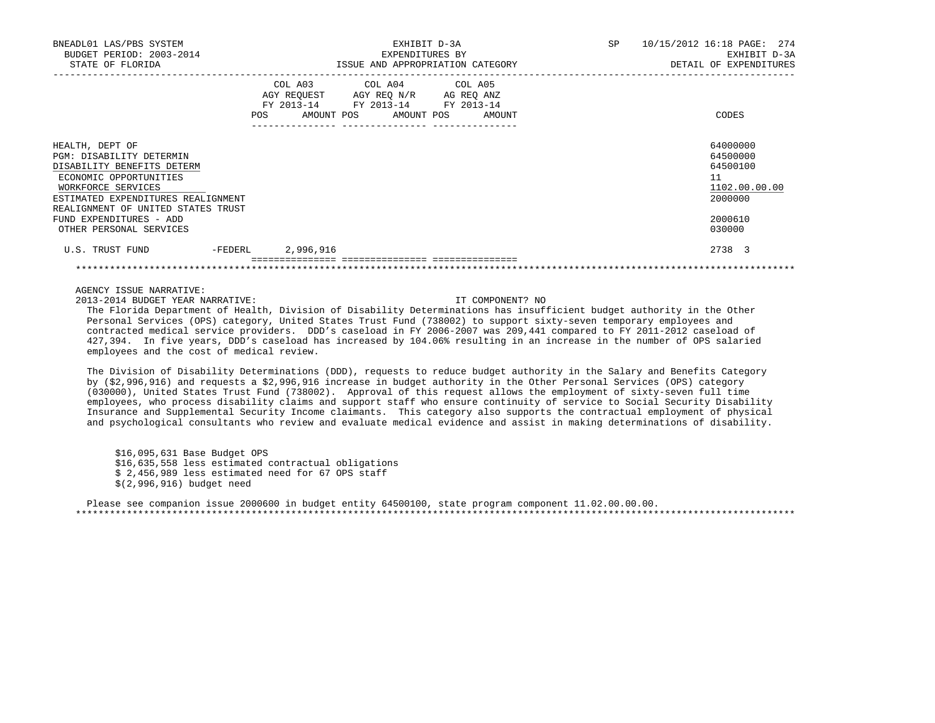| BNEADL01 LAS/PBS SYSTEM<br>BUDGET PERIOD: 2003-2014                                                                                                                                                   | EXHIBIT D-3A<br>EXPENDITURES BY |                                                                                                                                       |                                  | SP | 10/15/2012 16:18 PAGE: 274<br>EXHIBIT D-3A                         |
|-------------------------------------------------------------------------------------------------------------------------------------------------------------------------------------------------------|---------------------------------|---------------------------------------------------------------------------------------------------------------------------------------|----------------------------------|----|--------------------------------------------------------------------|
| STATE OF FLORIDA                                                                                                                                                                                      |                                 |                                                                                                                                       | ISSUE AND APPROPRIATION CATEGORY |    | DETAIL OF EXPENDITURES                                             |
|                                                                                                                                                                                                       |                                 | COL A03 COL A04 COL A05<br>AGY REQUEST AGY REQ N/R AG REQ ANZ<br>FY 2013-14 FY 2013-14 FY 2013-14<br>POS AMOUNT POS AMOUNT POS AMOUNT |                                  |    | CODES                                                              |
|                                                                                                                                                                                                       |                                 |                                                                                                                                       |                                  |    |                                                                    |
| HEALTH, DEPT OF<br>PGM: DISABILITY DETERMIN<br>DISABILITY BENEFITS DETERM<br>ECONOMIC OPPORTUNITIES<br>WORKFORCE SERVICES<br>ESTIMATED EXPENDITURES REALIGNMENT<br>REALIGNMENT OF UNITED STATES TRUST |                                 |                                                                                                                                       |                                  |    | 64000000<br>64500000<br>64500100<br>11<br>1102.00.00.00<br>2000000 |
| FUND EXPENDITURES - ADD<br>OTHER PERSONAL SERVICES                                                                                                                                                    |                                 |                                                                                                                                       |                                  |    | 2000610<br>030000                                                  |
| U.S. TRUST FUND                                                                                                                                                                                       | -FEDERL 2,996,916               |                                                                                                                                       |                                  |    | 2738 3                                                             |
|                                                                                                                                                                                                       |                                 |                                                                                                                                       |                                  |    |                                                                    |

AGENCY ISSUE NARRATIVE:

2013-2014 BUDGET YEAR NARRATIVE: IT COMPONENT? NO

 The Florida Department of Health, Division of Disability Determinations has insufficient budget authority in the Other Personal Services (OPS) category, United States Trust Fund (738002) to support sixty-seven temporary employees and contracted medical service providers. DDD's caseload in FY 2006-2007 was 209,441 compared to FY 2011-2012 caseload of 427,394. In five years, DDD's caseload has increased by 104.06% resulting in an increase in the number of OPS salaried employees and the cost of medical review.

\*\*\*\*\*\*\*\*\*\*\*\*\*\*\*\*\*\*\*\*\*\*\*\*\*\*\*\*\*\*\*\*\*\*\*\*\*\*\*\*\*\*\*\*\*\*\*\*\*\*\*\*\*\*\*\*\*\*\*\*\*\*\*\*\*\*\*\*\*\*\*\*\*\*\*\*\*\*\*\*\*\*\*\*\*\*\*\*\*\*\*\*\*\*\*\*\*\*\*\*\*\*\*\*\*\*\*\*\*\*\*\*\*\*\*\*\*\*\*\*\*\*\*\*\*\*\*

 The Division of Disability Determinations (DDD), requests to reduce budget authority in the Salary and Benefits Category by (\$2,996,916) and requests a \$2,996,916 increase in budget authority in the Other Personal Services (OPS) category (030000), United States Trust Fund (738002). Approval of this request allows the employment of sixty-seven full time employees, who process disability claims and support staff who ensure continuity of service to Social Security Disability Insurance and Supplemental Security Income claimants. This category also supports the contractual employment of physical and psychological consultants who review and evaluate medical evidence and assist in making determinations of disability.

 \$16,095,631 Base Budget OPS \$16,635,558 less estimated contractual obligations \$ 2,456,989 less estimated need for 67 OPS staff \$(2,996,916) budget need

 Please see companion issue 2000600 in budget entity 64500100, state program component 11.02.00.00.00. \*\*\*\*\*\*\*\*\*\*\*\*\*\*\*\*\*\*\*\*\*\*\*\*\*\*\*\*\*\*\*\*\*\*\*\*\*\*\*\*\*\*\*\*\*\*\*\*\*\*\*\*\*\*\*\*\*\*\*\*\*\*\*\*\*\*\*\*\*\*\*\*\*\*\*\*\*\*\*\*\*\*\*\*\*\*\*\*\*\*\*\*\*\*\*\*\*\*\*\*\*\*\*\*\*\*\*\*\*\*\*\*\*\*\*\*\*\*\*\*\*\*\*\*\*\*\*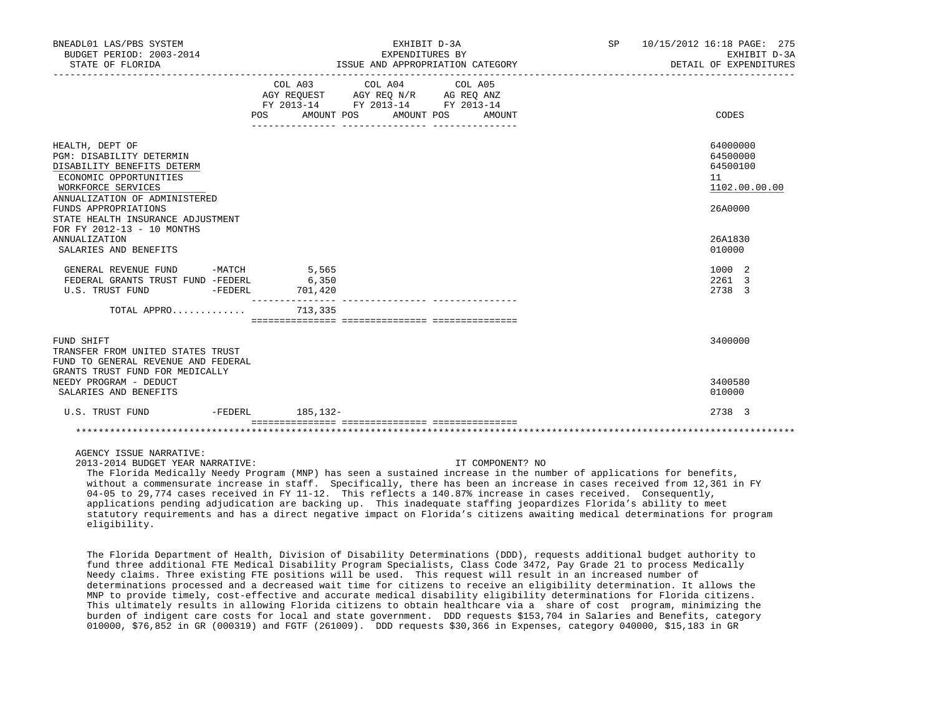| BNEADL01 LAS/PBS SYSTEM<br>BUDGET PERIOD: 2003-2014<br>STATE OF FLORIDA                                                                                                                                                                                                              |                  | EXHIBIT D-3A<br>EXPENDITURES BY<br>ISSUE AND APPROPRIATION CATEGORY                                                                      | SP 10/15/2012 16:18 PAGE: 275<br>EXHIBIT D-3A<br>DETAIL OF EXPENDITURES       |  |
|--------------------------------------------------------------------------------------------------------------------------------------------------------------------------------------------------------------------------------------------------------------------------------------|------------------|------------------------------------------------------------------------------------------------------------------------------------------|-------------------------------------------------------------------------------|--|
|                                                                                                                                                                                                                                                                                      |                  | COL A03 COL A04 COL A05<br>AGY REQUEST AGY REQ N/R AG REQ ANZ<br>FY 2013-14 FY 2013-14 FY 2013-14<br>POS AMOUNT POS AMOUNT POS<br>AMOUNT | CODES                                                                         |  |
| HEALTH, DEPT OF<br><b>PGM: DISABILITY DETERMIN</b><br>DISABILITY BENEFITS DETERM<br>ECONOMIC OPPORTUNITIES<br>WORKFORCE SERVICES<br>ANNUALIZATION OF ADMINISTERED<br>FUNDS APPROPRIATIONS<br>STATE HEALTH INSURANCE ADJUSTMENT<br>FOR FY 2012-13 - 10 MONTHS<br><b>ANNUALIZATION</b> |                  |                                                                                                                                          | 64000000<br>64500000<br>64500100<br>11<br>1102.00.00.00<br>26A0000<br>26A1830 |  |
| SALARIES AND BENEFITS<br>GENERAL REVENUE FUND -MATCH 5,565<br>FEDERAL GRANTS TRUST FUND -FEDERL<br>U.S. TRUST FUND -FEDERL                                                                                                                                                           | 6,350<br>701,420 |                                                                                                                                          | 010000<br>1000 2<br>2261 3<br>2738 3                                          |  |
| TOTAL APPRO 713,335                                                                                                                                                                                                                                                                  |                  |                                                                                                                                          |                                                                               |  |
| FUND SHIFT<br>TRANSFER FROM UNITED STATES TRUST<br>FUND TO GENERAL REVENUE AND FEDERAL<br>GRANTS TRUST FUND FOR MEDICALLY                                                                                                                                                            |                  |                                                                                                                                          | 3400000                                                                       |  |
| NEEDY PROGRAM - DEDUCT<br>SALARIES AND BENEFITS                                                                                                                                                                                                                                      |                  |                                                                                                                                          | 3400580<br>010000                                                             |  |
| U.S. TRUST FUND                                                                                                                                                                                                                                                                      | -FEDERL 185,132- |                                                                                                                                          | 2738 3                                                                        |  |
|                                                                                                                                                                                                                                                                                      |                  |                                                                                                                                          |                                                                               |  |

AGENCY ISSUE NARRATIVE:

2013-2014 BUDGET YEAR NARRATIVE: IT COMPONENT? NO

 The Florida Medically Needy Program (MNP) has seen a sustained increase in the number of applications for benefits, without a commensurate increase in staff. Specifically, there has been an increase in cases received from 12,361 in FY 04-05 to 29,774 cases received in FY 11-12. This reflects a 140.87% increase in cases received. Consequently, applications pending adjudication are backing up. This inadequate staffing jeopardizes Florida's ability to meet statutory requirements and has a direct negative impact on Florida's citizens awaiting medical determinations for program eligibility.

 The Florida Department of Health, Division of Disability Determinations (DDD), requests additional budget authority to fund three additional FTE Medical Disability Program Specialists, Class Code 3472, Pay Grade 21 to process Medically Needy claims. Three existing FTE positions will be used. This request will result in an increased number of determinations processed and a decreased wait time for citizens to receive an eligibility determination. It allows the MNP to provide timely, cost-effective and accurate medical disability eligibility determinations for Florida citizens. This ultimately results in allowing Florida citizens to obtain healthcare via a share of cost program, minimizing the burden of indigent care costs for local and state government. DDD requests \$153,704 in Salaries and Benefits, category 010000, \$76,852 in GR (000319) and FGTF (261009). DDD requests \$30,366 in Expenses, category 040000, \$15,183 in GR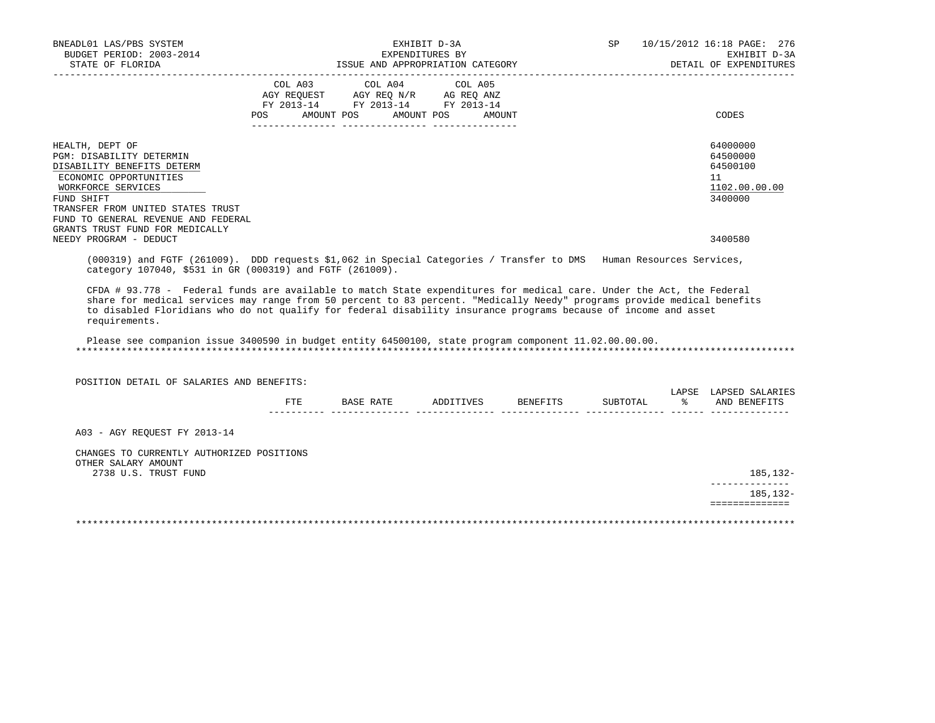| BNEADL01 LAS/PBS SYSTEM<br>BUDGET PERIOD: 2003-2014<br>STATE OF FLORIDA                                                                                                                                                                                                                                                                                                             |         | ISSUE AND APPROPRIATION CATEGORY                                                                                      | EXHIBIT D-3A<br>EXPENDITURES BY |                              | SP       | 10/15/2012 16:18 PAGE: 276<br>EXHIBIT D-3A<br>DETAIL OF EXPENDITURES |
|-------------------------------------------------------------------------------------------------------------------------------------------------------------------------------------------------------------------------------------------------------------------------------------------------------------------------------------------------------------------------------------|---------|-----------------------------------------------------------------------------------------------------------------------|---------------------------------|------------------------------|----------|----------------------------------------------------------------------|
|                                                                                                                                                                                                                                                                                                                                                                                     | COL A03 | COL A04<br>AGY REQUEST AGY REQ N/R AG REQ ANZ<br>FY 2013-14 FY 2013-14 FY 2013-14<br>POS AMOUNT POS AMOUNT POS AMOUNT | COL A05                         |                              |          | CODES                                                                |
| HEALTH, DEPT OF<br>PGM: DISABILITY DETERMIN<br>DISABILITY BENEFITS DETERM<br>ECONOMIC OPPORTUNITIES<br>WORKFORCE SERVICES<br>FUND SHIFT<br>TRANSFER FROM UNITED STATES TRUST<br>FUND TO GENERAL REVENUE AND FEDERAL                                                                                                                                                                 |         |                                                                                                                       |                                 |                              |          | 64000000<br>64500000<br>64500100<br>11<br>1102.00.00.00<br>3400000   |
| GRANTS TRUST FUND FOR MEDICALLY<br>NEEDY PROGRAM - DEDUCT                                                                                                                                                                                                                                                                                                                           |         |                                                                                                                       |                                 |                              |          | 3400580                                                              |
| (000319) and FGTF (261009). DDD requests \$1,062 in Special Categories / Transfer to DMS Human Resources Services,<br>category 107040, \$531 in GR (000319) and FGTF (261009).                                                                                                                                                                                                      |         |                                                                                                                       |                                 |                              |          |                                                                      |
| CFDA # 93.778 - Federal funds are available to match State expenditures for medical care. Under the Act, the Federal<br>share for medical services may range from 50 percent to 83 percent. "Medically Needy" programs provide medical benefits<br>to disabled Floridians who do not qualify for federal disability insurance programs because of income and asset<br>requirements. |         |                                                                                                                       |                                 |                              |          |                                                                      |
| Please see companion issue 3400590 in budget entity 64500100, state program component 11.02.00.00.00.                                                                                                                                                                                                                                                                               |         |                                                                                                                       |                                 |                              |          |                                                                      |
| POSITION DETAIL OF SALARIES AND BENEFITS:                                                                                                                                                                                                                                                                                                                                           |         |                                                                                                                       |                                 |                              |          | LAPSE LAPSED SALARIES                                                |
|                                                                                                                                                                                                                                                                                                                                                                                     | FTE     |                                                                                                                       |                                 | BASE RATE ADDITIVES BENEFITS | SUBTOTAL | % AND BENEFITS                                                       |
| A03 - AGY REQUEST FY 2013-14                                                                                                                                                                                                                                                                                                                                                        |         |                                                                                                                       |                                 |                              |          |                                                                      |
| CHANGES TO CURRENTLY AUTHORIZED POSITIONS<br>OTHER SALARY AMOUNT<br>2738 U.S. TRUST FUND                                                                                                                                                                                                                                                                                            |         |                                                                                                                       |                                 |                              |          | 185,132-                                                             |
|                                                                                                                                                                                                                                                                                                                                                                                     |         |                                                                                                                       |                                 |                              |          | --------------<br>185,132-                                           |
|                                                                                                                                                                                                                                                                                                                                                                                     |         |                                                                                                                       |                                 |                              |          | ==============                                                       |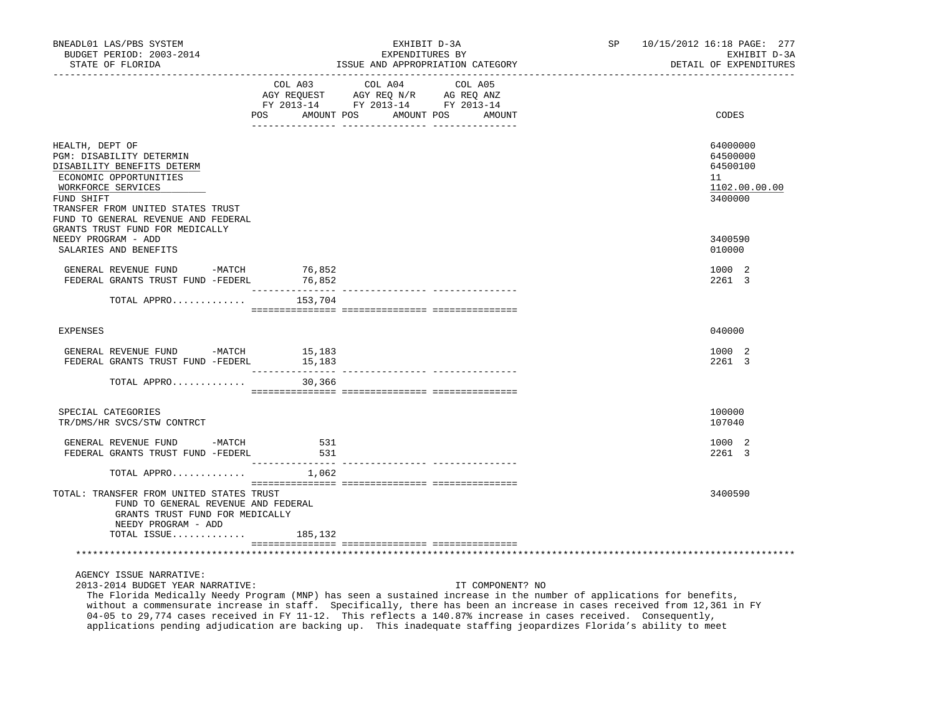| BNEADL01 LAS/PBS SYSTEM<br>BUDGET PERIOD: 2003-2014<br>STATE OF FLORIDA                                                                                                                                             |                                   | EXHIBIT D-3A<br>EXPENDITURES BY<br>ISSUE AND APPROPRIATION CATEGORY                                                                              | SP 10/15/2012 16:18 PAGE: 277<br>EXHIBIT D-3A<br>DETAIL OF EXPENDITURES |
|---------------------------------------------------------------------------------------------------------------------------------------------------------------------------------------------------------------------|-----------------------------------|--------------------------------------------------------------------------------------------------------------------------------------------------|-------------------------------------------------------------------------|
|                                                                                                                                                                                                                     | COL A03 COL A04<br>POS AMOUNT POS | ___________________________________<br>COL A05<br>AGY REQUEST AGY REQ N/R AG REQ ANZ<br>FY 2013-14 FY 2013-14 FY 2013-14<br>AMOUNT POS<br>AMOUNT | CODES                                                                   |
| HEALTH, DEPT OF<br>PGM: DISABILITY DETERMIN<br>DISABILITY BENEFITS DETERM<br>ECONOMIC OPPORTUNITIES<br>WORKFORCE SERVICES<br>FUND SHIFT<br>TRANSFER FROM UNITED STATES TRUST<br>FUND TO GENERAL REVENUE AND FEDERAL |                                   |                                                                                                                                                  | 64000000<br>64500000<br>64500100<br>11<br>1102.00.00.00<br>3400000      |
| GRANTS TRUST FUND FOR MEDICALLY<br>NEEDY PROGRAM - ADD<br>SALARIES AND BENEFITS                                                                                                                                     |                                   |                                                                                                                                                  | 3400590<br>010000                                                       |
| GENERAL REVENUE FUND -MATCH 76,852<br>FEDERAL GRANTS TRUST FUND -FEDERL                                                                                                                                             | 76,852<br>________________        |                                                                                                                                                  | 1000 2<br>2261 3                                                        |
| TOTAL APPRO                                                                                                                                                                                                         | 153,704                           |                                                                                                                                                  |                                                                         |
| <b>EXPENSES</b>                                                                                                                                                                                                     |                                   |                                                                                                                                                  | 040000                                                                  |
| GENERAL REVENUE FUND -MATCH<br>FEDERAL GRANTS TRUST FUND -FEDERL                                                                                                                                                    | 15,183<br>15,183                  |                                                                                                                                                  | 1000 2<br>2261 3                                                        |
| TOTAL APPRO                                                                                                                                                                                                         | 30,366                            |                                                                                                                                                  |                                                                         |
| SPECIAL CATEGORIES<br>TR/DMS/HR SVCS/STW CONTRCT                                                                                                                                                                    |                                   |                                                                                                                                                  | 100000<br>107040                                                        |
| GENERAL REVENUE FUND -MATCH<br>FEDERAL GRANTS TRUST FUND -FEDERL                                                                                                                                                    | 531<br>531                        |                                                                                                                                                  | 1000 2<br>2261 3                                                        |
| TOTAL APPRO                                                                                                                                                                                                         | ---------------<br>1,062          |                                                                                                                                                  |                                                                         |
| TOTAL: TRANSFER FROM UNITED STATES TRUST<br>FUND TO GENERAL REVENUE AND FEDERAL<br>GRANTS TRUST FUND FOR MEDICALLY<br>NEEDY PROGRAM - ADD                                                                           |                                   |                                                                                                                                                  | 3400590                                                                 |
| TOTAL ISSUE                                                                                                                                                                                                         | 185,132                           |                                                                                                                                                  |                                                                         |
|                                                                                                                                                                                                                     |                                   |                                                                                                                                                  |                                                                         |

AGENCY ISSUE NARRATIVE:

2013-2014 BUDGET YEAR NARRATIVE: IT COMPONENT? NO

 The Florida Medically Needy Program (MNP) has seen a sustained increase in the number of applications for benefits, without a commensurate increase in staff. Specifically, there has been an increase in cases received from 12,361 in FY 04-05 to 29,774 cases received in FY 11-12. This reflects a 140.87% increase in cases received. Consequently, applications pending adjudication are backing up. This inadequate staffing jeopardizes Florida's ability to meet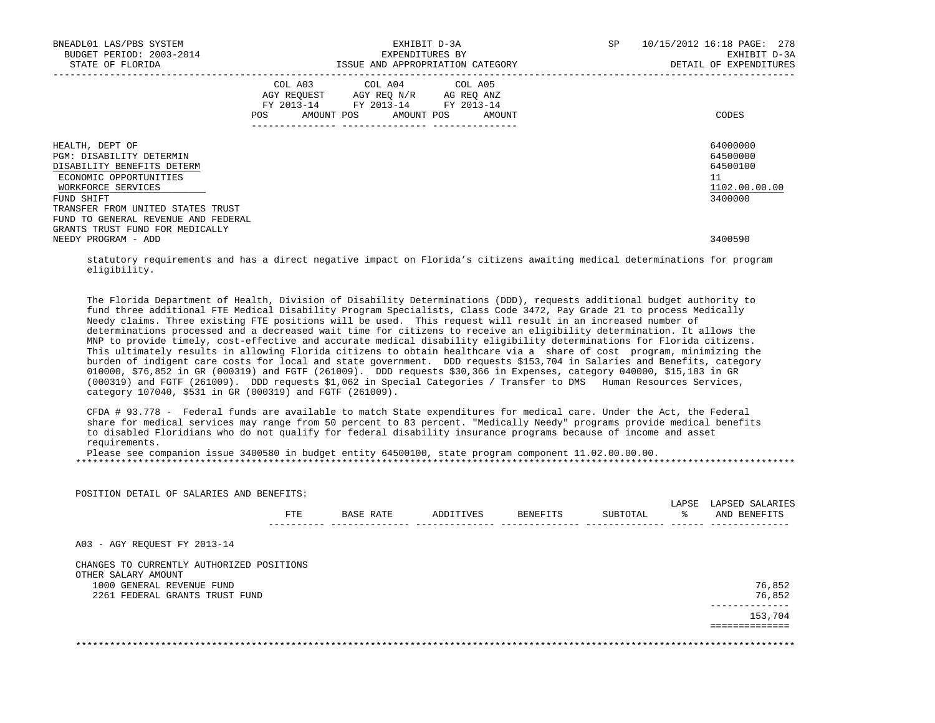| BNEADL01 LAS/PBS SYSTEM<br>BUDGET PERIOD: 2003-2014<br>STATE OF FLORIDA                                                                                                      | EXHIBIT D-3A<br>EXPENDITURES BY<br>ISSUE AND APPROPRIATION CATEGORY                                            |                                                                                                                                   |  | SP | 10/15/2012 16:18 PAGE: 278<br>EXHIBIT D-3A<br>DETAIL OF EXPENDITURES |
|------------------------------------------------------------------------------------------------------------------------------------------------------------------------------|----------------------------------------------------------------------------------------------------------------|-----------------------------------------------------------------------------------------------------------------------------------|--|----|----------------------------------------------------------------------|
|                                                                                                                                                                              | POS FOR THE POST OF THE POST OF THE POST OF THE POST OF THE POST OF THE POST OF THE POST OF THE POST OF THE PO | COL A03 COL A04 COL A05<br>AGY REQUEST AGY REQ N/R AG REQ ANZ<br>FY 2013-14 FY 2013-14 FY 2013-14<br>AMOUNT POS AMOUNT POS AMOUNT |  |    | CODES                                                                |
| HEALTH, DEPT OF<br>PGM: DISABILITY DETERMIN<br>DISABILITY BENEFITS DETERM<br>ECONOMIC OPPORTUNITIES<br>WORKFORCE SERVICES<br>FUND SHIFT<br>TRANSFER FROM UNITED STATES TRUST |                                                                                                                |                                                                                                                                   |  |    | 64000000<br>64500000<br>64500100<br>11<br>1102.00.00.00<br>3400000   |
| FUND TO GENERAL REVENUE AND FEDERAL<br>GRANTS TRUST FUND FOR MEDICALLY<br>NEEDY PROGRAM - ADD                                                                                |                                                                                                                |                                                                                                                                   |  |    | 3400590                                                              |

 statutory requirements and has a direct negative impact on Florida's citizens awaiting medical determinations for program eligibility.

 The Florida Department of Health, Division of Disability Determinations (DDD), requests additional budget authority to fund three additional FTE Medical Disability Program Specialists, Class Code 3472, Pay Grade 21 to process Medically Needy claims. Three existing FTE positions will be used. This request will result in an increased number of determinations processed and a decreased wait time for citizens to receive an eligibility determination. It allows the MNP to provide timely, cost-effective and accurate medical disability eligibility determinations for Florida citizens. This ultimately results in allowing Florida citizens to obtain healthcare via a share of cost program, minimizing the burden of indigent care costs for local and state government. DDD requests \$153,704 in Salaries and Benefits, category 010000, \$76,852 in GR (000319) and FGTF (261009). DDD requests \$30,366 in Expenses, category 040000, \$15,183 in GR (000319) and FGTF (261009). DDD requests \$1,062 in Special Categories / Transfer to DMS Human Resources Services, category 107040, \$531 in GR (000319) and FGTF (261009).

 CFDA # 93.778 - Federal funds are available to match State expenditures for medical care. Under the Act, the Federal share for medical services may range from 50 percent to 83 percent. "Medically Needy" programs provide medical benefits to disabled Floridians who do not qualify for federal disability insurance programs because of income and asset requirements.

Please see companion issue 3400580 in budget entity 64500100, state program component 11.02.00.00.00.

POSITION DETAIL OF SALARIES AND BENEFITS:

|                                                  | FTE | BASE RATE | ADDITIVES | BENEFITS | SUBTOTAL | LAPSE<br>ዱ | LAPSED SALARIES<br>AND BENEFITS |
|--------------------------------------------------|-----|-----------|-----------|----------|----------|------------|---------------------------------|
| A03 - AGY REOUEST FY 2013-14                     |     |           |           |          |          |            |                                 |
| CHANGES TO CURRENTLY AUTHORIZED POSITIONS        |     |           |           |          |          |            |                                 |
| OTHER SALARY AMOUNT<br>1000 GENERAL REVENUE FUND |     |           |           |          |          |            |                                 |
|                                                  |     |           |           |          |          |            | 76,852                          |
| 2261 FEDERAL GRANTS TRUST FUND                   |     |           |           |          |          |            | 76,852                          |